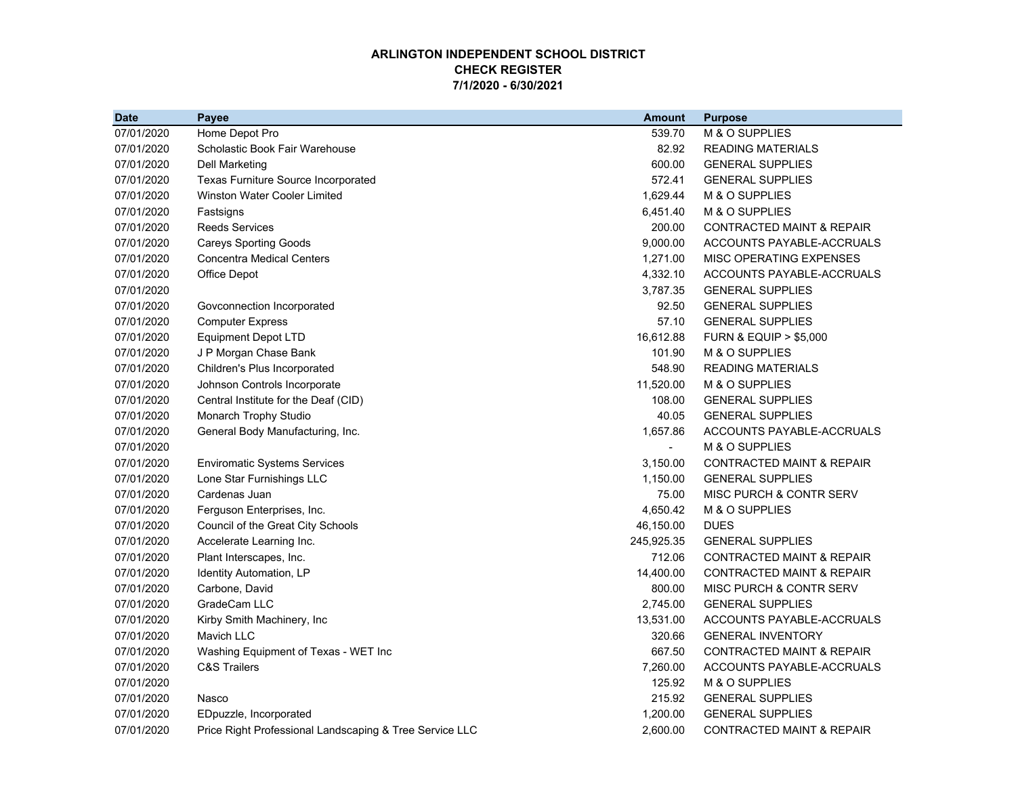## **ARLINGTON INDEPENDENT SCHOOL DISTRICT CHECK REGISTER7/1/2020 - 6/30/2021**

| <b>Date</b> | Payee                                                   | <b>Amount</b>  | <b>Purpose</b>                       |
|-------------|---------------------------------------------------------|----------------|--------------------------------------|
| 07/01/2020  | Home Depot Pro                                          | 539.70         | M & O SUPPLIES                       |
| 07/01/2020  | Scholastic Book Fair Warehouse                          | 82.92          | <b>READING MATERIALS</b>             |
| 07/01/2020  | Dell Marketing                                          | 600.00         | <b>GENERAL SUPPLIES</b>              |
| 07/01/2020  | Texas Furniture Source Incorporated                     | 572.41         | <b>GENERAL SUPPLIES</b>              |
| 07/01/2020  | <b>Winston Water Cooler Limited</b>                     | 1,629.44       | M & O SUPPLIES                       |
| 07/01/2020  | Fastsigns                                               | 6,451.40       | M & O SUPPLIES                       |
| 07/01/2020  | <b>Reeds Services</b>                                   | 200.00         | <b>CONTRACTED MAINT &amp; REPAIR</b> |
| 07/01/2020  | <b>Careys Sporting Goods</b>                            | 9,000.00       | ACCOUNTS PAYABLE-ACCRUALS            |
| 07/01/2020  | <b>Concentra Medical Centers</b>                        | 1,271.00       | MISC OPERATING EXPENSES              |
| 07/01/2020  | Office Depot                                            | 4,332.10       | ACCOUNTS PAYABLE-ACCRUALS            |
| 07/01/2020  |                                                         | 3,787.35       | <b>GENERAL SUPPLIES</b>              |
| 07/01/2020  | Govconnection Incorporated                              | 92.50          | <b>GENERAL SUPPLIES</b>              |
| 07/01/2020  | <b>Computer Express</b>                                 | 57.10          | <b>GENERAL SUPPLIES</b>              |
| 07/01/2020  | <b>Equipment Depot LTD</b>                              | 16,612.88      | <b>FURN &amp; EQUIP &gt; \$5,000</b> |
| 07/01/2020  | J P Morgan Chase Bank                                   | 101.90         | M & O SUPPLIES                       |
| 07/01/2020  | Children's Plus Incorporated                            | 548.90         | <b>READING MATERIALS</b>             |
| 07/01/2020  | Johnson Controls Incorporate                            | 11,520.00      | M & O SUPPLIES                       |
| 07/01/2020  | Central Institute for the Deaf (CID)                    | 108.00         | <b>GENERAL SUPPLIES</b>              |
| 07/01/2020  | Monarch Trophy Studio                                   | 40.05          | <b>GENERAL SUPPLIES</b>              |
| 07/01/2020  | General Body Manufacturing, Inc.                        | 1,657.86       | ACCOUNTS PAYABLE-ACCRUALS            |
| 07/01/2020  |                                                         | $\blacksquare$ | M & O SUPPLIES                       |
| 07/01/2020  | <b>Enviromatic Systems Services</b>                     | 3,150.00       | <b>CONTRACTED MAINT &amp; REPAIR</b> |
| 07/01/2020  | Lone Star Furnishings LLC                               | 1,150.00       | <b>GENERAL SUPPLIES</b>              |
| 07/01/2020  | Cardenas Juan                                           | 75.00          | MISC PURCH & CONTR SERV              |
| 07/01/2020  | Ferguson Enterprises, Inc.                              | 4,650.42       | M & O SUPPLIES                       |
| 07/01/2020  | Council of the Great City Schools                       | 46,150.00      | <b>DUES</b>                          |
| 07/01/2020  | Accelerate Learning Inc.                                | 245,925.35     | <b>GENERAL SUPPLIES</b>              |
| 07/01/2020  | Plant Interscapes, Inc.                                 | 712.06         | <b>CONTRACTED MAINT &amp; REPAIR</b> |
| 07/01/2020  | Identity Automation, LP                                 | 14,400.00      | <b>CONTRACTED MAINT &amp; REPAIR</b> |
| 07/01/2020  | Carbone, David                                          | 800.00         | MISC PURCH & CONTR SERV              |
| 07/01/2020  | GradeCam LLC                                            | 2,745.00       | <b>GENERAL SUPPLIES</b>              |
| 07/01/2020  | Kirby Smith Machinery, Inc                              | 13,531.00      | ACCOUNTS PAYABLE-ACCRUALS            |
| 07/01/2020  | Mavich LLC                                              | 320.66         | <b>GENERAL INVENTORY</b>             |
| 07/01/2020  | Washing Equipment of Texas - WET Inc                    | 667.50         | <b>CONTRACTED MAINT &amp; REPAIR</b> |
| 07/01/2020  | <b>C&amp;S Trailers</b>                                 | 7,260.00       | ACCOUNTS PAYABLE-ACCRUALS            |
| 07/01/2020  |                                                         | 125.92         | M & O SUPPLIES                       |
| 07/01/2020  | Nasco                                                   | 215.92         | <b>GENERAL SUPPLIES</b>              |
| 07/01/2020  | EDpuzzle, Incorporated                                  | 1,200.00       | <b>GENERAL SUPPLIES</b>              |
| 07/01/2020  | Price Right Professional Landscaping & Tree Service LLC | 2,600.00       | <b>CONTRACTED MAINT &amp; REPAIR</b> |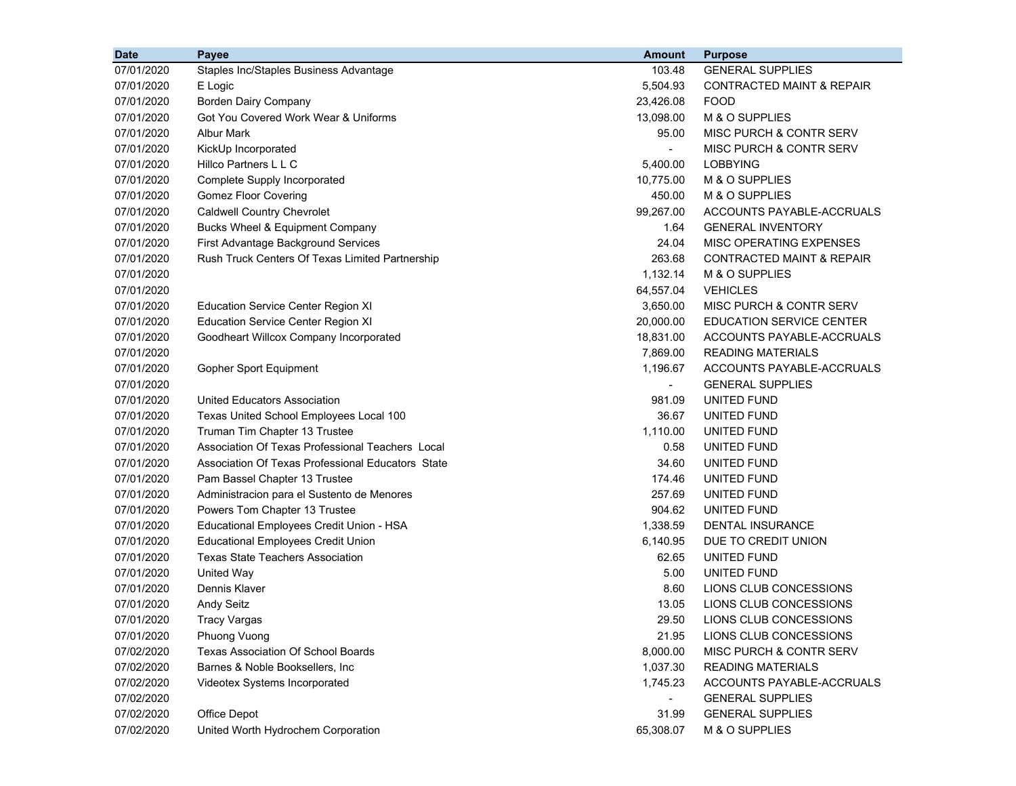| <b>Date</b> | Payee                                             | <b>Amount</b>  | <b>Purpose</b>                     |
|-------------|---------------------------------------------------|----------------|------------------------------------|
| 07/01/2020  | Staples Inc/Staples Business Advantage            | 103.48         | <b>GENERAL SUPPLIES</b>            |
| 07/01/2020  | E Logic                                           | 5,504.93       | CONTRACTED MAINT & REPAIR          |
| 07/01/2020  | Borden Dairy Company                              | 23,426.08      | <b>FOOD</b>                        |
| 07/01/2020  | Got You Covered Work Wear & Uniforms              | 13,098.00      | M & O SUPPLIES                     |
| 07/01/2020  | <b>Albur Mark</b>                                 | 95.00          | MISC PURCH & CONTR SERV            |
| 07/01/2020  | KickUp Incorporated                               | $\blacksquare$ | MISC PURCH & CONTR SERV            |
| 07/01/2020  | Hillco Partners L L C                             | 5,400.00       | <b>LOBBYING</b>                    |
| 07/01/2020  | Complete Supply Incorporated                      | 10,775.00      | M & O SUPPLIES                     |
| 07/01/2020  | <b>Gomez Floor Covering</b>                       | 450.00         | M & O SUPPLIES                     |
| 07/01/2020  | <b>Caldwell Country Chevrolet</b>                 | 99,267.00      | ACCOUNTS PAYABLE-ACCRUALS          |
| 07/01/2020  | <b>Bucks Wheel &amp; Equipment Company</b>        | 1.64           | <b>GENERAL INVENTORY</b>           |
| 07/01/2020  | First Advantage Background Services               | 24.04          | MISC OPERATING EXPENSES            |
| 07/01/2020  | Rush Truck Centers Of Texas Limited Partnership   | 263.68         | CONTRACTED MAINT & REPAIR          |
| 07/01/2020  |                                                   | 1,132.14       | M & O SUPPLIES                     |
| 07/01/2020  |                                                   | 64,557.04      | <b>VEHICLES</b>                    |
| 07/01/2020  | <b>Education Service Center Region XI</b>         | 3,650.00       | MISC PURCH & CONTR SERV            |
| 07/01/2020  | <b>Education Service Center Region XI</b>         | 20,000.00      | EDUCATION SERVICE CENTER           |
| 07/01/2020  | Goodheart Willcox Company Incorporated            | 18,831.00      | ACCOUNTS PAYABLE-ACCRUALS          |
| 07/01/2020  |                                                   | 7,869.00       | <b>READING MATERIALS</b>           |
| 07/01/2020  | Gopher Sport Equipment                            | 1,196.67       | ACCOUNTS PAYABLE-ACCRUALS          |
| 07/01/2020  |                                                   | $\blacksquare$ | <b>GENERAL SUPPLIES</b>            |
| 07/01/2020  | United Educators Association                      | 981.09         | <b>UNITED FUND</b>                 |
| 07/01/2020  | Texas United School Employees Local 100           | 36.67          | UNITED FUND                        |
| 07/01/2020  | Truman Tim Chapter 13 Trustee                     | 1,110.00       | UNITED FUND                        |
| 07/01/2020  | Association Of Texas Professional Teachers Local  | 0.58           | UNITED FUND                        |
| 07/01/2020  | Association Of Texas Professional Educators State | 34.60          | UNITED FUND                        |
| 07/01/2020  | Pam Bassel Chapter 13 Trustee                     | 174.46         | UNITED FUND                        |
| 07/01/2020  | Administracion para el Sustento de Menores        | 257.69         | UNITED FUND                        |
| 07/01/2020  | Powers Tom Chapter 13 Trustee                     | 904.62         | UNITED FUND                        |
| 07/01/2020  | Educational Employees Credit Union - HSA          | 1,338.59       | <b>DENTAL INSURANCE</b>            |
| 07/01/2020  | <b>Educational Employees Credit Union</b>         | 6,140.95       | DUE TO CREDIT UNION                |
| 07/01/2020  | <b>Texas State Teachers Association</b>           | 62.65          | UNITED FUND                        |
| 07/01/2020  | United Way                                        | 5.00           | UNITED FUND                        |
| 07/01/2020  | Dennis Klaver                                     | 8.60           | LIONS CLUB CONCESSIONS             |
| 07/01/2020  | <b>Andy Seitz</b>                                 | 13.05          | LIONS CLUB CONCESSIONS             |
| 07/01/2020  | Tracy Vargas                                      | 29.50          | LIONS CLUB CONCESSIONS             |
| 07/01/2020  | Phuong Vuong                                      | 21.95          | LIONS CLUB CONCESSIONS             |
| 07/02/2020  | Texas Association Of School Boards                | 8,000.00       | <b>MISC PURCH &amp; CONTR SERV</b> |
| 07/02/2020  | Barnes & Noble Booksellers, Inc                   | 1,037.30       | <b>READING MATERIALS</b>           |
| 07/02/2020  | Videotex Systems Incorporated                     | 1,745.23       | ACCOUNTS PAYABLE-ACCRUALS          |
| 07/02/2020  |                                                   | $\blacksquare$ | <b>GENERAL SUPPLIES</b>            |
| 07/02/2020  | Office Depot                                      | 31.99          | <b>GENERAL SUPPLIES</b>            |
| 07/02/2020  | United Worth Hydrochem Corporation                | 65,308.07      | M & O SUPPLIES                     |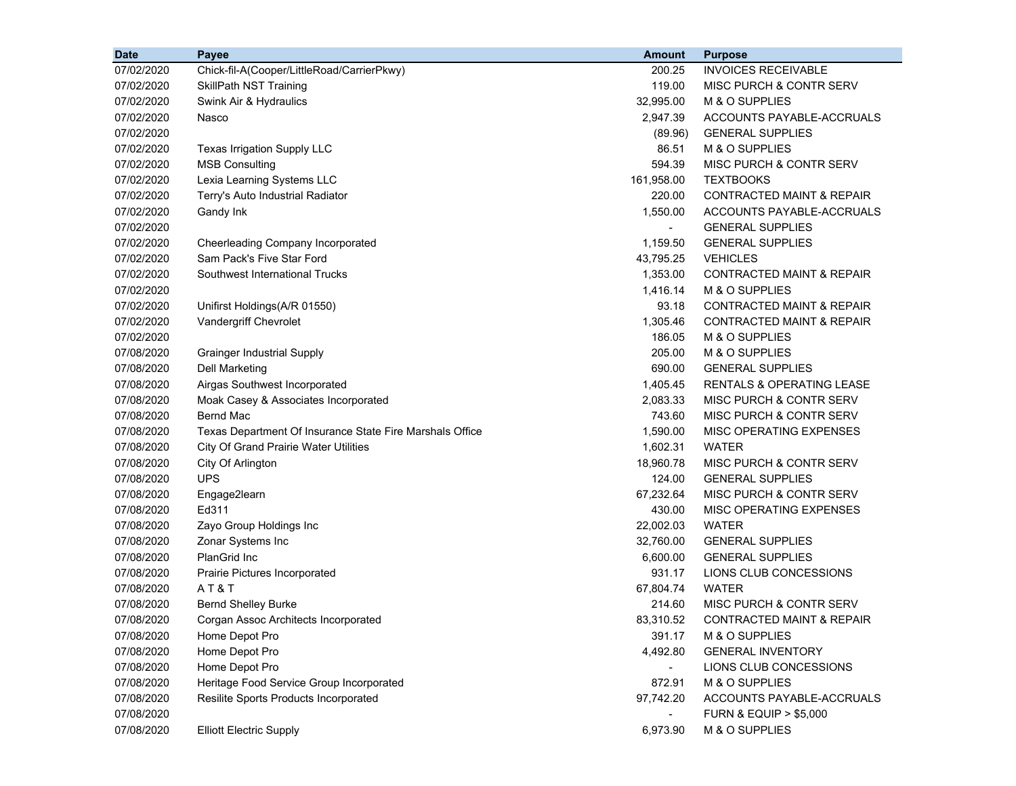| 07/02/2020<br>200.25<br><b>INVOICES RECEIVABLE</b><br>Chick-fil-A(Cooper/LittleRoad/CarrierPkwy)<br>07/02/2020<br>119.00<br>MISC PURCH & CONTR SERV<br><b>SkillPath NST Training</b><br>Swink Air & Hydraulics<br>32,995.00<br>M & O SUPPLIES<br>07/02/2020<br>07/02/2020<br>2,947.39<br>ACCOUNTS PAYABLE-ACCRUALS<br>Nasco<br>07/02/2020<br><b>GENERAL SUPPLIES</b><br>(89.96)<br>07/02/2020<br>86.51<br>M & O SUPPLIES<br>Texas Irrigation Supply LLC<br>07/02/2020<br><b>MSB Consulting</b><br>594.39<br>MISC PURCH & CONTR SERV<br>07/02/2020<br>Lexia Learning Systems LLC<br>161,958.00<br><b>TEXTBOOKS</b><br>07/02/2020<br>220.00<br><b>CONTRACTED MAINT &amp; REPAIR</b><br>Terry's Auto Industrial Radiator<br>1,550.00<br>ACCOUNTS PAYABLE-ACCRUALS<br>07/02/2020<br>Gandy Ink<br>07/02/2020<br><b>GENERAL SUPPLIES</b><br>$\blacksquare$<br>07/02/2020<br><b>GENERAL SUPPLIES</b><br>Cheerleading Company Incorporated<br>1,159.50<br>Sam Pack's Five Star Ford<br>07/02/2020<br><b>VEHICLES</b><br>43,795.25<br>07/02/2020<br>Southwest International Trucks<br>1,353.00<br><b>CONTRACTED MAINT &amp; REPAIR</b><br>1,416.14<br>07/02/2020<br>M & O SUPPLIES<br>93.18<br><b>CONTRACTED MAINT &amp; REPAIR</b><br>07/02/2020<br>Unifirst Holdings(A/R 01550)<br>Vandergriff Chevrolet<br>1,305.46<br><b>CONTRACTED MAINT &amp; REPAIR</b><br>07/02/2020<br>07/02/2020<br>186.05<br>M & O SUPPLIES<br>07/08/2020<br>205.00<br>M & O SUPPLIES<br><b>Grainger Industrial Supply</b><br>07/08/2020<br><b>Dell Marketing</b><br>690.00<br><b>GENERAL SUPPLIES</b><br>07/08/2020<br>Airgas Southwest Incorporated<br>1,405.45<br><b>RENTALS &amp; OPERATING LEASE</b><br>2,083.33<br>07/08/2020<br><b>MISC PURCH &amp; CONTR SERV</b><br>Moak Casey & Associates Incorporated<br><b>Bernd Mac</b><br>743.60<br>MISC PURCH & CONTR SERV<br>07/08/2020<br>Texas Department Of Insurance State Fire Marshals Office<br>1,590.00<br>MISC OPERATING EXPENSES<br>07/08/2020<br>07/08/2020<br>1,602.31<br><b>WATER</b><br><b>City Of Grand Prairie Water Utilities</b><br>07/08/2020<br>City Of Arlington<br>18,960.78<br>MISC PURCH & CONTR SERV<br><b>UPS</b><br>07/08/2020<br>124.00<br><b>GENERAL SUPPLIES</b><br>67,232.64<br>MISC PURCH & CONTR SERV<br>07/08/2020<br>Engage2learn<br>Ed311<br>430.00<br>MISC OPERATING EXPENSES<br>07/08/2020<br>22,002.03<br><b>WATER</b><br>07/08/2020<br>Zayo Group Holdings Inc<br>Zonar Systems Inc<br>32,760.00<br>07/08/2020<br><b>GENERAL SUPPLIES</b><br>PlanGrid Inc<br>07/08/2020<br>6,600.00<br><b>GENERAL SUPPLIES</b><br>07/08/2020<br>931.17<br>LIONS CLUB CONCESSIONS<br>Prairie Pictures Incorporated<br>AT&T<br><b>WATER</b><br>07/08/2020<br>67,804.74<br>07/08/2020<br>214.60<br><b>MISC PURCH &amp; CONTR SERV</b><br><b>Bernd Shelley Burke</b><br>07/08/2020<br>83,310.52<br>Corgan Assoc Architects Incorporated<br>CONTRACTED MAINT & REPAIR<br>M & O SUPPLIES<br>07/08/2020<br>Home Depot Pro<br>391.17<br>07/08/2020<br>Home Depot Pro<br>4,492.80<br><b>GENERAL INVENTORY</b><br>Home Depot Pro<br>07/08/2020<br>LIONS CLUB CONCESSIONS<br>07/08/2020<br>Heritage Food Service Group Incorporated<br>872.91<br>M & O SUPPLIES<br>Resilite Sports Products Incorporated<br>ACCOUNTS PAYABLE-ACCRUALS<br>07/08/2020<br>97,742.20<br>07/08/2020<br><b>FURN &amp; EQUIP &gt; \$5,000</b> | <b>Date</b> | Payee                          | <b>Amount</b> | <b>Purpose</b> |
|--------------------------------------------------------------------------------------------------------------------------------------------------------------------------------------------------------------------------------------------------------------------------------------------------------------------------------------------------------------------------------------------------------------------------------------------------------------------------------------------------------------------------------------------------------------------------------------------------------------------------------------------------------------------------------------------------------------------------------------------------------------------------------------------------------------------------------------------------------------------------------------------------------------------------------------------------------------------------------------------------------------------------------------------------------------------------------------------------------------------------------------------------------------------------------------------------------------------------------------------------------------------------------------------------------------------------------------------------------------------------------------------------------------------------------------------------------------------------------------------------------------------------------------------------------------------------------------------------------------------------------------------------------------------------------------------------------------------------------------------------------------------------------------------------------------------------------------------------------------------------------------------------------------------------------------------------------------------------------------------------------------------------------------------------------------------------------------------------------------------------------------------------------------------------------------------------------------------------------------------------------------------------------------------------------------------------------------------------------------------------------------------------------------------------------------------------------------------------------------------------------------------------------------------------------------------------------------------------------------------------------------------------------------------------------------------------------------------------------------------------------------------------------------------------------------------------------------------------------------------------------------------------------------------------------------------------------------------------------------------------------------------------------------------------------------------------------------------------------------------------------------------------------------------------------------------------------------------------------------------------------------------------------------------------------------------------------------------------------|-------------|--------------------------------|---------------|----------------|
|                                                                                                                                                                                                                                                                                                                                                                                                                                                                                                                                                                                                                                                                                                                                                                                                                                                                                                                                                                                                                                                                                                                                                                                                                                                                                                                                                                                                                                                                                                                                                                                                                                                                                                                                                                                                                                                                                                                                                                                                                                                                                                                                                                                                                                                                                                                                                                                                                                                                                                                                                                                                                                                                                                                                                                                                                                                                                                                                                                                                                                                                                                                                                                                                                                                                                                                                                        |             |                                |               |                |
|                                                                                                                                                                                                                                                                                                                                                                                                                                                                                                                                                                                                                                                                                                                                                                                                                                                                                                                                                                                                                                                                                                                                                                                                                                                                                                                                                                                                                                                                                                                                                                                                                                                                                                                                                                                                                                                                                                                                                                                                                                                                                                                                                                                                                                                                                                                                                                                                                                                                                                                                                                                                                                                                                                                                                                                                                                                                                                                                                                                                                                                                                                                                                                                                                                                                                                                                                        |             |                                |               |                |
|                                                                                                                                                                                                                                                                                                                                                                                                                                                                                                                                                                                                                                                                                                                                                                                                                                                                                                                                                                                                                                                                                                                                                                                                                                                                                                                                                                                                                                                                                                                                                                                                                                                                                                                                                                                                                                                                                                                                                                                                                                                                                                                                                                                                                                                                                                                                                                                                                                                                                                                                                                                                                                                                                                                                                                                                                                                                                                                                                                                                                                                                                                                                                                                                                                                                                                                                                        |             |                                |               |                |
|                                                                                                                                                                                                                                                                                                                                                                                                                                                                                                                                                                                                                                                                                                                                                                                                                                                                                                                                                                                                                                                                                                                                                                                                                                                                                                                                                                                                                                                                                                                                                                                                                                                                                                                                                                                                                                                                                                                                                                                                                                                                                                                                                                                                                                                                                                                                                                                                                                                                                                                                                                                                                                                                                                                                                                                                                                                                                                                                                                                                                                                                                                                                                                                                                                                                                                                                                        |             |                                |               |                |
|                                                                                                                                                                                                                                                                                                                                                                                                                                                                                                                                                                                                                                                                                                                                                                                                                                                                                                                                                                                                                                                                                                                                                                                                                                                                                                                                                                                                                                                                                                                                                                                                                                                                                                                                                                                                                                                                                                                                                                                                                                                                                                                                                                                                                                                                                                                                                                                                                                                                                                                                                                                                                                                                                                                                                                                                                                                                                                                                                                                                                                                                                                                                                                                                                                                                                                                                                        |             |                                |               |                |
|                                                                                                                                                                                                                                                                                                                                                                                                                                                                                                                                                                                                                                                                                                                                                                                                                                                                                                                                                                                                                                                                                                                                                                                                                                                                                                                                                                                                                                                                                                                                                                                                                                                                                                                                                                                                                                                                                                                                                                                                                                                                                                                                                                                                                                                                                                                                                                                                                                                                                                                                                                                                                                                                                                                                                                                                                                                                                                                                                                                                                                                                                                                                                                                                                                                                                                                                                        |             |                                |               |                |
|                                                                                                                                                                                                                                                                                                                                                                                                                                                                                                                                                                                                                                                                                                                                                                                                                                                                                                                                                                                                                                                                                                                                                                                                                                                                                                                                                                                                                                                                                                                                                                                                                                                                                                                                                                                                                                                                                                                                                                                                                                                                                                                                                                                                                                                                                                                                                                                                                                                                                                                                                                                                                                                                                                                                                                                                                                                                                                                                                                                                                                                                                                                                                                                                                                                                                                                                                        |             |                                |               |                |
|                                                                                                                                                                                                                                                                                                                                                                                                                                                                                                                                                                                                                                                                                                                                                                                                                                                                                                                                                                                                                                                                                                                                                                                                                                                                                                                                                                                                                                                                                                                                                                                                                                                                                                                                                                                                                                                                                                                                                                                                                                                                                                                                                                                                                                                                                                                                                                                                                                                                                                                                                                                                                                                                                                                                                                                                                                                                                                                                                                                                                                                                                                                                                                                                                                                                                                                                                        |             |                                |               |                |
|                                                                                                                                                                                                                                                                                                                                                                                                                                                                                                                                                                                                                                                                                                                                                                                                                                                                                                                                                                                                                                                                                                                                                                                                                                                                                                                                                                                                                                                                                                                                                                                                                                                                                                                                                                                                                                                                                                                                                                                                                                                                                                                                                                                                                                                                                                                                                                                                                                                                                                                                                                                                                                                                                                                                                                                                                                                                                                                                                                                                                                                                                                                                                                                                                                                                                                                                                        |             |                                |               |                |
|                                                                                                                                                                                                                                                                                                                                                                                                                                                                                                                                                                                                                                                                                                                                                                                                                                                                                                                                                                                                                                                                                                                                                                                                                                                                                                                                                                                                                                                                                                                                                                                                                                                                                                                                                                                                                                                                                                                                                                                                                                                                                                                                                                                                                                                                                                                                                                                                                                                                                                                                                                                                                                                                                                                                                                                                                                                                                                                                                                                                                                                                                                                                                                                                                                                                                                                                                        |             |                                |               |                |
|                                                                                                                                                                                                                                                                                                                                                                                                                                                                                                                                                                                                                                                                                                                                                                                                                                                                                                                                                                                                                                                                                                                                                                                                                                                                                                                                                                                                                                                                                                                                                                                                                                                                                                                                                                                                                                                                                                                                                                                                                                                                                                                                                                                                                                                                                                                                                                                                                                                                                                                                                                                                                                                                                                                                                                                                                                                                                                                                                                                                                                                                                                                                                                                                                                                                                                                                                        |             |                                |               |                |
|                                                                                                                                                                                                                                                                                                                                                                                                                                                                                                                                                                                                                                                                                                                                                                                                                                                                                                                                                                                                                                                                                                                                                                                                                                                                                                                                                                                                                                                                                                                                                                                                                                                                                                                                                                                                                                                                                                                                                                                                                                                                                                                                                                                                                                                                                                                                                                                                                                                                                                                                                                                                                                                                                                                                                                                                                                                                                                                                                                                                                                                                                                                                                                                                                                                                                                                                                        |             |                                |               |                |
|                                                                                                                                                                                                                                                                                                                                                                                                                                                                                                                                                                                                                                                                                                                                                                                                                                                                                                                                                                                                                                                                                                                                                                                                                                                                                                                                                                                                                                                                                                                                                                                                                                                                                                                                                                                                                                                                                                                                                                                                                                                                                                                                                                                                                                                                                                                                                                                                                                                                                                                                                                                                                                                                                                                                                                                                                                                                                                                                                                                                                                                                                                                                                                                                                                                                                                                                                        |             |                                |               |                |
|                                                                                                                                                                                                                                                                                                                                                                                                                                                                                                                                                                                                                                                                                                                                                                                                                                                                                                                                                                                                                                                                                                                                                                                                                                                                                                                                                                                                                                                                                                                                                                                                                                                                                                                                                                                                                                                                                                                                                                                                                                                                                                                                                                                                                                                                                                                                                                                                                                                                                                                                                                                                                                                                                                                                                                                                                                                                                                                                                                                                                                                                                                                                                                                                                                                                                                                                                        |             |                                |               |                |
|                                                                                                                                                                                                                                                                                                                                                                                                                                                                                                                                                                                                                                                                                                                                                                                                                                                                                                                                                                                                                                                                                                                                                                                                                                                                                                                                                                                                                                                                                                                                                                                                                                                                                                                                                                                                                                                                                                                                                                                                                                                                                                                                                                                                                                                                                                                                                                                                                                                                                                                                                                                                                                                                                                                                                                                                                                                                                                                                                                                                                                                                                                                                                                                                                                                                                                                                                        |             |                                |               |                |
|                                                                                                                                                                                                                                                                                                                                                                                                                                                                                                                                                                                                                                                                                                                                                                                                                                                                                                                                                                                                                                                                                                                                                                                                                                                                                                                                                                                                                                                                                                                                                                                                                                                                                                                                                                                                                                                                                                                                                                                                                                                                                                                                                                                                                                                                                                                                                                                                                                                                                                                                                                                                                                                                                                                                                                                                                                                                                                                                                                                                                                                                                                                                                                                                                                                                                                                                                        |             |                                |               |                |
|                                                                                                                                                                                                                                                                                                                                                                                                                                                                                                                                                                                                                                                                                                                                                                                                                                                                                                                                                                                                                                                                                                                                                                                                                                                                                                                                                                                                                                                                                                                                                                                                                                                                                                                                                                                                                                                                                                                                                                                                                                                                                                                                                                                                                                                                                                                                                                                                                                                                                                                                                                                                                                                                                                                                                                                                                                                                                                                                                                                                                                                                                                                                                                                                                                                                                                                                                        |             |                                |               |                |
|                                                                                                                                                                                                                                                                                                                                                                                                                                                                                                                                                                                                                                                                                                                                                                                                                                                                                                                                                                                                                                                                                                                                                                                                                                                                                                                                                                                                                                                                                                                                                                                                                                                                                                                                                                                                                                                                                                                                                                                                                                                                                                                                                                                                                                                                                                                                                                                                                                                                                                                                                                                                                                                                                                                                                                                                                                                                                                                                                                                                                                                                                                                                                                                                                                                                                                                                                        |             |                                |               |                |
|                                                                                                                                                                                                                                                                                                                                                                                                                                                                                                                                                                                                                                                                                                                                                                                                                                                                                                                                                                                                                                                                                                                                                                                                                                                                                                                                                                                                                                                                                                                                                                                                                                                                                                                                                                                                                                                                                                                                                                                                                                                                                                                                                                                                                                                                                                                                                                                                                                                                                                                                                                                                                                                                                                                                                                                                                                                                                                                                                                                                                                                                                                                                                                                                                                                                                                                                                        |             |                                |               |                |
|                                                                                                                                                                                                                                                                                                                                                                                                                                                                                                                                                                                                                                                                                                                                                                                                                                                                                                                                                                                                                                                                                                                                                                                                                                                                                                                                                                                                                                                                                                                                                                                                                                                                                                                                                                                                                                                                                                                                                                                                                                                                                                                                                                                                                                                                                                                                                                                                                                                                                                                                                                                                                                                                                                                                                                                                                                                                                                                                                                                                                                                                                                                                                                                                                                                                                                                                                        |             |                                |               |                |
|                                                                                                                                                                                                                                                                                                                                                                                                                                                                                                                                                                                                                                                                                                                                                                                                                                                                                                                                                                                                                                                                                                                                                                                                                                                                                                                                                                                                                                                                                                                                                                                                                                                                                                                                                                                                                                                                                                                                                                                                                                                                                                                                                                                                                                                                                                                                                                                                                                                                                                                                                                                                                                                                                                                                                                                                                                                                                                                                                                                                                                                                                                                                                                                                                                                                                                                                                        |             |                                |               |                |
|                                                                                                                                                                                                                                                                                                                                                                                                                                                                                                                                                                                                                                                                                                                                                                                                                                                                                                                                                                                                                                                                                                                                                                                                                                                                                                                                                                                                                                                                                                                                                                                                                                                                                                                                                                                                                                                                                                                                                                                                                                                                                                                                                                                                                                                                                                                                                                                                                                                                                                                                                                                                                                                                                                                                                                                                                                                                                                                                                                                                                                                                                                                                                                                                                                                                                                                                                        |             |                                |               |                |
|                                                                                                                                                                                                                                                                                                                                                                                                                                                                                                                                                                                                                                                                                                                                                                                                                                                                                                                                                                                                                                                                                                                                                                                                                                                                                                                                                                                                                                                                                                                                                                                                                                                                                                                                                                                                                                                                                                                                                                                                                                                                                                                                                                                                                                                                                                                                                                                                                                                                                                                                                                                                                                                                                                                                                                                                                                                                                                                                                                                                                                                                                                                                                                                                                                                                                                                                                        |             |                                |               |                |
|                                                                                                                                                                                                                                                                                                                                                                                                                                                                                                                                                                                                                                                                                                                                                                                                                                                                                                                                                                                                                                                                                                                                                                                                                                                                                                                                                                                                                                                                                                                                                                                                                                                                                                                                                                                                                                                                                                                                                                                                                                                                                                                                                                                                                                                                                                                                                                                                                                                                                                                                                                                                                                                                                                                                                                                                                                                                                                                                                                                                                                                                                                                                                                                                                                                                                                                                                        |             |                                |               |                |
|                                                                                                                                                                                                                                                                                                                                                                                                                                                                                                                                                                                                                                                                                                                                                                                                                                                                                                                                                                                                                                                                                                                                                                                                                                                                                                                                                                                                                                                                                                                                                                                                                                                                                                                                                                                                                                                                                                                                                                                                                                                                                                                                                                                                                                                                                                                                                                                                                                                                                                                                                                                                                                                                                                                                                                                                                                                                                                                                                                                                                                                                                                                                                                                                                                                                                                                                                        |             |                                |               |                |
|                                                                                                                                                                                                                                                                                                                                                                                                                                                                                                                                                                                                                                                                                                                                                                                                                                                                                                                                                                                                                                                                                                                                                                                                                                                                                                                                                                                                                                                                                                                                                                                                                                                                                                                                                                                                                                                                                                                                                                                                                                                                                                                                                                                                                                                                                                                                                                                                                                                                                                                                                                                                                                                                                                                                                                                                                                                                                                                                                                                                                                                                                                                                                                                                                                                                                                                                                        |             |                                |               |                |
|                                                                                                                                                                                                                                                                                                                                                                                                                                                                                                                                                                                                                                                                                                                                                                                                                                                                                                                                                                                                                                                                                                                                                                                                                                                                                                                                                                                                                                                                                                                                                                                                                                                                                                                                                                                                                                                                                                                                                                                                                                                                                                                                                                                                                                                                                                                                                                                                                                                                                                                                                                                                                                                                                                                                                                                                                                                                                                                                                                                                                                                                                                                                                                                                                                                                                                                                                        |             |                                |               |                |
|                                                                                                                                                                                                                                                                                                                                                                                                                                                                                                                                                                                                                                                                                                                                                                                                                                                                                                                                                                                                                                                                                                                                                                                                                                                                                                                                                                                                                                                                                                                                                                                                                                                                                                                                                                                                                                                                                                                                                                                                                                                                                                                                                                                                                                                                                                                                                                                                                                                                                                                                                                                                                                                                                                                                                                                                                                                                                                                                                                                                                                                                                                                                                                                                                                                                                                                                                        |             |                                |               |                |
|                                                                                                                                                                                                                                                                                                                                                                                                                                                                                                                                                                                                                                                                                                                                                                                                                                                                                                                                                                                                                                                                                                                                                                                                                                                                                                                                                                                                                                                                                                                                                                                                                                                                                                                                                                                                                                                                                                                                                                                                                                                                                                                                                                                                                                                                                                                                                                                                                                                                                                                                                                                                                                                                                                                                                                                                                                                                                                                                                                                                                                                                                                                                                                                                                                                                                                                                                        |             |                                |               |                |
|                                                                                                                                                                                                                                                                                                                                                                                                                                                                                                                                                                                                                                                                                                                                                                                                                                                                                                                                                                                                                                                                                                                                                                                                                                                                                                                                                                                                                                                                                                                                                                                                                                                                                                                                                                                                                                                                                                                                                                                                                                                                                                                                                                                                                                                                                                                                                                                                                                                                                                                                                                                                                                                                                                                                                                                                                                                                                                                                                                                                                                                                                                                                                                                                                                                                                                                                                        |             |                                |               |                |
|                                                                                                                                                                                                                                                                                                                                                                                                                                                                                                                                                                                                                                                                                                                                                                                                                                                                                                                                                                                                                                                                                                                                                                                                                                                                                                                                                                                                                                                                                                                                                                                                                                                                                                                                                                                                                                                                                                                                                                                                                                                                                                                                                                                                                                                                                                                                                                                                                                                                                                                                                                                                                                                                                                                                                                                                                                                                                                                                                                                                                                                                                                                                                                                                                                                                                                                                                        |             |                                |               |                |
|                                                                                                                                                                                                                                                                                                                                                                                                                                                                                                                                                                                                                                                                                                                                                                                                                                                                                                                                                                                                                                                                                                                                                                                                                                                                                                                                                                                                                                                                                                                                                                                                                                                                                                                                                                                                                                                                                                                                                                                                                                                                                                                                                                                                                                                                                                                                                                                                                                                                                                                                                                                                                                                                                                                                                                                                                                                                                                                                                                                                                                                                                                                                                                                                                                                                                                                                                        |             |                                |               |                |
|                                                                                                                                                                                                                                                                                                                                                                                                                                                                                                                                                                                                                                                                                                                                                                                                                                                                                                                                                                                                                                                                                                                                                                                                                                                                                                                                                                                                                                                                                                                                                                                                                                                                                                                                                                                                                                                                                                                                                                                                                                                                                                                                                                                                                                                                                                                                                                                                                                                                                                                                                                                                                                                                                                                                                                                                                                                                                                                                                                                                                                                                                                                                                                                                                                                                                                                                                        |             |                                |               |                |
|                                                                                                                                                                                                                                                                                                                                                                                                                                                                                                                                                                                                                                                                                                                                                                                                                                                                                                                                                                                                                                                                                                                                                                                                                                                                                                                                                                                                                                                                                                                                                                                                                                                                                                                                                                                                                                                                                                                                                                                                                                                                                                                                                                                                                                                                                                                                                                                                                                                                                                                                                                                                                                                                                                                                                                                                                                                                                                                                                                                                                                                                                                                                                                                                                                                                                                                                                        |             |                                |               |                |
|                                                                                                                                                                                                                                                                                                                                                                                                                                                                                                                                                                                                                                                                                                                                                                                                                                                                                                                                                                                                                                                                                                                                                                                                                                                                                                                                                                                                                                                                                                                                                                                                                                                                                                                                                                                                                                                                                                                                                                                                                                                                                                                                                                                                                                                                                                                                                                                                                                                                                                                                                                                                                                                                                                                                                                                                                                                                                                                                                                                                                                                                                                                                                                                                                                                                                                                                                        |             |                                |               |                |
|                                                                                                                                                                                                                                                                                                                                                                                                                                                                                                                                                                                                                                                                                                                                                                                                                                                                                                                                                                                                                                                                                                                                                                                                                                                                                                                                                                                                                                                                                                                                                                                                                                                                                                                                                                                                                                                                                                                                                                                                                                                                                                                                                                                                                                                                                                                                                                                                                                                                                                                                                                                                                                                                                                                                                                                                                                                                                                                                                                                                                                                                                                                                                                                                                                                                                                                                                        |             |                                |               |                |
|                                                                                                                                                                                                                                                                                                                                                                                                                                                                                                                                                                                                                                                                                                                                                                                                                                                                                                                                                                                                                                                                                                                                                                                                                                                                                                                                                                                                                                                                                                                                                                                                                                                                                                                                                                                                                                                                                                                                                                                                                                                                                                                                                                                                                                                                                                                                                                                                                                                                                                                                                                                                                                                                                                                                                                                                                                                                                                                                                                                                                                                                                                                                                                                                                                                                                                                                                        |             |                                |               |                |
|                                                                                                                                                                                                                                                                                                                                                                                                                                                                                                                                                                                                                                                                                                                                                                                                                                                                                                                                                                                                                                                                                                                                                                                                                                                                                                                                                                                                                                                                                                                                                                                                                                                                                                                                                                                                                                                                                                                                                                                                                                                                                                                                                                                                                                                                                                                                                                                                                                                                                                                                                                                                                                                                                                                                                                                                                                                                                                                                                                                                                                                                                                                                                                                                                                                                                                                                                        |             |                                |               |                |
|                                                                                                                                                                                                                                                                                                                                                                                                                                                                                                                                                                                                                                                                                                                                                                                                                                                                                                                                                                                                                                                                                                                                                                                                                                                                                                                                                                                                                                                                                                                                                                                                                                                                                                                                                                                                                                                                                                                                                                                                                                                                                                                                                                                                                                                                                                                                                                                                                                                                                                                                                                                                                                                                                                                                                                                                                                                                                                                                                                                                                                                                                                                                                                                                                                                                                                                                                        |             |                                |               |                |
|                                                                                                                                                                                                                                                                                                                                                                                                                                                                                                                                                                                                                                                                                                                                                                                                                                                                                                                                                                                                                                                                                                                                                                                                                                                                                                                                                                                                                                                                                                                                                                                                                                                                                                                                                                                                                                                                                                                                                                                                                                                                                                                                                                                                                                                                                                                                                                                                                                                                                                                                                                                                                                                                                                                                                                                                                                                                                                                                                                                                                                                                                                                                                                                                                                                                                                                                                        |             |                                |               |                |
|                                                                                                                                                                                                                                                                                                                                                                                                                                                                                                                                                                                                                                                                                                                                                                                                                                                                                                                                                                                                                                                                                                                                                                                                                                                                                                                                                                                                                                                                                                                                                                                                                                                                                                                                                                                                                                                                                                                                                                                                                                                                                                                                                                                                                                                                                                                                                                                                                                                                                                                                                                                                                                                                                                                                                                                                                                                                                                                                                                                                                                                                                                                                                                                                                                                                                                                                                        |             |                                |               |                |
|                                                                                                                                                                                                                                                                                                                                                                                                                                                                                                                                                                                                                                                                                                                                                                                                                                                                                                                                                                                                                                                                                                                                                                                                                                                                                                                                                                                                                                                                                                                                                                                                                                                                                                                                                                                                                                                                                                                                                                                                                                                                                                                                                                                                                                                                                                                                                                                                                                                                                                                                                                                                                                                                                                                                                                                                                                                                                                                                                                                                                                                                                                                                                                                                                                                                                                                                                        |             |                                |               |                |
|                                                                                                                                                                                                                                                                                                                                                                                                                                                                                                                                                                                                                                                                                                                                                                                                                                                                                                                                                                                                                                                                                                                                                                                                                                                                                                                                                                                                                                                                                                                                                                                                                                                                                                                                                                                                                                                                                                                                                                                                                                                                                                                                                                                                                                                                                                                                                                                                                                                                                                                                                                                                                                                                                                                                                                                                                                                                                                                                                                                                                                                                                                                                                                                                                                                                                                                                                        | 07/08/2020  | <b>Elliott Electric Supply</b> | 6,973.90      | M & O SUPPLIES |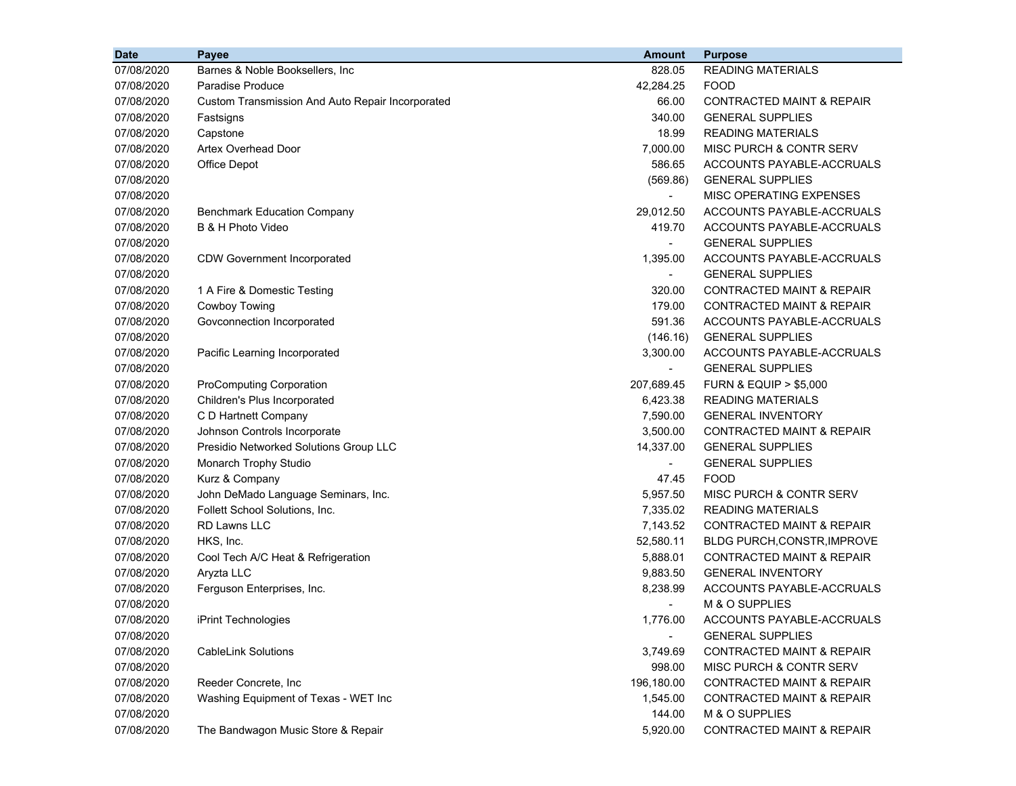| <b>Date</b> | Payee                                            | <b>Amount</b>            | <b>Purpose</b>                       |
|-------------|--------------------------------------------------|--------------------------|--------------------------------------|
| 07/08/2020  | Barnes & Noble Booksellers, Inc.                 | 828.05                   | <b>READING MATERIALS</b>             |
| 07/08/2020  | <b>Paradise Produce</b>                          | 42,284.25                | <b>FOOD</b>                          |
| 07/08/2020  | Custom Transmission And Auto Repair Incorporated | 66.00                    | CONTRACTED MAINT & REPAIR            |
| 07/08/2020  | Fastsigns                                        | 340.00                   | <b>GENERAL SUPPLIES</b>              |
| 07/08/2020  | Capstone                                         | 18.99                    | <b>READING MATERIALS</b>             |
| 07/08/2020  | <b>Artex Overhead Door</b>                       | 7,000.00                 | MISC PURCH & CONTR SERV              |
| 07/08/2020  | Office Depot                                     | 586.65                   | ACCOUNTS PAYABLE-ACCRUALS            |
| 07/08/2020  |                                                  | (569.86)                 | <b>GENERAL SUPPLIES</b>              |
| 07/08/2020  |                                                  |                          | MISC OPERATING EXPENSES              |
| 07/08/2020  | <b>Benchmark Education Company</b>               | 29,012.50                | ACCOUNTS PAYABLE-ACCRUALS            |
| 07/08/2020  | B & H Photo Video                                | 419.70                   | ACCOUNTS PAYABLE-ACCRUALS            |
| 07/08/2020  |                                                  | $\overline{\phantom{0}}$ | <b>GENERAL SUPPLIES</b>              |
| 07/08/2020  | <b>CDW Government Incorporated</b>               | 1,395.00                 | ACCOUNTS PAYABLE-ACCRUALS            |
| 07/08/2020  |                                                  | $\blacksquare$           | <b>GENERAL SUPPLIES</b>              |
| 07/08/2020  | 1 A Fire & Domestic Testing                      | 320.00                   | <b>CONTRACTED MAINT &amp; REPAIR</b> |
| 07/08/2020  | Cowboy Towing                                    | 179.00                   | <b>CONTRACTED MAINT &amp; REPAIR</b> |
| 07/08/2020  | Govconnection Incorporated                       | 591.36                   | ACCOUNTS PAYABLE-ACCRUALS            |
| 07/08/2020  |                                                  | (146.16)                 | <b>GENERAL SUPPLIES</b>              |
| 07/08/2020  | Pacific Learning Incorporated                    | 3,300.00                 | ACCOUNTS PAYABLE-ACCRUALS            |
| 07/08/2020  |                                                  | $\blacksquare$           | <b>GENERAL SUPPLIES</b>              |
| 07/08/2020  | <b>ProComputing Corporation</b>                  | 207,689.45               | <b>FURN &amp; EQUIP &gt; \$5,000</b> |
| 07/08/2020  | Children's Plus Incorporated                     | 6,423.38                 | <b>READING MATERIALS</b>             |
| 07/08/2020  | C D Hartnett Company                             | 7,590.00                 | <b>GENERAL INVENTORY</b>             |
| 07/08/2020  | Johnson Controls Incorporate                     | 3,500.00                 | CONTRACTED MAINT & REPAIR            |
| 07/08/2020  | Presidio Networked Solutions Group LLC           | 14,337.00                | <b>GENERAL SUPPLIES</b>              |
| 07/08/2020  | Monarch Trophy Studio                            | $\blacksquare$           | <b>GENERAL SUPPLIES</b>              |
| 07/08/2020  | Kurz & Company                                   | 47.45                    | <b>FOOD</b>                          |
| 07/08/2020  | John DeMado Language Seminars, Inc.              | 5,957.50                 | MISC PURCH & CONTR SERV              |
| 07/08/2020  | Follett School Solutions, Inc.                   | 7,335.02                 | <b>READING MATERIALS</b>             |
| 07/08/2020  | <b>RD Lawns LLC</b>                              | 7,143.52                 | <b>CONTRACTED MAINT &amp; REPAIR</b> |
| 07/08/2020  | HKS, Inc.                                        | 52,580.11                | <b>BLDG PURCH, CONSTR, IMPROVE</b>   |
| 07/08/2020  | Cool Tech A/C Heat & Refrigeration               | 5,888.01                 | <b>CONTRACTED MAINT &amp; REPAIR</b> |
| 07/08/2020  | Aryzta LLC                                       | 9,883.50                 | <b>GENERAL INVENTORY</b>             |
| 07/08/2020  | Ferguson Enterprises, Inc.                       | 8,238.99                 | ACCOUNTS PAYABLE-ACCRUALS            |
| 07/08/2020  |                                                  |                          | M & O SUPPLIES                       |
| 07/08/2020  | iPrint Technologies                              | 1,776.00                 | ACCOUNTS PAYABLE-ACCRUALS            |
| 07/08/2020  |                                                  | $\blacksquare$           | <b>GENERAL SUPPLIES</b>              |
| 07/08/2020  | <b>CableLink Solutions</b>                       | 3,749.69                 | <b>CONTRACTED MAINT &amp; REPAIR</b> |
| 07/08/2020  |                                                  | 998.00                   | MISC PURCH & CONTR SERV              |
| 07/08/2020  | Reeder Concrete, Inc                             | 196,180.00               | CONTRACTED MAINT & REPAIR            |
| 07/08/2020  | Washing Equipment of Texas - WET Inc             | 1,545.00                 | CONTRACTED MAINT & REPAIR            |
| 07/08/2020  |                                                  | 144.00                   | M & O SUPPLIES                       |
| 07/08/2020  | The Bandwagon Music Store & Repair               | 5,920.00                 | <b>CONTRACTED MAINT &amp; REPAIR</b> |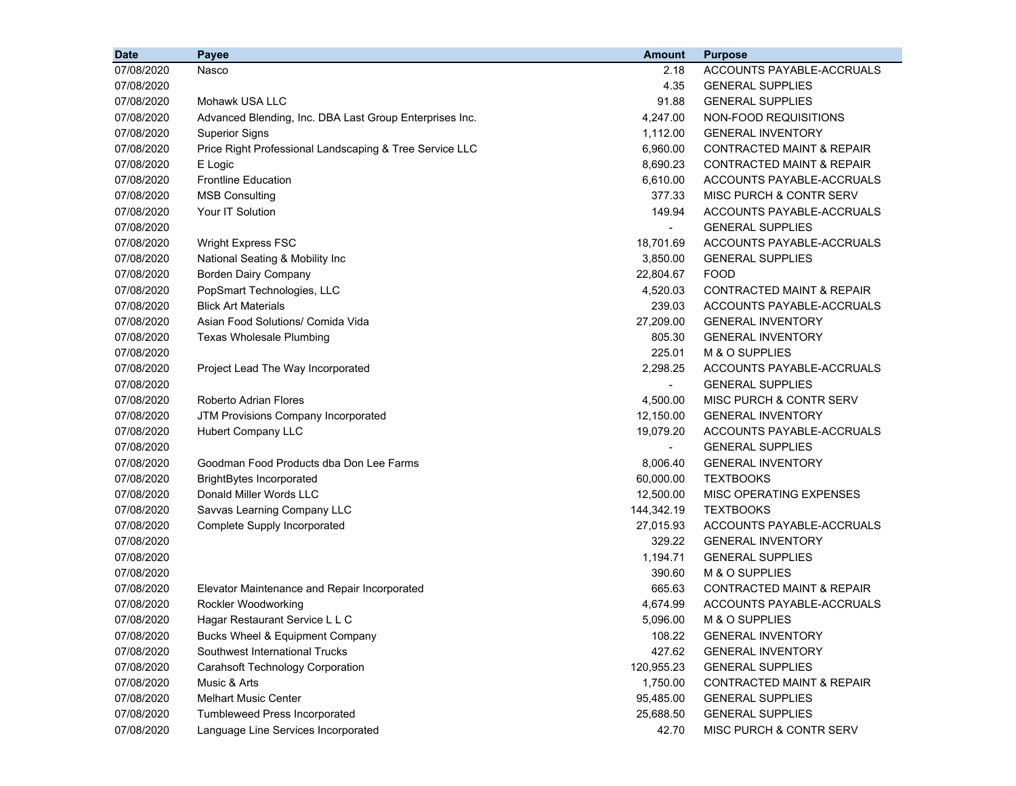| <b>Date</b> | Payee                                                   | <b>Amount</b>            | <b>Purpose</b>                       |
|-------------|---------------------------------------------------------|--------------------------|--------------------------------------|
| 07/08/2020  | Nasco                                                   | 2.18                     | ACCOUNTS PAYABLE-ACCRUALS            |
| 07/08/2020  |                                                         | 4.35                     | <b>GENERAL SUPPLIES</b>              |
| 07/08/2020  | Mohawk USA LLC                                          | 91.88                    | <b>GENERAL SUPPLIES</b>              |
| 07/08/2020  | Advanced Blending, Inc. DBA Last Group Enterprises Inc. | 4,247.00                 | NON-FOOD REQUISITIONS                |
| 07/08/2020  | <b>Superior Signs</b>                                   | 1,112.00                 | <b>GENERAL INVENTORY</b>             |
| 07/08/2020  | Price Right Professional Landscaping & Tree Service LLC | 6,960.00                 | <b>CONTRACTED MAINT &amp; REPAIR</b> |
| 07/08/2020  | E Logic                                                 | 8,690.23                 | <b>CONTRACTED MAINT &amp; REPAIR</b> |
| 07/08/2020  | <b>Frontline Education</b>                              | 6,610.00                 | ACCOUNTS PAYABLE-ACCRUALS            |
| 07/08/2020  | <b>MSB Consulting</b>                                   | 377.33                   | MISC PURCH & CONTR SERV              |
| 07/08/2020  | Your IT Solution                                        | 149.94                   | ACCOUNTS PAYABLE-ACCRUALS            |
| 07/08/2020  |                                                         |                          | <b>GENERAL SUPPLIES</b>              |
| 07/08/2020  | <b>Wright Express FSC</b>                               | 18,701.69                | ACCOUNTS PAYABLE-ACCRUALS            |
| 07/08/2020  | National Seating & Mobility Inc                         | 3,850.00                 | <b>GENERAL SUPPLIES</b>              |
| 07/08/2020  | <b>Borden Dairy Company</b>                             | 22,804.67                | <b>FOOD</b>                          |
| 07/08/2020  | PopSmart Technologies, LLC                              | 4,520.03                 | CONTRACTED MAINT & REPAIR            |
| 07/08/2020  | <b>Blick Art Materials</b>                              | 239.03                   | ACCOUNTS PAYABLE-ACCRUALS            |
| 07/08/2020  | Asian Food Solutions/ Comida Vida                       | 27,209.00                | <b>GENERAL INVENTORY</b>             |
| 07/08/2020  | <b>Texas Wholesale Plumbing</b>                         | 805.30                   | <b>GENERAL INVENTORY</b>             |
| 07/08/2020  |                                                         | 225.01                   | M & O SUPPLIES                       |
| 07/08/2020  | Project Lead The Way Incorporated                       | 2,298.25                 | ACCOUNTS PAYABLE-ACCRUALS            |
| 07/08/2020  |                                                         | ۰.                       | <b>GENERAL SUPPLIES</b>              |
| 07/08/2020  | <b>Roberto Adrian Flores</b>                            | 4,500.00                 | MISC PURCH & CONTR SERV              |
| 07/08/2020  | JTM Provisions Company Incorporated                     | 12,150.00                | <b>GENERAL INVENTORY</b>             |
| 07/08/2020  | Hubert Company LLC                                      | 19,079.20                | ACCOUNTS PAYABLE-ACCRUALS            |
| 07/08/2020  |                                                         | $\overline{\phantom{0}}$ | <b>GENERAL SUPPLIES</b>              |
| 07/08/2020  | Goodman Food Products dba Don Lee Farms                 | 8,006.40                 | <b>GENERAL INVENTORY</b>             |
| 07/08/2020  | <b>BrightBytes Incorporated</b>                         | 60,000.00                | <b>TEXTBOOKS</b>                     |
| 07/08/2020  | Donald Miller Words LLC                                 | 12,500.00                | MISC OPERATING EXPENSES              |
| 07/08/2020  | Savvas Learning Company LLC                             | 144,342.19               | <b>TEXTBOOKS</b>                     |
| 07/08/2020  | Complete Supply Incorporated                            | 27,015.93                | ACCOUNTS PAYABLE-ACCRUALS            |
| 07/08/2020  |                                                         | 329.22                   | <b>GENERAL INVENTORY</b>             |
| 07/08/2020  |                                                         | 1,194.71                 | <b>GENERAL SUPPLIES</b>              |
| 07/08/2020  |                                                         | 390.60                   | M & O SUPPLIES                       |
| 07/08/2020  | Elevator Maintenance and Repair Incorporated            | 665.63                   | <b>CONTRACTED MAINT &amp; REPAIR</b> |
| 07/08/2020  | Rockler Woodworking                                     | 4,674.99                 | ACCOUNTS PAYABLE-ACCRUALS            |
| 07/08/2020  | Hagar Restaurant Service L L C                          | 5,096.00                 | M & O SUPPLIES                       |
| 07/08/2020  | Bucks Wheel & Equipment Company                         | 108.22                   | <b>GENERAL INVENTORY</b>             |
| 07/08/2020  | Southwest International Trucks                          | 427.62                   | <b>GENERAL INVENTORY</b>             |
| 07/08/2020  | <b>Carahsoft Technology Corporation</b>                 | 120,955.23               | <b>GENERAL SUPPLIES</b>              |
| 07/08/2020  | Music & Arts                                            | 1,750.00                 | CONTRACTED MAINT & REPAIR            |
| 07/08/2020  | <b>Melhart Music Center</b>                             | 95,485.00                | <b>GENERAL SUPPLIES</b>              |
| 07/08/2020  | Tumbleweed Press Incorporated                           | 25,688.50                | <b>GENERAL SUPPLIES</b>              |
| 07/08/2020  | Language Line Services Incorporated                     | 42.70                    | MISC PURCH & CONTR SERV              |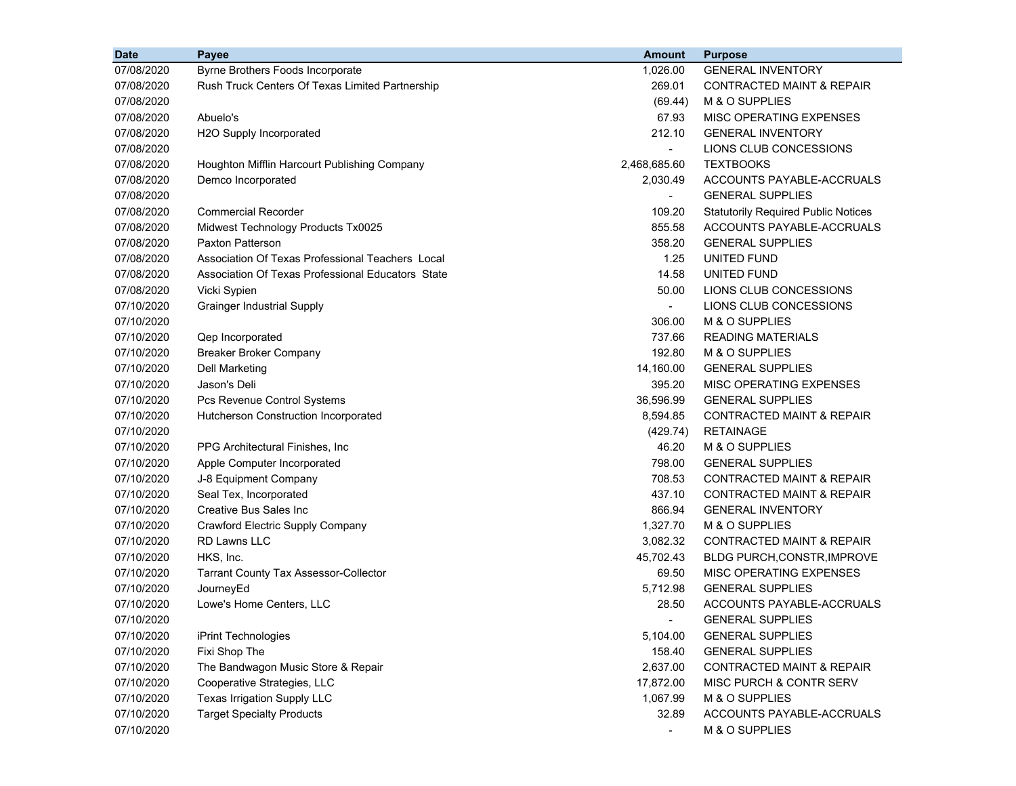| <b>Date</b> | Payee                                             | <b>Amount</b>            | <b>Purpose</b>                             |
|-------------|---------------------------------------------------|--------------------------|--------------------------------------------|
| 07/08/2020  | Byrne Brothers Foods Incorporate                  | 1,026.00                 | <b>GENERAL INVENTORY</b>                   |
| 07/08/2020  | Rush Truck Centers Of Texas Limited Partnership   | 269.01                   | <b>CONTRACTED MAINT &amp; REPAIR</b>       |
| 07/08/2020  |                                                   | (69.44)                  | M & O SUPPLIES                             |
| 07/08/2020  | Abuelo's                                          | 67.93                    | MISC OPERATING EXPENSES                    |
| 07/08/2020  | H2O Supply Incorporated                           | 212.10                   | <b>GENERAL INVENTORY</b>                   |
| 07/08/2020  |                                                   | $\overline{\phantom{0}}$ | LIONS CLUB CONCESSIONS                     |
| 07/08/2020  | Houghton Mifflin Harcourt Publishing Company      | 2,468,685.60             | <b>TEXTBOOKS</b>                           |
| 07/08/2020  | Demco Incorporated                                | 2,030.49                 | ACCOUNTS PAYABLE-ACCRUALS                  |
| 07/08/2020  |                                                   |                          | <b>GENERAL SUPPLIES</b>                    |
| 07/08/2020  | <b>Commercial Recorder</b>                        | 109.20                   | <b>Statutorily Required Public Notices</b> |
| 07/08/2020  | Midwest Technology Products Tx0025                | 855.58                   | ACCOUNTS PAYABLE-ACCRUALS                  |
| 07/08/2020  | <b>Paxton Patterson</b>                           | 358.20                   | <b>GENERAL SUPPLIES</b>                    |
| 07/08/2020  | Association Of Texas Professional Teachers Local  | 1.25                     | UNITED FUND                                |
| 07/08/2020  | Association Of Texas Professional Educators State | 14.58                    | UNITED FUND                                |
| 07/08/2020  | Vicki Sypien                                      | 50.00                    | LIONS CLUB CONCESSIONS                     |
| 07/10/2020  | <b>Grainger Industrial Supply</b>                 | $\blacksquare$           | LIONS CLUB CONCESSIONS                     |
| 07/10/2020  |                                                   | 306.00                   | M & O SUPPLIES                             |
| 07/10/2020  | Qep Incorporated                                  | 737.66                   | <b>READING MATERIALS</b>                   |
| 07/10/2020  | <b>Breaker Broker Company</b>                     | 192.80                   | M & O SUPPLIES                             |
| 07/10/2020  | <b>Dell Marketing</b>                             | 14,160.00                | <b>GENERAL SUPPLIES</b>                    |
| 07/10/2020  | Jason's Deli                                      | 395.20                   | MISC OPERATING EXPENSES                    |
| 07/10/2020  | Pcs Revenue Control Systems                       | 36,596.99                | <b>GENERAL SUPPLIES</b>                    |
| 07/10/2020  | Hutcherson Construction Incorporated              | 8,594.85                 | <b>CONTRACTED MAINT &amp; REPAIR</b>       |
| 07/10/2020  |                                                   | (429.74)                 | <b>RETAINAGE</b>                           |
| 07/10/2020  | PPG Architectural Finishes, Inc.                  | 46.20                    | M & O SUPPLIES                             |
| 07/10/2020  | Apple Computer Incorporated                       | 798.00                   | <b>GENERAL SUPPLIES</b>                    |
| 07/10/2020  | J-8 Equipment Company                             | 708.53                   | <b>CONTRACTED MAINT &amp; REPAIR</b>       |
| 07/10/2020  | Seal Tex, Incorporated                            | 437.10                   | <b>CONTRACTED MAINT &amp; REPAIR</b>       |
| 07/10/2020  | <b>Creative Bus Sales Inc</b>                     | 866.94                   | <b>GENERAL INVENTORY</b>                   |
| 07/10/2020  | Crawford Electric Supply Company                  | 1,327.70                 | M & O SUPPLIES                             |
| 07/10/2020  | <b>RD Lawns LLC</b>                               | 3,082.32                 | CONTRACTED MAINT & REPAIR                  |
| 07/10/2020  | HKS, Inc.                                         | 45,702.43                | <b>BLDG PURCH, CONSTR, IMPROVE</b>         |
| 07/10/2020  | <b>Tarrant County Tax Assessor-Collector</b>      | 69.50                    | MISC OPERATING EXPENSES                    |
| 07/10/2020  | JourneyEd                                         | 5,712.98                 | <b>GENERAL SUPPLIES</b>                    |
| 07/10/2020  | Lowe's Home Centers, LLC                          | 28.50                    | ACCOUNTS PAYABLE-ACCRUALS                  |
| 07/10/2020  |                                                   |                          | <b>GENERAL SUPPLIES</b>                    |
| 07/10/2020  | iPrint Technologies                               | 5,104.00                 | <b>GENERAL SUPPLIES</b>                    |
| 07/10/2020  | Fixi Shop The                                     | 158.40                   | <b>GENERAL SUPPLIES</b>                    |
| 07/10/2020  | The Bandwagon Music Store & Repair                | 2,637.00                 | <b>CONTRACTED MAINT &amp; REPAIR</b>       |
| 07/10/2020  | Cooperative Strategies, LLC                       | 17,872.00                | MISC PURCH & CONTR SERV                    |
| 07/10/2020  | Texas Irrigation Supply LLC                       | 1,067.99                 | M & O SUPPLIES                             |
| 07/10/2020  | <b>Target Specialty Products</b>                  | 32.89                    | ACCOUNTS PAYABLE-ACCRUALS                  |
| 07/10/2020  |                                                   |                          | M & O SUPPLIES                             |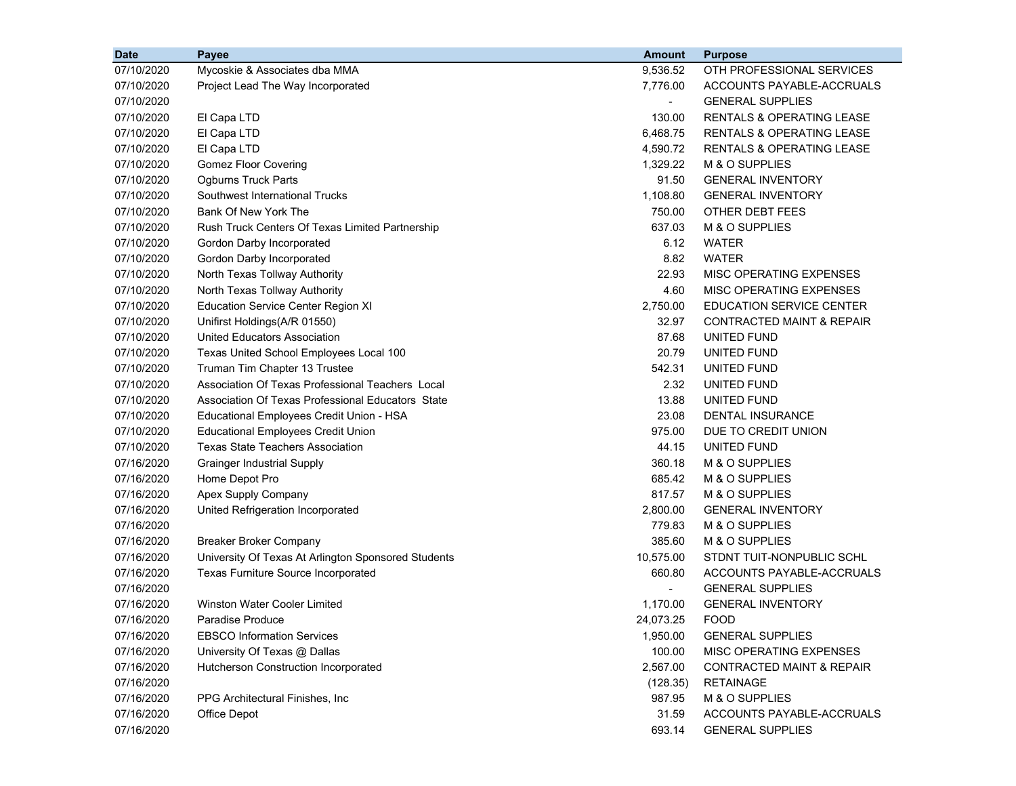| <b>Date</b> | Payee                                               | <b>Amount</b>  | <b>Purpose</b>                       |
|-------------|-----------------------------------------------------|----------------|--------------------------------------|
| 07/10/2020  | Mycoskie & Associates dba MMA                       | 9,536.52       | OTH PROFESSIONAL SERVICES            |
| 07/10/2020  | Project Lead The Way Incorporated                   | 7,776.00       | ACCOUNTS PAYABLE-ACCRUALS            |
| 07/10/2020  |                                                     | $\blacksquare$ | <b>GENERAL SUPPLIES</b>              |
| 07/10/2020  | El Capa LTD                                         | 130.00         | <b>RENTALS &amp; OPERATING LEASE</b> |
| 07/10/2020  | El Capa LTD                                         | 6,468.75       | RENTALS & OPERATING LEASE            |
| 07/10/2020  | El Capa LTD                                         | 4,590.72       | <b>RENTALS &amp; OPERATING LEASE</b> |
| 07/10/2020  | <b>Gomez Floor Covering</b>                         | 1,329.22       | M & O SUPPLIES                       |
| 07/10/2020  | <b>Ogburns Truck Parts</b>                          | 91.50          | <b>GENERAL INVENTORY</b>             |
| 07/10/2020  | Southwest International Trucks                      | 1,108.80       | <b>GENERAL INVENTORY</b>             |
| 07/10/2020  | Bank Of New York The                                | 750.00         | <b>OTHER DEBT FEES</b>               |
| 07/10/2020  | Rush Truck Centers Of Texas Limited Partnership     | 637.03         | M & O SUPPLIES                       |
| 07/10/2020  | Gordon Darby Incorporated                           | 6.12           | WATER                                |
| 07/10/2020  | Gordon Darby Incorporated                           | 8.82           | <b>WATER</b>                         |
| 07/10/2020  | North Texas Tollway Authority                       | 22.93          | MISC OPERATING EXPENSES              |
| 07/10/2020  | North Texas Tollway Authority                       | 4.60           | MISC OPERATING EXPENSES              |
| 07/10/2020  | <b>Education Service Center Region XI</b>           | 2,750.00       | EDUCATION SERVICE CENTER             |
| 07/10/2020  | Unifirst Holdings(A/R 01550)                        | 32.97          | <b>CONTRACTED MAINT &amp; REPAIR</b> |
| 07/10/2020  | United Educators Association                        | 87.68          | UNITED FUND                          |
| 07/10/2020  | Texas United School Employees Local 100             | 20.79          | UNITED FUND                          |
| 07/10/2020  | Truman Tim Chapter 13 Trustee                       | 542.31         | UNITED FUND                          |
| 07/10/2020  | Association Of Texas Professional Teachers Local    | 2.32           | UNITED FUND                          |
| 07/10/2020  | Association Of Texas Professional Educators State   | 13.88          | UNITED FUND                          |
| 07/10/2020  | Educational Employees Credit Union - HSA            | 23.08          | <b>DENTAL INSURANCE</b>              |
| 07/10/2020  | <b>Educational Employees Credit Union</b>           | 975.00         | DUE TO CREDIT UNION                  |
| 07/10/2020  | Texas State Teachers Association                    | 44.15          | UNITED FUND                          |
| 07/16/2020  | <b>Grainger Industrial Supply</b>                   | 360.18         | M & O SUPPLIES                       |
| 07/16/2020  | Home Depot Pro                                      | 685.42         | M & O SUPPLIES                       |
| 07/16/2020  | Apex Supply Company                                 | 817.57         | M & O SUPPLIES                       |
| 07/16/2020  | United Refrigeration Incorporated                   | 2,800.00       | <b>GENERAL INVENTORY</b>             |
| 07/16/2020  |                                                     | 779.83         | M & O SUPPLIES                       |
| 07/16/2020  | <b>Breaker Broker Company</b>                       | 385.60         | M & O SUPPLIES                       |
| 07/16/2020  | University Of Texas At Arlington Sponsored Students | 10,575.00      | STDNT TUIT-NONPUBLIC SCHL            |
| 07/16/2020  | Texas Furniture Source Incorporated                 | 660.80         | ACCOUNTS PAYABLE-ACCRUALS            |
| 07/16/2020  |                                                     |                | <b>GENERAL SUPPLIES</b>              |
| 07/16/2020  | Winston Water Cooler Limited                        | 1,170.00       | <b>GENERAL INVENTORY</b>             |
| 07/16/2020  | Paradise Produce                                    | 24,073.25      | <b>FOOD</b>                          |
| 07/16/2020  | <b>EBSCO Information Services</b>                   | 1,950.00       | <b>GENERAL SUPPLIES</b>              |
| 07/16/2020  | University Of Texas @ Dallas                        | 100.00         | MISC OPERATING EXPENSES              |
| 07/16/2020  | Hutcherson Construction Incorporated                | 2,567.00       | CONTRACTED MAINT & REPAIR            |
| 07/16/2020  |                                                     | (128.35)       | <b>RETAINAGE</b>                     |
| 07/16/2020  | PPG Architectural Finishes, Inc.                    | 987.95         | M & O SUPPLIES                       |
| 07/16/2020  | Office Depot                                        | 31.59          | ACCOUNTS PAYABLE-ACCRUALS            |
| 07/16/2020  |                                                     | 693.14         | <b>GENERAL SUPPLIES</b>              |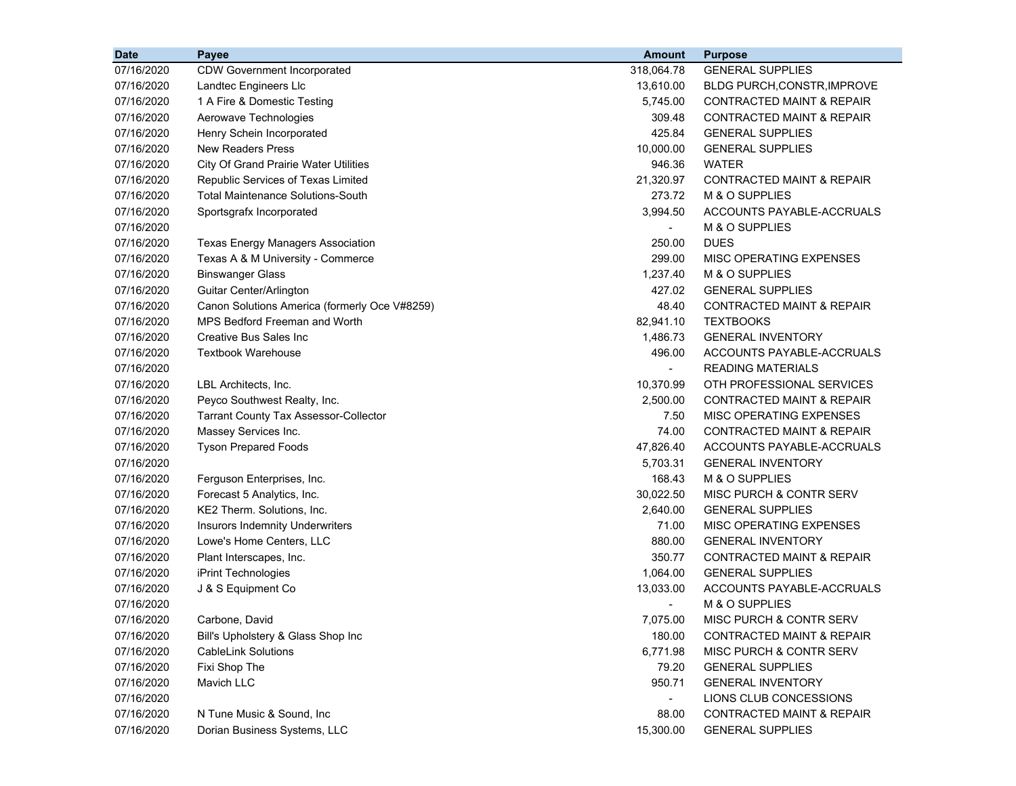| <b>Date</b><br>Payee                                           | <b>Amount</b><br><b>Purpose</b>                   |  |
|----------------------------------------------------------------|---------------------------------------------------|--|
| 07/16/2020<br>318,064.78<br><b>CDW Government Incorporated</b> | <b>GENERAL SUPPLIES</b>                           |  |
| 07/16/2020<br>Landtec Engineers Llc                            | 13,610.00<br><b>BLDG PURCH, CONSTR, IMPROVE</b>   |  |
| 07/16/2020<br>1 A Fire & Domestic Testing                      | 5,745.00<br><b>CONTRACTED MAINT &amp; REPAIR</b>  |  |
| 07/16/2020<br>Aerowave Technologies                            | 309.48<br><b>CONTRACTED MAINT &amp; REPAIR</b>    |  |
| 07/16/2020<br>Henry Schein Incorporated                        | 425.84<br><b>GENERAL SUPPLIES</b>                 |  |
| <b>New Readers Press</b><br>07/16/2020                         | <b>GENERAL SUPPLIES</b><br>10,000.00              |  |
| 07/16/2020<br><b>City Of Grand Prairie Water Utilities</b>     | 946.36<br><b>WATER</b>                            |  |
| 07/16/2020<br>Republic Services of Texas Limited               | 21,320.97<br><b>CONTRACTED MAINT &amp; REPAIR</b> |  |
| 07/16/2020<br><b>Total Maintenance Solutions-South</b>         | 273.72<br>M & O SUPPLIES                          |  |
| 07/16/2020<br>Sportsgrafx Incorporated                         | 3,994.50<br>ACCOUNTS PAYABLE-ACCRUALS             |  |
| 07/16/2020                                                     | M & O SUPPLIES                                    |  |
| 07/16/2020<br>Texas Energy Managers Association                | 250.00<br><b>DUES</b>                             |  |
| 07/16/2020<br>Texas A & M University - Commerce                | 299.00<br>MISC OPERATING EXPENSES                 |  |
| 07/16/2020<br><b>Binswanger Glass</b>                          | 1,237.40<br>M & O SUPPLIES                        |  |
| 07/16/2020<br>Guitar Center/Arlington                          | 427.02<br><b>GENERAL SUPPLIES</b>                 |  |
| 07/16/2020<br>Canon Solutions America (formerly Oce V#8259)    | 48.40<br><b>CONTRACTED MAINT &amp; REPAIR</b>     |  |
| 07/16/2020<br>MPS Bedford Freeman and Worth                    | 82,941.10<br><b>TEXTBOOKS</b>                     |  |
| 07/16/2020<br>Creative Bus Sales Inc                           | 1,486.73<br><b>GENERAL INVENTORY</b>              |  |
| 07/16/2020<br><b>Textbook Warehouse</b>                        | 496.00<br>ACCOUNTS PAYABLE-ACCRUALS               |  |
| 07/16/2020                                                     | <b>READING MATERIALS</b><br>$\blacksquare$        |  |
| 07/16/2020<br>LBL Architects, Inc.                             | 10,370.99<br>OTH PROFESSIONAL SERVICES            |  |
| 07/16/2020<br>Peyco Southwest Realty, Inc.                     | 2,500.00<br><b>CONTRACTED MAINT &amp; REPAIR</b>  |  |
| 07/16/2020<br><b>Tarrant County Tax Assessor-Collector</b>     | 7.50<br>MISC OPERATING EXPENSES                   |  |
| 07/16/2020<br>Massey Services Inc.                             | 74.00<br>CONTRACTED MAINT & REPAIR                |  |
| 07/16/2020<br><b>Tyson Prepared Foods</b>                      | 47,826.40<br>ACCOUNTS PAYABLE-ACCRUALS            |  |
| 07/16/2020                                                     | 5,703.31<br><b>GENERAL INVENTORY</b>              |  |
| 07/16/2020<br>Ferguson Enterprises, Inc.                       | 168.43<br>M & O SUPPLIES                          |  |
| 07/16/2020<br>Forecast 5 Analytics, Inc.                       | 30,022.50<br>MISC PURCH & CONTR SERV              |  |
| KE2 Therm. Solutions, Inc.<br>07/16/2020                       | 2,640.00<br><b>GENERAL SUPPLIES</b>               |  |
| 07/16/2020<br>Insurors Indemnity Underwriters                  | 71.00<br>MISC OPERATING EXPENSES                  |  |
| Lowe's Home Centers, LLC<br>07/16/2020                         | 880.00<br><b>GENERAL INVENTORY</b>                |  |
| 07/16/2020<br>Plant Interscapes, Inc.                          | 350.77<br><b>CONTRACTED MAINT &amp; REPAIR</b>    |  |
| 07/16/2020<br>iPrint Technologies                              | 1,064.00<br><b>GENERAL SUPPLIES</b>               |  |
| 07/16/2020<br>J & S Equipment Co                               | ACCOUNTS PAYABLE-ACCRUALS<br>13,033.00            |  |
| 07/16/2020                                                     | M & O SUPPLIES                                    |  |
| 07/16/2020<br>Carbone, David                                   | 7,075.00<br>MISC PURCH & CONTR SERV               |  |
| Bill's Upholstery & Glass Shop Inc<br>07/16/2020               | 180.00<br><b>CONTRACTED MAINT &amp; REPAIR</b>    |  |
| 07/16/2020<br><b>CableLink Solutions</b>                       | 6,771.98<br>MISC PURCH & CONTR SERV               |  |
| 07/16/2020<br>Fixi Shop The                                    | 79.20<br><b>GENERAL SUPPLIES</b>                  |  |
| 07/16/2020<br>Mavich LLC                                       | 950.71<br><b>GENERAL INVENTORY</b>                |  |
| 07/16/2020                                                     | LIONS CLUB CONCESSIONS<br>$\sim$                  |  |
| 07/16/2020<br>N Tune Music & Sound, Inc                        | 88.00<br><b>CONTRACTED MAINT &amp; REPAIR</b>     |  |
| 07/16/2020<br>Dorian Business Systems, LLC                     | 15,300.00<br><b>GENERAL SUPPLIES</b>              |  |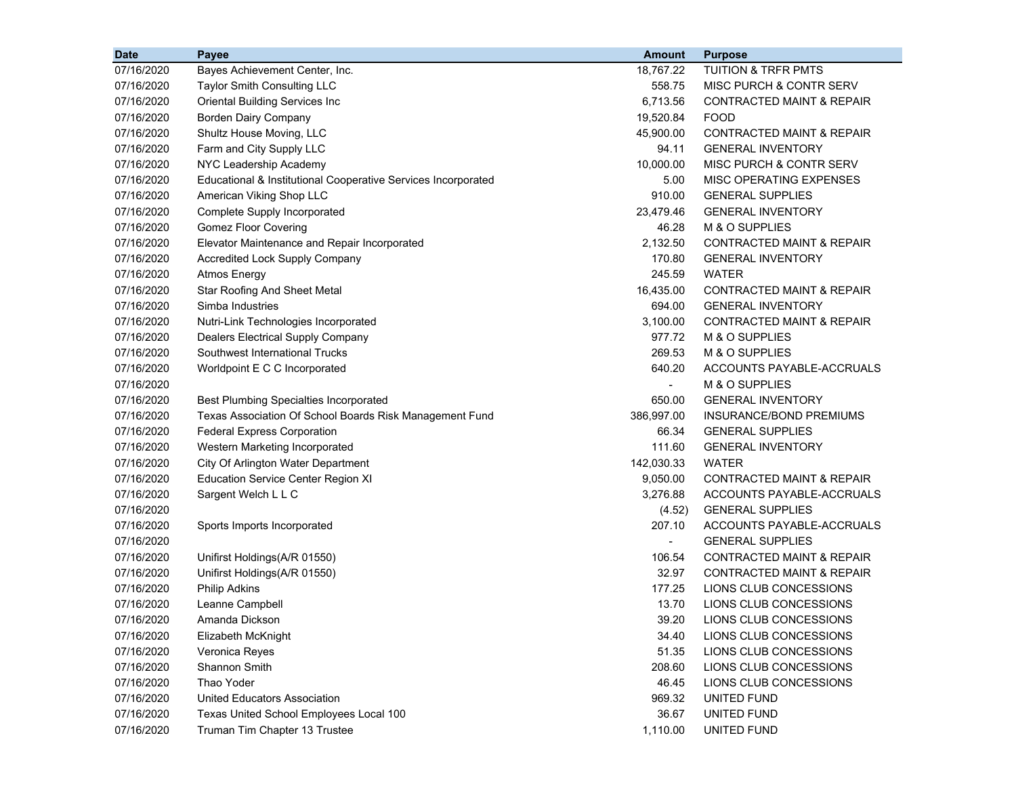| <b>Date</b> | Payee                                                         | <b>Amount</b>            | <b>Purpose</b>                       |
|-------------|---------------------------------------------------------------|--------------------------|--------------------------------------|
| 07/16/2020  | Bayes Achievement Center, Inc.                                | 18,767.22                | TUITION & TRFR PMTS                  |
| 07/16/2020  | <b>Taylor Smith Consulting LLC</b>                            | 558.75                   | <b>MISC PURCH &amp; CONTR SERV</b>   |
| 07/16/2020  | <b>Oriental Building Services Inc</b>                         | 6,713.56                 | <b>CONTRACTED MAINT &amp; REPAIR</b> |
| 07/16/2020  | <b>Borden Dairy Company</b>                                   | 19,520.84                | <b>FOOD</b>                          |
| 07/16/2020  | Shultz House Moving, LLC                                      | 45,900.00                | <b>CONTRACTED MAINT &amp; REPAIR</b> |
| 07/16/2020  | Farm and City Supply LLC                                      | 94.11                    | <b>GENERAL INVENTORY</b>             |
| 07/16/2020  | NYC Leadership Academy                                        | 10,000.00                | MISC PURCH & CONTR SERV              |
| 07/16/2020  | Educational & Institutional Cooperative Services Incorporated | 5.00                     | MISC OPERATING EXPENSES              |
| 07/16/2020  | American Viking Shop LLC                                      | 910.00                   | <b>GENERAL SUPPLIES</b>              |
| 07/16/2020  | Complete Supply Incorporated                                  | 23,479.46                | <b>GENERAL INVENTORY</b>             |
| 07/16/2020  | <b>Gomez Floor Covering</b>                                   | 46.28                    | M & O SUPPLIES                       |
| 07/16/2020  | Elevator Maintenance and Repair Incorporated                  | 2,132.50                 | <b>CONTRACTED MAINT &amp; REPAIR</b> |
| 07/16/2020  | Accredited Lock Supply Company                                | 170.80                   | <b>GENERAL INVENTORY</b>             |
| 07/16/2020  | <b>Atmos Energy</b>                                           | 245.59                   | <b>WATER</b>                         |
| 07/16/2020  | <b>Star Roofing And Sheet Metal</b>                           | 16,435.00                | <b>CONTRACTED MAINT &amp; REPAIR</b> |
| 07/16/2020  | Simba Industries                                              | 694.00                   | <b>GENERAL INVENTORY</b>             |
| 07/16/2020  | Nutri-Link Technologies Incorporated                          | 3,100.00                 | <b>CONTRACTED MAINT &amp; REPAIR</b> |
| 07/16/2020  | Dealers Electrical Supply Company                             | 977.72                   | M & O SUPPLIES                       |
| 07/16/2020  | Southwest International Trucks                                | 269.53                   | M & O SUPPLIES                       |
| 07/16/2020  | Worldpoint E C C Incorporated                                 | 640.20                   | ACCOUNTS PAYABLE-ACCRUALS            |
| 07/16/2020  |                                                               |                          | M & O SUPPLIES                       |
| 07/16/2020  | <b>Best Plumbing Specialties Incorporated</b>                 | 650.00                   | <b>GENERAL INVENTORY</b>             |
| 07/16/2020  | Texas Association Of School Boards Risk Management Fund       | 386,997.00               | INSURANCE/BOND PREMIUMS              |
| 07/16/2020  | <b>Federal Express Corporation</b>                            | 66.34                    | <b>GENERAL SUPPLIES</b>              |
| 07/16/2020  | Western Marketing Incorporated                                | 111.60                   | <b>GENERAL INVENTORY</b>             |
| 07/16/2020  | City Of Arlington Water Department                            | 142,030.33               | WATER                                |
| 07/16/2020  | <b>Education Service Center Region XI</b>                     | 9,050.00                 | <b>CONTRACTED MAINT &amp; REPAIR</b> |
| 07/16/2020  | Sargent Welch L L C                                           | 3,276.88                 | ACCOUNTS PAYABLE-ACCRUALS            |
| 07/16/2020  |                                                               | (4.52)                   | <b>GENERAL SUPPLIES</b>              |
| 07/16/2020  | Sports Imports Incorporated                                   | 207.10                   | ACCOUNTS PAYABLE-ACCRUALS            |
| 07/16/2020  |                                                               | $\overline{\phantom{a}}$ | <b>GENERAL SUPPLIES</b>              |
| 07/16/2020  | Unifirst Holdings(A/R 01550)                                  | 106.54                   | <b>CONTRACTED MAINT &amp; REPAIR</b> |
| 07/16/2020  | Unifirst Holdings(A/R 01550)                                  | 32.97                    | <b>CONTRACTED MAINT &amp; REPAIR</b> |
| 07/16/2020  | <b>Philip Adkins</b>                                          | 177.25                   | LIONS CLUB CONCESSIONS               |
| 07/16/2020  | Leanne Campbell                                               | 13.70                    | LIONS CLUB CONCESSIONS               |
| 07/16/2020  | Amanda Dickson                                                | 39.20                    | LIONS CLUB CONCESSIONS               |
| 07/16/2020  | Elizabeth McKnight                                            | 34.40                    | LIONS CLUB CONCESSIONS               |
| 07/16/2020  | Veronica Reyes                                                | 51.35                    | LIONS CLUB CONCESSIONS               |
| 07/16/2020  | Shannon Smith                                                 | 208.60                   | LIONS CLUB CONCESSIONS               |
| 07/16/2020  | Thao Yoder                                                    | 46.45                    | LIONS CLUB CONCESSIONS               |
| 07/16/2020  | <b>United Educators Association</b>                           | 969.32                   | UNITED FUND                          |
| 07/16/2020  | Texas United School Employees Local 100                       | 36.67                    | UNITED FUND                          |
| 07/16/2020  | Truman Tim Chapter 13 Trustee                                 | 1,110.00                 | UNITED FUND                          |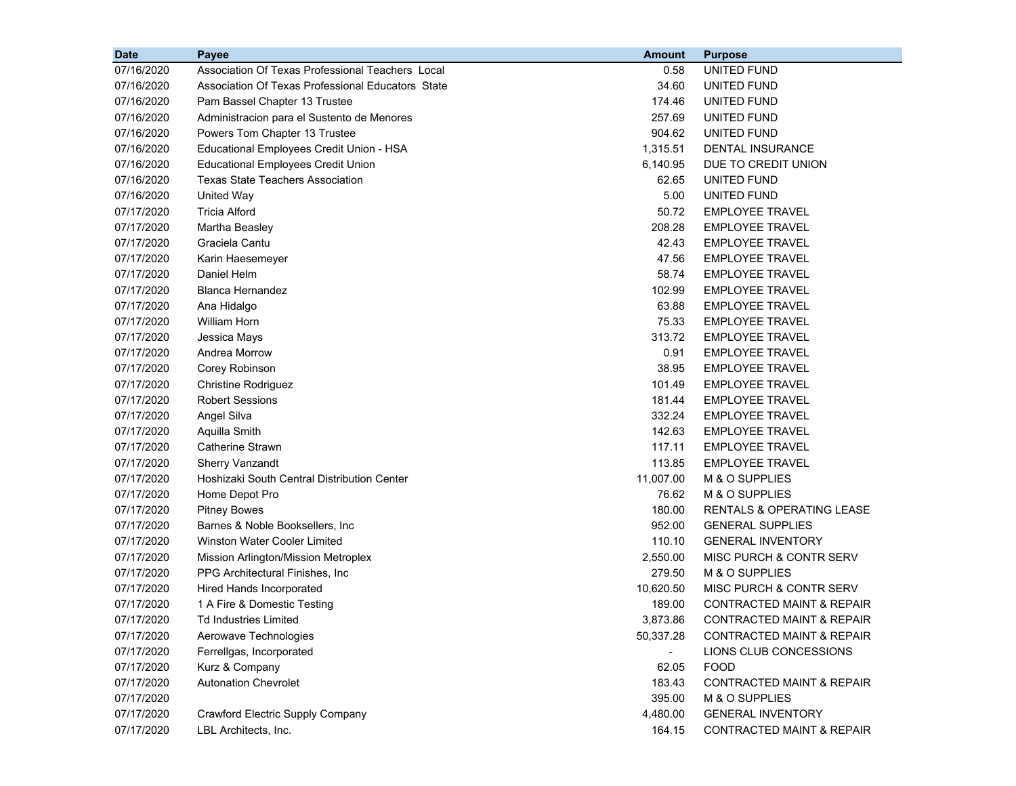| <b>Date</b> | Payee                                             | <b>Amount</b> | <b>Purpose</b>                       |
|-------------|---------------------------------------------------|---------------|--------------------------------------|
| 07/16/2020  | Association Of Texas Professional Teachers Local  | 0.58          | UNITED FUND                          |
| 07/16/2020  | Association Of Texas Professional Educators State | 34.60         | UNITED FUND                          |
| 07/16/2020  | Pam Bassel Chapter 13 Trustee                     | 174.46        | UNITED FUND                          |
| 07/16/2020  | Administracion para el Sustento de Menores        | 257.69        | UNITED FUND                          |
| 07/16/2020  | Powers Tom Chapter 13 Trustee                     | 904.62        | UNITED FUND                          |
| 07/16/2020  | Educational Employees Credit Union - HSA          | 1,315.51      | DENTAL INSURANCE                     |
| 07/16/2020  | <b>Educational Employees Credit Union</b>         | 6,140.95      | DUE TO CREDIT UNION                  |
| 07/16/2020  | <b>Texas State Teachers Association</b>           | 62.65         | <b>UNITED FUND</b>                   |
| 07/16/2020  | United Way                                        | 5.00          | UNITED FUND                          |
| 07/17/2020  | <b>Tricia Alford</b>                              | 50.72         | <b>EMPLOYEE TRAVEL</b>               |
| 07/17/2020  | Martha Beasley                                    | 208.28        | <b>EMPLOYEE TRAVEL</b>               |
| 07/17/2020  | Graciela Cantu                                    | 42.43         | <b>EMPLOYEE TRAVEL</b>               |
| 07/17/2020  | Karin Haesemeyer                                  | 47.56         | <b>EMPLOYEE TRAVEL</b>               |
| 07/17/2020  | Daniel Helm                                       | 58.74         | <b>EMPLOYEE TRAVEL</b>               |
| 07/17/2020  | <b>Blanca Hernandez</b>                           | 102.99        | <b>EMPLOYEE TRAVEL</b>               |
| 07/17/2020  | Ana Hidalgo                                       | 63.88         | <b>EMPLOYEE TRAVEL</b>               |
| 07/17/2020  | <b>William Horn</b>                               | 75.33         | <b>EMPLOYEE TRAVEL</b>               |
| 07/17/2020  | Jessica Mays                                      | 313.72        | <b>EMPLOYEE TRAVEL</b>               |
| 07/17/2020  | Andrea Morrow                                     | 0.91          | <b>EMPLOYEE TRAVEL</b>               |
| 07/17/2020  | Corey Robinson                                    | 38.95         | <b>EMPLOYEE TRAVEL</b>               |
| 07/17/2020  | <b>Christine Rodriguez</b>                        | 101.49        | <b>EMPLOYEE TRAVEL</b>               |
| 07/17/2020  | <b>Robert Sessions</b>                            | 181.44        | <b>EMPLOYEE TRAVEL</b>               |
| 07/17/2020  | Angel Silva                                       | 332.24        | <b>EMPLOYEE TRAVEL</b>               |
| 07/17/2020  | Aquilla Smith                                     | 142.63        | <b>EMPLOYEE TRAVEL</b>               |
| 07/17/2020  | Catherine Strawn                                  | 117.11        | <b>EMPLOYEE TRAVEL</b>               |
| 07/17/2020  | <b>Sherry Vanzandt</b>                            | 113.85        | <b>EMPLOYEE TRAVEL</b>               |
| 07/17/2020  | Hoshizaki South Central Distribution Center       | 11,007.00     | M & O SUPPLIES                       |
| 07/17/2020  | Home Depot Pro                                    | 76.62         | M & O SUPPLIES                       |
| 07/17/2020  | <b>Pitney Bowes</b>                               | 180.00        | RENTALS & OPERATING LEASE            |
| 07/17/2020  | Barnes & Noble Booksellers, Inc.                  | 952.00        | <b>GENERAL SUPPLIES</b>              |
| 07/17/2020  | Winston Water Cooler Limited                      | 110.10        | <b>GENERAL INVENTORY</b>             |
| 07/17/2020  | Mission Arlington/Mission Metroplex               | 2,550.00      | MISC PURCH & CONTR SERV              |
| 07/17/2020  | PPG Architectural Finishes, Inc.                  | 279.50        | M & O SUPPLIES                       |
| 07/17/2020  | Hired Hands Incorporated                          | 10,620.50     | MISC PURCH & CONTR SERV              |
| 07/17/2020  | 1 A Fire & Domestic Testing                       | 189.00        | CONTRACTED MAINT & REPAIR            |
| 07/17/2020  | Td Industries Limited                             | 3,873.86      | CONTRACTED MAINT & REPAIR            |
| 07/17/2020  | Aerowave Technologies                             | 50,337.28     | CONTRACTED MAINT & REPAIR            |
| 07/17/2020  | Ferrellgas, Incorporated                          |               | LIONS CLUB CONCESSIONS               |
| 07/17/2020  | Kurz & Company                                    | 62.05         | <b>FOOD</b>                          |
| 07/17/2020  | <b>Autonation Chevrolet</b>                       | 183.43        | CONTRACTED MAINT & REPAIR            |
| 07/17/2020  |                                                   | 395.00        | M & O SUPPLIES                       |
| 07/17/2020  | <b>Crawford Electric Supply Company</b>           | 4,480.00      | <b>GENERAL INVENTORY</b>             |
| 07/17/2020  | LBL Architects, Inc.                              | 164.15        | <b>CONTRACTED MAINT &amp; REPAIR</b> |
|             |                                                   |               |                                      |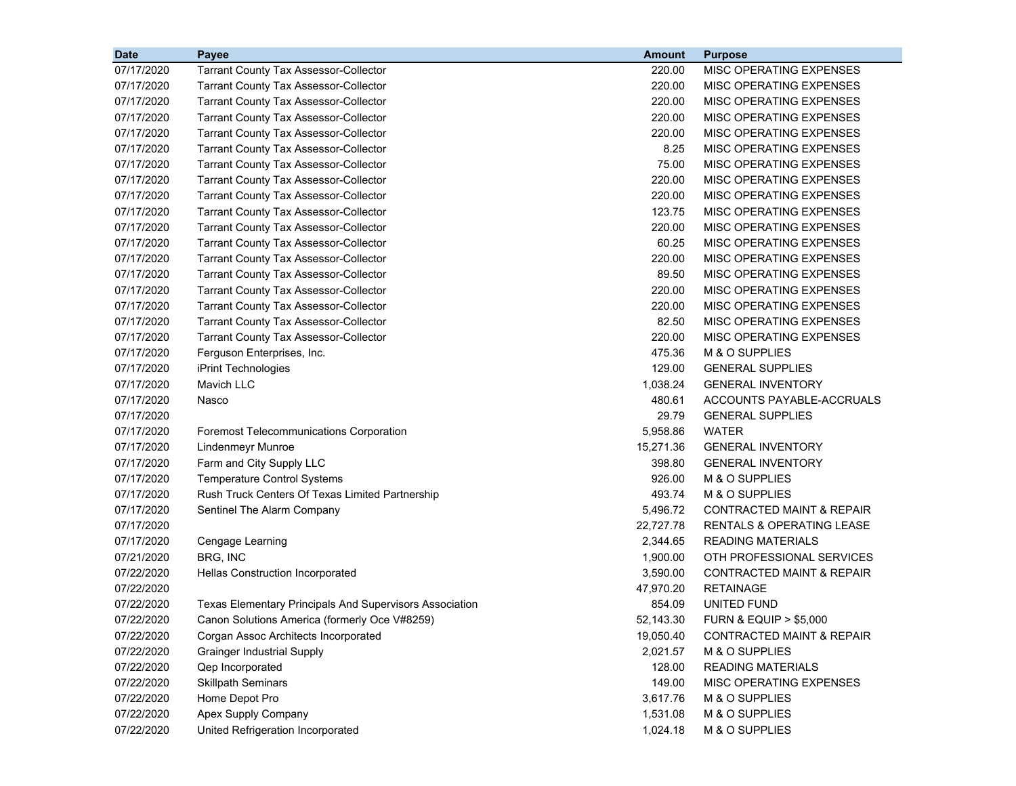| <b>Date</b> | Payee                                                   | <b>Amount</b> | <b>Purpose</b>                       |
|-------------|---------------------------------------------------------|---------------|--------------------------------------|
| 07/17/2020  | <b>Tarrant County Tax Assessor-Collector</b>            | 220.00        | MISC OPERATING EXPENSES              |
| 07/17/2020  | <b>Tarrant County Tax Assessor-Collector</b>            | 220.00        | MISC OPERATING EXPENSES              |
| 07/17/2020  | <b>Tarrant County Tax Assessor-Collector</b>            | 220.00        | MISC OPERATING EXPENSES              |
| 07/17/2020  | <b>Tarrant County Tax Assessor-Collector</b>            | 220.00        | MISC OPERATING EXPENSES              |
| 07/17/2020  | <b>Tarrant County Tax Assessor-Collector</b>            | 220.00        | MISC OPERATING EXPENSES              |
| 07/17/2020  | <b>Tarrant County Tax Assessor-Collector</b>            | 8.25          | MISC OPERATING EXPENSES              |
| 07/17/2020  | <b>Tarrant County Tax Assessor-Collector</b>            | 75.00         | MISC OPERATING EXPENSES              |
| 07/17/2020  | <b>Tarrant County Tax Assessor-Collector</b>            | 220.00        | <b>MISC OPERATING EXPENSES</b>       |
| 07/17/2020  | <b>Tarrant County Tax Assessor-Collector</b>            | 220.00        | MISC OPERATING EXPENSES              |
| 07/17/2020  | <b>Tarrant County Tax Assessor-Collector</b>            | 123.75        | MISC OPERATING EXPENSES              |
| 07/17/2020  | <b>Tarrant County Tax Assessor-Collector</b>            | 220.00        | MISC OPERATING EXPENSES              |
| 07/17/2020  | <b>Tarrant County Tax Assessor-Collector</b>            | 60.25         | MISC OPERATING EXPENSES              |
| 07/17/2020  | <b>Tarrant County Tax Assessor-Collector</b>            | 220.00        | MISC OPERATING EXPENSES              |
| 07/17/2020  | <b>Tarrant County Tax Assessor-Collector</b>            | 89.50         | MISC OPERATING EXPENSES              |
| 07/17/2020  | <b>Tarrant County Tax Assessor-Collector</b>            | 220.00        | MISC OPERATING EXPENSES              |
| 07/17/2020  | <b>Tarrant County Tax Assessor-Collector</b>            | 220.00        | MISC OPERATING EXPENSES              |
| 07/17/2020  | <b>Tarrant County Tax Assessor-Collector</b>            | 82.50         | <b>MISC OPERATING EXPENSES</b>       |
| 07/17/2020  | <b>Tarrant County Tax Assessor-Collector</b>            | 220.00        | MISC OPERATING EXPENSES              |
| 07/17/2020  | Ferguson Enterprises, Inc.                              | 475.36        | M & O SUPPLIES                       |
| 07/17/2020  | iPrint Technologies                                     | 129.00        | <b>GENERAL SUPPLIES</b>              |
| 07/17/2020  | <b>Mavich LLC</b>                                       | 1,038.24      | <b>GENERAL INVENTORY</b>             |
| 07/17/2020  | Nasco                                                   | 480.61        | ACCOUNTS PAYABLE-ACCRUALS            |
| 07/17/2020  |                                                         | 29.79         | <b>GENERAL SUPPLIES</b>              |
| 07/17/2020  | <b>Foremost Telecommunications Corporation</b>          | 5,958.86      | <b>WATER</b>                         |
| 07/17/2020  | Lindenmeyr Munroe                                       | 15,271.36     | <b>GENERAL INVENTORY</b>             |
| 07/17/2020  | Farm and City Supply LLC                                | 398.80        | <b>GENERAL INVENTORY</b>             |
| 07/17/2020  | <b>Temperature Control Systems</b>                      | 926.00        | M & O SUPPLIES                       |
| 07/17/2020  | Rush Truck Centers Of Texas Limited Partnership         | 493.74        | M & O SUPPLIES                       |
| 07/17/2020  | Sentinel The Alarm Company                              | 5,496.72      | <b>CONTRACTED MAINT &amp; REPAIR</b> |
| 07/17/2020  |                                                         | 22,727.78     | <b>RENTALS &amp; OPERATING LEASE</b> |
| 07/17/2020  | Cengage Learning                                        | 2,344.65      | <b>READING MATERIALS</b>             |
| 07/21/2020  | BRG, INC                                                | 1,900.00      | OTH PROFESSIONAL SERVICES            |
| 07/22/2020  | Hellas Construction Incorporated                        | 3,590.00      | <b>CONTRACTED MAINT &amp; REPAIR</b> |
| 07/22/2020  |                                                         | 47,970.20     | <b>RETAINAGE</b>                     |
| 07/22/2020  | Texas Elementary Principals And Supervisors Association | 854.09        | UNITED FUND                          |
| 07/22/2020  | Canon Solutions America (formerly Oce V#8259)           | 52,143.30     | <b>FURN &amp; EQUIP &gt; \$5,000</b> |
| 07/22/2020  | Corgan Assoc Architects Incorporated                    | 19,050.40     | <b>CONTRACTED MAINT &amp; REPAIR</b> |
| 07/22/2020  | <b>Grainger Industrial Supply</b>                       | 2,021.57      | M & O SUPPLIES                       |
| 07/22/2020  | Qep Incorporated                                        | 128.00        | <b>READING MATERIALS</b>             |
| 07/22/2020  | <b>Skillpath Seminars</b>                               | 149.00        | MISC OPERATING EXPENSES              |
| 07/22/2020  | Home Depot Pro                                          | 3,617.76      | M & O SUPPLIES                       |
| 07/22/2020  | Apex Supply Company                                     | 1,531.08      | M & O SUPPLIES                       |
| 07/22/2020  | United Refrigeration Incorporated                       | 1,024.18      | M & O SUPPLIES                       |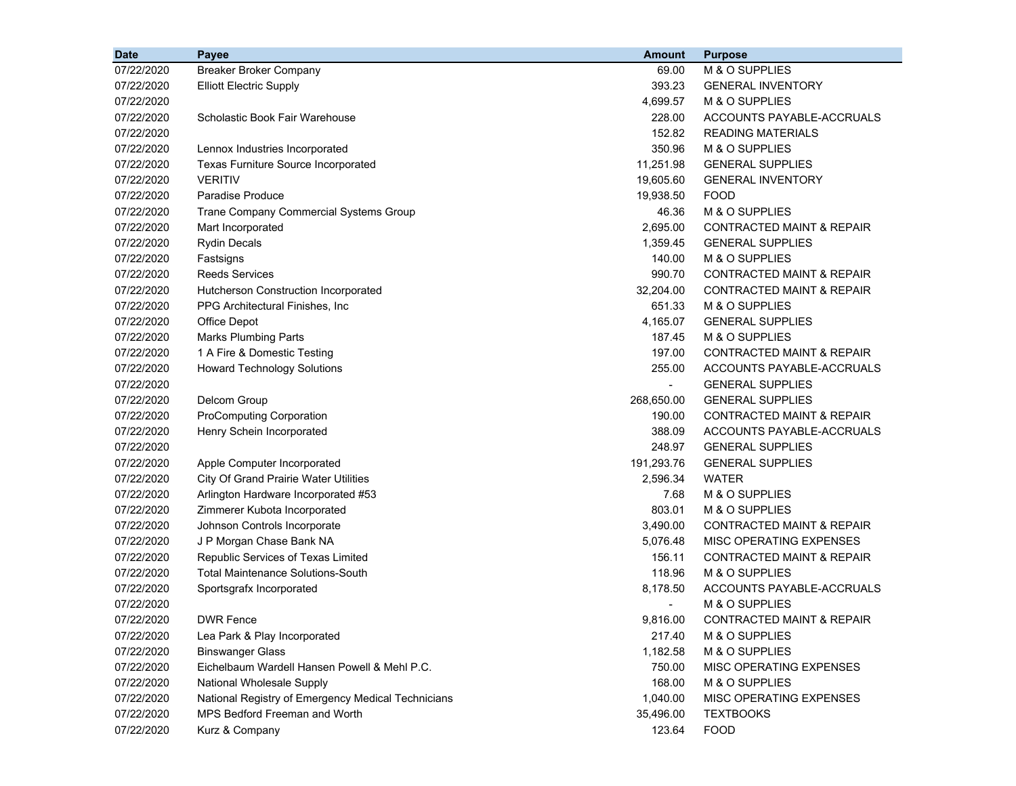| <b>Date</b> | Payee                                              | <b>Amount</b>  | <b>Purpose</b>                       |
|-------------|----------------------------------------------------|----------------|--------------------------------------|
| 07/22/2020  | <b>Breaker Broker Company</b>                      | 69.00          | M & O SUPPLIES                       |
| 07/22/2020  | <b>Elliott Electric Supply</b>                     | 393.23         | <b>GENERAL INVENTORY</b>             |
| 07/22/2020  |                                                    | 4,699.57       | M & O SUPPLIES                       |
| 07/22/2020  | Scholastic Book Fair Warehouse                     | 228.00         | ACCOUNTS PAYABLE-ACCRUALS            |
| 07/22/2020  |                                                    | 152.82         | <b>READING MATERIALS</b>             |
| 07/22/2020  | Lennox Industries Incorporated                     | 350.96         | M & O SUPPLIES                       |
| 07/22/2020  | <b>Texas Furniture Source Incorporated</b>         | 11,251.98      | <b>GENERAL SUPPLIES</b>              |
| 07/22/2020  | <b>VERITIV</b>                                     | 19,605.60      | <b>GENERAL INVENTORY</b>             |
| 07/22/2020  | <b>Paradise Produce</b>                            | 19,938.50      | <b>FOOD</b>                          |
| 07/22/2020  | <b>Trane Company Commercial Systems Group</b>      | 46.36          | M & O SUPPLIES                       |
| 07/22/2020  | Mart Incorporated                                  | 2,695.00       | <b>CONTRACTED MAINT &amp; REPAIR</b> |
| 07/22/2020  | <b>Rydin Decals</b>                                | 1,359.45       | <b>GENERAL SUPPLIES</b>              |
| 07/22/2020  | Fastsigns                                          | 140.00         | M & O SUPPLIES                       |
| 07/22/2020  | <b>Reeds Services</b>                              | 990.70         | CONTRACTED MAINT & REPAIR            |
| 07/22/2020  | Hutcherson Construction Incorporated               | 32,204.00      | <b>CONTRACTED MAINT &amp; REPAIR</b> |
| 07/22/2020  | PPG Architectural Finishes, Inc.                   | 651.33         | M & O SUPPLIES                       |
| 07/22/2020  | <b>Office Depot</b>                                | 4,165.07       | <b>GENERAL SUPPLIES</b>              |
| 07/22/2020  | <b>Marks Plumbing Parts</b>                        | 187.45         | M & O SUPPLIES                       |
| 07/22/2020  | 1 A Fire & Domestic Testing                        | 197.00         | <b>CONTRACTED MAINT &amp; REPAIR</b> |
| 07/22/2020  | <b>Howard Technology Solutions</b>                 | 255.00         | ACCOUNTS PAYABLE-ACCRUALS            |
| 07/22/2020  |                                                    | $\blacksquare$ | <b>GENERAL SUPPLIES</b>              |
| 07/22/2020  | Delcom Group                                       | 268,650.00     | <b>GENERAL SUPPLIES</b>              |
| 07/22/2020  | <b>ProComputing Corporation</b>                    | 190.00         | <b>CONTRACTED MAINT &amp; REPAIR</b> |
| 07/22/2020  | Henry Schein Incorporated                          | 388.09         | ACCOUNTS PAYABLE-ACCRUALS            |
| 07/22/2020  |                                                    | 248.97         | <b>GENERAL SUPPLIES</b>              |
| 07/22/2020  | Apple Computer Incorporated                        | 191,293.76     | <b>GENERAL SUPPLIES</b>              |
| 07/22/2020  | City Of Grand Prairie Water Utilities              | 2,596.34       | WATER                                |
| 07/22/2020  | Arlington Hardware Incorporated #53                | 7.68           | M & O SUPPLIES                       |
| 07/22/2020  | Zimmerer Kubota Incorporated                       | 803.01         | M & O SUPPLIES                       |
| 07/22/2020  | Johnson Controls Incorporate                       | 3,490.00       | <b>CONTRACTED MAINT &amp; REPAIR</b> |
| 07/22/2020  | J P Morgan Chase Bank NA                           | 5,076.48       | MISC OPERATING EXPENSES              |
| 07/22/2020  | Republic Services of Texas Limited                 | 156.11         | <b>CONTRACTED MAINT &amp; REPAIR</b> |
| 07/22/2020  | <b>Total Maintenance Solutions-South</b>           | 118.96         | M & O SUPPLIES                       |
| 07/22/2020  | Sportsgrafx Incorporated                           | 8,178.50       | ACCOUNTS PAYABLE-ACCRUALS            |
| 07/22/2020  |                                                    |                | M & O SUPPLIES                       |
| 07/22/2020  | <b>DWR Fence</b>                                   | 9,816.00       | CONTRACTED MAINT & REPAIR            |
| 07/22/2020  | Lea Park & Play Incorporated                       | 217.40         | M & O SUPPLIES                       |
| 07/22/2020  | <b>Binswanger Glass</b>                            | 1,182.58       | M & O SUPPLIES                       |
| 07/22/2020  | Eichelbaum Wardell Hansen Powell & Mehl P.C.       | 750.00         | MISC OPERATING EXPENSES              |
| 07/22/2020  | National Wholesale Supply                          | 168.00         | M & O SUPPLIES                       |
| 07/22/2020  | National Registry of Emergency Medical Technicians | 1,040.00       | MISC OPERATING EXPENSES              |
| 07/22/2020  | MPS Bedford Freeman and Worth                      | 35,496.00      | <b>TEXTBOOKS</b>                     |
| 07/22/2020  | Kurz & Company                                     | 123.64         | <b>FOOD</b>                          |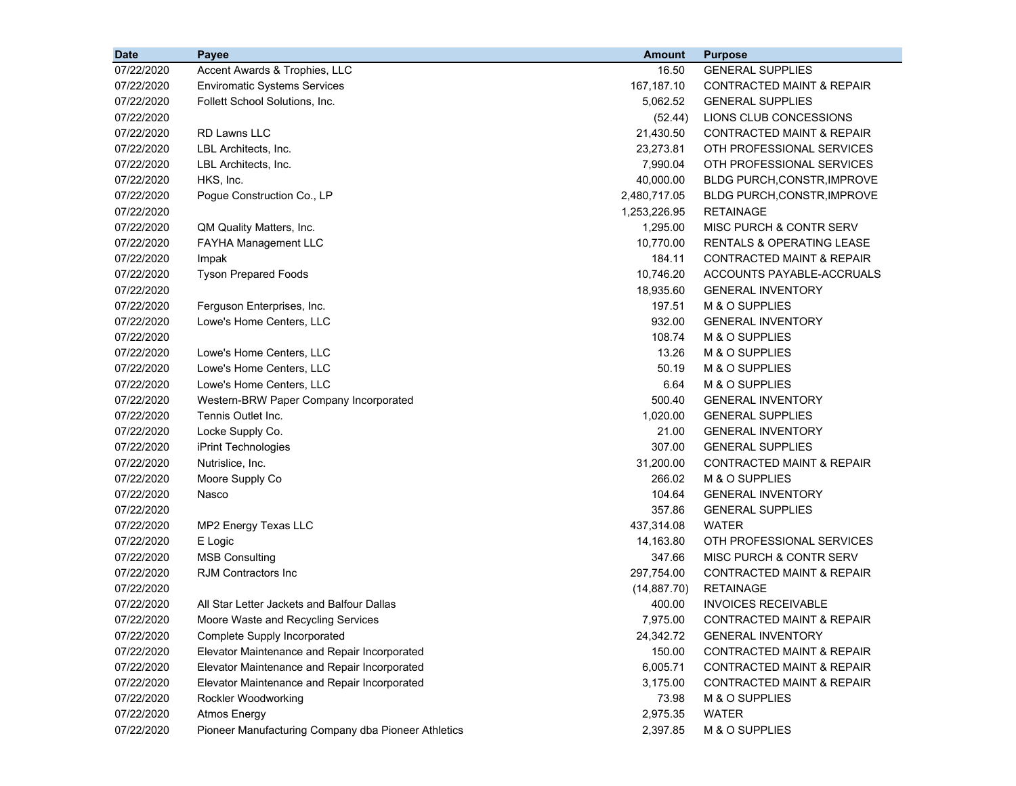| <b>Date</b> | Payee                                               | <b>Amount</b> | <b>Purpose</b>                       |
|-------------|-----------------------------------------------------|---------------|--------------------------------------|
| 07/22/2020  | Accent Awards & Trophies, LLC                       | 16.50         | <b>GENERAL SUPPLIES</b>              |
| 07/22/2020  | <b>Enviromatic Systems Services</b>                 | 167,187.10    | CONTRACTED MAINT & REPAIR            |
| 07/22/2020  | Follett School Solutions, Inc.                      | 5,062.52      | <b>GENERAL SUPPLIES</b>              |
| 07/22/2020  |                                                     | (52.44)       | LIONS CLUB CONCESSIONS               |
| 07/22/2020  | <b>RD Lawns LLC</b>                                 | 21,430.50     | <b>CONTRACTED MAINT &amp; REPAIR</b> |
| 07/22/2020  | LBL Architects, Inc.                                | 23,273.81     | OTH PROFESSIONAL SERVICES            |
| 07/22/2020  | LBL Architects, Inc.                                | 7,990.04      | OTH PROFESSIONAL SERVICES            |
| 07/22/2020  | HKS, Inc.                                           | 40,000.00     | <b>BLDG PURCH, CONSTR, IMPROVE</b>   |
| 07/22/2020  | Pogue Construction Co., LP                          | 2,480,717.05  | BLDG PURCH, CONSTR, IMPROVE          |
| 07/22/2020  |                                                     | 1,253,226.95  | <b>RETAINAGE</b>                     |
| 07/22/2020  | QM Quality Matters, Inc.                            | 1,295.00      | <b>MISC PURCH &amp; CONTR SERV</b>   |
| 07/22/2020  | <b>FAYHA Management LLC</b>                         | 10,770.00     | <b>RENTALS &amp; OPERATING LEASE</b> |
| 07/22/2020  | Impak                                               | 184.11        | CONTRACTED MAINT & REPAIR            |
| 07/22/2020  | <b>Tyson Prepared Foods</b>                         | 10,746.20     | ACCOUNTS PAYABLE-ACCRUALS            |
| 07/22/2020  |                                                     | 18,935.60     | <b>GENERAL INVENTORY</b>             |
| 07/22/2020  | Ferguson Enterprises, Inc.                          | 197.51        | M & O SUPPLIES                       |
| 07/22/2020  | Lowe's Home Centers, LLC                            | 932.00        | <b>GENERAL INVENTORY</b>             |
| 07/22/2020  |                                                     | 108.74        | M & O SUPPLIES                       |
| 07/22/2020  | Lowe's Home Centers, LLC                            | 13.26         | M & O SUPPLIES                       |
| 07/22/2020  | Lowe's Home Centers, LLC                            | 50.19         | M & O SUPPLIES                       |
| 07/22/2020  | Lowe's Home Centers, LLC                            | 6.64          | M & O SUPPLIES                       |
| 07/22/2020  | Western-BRW Paper Company Incorporated              | 500.40        | <b>GENERAL INVENTORY</b>             |
| 07/22/2020  | Tennis Outlet Inc.                                  | 1,020.00      | <b>GENERAL SUPPLIES</b>              |
| 07/22/2020  | Locke Supply Co.                                    | 21.00         | <b>GENERAL INVENTORY</b>             |
| 07/22/2020  | iPrint Technologies                                 | 307.00        | <b>GENERAL SUPPLIES</b>              |
| 07/22/2020  | Nutrislice, Inc.                                    | 31,200.00     | CONTRACTED MAINT & REPAIR            |
| 07/22/2020  | Moore Supply Co                                     | 266.02        | M & O SUPPLIES                       |
| 07/22/2020  | Nasco                                               | 104.64        | <b>GENERAL INVENTORY</b>             |
| 07/22/2020  |                                                     | 357.86        | <b>GENERAL SUPPLIES</b>              |
| 07/22/2020  | MP2 Energy Texas LLC                                | 437,314.08    | WATER                                |
| 07/22/2020  | E Logic                                             | 14,163.80     | OTH PROFESSIONAL SERVICES            |
| 07/22/2020  | <b>MSB Consulting</b>                               | 347.66        | MISC PURCH & CONTR SERV              |
| 07/22/2020  | <b>RJM Contractors Inc.</b>                         | 297,754.00    | CONTRACTED MAINT & REPAIR            |
| 07/22/2020  |                                                     | (14, 887.70)  | <b>RETAINAGE</b>                     |
| 07/22/2020  | All Star Letter Jackets and Balfour Dallas          | 400.00        | <b>INVOICES RECEIVABLE</b>           |
| 07/22/2020  | Moore Waste and Recycling Services                  | 7,975.00      | CONTRACTED MAINT & REPAIR            |
| 07/22/2020  | Complete Supply Incorporated                        | 24,342.72     | <b>GENERAL INVENTORY</b>             |
| 07/22/2020  | Elevator Maintenance and Repair Incorporated        | 150.00        | <b>CONTRACTED MAINT &amp; REPAIR</b> |
| 07/22/2020  | Elevator Maintenance and Repair Incorporated        | 6,005.71      | <b>CONTRACTED MAINT &amp; REPAIR</b> |
| 07/22/2020  | Elevator Maintenance and Repair Incorporated        | 3,175.00      | <b>CONTRACTED MAINT &amp; REPAIR</b> |
| 07/22/2020  | Rockler Woodworking                                 | 73.98         | M & O SUPPLIES                       |
| 07/22/2020  | <b>Atmos Energy</b>                                 | 2,975.35      | <b>WATER</b>                         |
| 07/22/2020  | Pioneer Manufacturing Company dba Pioneer Athletics | 2,397.85      | M & O SUPPLIES                       |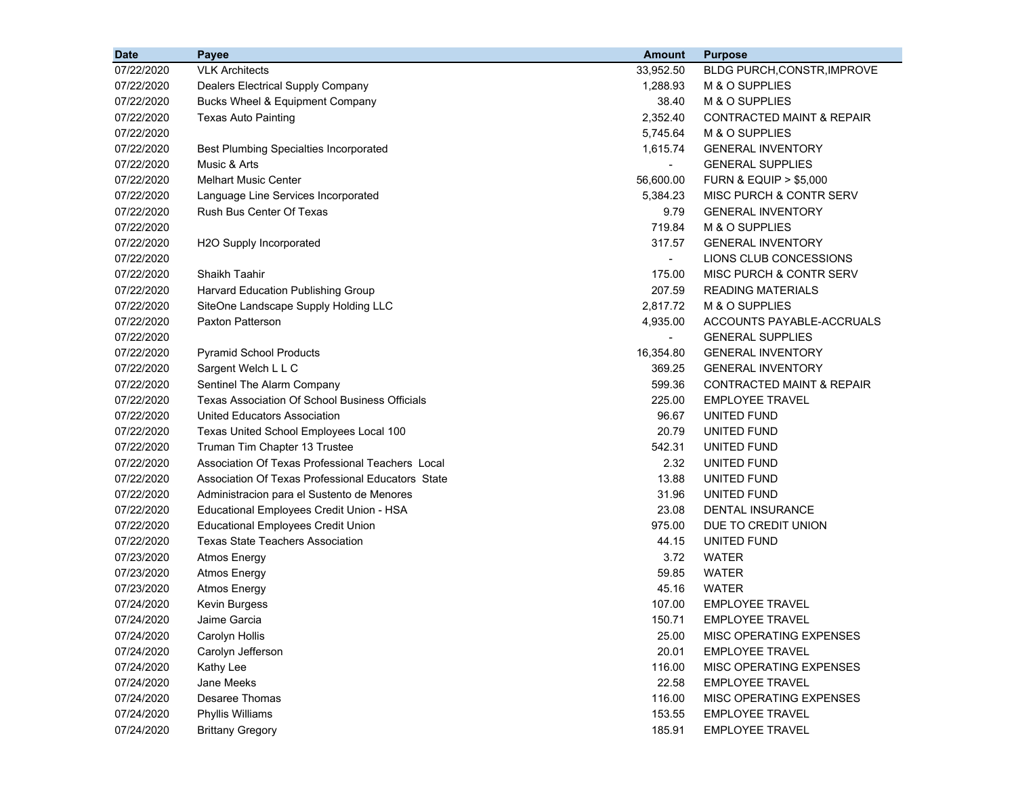| <b>Date</b> | Payee                                                 | <b>Amount</b>            | <b>Purpose</b>                       |
|-------------|-------------------------------------------------------|--------------------------|--------------------------------------|
| 07/22/2020  | <b>VLK Architects</b>                                 | 33,952.50                | BLDG PURCH, CONSTR, IMPROVE          |
| 07/22/2020  | Dealers Electrical Supply Company                     | 1,288.93                 | M & O SUPPLIES                       |
| 07/22/2020  | Bucks Wheel & Equipment Company                       | 38.40                    | M & O SUPPLIES                       |
| 07/22/2020  | <b>Texas Auto Painting</b>                            | 2,352.40                 | <b>CONTRACTED MAINT &amp; REPAIR</b> |
| 07/22/2020  |                                                       | 5.745.64                 | M & O SUPPLIES                       |
| 07/22/2020  | <b>Best Plumbing Specialties Incorporated</b>         | 1,615.74                 | <b>GENERAL INVENTORY</b>             |
| 07/22/2020  | Music & Arts                                          | $\overline{\phantom{a}}$ | <b>GENERAL SUPPLIES</b>              |
| 07/22/2020  | <b>Melhart Music Center</b>                           | 56,600.00                | <b>FURN &amp; EQUIP &gt; \$5,000</b> |
| 07/22/2020  | Language Line Services Incorporated                   | 5,384.23                 | MISC PURCH & CONTR SERV              |
| 07/22/2020  | Rush Bus Center Of Texas                              | 9.79                     | <b>GENERAL INVENTORY</b>             |
| 07/22/2020  |                                                       | 719.84                   | M & O SUPPLIES                       |
| 07/22/2020  | H2O Supply Incorporated                               | 317.57                   | <b>GENERAL INVENTORY</b>             |
| 07/22/2020  |                                                       | $\blacksquare$           | LIONS CLUB CONCESSIONS               |
| 07/22/2020  | Shaikh Taahir                                         | 175.00                   | MISC PURCH & CONTR SERV              |
| 07/22/2020  | Harvard Education Publishing Group                    | 207.59                   | <b>READING MATERIALS</b>             |
| 07/22/2020  | SiteOne Landscape Supply Holding LLC                  | 2,817.72                 | M & O SUPPLIES                       |
| 07/22/2020  | Paxton Patterson                                      | 4,935.00                 | ACCOUNTS PAYABLE-ACCRUALS            |
| 07/22/2020  |                                                       | $\sim$                   | <b>GENERAL SUPPLIES</b>              |
| 07/22/2020  | <b>Pyramid School Products</b>                        | 16,354.80                | <b>GENERAL INVENTORY</b>             |
| 07/22/2020  | Sargent Welch L L C                                   | 369.25                   | <b>GENERAL INVENTORY</b>             |
| 07/22/2020  | Sentinel The Alarm Company                            | 599.36                   | <b>CONTRACTED MAINT &amp; REPAIR</b> |
| 07/22/2020  | <b>Texas Association Of School Business Officials</b> | 225.00                   | <b>EMPLOYEE TRAVEL</b>               |
| 07/22/2020  | United Educators Association                          | 96.67                    | UNITED FUND                          |
| 07/22/2020  | Texas United School Employees Local 100               | 20.79                    | UNITED FUND                          |
| 07/22/2020  | Truman Tim Chapter 13 Trustee                         | 542.31                   | UNITED FUND                          |
| 07/22/2020  | Association Of Texas Professional Teachers Local      | 2.32                     | UNITED FUND                          |
| 07/22/2020  | Association Of Texas Professional Educators State     | 13.88                    | UNITED FUND                          |
| 07/22/2020  | Administracion para el Sustento de Menores            | 31.96                    | UNITED FUND                          |
| 07/22/2020  | Educational Employees Credit Union - HSA              | 23.08                    | DENTAL INSURANCE                     |
| 07/22/2020  | <b>Educational Employees Credit Union</b>             | 975.00                   | DUE TO CREDIT UNION                  |
| 07/22/2020  | <b>Texas State Teachers Association</b>               | 44.15                    | UNITED FUND                          |
| 07/23/2020  | <b>Atmos Energy</b>                                   | 3.72                     | WATER                                |
| 07/23/2020  | <b>Atmos Energy</b>                                   | 59.85                    | WATER                                |
| 07/23/2020  | <b>Atmos Energy</b>                                   | 45.16                    | <b>WATER</b>                         |
| 07/24/2020  | Kevin Burgess                                         | 107.00                   | <b>EMPLOYEE TRAVEL</b>               |
| 07/24/2020  | Jaime Garcia                                          | 150.71                   | <b>EMPLOYEE TRAVEL</b>               |
| 07/24/2020  | Carolyn Hollis                                        | 25.00                    | MISC OPERATING EXPENSES              |
| 07/24/2020  | Carolyn Jefferson                                     | 20.01                    | <b>EMPLOYEE TRAVEL</b>               |
| 07/24/2020  | Kathy Lee                                             | 116.00                   | MISC OPERATING EXPENSES              |
| 07/24/2020  | Jane Meeks                                            | 22.58                    | <b>EMPLOYEE TRAVEL</b>               |
| 07/24/2020  | Desaree Thomas                                        | 116.00                   | MISC OPERATING EXPENSES              |
| 07/24/2020  | Phyllis Williams                                      | 153.55                   | <b>EMPLOYEE TRAVEL</b>               |
| 07/24/2020  | <b>Brittany Gregory</b>                               | 185.91                   | <b>EMPLOYEE TRAVEL</b>               |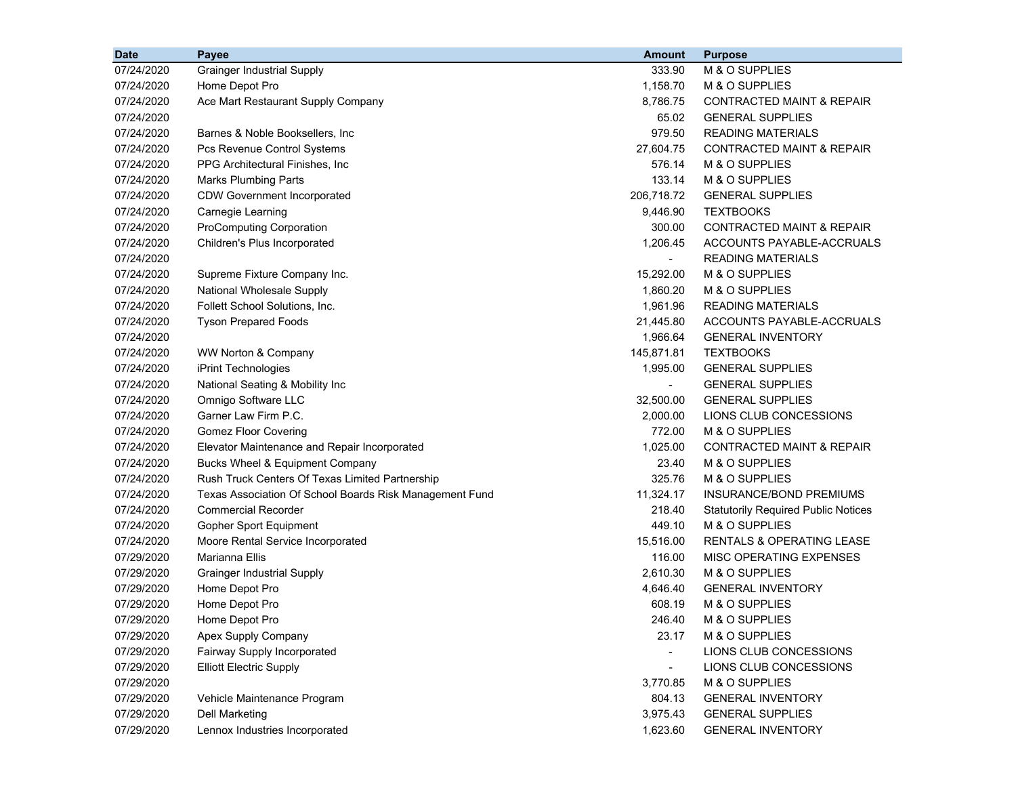| M & O SUPPLIES<br>07/24/2020<br><b>Grainger Industrial Supply</b><br>333.90<br>Home Depot Pro<br>1,158.70<br>M & O SUPPLIES<br>07/24/2020<br>07/24/2020<br>Ace Mart Restaurant Supply Company<br>8,786.75<br><b>CONTRACTED MAINT &amp; REPAIR</b><br>07/24/2020<br>65.02<br><b>GENERAL SUPPLIES</b><br>07/24/2020<br>979.50<br><b>READING MATERIALS</b><br>Barnes & Noble Booksellers, Inc.<br>07/24/2020<br>27,604.75<br>CONTRACTED MAINT & REPAIR<br>Pcs Revenue Control Systems<br>576.14<br>M & O SUPPLIES<br>07/24/2020<br>PPG Architectural Finishes, Inc.<br>07/24/2020<br><b>Marks Plumbing Parts</b><br>133.14<br>M & O SUPPLIES<br>206,718.72<br>07/24/2020<br><b>CDW Government Incorporated</b><br><b>GENERAL SUPPLIES</b><br>07/24/2020<br>Carnegie Learning<br>9,446.90<br><b>TEXTBOOKS</b><br>07/24/2020<br><b>ProComputing Corporation</b><br>300.00<br><b>CONTRACTED MAINT &amp; REPAIR</b><br>1,206.45<br>ACCOUNTS PAYABLE-ACCRUALS<br>07/24/2020<br>Children's Plus Incorporated<br>07/24/2020<br><b>READING MATERIALS</b><br>07/24/2020<br>15,292.00<br>M & O SUPPLIES<br>Supreme Fixture Company Inc.<br>National Wholesale Supply<br>M & O SUPPLIES<br>07/24/2020<br>1,860.20<br>Follett School Solutions, Inc.<br>1,961.96<br>07/24/2020<br><b>READING MATERIALS</b><br><b>Tyson Prepared Foods</b><br>ACCOUNTS PAYABLE-ACCRUALS<br>07/24/2020<br>21,445.80<br>07/24/2020<br>1,966.64<br><b>GENERAL INVENTORY</b><br>145,871.81<br><b>TEXTBOOKS</b><br>07/24/2020<br>WW Norton & Company<br>07/24/2020<br>iPrint Technologies<br>1,995.00<br><b>GENERAL SUPPLIES</b><br>National Seating & Mobility Inc<br>07/24/2020<br><b>GENERAL SUPPLIES</b><br>$\blacksquare$<br>07/24/2020<br>Omnigo Software LLC<br>32,500.00<br><b>GENERAL SUPPLIES</b><br>07/24/2020<br>Garner Law Firm P.C.<br>2,000.00<br>LIONS CLUB CONCESSIONS<br>07/24/2020<br><b>Gomez Floor Covering</b><br>772.00<br>M & O SUPPLIES<br>1,025.00<br><b>CONTRACTED MAINT &amp; REPAIR</b><br>07/24/2020<br>Elevator Maintenance and Repair Incorporated<br>07/24/2020<br>Bucks Wheel & Equipment Company<br>23.40<br>M & O SUPPLIES<br>Rush Truck Centers Of Texas Limited Partnership<br>325.76<br>M & O SUPPLIES<br>07/24/2020<br>07/24/2020<br>11,324.17<br><b>INSURANCE/BOND PREMIUMS</b><br>Texas Association Of School Boards Risk Management Fund<br>07/24/2020<br><b>Commercial Recorder</b><br>218.40<br><b>Statutorily Required Public Notices</b><br>07/24/2020<br>449.10<br>M & O SUPPLIES<br>Gopher Sport Equipment<br>15,516.00<br>07/24/2020<br>Moore Rental Service Incorporated<br>RENTALS & OPERATING LEASE<br>116.00<br>07/29/2020<br>Marianna Ellis<br>MISC OPERATING EXPENSES<br>07/29/2020<br>2,610.30<br>M & O SUPPLIES<br><b>Grainger Industrial Supply</b><br>Home Depot Pro<br>4,646.40<br><b>GENERAL INVENTORY</b><br>07/29/2020 | <b>Date</b> | Payee          | <b>Amount</b> | <b>Purpose</b> |
|---------------------------------------------------------------------------------------------------------------------------------------------------------------------------------------------------------------------------------------------------------------------------------------------------------------------------------------------------------------------------------------------------------------------------------------------------------------------------------------------------------------------------------------------------------------------------------------------------------------------------------------------------------------------------------------------------------------------------------------------------------------------------------------------------------------------------------------------------------------------------------------------------------------------------------------------------------------------------------------------------------------------------------------------------------------------------------------------------------------------------------------------------------------------------------------------------------------------------------------------------------------------------------------------------------------------------------------------------------------------------------------------------------------------------------------------------------------------------------------------------------------------------------------------------------------------------------------------------------------------------------------------------------------------------------------------------------------------------------------------------------------------------------------------------------------------------------------------------------------------------------------------------------------------------------------------------------------------------------------------------------------------------------------------------------------------------------------------------------------------------------------------------------------------------------------------------------------------------------------------------------------------------------------------------------------------------------------------------------------------------------------------------------------------------------------------------------------------------------------------------------------------------------------------------------------------------------------------------------------------------------------------------------------------------------------------------------------------------------------------------------------------------------------------------------------------------------------------------|-------------|----------------|---------------|----------------|
|                                                                                                                                                                                                                                                                                                                                                                                                                                                                                                                                                                                                                                                                                                                                                                                                                                                                                                                                                                                                                                                                                                                                                                                                                                                                                                                                                                                                                                                                                                                                                                                                                                                                                                                                                                                                                                                                                                                                                                                                                                                                                                                                                                                                                                                                                                                                                                                                                                                                                                                                                                                                                                                                                                                                                                                                                                                   |             |                |               |                |
|                                                                                                                                                                                                                                                                                                                                                                                                                                                                                                                                                                                                                                                                                                                                                                                                                                                                                                                                                                                                                                                                                                                                                                                                                                                                                                                                                                                                                                                                                                                                                                                                                                                                                                                                                                                                                                                                                                                                                                                                                                                                                                                                                                                                                                                                                                                                                                                                                                                                                                                                                                                                                                                                                                                                                                                                                                                   |             |                |               |                |
|                                                                                                                                                                                                                                                                                                                                                                                                                                                                                                                                                                                                                                                                                                                                                                                                                                                                                                                                                                                                                                                                                                                                                                                                                                                                                                                                                                                                                                                                                                                                                                                                                                                                                                                                                                                                                                                                                                                                                                                                                                                                                                                                                                                                                                                                                                                                                                                                                                                                                                                                                                                                                                                                                                                                                                                                                                                   |             |                |               |                |
|                                                                                                                                                                                                                                                                                                                                                                                                                                                                                                                                                                                                                                                                                                                                                                                                                                                                                                                                                                                                                                                                                                                                                                                                                                                                                                                                                                                                                                                                                                                                                                                                                                                                                                                                                                                                                                                                                                                                                                                                                                                                                                                                                                                                                                                                                                                                                                                                                                                                                                                                                                                                                                                                                                                                                                                                                                                   |             |                |               |                |
|                                                                                                                                                                                                                                                                                                                                                                                                                                                                                                                                                                                                                                                                                                                                                                                                                                                                                                                                                                                                                                                                                                                                                                                                                                                                                                                                                                                                                                                                                                                                                                                                                                                                                                                                                                                                                                                                                                                                                                                                                                                                                                                                                                                                                                                                                                                                                                                                                                                                                                                                                                                                                                                                                                                                                                                                                                                   |             |                |               |                |
|                                                                                                                                                                                                                                                                                                                                                                                                                                                                                                                                                                                                                                                                                                                                                                                                                                                                                                                                                                                                                                                                                                                                                                                                                                                                                                                                                                                                                                                                                                                                                                                                                                                                                                                                                                                                                                                                                                                                                                                                                                                                                                                                                                                                                                                                                                                                                                                                                                                                                                                                                                                                                                                                                                                                                                                                                                                   |             |                |               |                |
|                                                                                                                                                                                                                                                                                                                                                                                                                                                                                                                                                                                                                                                                                                                                                                                                                                                                                                                                                                                                                                                                                                                                                                                                                                                                                                                                                                                                                                                                                                                                                                                                                                                                                                                                                                                                                                                                                                                                                                                                                                                                                                                                                                                                                                                                                                                                                                                                                                                                                                                                                                                                                                                                                                                                                                                                                                                   |             |                |               |                |
|                                                                                                                                                                                                                                                                                                                                                                                                                                                                                                                                                                                                                                                                                                                                                                                                                                                                                                                                                                                                                                                                                                                                                                                                                                                                                                                                                                                                                                                                                                                                                                                                                                                                                                                                                                                                                                                                                                                                                                                                                                                                                                                                                                                                                                                                                                                                                                                                                                                                                                                                                                                                                                                                                                                                                                                                                                                   |             |                |               |                |
|                                                                                                                                                                                                                                                                                                                                                                                                                                                                                                                                                                                                                                                                                                                                                                                                                                                                                                                                                                                                                                                                                                                                                                                                                                                                                                                                                                                                                                                                                                                                                                                                                                                                                                                                                                                                                                                                                                                                                                                                                                                                                                                                                                                                                                                                                                                                                                                                                                                                                                                                                                                                                                                                                                                                                                                                                                                   |             |                |               |                |
|                                                                                                                                                                                                                                                                                                                                                                                                                                                                                                                                                                                                                                                                                                                                                                                                                                                                                                                                                                                                                                                                                                                                                                                                                                                                                                                                                                                                                                                                                                                                                                                                                                                                                                                                                                                                                                                                                                                                                                                                                                                                                                                                                                                                                                                                                                                                                                                                                                                                                                                                                                                                                                                                                                                                                                                                                                                   |             |                |               |                |
|                                                                                                                                                                                                                                                                                                                                                                                                                                                                                                                                                                                                                                                                                                                                                                                                                                                                                                                                                                                                                                                                                                                                                                                                                                                                                                                                                                                                                                                                                                                                                                                                                                                                                                                                                                                                                                                                                                                                                                                                                                                                                                                                                                                                                                                                                                                                                                                                                                                                                                                                                                                                                                                                                                                                                                                                                                                   |             |                |               |                |
|                                                                                                                                                                                                                                                                                                                                                                                                                                                                                                                                                                                                                                                                                                                                                                                                                                                                                                                                                                                                                                                                                                                                                                                                                                                                                                                                                                                                                                                                                                                                                                                                                                                                                                                                                                                                                                                                                                                                                                                                                                                                                                                                                                                                                                                                                                                                                                                                                                                                                                                                                                                                                                                                                                                                                                                                                                                   |             |                |               |                |
|                                                                                                                                                                                                                                                                                                                                                                                                                                                                                                                                                                                                                                                                                                                                                                                                                                                                                                                                                                                                                                                                                                                                                                                                                                                                                                                                                                                                                                                                                                                                                                                                                                                                                                                                                                                                                                                                                                                                                                                                                                                                                                                                                                                                                                                                                                                                                                                                                                                                                                                                                                                                                                                                                                                                                                                                                                                   |             |                |               |                |
|                                                                                                                                                                                                                                                                                                                                                                                                                                                                                                                                                                                                                                                                                                                                                                                                                                                                                                                                                                                                                                                                                                                                                                                                                                                                                                                                                                                                                                                                                                                                                                                                                                                                                                                                                                                                                                                                                                                                                                                                                                                                                                                                                                                                                                                                                                                                                                                                                                                                                                                                                                                                                                                                                                                                                                                                                                                   |             |                |               |                |
|                                                                                                                                                                                                                                                                                                                                                                                                                                                                                                                                                                                                                                                                                                                                                                                                                                                                                                                                                                                                                                                                                                                                                                                                                                                                                                                                                                                                                                                                                                                                                                                                                                                                                                                                                                                                                                                                                                                                                                                                                                                                                                                                                                                                                                                                                                                                                                                                                                                                                                                                                                                                                                                                                                                                                                                                                                                   |             |                |               |                |
|                                                                                                                                                                                                                                                                                                                                                                                                                                                                                                                                                                                                                                                                                                                                                                                                                                                                                                                                                                                                                                                                                                                                                                                                                                                                                                                                                                                                                                                                                                                                                                                                                                                                                                                                                                                                                                                                                                                                                                                                                                                                                                                                                                                                                                                                                                                                                                                                                                                                                                                                                                                                                                                                                                                                                                                                                                                   |             |                |               |                |
|                                                                                                                                                                                                                                                                                                                                                                                                                                                                                                                                                                                                                                                                                                                                                                                                                                                                                                                                                                                                                                                                                                                                                                                                                                                                                                                                                                                                                                                                                                                                                                                                                                                                                                                                                                                                                                                                                                                                                                                                                                                                                                                                                                                                                                                                                                                                                                                                                                                                                                                                                                                                                                                                                                                                                                                                                                                   |             |                |               |                |
|                                                                                                                                                                                                                                                                                                                                                                                                                                                                                                                                                                                                                                                                                                                                                                                                                                                                                                                                                                                                                                                                                                                                                                                                                                                                                                                                                                                                                                                                                                                                                                                                                                                                                                                                                                                                                                                                                                                                                                                                                                                                                                                                                                                                                                                                                                                                                                                                                                                                                                                                                                                                                                                                                                                                                                                                                                                   |             |                |               |                |
|                                                                                                                                                                                                                                                                                                                                                                                                                                                                                                                                                                                                                                                                                                                                                                                                                                                                                                                                                                                                                                                                                                                                                                                                                                                                                                                                                                                                                                                                                                                                                                                                                                                                                                                                                                                                                                                                                                                                                                                                                                                                                                                                                                                                                                                                                                                                                                                                                                                                                                                                                                                                                                                                                                                                                                                                                                                   |             |                |               |                |
|                                                                                                                                                                                                                                                                                                                                                                                                                                                                                                                                                                                                                                                                                                                                                                                                                                                                                                                                                                                                                                                                                                                                                                                                                                                                                                                                                                                                                                                                                                                                                                                                                                                                                                                                                                                                                                                                                                                                                                                                                                                                                                                                                                                                                                                                                                                                                                                                                                                                                                                                                                                                                                                                                                                                                                                                                                                   |             |                |               |                |
|                                                                                                                                                                                                                                                                                                                                                                                                                                                                                                                                                                                                                                                                                                                                                                                                                                                                                                                                                                                                                                                                                                                                                                                                                                                                                                                                                                                                                                                                                                                                                                                                                                                                                                                                                                                                                                                                                                                                                                                                                                                                                                                                                                                                                                                                                                                                                                                                                                                                                                                                                                                                                                                                                                                                                                                                                                                   |             |                |               |                |
|                                                                                                                                                                                                                                                                                                                                                                                                                                                                                                                                                                                                                                                                                                                                                                                                                                                                                                                                                                                                                                                                                                                                                                                                                                                                                                                                                                                                                                                                                                                                                                                                                                                                                                                                                                                                                                                                                                                                                                                                                                                                                                                                                                                                                                                                                                                                                                                                                                                                                                                                                                                                                                                                                                                                                                                                                                                   |             |                |               |                |
|                                                                                                                                                                                                                                                                                                                                                                                                                                                                                                                                                                                                                                                                                                                                                                                                                                                                                                                                                                                                                                                                                                                                                                                                                                                                                                                                                                                                                                                                                                                                                                                                                                                                                                                                                                                                                                                                                                                                                                                                                                                                                                                                                                                                                                                                                                                                                                                                                                                                                                                                                                                                                                                                                                                                                                                                                                                   |             |                |               |                |
|                                                                                                                                                                                                                                                                                                                                                                                                                                                                                                                                                                                                                                                                                                                                                                                                                                                                                                                                                                                                                                                                                                                                                                                                                                                                                                                                                                                                                                                                                                                                                                                                                                                                                                                                                                                                                                                                                                                                                                                                                                                                                                                                                                                                                                                                                                                                                                                                                                                                                                                                                                                                                                                                                                                                                                                                                                                   |             |                |               |                |
|                                                                                                                                                                                                                                                                                                                                                                                                                                                                                                                                                                                                                                                                                                                                                                                                                                                                                                                                                                                                                                                                                                                                                                                                                                                                                                                                                                                                                                                                                                                                                                                                                                                                                                                                                                                                                                                                                                                                                                                                                                                                                                                                                                                                                                                                                                                                                                                                                                                                                                                                                                                                                                                                                                                                                                                                                                                   |             |                |               |                |
|                                                                                                                                                                                                                                                                                                                                                                                                                                                                                                                                                                                                                                                                                                                                                                                                                                                                                                                                                                                                                                                                                                                                                                                                                                                                                                                                                                                                                                                                                                                                                                                                                                                                                                                                                                                                                                                                                                                                                                                                                                                                                                                                                                                                                                                                                                                                                                                                                                                                                                                                                                                                                                                                                                                                                                                                                                                   |             |                |               |                |
|                                                                                                                                                                                                                                                                                                                                                                                                                                                                                                                                                                                                                                                                                                                                                                                                                                                                                                                                                                                                                                                                                                                                                                                                                                                                                                                                                                                                                                                                                                                                                                                                                                                                                                                                                                                                                                                                                                                                                                                                                                                                                                                                                                                                                                                                                                                                                                                                                                                                                                                                                                                                                                                                                                                                                                                                                                                   |             |                |               |                |
|                                                                                                                                                                                                                                                                                                                                                                                                                                                                                                                                                                                                                                                                                                                                                                                                                                                                                                                                                                                                                                                                                                                                                                                                                                                                                                                                                                                                                                                                                                                                                                                                                                                                                                                                                                                                                                                                                                                                                                                                                                                                                                                                                                                                                                                                                                                                                                                                                                                                                                                                                                                                                                                                                                                                                                                                                                                   |             |                |               |                |
|                                                                                                                                                                                                                                                                                                                                                                                                                                                                                                                                                                                                                                                                                                                                                                                                                                                                                                                                                                                                                                                                                                                                                                                                                                                                                                                                                                                                                                                                                                                                                                                                                                                                                                                                                                                                                                                                                                                                                                                                                                                                                                                                                                                                                                                                                                                                                                                                                                                                                                                                                                                                                                                                                                                                                                                                                                                   |             |                |               |                |
|                                                                                                                                                                                                                                                                                                                                                                                                                                                                                                                                                                                                                                                                                                                                                                                                                                                                                                                                                                                                                                                                                                                                                                                                                                                                                                                                                                                                                                                                                                                                                                                                                                                                                                                                                                                                                                                                                                                                                                                                                                                                                                                                                                                                                                                                                                                                                                                                                                                                                                                                                                                                                                                                                                                                                                                                                                                   |             |                |               |                |
|                                                                                                                                                                                                                                                                                                                                                                                                                                                                                                                                                                                                                                                                                                                                                                                                                                                                                                                                                                                                                                                                                                                                                                                                                                                                                                                                                                                                                                                                                                                                                                                                                                                                                                                                                                                                                                                                                                                                                                                                                                                                                                                                                                                                                                                                                                                                                                                                                                                                                                                                                                                                                                                                                                                                                                                                                                                   |             |                |               |                |
|                                                                                                                                                                                                                                                                                                                                                                                                                                                                                                                                                                                                                                                                                                                                                                                                                                                                                                                                                                                                                                                                                                                                                                                                                                                                                                                                                                                                                                                                                                                                                                                                                                                                                                                                                                                                                                                                                                                                                                                                                                                                                                                                                                                                                                                                                                                                                                                                                                                                                                                                                                                                                                                                                                                                                                                                                                                   |             |                |               |                |
|                                                                                                                                                                                                                                                                                                                                                                                                                                                                                                                                                                                                                                                                                                                                                                                                                                                                                                                                                                                                                                                                                                                                                                                                                                                                                                                                                                                                                                                                                                                                                                                                                                                                                                                                                                                                                                                                                                                                                                                                                                                                                                                                                                                                                                                                                                                                                                                                                                                                                                                                                                                                                                                                                                                                                                                                                                                   |             |                |               |                |
|                                                                                                                                                                                                                                                                                                                                                                                                                                                                                                                                                                                                                                                                                                                                                                                                                                                                                                                                                                                                                                                                                                                                                                                                                                                                                                                                                                                                                                                                                                                                                                                                                                                                                                                                                                                                                                                                                                                                                                                                                                                                                                                                                                                                                                                                                                                                                                                                                                                                                                                                                                                                                                                                                                                                                                                                                                                   |             |                |               |                |
|                                                                                                                                                                                                                                                                                                                                                                                                                                                                                                                                                                                                                                                                                                                                                                                                                                                                                                                                                                                                                                                                                                                                                                                                                                                                                                                                                                                                                                                                                                                                                                                                                                                                                                                                                                                                                                                                                                                                                                                                                                                                                                                                                                                                                                                                                                                                                                                                                                                                                                                                                                                                                                                                                                                                                                                                                                                   | 07/29/2020  | Home Depot Pro | 608.19        | M & O SUPPLIES |
| 246.40<br>07/29/2020<br>M & O SUPPLIES<br>Home Depot Pro                                                                                                                                                                                                                                                                                                                                                                                                                                                                                                                                                                                                                                                                                                                                                                                                                                                                                                                                                                                                                                                                                                                                                                                                                                                                                                                                                                                                                                                                                                                                                                                                                                                                                                                                                                                                                                                                                                                                                                                                                                                                                                                                                                                                                                                                                                                                                                                                                                                                                                                                                                                                                                                                                                                                                                                          |             |                |               |                |
| 07/29/2020<br>Apex Supply Company<br>M & O SUPPLIES<br>23.17                                                                                                                                                                                                                                                                                                                                                                                                                                                                                                                                                                                                                                                                                                                                                                                                                                                                                                                                                                                                                                                                                                                                                                                                                                                                                                                                                                                                                                                                                                                                                                                                                                                                                                                                                                                                                                                                                                                                                                                                                                                                                                                                                                                                                                                                                                                                                                                                                                                                                                                                                                                                                                                                                                                                                                                      |             |                |               |                |
| 07/29/2020<br>Fairway Supply Incorporated<br>LIONS CLUB CONCESSIONS                                                                                                                                                                                                                                                                                                                                                                                                                                                                                                                                                                                                                                                                                                                                                                                                                                                                                                                                                                                                                                                                                                                                                                                                                                                                                                                                                                                                                                                                                                                                                                                                                                                                                                                                                                                                                                                                                                                                                                                                                                                                                                                                                                                                                                                                                                                                                                                                                                                                                                                                                                                                                                                                                                                                                                               |             |                |               |                |
| <b>Elliott Electric Supply</b><br>LIONS CLUB CONCESSIONS<br>07/29/2020<br>$\overline{\phantom{a}}$                                                                                                                                                                                                                                                                                                                                                                                                                                                                                                                                                                                                                                                                                                                                                                                                                                                                                                                                                                                                                                                                                                                                                                                                                                                                                                                                                                                                                                                                                                                                                                                                                                                                                                                                                                                                                                                                                                                                                                                                                                                                                                                                                                                                                                                                                                                                                                                                                                                                                                                                                                                                                                                                                                                                                |             |                |               |                |
| M & O SUPPLIES<br>07/29/2020<br>3,770.85                                                                                                                                                                                                                                                                                                                                                                                                                                                                                                                                                                                                                                                                                                                                                                                                                                                                                                                                                                                                                                                                                                                                                                                                                                                                                                                                                                                                                                                                                                                                                                                                                                                                                                                                                                                                                                                                                                                                                                                                                                                                                                                                                                                                                                                                                                                                                                                                                                                                                                                                                                                                                                                                                                                                                                                                          |             |                |               |                |
| 804.13<br><b>GENERAL INVENTORY</b><br>07/29/2020<br>Vehicle Maintenance Program                                                                                                                                                                                                                                                                                                                                                                                                                                                                                                                                                                                                                                                                                                                                                                                                                                                                                                                                                                                                                                                                                                                                                                                                                                                                                                                                                                                                                                                                                                                                                                                                                                                                                                                                                                                                                                                                                                                                                                                                                                                                                                                                                                                                                                                                                                                                                                                                                                                                                                                                                                                                                                                                                                                                                                   |             |                |               |                |
| 07/29/2020<br><b>Dell Marketing</b><br>3,975.43<br><b>GENERAL SUPPLIES</b>                                                                                                                                                                                                                                                                                                                                                                                                                                                                                                                                                                                                                                                                                                                                                                                                                                                                                                                                                                                                                                                                                                                                                                                                                                                                                                                                                                                                                                                                                                                                                                                                                                                                                                                                                                                                                                                                                                                                                                                                                                                                                                                                                                                                                                                                                                                                                                                                                                                                                                                                                                                                                                                                                                                                                                        |             |                |               |                |
| Lennox Industries Incorporated<br>07/29/2020<br>1,623.60<br><b>GENERAL INVENTORY</b>                                                                                                                                                                                                                                                                                                                                                                                                                                                                                                                                                                                                                                                                                                                                                                                                                                                                                                                                                                                                                                                                                                                                                                                                                                                                                                                                                                                                                                                                                                                                                                                                                                                                                                                                                                                                                                                                                                                                                                                                                                                                                                                                                                                                                                                                                                                                                                                                                                                                                                                                                                                                                                                                                                                                                              |             |                |               |                |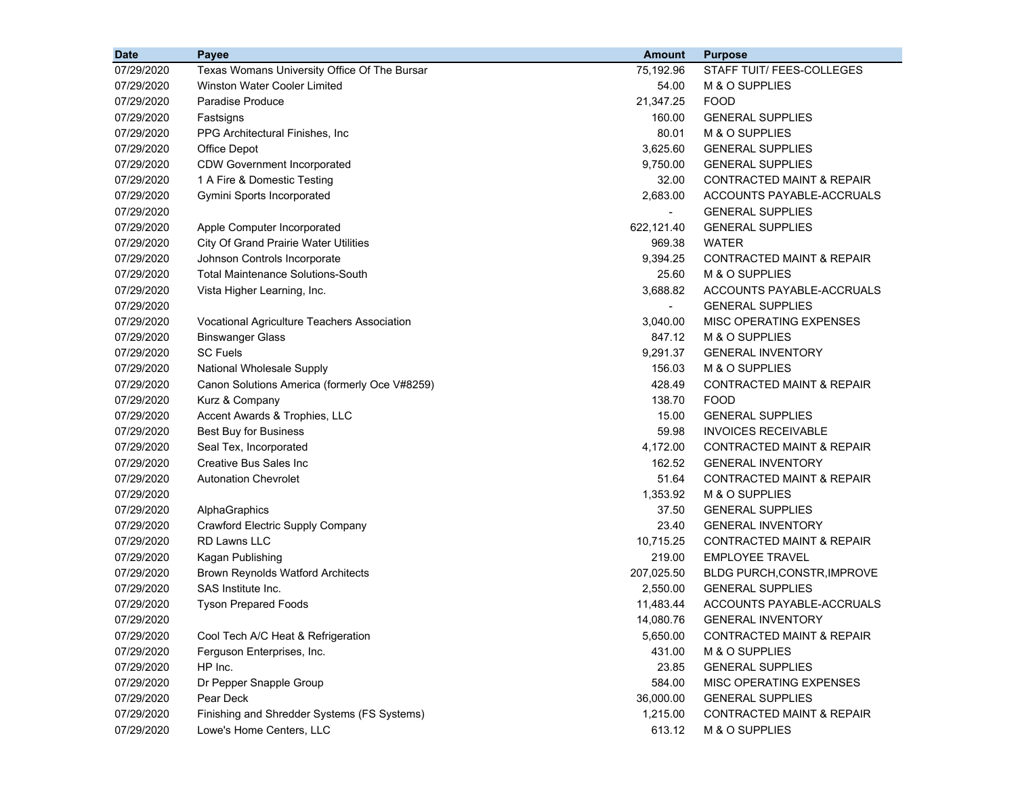| <b>Date</b> | Payee                                         | <b>Amount</b>            | <b>Purpose</b>                       |
|-------------|-----------------------------------------------|--------------------------|--------------------------------------|
| 07/29/2020  | Texas Womans University Office Of The Bursar  | 75,192.96                | STAFF TUIT/ FEES-COLLEGES            |
| 07/29/2020  | Winston Water Cooler Limited                  | 54.00                    | M & O SUPPLIES                       |
| 07/29/2020  | <b>Paradise Produce</b>                       | 21,347.25                | <b>FOOD</b>                          |
| 07/29/2020  | Fastsigns                                     | 160.00                   | <b>GENERAL SUPPLIES</b>              |
| 07/29/2020  | PPG Architectural Finishes, Inc               | 80.01                    | M & O SUPPLIES                       |
| 07/29/2020  | Office Depot                                  | 3,625.60                 | <b>GENERAL SUPPLIES</b>              |
| 07/29/2020  | <b>CDW Government Incorporated</b>            | 9,750.00                 | <b>GENERAL SUPPLIES</b>              |
| 07/29/2020  | 1 A Fire & Domestic Testing                   | 32.00                    | <b>CONTRACTED MAINT &amp; REPAIR</b> |
| 07/29/2020  | Gymini Sports Incorporated                    | 2,683.00                 | ACCOUNTS PAYABLE-ACCRUALS            |
| 07/29/2020  |                                               |                          | <b>GENERAL SUPPLIES</b>              |
| 07/29/2020  | Apple Computer Incorporated                   | 622,121.40               | <b>GENERAL SUPPLIES</b>              |
| 07/29/2020  | <b>City Of Grand Prairie Water Utilities</b>  | 969.38                   | <b>WATER</b>                         |
| 07/29/2020  | Johnson Controls Incorporate                  | 9,394.25                 | <b>CONTRACTED MAINT &amp; REPAIR</b> |
| 07/29/2020  | <b>Total Maintenance Solutions-South</b>      | 25.60                    | M & O SUPPLIES                       |
| 07/29/2020  | Vista Higher Learning, Inc.                   | 3,688.82                 | ACCOUNTS PAYABLE-ACCRUALS            |
| 07/29/2020  |                                               | $\overline{\phantom{0}}$ | <b>GENERAL SUPPLIES</b>              |
| 07/29/2020  | Vocational Agriculture Teachers Association   | 3,040.00                 | MISC OPERATING EXPENSES              |
| 07/29/2020  | <b>Binswanger Glass</b>                       | 847.12                   | M & O SUPPLIES                       |
| 07/29/2020  | <b>SC Fuels</b>                               | 9,291.37                 | <b>GENERAL INVENTORY</b>             |
| 07/29/2020  | National Wholesale Supply                     | 156.03                   | M & O SUPPLIES                       |
| 07/29/2020  | Canon Solutions America (formerly Oce V#8259) | 428.49                   | <b>CONTRACTED MAINT &amp; REPAIR</b> |
| 07/29/2020  | Kurz & Company                                | 138.70                   | <b>FOOD</b>                          |
| 07/29/2020  | Accent Awards & Trophies, LLC                 | 15.00                    | <b>GENERAL SUPPLIES</b>              |
| 07/29/2020  | <b>Best Buy for Business</b>                  | 59.98                    | <b>INVOICES RECEIVABLE</b>           |
| 07/29/2020  | Seal Tex, Incorporated                        | 4,172.00                 | <b>CONTRACTED MAINT &amp; REPAIR</b> |
| 07/29/2020  | Creative Bus Sales Inc                        | 162.52                   | <b>GENERAL INVENTORY</b>             |
| 07/29/2020  | <b>Autonation Chevrolet</b>                   | 51.64                    | <b>CONTRACTED MAINT &amp; REPAIR</b> |
| 07/29/2020  |                                               | 1,353.92                 | M & O SUPPLIES                       |
| 07/29/2020  | AlphaGraphics                                 | 37.50                    | <b>GENERAL SUPPLIES</b>              |
| 07/29/2020  | Crawford Electric Supply Company              | 23.40                    | <b>GENERAL INVENTORY</b>             |
| 07/29/2020  | RD Lawns LLC                                  | 10,715.25                | <b>CONTRACTED MAINT &amp; REPAIR</b> |
| 07/29/2020  | Kagan Publishing                              | 219.00                   | <b>EMPLOYEE TRAVEL</b>               |
| 07/29/2020  | <b>Brown Reynolds Watford Architects</b>      | 207,025.50               | BLDG PURCH, CONSTR, IMPROVE          |
| 07/29/2020  | SAS Institute Inc.                            | 2,550.00                 | <b>GENERAL SUPPLIES</b>              |
| 07/29/2020  | <b>Tyson Prepared Foods</b>                   | 11,483.44                | ACCOUNTS PAYABLE-ACCRUALS            |
| 07/29/2020  |                                               | 14,080.76                | <b>GENERAL INVENTORY</b>             |
| 07/29/2020  | Cool Tech A/C Heat & Refrigeration            | 5,650.00                 | <b>CONTRACTED MAINT &amp; REPAIR</b> |
| 07/29/2020  | Ferguson Enterprises, Inc.                    | 431.00                   | M & O SUPPLIES                       |
| 07/29/2020  | HP Inc.                                       | 23.85                    | <b>GENERAL SUPPLIES</b>              |
| 07/29/2020  | Dr Pepper Snapple Group                       | 584.00                   | MISC OPERATING EXPENSES              |
| 07/29/2020  | Pear Deck                                     | 36,000.00                | <b>GENERAL SUPPLIES</b>              |
| 07/29/2020  | Finishing and Shredder Systems (FS Systems)   | 1,215.00                 | <b>CONTRACTED MAINT &amp; REPAIR</b> |
| 07/29/2020  | Lowe's Home Centers, LLC                      | 613.12                   | M & O SUPPLIES                       |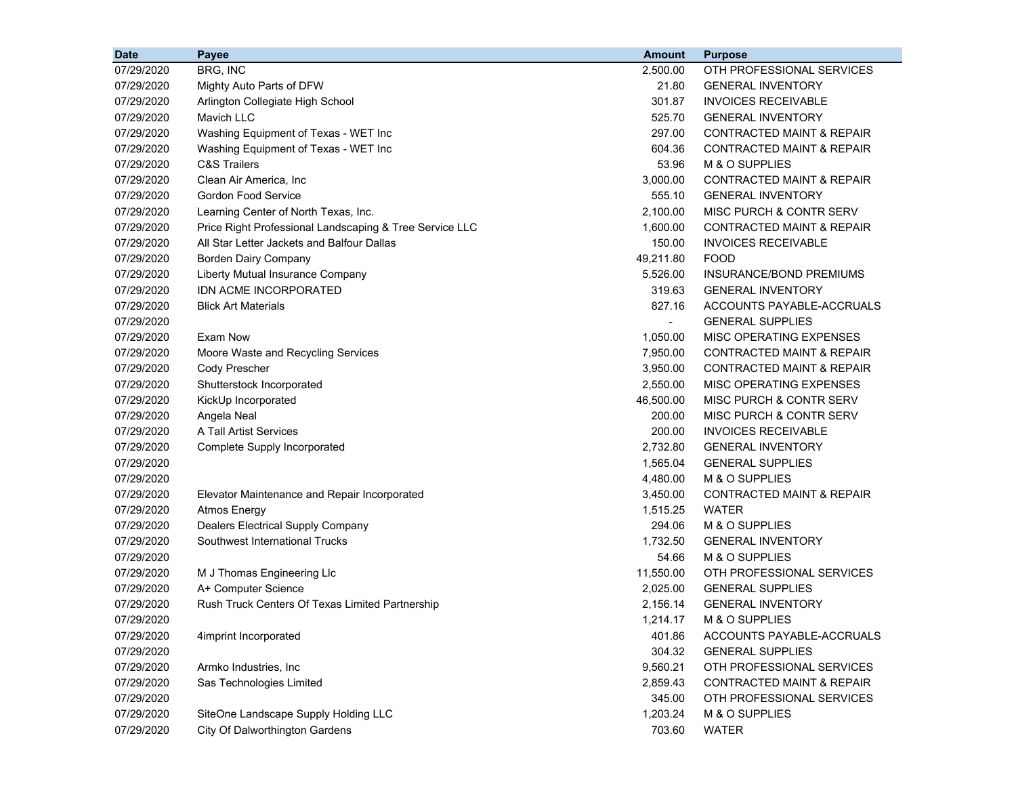| <b>Date</b> | Payee                                                   | <b>Amount</b>  | <b>Purpose</b>                       |
|-------------|---------------------------------------------------------|----------------|--------------------------------------|
| 07/29/2020  | BRG, INC                                                | 2,500.00       | OTH PROFESSIONAL SERVICES            |
| 07/29/2020  | Mighty Auto Parts of DFW                                | 21.80          | <b>GENERAL INVENTORY</b>             |
| 07/29/2020  | Arlington Collegiate High School                        | 301.87         | <b>INVOICES RECEIVABLE</b>           |
| 07/29/2020  | <b>Mavich LLC</b>                                       | 525.70         | <b>GENERAL INVENTORY</b>             |
| 07/29/2020  | Washing Equipment of Texas - WET Inc                    | 297.00         | <b>CONTRACTED MAINT &amp; REPAIR</b> |
| 07/29/2020  | Washing Equipment of Texas - WET Inc                    | 604.36         | CONTRACTED MAINT & REPAIR            |
| 07/29/2020  | <b>C&amp;S Trailers</b>                                 | 53.96          | M & O SUPPLIES                       |
| 07/29/2020  | Clean Air America, Inc                                  | 3,000.00       | <b>CONTRACTED MAINT &amp; REPAIR</b> |
| 07/29/2020  | <b>Gordon Food Service</b>                              | 555.10         | <b>GENERAL INVENTORY</b>             |
| 07/29/2020  | Learning Center of North Texas, Inc.                    | 2,100.00       | MISC PURCH & CONTR SERV              |
| 07/29/2020  | Price Right Professional Landscaping & Tree Service LLC | 1,600.00       | <b>CONTRACTED MAINT &amp; REPAIR</b> |
| 07/29/2020  | All Star Letter Jackets and Balfour Dallas              | 150.00         | <b>INVOICES RECEIVABLE</b>           |
| 07/29/2020  | <b>Borden Dairy Company</b>                             | 49,211.80      | <b>FOOD</b>                          |
| 07/29/2020  | Liberty Mutual Insurance Company                        | 5,526.00       | INSURANCE/BOND PREMIUMS              |
| 07/29/2020  | IDN ACME INCORPORATED                                   | 319.63         | <b>GENERAL INVENTORY</b>             |
| 07/29/2020  | <b>Blick Art Materials</b>                              | 827.16         | ACCOUNTS PAYABLE-ACCRUALS            |
| 07/29/2020  |                                                         | $\blacksquare$ | <b>GENERAL SUPPLIES</b>              |
| 07/29/2020  | Exam Now                                                | 1,050.00       | MISC OPERATING EXPENSES              |
| 07/29/2020  | Moore Waste and Recycling Services                      | 7,950.00       | <b>CONTRACTED MAINT &amp; REPAIR</b> |
| 07/29/2020  | Cody Prescher                                           | 3,950.00       | <b>CONTRACTED MAINT &amp; REPAIR</b> |
| 07/29/2020  | Shutterstock Incorporated                               | 2,550.00       | MISC OPERATING EXPENSES              |
| 07/29/2020  | KickUp Incorporated                                     | 46,500.00      | <b>MISC PURCH &amp; CONTR SERV</b>   |
| 07/29/2020  | Angela Neal                                             | 200.00         | MISC PURCH & CONTR SERV              |
| 07/29/2020  | A Tall Artist Services                                  | 200.00         | <b>INVOICES RECEIVABLE</b>           |
| 07/29/2020  | Complete Supply Incorporated                            | 2,732.80       | <b>GENERAL INVENTORY</b>             |
| 07/29/2020  |                                                         | 1,565.04       | <b>GENERAL SUPPLIES</b>              |
| 07/29/2020  |                                                         | 4,480.00       | M & O SUPPLIES                       |
| 07/29/2020  | Elevator Maintenance and Repair Incorporated            | 3,450.00       | <b>CONTRACTED MAINT &amp; REPAIR</b> |
| 07/29/2020  | <b>Atmos Energy</b>                                     | 1,515.25       | <b>WATER</b>                         |
| 07/29/2020  | Dealers Electrical Supply Company                       | 294.06         | M & O SUPPLIES                       |
| 07/29/2020  | Southwest International Trucks                          | 1,732.50       | <b>GENERAL INVENTORY</b>             |
| 07/29/2020  |                                                         | 54.66          | M & O SUPPLIES                       |
| 07/29/2020  | M J Thomas Engineering Llc                              | 11,550.00      | OTH PROFESSIONAL SERVICES            |
| 07/29/2020  | A+ Computer Science                                     | 2,025.00       | <b>GENERAL SUPPLIES</b>              |
| 07/29/2020  | Rush Truck Centers Of Texas Limited Partnership         | 2,156.14       | <b>GENERAL INVENTORY</b>             |
| 07/29/2020  |                                                         | 1,214.17       | M & O SUPPLIES                       |
| 07/29/2020  | 4imprint Incorporated                                   | 401.86         | ACCOUNTS PAYABLE-ACCRUALS            |
| 07/29/2020  |                                                         | 304.32         | <b>GENERAL SUPPLIES</b>              |
| 07/29/2020  | Armko Industries, Inc.                                  | 9,560.21       | OTH PROFESSIONAL SERVICES            |
| 07/29/2020  | Sas Technologies Limited                                | 2,859.43       | <b>CONTRACTED MAINT &amp; REPAIR</b> |
| 07/29/2020  |                                                         | 345.00         | OTH PROFESSIONAL SERVICES            |
| 07/29/2020  | SiteOne Landscape Supply Holding LLC                    | 1,203.24       | M & O SUPPLIES                       |
| 07/29/2020  | City Of Dalworthington Gardens                          | 703.60         | <b>WATER</b>                         |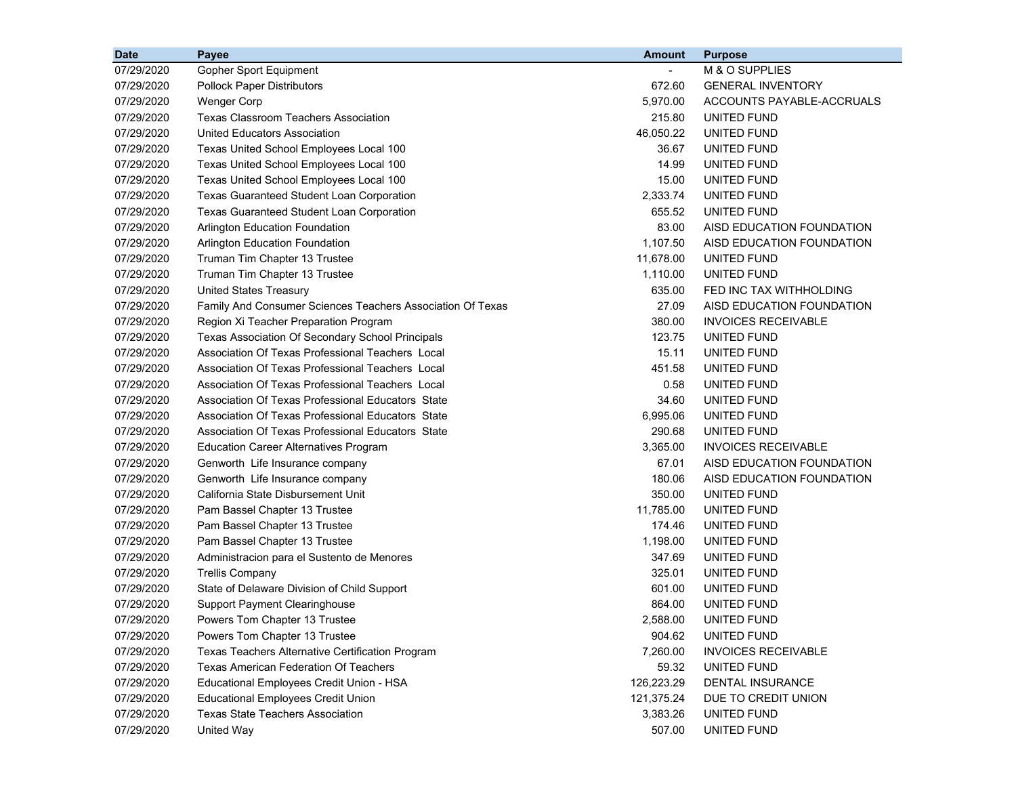| <b>Date</b> | Payee                                                      | <b>Amount</b> | <b>Purpose</b>             |
|-------------|------------------------------------------------------------|---------------|----------------------------|
| 07/29/2020  | Gopher Sport Equipment                                     |               | M & O SUPPLIES             |
| 07/29/2020  | <b>Pollock Paper Distributors</b>                          | 672.60        | <b>GENERAL INVENTORY</b>   |
| 07/29/2020  | <b>Wenger Corp</b>                                         | 5,970.00      | ACCOUNTS PAYABLE-ACCRUALS  |
| 07/29/2020  | <b>Texas Classroom Teachers Association</b>                | 215.80        | UNITED FUND                |
| 07/29/2020  | United Educators Association                               | 46,050.22     | UNITED FUND                |
| 07/29/2020  | Texas United School Employees Local 100                    | 36.67         | UNITED FUND                |
| 07/29/2020  | Texas United School Employees Local 100                    | 14.99         | UNITED FUND                |
| 07/29/2020  | Texas United School Employees Local 100                    | 15.00         | UNITED FUND                |
| 07/29/2020  | <b>Texas Guaranteed Student Loan Corporation</b>           | 2,333.74      | UNITED FUND                |
| 07/29/2020  | <b>Texas Guaranteed Student Loan Corporation</b>           | 655.52        | UNITED FUND                |
| 07/29/2020  | <b>Arlington Education Foundation</b>                      | 83.00         | AISD EDUCATION FOUNDATION  |
| 07/29/2020  | Arlington Education Foundation                             | 1,107.50      | AISD EDUCATION FOUNDATION  |
| 07/29/2020  | Truman Tim Chapter 13 Trustee                              | 11,678.00     | UNITED FUND                |
| 07/29/2020  | Truman Tim Chapter 13 Trustee                              | 1,110.00      | UNITED FUND                |
| 07/29/2020  | <b>United States Treasury</b>                              | 635.00        | FED INC TAX WITHHOLDING    |
| 07/29/2020  | Family And Consumer Sciences Teachers Association Of Texas | 27.09         | AISD EDUCATION FOUNDATION  |
| 07/29/2020  | Region Xi Teacher Preparation Program                      | 380.00        | <b>INVOICES RECEIVABLE</b> |
| 07/29/2020  | Texas Association Of Secondary School Principals           | 123.75        | UNITED FUND                |
| 07/29/2020  | Association Of Texas Professional Teachers Local           | 15.11         | UNITED FUND                |
| 07/29/2020  | Association Of Texas Professional Teachers Local           | 451.58        | UNITED FUND                |
| 07/29/2020  | Association Of Texas Professional Teachers Local           | 0.58          | UNITED FUND                |
| 07/29/2020  | Association Of Texas Professional Educators State          | 34.60         | UNITED FUND                |
| 07/29/2020  | Association Of Texas Professional Educators State          | 6,995.06      | UNITED FUND                |
| 07/29/2020  | Association Of Texas Professional Educators State          | 290.68        | UNITED FUND                |
| 07/29/2020  | <b>Education Career Alternatives Program</b>               | 3,365.00      | <b>INVOICES RECEIVABLE</b> |
| 07/29/2020  | Genworth Life Insurance company                            | 67.01         | AISD EDUCATION FOUNDATION  |
| 07/29/2020  | Genworth Life Insurance company                            | 180.06        | AISD EDUCATION FOUNDATION  |
| 07/29/2020  | California State Disbursement Unit                         | 350.00        | UNITED FUND                |
| 07/29/2020  | Pam Bassel Chapter 13 Trustee                              | 11,785.00     | UNITED FUND                |
| 07/29/2020  | Pam Bassel Chapter 13 Trustee                              | 174.46        | UNITED FUND                |
| 07/29/2020  | Pam Bassel Chapter 13 Trustee                              | 1,198.00      | UNITED FUND                |
| 07/29/2020  | Administracion para el Sustento de Menores                 | 347.69        | UNITED FUND                |
| 07/29/2020  | <b>Trellis Company</b>                                     | 325.01        | UNITED FUND                |
| 07/29/2020  | State of Delaware Division of Child Support                | 601.00        | UNITED FUND                |
| 07/29/2020  | <b>Support Payment Clearinghouse</b>                       | 864.00        | UNITED FUND                |
| 07/29/2020  | Powers Tom Chapter 13 Trustee                              | 2,588.00      | UNITED FUND                |
| 07/29/2020  | Powers Tom Chapter 13 Trustee                              | 904.62        | UNITED FUND                |
| 07/29/2020  | Texas Teachers Alternative Certification Program           | 7,260.00      | <b>INVOICES RECEIVABLE</b> |
| 07/29/2020  | <b>Texas American Federation Of Teachers</b>               | 59.32         | UNITED FUND                |
| 07/29/2020  | Educational Employees Credit Union - HSA                   | 126,223.29    | DENTAL INSURANCE           |
| 07/29/2020  | <b>Educational Employees Credit Union</b>                  | 121,375.24    | DUE TO CREDIT UNION        |
| 07/29/2020  | <b>Texas State Teachers Association</b>                    | 3,383.26      | UNITED FUND                |
| 07/29/2020  | United Way                                                 | 507.00        | UNITED FUND                |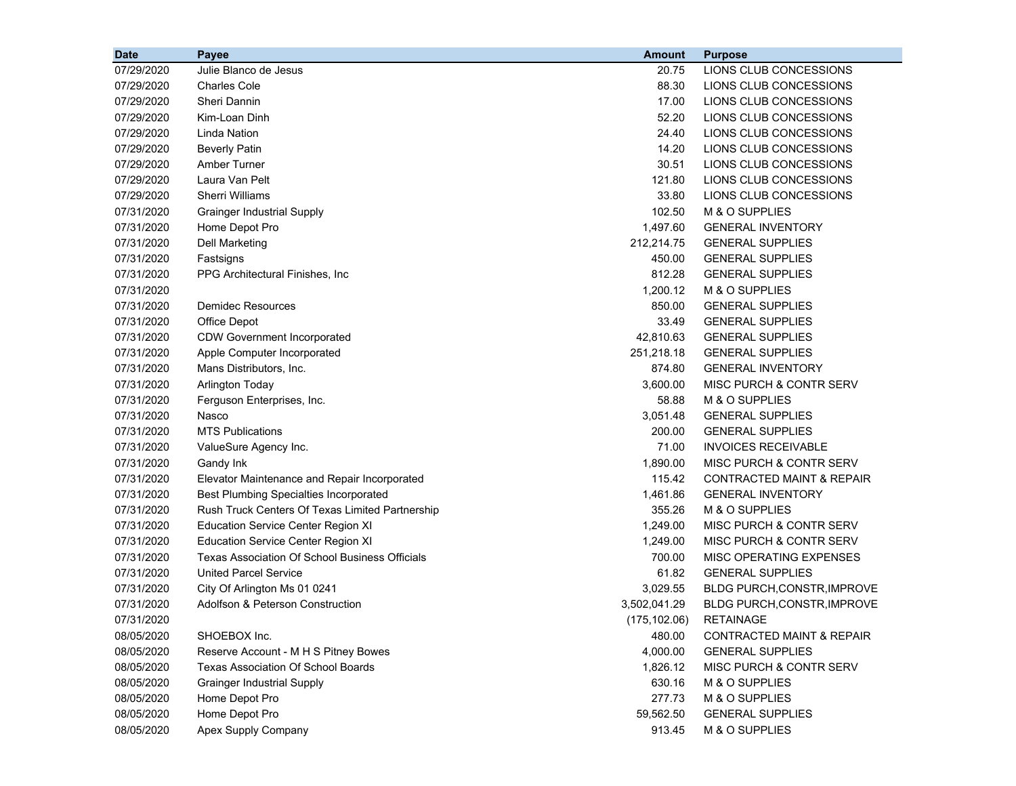| 07/29/2020<br>Julie Blanco de Jesus<br>LIONS CLUB CONCESSIONS<br>20.75<br><b>Charles Cole</b><br>88.30<br>LIONS CLUB CONCESSIONS<br>07/29/2020<br>Sheri Dannin<br>17.00<br>LIONS CLUB CONCESSIONS<br>07/29/2020 |  |
|-----------------------------------------------------------------------------------------------------------------------------------------------------------------------------------------------------------------|--|
|                                                                                                                                                                                                                 |  |
|                                                                                                                                                                                                                 |  |
|                                                                                                                                                                                                                 |  |
| Kim-Loan Dinh<br>52.20<br>LIONS CLUB CONCESSIONS<br>07/29/2020                                                                                                                                                  |  |
| 07/29/2020<br>Linda Nation<br>24.40<br>LIONS CLUB CONCESSIONS                                                                                                                                                   |  |
| 14.20<br>LIONS CLUB CONCESSIONS<br>07/29/2020<br><b>Beverly Patin</b>                                                                                                                                           |  |
| 07/29/2020<br>30.51<br>LIONS CLUB CONCESSIONS<br>Amber Turner                                                                                                                                                   |  |
| LIONS CLUB CONCESSIONS<br>07/29/2020<br>Laura Van Pelt<br>121.80                                                                                                                                                |  |
| Sherri Williams<br>33.80<br>LIONS CLUB CONCESSIONS<br>07/29/2020                                                                                                                                                |  |
| 102.50<br>M & O SUPPLIES<br>07/31/2020<br><b>Grainger Industrial Supply</b>                                                                                                                                     |  |
| 07/31/2020<br>1,497.60<br><b>GENERAL INVENTORY</b><br>Home Depot Pro                                                                                                                                            |  |
| <b>GENERAL SUPPLIES</b><br>07/31/2020<br><b>Dell Marketing</b><br>212,214.75                                                                                                                                    |  |
| 450.00<br><b>GENERAL SUPPLIES</b><br>07/31/2020<br>Fastsigns                                                                                                                                                    |  |
| 07/31/2020<br>812.28<br>PPG Architectural Finishes, Inc.<br><b>GENERAL SUPPLIES</b>                                                                                                                             |  |
| 07/31/2020<br>1,200.12<br>M & O SUPPLIES                                                                                                                                                                        |  |
| 07/31/2020<br>850.00<br><b>Demidec Resources</b><br><b>GENERAL SUPPLIES</b>                                                                                                                                     |  |
| 33.49<br>07/31/2020<br><b>Office Depot</b><br><b>GENERAL SUPPLIES</b>                                                                                                                                           |  |
| 42,810.63<br><b>GENERAL SUPPLIES</b><br>07/31/2020<br><b>CDW Government Incorporated</b>                                                                                                                        |  |
| 07/31/2020<br>Apple Computer Incorporated<br>251,218.18<br><b>GENERAL SUPPLIES</b>                                                                                                                              |  |
| 07/31/2020<br>874.80<br>Mans Distributors, Inc.<br><b>GENERAL INVENTORY</b>                                                                                                                                     |  |
| 07/31/2020<br>3,600.00<br>MISC PURCH & CONTR SERV<br><b>Arlington Today</b>                                                                                                                                     |  |
| 58.88<br>M & O SUPPLIES<br>07/31/2020<br>Ferguson Enterprises, Inc.                                                                                                                                             |  |
| 3,051.48<br><b>GENERAL SUPPLIES</b><br>07/31/2020<br>Nasco                                                                                                                                                      |  |
| <b>MTS Publications</b><br>200.00<br><b>GENERAL SUPPLIES</b><br>07/31/2020                                                                                                                                      |  |
| 07/31/2020<br>71.00<br><b>INVOICES RECEIVABLE</b><br>ValueSure Agency Inc.                                                                                                                                      |  |
| 1,890.00<br>MISC PURCH & CONTR SERV<br>07/31/2020<br>Gandy Ink                                                                                                                                                  |  |
| 115.42<br><b>CONTRACTED MAINT &amp; REPAIR</b><br>07/31/2020<br>Elevator Maintenance and Repair Incorporated                                                                                                    |  |
| 1,461.86<br><b>GENERAL INVENTORY</b><br>07/31/2020<br><b>Best Plumbing Specialties Incorporated</b>                                                                                                             |  |
| Rush Truck Centers Of Texas Limited Partnership<br>355.26<br>M & O SUPPLIES<br>07/31/2020                                                                                                                       |  |
| 1,249.00<br>MISC PURCH & CONTR SERV<br>07/31/2020<br><b>Education Service Center Region XI</b>                                                                                                                  |  |
| 1,249.00<br>MISC PURCH & CONTR SERV<br>07/31/2020<br><b>Education Service Center Region XI</b>                                                                                                                  |  |
| 07/31/2020<br><b>Texas Association Of School Business Officials</b><br>700.00<br>MISC OPERATING EXPENSES                                                                                                        |  |
| 61.82<br>07/31/2020<br><b>United Parcel Service</b><br><b>GENERAL SUPPLIES</b>                                                                                                                                  |  |
| 07/31/2020<br>City Of Arlington Ms 01 0241<br>3,029.55<br>BLDG PURCH, CONSTR, IMPROVE                                                                                                                           |  |
| 07/31/2020<br>Adolfson & Peterson Construction<br>3,502,041.29<br><b>BLDG PURCH, CONSTR, IMPROVE</b>                                                                                                            |  |
| 07/31/2020<br>(175, 102.06)<br><b>RETAINAGE</b>                                                                                                                                                                 |  |
| 08/05/2020<br>SHOEBOX Inc.<br><b>CONTRACTED MAINT &amp; REPAIR</b><br>480.00                                                                                                                                    |  |
| 08/05/2020<br>Reserve Account - M H S Pitney Bowes<br>4,000.00<br><b>GENERAL SUPPLIES</b>                                                                                                                       |  |
| 08/05/2020<br><b>Texas Association Of School Boards</b><br>1,826.12<br>MISC PURCH & CONTR SERV                                                                                                                  |  |
| 08/05/2020<br>630.16<br>M & O SUPPLIES<br><b>Grainger Industrial Supply</b>                                                                                                                                     |  |
| 277.73<br>08/05/2020<br>Home Depot Pro<br>M & O SUPPLIES                                                                                                                                                        |  |
| 08/05/2020<br>Home Depot Pro<br>59,562.50<br><b>GENERAL SUPPLIES</b>                                                                                                                                            |  |
| Apex Supply Company<br>08/05/2020<br>913.45<br>M & O SUPPLIES                                                                                                                                                   |  |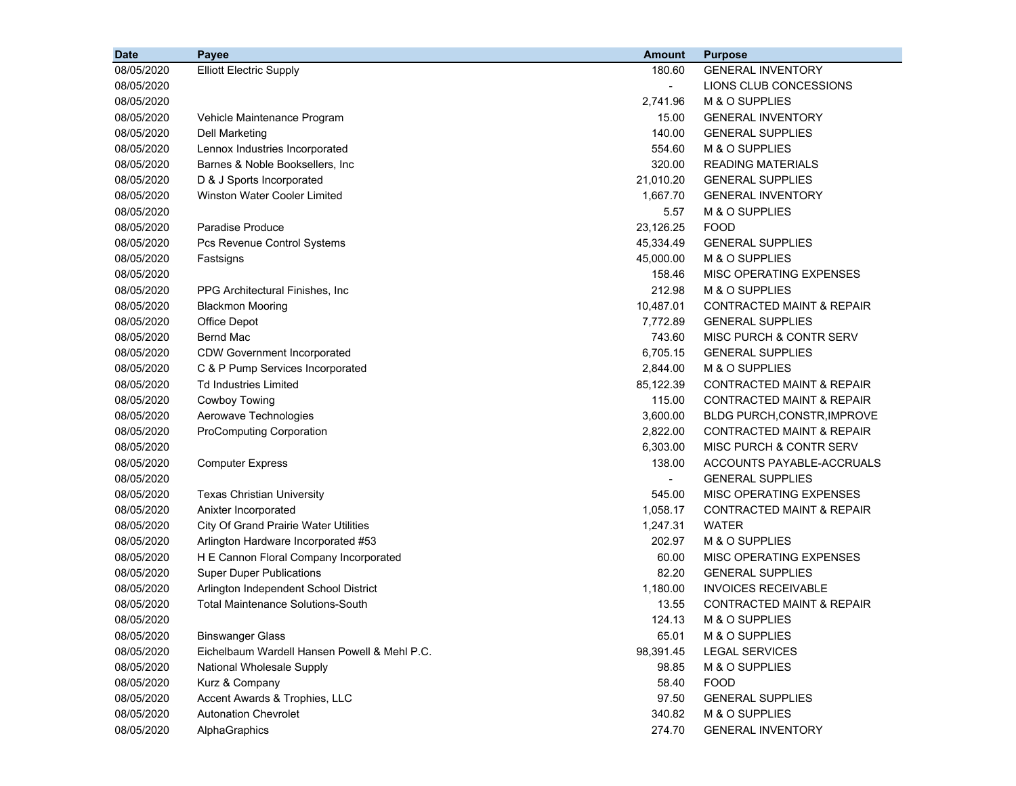| <b>Date</b> | Payee                                        | <b>Amount</b>  | <b>Purpose</b>                       |
|-------------|----------------------------------------------|----------------|--------------------------------------|
| 08/05/2020  | <b>Elliott Electric Supply</b>               | 180.60         | <b>GENERAL INVENTORY</b>             |
| 08/05/2020  |                                              | $\blacksquare$ | LIONS CLUB CONCESSIONS               |
| 08/05/2020  |                                              | 2,741.96       | M & O SUPPLIES                       |
| 08/05/2020  | Vehicle Maintenance Program                  | 15.00          | <b>GENERAL INVENTORY</b>             |
| 08/05/2020  | Dell Marketing                               | 140.00         | <b>GENERAL SUPPLIES</b>              |
| 08/05/2020  | Lennox Industries Incorporated               | 554.60         | M & O SUPPLIES                       |
| 08/05/2020  | Barnes & Noble Booksellers, Inc.             | 320.00         | <b>READING MATERIALS</b>             |
| 08/05/2020  | D & J Sports Incorporated                    | 21,010.20      | <b>GENERAL SUPPLIES</b>              |
| 08/05/2020  | Winston Water Cooler Limited                 | 1,667.70       | <b>GENERAL INVENTORY</b>             |
| 08/05/2020  |                                              | 5.57           | M & O SUPPLIES                       |
| 08/05/2020  | Paradise Produce                             | 23,126.25      | <b>FOOD</b>                          |
| 08/05/2020  | Pcs Revenue Control Systems                  | 45,334.49      | <b>GENERAL SUPPLIES</b>              |
| 08/05/2020  | Fastsigns                                    | 45,000.00      | M & O SUPPLIES                       |
| 08/05/2020  |                                              | 158.46         | MISC OPERATING EXPENSES              |
| 08/05/2020  | PPG Architectural Finishes, Inc.             | 212.98         | M & O SUPPLIES                       |
| 08/05/2020  | <b>Blackmon Mooring</b>                      | 10,487.01      | <b>CONTRACTED MAINT &amp; REPAIR</b> |
| 08/05/2020  | Office Depot                                 | 7,772.89       | <b>GENERAL SUPPLIES</b>              |
| 08/05/2020  | Bernd Mac                                    | 743.60         | MISC PURCH & CONTR SERV              |
| 08/05/2020  | <b>CDW Government Incorporated</b>           | 6,705.15       | <b>GENERAL SUPPLIES</b>              |
| 08/05/2020  | C & P Pump Services Incorporated             | 2,844.00       | M & O SUPPLIES                       |
| 08/05/2020  | <b>Td Industries Limited</b>                 | 85,122.39      | <b>CONTRACTED MAINT &amp; REPAIR</b> |
| 08/05/2020  | Cowboy Towing                                | 115.00         | <b>CONTRACTED MAINT &amp; REPAIR</b> |
| 08/05/2020  | Aerowave Technologies                        | 3,600.00       | BLDG PURCH, CONSTR, IMPROVE          |
| 08/05/2020  | <b>ProComputing Corporation</b>              | 2,822.00       | <b>CONTRACTED MAINT &amp; REPAIR</b> |
| 08/05/2020  |                                              | 6,303.00       | MISC PURCH & CONTR SERV              |
| 08/05/2020  | <b>Computer Express</b>                      | 138.00         | ACCOUNTS PAYABLE-ACCRUALS            |
| 08/05/2020  |                                              | $\blacksquare$ | <b>GENERAL SUPPLIES</b>              |
| 08/05/2020  | <b>Texas Christian University</b>            | 545.00         | MISC OPERATING EXPENSES              |
| 08/05/2020  | Anixter Incorporated                         | 1,058.17       | <b>CONTRACTED MAINT &amp; REPAIR</b> |
| 08/05/2020  | City Of Grand Prairie Water Utilities        | 1,247.31       | <b>WATER</b>                         |
| 08/05/2020  | Arlington Hardware Incorporated #53          | 202.97         | M & O SUPPLIES                       |
| 08/05/2020  | H E Cannon Floral Company Incorporated       | 60.00          | MISC OPERATING EXPENSES              |
| 08/05/2020  | <b>Super Duper Publications</b>              | 82.20          | <b>GENERAL SUPPLIES</b>              |
| 08/05/2020  | Arlington Independent School District        | 1,180.00       | <b>INVOICES RECEIVABLE</b>           |
| 08/05/2020  | <b>Total Maintenance Solutions-South</b>     | 13.55          | <b>CONTRACTED MAINT &amp; REPAIR</b> |
| 08/05/2020  |                                              | 124.13         | M & O SUPPLIES                       |
| 08/05/2020  | <b>Binswanger Glass</b>                      | 65.01          | M & O SUPPLIES                       |
| 08/05/2020  | Eichelbaum Wardell Hansen Powell & Mehl P.C. | 98,391.45      | <b>LEGAL SERVICES</b>                |
| 08/05/2020  | National Wholesale Supply                    | 98.85          | M & O SUPPLIES                       |
| 08/05/2020  | Kurz & Company                               | 58.40          | <b>FOOD</b>                          |
| 08/05/2020  | Accent Awards & Trophies, LLC                | 97.50          | <b>GENERAL SUPPLIES</b>              |
| 08/05/2020  | <b>Autonation Chevrolet</b>                  | 340.82         | M & O SUPPLIES                       |
| 08/05/2020  | AlphaGraphics                                | 274.70         | <b>GENERAL INVENTORY</b>             |
|             |                                              |                |                                      |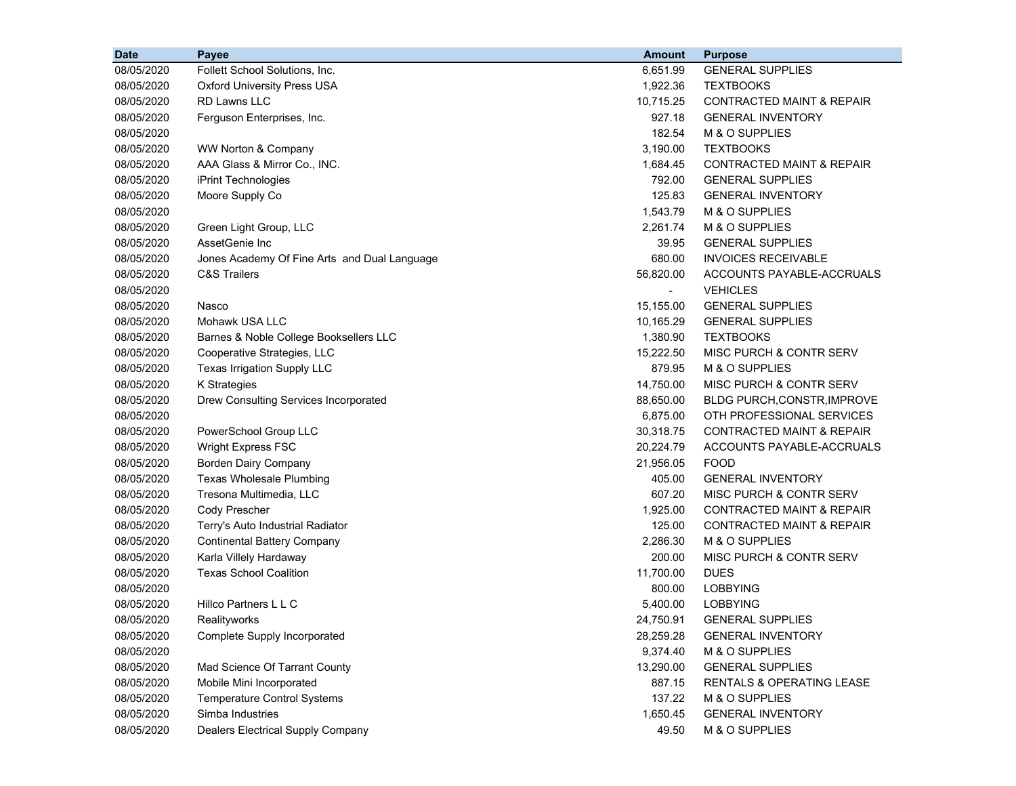| <b>Date</b> | Payee                                        | <b>Amount</b>            | <b>Purpose</b>                       |
|-------------|----------------------------------------------|--------------------------|--------------------------------------|
| 08/05/2020  | Follett School Solutions, Inc.               | 6,651.99                 | <b>GENERAL SUPPLIES</b>              |
| 08/05/2020  | <b>Oxford University Press USA</b>           | 1,922.36                 | <b>TEXTBOOKS</b>                     |
| 08/05/2020  | <b>RD Lawns LLC</b>                          | 10,715.25                | <b>CONTRACTED MAINT &amp; REPAIR</b> |
| 08/05/2020  | Ferguson Enterprises, Inc.                   | 927.18                   | <b>GENERAL INVENTORY</b>             |
| 08/05/2020  |                                              | 182.54                   | M & O SUPPLIES                       |
| 08/05/2020  | WW Norton & Company                          | 3,190.00                 | <b>TEXTBOOKS</b>                     |
| 08/05/2020  | AAA Glass & Mirror Co., INC.                 | 1,684.45                 | <b>CONTRACTED MAINT &amp; REPAIR</b> |
| 08/05/2020  | iPrint Technologies                          | 792.00                   | <b>GENERAL SUPPLIES</b>              |
| 08/05/2020  | Moore Supply Co                              | 125.83                   | <b>GENERAL INVENTORY</b>             |
| 08/05/2020  |                                              | 1,543.79                 | M & O SUPPLIES                       |
| 08/05/2020  | Green Light Group, LLC                       | 2,261.74                 | M & O SUPPLIES                       |
| 08/05/2020  | AssetGenie Inc                               | 39.95                    | <b>GENERAL SUPPLIES</b>              |
| 08/05/2020  | Jones Academy Of Fine Arts and Dual Language | 680.00                   | <b>INVOICES RECEIVABLE</b>           |
| 08/05/2020  | <b>C&amp;S Trailers</b>                      | 56,820.00                | ACCOUNTS PAYABLE-ACCRUALS            |
| 08/05/2020  |                                              | $\overline{\phantom{0}}$ | <b>VEHICLES</b>                      |
| 08/05/2020  | Nasco                                        | 15,155.00                | <b>GENERAL SUPPLIES</b>              |
| 08/05/2020  | Mohawk USA LLC                               | 10,165.29                | <b>GENERAL SUPPLIES</b>              |
| 08/05/2020  | Barnes & Noble College Booksellers LLC       | 1,380.90                 | <b>TEXTBOOKS</b>                     |
| 08/05/2020  | Cooperative Strategies, LLC                  | 15,222.50                | <b>MISC PURCH &amp; CONTR SERV</b>   |
| 08/05/2020  | Texas Irrigation Supply LLC                  | 879.95                   | M & O SUPPLIES                       |
| 08/05/2020  | K Strategies                                 | 14,750.00                | MISC PURCH & CONTR SERV              |
| 08/05/2020  | Drew Consulting Services Incorporated        | 88,650.00                | BLDG PURCH, CONSTR, IMPROVE          |
| 08/05/2020  |                                              | 6,875.00                 | OTH PROFESSIONAL SERVICES            |
| 08/05/2020  | PowerSchool Group LLC                        | 30,318.75                | <b>CONTRACTED MAINT &amp; REPAIR</b> |
| 08/05/2020  | Wright Express FSC                           | 20,224.79                | ACCOUNTS PAYABLE-ACCRUALS            |
| 08/05/2020  | <b>Borden Dairy Company</b>                  | 21,956.05                | <b>FOOD</b>                          |
| 08/05/2020  | Texas Wholesale Plumbing                     | 405.00                   | <b>GENERAL INVENTORY</b>             |
| 08/05/2020  | Tresona Multimedia, LLC                      | 607.20                   | MISC PURCH & CONTR SERV              |
| 08/05/2020  | Cody Prescher                                | 1,925.00                 | CONTRACTED MAINT & REPAIR            |
| 08/05/2020  | Terry's Auto Industrial Radiator             | 125.00                   | <b>CONTRACTED MAINT &amp; REPAIR</b> |
| 08/05/2020  | <b>Continental Battery Company</b>           | 2,286.30                 | M & O SUPPLIES                       |
| 08/05/2020  | Karla Villely Hardaway                       | 200.00                   | MISC PURCH & CONTR SERV              |
| 08/05/2020  | <b>Texas School Coalition</b>                | 11,700.00                | <b>DUES</b>                          |
| 08/05/2020  |                                              | 800.00                   | <b>LOBBYING</b>                      |
| 08/05/2020  | Hillco Partners L L C                        | 5,400.00                 | <b>LOBBYING</b>                      |
| 08/05/2020  | Realityworks                                 | 24,750.91                | <b>GENERAL SUPPLIES</b>              |
| 08/05/2020  | Complete Supply Incorporated                 | 28,259.28                | <b>GENERAL INVENTORY</b>             |
| 08/05/2020  |                                              | 9,374.40                 | M & O SUPPLIES                       |
| 08/05/2020  | Mad Science Of Tarrant County                | 13,290.00                | <b>GENERAL SUPPLIES</b>              |
| 08/05/2020  | Mobile Mini Incorporated                     | 887.15                   | RENTALS & OPERATING LEASE            |
| 08/05/2020  | <b>Temperature Control Systems</b>           | 137.22                   | M & O SUPPLIES                       |
| 08/05/2020  | Simba Industries                             | 1,650.45                 | <b>GENERAL INVENTORY</b>             |
| 08/05/2020  | Dealers Electrical Supply Company            | 49.50                    | M & O SUPPLIES                       |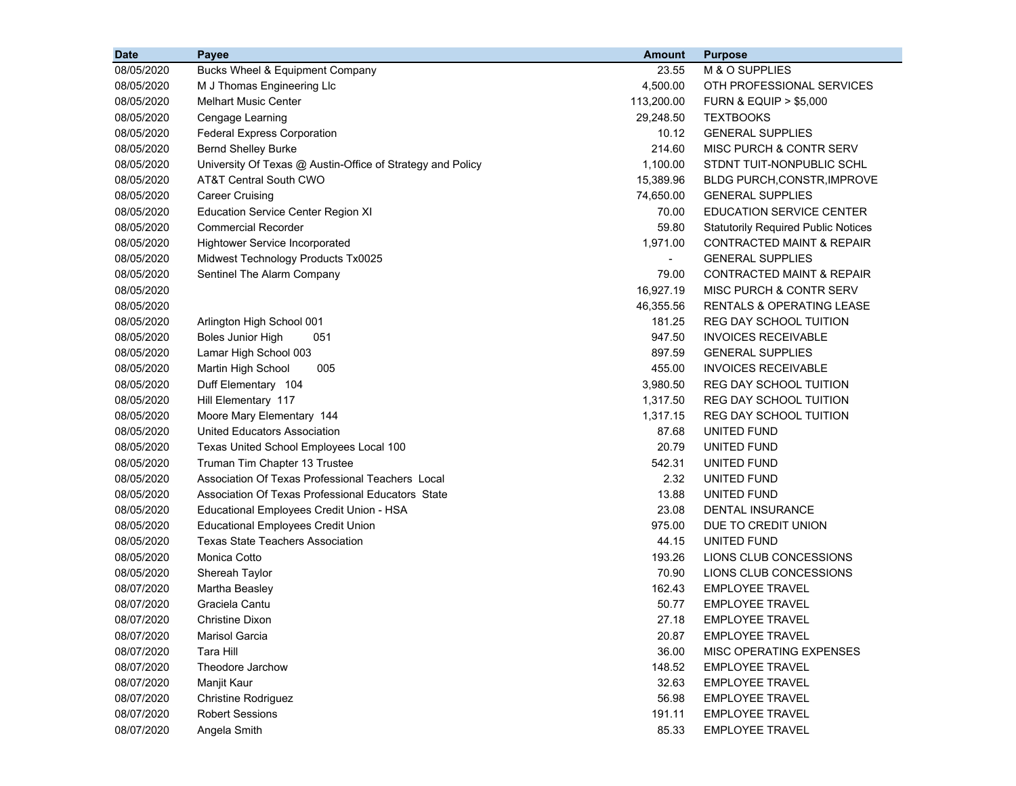| <b>Date</b> | Payee                                                      | Amount                   | <b>Purpose</b>                             |
|-------------|------------------------------------------------------------|--------------------------|--------------------------------------------|
| 08/05/2020  | Bucks Wheel & Equipment Company                            | 23.55                    | M & O SUPPLIES                             |
| 08/05/2020  | M J Thomas Engineering Llc                                 | 4,500.00                 | OTH PROFESSIONAL SERVICES                  |
| 08/05/2020  | <b>Melhart Music Center</b>                                | 113,200.00               | <b>FURN &amp; EQUIP &gt; \$5,000</b>       |
| 08/05/2020  | Cengage Learning                                           | 29,248.50                | <b>TEXTBOOKS</b>                           |
| 08/05/2020  | <b>Federal Express Corporation</b>                         | 10.12                    | <b>GENERAL SUPPLIES</b>                    |
| 08/05/2020  | <b>Bernd Shelley Burke</b>                                 | 214.60                   | MISC PURCH & CONTR SERV                    |
| 08/05/2020  | University Of Texas @ Austin-Office of Strategy and Policy | 1,100.00                 | STDNT TUIT-NONPUBLIC SCHL                  |
| 08/05/2020  | AT&T Central South CWO                                     | 15,389.96                | <b>BLDG PURCH, CONSTR, IMPROVE</b>         |
| 08/05/2020  | <b>Career Cruising</b>                                     | 74,650.00                | <b>GENERAL SUPPLIES</b>                    |
| 08/05/2020  | <b>Education Service Center Region XI</b>                  | 70.00                    | <b>EDUCATION SERVICE CENTER</b>            |
| 08/05/2020  | <b>Commercial Recorder</b>                                 | 59.80                    | <b>Statutorily Required Public Notices</b> |
| 08/05/2020  | <b>Hightower Service Incorporated</b>                      | 1,971.00                 | CONTRACTED MAINT & REPAIR                  |
| 08/05/2020  | Midwest Technology Products Tx0025                         | $\overline{\phantom{a}}$ | <b>GENERAL SUPPLIES</b>                    |
| 08/05/2020  | Sentinel The Alarm Company                                 | 79.00                    | CONTRACTED MAINT & REPAIR                  |
| 08/05/2020  |                                                            | 16,927.19                | <b>MISC PURCH &amp; CONTR SERV</b>         |
| 08/05/2020  |                                                            | 46,355.56                | <b>RENTALS &amp; OPERATING LEASE</b>       |
| 08/05/2020  | Arlington High School 001                                  | 181.25                   | <b>REG DAY SCHOOL TUITION</b>              |
| 08/05/2020  | <b>Boles Junior High</b><br>051                            | 947.50                   | <b>INVOICES RECEIVABLE</b>                 |
| 08/05/2020  | Lamar High School 003                                      | 897.59                   | <b>GENERAL SUPPLIES</b>                    |
| 08/05/2020  | 005<br>Martin High School                                  | 455.00                   | <b>INVOICES RECEIVABLE</b>                 |
| 08/05/2020  | Duff Elementary 104                                        | 3,980.50                 | REG DAY SCHOOL TUITION                     |
| 08/05/2020  | Hill Elementary 117                                        | 1,317.50                 | <b>REG DAY SCHOOL TUITION</b>              |
| 08/05/2020  | Moore Mary Elementary 144                                  | 1,317.15                 | REG DAY SCHOOL TUITION                     |
| 08/05/2020  | <b>United Educators Association</b>                        | 87.68                    | UNITED FUND                                |
| 08/05/2020  | Texas United School Employees Local 100                    | 20.79                    | UNITED FUND                                |
| 08/05/2020  | Truman Tim Chapter 13 Trustee                              | 542.31                   | UNITED FUND                                |
| 08/05/2020  | Association Of Texas Professional Teachers Local           | 2.32                     | UNITED FUND                                |
| 08/05/2020  | Association Of Texas Professional Educators State          | 13.88                    | UNITED FUND                                |
| 08/05/2020  | Educational Employees Credit Union - HSA                   | 23.08                    | DENTAL INSURANCE                           |
| 08/05/2020  | <b>Educational Employees Credit Union</b>                  | 975.00                   | DUE TO CREDIT UNION                        |
| 08/05/2020  | <b>Texas State Teachers Association</b>                    | 44.15                    | UNITED FUND                                |
| 08/05/2020  | Monica Cotto                                               | 193.26                   | LIONS CLUB CONCESSIONS                     |
| 08/05/2020  | Shereah Taylor                                             | 70.90                    | LIONS CLUB CONCESSIONS                     |
| 08/07/2020  | Martha Beasley                                             | 162.43                   | <b>EMPLOYEE TRAVEL</b>                     |
| 08/07/2020  | Graciela Cantu                                             | 50.77                    | <b>EMPLOYEE TRAVEL</b>                     |
| 08/07/2020  | <b>Christine Dixon</b>                                     | 27.18                    | <b>EMPLOYEE TRAVEL</b>                     |
| 08/07/2020  | Marisol Garcia                                             | 20.87                    | <b>EMPLOYEE TRAVEL</b>                     |
| 08/07/2020  | Tara Hill                                                  | 36.00                    | MISC OPERATING EXPENSES                    |
| 08/07/2020  | Theodore Jarchow                                           | 148.52                   | <b>EMPLOYEE TRAVEL</b>                     |
| 08/07/2020  | Manjit Kaur                                                | 32.63                    | <b>EMPLOYEE TRAVEL</b>                     |
| 08/07/2020  | <b>Christine Rodriguez</b>                                 | 56.98                    | <b>EMPLOYEE TRAVEL</b>                     |
| 08/07/2020  | <b>Robert Sessions</b>                                     | 191.11                   | <b>EMPLOYEE TRAVEL</b>                     |
| 08/07/2020  | Angela Smith                                               | 85.33                    | <b>EMPLOYEE TRAVEL</b>                     |
|             |                                                            |                          |                                            |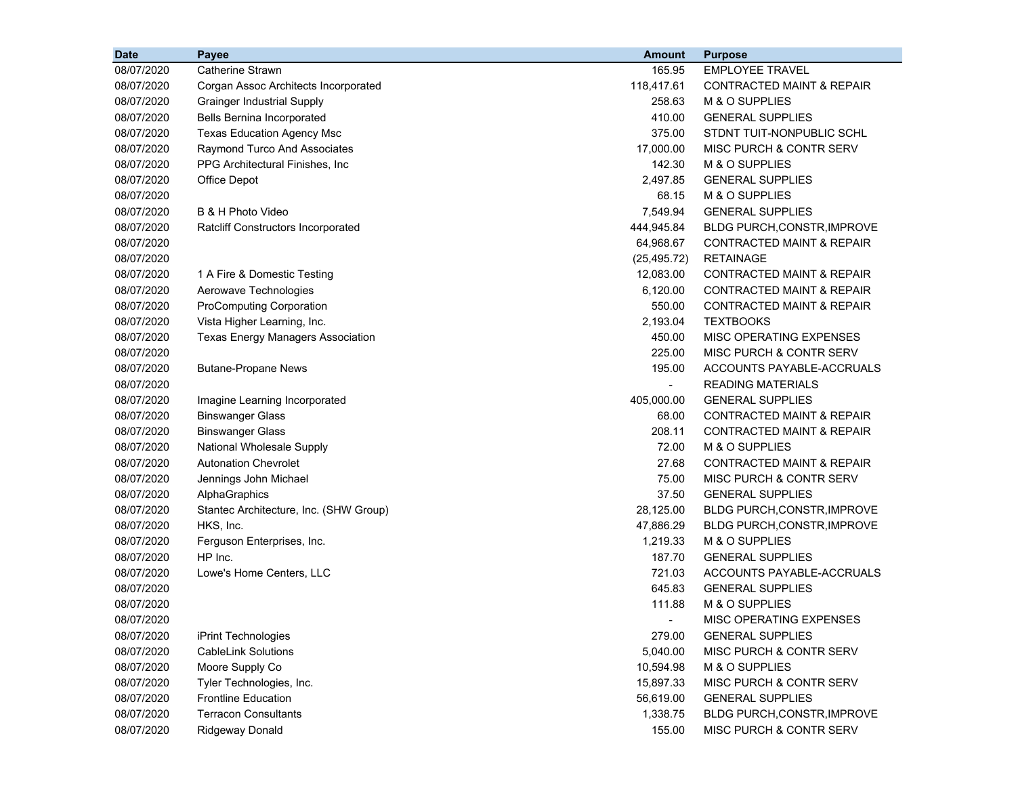| <b>Date</b> | <b>Payee</b>                              | <b>Amount</b>  | <b>Purpose</b>                       |
|-------------|-------------------------------------------|----------------|--------------------------------------|
| 08/07/2020  | Catherine Strawn                          | 165.95         | <b>EMPLOYEE TRAVEL</b>               |
| 08/07/2020  | Corgan Assoc Architects Incorporated      | 118,417.61     | <b>CONTRACTED MAINT &amp; REPAIR</b> |
| 08/07/2020  | <b>Grainger Industrial Supply</b>         | 258.63         | M & O SUPPLIES                       |
| 08/07/2020  | Bells Bernina Incorporated                | 410.00         | <b>GENERAL SUPPLIES</b>              |
| 08/07/2020  | <b>Texas Education Agency Msc</b>         | 375.00         | STDNT TUIT-NONPUBLIC SCHL            |
| 08/07/2020  | Raymond Turco And Associates              | 17,000.00      | MISC PURCH & CONTR SERV              |
| 08/07/2020  | PPG Architectural Finishes, Inc.          | 142.30         | M & O SUPPLIES                       |
| 08/07/2020  | Office Depot                              | 2,497.85       | <b>GENERAL SUPPLIES</b>              |
| 08/07/2020  |                                           | 68.15          | M & O SUPPLIES                       |
| 08/07/2020  | B & H Photo Video                         | 7,549.94       | <b>GENERAL SUPPLIES</b>              |
| 08/07/2020  | <b>Ratcliff Constructors Incorporated</b> | 444,945.84     | BLDG PURCH, CONSTR, IMPROVE          |
| 08/07/2020  |                                           | 64,968.67      | CONTRACTED MAINT & REPAIR            |
| 08/07/2020  |                                           | (25, 495.72)   | <b>RETAINAGE</b>                     |
| 08/07/2020  | 1 A Fire & Domestic Testing               | 12,083.00      | <b>CONTRACTED MAINT &amp; REPAIR</b> |
| 08/07/2020  | Aerowave Technologies                     | 6,120.00       | <b>CONTRACTED MAINT &amp; REPAIR</b> |
| 08/07/2020  | <b>ProComputing Corporation</b>           | 550.00         | <b>CONTRACTED MAINT &amp; REPAIR</b> |
| 08/07/2020  | Vista Higher Learning, Inc.               | 2,193.04       | <b>TEXTBOOKS</b>                     |
| 08/07/2020  | <b>Texas Energy Managers Association</b>  | 450.00         | MISC OPERATING EXPENSES              |
| 08/07/2020  |                                           | 225.00         | <b>MISC PURCH &amp; CONTR SERV</b>   |
| 08/07/2020  | <b>Butane-Propane News</b>                | 195.00         | ACCOUNTS PAYABLE-ACCRUALS            |
| 08/07/2020  |                                           | $\blacksquare$ | <b>READING MATERIALS</b>             |
| 08/07/2020  | Imagine Learning Incorporated             | 405,000.00     | <b>GENERAL SUPPLIES</b>              |
| 08/07/2020  | <b>Binswanger Glass</b>                   | 68.00          | CONTRACTED MAINT & REPAIR            |
| 08/07/2020  | <b>Binswanger Glass</b>                   | 208.11         | <b>CONTRACTED MAINT &amp; REPAIR</b> |
| 08/07/2020  | National Wholesale Supply                 | 72.00          | M & O SUPPLIES                       |
| 08/07/2020  | <b>Autonation Chevrolet</b>               | 27.68          | <b>CONTRACTED MAINT &amp; REPAIR</b> |
| 08/07/2020  | Jennings John Michael                     | 75.00          | MISC PURCH & CONTR SERV              |
| 08/07/2020  | AlphaGraphics                             | 37.50          | <b>GENERAL SUPPLIES</b>              |
| 08/07/2020  | Stantec Architecture, Inc. (SHW Group)    | 28,125.00      | BLDG PURCH, CONSTR, IMPROVE          |
| 08/07/2020  | HKS, Inc.                                 | 47,886.29      | <b>BLDG PURCH, CONSTR, IMPROVE</b>   |
| 08/07/2020  | Ferguson Enterprises, Inc.                | 1,219.33       | M & O SUPPLIES                       |
| 08/07/2020  | HP Inc.                                   | 187.70         | <b>GENERAL SUPPLIES</b>              |
| 08/07/2020  | Lowe's Home Centers, LLC                  | 721.03         | ACCOUNTS PAYABLE-ACCRUALS            |
| 08/07/2020  |                                           | 645.83         | <b>GENERAL SUPPLIES</b>              |
| 08/07/2020  |                                           | 111.88         | M & O SUPPLIES                       |
| 08/07/2020  |                                           |                | MISC OPERATING EXPENSES              |
| 08/07/2020  | iPrint Technologies                       | 279.00         | <b>GENERAL SUPPLIES</b>              |
| 08/07/2020  | <b>CableLink Solutions</b>                | 5,040.00       | MISC PURCH & CONTR SERV              |
| 08/07/2020  | Moore Supply Co                           | 10,594.98      | M & O SUPPLIES                       |
| 08/07/2020  | Tyler Technologies, Inc.                  | 15,897.33      | MISC PURCH & CONTR SERV              |
| 08/07/2020  | <b>Frontline Education</b>                | 56,619.00      | <b>GENERAL SUPPLIES</b>              |
| 08/07/2020  | <b>Terracon Consultants</b>               | 1,338.75       | BLDG PURCH, CONSTR, IMPROVE          |
| 08/07/2020  | Ridgeway Donald                           | 155.00         | MISC PURCH & CONTR SERV              |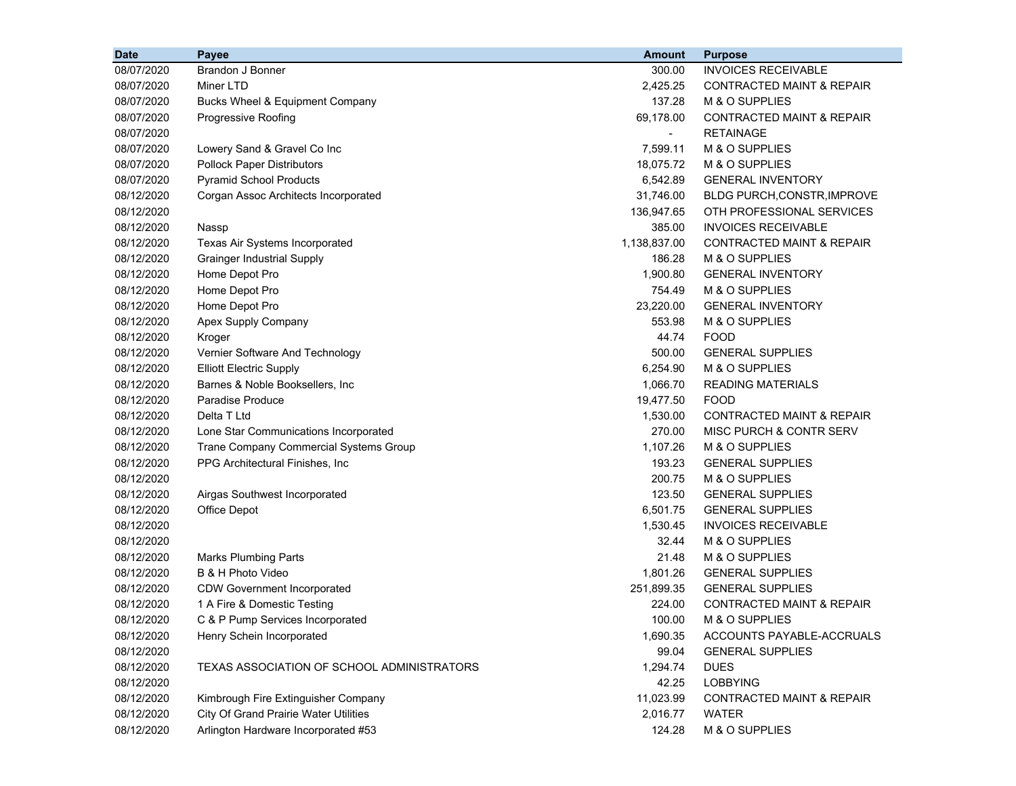| <b>Date</b> | <b>Payee</b>                               | <b>Amount</b>  | <b>Purpose</b>                       |
|-------------|--------------------------------------------|----------------|--------------------------------------|
| 08/07/2020  | Brandon J Bonner                           | 300.00         | <b>INVOICES RECEIVABLE</b>           |
| 08/07/2020  | Miner LTD                                  | 2,425.25       | <b>CONTRACTED MAINT &amp; REPAIR</b> |
| 08/07/2020  | Bucks Wheel & Equipment Company            | 137.28         | M & O SUPPLIES                       |
| 08/07/2020  | Progressive Roofing                        | 69,178.00      | <b>CONTRACTED MAINT &amp; REPAIR</b> |
| 08/07/2020  |                                            | $\blacksquare$ | <b>RETAINAGE</b>                     |
| 08/07/2020  | Lowery Sand & Gravel Co Inc                | 7,599.11       | M & O SUPPLIES                       |
| 08/07/2020  | <b>Pollock Paper Distributors</b>          | 18,075.72      | M & O SUPPLIES                       |
| 08/07/2020  | <b>Pyramid School Products</b>             | 6,542.89       | <b>GENERAL INVENTORY</b>             |
| 08/12/2020  | Corgan Assoc Architects Incorporated       | 31,746.00      | BLDG PURCH, CONSTR, IMPROVE          |
| 08/12/2020  |                                            | 136,947.65     | OTH PROFESSIONAL SERVICES            |
| 08/12/2020  | Nassp                                      | 385.00         | <b>INVOICES RECEIVABLE</b>           |
| 08/12/2020  | Texas Air Systems Incorporated             | 1,138,837.00   | <b>CONTRACTED MAINT &amp; REPAIR</b> |
| 08/12/2020  | <b>Grainger Industrial Supply</b>          | 186.28         | M & O SUPPLIES                       |
| 08/12/2020  | Home Depot Pro                             | 1,900.80       | <b>GENERAL INVENTORY</b>             |
| 08/12/2020  | Home Depot Pro                             | 754.49         | M & O SUPPLIES                       |
| 08/12/2020  | Home Depot Pro                             | 23,220.00      | <b>GENERAL INVENTORY</b>             |
| 08/12/2020  | Apex Supply Company                        | 553.98         | M & O SUPPLIES                       |
| 08/12/2020  | Kroger                                     | 44.74          | <b>FOOD</b>                          |
| 08/12/2020  | Vernier Software And Technology            | 500.00         | <b>GENERAL SUPPLIES</b>              |
| 08/12/2020  | <b>Elliott Electric Supply</b>             | 6,254.90       | M & O SUPPLIES                       |
| 08/12/2020  | Barnes & Noble Booksellers, Inc.           | 1,066.70       | <b>READING MATERIALS</b>             |
| 08/12/2020  | <b>Paradise Produce</b>                    | 19,477.50      | <b>FOOD</b>                          |
| 08/12/2020  | Delta T Ltd                                | 1,530.00       | CONTRACTED MAINT & REPAIR            |
| 08/12/2020  | Lone Star Communications Incorporated      | 270.00         | MISC PURCH & CONTR SERV              |
| 08/12/2020  | Trane Company Commercial Systems Group     | 1,107.26       | M & O SUPPLIES                       |
| 08/12/2020  | PPG Architectural Finishes, Inc.           | 193.23         | <b>GENERAL SUPPLIES</b>              |
| 08/12/2020  |                                            | 200.75         | M & O SUPPLIES                       |
| 08/12/2020  | Airgas Southwest Incorporated              | 123.50         | <b>GENERAL SUPPLIES</b>              |
| 08/12/2020  | Office Depot                               | 6,501.75       | <b>GENERAL SUPPLIES</b>              |
| 08/12/2020  |                                            | 1,530.45       | <b>INVOICES RECEIVABLE</b>           |
| 08/12/2020  |                                            | 32.44          | M & O SUPPLIES                       |
| 08/12/2020  | <b>Marks Plumbing Parts</b>                | 21.48          | M & O SUPPLIES                       |
| 08/12/2020  | B & H Photo Video                          | 1,801.26       | <b>GENERAL SUPPLIES</b>              |
| 08/12/2020  | <b>CDW Government Incorporated</b>         | 251,899.35     | <b>GENERAL SUPPLIES</b>              |
| 08/12/2020  | 1 A Fire & Domestic Testing                | 224.00         | <b>CONTRACTED MAINT &amp; REPAIR</b> |
| 08/12/2020  | C & P Pump Services Incorporated           | 100.00         | M & O SUPPLIES                       |
| 08/12/2020  | Henry Schein Incorporated                  | 1,690.35       | ACCOUNTS PAYABLE-ACCRUALS            |
| 08/12/2020  |                                            | 99.04          | <b>GENERAL SUPPLIES</b>              |
| 08/12/2020  | TEXAS ASSOCIATION OF SCHOOL ADMINISTRATORS | 1,294.74       | <b>DUES</b>                          |
| 08/12/2020  |                                            | 42.25          | <b>LOBBYING</b>                      |
| 08/12/2020  | Kimbrough Fire Extinguisher Company        | 11,023.99      | <b>CONTRACTED MAINT &amp; REPAIR</b> |
| 08/12/2020  | City Of Grand Prairie Water Utilities      | 2,016.77       | <b>WATER</b>                         |
| 08/12/2020  | Arlington Hardware Incorporated #53        | 124.28         | M & O SUPPLIES                       |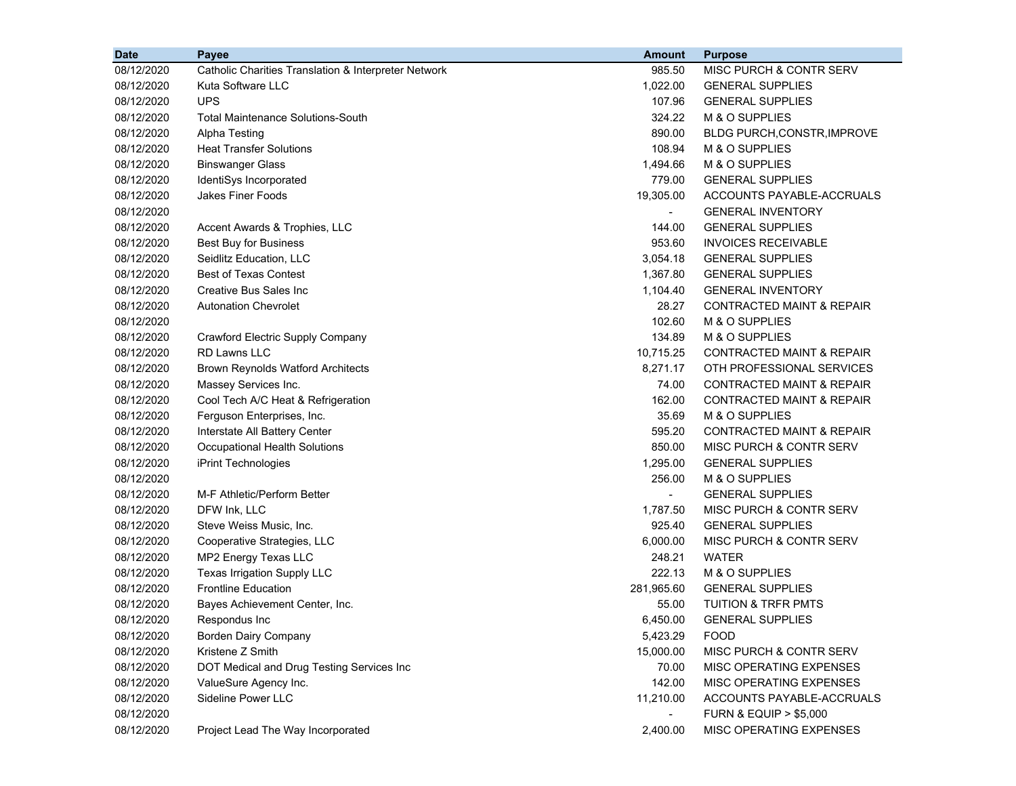| <b>Date</b> | Payee                                                | <b>Amount</b>  | <b>Purpose</b>                       |
|-------------|------------------------------------------------------|----------------|--------------------------------------|
| 08/12/2020  | Catholic Charities Translation & Interpreter Network | 985.50         | MISC PURCH & CONTR SERV              |
| 08/12/2020  | Kuta Software LLC                                    | 1,022.00       | <b>GENERAL SUPPLIES</b>              |
| 08/12/2020  | <b>UPS</b>                                           | 107.96         | <b>GENERAL SUPPLIES</b>              |
| 08/12/2020  | Total Maintenance Solutions-South                    | 324.22         | M & O SUPPLIES                       |
| 08/12/2020  | Alpha Testing                                        | 890.00         | BLDG PURCH, CONSTR, IMPROVE          |
| 08/12/2020  | <b>Heat Transfer Solutions</b>                       | 108.94         | M & O SUPPLIES                       |
| 08/12/2020  | <b>Binswanger Glass</b>                              | 1,494.66       | M & O SUPPLIES                       |
| 08/12/2020  | IdentiSys Incorporated                               | 779.00         | <b>GENERAL SUPPLIES</b>              |
| 08/12/2020  | <b>Jakes Finer Foods</b>                             | 19,305.00      | ACCOUNTS PAYABLE-ACCRUALS            |
| 08/12/2020  |                                                      |                | <b>GENERAL INVENTORY</b>             |
| 08/12/2020  | Accent Awards & Trophies, LLC                        | 144.00         | <b>GENERAL SUPPLIES</b>              |
| 08/12/2020  | Best Buy for Business                                | 953.60         | <b>INVOICES RECEIVABLE</b>           |
| 08/12/2020  | Seidlitz Education, LLC                              | 3,054.18       | <b>GENERAL SUPPLIES</b>              |
| 08/12/2020  | <b>Best of Texas Contest</b>                         | 1,367.80       | <b>GENERAL SUPPLIES</b>              |
| 08/12/2020  | Creative Bus Sales Inc                               | 1,104.40       | <b>GENERAL INVENTORY</b>             |
| 08/12/2020  | <b>Autonation Chevrolet</b>                          | 28.27          | <b>CONTRACTED MAINT &amp; REPAIR</b> |
| 08/12/2020  |                                                      | 102.60         | M & O SUPPLIES                       |
| 08/12/2020  | Crawford Electric Supply Company                     | 134.89         | M & O SUPPLIES                       |
| 08/12/2020  | <b>RD Lawns LLC</b>                                  | 10,715.25      | <b>CONTRACTED MAINT &amp; REPAIR</b> |
| 08/12/2020  | <b>Brown Reynolds Watford Architects</b>             | 8,271.17       | OTH PROFESSIONAL SERVICES            |
| 08/12/2020  | Massey Services Inc.                                 | 74.00          | <b>CONTRACTED MAINT &amp; REPAIR</b> |
| 08/12/2020  | Cool Tech A/C Heat & Refrigeration                   | 162.00         | <b>CONTRACTED MAINT &amp; REPAIR</b> |
| 08/12/2020  | Ferguson Enterprises, Inc.                           | 35.69          | M & O SUPPLIES                       |
| 08/12/2020  | Interstate All Battery Center                        | 595.20         | <b>CONTRACTED MAINT &amp; REPAIR</b> |
| 08/12/2020  | Occupational Health Solutions                        | 850.00         | MISC PURCH & CONTR SERV              |
| 08/12/2020  | iPrint Technologies                                  | 1,295.00       | <b>GENERAL SUPPLIES</b>              |
| 08/12/2020  |                                                      | 256.00         | M & O SUPPLIES                       |
| 08/12/2020  | M-F Athletic/Perform Better                          | $\blacksquare$ | <b>GENERAL SUPPLIES</b>              |
| 08/12/2020  | DFW Ink, LLC                                         | 1,787.50       | MISC PURCH & CONTR SERV              |
| 08/12/2020  | Steve Weiss Music, Inc.                              | 925.40         | <b>GENERAL SUPPLIES</b>              |
| 08/12/2020  | Cooperative Strategies, LLC                          | 6,000.00       | MISC PURCH & CONTR SERV              |
| 08/12/2020  | MP2 Energy Texas LLC                                 | 248.21         | <b>WATER</b>                         |
| 08/12/2020  | Texas Irrigation Supply LLC                          | 222.13         | M & O SUPPLIES                       |
| 08/12/2020  | <b>Frontline Education</b>                           | 281,965.60     | <b>GENERAL SUPPLIES</b>              |
| 08/12/2020  | Bayes Achievement Center, Inc.                       | 55.00          | <b>TUITION &amp; TRFR PMTS</b>       |
| 08/12/2020  | Respondus Inc                                        | 6,450.00       | <b>GENERAL SUPPLIES</b>              |
| 08/12/2020  | <b>Borden Dairy Company</b>                          | 5,423.29       | <b>FOOD</b>                          |
| 08/12/2020  | Kristene Z Smith                                     | 15,000.00      | MISC PURCH & CONTR SERV              |
| 08/12/2020  | DOT Medical and Drug Testing Services Inc            | 70.00          | MISC OPERATING EXPENSES              |
| 08/12/2020  | ValueSure Agency Inc.                                | 142.00         | MISC OPERATING EXPENSES              |
| 08/12/2020  | Sideline Power LLC                                   | 11,210.00      | ACCOUNTS PAYABLE-ACCRUALS            |
| 08/12/2020  |                                                      | $\blacksquare$ | <b>FURN &amp; EQUIP &gt; \$5,000</b> |
| 08/12/2020  | Project Lead The Way Incorporated                    | 2,400.00       | MISC OPERATING EXPENSES              |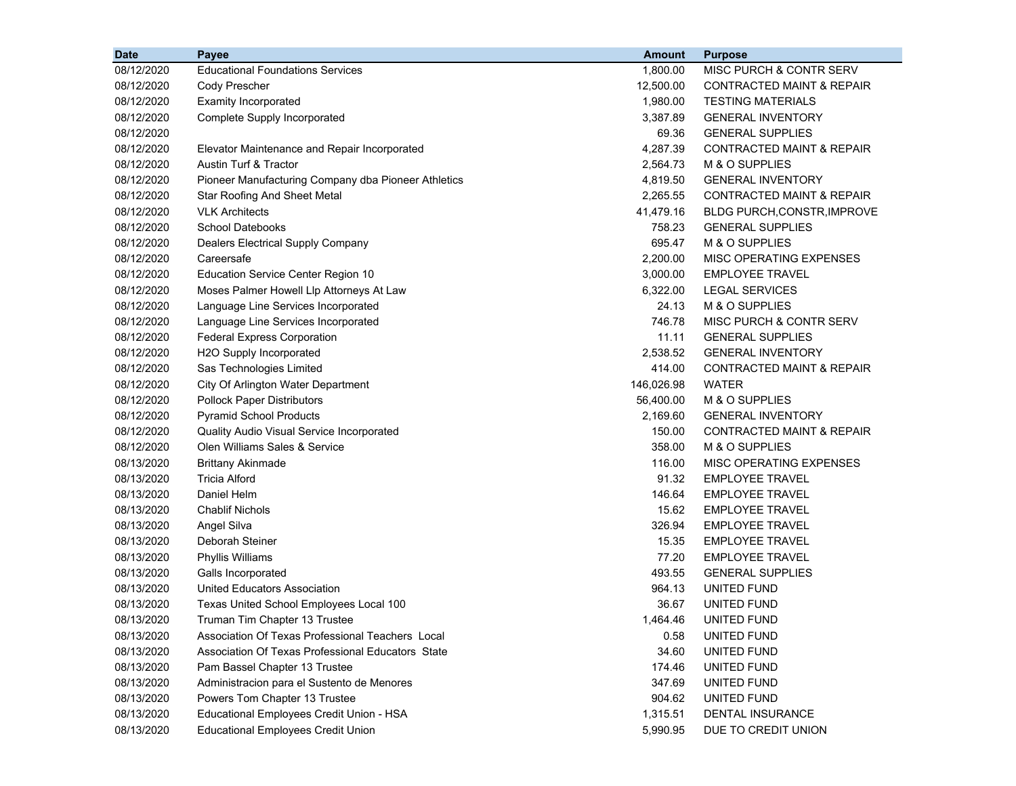| <b>Date</b> | <b>Payee</b>                                        | <b>Amount</b> | <b>Purpose</b>                       |
|-------------|-----------------------------------------------------|---------------|--------------------------------------|
| 08/12/2020  | <b>Educational Foundations Services</b>             | 1,800.00      | MISC PURCH & CONTR SERV              |
| 08/12/2020  | Cody Prescher                                       | 12,500.00     | <b>CONTRACTED MAINT &amp; REPAIR</b> |
| 08/12/2020  | <b>Examity Incorporated</b>                         | 1,980.00      | <b>TESTING MATERIALS</b>             |
| 08/12/2020  | Complete Supply Incorporated                        | 3,387.89      | <b>GENERAL INVENTORY</b>             |
| 08/12/2020  |                                                     | 69.36         | <b>GENERAL SUPPLIES</b>              |
| 08/12/2020  | Elevator Maintenance and Repair Incorporated        | 4,287.39      | CONTRACTED MAINT & REPAIR            |
| 08/12/2020  | Austin Turf & Tractor                               | 2,564.73      | M & O SUPPLIES                       |
| 08/12/2020  | Pioneer Manufacturing Company dba Pioneer Athletics | 4,819.50      | <b>GENERAL INVENTORY</b>             |
| 08/12/2020  | <b>Star Roofing And Sheet Metal</b>                 | 2,265.55      | CONTRACTED MAINT & REPAIR            |
| 08/12/2020  | <b>VLK Architects</b>                               | 41,479.16     | <b>BLDG PURCH, CONSTR, IMPROVE</b>   |
| 08/12/2020  | <b>School Datebooks</b>                             | 758.23        | <b>GENERAL SUPPLIES</b>              |
| 08/12/2020  | Dealers Electrical Supply Company                   | 695.47        | M & O SUPPLIES                       |
| 08/12/2020  | Careersafe                                          | 2,200.00      | MISC OPERATING EXPENSES              |
| 08/12/2020  | <b>Education Service Center Region 10</b>           | 3,000.00      | <b>EMPLOYEE TRAVEL</b>               |
| 08/12/2020  | Moses Palmer Howell Llp Attorneys At Law            | 6,322.00      | <b>LEGAL SERVICES</b>                |
| 08/12/2020  | Language Line Services Incorporated                 | 24.13         | M & O SUPPLIES                       |
| 08/12/2020  | Language Line Services Incorporated                 | 746.78        | MISC PURCH & CONTR SERV              |
| 08/12/2020  | <b>Federal Express Corporation</b>                  | 11.11         | <b>GENERAL SUPPLIES</b>              |
| 08/12/2020  | H2O Supply Incorporated                             | 2,538.52      | <b>GENERAL INVENTORY</b>             |
| 08/12/2020  | Sas Technologies Limited                            | 414.00        | <b>CONTRACTED MAINT &amp; REPAIR</b> |
| 08/12/2020  | City Of Arlington Water Department                  | 146,026.98    | <b>WATER</b>                         |
| 08/12/2020  | <b>Pollock Paper Distributors</b>                   | 56,400.00     | M & O SUPPLIES                       |
| 08/12/2020  | <b>Pyramid School Products</b>                      | 2,169.60      | <b>GENERAL INVENTORY</b>             |
| 08/12/2020  | Quality Audio Visual Service Incorporated           | 150.00        | <b>CONTRACTED MAINT &amp; REPAIR</b> |
| 08/12/2020  | Olen Williams Sales & Service                       | 358.00        | M & O SUPPLIES                       |
| 08/13/2020  | <b>Brittany Akinmade</b>                            | 116.00        | MISC OPERATING EXPENSES              |
| 08/13/2020  | <b>Tricia Alford</b>                                | 91.32         | <b>EMPLOYEE TRAVEL</b>               |
| 08/13/2020  | Daniel Helm                                         | 146.64        | <b>EMPLOYEE TRAVEL</b>               |
| 08/13/2020  | <b>Chablif Nichols</b>                              | 15.62         | <b>EMPLOYEE TRAVEL</b>               |
| 08/13/2020  | Angel Silva                                         | 326.94        | <b>EMPLOYEE TRAVEL</b>               |
| 08/13/2020  | Deborah Steiner                                     | 15.35         | <b>EMPLOYEE TRAVEL</b>               |
| 08/13/2020  | Phyllis Williams                                    | 77.20         | <b>EMPLOYEE TRAVEL</b>               |
| 08/13/2020  | Galls Incorporated                                  | 493.55        | <b>GENERAL SUPPLIES</b>              |
| 08/13/2020  | United Educators Association                        | 964.13        | UNITED FUND                          |
| 08/13/2020  | Texas United School Employees Local 100             | 36.67         | UNITED FUND                          |
| 08/13/2020  | Truman Tim Chapter 13 Trustee                       | 1,464.46      | UNITED FUND                          |
| 08/13/2020  | Association Of Texas Professional Teachers Local    | 0.58          | UNITED FUND                          |
| 08/13/2020  | Association Of Texas Professional Educators State   | 34.60         | UNITED FUND                          |
| 08/13/2020  | Pam Bassel Chapter 13 Trustee                       | 174.46        | UNITED FUND                          |
| 08/13/2020  | Administracion para el Sustento de Menores          | 347.69        | UNITED FUND                          |
| 08/13/2020  | Powers Tom Chapter 13 Trustee                       | 904.62        | UNITED FUND                          |
| 08/13/2020  | Educational Employees Credit Union - HSA            | 1,315.51      | DENTAL INSURANCE                     |
| 08/13/2020  | <b>Educational Employees Credit Union</b>           | 5,990.95      | DUE TO CREDIT UNION                  |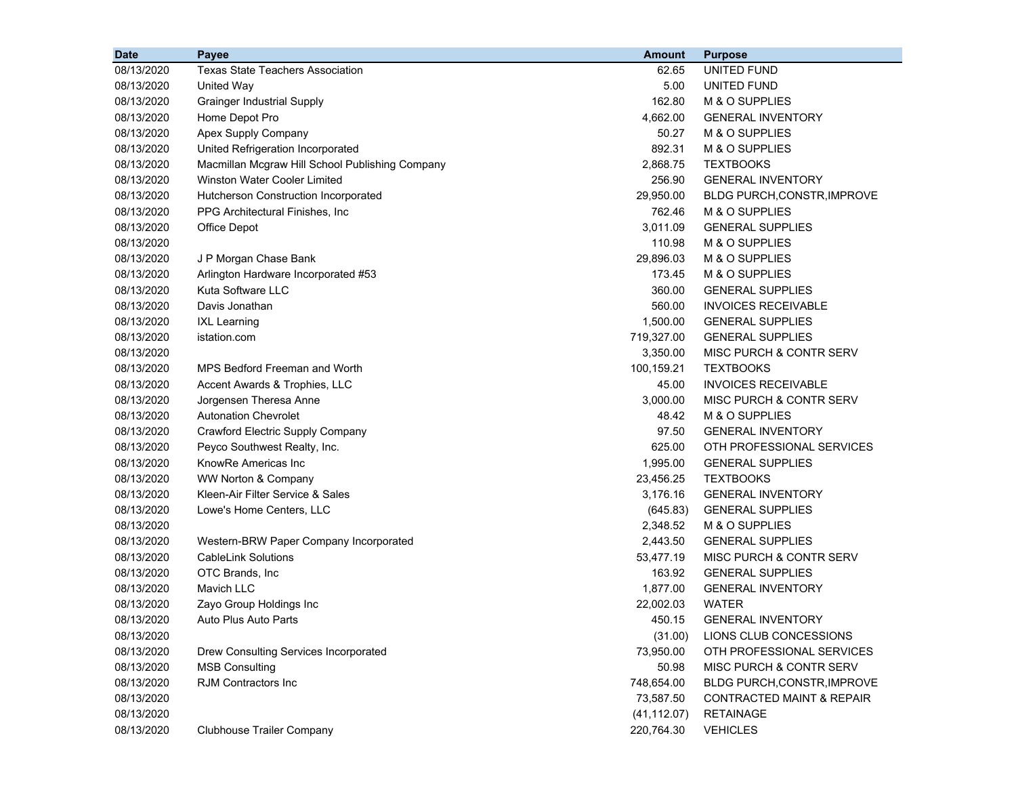| <b>Date</b> | Payee                                           | <b>Amount</b> | <b>Purpose</b>                       |
|-------------|-------------------------------------------------|---------------|--------------------------------------|
| 08/13/2020  | Texas State Teachers Association                | 62.65         | UNITED FUND                          |
| 08/13/2020  | <b>United Way</b>                               | 5.00          | UNITED FUND                          |
| 08/13/2020  | <b>Grainger Industrial Supply</b>               | 162.80        | M & O SUPPLIES                       |
| 08/13/2020  | Home Depot Pro                                  | 4,662.00      | <b>GENERAL INVENTORY</b>             |
| 08/13/2020  | Apex Supply Company                             | 50.27         | M & O SUPPLIES                       |
| 08/13/2020  | United Refrigeration Incorporated               | 892.31        | M & O SUPPLIES                       |
| 08/13/2020  | Macmillan Mcgraw Hill School Publishing Company | 2,868.75      | <b>TEXTBOOKS</b>                     |
| 08/13/2020  | Winston Water Cooler Limited                    | 256.90        | <b>GENERAL INVENTORY</b>             |
| 08/13/2020  | Hutcherson Construction Incorporated            | 29,950.00     | BLDG PURCH, CONSTR, IMPROVE          |
| 08/13/2020  | PPG Architectural Finishes, Inc                 | 762.46        | M & O SUPPLIES                       |
| 08/13/2020  | Office Depot                                    | 3,011.09      | <b>GENERAL SUPPLIES</b>              |
| 08/13/2020  |                                                 | 110.98        | M & O SUPPLIES                       |
| 08/13/2020  | J P Morgan Chase Bank                           | 29,896.03     | M & O SUPPLIES                       |
| 08/13/2020  | Arlington Hardware Incorporated #53             | 173.45        | M & O SUPPLIES                       |
| 08/13/2020  | Kuta Software LLC                               | 360.00        | <b>GENERAL SUPPLIES</b>              |
| 08/13/2020  | Davis Jonathan                                  | 560.00        | <b>INVOICES RECEIVABLE</b>           |
| 08/13/2020  | <b>IXL Learning</b>                             | 1,500.00      | <b>GENERAL SUPPLIES</b>              |
| 08/13/2020  | istation.com                                    | 719,327.00    | <b>GENERAL SUPPLIES</b>              |
| 08/13/2020  |                                                 | 3,350.00      | MISC PURCH & CONTR SERV              |
| 08/13/2020  | MPS Bedford Freeman and Worth                   | 100,159.21    | <b>TEXTBOOKS</b>                     |
| 08/13/2020  | Accent Awards & Trophies, LLC                   | 45.00         | <b>INVOICES RECEIVABLE</b>           |
| 08/13/2020  | Jorgensen Theresa Anne                          | 3,000.00      | MISC PURCH & CONTR SERV              |
| 08/13/2020  | <b>Autonation Chevrolet</b>                     | 48.42         | M & O SUPPLIES                       |
| 08/13/2020  | Crawford Electric Supply Company                | 97.50         | <b>GENERAL INVENTORY</b>             |
| 08/13/2020  | Peyco Southwest Realty, Inc.                    | 625.00        | OTH PROFESSIONAL SERVICES            |
| 08/13/2020  | KnowRe Americas Inc                             | 1,995.00      | <b>GENERAL SUPPLIES</b>              |
| 08/13/2020  | WW Norton & Company                             | 23,456.25     | <b>TEXTBOOKS</b>                     |
| 08/13/2020  | Kleen-Air Filter Service & Sales                | 3,176.16      | <b>GENERAL INVENTORY</b>             |
| 08/13/2020  | Lowe's Home Centers, LLC                        | (645.83)      | <b>GENERAL SUPPLIES</b>              |
| 08/13/2020  |                                                 | 2,348.52      | M & O SUPPLIES                       |
| 08/13/2020  | Western-BRW Paper Company Incorporated          | 2,443.50      | <b>GENERAL SUPPLIES</b>              |
| 08/13/2020  | <b>CableLink Solutions</b>                      | 53,477.19     | MISC PURCH & CONTR SERV              |
| 08/13/2020  | OTC Brands, Inc.                                | 163.92        | <b>GENERAL SUPPLIES</b>              |
| 08/13/2020  | Mavich LLC                                      | 1,877.00      | <b>GENERAL INVENTORY</b>             |
| 08/13/2020  | Zayo Group Holdings Inc                         | 22,002.03     | <b>WATER</b>                         |
| 08/13/2020  | Auto Plus Auto Parts                            | 450.15        | <b>GENERAL INVENTORY</b>             |
| 08/13/2020  |                                                 | (31.00)       | LIONS CLUB CONCESSIONS               |
| 08/13/2020  | Drew Consulting Services Incorporated           | 73,950.00     | OTH PROFESSIONAL SERVICES            |
| 08/13/2020  | <b>MSB Consulting</b>                           | 50.98         | MISC PURCH & CONTR SERV              |
| 08/13/2020  | <b>RJM Contractors Inc</b>                      | 748,654.00    | BLDG PURCH, CONSTR, IMPROVE          |
| 08/13/2020  |                                                 | 73,587.50     | <b>CONTRACTED MAINT &amp; REPAIR</b> |
| 08/13/2020  |                                                 | (41, 112.07)  | <b>RETAINAGE</b>                     |
| 08/13/2020  | <b>Clubhouse Trailer Company</b>                | 220,764.30    | <b>VEHICLES</b>                      |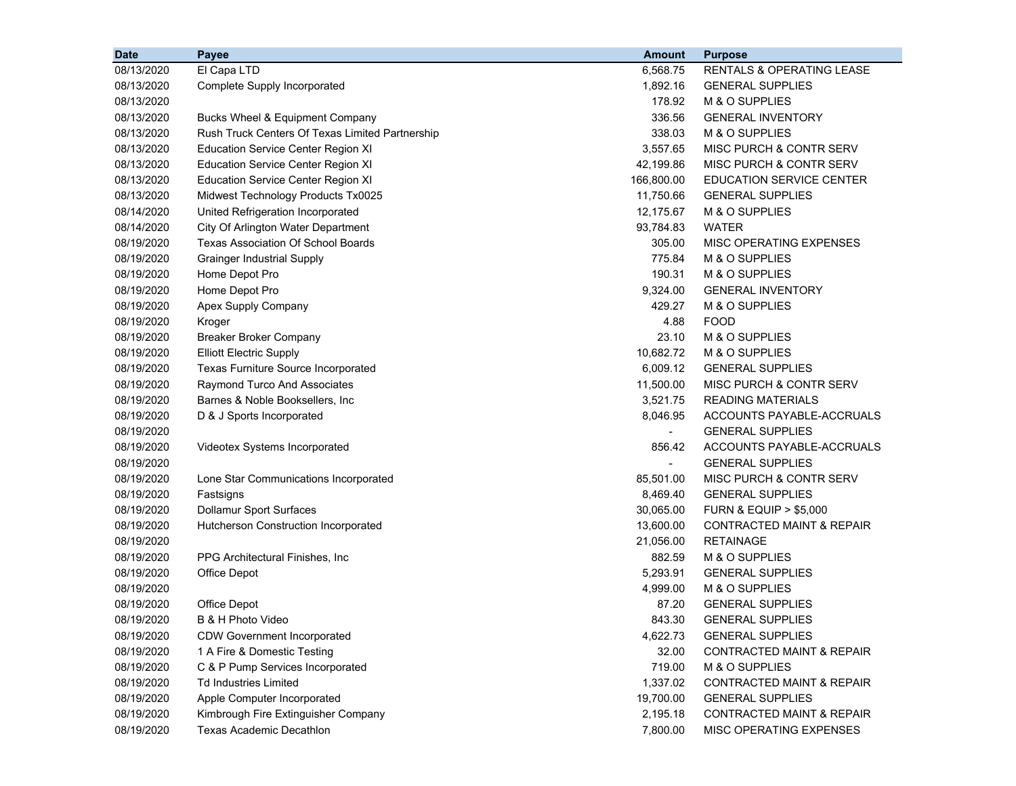| <b>Date</b> | Payee                                           | <b>Amount</b>  | <b>Purpose</b>                       |
|-------------|-------------------------------------------------|----------------|--------------------------------------|
| 08/13/2020  | El Capa LTD                                     | 6,568.75       | RENTALS & OPERATING LEASE            |
| 08/13/2020  | <b>Complete Supply Incorporated</b>             | 1,892.16       | <b>GENERAL SUPPLIES</b>              |
| 08/13/2020  |                                                 | 178.92         | M & O SUPPLIES                       |
| 08/13/2020  | Bucks Wheel & Equipment Company                 | 336.56         | <b>GENERAL INVENTORY</b>             |
| 08/13/2020  | Rush Truck Centers Of Texas Limited Partnership | 338.03         | M & O SUPPLIES                       |
| 08/13/2020  | <b>Education Service Center Region XI</b>       | 3,557.65       | MISC PURCH & CONTR SERV              |
| 08/13/2020  | <b>Education Service Center Region XI</b>       | 42,199.86      | MISC PURCH & CONTR SERV              |
| 08/13/2020  | <b>Education Service Center Region XI</b>       | 166,800.00     | <b>EDUCATION SERVICE CENTER</b>      |
| 08/13/2020  | Midwest Technology Products Tx0025              | 11,750.66      | <b>GENERAL SUPPLIES</b>              |
| 08/14/2020  | United Refrigeration Incorporated               | 12,175.67      | M & O SUPPLIES                       |
| 08/14/2020  | City Of Arlington Water Department              | 93,784.83      | <b>WATER</b>                         |
| 08/19/2020  | <b>Texas Association Of School Boards</b>       | 305.00         | MISC OPERATING EXPENSES              |
| 08/19/2020  | <b>Grainger Industrial Supply</b>               | 775.84         | M & O SUPPLIES                       |
| 08/19/2020  | Home Depot Pro                                  | 190.31         | M & O SUPPLIES                       |
| 08/19/2020  | Home Depot Pro                                  | 9,324.00       | <b>GENERAL INVENTORY</b>             |
| 08/19/2020  | Apex Supply Company                             | 429.27         | M & O SUPPLIES                       |
| 08/19/2020  | Kroger                                          | 4.88           | <b>FOOD</b>                          |
| 08/19/2020  | <b>Breaker Broker Company</b>                   | 23.10          | M & O SUPPLIES                       |
| 08/19/2020  | <b>Elliott Electric Supply</b>                  | 10,682.72      | M & O SUPPLIES                       |
| 08/19/2020  | Texas Furniture Source Incorporated             | 6,009.12       | <b>GENERAL SUPPLIES</b>              |
| 08/19/2020  | Raymond Turco And Associates                    | 11,500.00      | MISC PURCH & CONTR SERV              |
| 08/19/2020  | Barnes & Noble Booksellers, Inc.                | 3,521.75       | <b>READING MATERIALS</b>             |
| 08/19/2020  | D & J Sports Incorporated                       | 8,046.95       | ACCOUNTS PAYABLE-ACCRUALS            |
| 08/19/2020  |                                                 | $\blacksquare$ | <b>GENERAL SUPPLIES</b>              |
| 08/19/2020  | Videotex Systems Incorporated                   | 856.42         | ACCOUNTS PAYABLE-ACCRUALS            |
| 08/19/2020  |                                                 | $\blacksquare$ | <b>GENERAL SUPPLIES</b>              |
| 08/19/2020  | Lone Star Communications Incorporated           | 85,501.00      | MISC PURCH & CONTR SERV              |
| 08/19/2020  | Fastsigns                                       | 8,469.40       | <b>GENERAL SUPPLIES</b>              |
| 08/19/2020  | <b>Dollamur Sport Surfaces</b>                  | 30,065.00      | <b>FURN &amp; EQUIP &gt; \$5,000</b> |
| 08/19/2020  | Hutcherson Construction Incorporated            | 13,600.00      | CONTRACTED MAINT & REPAIR            |
| 08/19/2020  |                                                 | 21,056.00      | <b>RETAINAGE</b>                     |
| 08/19/2020  | PPG Architectural Finishes, Inc.                | 882.59         | M & O SUPPLIES                       |
| 08/19/2020  | Office Depot                                    | 5,293.91       | <b>GENERAL SUPPLIES</b>              |
| 08/19/2020  |                                                 | 4,999.00       | M & O SUPPLIES                       |
| 08/19/2020  | Office Depot                                    | 87.20          | <b>GENERAL SUPPLIES</b>              |
| 08/19/2020  | B & H Photo Video                               | 843.30         | <b>GENERAL SUPPLIES</b>              |
| 08/19/2020  | <b>CDW Government Incorporated</b>              | 4,622.73       | <b>GENERAL SUPPLIES</b>              |
| 08/19/2020  | 1 A Fire & Domestic Testing                     | 32.00          | <b>CONTRACTED MAINT &amp; REPAIR</b> |
| 08/19/2020  | C & P Pump Services Incorporated                | 719.00         | M & O SUPPLIES                       |
| 08/19/2020  | <b>Td Industries Limited</b>                    | 1,337.02       | <b>CONTRACTED MAINT &amp; REPAIR</b> |
| 08/19/2020  | Apple Computer Incorporated                     | 19,700.00      | <b>GENERAL SUPPLIES</b>              |
| 08/19/2020  | Kimbrough Fire Extinguisher Company             | 2,195.18       | CONTRACTED MAINT & REPAIR            |
| 08/19/2020  | <b>Texas Academic Decathlon</b>                 | 7,800.00       | MISC OPERATING EXPENSES              |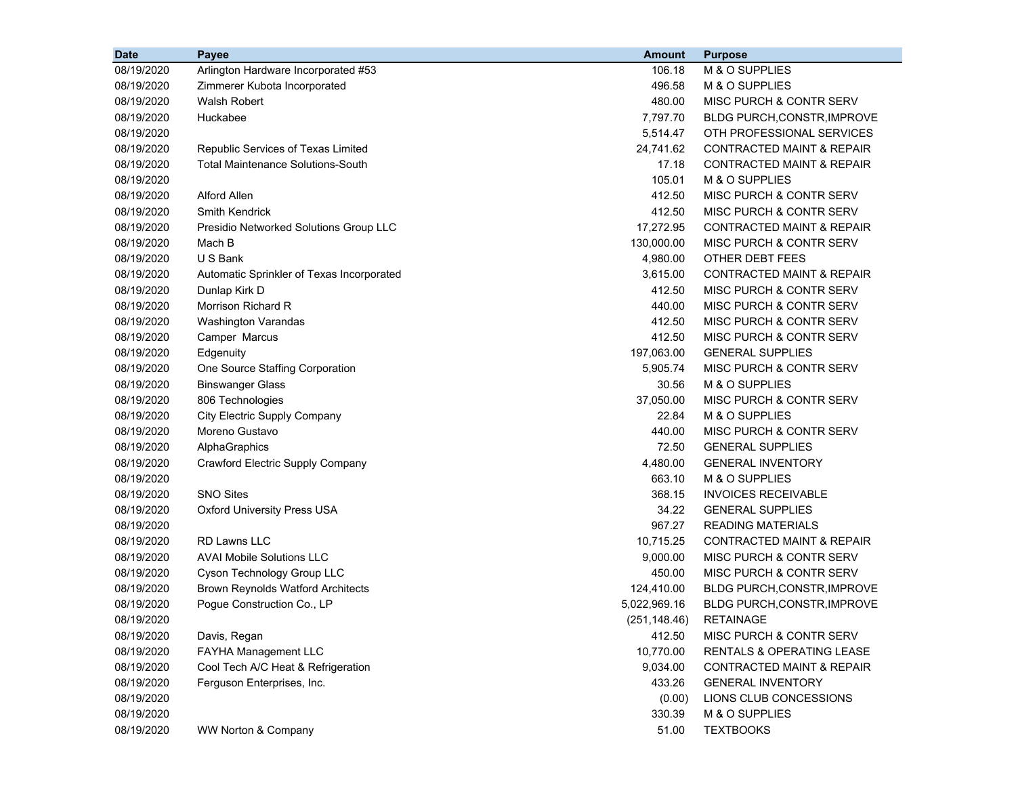| <b>Date</b> | Payee                                     | <b>Amount</b> | <b>Purpose</b>                       |
|-------------|-------------------------------------------|---------------|--------------------------------------|
| 08/19/2020  | Arlington Hardware Incorporated #53       | 106.18        | M & O SUPPLIES                       |
| 08/19/2020  | Zimmerer Kubota Incorporated              | 496.58        | M & O SUPPLIES                       |
| 08/19/2020  | Walsh Robert                              | 480.00        | MISC PURCH & CONTR SERV              |
| 08/19/2020  | Huckabee                                  | 7,797.70      | BLDG PURCH, CONSTR, IMPROVE          |
| 08/19/2020  |                                           | 5,514.47      | OTH PROFESSIONAL SERVICES            |
| 08/19/2020  | Republic Services of Texas Limited        | 24,741.62     | <b>CONTRACTED MAINT &amp; REPAIR</b> |
| 08/19/2020  | <b>Total Maintenance Solutions-South</b>  | 17.18         | <b>CONTRACTED MAINT &amp; REPAIR</b> |
| 08/19/2020  |                                           | 105.01        | M & O SUPPLIES                       |
| 08/19/2020  | Alford Allen                              | 412.50        | MISC PURCH & CONTR SERV              |
| 08/19/2020  | <b>Smith Kendrick</b>                     | 412.50        | <b>MISC PURCH &amp; CONTR SERV</b>   |
| 08/19/2020  | Presidio Networked Solutions Group LLC    | 17,272.95     | CONTRACTED MAINT & REPAIR            |
| 08/19/2020  | Mach B                                    | 130,000.00    | MISC PURCH & CONTR SERV              |
| 08/19/2020  | U S Bank                                  | 4,980.00      | OTHER DEBT FEES                      |
| 08/19/2020  | Automatic Sprinkler of Texas Incorporated | 3,615.00      | <b>CONTRACTED MAINT &amp; REPAIR</b> |
| 08/19/2020  | Dunlap Kirk D                             | 412.50        | MISC PURCH & CONTR SERV              |
| 08/19/2020  | Morrison Richard R                        | 440.00        | <b>MISC PURCH &amp; CONTR SERV</b>   |
| 08/19/2020  | <b>Washington Varandas</b>                | 412.50        | MISC PURCH & CONTR SERV              |
| 08/19/2020  | Camper Marcus                             | 412.50        | MISC PURCH & CONTR SERV              |
| 08/19/2020  | Edgenuity                                 | 197,063.00    | <b>GENERAL SUPPLIES</b>              |
| 08/19/2020  | One Source Staffing Corporation           | 5,905.74      | MISC PURCH & CONTR SERV              |
| 08/19/2020  | <b>Binswanger Glass</b>                   | 30.56         | M & O SUPPLIES                       |
| 08/19/2020  | 806 Technologies                          | 37,050.00     | <b>MISC PURCH &amp; CONTR SERV</b>   |
| 08/19/2020  | City Electric Supply Company              | 22.84         | M & O SUPPLIES                       |
| 08/19/2020  | Moreno Gustavo                            | 440.00        | MISC PURCH & CONTR SERV              |
| 08/19/2020  | AlphaGraphics                             | 72.50         | <b>GENERAL SUPPLIES</b>              |
| 08/19/2020  | Crawford Electric Supply Company          | 4,480.00      | <b>GENERAL INVENTORY</b>             |
| 08/19/2020  |                                           | 663.10        | M & O SUPPLIES                       |
| 08/19/2020  | <b>SNO Sites</b>                          | 368.15        | <b>INVOICES RECEIVABLE</b>           |
| 08/19/2020  | <b>Oxford University Press USA</b>        | 34.22         | <b>GENERAL SUPPLIES</b>              |
| 08/19/2020  |                                           | 967.27        | <b>READING MATERIALS</b>             |
| 08/19/2020  | <b>RD Lawns LLC</b>                       | 10,715.25     | CONTRACTED MAINT & REPAIR            |
| 08/19/2020  | <b>AVAI Mobile Solutions LLC</b>          | 9,000.00      | MISC PURCH & CONTR SERV              |
| 08/19/2020  | Cyson Technology Group LLC                | 450.00        | MISC PURCH & CONTR SERV              |
| 08/19/2020  | <b>Brown Reynolds Watford Architects</b>  | 124,410.00    | BLDG PURCH, CONSTR, IMPROVE          |
| 08/19/2020  | Pogue Construction Co., LP                | 5,022,969.16  | <b>BLDG PURCH, CONSTR, IMPROVE</b>   |
| 08/19/2020  |                                           | (251, 148.46) | <b>RETAINAGE</b>                     |
| 08/19/2020  | Davis, Regan                              | 412.50        | MISC PURCH & CONTR SERV              |
| 08/19/2020  | FAYHA Management LLC                      | 10,770.00     | RENTALS & OPERATING LEASE            |
| 08/19/2020  | Cool Tech A/C Heat & Refrigeration        | 9,034.00      | <b>CONTRACTED MAINT &amp; REPAIR</b> |
| 08/19/2020  | Ferguson Enterprises, Inc.                | 433.26        | <b>GENERAL INVENTORY</b>             |
| 08/19/2020  |                                           | (0.00)        | LIONS CLUB CONCESSIONS               |
| 08/19/2020  |                                           | 330.39        | M & O SUPPLIES                       |
| 08/19/2020  | WW Norton & Company                       | 51.00         | <b>TEXTBOOKS</b>                     |
|             |                                           |               |                                      |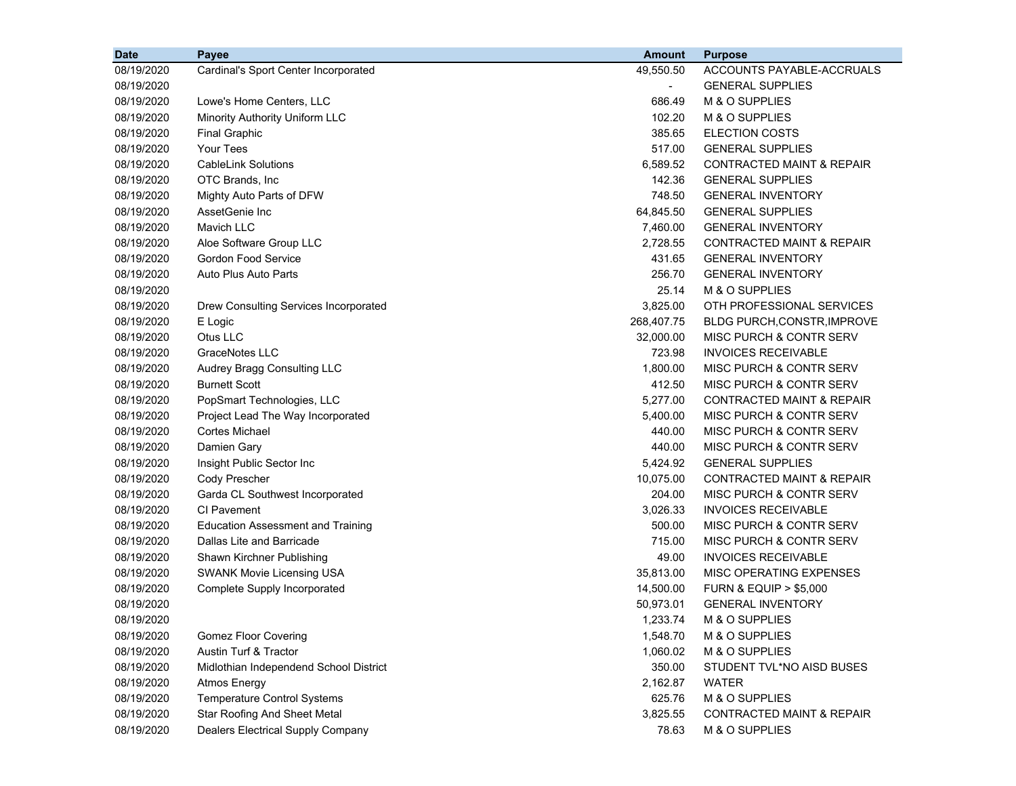| <b>Date</b> | Payee                                    | <b>Amount</b>            | <b>Purpose</b>                       |
|-------------|------------------------------------------|--------------------------|--------------------------------------|
| 08/19/2020  | Cardinal's Sport Center Incorporated     | 49,550.50                | ACCOUNTS PAYABLE-ACCRUALS            |
| 08/19/2020  |                                          | $\overline{\phantom{a}}$ | <b>GENERAL SUPPLIES</b>              |
| 08/19/2020  | Lowe's Home Centers, LLC                 | 686.49                   | M & O SUPPLIES                       |
| 08/19/2020  | Minority Authority Uniform LLC           | 102.20                   | M & O SUPPLIES                       |
| 08/19/2020  | <b>Final Graphic</b>                     | 385.65                   | <b>ELECTION COSTS</b>                |
| 08/19/2020  | Your Tees                                | 517.00                   | <b>GENERAL SUPPLIES</b>              |
| 08/19/2020  | <b>CableLink Solutions</b>               | 6,589.52                 | <b>CONTRACTED MAINT &amp; REPAIR</b> |
| 08/19/2020  | OTC Brands, Inc                          | 142.36                   | <b>GENERAL SUPPLIES</b>              |
| 08/19/2020  | Mighty Auto Parts of DFW                 | 748.50                   | <b>GENERAL INVENTORY</b>             |
| 08/19/2020  | AssetGenie Inc                           | 64,845.50                | <b>GENERAL SUPPLIES</b>              |
| 08/19/2020  | Mavich LLC                               | 7,460.00                 | <b>GENERAL INVENTORY</b>             |
| 08/19/2020  | Aloe Software Group LLC                  | 2,728.55                 | CONTRACTED MAINT & REPAIR            |
| 08/19/2020  | <b>Gordon Food Service</b>               | 431.65                   | <b>GENERAL INVENTORY</b>             |
| 08/19/2020  | Auto Plus Auto Parts                     | 256.70                   | <b>GENERAL INVENTORY</b>             |
| 08/19/2020  |                                          | 25.14                    | M & O SUPPLIES                       |
| 08/19/2020  | Drew Consulting Services Incorporated    | 3,825.00                 | OTH PROFESSIONAL SERVICES            |
| 08/19/2020  | E Logic                                  | 268,407.75               | <b>BLDG PURCH, CONSTR, IMPROVE</b>   |
| 08/19/2020  | Otus LLC                                 | 32,000.00                | MISC PURCH & CONTR SERV              |
| 08/19/2020  | <b>GraceNotes LLC</b>                    | 723.98                   | <b>INVOICES RECEIVABLE</b>           |
| 08/19/2020  | Audrey Bragg Consulting LLC              | 1,800.00                 | MISC PURCH & CONTR SERV              |
| 08/19/2020  | <b>Burnett Scott</b>                     | 412.50                   | MISC PURCH & CONTR SERV              |
| 08/19/2020  | PopSmart Technologies, LLC               | 5,277.00                 | <b>CONTRACTED MAINT &amp; REPAIR</b> |
| 08/19/2020  | Project Lead The Way Incorporated        | 5,400.00                 | MISC PURCH & CONTR SERV              |
| 08/19/2020  | Cortes Michael                           | 440.00                   | MISC PURCH & CONTR SERV              |
| 08/19/2020  | Damien Gary                              | 440.00                   | MISC PURCH & CONTR SERV              |
| 08/19/2020  | Insight Public Sector Inc                | 5,424.92                 | <b>GENERAL SUPPLIES</b>              |
| 08/19/2020  | Cody Prescher                            | 10,075.00                | <b>CONTRACTED MAINT &amp; REPAIR</b> |
| 08/19/2020  | Garda CL Southwest Incorporated          | 204.00                   | MISC PURCH & CONTR SERV              |
| 08/19/2020  | <b>CI Pavement</b>                       | 3,026.33                 | <b>INVOICES RECEIVABLE</b>           |
| 08/19/2020  | <b>Education Assessment and Training</b> | 500.00                   | MISC PURCH & CONTR SERV              |
| 08/19/2020  | Dallas Lite and Barricade                | 715.00                   | MISC PURCH & CONTR SERV              |
| 08/19/2020  | Shawn Kirchner Publishing                | 49.00                    | <b>INVOICES RECEIVABLE</b>           |
| 08/19/2020  | <b>SWANK Movie Licensing USA</b>         | 35,813.00                | MISC OPERATING EXPENSES              |
| 08/19/2020  | Complete Supply Incorporated             | 14,500.00                | <b>FURN &amp; EQUIP &gt; \$5,000</b> |
| 08/19/2020  |                                          | 50,973.01                | <b>GENERAL INVENTORY</b>             |
| 08/19/2020  |                                          | 1,233.74                 | M & O SUPPLIES                       |
| 08/19/2020  | <b>Gomez Floor Covering</b>              | 1,548.70                 | M & O SUPPLIES                       |
| 08/19/2020  | Austin Turf & Tractor                    | 1,060.02                 | M & O SUPPLIES                       |
| 08/19/2020  | Midlothian Independend School District   | 350.00                   | STUDENT TVL*NO AISD BUSES            |
| 08/19/2020  | <b>Atmos Energy</b>                      | 2,162.87                 | WATER                                |
| 08/19/2020  | <b>Temperature Control Systems</b>       | 625.76                   | M & O SUPPLIES                       |
| 08/19/2020  | <b>Star Roofing And Sheet Metal</b>      | 3,825.55                 | CONTRACTED MAINT & REPAIR            |
| 08/19/2020  | <b>Dealers Electrical Supply Company</b> | 78.63                    | M & O SUPPLIES                       |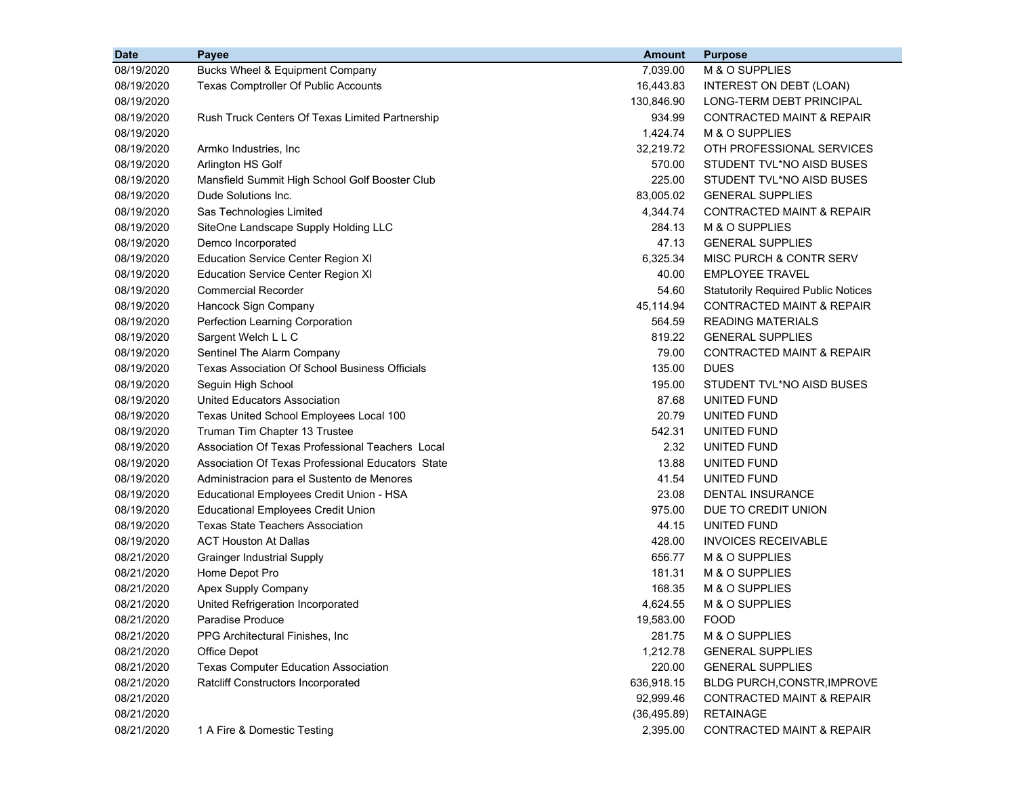| <b>Date</b> | Payee                                                 | Amount       | <b>Purpose</b>                             |
|-------------|-------------------------------------------------------|--------------|--------------------------------------------|
| 08/19/2020  | Bucks Wheel & Equipment Company                       | 7,039.00     | M & O SUPPLIES                             |
| 08/19/2020  | Texas Comptroller Of Public Accounts                  | 16,443.83    | INTEREST ON DEBT (LOAN)                    |
| 08/19/2020  |                                                       | 130,846.90   | LONG-TERM DEBT PRINCIPAL                   |
| 08/19/2020  | Rush Truck Centers Of Texas Limited Partnership       | 934.99       | <b>CONTRACTED MAINT &amp; REPAIR</b>       |
| 08/19/2020  |                                                       | 1,424.74     | M & O SUPPLIES                             |
| 08/19/2020  | Armko Industries, Inc.                                | 32,219.72    | OTH PROFESSIONAL SERVICES                  |
| 08/19/2020  | Arlington HS Golf                                     | 570.00       | STUDENT TVL*NO AISD BUSES                  |
| 08/19/2020  | Mansfield Summit High School Golf Booster Club        | 225.00       | STUDENT TVL*NO AISD BUSES                  |
| 08/19/2020  | Dude Solutions Inc.                                   | 83,005.02    | <b>GENERAL SUPPLIES</b>                    |
| 08/19/2020  | Sas Technologies Limited                              | 4,344.74     | <b>CONTRACTED MAINT &amp; REPAIR</b>       |
| 08/19/2020  | SiteOne Landscape Supply Holding LLC                  | 284.13       | M & O SUPPLIES                             |
| 08/19/2020  | Demco Incorporated                                    | 47.13        | <b>GENERAL SUPPLIES</b>                    |
| 08/19/2020  | Education Service Center Region XI                    | 6,325.34     | MISC PURCH & CONTR SERV                    |
| 08/19/2020  | <b>Education Service Center Region XI</b>             | 40.00        | <b>EMPLOYEE TRAVEL</b>                     |
| 08/19/2020  | <b>Commercial Recorder</b>                            | 54.60        | <b>Statutorily Required Public Notices</b> |
| 08/19/2020  | Hancock Sign Company                                  | 45,114.94    | <b>CONTRACTED MAINT &amp; REPAIR</b>       |
| 08/19/2020  | Perfection Learning Corporation                       | 564.59       | <b>READING MATERIALS</b>                   |
| 08/19/2020  | Sargent Welch L L C                                   | 819.22       | <b>GENERAL SUPPLIES</b>                    |
| 08/19/2020  | Sentinel The Alarm Company                            | 79.00        | <b>CONTRACTED MAINT &amp; REPAIR</b>       |
| 08/19/2020  | <b>Texas Association Of School Business Officials</b> | 135.00       | <b>DUES</b>                                |
| 08/19/2020  | Seguin High School                                    | 195.00       | STUDENT TVL*NO AISD BUSES                  |
| 08/19/2020  | United Educators Association                          | 87.68        | UNITED FUND                                |
| 08/19/2020  | Texas United School Employees Local 100               | 20.79        | UNITED FUND                                |
| 08/19/2020  | Truman Tim Chapter 13 Trustee                         | 542.31       | UNITED FUND                                |
| 08/19/2020  | Association Of Texas Professional Teachers Local      | 2.32         | UNITED FUND                                |
| 08/19/2020  | Association Of Texas Professional Educators State     | 13.88        | UNITED FUND                                |
| 08/19/2020  | Administracion para el Sustento de Menores            | 41.54        | UNITED FUND                                |
| 08/19/2020  | Educational Employees Credit Union - HSA              | 23.08        | <b>DENTAL INSURANCE</b>                    |
| 08/19/2020  | <b>Educational Employees Credit Union</b>             | 975.00       | DUE TO CREDIT UNION                        |
| 08/19/2020  | <b>Texas State Teachers Association</b>               | 44.15        | UNITED FUND                                |
| 08/19/2020  | <b>ACT Houston At Dallas</b>                          | 428.00       | <b>INVOICES RECEIVABLE</b>                 |
| 08/21/2020  | <b>Grainger Industrial Supply</b>                     | 656.77       | M & O SUPPLIES                             |
| 08/21/2020  | Home Depot Pro                                        | 181.31       | M & O SUPPLIES                             |
| 08/21/2020  | Apex Supply Company                                   | 168.35       | M & O SUPPLIES                             |
| 08/21/2020  | United Refrigeration Incorporated                     | 4,624.55     | M & O SUPPLIES                             |
| 08/21/2020  | Paradise Produce                                      | 19,583.00    | <b>FOOD</b>                                |
| 08/21/2020  | PPG Architectural Finishes, Inc.                      | 281.75       | M & O SUPPLIES                             |
| 08/21/2020  | Office Depot                                          | 1,212.78     | <b>GENERAL SUPPLIES</b>                    |
| 08/21/2020  | <b>Texas Computer Education Association</b>           | 220.00       | <b>GENERAL SUPPLIES</b>                    |
| 08/21/2020  | Ratcliff Constructors Incorporated                    | 636,918.15   | BLDG PURCH, CONSTR, IMPROVE                |
| 08/21/2020  |                                                       | 92,999.46    | CONTRACTED MAINT & REPAIR                  |
| 08/21/2020  |                                                       | (36, 495.89) | <b>RETAINAGE</b>                           |
| 08/21/2020  | 1 A Fire & Domestic Testing                           | 2,395.00     | CONTRACTED MAINT & REPAIR                  |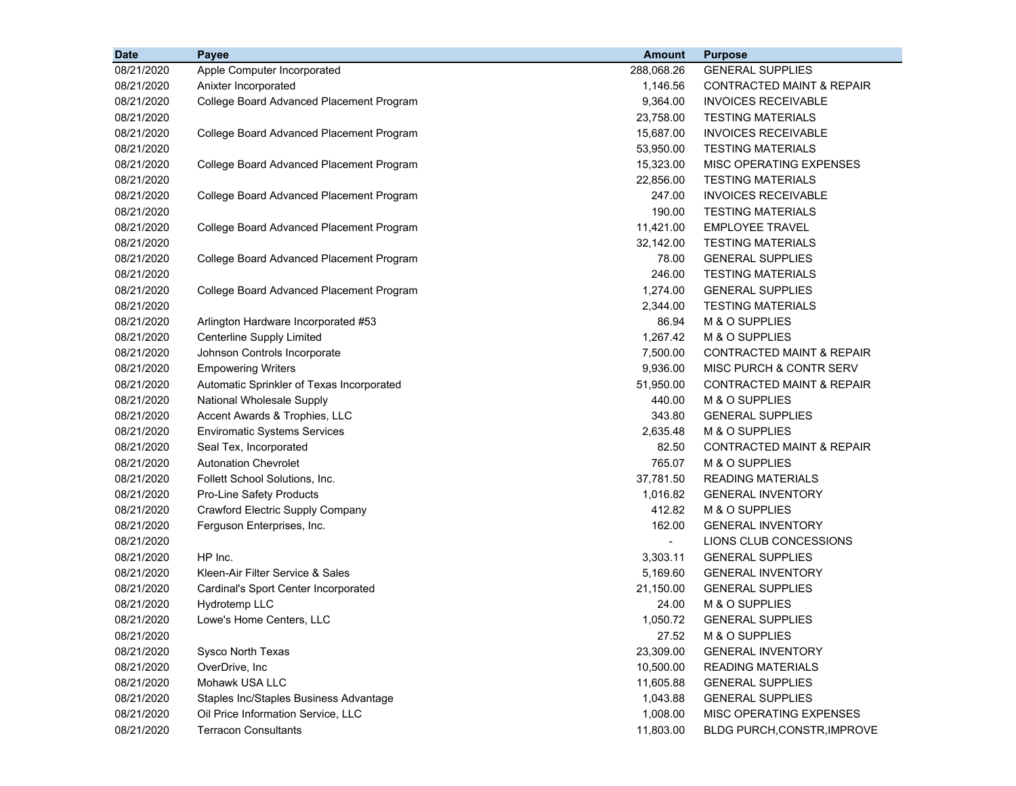| <b>Date</b> | Payee                                     | <b>Amount</b>  | <b>Purpose</b>                       |
|-------------|-------------------------------------------|----------------|--------------------------------------|
| 08/21/2020  | Apple Computer Incorporated               | 288,068.26     | <b>GENERAL SUPPLIES</b>              |
| 08/21/2020  | Anixter Incorporated                      | 1,146.56       | CONTRACTED MAINT & REPAIR            |
| 08/21/2020  | College Board Advanced Placement Program  | 9,364.00       | <b>INVOICES RECEIVABLE</b>           |
| 08/21/2020  |                                           | 23,758.00      | <b>TESTING MATERIALS</b>             |
| 08/21/2020  | College Board Advanced Placement Program  | 15,687.00      | <b>INVOICES RECEIVABLE</b>           |
| 08/21/2020  |                                           | 53,950.00      | <b>TESTING MATERIALS</b>             |
| 08/21/2020  | College Board Advanced Placement Program  | 15,323.00      | MISC OPERATING EXPENSES              |
| 08/21/2020  |                                           | 22,856.00      | <b>TESTING MATERIALS</b>             |
| 08/21/2020  | College Board Advanced Placement Program  | 247.00         | <b>INVOICES RECEIVABLE</b>           |
| 08/21/2020  |                                           | 190.00         | <b>TESTING MATERIALS</b>             |
| 08/21/2020  | College Board Advanced Placement Program  | 11,421.00      | <b>EMPLOYEE TRAVEL</b>               |
| 08/21/2020  |                                           | 32,142.00      | <b>TESTING MATERIALS</b>             |
| 08/21/2020  | College Board Advanced Placement Program  | 78.00          | <b>GENERAL SUPPLIES</b>              |
| 08/21/2020  |                                           | 246.00         | <b>TESTING MATERIALS</b>             |
| 08/21/2020  | College Board Advanced Placement Program  | 1,274.00       | <b>GENERAL SUPPLIES</b>              |
| 08/21/2020  |                                           | 2,344.00       | <b>TESTING MATERIALS</b>             |
| 08/21/2020  | Arlington Hardware Incorporated #53       | 86.94          | M & O SUPPLIES                       |
| 08/21/2020  | <b>Centerline Supply Limited</b>          | 1,267.42       | M & O SUPPLIES                       |
| 08/21/2020  | Johnson Controls Incorporate              | 7,500.00       | <b>CONTRACTED MAINT &amp; REPAIR</b> |
| 08/21/2020  | <b>Empowering Writers</b>                 | 9,936.00       | MISC PURCH & CONTR SERV              |
| 08/21/2020  | Automatic Sprinkler of Texas Incorporated | 51,950.00      | <b>CONTRACTED MAINT &amp; REPAIR</b> |
| 08/21/2020  | National Wholesale Supply                 | 440.00         | M & O SUPPLIES                       |
| 08/21/2020  | Accent Awards & Trophies, LLC             | 343.80         | <b>GENERAL SUPPLIES</b>              |
| 08/21/2020  | <b>Enviromatic Systems Services</b>       | 2,635.48       | M & O SUPPLIES                       |
| 08/21/2020  | Seal Tex, Incorporated                    | 82.50          | <b>CONTRACTED MAINT &amp; REPAIR</b> |
| 08/21/2020  | <b>Autonation Chevrolet</b>               | 765.07         | M & O SUPPLIES                       |
| 08/21/2020  | Follett School Solutions, Inc.            | 37,781.50      | <b>READING MATERIALS</b>             |
| 08/21/2020  | Pro-Line Safety Products                  | 1,016.82       | <b>GENERAL INVENTORY</b>             |
| 08/21/2020  | <b>Crawford Electric Supply Company</b>   | 412.82         | M & O SUPPLIES                       |
| 08/21/2020  | Ferguson Enterprises, Inc.                | 162.00         | <b>GENERAL INVENTORY</b>             |
| 08/21/2020  |                                           | $\blacksquare$ | LIONS CLUB CONCESSIONS               |
| 08/21/2020  | HP Inc.                                   | 3,303.11       | <b>GENERAL SUPPLIES</b>              |
| 08/21/2020  | Kleen-Air Filter Service & Sales          | 5,169.60       | <b>GENERAL INVENTORY</b>             |
| 08/21/2020  | Cardinal's Sport Center Incorporated      | 21,150.00      | <b>GENERAL SUPPLIES</b>              |
| 08/21/2020  | Hydrotemp LLC                             | 24.00          | M & O SUPPLIES                       |
| 08/21/2020  | Lowe's Home Centers, LLC                  | 1,050.72       | <b>GENERAL SUPPLIES</b>              |
| 08/21/2020  |                                           | 27.52          | M & O SUPPLIES                       |
| 08/21/2020  | Sysco North Texas                         | 23,309.00      | <b>GENERAL INVENTORY</b>             |
| 08/21/2020  | OverDrive, Inc                            | 10,500.00      | <b>READING MATERIALS</b>             |
| 08/21/2020  | Mohawk USA LLC                            | 11,605.88      | <b>GENERAL SUPPLIES</b>              |
| 08/21/2020  | Staples Inc/Staples Business Advantage    | 1,043.88       | <b>GENERAL SUPPLIES</b>              |
| 08/21/2020  | Oil Price Information Service, LLC        | 1,008.00       | MISC OPERATING EXPENSES              |
| 08/21/2020  | <b>Terracon Consultants</b>               | 11,803.00      | BLDG PURCH, CONSTR, IMPROVE          |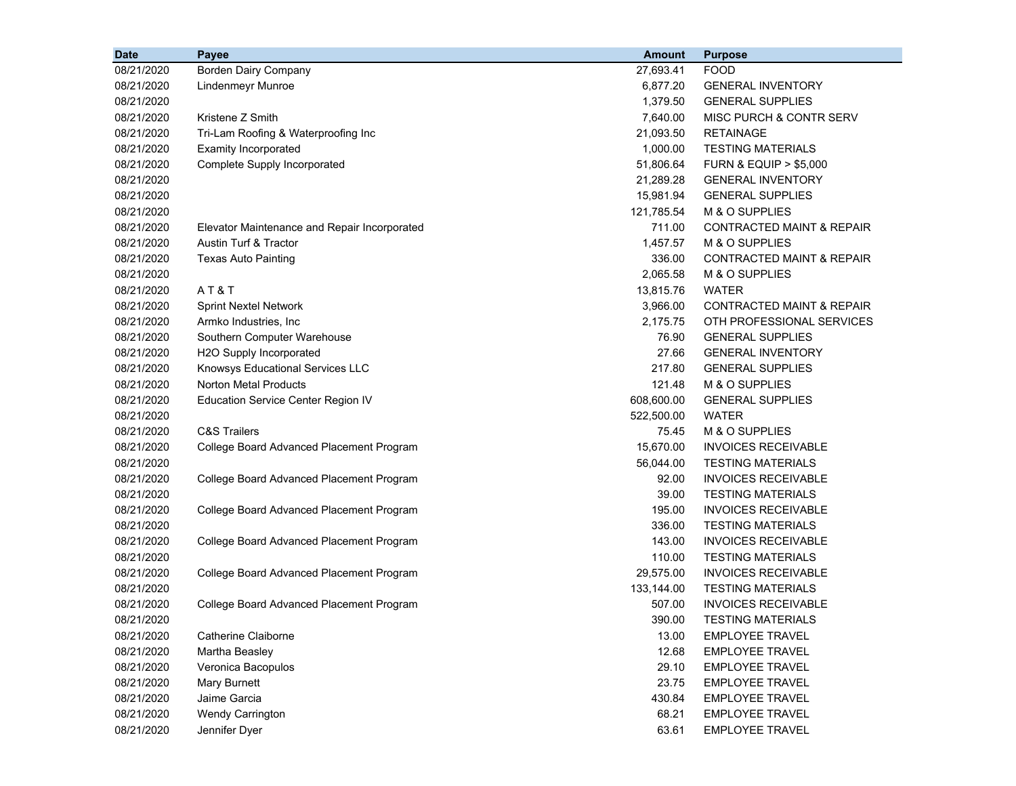| <b>Date</b> | Payee                                        | <b>Amount</b> | <b>Purpose</b>                       |
|-------------|----------------------------------------------|---------------|--------------------------------------|
| 08/21/2020  | Borden Dairy Company                         | 27,693.41     | <b>FOOD</b>                          |
| 08/21/2020  | Lindenmeyr Munroe                            | 6,877.20      | <b>GENERAL INVENTORY</b>             |
| 08/21/2020  |                                              | 1,379.50      | <b>GENERAL SUPPLIES</b>              |
| 08/21/2020  | Kristene Z Smith                             | 7,640.00      | MISC PURCH & CONTR SERV              |
| 08/21/2020  | Tri-Lam Roofing & Waterproofing Inc          | 21,093.50     | <b>RETAINAGE</b>                     |
| 08/21/2020  | <b>Examity Incorporated</b>                  | 1,000.00      | <b>TESTING MATERIALS</b>             |
| 08/21/2020  | Complete Supply Incorporated                 | 51,806.64     | <b>FURN &amp; EQUIP &gt; \$5,000</b> |
| 08/21/2020  |                                              | 21,289.28     | <b>GENERAL INVENTORY</b>             |
| 08/21/2020  |                                              | 15,981.94     | <b>GENERAL SUPPLIES</b>              |
| 08/21/2020  |                                              | 121,785.54    | M & O SUPPLIES                       |
| 08/21/2020  | Elevator Maintenance and Repair Incorporated | 711.00        | <b>CONTRACTED MAINT &amp; REPAIR</b> |
| 08/21/2020  | Austin Turf & Tractor                        | 1,457.57      | M & O SUPPLIES                       |
| 08/21/2020  | <b>Texas Auto Painting</b>                   | 336.00        | <b>CONTRACTED MAINT &amp; REPAIR</b> |
| 08/21/2020  |                                              | 2,065.58      | M & O SUPPLIES                       |
| 08/21/2020  | AT&T                                         | 13,815.76     | <b>WATER</b>                         |
| 08/21/2020  | <b>Sprint Nextel Network</b>                 | 3,966.00      | CONTRACTED MAINT & REPAIR            |
| 08/21/2020  | Armko Industries, Inc.                       | 2,175.75      | OTH PROFESSIONAL SERVICES            |
| 08/21/2020  | Southern Computer Warehouse                  | 76.90         | <b>GENERAL SUPPLIES</b>              |
| 08/21/2020  | H2O Supply Incorporated                      | 27.66         | <b>GENERAL INVENTORY</b>             |
| 08/21/2020  | Knowsys Educational Services LLC             | 217.80        | <b>GENERAL SUPPLIES</b>              |
| 08/21/2020  | <b>Norton Metal Products</b>                 | 121.48        | M & O SUPPLIES                       |
| 08/21/2020  | <b>Education Service Center Region IV</b>    | 608,600.00    | <b>GENERAL SUPPLIES</b>              |
| 08/21/2020  |                                              | 522,500.00    | <b>WATER</b>                         |
| 08/21/2020  | <b>C&amp;S Trailers</b>                      | 75.45         | M & O SUPPLIES                       |
| 08/21/2020  | College Board Advanced Placement Program     | 15,670.00     | <b>INVOICES RECEIVABLE</b>           |
| 08/21/2020  |                                              | 56,044.00     | <b>TESTING MATERIALS</b>             |
| 08/21/2020  | College Board Advanced Placement Program     | 92.00         | <b>INVOICES RECEIVABLE</b>           |
| 08/21/2020  |                                              | 39.00         | <b>TESTING MATERIALS</b>             |
| 08/21/2020  | College Board Advanced Placement Program     | 195.00        | <b>INVOICES RECEIVABLE</b>           |
| 08/21/2020  |                                              | 336.00        | <b>TESTING MATERIALS</b>             |
| 08/21/2020  | College Board Advanced Placement Program     | 143.00        | <b>INVOICES RECEIVABLE</b>           |
| 08/21/2020  |                                              | 110.00        | <b>TESTING MATERIALS</b>             |
| 08/21/2020  | College Board Advanced Placement Program     | 29,575.00     | <b>INVOICES RECEIVABLE</b>           |
| 08/21/2020  |                                              | 133,144.00    | <b>TESTING MATERIALS</b>             |
| 08/21/2020  | College Board Advanced Placement Program     | 507.00        | <b>INVOICES RECEIVABLE</b>           |
| 08/21/2020  |                                              | 390.00        | <b>TESTING MATERIALS</b>             |
| 08/21/2020  | Catherine Claiborne                          | 13.00         | <b>EMPLOYEE TRAVEL</b>               |
| 08/21/2020  | Martha Beasley                               | 12.68         | <b>EMPLOYEE TRAVEL</b>               |
| 08/21/2020  | Veronica Bacopulos                           | 29.10         | <b>EMPLOYEE TRAVEL</b>               |
| 08/21/2020  | <b>Mary Burnett</b>                          | 23.75         | <b>EMPLOYEE TRAVEL</b>               |
| 08/21/2020  | Jaime Garcia                                 | 430.84        | <b>EMPLOYEE TRAVEL</b>               |
| 08/21/2020  | Wendy Carrington                             | 68.21         | <b>EMPLOYEE TRAVEL</b>               |
| 08/21/2020  | Jennifer Dyer                                | 63.61         | <b>EMPLOYEE TRAVEL</b>               |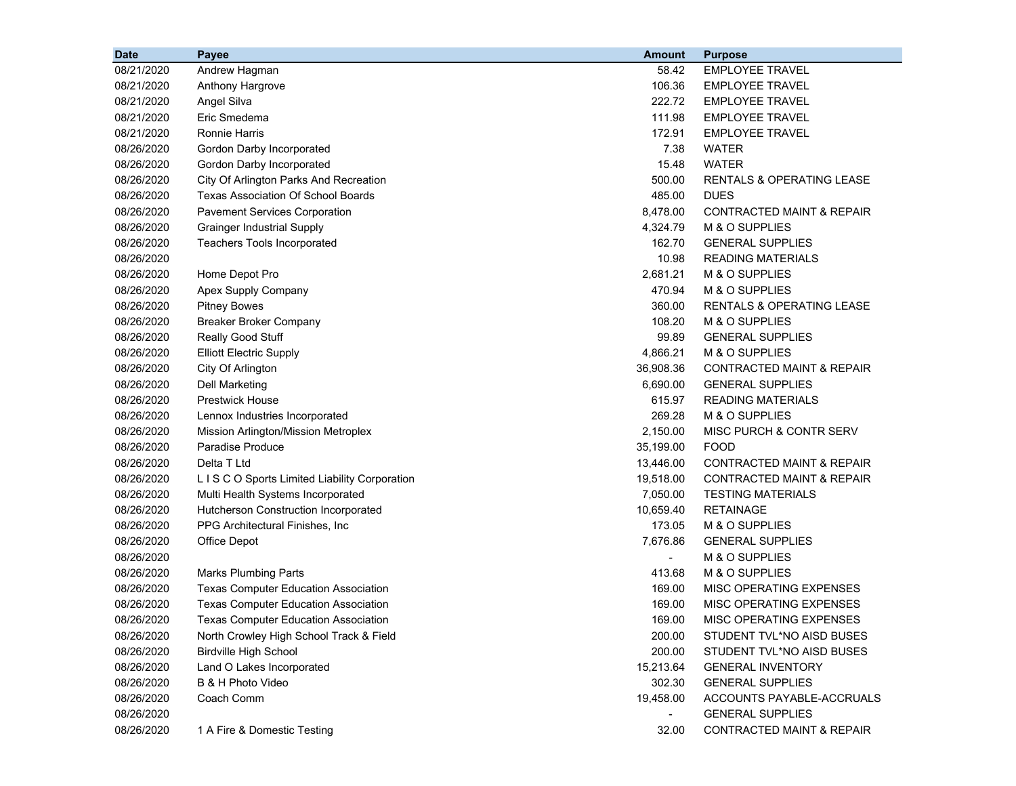| <b>Date</b> | Payee                                       | <b>Amount</b>            | <b>Purpose</b>                       |
|-------------|---------------------------------------------|--------------------------|--------------------------------------|
| 08/21/2020  | Andrew Hagman                               | 58.42                    | <b>EMPLOYEE TRAVEL</b>               |
| 08/21/2020  | Anthony Hargrove                            | 106.36                   | <b>EMPLOYEE TRAVEL</b>               |
| 08/21/2020  | Angel Silva                                 | 222.72                   | <b>EMPLOYEE TRAVEL</b>               |
| 08/21/2020  | Eric Smedema                                | 111.98                   | <b>EMPLOYEE TRAVEL</b>               |
| 08/21/2020  | <b>Ronnie Harris</b>                        | 172.91                   | <b>EMPLOYEE TRAVEL</b>               |
| 08/26/2020  | Gordon Darby Incorporated                   | 7.38                     | <b>WATER</b>                         |
| 08/26/2020  | Gordon Darby Incorporated                   | 15.48                    | <b>WATER</b>                         |
| 08/26/2020  | City Of Arlington Parks And Recreation      | 500.00                   | <b>RENTALS &amp; OPERATING LEASE</b> |
| 08/26/2020  | Texas Association Of School Boards          | 485.00                   | <b>DUES</b>                          |
| 08/26/2020  | <b>Pavement Services Corporation</b>        | 8,478.00                 | <b>CONTRACTED MAINT &amp; REPAIR</b> |
| 08/26/2020  | <b>Grainger Industrial Supply</b>           | 4,324.79                 | M & O SUPPLIES                       |
| 08/26/2020  | Teachers Tools Incorporated                 | 162.70                   | <b>GENERAL SUPPLIES</b>              |
| 08/26/2020  |                                             | 10.98                    | READING MATERIALS                    |
| 08/26/2020  | Home Depot Pro                              | 2,681.21                 | M & O SUPPLIES                       |
| 08/26/2020  | Apex Supply Company                         | 470.94                   | M & O SUPPLIES                       |
| 08/26/2020  | <b>Pitney Bowes</b>                         | 360.00                   | RENTALS & OPERATING LEASE            |
| 08/26/2020  | <b>Breaker Broker Company</b>               | 108.20                   | <b>M &amp; O SUPPLIES</b>            |
| 08/26/2020  | Really Good Stuff                           | 99.89                    | <b>GENERAL SUPPLIES</b>              |
| 08/26/2020  | <b>Elliott Electric Supply</b>              | 4,866.21                 | M & O SUPPLIES                       |
| 08/26/2020  | City Of Arlington                           | 36,908.36                | <b>CONTRACTED MAINT &amp; REPAIR</b> |
| 08/26/2020  | <b>Dell Marketing</b>                       | 6,690.00                 | <b>GENERAL SUPPLIES</b>              |
| 08/26/2020  | <b>Prestwick House</b>                      | 615.97                   | <b>READING MATERIALS</b>             |
| 08/26/2020  | Lennox Industries Incorporated              | 269.28                   | M & O SUPPLIES                       |
| 08/26/2020  | Mission Arlington/Mission Metroplex         | 2,150.00                 | MISC PURCH & CONTR SERV              |
| 08/26/2020  | Paradise Produce                            | 35,199.00                | FOOD                                 |
| 08/26/2020  | Delta T Ltd                                 | 13,446.00                | CONTRACTED MAINT & REPAIR            |
| 08/26/2020  | LISCO Sports Limited Liability Corporation  | 19,518.00                | CONTRACTED MAINT & REPAIR            |
| 08/26/2020  | Multi Health Systems Incorporated           | 7,050.00                 | <b>TESTING MATERIALS</b>             |
| 08/26/2020  | Hutcherson Construction Incorporated        | 10,659.40                | RETAINAGE                            |
| 08/26/2020  | PPG Architectural Finishes, Inc.            | 173.05                   | M & O SUPPLIES                       |
| 08/26/2020  | <b>Office Depot</b>                         | 7,676.86                 | <b>GENERAL SUPPLIES</b>              |
| 08/26/2020  |                                             | $\overline{\phantom{0}}$ | M & O SUPPLIES                       |
| 08/26/2020  | <b>Marks Plumbing Parts</b>                 | 413.68                   | M & O SUPPLIES                       |
| 08/26/2020  | <b>Texas Computer Education Association</b> | 169.00                   | MISC OPERATING EXPENSES              |
| 08/26/2020  | <b>Texas Computer Education Association</b> | 169.00                   | <b>MISC OPERATING EXPENSES</b>       |
| 08/26/2020  | <b>Texas Computer Education Association</b> | 169.00                   | MISC OPERATING EXPENSES              |
| 08/26/2020  | North Crowley High School Track & Field     | 200.00                   | STUDENT TVL*NO AISD BUSES            |
| 08/26/2020  | <b>Birdville High School</b>                | 200.00                   | STUDENT TVL*NO AISD BUSES            |
| 08/26/2020  | Land O Lakes Incorporated                   | 15,213.64                | <b>GENERAL INVENTORY</b>             |
| 08/26/2020  | B & H Photo Video                           | 302.30                   | <b>GENERAL SUPPLIES</b>              |
| 08/26/2020  | Coach Comm                                  | 19,458.00                | ACCOUNTS PAYABLE-ACCRUALS            |
| 08/26/2020  |                                             | $\blacksquare$           | <b>GENERAL SUPPLIES</b>              |
| 08/26/2020  | 1 A Fire & Domestic Testing                 | 32.00                    | <b>CONTRACTED MAINT &amp; REPAIR</b> |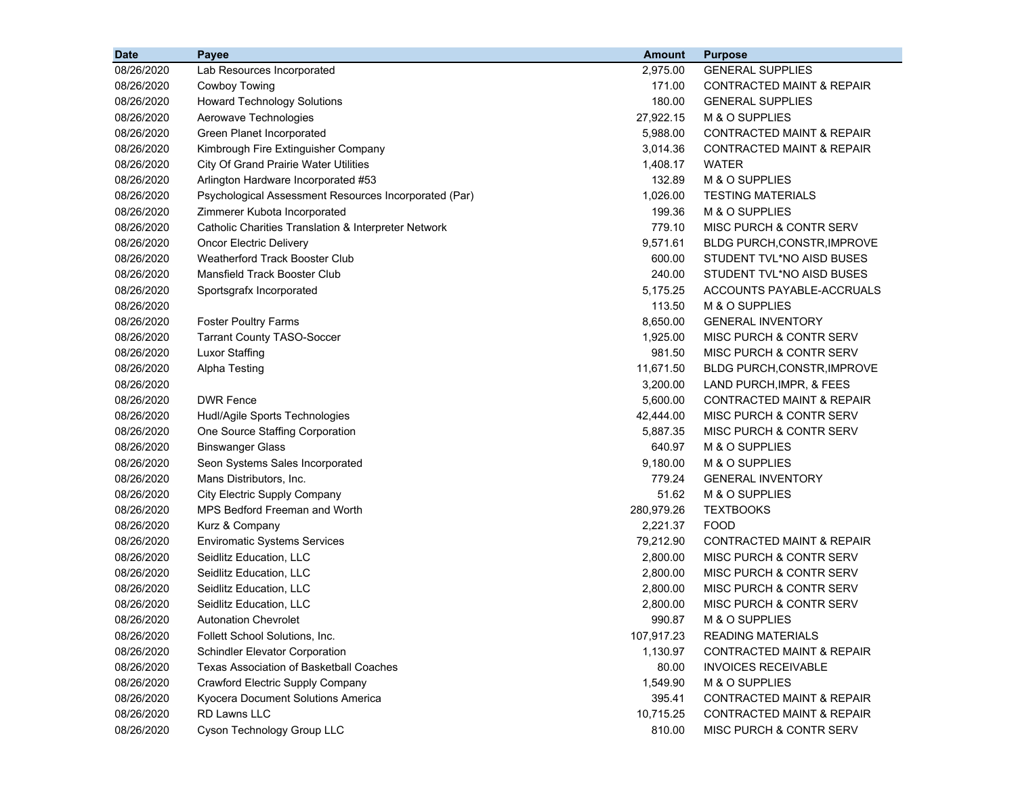| <b>Date</b> | Payee                                                 | <b>Amount</b> | <b>Purpose</b>                       |
|-------------|-------------------------------------------------------|---------------|--------------------------------------|
| 08/26/2020  | Lab Resources Incorporated                            | 2,975.00      | <b>GENERAL SUPPLIES</b>              |
| 08/26/2020  | <b>Cowboy Towing</b>                                  | 171.00        | CONTRACTED MAINT & REPAIR            |
| 08/26/2020  | <b>Howard Technology Solutions</b>                    | 180.00        | <b>GENERAL SUPPLIES</b>              |
| 08/26/2020  | Aerowave Technologies                                 | 27,922.15     | M & O SUPPLIES                       |
| 08/26/2020  | Green Planet Incorporated                             | 5,988.00      | <b>CONTRACTED MAINT &amp; REPAIR</b> |
| 08/26/2020  | Kimbrough Fire Extinguisher Company                   | 3,014.36      | <b>CONTRACTED MAINT &amp; REPAIR</b> |
| 08/26/2020  | <b>City Of Grand Prairie Water Utilities</b>          | 1,408.17      | <b>WATER</b>                         |
| 08/26/2020  | Arlington Hardware Incorporated #53                   | 132.89        | M & O SUPPLIES                       |
| 08/26/2020  | Psychological Assessment Resources Incorporated (Par) | 1,026.00      | <b>TESTING MATERIALS</b>             |
| 08/26/2020  | Zimmerer Kubota Incorporated                          | 199.36        | M & O SUPPLIES                       |
| 08/26/2020  | Catholic Charities Translation & Interpreter Network  | 779.10        | MISC PURCH & CONTR SERV              |
| 08/26/2020  | Oncor Electric Delivery                               | 9,571.61      | BLDG PURCH, CONSTR, IMPROVE          |
| 08/26/2020  | <b>Weatherford Track Booster Club</b>                 | 600.00        | STUDENT TVL*NO AISD BUSES            |
| 08/26/2020  | Mansfield Track Booster Club                          | 240.00        | STUDENT TVL*NO AISD BUSES            |
| 08/26/2020  | Sportsgrafx Incorporated                              | 5,175.25      | ACCOUNTS PAYABLE-ACCRUALS            |
| 08/26/2020  |                                                       | 113.50        | M & O SUPPLIES                       |
| 08/26/2020  | <b>Foster Poultry Farms</b>                           | 8,650.00      | <b>GENERAL INVENTORY</b>             |
| 08/26/2020  | <b>Tarrant County TASO-Soccer</b>                     | 1,925.00      | MISC PURCH & CONTR SERV              |
| 08/26/2020  | <b>Luxor Staffing</b>                                 | 981.50        | MISC PURCH & CONTR SERV              |
| 08/26/2020  | <b>Alpha Testing</b>                                  | 11,671.50     | BLDG PURCH, CONSTR, IMPROVE          |
| 08/26/2020  |                                                       | 3,200.00      | LAND PURCH, IMPR, & FEES             |
| 08/26/2020  | <b>DWR Fence</b>                                      | 5,600.00      | CONTRACTED MAINT & REPAIR            |
| 08/26/2020  | Hudl/Agile Sports Technologies                        | 42,444.00     | MISC PURCH & CONTR SERV              |
| 08/26/2020  | One Source Staffing Corporation                       | 5,887.35      | MISC PURCH & CONTR SERV              |
| 08/26/2020  | <b>Binswanger Glass</b>                               | 640.97        | M & O SUPPLIES                       |
| 08/26/2020  | Seon Systems Sales Incorporated                       | 9,180.00      | M & O SUPPLIES                       |
| 08/26/2020  | Mans Distributors, Inc.                               | 779.24        | <b>GENERAL INVENTORY</b>             |
| 08/26/2020  | City Electric Supply Company                          | 51.62         | M & O SUPPLIES                       |
| 08/26/2020  | MPS Bedford Freeman and Worth                         | 280,979.26    | <b>TEXTBOOKS</b>                     |
| 08/26/2020  | Kurz & Company                                        | 2,221.37      | <b>FOOD</b>                          |
| 08/26/2020  | <b>Enviromatic Systems Services</b>                   | 79,212.90     | CONTRACTED MAINT & REPAIR            |
| 08/26/2020  | Seidlitz Education, LLC                               | 2,800.00      | MISC PURCH & CONTR SERV              |
| 08/26/2020  | Seidlitz Education, LLC                               | 2,800.00      | MISC PURCH & CONTR SERV              |
| 08/26/2020  | Seidlitz Education, LLC                               | 2,800.00      | MISC PURCH & CONTR SERV              |
| 08/26/2020  | Seidlitz Education, LLC                               | 2,800.00      | <b>MISC PURCH &amp; CONTR SERV</b>   |
| 08/26/2020  | <b>Autonation Chevrolet</b>                           | 990.87        | M & O SUPPLIES                       |
| 08/26/2020  | Follett School Solutions, Inc.                        | 107,917.23    | <b>READING MATERIALS</b>             |
| 08/26/2020  | <b>Schindler Elevator Corporation</b>                 | 1,130.97      | <b>CONTRACTED MAINT &amp; REPAIR</b> |
| 08/26/2020  | Texas Association of Basketball Coaches               | 80.00         | <b>INVOICES RECEIVABLE</b>           |
| 08/26/2020  | Crawford Electric Supply Company                      | 1,549.90      | M & O SUPPLIES                       |
| 08/26/2020  | Kyocera Document Solutions America                    | 395.41        | <b>CONTRACTED MAINT &amp; REPAIR</b> |
| 08/26/2020  | <b>RD Lawns LLC</b>                                   | 10,715.25     | CONTRACTED MAINT & REPAIR            |
| 08/26/2020  | Cyson Technology Group LLC                            | 810.00        | MISC PURCH & CONTR SERV              |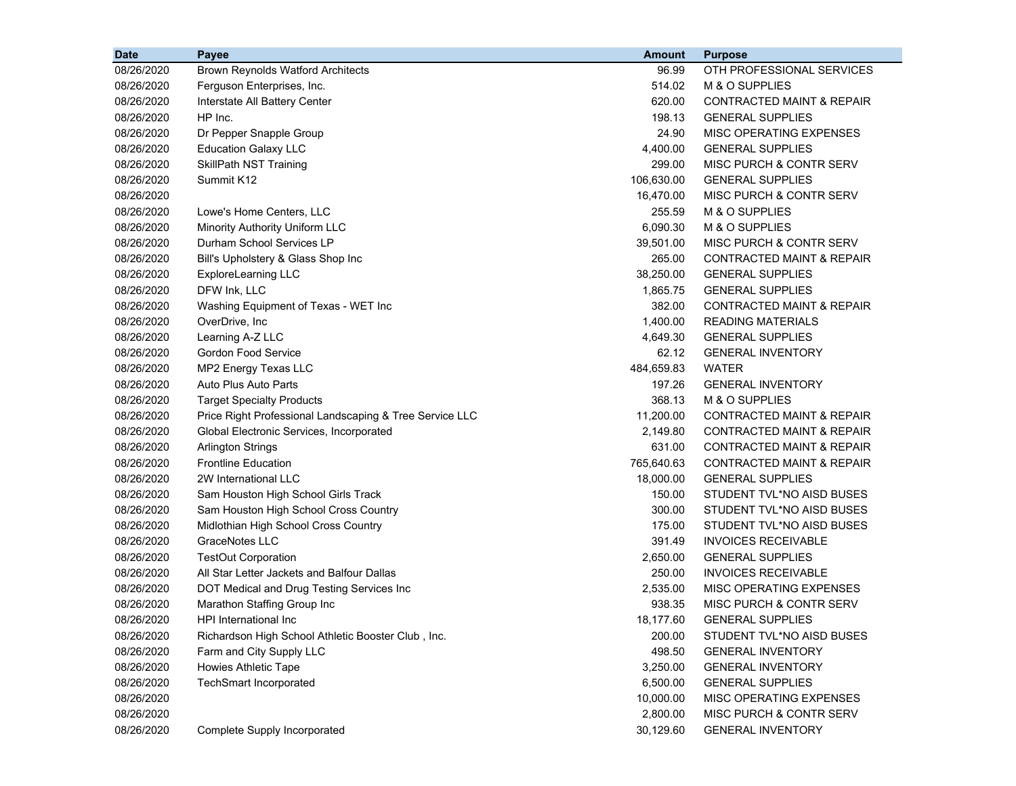| <b>Brown Reynolds Watford Architects</b><br>OTH PROFESSIONAL SERVICES<br>08/26/2020<br>96.99<br>514.02<br>M & O SUPPLIES<br>08/26/2020<br>Ferguson Enterprises, Inc.<br>620.00<br>08/26/2020<br>Interstate All Battery Center<br>CONTRACTED MAINT & REPAIR<br>HP Inc.<br>198.13<br><b>GENERAL SUPPLIES</b><br>08/26/2020<br>24.90<br>MISC OPERATING EXPENSES<br>08/26/2020<br>Dr Pepper Snapple Group<br>4,400.00<br><b>GENERAL SUPPLIES</b><br>08/26/2020<br><b>Education Galaxy LLC</b><br>299.00<br>MISC PURCH & CONTR SERV<br>08/26/2020<br><b>SkillPath NST Training</b><br>Summit K12<br>106,630.00<br><b>GENERAL SUPPLIES</b><br>08/26/2020<br>16,470.00<br>MISC PURCH & CONTR SERV<br>08/26/2020<br>255.59<br>M & O SUPPLIES<br>08/26/2020<br>Lowe's Home Centers, LLC<br>6,090.30<br>M & O SUPPLIES<br>08/26/2020<br>Minority Authority Uniform LLC<br>Durham School Services LP<br>08/26/2020<br>39,501.00<br>MISC PURCH & CONTR SERV<br>Bill's Upholstery & Glass Shop Inc<br>08/26/2020<br>265.00<br>CONTRACTED MAINT & REPAIR<br>38,250.00<br><b>GENERAL SUPPLIES</b><br>08/26/2020<br>ExploreLearning LLC<br>DFW Ink, LLC<br>08/26/2020<br>1,865.75<br><b>GENERAL SUPPLIES</b><br>382.00<br>08/26/2020<br>Washing Equipment of Texas - WET Inc<br><b>CONTRACTED MAINT &amp; REPAIR</b><br>1,400.00<br>08/26/2020<br>OverDrive, Inc.<br><b>READING MATERIALS</b><br>4,649.30<br>08/26/2020<br>Learning A-Z LLC<br><b>GENERAL SUPPLIES</b><br><b>Gordon Food Service</b><br>62.12<br>08/26/2020<br><b>GENERAL INVENTORY</b><br>MP2 Energy Texas LLC<br>484,659.83<br>08/26/2020<br>WATER<br>08/26/2020<br>Auto Plus Auto Parts<br>197.26<br><b>GENERAL INVENTORY</b><br>08/26/2020<br>368.13<br>M & O SUPPLIES<br><b>Target Specialty Products</b><br>11,200.00<br>08/26/2020<br>Price Right Professional Landscaping & Tree Service LLC<br>CONTRACTED MAINT & REPAIR<br>08/26/2020<br>Global Electronic Services, Incorporated<br>2,149.80<br>CONTRACTED MAINT & REPAIR<br>631.00<br>08/26/2020<br><b>Arlington Strings</b><br>CONTRACTED MAINT & REPAIR<br><b>Frontline Education</b><br>765,640.63<br>08/26/2020<br>CONTRACTED MAINT & REPAIR<br>08/26/2020<br>2W International LLC<br>18,000.00<br><b>GENERAL SUPPLIES</b><br>150.00<br>08/26/2020<br>Sam Houston High School Girls Track<br>STUDENT TVL*NO AISD BUSES<br>300.00<br>08/26/2020<br>Sam Houston High School Cross Country<br>STUDENT TVL*NO AISD BUSES<br>175.00<br>08/26/2020<br>Midlothian High School Cross Country<br>STUDENT TVL*NO AISD BUSES<br><b>GraceNotes LLC</b><br>391.49<br>08/26/2020<br><b>INVOICES RECEIVABLE</b> |
|------------------------------------------------------------------------------------------------------------------------------------------------------------------------------------------------------------------------------------------------------------------------------------------------------------------------------------------------------------------------------------------------------------------------------------------------------------------------------------------------------------------------------------------------------------------------------------------------------------------------------------------------------------------------------------------------------------------------------------------------------------------------------------------------------------------------------------------------------------------------------------------------------------------------------------------------------------------------------------------------------------------------------------------------------------------------------------------------------------------------------------------------------------------------------------------------------------------------------------------------------------------------------------------------------------------------------------------------------------------------------------------------------------------------------------------------------------------------------------------------------------------------------------------------------------------------------------------------------------------------------------------------------------------------------------------------------------------------------------------------------------------------------------------------------------------------------------------------------------------------------------------------------------------------------------------------------------------------------------------------------------------------------------------------------------------------------------------------------------------------------------------------------------------------------------------------------------------------------------------------------------------------------------------------------------------------------------------------------------------------------------------------------------------------------------------------------------------------------------------------------------------------------------------------------------------------------------------------------------------|
|                                                                                                                                                                                                                                                                                                                                                                                                                                                                                                                                                                                                                                                                                                                                                                                                                                                                                                                                                                                                                                                                                                                                                                                                                                                                                                                                                                                                                                                                                                                                                                                                                                                                                                                                                                                                                                                                                                                                                                                                                                                                                                                                                                                                                                                                                                                                                                                                                                                                                                                                                                                                                  |
|                                                                                                                                                                                                                                                                                                                                                                                                                                                                                                                                                                                                                                                                                                                                                                                                                                                                                                                                                                                                                                                                                                                                                                                                                                                                                                                                                                                                                                                                                                                                                                                                                                                                                                                                                                                                                                                                                                                                                                                                                                                                                                                                                                                                                                                                                                                                                                                                                                                                                                                                                                                                                  |
|                                                                                                                                                                                                                                                                                                                                                                                                                                                                                                                                                                                                                                                                                                                                                                                                                                                                                                                                                                                                                                                                                                                                                                                                                                                                                                                                                                                                                                                                                                                                                                                                                                                                                                                                                                                                                                                                                                                                                                                                                                                                                                                                                                                                                                                                                                                                                                                                                                                                                                                                                                                                                  |
|                                                                                                                                                                                                                                                                                                                                                                                                                                                                                                                                                                                                                                                                                                                                                                                                                                                                                                                                                                                                                                                                                                                                                                                                                                                                                                                                                                                                                                                                                                                                                                                                                                                                                                                                                                                                                                                                                                                                                                                                                                                                                                                                                                                                                                                                                                                                                                                                                                                                                                                                                                                                                  |
|                                                                                                                                                                                                                                                                                                                                                                                                                                                                                                                                                                                                                                                                                                                                                                                                                                                                                                                                                                                                                                                                                                                                                                                                                                                                                                                                                                                                                                                                                                                                                                                                                                                                                                                                                                                                                                                                                                                                                                                                                                                                                                                                                                                                                                                                                                                                                                                                                                                                                                                                                                                                                  |
|                                                                                                                                                                                                                                                                                                                                                                                                                                                                                                                                                                                                                                                                                                                                                                                                                                                                                                                                                                                                                                                                                                                                                                                                                                                                                                                                                                                                                                                                                                                                                                                                                                                                                                                                                                                                                                                                                                                                                                                                                                                                                                                                                                                                                                                                                                                                                                                                                                                                                                                                                                                                                  |
|                                                                                                                                                                                                                                                                                                                                                                                                                                                                                                                                                                                                                                                                                                                                                                                                                                                                                                                                                                                                                                                                                                                                                                                                                                                                                                                                                                                                                                                                                                                                                                                                                                                                                                                                                                                                                                                                                                                                                                                                                                                                                                                                                                                                                                                                                                                                                                                                                                                                                                                                                                                                                  |
|                                                                                                                                                                                                                                                                                                                                                                                                                                                                                                                                                                                                                                                                                                                                                                                                                                                                                                                                                                                                                                                                                                                                                                                                                                                                                                                                                                                                                                                                                                                                                                                                                                                                                                                                                                                                                                                                                                                                                                                                                                                                                                                                                                                                                                                                                                                                                                                                                                                                                                                                                                                                                  |
|                                                                                                                                                                                                                                                                                                                                                                                                                                                                                                                                                                                                                                                                                                                                                                                                                                                                                                                                                                                                                                                                                                                                                                                                                                                                                                                                                                                                                                                                                                                                                                                                                                                                                                                                                                                                                                                                                                                                                                                                                                                                                                                                                                                                                                                                                                                                                                                                                                                                                                                                                                                                                  |
|                                                                                                                                                                                                                                                                                                                                                                                                                                                                                                                                                                                                                                                                                                                                                                                                                                                                                                                                                                                                                                                                                                                                                                                                                                                                                                                                                                                                                                                                                                                                                                                                                                                                                                                                                                                                                                                                                                                                                                                                                                                                                                                                                                                                                                                                                                                                                                                                                                                                                                                                                                                                                  |
|                                                                                                                                                                                                                                                                                                                                                                                                                                                                                                                                                                                                                                                                                                                                                                                                                                                                                                                                                                                                                                                                                                                                                                                                                                                                                                                                                                                                                                                                                                                                                                                                                                                                                                                                                                                                                                                                                                                                                                                                                                                                                                                                                                                                                                                                                                                                                                                                                                                                                                                                                                                                                  |
|                                                                                                                                                                                                                                                                                                                                                                                                                                                                                                                                                                                                                                                                                                                                                                                                                                                                                                                                                                                                                                                                                                                                                                                                                                                                                                                                                                                                                                                                                                                                                                                                                                                                                                                                                                                                                                                                                                                                                                                                                                                                                                                                                                                                                                                                                                                                                                                                                                                                                                                                                                                                                  |
|                                                                                                                                                                                                                                                                                                                                                                                                                                                                                                                                                                                                                                                                                                                                                                                                                                                                                                                                                                                                                                                                                                                                                                                                                                                                                                                                                                                                                                                                                                                                                                                                                                                                                                                                                                                                                                                                                                                                                                                                                                                                                                                                                                                                                                                                                                                                                                                                                                                                                                                                                                                                                  |
|                                                                                                                                                                                                                                                                                                                                                                                                                                                                                                                                                                                                                                                                                                                                                                                                                                                                                                                                                                                                                                                                                                                                                                                                                                                                                                                                                                                                                                                                                                                                                                                                                                                                                                                                                                                                                                                                                                                                                                                                                                                                                                                                                                                                                                                                                                                                                                                                                                                                                                                                                                                                                  |
|                                                                                                                                                                                                                                                                                                                                                                                                                                                                                                                                                                                                                                                                                                                                                                                                                                                                                                                                                                                                                                                                                                                                                                                                                                                                                                                                                                                                                                                                                                                                                                                                                                                                                                                                                                                                                                                                                                                                                                                                                                                                                                                                                                                                                                                                                                                                                                                                                                                                                                                                                                                                                  |
|                                                                                                                                                                                                                                                                                                                                                                                                                                                                                                                                                                                                                                                                                                                                                                                                                                                                                                                                                                                                                                                                                                                                                                                                                                                                                                                                                                                                                                                                                                                                                                                                                                                                                                                                                                                                                                                                                                                                                                                                                                                                                                                                                                                                                                                                                                                                                                                                                                                                                                                                                                                                                  |
|                                                                                                                                                                                                                                                                                                                                                                                                                                                                                                                                                                                                                                                                                                                                                                                                                                                                                                                                                                                                                                                                                                                                                                                                                                                                                                                                                                                                                                                                                                                                                                                                                                                                                                                                                                                                                                                                                                                                                                                                                                                                                                                                                                                                                                                                                                                                                                                                                                                                                                                                                                                                                  |
|                                                                                                                                                                                                                                                                                                                                                                                                                                                                                                                                                                                                                                                                                                                                                                                                                                                                                                                                                                                                                                                                                                                                                                                                                                                                                                                                                                                                                                                                                                                                                                                                                                                                                                                                                                                                                                                                                                                                                                                                                                                                                                                                                                                                                                                                                                                                                                                                                                                                                                                                                                                                                  |
|                                                                                                                                                                                                                                                                                                                                                                                                                                                                                                                                                                                                                                                                                                                                                                                                                                                                                                                                                                                                                                                                                                                                                                                                                                                                                                                                                                                                                                                                                                                                                                                                                                                                                                                                                                                                                                                                                                                                                                                                                                                                                                                                                                                                                                                                                                                                                                                                                                                                                                                                                                                                                  |
|                                                                                                                                                                                                                                                                                                                                                                                                                                                                                                                                                                                                                                                                                                                                                                                                                                                                                                                                                                                                                                                                                                                                                                                                                                                                                                                                                                                                                                                                                                                                                                                                                                                                                                                                                                                                                                                                                                                                                                                                                                                                                                                                                                                                                                                                                                                                                                                                                                                                                                                                                                                                                  |
|                                                                                                                                                                                                                                                                                                                                                                                                                                                                                                                                                                                                                                                                                                                                                                                                                                                                                                                                                                                                                                                                                                                                                                                                                                                                                                                                                                                                                                                                                                                                                                                                                                                                                                                                                                                                                                                                                                                                                                                                                                                                                                                                                                                                                                                                                                                                                                                                                                                                                                                                                                                                                  |
|                                                                                                                                                                                                                                                                                                                                                                                                                                                                                                                                                                                                                                                                                                                                                                                                                                                                                                                                                                                                                                                                                                                                                                                                                                                                                                                                                                                                                                                                                                                                                                                                                                                                                                                                                                                                                                                                                                                                                                                                                                                                                                                                                                                                                                                                                                                                                                                                                                                                                                                                                                                                                  |
|                                                                                                                                                                                                                                                                                                                                                                                                                                                                                                                                                                                                                                                                                                                                                                                                                                                                                                                                                                                                                                                                                                                                                                                                                                                                                                                                                                                                                                                                                                                                                                                                                                                                                                                                                                                                                                                                                                                                                                                                                                                                                                                                                                                                                                                                                                                                                                                                                                                                                                                                                                                                                  |
|                                                                                                                                                                                                                                                                                                                                                                                                                                                                                                                                                                                                                                                                                                                                                                                                                                                                                                                                                                                                                                                                                                                                                                                                                                                                                                                                                                                                                                                                                                                                                                                                                                                                                                                                                                                                                                                                                                                                                                                                                                                                                                                                                                                                                                                                                                                                                                                                                                                                                                                                                                                                                  |
|                                                                                                                                                                                                                                                                                                                                                                                                                                                                                                                                                                                                                                                                                                                                                                                                                                                                                                                                                                                                                                                                                                                                                                                                                                                                                                                                                                                                                                                                                                                                                                                                                                                                                                                                                                                                                                                                                                                                                                                                                                                                                                                                                                                                                                                                                                                                                                                                                                                                                                                                                                                                                  |
|                                                                                                                                                                                                                                                                                                                                                                                                                                                                                                                                                                                                                                                                                                                                                                                                                                                                                                                                                                                                                                                                                                                                                                                                                                                                                                                                                                                                                                                                                                                                                                                                                                                                                                                                                                                                                                                                                                                                                                                                                                                                                                                                                                                                                                                                                                                                                                                                                                                                                                                                                                                                                  |
|                                                                                                                                                                                                                                                                                                                                                                                                                                                                                                                                                                                                                                                                                                                                                                                                                                                                                                                                                                                                                                                                                                                                                                                                                                                                                                                                                                                                                                                                                                                                                                                                                                                                                                                                                                                                                                                                                                                                                                                                                                                                                                                                                                                                                                                                                                                                                                                                                                                                                                                                                                                                                  |
|                                                                                                                                                                                                                                                                                                                                                                                                                                                                                                                                                                                                                                                                                                                                                                                                                                                                                                                                                                                                                                                                                                                                                                                                                                                                                                                                                                                                                                                                                                                                                                                                                                                                                                                                                                                                                                                                                                                                                                                                                                                                                                                                                                                                                                                                                                                                                                                                                                                                                                                                                                                                                  |
|                                                                                                                                                                                                                                                                                                                                                                                                                                                                                                                                                                                                                                                                                                                                                                                                                                                                                                                                                                                                                                                                                                                                                                                                                                                                                                                                                                                                                                                                                                                                                                                                                                                                                                                                                                                                                                                                                                                                                                                                                                                                                                                                                                                                                                                                                                                                                                                                                                                                                                                                                                                                                  |
|                                                                                                                                                                                                                                                                                                                                                                                                                                                                                                                                                                                                                                                                                                                                                                                                                                                                                                                                                                                                                                                                                                                                                                                                                                                                                                                                                                                                                                                                                                                                                                                                                                                                                                                                                                                                                                                                                                                                                                                                                                                                                                                                                                                                                                                                                                                                                                                                                                                                                                                                                                                                                  |
|                                                                                                                                                                                                                                                                                                                                                                                                                                                                                                                                                                                                                                                                                                                                                                                                                                                                                                                                                                                                                                                                                                                                                                                                                                                                                                                                                                                                                                                                                                                                                                                                                                                                                                                                                                                                                                                                                                                                                                                                                                                                                                                                                                                                                                                                                                                                                                                                                                                                                                                                                                                                                  |
| 2,650.00<br><b>GENERAL SUPPLIES</b><br>08/26/2020<br><b>TestOut Corporation</b>                                                                                                                                                                                                                                                                                                                                                                                                                                                                                                                                                                                                                                                                                                                                                                                                                                                                                                                                                                                                                                                                                                                                                                                                                                                                                                                                                                                                                                                                                                                                                                                                                                                                                                                                                                                                                                                                                                                                                                                                                                                                                                                                                                                                                                                                                                                                                                                                                                                                                                                                  |
| All Star Letter Jackets and Balfour Dallas<br>250.00<br><b>INVOICES RECEIVABLE</b><br>08/26/2020                                                                                                                                                                                                                                                                                                                                                                                                                                                                                                                                                                                                                                                                                                                                                                                                                                                                                                                                                                                                                                                                                                                                                                                                                                                                                                                                                                                                                                                                                                                                                                                                                                                                                                                                                                                                                                                                                                                                                                                                                                                                                                                                                                                                                                                                                                                                                                                                                                                                                                                 |
| 2,535.00<br>08/26/2020<br>DOT Medical and Drug Testing Services Inc<br>MISC OPERATING EXPENSES                                                                                                                                                                                                                                                                                                                                                                                                                                                                                                                                                                                                                                                                                                                                                                                                                                                                                                                                                                                                                                                                                                                                                                                                                                                                                                                                                                                                                                                                                                                                                                                                                                                                                                                                                                                                                                                                                                                                                                                                                                                                                                                                                                                                                                                                                                                                                                                                                                                                                                                   |
| 08/26/2020<br>938.35<br><b>MISC PURCH &amp; CONTR SERV</b><br>Marathon Staffing Group Inc                                                                                                                                                                                                                                                                                                                                                                                                                                                                                                                                                                                                                                                                                                                                                                                                                                                                                                                                                                                                                                                                                                                                                                                                                                                                                                                                                                                                                                                                                                                                                                                                                                                                                                                                                                                                                                                                                                                                                                                                                                                                                                                                                                                                                                                                                                                                                                                                                                                                                                                        |
| 08/26/2020<br>18,177.60<br><b>GENERAL SUPPLIES</b><br>HPI International Inc                                                                                                                                                                                                                                                                                                                                                                                                                                                                                                                                                                                                                                                                                                                                                                                                                                                                                                                                                                                                                                                                                                                                                                                                                                                                                                                                                                                                                                                                                                                                                                                                                                                                                                                                                                                                                                                                                                                                                                                                                                                                                                                                                                                                                                                                                                                                                                                                                                                                                                                                      |
| 08/26/2020<br>Richardson High School Athletic Booster Club, Inc.<br>200.00<br>STUDENT TVL*NO AISD BUSES                                                                                                                                                                                                                                                                                                                                                                                                                                                                                                                                                                                                                                                                                                                                                                                                                                                                                                                                                                                                                                                                                                                                                                                                                                                                                                                                                                                                                                                                                                                                                                                                                                                                                                                                                                                                                                                                                                                                                                                                                                                                                                                                                                                                                                                                                                                                                                                                                                                                                                          |
| 08/26/2020<br>Farm and City Supply LLC<br>498.50<br><b>GENERAL INVENTORY</b>                                                                                                                                                                                                                                                                                                                                                                                                                                                                                                                                                                                                                                                                                                                                                                                                                                                                                                                                                                                                                                                                                                                                                                                                                                                                                                                                                                                                                                                                                                                                                                                                                                                                                                                                                                                                                                                                                                                                                                                                                                                                                                                                                                                                                                                                                                                                                                                                                                                                                                                                     |
| <b>Howies Athletic Tape</b><br>08/26/2020<br>3,250.00<br><b>GENERAL INVENTORY</b>                                                                                                                                                                                                                                                                                                                                                                                                                                                                                                                                                                                                                                                                                                                                                                                                                                                                                                                                                                                                                                                                                                                                                                                                                                                                                                                                                                                                                                                                                                                                                                                                                                                                                                                                                                                                                                                                                                                                                                                                                                                                                                                                                                                                                                                                                                                                                                                                                                                                                                                                |
| <b>TechSmart Incorporated</b><br>08/26/2020<br>6,500.00<br><b>GENERAL SUPPLIES</b>                                                                                                                                                                                                                                                                                                                                                                                                                                                                                                                                                                                                                                                                                                                                                                                                                                                                                                                                                                                                                                                                                                                                                                                                                                                                                                                                                                                                                                                                                                                                                                                                                                                                                                                                                                                                                                                                                                                                                                                                                                                                                                                                                                                                                                                                                                                                                                                                                                                                                                                               |
| 08/26/2020<br>10,000.00<br>MISC OPERATING EXPENSES                                                                                                                                                                                                                                                                                                                                                                                                                                                                                                                                                                                                                                                                                                                                                                                                                                                                                                                                                                                                                                                                                                                                                                                                                                                                                                                                                                                                                                                                                                                                                                                                                                                                                                                                                                                                                                                                                                                                                                                                                                                                                                                                                                                                                                                                                                                                                                                                                                                                                                                                                               |
| 2,800.00<br>08/26/2020<br>MISC PURCH & CONTR SERV                                                                                                                                                                                                                                                                                                                                                                                                                                                                                                                                                                                                                                                                                                                                                                                                                                                                                                                                                                                                                                                                                                                                                                                                                                                                                                                                                                                                                                                                                                                                                                                                                                                                                                                                                                                                                                                                                                                                                                                                                                                                                                                                                                                                                                                                                                                                                                                                                                                                                                                                                                |
| 30,129.60<br>08/26/2020<br>Complete Supply Incorporated<br><b>GENERAL INVENTORY</b>                                                                                                                                                                                                                                                                                                                                                                                                                                                                                                                                                                                                                                                                                                                                                                                                                                                                                                                                                                                                                                                                                                                                                                                                                                                                                                                                                                                                                                                                                                                                                                                                                                                                                                                                                                                                                                                                                                                                                                                                                                                                                                                                                                                                                                                                                                                                                                                                                                                                                                                              |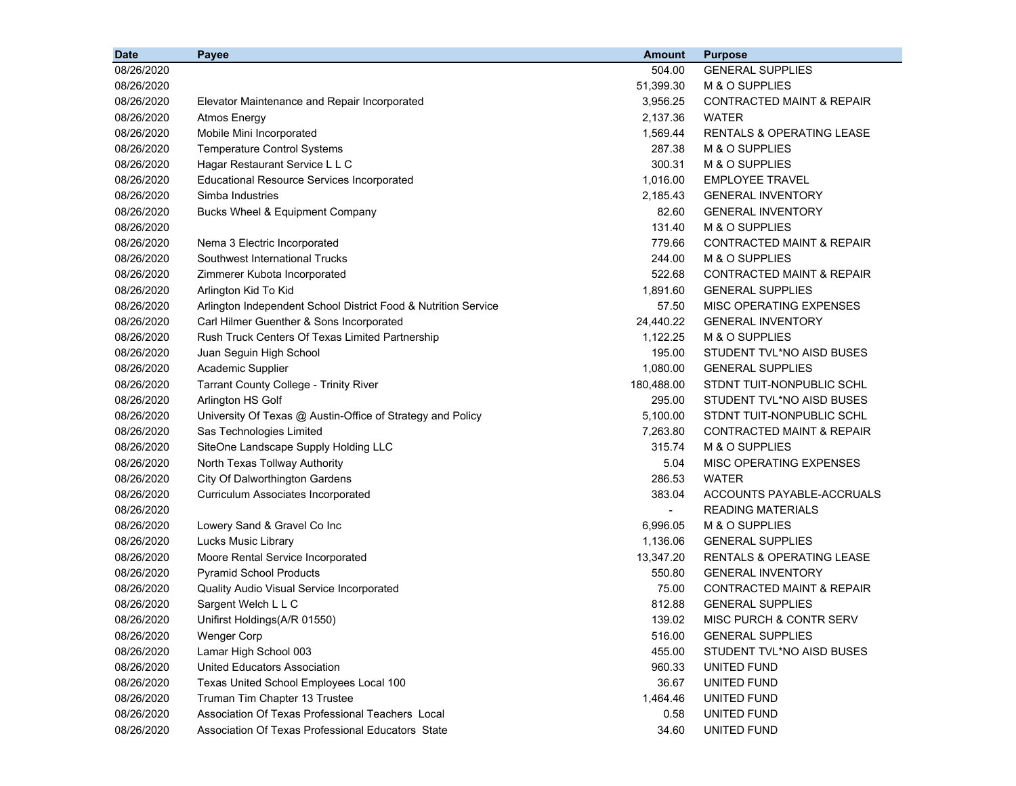| <b>Date</b> | Payee                                                          | <b>Amount</b>            | <b>Purpose</b>                       |
|-------------|----------------------------------------------------------------|--------------------------|--------------------------------------|
| 08/26/2020  |                                                                | 504.00                   | <b>GENERAL SUPPLIES</b>              |
| 08/26/2020  |                                                                | 51,399.30                | M & O SUPPLIES                       |
| 08/26/2020  | Elevator Maintenance and Repair Incorporated                   | 3,956.25                 | <b>CONTRACTED MAINT &amp; REPAIR</b> |
| 08/26/2020  | <b>Atmos Energy</b>                                            | 2,137.36                 | <b>WATER</b>                         |
| 08/26/2020  | Mobile Mini Incorporated                                       | 1,569.44                 | <b>RENTALS &amp; OPERATING LEASE</b> |
| 08/26/2020  | <b>Temperature Control Systems</b>                             | 287.38                   | M & O SUPPLIES                       |
| 08/26/2020  | Hagar Restaurant Service L L C                                 | 300.31                   | M & O SUPPLIES                       |
| 08/26/2020  | <b>Educational Resource Services Incorporated</b>              | 1,016.00                 | <b>EMPLOYEE TRAVEL</b>               |
| 08/26/2020  | Simba Industries                                               | 2,185.43                 | <b>GENERAL INVENTORY</b>             |
| 08/26/2020  | Bucks Wheel & Equipment Company                                | 82.60                    | <b>GENERAL INVENTORY</b>             |
| 08/26/2020  |                                                                | 131.40                   | M & O SUPPLIES                       |
| 08/26/2020  | Nema 3 Electric Incorporated                                   | 779.66                   | <b>CONTRACTED MAINT &amp; REPAIR</b> |
| 08/26/2020  | Southwest International Trucks                                 | 244.00                   | M & O SUPPLIES                       |
| 08/26/2020  | Zimmerer Kubota Incorporated                                   | 522.68                   | <b>CONTRACTED MAINT &amp; REPAIR</b> |
| 08/26/2020  | Arlington Kid To Kid                                           | 1,891.60                 | <b>GENERAL SUPPLIES</b>              |
| 08/26/2020  | Arlington Independent School District Food & Nutrition Service | 57.50                    | MISC OPERATING EXPENSES              |
| 08/26/2020  | Carl Hilmer Guenther & Sons Incorporated                       | 24,440.22                | <b>GENERAL INVENTORY</b>             |
| 08/26/2020  | Rush Truck Centers Of Texas Limited Partnership                | 1,122.25                 | M & O SUPPLIES                       |
| 08/26/2020  | Juan Seguin High School                                        | 195.00                   | STUDENT TVL*NO AISD BUSES            |
| 08/26/2020  | Academic Supplier                                              | 1,080.00                 | <b>GENERAL SUPPLIES</b>              |
| 08/26/2020  | <b>Tarrant County College - Trinity River</b>                  | 180,488.00               | STDNT TUIT-NONPUBLIC SCHL            |
| 08/26/2020  | Arlington HS Golf                                              | 295.00                   | STUDENT TVL*NO AISD BUSES            |
| 08/26/2020  | University Of Texas @ Austin-Office of Strategy and Policy     | 5,100.00                 | STDNT TUIT-NONPUBLIC SCHL            |
| 08/26/2020  | Sas Technologies Limited                                       | 7,263.80                 | <b>CONTRACTED MAINT &amp; REPAIR</b> |
| 08/26/2020  | SiteOne Landscape Supply Holding LLC                           | 315.74                   | M & O SUPPLIES                       |
| 08/26/2020  | North Texas Tollway Authority                                  | 5.04                     | MISC OPERATING EXPENSES              |
| 08/26/2020  | City Of Dalworthington Gardens                                 | 286.53                   | WATER                                |
| 08/26/2020  | Curriculum Associates Incorporated                             | 383.04                   | ACCOUNTS PAYABLE-ACCRUALS            |
| 08/26/2020  |                                                                | $\overline{\phantom{a}}$ | <b>READING MATERIALS</b>             |
| 08/26/2020  | Lowery Sand & Gravel Co Inc                                    | 6,996.05                 | M & O SUPPLIES                       |
| 08/26/2020  | Lucks Music Library                                            | 1,136.06                 | <b>GENERAL SUPPLIES</b>              |
| 08/26/2020  | Moore Rental Service Incorporated                              | 13,347.20                | <b>RENTALS &amp; OPERATING LEASE</b> |
| 08/26/2020  | <b>Pyramid School Products</b>                                 | 550.80                   | <b>GENERAL INVENTORY</b>             |
| 08/26/2020  | Quality Audio Visual Service Incorporated                      | 75.00                    | <b>CONTRACTED MAINT &amp; REPAIR</b> |
| 08/26/2020  | Sargent Welch L L C                                            | 812.88                   | <b>GENERAL SUPPLIES</b>              |
| 08/26/2020  | Unifirst Holdings(A/R 01550)                                   | 139.02                   | MISC PURCH & CONTR SERV              |
| 08/26/2020  | <b>Wenger Corp</b>                                             | 516.00                   | <b>GENERAL SUPPLIES</b>              |
| 08/26/2020  | Lamar High School 003                                          | 455.00                   | STUDENT TVL*NO AISD BUSES            |
| 08/26/2020  | United Educators Association                                   | 960.33                   | UNITED FUND                          |
| 08/26/2020  | Texas United School Employees Local 100                        | 36.67                    | UNITED FUND                          |
| 08/26/2020  | Truman Tim Chapter 13 Trustee                                  | 1,464.46                 | UNITED FUND                          |
| 08/26/2020  | Association Of Texas Professional Teachers Local               | 0.58                     | UNITED FUND                          |
| 08/26/2020  | Association Of Texas Professional Educators State              | 34.60                    | UNITED FUND                          |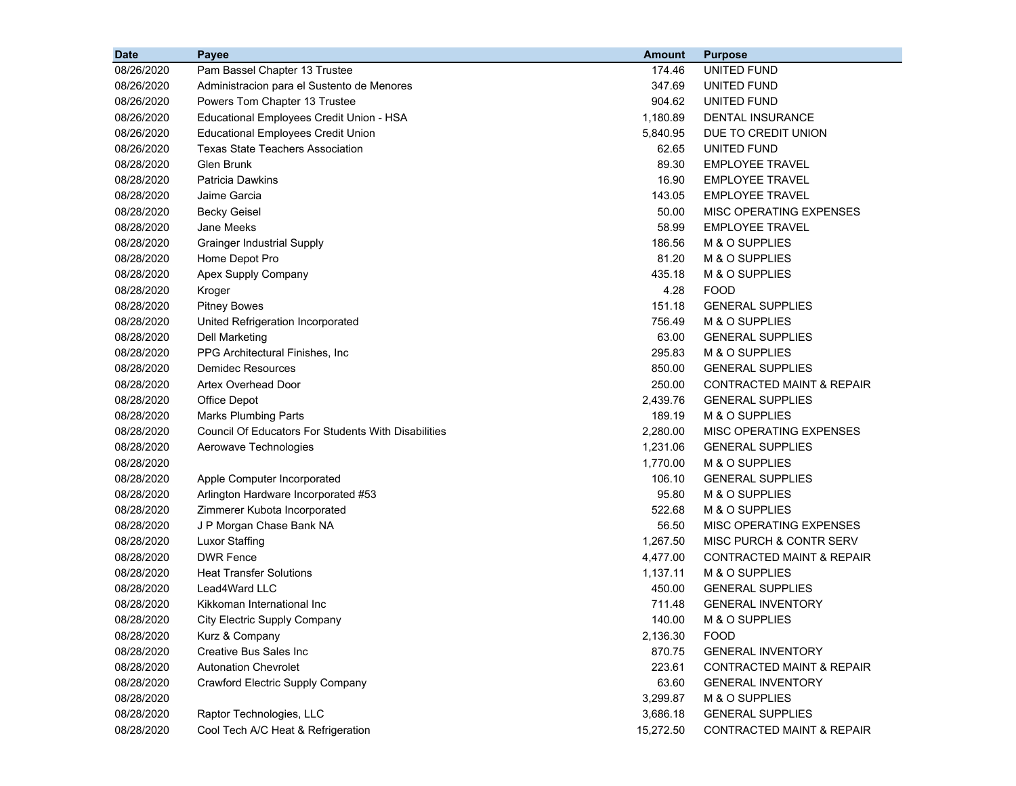| <b>Date</b> | Payee                                               | <b>Amount</b> | <b>Purpose</b>                       |
|-------------|-----------------------------------------------------|---------------|--------------------------------------|
| 08/26/2020  | Pam Bassel Chapter 13 Trustee                       | 174.46        | UNITED FUND                          |
| 08/26/2020  | Administracion para el Sustento de Menores          | 347.69        | UNITED FUND                          |
| 08/26/2020  | Powers Tom Chapter 13 Trustee                       | 904.62        | UNITED FUND                          |
| 08/26/2020  | Educational Employees Credit Union - HSA            | 1,180.89      | DENTAL INSURANCE                     |
| 08/26/2020  | <b>Educational Employees Credit Union</b>           | 5,840.95      | DUE TO CREDIT UNION                  |
| 08/26/2020  | <b>Texas State Teachers Association</b>             | 62.65         | UNITED FUND                          |
| 08/28/2020  | <b>Glen Brunk</b>                                   | 89.30         | <b>EMPLOYEE TRAVEL</b>               |
| 08/28/2020  | <b>Patricia Dawkins</b>                             | 16.90         | <b>EMPLOYEE TRAVEL</b>               |
| 08/28/2020  | Jaime Garcia                                        | 143.05        | <b>EMPLOYEE TRAVEL</b>               |
| 08/28/2020  | <b>Becky Geisel</b>                                 | 50.00         | MISC OPERATING EXPENSES              |
| 08/28/2020  | Jane Meeks                                          | 58.99         | <b>EMPLOYEE TRAVEL</b>               |
| 08/28/2020  | <b>Grainger Industrial Supply</b>                   | 186.56        | M & O SUPPLIES                       |
| 08/28/2020  | Home Depot Pro                                      | 81.20         | M & O SUPPLIES                       |
| 08/28/2020  | Apex Supply Company                                 | 435.18        | M & O SUPPLIES                       |
| 08/28/2020  | Kroger                                              | 4.28          | <b>FOOD</b>                          |
| 08/28/2020  | <b>Pitney Bowes</b>                                 | 151.18        | <b>GENERAL SUPPLIES</b>              |
| 08/28/2020  | United Refrigeration Incorporated                   | 756.49        | M & O SUPPLIES                       |
| 08/28/2020  | Dell Marketing                                      | 63.00         | <b>GENERAL SUPPLIES</b>              |
| 08/28/2020  | PPG Architectural Finishes, Inc                     | 295.83        | M & O SUPPLIES                       |
| 08/28/2020  | <b>Demidec Resources</b>                            | 850.00        | <b>GENERAL SUPPLIES</b>              |
| 08/28/2020  | Artex Overhead Door                                 | 250.00        | <b>CONTRACTED MAINT &amp; REPAIR</b> |
| 08/28/2020  | Office Depot                                        | 2,439.76      | <b>GENERAL SUPPLIES</b>              |
| 08/28/2020  | <b>Marks Plumbing Parts</b>                         | 189.19        | M & O SUPPLIES                       |
| 08/28/2020  | Council Of Educators For Students With Disabilities | 2,280.00      | MISC OPERATING EXPENSES              |
| 08/28/2020  | Aerowave Technologies                               | 1,231.06      | <b>GENERAL SUPPLIES</b>              |
| 08/28/2020  |                                                     | 1,770.00      | M & O SUPPLIES                       |
| 08/28/2020  | Apple Computer Incorporated                         | 106.10        | <b>GENERAL SUPPLIES</b>              |
| 08/28/2020  | Arlington Hardware Incorporated #53                 | 95.80         | M & O SUPPLIES                       |
| 08/28/2020  | Zimmerer Kubota Incorporated                        | 522.68        | M & O SUPPLIES                       |
| 08/28/2020  | J P Morgan Chase Bank NA                            | 56.50         | MISC OPERATING EXPENSES              |
| 08/28/2020  | <b>Luxor Staffing</b>                               | 1,267.50      | MISC PURCH & CONTR SERV              |
| 08/28/2020  | <b>DWR Fence</b>                                    | 4,477.00      | <b>CONTRACTED MAINT &amp; REPAIR</b> |
| 08/28/2020  | <b>Heat Transfer Solutions</b>                      | 1,137.11      | M & O SUPPLIES                       |
| 08/28/2020  | Lead4Ward LLC                                       | 450.00        | <b>GENERAL SUPPLIES</b>              |
| 08/28/2020  | Kikkoman International Inc                          | 711.48        | <b>GENERAL INVENTORY</b>             |
| 08/28/2020  | City Electric Supply Company                        | 140.00        | M & O SUPPLIES                       |
| 08/28/2020  | Kurz & Company                                      | 2,136.30      | <b>FOOD</b>                          |
| 08/28/2020  | <b>Creative Bus Sales Inc.</b>                      | 870.75        | <b>GENERAL INVENTORY</b>             |
| 08/28/2020  | <b>Autonation Chevrolet</b>                         | 223.61        | <b>CONTRACTED MAINT &amp; REPAIR</b> |
| 08/28/2020  | <b>Crawford Electric Supply Company</b>             | 63.60         | <b>GENERAL INVENTORY</b>             |
| 08/28/2020  |                                                     | 3,299.87      | M & O SUPPLIES                       |
| 08/28/2020  | Raptor Technologies, LLC                            | 3,686.18      | <b>GENERAL SUPPLIES</b>              |
| 08/28/2020  | Cool Tech A/C Heat & Refrigeration                  | 15,272.50     | CONTRACTED MAINT & REPAIR            |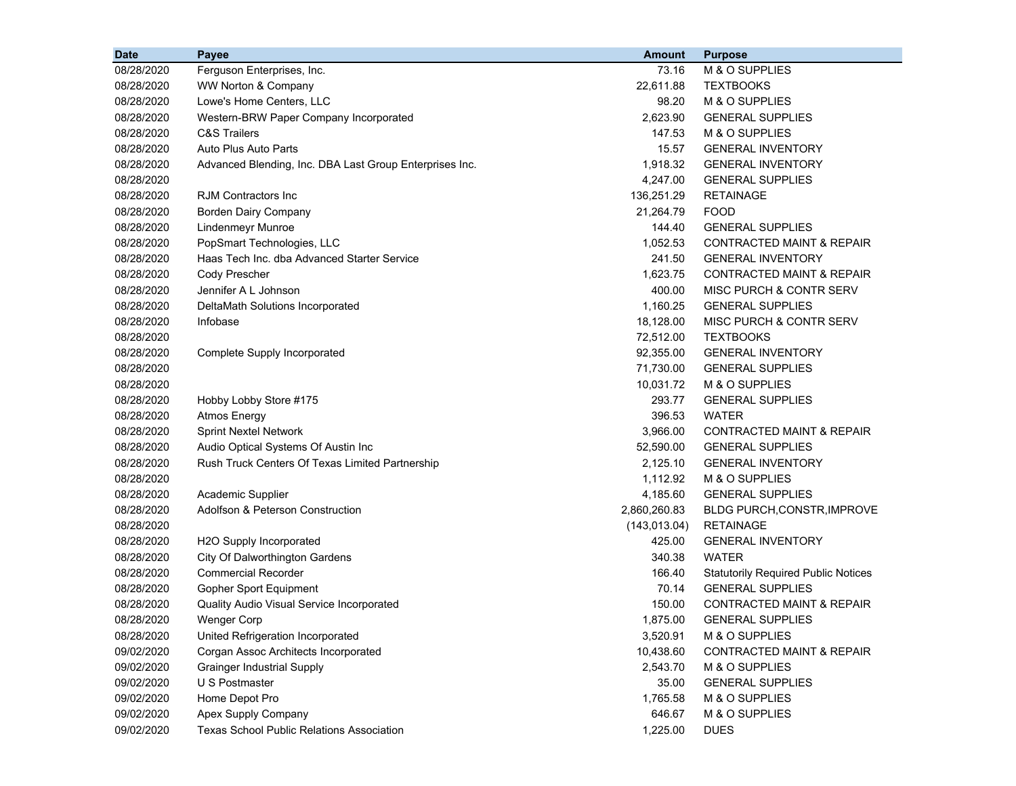| <b>Date</b> | Payee                                                   | <b>Amount</b> | <b>Purpose</b>                             |
|-------------|---------------------------------------------------------|---------------|--------------------------------------------|
| 08/28/2020  | Ferguson Enterprises, Inc.                              | 73.16         | M & O SUPPLIES                             |
| 08/28/2020  | <b>WW Norton &amp; Company</b>                          | 22,611.88     | <b>TEXTBOOKS</b>                           |
| 08/28/2020  | Lowe's Home Centers, LLC                                | 98.20         | M & O SUPPLIES                             |
| 08/28/2020  | Western-BRW Paper Company Incorporated                  | 2,623.90      | <b>GENERAL SUPPLIES</b>                    |
| 08/28/2020  | <b>C&amp;S Trailers</b>                                 | 147.53        | M & O SUPPLIES                             |
| 08/28/2020  | Auto Plus Auto Parts                                    | 15.57         | <b>GENERAL INVENTORY</b>                   |
| 08/28/2020  | Advanced Blending, Inc. DBA Last Group Enterprises Inc. | 1,918.32      | <b>GENERAL INVENTORY</b>                   |
| 08/28/2020  |                                                         | 4,247.00      | <b>GENERAL SUPPLIES</b>                    |
| 08/28/2020  | RJM Contractors Inc                                     | 136,251.29    | <b>RETAINAGE</b>                           |
| 08/28/2020  | <b>Borden Dairy Company</b>                             | 21,264.79     | <b>FOOD</b>                                |
| 08/28/2020  | Lindenmeyr Munroe                                       | 144.40        | <b>GENERAL SUPPLIES</b>                    |
| 08/28/2020  | PopSmart Technologies, LLC                              | 1,052.53      | CONTRACTED MAINT & REPAIR                  |
| 08/28/2020  | Haas Tech Inc. dba Advanced Starter Service             | 241.50        | <b>GENERAL INVENTORY</b>                   |
| 08/28/2020  | Cody Prescher                                           | 1,623.75      | <b>CONTRACTED MAINT &amp; REPAIR</b>       |
| 08/28/2020  | Jennifer A L Johnson                                    | 400.00        | MISC PURCH & CONTR SERV                    |
| 08/28/2020  | DeltaMath Solutions Incorporated                        | 1,160.25      | <b>GENERAL SUPPLIES</b>                    |
| 08/28/2020  | Infobase                                                | 18,128.00     | MISC PURCH & CONTR SERV                    |
| 08/28/2020  |                                                         | 72,512.00     | <b>TEXTBOOKS</b>                           |
| 08/28/2020  | Complete Supply Incorporated                            | 92,355.00     | <b>GENERAL INVENTORY</b>                   |
| 08/28/2020  |                                                         | 71,730.00     | <b>GENERAL SUPPLIES</b>                    |
| 08/28/2020  |                                                         | 10,031.72     | M & O SUPPLIES                             |
| 08/28/2020  | Hobby Lobby Store #175                                  | 293.77        | <b>GENERAL SUPPLIES</b>                    |
| 08/28/2020  | <b>Atmos Energy</b>                                     | 396.53        | <b>WATER</b>                               |
| 08/28/2020  | <b>Sprint Nextel Network</b>                            | 3,966.00      | CONTRACTED MAINT & REPAIR                  |
| 08/28/2020  | Audio Optical Systems Of Austin Inc                     | 52,590.00     | <b>GENERAL SUPPLIES</b>                    |
| 08/28/2020  | Rush Truck Centers Of Texas Limited Partnership         | 2,125.10      | <b>GENERAL INVENTORY</b>                   |
| 08/28/2020  |                                                         | 1,112.92      | M & O SUPPLIES                             |
| 08/28/2020  | Academic Supplier                                       | 4,185.60      | <b>GENERAL SUPPLIES</b>                    |
| 08/28/2020  | Adolfson & Peterson Construction                        | 2,860,260.83  | BLDG PURCH, CONSTR, IMPROVE                |
| 08/28/2020  |                                                         | (143, 013.04) | <b>RETAINAGE</b>                           |
| 08/28/2020  | H2O Supply Incorporated                                 | 425.00        | <b>GENERAL INVENTORY</b>                   |
| 08/28/2020  | City Of Dalworthington Gardens                          | 340.38        | <b>WATER</b>                               |
| 08/28/2020  | <b>Commercial Recorder</b>                              | 166.40        | <b>Statutorily Required Public Notices</b> |
| 08/28/2020  | Gopher Sport Equipment                                  | 70.14         | <b>GENERAL SUPPLIES</b>                    |
| 08/28/2020  | <b>Quality Audio Visual Service Incorporated</b>        | 150.00        | <b>CONTRACTED MAINT &amp; REPAIR</b>       |
| 08/28/2020  | <b>Wenger Corp</b>                                      | 1,875.00      | <b>GENERAL SUPPLIES</b>                    |
| 08/28/2020  | United Refrigeration Incorporated                       | 3,520.91      | M & O SUPPLIES                             |
| 09/02/2020  | Corgan Assoc Architects Incorporated                    | 10,438.60     | <b>CONTRACTED MAINT &amp; REPAIR</b>       |
| 09/02/2020  | <b>Grainger Industrial Supply</b>                       | 2,543.70      | M & O SUPPLIES                             |
| 09/02/2020  | U S Postmaster                                          | 35.00         | <b>GENERAL SUPPLIES</b>                    |
| 09/02/2020  | Home Depot Pro                                          | 1,765.58      | M & O SUPPLIES                             |
| 09/02/2020  | Apex Supply Company                                     | 646.67        | M & O SUPPLIES                             |
| 09/02/2020  | <b>Texas School Public Relations Association</b>        | 1,225.00      | <b>DUES</b>                                |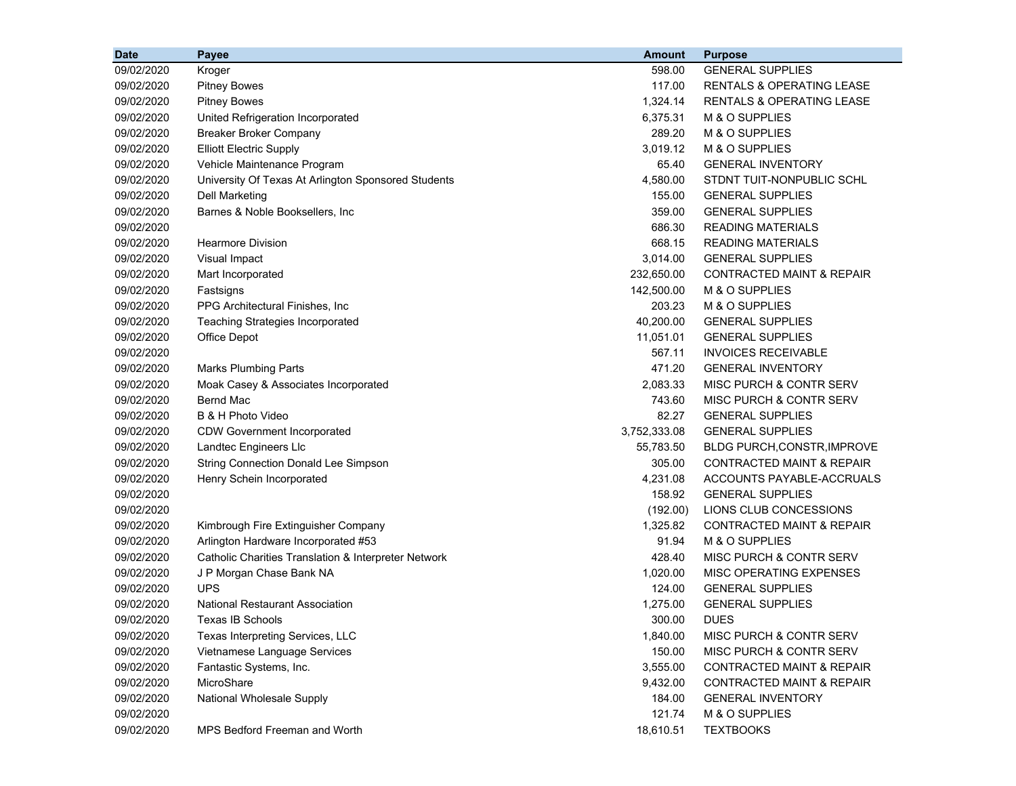| <b>Date</b> | Payee                                                | <b>Amount</b> | <b>Purpose</b>                       |
|-------------|------------------------------------------------------|---------------|--------------------------------------|
| 09/02/2020  | Kroger                                               | 598.00        | <b>GENERAL SUPPLIES</b>              |
| 09/02/2020  | <b>Pitney Bowes</b>                                  | 117.00        | <b>RENTALS &amp; OPERATING LEASE</b> |
| 09/02/2020  | <b>Pitney Bowes</b>                                  | 1,324.14      | <b>RENTALS &amp; OPERATING LEASE</b> |
| 09/02/2020  | United Refrigeration Incorporated                    | 6,375.31      | M & O SUPPLIES                       |
| 09/02/2020  | <b>Breaker Broker Company</b>                        | 289.20        | M & O SUPPLIES                       |
| 09/02/2020  | <b>Elliott Electric Supply</b>                       | 3,019.12      | M & O SUPPLIES                       |
| 09/02/2020  | Vehicle Maintenance Program                          | 65.40         | <b>GENERAL INVENTORY</b>             |
| 09/02/2020  | University Of Texas At Arlington Sponsored Students  | 4,580.00      | STDNT TUIT-NONPUBLIC SCHL            |
| 09/02/2020  | Dell Marketing                                       | 155.00        | <b>GENERAL SUPPLIES</b>              |
| 09/02/2020  | Barnes & Noble Booksellers, Inc                      | 359.00        | <b>GENERAL SUPPLIES</b>              |
| 09/02/2020  |                                                      | 686.30        | <b>READING MATERIALS</b>             |
| 09/02/2020  | <b>Hearmore Division</b>                             | 668.15        | <b>READING MATERIALS</b>             |
| 09/02/2020  | Visual Impact                                        | 3,014.00      | <b>GENERAL SUPPLIES</b>              |
| 09/02/2020  | Mart Incorporated                                    | 232,650.00    | <b>CONTRACTED MAINT &amp; REPAIR</b> |
| 09/02/2020  | Fastsigns                                            | 142,500.00    | M & O SUPPLIES                       |
| 09/02/2020  | PPG Architectural Finishes, Inc                      | 203.23        | M & O SUPPLIES                       |
| 09/02/2020  | <b>Teaching Strategies Incorporated</b>              | 40,200.00     | <b>GENERAL SUPPLIES</b>              |
| 09/02/2020  | Office Depot                                         | 11,051.01     | <b>GENERAL SUPPLIES</b>              |
| 09/02/2020  |                                                      | 567.11        | <b>INVOICES RECEIVABLE</b>           |
| 09/02/2020  | <b>Marks Plumbing Parts</b>                          | 471.20        | <b>GENERAL INVENTORY</b>             |
| 09/02/2020  | Moak Casey & Associates Incorporated                 | 2,083.33      | MISC PURCH & CONTR SERV              |
| 09/02/2020  | <b>Bernd Mac</b>                                     | 743.60        | MISC PURCH & CONTR SERV              |
| 09/02/2020  | B & H Photo Video                                    | 82.27         | <b>GENERAL SUPPLIES</b>              |
| 09/02/2020  | <b>CDW Government Incorporated</b>                   | 3,752,333.08  | <b>GENERAL SUPPLIES</b>              |
| 09/02/2020  | Landtec Engineers Llc                                | 55,783.50     | <b>BLDG PURCH, CONSTR, IMPROVE</b>   |
| 09/02/2020  | <b>String Connection Donald Lee Simpson</b>          | 305.00        | CONTRACTED MAINT & REPAIR            |
| 09/02/2020  | Henry Schein Incorporated                            | 4,231.08      | ACCOUNTS PAYABLE-ACCRUALS            |
| 09/02/2020  |                                                      | 158.92        | <b>GENERAL SUPPLIES</b>              |
| 09/02/2020  |                                                      | (192.00)      | LIONS CLUB CONCESSIONS               |
| 09/02/2020  | Kimbrough Fire Extinguisher Company                  | 1,325.82      | <b>CONTRACTED MAINT &amp; REPAIR</b> |
| 09/02/2020  | Arlington Hardware Incorporated #53                  | 91.94         | M & O SUPPLIES                       |
| 09/02/2020  | Catholic Charities Translation & Interpreter Network | 428.40        | MISC PURCH & CONTR SERV              |
| 09/02/2020  | J P Morgan Chase Bank NA                             | 1,020.00      | MISC OPERATING EXPENSES              |
| 09/02/2020  | <b>UPS</b>                                           | 124.00        | <b>GENERAL SUPPLIES</b>              |
| 09/02/2020  | <b>National Restaurant Association</b>               | 1,275.00      | <b>GENERAL SUPPLIES</b>              |
| 09/02/2020  | Texas IB Schools                                     | 300.00        | <b>DUES</b>                          |
| 09/02/2020  | Texas Interpreting Services, LLC                     | 1,840.00      | MISC PURCH & CONTR SERV              |
| 09/02/2020  | Vietnamese Language Services                         | 150.00        | MISC PURCH & CONTR SERV              |
| 09/02/2020  | Fantastic Systems, Inc.                              | 3,555.00      | <b>CONTRACTED MAINT &amp; REPAIR</b> |
| 09/02/2020  | MicroShare                                           | 9,432.00      | <b>CONTRACTED MAINT &amp; REPAIR</b> |
| 09/02/2020  | National Wholesale Supply                            | 184.00        | <b>GENERAL INVENTORY</b>             |
| 09/02/2020  |                                                      | 121.74        | M & O SUPPLIES                       |
| 09/02/2020  | MPS Bedford Freeman and Worth                        | 18,610.51     | <b>TEXTBOOKS</b>                     |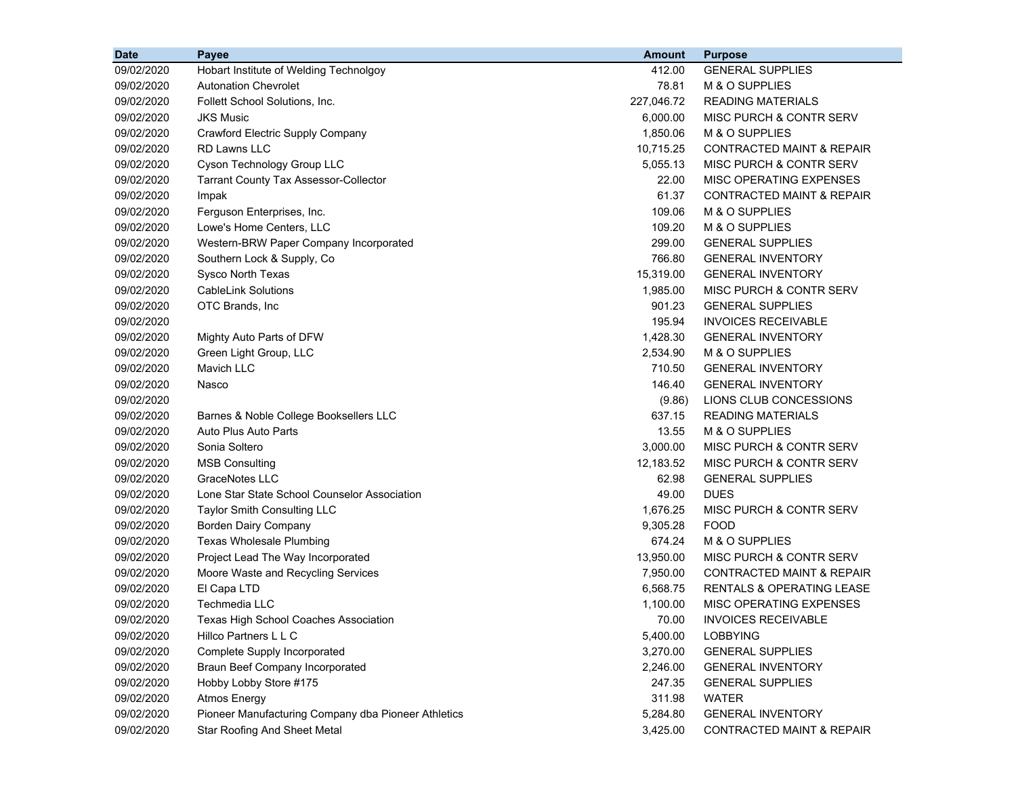| <b>Date</b> | Payee                                               | <b>Amount</b> | <b>Purpose</b>                       |
|-------------|-----------------------------------------------------|---------------|--------------------------------------|
| 09/02/2020  | Hobart Institute of Welding Technolgoy              | 412.00        | <b>GENERAL SUPPLIES</b>              |
| 09/02/2020  | <b>Autonation Chevrolet</b>                         | 78.81         | M & O SUPPLIES                       |
| 09/02/2020  | Follett School Solutions, Inc.                      | 227,046.72    | <b>READING MATERIALS</b>             |
| 09/02/2020  | <b>JKS Music</b>                                    | 6,000.00      | MISC PURCH & CONTR SERV              |
| 09/02/2020  | Crawford Electric Supply Company                    | 1,850.06      | M & O SUPPLIES                       |
| 09/02/2020  | <b>RD Lawns LLC</b>                                 | 10,715.25     | CONTRACTED MAINT & REPAIR            |
| 09/02/2020  | Cyson Technology Group LLC                          | 5,055.13      | MISC PURCH & CONTR SERV              |
| 09/02/2020  | <b>Tarrant County Tax Assessor-Collector</b>        | 22.00         | MISC OPERATING EXPENSES              |
| 09/02/2020  | Impak                                               | 61.37         | CONTRACTED MAINT & REPAIR            |
| 09/02/2020  | Ferguson Enterprises, Inc.                          | 109.06        | M & O SUPPLIES                       |
| 09/02/2020  | Lowe's Home Centers, LLC                            | 109.20        | M & O SUPPLIES                       |
| 09/02/2020  | Western-BRW Paper Company Incorporated              | 299.00        | <b>GENERAL SUPPLIES</b>              |
| 09/02/2020  | Southern Lock & Supply, Co.                         | 766.80        | <b>GENERAL INVENTORY</b>             |
| 09/02/2020  | Sysco North Texas                                   | 15,319.00     | <b>GENERAL INVENTORY</b>             |
| 09/02/2020  | <b>CableLink Solutions</b>                          | 1,985.00      | MISC PURCH & CONTR SERV              |
| 09/02/2020  | OTC Brands, Inc                                     | 901.23        | <b>GENERAL SUPPLIES</b>              |
| 09/02/2020  |                                                     | 195.94        | <b>INVOICES RECEIVABLE</b>           |
| 09/02/2020  | Mighty Auto Parts of DFW                            | 1,428.30      | <b>GENERAL INVENTORY</b>             |
| 09/02/2020  | Green Light Group, LLC                              | 2,534.90      | M & O SUPPLIES                       |
| 09/02/2020  | <b>Mavich LLC</b>                                   | 710.50        | <b>GENERAL INVENTORY</b>             |
| 09/02/2020  | Nasco                                               | 146.40        | <b>GENERAL INVENTORY</b>             |
| 09/02/2020  |                                                     | (9.86)        | LIONS CLUB CONCESSIONS               |
| 09/02/2020  | Barnes & Noble College Booksellers LLC              | 637.15        | <b>READING MATERIALS</b>             |
| 09/02/2020  | Auto Plus Auto Parts                                | 13.55         | M & O SUPPLIES                       |
| 09/02/2020  | Sonia Soltero                                       | 3,000.00      | MISC PURCH & CONTR SERV              |
| 09/02/2020  | <b>MSB Consulting</b>                               | 12,183.52     | MISC PURCH & CONTR SERV              |
| 09/02/2020  | <b>GraceNotes LLC</b>                               | 62.98         | <b>GENERAL SUPPLIES</b>              |
| 09/02/2020  | Lone Star State School Counselor Association        | 49.00         | <b>DUES</b>                          |
| 09/02/2020  | Taylor Smith Consulting LLC                         | 1,676.25      | MISC PURCH & CONTR SERV              |
| 09/02/2020  | <b>Borden Dairy Company</b>                         | 9,305.28      | <b>FOOD</b>                          |
| 09/02/2020  | Texas Wholesale Plumbing                            | 674.24        | M & O SUPPLIES                       |
| 09/02/2020  | Project Lead The Way Incorporated                   | 13,950.00     | MISC PURCH & CONTR SERV              |
| 09/02/2020  | Moore Waste and Recycling Services                  | 7,950.00      | CONTRACTED MAINT & REPAIR            |
| 09/02/2020  | El Capa LTD                                         | 6,568.75      | <b>RENTALS &amp; OPERATING LEASE</b> |
| 09/02/2020  | Techmedia LLC                                       | 1,100.00      | MISC OPERATING EXPENSES              |
| 09/02/2020  | Texas High School Coaches Association               | 70.00         | <b>INVOICES RECEIVABLE</b>           |
| 09/02/2020  | Hillco Partners L L C                               | 5,400.00      | <b>LOBBYING</b>                      |
| 09/02/2020  | Complete Supply Incorporated                        | 3,270.00      | <b>GENERAL SUPPLIES</b>              |
| 09/02/2020  | <b>Braun Beef Company Incorporated</b>              | 2,246.00      | <b>GENERAL INVENTORY</b>             |
| 09/02/2020  | Hobby Lobby Store #175                              | 247.35        | <b>GENERAL SUPPLIES</b>              |
| 09/02/2020  | <b>Atmos Energy</b>                                 | 311.98        | WATER                                |
| 09/02/2020  | Pioneer Manufacturing Company dba Pioneer Athletics | 5,284.80      | <b>GENERAL INVENTORY</b>             |
| 09/02/2020  | <b>Star Roofing And Sheet Metal</b>                 | 3,425.00      | CONTRACTED MAINT & REPAIR            |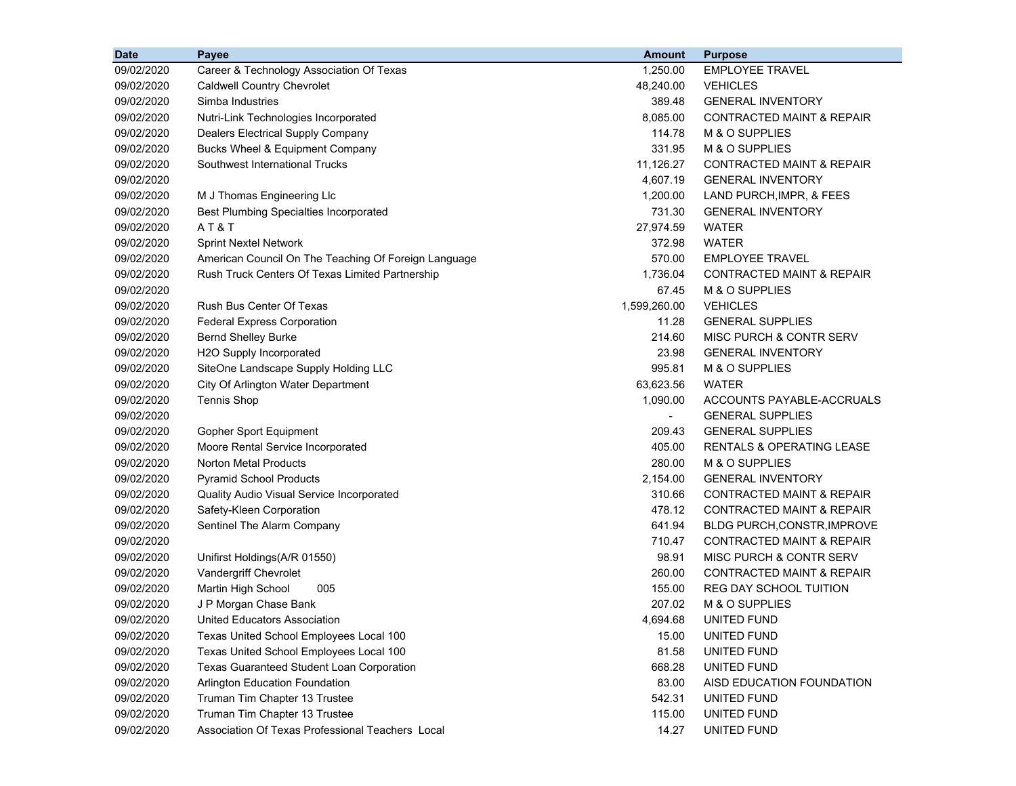| <b>Date</b> | Payee                                                | <b>Amount</b>  | <b>Purpose</b>                       |
|-------------|------------------------------------------------------|----------------|--------------------------------------|
| 09/02/2020  | Career & Technology Association Of Texas             | 1,250.00       | <b>EMPLOYEE TRAVEL</b>               |
| 09/02/2020  | <b>Caldwell Country Chevrolet</b>                    | 48,240.00      | <b>VEHICLES</b>                      |
| 09/02/2020  | Simba Industries                                     | 389.48         | <b>GENERAL INVENTORY</b>             |
| 09/02/2020  | Nutri-Link Technologies Incorporated                 | 8,085.00       | <b>CONTRACTED MAINT &amp; REPAIR</b> |
| 09/02/2020  | Dealers Electrical Supply Company                    | 114.78         | M & O SUPPLIES                       |
| 09/02/2020  | Bucks Wheel & Equipment Company                      | 331.95         | M & O SUPPLIES                       |
| 09/02/2020  | Southwest International Trucks                       | 11,126.27      | CONTRACTED MAINT & REPAIR            |
| 09/02/2020  |                                                      | 4,607.19       | <b>GENERAL INVENTORY</b>             |
| 09/02/2020  | M J Thomas Engineering Llc                           | 1,200.00       | LAND PURCH, IMPR, & FEES             |
| 09/02/2020  | <b>Best Plumbing Specialties Incorporated</b>        | 731.30         | <b>GENERAL INVENTORY</b>             |
| 09/02/2020  | AT&T                                                 | 27,974.59      | <b>WATER</b>                         |
| 09/02/2020  | <b>Sprint Nextel Network</b>                         | 372.98         | <b>WATER</b>                         |
| 09/02/2020  | American Council On The Teaching Of Foreign Language | 570.00         | <b>EMPLOYEE TRAVEL</b>               |
| 09/02/2020  | Rush Truck Centers Of Texas Limited Partnership      | 1,736.04       | <b>CONTRACTED MAINT &amp; REPAIR</b> |
| 09/02/2020  |                                                      | 67.45          | M & O SUPPLIES                       |
| 09/02/2020  | Rush Bus Center Of Texas                             | 1,599,260.00   | <b>VEHICLES</b>                      |
| 09/02/2020  | <b>Federal Express Corporation</b>                   | 11.28          | <b>GENERAL SUPPLIES</b>              |
| 09/02/2020  | <b>Bernd Shelley Burke</b>                           | 214.60         | MISC PURCH & CONTR SERV              |
| 09/02/2020  | H2O Supply Incorporated                              | 23.98          | <b>GENERAL INVENTORY</b>             |
| 09/02/2020  | SiteOne Landscape Supply Holding LLC                 | 995.81         | M & O SUPPLIES                       |
| 09/02/2020  | City Of Arlington Water Department                   | 63,623.56      | <b>WATER</b>                         |
| 09/02/2020  | <b>Tennis Shop</b>                                   | 1,090.00       | ACCOUNTS PAYABLE-ACCRUALS            |
| 09/02/2020  |                                                      | $\blacksquare$ | <b>GENERAL SUPPLIES</b>              |
| 09/02/2020  | Gopher Sport Equipment                               | 209.43         | <b>GENERAL SUPPLIES</b>              |
| 09/02/2020  | Moore Rental Service Incorporated                    | 405.00         | <b>RENTALS &amp; OPERATING LEASE</b> |
| 09/02/2020  | <b>Norton Metal Products</b>                         | 280.00         | M & O SUPPLIES                       |
| 09/02/2020  | <b>Pyramid School Products</b>                       | 2,154.00       | <b>GENERAL INVENTORY</b>             |
| 09/02/2020  | Quality Audio Visual Service Incorporated            | 310.66         | <b>CONTRACTED MAINT &amp; REPAIR</b> |
| 09/02/2020  | Safety-Kleen Corporation                             | 478.12         | <b>CONTRACTED MAINT &amp; REPAIR</b> |
| 09/02/2020  | Sentinel The Alarm Company                           | 641.94         | <b>BLDG PURCH, CONSTR, IMPROVE</b>   |
| 09/02/2020  |                                                      | 710.47         | <b>CONTRACTED MAINT &amp; REPAIR</b> |
| 09/02/2020  | Unifirst Holdings(A/R 01550)                         | 98.91          | MISC PURCH & CONTR SERV              |
| 09/02/2020  | Vandergriff Chevrolet                                | 260.00         | <b>CONTRACTED MAINT &amp; REPAIR</b> |
| 09/02/2020  | Martin High School<br>005                            | 155.00         | REG DAY SCHOOL TUITION               |
| 09/02/2020  | J P Morgan Chase Bank                                | 207.02         | M & O SUPPLIES                       |
| 09/02/2020  | United Educators Association                         | 4,694.68       | UNITED FUND                          |
| 09/02/2020  | Texas United School Employees Local 100              | 15.00          | UNITED FUND                          |
| 09/02/2020  | Texas United School Employees Local 100              | 81.58          | UNITED FUND                          |
| 09/02/2020  | Texas Guaranteed Student Loan Corporation            | 668.28         | <b>UNITED FUND</b>                   |
| 09/02/2020  | Arlington Education Foundation                       | 83.00          | AISD EDUCATION FOUNDATION            |
| 09/02/2020  | Truman Tim Chapter 13 Trustee                        | 542.31         | UNITED FUND                          |
| 09/02/2020  | Truman Tim Chapter 13 Trustee                        | 115.00         | UNITED FUND                          |
| 09/02/2020  | Association Of Texas Professional Teachers Local     | 14.27          | UNITED FUND                          |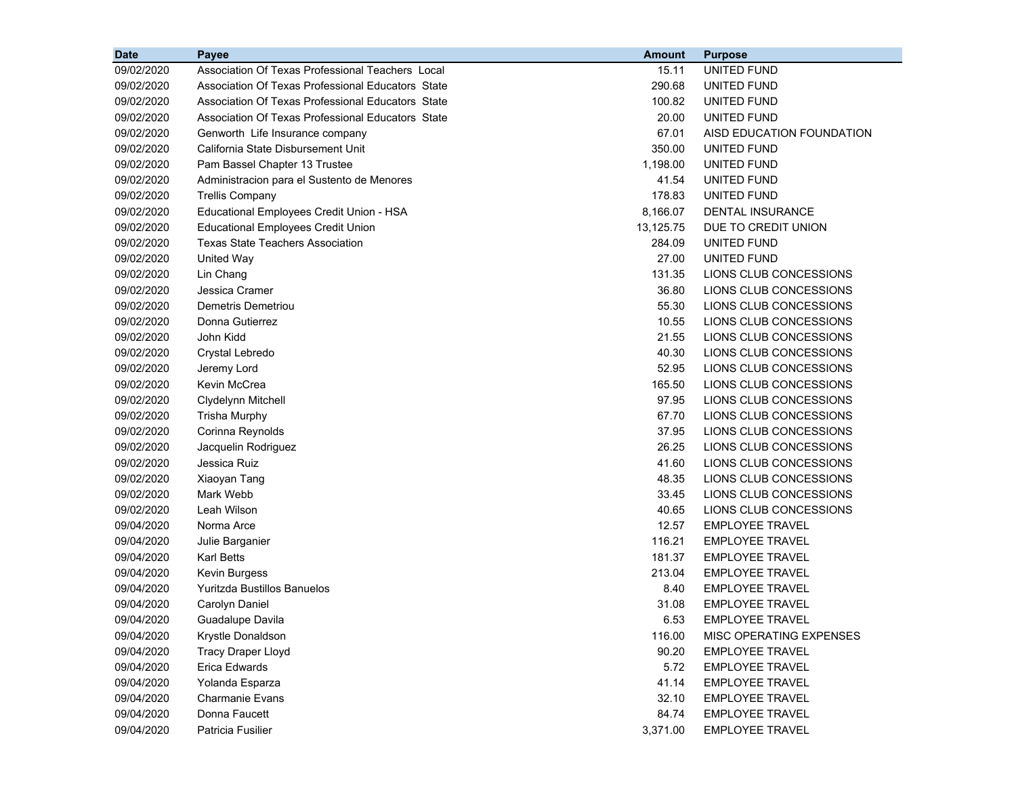| <b>Date</b> | <b>Payee</b>                                      | <b>Amount</b> | <b>Purpose</b>            |
|-------------|---------------------------------------------------|---------------|---------------------------|
| 09/02/2020  | Association Of Texas Professional Teachers Local  | 15.11         | UNITED FUND               |
| 09/02/2020  | Association Of Texas Professional Educators State | 290.68        | UNITED FUND               |
| 09/02/2020  | Association Of Texas Professional Educators State | 100.82        | UNITED FUND               |
| 09/02/2020  | Association Of Texas Professional Educators State | 20.00         | UNITED FUND               |
| 09/02/2020  | Genworth Life Insurance company                   | 67.01         | AISD EDUCATION FOUNDATION |
| 09/02/2020  | California State Disbursement Unit                | 350.00        | UNITED FUND               |
| 09/02/2020  | Pam Bassel Chapter 13 Trustee                     | 1,198.00      | UNITED FUND               |
| 09/02/2020  | Administracion para el Sustento de Menores        | 41.54         | <b>UNITED FUND</b>        |
| 09/02/2020  | <b>Trellis Company</b>                            | 178.83        | UNITED FUND               |
| 09/02/2020  | Educational Employees Credit Union - HSA          | 8,166.07      | DENTAL INSURANCE          |
| 09/02/2020  | <b>Educational Employees Credit Union</b>         | 13,125.75     | DUE TO CREDIT UNION       |
| 09/02/2020  | <b>Texas State Teachers Association</b>           | 284.09        | UNITED FUND               |
| 09/02/2020  | United Way                                        | 27.00         | UNITED FUND               |
| 09/02/2020  | Lin Chang                                         | 131.35        | LIONS CLUB CONCESSIONS    |
| 09/02/2020  | Jessica Cramer                                    | 36.80         | LIONS CLUB CONCESSIONS    |
| 09/02/2020  | Demetris Demetriou                                | 55.30         | LIONS CLUB CONCESSIONS    |
| 09/02/2020  | Donna Gutierrez                                   | 10.55         | LIONS CLUB CONCESSIONS    |
| 09/02/2020  | John Kidd                                         | 21.55         | LIONS CLUB CONCESSIONS    |
| 09/02/2020  | Crystal Lebredo                                   | 40.30         | LIONS CLUB CONCESSIONS    |
| 09/02/2020  | Jeremy Lord                                       | 52.95         | LIONS CLUB CONCESSIONS    |
| 09/02/2020  | Kevin McCrea                                      | 165.50        | LIONS CLUB CONCESSIONS    |
| 09/02/2020  | Clydelynn Mitchell                                | 97.95         | LIONS CLUB CONCESSIONS    |
| 09/02/2020  | <b>Trisha Murphy</b>                              | 67.70         | LIONS CLUB CONCESSIONS    |
| 09/02/2020  | Corinna Reynolds                                  | 37.95         | LIONS CLUB CONCESSIONS    |
| 09/02/2020  | Jacquelin Rodriguez                               | 26.25         | LIONS CLUB CONCESSIONS    |
| 09/02/2020  | Jessica Ruiz                                      | 41.60         | LIONS CLUB CONCESSIONS    |
| 09/02/2020  | Xiaoyan Tang                                      | 48.35         | LIONS CLUB CONCESSIONS    |
| 09/02/2020  | Mark Webb                                         | 33.45         | LIONS CLUB CONCESSIONS    |
| 09/02/2020  | Leah Wilson                                       | 40.65         | LIONS CLUB CONCESSIONS    |
| 09/04/2020  | Norma Arce                                        | 12.57         | <b>EMPLOYEE TRAVEL</b>    |
| 09/04/2020  | Julie Barganier                                   | 116.21        | <b>EMPLOYEE TRAVEL</b>    |
| 09/04/2020  | <b>Karl Betts</b>                                 | 181.37        | <b>EMPLOYEE TRAVEL</b>    |
| 09/04/2020  | Kevin Burgess                                     | 213.04        | <b>EMPLOYEE TRAVEL</b>    |
| 09/04/2020  | <b>Yuritzda Bustillos Banuelos</b>                | 8.40          | <b>EMPLOYEE TRAVEL</b>    |
| 09/04/2020  | Carolyn Daniel                                    | 31.08         | <b>EMPLOYEE TRAVEL</b>    |
| 09/04/2020  | Guadalupe Davila                                  | 6.53          | <b>EMPLOYEE TRAVEL</b>    |
| 09/04/2020  | Krystle Donaldson                                 | 116.00        | MISC OPERATING EXPENSES   |
| 09/04/2020  | <b>Tracy Draper Lloyd</b>                         | 90.20         | <b>EMPLOYEE TRAVEL</b>    |
| 09/04/2020  | Erica Edwards                                     | 5.72          | <b>EMPLOYEE TRAVEL</b>    |
| 09/04/2020  | Yolanda Esparza                                   | 41.14         | <b>EMPLOYEE TRAVEL</b>    |
| 09/04/2020  | Charmanie Evans                                   | 32.10         | <b>EMPLOYEE TRAVEL</b>    |
| 09/04/2020  | Donna Faucett                                     | 84.74         | <b>EMPLOYEE TRAVEL</b>    |
| 09/04/2020  | Patricia Fusilier                                 | 3,371.00      | <b>EMPLOYEE TRAVEL</b>    |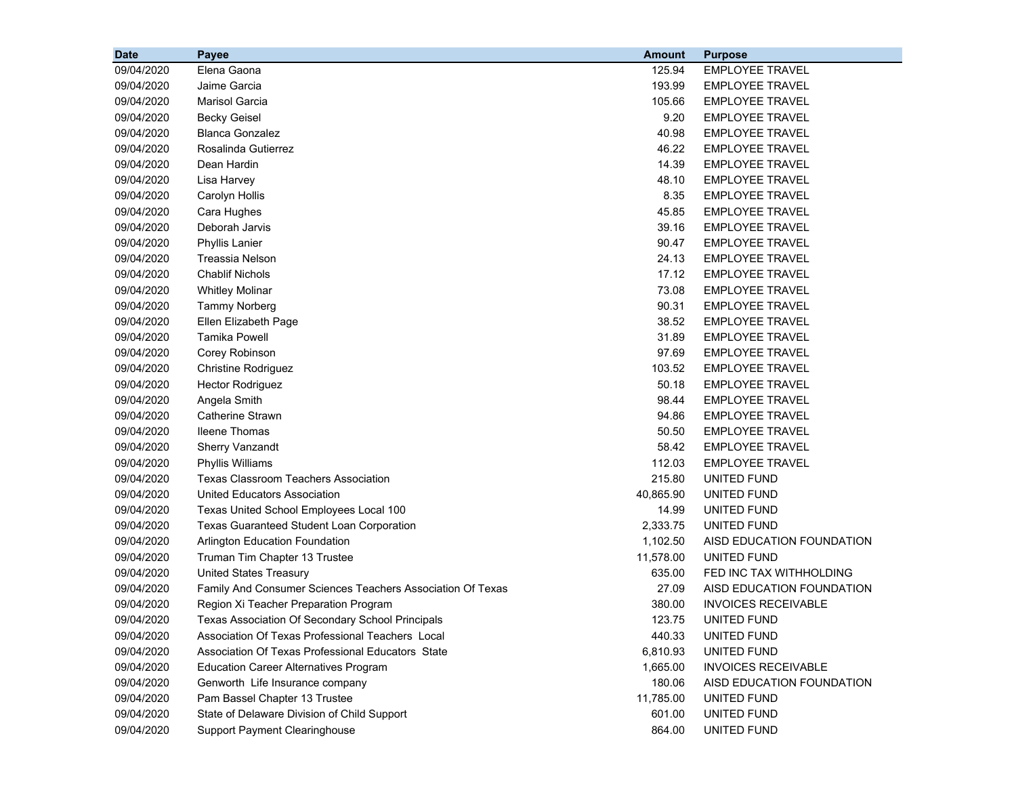| <b>Date</b> | Payee                                                      | <b>Amount</b> | <b>Purpose</b>             |
|-------------|------------------------------------------------------------|---------------|----------------------------|
| 09/04/2020  | Elena Gaona                                                | 125.94        | <b>EMPLOYEE TRAVEL</b>     |
| 09/04/2020  | Jaime Garcia                                               | 193.99        | <b>EMPLOYEE TRAVEL</b>     |
| 09/04/2020  | <b>Marisol Garcia</b>                                      | 105.66        | <b>EMPLOYEE TRAVEL</b>     |
| 09/04/2020  | <b>Becky Geisel</b>                                        | 9.20          | <b>EMPLOYEE TRAVEL</b>     |
| 09/04/2020  | <b>Blanca Gonzalez</b>                                     | 40.98         | <b>EMPLOYEE TRAVEL</b>     |
| 09/04/2020  | Rosalinda Gutierrez                                        | 46.22         | <b>EMPLOYEE TRAVEL</b>     |
| 09/04/2020  | Dean Hardin                                                | 14.39         | <b>EMPLOYEE TRAVEL</b>     |
| 09/04/2020  | Lisa Harvey                                                | 48.10         | <b>EMPLOYEE TRAVEL</b>     |
| 09/04/2020  | Carolyn Hollis                                             | 8.35          | <b>EMPLOYEE TRAVEL</b>     |
| 09/04/2020  | Cara Hughes                                                | 45.85         | <b>EMPLOYEE TRAVEL</b>     |
| 09/04/2020  | Deborah Jarvis                                             | 39.16         | <b>EMPLOYEE TRAVEL</b>     |
| 09/04/2020  | <b>Phyllis Lanier</b>                                      | 90.47         | <b>EMPLOYEE TRAVEL</b>     |
| 09/04/2020  | Treassia Nelson                                            | 24.13         | <b>EMPLOYEE TRAVEL</b>     |
| 09/04/2020  | <b>Chablif Nichols</b>                                     | 17.12         | <b>EMPLOYEE TRAVEL</b>     |
| 09/04/2020  | <b>Whitley Molinar</b>                                     | 73.08         | <b>EMPLOYEE TRAVEL</b>     |
| 09/04/2020  | <b>Tammy Norberg</b>                                       | 90.31         | <b>EMPLOYEE TRAVEL</b>     |
| 09/04/2020  | Ellen Elizabeth Page                                       | 38.52         | <b>EMPLOYEE TRAVEL</b>     |
| 09/04/2020  | <b>Tamika Powell</b>                                       | 31.89         | <b>EMPLOYEE TRAVEL</b>     |
| 09/04/2020  | Corey Robinson                                             | 97.69         | <b>EMPLOYEE TRAVEL</b>     |
| 09/04/2020  | <b>Christine Rodriguez</b>                                 | 103.52        | <b>EMPLOYEE TRAVEL</b>     |
| 09/04/2020  | <b>Hector Rodriguez</b>                                    | 50.18         | <b>EMPLOYEE TRAVEL</b>     |
| 09/04/2020  | Angela Smith                                               | 98.44         | <b>EMPLOYEE TRAVEL</b>     |
| 09/04/2020  | Catherine Strawn                                           | 94.86         | <b>EMPLOYEE TRAVEL</b>     |
| 09/04/2020  | <b>Ileene Thomas</b>                                       | 50.50         | <b>EMPLOYEE TRAVEL</b>     |
| 09/04/2020  | <b>Sherry Vanzandt</b>                                     | 58.42         | <b>EMPLOYEE TRAVEL</b>     |
| 09/04/2020  | <b>Phyllis Williams</b>                                    | 112.03        | <b>EMPLOYEE TRAVEL</b>     |
| 09/04/2020  | <b>Texas Classroom Teachers Association</b>                | 215.80        | UNITED FUND                |
| 09/04/2020  | United Educators Association                               | 40,865.90     | UNITED FUND                |
| 09/04/2020  | Texas United School Employees Local 100                    | 14.99         | UNITED FUND                |
| 09/04/2020  | <b>Texas Guaranteed Student Loan Corporation</b>           | 2,333.75      | UNITED FUND                |
| 09/04/2020  | <b>Arlington Education Foundation</b>                      | 1,102.50      | AISD EDUCATION FOUNDATION  |
| 09/04/2020  | Truman Tim Chapter 13 Trustee                              | 11,578.00     | UNITED FUND                |
| 09/04/2020  | <b>United States Treasury</b>                              | 635.00        | FED INC TAX WITHHOLDING    |
| 09/04/2020  | Family And Consumer Sciences Teachers Association Of Texas | 27.09         | AISD EDUCATION FOUNDATION  |
| 09/04/2020  | Region Xi Teacher Preparation Program                      | 380.00        | <b>INVOICES RECEIVABLE</b> |
| 09/04/2020  | Texas Association Of Secondary School Principals           | 123.75        | UNITED FUND                |
| 09/04/2020  | Association Of Texas Professional Teachers Local           | 440.33        | UNITED FUND                |
| 09/04/2020  | Association Of Texas Professional Educators State          | 6,810.93      | UNITED FUND                |
| 09/04/2020  | <b>Education Career Alternatives Program</b>               | 1,665.00      | <b>INVOICES RECEIVABLE</b> |
| 09/04/2020  | Genworth Life Insurance company                            | 180.06        | AISD EDUCATION FOUNDATION  |
| 09/04/2020  | Pam Bassel Chapter 13 Trustee                              | 11,785.00     | UNITED FUND                |
| 09/04/2020  | State of Delaware Division of Child Support                | 601.00        | UNITED FUND                |
| 09/04/2020  | <b>Support Payment Clearinghouse</b>                       | 864.00        | UNITED FUND                |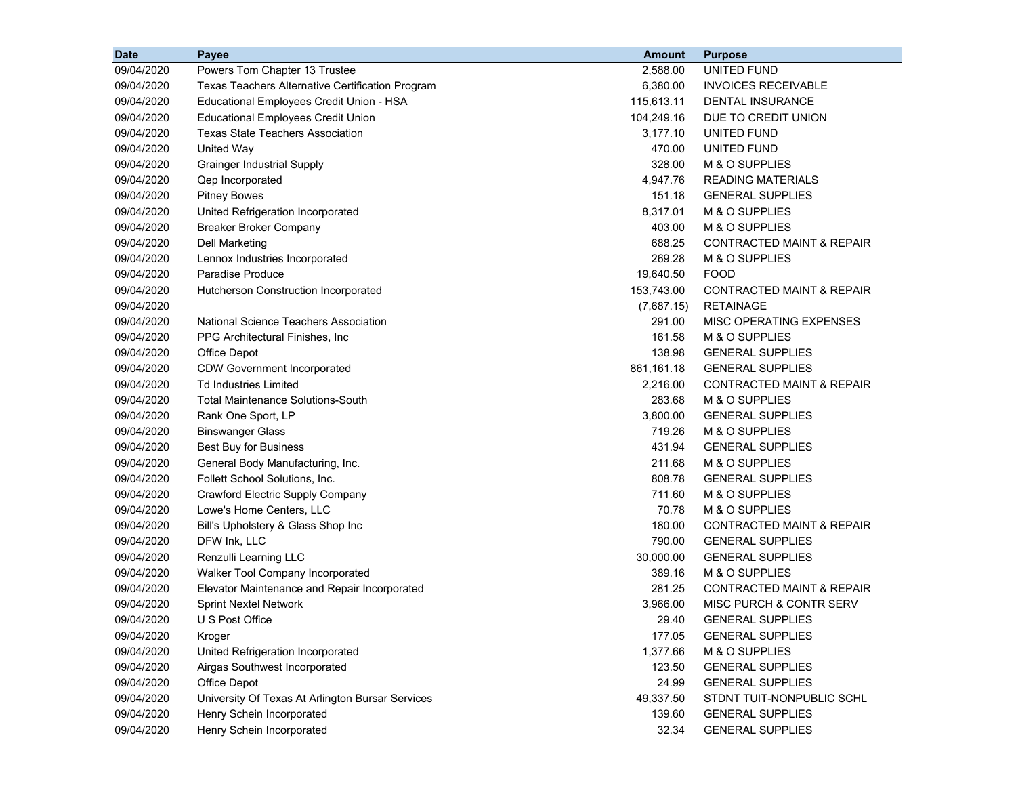| <b>Date</b> | <b>Payee</b>                                     | <b>Amount</b> | <b>Purpose</b>                       |
|-------------|--------------------------------------------------|---------------|--------------------------------------|
| 09/04/2020  | Powers Tom Chapter 13 Trustee                    | 2,588.00      | UNITED FUND                          |
| 09/04/2020  | Texas Teachers Alternative Certification Program | 6,380.00      | <b>INVOICES RECEIVABLE</b>           |
| 09/04/2020  | Educational Employees Credit Union - HSA         | 115,613.11    | <b>DENTAL INSURANCE</b>              |
| 09/04/2020  | <b>Educational Employees Credit Union</b>        | 104,249.16    | DUE TO CREDIT UNION                  |
| 09/04/2020  | <b>Texas State Teachers Association</b>          | 3,177.10      | UNITED FUND                          |
| 09/04/2020  | <b>United Way</b>                                | 470.00        | UNITED FUND                          |
| 09/04/2020  | <b>Grainger Industrial Supply</b>                | 328.00        | M & O SUPPLIES                       |
| 09/04/2020  | Qep Incorporated                                 | 4,947.76      | <b>READING MATERIALS</b>             |
| 09/04/2020  | <b>Pitney Bowes</b>                              | 151.18        | <b>GENERAL SUPPLIES</b>              |
| 09/04/2020  | United Refrigeration Incorporated                | 8,317.01      | M & O SUPPLIES                       |
| 09/04/2020  | <b>Breaker Broker Company</b>                    | 403.00        | M & O SUPPLIES                       |
| 09/04/2020  | <b>Dell Marketing</b>                            | 688.25        | <b>CONTRACTED MAINT &amp; REPAIR</b> |
| 09/04/2020  | Lennox Industries Incorporated                   | 269.28        | M & O SUPPLIES                       |
| 09/04/2020  | Paradise Produce                                 | 19,640.50     | <b>FOOD</b>                          |
| 09/04/2020  | Hutcherson Construction Incorporated             | 153,743.00    | <b>CONTRACTED MAINT &amp; REPAIR</b> |
| 09/04/2020  |                                                  | (7,687.15)    | <b>RETAINAGE</b>                     |
| 09/04/2020  | National Science Teachers Association            | 291.00        | MISC OPERATING EXPENSES              |
| 09/04/2020  | PPG Architectural Finishes, Inc.                 | 161.58        | M & O SUPPLIES                       |
| 09/04/2020  | Office Depot                                     | 138.98        | <b>GENERAL SUPPLIES</b>              |
| 09/04/2020  | <b>CDW Government Incorporated</b>               | 861,161.18    | <b>GENERAL SUPPLIES</b>              |
| 09/04/2020  | <b>Td Industries Limited</b>                     | 2,216.00      | CONTRACTED MAINT & REPAIR            |
| 09/04/2020  | <b>Total Maintenance Solutions-South</b>         | 283.68        | M & O SUPPLIES                       |
| 09/04/2020  | Rank One Sport, LP                               | 3,800.00      | <b>GENERAL SUPPLIES</b>              |
| 09/04/2020  | <b>Binswanger Glass</b>                          | 719.26        | M & O SUPPLIES                       |
| 09/04/2020  | Best Buy for Business                            | 431.94        | <b>GENERAL SUPPLIES</b>              |
| 09/04/2020  | General Body Manufacturing, Inc.                 | 211.68        | M & O SUPPLIES                       |
| 09/04/2020  | Follett School Solutions, Inc.                   | 808.78        | <b>GENERAL SUPPLIES</b>              |
| 09/04/2020  | Crawford Electric Supply Company                 | 711.60        | M & O SUPPLIES                       |
| 09/04/2020  | Lowe's Home Centers, LLC                         | 70.78         | M & O SUPPLIES                       |
| 09/04/2020  | Bill's Upholstery & Glass Shop Inc               | 180.00        | <b>CONTRACTED MAINT &amp; REPAIR</b> |
| 09/04/2020  | DFW Ink, LLC                                     | 790.00        | <b>GENERAL SUPPLIES</b>              |
| 09/04/2020  | Renzulli Learning LLC                            | 30,000.00     | <b>GENERAL SUPPLIES</b>              |
| 09/04/2020  | Walker Tool Company Incorporated                 | 389.16        | M & O SUPPLIES                       |
| 09/04/2020  | Elevator Maintenance and Repair Incorporated     | 281.25        | <b>CONTRACTED MAINT &amp; REPAIR</b> |
| 09/04/2020  | <b>Sprint Nextel Network</b>                     | 3,966.00      | <b>MISC PURCH &amp; CONTR SERV</b>   |
| 09/04/2020  | U S Post Office                                  | 29.40         | <b>GENERAL SUPPLIES</b>              |
| 09/04/2020  | Kroger                                           | 177.05        | <b>GENERAL SUPPLIES</b>              |
| 09/04/2020  | United Refrigeration Incorporated                | 1,377.66      | M & O SUPPLIES                       |
| 09/04/2020  | Airgas Southwest Incorporated                    | 123.50        | <b>GENERAL SUPPLIES</b>              |
| 09/04/2020  | Office Depot                                     | 24.99         | <b>GENERAL SUPPLIES</b>              |
| 09/04/2020  | University Of Texas At Arlington Bursar Services | 49,337.50     | STDNT TUIT-NONPUBLIC SCHL            |
| 09/04/2020  | Henry Schein Incorporated                        | 139.60        | <b>GENERAL SUPPLIES</b>              |
| 09/04/2020  | Henry Schein Incorporated                        | 32.34         | <b>GENERAL SUPPLIES</b>              |
|             |                                                  |               |                                      |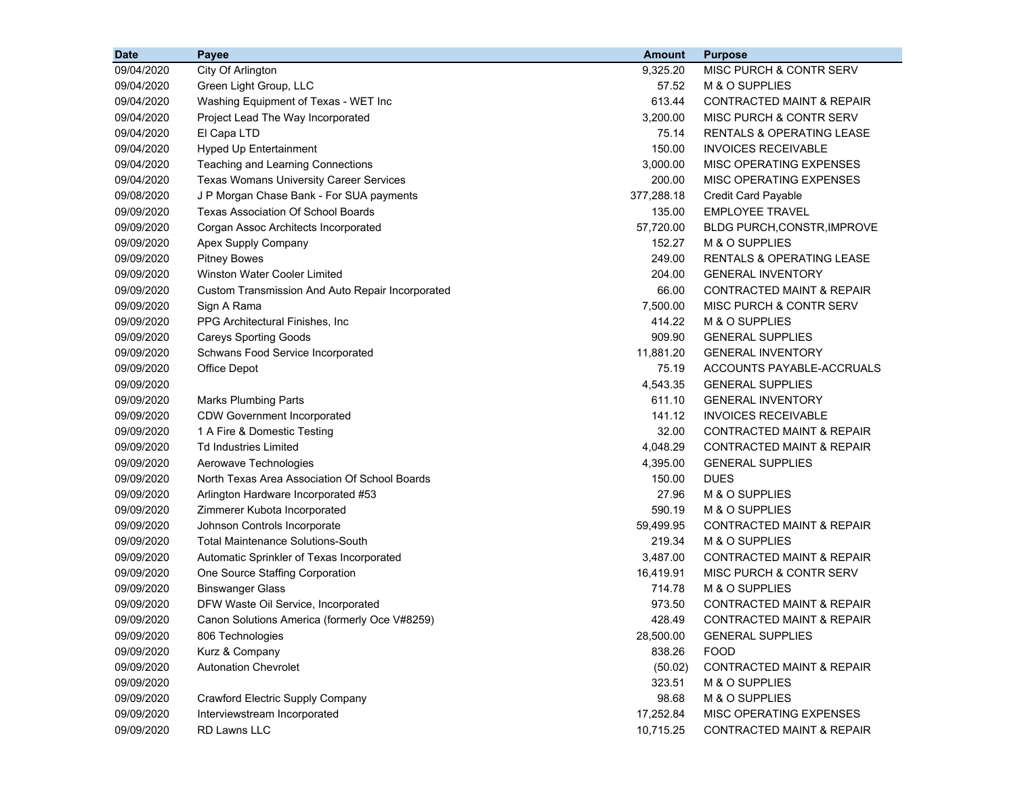| <b>Date</b> | Payee                                            | <b>Amount</b> | <b>Purpose</b>                       |
|-------------|--------------------------------------------------|---------------|--------------------------------------|
| 09/04/2020  | City Of Arlington                                | 9,325.20      | MISC PURCH & CONTR SERV              |
| 09/04/2020  | Green Light Group, LLC                           | 57.52         | M & O SUPPLIES                       |
| 09/04/2020  | Washing Equipment of Texas - WET Inc             | 613.44        | <b>CONTRACTED MAINT &amp; REPAIR</b> |
| 09/04/2020  | Project Lead The Way Incorporated                | 3,200.00      | MISC PURCH & CONTR SERV              |
| 09/04/2020  | El Capa LTD                                      | 75.14         | <b>RENTALS &amp; OPERATING LEASE</b> |
| 09/04/2020  | <b>Hyped Up Entertainment</b>                    | 150.00        | <b>INVOICES RECEIVABLE</b>           |
| 09/04/2020  | Teaching and Learning Connections                | 3,000.00      | MISC OPERATING EXPENSES              |
| 09/04/2020  | <b>Texas Womans University Career Services</b>   | 200.00        | MISC OPERATING EXPENSES              |
| 09/08/2020  | J P Morgan Chase Bank - For SUA payments         | 377,288.18    | <b>Credit Card Payable</b>           |
| 09/09/2020  | Texas Association Of School Boards               | 135.00        | <b>EMPLOYEE TRAVEL</b>               |
| 09/09/2020  | Corgan Assoc Architects Incorporated             | 57,720.00     | BLDG PURCH, CONSTR, IMPROVE          |
| 09/09/2020  | Apex Supply Company                              | 152.27        | M & O SUPPLIES                       |
| 09/09/2020  | <b>Pitney Bowes</b>                              | 249.00        | <b>RENTALS &amp; OPERATING LEASE</b> |
| 09/09/2020  | Winston Water Cooler Limited                     | 204.00        | <b>GENERAL INVENTORY</b>             |
| 09/09/2020  | Custom Transmission And Auto Repair Incorporated | 66.00         | <b>CONTRACTED MAINT &amp; REPAIR</b> |
| 09/09/2020  | Sign A Rama                                      | 7,500.00      | <b>MISC PURCH &amp; CONTR SERV</b>   |
| 09/09/2020  | PPG Architectural Finishes, Inc.                 | 414.22        | M & O SUPPLIES                       |
| 09/09/2020  | <b>Careys Sporting Goods</b>                     | 909.90        | <b>GENERAL SUPPLIES</b>              |
| 09/09/2020  | Schwans Food Service Incorporated                | 11,881.20     | <b>GENERAL INVENTORY</b>             |
| 09/09/2020  | Office Depot                                     | 75.19         | ACCOUNTS PAYABLE-ACCRUALS            |
| 09/09/2020  |                                                  | 4,543.35      | <b>GENERAL SUPPLIES</b>              |
| 09/09/2020  | <b>Marks Plumbing Parts</b>                      | 611.10        | <b>GENERAL INVENTORY</b>             |
| 09/09/2020  | <b>CDW Government Incorporated</b>               | 141.12        | <b>INVOICES RECEIVABLE</b>           |
| 09/09/2020  | 1 A Fire & Domestic Testing                      | 32.00         | <b>CONTRACTED MAINT &amp; REPAIR</b> |
| 09/09/2020  | <b>Td Industries Limited</b>                     | 4,048.29      | CONTRACTED MAINT & REPAIR            |
| 09/09/2020  | Aerowave Technologies                            | 4,395.00      | <b>GENERAL SUPPLIES</b>              |
| 09/09/2020  | North Texas Area Association Of School Boards    | 150.00        | <b>DUES</b>                          |
| 09/09/2020  | Arlington Hardware Incorporated #53              | 27.96         | M & O SUPPLIES                       |
| 09/09/2020  | Zimmerer Kubota Incorporated                     | 590.19        | M & O SUPPLIES                       |
| 09/09/2020  | Johnson Controls Incorporate                     | 59,499.95     | <b>CONTRACTED MAINT &amp; REPAIR</b> |
| 09/09/2020  | <b>Total Maintenance Solutions-South</b>         | 219.34        | M & O SUPPLIES                       |
| 09/09/2020  | Automatic Sprinkler of Texas Incorporated        | 3,487.00      | <b>CONTRACTED MAINT &amp; REPAIR</b> |
| 09/09/2020  | One Source Staffing Corporation                  | 16,419.91     | MISC PURCH & CONTR SERV              |
| 09/09/2020  | <b>Binswanger Glass</b>                          | 714.78        | M & O SUPPLIES                       |
| 09/09/2020  | DFW Waste Oil Service, Incorporated              | 973.50        | <b>CONTRACTED MAINT &amp; REPAIR</b> |
| 09/09/2020  | Canon Solutions America (formerly Oce V#8259)    | 428.49        | CONTRACTED MAINT & REPAIR            |
| 09/09/2020  | 806 Technologies                                 | 28,500.00     | <b>GENERAL SUPPLIES</b>              |
| 09/09/2020  | Kurz & Company                                   | 838.26        | <b>FOOD</b>                          |
| 09/09/2020  | <b>Autonation Chevrolet</b>                      | (50.02)       | CONTRACTED MAINT & REPAIR            |
| 09/09/2020  |                                                  | 323.51        | M & O SUPPLIES                       |
| 09/09/2020  | Crawford Electric Supply Company                 | 98.68         | M & O SUPPLIES                       |
| 09/09/2020  | Interviewstream Incorporated                     | 17,252.84     | MISC OPERATING EXPENSES              |
| 09/09/2020  | RD Lawns LLC                                     | 10,715.25     | CONTRACTED MAINT & REPAIR            |
|             |                                                  |               |                                      |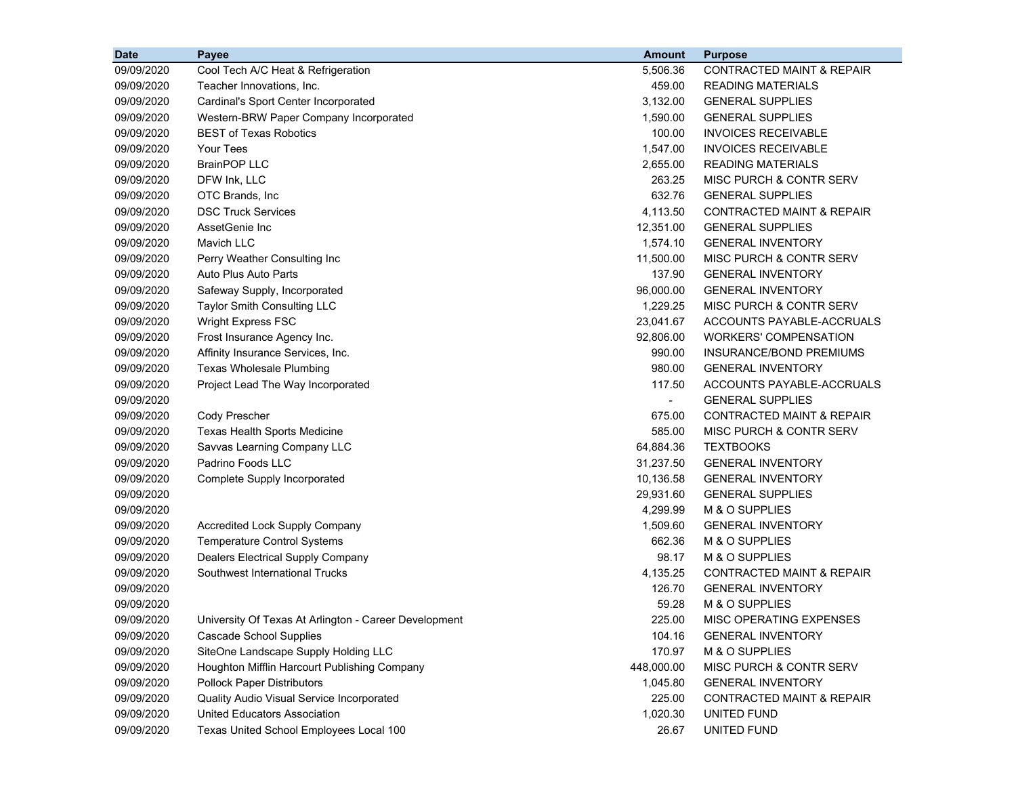| <b>Date</b> | Payee                                                 | <b>Amount</b>            | <b>Purpose</b>                       |
|-------------|-------------------------------------------------------|--------------------------|--------------------------------------|
| 09/09/2020  | Cool Tech A/C Heat & Refrigeration                    | 5,506.36                 | <b>CONTRACTED MAINT &amp; REPAIR</b> |
| 09/09/2020  | Teacher Innovations, Inc.                             | 459.00                   | <b>READING MATERIALS</b>             |
| 09/09/2020  | Cardinal's Sport Center Incorporated                  | 3,132.00                 | <b>GENERAL SUPPLIES</b>              |
| 09/09/2020  | Western-BRW Paper Company Incorporated                | 1,590.00                 | <b>GENERAL SUPPLIES</b>              |
| 09/09/2020  | <b>BEST of Texas Robotics</b>                         | 100.00                   | <b>INVOICES RECEIVABLE</b>           |
| 09/09/2020  | <b>Your Tees</b>                                      | 1,547.00                 | <b>INVOICES RECEIVABLE</b>           |
| 09/09/2020  | <b>BrainPOP LLC</b>                                   | 2,655.00                 | <b>READING MATERIALS</b>             |
| 09/09/2020  | DFW Ink, LLC                                          | 263.25                   | <b>MISC PURCH &amp; CONTR SERV</b>   |
| 09/09/2020  | OTC Brands, Inc.                                      | 632.76                   | <b>GENERAL SUPPLIES</b>              |
| 09/09/2020  | <b>DSC Truck Services</b>                             | 4,113.50                 | <b>CONTRACTED MAINT &amp; REPAIR</b> |
| 09/09/2020  | AssetGenie Inc                                        | 12,351.00                | <b>GENERAL SUPPLIES</b>              |
| 09/09/2020  | Mavich LLC                                            | 1,574.10                 | <b>GENERAL INVENTORY</b>             |
| 09/09/2020  | Perry Weather Consulting Inc                          | 11,500.00                | MISC PURCH & CONTR SERV              |
| 09/09/2020  | Auto Plus Auto Parts                                  | 137.90                   | <b>GENERAL INVENTORY</b>             |
| 09/09/2020  | Safeway Supply, Incorporated                          | 96,000.00                | <b>GENERAL INVENTORY</b>             |
| 09/09/2020  | Taylor Smith Consulting LLC                           | 1,229.25                 | MISC PURCH & CONTR SERV              |
| 09/09/2020  | <b>Wright Express FSC</b>                             | 23,041.67                | ACCOUNTS PAYABLE-ACCRUALS            |
| 09/09/2020  | Frost Insurance Agency Inc.                           | 92,806.00                | <b>WORKERS' COMPENSATION</b>         |
| 09/09/2020  | Affinity Insurance Services, Inc.                     | 990.00                   | <b>INSURANCE/BOND PREMIUMS</b>       |
| 09/09/2020  | <b>Texas Wholesale Plumbing</b>                       | 980.00                   | <b>GENERAL INVENTORY</b>             |
| 09/09/2020  | Project Lead The Way Incorporated                     | 117.50                   | ACCOUNTS PAYABLE-ACCRUALS            |
| 09/09/2020  |                                                       | $\overline{\phantom{a}}$ | <b>GENERAL SUPPLIES</b>              |
| 09/09/2020  | Cody Prescher                                         | 675.00                   | <b>CONTRACTED MAINT &amp; REPAIR</b> |
| 09/09/2020  | Texas Health Sports Medicine                          | 585.00                   | MISC PURCH & CONTR SERV              |
| 09/09/2020  | Savvas Learning Company LLC                           | 64,884.36                | <b>TEXTBOOKS</b>                     |
| 09/09/2020  | Padrino Foods LLC                                     | 31,237.50                | <b>GENERAL INVENTORY</b>             |
| 09/09/2020  | Complete Supply Incorporated                          | 10,136.58                | <b>GENERAL INVENTORY</b>             |
| 09/09/2020  |                                                       | 29,931.60                | <b>GENERAL SUPPLIES</b>              |
| 09/09/2020  |                                                       | 4,299.99                 | M & O SUPPLIES                       |
| 09/09/2020  | <b>Accredited Lock Supply Company</b>                 | 1,509.60                 | <b>GENERAL INVENTORY</b>             |
| 09/09/2020  | <b>Temperature Control Systems</b>                    | 662.36                   | M & O SUPPLIES                       |
| 09/09/2020  | Dealers Electrical Supply Company                     | 98.17                    | M & O SUPPLIES                       |
| 09/09/2020  | Southwest International Trucks                        | 4,135.25                 | <b>CONTRACTED MAINT &amp; REPAIR</b> |
| 09/09/2020  |                                                       | 126.70                   | <b>GENERAL INVENTORY</b>             |
| 09/09/2020  |                                                       | 59.28                    | M & O SUPPLIES                       |
| 09/09/2020  | University Of Texas At Arlington - Career Development | 225.00                   | MISC OPERATING EXPENSES              |
| 09/09/2020  | <b>Cascade School Supplies</b>                        | 104.16                   | <b>GENERAL INVENTORY</b>             |
| 09/09/2020  | SiteOne Landscape Supply Holding LLC                  | 170.97                   | M & O SUPPLIES                       |
| 09/09/2020  | Houghton Mifflin Harcourt Publishing Company          | 448,000.00               | MISC PURCH & CONTR SERV              |
| 09/09/2020  | <b>Pollock Paper Distributors</b>                     | 1,045.80                 | <b>GENERAL INVENTORY</b>             |
| 09/09/2020  | Quality Audio Visual Service Incorporated             | 225.00                   | <b>CONTRACTED MAINT &amp; REPAIR</b> |
| 09/09/2020  | United Educators Association                          | 1,020.30                 | UNITED FUND                          |
| 09/09/2020  | Texas United School Employees Local 100               | 26.67                    | UNITED FUND                          |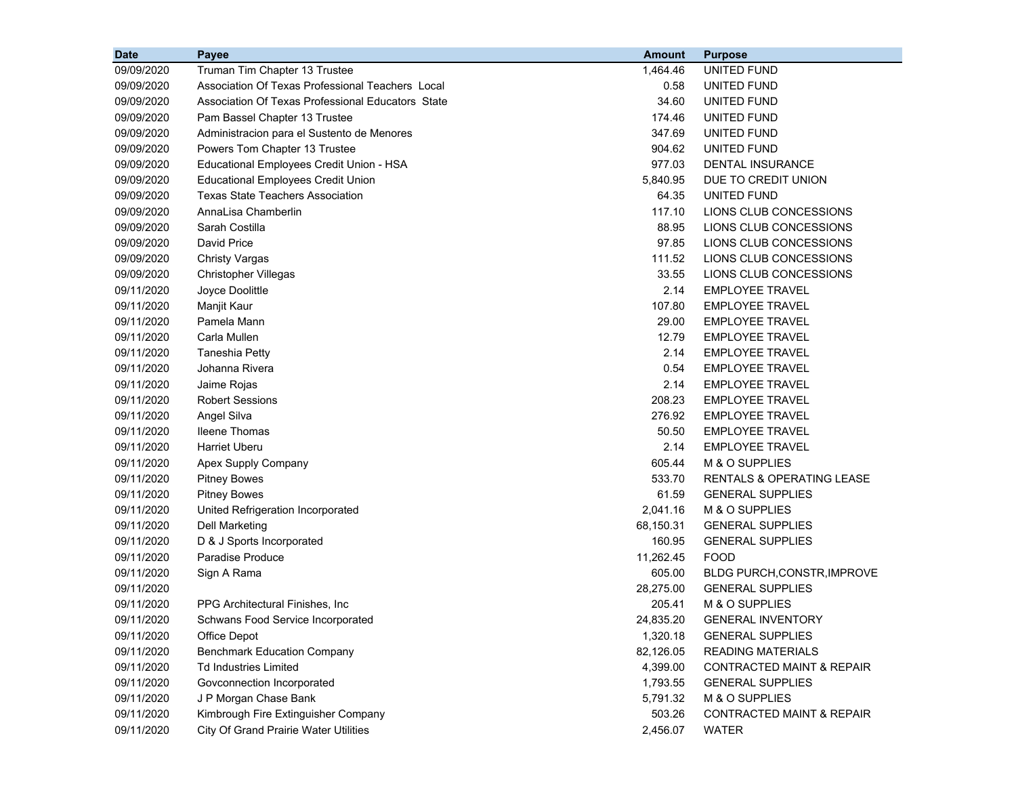| <b>Date</b> | Payee                                             | <b>Amount</b> | <b>Purpose</b>                       |
|-------------|---------------------------------------------------|---------------|--------------------------------------|
| 09/09/2020  | Truman Tim Chapter 13 Trustee                     | 1,464.46      | UNITED FUND                          |
| 09/09/2020  | Association Of Texas Professional Teachers Local  | 0.58          | UNITED FUND                          |
| 09/09/2020  | Association Of Texas Professional Educators State | 34.60         | UNITED FUND                          |
| 09/09/2020  | Pam Bassel Chapter 13 Trustee                     | 174.46        | UNITED FUND                          |
| 09/09/2020  | Administracion para el Sustento de Menores        | 347.69        | <b>UNITED FUND</b>                   |
| 09/09/2020  | Powers Tom Chapter 13 Trustee                     | 904.62        | UNITED FUND                          |
| 09/09/2020  | Educational Employees Credit Union - HSA          | 977.03        | DENTAL INSURANCE                     |
| 09/09/2020  | <b>Educational Employees Credit Union</b>         | 5,840.95      | DUE TO CREDIT UNION                  |
| 09/09/2020  | <b>Texas State Teachers Association</b>           | 64.35         | UNITED FUND                          |
| 09/09/2020  | AnnaLisa Chamberlin                               | 117.10        | LIONS CLUB CONCESSIONS               |
| 09/09/2020  | Sarah Costilla                                    | 88.95         | LIONS CLUB CONCESSIONS               |
| 09/09/2020  | David Price                                       | 97.85         | LIONS CLUB CONCESSIONS               |
| 09/09/2020  | <b>Christy Vargas</b>                             | 111.52        | LIONS CLUB CONCESSIONS               |
| 09/09/2020  | Christopher Villegas                              | 33.55         | LIONS CLUB CONCESSIONS               |
| 09/11/2020  | Joyce Doolittle                                   | 2.14          | <b>EMPLOYEE TRAVEL</b>               |
| 09/11/2020  | Manjit Kaur                                       | 107.80        | <b>EMPLOYEE TRAVEL</b>               |
| 09/11/2020  | Pamela Mann                                       | 29.00         | <b>EMPLOYEE TRAVEL</b>               |
| 09/11/2020  | Carla Mullen                                      | 12.79         | <b>EMPLOYEE TRAVEL</b>               |
| 09/11/2020  | Taneshia Petty                                    | 2.14          | <b>EMPLOYEE TRAVEL</b>               |
| 09/11/2020  | Johanna Rivera                                    | 0.54          | <b>EMPLOYEE TRAVEL</b>               |
| 09/11/2020  | Jaime Rojas                                       | 2.14          | <b>EMPLOYEE TRAVEL</b>               |
| 09/11/2020  | <b>Robert Sessions</b>                            | 208.23        | <b>EMPLOYEE TRAVEL</b>               |
| 09/11/2020  | Angel Silva                                       | 276.92        | <b>EMPLOYEE TRAVEL</b>               |
| 09/11/2020  | <b>Ileene Thomas</b>                              | 50.50         | <b>EMPLOYEE TRAVEL</b>               |
| 09/11/2020  | <b>Harriet Uberu</b>                              | 2.14          | <b>EMPLOYEE TRAVEL</b>               |
| 09/11/2020  | Apex Supply Company                               | 605.44        | M & O SUPPLIES                       |
| 09/11/2020  | <b>Pitney Bowes</b>                               | 533.70        | <b>RENTALS &amp; OPERATING LEASE</b> |
| 09/11/2020  | <b>Pitney Bowes</b>                               | 61.59         | <b>GENERAL SUPPLIES</b>              |
| 09/11/2020  | United Refrigeration Incorporated                 | 2,041.16      | M & O SUPPLIES                       |
| 09/11/2020  | <b>Dell Marketing</b>                             | 68,150.31     | <b>GENERAL SUPPLIES</b>              |
| 09/11/2020  | D & J Sports Incorporated                         | 160.95        | <b>GENERAL SUPPLIES</b>              |
| 09/11/2020  | <b>Paradise Produce</b>                           | 11,262.45     | <b>FOOD</b>                          |
| 09/11/2020  | Sign A Rama                                       | 605.00        | BLDG PURCH, CONSTR, IMPROVE          |
| 09/11/2020  |                                                   | 28,275.00     | <b>GENERAL SUPPLIES</b>              |
| 09/11/2020  | PPG Architectural Finishes, Inc                   | 205.41        | M & O SUPPLIES                       |
| 09/11/2020  | Schwans Food Service Incorporated                 | 24,835.20     | <b>GENERAL INVENTORY</b>             |
| 09/11/2020  | Office Depot                                      | 1,320.18      | <b>GENERAL SUPPLIES</b>              |
| 09/11/2020  | <b>Benchmark Education Company</b>                | 82,126.05     | <b>READING MATERIALS</b>             |
| 09/11/2020  | <b>Td Industries Limited</b>                      | 4,399.00      | <b>CONTRACTED MAINT &amp; REPAIR</b> |
| 09/11/2020  | Govconnection Incorporated                        | 1,793.55      | <b>GENERAL SUPPLIES</b>              |
| 09/11/2020  | J P Morgan Chase Bank                             | 5,791.32      | M & O SUPPLIES                       |
| 09/11/2020  | Kimbrough Fire Extinguisher Company               | 503.26        | <b>CONTRACTED MAINT &amp; REPAIR</b> |
| 09/11/2020  | City Of Grand Prairie Water Utilities             | 2,456.07      | <b>WATER</b>                         |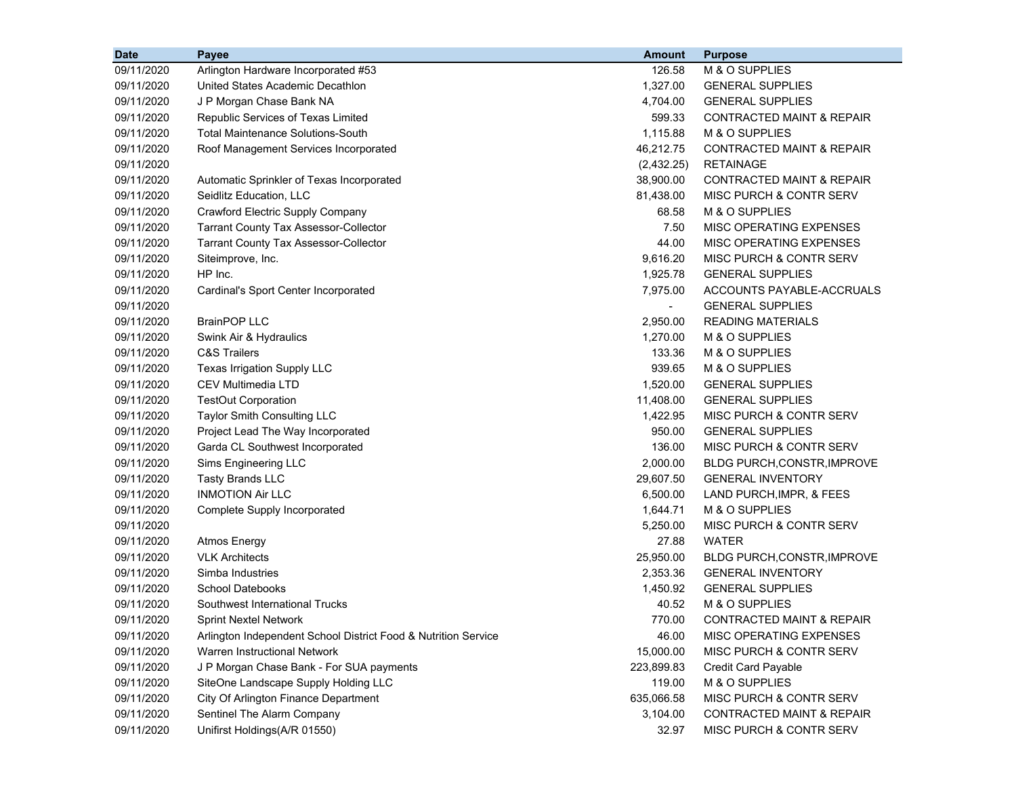| <b>Date</b> | Payee                                                          | <b>Amount</b>  | <b>Purpose</b>                       |
|-------------|----------------------------------------------------------------|----------------|--------------------------------------|
| 09/11/2020  | Arlington Hardware Incorporated #53                            | 126.58         | M & O SUPPLIES                       |
| 09/11/2020  | United States Academic Decathlon                               | 1,327.00       | <b>GENERAL SUPPLIES</b>              |
| 09/11/2020  | J P Morgan Chase Bank NA                                       | 4,704.00       | <b>GENERAL SUPPLIES</b>              |
| 09/11/2020  | Republic Services of Texas Limited                             | 599.33         | CONTRACTED MAINT & REPAIR            |
| 09/11/2020  | <b>Total Maintenance Solutions-South</b>                       | 1,115.88       | M & O SUPPLIES                       |
| 09/11/2020  | Roof Management Services Incorporated                          | 46,212.75      | <b>CONTRACTED MAINT &amp; REPAIR</b> |
| 09/11/2020  |                                                                | (2,432.25)     | <b>RETAINAGE</b>                     |
| 09/11/2020  | Automatic Sprinkler of Texas Incorporated                      | 38,900.00      | <b>CONTRACTED MAINT &amp; REPAIR</b> |
| 09/11/2020  | Seidlitz Education, LLC                                        | 81,438.00      | MISC PURCH & CONTR SERV              |
| 09/11/2020  | Crawford Electric Supply Company                               | 68.58          | M & O SUPPLIES                       |
| 09/11/2020  | <b>Tarrant County Tax Assessor-Collector</b>                   | 7.50           | MISC OPERATING EXPENSES              |
| 09/11/2020  | <b>Tarrant County Tax Assessor-Collector</b>                   | 44.00          | MISC OPERATING EXPENSES              |
| 09/11/2020  | Siteimprove, Inc.                                              | 9,616.20       | MISC PURCH & CONTR SERV              |
| 09/11/2020  | HP Inc.                                                        | 1,925.78       | <b>GENERAL SUPPLIES</b>              |
| 09/11/2020  | Cardinal's Sport Center Incorporated                           | 7,975.00       | ACCOUNTS PAYABLE-ACCRUALS            |
| 09/11/2020  |                                                                | $\blacksquare$ | <b>GENERAL SUPPLIES</b>              |
| 09/11/2020  | <b>BrainPOP LLC</b>                                            | 2,950.00       | <b>READING MATERIALS</b>             |
| 09/11/2020  | Swink Air & Hydraulics                                         | 1,270.00       | M & O SUPPLIES                       |
| 09/11/2020  | <b>C&amp;S Trailers</b>                                        | 133.36         | M & O SUPPLIES                       |
| 09/11/2020  | Texas Irrigation Supply LLC                                    | 939.65         | M & O SUPPLIES                       |
| 09/11/2020  | <b>CEV Multimedia LTD</b>                                      | 1,520.00       | <b>GENERAL SUPPLIES</b>              |
| 09/11/2020  | <b>TestOut Corporation</b>                                     | 11,408.00      | <b>GENERAL SUPPLIES</b>              |
| 09/11/2020  | Taylor Smith Consulting LLC                                    | 1,422.95       | MISC PURCH & CONTR SERV              |
| 09/11/2020  | Project Lead The Way Incorporated                              | 950.00         | <b>GENERAL SUPPLIES</b>              |
| 09/11/2020  | Garda CL Southwest Incorporated                                | 136.00         | MISC PURCH & CONTR SERV              |
| 09/11/2020  | Sims Engineering LLC                                           | 2,000.00       | BLDG PURCH, CONSTR, IMPROVE          |
| 09/11/2020  | <b>Tasty Brands LLC</b>                                        | 29,607.50      | <b>GENERAL INVENTORY</b>             |
| 09/11/2020  | <b>INMOTION Air LLC</b>                                        | 6,500.00       | LAND PURCH, IMPR, & FEES             |
| 09/11/2020  | Complete Supply Incorporated                                   | 1,644.71       | M & O SUPPLIES                       |
| 09/11/2020  |                                                                | 5,250.00       | MISC PURCH & CONTR SERV              |
| 09/11/2020  | Atmos Energy                                                   | 27.88          | <b>WATER</b>                         |
| 09/11/2020  | <b>VLK Architects</b>                                          | 25,950.00      | BLDG PURCH, CONSTR, IMPROVE          |
| 09/11/2020  | Simba Industries                                               | 2,353.36       | <b>GENERAL INVENTORY</b>             |
| 09/11/2020  | <b>School Datebooks</b>                                        | 1,450.92       | <b>GENERAL SUPPLIES</b>              |
| 09/11/2020  | Southwest International Trucks                                 | 40.52          | M & O SUPPLIES                       |
| 09/11/2020  | <b>Sprint Nextel Network</b>                                   | 770.00         | CONTRACTED MAINT & REPAIR            |
| 09/11/2020  | Arlington Independent School District Food & Nutrition Service | 46.00          | MISC OPERATING EXPENSES              |
| 09/11/2020  | Warren Instructional Network                                   | 15,000.00      | <b>MISC PURCH &amp; CONTR SERV</b>   |
| 09/11/2020  | J P Morgan Chase Bank - For SUA payments                       | 223,899.83     | Credit Card Payable                  |
| 09/11/2020  | SiteOne Landscape Supply Holding LLC                           | 119.00         | M & O SUPPLIES                       |
| 09/11/2020  | City Of Arlington Finance Department                           | 635,066.58     | MISC PURCH & CONTR SERV              |
| 09/11/2020  | Sentinel The Alarm Company                                     | 3,104.00       | <b>CONTRACTED MAINT &amp; REPAIR</b> |
| 09/11/2020  | Unifirst Holdings(A/R 01550)                                   | 32.97          | MISC PURCH & CONTR SERV              |
|             |                                                                |                |                                      |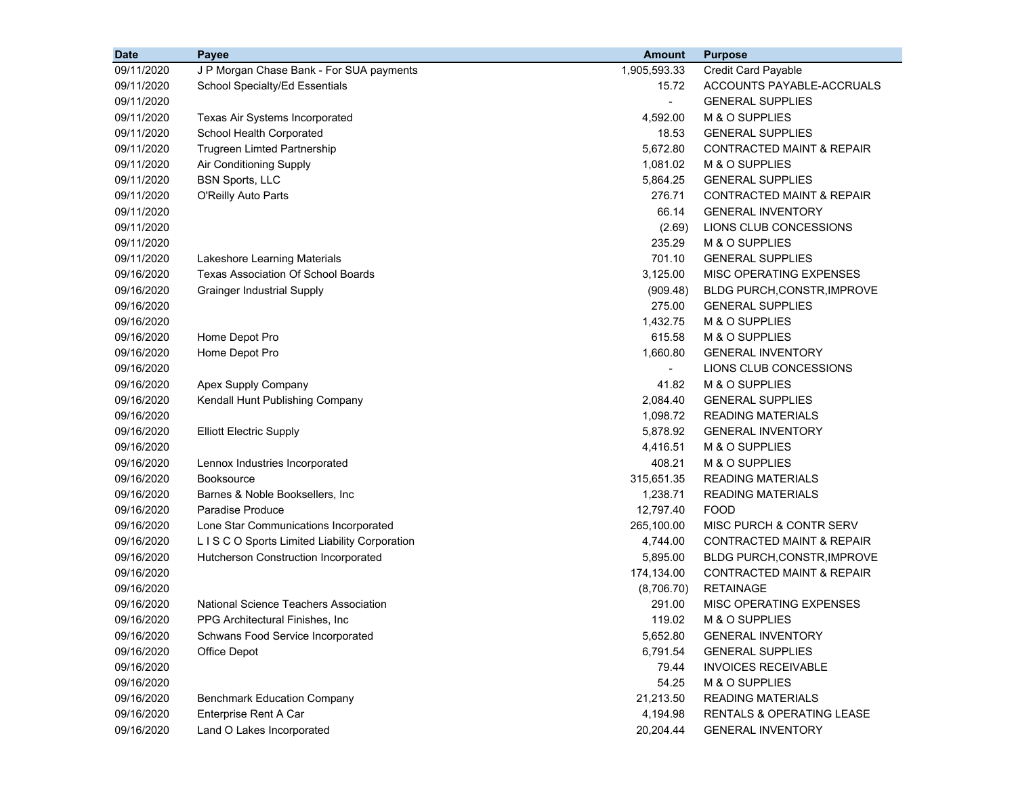| <b>Date</b> | Payee                                      | <b>Amount</b>  | <b>Purpose</b>                       |
|-------------|--------------------------------------------|----------------|--------------------------------------|
| 09/11/2020  | J P Morgan Chase Bank - For SUA payments   | 1,905,593.33   | Credit Card Payable                  |
| 09/11/2020  | School Specialty/Ed Essentials             | 15.72          | ACCOUNTS PAYABLE-ACCRUALS            |
| 09/11/2020  |                                            | $\blacksquare$ | <b>GENERAL SUPPLIES</b>              |
| 09/11/2020  | Texas Air Systems Incorporated             | 4,592.00       | M & O SUPPLIES                       |
| 09/11/2020  | School Health Corporated                   | 18.53          | <b>GENERAL SUPPLIES</b>              |
| 09/11/2020  | Trugreen Limted Partnership                | 5,672.80       | <b>CONTRACTED MAINT &amp; REPAIR</b> |
| 09/11/2020  | Air Conditioning Supply                    | 1,081.02       | M & O SUPPLIES                       |
| 09/11/2020  | <b>BSN Sports, LLC</b>                     | 5,864.25       | <b>GENERAL SUPPLIES</b>              |
| 09/11/2020  | O'Reilly Auto Parts                        | 276.71         | <b>CONTRACTED MAINT &amp; REPAIR</b> |
| 09/11/2020  |                                            | 66.14          | <b>GENERAL INVENTORY</b>             |
| 09/11/2020  |                                            | (2.69)         | LIONS CLUB CONCESSIONS               |
| 09/11/2020  |                                            | 235.29         | M & O SUPPLIES                       |
| 09/11/2020  | Lakeshore Learning Materials               | 701.10         | <b>GENERAL SUPPLIES</b>              |
| 09/16/2020  | <b>Texas Association Of School Boards</b>  | 3,125.00       | MISC OPERATING EXPENSES              |
| 09/16/2020  | <b>Grainger Industrial Supply</b>          | (909.48)       | <b>BLDG PURCH, CONSTR, IMPROVE</b>   |
| 09/16/2020  |                                            | 275.00         | <b>GENERAL SUPPLIES</b>              |
| 09/16/2020  |                                            | 1,432.75       | M & O SUPPLIES                       |
| 09/16/2020  | Home Depot Pro                             | 615.58         | M & O SUPPLIES                       |
| 09/16/2020  | Home Depot Pro                             | 1,660.80       | <b>GENERAL INVENTORY</b>             |
| 09/16/2020  |                                            | $\blacksquare$ | LIONS CLUB CONCESSIONS               |
| 09/16/2020  | Apex Supply Company                        | 41.82          | M & O SUPPLIES                       |
| 09/16/2020  | Kendall Hunt Publishing Company            | 2,084.40       | <b>GENERAL SUPPLIES</b>              |
| 09/16/2020  |                                            | 1,098.72       | <b>READING MATERIALS</b>             |
| 09/16/2020  | <b>Elliott Electric Supply</b>             | 5,878.92       | <b>GENERAL INVENTORY</b>             |
| 09/16/2020  |                                            | 4,416.51       | M & O SUPPLIES                       |
| 09/16/2020  | Lennox Industries Incorporated             | 408.21         | M & O SUPPLIES                       |
| 09/16/2020  | <b>Booksource</b>                          | 315,651.35     | <b>READING MATERIALS</b>             |
| 09/16/2020  | Barnes & Noble Booksellers, Inc.           | 1,238.71       | <b>READING MATERIALS</b>             |
| 09/16/2020  | Paradise Produce                           | 12,797.40      | <b>FOOD</b>                          |
| 09/16/2020  | Lone Star Communications Incorporated      | 265,100.00     | MISC PURCH & CONTR SERV              |
| 09/16/2020  | LISCO Sports Limited Liability Corporation | 4,744.00       | <b>CONTRACTED MAINT &amp; REPAIR</b> |
| 09/16/2020  | Hutcherson Construction Incorporated       | 5,895.00       | BLDG PURCH, CONSTR, IMPROVE          |
| 09/16/2020  |                                            | 174,134.00     | <b>CONTRACTED MAINT &amp; REPAIR</b> |
| 09/16/2020  |                                            | (8,706.70)     | <b>RETAINAGE</b>                     |
| 09/16/2020  | National Science Teachers Association      | 291.00         | MISC OPERATING EXPENSES              |
| 09/16/2020  | PPG Architectural Finishes, Inc.           | 119.02         | M & O SUPPLIES                       |
| 09/16/2020  | Schwans Food Service Incorporated          | 5,652.80       | <b>GENERAL INVENTORY</b>             |
| 09/16/2020  | Office Depot                               | 6,791.54       | <b>GENERAL SUPPLIES</b>              |
| 09/16/2020  |                                            | 79.44          | <b>INVOICES RECEIVABLE</b>           |
| 09/16/2020  |                                            | 54.25          | M & O SUPPLIES                       |
| 09/16/2020  | <b>Benchmark Education Company</b>         | 21,213.50      | <b>READING MATERIALS</b>             |
| 09/16/2020  | Enterprise Rent A Car                      | 4,194.98       | RENTALS & OPERATING LEASE            |
| 09/16/2020  | Land O Lakes Incorporated                  | 20,204.44      | <b>GENERAL INVENTORY</b>             |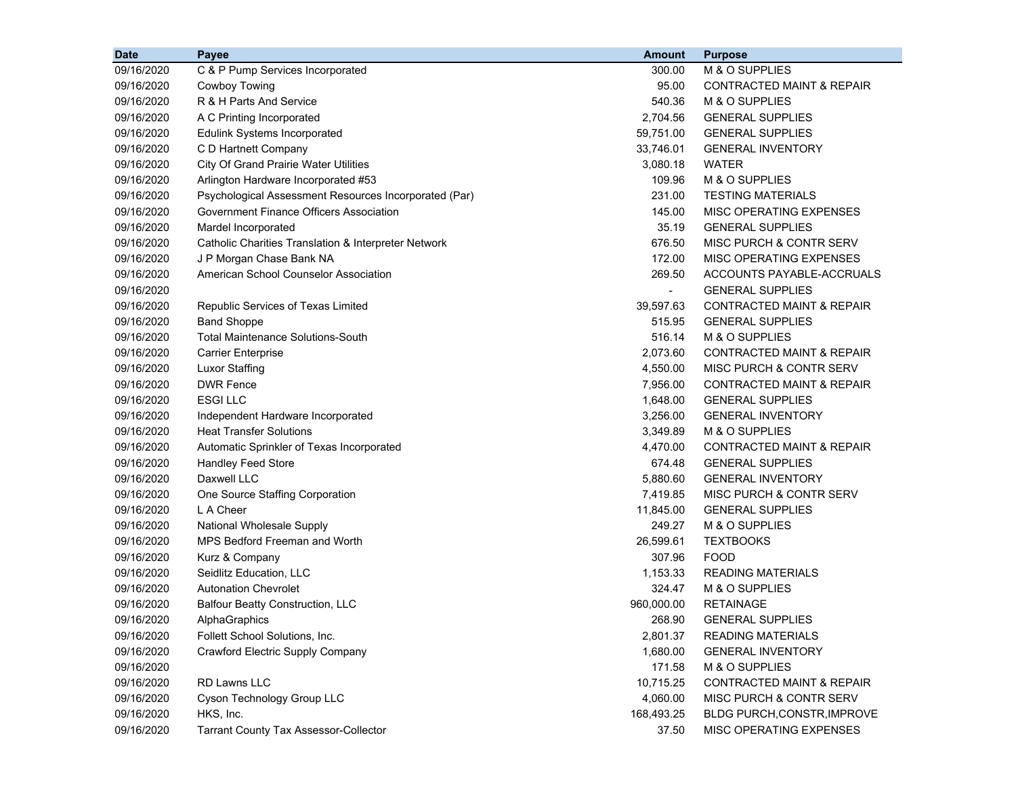| <b>Date</b> | Payee                                                 | <b>Amount</b> | <b>Purpose</b>                       |
|-------------|-------------------------------------------------------|---------------|--------------------------------------|
| 09/16/2020  | C & P Pump Services Incorporated                      | 300.00        | M & O SUPPLIES                       |
| 09/16/2020  | Cowboy Towing                                         | 95.00         | CONTRACTED MAINT & REPAIR            |
| 09/16/2020  | R & H Parts And Service                               | 540.36        | M & O SUPPLIES                       |
| 09/16/2020  | A C Printing Incorporated                             | 2,704.56      | <b>GENERAL SUPPLIES</b>              |
| 09/16/2020  | <b>Edulink Systems Incorporated</b>                   | 59,751.00     | <b>GENERAL SUPPLIES</b>              |
| 09/16/2020  | C D Hartnett Company                                  | 33,746.01     | <b>GENERAL INVENTORY</b>             |
| 09/16/2020  | City Of Grand Prairie Water Utilities                 | 3,080.18      | <b>WATER</b>                         |
| 09/16/2020  | Arlington Hardware Incorporated #53                   | 109.96        | M & O SUPPLIES                       |
| 09/16/2020  | Psychological Assessment Resources Incorporated (Par) | 231.00        | <b>TESTING MATERIALS</b>             |
| 09/16/2020  | Government Finance Officers Association               | 145.00        | MISC OPERATING EXPENSES              |
| 09/16/2020  | Mardel Incorporated                                   | 35.19         | <b>GENERAL SUPPLIES</b>              |
| 09/16/2020  | Catholic Charities Translation & Interpreter Network  | 676.50        | MISC PURCH & CONTR SERV              |
| 09/16/2020  | J P Morgan Chase Bank NA                              | 172.00        | MISC OPERATING EXPENSES              |
| 09/16/2020  | American School Counselor Association                 | 269.50        | ACCOUNTS PAYABLE-ACCRUALS            |
| 09/16/2020  |                                                       | $\sim$        | <b>GENERAL SUPPLIES</b>              |
| 09/16/2020  | Republic Services of Texas Limited                    | 39,597.63     | <b>CONTRACTED MAINT &amp; REPAIR</b> |
| 09/16/2020  | <b>Band Shoppe</b>                                    | 515.95        | <b>GENERAL SUPPLIES</b>              |
| 09/16/2020  | <b>Total Maintenance Solutions-South</b>              | 516.14        | M & O SUPPLIES                       |
| 09/16/2020  | <b>Carrier Enterprise</b>                             | 2,073.60      | <b>CONTRACTED MAINT &amp; REPAIR</b> |
| 09/16/2020  | <b>Luxor Staffing</b>                                 | 4,550.00      | MISC PURCH & CONTR SERV              |
| 09/16/2020  | <b>DWR Fence</b>                                      | 7,956.00      | <b>CONTRACTED MAINT &amp; REPAIR</b> |
| 09/16/2020  | <b>ESGILLC</b>                                        | 1,648.00      | <b>GENERAL SUPPLIES</b>              |
| 09/16/2020  | Independent Hardware Incorporated                     | 3,256.00      | <b>GENERAL INVENTORY</b>             |
| 09/16/2020  | <b>Heat Transfer Solutions</b>                        | 3,349.89      | M & O SUPPLIES                       |
| 09/16/2020  | Automatic Sprinkler of Texas Incorporated             | 4,470.00      | <b>CONTRACTED MAINT &amp; REPAIR</b> |
| 09/16/2020  | <b>Handley Feed Store</b>                             | 674.48        | <b>GENERAL SUPPLIES</b>              |
| 09/16/2020  | Daxwell LLC                                           | 5,880.60      | <b>GENERAL INVENTORY</b>             |
| 09/16/2020  | One Source Staffing Corporation                       | 7,419.85      | MISC PURCH & CONTR SERV              |
| 09/16/2020  | L A Cheer                                             | 11,845.00     | <b>GENERAL SUPPLIES</b>              |
| 09/16/2020  | National Wholesale Supply                             | 249.27        | M & O SUPPLIES                       |
| 09/16/2020  | <b>MPS Bedford Freeman and Worth</b>                  | 26,599.61     | <b>TEXTBOOKS</b>                     |
| 09/16/2020  | Kurz & Company                                        | 307.96        | <b>FOOD</b>                          |
| 09/16/2020  | Seidlitz Education, LLC                               | 1,153.33      | <b>READING MATERIALS</b>             |
| 09/16/2020  | <b>Autonation Chevrolet</b>                           | 324.47        | M & O SUPPLIES                       |
| 09/16/2020  | <b>Balfour Beatty Construction, LLC</b>               | 960,000.00    | <b>RETAINAGE</b>                     |
| 09/16/2020  | AlphaGraphics                                         | 268.90        | <b>GENERAL SUPPLIES</b>              |
| 09/16/2020  | Follett School Solutions, Inc.                        | 2,801.37      | <b>READING MATERIALS</b>             |
| 09/16/2020  | Crawford Electric Supply Company                      | 1,680.00      | <b>GENERAL INVENTORY</b>             |
| 09/16/2020  |                                                       | 171.58        | M & O SUPPLIES                       |
| 09/16/2020  | RD Lawns LLC                                          | 10,715.25     | <b>CONTRACTED MAINT &amp; REPAIR</b> |
| 09/16/2020  | Cyson Technology Group LLC                            | 4,060.00      | MISC PURCH & CONTR SERV              |
| 09/16/2020  | HKS, Inc.                                             | 168,493.25    | BLDG PURCH, CONSTR, IMPROVE          |
| 09/16/2020  | <b>Tarrant County Tax Assessor-Collector</b>          | 37.50         | MISC OPERATING EXPENSES              |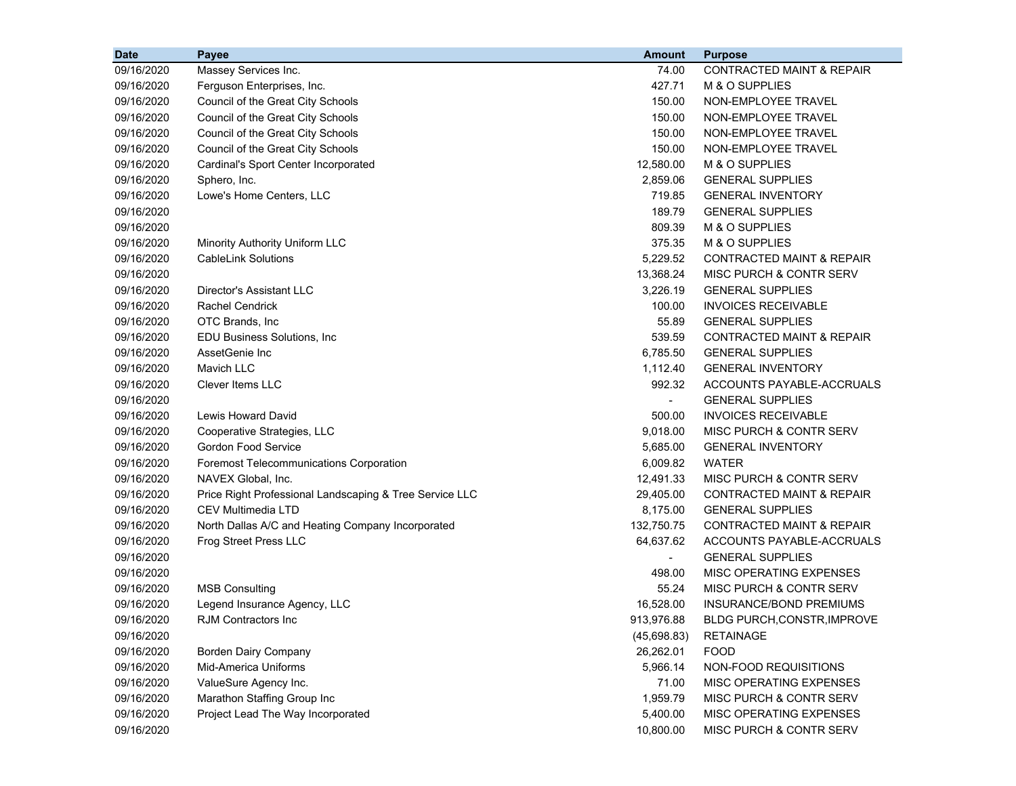| <b>Date</b> | Payee                                                   | <b>Amount</b>            | <b>Purpose</b>                       |
|-------------|---------------------------------------------------------|--------------------------|--------------------------------------|
| 09/16/2020  | Massey Services Inc.                                    | 74.00                    | <b>CONTRACTED MAINT &amp; REPAIR</b> |
| 09/16/2020  | Ferguson Enterprises, Inc.                              | 427.71                   | M & O SUPPLIES                       |
| 09/16/2020  | Council of the Great City Schools                       | 150.00                   | NON-EMPLOYEE TRAVEL                  |
| 09/16/2020  | Council of the Great City Schools                       | 150.00                   | NON-EMPLOYEE TRAVEL                  |
| 09/16/2020  | Council of the Great City Schools                       | 150.00                   | NON-EMPLOYEE TRAVEL                  |
| 09/16/2020  | Council of the Great City Schools                       | 150.00                   | NON-EMPLOYEE TRAVEL                  |
| 09/16/2020  | Cardinal's Sport Center Incorporated                    | 12,580.00                | M & O SUPPLIES                       |
| 09/16/2020  | Sphero, Inc.                                            | 2,859.06                 | <b>GENERAL SUPPLIES</b>              |
| 09/16/2020  | Lowe's Home Centers, LLC                                | 719.85                   | <b>GENERAL INVENTORY</b>             |
| 09/16/2020  |                                                         | 189.79                   | <b>GENERAL SUPPLIES</b>              |
| 09/16/2020  |                                                         | 809.39                   | M & O SUPPLIES                       |
| 09/16/2020  | Minority Authority Uniform LLC                          | 375.35                   | M & O SUPPLIES                       |
| 09/16/2020  | <b>CableLink Solutions</b>                              | 5,229.52                 | <b>CONTRACTED MAINT &amp; REPAIR</b> |
| 09/16/2020  |                                                         | 13,368.24                | MISC PURCH & CONTR SERV              |
| 09/16/2020  | Director's Assistant LLC                                | 3,226.19                 | <b>GENERAL SUPPLIES</b>              |
| 09/16/2020  | <b>Rachel Cendrick</b>                                  | 100.00                   | <b>INVOICES RECEIVABLE</b>           |
| 09/16/2020  | OTC Brands, Inc                                         | 55.89                    | <b>GENERAL SUPPLIES</b>              |
| 09/16/2020  | <b>EDU Business Solutions, Inc.</b>                     | 539.59                   | <b>CONTRACTED MAINT &amp; REPAIR</b> |
| 09/16/2020  | AssetGenie Inc                                          | 6,785.50                 | <b>GENERAL SUPPLIES</b>              |
| 09/16/2020  | Mavich LLC                                              | 1,112.40                 | <b>GENERAL INVENTORY</b>             |
| 09/16/2020  | <b>Clever Items LLC</b>                                 | 992.32                   | ACCOUNTS PAYABLE-ACCRUALS            |
| 09/16/2020  |                                                         | $\overline{\phantom{a}}$ | <b>GENERAL SUPPLIES</b>              |
| 09/16/2020  | <b>Lewis Howard David</b>                               | 500.00                   | <b>INVOICES RECEIVABLE</b>           |
| 09/16/2020  | Cooperative Strategies, LLC                             | 9,018.00                 | MISC PURCH & CONTR SERV              |
| 09/16/2020  | <b>Gordon Food Service</b>                              | 5,685.00                 | <b>GENERAL INVENTORY</b>             |
| 09/16/2020  | Foremost Telecommunications Corporation                 | 6,009.82                 | WATER                                |
| 09/16/2020  | NAVEX Global, Inc.                                      | 12,491.33                | MISC PURCH & CONTR SERV              |
| 09/16/2020  | Price Right Professional Landscaping & Tree Service LLC | 29,405.00                | CONTRACTED MAINT & REPAIR            |
| 09/16/2020  | <b>CEV Multimedia LTD</b>                               | 8,175.00                 | <b>GENERAL SUPPLIES</b>              |
| 09/16/2020  | North Dallas A/C and Heating Company Incorporated       | 132,750.75               | <b>CONTRACTED MAINT &amp; REPAIR</b> |
| 09/16/2020  | <b>Frog Street Press LLC</b>                            | 64,637.62                | ACCOUNTS PAYABLE-ACCRUALS            |
| 09/16/2020  |                                                         | $\overline{\phantom{a}}$ | <b>GENERAL SUPPLIES</b>              |
| 09/16/2020  |                                                         | 498.00                   | MISC OPERATING EXPENSES              |
| 09/16/2020  | <b>MSB Consulting</b>                                   | 55.24                    | MISC PURCH & CONTR SERV              |
| 09/16/2020  | Legend Insurance Agency, LLC                            | 16,528.00                | INSURANCE/BOND PREMIUMS              |
| 09/16/2020  | RJM Contractors Inc                                     | 913,976.88               | BLDG PURCH, CONSTR, IMPROVE          |
| 09/16/2020  |                                                         | (45,698.83)              | <b>RETAINAGE</b>                     |
| 09/16/2020  | <b>Borden Dairy Company</b>                             | 26,262.01                | <b>FOOD</b>                          |
| 09/16/2020  | Mid-America Uniforms                                    | 5,966.14                 | NON-FOOD REQUISITIONS                |
| 09/16/2020  | ValueSure Agency Inc.                                   | 71.00                    | MISC OPERATING EXPENSES              |
| 09/16/2020  | Marathon Staffing Group Inc                             | 1,959.79                 | MISC PURCH & CONTR SERV              |
| 09/16/2020  | Project Lead The Way Incorporated                       | 5,400.00                 | MISC OPERATING EXPENSES              |
| 09/16/2020  |                                                         | 10,800.00                | MISC PURCH & CONTR SERV              |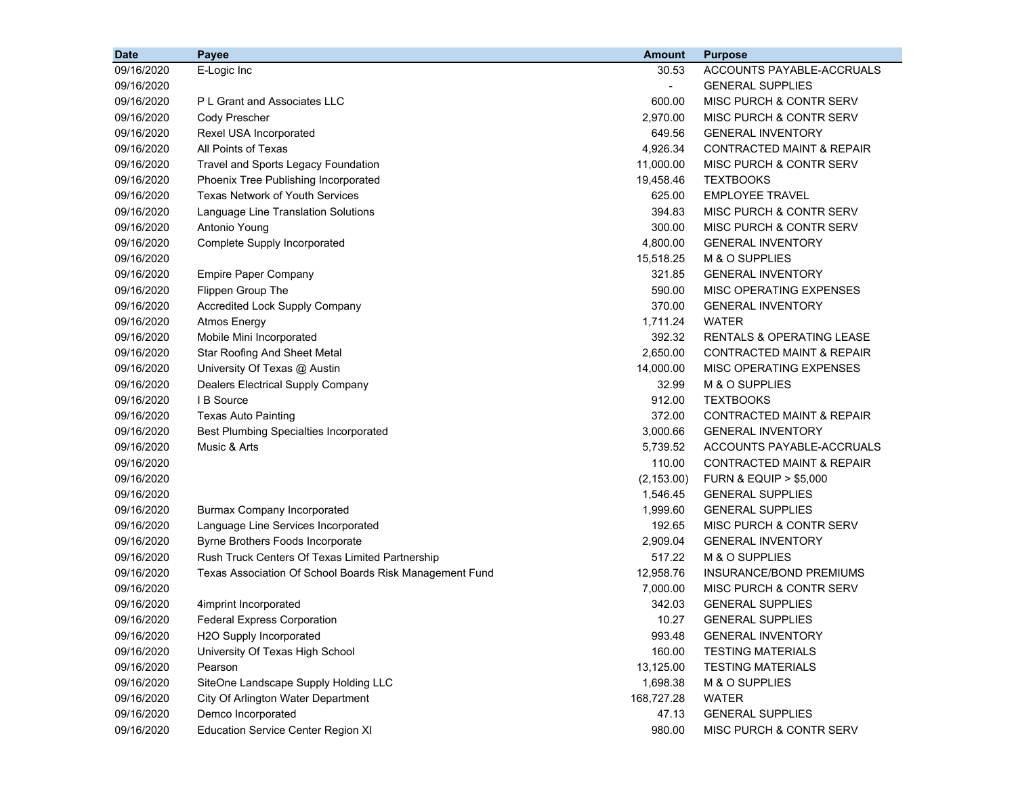| <b>Date</b> | Payee                                                   | <b>Amount</b>  | <b>Purpose</b>                       |
|-------------|---------------------------------------------------------|----------------|--------------------------------------|
| 09/16/2020  | E-Logic Inc                                             | 30.53          | ACCOUNTS PAYABLE-ACCRUALS            |
| 09/16/2020  |                                                         | $\blacksquare$ | <b>GENERAL SUPPLIES</b>              |
| 09/16/2020  | P L Grant and Associates LLC                            | 600.00         | MISC PURCH & CONTR SERV              |
| 09/16/2020  | Cody Prescher                                           | 2,970.00       | MISC PURCH & CONTR SERV              |
| 09/16/2020  | Rexel USA Incorporated                                  | 649.56         | <b>GENERAL INVENTORY</b>             |
| 09/16/2020  | All Points of Texas                                     | 4,926.34       | CONTRACTED MAINT & REPAIR            |
| 09/16/2020  | Travel and Sports Legacy Foundation                     | 11,000.00      | MISC PURCH & CONTR SERV              |
| 09/16/2020  | Phoenix Tree Publishing Incorporated                    | 19,458.46      | <b>TEXTBOOKS</b>                     |
| 09/16/2020  | <b>Texas Network of Youth Services</b>                  | 625.00         | <b>EMPLOYEE TRAVEL</b>               |
| 09/16/2020  | Language Line Translation Solutions                     | 394.83         | MISC PURCH & CONTR SERV              |
| 09/16/2020  | Antonio Young                                           | 300.00         | MISC PURCH & CONTR SERV              |
| 09/16/2020  | Complete Supply Incorporated                            | 4,800.00       | <b>GENERAL INVENTORY</b>             |
| 09/16/2020  |                                                         | 15,518.25      | M & O SUPPLIES                       |
| 09/16/2020  | <b>Empire Paper Company</b>                             | 321.85         | <b>GENERAL INVENTORY</b>             |
| 09/16/2020  | Flippen Group The                                       | 590.00         | MISC OPERATING EXPENSES              |
| 09/16/2020  | Accredited Lock Supply Company                          | 370.00         | <b>GENERAL INVENTORY</b>             |
| 09/16/2020  | <b>Atmos Energy</b>                                     | 1,711.24       | <b>WATER</b>                         |
| 09/16/2020  | Mobile Mini Incorporated                                | 392.32         | RENTALS & OPERATING LEASE            |
| 09/16/2020  | <b>Star Roofing And Sheet Metal</b>                     | 2,650.00       | <b>CONTRACTED MAINT &amp; REPAIR</b> |
| 09/16/2020  | University Of Texas @ Austin                            | 14,000.00      | MISC OPERATING EXPENSES              |
| 09/16/2020  | Dealers Electrical Supply Company                       | 32.99          | M & O SUPPLIES                       |
| 09/16/2020  | I B Source                                              | 912.00         | <b>TEXTBOOKS</b>                     |
| 09/16/2020  | <b>Texas Auto Painting</b>                              | 372.00         | <b>CONTRACTED MAINT &amp; REPAIR</b> |
| 09/16/2020  | <b>Best Plumbing Specialties Incorporated</b>           | 3,000.66       | <b>GENERAL INVENTORY</b>             |
| 09/16/2020  | Music & Arts                                            | 5,739.52       | ACCOUNTS PAYABLE-ACCRUALS            |
| 09/16/2020  |                                                         | 110.00         | CONTRACTED MAINT & REPAIR            |
| 09/16/2020  |                                                         | (2, 153.00)    | <b>FURN &amp; EQUIP &gt; \$5,000</b> |
| 09/16/2020  |                                                         | 1,546.45       | <b>GENERAL SUPPLIES</b>              |
| 09/16/2020  | <b>Burmax Company Incorporated</b>                      | 1,999.60       | <b>GENERAL SUPPLIES</b>              |
| 09/16/2020  | Language Line Services Incorporated                     | 192.65         | MISC PURCH & CONTR SERV              |
| 09/16/2020  | Byrne Brothers Foods Incorporate                        | 2,909.04       | <b>GENERAL INVENTORY</b>             |
| 09/16/2020  | Rush Truck Centers Of Texas Limited Partnership         | 517.22         | M & O SUPPLIES                       |
| 09/16/2020  | Texas Association Of School Boards Risk Management Fund | 12,958.76      | INSURANCE/BOND PREMIUMS              |
| 09/16/2020  |                                                         | 7,000.00       | MISC PURCH & CONTR SERV              |
| 09/16/2020  | 4imprint Incorporated                                   | 342.03         | <b>GENERAL SUPPLIES</b>              |
| 09/16/2020  | <b>Federal Express Corporation</b>                      | 10.27          | <b>GENERAL SUPPLIES</b>              |
| 09/16/2020  | H2O Supply Incorporated                                 | 993.48         | <b>GENERAL INVENTORY</b>             |
| 09/16/2020  | University Of Texas High School                         | 160.00         | <b>TESTING MATERIALS</b>             |
| 09/16/2020  | Pearson                                                 | 13,125.00      | <b>TESTING MATERIALS</b>             |
| 09/16/2020  | SiteOne Landscape Supply Holding LLC                    | 1,698.38       | M & O SUPPLIES                       |
| 09/16/2020  | City Of Arlington Water Department                      | 168,727.28     | <b>WATER</b>                         |
| 09/16/2020  | Demco Incorporated                                      | 47.13          | <b>GENERAL SUPPLIES</b>              |
| 09/16/2020  | <b>Education Service Center Region XI</b>               | 980.00         | MISC PURCH & CONTR SERV              |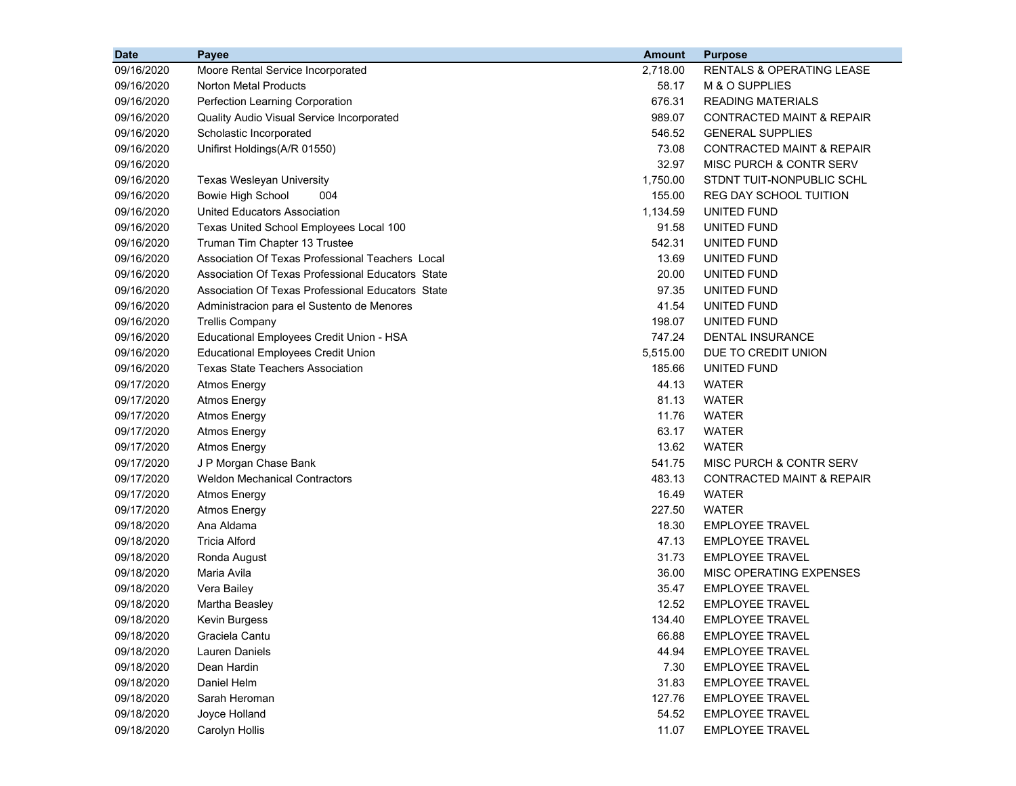| <b>Date</b> | Payee                                             | <b>Amount</b> | <b>Purpose</b>                       |
|-------------|---------------------------------------------------|---------------|--------------------------------------|
| 09/16/2020  | Moore Rental Service Incorporated                 | 2,718.00      | <b>RENTALS &amp; OPERATING LEASE</b> |
| 09/16/2020  | Norton Metal Products                             | 58.17         | M & O SUPPLIES                       |
| 09/16/2020  | Perfection Learning Corporation                   | 676.31        | <b>READING MATERIALS</b>             |
| 09/16/2020  | Quality Audio Visual Service Incorporated         | 989.07        | <b>CONTRACTED MAINT &amp; REPAIR</b> |
| 09/16/2020  | Scholastic Incorporated                           | 546.52        | <b>GENERAL SUPPLIES</b>              |
| 09/16/2020  | Unifirst Holdings(A/R 01550)                      | 73.08         | CONTRACTED MAINT & REPAIR            |
| 09/16/2020  |                                                   | 32.97         | MISC PURCH & CONTR SERV              |
| 09/16/2020  | Texas Wesleyan University                         | 1,750.00      | STDNT TUIT-NONPUBLIC SCHL            |
| 09/16/2020  | Bowie High School<br>004                          | 155.00        | REG DAY SCHOOL TUITION               |
| 09/16/2020  | <b>United Educators Association</b>               | 1,134.59      | UNITED FUND                          |
| 09/16/2020  | Texas United School Employees Local 100           | 91.58         | UNITED FUND                          |
| 09/16/2020  | Truman Tim Chapter 13 Trustee                     | 542.31        | UNITED FUND                          |
| 09/16/2020  | Association Of Texas Professional Teachers Local  | 13.69         | UNITED FUND                          |
| 09/16/2020  | Association Of Texas Professional Educators State | 20.00         | UNITED FUND                          |
| 09/16/2020  | Association Of Texas Professional Educators State | 97.35         | UNITED FUND                          |
| 09/16/2020  | Administracion para el Sustento de Menores        | 41.54         | UNITED FUND                          |
| 09/16/2020  | <b>Trellis Company</b>                            | 198.07        | UNITED FUND                          |
| 09/16/2020  | Educational Employees Credit Union - HSA          | 747.24        | DENTAL INSURANCE                     |
| 09/16/2020  | <b>Educational Employees Credit Union</b>         | 5,515.00      | DUE TO CREDIT UNION                  |
| 09/16/2020  | <b>Texas State Teachers Association</b>           | 185.66        | UNITED FUND                          |
| 09/17/2020  | <b>Atmos Energy</b>                               | 44.13         | <b>WATER</b>                         |
| 09/17/2020  | <b>Atmos Energy</b>                               | 81.13         | <b>WATER</b>                         |
| 09/17/2020  | <b>Atmos Energy</b>                               | 11.76         | <b>WATER</b>                         |
| 09/17/2020  | <b>Atmos Energy</b>                               | 63.17         | <b>WATER</b>                         |
| 09/17/2020  | <b>Atmos Energy</b>                               | 13.62         | WATER                                |
| 09/17/2020  | J P Morgan Chase Bank                             | 541.75        | MISC PURCH & CONTR SERV              |
| 09/17/2020  | <b>Weldon Mechanical Contractors</b>              | 483.13        | CONTRACTED MAINT & REPAIR            |
| 09/17/2020  | <b>Atmos Energy</b>                               | 16.49         | WATER                                |
| 09/17/2020  | <b>Atmos Energy</b>                               | 227.50        | WATER                                |
| 09/18/2020  | Ana Aldama                                        | 18.30         | <b>EMPLOYEE TRAVEL</b>               |
| 09/18/2020  | Tricia Alford                                     | 47.13         | <b>EMPLOYEE TRAVEL</b>               |
| 09/18/2020  | Ronda August                                      | 31.73         | <b>EMPLOYEE TRAVEL</b>               |
| 09/18/2020  | Maria Avila                                       | 36.00         | MISC OPERATING EXPENSES              |
| 09/18/2020  | Vera Bailey                                       | 35.47         | <b>EMPLOYEE TRAVEL</b>               |
| 09/18/2020  | Martha Beasley                                    | 12.52         | <b>EMPLOYEE TRAVEL</b>               |
| 09/18/2020  | Kevin Burgess                                     | 134.40        | <b>EMPLOYEE TRAVEL</b>               |
| 09/18/2020  | Graciela Cantu                                    | 66.88         | <b>EMPLOYEE TRAVEL</b>               |
| 09/18/2020  | <b>Lauren Daniels</b>                             | 44.94         | <b>EMPLOYEE TRAVEL</b>               |
| 09/18/2020  | Dean Hardin                                       | 7.30          | <b>EMPLOYEE TRAVEL</b>               |
| 09/18/2020  | Daniel Helm                                       | 31.83         | <b>EMPLOYEE TRAVEL</b>               |
| 09/18/2020  | Sarah Heroman                                     | 127.76        | <b>EMPLOYEE TRAVEL</b>               |
| 09/18/2020  | Joyce Holland                                     | 54.52         | <b>EMPLOYEE TRAVEL</b>               |
| 09/18/2020  | Carolyn Hollis                                    | 11.07         | <b>EMPLOYEE TRAVEL</b>               |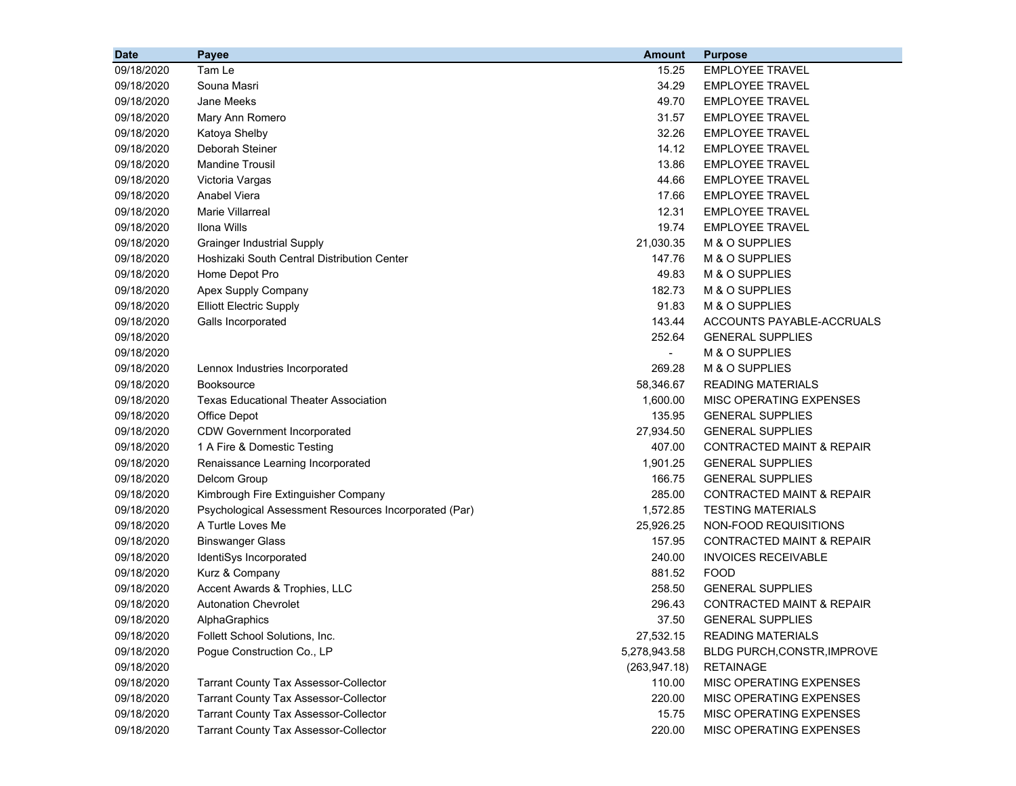| <b>Date</b> | Payee                                                 | <b>Amount</b> | <b>Purpose</b>                       |
|-------------|-------------------------------------------------------|---------------|--------------------------------------|
| 09/18/2020  | Tam Le                                                | 15.25         | <b>EMPLOYEE TRAVEL</b>               |
| 09/18/2020  | Souna Masri                                           | 34.29         | <b>EMPLOYEE TRAVEL</b>               |
| 09/18/2020  | Jane Meeks                                            | 49.70         | <b>EMPLOYEE TRAVEL</b>               |
| 09/18/2020  | Mary Ann Romero                                       | 31.57         | <b>EMPLOYEE TRAVEL</b>               |
| 09/18/2020  | Katoya Shelby                                         | 32.26         | <b>EMPLOYEE TRAVEL</b>               |
| 09/18/2020  | Deborah Steiner                                       | 14.12         | <b>EMPLOYEE TRAVEL</b>               |
| 09/18/2020  | <b>Mandine Trousil</b>                                | 13.86         | <b>EMPLOYEE TRAVEL</b>               |
| 09/18/2020  | Victoria Vargas                                       | 44.66         | <b>EMPLOYEE TRAVEL</b>               |
| 09/18/2020  | Anabel Viera                                          | 17.66         | <b>EMPLOYEE TRAVEL</b>               |
| 09/18/2020  | <b>Marie Villarreal</b>                               | 12.31         | <b>EMPLOYEE TRAVEL</b>               |
| 09/18/2020  | Ilona Wills                                           | 19.74         | <b>EMPLOYEE TRAVEL</b>               |
| 09/18/2020  | <b>Grainger Industrial Supply</b>                     | 21,030.35     | M & O SUPPLIES                       |
| 09/18/2020  | Hoshizaki South Central Distribution Center           | 147.76        | M & O SUPPLIES                       |
| 09/18/2020  | Home Depot Pro                                        | 49.83         | M & O SUPPLIES                       |
| 09/18/2020  | Apex Supply Company                                   | 182.73        | M & O SUPPLIES                       |
| 09/18/2020  | <b>Elliott Electric Supply</b>                        | 91.83         | M & O SUPPLIES                       |
| 09/18/2020  | Galls Incorporated                                    | 143.44        | ACCOUNTS PAYABLE-ACCRUALS            |
| 09/18/2020  |                                                       | 252.64        | <b>GENERAL SUPPLIES</b>              |
| 09/18/2020  |                                                       | $\sim$        | M & O SUPPLIES                       |
| 09/18/2020  | Lennox Industries Incorporated                        | 269.28        | M & O SUPPLIES                       |
| 09/18/2020  | <b>Booksource</b>                                     | 58,346.67     | <b>READING MATERIALS</b>             |
| 09/18/2020  | <b>Texas Educational Theater Association</b>          | 1,600.00      | MISC OPERATING EXPENSES              |
| 09/18/2020  | Office Depot                                          | 135.95        | <b>GENERAL SUPPLIES</b>              |
| 09/18/2020  | <b>CDW Government Incorporated</b>                    | 27,934.50     | <b>GENERAL SUPPLIES</b>              |
| 09/18/2020  | 1 A Fire & Domestic Testing                           | 407.00        | CONTRACTED MAINT & REPAIR            |
| 09/18/2020  | Renaissance Learning Incorporated                     | 1,901.25      | <b>GENERAL SUPPLIES</b>              |
| 09/18/2020  | Delcom Group                                          | 166.75        | <b>GENERAL SUPPLIES</b>              |
| 09/18/2020  | Kimbrough Fire Extinguisher Company                   | 285.00        | <b>CONTRACTED MAINT &amp; REPAIR</b> |
| 09/18/2020  | Psychological Assessment Resources Incorporated (Par) | 1,572.85      | <b>TESTING MATERIALS</b>             |
| 09/18/2020  | A Turtle Loves Me                                     | 25,926.25     | NON-FOOD REQUISITIONS                |
| 09/18/2020  | <b>Binswanger Glass</b>                               | 157.95        | CONTRACTED MAINT & REPAIR            |
| 09/18/2020  | IdentiSys Incorporated                                | 240.00        | <b>INVOICES RECEIVABLE</b>           |
| 09/18/2020  | Kurz & Company                                        | 881.52        | <b>FOOD</b>                          |
| 09/18/2020  | Accent Awards & Trophies, LLC                         | 258.50        | <b>GENERAL SUPPLIES</b>              |
| 09/18/2020  | <b>Autonation Chevrolet</b>                           | 296.43        | <b>CONTRACTED MAINT &amp; REPAIR</b> |
| 09/18/2020  | AlphaGraphics                                         | 37.50         | <b>GENERAL SUPPLIES</b>              |
| 09/18/2020  | Follett School Solutions, Inc.                        | 27,532.15     | <b>READING MATERIALS</b>             |
| 09/18/2020  | Pogue Construction Co., LP                            | 5,278,943.58  | BLDG PURCH, CONSTR, IMPROVE          |
| 09/18/2020  |                                                       | (263, 947.18) | <b>RETAINAGE</b>                     |
| 09/18/2020  | <b>Tarrant County Tax Assessor-Collector</b>          | 110.00        | MISC OPERATING EXPENSES              |
| 09/18/2020  | <b>Tarrant County Tax Assessor-Collector</b>          | 220.00        | MISC OPERATING EXPENSES              |
| 09/18/2020  | <b>Tarrant County Tax Assessor-Collector</b>          | 15.75         | MISC OPERATING EXPENSES              |
| 09/18/2020  | <b>Tarrant County Tax Assessor-Collector</b>          | 220.00        | MISC OPERATING EXPENSES              |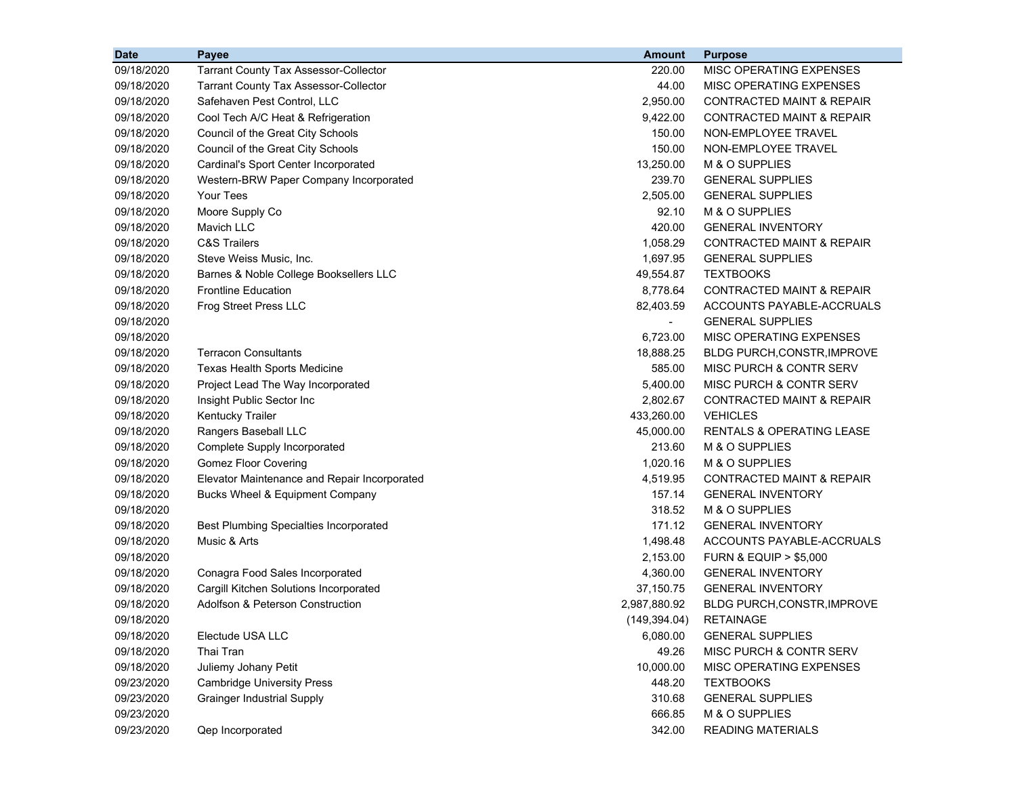| <b>Date</b> | Payee                                         | <b>Amount</b>  | <b>Purpose</b>                       |
|-------------|-----------------------------------------------|----------------|--------------------------------------|
| 09/18/2020  | <b>Tarrant County Tax Assessor-Collector</b>  | 220.00         | MISC OPERATING EXPENSES              |
| 09/18/2020  | <b>Tarrant County Tax Assessor-Collector</b>  | 44.00          | MISC OPERATING EXPENSES              |
| 09/18/2020  | Safehaven Pest Control, LLC                   | 2,950.00       | <b>CONTRACTED MAINT &amp; REPAIR</b> |
| 09/18/2020  | Cool Tech A/C Heat & Refrigeration            | 9,422.00       | <b>CONTRACTED MAINT &amp; REPAIR</b> |
| 09/18/2020  | Council of the Great City Schools             | 150.00         | NON-EMPLOYEE TRAVEL                  |
| 09/18/2020  | Council of the Great City Schools             | 150.00         | NON-EMPLOYEE TRAVEL                  |
| 09/18/2020  | Cardinal's Sport Center Incorporated          | 13,250.00      | M & O SUPPLIES                       |
| 09/18/2020  | Western-BRW Paper Company Incorporated        | 239.70         | <b>GENERAL SUPPLIES</b>              |
| 09/18/2020  | Your Tees                                     | 2,505.00       | <b>GENERAL SUPPLIES</b>              |
| 09/18/2020  | Moore Supply Co                               | 92.10          | M & O SUPPLIES                       |
| 09/18/2020  | Mavich LLC                                    | 420.00         | <b>GENERAL INVENTORY</b>             |
| 09/18/2020  | <b>C&amp;S Trailers</b>                       | 1,058.29       | <b>CONTRACTED MAINT &amp; REPAIR</b> |
| 09/18/2020  | Steve Weiss Music, Inc.                       | 1,697.95       | <b>GENERAL SUPPLIES</b>              |
| 09/18/2020  | Barnes & Noble College Booksellers LLC        | 49,554.87      | <b>TEXTBOOKS</b>                     |
| 09/18/2020  | <b>Frontline Education</b>                    | 8,778.64       | <b>CONTRACTED MAINT &amp; REPAIR</b> |
| 09/18/2020  | Frog Street Press LLC                         | 82,403.59      | ACCOUNTS PAYABLE-ACCRUALS            |
| 09/18/2020  |                                               | $\blacksquare$ | <b>GENERAL SUPPLIES</b>              |
| 09/18/2020  |                                               | 6,723.00       | MISC OPERATING EXPENSES              |
| 09/18/2020  | <b>Terracon Consultants</b>                   | 18,888.25      | <b>BLDG PURCH, CONSTR, IMPROVE</b>   |
| 09/18/2020  | Texas Health Sports Medicine                  | 585.00         | MISC PURCH & CONTR SERV              |
| 09/18/2020  | Project Lead The Way Incorporated             | 5,400.00       | MISC PURCH & CONTR SERV              |
| 09/18/2020  | Insight Public Sector Inc                     | 2,802.67       | <b>CONTRACTED MAINT &amp; REPAIR</b> |
| 09/18/2020  | Kentucky Trailer                              | 433,260.00     | <b>VEHICLES</b>                      |
| 09/18/2020  | Rangers Baseball LLC                          | 45,000.00      | <b>RENTALS &amp; OPERATING LEASE</b> |
| 09/18/2020  | Complete Supply Incorporated                  | 213.60         | M & O SUPPLIES                       |
| 09/18/2020  | <b>Gomez Floor Covering</b>                   | 1,020.16       | M & O SUPPLIES                       |
| 09/18/2020  | Elevator Maintenance and Repair Incorporated  | 4,519.95       | <b>CONTRACTED MAINT &amp; REPAIR</b> |
| 09/18/2020  | Bucks Wheel & Equipment Company               | 157.14         | <b>GENERAL INVENTORY</b>             |
| 09/18/2020  |                                               | 318.52         | M & O SUPPLIES                       |
| 09/18/2020  | <b>Best Plumbing Specialties Incorporated</b> | 171.12         | <b>GENERAL INVENTORY</b>             |
| 09/18/2020  | Music & Arts                                  | 1,498.48       | ACCOUNTS PAYABLE-ACCRUALS            |
| 09/18/2020  |                                               | 2,153.00       | <b>FURN &amp; EQUIP &gt; \$5,000</b> |
| 09/18/2020  | Conagra Food Sales Incorporated               | 4,360.00       | <b>GENERAL INVENTORY</b>             |
| 09/18/2020  | Cargill Kitchen Solutions Incorporated        | 37,150.75      | <b>GENERAL INVENTORY</b>             |
| 09/18/2020  | Adolfson & Peterson Construction              | 2,987,880.92   | <b>BLDG PURCH, CONSTR, IMPROVE</b>   |
| 09/18/2020  |                                               | (149, 394.04)  | <b>RETAINAGE</b>                     |
| 09/18/2020  | Electude USA LLC                              | 6,080.00       | <b>GENERAL SUPPLIES</b>              |
| 09/18/2020  | Thai Tran                                     | 49.26          | MISC PURCH & CONTR SERV              |
| 09/18/2020  | Juliemy Johany Petit                          | 10,000.00      | MISC OPERATING EXPENSES              |
| 09/23/2020  | <b>Cambridge University Press</b>             | 448.20         | <b>TEXTBOOKS</b>                     |
| 09/23/2020  | <b>Grainger Industrial Supply</b>             | 310.68         | <b>GENERAL SUPPLIES</b>              |
| 09/23/2020  |                                               | 666.85         | M & O SUPPLIES                       |
| 09/23/2020  | Qep Incorporated                              | 342.00         | <b>READING MATERIALS</b>             |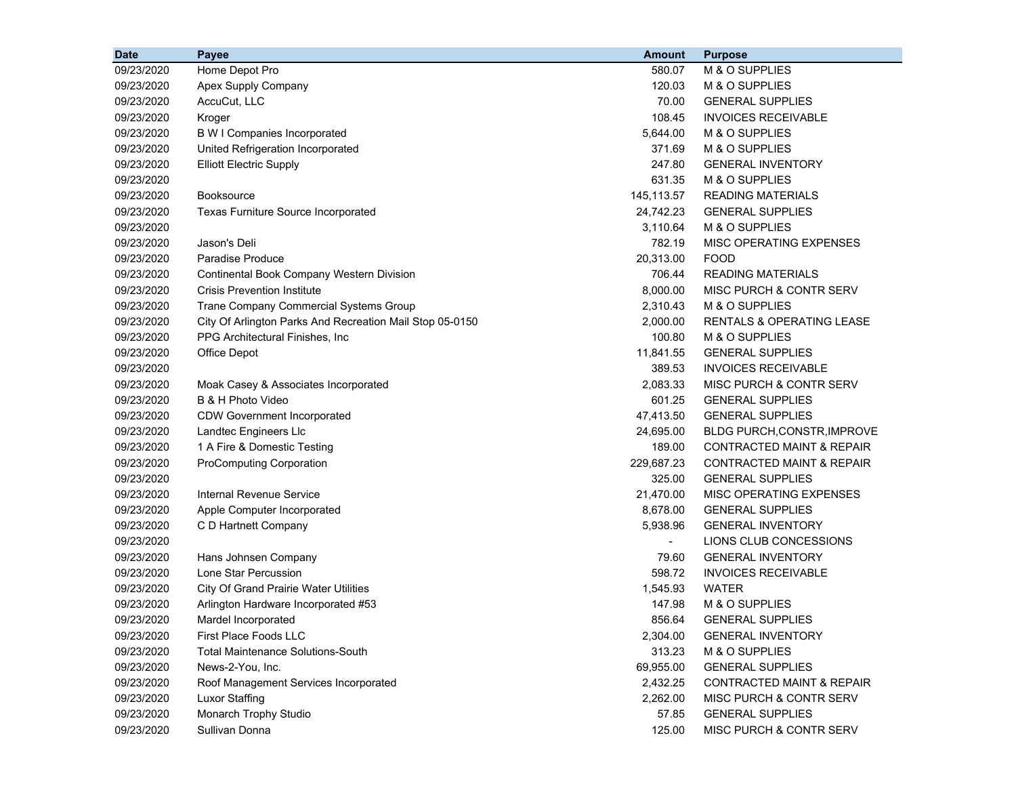| <b>Date</b> | Payee                                                    | <b>Amount</b>  | <b>Purpose</b>                       |
|-------------|----------------------------------------------------------|----------------|--------------------------------------|
| 09/23/2020  | Home Depot Pro                                           | 580.07         | M & O SUPPLIES                       |
| 09/23/2020  | Apex Supply Company                                      | 120.03         | M & O SUPPLIES                       |
| 09/23/2020  | AccuCut, LLC                                             | 70.00          | <b>GENERAL SUPPLIES</b>              |
| 09/23/2020  | Kroger                                                   | 108.45         | <b>INVOICES RECEIVABLE</b>           |
| 09/23/2020  | <b>B W I Companies Incorporated</b>                      | 5,644.00       | M & O SUPPLIES                       |
| 09/23/2020  | United Refrigeration Incorporated                        | 371.69         | M & O SUPPLIES                       |
| 09/23/2020  | <b>Elliott Electric Supply</b>                           | 247.80         | <b>GENERAL INVENTORY</b>             |
| 09/23/2020  |                                                          | 631.35         | M & O SUPPLIES                       |
| 09/23/2020  | <b>Booksource</b>                                        | 145,113.57     | <b>READING MATERIALS</b>             |
| 09/23/2020  | Texas Furniture Source Incorporated                      | 24,742.23      | <b>GENERAL SUPPLIES</b>              |
| 09/23/2020  |                                                          | 3,110.64       | M & O SUPPLIES                       |
| 09/23/2020  | Jason's Deli                                             | 782.19         | MISC OPERATING EXPENSES              |
| 09/23/2020  | Paradise Produce                                         | 20,313.00      | <b>FOOD</b>                          |
| 09/23/2020  | <b>Continental Book Company Western Division</b>         | 706.44         | <b>READING MATERIALS</b>             |
| 09/23/2020  | <b>Crisis Prevention Institute</b>                       | 8,000.00       | MISC PURCH & CONTR SERV              |
| 09/23/2020  | Trane Company Commercial Systems Group                   | 2,310.43       | M & O SUPPLIES                       |
| 09/23/2020  | City Of Arlington Parks And Recreation Mail Stop 05-0150 | 2,000.00       | <b>RENTALS &amp; OPERATING LEASE</b> |
| 09/23/2020  | PPG Architectural Finishes, Inc.                         | 100.80         | M & O SUPPLIES                       |
| 09/23/2020  | Office Depot                                             | 11,841.55      | <b>GENERAL SUPPLIES</b>              |
| 09/23/2020  |                                                          | 389.53         | <b>INVOICES RECEIVABLE</b>           |
| 09/23/2020  | Moak Casey & Associates Incorporated                     | 2,083.33       | MISC PURCH & CONTR SERV              |
| 09/23/2020  | B & H Photo Video                                        | 601.25         | <b>GENERAL SUPPLIES</b>              |
| 09/23/2020  | <b>CDW Government Incorporated</b>                       | 47,413.50      | <b>GENERAL SUPPLIES</b>              |
| 09/23/2020  | Landtec Engineers Llc                                    | 24,695.00      | BLDG PURCH, CONSTR, IMPROVE          |
| 09/23/2020  | 1 A Fire & Domestic Testing                              | 189.00         | <b>CONTRACTED MAINT &amp; REPAIR</b> |
| 09/23/2020  | <b>ProComputing Corporation</b>                          | 229,687.23     | <b>CONTRACTED MAINT &amp; REPAIR</b> |
| 09/23/2020  |                                                          | 325.00         | <b>GENERAL SUPPLIES</b>              |
| 09/23/2020  | <b>Internal Revenue Service</b>                          | 21,470.00      | MISC OPERATING EXPENSES              |
| 09/23/2020  | Apple Computer Incorporated                              | 8,678.00       | <b>GENERAL SUPPLIES</b>              |
| 09/23/2020  | C D Hartnett Company                                     | 5,938.96       | <b>GENERAL INVENTORY</b>             |
| 09/23/2020  |                                                          | $\blacksquare$ | LIONS CLUB CONCESSIONS               |
| 09/23/2020  | Hans Johnsen Company                                     | 79.60          | <b>GENERAL INVENTORY</b>             |
| 09/23/2020  | Lone Star Percussion                                     | 598.72         | <b>INVOICES RECEIVABLE</b>           |
| 09/23/2020  | <b>City Of Grand Prairie Water Utilities</b>             | 1,545.93       | <b>WATER</b>                         |
| 09/23/2020  | Arlington Hardware Incorporated #53                      | 147.98         | M & O SUPPLIES                       |
| 09/23/2020  | Mardel Incorporated                                      | 856.64         | <b>GENERAL SUPPLIES</b>              |
| 09/23/2020  | First Place Foods LLC                                    | 2,304.00       | <b>GENERAL INVENTORY</b>             |
| 09/23/2020  | <b>Total Maintenance Solutions-South</b>                 | 313.23         | M & O SUPPLIES                       |
| 09/23/2020  | News-2-You, Inc.                                         | 69,955.00      | <b>GENERAL SUPPLIES</b>              |
| 09/23/2020  | Roof Management Services Incorporated                    | 2,432.25       | <b>CONTRACTED MAINT &amp; REPAIR</b> |
| 09/23/2020  | Luxor Staffing                                           | 2,262.00       | MISC PURCH & CONTR SERV              |
| 09/23/2020  | Monarch Trophy Studio                                    | 57.85          | <b>GENERAL SUPPLIES</b>              |
| 09/23/2020  | Sullivan Donna                                           | 125.00         | MISC PURCH & CONTR SERV              |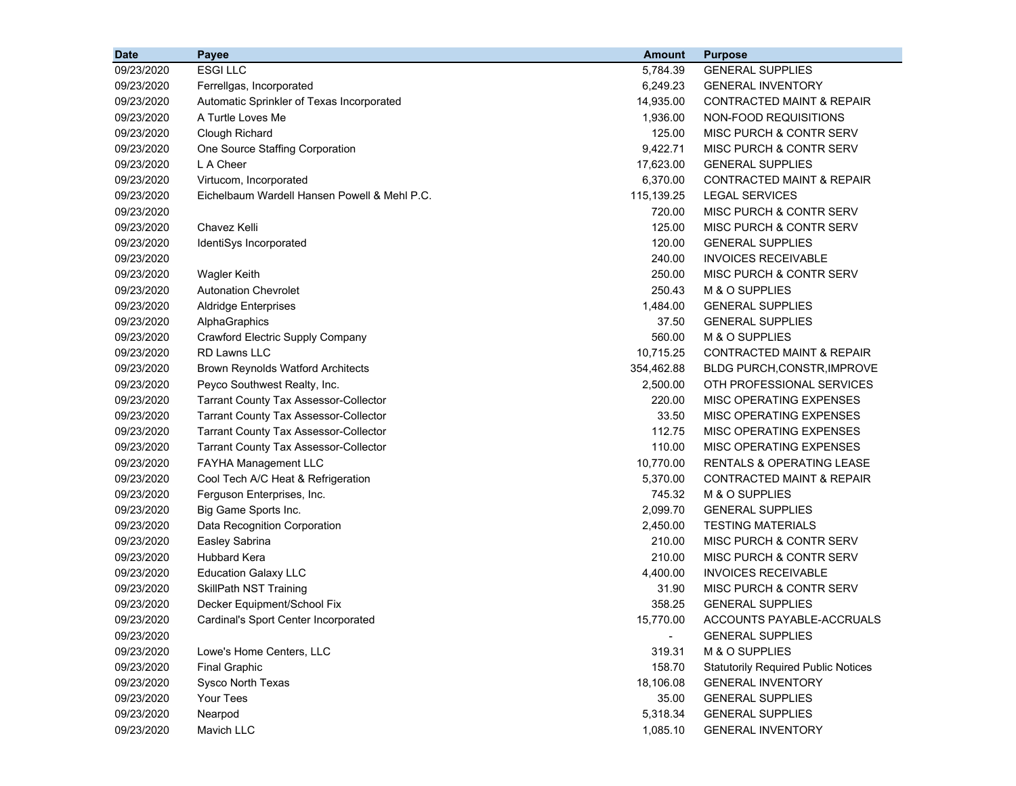| <b>Date</b> | Payee                                        | <b>Amount</b> | <b>Purpose</b>                             |
|-------------|----------------------------------------------|---------------|--------------------------------------------|
| 09/23/2020  | <b>ESGILLC</b>                               | 5,784.39      | <b>GENERAL SUPPLIES</b>                    |
| 09/23/2020  | Ferrellgas, Incorporated                     | 6,249.23      | <b>GENERAL INVENTORY</b>                   |
| 09/23/2020  | Automatic Sprinkler of Texas Incorporated    | 14,935.00     | <b>CONTRACTED MAINT &amp; REPAIR</b>       |
| 09/23/2020  | A Turtle Loves Me                            | 1,936.00      | NON-FOOD REQUISITIONS                      |
| 09/23/2020  | Clough Richard                               | 125.00        | MISC PURCH & CONTR SERV                    |
| 09/23/2020  | One Source Staffing Corporation              | 9,422.71      | MISC PURCH & CONTR SERV                    |
| 09/23/2020  | L A Cheer                                    | 17,623.00     | <b>GENERAL SUPPLIES</b>                    |
| 09/23/2020  | Virtucom, Incorporated                       | 6,370.00      | <b>CONTRACTED MAINT &amp; REPAIR</b>       |
| 09/23/2020  | Eichelbaum Wardell Hansen Powell & Mehl P.C. | 115,139.25    | <b>LEGAL SERVICES</b>                      |
| 09/23/2020  |                                              | 720.00        | MISC PURCH & CONTR SERV                    |
| 09/23/2020  | Chavez Kelli                                 | 125.00        | MISC PURCH & CONTR SERV                    |
| 09/23/2020  | IdentiSys Incorporated                       | 120.00        | <b>GENERAL SUPPLIES</b>                    |
| 09/23/2020  |                                              | 240.00        | <b>INVOICES RECEIVABLE</b>                 |
| 09/23/2020  | <b>Wagler Keith</b>                          | 250.00        | MISC PURCH & CONTR SERV                    |
| 09/23/2020  | <b>Autonation Chevrolet</b>                  | 250.43        | M & O SUPPLIES                             |
| 09/23/2020  | <b>Aldridge Enterprises</b>                  | 1,484.00      | <b>GENERAL SUPPLIES</b>                    |
| 09/23/2020  | AlphaGraphics                                | 37.50         | <b>GENERAL SUPPLIES</b>                    |
| 09/23/2020  | <b>Crawford Electric Supply Company</b>      | 560.00        | M & O SUPPLIES                             |
| 09/23/2020  | <b>RD Lawns LLC</b>                          | 10,715.25     | <b>CONTRACTED MAINT &amp; REPAIR</b>       |
| 09/23/2020  | <b>Brown Reynolds Watford Architects</b>     | 354,462.88    | BLDG PURCH, CONSTR, IMPROVE                |
| 09/23/2020  | Peyco Southwest Realty, Inc.                 | 2,500.00      | OTH PROFESSIONAL SERVICES                  |
| 09/23/2020  | <b>Tarrant County Tax Assessor-Collector</b> | 220.00        | MISC OPERATING EXPENSES                    |
| 09/23/2020  | <b>Tarrant County Tax Assessor-Collector</b> | 33.50         | MISC OPERATING EXPENSES                    |
| 09/23/2020  | <b>Tarrant County Tax Assessor-Collector</b> | 112.75        | MISC OPERATING EXPENSES                    |
| 09/23/2020  | <b>Tarrant County Tax Assessor-Collector</b> | 110.00        | MISC OPERATING EXPENSES                    |
| 09/23/2020  | FAYHA Management LLC                         | 10,770.00     | <b>RENTALS &amp; OPERATING LEASE</b>       |
| 09/23/2020  | Cool Tech A/C Heat & Refrigeration           | 5,370.00      | <b>CONTRACTED MAINT &amp; REPAIR</b>       |
| 09/23/2020  | Ferguson Enterprises, Inc.                   | 745.32        | M & O SUPPLIES                             |
| 09/23/2020  | Big Game Sports Inc.                         | 2,099.70      | <b>GENERAL SUPPLIES</b>                    |
| 09/23/2020  | Data Recognition Corporation                 | 2,450.00      | <b>TESTING MATERIALS</b>                   |
| 09/23/2020  | Easley Sabrina                               | 210.00        | MISC PURCH & CONTR SERV                    |
| 09/23/2020  | <b>Hubbard Kera</b>                          | 210.00        | <b>MISC PURCH &amp; CONTR SERV</b>         |
| 09/23/2020  | <b>Education Galaxy LLC</b>                  | 4,400.00      | <b>INVOICES RECEIVABLE</b>                 |
| 09/23/2020  | <b>SkillPath NST Training</b>                | 31.90         | MISC PURCH & CONTR SERV                    |
| 09/23/2020  | Decker Equipment/School Fix                  | 358.25        | <b>GENERAL SUPPLIES</b>                    |
| 09/23/2020  | Cardinal's Sport Center Incorporated         | 15,770.00     | ACCOUNTS PAYABLE-ACCRUALS                  |
| 09/23/2020  |                                              | $\sim$        | <b>GENERAL SUPPLIES</b>                    |
| 09/23/2020  | Lowe's Home Centers, LLC                     | 319.31        | M & O SUPPLIES                             |
| 09/23/2020  | <b>Final Graphic</b>                         | 158.70        | <b>Statutorily Required Public Notices</b> |
| 09/23/2020  | Sysco North Texas                            | 18,106.08     | <b>GENERAL INVENTORY</b>                   |
| 09/23/2020  | Your Tees                                    | 35.00         | <b>GENERAL SUPPLIES</b>                    |
| 09/23/2020  | Nearpod                                      | 5,318.34      | <b>GENERAL SUPPLIES</b>                    |
| 09/23/2020  | Mavich LLC                                   | 1,085.10      | <b>GENERAL INVENTORY</b>                   |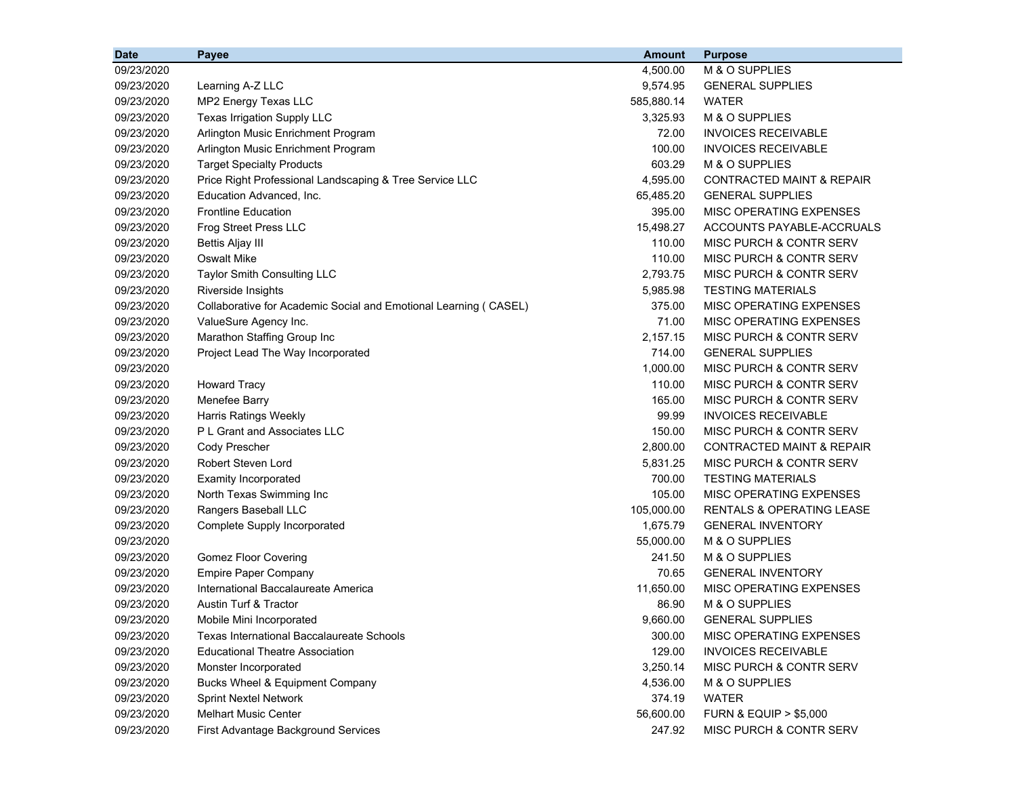| <b>Date</b> | Payee                                                            | <b>Amount</b> | <b>Purpose</b>                       |
|-------------|------------------------------------------------------------------|---------------|--------------------------------------|
| 09/23/2020  |                                                                  | 4,500.00      | M & O SUPPLIES                       |
| 09/23/2020  | Learning A-Z LLC                                                 | 9,574.95      | <b>GENERAL SUPPLIES</b>              |
| 09/23/2020  | MP2 Energy Texas LLC                                             | 585,880.14    | <b>WATER</b>                         |
| 09/23/2020  | Texas Irrigation Supply LLC                                      | 3,325.93      | M & O SUPPLIES                       |
| 09/23/2020  | Arlington Music Enrichment Program                               | 72.00         | <b>INVOICES RECEIVABLE</b>           |
| 09/23/2020  | Arlington Music Enrichment Program                               | 100.00        | <b>INVOICES RECEIVABLE</b>           |
| 09/23/2020  | <b>Target Specialty Products</b>                                 | 603.29        | M & O SUPPLIES                       |
| 09/23/2020  | Price Right Professional Landscaping & Tree Service LLC          | 4,595.00      | <b>CONTRACTED MAINT &amp; REPAIR</b> |
| 09/23/2020  | Education Advanced, Inc.                                         | 65,485.20     | <b>GENERAL SUPPLIES</b>              |
| 09/23/2020  | <b>Frontline Education</b>                                       | 395.00        | MISC OPERATING EXPENSES              |
| 09/23/2020  | Frog Street Press LLC                                            | 15,498.27     | ACCOUNTS PAYABLE-ACCRUALS            |
| 09/23/2020  | Bettis Aljay III                                                 | 110.00        | MISC PURCH & CONTR SERV              |
| 09/23/2020  | Oswalt Mike                                                      | 110.00        | MISC PURCH & CONTR SERV              |
| 09/23/2020  | <b>Taylor Smith Consulting LLC</b>                               | 2,793.75      | MISC PURCH & CONTR SERV              |
| 09/23/2020  | Riverside Insights                                               | 5,985.98      | <b>TESTING MATERIALS</b>             |
| 09/23/2020  | Collaborative for Academic Social and Emotional Learning (CASEL) | 375.00        | MISC OPERATING EXPENSES              |
| 09/23/2020  | ValueSure Agency Inc.                                            | 71.00         | MISC OPERATING EXPENSES              |
| 09/23/2020  | Marathon Staffing Group Inc                                      | 2,157.15      | MISC PURCH & CONTR SERV              |
| 09/23/2020  | Project Lead The Way Incorporated                                | 714.00        | <b>GENERAL SUPPLIES</b>              |
| 09/23/2020  |                                                                  | 1,000.00      | MISC PURCH & CONTR SERV              |
| 09/23/2020  | <b>Howard Tracy</b>                                              | 110.00        | MISC PURCH & CONTR SERV              |
| 09/23/2020  | Menefee Barry                                                    | 165.00        | MISC PURCH & CONTR SERV              |
| 09/23/2020  | <b>Harris Ratings Weekly</b>                                     | 99.99         | <b>INVOICES RECEIVABLE</b>           |
| 09/23/2020  | P L Grant and Associates LLC                                     | 150.00        | MISC PURCH & CONTR SERV              |
| 09/23/2020  | Cody Prescher                                                    | 2,800.00      | CONTRACTED MAINT & REPAIR            |
| 09/23/2020  | Robert Steven Lord                                               | 5,831.25      | MISC PURCH & CONTR SERV              |
| 09/23/2020  | <b>Examity Incorporated</b>                                      | 700.00        | <b>TESTING MATERIALS</b>             |
| 09/23/2020  | North Texas Swimming Inc                                         | 105.00        | MISC OPERATING EXPENSES              |
| 09/23/2020  | Rangers Baseball LLC                                             | 105,000.00    | RENTALS & OPERATING LEASE            |
| 09/23/2020  | Complete Supply Incorporated                                     | 1,675.79      | <b>GENERAL INVENTORY</b>             |
| 09/23/2020  |                                                                  | 55,000.00     | M & O SUPPLIES                       |
| 09/23/2020  | <b>Gomez Floor Covering</b>                                      | 241.50        | M & O SUPPLIES                       |
| 09/23/2020  | <b>Empire Paper Company</b>                                      | 70.65         | <b>GENERAL INVENTORY</b>             |
| 09/23/2020  | International Baccalaureate America                              | 11,650.00     | MISC OPERATING EXPENSES              |
| 09/23/2020  | <b>Austin Turf &amp; Tractor</b>                                 | 86.90         | M & O SUPPLIES                       |
| 09/23/2020  | Mobile Mini Incorporated                                         | 9,660.00      | <b>GENERAL SUPPLIES</b>              |
| 09/23/2020  | <b>Texas International Baccalaureate Schools</b>                 | 300.00        | MISC OPERATING EXPENSES              |
| 09/23/2020  | <b>Educational Theatre Association</b>                           | 129.00        | <b>INVOICES RECEIVABLE</b>           |
| 09/23/2020  | Monster Incorporated                                             | 3,250.14      | MISC PURCH & CONTR SERV              |
| 09/23/2020  | Bucks Wheel & Equipment Company                                  | 4,536.00      | M & O SUPPLIES                       |
| 09/23/2020  | <b>Sprint Nextel Network</b>                                     | 374.19        | <b>WATER</b>                         |
| 09/23/2020  | <b>Melhart Music Center</b>                                      | 56,600.00     | <b>FURN &amp; EQUIP &gt; \$5,000</b> |
| 09/23/2020  | First Advantage Background Services                              | 247.92        | MISC PURCH & CONTR SERV              |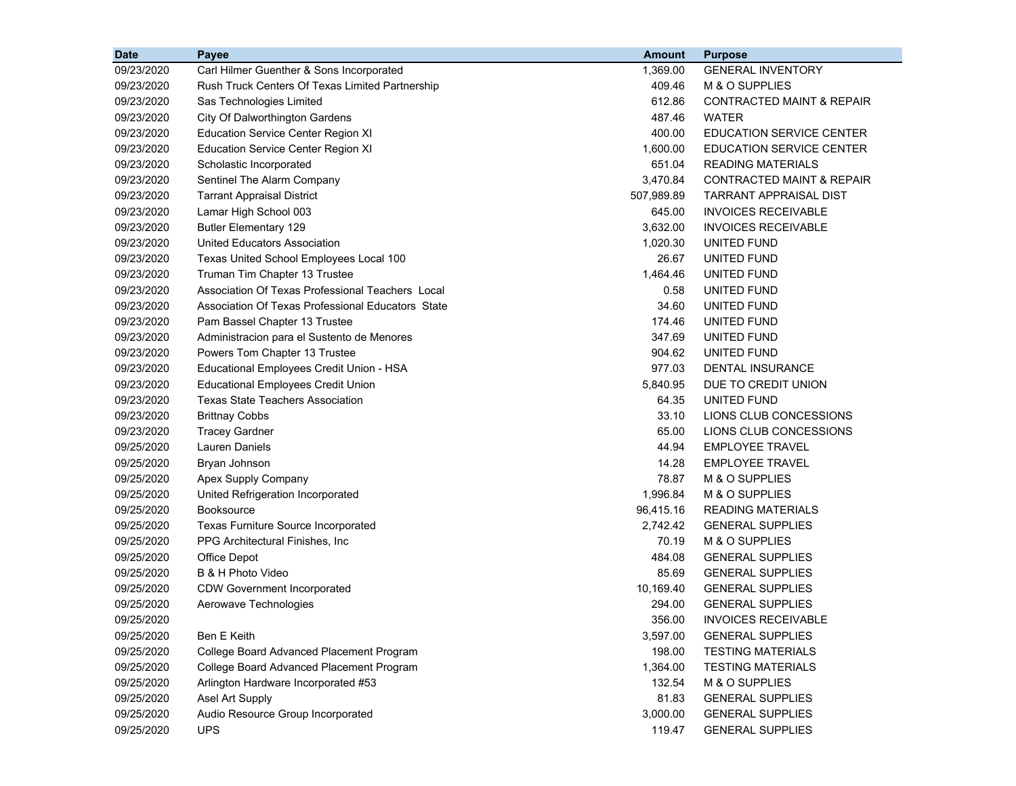| <b>Date</b> | Payee                                             | <b>Amount</b> | <b>Purpose</b>                       |
|-------------|---------------------------------------------------|---------------|--------------------------------------|
| 09/23/2020  | Carl Hilmer Guenther & Sons Incorporated          | 1,369.00      | <b>GENERAL INVENTORY</b>             |
| 09/23/2020  | Rush Truck Centers Of Texas Limited Partnership   | 409.46        | M & O SUPPLIES                       |
| 09/23/2020  | Sas Technologies Limited                          | 612.86        | <b>CONTRACTED MAINT &amp; REPAIR</b> |
| 09/23/2020  | City Of Dalworthington Gardens                    | 487.46        | <b>WATER</b>                         |
| 09/23/2020  | <b>Education Service Center Region XI</b>         | 400.00        | <b>EDUCATION SERVICE CENTER</b>      |
| 09/23/2020  | <b>Education Service Center Region XI</b>         | 1,600.00      | <b>EDUCATION SERVICE CENTER</b>      |
| 09/23/2020  | Scholastic Incorporated                           | 651.04        | <b>READING MATERIALS</b>             |
| 09/23/2020  | Sentinel The Alarm Company                        | 3,470.84      | <b>CONTRACTED MAINT &amp; REPAIR</b> |
| 09/23/2020  | <b>Tarrant Appraisal District</b>                 | 507,989.89    | <b>TARRANT APPRAISAL DIST</b>        |
| 09/23/2020  | Lamar High School 003                             | 645.00        | <b>INVOICES RECEIVABLE</b>           |
| 09/23/2020  | <b>Butler Elementary 129</b>                      | 3,632.00      | <b>INVOICES RECEIVABLE</b>           |
| 09/23/2020  | <b>United Educators Association</b>               | 1,020.30      | UNITED FUND                          |
| 09/23/2020  | Texas United School Employees Local 100           | 26.67         | UNITED FUND                          |
| 09/23/2020  | Truman Tim Chapter 13 Trustee                     | 1,464.46      | UNITED FUND                          |
| 09/23/2020  | Association Of Texas Professional Teachers Local  | 0.58          | UNITED FUND                          |
| 09/23/2020  | Association Of Texas Professional Educators State | 34.60         | UNITED FUND                          |
| 09/23/2020  | Pam Bassel Chapter 13 Trustee                     | 174.46        | UNITED FUND                          |
| 09/23/2020  | Administracion para el Sustento de Menores        | 347.69        | UNITED FUND                          |
| 09/23/2020  | Powers Tom Chapter 13 Trustee                     | 904.62        | UNITED FUND                          |
| 09/23/2020  | Educational Employees Credit Union - HSA          | 977.03        | DENTAL INSURANCE                     |
| 09/23/2020  | <b>Educational Employees Credit Union</b>         | 5,840.95      | DUE TO CREDIT UNION                  |
| 09/23/2020  | Texas State Teachers Association                  | 64.35         | UNITED FUND                          |
| 09/23/2020  | <b>Brittnay Cobbs</b>                             | 33.10         | LIONS CLUB CONCESSIONS               |
| 09/23/2020  | <b>Tracey Gardner</b>                             | 65.00         | LIONS CLUB CONCESSIONS               |
| 09/25/2020  | <b>Lauren Daniels</b>                             | 44.94         | <b>EMPLOYEE TRAVEL</b>               |
| 09/25/2020  | Bryan Johnson                                     | 14.28         | EMPLOYEE TRAVEL                      |
| 09/25/2020  | Apex Supply Company                               | 78.87         | M & O SUPPLIES                       |
| 09/25/2020  | United Refrigeration Incorporated                 | 1,996.84      | M & O SUPPLIES                       |
| 09/25/2020  | <b>Booksource</b>                                 | 96,415.16     | <b>READING MATERIALS</b>             |
| 09/25/2020  | Texas Furniture Source Incorporated               | 2,742.42      | <b>GENERAL SUPPLIES</b>              |
| 09/25/2020  | PPG Architectural Finishes, Inc.                  | 70.19         | M & O SUPPLIES                       |
| 09/25/2020  | Office Depot                                      | 484.08        | <b>GENERAL SUPPLIES</b>              |
| 09/25/2020  | B & H Photo Video                                 | 85.69         | <b>GENERAL SUPPLIES</b>              |
| 09/25/2020  | <b>CDW Government Incorporated</b>                | 10,169.40     | <b>GENERAL SUPPLIES</b>              |
| 09/25/2020  | Aerowave Technologies                             | 294.00        | <b>GENERAL SUPPLIES</b>              |
| 09/25/2020  |                                                   | 356.00        | <b>INVOICES RECEIVABLE</b>           |
| 09/25/2020  | <b>Ben E Keith</b>                                | 3,597.00      | <b>GENERAL SUPPLIES</b>              |
| 09/25/2020  | College Board Advanced Placement Program          | 198.00        | <b>TESTING MATERIALS</b>             |
| 09/25/2020  | College Board Advanced Placement Program          | 1,364.00      | <b>TESTING MATERIALS</b>             |
| 09/25/2020  | Arlington Hardware Incorporated #53               | 132.54        | M & O SUPPLIES                       |
| 09/25/2020  | Asel Art Supply                                   | 81.83         | <b>GENERAL SUPPLIES</b>              |
| 09/25/2020  | Audio Resource Group Incorporated                 | 3,000.00      | <b>GENERAL SUPPLIES</b>              |
| 09/25/2020  | <b>UPS</b>                                        | 119.47        | <b>GENERAL SUPPLIES</b>              |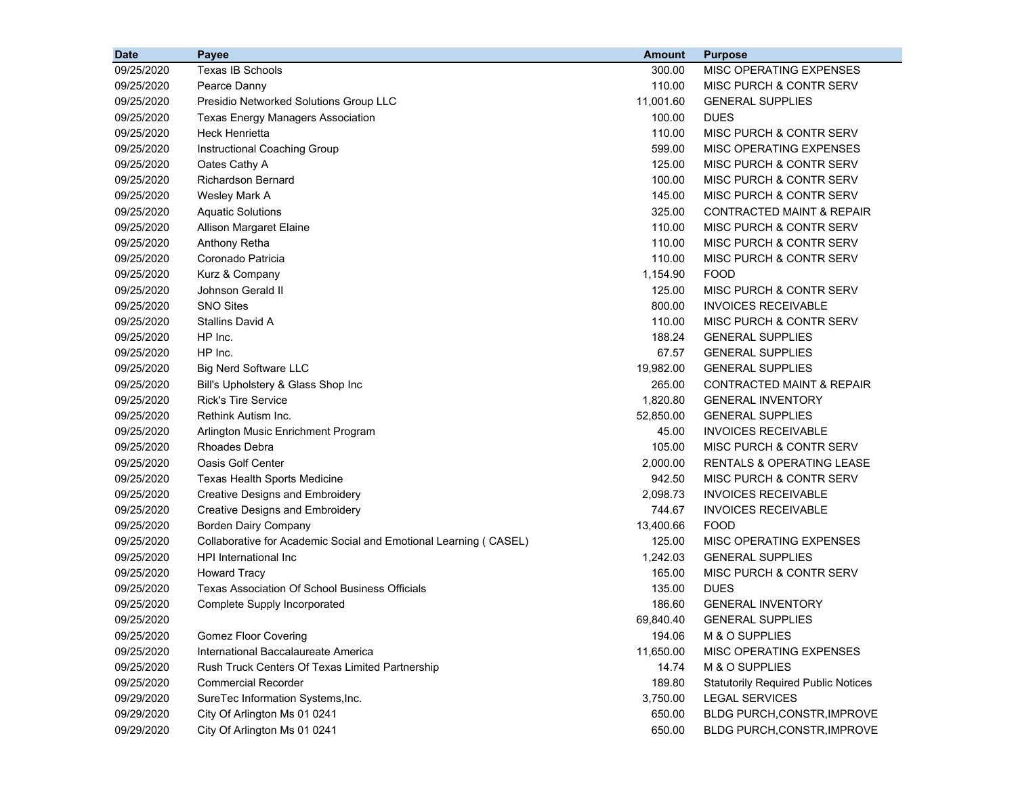| <b>Date</b> | Payee                                                            | <b>Amount</b> | <b>Purpose</b>                             |
|-------------|------------------------------------------------------------------|---------------|--------------------------------------------|
| 09/25/2020  | Texas IB Schools                                                 | 300.00        | MISC OPERATING EXPENSES                    |
| 09/25/2020  | Pearce Danny                                                     | 110.00        | <b>MISC PURCH &amp; CONTR SERV</b>         |
| 09/25/2020  | Presidio Networked Solutions Group LLC                           | 11,001.60     | <b>GENERAL SUPPLIES</b>                    |
| 09/25/2020  | <b>Texas Energy Managers Association</b>                         | 100.00        | <b>DUES</b>                                |
| 09/25/2020  | <b>Heck Henrietta</b>                                            | 110.00        | MISC PURCH & CONTR SERV                    |
| 09/25/2020  | Instructional Coaching Group                                     | 599.00        | MISC OPERATING EXPENSES                    |
| 09/25/2020  | Oates Cathy A                                                    | 125.00        | MISC PURCH & CONTR SERV                    |
| 09/25/2020  | Richardson Bernard                                               | 100.00        | MISC PURCH & CONTR SERV                    |
| 09/25/2020  | Wesley Mark A                                                    | 145.00        | MISC PURCH & CONTR SERV                    |
| 09/25/2020  | <b>Aquatic Solutions</b>                                         | 325.00        | <b>CONTRACTED MAINT &amp; REPAIR</b>       |
| 09/25/2020  | Allison Margaret Elaine                                          | 110.00        | <b>MISC PURCH &amp; CONTR SERV</b>         |
| 09/25/2020  | Anthony Retha                                                    | 110.00        | <b>MISC PURCH &amp; CONTR SERV</b>         |
| 09/25/2020  | Coronado Patricia                                                | 110.00        | <b>MISC PURCH &amp; CONTR SERV</b>         |
| 09/25/2020  | Kurz & Company                                                   | 1,154.90      | <b>FOOD</b>                                |
| 09/25/2020  | Johnson Gerald II                                                | 125.00        | <b>MISC PURCH &amp; CONTR SERV</b>         |
| 09/25/2020  | <b>SNO Sites</b>                                                 | 800.00        | <b>INVOICES RECEIVABLE</b>                 |
| 09/25/2020  | <b>Stallins David A</b>                                          | 110.00        | <b>MISC PURCH &amp; CONTR SERV</b>         |
| 09/25/2020  | HP Inc.                                                          | 188.24        | <b>GENERAL SUPPLIES</b>                    |
| 09/25/2020  | HP Inc.                                                          | 67.57         | <b>GENERAL SUPPLIES</b>                    |
| 09/25/2020  | <b>Big Nerd Software LLC</b>                                     | 19,982.00     | <b>GENERAL SUPPLIES</b>                    |
| 09/25/2020  | Bill's Upholstery & Glass Shop Inc                               | 265.00        | <b>CONTRACTED MAINT &amp; REPAIR</b>       |
| 09/25/2020  | <b>Rick's Tire Service</b>                                       | 1,820.80      | <b>GENERAL INVENTORY</b>                   |
| 09/25/2020  | Rethink Autism Inc.                                              | 52,850.00     | <b>GENERAL SUPPLIES</b>                    |
| 09/25/2020  | Arlington Music Enrichment Program                               | 45.00         | <b>INVOICES RECEIVABLE</b>                 |
| 09/25/2020  | Rhoades Debra                                                    | 105.00        | MISC PURCH & CONTR SERV                    |
| 09/25/2020  | <b>Oasis Golf Center</b>                                         | 2,000.00      | RENTALS & OPERATING LEASE                  |
| 09/25/2020  | <b>Texas Health Sports Medicine</b>                              | 942.50        | MISC PURCH & CONTR SERV                    |
| 09/25/2020  | <b>Creative Designs and Embroidery</b>                           | 2,098.73      | <b>INVOICES RECEIVABLE</b>                 |
| 09/25/2020  | <b>Creative Designs and Embroidery</b>                           | 744.67        | <b>INVOICES RECEIVABLE</b>                 |
| 09/25/2020  | Borden Dairy Company                                             | 13,400.66     | <b>FOOD</b>                                |
| 09/25/2020  | Collaborative for Academic Social and Emotional Learning (CASEL) | 125.00        | MISC OPERATING EXPENSES                    |
| 09/25/2020  | HPI International Inc                                            | 1,242.03      | <b>GENERAL SUPPLIES</b>                    |
| 09/25/2020  | <b>Howard Tracy</b>                                              | 165.00        | MISC PURCH & CONTR SERV                    |
| 09/25/2020  | <b>Texas Association Of School Business Officials</b>            | 135.00        | <b>DUES</b>                                |
| 09/25/2020  | Complete Supply Incorporated                                     | 186.60        | <b>GENERAL INVENTORY</b>                   |
| 09/25/2020  |                                                                  | 69,840.40     | <b>GENERAL SUPPLIES</b>                    |
| 09/25/2020  | <b>Gomez Floor Covering</b>                                      | 194.06        | M & O SUPPLIES                             |
| 09/25/2020  | International Baccalaureate America                              | 11,650.00     | MISC OPERATING EXPENSES                    |
| 09/25/2020  | Rush Truck Centers Of Texas Limited Partnership                  | 14.74         | M & O SUPPLIES                             |
| 09/25/2020  | <b>Commercial Recorder</b>                                       | 189.80        | <b>Statutorily Required Public Notices</b> |
| 09/29/2020  | SureTec Information Systems, Inc.                                | 3,750.00      | <b>LEGAL SERVICES</b>                      |
| 09/29/2020  | City Of Arlington Ms 01 0241                                     | 650.00        | BLDG PURCH, CONSTR, IMPROVE                |
| 09/29/2020  | City Of Arlington Ms 01 0241                                     | 650.00        | BLDG PURCH, CONSTR, IMPROVE                |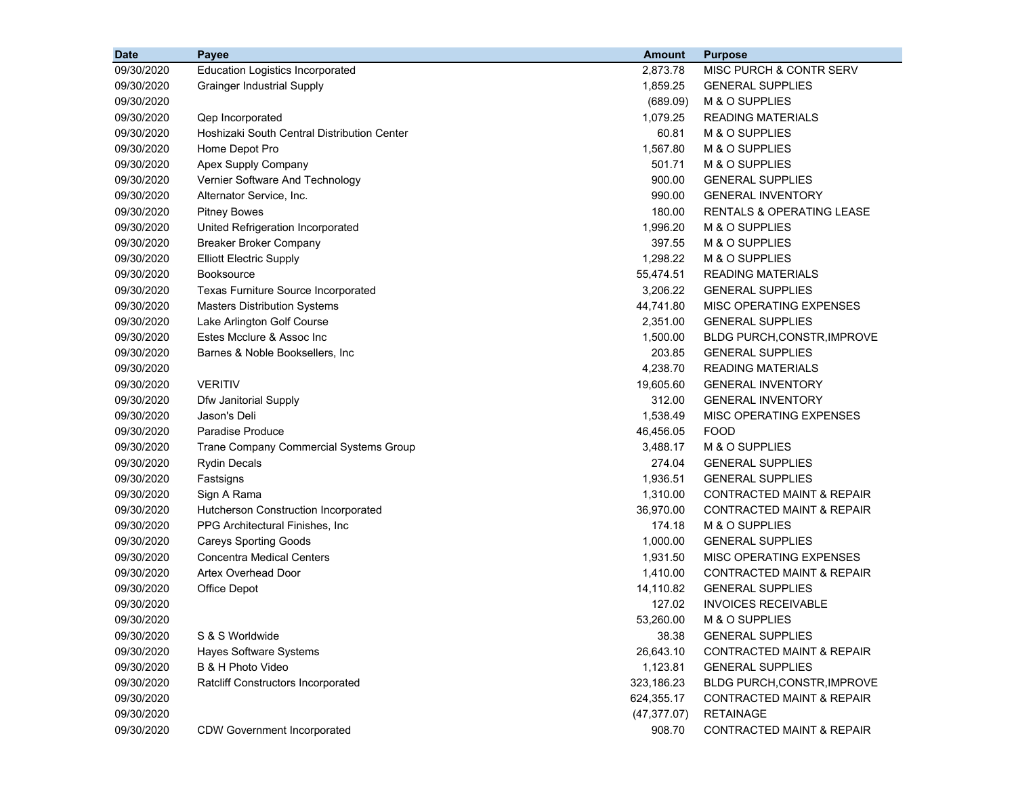| <b>Date</b> | Payee                                       | <b>Amount</b> | <b>Purpose</b>                       |
|-------------|---------------------------------------------|---------------|--------------------------------------|
| 09/30/2020  | <b>Education Logistics Incorporated</b>     | 2,873.78      | MISC PURCH & CONTR SERV              |
| 09/30/2020  | <b>Grainger Industrial Supply</b>           | 1,859.25      | <b>GENERAL SUPPLIES</b>              |
| 09/30/2020  |                                             | (689.09)      | M & O SUPPLIES                       |
| 09/30/2020  | Qep Incorporated                            | 1,079.25      | <b>READING MATERIALS</b>             |
| 09/30/2020  | Hoshizaki South Central Distribution Center | 60.81         | M & O SUPPLIES                       |
| 09/30/2020  | Home Depot Pro                              | 1,567.80      | M & O SUPPLIES                       |
| 09/30/2020  | Apex Supply Company                         | 501.71        | M & O SUPPLIES                       |
| 09/30/2020  | Vernier Software And Technology             | 900.00        | <b>GENERAL SUPPLIES</b>              |
| 09/30/2020  | Alternator Service, Inc.                    | 990.00        | <b>GENERAL INVENTORY</b>             |
| 09/30/2020  | <b>Pitney Bowes</b>                         | 180.00        | <b>RENTALS &amp; OPERATING LEASE</b> |
| 09/30/2020  | United Refrigeration Incorporated           | 1,996.20      | M & O SUPPLIES                       |
| 09/30/2020  | <b>Breaker Broker Company</b>               | 397.55        | M & O SUPPLIES                       |
| 09/30/2020  | <b>Elliott Electric Supply</b>              | 1,298.22      | M & O SUPPLIES                       |
| 09/30/2020  | <b>Booksource</b>                           | 55,474.51     | <b>READING MATERIALS</b>             |
| 09/30/2020  | Texas Furniture Source Incorporated         | 3,206.22      | <b>GENERAL SUPPLIES</b>              |
| 09/30/2020  | <b>Masters Distribution Systems</b>         | 44,741.80     | MISC OPERATING EXPENSES              |
| 09/30/2020  | Lake Arlington Golf Course                  | 2,351.00      | <b>GENERAL SUPPLIES</b>              |
| 09/30/2020  | Estes Mcclure & Assoc Inc                   | 1,500.00      | <b>BLDG PURCH, CONSTR, IMPROVE</b>   |
| 09/30/2020  | Barnes & Noble Booksellers, Inc.            | 203.85        | <b>GENERAL SUPPLIES</b>              |
| 09/30/2020  |                                             | 4,238.70      | <b>READING MATERIALS</b>             |
| 09/30/2020  | <b>VERITIV</b>                              | 19,605.60     | <b>GENERAL INVENTORY</b>             |
| 09/30/2020  | Dfw Janitorial Supply                       | 312.00        | <b>GENERAL INVENTORY</b>             |
| 09/30/2020  | Jason's Deli                                | 1,538.49      | MISC OPERATING EXPENSES              |
| 09/30/2020  | Paradise Produce                            | 46,456.05     | <b>FOOD</b>                          |
| 09/30/2020  | Trane Company Commercial Systems Group      | 3,488.17      | M & O SUPPLIES                       |
| 09/30/2020  | <b>Rydin Decals</b>                         | 274.04        | <b>GENERAL SUPPLIES</b>              |
| 09/30/2020  | Fastsigns                                   | 1,936.51      | <b>GENERAL SUPPLIES</b>              |
| 09/30/2020  | Sign A Rama                                 | 1,310.00      | <b>CONTRACTED MAINT &amp; REPAIR</b> |
| 09/30/2020  | Hutcherson Construction Incorporated        | 36,970.00     | <b>CONTRACTED MAINT &amp; REPAIR</b> |
| 09/30/2020  | PPG Architectural Finishes, Inc             | 174.18        | M & O SUPPLIES                       |
| 09/30/2020  | <b>Careys Sporting Goods</b>                | 1,000.00      | <b>GENERAL SUPPLIES</b>              |
| 09/30/2020  | <b>Concentra Medical Centers</b>            | 1,931.50      | MISC OPERATING EXPENSES              |
| 09/30/2020  | <b>Artex Overhead Door</b>                  | 1,410.00      | <b>CONTRACTED MAINT &amp; REPAIR</b> |
| 09/30/2020  | Office Depot                                | 14,110.82     | <b>GENERAL SUPPLIES</b>              |
| 09/30/2020  |                                             | 127.02        | <b>INVOICES RECEIVABLE</b>           |
| 09/30/2020  |                                             | 53,260.00     | M & O SUPPLIES                       |
| 09/30/2020  | S & S Worldwide                             | 38.38         | <b>GENERAL SUPPLIES</b>              |
| 09/30/2020  | Hayes Software Systems                      | 26,643.10     | <b>CONTRACTED MAINT &amp; REPAIR</b> |
| 09/30/2020  | B & H Photo Video                           | 1,123.81      | <b>GENERAL SUPPLIES</b>              |
| 09/30/2020  | Ratcliff Constructors Incorporated          | 323,186.23    | BLDG PURCH, CONSTR, IMPROVE          |
| 09/30/2020  |                                             | 624,355.17    | <b>CONTRACTED MAINT &amp; REPAIR</b> |
| 09/30/2020  |                                             | (47, 377.07)  | <b>RETAINAGE</b>                     |
| 09/30/2020  | <b>CDW Government Incorporated</b>          | 908.70        | <b>CONTRACTED MAINT &amp; REPAIR</b> |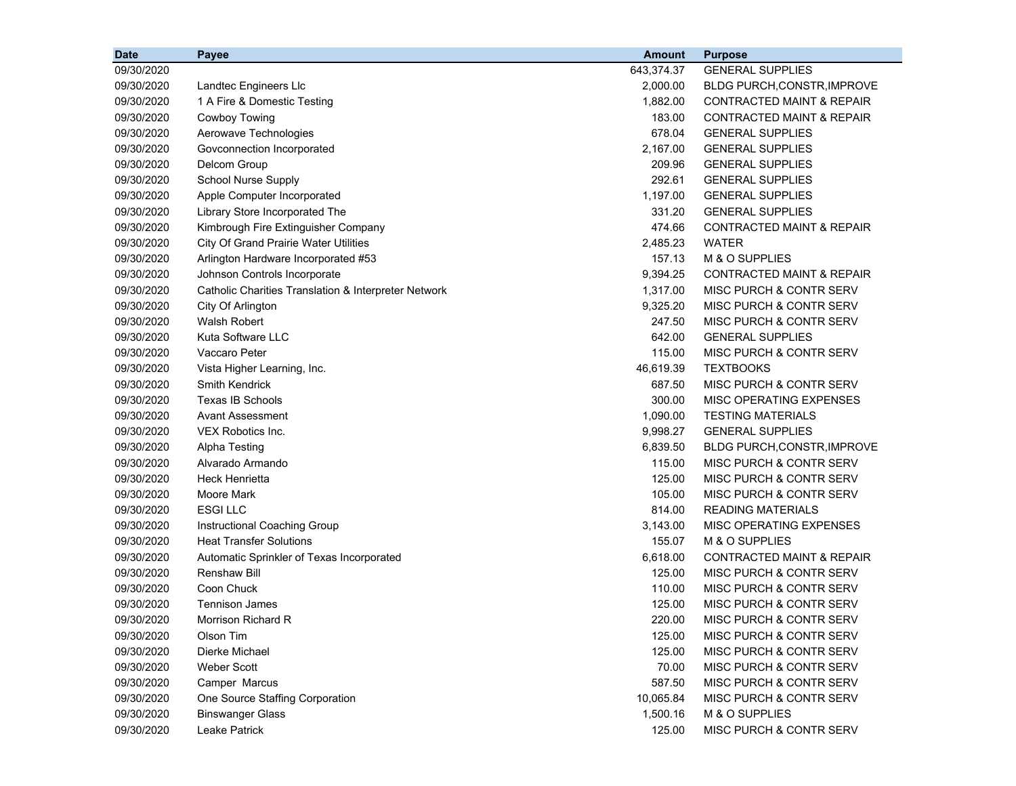| <b>Date</b> | <b>Payee</b>                                         | <b>Amount</b> | <b>Purpose</b>                       |
|-------------|------------------------------------------------------|---------------|--------------------------------------|
| 09/30/2020  |                                                      | 643,374.37    | <b>GENERAL SUPPLIES</b>              |
| 09/30/2020  | Landtec Engineers Llc                                | 2,000.00      | BLDG PURCH, CONSTR, IMPROVE          |
| 09/30/2020  | 1 A Fire & Domestic Testing                          | 1,882.00      | <b>CONTRACTED MAINT &amp; REPAIR</b> |
| 09/30/2020  | Cowboy Towing                                        | 183.00        | <b>CONTRACTED MAINT &amp; REPAIR</b> |
| 09/30/2020  | Aerowave Technologies                                | 678.04        | <b>GENERAL SUPPLIES</b>              |
| 09/30/2020  | Govconnection Incorporated                           | 2,167.00      | <b>GENERAL SUPPLIES</b>              |
| 09/30/2020  | Delcom Group                                         | 209.96        | <b>GENERAL SUPPLIES</b>              |
| 09/30/2020  | <b>School Nurse Supply</b>                           | 292.61        | <b>GENERAL SUPPLIES</b>              |
| 09/30/2020  | Apple Computer Incorporated                          | 1,197.00      | <b>GENERAL SUPPLIES</b>              |
| 09/30/2020  | Library Store Incorporated The                       | 331.20        | <b>GENERAL SUPPLIES</b>              |
| 09/30/2020  | Kimbrough Fire Extinguisher Company                  | 474.66        | <b>CONTRACTED MAINT &amp; REPAIR</b> |
| 09/30/2020  | City Of Grand Prairie Water Utilities                | 2,485.23      | <b>WATER</b>                         |
| 09/30/2020  | Arlington Hardware Incorporated #53                  | 157.13        | M & O SUPPLIES                       |
| 09/30/2020  | Johnson Controls Incorporate                         | 9,394.25      | <b>CONTRACTED MAINT &amp; REPAIR</b> |
| 09/30/2020  | Catholic Charities Translation & Interpreter Network | 1,317.00      | MISC PURCH & CONTR SERV              |
| 09/30/2020  | City Of Arlington                                    | 9,325.20      | <b>MISC PURCH &amp; CONTR SERV</b>   |
| 09/30/2020  | Walsh Robert                                         | 247.50        | MISC PURCH & CONTR SERV              |
| 09/30/2020  | Kuta Software LLC                                    | 642.00        | <b>GENERAL SUPPLIES</b>              |
| 09/30/2020  | Vaccaro Peter                                        | 115.00        | MISC PURCH & CONTR SERV              |
| 09/30/2020  | Vista Higher Learning, Inc.                          | 46,619.39     | <b>TEXTBOOKS</b>                     |
| 09/30/2020  | <b>Smith Kendrick</b>                                | 687.50        | MISC PURCH & CONTR SERV              |
| 09/30/2020  | <b>Texas IB Schools</b>                              | 300.00        | MISC OPERATING EXPENSES              |
| 09/30/2020  | <b>Avant Assessment</b>                              | 1,090.00      | <b>TESTING MATERIALS</b>             |
| 09/30/2020  | VEX Robotics Inc.                                    | 9,998.27      | <b>GENERAL SUPPLIES</b>              |
| 09/30/2020  | Alpha Testing                                        | 6,839.50      | BLDG PURCH, CONSTR, IMPROVE          |
| 09/30/2020  | Alvarado Armando                                     | 115.00        | MISC PURCH & CONTR SERV              |
| 09/30/2020  | <b>Heck Henrietta</b>                                | 125.00        | MISC PURCH & CONTR SERV              |
| 09/30/2020  | Moore Mark                                           | 105.00        | MISC PURCH & CONTR SERV              |
| 09/30/2020  | <b>ESGILLC</b>                                       | 814.00        | <b>READING MATERIALS</b>             |
| 09/30/2020  | Instructional Coaching Group                         | 3,143.00      | MISC OPERATING EXPENSES              |
| 09/30/2020  | <b>Heat Transfer Solutions</b>                       | 155.07        | M & O SUPPLIES                       |
| 09/30/2020  | Automatic Sprinkler of Texas Incorporated            | 6,618.00      | <b>CONTRACTED MAINT &amp; REPAIR</b> |
| 09/30/2020  | <b>Renshaw Bill</b>                                  | 125.00        | <b>MISC PURCH &amp; CONTR SERV</b>   |
| 09/30/2020  | Coon Chuck                                           | 110.00        | MISC PURCH & CONTR SERV              |
| 09/30/2020  | <b>Tennison James</b>                                | 125.00        | <b>MISC PURCH &amp; CONTR SERV</b>   |
| 09/30/2020  | Morrison Richard R                                   | 220.00        | MISC PURCH & CONTR SERV              |
| 09/30/2020  | Olson Tim                                            | 125.00        | MISC PURCH & CONTR SERV              |
| 09/30/2020  | Dierke Michael                                       | 125.00        | MISC PURCH & CONTR SERV              |
| 09/30/2020  | <b>Weber Scott</b>                                   | 70.00         | MISC PURCH & CONTR SERV              |
| 09/30/2020  | Camper Marcus                                        | 587.50        | <b>MISC PURCH &amp; CONTR SERV</b>   |
| 09/30/2020  | One Source Staffing Corporation                      | 10,065.84     | MISC PURCH & CONTR SERV              |
| 09/30/2020  | <b>Binswanger Glass</b>                              | 1,500.16      | M & O SUPPLIES                       |
| 09/30/2020  | Leake Patrick                                        | 125.00        | MISC PURCH & CONTR SERV              |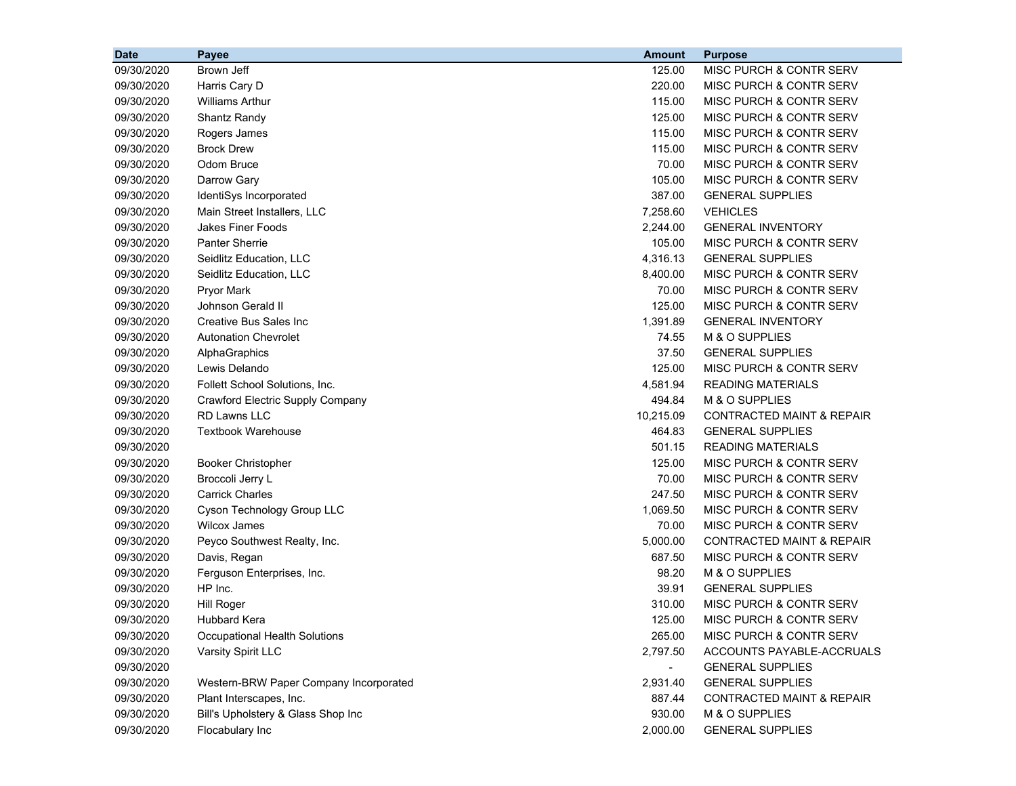| <b>Date</b> | <b>Payee</b>                           | <b>Amount</b>  | <b>Purpose</b>                       |
|-------------|----------------------------------------|----------------|--------------------------------------|
| 09/30/2020  | Brown Jeff                             | 125.00         | MISC PURCH & CONTR SERV              |
| 09/30/2020  | Harris Cary D                          | 220.00         | MISC PURCH & CONTR SERV              |
| 09/30/2020  | <b>Williams Arthur</b>                 | 115.00         | MISC PURCH & CONTR SERV              |
| 09/30/2020  | Shantz Randy                           | 125.00         | MISC PURCH & CONTR SERV              |
| 09/30/2020  | Rogers James                           | 115.00         | MISC PURCH & CONTR SERV              |
| 09/30/2020  | <b>Brock Drew</b>                      | 115.00         | MISC PURCH & CONTR SERV              |
| 09/30/2020  | Odom Bruce                             | 70.00          | MISC PURCH & CONTR SERV              |
| 09/30/2020  | Darrow Gary                            | 105.00         | <b>MISC PURCH &amp; CONTR SERV</b>   |
| 09/30/2020  | IdentiSys Incorporated                 | 387.00         | <b>GENERAL SUPPLIES</b>              |
| 09/30/2020  | Main Street Installers, LLC            | 7,258.60       | <b>VEHICLES</b>                      |
| 09/30/2020  | Jakes Finer Foods                      | 2.244.00       | <b>GENERAL INVENTORY</b>             |
| 09/30/2020  | <b>Panter Sherrie</b>                  | 105.00         | MISC PURCH & CONTR SERV              |
| 09/30/2020  | Seidlitz Education, LLC                | 4,316.13       | <b>GENERAL SUPPLIES</b>              |
| 09/30/2020  | Seidlitz Education, LLC                | 8,400.00       | MISC PURCH & CONTR SERV              |
| 09/30/2020  | <b>Pryor Mark</b>                      | 70.00          | MISC PURCH & CONTR SERV              |
| 09/30/2020  | Johnson Gerald II                      | 125.00         | MISC PURCH & CONTR SERV              |
| 09/30/2020  | Creative Bus Sales Inc                 | 1,391.89       | <b>GENERAL INVENTORY</b>             |
| 09/30/2020  | <b>Autonation Chevrolet</b>            | 74.55          | M & O SUPPLIES                       |
| 09/30/2020  | AlphaGraphics                          | 37.50          | <b>GENERAL SUPPLIES</b>              |
| 09/30/2020  | Lewis Delando                          | 125.00         | MISC PURCH & CONTR SERV              |
| 09/30/2020  | Follett School Solutions, Inc.         | 4,581.94       | <b>READING MATERIALS</b>             |
| 09/30/2020  | Crawford Electric Supply Company       | 494.84         | M & O SUPPLIES                       |
| 09/30/2020  | <b>RD Lawns LLC</b>                    | 10,215.09      | <b>CONTRACTED MAINT &amp; REPAIR</b> |
| 09/30/2020  | <b>Textbook Warehouse</b>              | 464.83         | <b>GENERAL SUPPLIES</b>              |
| 09/30/2020  |                                        | 501.15         | <b>READING MATERIALS</b>             |
| 09/30/2020  | <b>Booker Christopher</b>              | 125.00         | MISC PURCH & CONTR SERV              |
| 09/30/2020  | Broccoli Jerry L                       | 70.00          | MISC PURCH & CONTR SERV              |
| 09/30/2020  | <b>Carrick Charles</b>                 | 247.50         | MISC PURCH & CONTR SERV              |
| 09/30/2020  | Cyson Technology Group LLC             | 1,069.50       | MISC PURCH & CONTR SERV              |
| 09/30/2020  | <b>Wilcox James</b>                    | 70.00          | MISC PURCH & CONTR SERV              |
| 09/30/2020  | Peyco Southwest Realty, Inc.           | 5,000.00       | <b>CONTRACTED MAINT &amp; REPAIR</b> |
| 09/30/2020  | Davis, Regan                           | 687.50         | MISC PURCH & CONTR SERV              |
| 09/30/2020  | Ferguson Enterprises, Inc.             | 98.20          | M & O SUPPLIES                       |
| 09/30/2020  | HP Inc.                                | 39.91          | <b>GENERAL SUPPLIES</b>              |
| 09/30/2020  | <b>Hill Roger</b>                      | 310.00         | MISC PURCH & CONTR SERV              |
| 09/30/2020  | Hubbard Kera                           | 125.00         | MISC PURCH & CONTR SERV              |
| 09/30/2020  | Occupational Health Solutions          | 265.00         | MISC PURCH & CONTR SERV              |
| 09/30/2020  | Varsity Spirit LLC                     | 2,797.50       | ACCOUNTS PAYABLE-ACCRUALS            |
| 09/30/2020  |                                        | $\blacksquare$ | <b>GENERAL SUPPLIES</b>              |
| 09/30/2020  | Western-BRW Paper Company Incorporated | 2,931.40       | <b>GENERAL SUPPLIES</b>              |
| 09/30/2020  | Plant Interscapes, Inc.                | 887.44         | <b>CONTRACTED MAINT &amp; REPAIR</b> |
| 09/30/2020  | Bill's Upholstery & Glass Shop Inc     | 930.00         | M & O SUPPLIES                       |
| 09/30/2020  | Flocabulary Inc                        | 2,000.00       | <b>GENERAL SUPPLIES</b>              |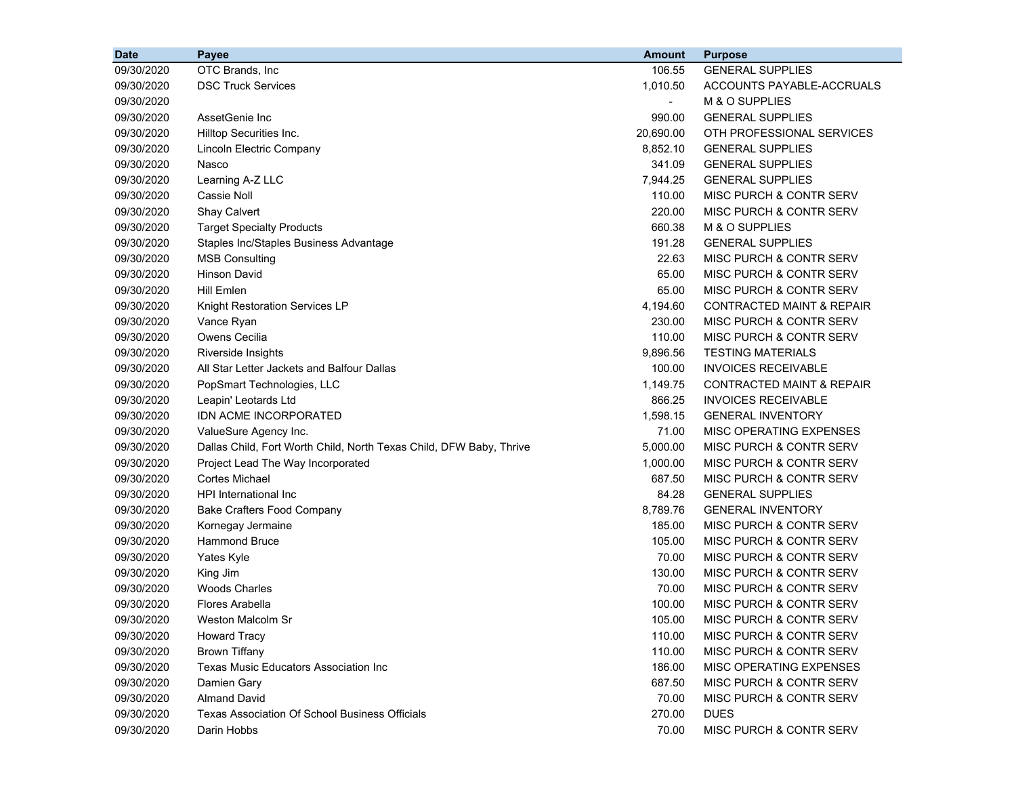| <b>Date</b> | Payee                                                               | <b>Amount</b>            | <b>Purpose</b>                       |
|-------------|---------------------------------------------------------------------|--------------------------|--------------------------------------|
| 09/30/2020  | OTC Brands, Inc                                                     | 106.55                   | <b>GENERAL SUPPLIES</b>              |
| 09/30/2020  | <b>DSC Truck Services</b>                                           | 1,010.50                 | ACCOUNTS PAYABLE-ACCRUALS            |
| 09/30/2020  |                                                                     | $\overline{\phantom{a}}$ | M & O SUPPLIES                       |
| 09/30/2020  | AssetGenie Inc                                                      | 990.00                   | <b>GENERAL SUPPLIES</b>              |
| 09/30/2020  | Hilltop Securities Inc.                                             | 20,690.00                | OTH PROFESSIONAL SERVICES            |
| 09/30/2020  | Lincoln Electric Company                                            | 8,852.10                 | <b>GENERAL SUPPLIES</b>              |
| 09/30/2020  | Nasco                                                               | 341.09                   | <b>GENERAL SUPPLIES</b>              |
| 09/30/2020  | Learning A-Z LLC                                                    | 7,944.25                 | <b>GENERAL SUPPLIES</b>              |
| 09/30/2020  | <b>Cassie Noll</b>                                                  | 110.00                   | MISC PURCH & CONTR SERV              |
| 09/30/2020  | <b>Shay Calvert</b>                                                 | 220.00                   | MISC PURCH & CONTR SERV              |
| 09/30/2020  | <b>Target Specialty Products</b>                                    | 660.38                   | M & O SUPPLIES                       |
| 09/30/2020  | Staples Inc/Staples Business Advantage                              | 191.28                   | <b>GENERAL SUPPLIES</b>              |
| 09/30/2020  | <b>MSB Consulting</b>                                               | 22.63                    | MISC PURCH & CONTR SERV              |
| 09/30/2020  | <b>Hinson David</b>                                                 | 65.00                    | MISC PURCH & CONTR SERV              |
| 09/30/2020  | Hill Emlen                                                          | 65.00                    | <b>MISC PURCH &amp; CONTR SERV</b>   |
| 09/30/2020  | <b>Knight Restoration Services LP</b>                               | 4,194.60                 | <b>CONTRACTED MAINT &amp; REPAIR</b> |
| 09/30/2020  | Vance Ryan                                                          | 230.00                   | <b>MISC PURCH &amp; CONTR SERV</b>   |
| 09/30/2020  | Owens Cecilia                                                       | 110.00                   | <b>MISC PURCH &amp; CONTR SERV</b>   |
| 09/30/2020  | Riverside Insights                                                  | 9,896.56                 | <b>TESTING MATERIALS</b>             |
| 09/30/2020  | All Star Letter Jackets and Balfour Dallas                          | 100.00                   | <b>INVOICES RECEIVABLE</b>           |
| 09/30/2020  | PopSmart Technologies, LLC                                          | 1,149.75                 | <b>CONTRACTED MAINT &amp; REPAIR</b> |
| 09/30/2020  | Leapin' Leotards Ltd                                                | 866.25                   | <b>INVOICES RECEIVABLE</b>           |
| 09/30/2020  | IDN ACME INCORPORATED                                               | 1,598.15                 | <b>GENERAL INVENTORY</b>             |
| 09/30/2020  | ValueSure Agency Inc.                                               | 71.00                    | MISC OPERATING EXPENSES              |
| 09/30/2020  | Dallas Child, Fort Worth Child, North Texas Child, DFW Baby, Thrive | 5,000.00                 | MISC PURCH & CONTR SERV              |
| 09/30/2020  | Project Lead The Way Incorporated                                   | 1,000.00                 | MISC PURCH & CONTR SERV              |
| 09/30/2020  | <b>Cortes Michael</b>                                               | 687.50                   | MISC PURCH & CONTR SERV              |
| 09/30/2020  | <b>HPI</b> International Inc                                        | 84.28                    | <b>GENERAL SUPPLIES</b>              |
| 09/30/2020  | <b>Bake Crafters Food Company</b>                                   | 8,789.76                 | <b>GENERAL INVENTORY</b>             |
| 09/30/2020  | Kornegay Jermaine                                                   | 185.00                   | MISC PURCH & CONTR SERV              |
| 09/30/2020  | <b>Hammond Bruce</b>                                                | 105.00                   | MISC PURCH & CONTR SERV              |
| 09/30/2020  | Yates Kyle                                                          | 70.00                    | MISC PURCH & CONTR SERV              |
| 09/30/2020  | King Jim                                                            | 130.00                   | MISC PURCH & CONTR SERV              |
| 09/30/2020  | <b>Woods Charles</b>                                                | 70.00                    | MISC PURCH & CONTR SERV              |
| 09/30/2020  | Flores Arabella                                                     | 100.00                   | MISC PURCH & CONTR SERV              |
| 09/30/2020  | Weston Malcolm Sr                                                   | 105.00                   | MISC PURCH & CONTR SERV              |
| 09/30/2020  | <b>Howard Tracy</b>                                                 | 110.00                   | MISC PURCH & CONTR SERV              |
| 09/30/2020  | <b>Brown Tiffany</b>                                                | 110.00                   | MISC PURCH & CONTR SERV              |
| 09/30/2020  | <b>Texas Music Educators Association Inc</b>                        | 186.00                   | MISC OPERATING EXPENSES              |
| 09/30/2020  | Damien Gary                                                         | 687.50                   | MISC PURCH & CONTR SERV              |
| 09/30/2020  | <b>Almand David</b>                                                 | 70.00                    | MISC PURCH & CONTR SERV              |
| 09/30/2020  | <b>Texas Association Of School Business Officials</b>               | 270.00                   | <b>DUES</b>                          |
| 09/30/2020  | Darin Hobbs                                                         | 70.00                    | MISC PURCH & CONTR SERV              |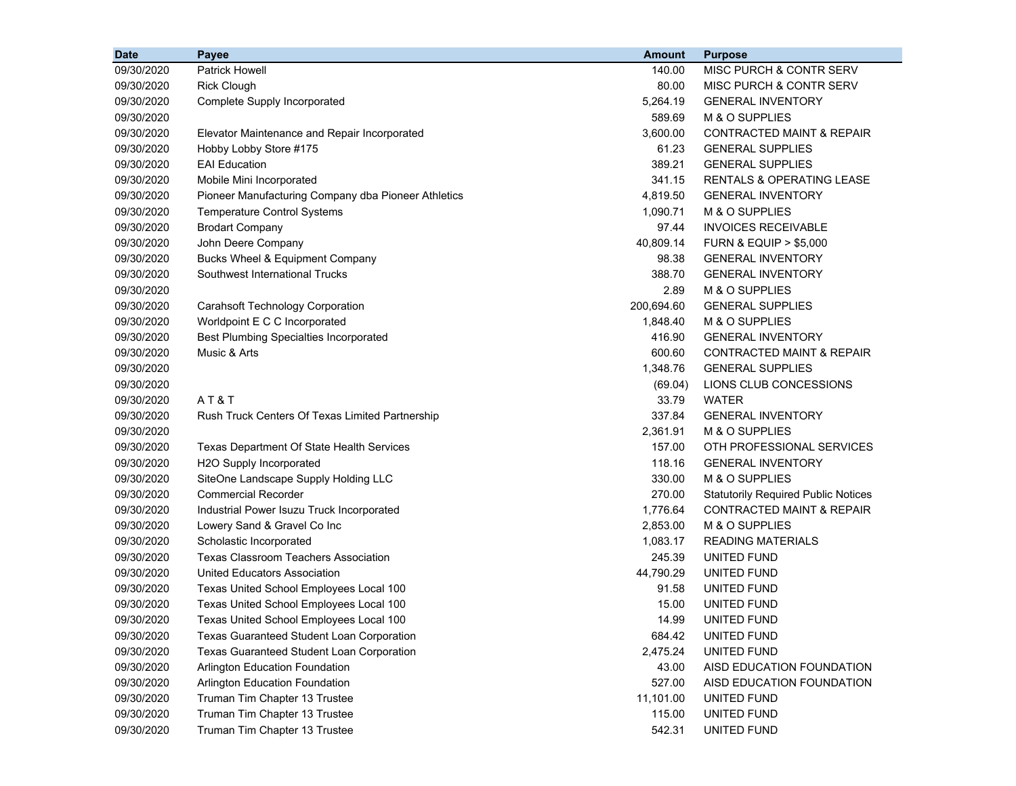| <b>Date</b> | Payee                                               | <b>Amount</b> | <b>Purpose</b>                             |
|-------------|-----------------------------------------------------|---------------|--------------------------------------------|
| 09/30/2020  | <b>Patrick Howell</b>                               | 140.00        | MISC PURCH & CONTR SERV                    |
| 09/30/2020  | <b>Rick Clough</b>                                  | 80.00         | MISC PURCH & CONTR SERV                    |
| 09/30/2020  | Complete Supply Incorporated                        | 5,264.19      | <b>GENERAL INVENTORY</b>                   |
| 09/30/2020  |                                                     | 589.69        | M & O SUPPLIES                             |
| 09/30/2020  | Elevator Maintenance and Repair Incorporated        | 3,600.00      | <b>CONTRACTED MAINT &amp; REPAIR</b>       |
| 09/30/2020  | Hobby Lobby Store #175                              | 61.23         | <b>GENERAL SUPPLIES</b>                    |
| 09/30/2020  | <b>EAI</b> Education                                | 389.21        | <b>GENERAL SUPPLIES</b>                    |
| 09/30/2020  | Mobile Mini Incorporated                            | 341.15        | <b>RENTALS &amp; OPERATING LEASE</b>       |
| 09/30/2020  | Pioneer Manufacturing Company dba Pioneer Athletics | 4,819.50      | <b>GENERAL INVENTORY</b>                   |
| 09/30/2020  | <b>Temperature Control Systems</b>                  | 1,090.71      | M & O SUPPLIES                             |
| 09/30/2020  | <b>Brodart Company</b>                              | 97.44         | <b>INVOICES RECEIVABLE</b>                 |
| 09/30/2020  | John Deere Company                                  | 40,809.14     | <b>FURN &amp; EQUIP &gt; \$5,000</b>       |
| 09/30/2020  | Bucks Wheel & Equipment Company                     | 98.38         | <b>GENERAL INVENTORY</b>                   |
| 09/30/2020  | Southwest International Trucks                      | 388.70        | <b>GENERAL INVENTORY</b>                   |
| 09/30/2020  |                                                     | 2.89          | M & O SUPPLIES                             |
| 09/30/2020  | <b>Carahsoft Technology Corporation</b>             | 200,694.60    | <b>GENERAL SUPPLIES</b>                    |
| 09/30/2020  | Worldpoint E C C Incorporated                       | 1,848.40      | M & O SUPPLIES                             |
| 09/30/2020  | <b>Best Plumbing Specialties Incorporated</b>       | 416.90        | <b>GENERAL INVENTORY</b>                   |
| 09/30/2020  | Music & Arts                                        | 600.60        | CONTRACTED MAINT & REPAIR                  |
| 09/30/2020  |                                                     | 1,348.76      | <b>GENERAL SUPPLIES</b>                    |
| 09/30/2020  |                                                     | (69.04)       | LIONS CLUB CONCESSIONS                     |
| 09/30/2020  | AT&T                                                | 33.79         | <b>WATER</b>                               |
| 09/30/2020  | Rush Truck Centers Of Texas Limited Partnership     | 337.84        | <b>GENERAL INVENTORY</b>                   |
| 09/30/2020  |                                                     | 2,361.91      | M & O SUPPLIES                             |
| 09/30/2020  | Texas Department Of State Health Services           | 157.00        | OTH PROFESSIONAL SERVICES                  |
| 09/30/2020  | H2O Supply Incorporated                             | 118.16        | <b>GENERAL INVENTORY</b>                   |
| 09/30/2020  | SiteOne Landscape Supply Holding LLC                | 330.00        | M & O SUPPLIES                             |
| 09/30/2020  | <b>Commercial Recorder</b>                          | 270.00        | <b>Statutorily Required Public Notices</b> |
| 09/30/2020  | Industrial Power Isuzu Truck Incorporated           | 1,776.64      | <b>CONTRACTED MAINT &amp; REPAIR</b>       |
| 09/30/2020  | Lowery Sand & Gravel Co Inc                         | 2,853.00      | M & O SUPPLIES                             |
| 09/30/2020  | Scholastic Incorporated                             | 1,083.17      | <b>READING MATERIALS</b>                   |
| 09/30/2020  | <b>Texas Classroom Teachers Association</b>         | 245.39        | UNITED FUND                                |
| 09/30/2020  | <b>United Educators Association</b>                 | 44,790.29     | UNITED FUND                                |
| 09/30/2020  | Texas United School Employees Local 100             | 91.58         | UNITED FUND                                |
| 09/30/2020  | Texas United School Employees Local 100             | 15.00         | UNITED FUND                                |
| 09/30/2020  | Texas United School Employees Local 100             | 14.99         | UNITED FUND                                |
| 09/30/2020  | <b>Texas Guaranteed Student Loan Corporation</b>    | 684.42        | UNITED FUND                                |
| 09/30/2020  | Texas Guaranteed Student Loan Corporation           | 2,475.24      | UNITED FUND                                |
| 09/30/2020  | <b>Arlington Education Foundation</b>               | 43.00         | AISD EDUCATION FOUNDATION                  |
| 09/30/2020  | <b>Arlington Education Foundation</b>               | 527.00        | AISD EDUCATION FOUNDATION                  |
| 09/30/2020  | Truman Tim Chapter 13 Trustee                       | 11,101.00     | UNITED FUND                                |
| 09/30/2020  | Truman Tim Chapter 13 Trustee                       | 115.00        | UNITED FUND                                |
| 09/30/2020  | Truman Tim Chapter 13 Trustee                       | 542.31        | UNITED FUND                                |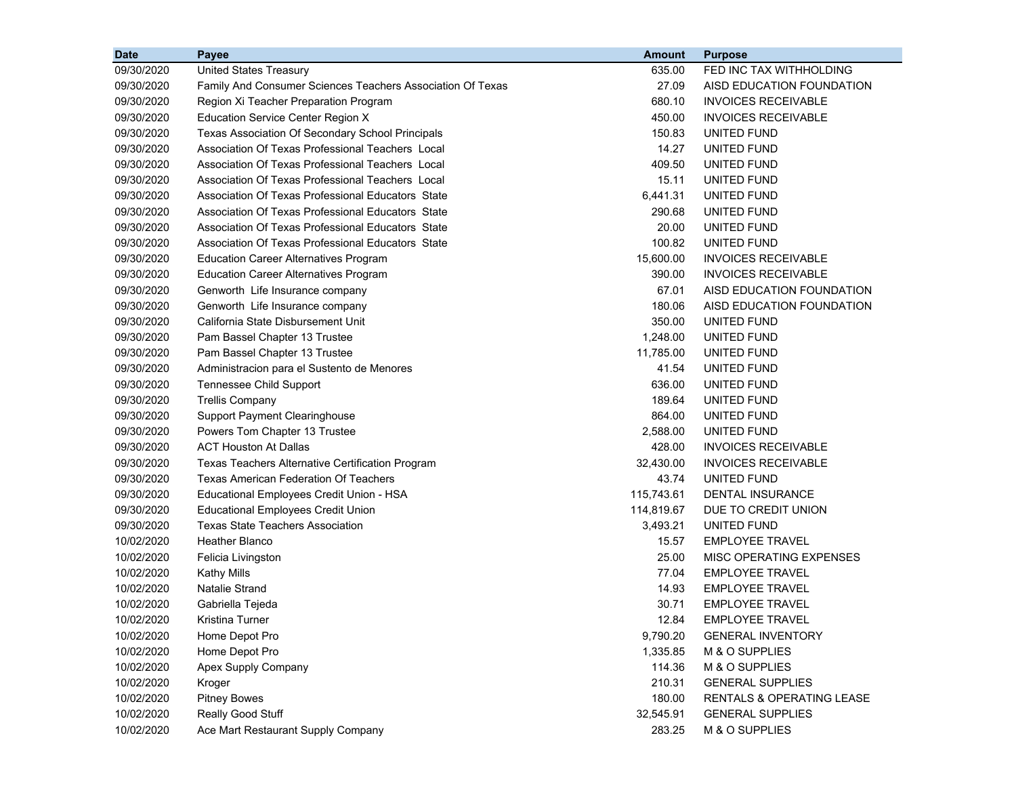| <b>Date</b> | Payee                                                      | <b>Amount</b> | <b>Purpose</b>                       |
|-------------|------------------------------------------------------------|---------------|--------------------------------------|
| 09/30/2020  | <b>United States Treasury</b>                              | 635.00        | FED INC TAX WITHHOLDING              |
| 09/30/2020  | Family And Consumer Sciences Teachers Association Of Texas | 27.09         | AISD EDUCATION FOUNDATION            |
| 09/30/2020  | Region Xi Teacher Preparation Program                      | 680.10        | <b>INVOICES RECEIVABLE</b>           |
| 09/30/2020  | <b>Education Service Center Region X</b>                   | 450.00        | <b>INVOICES RECEIVABLE</b>           |
| 09/30/2020  | Texas Association Of Secondary School Principals           | 150.83        | UNITED FUND                          |
| 09/30/2020  | Association Of Texas Professional Teachers Local           | 14.27         | UNITED FUND                          |
| 09/30/2020  | Association Of Texas Professional Teachers Local           | 409.50        | UNITED FUND                          |
| 09/30/2020  | Association Of Texas Professional Teachers Local           | 15.11         | UNITED FUND                          |
| 09/30/2020  | Association Of Texas Professional Educators State          | 6,441.31      | UNITED FUND                          |
| 09/30/2020  | Association Of Texas Professional Educators State          | 290.68        | UNITED FUND                          |
| 09/30/2020  | Association Of Texas Professional Educators State          | 20.00         | UNITED FUND                          |
| 09/30/2020  | Association Of Texas Professional Educators State          | 100.82        | UNITED FUND                          |
| 09/30/2020  | <b>Education Career Alternatives Program</b>               | 15,600.00     | <b>INVOICES RECEIVABLE</b>           |
| 09/30/2020  | <b>Education Career Alternatives Program</b>               | 390.00        | <b>INVOICES RECEIVABLE</b>           |
| 09/30/2020  | Genworth Life Insurance company                            | 67.01         | AISD EDUCATION FOUNDATION            |
| 09/30/2020  | Genworth Life Insurance company                            | 180.06        | AISD EDUCATION FOUNDATION            |
| 09/30/2020  | California State Disbursement Unit                         | 350.00        | UNITED FUND                          |
| 09/30/2020  | Pam Bassel Chapter 13 Trustee                              | 1,248.00      | UNITED FUND                          |
| 09/30/2020  | Pam Bassel Chapter 13 Trustee                              | 11,785.00     | UNITED FUND                          |
| 09/30/2020  | Administracion para el Sustento de Menores                 | 41.54         | UNITED FUND                          |
| 09/30/2020  | Tennessee Child Support                                    | 636.00        | UNITED FUND                          |
| 09/30/2020  | <b>Trellis Company</b>                                     | 189.64        | <b>UNITED FUND</b>                   |
| 09/30/2020  | <b>Support Payment Clearinghouse</b>                       | 864.00        | UNITED FUND                          |
| 09/30/2020  | Powers Tom Chapter 13 Trustee                              | 2,588.00      | UNITED FUND                          |
| 09/30/2020  | <b>ACT Houston At Dallas</b>                               | 428.00        | <b>INVOICES RECEIVABLE</b>           |
| 09/30/2020  | Texas Teachers Alternative Certification Program           | 32,430.00     | <b>INVOICES RECEIVABLE</b>           |
| 09/30/2020  | <b>Texas American Federation Of Teachers</b>               | 43.74         | UNITED FUND                          |
| 09/30/2020  | Educational Employees Credit Union - HSA                   | 115,743.61    | <b>DENTAL INSURANCE</b>              |
| 09/30/2020  | <b>Educational Employees Credit Union</b>                  | 114,819.67    | DUE TO CREDIT UNION                  |
| 09/30/2020  | <b>Texas State Teachers Association</b>                    | 3,493.21      | UNITED FUND                          |
| 10/02/2020  | Heather Blanco                                             | 15.57         | <b>EMPLOYEE TRAVEL</b>               |
| 10/02/2020  | Felicia Livingston                                         | 25.00         | MISC OPERATING EXPENSES              |
| 10/02/2020  | <b>Kathy Mills</b>                                         | 77.04         | <b>EMPLOYEE TRAVEL</b>               |
| 10/02/2020  | <b>Natalie Strand</b>                                      | 14.93         | <b>EMPLOYEE TRAVEL</b>               |
| 10/02/2020  | Gabriella Tejeda                                           | 30.71         | <b>EMPLOYEE TRAVEL</b>               |
| 10/02/2020  | Kristina Turner                                            | 12.84         | <b>EMPLOYEE TRAVEL</b>               |
| 10/02/2020  | Home Depot Pro                                             | 9,790.20      | <b>GENERAL INVENTORY</b>             |
| 10/02/2020  | Home Depot Pro                                             | 1,335.85      | M & O SUPPLIES                       |
| 10/02/2020  | Apex Supply Company                                        | 114.36        | M & O SUPPLIES                       |
| 10/02/2020  | Kroger                                                     | 210.31        | <b>GENERAL SUPPLIES</b>              |
| 10/02/2020  | <b>Pitney Bowes</b>                                        | 180.00        | <b>RENTALS &amp; OPERATING LEASE</b> |
| 10/02/2020  | Really Good Stuff                                          | 32,545.91     | <b>GENERAL SUPPLIES</b>              |
| 10/02/2020  | Ace Mart Restaurant Supply Company                         | 283.25        | M & O SUPPLIES                       |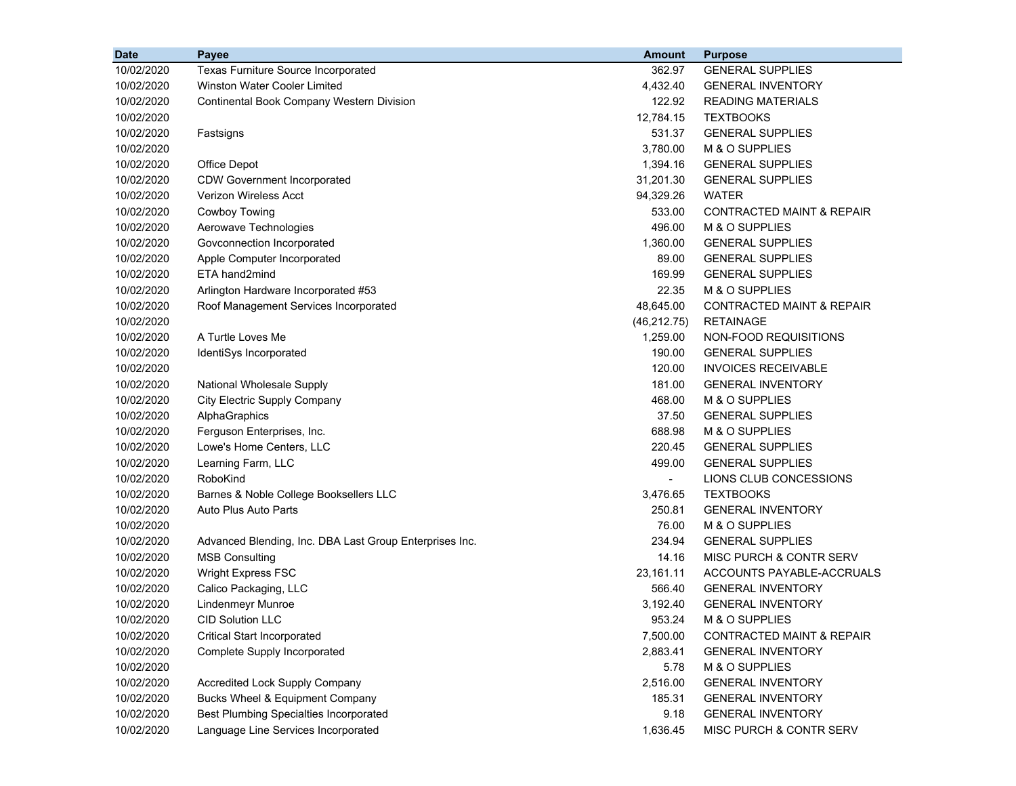| <b>Date</b> | Payee                                                   | <b>Amount</b>  | <b>Purpose</b>                       |
|-------------|---------------------------------------------------------|----------------|--------------------------------------|
| 10/02/2020  | Texas Furniture Source Incorporated                     | 362.97         | <b>GENERAL SUPPLIES</b>              |
| 10/02/2020  | Winston Water Cooler Limited                            | 4,432.40       | <b>GENERAL INVENTORY</b>             |
| 10/02/2020  | <b>Continental Book Company Western Division</b>        | 122.92         | <b>READING MATERIALS</b>             |
| 10/02/2020  |                                                         | 12,784.15      | <b>TEXTBOOKS</b>                     |
| 10/02/2020  | Fastsigns                                               | 531.37         | <b>GENERAL SUPPLIES</b>              |
| 10/02/2020  |                                                         | 3,780.00       | M & O SUPPLIES                       |
| 10/02/2020  | Office Depot                                            | 1,394.16       | <b>GENERAL SUPPLIES</b>              |
| 10/02/2020  | <b>CDW Government Incorporated</b>                      | 31,201.30      | <b>GENERAL SUPPLIES</b>              |
| 10/02/2020  | Verizon Wireless Acct                                   | 94,329.26      | <b>WATER</b>                         |
| 10/02/2020  | Cowboy Towing                                           | 533.00         | <b>CONTRACTED MAINT &amp; REPAIR</b> |
| 10/02/2020  | Aerowave Technologies                                   | 496.00         | M & O SUPPLIES                       |
| 10/02/2020  | Govconnection Incorporated                              | 1,360.00       | <b>GENERAL SUPPLIES</b>              |
| 10/02/2020  | Apple Computer Incorporated                             | 89.00          | <b>GENERAL SUPPLIES</b>              |
| 10/02/2020  | ETA hand2mind                                           | 169.99         | <b>GENERAL SUPPLIES</b>              |
| 10/02/2020  | Arlington Hardware Incorporated #53                     | 22.35          | M & O SUPPLIES                       |
| 10/02/2020  | Roof Management Services Incorporated                   | 48,645.00      | <b>CONTRACTED MAINT &amp; REPAIR</b> |
| 10/02/2020  |                                                         | (46, 212.75)   | <b>RETAINAGE</b>                     |
| 10/02/2020  | A Turtle Loves Me                                       | 1,259.00       | NON-FOOD REQUISITIONS                |
| 10/02/2020  | IdentiSys Incorporated                                  | 190.00         | <b>GENERAL SUPPLIES</b>              |
| 10/02/2020  |                                                         | 120.00         | <b>INVOICES RECEIVABLE</b>           |
| 10/02/2020  | National Wholesale Supply                               | 181.00         | <b>GENERAL INVENTORY</b>             |
| 10/02/2020  | <b>City Electric Supply Company</b>                     | 468.00         | M & O SUPPLIES                       |
| 10/02/2020  | AlphaGraphics                                           | 37.50          | <b>GENERAL SUPPLIES</b>              |
| 10/02/2020  | Ferguson Enterprises, Inc.                              | 688.98         | M & O SUPPLIES                       |
| 10/02/2020  | Lowe's Home Centers, LLC                                | 220.45         | <b>GENERAL SUPPLIES</b>              |
| 10/02/2020  | Learning Farm, LLC                                      | 499.00         | <b>GENERAL SUPPLIES</b>              |
| 10/02/2020  | RoboKind                                                | $\blacksquare$ | LIONS CLUB CONCESSIONS               |
| 10/02/2020  | Barnes & Noble College Booksellers LLC                  | 3,476.65       | <b>TEXTBOOKS</b>                     |
| 10/02/2020  | Auto Plus Auto Parts                                    | 250.81         | <b>GENERAL INVENTORY</b>             |
| 10/02/2020  |                                                         | 76.00          | M & O SUPPLIES                       |
| 10/02/2020  | Advanced Blending, Inc. DBA Last Group Enterprises Inc. | 234.94         | <b>GENERAL SUPPLIES</b>              |
| 10/02/2020  | <b>MSB Consulting</b>                                   | 14.16          | MISC PURCH & CONTR SERV              |
| 10/02/2020  | <b>Wright Express FSC</b>                               | 23,161.11      | ACCOUNTS PAYABLE-ACCRUALS            |
| 10/02/2020  | Calico Packaging, LLC                                   | 566.40         | <b>GENERAL INVENTORY</b>             |
| 10/02/2020  | Lindenmeyr Munroe                                       | 3,192.40       | <b>GENERAL INVENTORY</b>             |
| 10/02/2020  | <b>CID Solution LLC</b>                                 | 953.24         | M & O SUPPLIES                       |
| 10/02/2020  | <b>Critical Start Incorporated</b>                      | 7,500.00       | CONTRACTED MAINT & REPAIR            |
| 10/02/2020  | Complete Supply Incorporated                            | 2,883.41       | <b>GENERAL INVENTORY</b>             |
| 10/02/2020  |                                                         | 5.78           | M & O SUPPLIES                       |
| 10/02/2020  | <b>Accredited Lock Supply Company</b>                   | 2,516.00       | <b>GENERAL INVENTORY</b>             |
| 10/02/2020  | Bucks Wheel & Equipment Company                         | 185.31         | <b>GENERAL INVENTORY</b>             |
| 10/02/2020  | <b>Best Plumbing Specialties Incorporated</b>           | 9.18           | <b>GENERAL INVENTORY</b>             |
| 10/02/2020  | Language Line Services Incorporated                     | 1,636.45       | MISC PURCH & CONTR SERV              |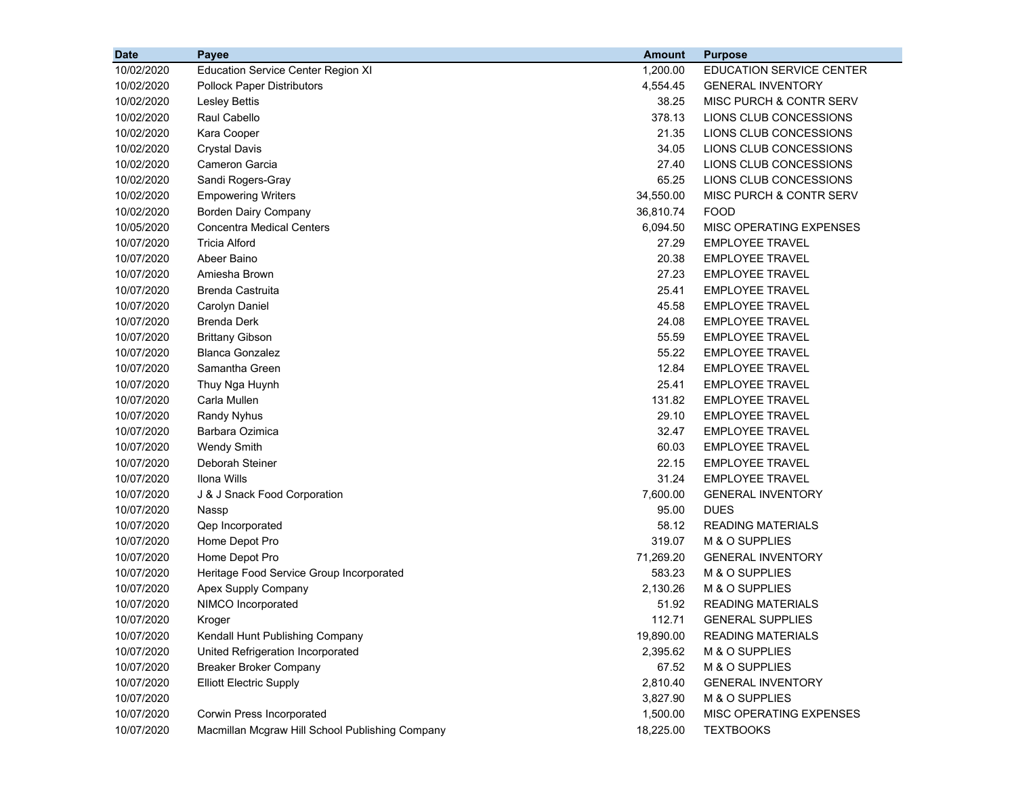| <b>Date</b> | Payee                                           | <b>Amount</b> | <b>Purpose</b>                  |
|-------------|-------------------------------------------------|---------------|---------------------------------|
| 10/02/2020  | <b>Education Service Center Region XI</b>       | 1,200.00      | <b>EDUCATION SERVICE CENTER</b> |
| 10/02/2020  | <b>Pollock Paper Distributors</b>               | 4,554.45      | <b>GENERAL INVENTORY</b>        |
| 10/02/2020  | <b>Lesley Bettis</b>                            | 38.25         | MISC PURCH & CONTR SERV         |
| 10/02/2020  | Raul Cabello                                    | 378.13        | LIONS CLUB CONCESSIONS          |
| 10/02/2020  | Kara Cooper                                     | 21.35         | LIONS CLUB CONCESSIONS          |
| 10/02/2020  | <b>Crystal Davis</b>                            | 34.05         | LIONS CLUB CONCESSIONS          |
| 10/02/2020  | Cameron Garcia                                  | 27.40         | LIONS CLUB CONCESSIONS          |
| 10/02/2020  | Sandi Rogers-Gray                               | 65.25         | LIONS CLUB CONCESSIONS          |
| 10/02/2020  | <b>Empowering Writers</b>                       | 34,550.00     | MISC PURCH & CONTR SERV         |
| 10/02/2020  | <b>Borden Dairy Company</b>                     | 36,810.74     | <b>FOOD</b>                     |
| 10/05/2020  | <b>Concentra Medical Centers</b>                | 6,094.50      | MISC OPERATING EXPENSES         |
| 10/07/2020  | <b>Tricia Alford</b>                            | 27.29         | <b>EMPLOYEE TRAVEL</b>          |
| 10/07/2020  | Abeer Baino                                     | 20.38         | <b>EMPLOYEE TRAVEL</b>          |
| 10/07/2020  | Amiesha Brown                                   | 27.23         | <b>EMPLOYEE TRAVEL</b>          |
| 10/07/2020  | <b>Brenda Castruita</b>                         | 25.41         | <b>EMPLOYEE TRAVEL</b>          |
| 10/07/2020  | Carolyn Daniel                                  | 45.58         | <b>EMPLOYEE TRAVEL</b>          |
| 10/07/2020  | <b>Brenda Derk</b>                              | 24.08         | <b>EMPLOYEE TRAVEL</b>          |
| 10/07/2020  | <b>Brittany Gibson</b>                          | 55.59         | <b>EMPLOYEE TRAVEL</b>          |
| 10/07/2020  | <b>Blanca Gonzalez</b>                          | 55.22         | <b>EMPLOYEE TRAVEL</b>          |
| 10/07/2020  | Samantha Green                                  | 12.84         | <b>EMPLOYEE TRAVEL</b>          |
| 10/07/2020  | Thuy Nga Huynh                                  | 25.41         | <b>EMPLOYEE TRAVEL</b>          |
| 10/07/2020  | Carla Mullen                                    | 131.82        | <b>EMPLOYEE TRAVEL</b>          |
| 10/07/2020  | <b>Randy Nyhus</b>                              | 29.10         | <b>EMPLOYEE TRAVEL</b>          |
| 10/07/2020  | Barbara Ozimica                                 | 32.47         | <b>EMPLOYEE TRAVEL</b>          |
| 10/07/2020  | <b>Wendy Smith</b>                              | 60.03         | <b>EMPLOYEE TRAVEL</b>          |
| 10/07/2020  | Deborah Steiner                                 | 22.15         | <b>EMPLOYEE TRAVEL</b>          |
| 10/07/2020  | Ilona Wills                                     | 31.24         | <b>EMPLOYEE TRAVEL</b>          |
| 10/07/2020  | J & J Snack Food Corporation                    | 7,600.00      | <b>GENERAL INVENTORY</b>        |
| 10/07/2020  | Nassp                                           | 95.00         | <b>DUES</b>                     |
| 10/07/2020  | Qep Incorporated                                | 58.12         | <b>READING MATERIALS</b>        |
| 10/07/2020  | Home Depot Pro                                  | 319.07        | M & O SUPPLIES                  |
| 10/07/2020  | Home Depot Pro                                  | 71,269.20     | <b>GENERAL INVENTORY</b>        |
| 10/07/2020  | Heritage Food Service Group Incorporated        | 583.23        | M & O SUPPLIES                  |
| 10/07/2020  | Apex Supply Company                             | 2,130.26      | M & O SUPPLIES                  |
| 10/07/2020  | NIMCO Incorporated                              | 51.92         | <b>READING MATERIALS</b>        |
| 10/07/2020  | Kroger                                          | 112.71        | <b>GENERAL SUPPLIES</b>         |
| 10/07/2020  | Kendall Hunt Publishing Company                 | 19,890.00     | <b>READING MATERIALS</b>        |
| 10/07/2020  | United Refrigeration Incorporated               | 2,395.62      | M & O SUPPLIES                  |
| 10/07/2020  | <b>Breaker Broker Company</b>                   | 67.52         | M & O SUPPLIES                  |
| 10/07/2020  | <b>Elliott Electric Supply</b>                  | 2,810.40      | <b>GENERAL INVENTORY</b>        |
| 10/07/2020  |                                                 | 3,827.90      | M & O SUPPLIES                  |
| 10/07/2020  | Corwin Press Incorporated                       | 1,500.00      | MISC OPERATING EXPENSES         |
| 10/07/2020  | Macmillan Mcgraw Hill School Publishing Company | 18,225.00     | <b>TEXTBOOKS</b>                |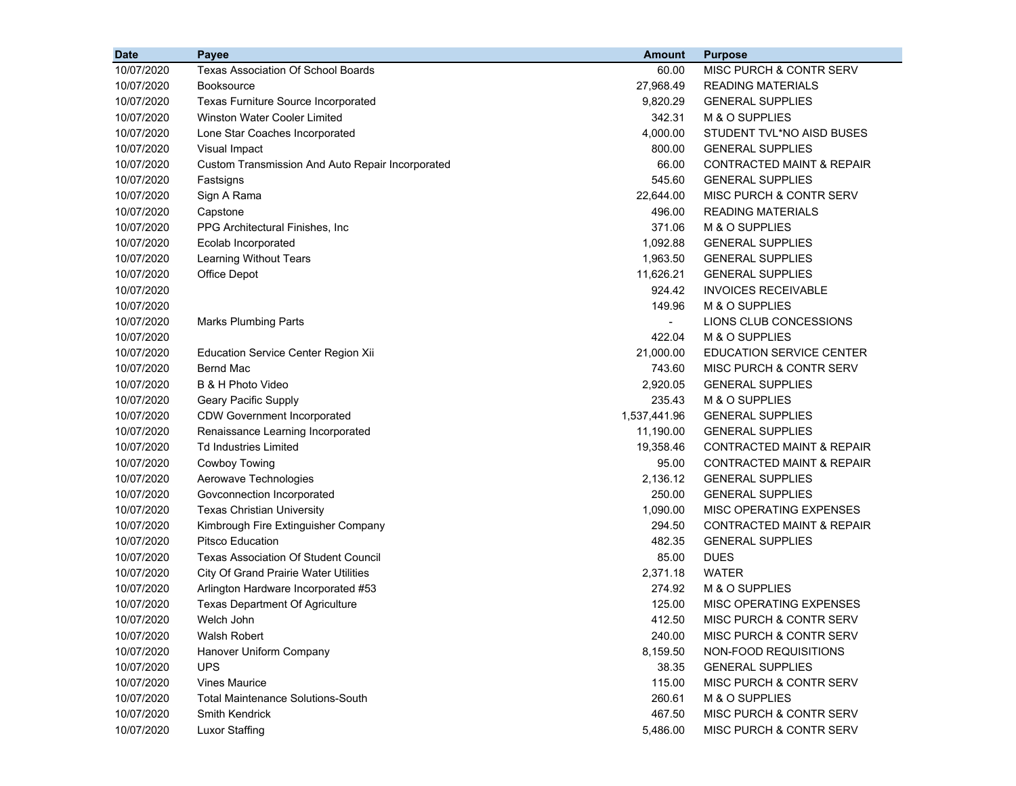| 10/07/2020<br><b>Texas Association Of School Boards</b><br>MISC PURCH & CONTR SERV<br>60.00<br>10/07/2020<br>27,968.49<br><b>Booksource</b><br><b>READING MATERIALS</b><br>10/07/2020<br>9,820.29<br><b>GENERAL SUPPLIES</b><br><b>Texas Furniture Source Incorporated</b><br>342.31<br>10/07/2020<br><b>Winston Water Cooler Limited</b><br>M & O SUPPLIES<br>4,000.00<br>10/07/2020<br>Lone Star Coaches Incorporated<br>STUDENT TVL*NO AISD BUSES<br>800.00<br>10/07/2020<br>Visual Impact<br><b>GENERAL SUPPLIES</b><br>66.00<br><b>CONTRACTED MAINT &amp; REPAIR</b><br>10/07/2020<br>Custom Transmission And Auto Repair Incorporated<br>545.60<br><b>GENERAL SUPPLIES</b><br>10/07/2020<br>Fastsigns<br>22,644.00<br>MISC PURCH & CONTR SERV<br>10/07/2020<br>Sign A Rama<br>496.00<br><b>READING MATERIALS</b><br>10/07/2020<br>Capstone<br>371.06<br>M & O SUPPLIES<br>10/07/2020<br>PPG Architectural Finishes, Inc. |
|--------------------------------------------------------------------------------------------------------------------------------------------------------------------------------------------------------------------------------------------------------------------------------------------------------------------------------------------------------------------------------------------------------------------------------------------------------------------------------------------------------------------------------------------------------------------------------------------------------------------------------------------------------------------------------------------------------------------------------------------------------------------------------------------------------------------------------------------------------------------------------------------------------------------------------|
|                                                                                                                                                                                                                                                                                                                                                                                                                                                                                                                                                                                                                                                                                                                                                                                                                                                                                                                                |
|                                                                                                                                                                                                                                                                                                                                                                                                                                                                                                                                                                                                                                                                                                                                                                                                                                                                                                                                |
|                                                                                                                                                                                                                                                                                                                                                                                                                                                                                                                                                                                                                                                                                                                                                                                                                                                                                                                                |
|                                                                                                                                                                                                                                                                                                                                                                                                                                                                                                                                                                                                                                                                                                                                                                                                                                                                                                                                |
|                                                                                                                                                                                                                                                                                                                                                                                                                                                                                                                                                                                                                                                                                                                                                                                                                                                                                                                                |
|                                                                                                                                                                                                                                                                                                                                                                                                                                                                                                                                                                                                                                                                                                                                                                                                                                                                                                                                |
|                                                                                                                                                                                                                                                                                                                                                                                                                                                                                                                                                                                                                                                                                                                                                                                                                                                                                                                                |
|                                                                                                                                                                                                                                                                                                                                                                                                                                                                                                                                                                                                                                                                                                                                                                                                                                                                                                                                |
|                                                                                                                                                                                                                                                                                                                                                                                                                                                                                                                                                                                                                                                                                                                                                                                                                                                                                                                                |
|                                                                                                                                                                                                                                                                                                                                                                                                                                                                                                                                                                                                                                                                                                                                                                                                                                                                                                                                |
|                                                                                                                                                                                                                                                                                                                                                                                                                                                                                                                                                                                                                                                                                                                                                                                                                                                                                                                                |
| 10/07/2020<br>Ecolab Incorporated<br>1,092.88<br><b>GENERAL SUPPLIES</b>                                                                                                                                                                                                                                                                                                                                                                                                                                                                                                                                                                                                                                                                                                                                                                                                                                                       |
| 1,963.50<br>10/07/2020<br>Learning Without Tears<br><b>GENERAL SUPPLIES</b>                                                                                                                                                                                                                                                                                                                                                                                                                                                                                                                                                                                                                                                                                                                                                                                                                                                    |
| 11,626.21<br>10/07/2020<br>Office Depot<br><b>GENERAL SUPPLIES</b>                                                                                                                                                                                                                                                                                                                                                                                                                                                                                                                                                                                                                                                                                                                                                                                                                                                             |
| 924.42<br><b>INVOICES RECEIVABLE</b><br>10/07/2020                                                                                                                                                                                                                                                                                                                                                                                                                                                                                                                                                                                                                                                                                                                                                                                                                                                                             |
| 10/07/2020<br>149.96<br>M & O SUPPLIES                                                                                                                                                                                                                                                                                                                                                                                                                                                                                                                                                                                                                                                                                                                                                                                                                                                                                         |
| LIONS CLUB CONCESSIONS<br>10/07/2020<br><b>Marks Plumbing Parts</b><br>$\blacksquare$                                                                                                                                                                                                                                                                                                                                                                                                                                                                                                                                                                                                                                                                                                                                                                                                                                          |
| 422.04<br>M & O SUPPLIES<br>10/07/2020                                                                                                                                                                                                                                                                                                                                                                                                                                                                                                                                                                                                                                                                                                                                                                                                                                                                                         |
| 21,000.00<br><b>EDUCATION SERVICE CENTER</b><br>10/07/2020<br>Education Service Center Region Xii                                                                                                                                                                                                                                                                                                                                                                                                                                                                                                                                                                                                                                                                                                                                                                                                                              |
| Bernd Mac<br>743.60<br>10/07/2020<br>MISC PURCH & CONTR SERV                                                                                                                                                                                                                                                                                                                                                                                                                                                                                                                                                                                                                                                                                                                                                                                                                                                                   |
| B & H Photo Video<br>2,920.05<br>10/07/2020<br><b>GENERAL SUPPLIES</b>                                                                                                                                                                                                                                                                                                                                                                                                                                                                                                                                                                                                                                                                                                                                                                                                                                                         |
| 235.43<br>M & O SUPPLIES<br>10/07/2020<br>Geary Pacific Supply                                                                                                                                                                                                                                                                                                                                                                                                                                                                                                                                                                                                                                                                                                                                                                                                                                                                 |
| 1,537,441.96<br>10/07/2020<br><b>CDW Government Incorporated</b><br><b>GENERAL SUPPLIES</b>                                                                                                                                                                                                                                                                                                                                                                                                                                                                                                                                                                                                                                                                                                                                                                                                                                    |
| 11,190.00<br>10/07/2020<br>Renaissance Learning Incorporated<br><b>GENERAL SUPPLIES</b>                                                                                                                                                                                                                                                                                                                                                                                                                                                                                                                                                                                                                                                                                                                                                                                                                                        |
| <b>Td Industries Limited</b><br>19,358.46<br>10/07/2020<br>CONTRACTED MAINT & REPAIR                                                                                                                                                                                                                                                                                                                                                                                                                                                                                                                                                                                                                                                                                                                                                                                                                                           |
| 95.00<br>10/07/2020<br>Cowboy Towing<br><b>CONTRACTED MAINT &amp; REPAIR</b>                                                                                                                                                                                                                                                                                                                                                                                                                                                                                                                                                                                                                                                                                                                                                                                                                                                   |
| 2,136.12<br>10/07/2020<br>Aerowave Technologies<br><b>GENERAL SUPPLIES</b>                                                                                                                                                                                                                                                                                                                                                                                                                                                                                                                                                                                                                                                                                                                                                                                                                                                     |
| 250.00<br>10/07/2020<br>Govconnection Incorporated<br><b>GENERAL SUPPLIES</b>                                                                                                                                                                                                                                                                                                                                                                                                                                                                                                                                                                                                                                                                                                                                                                                                                                                  |
| 1,090.00<br>10/07/2020<br><b>Texas Christian University</b><br>MISC OPERATING EXPENSES                                                                                                                                                                                                                                                                                                                                                                                                                                                                                                                                                                                                                                                                                                                                                                                                                                         |
| 294.50<br><b>CONTRACTED MAINT &amp; REPAIR</b><br>10/07/2020<br>Kimbrough Fire Extinguisher Company                                                                                                                                                                                                                                                                                                                                                                                                                                                                                                                                                                                                                                                                                                                                                                                                                            |
| <b>Pitsco Education</b><br>482.35<br><b>GENERAL SUPPLIES</b><br>10/07/2020                                                                                                                                                                                                                                                                                                                                                                                                                                                                                                                                                                                                                                                                                                                                                                                                                                                     |
| 85.00<br><b>DUES</b><br>10/07/2020<br><b>Texas Association Of Student Council</b>                                                                                                                                                                                                                                                                                                                                                                                                                                                                                                                                                                                                                                                                                                                                                                                                                                              |
| 2,371.18<br><b>WATER</b><br>10/07/2020<br><b>City Of Grand Prairie Water Utilities</b>                                                                                                                                                                                                                                                                                                                                                                                                                                                                                                                                                                                                                                                                                                                                                                                                                                         |
| 274.92<br>M & O SUPPLIES<br>10/07/2020<br>Arlington Hardware Incorporated #53                                                                                                                                                                                                                                                                                                                                                                                                                                                                                                                                                                                                                                                                                                                                                                                                                                                  |
| 10/07/2020<br>125.00<br>MISC OPERATING EXPENSES<br><b>Texas Department Of Agriculture</b>                                                                                                                                                                                                                                                                                                                                                                                                                                                                                                                                                                                                                                                                                                                                                                                                                                      |
| 10/07/2020<br>412.50<br>MISC PURCH & CONTR SERV<br>Welch John                                                                                                                                                                                                                                                                                                                                                                                                                                                                                                                                                                                                                                                                                                                                                                                                                                                                  |
| Walsh Robert<br>10/07/2020<br>240.00<br>MISC PURCH & CONTR SERV                                                                                                                                                                                                                                                                                                                                                                                                                                                                                                                                                                                                                                                                                                                                                                                                                                                                |
| 10/07/2020<br>Hanover Uniform Company<br>8,159.50<br>NON-FOOD REQUISITIONS                                                                                                                                                                                                                                                                                                                                                                                                                                                                                                                                                                                                                                                                                                                                                                                                                                                     |
| 10/07/2020<br><b>UPS</b><br>38.35<br><b>GENERAL SUPPLIES</b>                                                                                                                                                                                                                                                                                                                                                                                                                                                                                                                                                                                                                                                                                                                                                                                                                                                                   |
| 10/07/2020<br><b>Vines Maurice</b><br>115.00<br>MISC PURCH & CONTR SERV                                                                                                                                                                                                                                                                                                                                                                                                                                                                                                                                                                                                                                                                                                                                                                                                                                                        |
| 10/07/2020<br>260.61<br>M & O SUPPLIES<br><b>Total Maintenance Solutions-South</b>                                                                                                                                                                                                                                                                                                                                                                                                                                                                                                                                                                                                                                                                                                                                                                                                                                             |
| 10/07/2020<br>467.50<br>MISC PURCH & CONTR SERV<br>Smith Kendrick                                                                                                                                                                                                                                                                                                                                                                                                                                                                                                                                                                                                                                                                                                                                                                                                                                                              |
| 10/07/2020<br><b>Luxor Staffing</b><br>5,486.00<br>MISC PURCH & CONTR SERV                                                                                                                                                                                                                                                                                                                                                                                                                                                                                                                                                                                                                                                                                                                                                                                                                                                     |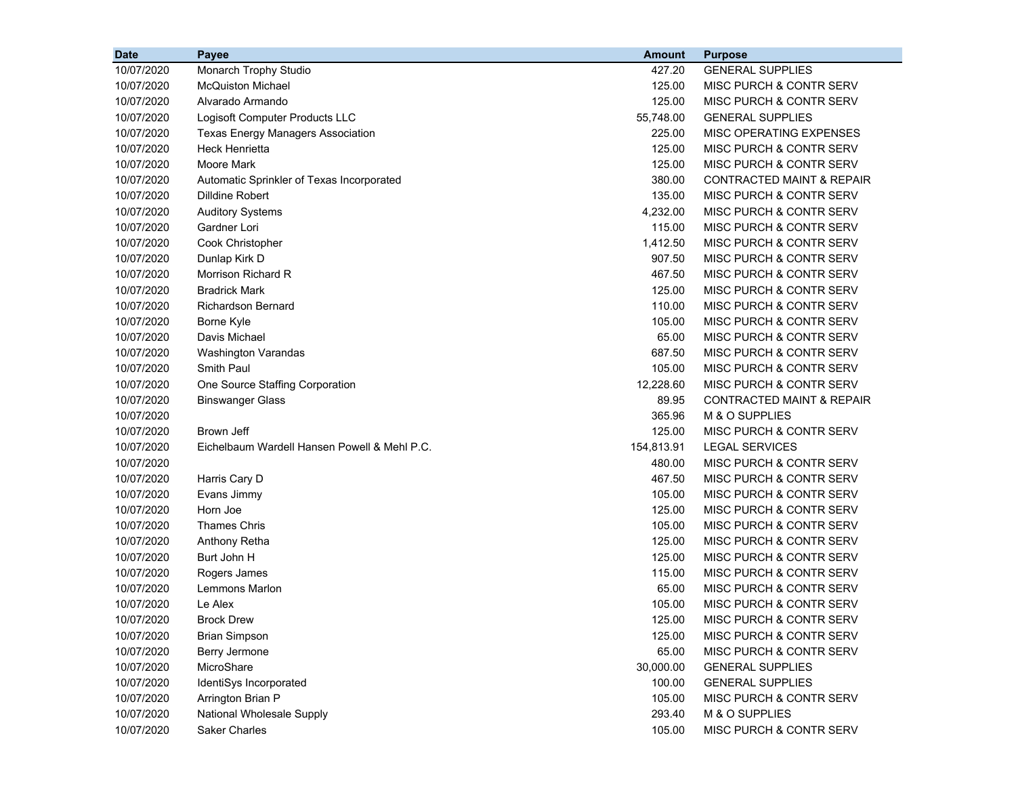| <b>Date</b> | Payee                                        | <b>Amount</b> | <b>Purpose</b>                       |
|-------------|----------------------------------------------|---------------|--------------------------------------|
| 10/07/2020  | Monarch Trophy Studio                        | 427.20        | <b>GENERAL SUPPLIES</b>              |
| 10/07/2020  | <b>McQuiston Michael</b>                     | 125.00        | MISC PURCH & CONTR SERV              |
| 10/07/2020  | Alvarado Armando                             | 125.00        | MISC PURCH & CONTR SERV              |
| 10/07/2020  | Logisoft Computer Products LLC               | 55,748.00     | <b>GENERAL SUPPLIES</b>              |
| 10/07/2020  | <b>Texas Energy Managers Association</b>     | 225.00        | MISC OPERATING EXPENSES              |
| 10/07/2020  | <b>Heck Henrietta</b>                        | 125.00        | MISC PURCH & CONTR SERV              |
| 10/07/2020  | Moore Mark                                   | 125.00        | MISC PURCH & CONTR SERV              |
| 10/07/2020  | Automatic Sprinkler of Texas Incorporated    | 380.00        | <b>CONTRACTED MAINT &amp; REPAIR</b> |
| 10/07/2020  | <b>Dilldine Robert</b>                       | 135.00        | MISC PURCH & CONTR SERV              |
| 10/07/2020  | <b>Auditory Systems</b>                      | 4,232.00      | MISC PURCH & CONTR SERV              |
| 10/07/2020  | Gardner Lori                                 | 115.00        | MISC PURCH & CONTR SERV              |
| 10/07/2020  | Cook Christopher                             | 1,412.50      | MISC PURCH & CONTR SERV              |
| 10/07/2020  | Dunlap Kirk D                                | 907.50        | MISC PURCH & CONTR SERV              |
| 10/07/2020  | Morrison Richard R                           | 467.50        | MISC PURCH & CONTR SERV              |
| 10/07/2020  | <b>Bradrick Mark</b>                         | 125.00        | MISC PURCH & CONTR SERV              |
| 10/07/2020  | <b>Richardson Bernard</b>                    | 110.00        | MISC PURCH & CONTR SERV              |
| 10/07/2020  | Borne Kyle                                   | 105.00        | MISC PURCH & CONTR SERV              |
| 10/07/2020  | Davis Michael                                | 65.00         | MISC PURCH & CONTR SERV              |
| 10/07/2020  | Washington Varandas                          | 687.50        | <b>MISC PURCH &amp; CONTR SERV</b>   |
| 10/07/2020  | Smith Paul                                   | 105.00        | MISC PURCH & CONTR SERV              |
| 10/07/2020  | One Source Staffing Corporation              | 12,228.60     | MISC PURCH & CONTR SERV              |
| 10/07/2020  | <b>Binswanger Glass</b>                      | 89.95         | <b>CONTRACTED MAINT &amp; REPAIR</b> |
| 10/07/2020  |                                              | 365.96        | M & O SUPPLIES                       |
| 10/07/2020  | Brown Jeff                                   | 125.00        | MISC PURCH & CONTR SERV              |
| 10/07/2020  | Eichelbaum Wardell Hansen Powell & Mehl P.C. | 154,813.91    | <b>LEGAL SERVICES</b>                |
| 10/07/2020  |                                              | 480.00        | MISC PURCH & CONTR SERV              |
| 10/07/2020  | Harris Cary D                                | 467.50        | MISC PURCH & CONTR SERV              |
| 10/07/2020  | Evans Jimmy                                  | 105.00        | MISC PURCH & CONTR SERV              |
| 10/07/2020  | Horn Joe                                     | 125.00        | MISC PURCH & CONTR SERV              |
| 10/07/2020  | <b>Thames Chris</b>                          | 105.00        | MISC PURCH & CONTR SERV              |
| 10/07/2020  | Anthony Retha                                | 125.00        | MISC PURCH & CONTR SERV              |
| 10/07/2020  | Burt John H                                  | 125.00        | <b>MISC PURCH &amp; CONTR SERV</b>   |
| 10/07/2020  | Rogers James                                 | 115.00        | MISC PURCH & CONTR SERV              |
| 10/07/2020  | <b>Lemmons Marlon</b>                        | 65.00         | MISC PURCH & CONTR SERV              |
| 10/07/2020  | Le Alex                                      | 105.00        | MISC PURCH & CONTR SERV              |
| 10/07/2020  | <b>Brock Drew</b>                            | 125.00        | MISC PURCH & CONTR SERV              |
| 10/07/2020  | <b>Brian Simpson</b>                         | 125.00        | MISC PURCH & CONTR SERV              |
| 10/07/2020  | Berry Jermone                                | 65.00         | MISC PURCH & CONTR SERV              |
| 10/07/2020  | MicroShare                                   | 30,000.00     | <b>GENERAL SUPPLIES</b>              |
| 10/07/2020  | IdentiSys Incorporated                       | 100.00        | <b>GENERAL SUPPLIES</b>              |
| 10/07/2020  | Arrington Brian P                            | 105.00        | MISC PURCH & CONTR SERV              |
| 10/07/2020  | National Wholesale Supply                    | 293.40        | M & O SUPPLIES                       |
| 10/07/2020  | <b>Saker Charles</b>                         | 105.00        | MISC PURCH & CONTR SERV              |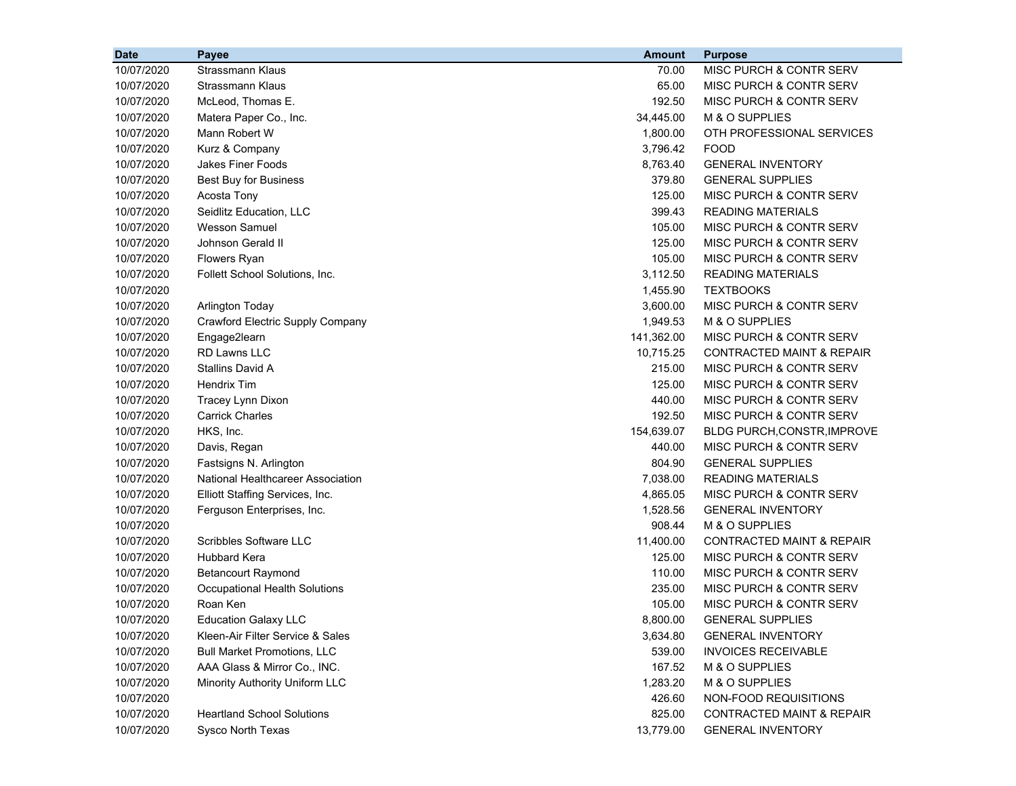| 10/07/2020<br>Strassmann Klaus<br>70.00<br>MISC PURCH & CONTR SERV<br>10/07/2020<br><b>Strassmann Klaus</b><br>65.00<br>MISC PURCH & CONTR SERV<br>McLeod, Thomas E.<br>192.50<br>10/07/2020<br>MISC PURCH & CONTR SERV<br>M & O SUPPLIES<br>10/07/2020<br>Matera Paper Co., Inc.<br>34,445.00<br>10/07/2020<br>Mann Robert W<br>1,800.00<br>OTH PROFESSIONAL SERVICES<br>10/07/2020<br>Kurz & Company<br>3,796.42<br><b>FOOD</b><br>10/07/2020<br>Jakes Finer Foods<br>8,763.40<br><b>GENERAL INVENTORY</b><br>379.80<br>10/07/2020<br><b>Best Buy for Business</b><br><b>GENERAL SUPPLIES</b><br>10/07/2020<br>Acosta Tony<br>125.00<br>MISC PURCH & CONTR SERV<br>399.43<br>10/07/2020<br>Seidlitz Education, LLC<br><b>READING MATERIALS</b><br><b>Wesson Samuel</b><br>10/07/2020<br>105.00<br>MISC PURCH & CONTR SERV<br>10/07/2020<br>Johnson Gerald II<br>125.00<br>MISC PURCH & CONTR SERV<br>10/07/2020<br>Flowers Ryan<br>105.00<br>MISC PURCH & CONTR SERV<br>10/07/2020<br>3,112.50<br><b>READING MATERIALS</b><br>Follett School Solutions, Inc.<br>10/07/2020<br>1,455.90<br><b>TEXTBOOKS</b><br>10/07/2020<br>3,600.00<br><b>MISC PURCH &amp; CONTR SERV</b><br><b>Arlington Today</b><br>10/07/2020<br>Crawford Electric Supply Company<br>1,949.53<br>M & O SUPPLIES<br>10/07/2020<br>Engage2learn<br>141,362.00<br>MISC PURCH & CONTR SERV<br>RD Lawns LLC<br>10/07/2020<br>10,715.25<br><b>CONTRACTED MAINT &amp; REPAIR</b><br>Stallins David A<br>10/07/2020<br>215.00<br>MISC PURCH & CONTR SERV<br>10/07/2020<br><b>Hendrix Tim</b><br>125.00<br>MISC PURCH & CONTR SERV<br>10/07/2020<br>Tracey Lynn Dixon<br>440.00<br>MISC PURCH & CONTR SERV<br>10/07/2020<br><b>Carrick Charles</b><br>192.50<br>MISC PURCH & CONTR SERV<br>HKS, Inc.<br>154,639.07<br>10/07/2020<br><b>BLDG PURCH, CONSTR, IMPROVE</b><br>10/07/2020<br>Davis, Regan<br>440.00<br>MISC PURCH & CONTR SERV<br>Fastsigns N. Arlington<br>804.90<br><b>GENERAL SUPPLIES</b><br>10/07/2020<br>National Healthcareer Association<br>7,038.00<br><b>READING MATERIALS</b><br>10/07/2020<br>4,865.05<br>MISC PURCH & CONTR SERV<br>10/07/2020<br>Elliott Staffing Services, Inc.<br>1,528.56<br><b>GENERAL INVENTORY</b><br>10/07/2020<br>Ferguson Enterprises, Inc.<br>908.44<br>M & O SUPPLIES<br>10/07/2020<br>Scribbles Software LLC<br>11,400.00<br><b>CONTRACTED MAINT &amp; REPAIR</b><br>10/07/2020<br>10/07/2020<br><b>Hubbard Kera</b><br>125.00<br>MISC PURCH & CONTR SERV<br>10/07/2020<br><b>Betancourt Raymond</b><br>110.00<br>MISC PURCH & CONTR SERV<br>235.00<br>MISC PURCH & CONTR SERV<br>10/07/2020<br>Occupational Health Solutions<br>10/07/2020<br>Roan Ken<br>105.00<br><b>MISC PURCH &amp; CONTR SERV</b><br>8,800.00<br><b>GENERAL SUPPLIES</b><br>10/07/2020<br><b>Education Galaxy LLC</b><br>10/07/2020<br>Kleen-Air Filter Service & Sales<br>3,634.80<br><b>GENERAL INVENTORY</b><br>10/07/2020<br><b>Bull Market Promotions, LLC</b><br>539.00<br><b>INVOICES RECEIVABLE</b><br>10/07/2020<br>AAA Glass & Mirror Co., INC.<br>167.52<br>M & O SUPPLIES<br>10/07/2020<br>Minority Authority Uniform LLC<br>1,283.20<br>M & O SUPPLIES<br>10/07/2020<br>426.60<br>NON-FOOD REQUISITIONS<br>10/07/2020<br><b>Heartland School Solutions</b><br>825.00<br>CONTRACTED MAINT & REPAIR | <b>Date</b> | Payee             | <b>Amount</b> | <b>Purpose</b>           |
|---------------------------------------------------------------------------------------------------------------------------------------------------------------------------------------------------------------------------------------------------------------------------------------------------------------------------------------------------------------------------------------------------------------------------------------------------------------------------------------------------------------------------------------------------------------------------------------------------------------------------------------------------------------------------------------------------------------------------------------------------------------------------------------------------------------------------------------------------------------------------------------------------------------------------------------------------------------------------------------------------------------------------------------------------------------------------------------------------------------------------------------------------------------------------------------------------------------------------------------------------------------------------------------------------------------------------------------------------------------------------------------------------------------------------------------------------------------------------------------------------------------------------------------------------------------------------------------------------------------------------------------------------------------------------------------------------------------------------------------------------------------------------------------------------------------------------------------------------------------------------------------------------------------------------------------------------------------------------------------------------------------------------------------------------------------------------------------------------------------------------------------------------------------------------------------------------------------------------------------------------------------------------------------------------------------------------------------------------------------------------------------------------------------------------------------------------------------------------------------------------------------------------------------------------------------------------------------------------------------------------------------------------------------------------------------------------------------------------------------------------------------------------------------------------------------------------------------------------------------------------------------------------------------------------------------------------------------------------------------------------------------------------------------------------------------------------------------------------------------------------------------------------------------------------------------------------------------------------------------------------------------------------------------------------------|-------------|-------------------|---------------|--------------------------|
|                                                                                                                                                                                                                                                                                                                                                                                                                                                                                                                                                                                                                                                                                                                                                                                                                                                                                                                                                                                                                                                                                                                                                                                                                                                                                                                                                                                                                                                                                                                                                                                                                                                                                                                                                                                                                                                                                                                                                                                                                                                                                                                                                                                                                                                                                                                                                                                                                                                                                                                                                                                                                                                                                                                                                                                                                                                                                                                                                                                                                                                                                                                                                                                                                                                                                                         |             |                   |               |                          |
|                                                                                                                                                                                                                                                                                                                                                                                                                                                                                                                                                                                                                                                                                                                                                                                                                                                                                                                                                                                                                                                                                                                                                                                                                                                                                                                                                                                                                                                                                                                                                                                                                                                                                                                                                                                                                                                                                                                                                                                                                                                                                                                                                                                                                                                                                                                                                                                                                                                                                                                                                                                                                                                                                                                                                                                                                                                                                                                                                                                                                                                                                                                                                                                                                                                                                                         |             |                   |               |                          |
|                                                                                                                                                                                                                                                                                                                                                                                                                                                                                                                                                                                                                                                                                                                                                                                                                                                                                                                                                                                                                                                                                                                                                                                                                                                                                                                                                                                                                                                                                                                                                                                                                                                                                                                                                                                                                                                                                                                                                                                                                                                                                                                                                                                                                                                                                                                                                                                                                                                                                                                                                                                                                                                                                                                                                                                                                                                                                                                                                                                                                                                                                                                                                                                                                                                                                                         |             |                   |               |                          |
|                                                                                                                                                                                                                                                                                                                                                                                                                                                                                                                                                                                                                                                                                                                                                                                                                                                                                                                                                                                                                                                                                                                                                                                                                                                                                                                                                                                                                                                                                                                                                                                                                                                                                                                                                                                                                                                                                                                                                                                                                                                                                                                                                                                                                                                                                                                                                                                                                                                                                                                                                                                                                                                                                                                                                                                                                                                                                                                                                                                                                                                                                                                                                                                                                                                                                                         |             |                   |               |                          |
|                                                                                                                                                                                                                                                                                                                                                                                                                                                                                                                                                                                                                                                                                                                                                                                                                                                                                                                                                                                                                                                                                                                                                                                                                                                                                                                                                                                                                                                                                                                                                                                                                                                                                                                                                                                                                                                                                                                                                                                                                                                                                                                                                                                                                                                                                                                                                                                                                                                                                                                                                                                                                                                                                                                                                                                                                                                                                                                                                                                                                                                                                                                                                                                                                                                                                                         |             |                   |               |                          |
|                                                                                                                                                                                                                                                                                                                                                                                                                                                                                                                                                                                                                                                                                                                                                                                                                                                                                                                                                                                                                                                                                                                                                                                                                                                                                                                                                                                                                                                                                                                                                                                                                                                                                                                                                                                                                                                                                                                                                                                                                                                                                                                                                                                                                                                                                                                                                                                                                                                                                                                                                                                                                                                                                                                                                                                                                                                                                                                                                                                                                                                                                                                                                                                                                                                                                                         |             |                   |               |                          |
|                                                                                                                                                                                                                                                                                                                                                                                                                                                                                                                                                                                                                                                                                                                                                                                                                                                                                                                                                                                                                                                                                                                                                                                                                                                                                                                                                                                                                                                                                                                                                                                                                                                                                                                                                                                                                                                                                                                                                                                                                                                                                                                                                                                                                                                                                                                                                                                                                                                                                                                                                                                                                                                                                                                                                                                                                                                                                                                                                                                                                                                                                                                                                                                                                                                                                                         |             |                   |               |                          |
|                                                                                                                                                                                                                                                                                                                                                                                                                                                                                                                                                                                                                                                                                                                                                                                                                                                                                                                                                                                                                                                                                                                                                                                                                                                                                                                                                                                                                                                                                                                                                                                                                                                                                                                                                                                                                                                                                                                                                                                                                                                                                                                                                                                                                                                                                                                                                                                                                                                                                                                                                                                                                                                                                                                                                                                                                                                                                                                                                                                                                                                                                                                                                                                                                                                                                                         |             |                   |               |                          |
|                                                                                                                                                                                                                                                                                                                                                                                                                                                                                                                                                                                                                                                                                                                                                                                                                                                                                                                                                                                                                                                                                                                                                                                                                                                                                                                                                                                                                                                                                                                                                                                                                                                                                                                                                                                                                                                                                                                                                                                                                                                                                                                                                                                                                                                                                                                                                                                                                                                                                                                                                                                                                                                                                                                                                                                                                                                                                                                                                                                                                                                                                                                                                                                                                                                                                                         |             |                   |               |                          |
|                                                                                                                                                                                                                                                                                                                                                                                                                                                                                                                                                                                                                                                                                                                                                                                                                                                                                                                                                                                                                                                                                                                                                                                                                                                                                                                                                                                                                                                                                                                                                                                                                                                                                                                                                                                                                                                                                                                                                                                                                                                                                                                                                                                                                                                                                                                                                                                                                                                                                                                                                                                                                                                                                                                                                                                                                                                                                                                                                                                                                                                                                                                                                                                                                                                                                                         |             |                   |               |                          |
|                                                                                                                                                                                                                                                                                                                                                                                                                                                                                                                                                                                                                                                                                                                                                                                                                                                                                                                                                                                                                                                                                                                                                                                                                                                                                                                                                                                                                                                                                                                                                                                                                                                                                                                                                                                                                                                                                                                                                                                                                                                                                                                                                                                                                                                                                                                                                                                                                                                                                                                                                                                                                                                                                                                                                                                                                                                                                                                                                                                                                                                                                                                                                                                                                                                                                                         |             |                   |               |                          |
|                                                                                                                                                                                                                                                                                                                                                                                                                                                                                                                                                                                                                                                                                                                                                                                                                                                                                                                                                                                                                                                                                                                                                                                                                                                                                                                                                                                                                                                                                                                                                                                                                                                                                                                                                                                                                                                                                                                                                                                                                                                                                                                                                                                                                                                                                                                                                                                                                                                                                                                                                                                                                                                                                                                                                                                                                                                                                                                                                                                                                                                                                                                                                                                                                                                                                                         |             |                   |               |                          |
|                                                                                                                                                                                                                                                                                                                                                                                                                                                                                                                                                                                                                                                                                                                                                                                                                                                                                                                                                                                                                                                                                                                                                                                                                                                                                                                                                                                                                                                                                                                                                                                                                                                                                                                                                                                                                                                                                                                                                                                                                                                                                                                                                                                                                                                                                                                                                                                                                                                                                                                                                                                                                                                                                                                                                                                                                                                                                                                                                                                                                                                                                                                                                                                                                                                                                                         |             |                   |               |                          |
|                                                                                                                                                                                                                                                                                                                                                                                                                                                                                                                                                                                                                                                                                                                                                                                                                                                                                                                                                                                                                                                                                                                                                                                                                                                                                                                                                                                                                                                                                                                                                                                                                                                                                                                                                                                                                                                                                                                                                                                                                                                                                                                                                                                                                                                                                                                                                                                                                                                                                                                                                                                                                                                                                                                                                                                                                                                                                                                                                                                                                                                                                                                                                                                                                                                                                                         |             |                   |               |                          |
|                                                                                                                                                                                                                                                                                                                                                                                                                                                                                                                                                                                                                                                                                                                                                                                                                                                                                                                                                                                                                                                                                                                                                                                                                                                                                                                                                                                                                                                                                                                                                                                                                                                                                                                                                                                                                                                                                                                                                                                                                                                                                                                                                                                                                                                                                                                                                                                                                                                                                                                                                                                                                                                                                                                                                                                                                                                                                                                                                                                                                                                                                                                                                                                                                                                                                                         |             |                   |               |                          |
|                                                                                                                                                                                                                                                                                                                                                                                                                                                                                                                                                                                                                                                                                                                                                                                                                                                                                                                                                                                                                                                                                                                                                                                                                                                                                                                                                                                                                                                                                                                                                                                                                                                                                                                                                                                                                                                                                                                                                                                                                                                                                                                                                                                                                                                                                                                                                                                                                                                                                                                                                                                                                                                                                                                                                                                                                                                                                                                                                                                                                                                                                                                                                                                                                                                                                                         |             |                   |               |                          |
|                                                                                                                                                                                                                                                                                                                                                                                                                                                                                                                                                                                                                                                                                                                                                                                                                                                                                                                                                                                                                                                                                                                                                                                                                                                                                                                                                                                                                                                                                                                                                                                                                                                                                                                                                                                                                                                                                                                                                                                                                                                                                                                                                                                                                                                                                                                                                                                                                                                                                                                                                                                                                                                                                                                                                                                                                                                                                                                                                                                                                                                                                                                                                                                                                                                                                                         |             |                   |               |                          |
|                                                                                                                                                                                                                                                                                                                                                                                                                                                                                                                                                                                                                                                                                                                                                                                                                                                                                                                                                                                                                                                                                                                                                                                                                                                                                                                                                                                                                                                                                                                                                                                                                                                                                                                                                                                                                                                                                                                                                                                                                                                                                                                                                                                                                                                                                                                                                                                                                                                                                                                                                                                                                                                                                                                                                                                                                                                                                                                                                                                                                                                                                                                                                                                                                                                                                                         |             |                   |               |                          |
|                                                                                                                                                                                                                                                                                                                                                                                                                                                                                                                                                                                                                                                                                                                                                                                                                                                                                                                                                                                                                                                                                                                                                                                                                                                                                                                                                                                                                                                                                                                                                                                                                                                                                                                                                                                                                                                                                                                                                                                                                                                                                                                                                                                                                                                                                                                                                                                                                                                                                                                                                                                                                                                                                                                                                                                                                                                                                                                                                                                                                                                                                                                                                                                                                                                                                                         |             |                   |               |                          |
|                                                                                                                                                                                                                                                                                                                                                                                                                                                                                                                                                                                                                                                                                                                                                                                                                                                                                                                                                                                                                                                                                                                                                                                                                                                                                                                                                                                                                                                                                                                                                                                                                                                                                                                                                                                                                                                                                                                                                                                                                                                                                                                                                                                                                                                                                                                                                                                                                                                                                                                                                                                                                                                                                                                                                                                                                                                                                                                                                                                                                                                                                                                                                                                                                                                                                                         |             |                   |               |                          |
|                                                                                                                                                                                                                                                                                                                                                                                                                                                                                                                                                                                                                                                                                                                                                                                                                                                                                                                                                                                                                                                                                                                                                                                                                                                                                                                                                                                                                                                                                                                                                                                                                                                                                                                                                                                                                                                                                                                                                                                                                                                                                                                                                                                                                                                                                                                                                                                                                                                                                                                                                                                                                                                                                                                                                                                                                                                                                                                                                                                                                                                                                                                                                                                                                                                                                                         |             |                   |               |                          |
|                                                                                                                                                                                                                                                                                                                                                                                                                                                                                                                                                                                                                                                                                                                                                                                                                                                                                                                                                                                                                                                                                                                                                                                                                                                                                                                                                                                                                                                                                                                                                                                                                                                                                                                                                                                                                                                                                                                                                                                                                                                                                                                                                                                                                                                                                                                                                                                                                                                                                                                                                                                                                                                                                                                                                                                                                                                                                                                                                                                                                                                                                                                                                                                                                                                                                                         |             |                   |               |                          |
|                                                                                                                                                                                                                                                                                                                                                                                                                                                                                                                                                                                                                                                                                                                                                                                                                                                                                                                                                                                                                                                                                                                                                                                                                                                                                                                                                                                                                                                                                                                                                                                                                                                                                                                                                                                                                                                                                                                                                                                                                                                                                                                                                                                                                                                                                                                                                                                                                                                                                                                                                                                                                                                                                                                                                                                                                                                                                                                                                                                                                                                                                                                                                                                                                                                                                                         |             |                   |               |                          |
|                                                                                                                                                                                                                                                                                                                                                                                                                                                                                                                                                                                                                                                                                                                                                                                                                                                                                                                                                                                                                                                                                                                                                                                                                                                                                                                                                                                                                                                                                                                                                                                                                                                                                                                                                                                                                                                                                                                                                                                                                                                                                                                                                                                                                                                                                                                                                                                                                                                                                                                                                                                                                                                                                                                                                                                                                                                                                                                                                                                                                                                                                                                                                                                                                                                                                                         |             |                   |               |                          |
|                                                                                                                                                                                                                                                                                                                                                                                                                                                                                                                                                                                                                                                                                                                                                                                                                                                                                                                                                                                                                                                                                                                                                                                                                                                                                                                                                                                                                                                                                                                                                                                                                                                                                                                                                                                                                                                                                                                                                                                                                                                                                                                                                                                                                                                                                                                                                                                                                                                                                                                                                                                                                                                                                                                                                                                                                                                                                                                                                                                                                                                                                                                                                                                                                                                                                                         |             |                   |               |                          |
|                                                                                                                                                                                                                                                                                                                                                                                                                                                                                                                                                                                                                                                                                                                                                                                                                                                                                                                                                                                                                                                                                                                                                                                                                                                                                                                                                                                                                                                                                                                                                                                                                                                                                                                                                                                                                                                                                                                                                                                                                                                                                                                                                                                                                                                                                                                                                                                                                                                                                                                                                                                                                                                                                                                                                                                                                                                                                                                                                                                                                                                                                                                                                                                                                                                                                                         |             |                   |               |                          |
|                                                                                                                                                                                                                                                                                                                                                                                                                                                                                                                                                                                                                                                                                                                                                                                                                                                                                                                                                                                                                                                                                                                                                                                                                                                                                                                                                                                                                                                                                                                                                                                                                                                                                                                                                                                                                                                                                                                                                                                                                                                                                                                                                                                                                                                                                                                                                                                                                                                                                                                                                                                                                                                                                                                                                                                                                                                                                                                                                                                                                                                                                                                                                                                                                                                                                                         |             |                   |               |                          |
|                                                                                                                                                                                                                                                                                                                                                                                                                                                                                                                                                                                                                                                                                                                                                                                                                                                                                                                                                                                                                                                                                                                                                                                                                                                                                                                                                                                                                                                                                                                                                                                                                                                                                                                                                                                                                                                                                                                                                                                                                                                                                                                                                                                                                                                                                                                                                                                                                                                                                                                                                                                                                                                                                                                                                                                                                                                                                                                                                                                                                                                                                                                                                                                                                                                                                                         |             |                   |               |                          |
|                                                                                                                                                                                                                                                                                                                                                                                                                                                                                                                                                                                                                                                                                                                                                                                                                                                                                                                                                                                                                                                                                                                                                                                                                                                                                                                                                                                                                                                                                                                                                                                                                                                                                                                                                                                                                                                                                                                                                                                                                                                                                                                                                                                                                                                                                                                                                                                                                                                                                                                                                                                                                                                                                                                                                                                                                                                                                                                                                                                                                                                                                                                                                                                                                                                                                                         |             |                   |               |                          |
|                                                                                                                                                                                                                                                                                                                                                                                                                                                                                                                                                                                                                                                                                                                                                                                                                                                                                                                                                                                                                                                                                                                                                                                                                                                                                                                                                                                                                                                                                                                                                                                                                                                                                                                                                                                                                                                                                                                                                                                                                                                                                                                                                                                                                                                                                                                                                                                                                                                                                                                                                                                                                                                                                                                                                                                                                                                                                                                                                                                                                                                                                                                                                                                                                                                                                                         |             |                   |               |                          |
|                                                                                                                                                                                                                                                                                                                                                                                                                                                                                                                                                                                                                                                                                                                                                                                                                                                                                                                                                                                                                                                                                                                                                                                                                                                                                                                                                                                                                                                                                                                                                                                                                                                                                                                                                                                                                                                                                                                                                                                                                                                                                                                                                                                                                                                                                                                                                                                                                                                                                                                                                                                                                                                                                                                                                                                                                                                                                                                                                                                                                                                                                                                                                                                                                                                                                                         |             |                   |               |                          |
|                                                                                                                                                                                                                                                                                                                                                                                                                                                                                                                                                                                                                                                                                                                                                                                                                                                                                                                                                                                                                                                                                                                                                                                                                                                                                                                                                                                                                                                                                                                                                                                                                                                                                                                                                                                                                                                                                                                                                                                                                                                                                                                                                                                                                                                                                                                                                                                                                                                                                                                                                                                                                                                                                                                                                                                                                                                                                                                                                                                                                                                                                                                                                                                                                                                                                                         |             |                   |               |                          |
|                                                                                                                                                                                                                                                                                                                                                                                                                                                                                                                                                                                                                                                                                                                                                                                                                                                                                                                                                                                                                                                                                                                                                                                                                                                                                                                                                                                                                                                                                                                                                                                                                                                                                                                                                                                                                                                                                                                                                                                                                                                                                                                                                                                                                                                                                                                                                                                                                                                                                                                                                                                                                                                                                                                                                                                                                                                                                                                                                                                                                                                                                                                                                                                                                                                                                                         |             |                   |               |                          |
|                                                                                                                                                                                                                                                                                                                                                                                                                                                                                                                                                                                                                                                                                                                                                                                                                                                                                                                                                                                                                                                                                                                                                                                                                                                                                                                                                                                                                                                                                                                                                                                                                                                                                                                                                                                                                                                                                                                                                                                                                                                                                                                                                                                                                                                                                                                                                                                                                                                                                                                                                                                                                                                                                                                                                                                                                                                                                                                                                                                                                                                                                                                                                                                                                                                                                                         |             |                   |               |                          |
|                                                                                                                                                                                                                                                                                                                                                                                                                                                                                                                                                                                                                                                                                                                                                                                                                                                                                                                                                                                                                                                                                                                                                                                                                                                                                                                                                                                                                                                                                                                                                                                                                                                                                                                                                                                                                                                                                                                                                                                                                                                                                                                                                                                                                                                                                                                                                                                                                                                                                                                                                                                                                                                                                                                                                                                                                                                                                                                                                                                                                                                                                                                                                                                                                                                                                                         |             |                   |               |                          |
|                                                                                                                                                                                                                                                                                                                                                                                                                                                                                                                                                                                                                                                                                                                                                                                                                                                                                                                                                                                                                                                                                                                                                                                                                                                                                                                                                                                                                                                                                                                                                                                                                                                                                                                                                                                                                                                                                                                                                                                                                                                                                                                                                                                                                                                                                                                                                                                                                                                                                                                                                                                                                                                                                                                                                                                                                                                                                                                                                                                                                                                                                                                                                                                                                                                                                                         |             |                   |               |                          |
|                                                                                                                                                                                                                                                                                                                                                                                                                                                                                                                                                                                                                                                                                                                                                                                                                                                                                                                                                                                                                                                                                                                                                                                                                                                                                                                                                                                                                                                                                                                                                                                                                                                                                                                                                                                                                                                                                                                                                                                                                                                                                                                                                                                                                                                                                                                                                                                                                                                                                                                                                                                                                                                                                                                                                                                                                                                                                                                                                                                                                                                                                                                                                                                                                                                                                                         |             |                   |               |                          |
|                                                                                                                                                                                                                                                                                                                                                                                                                                                                                                                                                                                                                                                                                                                                                                                                                                                                                                                                                                                                                                                                                                                                                                                                                                                                                                                                                                                                                                                                                                                                                                                                                                                                                                                                                                                                                                                                                                                                                                                                                                                                                                                                                                                                                                                                                                                                                                                                                                                                                                                                                                                                                                                                                                                                                                                                                                                                                                                                                                                                                                                                                                                                                                                                                                                                                                         |             |                   |               |                          |
|                                                                                                                                                                                                                                                                                                                                                                                                                                                                                                                                                                                                                                                                                                                                                                                                                                                                                                                                                                                                                                                                                                                                                                                                                                                                                                                                                                                                                                                                                                                                                                                                                                                                                                                                                                                                                                                                                                                                                                                                                                                                                                                                                                                                                                                                                                                                                                                                                                                                                                                                                                                                                                                                                                                                                                                                                                                                                                                                                                                                                                                                                                                                                                                                                                                                                                         |             |                   |               |                          |
|                                                                                                                                                                                                                                                                                                                                                                                                                                                                                                                                                                                                                                                                                                                                                                                                                                                                                                                                                                                                                                                                                                                                                                                                                                                                                                                                                                                                                                                                                                                                                                                                                                                                                                                                                                                                                                                                                                                                                                                                                                                                                                                                                                                                                                                                                                                                                                                                                                                                                                                                                                                                                                                                                                                                                                                                                                                                                                                                                                                                                                                                                                                                                                                                                                                                                                         |             |                   |               |                          |
|                                                                                                                                                                                                                                                                                                                                                                                                                                                                                                                                                                                                                                                                                                                                                                                                                                                                                                                                                                                                                                                                                                                                                                                                                                                                                                                                                                                                                                                                                                                                                                                                                                                                                                                                                                                                                                                                                                                                                                                                                                                                                                                                                                                                                                                                                                                                                                                                                                                                                                                                                                                                                                                                                                                                                                                                                                                                                                                                                                                                                                                                                                                                                                                                                                                                                                         |             |                   |               |                          |
|                                                                                                                                                                                                                                                                                                                                                                                                                                                                                                                                                                                                                                                                                                                                                                                                                                                                                                                                                                                                                                                                                                                                                                                                                                                                                                                                                                                                                                                                                                                                                                                                                                                                                                                                                                                                                                                                                                                                                                                                                                                                                                                                                                                                                                                                                                                                                                                                                                                                                                                                                                                                                                                                                                                                                                                                                                                                                                                                                                                                                                                                                                                                                                                                                                                                                                         |             |                   |               |                          |
|                                                                                                                                                                                                                                                                                                                                                                                                                                                                                                                                                                                                                                                                                                                                                                                                                                                                                                                                                                                                                                                                                                                                                                                                                                                                                                                                                                                                                                                                                                                                                                                                                                                                                                                                                                                                                                                                                                                                                                                                                                                                                                                                                                                                                                                                                                                                                                                                                                                                                                                                                                                                                                                                                                                                                                                                                                                                                                                                                                                                                                                                                                                                                                                                                                                                                                         | 10/07/2020  | Sysco North Texas | 13,779.00     | <b>GENERAL INVENTORY</b> |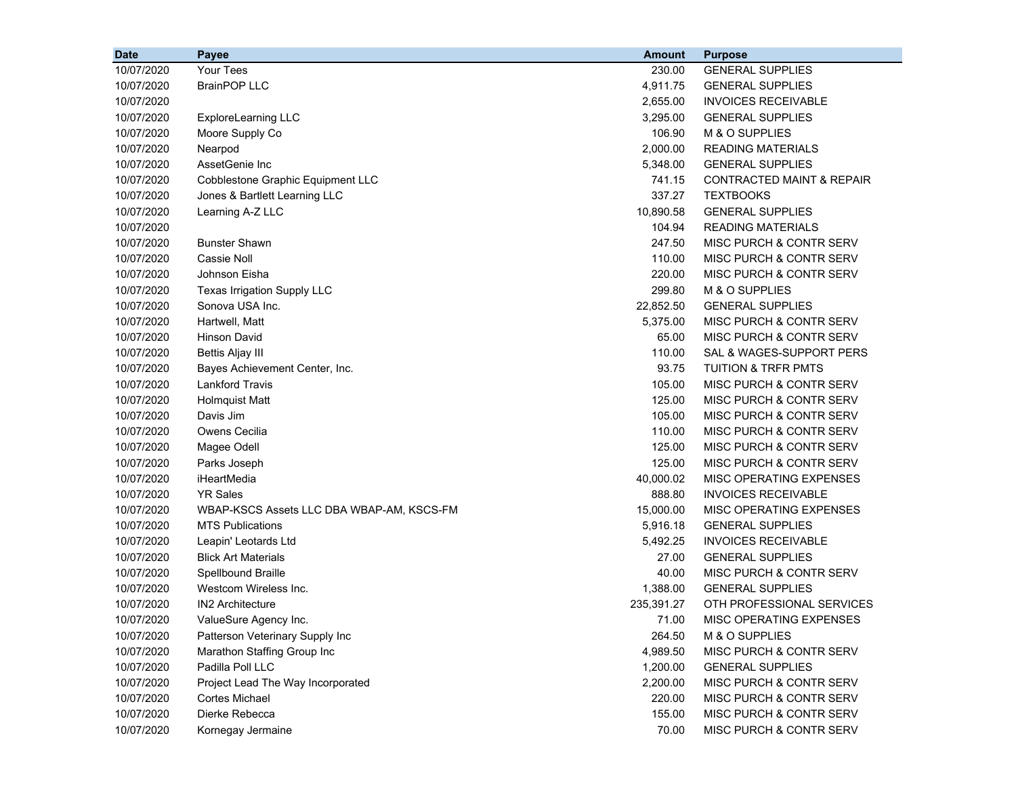| <b>Date</b> | <b>Payee</b>                              | <b>Amount</b> | <b>Purpose</b>                       |
|-------------|-------------------------------------------|---------------|--------------------------------------|
| 10/07/2020  | Your Tees                                 | 230.00        | <b>GENERAL SUPPLIES</b>              |
| 10/07/2020  | <b>BrainPOP LLC</b>                       | 4,911.75      | <b>GENERAL SUPPLIES</b>              |
| 10/07/2020  |                                           | 2,655.00      | <b>INVOICES RECEIVABLE</b>           |
| 10/07/2020  | ExploreLearning LLC                       | 3,295.00      | <b>GENERAL SUPPLIES</b>              |
| 10/07/2020  | Moore Supply Co                           | 106.90        | M & O SUPPLIES                       |
| 10/07/2020  | Nearpod                                   | 2,000.00      | <b>READING MATERIALS</b>             |
| 10/07/2020  | AssetGenie Inc                            | 5,348.00      | <b>GENERAL SUPPLIES</b>              |
| 10/07/2020  | Cobblestone Graphic Equipment LLC         | 741.15        | <b>CONTRACTED MAINT &amp; REPAIR</b> |
| 10/07/2020  | Jones & Bartlett Learning LLC             | 337.27        | <b>TEXTBOOKS</b>                     |
| 10/07/2020  | Learning A-Z LLC                          | 10,890.58     | <b>GENERAL SUPPLIES</b>              |
| 10/07/2020  |                                           | 104.94        | <b>READING MATERIALS</b>             |
| 10/07/2020  | <b>Bunster Shawn</b>                      | 247.50        | MISC PURCH & CONTR SERV              |
| 10/07/2020  | Cassie Noll                               | 110.00        | MISC PURCH & CONTR SERV              |
| 10/07/2020  | Johnson Eisha                             | 220.00        | MISC PURCH & CONTR SERV              |
| 10/07/2020  | Texas Irrigation Supply LLC               | 299.80        | M & O SUPPLIES                       |
| 10/07/2020  | Sonova USA Inc.                           | 22,852.50     | <b>GENERAL SUPPLIES</b>              |
| 10/07/2020  | Hartwell, Matt                            | 5,375.00      | MISC PURCH & CONTR SERV              |
| 10/07/2020  | <b>Hinson David</b>                       | 65.00         | MISC PURCH & CONTR SERV              |
| 10/07/2020  | Bettis Aljay III                          | 110.00        | SAL & WAGES-SUPPORT PERS             |
| 10/07/2020  | Bayes Achievement Center, Inc.            | 93.75         | <b>TUITION &amp; TRFR PMTS</b>       |
| 10/07/2020  | <b>Lankford Travis</b>                    | 105.00        | MISC PURCH & CONTR SERV              |
| 10/07/2020  | <b>Holmquist Matt</b>                     | 125.00        | MISC PURCH & CONTR SERV              |
| 10/07/2020  | Davis Jim                                 | 105.00        | MISC PURCH & CONTR SERV              |
| 10/07/2020  | Owens Cecilia                             | 110.00        | MISC PURCH & CONTR SERV              |
| 10/07/2020  | Magee Odell                               | 125.00        | MISC PURCH & CONTR SERV              |
| 10/07/2020  | Parks Joseph                              | 125.00        | MISC PURCH & CONTR SERV              |
| 10/07/2020  | iHeartMedia                               | 40,000.02     | MISC OPERATING EXPENSES              |
| 10/07/2020  | <b>YR Sales</b>                           | 888.80        | <b>INVOICES RECEIVABLE</b>           |
| 10/07/2020  | WBAP-KSCS Assets LLC DBA WBAP-AM, KSCS-FM | 15,000.00     | MISC OPERATING EXPENSES              |
| 10/07/2020  | <b>MTS Publications</b>                   | 5,916.18      | <b>GENERAL SUPPLIES</b>              |
| 10/07/2020  | Leapin' Leotards Ltd                      | 5,492.25      | <b>INVOICES RECEIVABLE</b>           |
| 10/07/2020  | <b>Blick Art Materials</b>                | 27.00         | <b>GENERAL SUPPLIES</b>              |
| 10/07/2020  | Spellbound Braille                        | 40.00         | MISC PURCH & CONTR SERV              |
| 10/07/2020  | Westcom Wireless Inc.                     | 1,388.00      | <b>GENERAL SUPPLIES</b>              |
| 10/07/2020  | <b>IN2 Architecture</b>                   | 235,391.27    | OTH PROFESSIONAL SERVICES            |
| 10/07/2020  | ValueSure Agency Inc.                     | 71.00         | MISC OPERATING EXPENSES              |
| 10/07/2020  | Patterson Veterinary Supply Inc           | 264.50        | M & O SUPPLIES                       |
| 10/07/2020  | Marathon Staffing Group Inc               | 4,989.50      | MISC PURCH & CONTR SERV              |
| 10/07/2020  | Padilla Poll LLC                          | 1,200.00      | <b>GENERAL SUPPLIES</b>              |
| 10/07/2020  | Project Lead The Way Incorporated         | 2,200.00      | MISC PURCH & CONTR SERV              |
| 10/07/2020  | <b>Cortes Michael</b>                     | 220.00        | MISC PURCH & CONTR SERV              |
| 10/07/2020  | Dierke Rebecca                            | 155.00        | MISC PURCH & CONTR SERV              |
| 10/07/2020  | Kornegay Jermaine                         | 70.00         | MISC PURCH & CONTR SERV              |
|             |                                           |               |                                      |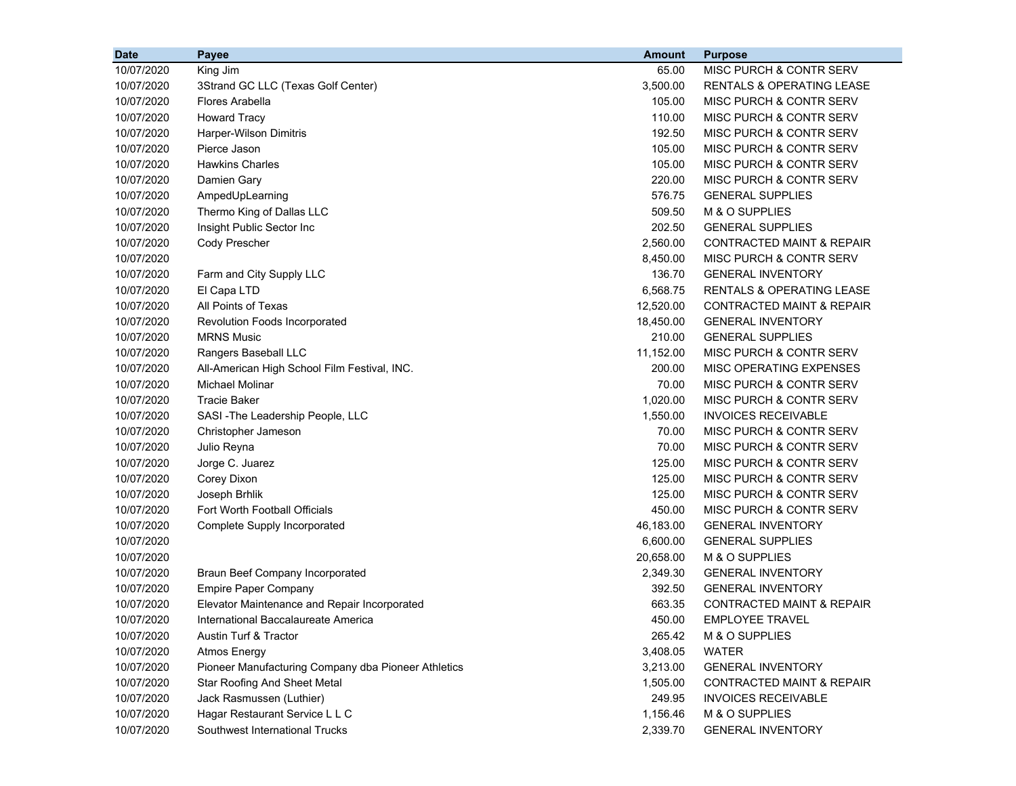| 65.00<br>10/07/2020<br>King Jim<br>MISC PURCH & CONTR SERV<br>10/07/2020<br>3,500.00<br>3Strand GC LLC (Texas Golf Center)<br><b>RENTALS &amp; OPERATING LEASE</b><br>10/07/2020<br>Flores Arabella<br>105.00<br><b>MISC PURCH &amp; CONTR SERV</b><br>10/07/2020<br><b>Howard Tracy</b><br>110.00<br>MISC PURCH & CONTR SERV<br>10/07/2020<br>Harper-Wilson Dimitris<br>192.50<br>MISC PURCH & CONTR SERV<br>Pierce Jason<br>105.00<br>MISC PURCH & CONTR SERV<br>10/07/2020<br><b>Hawkins Charles</b><br>105.00<br>MISC PURCH & CONTR SERV<br>10/07/2020<br>10/07/2020<br>220.00<br>MISC PURCH & CONTR SERV<br>Damien Gary<br>576.75<br><b>GENERAL SUPPLIES</b><br>10/07/2020<br>AmpedUpLearning<br>Thermo King of Dallas LLC<br>509.50<br>M & O SUPPLIES<br>10/07/2020<br>10/07/2020<br>202.50<br><b>GENERAL SUPPLIES</b><br>Insight Public Sector Inc<br>Cody Prescher<br>2,560.00<br><b>CONTRACTED MAINT &amp; REPAIR</b><br>10/07/2020<br>10/07/2020<br>8,450.00<br>MISC PURCH & CONTR SERV<br>10/07/2020<br>136.70<br><b>GENERAL INVENTORY</b><br>Farm and City Supply LLC<br>6,568.75<br><b>RENTALS &amp; OPERATING LEASE</b><br>10/07/2020<br>El Capa LTD<br>All Points of Texas<br>12,520.00<br><b>CONTRACTED MAINT &amp; REPAIR</b><br>10/07/2020<br>18,450.00<br>10/07/2020<br>Revolution Foods Incorporated<br><b>GENERAL INVENTORY</b><br>10/07/2020<br><b>MRNS Music</b><br>210.00<br><b>GENERAL SUPPLIES</b><br>10/07/2020<br>Rangers Baseball LLC<br>11,152.00<br>MISC PURCH & CONTR SERV<br>10/07/2020<br>200.00<br>MISC OPERATING EXPENSES<br>All-American High School Film Festival, INC.<br>10/07/2020<br>Michael Molinar<br>70.00<br>MISC PURCH & CONTR SERV<br><b>Tracie Baker</b><br>1,020.00<br>MISC PURCH & CONTR SERV<br>10/07/2020<br>1,550.00<br><b>INVOICES RECEIVABLE</b><br>10/07/2020<br>SASI-The Leadership People, LLC<br>70.00<br>MISC PURCH & CONTR SERV<br>10/07/2020<br>Christopher Jameson<br>Julio Reyna<br>70.00<br>MISC PURCH & CONTR SERV<br>10/07/2020<br>Jorge C. Juarez<br>125.00<br>MISC PURCH & CONTR SERV<br>10/07/2020<br>125.00<br>MISC PURCH & CONTR SERV<br>10/07/2020<br>Corey Dixon<br>Joseph Brhlik<br>125.00<br>MISC PURCH & CONTR SERV<br>10/07/2020<br>Fort Worth Football Officials<br>450.00<br>MISC PURCH & CONTR SERV<br>10/07/2020<br>46,183.00<br><b>GENERAL INVENTORY</b><br>10/07/2020<br>Complete Supply Incorporated<br>6,600.00<br><b>GENERAL SUPPLIES</b><br>10/07/2020<br>10/07/2020<br>20,658.00<br>M & O SUPPLIES<br>10/07/2020<br>2,349.30<br><b>GENERAL INVENTORY</b><br>Braun Beef Company Incorporated<br>392.50<br><b>GENERAL INVENTORY</b><br>10/07/2020<br><b>Empire Paper Company</b><br>663.35<br><b>CONTRACTED MAINT &amp; REPAIR</b><br>10/07/2020<br>Elevator Maintenance and Repair Incorporated<br>10/07/2020<br>International Baccalaureate America<br>450.00<br><b>EMPLOYEE TRAVEL</b><br>Austin Turf & Tractor<br>M & O SUPPLIES<br>10/07/2020<br>265.42<br>10/07/2020<br><b>Atmos Energy</b><br>3,408.05<br><b>WATER</b><br>Pioneer Manufacturing Company dba Pioneer Athletics<br>10/07/2020<br><b>GENERAL INVENTORY</b><br>3,213.00 | <b>Date</b> | Payee                        | <b>Amount</b> | <b>Purpose</b>                       |
|------------------------------------------------------------------------------------------------------------------------------------------------------------------------------------------------------------------------------------------------------------------------------------------------------------------------------------------------------------------------------------------------------------------------------------------------------------------------------------------------------------------------------------------------------------------------------------------------------------------------------------------------------------------------------------------------------------------------------------------------------------------------------------------------------------------------------------------------------------------------------------------------------------------------------------------------------------------------------------------------------------------------------------------------------------------------------------------------------------------------------------------------------------------------------------------------------------------------------------------------------------------------------------------------------------------------------------------------------------------------------------------------------------------------------------------------------------------------------------------------------------------------------------------------------------------------------------------------------------------------------------------------------------------------------------------------------------------------------------------------------------------------------------------------------------------------------------------------------------------------------------------------------------------------------------------------------------------------------------------------------------------------------------------------------------------------------------------------------------------------------------------------------------------------------------------------------------------------------------------------------------------------------------------------------------------------------------------------------------------------------------------------------------------------------------------------------------------------------------------------------------------------------------------------------------------------------------------------------------------------------------------------------------------------------------------------------------------------------------------------------------------------------------------------------------------------------------------------------------------------------------------------------------------------------------------------------------------------------------------------------------------------------------------------------------------------------------------------------------------------------------|-------------|------------------------------|---------------|--------------------------------------|
|                                                                                                                                                                                                                                                                                                                                                                                                                                                                                                                                                                                                                                                                                                                                                                                                                                                                                                                                                                                                                                                                                                                                                                                                                                                                                                                                                                                                                                                                                                                                                                                                                                                                                                                                                                                                                                                                                                                                                                                                                                                                                                                                                                                                                                                                                                                                                                                                                                                                                                                                                                                                                                                                                                                                                                                                                                                                                                                                                                                                                                                                                                                                    |             |                              |               |                                      |
|                                                                                                                                                                                                                                                                                                                                                                                                                                                                                                                                                                                                                                                                                                                                                                                                                                                                                                                                                                                                                                                                                                                                                                                                                                                                                                                                                                                                                                                                                                                                                                                                                                                                                                                                                                                                                                                                                                                                                                                                                                                                                                                                                                                                                                                                                                                                                                                                                                                                                                                                                                                                                                                                                                                                                                                                                                                                                                                                                                                                                                                                                                                                    |             |                              |               |                                      |
|                                                                                                                                                                                                                                                                                                                                                                                                                                                                                                                                                                                                                                                                                                                                                                                                                                                                                                                                                                                                                                                                                                                                                                                                                                                                                                                                                                                                                                                                                                                                                                                                                                                                                                                                                                                                                                                                                                                                                                                                                                                                                                                                                                                                                                                                                                                                                                                                                                                                                                                                                                                                                                                                                                                                                                                                                                                                                                                                                                                                                                                                                                                                    |             |                              |               |                                      |
|                                                                                                                                                                                                                                                                                                                                                                                                                                                                                                                                                                                                                                                                                                                                                                                                                                                                                                                                                                                                                                                                                                                                                                                                                                                                                                                                                                                                                                                                                                                                                                                                                                                                                                                                                                                                                                                                                                                                                                                                                                                                                                                                                                                                                                                                                                                                                                                                                                                                                                                                                                                                                                                                                                                                                                                                                                                                                                                                                                                                                                                                                                                                    |             |                              |               |                                      |
|                                                                                                                                                                                                                                                                                                                                                                                                                                                                                                                                                                                                                                                                                                                                                                                                                                                                                                                                                                                                                                                                                                                                                                                                                                                                                                                                                                                                                                                                                                                                                                                                                                                                                                                                                                                                                                                                                                                                                                                                                                                                                                                                                                                                                                                                                                                                                                                                                                                                                                                                                                                                                                                                                                                                                                                                                                                                                                                                                                                                                                                                                                                                    |             |                              |               |                                      |
|                                                                                                                                                                                                                                                                                                                                                                                                                                                                                                                                                                                                                                                                                                                                                                                                                                                                                                                                                                                                                                                                                                                                                                                                                                                                                                                                                                                                                                                                                                                                                                                                                                                                                                                                                                                                                                                                                                                                                                                                                                                                                                                                                                                                                                                                                                                                                                                                                                                                                                                                                                                                                                                                                                                                                                                                                                                                                                                                                                                                                                                                                                                                    |             |                              |               |                                      |
|                                                                                                                                                                                                                                                                                                                                                                                                                                                                                                                                                                                                                                                                                                                                                                                                                                                                                                                                                                                                                                                                                                                                                                                                                                                                                                                                                                                                                                                                                                                                                                                                                                                                                                                                                                                                                                                                                                                                                                                                                                                                                                                                                                                                                                                                                                                                                                                                                                                                                                                                                                                                                                                                                                                                                                                                                                                                                                                                                                                                                                                                                                                                    |             |                              |               |                                      |
|                                                                                                                                                                                                                                                                                                                                                                                                                                                                                                                                                                                                                                                                                                                                                                                                                                                                                                                                                                                                                                                                                                                                                                                                                                                                                                                                                                                                                                                                                                                                                                                                                                                                                                                                                                                                                                                                                                                                                                                                                                                                                                                                                                                                                                                                                                                                                                                                                                                                                                                                                                                                                                                                                                                                                                                                                                                                                                                                                                                                                                                                                                                                    |             |                              |               |                                      |
|                                                                                                                                                                                                                                                                                                                                                                                                                                                                                                                                                                                                                                                                                                                                                                                                                                                                                                                                                                                                                                                                                                                                                                                                                                                                                                                                                                                                                                                                                                                                                                                                                                                                                                                                                                                                                                                                                                                                                                                                                                                                                                                                                                                                                                                                                                                                                                                                                                                                                                                                                                                                                                                                                                                                                                                                                                                                                                                                                                                                                                                                                                                                    |             |                              |               |                                      |
|                                                                                                                                                                                                                                                                                                                                                                                                                                                                                                                                                                                                                                                                                                                                                                                                                                                                                                                                                                                                                                                                                                                                                                                                                                                                                                                                                                                                                                                                                                                                                                                                                                                                                                                                                                                                                                                                                                                                                                                                                                                                                                                                                                                                                                                                                                                                                                                                                                                                                                                                                                                                                                                                                                                                                                                                                                                                                                                                                                                                                                                                                                                                    |             |                              |               |                                      |
|                                                                                                                                                                                                                                                                                                                                                                                                                                                                                                                                                                                                                                                                                                                                                                                                                                                                                                                                                                                                                                                                                                                                                                                                                                                                                                                                                                                                                                                                                                                                                                                                                                                                                                                                                                                                                                                                                                                                                                                                                                                                                                                                                                                                                                                                                                                                                                                                                                                                                                                                                                                                                                                                                                                                                                                                                                                                                                                                                                                                                                                                                                                                    |             |                              |               |                                      |
|                                                                                                                                                                                                                                                                                                                                                                                                                                                                                                                                                                                                                                                                                                                                                                                                                                                                                                                                                                                                                                                                                                                                                                                                                                                                                                                                                                                                                                                                                                                                                                                                                                                                                                                                                                                                                                                                                                                                                                                                                                                                                                                                                                                                                                                                                                                                                                                                                                                                                                                                                                                                                                                                                                                                                                                                                                                                                                                                                                                                                                                                                                                                    |             |                              |               |                                      |
|                                                                                                                                                                                                                                                                                                                                                                                                                                                                                                                                                                                                                                                                                                                                                                                                                                                                                                                                                                                                                                                                                                                                                                                                                                                                                                                                                                                                                                                                                                                                                                                                                                                                                                                                                                                                                                                                                                                                                                                                                                                                                                                                                                                                                                                                                                                                                                                                                                                                                                                                                                                                                                                                                                                                                                                                                                                                                                                                                                                                                                                                                                                                    |             |                              |               |                                      |
|                                                                                                                                                                                                                                                                                                                                                                                                                                                                                                                                                                                                                                                                                                                                                                                                                                                                                                                                                                                                                                                                                                                                                                                                                                                                                                                                                                                                                                                                                                                                                                                                                                                                                                                                                                                                                                                                                                                                                                                                                                                                                                                                                                                                                                                                                                                                                                                                                                                                                                                                                                                                                                                                                                                                                                                                                                                                                                                                                                                                                                                                                                                                    |             |                              |               |                                      |
|                                                                                                                                                                                                                                                                                                                                                                                                                                                                                                                                                                                                                                                                                                                                                                                                                                                                                                                                                                                                                                                                                                                                                                                                                                                                                                                                                                                                                                                                                                                                                                                                                                                                                                                                                                                                                                                                                                                                                                                                                                                                                                                                                                                                                                                                                                                                                                                                                                                                                                                                                                                                                                                                                                                                                                                                                                                                                                                                                                                                                                                                                                                                    |             |                              |               |                                      |
|                                                                                                                                                                                                                                                                                                                                                                                                                                                                                                                                                                                                                                                                                                                                                                                                                                                                                                                                                                                                                                                                                                                                                                                                                                                                                                                                                                                                                                                                                                                                                                                                                                                                                                                                                                                                                                                                                                                                                                                                                                                                                                                                                                                                                                                                                                                                                                                                                                                                                                                                                                                                                                                                                                                                                                                                                                                                                                                                                                                                                                                                                                                                    |             |                              |               |                                      |
|                                                                                                                                                                                                                                                                                                                                                                                                                                                                                                                                                                                                                                                                                                                                                                                                                                                                                                                                                                                                                                                                                                                                                                                                                                                                                                                                                                                                                                                                                                                                                                                                                                                                                                                                                                                                                                                                                                                                                                                                                                                                                                                                                                                                                                                                                                                                                                                                                                                                                                                                                                                                                                                                                                                                                                                                                                                                                                                                                                                                                                                                                                                                    |             |                              |               |                                      |
|                                                                                                                                                                                                                                                                                                                                                                                                                                                                                                                                                                                                                                                                                                                                                                                                                                                                                                                                                                                                                                                                                                                                                                                                                                                                                                                                                                                                                                                                                                                                                                                                                                                                                                                                                                                                                                                                                                                                                                                                                                                                                                                                                                                                                                                                                                                                                                                                                                                                                                                                                                                                                                                                                                                                                                                                                                                                                                                                                                                                                                                                                                                                    |             |                              |               |                                      |
|                                                                                                                                                                                                                                                                                                                                                                                                                                                                                                                                                                                                                                                                                                                                                                                                                                                                                                                                                                                                                                                                                                                                                                                                                                                                                                                                                                                                                                                                                                                                                                                                                                                                                                                                                                                                                                                                                                                                                                                                                                                                                                                                                                                                                                                                                                                                                                                                                                                                                                                                                                                                                                                                                                                                                                                                                                                                                                                                                                                                                                                                                                                                    |             |                              |               |                                      |
|                                                                                                                                                                                                                                                                                                                                                                                                                                                                                                                                                                                                                                                                                                                                                                                                                                                                                                                                                                                                                                                                                                                                                                                                                                                                                                                                                                                                                                                                                                                                                                                                                                                                                                                                                                                                                                                                                                                                                                                                                                                                                                                                                                                                                                                                                                                                                                                                                                                                                                                                                                                                                                                                                                                                                                                                                                                                                                                                                                                                                                                                                                                                    |             |                              |               |                                      |
|                                                                                                                                                                                                                                                                                                                                                                                                                                                                                                                                                                                                                                                                                                                                                                                                                                                                                                                                                                                                                                                                                                                                                                                                                                                                                                                                                                                                                                                                                                                                                                                                                                                                                                                                                                                                                                                                                                                                                                                                                                                                                                                                                                                                                                                                                                                                                                                                                                                                                                                                                                                                                                                                                                                                                                                                                                                                                                                                                                                                                                                                                                                                    |             |                              |               |                                      |
|                                                                                                                                                                                                                                                                                                                                                                                                                                                                                                                                                                                                                                                                                                                                                                                                                                                                                                                                                                                                                                                                                                                                                                                                                                                                                                                                                                                                                                                                                                                                                                                                                                                                                                                                                                                                                                                                                                                                                                                                                                                                                                                                                                                                                                                                                                                                                                                                                                                                                                                                                                                                                                                                                                                                                                                                                                                                                                                                                                                                                                                                                                                                    |             |                              |               |                                      |
|                                                                                                                                                                                                                                                                                                                                                                                                                                                                                                                                                                                                                                                                                                                                                                                                                                                                                                                                                                                                                                                                                                                                                                                                                                                                                                                                                                                                                                                                                                                                                                                                                                                                                                                                                                                                                                                                                                                                                                                                                                                                                                                                                                                                                                                                                                                                                                                                                                                                                                                                                                                                                                                                                                                                                                                                                                                                                                                                                                                                                                                                                                                                    |             |                              |               |                                      |
|                                                                                                                                                                                                                                                                                                                                                                                                                                                                                                                                                                                                                                                                                                                                                                                                                                                                                                                                                                                                                                                                                                                                                                                                                                                                                                                                                                                                                                                                                                                                                                                                                                                                                                                                                                                                                                                                                                                                                                                                                                                                                                                                                                                                                                                                                                                                                                                                                                                                                                                                                                                                                                                                                                                                                                                                                                                                                                                                                                                                                                                                                                                                    |             |                              |               |                                      |
|                                                                                                                                                                                                                                                                                                                                                                                                                                                                                                                                                                                                                                                                                                                                                                                                                                                                                                                                                                                                                                                                                                                                                                                                                                                                                                                                                                                                                                                                                                                                                                                                                                                                                                                                                                                                                                                                                                                                                                                                                                                                                                                                                                                                                                                                                                                                                                                                                                                                                                                                                                                                                                                                                                                                                                                                                                                                                                                                                                                                                                                                                                                                    |             |                              |               |                                      |
|                                                                                                                                                                                                                                                                                                                                                                                                                                                                                                                                                                                                                                                                                                                                                                                                                                                                                                                                                                                                                                                                                                                                                                                                                                                                                                                                                                                                                                                                                                                                                                                                                                                                                                                                                                                                                                                                                                                                                                                                                                                                                                                                                                                                                                                                                                                                                                                                                                                                                                                                                                                                                                                                                                                                                                                                                                                                                                                                                                                                                                                                                                                                    |             |                              |               |                                      |
|                                                                                                                                                                                                                                                                                                                                                                                                                                                                                                                                                                                                                                                                                                                                                                                                                                                                                                                                                                                                                                                                                                                                                                                                                                                                                                                                                                                                                                                                                                                                                                                                                                                                                                                                                                                                                                                                                                                                                                                                                                                                                                                                                                                                                                                                                                                                                                                                                                                                                                                                                                                                                                                                                                                                                                                                                                                                                                                                                                                                                                                                                                                                    |             |                              |               |                                      |
|                                                                                                                                                                                                                                                                                                                                                                                                                                                                                                                                                                                                                                                                                                                                                                                                                                                                                                                                                                                                                                                                                                                                                                                                                                                                                                                                                                                                                                                                                                                                                                                                                                                                                                                                                                                                                                                                                                                                                                                                                                                                                                                                                                                                                                                                                                                                                                                                                                                                                                                                                                                                                                                                                                                                                                                                                                                                                                                                                                                                                                                                                                                                    |             |                              |               |                                      |
|                                                                                                                                                                                                                                                                                                                                                                                                                                                                                                                                                                                                                                                                                                                                                                                                                                                                                                                                                                                                                                                                                                                                                                                                                                                                                                                                                                                                                                                                                                                                                                                                                                                                                                                                                                                                                                                                                                                                                                                                                                                                                                                                                                                                                                                                                                                                                                                                                                                                                                                                                                                                                                                                                                                                                                                                                                                                                                                                                                                                                                                                                                                                    |             |                              |               |                                      |
|                                                                                                                                                                                                                                                                                                                                                                                                                                                                                                                                                                                                                                                                                                                                                                                                                                                                                                                                                                                                                                                                                                                                                                                                                                                                                                                                                                                                                                                                                                                                                                                                                                                                                                                                                                                                                                                                                                                                                                                                                                                                                                                                                                                                                                                                                                                                                                                                                                                                                                                                                                                                                                                                                                                                                                                                                                                                                                                                                                                                                                                                                                                                    |             |                              |               |                                      |
|                                                                                                                                                                                                                                                                                                                                                                                                                                                                                                                                                                                                                                                                                                                                                                                                                                                                                                                                                                                                                                                                                                                                                                                                                                                                                                                                                                                                                                                                                                                                                                                                                                                                                                                                                                                                                                                                                                                                                                                                                                                                                                                                                                                                                                                                                                                                                                                                                                                                                                                                                                                                                                                                                                                                                                                                                                                                                                                                                                                                                                                                                                                                    |             |                              |               |                                      |
|                                                                                                                                                                                                                                                                                                                                                                                                                                                                                                                                                                                                                                                                                                                                                                                                                                                                                                                                                                                                                                                                                                                                                                                                                                                                                                                                                                                                                                                                                                                                                                                                                                                                                                                                                                                                                                                                                                                                                                                                                                                                                                                                                                                                                                                                                                                                                                                                                                                                                                                                                                                                                                                                                                                                                                                                                                                                                                                                                                                                                                                                                                                                    |             |                              |               |                                      |
|                                                                                                                                                                                                                                                                                                                                                                                                                                                                                                                                                                                                                                                                                                                                                                                                                                                                                                                                                                                                                                                                                                                                                                                                                                                                                                                                                                                                                                                                                                                                                                                                                                                                                                                                                                                                                                                                                                                                                                                                                                                                                                                                                                                                                                                                                                                                                                                                                                                                                                                                                                                                                                                                                                                                                                                                                                                                                                                                                                                                                                                                                                                                    |             |                              |               |                                      |
|                                                                                                                                                                                                                                                                                                                                                                                                                                                                                                                                                                                                                                                                                                                                                                                                                                                                                                                                                                                                                                                                                                                                                                                                                                                                                                                                                                                                                                                                                                                                                                                                                                                                                                                                                                                                                                                                                                                                                                                                                                                                                                                                                                                                                                                                                                                                                                                                                                                                                                                                                                                                                                                                                                                                                                                                                                                                                                                                                                                                                                                                                                                                    |             |                              |               |                                      |
|                                                                                                                                                                                                                                                                                                                                                                                                                                                                                                                                                                                                                                                                                                                                                                                                                                                                                                                                                                                                                                                                                                                                                                                                                                                                                                                                                                                                                                                                                                                                                                                                                                                                                                                                                                                                                                                                                                                                                                                                                                                                                                                                                                                                                                                                                                                                                                                                                                                                                                                                                                                                                                                                                                                                                                                                                                                                                                                                                                                                                                                                                                                                    |             |                              |               |                                      |
|                                                                                                                                                                                                                                                                                                                                                                                                                                                                                                                                                                                                                                                                                                                                                                                                                                                                                                                                                                                                                                                                                                                                                                                                                                                                                                                                                                                                                                                                                                                                                                                                                                                                                                                                                                                                                                                                                                                                                                                                                                                                                                                                                                                                                                                                                                                                                                                                                                                                                                                                                                                                                                                                                                                                                                                                                                                                                                                                                                                                                                                                                                                                    |             |                              |               |                                      |
|                                                                                                                                                                                                                                                                                                                                                                                                                                                                                                                                                                                                                                                                                                                                                                                                                                                                                                                                                                                                                                                                                                                                                                                                                                                                                                                                                                                                                                                                                                                                                                                                                                                                                                                                                                                                                                                                                                                                                                                                                                                                                                                                                                                                                                                                                                                                                                                                                                                                                                                                                                                                                                                                                                                                                                                                                                                                                                                                                                                                                                                                                                                                    |             |                              |               |                                      |
|                                                                                                                                                                                                                                                                                                                                                                                                                                                                                                                                                                                                                                                                                                                                                                                                                                                                                                                                                                                                                                                                                                                                                                                                                                                                                                                                                                                                                                                                                                                                                                                                                                                                                                                                                                                                                                                                                                                                                                                                                                                                                                                                                                                                                                                                                                                                                                                                                                                                                                                                                                                                                                                                                                                                                                                                                                                                                                                                                                                                                                                                                                                                    |             |                              |               |                                      |
|                                                                                                                                                                                                                                                                                                                                                                                                                                                                                                                                                                                                                                                                                                                                                                                                                                                                                                                                                                                                                                                                                                                                                                                                                                                                                                                                                                                                                                                                                                                                                                                                                                                                                                                                                                                                                                                                                                                                                                                                                                                                                                                                                                                                                                                                                                                                                                                                                                                                                                                                                                                                                                                                                                                                                                                                                                                                                                                                                                                                                                                                                                                                    |             |                              |               |                                      |
|                                                                                                                                                                                                                                                                                                                                                                                                                                                                                                                                                                                                                                                                                                                                                                                                                                                                                                                                                                                                                                                                                                                                                                                                                                                                                                                                                                                                                                                                                                                                                                                                                                                                                                                                                                                                                                                                                                                                                                                                                                                                                                                                                                                                                                                                                                                                                                                                                                                                                                                                                                                                                                                                                                                                                                                                                                                                                                                                                                                                                                                                                                                                    | 10/07/2020  | Star Roofing And Sheet Metal | 1,505.00      | <b>CONTRACTED MAINT &amp; REPAIR</b> |
| 10/07/2020<br>Jack Rasmussen (Luthier)<br>249.95<br><b>INVOICES RECEIVABLE</b>                                                                                                                                                                                                                                                                                                                                                                                                                                                                                                                                                                                                                                                                                                                                                                                                                                                                                                                                                                                                                                                                                                                                                                                                                                                                                                                                                                                                                                                                                                                                                                                                                                                                                                                                                                                                                                                                                                                                                                                                                                                                                                                                                                                                                                                                                                                                                                                                                                                                                                                                                                                                                                                                                                                                                                                                                                                                                                                                                                                                                                                     |             |                              |               |                                      |
| 10/07/2020<br>Hagar Restaurant Service L L C<br>1,156.46<br>M & O SUPPLIES                                                                                                                                                                                                                                                                                                                                                                                                                                                                                                                                                                                                                                                                                                                                                                                                                                                                                                                                                                                                                                                                                                                                                                                                                                                                                                                                                                                                                                                                                                                                                                                                                                                                                                                                                                                                                                                                                                                                                                                                                                                                                                                                                                                                                                                                                                                                                                                                                                                                                                                                                                                                                                                                                                                                                                                                                                                                                                                                                                                                                                                         |             |                              |               |                                      |
| Southwest International Trucks<br>10/07/2020<br>2,339.70<br><b>GENERAL INVENTORY</b>                                                                                                                                                                                                                                                                                                                                                                                                                                                                                                                                                                                                                                                                                                                                                                                                                                                                                                                                                                                                                                                                                                                                                                                                                                                                                                                                                                                                                                                                                                                                                                                                                                                                                                                                                                                                                                                                                                                                                                                                                                                                                                                                                                                                                                                                                                                                                                                                                                                                                                                                                                                                                                                                                                                                                                                                                                                                                                                                                                                                                                               |             |                              |               |                                      |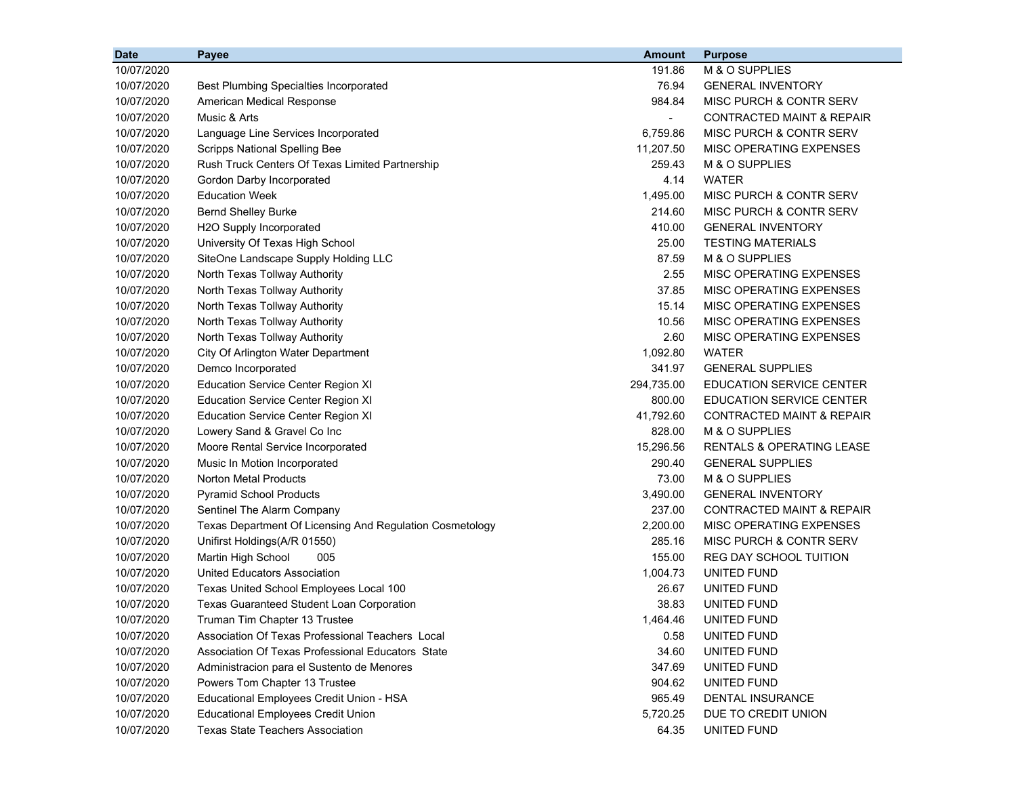| <b>Date</b> | Payee                                                    | <b>Amount</b>  | <b>Purpose</b>                       |
|-------------|----------------------------------------------------------|----------------|--------------------------------------|
| 10/07/2020  |                                                          | 191.86         | M & O SUPPLIES                       |
| 10/07/2020  | <b>Best Plumbing Specialties Incorporated</b>            | 76.94          | <b>GENERAL INVENTORY</b>             |
| 10/07/2020  | American Medical Response                                | 984.84         | MISC PURCH & CONTR SERV              |
| 10/07/2020  | Music & Arts                                             | $\blacksquare$ | <b>CONTRACTED MAINT &amp; REPAIR</b> |
| 10/07/2020  | Language Line Services Incorporated                      | 6,759.86       | MISC PURCH & CONTR SERV              |
| 10/07/2020  | <b>Scripps National Spelling Bee</b>                     | 11,207.50      | MISC OPERATING EXPENSES              |
| 10/07/2020  | Rush Truck Centers Of Texas Limited Partnership          | 259.43         | M & O SUPPLIES                       |
| 10/07/2020  | Gordon Darby Incorporated                                | 4.14           | <b>WATER</b>                         |
| 10/07/2020  | <b>Education Week</b>                                    | 1,495.00       | <b>MISC PURCH &amp; CONTR SERV</b>   |
| 10/07/2020  | <b>Bernd Shelley Burke</b>                               | 214.60         | MISC PURCH & CONTR SERV              |
| 10/07/2020  | H2O Supply Incorporated                                  | 410.00         | <b>GENERAL INVENTORY</b>             |
| 10/07/2020  | University Of Texas High School                          | 25.00          | <b>TESTING MATERIALS</b>             |
| 10/07/2020  | SiteOne Landscape Supply Holding LLC                     | 87.59          | M & O SUPPLIES                       |
| 10/07/2020  | North Texas Tollway Authority                            | 2.55           | MISC OPERATING EXPENSES              |
| 10/07/2020  | North Texas Tollway Authority                            | 37.85          | MISC OPERATING EXPENSES              |
| 10/07/2020  | North Texas Tollway Authority                            | 15.14          | MISC OPERATING EXPENSES              |
| 10/07/2020  | North Texas Tollway Authority                            | 10.56          | MISC OPERATING EXPENSES              |
| 10/07/2020  | North Texas Tollway Authority                            | 2.60           | MISC OPERATING EXPENSES              |
| 10/07/2020  | City Of Arlington Water Department                       | 1,092.80       | <b>WATER</b>                         |
| 10/07/2020  | Demco Incorporated                                       | 341.97         | <b>GENERAL SUPPLIES</b>              |
| 10/07/2020  | <b>Education Service Center Region XI</b>                | 294,735.00     | <b>EDUCATION SERVICE CENTER</b>      |
| 10/07/2020  | <b>Education Service Center Region XI</b>                | 800.00         | <b>EDUCATION SERVICE CENTER</b>      |
| 10/07/2020  | <b>Education Service Center Region XI</b>                | 41,792.60      | CONTRACTED MAINT & REPAIR            |
| 10/07/2020  | Lowery Sand & Gravel Co Inc                              | 828.00         | M & O SUPPLIES                       |
| 10/07/2020  | Moore Rental Service Incorporated                        | 15,296.56      | <b>RENTALS &amp; OPERATING LEASE</b> |
| 10/07/2020  | Music In Motion Incorporated                             | 290.40         | <b>GENERAL SUPPLIES</b>              |
| 10/07/2020  | <b>Norton Metal Products</b>                             | 73.00          | M & O SUPPLIES                       |
| 10/07/2020  | <b>Pyramid School Products</b>                           | 3,490.00       | <b>GENERAL INVENTORY</b>             |
| 10/07/2020  | Sentinel The Alarm Company                               | 237.00         | CONTRACTED MAINT & REPAIR            |
| 10/07/2020  | Texas Department Of Licensing And Regulation Cosmetology | 2,200.00       | MISC OPERATING EXPENSES              |
| 10/07/2020  | Unifirst Holdings(A/R 01550)                             | 285.16         | MISC PURCH & CONTR SERV              |
| 10/07/2020  | Martin High School<br>005                                | 155.00         | <b>REG DAY SCHOOL TUITION</b>        |
| 10/07/2020  | <b>United Educators Association</b>                      | 1,004.73       | UNITED FUND                          |
| 10/07/2020  | Texas United School Employees Local 100                  | 26.67          | UNITED FUND                          |
| 10/07/2020  | <b>Texas Guaranteed Student Loan Corporation</b>         | 38.83          | UNITED FUND                          |
| 10/07/2020  | Truman Tim Chapter 13 Trustee                            | 1,464.46       | UNITED FUND                          |
| 10/07/2020  | Association Of Texas Professional Teachers Local         | 0.58           | UNITED FUND                          |
| 10/07/2020  | Association Of Texas Professional Educators State        | 34.60          | UNITED FUND                          |
| 10/07/2020  | Administracion para el Sustento de Menores               | 347.69         | UNITED FUND                          |
| 10/07/2020  | Powers Tom Chapter 13 Trustee                            | 904.62         | UNITED FUND                          |
| 10/07/2020  | Educational Employees Credit Union - HSA                 | 965.49         | DENTAL INSURANCE                     |
| 10/07/2020  | <b>Educational Employees Credit Union</b>                | 5,720.25       | DUE TO CREDIT UNION                  |
| 10/07/2020  | <b>Texas State Teachers Association</b>                  | 64.35          | UNITED FUND                          |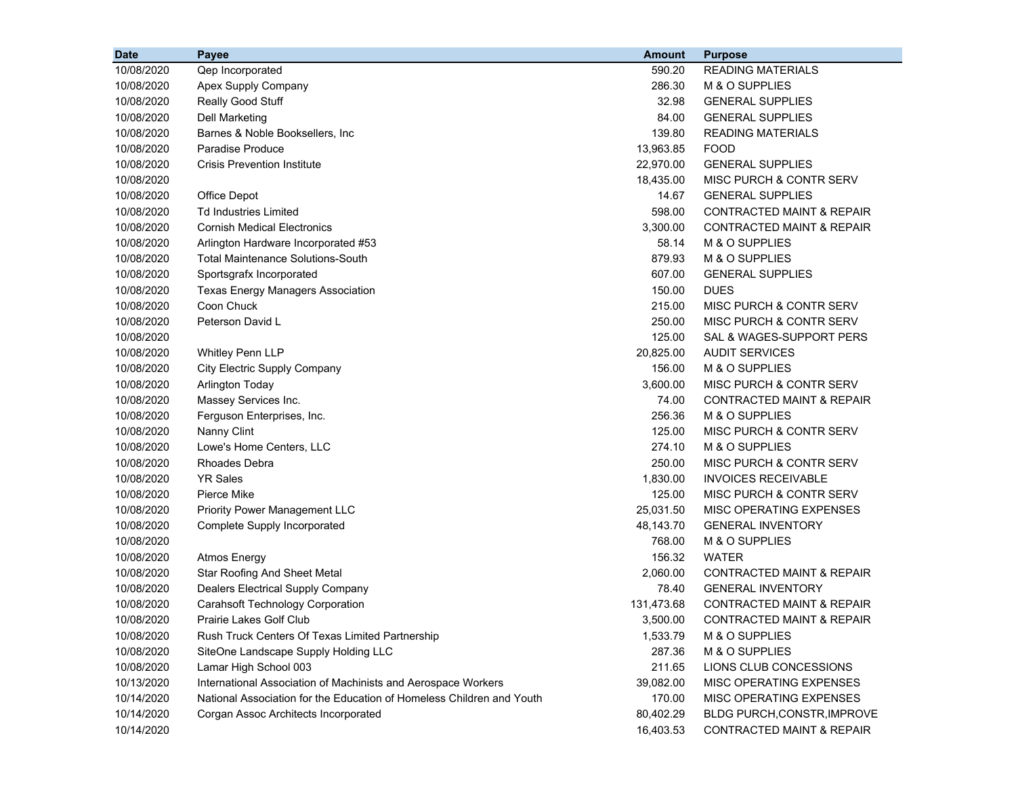| <b>Date</b> | Payee                                                                 | <b>Amount</b> | <b>Purpose</b>                       |
|-------------|-----------------------------------------------------------------------|---------------|--------------------------------------|
| 10/08/2020  | Qep Incorporated                                                      | 590.20        | <b>READING MATERIALS</b>             |
| 10/08/2020  | Apex Supply Company                                                   | 286.30        | M & O SUPPLIES                       |
| 10/08/2020  | Really Good Stuff                                                     | 32.98         | <b>GENERAL SUPPLIES</b>              |
| 10/08/2020  | <b>Dell Marketing</b>                                                 | 84.00         | <b>GENERAL SUPPLIES</b>              |
| 10/08/2020  | Barnes & Noble Booksellers, Inc                                       | 139.80        | <b>READING MATERIALS</b>             |
| 10/08/2020  | <b>Paradise Produce</b>                                               | 13,963.85     | <b>FOOD</b>                          |
| 10/08/2020  | <b>Crisis Prevention Institute</b>                                    | 22,970.00     | <b>GENERAL SUPPLIES</b>              |
| 10/08/2020  |                                                                       | 18,435.00     | MISC PURCH & CONTR SERV              |
| 10/08/2020  | <b>Office Depot</b>                                                   | 14.67         | <b>GENERAL SUPPLIES</b>              |
| 10/08/2020  | <b>Td Industries Limited</b>                                          | 598.00        | <b>CONTRACTED MAINT &amp; REPAIR</b> |
| 10/08/2020  | <b>Cornish Medical Electronics</b>                                    | 3,300.00      | <b>CONTRACTED MAINT &amp; REPAIR</b> |
| 10/08/2020  | Arlington Hardware Incorporated #53                                   | 58.14         | M & O SUPPLIES                       |
| 10/08/2020  | <b>Total Maintenance Solutions-South</b>                              | 879.93        | M & O SUPPLIES                       |
| 10/08/2020  | Sportsgrafx Incorporated                                              | 607.00        | <b>GENERAL SUPPLIES</b>              |
| 10/08/2020  | <b>Texas Energy Managers Association</b>                              | 150.00        | <b>DUES</b>                          |
| 10/08/2020  | Coon Chuck                                                            | 215.00        | MISC PURCH & CONTR SERV              |
| 10/08/2020  | Peterson David L                                                      | 250.00        | MISC PURCH & CONTR SERV              |
| 10/08/2020  |                                                                       | 125.00        | SAL & WAGES-SUPPORT PERS             |
| 10/08/2020  | <b>Whitley Penn LLP</b>                                               | 20,825.00     | <b>AUDIT SERVICES</b>                |
| 10/08/2020  | City Electric Supply Company                                          | 156.00        | M & O SUPPLIES                       |
| 10/08/2020  | <b>Arlington Today</b>                                                | 3,600.00      | MISC PURCH & CONTR SERV              |
| 10/08/2020  | Massey Services Inc.                                                  | 74.00         | <b>CONTRACTED MAINT &amp; REPAIR</b> |
| 10/08/2020  | Ferguson Enterprises, Inc.                                            | 256.36        | M & O SUPPLIES                       |
| 10/08/2020  | Nanny Clint                                                           | 125.00        | MISC PURCH & CONTR SERV              |
| 10/08/2020  | Lowe's Home Centers, LLC                                              | 274.10        | M & O SUPPLIES                       |
| 10/08/2020  | <b>Rhoades Debra</b>                                                  | 250.00        | MISC PURCH & CONTR SERV              |
| 10/08/2020  | <b>YR Sales</b>                                                       | 1,830.00      | <b>INVOICES RECEIVABLE</b>           |
| 10/08/2020  | Pierce Mike                                                           | 125.00        | MISC PURCH & CONTR SERV              |
| 10/08/2020  | <b>Priority Power Management LLC</b>                                  | 25,031.50     | MISC OPERATING EXPENSES              |
| 10/08/2020  | Complete Supply Incorporated                                          | 48,143.70     | <b>GENERAL INVENTORY</b>             |
| 10/08/2020  |                                                                       | 768.00        | M & O SUPPLIES                       |
| 10/08/2020  | <b>Atmos Energy</b>                                                   | 156.32        | <b>WATER</b>                         |
| 10/08/2020  | <b>Star Roofing And Sheet Metal</b>                                   | 2,060.00      | CONTRACTED MAINT & REPAIR            |
| 10/08/2020  | Dealers Electrical Supply Company                                     | 78.40         | <b>GENERAL INVENTORY</b>             |
| 10/08/2020  | <b>Carahsoft Technology Corporation</b>                               | 131,473.68    | CONTRACTED MAINT & REPAIR            |
| 10/08/2020  | Prairie Lakes Golf Club                                               | 3,500.00      | CONTRACTED MAINT & REPAIR            |
| 10/08/2020  | Rush Truck Centers Of Texas Limited Partnership                       | 1,533.79      | M & O SUPPLIES                       |
| 10/08/2020  | SiteOne Landscape Supply Holding LLC                                  | 287.36        | M & O SUPPLIES                       |
| 10/08/2020  | Lamar High School 003                                                 | 211.65        | LIONS CLUB CONCESSIONS               |
| 10/13/2020  | International Association of Machinists and Aerospace Workers         | 39,082.00     | MISC OPERATING EXPENSES              |
| 10/14/2020  | National Association for the Education of Homeless Children and Youth | 170.00        | MISC OPERATING EXPENSES              |
| 10/14/2020  | Corgan Assoc Architects Incorporated                                  | 80,402.29     | BLDG PURCH, CONSTR, IMPROVE          |
| 10/14/2020  |                                                                       | 16,403.53     | CONTRACTED MAINT & REPAIR            |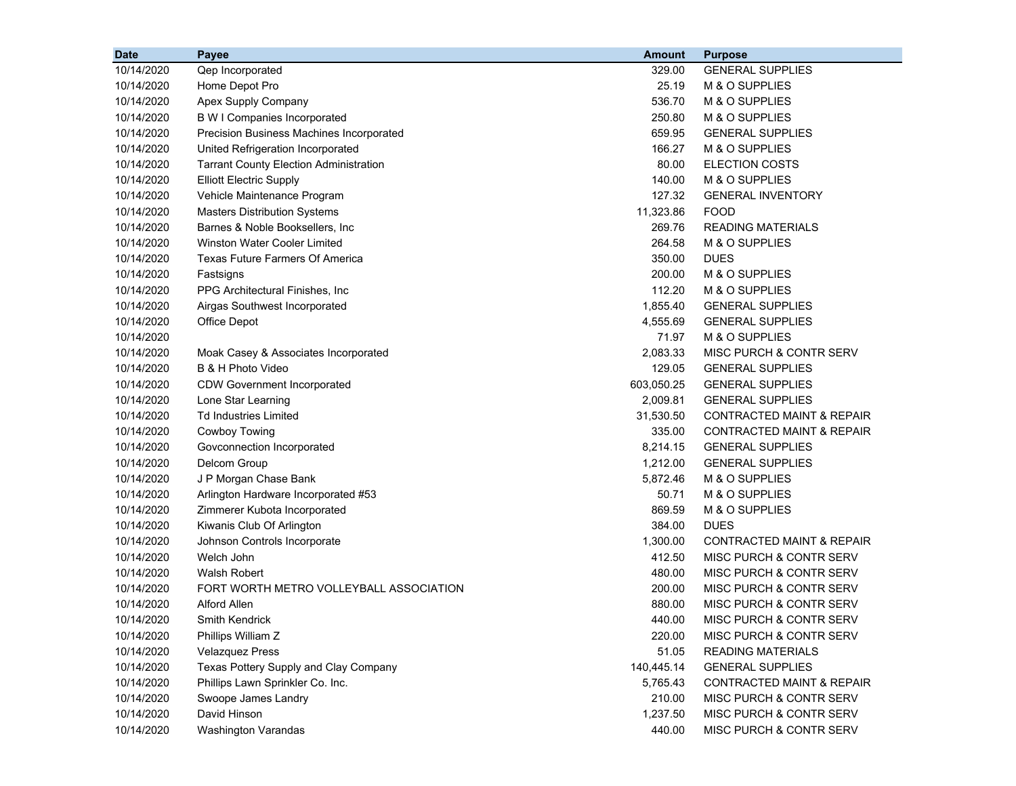| <b>Date</b> | Payee                                         | <b>Amount</b> | <b>Purpose</b>                       |
|-------------|-----------------------------------------------|---------------|--------------------------------------|
| 10/14/2020  | Qep Incorporated                              | 329.00        | <b>GENERAL SUPPLIES</b>              |
| 10/14/2020  | Home Depot Pro                                | 25.19         | M & O SUPPLIES                       |
| 10/14/2020  | Apex Supply Company                           | 536.70        | M & O SUPPLIES                       |
| 10/14/2020  | <b>B W I Companies Incorporated</b>           | 250.80        | M & O SUPPLIES                       |
| 10/14/2020  | Precision Business Machines Incorporated      | 659.95        | <b>GENERAL SUPPLIES</b>              |
| 10/14/2020  | United Refrigeration Incorporated             | 166.27        | M & O SUPPLIES                       |
| 10/14/2020  | <b>Tarrant County Election Administration</b> | 80.00         | <b>ELECTION COSTS</b>                |
| 10/14/2020  | <b>Elliott Electric Supply</b>                | 140.00        | M & O SUPPLIES                       |
| 10/14/2020  | Vehicle Maintenance Program                   | 127.32        | <b>GENERAL INVENTORY</b>             |
| 10/14/2020  | <b>Masters Distribution Systems</b>           | 11,323.86     | <b>FOOD</b>                          |
| 10/14/2020  | Barnes & Noble Booksellers, Inc.              | 269.76        | <b>READING MATERIALS</b>             |
| 10/14/2020  | <b>Winston Water Cooler Limited</b>           | 264.58        | M & O SUPPLIES                       |
| 10/14/2020  | <b>Texas Future Farmers Of America</b>        | 350.00        | <b>DUES</b>                          |
| 10/14/2020  | Fastsigns                                     | 200.00        | M & O SUPPLIES                       |
| 10/14/2020  | PPG Architectural Finishes, Inc.              | 112.20        | M & O SUPPLIES                       |
| 10/14/2020  | Airgas Southwest Incorporated                 | 1,855.40      | <b>GENERAL SUPPLIES</b>              |
| 10/14/2020  | Office Depot                                  | 4,555.69      | <b>GENERAL SUPPLIES</b>              |
| 10/14/2020  |                                               | 71.97         | M & O SUPPLIES                       |
| 10/14/2020  | Moak Casey & Associates Incorporated          | 2,083.33      | MISC PURCH & CONTR SERV              |
| 10/14/2020  | B & H Photo Video                             | 129.05        | <b>GENERAL SUPPLIES</b>              |
| 10/14/2020  | <b>CDW Government Incorporated</b>            | 603,050.25    | <b>GENERAL SUPPLIES</b>              |
| 10/14/2020  | Lone Star Learning                            | 2,009.81      | <b>GENERAL SUPPLIES</b>              |
| 10/14/2020  | <b>Td Industries Limited</b>                  | 31,530.50     | <b>CONTRACTED MAINT &amp; REPAIR</b> |
| 10/14/2020  | Cowboy Towing                                 | 335.00        | CONTRACTED MAINT & REPAIR            |
| 10/14/2020  | Govconnection Incorporated                    | 8,214.15      | <b>GENERAL SUPPLIES</b>              |
| 10/14/2020  | Delcom Group                                  | 1,212.00      | <b>GENERAL SUPPLIES</b>              |
| 10/14/2020  | J P Morgan Chase Bank                         | 5,872.46      | M & O SUPPLIES                       |
| 10/14/2020  | Arlington Hardware Incorporated #53           | 50.71         | M & O SUPPLIES                       |
| 10/14/2020  | Zimmerer Kubota Incorporated                  | 869.59        | M & O SUPPLIES                       |
| 10/14/2020  | Kiwanis Club Of Arlington                     | 384.00        | <b>DUES</b>                          |
| 10/14/2020  | Johnson Controls Incorporate                  | 1,300.00      | CONTRACTED MAINT & REPAIR            |
| 10/14/2020  | Welch John                                    | 412.50        | MISC PURCH & CONTR SERV              |
| 10/14/2020  | Walsh Robert                                  | 480.00        | MISC PURCH & CONTR SERV              |
| 10/14/2020  | FORT WORTH METRO VOLLEYBALL ASSOCIATION       | 200.00        | MISC PURCH & CONTR SERV              |
| 10/14/2020  | <b>Alford Allen</b>                           | 880.00        | MISC PURCH & CONTR SERV              |
| 10/14/2020  | Smith Kendrick                                | 440.00        | MISC PURCH & CONTR SERV              |
| 10/14/2020  | Phillips William Z                            | 220.00        | MISC PURCH & CONTR SERV              |
| 10/14/2020  | <b>Velazquez Press</b>                        | 51.05         | <b>READING MATERIALS</b>             |
| 10/14/2020  | Texas Pottery Supply and Clay Company         | 140,445.14    | <b>GENERAL SUPPLIES</b>              |
| 10/14/2020  | Phillips Lawn Sprinkler Co. Inc.              | 5,765.43      | <b>CONTRACTED MAINT &amp; REPAIR</b> |
| 10/14/2020  | Swoope James Landry                           | 210.00        | MISC PURCH & CONTR SERV              |
| 10/14/2020  | David Hinson                                  | 1,237.50      | MISC PURCH & CONTR SERV              |
| 10/14/2020  | <b>Washington Varandas</b>                    | 440.00        | MISC PURCH & CONTR SERV              |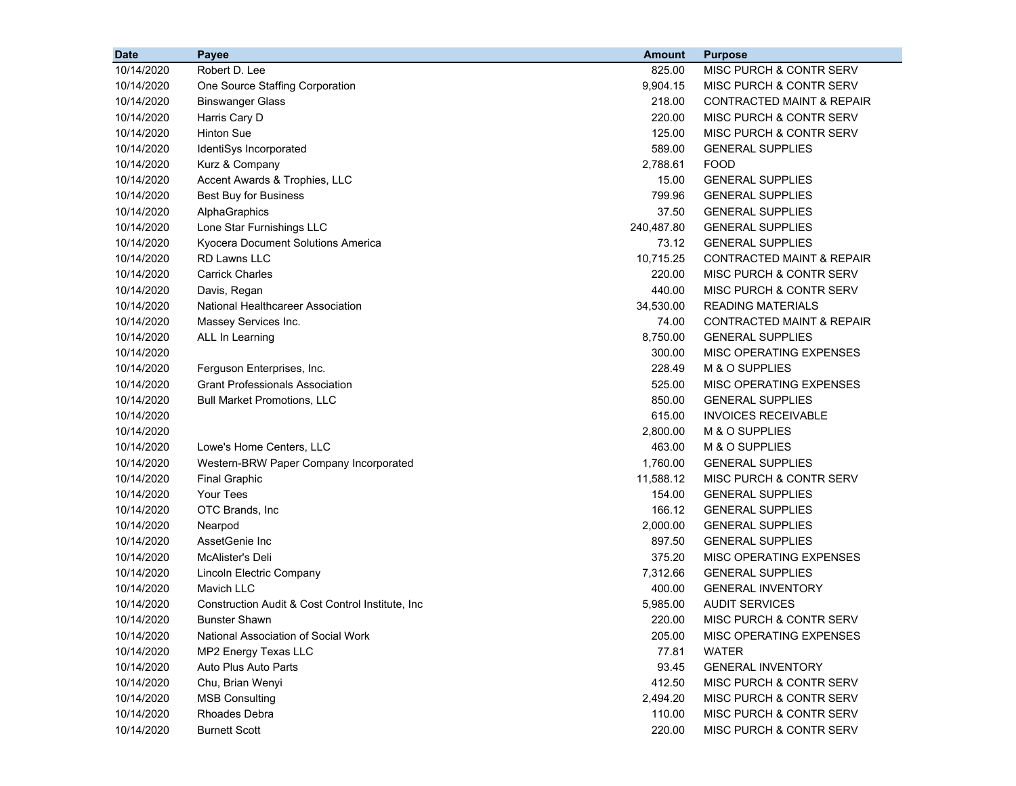| <b>Date</b> | <b>Payee</b>                                      | <b>Amount</b> | <b>Purpose</b>                       |
|-------------|---------------------------------------------------|---------------|--------------------------------------|
| 10/14/2020  | Robert D. Lee                                     | 825.00        | MISC PURCH & CONTR SERV              |
| 10/14/2020  | One Source Staffing Corporation                   | 9,904.15      | MISC PURCH & CONTR SERV              |
| 10/14/2020  | <b>Binswanger Glass</b>                           | 218.00        | <b>CONTRACTED MAINT &amp; REPAIR</b> |
| 10/14/2020  | Harris Cary D                                     | 220.00        | MISC PURCH & CONTR SERV              |
| 10/14/2020  | <b>Hinton Sue</b>                                 | 125.00        | <b>MISC PURCH &amp; CONTR SERV</b>   |
| 10/14/2020  | IdentiSys Incorporated                            | 589.00        | <b>GENERAL SUPPLIES</b>              |
| 10/14/2020  | Kurz & Company                                    | 2,788.61      | <b>FOOD</b>                          |
| 10/14/2020  | Accent Awards & Trophies, LLC                     | 15.00         | <b>GENERAL SUPPLIES</b>              |
| 10/14/2020  | <b>Best Buy for Business</b>                      | 799.96        | <b>GENERAL SUPPLIES</b>              |
| 10/14/2020  | AlphaGraphics                                     | 37.50         | <b>GENERAL SUPPLIES</b>              |
| 10/14/2020  | Lone Star Furnishings LLC                         | 240,487.80    | <b>GENERAL SUPPLIES</b>              |
| 10/14/2020  | Kyocera Document Solutions America                | 73.12         | <b>GENERAL SUPPLIES</b>              |
| 10/14/2020  | <b>RD Lawns LLC</b>                               | 10,715.25     | CONTRACTED MAINT & REPAIR            |
| 10/14/2020  | <b>Carrick Charles</b>                            | 220.00        | <b>MISC PURCH &amp; CONTR SERV</b>   |
| 10/14/2020  | Davis, Regan                                      | 440.00        | MISC PURCH & CONTR SERV              |
| 10/14/2020  | National Healthcareer Association                 | 34,530.00     | <b>READING MATERIALS</b>             |
| 10/14/2020  | Massey Services Inc.                              | 74.00         | <b>CONTRACTED MAINT &amp; REPAIR</b> |
| 10/14/2020  | ALL In Learning                                   | 8,750.00      | <b>GENERAL SUPPLIES</b>              |
| 10/14/2020  |                                                   | 300.00        | MISC OPERATING EXPENSES              |
| 10/14/2020  | Ferguson Enterprises, Inc.                        | 228.49        | M & O SUPPLIES                       |
| 10/14/2020  | <b>Grant Professionals Association</b>            | 525.00        | MISC OPERATING EXPENSES              |
| 10/14/2020  | <b>Bull Market Promotions, LLC</b>                | 850.00        | <b>GENERAL SUPPLIES</b>              |
| 10/14/2020  |                                                   | 615.00        | <b>INVOICES RECEIVABLE</b>           |
| 10/14/2020  |                                                   | 2,800.00      | M & O SUPPLIES                       |
| 10/14/2020  | Lowe's Home Centers, LLC                          | 463.00        | M & O SUPPLIES                       |
| 10/14/2020  | Western-BRW Paper Company Incorporated            | 1,760.00      | <b>GENERAL SUPPLIES</b>              |
| 10/14/2020  | <b>Final Graphic</b>                              | 11,588.12     | MISC PURCH & CONTR SERV              |
| 10/14/2020  | <b>Your Tees</b>                                  | 154.00        | <b>GENERAL SUPPLIES</b>              |
| 10/14/2020  | OTC Brands, Inc                                   | 166.12        | <b>GENERAL SUPPLIES</b>              |
| 10/14/2020  | Nearpod                                           | 2,000.00      | <b>GENERAL SUPPLIES</b>              |
| 10/14/2020  | AssetGenie Inc                                    | 897.50        | <b>GENERAL SUPPLIES</b>              |
| 10/14/2020  | McAlister's Deli                                  | 375.20        | MISC OPERATING EXPENSES              |
| 10/14/2020  | Lincoln Electric Company                          | 7,312.66      | <b>GENERAL SUPPLIES</b>              |
| 10/14/2020  | Mavich LLC                                        | 400.00        | <b>GENERAL INVENTORY</b>             |
| 10/14/2020  | Construction Audit & Cost Control Institute, Inc. | 5,985.00      | <b>AUDIT SERVICES</b>                |
| 10/14/2020  | <b>Bunster Shawn</b>                              | 220.00        | MISC PURCH & CONTR SERV              |
| 10/14/2020  | National Association of Social Work               | 205.00        | MISC OPERATING EXPENSES              |
| 10/14/2020  | MP2 Energy Texas LLC                              | 77.81         | <b>WATER</b>                         |
| 10/14/2020  | Auto Plus Auto Parts                              | 93.45         | <b>GENERAL INVENTORY</b>             |
| 10/14/2020  | Chu, Brian Wenyi                                  | 412.50        | MISC PURCH & CONTR SERV              |
| 10/14/2020  | <b>MSB Consulting</b>                             | 2,494.20      | MISC PURCH & CONTR SERV              |
| 10/14/2020  | Rhoades Debra                                     | 110.00        | MISC PURCH & CONTR SERV              |
| 10/14/2020  | <b>Burnett Scott</b>                              | 220.00        | MISC PURCH & CONTR SERV              |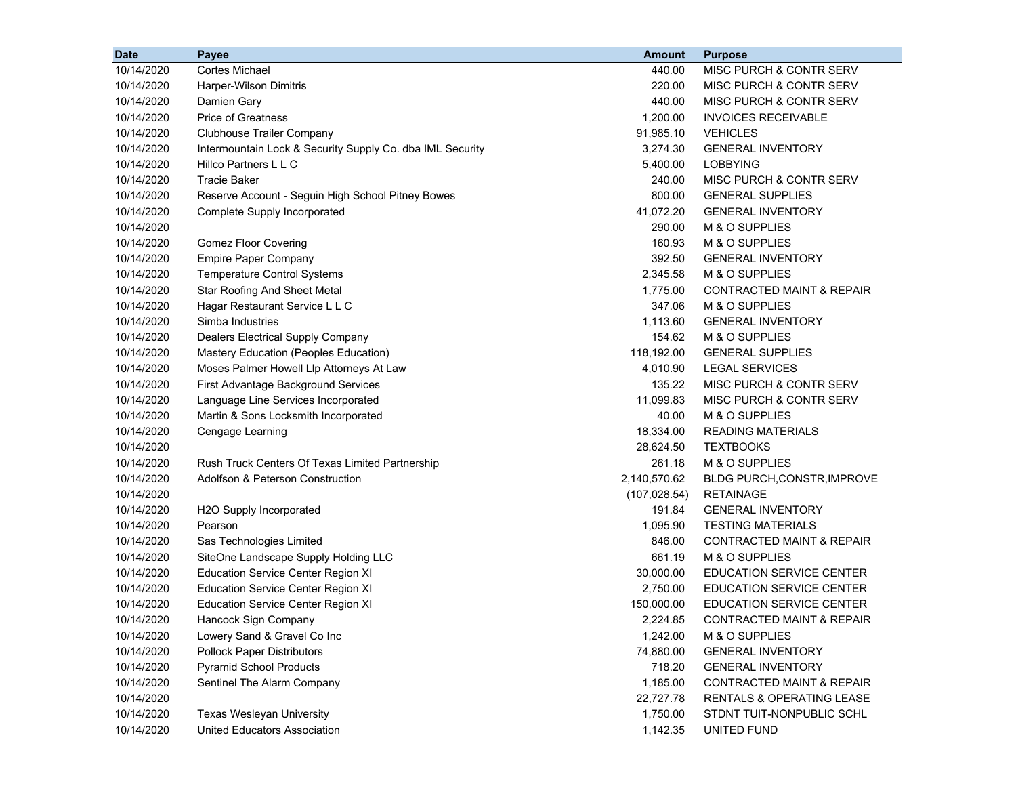| 10/14/2020<br><b>Cortes Michael</b><br>440.00<br><b>MISC PURCH &amp; CONTR SERV</b><br>10/14/2020<br>220.00<br>MISC PURCH & CONTR SERV<br><b>Harper-Wilson Dimitris</b><br>10/14/2020<br>440.00<br>MISC PURCH & CONTR SERV<br>Damien Gary<br>Price of Greatness<br>1,200.00<br><b>INVOICES RECEIVABLE</b><br>10/14/2020<br><b>Clubhouse Trailer Company</b><br>91,985.10<br><b>VEHICLES</b><br>10/14/2020<br>3,274.30<br><b>GENERAL INVENTORY</b><br>10/14/2020<br>Intermountain Lock & Security Supply Co. dba IML Security<br>10/14/2020<br>Hillco Partners L L C<br>5,400.00<br><b>LOBBYING</b><br>10/14/2020<br><b>Tracie Baker</b><br>240.00<br>MISC PURCH & CONTR SERV<br>10/14/2020<br>Reserve Account - Seguin High School Pitney Bowes<br>800.00<br><b>GENERAL SUPPLIES</b><br>41,072.20<br><b>GENERAL INVENTORY</b><br>10/14/2020<br>Complete Supply Incorporated<br>290.00<br>M & O SUPPLIES<br>10/14/2020<br>160.93<br>M & O SUPPLIES<br>10/14/2020<br><b>Gomez Floor Covering</b><br><b>Empire Paper Company</b><br>392.50<br>10/14/2020<br><b>GENERAL INVENTORY</b><br><b>Temperature Control Systems</b><br>2,345.58<br>M & O SUPPLIES<br>10/14/2020<br><b>Star Roofing And Sheet Metal</b><br>1,775.00<br><b>CONTRACTED MAINT &amp; REPAIR</b><br>10/14/2020<br>Hagar Restaurant Service L L C<br>347.06<br>M & O SUPPLIES<br>10/14/2020<br>1,113.60<br>10/14/2020<br>Simba Industries<br><b>GENERAL INVENTORY</b><br>154.62<br>10/14/2020<br>Dealers Electrical Supply Company<br>M & O SUPPLIES<br>118,192.00<br>10/14/2020<br>Mastery Education (Peoples Education)<br><b>GENERAL SUPPLIES</b><br>4,010.90<br>10/14/2020<br>Moses Palmer Howell Llp Attorneys At Law<br><b>LEGAL SERVICES</b><br>10/14/2020<br>First Advantage Background Services<br>135.22<br><b>MISC PURCH &amp; CONTR SERV</b><br>10/14/2020<br>11,099.83<br>MISC PURCH & CONTR SERV<br>Language Line Services Incorporated<br>10/14/2020<br>40.00<br>M & O SUPPLIES<br>Martin & Sons Locksmith Incorporated<br>18,334.00<br><b>READING MATERIALS</b><br>10/14/2020<br>Cengage Learning<br>28,624.50<br><b>TEXTBOOKS</b><br>10/14/2020<br>Rush Truck Centers Of Texas Limited Partnership<br>261.18<br>10/14/2020<br>M & O SUPPLIES<br>Adolfson & Peterson Construction<br>2,140,570.62<br>10/14/2020<br><b>BLDG PURCH, CONSTR, IMPROVE</b><br>10/14/2020<br>(107, 028.54)<br><b>RETAINAGE</b><br>191.84<br><b>GENERAL INVENTORY</b><br>10/14/2020<br>H2O Supply Incorporated<br>1,095.90<br><b>TESTING MATERIALS</b><br>10/14/2020<br>Pearson<br>846.00<br><b>CONTRACTED MAINT &amp; REPAIR</b><br>10/14/2020<br>Sas Technologies Limited<br>661.19<br>M & O SUPPLIES<br>10/14/2020<br>SiteOne Landscape Supply Holding LLC<br>10/14/2020<br><b>Education Service Center Region XI</b><br>30,000.00<br>EDUCATION SERVICE CENTER<br>10/14/2020<br><b>Education Service Center Region XI</b><br>2,750.00<br><b>EDUCATION SERVICE CENTER</b><br>10/14/2020<br>EDUCATION SERVICE CENTER<br><b>Education Service Center Region XI</b><br>150,000.00<br>10/14/2020<br>Hancock Sign Company<br>2,224.85<br>CONTRACTED MAINT & REPAIR<br>10/14/2020<br>Lowery Sand & Gravel Co Inc<br>1,242.00<br>M & O SUPPLIES<br>10/14/2020<br><b>Pollock Paper Distributors</b><br>74,880.00<br><b>GENERAL INVENTORY</b><br><b>Pyramid School Products</b><br>10/14/2020<br>718.20<br><b>GENERAL INVENTORY</b><br>Sentinel The Alarm Company<br>1,185.00<br>CONTRACTED MAINT & REPAIR<br>10/14/2020<br>22,727.78<br>10/14/2020<br><b>RENTALS &amp; OPERATING LEASE</b><br>Texas Wesleyan University<br>1,750.00<br>10/14/2020<br>STDNT TUIT-NONPUBLIC SCHL | <b>Date</b> | <b>Payee</b>                        | <b>Amount</b> | <b>Purpose</b> |
|--------------------------------------------------------------------------------------------------------------------------------------------------------------------------------------------------------------------------------------------------------------------------------------------------------------------------------------------------------------------------------------------------------------------------------------------------------------------------------------------------------------------------------------------------------------------------------------------------------------------------------------------------------------------------------------------------------------------------------------------------------------------------------------------------------------------------------------------------------------------------------------------------------------------------------------------------------------------------------------------------------------------------------------------------------------------------------------------------------------------------------------------------------------------------------------------------------------------------------------------------------------------------------------------------------------------------------------------------------------------------------------------------------------------------------------------------------------------------------------------------------------------------------------------------------------------------------------------------------------------------------------------------------------------------------------------------------------------------------------------------------------------------------------------------------------------------------------------------------------------------------------------------------------------------------------------------------------------------------------------------------------------------------------------------------------------------------------------------------------------------------------------------------------------------------------------------------------------------------------------------------------------------------------------------------------------------------------------------------------------------------------------------------------------------------------------------------------------------------------------------------------------------------------------------------------------------------------------------------------------------------------------------------------------------------------------------------------------------------------------------------------------------------------------------------------------------------------------------------------------------------------------------------------------------------------------------------------------------------------------------------------------------------------------------------------------------------------------------------------------------------------------------------------------------------------------------------------------------------------------------------------------------------------------------------------------------------------------------------------------------------------------------------------------------------------------------------------------------------------------------------------------------------------------------------------------------------------------------------------------------------|-------------|-------------------------------------|---------------|----------------|
|                                                                                                                                                                                                                                                                                                                                                                                                                                                                                                                                                                                                                                                                                                                                                                                                                                                                                                                                                                                                                                                                                                                                                                                                                                                                                                                                                                                                                                                                                                                                                                                                                                                                                                                                                                                                                                                                                                                                                                                                                                                                                                                                                                                                                                                                                                                                                                                                                                                                                                                                                                                                                                                                                                                                                                                                                                                                                                                                                                                                                                                                                                                                                                                                                                                                                                                                                                                                                                                                                                                                                                                                                                |             |                                     |               |                |
|                                                                                                                                                                                                                                                                                                                                                                                                                                                                                                                                                                                                                                                                                                                                                                                                                                                                                                                                                                                                                                                                                                                                                                                                                                                                                                                                                                                                                                                                                                                                                                                                                                                                                                                                                                                                                                                                                                                                                                                                                                                                                                                                                                                                                                                                                                                                                                                                                                                                                                                                                                                                                                                                                                                                                                                                                                                                                                                                                                                                                                                                                                                                                                                                                                                                                                                                                                                                                                                                                                                                                                                                                                |             |                                     |               |                |
|                                                                                                                                                                                                                                                                                                                                                                                                                                                                                                                                                                                                                                                                                                                                                                                                                                                                                                                                                                                                                                                                                                                                                                                                                                                                                                                                                                                                                                                                                                                                                                                                                                                                                                                                                                                                                                                                                                                                                                                                                                                                                                                                                                                                                                                                                                                                                                                                                                                                                                                                                                                                                                                                                                                                                                                                                                                                                                                                                                                                                                                                                                                                                                                                                                                                                                                                                                                                                                                                                                                                                                                                                                |             |                                     |               |                |
|                                                                                                                                                                                                                                                                                                                                                                                                                                                                                                                                                                                                                                                                                                                                                                                                                                                                                                                                                                                                                                                                                                                                                                                                                                                                                                                                                                                                                                                                                                                                                                                                                                                                                                                                                                                                                                                                                                                                                                                                                                                                                                                                                                                                                                                                                                                                                                                                                                                                                                                                                                                                                                                                                                                                                                                                                                                                                                                                                                                                                                                                                                                                                                                                                                                                                                                                                                                                                                                                                                                                                                                                                                |             |                                     |               |                |
|                                                                                                                                                                                                                                                                                                                                                                                                                                                                                                                                                                                                                                                                                                                                                                                                                                                                                                                                                                                                                                                                                                                                                                                                                                                                                                                                                                                                                                                                                                                                                                                                                                                                                                                                                                                                                                                                                                                                                                                                                                                                                                                                                                                                                                                                                                                                                                                                                                                                                                                                                                                                                                                                                                                                                                                                                                                                                                                                                                                                                                                                                                                                                                                                                                                                                                                                                                                                                                                                                                                                                                                                                                |             |                                     |               |                |
|                                                                                                                                                                                                                                                                                                                                                                                                                                                                                                                                                                                                                                                                                                                                                                                                                                                                                                                                                                                                                                                                                                                                                                                                                                                                                                                                                                                                                                                                                                                                                                                                                                                                                                                                                                                                                                                                                                                                                                                                                                                                                                                                                                                                                                                                                                                                                                                                                                                                                                                                                                                                                                                                                                                                                                                                                                                                                                                                                                                                                                                                                                                                                                                                                                                                                                                                                                                                                                                                                                                                                                                                                                |             |                                     |               |                |
|                                                                                                                                                                                                                                                                                                                                                                                                                                                                                                                                                                                                                                                                                                                                                                                                                                                                                                                                                                                                                                                                                                                                                                                                                                                                                                                                                                                                                                                                                                                                                                                                                                                                                                                                                                                                                                                                                                                                                                                                                                                                                                                                                                                                                                                                                                                                                                                                                                                                                                                                                                                                                                                                                                                                                                                                                                                                                                                                                                                                                                                                                                                                                                                                                                                                                                                                                                                                                                                                                                                                                                                                                                |             |                                     |               |                |
|                                                                                                                                                                                                                                                                                                                                                                                                                                                                                                                                                                                                                                                                                                                                                                                                                                                                                                                                                                                                                                                                                                                                                                                                                                                                                                                                                                                                                                                                                                                                                                                                                                                                                                                                                                                                                                                                                                                                                                                                                                                                                                                                                                                                                                                                                                                                                                                                                                                                                                                                                                                                                                                                                                                                                                                                                                                                                                                                                                                                                                                                                                                                                                                                                                                                                                                                                                                                                                                                                                                                                                                                                                |             |                                     |               |                |
|                                                                                                                                                                                                                                                                                                                                                                                                                                                                                                                                                                                                                                                                                                                                                                                                                                                                                                                                                                                                                                                                                                                                                                                                                                                                                                                                                                                                                                                                                                                                                                                                                                                                                                                                                                                                                                                                                                                                                                                                                                                                                                                                                                                                                                                                                                                                                                                                                                                                                                                                                                                                                                                                                                                                                                                                                                                                                                                                                                                                                                                                                                                                                                                                                                                                                                                                                                                                                                                                                                                                                                                                                                |             |                                     |               |                |
|                                                                                                                                                                                                                                                                                                                                                                                                                                                                                                                                                                                                                                                                                                                                                                                                                                                                                                                                                                                                                                                                                                                                                                                                                                                                                                                                                                                                                                                                                                                                                                                                                                                                                                                                                                                                                                                                                                                                                                                                                                                                                                                                                                                                                                                                                                                                                                                                                                                                                                                                                                                                                                                                                                                                                                                                                                                                                                                                                                                                                                                                                                                                                                                                                                                                                                                                                                                                                                                                                                                                                                                                                                |             |                                     |               |                |
|                                                                                                                                                                                                                                                                                                                                                                                                                                                                                                                                                                                                                                                                                                                                                                                                                                                                                                                                                                                                                                                                                                                                                                                                                                                                                                                                                                                                                                                                                                                                                                                                                                                                                                                                                                                                                                                                                                                                                                                                                                                                                                                                                                                                                                                                                                                                                                                                                                                                                                                                                                                                                                                                                                                                                                                                                                                                                                                                                                                                                                                                                                                                                                                                                                                                                                                                                                                                                                                                                                                                                                                                                                |             |                                     |               |                |
|                                                                                                                                                                                                                                                                                                                                                                                                                                                                                                                                                                                                                                                                                                                                                                                                                                                                                                                                                                                                                                                                                                                                                                                                                                                                                                                                                                                                                                                                                                                                                                                                                                                                                                                                                                                                                                                                                                                                                                                                                                                                                                                                                                                                                                                                                                                                                                                                                                                                                                                                                                                                                                                                                                                                                                                                                                                                                                                                                                                                                                                                                                                                                                                                                                                                                                                                                                                                                                                                                                                                                                                                                                |             |                                     |               |                |
|                                                                                                                                                                                                                                                                                                                                                                                                                                                                                                                                                                                                                                                                                                                                                                                                                                                                                                                                                                                                                                                                                                                                                                                                                                                                                                                                                                                                                                                                                                                                                                                                                                                                                                                                                                                                                                                                                                                                                                                                                                                                                                                                                                                                                                                                                                                                                                                                                                                                                                                                                                                                                                                                                                                                                                                                                                                                                                                                                                                                                                                                                                                                                                                                                                                                                                                                                                                                                                                                                                                                                                                                                                |             |                                     |               |                |
|                                                                                                                                                                                                                                                                                                                                                                                                                                                                                                                                                                                                                                                                                                                                                                                                                                                                                                                                                                                                                                                                                                                                                                                                                                                                                                                                                                                                                                                                                                                                                                                                                                                                                                                                                                                                                                                                                                                                                                                                                                                                                                                                                                                                                                                                                                                                                                                                                                                                                                                                                                                                                                                                                                                                                                                                                                                                                                                                                                                                                                                                                                                                                                                                                                                                                                                                                                                                                                                                                                                                                                                                                                |             |                                     |               |                |
|                                                                                                                                                                                                                                                                                                                                                                                                                                                                                                                                                                                                                                                                                                                                                                                                                                                                                                                                                                                                                                                                                                                                                                                                                                                                                                                                                                                                                                                                                                                                                                                                                                                                                                                                                                                                                                                                                                                                                                                                                                                                                                                                                                                                                                                                                                                                                                                                                                                                                                                                                                                                                                                                                                                                                                                                                                                                                                                                                                                                                                                                                                                                                                                                                                                                                                                                                                                                                                                                                                                                                                                                                                |             |                                     |               |                |
|                                                                                                                                                                                                                                                                                                                                                                                                                                                                                                                                                                                                                                                                                                                                                                                                                                                                                                                                                                                                                                                                                                                                                                                                                                                                                                                                                                                                                                                                                                                                                                                                                                                                                                                                                                                                                                                                                                                                                                                                                                                                                                                                                                                                                                                                                                                                                                                                                                                                                                                                                                                                                                                                                                                                                                                                                                                                                                                                                                                                                                                                                                                                                                                                                                                                                                                                                                                                                                                                                                                                                                                                                                |             |                                     |               |                |
|                                                                                                                                                                                                                                                                                                                                                                                                                                                                                                                                                                                                                                                                                                                                                                                                                                                                                                                                                                                                                                                                                                                                                                                                                                                                                                                                                                                                                                                                                                                                                                                                                                                                                                                                                                                                                                                                                                                                                                                                                                                                                                                                                                                                                                                                                                                                                                                                                                                                                                                                                                                                                                                                                                                                                                                                                                                                                                                                                                                                                                                                                                                                                                                                                                                                                                                                                                                                                                                                                                                                                                                                                                |             |                                     |               |                |
|                                                                                                                                                                                                                                                                                                                                                                                                                                                                                                                                                                                                                                                                                                                                                                                                                                                                                                                                                                                                                                                                                                                                                                                                                                                                                                                                                                                                                                                                                                                                                                                                                                                                                                                                                                                                                                                                                                                                                                                                                                                                                                                                                                                                                                                                                                                                                                                                                                                                                                                                                                                                                                                                                                                                                                                                                                                                                                                                                                                                                                                                                                                                                                                                                                                                                                                                                                                                                                                                                                                                                                                                                                |             |                                     |               |                |
|                                                                                                                                                                                                                                                                                                                                                                                                                                                                                                                                                                                                                                                                                                                                                                                                                                                                                                                                                                                                                                                                                                                                                                                                                                                                                                                                                                                                                                                                                                                                                                                                                                                                                                                                                                                                                                                                                                                                                                                                                                                                                                                                                                                                                                                                                                                                                                                                                                                                                                                                                                                                                                                                                                                                                                                                                                                                                                                                                                                                                                                                                                                                                                                                                                                                                                                                                                                                                                                                                                                                                                                                                                |             |                                     |               |                |
|                                                                                                                                                                                                                                                                                                                                                                                                                                                                                                                                                                                                                                                                                                                                                                                                                                                                                                                                                                                                                                                                                                                                                                                                                                                                                                                                                                                                                                                                                                                                                                                                                                                                                                                                                                                                                                                                                                                                                                                                                                                                                                                                                                                                                                                                                                                                                                                                                                                                                                                                                                                                                                                                                                                                                                                                                                                                                                                                                                                                                                                                                                                                                                                                                                                                                                                                                                                                                                                                                                                                                                                                                                |             |                                     |               |                |
|                                                                                                                                                                                                                                                                                                                                                                                                                                                                                                                                                                                                                                                                                                                                                                                                                                                                                                                                                                                                                                                                                                                                                                                                                                                                                                                                                                                                                                                                                                                                                                                                                                                                                                                                                                                                                                                                                                                                                                                                                                                                                                                                                                                                                                                                                                                                                                                                                                                                                                                                                                                                                                                                                                                                                                                                                                                                                                                                                                                                                                                                                                                                                                                                                                                                                                                                                                                                                                                                                                                                                                                                                                |             |                                     |               |                |
|                                                                                                                                                                                                                                                                                                                                                                                                                                                                                                                                                                                                                                                                                                                                                                                                                                                                                                                                                                                                                                                                                                                                                                                                                                                                                                                                                                                                                                                                                                                                                                                                                                                                                                                                                                                                                                                                                                                                                                                                                                                                                                                                                                                                                                                                                                                                                                                                                                                                                                                                                                                                                                                                                                                                                                                                                                                                                                                                                                                                                                                                                                                                                                                                                                                                                                                                                                                                                                                                                                                                                                                                                                |             |                                     |               |                |
|                                                                                                                                                                                                                                                                                                                                                                                                                                                                                                                                                                                                                                                                                                                                                                                                                                                                                                                                                                                                                                                                                                                                                                                                                                                                                                                                                                                                                                                                                                                                                                                                                                                                                                                                                                                                                                                                                                                                                                                                                                                                                                                                                                                                                                                                                                                                                                                                                                                                                                                                                                                                                                                                                                                                                                                                                                                                                                                                                                                                                                                                                                                                                                                                                                                                                                                                                                                                                                                                                                                                                                                                                                |             |                                     |               |                |
|                                                                                                                                                                                                                                                                                                                                                                                                                                                                                                                                                                                                                                                                                                                                                                                                                                                                                                                                                                                                                                                                                                                                                                                                                                                                                                                                                                                                                                                                                                                                                                                                                                                                                                                                                                                                                                                                                                                                                                                                                                                                                                                                                                                                                                                                                                                                                                                                                                                                                                                                                                                                                                                                                                                                                                                                                                                                                                                                                                                                                                                                                                                                                                                                                                                                                                                                                                                                                                                                                                                                                                                                                                |             |                                     |               |                |
|                                                                                                                                                                                                                                                                                                                                                                                                                                                                                                                                                                                                                                                                                                                                                                                                                                                                                                                                                                                                                                                                                                                                                                                                                                                                                                                                                                                                                                                                                                                                                                                                                                                                                                                                                                                                                                                                                                                                                                                                                                                                                                                                                                                                                                                                                                                                                                                                                                                                                                                                                                                                                                                                                                                                                                                                                                                                                                                                                                                                                                                                                                                                                                                                                                                                                                                                                                                                                                                                                                                                                                                                                                |             |                                     |               |                |
|                                                                                                                                                                                                                                                                                                                                                                                                                                                                                                                                                                                                                                                                                                                                                                                                                                                                                                                                                                                                                                                                                                                                                                                                                                                                                                                                                                                                                                                                                                                                                                                                                                                                                                                                                                                                                                                                                                                                                                                                                                                                                                                                                                                                                                                                                                                                                                                                                                                                                                                                                                                                                                                                                                                                                                                                                                                                                                                                                                                                                                                                                                                                                                                                                                                                                                                                                                                                                                                                                                                                                                                                                                |             |                                     |               |                |
|                                                                                                                                                                                                                                                                                                                                                                                                                                                                                                                                                                                                                                                                                                                                                                                                                                                                                                                                                                                                                                                                                                                                                                                                                                                                                                                                                                                                                                                                                                                                                                                                                                                                                                                                                                                                                                                                                                                                                                                                                                                                                                                                                                                                                                                                                                                                                                                                                                                                                                                                                                                                                                                                                                                                                                                                                                                                                                                                                                                                                                                                                                                                                                                                                                                                                                                                                                                                                                                                                                                                                                                                                                |             |                                     |               |                |
|                                                                                                                                                                                                                                                                                                                                                                                                                                                                                                                                                                                                                                                                                                                                                                                                                                                                                                                                                                                                                                                                                                                                                                                                                                                                                                                                                                                                                                                                                                                                                                                                                                                                                                                                                                                                                                                                                                                                                                                                                                                                                                                                                                                                                                                                                                                                                                                                                                                                                                                                                                                                                                                                                                                                                                                                                                                                                                                                                                                                                                                                                                                                                                                                                                                                                                                                                                                                                                                                                                                                                                                                                                |             |                                     |               |                |
|                                                                                                                                                                                                                                                                                                                                                                                                                                                                                                                                                                                                                                                                                                                                                                                                                                                                                                                                                                                                                                                                                                                                                                                                                                                                                                                                                                                                                                                                                                                                                                                                                                                                                                                                                                                                                                                                                                                                                                                                                                                                                                                                                                                                                                                                                                                                                                                                                                                                                                                                                                                                                                                                                                                                                                                                                                                                                                                                                                                                                                                                                                                                                                                                                                                                                                                                                                                                                                                                                                                                                                                                                                |             |                                     |               |                |
|                                                                                                                                                                                                                                                                                                                                                                                                                                                                                                                                                                                                                                                                                                                                                                                                                                                                                                                                                                                                                                                                                                                                                                                                                                                                                                                                                                                                                                                                                                                                                                                                                                                                                                                                                                                                                                                                                                                                                                                                                                                                                                                                                                                                                                                                                                                                                                                                                                                                                                                                                                                                                                                                                                                                                                                                                                                                                                                                                                                                                                                                                                                                                                                                                                                                                                                                                                                                                                                                                                                                                                                                                                |             |                                     |               |                |
|                                                                                                                                                                                                                                                                                                                                                                                                                                                                                                                                                                                                                                                                                                                                                                                                                                                                                                                                                                                                                                                                                                                                                                                                                                                                                                                                                                                                                                                                                                                                                                                                                                                                                                                                                                                                                                                                                                                                                                                                                                                                                                                                                                                                                                                                                                                                                                                                                                                                                                                                                                                                                                                                                                                                                                                                                                                                                                                                                                                                                                                                                                                                                                                                                                                                                                                                                                                                                                                                                                                                                                                                                                |             |                                     |               |                |
|                                                                                                                                                                                                                                                                                                                                                                                                                                                                                                                                                                                                                                                                                                                                                                                                                                                                                                                                                                                                                                                                                                                                                                                                                                                                                                                                                                                                                                                                                                                                                                                                                                                                                                                                                                                                                                                                                                                                                                                                                                                                                                                                                                                                                                                                                                                                                                                                                                                                                                                                                                                                                                                                                                                                                                                                                                                                                                                                                                                                                                                                                                                                                                                                                                                                                                                                                                                                                                                                                                                                                                                                                                |             |                                     |               |                |
|                                                                                                                                                                                                                                                                                                                                                                                                                                                                                                                                                                                                                                                                                                                                                                                                                                                                                                                                                                                                                                                                                                                                                                                                                                                                                                                                                                                                                                                                                                                                                                                                                                                                                                                                                                                                                                                                                                                                                                                                                                                                                                                                                                                                                                                                                                                                                                                                                                                                                                                                                                                                                                                                                                                                                                                                                                                                                                                                                                                                                                                                                                                                                                                                                                                                                                                                                                                                                                                                                                                                                                                                                                |             |                                     |               |                |
|                                                                                                                                                                                                                                                                                                                                                                                                                                                                                                                                                                                                                                                                                                                                                                                                                                                                                                                                                                                                                                                                                                                                                                                                                                                                                                                                                                                                                                                                                                                                                                                                                                                                                                                                                                                                                                                                                                                                                                                                                                                                                                                                                                                                                                                                                                                                                                                                                                                                                                                                                                                                                                                                                                                                                                                                                                                                                                                                                                                                                                                                                                                                                                                                                                                                                                                                                                                                                                                                                                                                                                                                                                |             |                                     |               |                |
|                                                                                                                                                                                                                                                                                                                                                                                                                                                                                                                                                                                                                                                                                                                                                                                                                                                                                                                                                                                                                                                                                                                                                                                                                                                                                                                                                                                                                                                                                                                                                                                                                                                                                                                                                                                                                                                                                                                                                                                                                                                                                                                                                                                                                                                                                                                                                                                                                                                                                                                                                                                                                                                                                                                                                                                                                                                                                                                                                                                                                                                                                                                                                                                                                                                                                                                                                                                                                                                                                                                                                                                                                                |             |                                     |               |                |
|                                                                                                                                                                                                                                                                                                                                                                                                                                                                                                                                                                                                                                                                                                                                                                                                                                                                                                                                                                                                                                                                                                                                                                                                                                                                                                                                                                                                                                                                                                                                                                                                                                                                                                                                                                                                                                                                                                                                                                                                                                                                                                                                                                                                                                                                                                                                                                                                                                                                                                                                                                                                                                                                                                                                                                                                                                                                                                                                                                                                                                                                                                                                                                                                                                                                                                                                                                                                                                                                                                                                                                                                                                |             |                                     |               |                |
|                                                                                                                                                                                                                                                                                                                                                                                                                                                                                                                                                                                                                                                                                                                                                                                                                                                                                                                                                                                                                                                                                                                                                                                                                                                                                                                                                                                                                                                                                                                                                                                                                                                                                                                                                                                                                                                                                                                                                                                                                                                                                                                                                                                                                                                                                                                                                                                                                                                                                                                                                                                                                                                                                                                                                                                                                                                                                                                                                                                                                                                                                                                                                                                                                                                                                                                                                                                                                                                                                                                                                                                                                                |             |                                     |               |                |
|                                                                                                                                                                                                                                                                                                                                                                                                                                                                                                                                                                                                                                                                                                                                                                                                                                                                                                                                                                                                                                                                                                                                                                                                                                                                                                                                                                                                                                                                                                                                                                                                                                                                                                                                                                                                                                                                                                                                                                                                                                                                                                                                                                                                                                                                                                                                                                                                                                                                                                                                                                                                                                                                                                                                                                                                                                                                                                                                                                                                                                                                                                                                                                                                                                                                                                                                                                                                                                                                                                                                                                                                                                |             |                                     |               |                |
|                                                                                                                                                                                                                                                                                                                                                                                                                                                                                                                                                                                                                                                                                                                                                                                                                                                                                                                                                                                                                                                                                                                                                                                                                                                                                                                                                                                                                                                                                                                                                                                                                                                                                                                                                                                                                                                                                                                                                                                                                                                                                                                                                                                                                                                                                                                                                                                                                                                                                                                                                                                                                                                                                                                                                                                                                                                                                                                                                                                                                                                                                                                                                                                                                                                                                                                                                                                                                                                                                                                                                                                                                                |             |                                     |               |                |
|                                                                                                                                                                                                                                                                                                                                                                                                                                                                                                                                                                                                                                                                                                                                                                                                                                                                                                                                                                                                                                                                                                                                                                                                                                                                                                                                                                                                                                                                                                                                                                                                                                                                                                                                                                                                                                                                                                                                                                                                                                                                                                                                                                                                                                                                                                                                                                                                                                                                                                                                                                                                                                                                                                                                                                                                                                                                                                                                                                                                                                                                                                                                                                                                                                                                                                                                                                                                                                                                                                                                                                                                                                |             |                                     |               |                |
|                                                                                                                                                                                                                                                                                                                                                                                                                                                                                                                                                                                                                                                                                                                                                                                                                                                                                                                                                                                                                                                                                                                                                                                                                                                                                                                                                                                                                                                                                                                                                                                                                                                                                                                                                                                                                                                                                                                                                                                                                                                                                                                                                                                                                                                                                                                                                                                                                                                                                                                                                                                                                                                                                                                                                                                                                                                                                                                                                                                                                                                                                                                                                                                                                                                                                                                                                                                                                                                                                                                                                                                                                                |             |                                     |               |                |
|                                                                                                                                                                                                                                                                                                                                                                                                                                                                                                                                                                                                                                                                                                                                                                                                                                                                                                                                                                                                                                                                                                                                                                                                                                                                                                                                                                                                                                                                                                                                                                                                                                                                                                                                                                                                                                                                                                                                                                                                                                                                                                                                                                                                                                                                                                                                                                                                                                                                                                                                                                                                                                                                                                                                                                                                                                                                                                                                                                                                                                                                                                                                                                                                                                                                                                                                                                                                                                                                                                                                                                                                                                |             |                                     |               |                |
|                                                                                                                                                                                                                                                                                                                                                                                                                                                                                                                                                                                                                                                                                                                                                                                                                                                                                                                                                                                                                                                                                                                                                                                                                                                                                                                                                                                                                                                                                                                                                                                                                                                                                                                                                                                                                                                                                                                                                                                                                                                                                                                                                                                                                                                                                                                                                                                                                                                                                                                                                                                                                                                                                                                                                                                                                                                                                                                                                                                                                                                                                                                                                                                                                                                                                                                                                                                                                                                                                                                                                                                                                                | 10/14/2020  | <b>United Educators Association</b> | 1,142.35      | UNITED FUND    |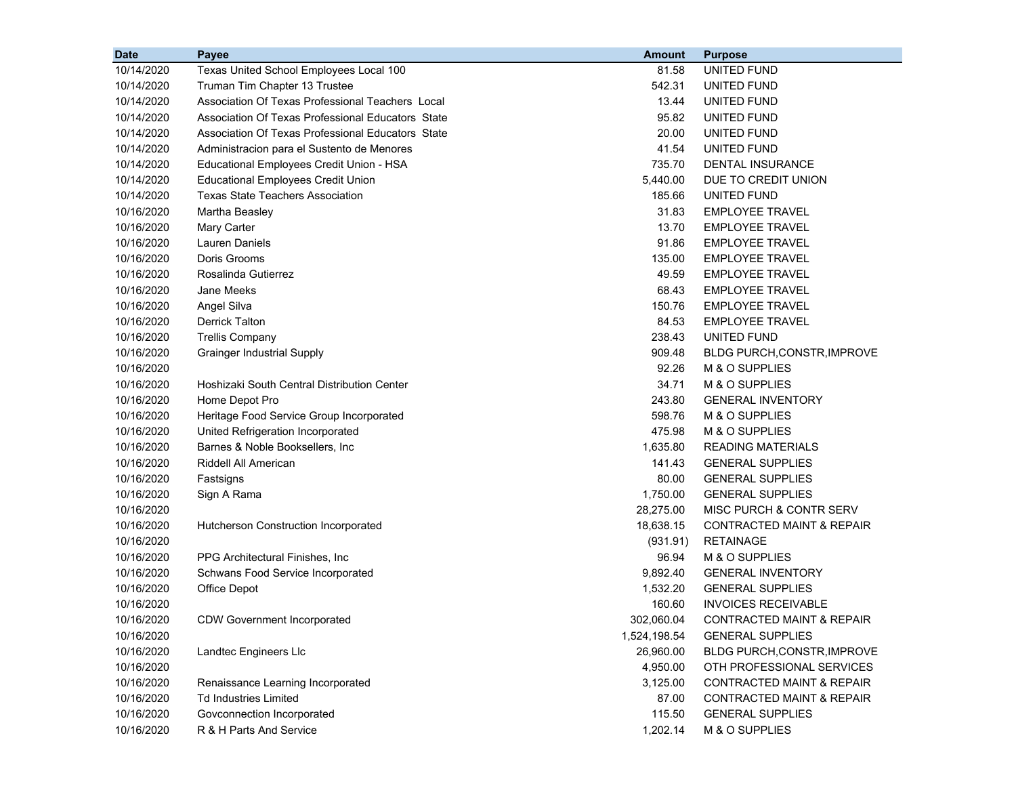| <b>Date</b> | Payee                                             | <b>Amount</b> | <b>Purpose</b>                       |
|-------------|---------------------------------------------------|---------------|--------------------------------------|
| 10/14/2020  | Texas United School Employees Local 100           | 81.58         | UNITED FUND                          |
| 10/14/2020  | Truman Tim Chapter 13 Trustee                     | 542.31        | UNITED FUND                          |
| 10/14/2020  | Association Of Texas Professional Teachers Local  | 13.44         | UNITED FUND                          |
| 10/14/2020  | Association Of Texas Professional Educators State | 95.82         | UNITED FUND                          |
| 10/14/2020  | Association Of Texas Professional Educators State | 20.00         | UNITED FUND                          |
| 10/14/2020  | Administracion para el Sustento de Menores        | 41.54         | UNITED FUND                          |
| 10/14/2020  | Educational Employees Credit Union - HSA          | 735.70        | DENTAL INSURANCE                     |
| 10/14/2020  | <b>Educational Employees Credit Union</b>         | 5,440.00      | DUE TO CREDIT UNION                  |
| 10/14/2020  | <b>Texas State Teachers Association</b>           | 185.66        | UNITED FUND                          |
| 10/16/2020  | Martha Beasley                                    | 31.83         | <b>EMPLOYEE TRAVEL</b>               |
| 10/16/2020  | Mary Carter                                       | 13.70         | <b>EMPLOYEE TRAVEL</b>               |
| 10/16/2020  | <b>Lauren Daniels</b>                             | 91.86         | <b>EMPLOYEE TRAVEL</b>               |
| 10/16/2020  | Doris Grooms                                      | 135.00        | <b>EMPLOYEE TRAVEL</b>               |
| 10/16/2020  | Rosalinda Gutierrez                               | 49.59         | <b>EMPLOYEE TRAVEL</b>               |
| 10/16/2020  | Jane Meeks                                        | 68.43         | <b>EMPLOYEE TRAVEL</b>               |
| 10/16/2020  | Angel Silva                                       | 150.76        | <b>EMPLOYEE TRAVEL</b>               |
| 10/16/2020  | <b>Derrick Talton</b>                             | 84.53         | <b>EMPLOYEE TRAVEL</b>               |
| 10/16/2020  | <b>Trellis Company</b>                            | 238.43        | UNITED FUND                          |
| 10/16/2020  | <b>Grainger Industrial Supply</b>                 | 909.48        | BLDG PURCH, CONSTR, IMPROVE          |
| 10/16/2020  |                                                   | 92.26         | M & O SUPPLIES                       |
| 10/16/2020  | Hoshizaki South Central Distribution Center       | 34.71         | M & O SUPPLIES                       |
| 10/16/2020  | Home Depot Pro                                    | 243.80        | <b>GENERAL INVENTORY</b>             |
| 10/16/2020  | Heritage Food Service Group Incorporated          | 598.76        | M & O SUPPLIES                       |
| 10/16/2020  | United Refrigeration Incorporated                 | 475.98        | M & O SUPPLIES                       |
| 10/16/2020  | Barnes & Noble Booksellers, Inc                   | 1,635.80      | <b>READING MATERIALS</b>             |
| 10/16/2020  | Riddell All American                              | 141.43        | <b>GENERAL SUPPLIES</b>              |
| 10/16/2020  | Fastsigns                                         | 80.00         | <b>GENERAL SUPPLIES</b>              |
| 10/16/2020  | Sign A Rama                                       | 1,750.00      | <b>GENERAL SUPPLIES</b>              |
| 10/16/2020  |                                                   | 28,275.00     | MISC PURCH & CONTR SERV              |
| 10/16/2020  | Hutcherson Construction Incorporated              | 18,638.15     | <b>CONTRACTED MAINT &amp; REPAIR</b> |
| 10/16/2020  |                                                   | (931.91)      | <b>RETAINAGE</b>                     |
| 10/16/2020  | PPG Architectural Finishes, Inc.                  | 96.94         | M & O SUPPLIES                       |
| 10/16/2020  | Schwans Food Service Incorporated                 | 9,892.40      | <b>GENERAL INVENTORY</b>             |
| 10/16/2020  | Office Depot                                      | 1,532.20      | <b>GENERAL SUPPLIES</b>              |
| 10/16/2020  |                                                   | 160.60        | <b>INVOICES RECEIVABLE</b>           |
| 10/16/2020  | <b>CDW Government Incorporated</b>                | 302,060.04    | CONTRACTED MAINT & REPAIR            |
| 10/16/2020  |                                                   | 1,524,198.54  | <b>GENERAL SUPPLIES</b>              |
| 10/16/2020  | Landtec Engineers Llc                             | 26,960.00     | BLDG PURCH, CONSTR, IMPROVE          |
| 10/16/2020  |                                                   | 4,950.00      | OTH PROFESSIONAL SERVICES            |
| 10/16/2020  | Renaissance Learning Incorporated                 | 3,125.00      | <b>CONTRACTED MAINT &amp; REPAIR</b> |
| 10/16/2020  | <b>Td Industries Limited</b>                      | 87.00         | <b>CONTRACTED MAINT &amp; REPAIR</b> |
| 10/16/2020  | Govconnection Incorporated                        | 115.50        | <b>GENERAL SUPPLIES</b>              |
| 10/16/2020  | R & H Parts And Service                           | 1,202.14      | M & O SUPPLIES                       |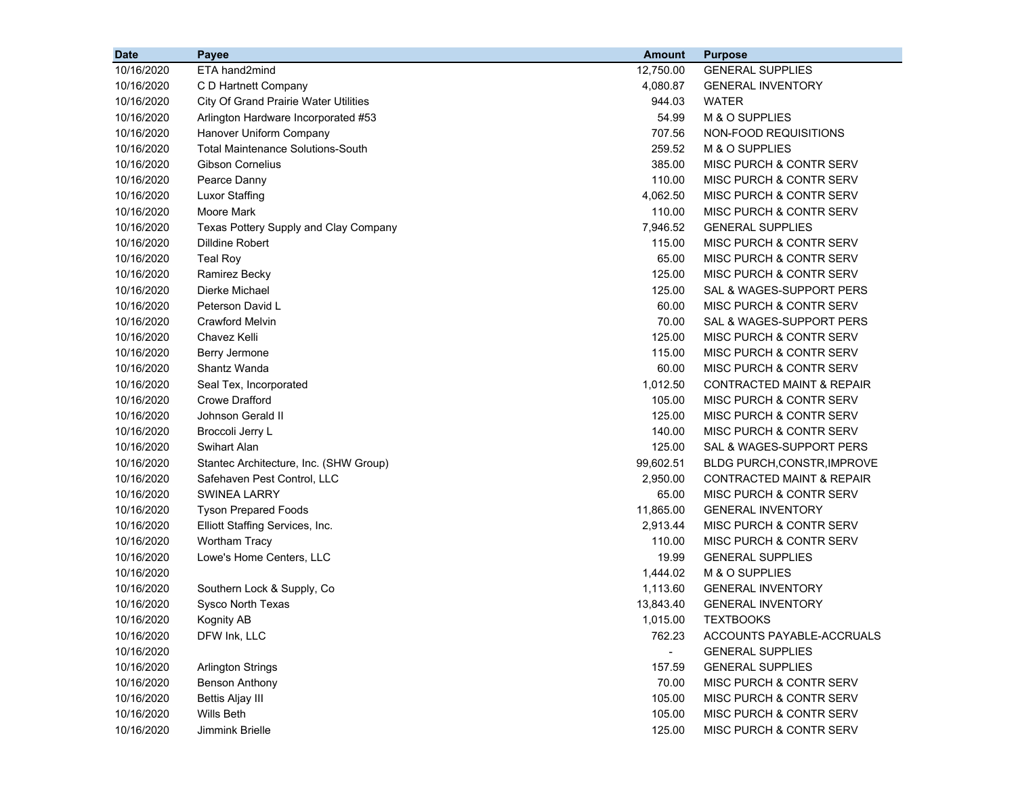| <b>Date</b> | Payee                                        | <b>Amount</b> | <b>Purpose</b>                       |
|-------------|----------------------------------------------|---------------|--------------------------------------|
| 10/16/2020  | ETA hand2mind                                | 12,750.00     | <b>GENERAL SUPPLIES</b>              |
| 10/16/2020  | C D Hartnett Company                         | 4,080.87      | <b>GENERAL INVENTORY</b>             |
| 10/16/2020  | <b>City Of Grand Prairie Water Utilities</b> | 944.03        | <b>WATER</b>                         |
| 10/16/2020  | Arlington Hardware Incorporated #53          | 54.99         | M & O SUPPLIES                       |
| 10/16/2020  | Hanover Uniform Company                      | 707.56        | NON-FOOD REQUISITIONS                |
| 10/16/2020  | <b>Total Maintenance Solutions-South</b>     | 259.52        | M & O SUPPLIES                       |
| 10/16/2020  | <b>Gibson Cornelius</b>                      | 385.00        | MISC PURCH & CONTR SERV              |
| 10/16/2020  | Pearce Danny                                 | 110.00        | <b>MISC PURCH &amp; CONTR SERV</b>   |
| 10/16/2020  | Luxor Staffing                               | 4,062.50      | MISC PURCH & CONTR SERV              |
| 10/16/2020  | Moore Mark                                   | 110.00        | MISC PURCH & CONTR SERV              |
| 10/16/2020  | Texas Pottery Supply and Clay Company        | 7,946.52      | <b>GENERAL SUPPLIES</b>              |
| 10/16/2020  | Dilldine Robert                              | 115.00        | MISC PURCH & CONTR SERV              |
| 10/16/2020  | <b>Teal Roy</b>                              | 65.00         | MISC PURCH & CONTR SERV              |
| 10/16/2020  | Ramirez Becky                                | 125.00        | MISC PURCH & CONTR SERV              |
| 10/16/2020  | Dierke Michael                               | 125.00        | SAL & WAGES-SUPPORT PERS             |
| 10/16/2020  | Peterson David L                             | 60.00         | MISC PURCH & CONTR SERV              |
| 10/16/2020  | <b>Crawford Melvin</b>                       | 70.00         | SAL & WAGES-SUPPORT PERS             |
| 10/16/2020  | Chavez Kelli                                 | 125.00        | MISC PURCH & CONTR SERV              |
| 10/16/2020  | Berry Jermone                                | 115.00        | MISC PURCH & CONTR SERV              |
| 10/16/2020  | Shantz Wanda                                 | 60.00         | MISC PURCH & CONTR SERV              |
| 10/16/2020  | Seal Tex, Incorporated                       | 1,012.50      | <b>CONTRACTED MAINT &amp; REPAIR</b> |
| 10/16/2020  | <b>Crowe Drafford</b>                        | 105.00        | MISC PURCH & CONTR SERV              |
| 10/16/2020  | Johnson Gerald II                            | 125.00        | MISC PURCH & CONTR SERV              |
| 10/16/2020  | Broccoli Jerry L                             | 140.00        | MISC PURCH & CONTR SERV              |
| 10/16/2020  | Swihart Alan                                 | 125.00        | SAL & WAGES-SUPPORT PERS             |
| 10/16/2020  | Stantec Architecture, Inc. (SHW Group)       | 99,602.51     | <b>BLDG PURCH, CONSTR, IMPROVE</b>   |
| 10/16/2020  | Safehaven Pest Control, LLC                  | 2,950.00      | <b>CONTRACTED MAINT &amp; REPAIR</b> |
| 10/16/2020  | <b>SWINEA LARRY</b>                          | 65.00         | MISC PURCH & CONTR SERV              |
| 10/16/2020  | <b>Tyson Prepared Foods</b>                  | 11,865.00     | <b>GENERAL INVENTORY</b>             |
| 10/16/2020  | Elliott Staffing Services, Inc.              | 2,913.44      | MISC PURCH & CONTR SERV              |
| 10/16/2020  | <b>Wortham Tracy</b>                         | 110.00        | MISC PURCH & CONTR SERV              |
| 10/16/2020  | Lowe's Home Centers, LLC                     | 19.99         | <b>GENERAL SUPPLIES</b>              |
| 10/16/2020  |                                              | 1,444.02      | M & O SUPPLIES                       |
| 10/16/2020  | Southern Lock & Supply, Co                   | 1,113.60      | <b>GENERAL INVENTORY</b>             |
| 10/16/2020  | Sysco North Texas                            | 13,843.40     | <b>GENERAL INVENTORY</b>             |
| 10/16/2020  | <b>Kognity AB</b>                            | 1,015.00      | <b>TEXTBOOKS</b>                     |
| 10/16/2020  | DFW Ink, LLC                                 | 762.23        | ACCOUNTS PAYABLE-ACCRUALS            |
| 10/16/2020  |                                              | $\sim$        | <b>GENERAL SUPPLIES</b>              |
| 10/16/2020  | <b>Arlington Strings</b>                     | 157.59        | <b>GENERAL SUPPLIES</b>              |
| 10/16/2020  | <b>Benson Anthony</b>                        | 70.00         | MISC PURCH & CONTR SERV              |
| 10/16/2020  | <b>Bettis Aljay III</b>                      | 105.00        | MISC PURCH & CONTR SERV              |
| 10/16/2020  | Wills Beth                                   | 105.00        | MISC PURCH & CONTR SERV              |
| 10/16/2020  | Jimmink Brielle                              | 125.00        | MISC PURCH & CONTR SERV              |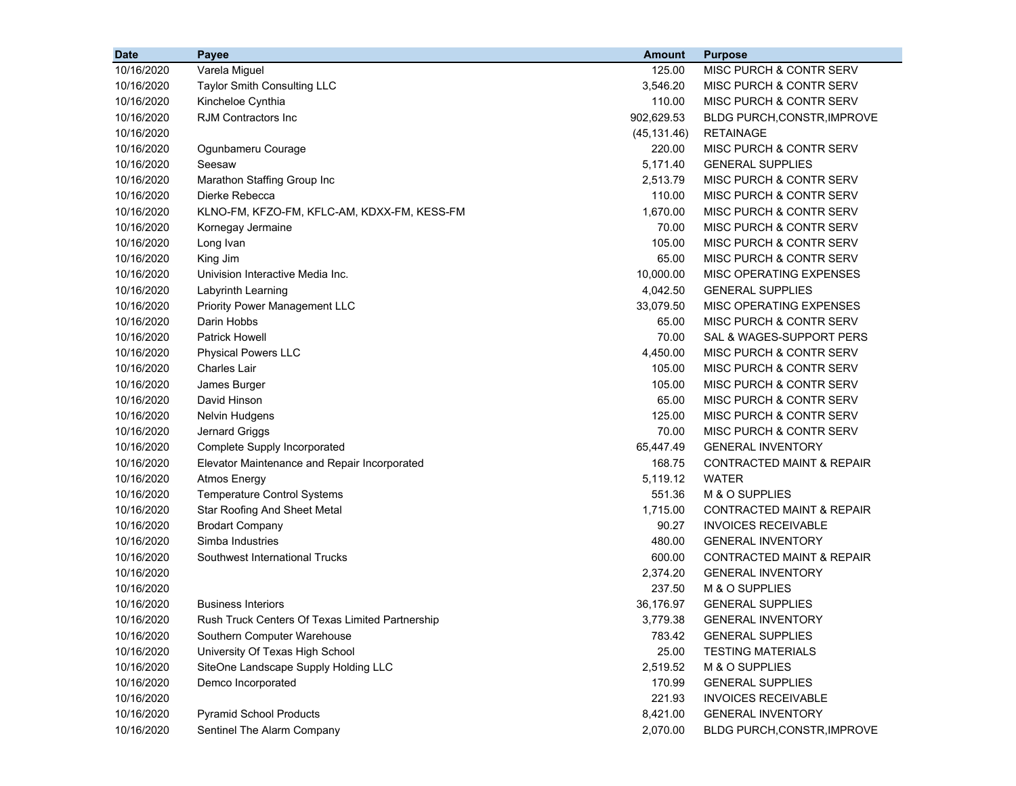| Varela Miguel<br>125.00<br>10/16/2020<br>MISC PURCH & CONTR SERV<br>10/16/2020<br>Taylor Smith Consulting LLC<br>3,546.20<br>MISC PURCH & CONTR SERV<br>Kincheloe Cynthia<br>110.00<br>MISC PURCH & CONTR SERV<br>10/16/2020<br><b>RJM Contractors Inc</b><br>902,629.53<br>10/16/2020<br>BLDG PURCH, CONSTR, IMPROVE<br><b>RETAINAGE</b><br>10/16/2020<br>(45, 131.46)<br>220.00<br><b>MISC PURCH &amp; CONTR SERV</b><br>10/16/2020<br>Ogunbameru Courage<br>5,171.40<br><b>GENERAL SUPPLIES</b><br>10/16/2020<br>Seesaw<br>Marathon Staffing Group Inc<br>2,513.79<br><b>MISC PURCH &amp; CONTR SERV</b><br>10/16/2020<br>110.00<br>MISC PURCH & CONTR SERV<br>10/16/2020<br>Dierke Rebecca<br>1,670.00<br><b>MISC PURCH &amp; CONTR SERV</b><br>10/16/2020<br>KLNO-FM, KFZO-FM, KFLC-AM, KDXX-FM, KESS-FM<br><b>MISC PURCH &amp; CONTR SERV</b><br>10/16/2020<br>70.00<br>Kornegay Jermaine<br>105.00<br>10/16/2020<br>Long Ivan<br>MISC PURCH & CONTR SERV<br>10/16/2020<br>65.00<br>MISC PURCH & CONTR SERV<br>King Jim<br>10/16/2020<br>10,000.00<br>MISC OPERATING EXPENSES<br>Univision Interactive Media Inc.<br>4,042.50<br><b>GENERAL SUPPLIES</b><br>10/16/2020<br>Labyrinth Learning<br>33,079.50<br><b>MISC OPERATING EXPENSES</b><br>10/16/2020<br><b>Priority Power Management LLC</b><br>Darin Hobbs<br>10/16/2020<br>65.00<br>MISC PURCH & CONTR SERV<br><b>Patrick Howell</b><br>70.00<br>10/16/2020<br>SAL & WAGES-SUPPORT PERS<br>10/16/2020<br><b>Physical Powers LLC</b><br>4,450.00<br>MISC PURCH & CONTR SERV<br>Charles Lair<br>105.00<br>MISC PURCH & CONTR SERV<br>10/16/2020<br>James Burger<br>105.00<br><b>MISC PURCH &amp; CONTR SERV</b><br>10/16/2020<br>David Hinson<br>65.00<br>MISC PURCH & CONTR SERV<br>10/16/2020<br>125.00<br>10/16/2020<br>Nelvin Hudgens<br>MISC PURCH & CONTR SERV<br>Jernard Griggs<br>70.00<br>10/16/2020<br>MISC PURCH & CONTR SERV<br>65,447.49<br><b>GENERAL INVENTORY</b><br>10/16/2020<br>Complete Supply Incorporated<br>168.75<br><b>CONTRACTED MAINT &amp; REPAIR</b><br>10/16/2020<br>Elevator Maintenance and Repair Incorporated<br>5,119.12<br><b>WATER</b><br>10/16/2020<br><b>Atmos Energy</b><br>551.36<br>M & O SUPPLIES<br>10/16/2020<br><b>Temperature Control Systems</b><br>1,715.00<br><b>CONTRACTED MAINT &amp; REPAIR</b><br>10/16/2020<br><b>Star Roofing And Sheet Metal</b><br>90.27<br><b>INVOICES RECEIVABLE</b><br>10/16/2020<br><b>Brodart Company</b><br>Simba Industries<br>480.00<br><b>GENERAL INVENTORY</b><br>10/16/2020<br>10/16/2020<br>600.00<br>CONTRACTED MAINT & REPAIR<br>Southwest International Trucks<br>10/16/2020<br>2,374.20<br><b>GENERAL INVENTORY</b><br>237.50<br>M & O SUPPLIES<br>10/16/2020<br>10/16/2020<br><b>Business Interiors</b><br><b>GENERAL SUPPLIES</b><br>36,176.97<br>10/16/2020<br>3,779.38<br><b>GENERAL INVENTORY</b><br>Rush Truck Centers Of Texas Limited Partnership<br><b>GENERAL SUPPLIES</b><br>10/16/2020<br>Southern Computer Warehouse<br>783.42<br>10/16/2020<br>University Of Texas High School<br>25.00<br><b>TESTING MATERIALS</b><br>10/16/2020<br>SiteOne Landscape Supply Holding LLC<br>2,519.52<br>M & O SUPPLIES<br>10/16/2020<br>170.99<br><b>GENERAL SUPPLIES</b><br>Demco Incorporated<br>10/16/2020<br>221.93<br><b>INVOICES RECEIVABLE</b> | <b>Date</b> | Payee                          | Amount   | <b>Purpose</b>           |
|-----------------------------------------------------------------------------------------------------------------------------------------------------------------------------------------------------------------------------------------------------------------------------------------------------------------------------------------------------------------------------------------------------------------------------------------------------------------------------------------------------------------------------------------------------------------------------------------------------------------------------------------------------------------------------------------------------------------------------------------------------------------------------------------------------------------------------------------------------------------------------------------------------------------------------------------------------------------------------------------------------------------------------------------------------------------------------------------------------------------------------------------------------------------------------------------------------------------------------------------------------------------------------------------------------------------------------------------------------------------------------------------------------------------------------------------------------------------------------------------------------------------------------------------------------------------------------------------------------------------------------------------------------------------------------------------------------------------------------------------------------------------------------------------------------------------------------------------------------------------------------------------------------------------------------------------------------------------------------------------------------------------------------------------------------------------------------------------------------------------------------------------------------------------------------------------------------------------------------------------------------------------------------------------------------------------------------------------------------------------------------------------------------------------------------------------------------------------------------------------------------------------------------------------------------------------------------------------------------------------------------------------------------------------------------------------------------------------------------------------------------------------------------------------------------------------------------------------------------------------------------------------------------------------------------------------------------------------------------------------------------------------------------------------------------------------------------------------------------------------------------------------------------------------------------------------------------------------------------------------------------------------------------------------------------------|-------------|--------------------------------|----------|--------------------------|
|                                                                                                                                                                                                                                                                                                                                                                                                                                                                                                                                                                                                                                                                                                                                                                                                                                                                                                                                                                                                                                                                                                                                                                                                                                                                                                                                                                                                                                                                                                                                                                                                                                                                                                                                                                                                                                                                                                                                                                                                                                                                                                                                                                                                                                                                                                                                                                                                                                                                                                                                                                                                                                                                                                                                                                                                                                                                                                                                                                                                                                                                                                                                                                                                                                                                                                           |             |                                |          |                          |
|                                                                                                                                                                                                                                                                                                                                                                                                                                                                                                                                                                                                                                                                                                                                                                                                                                                                                                                                                                                                                                                                                                                                                                                                                                                                                                                                                                                                                                                                                                                                                                                                                                                                                                                                                                                                                                                                                                                                                                                                                                                                                                                                                                                                                                                                                                                                                                                                                                                                                                                                                                                                                                                                                                                                                                                                                                                                                                                                                                                                                                                                                                                                                                                                                                                                                                           |             |                                |          |                          |
|                                                                                                                                                                                                                                                                                                                                                                                                                                                                                                                                                                                                                                                                                                                                                                                                                                                                                                                                                                                                                                                                                                                                                                                                                                                                                                                                                                                                                                                                                                                                                                                                                                                                                                                                                                                                                                                                                                                                                                                                                                                                                                                                                                                                                                                                                                                                                                                                                                                                                                                                                                                                                                                                                                                                                                                                                                                                                                                                                                                                                                                                                                                                                                                                                                                                                                           |             |                                |          |                          |
|                                                                                                                                                                                                                                                                                                                                                                                                                                                                                                                                                                                                                                                                                                                                                                                                                                                                                                                                                                                                                                                                                                                                                                                                                                                                                                                                                                                                                                                                                                                                                                                                                                                                                                                                                                                                                                                                                                                                                                                                                                                                                                                                                                                                                                                                                                                                                                                                                                                                                                                                                                                                                                                                                                                                                                                                                                                                                                                                                                                                                                                                                                                                                                                                                                                                                                           |             |                                |          |                          |
|                                                                                                                                                                                                                                                                                                                                                                                                                                                                                                                                                                                                                                                                                                                                                                                                                                                                                                                                                                                                                                                                                                                                                                                                                                                                                                                                                                                                                                                                                                                                                                                                                                                                                                                                                                                                                                                                                                                                                                                                                                                                                                                                                                                                                                                                                                                                                                                                                                                                                                                                                                                                                                                                                                                                                                                                                                                                                                                                                                                                                                                                                                                                                                                                                                                                                                           |             |                                |          |                          |
|                                                                                                                                                                                                                                                                                                                                                                                                                                                                                                                                                                                                                                                                                                                                                                                                                                                                                                                                                                                                                                                                                                                                                                                                                                                                                                                                                                                                                                                                                                                                                                                                                                                                                                                                                                                                                                                                                                                                                                                                                                                                                                                                                                                                                                                                                                                                                                                                                                                                                                                                                                                                                                                                                                                                                                                                                                                                                                                                                                                                                                                                                                                                                                                                                                                                                                           |             |                                |          |                          |
|                                                                                                                                                                                                                                                                                                                                                                                                                                                                                                                                                                                                                                                                                                                                                                                                                                                                                                                                                                                                                                                                                                                                                                                                                                                                                                                                                                                                                                                                                                                                                                                                                                                                                                                                                                                                                                                                                                                                                                                                                                                                                                                                                                                                                                                                                                                                                                                                                                                                                                                                                                                                                                                                                                                                                                                                                                                                                                                                                                                                                                                                                                                                                                                                                                                                                                           |             |                                |          |                          |
|                                                                                                                                                                                                                                                                                                                                                                                                                                                                                                                                                                                                                                                                                                                                                                                                                                                                                                                                                                                                                                                                                                                                                                                                                                                                                                                                                                                                                                                                                                                                                                                                                                                                                                                                                                                                                                                                                                                                                                                                                                                                                                                                                                                                                                                                                                                                                                                                                                                                                                                                                                                                                                                                                                                                                                                                                                                                                                                                                                                                                                                                                                                                                                                                                                                                                                           |             |                                |          |                          |
|                                                                                                                                                                                                                                                                                                                                                                                                                                                                                                                                                                                                                                                                                                                                                                                                                                                                                                                                                                                                                                                                                                                                                                                                                                                                                                                                                                                                                                                                                                                                                                                                                                                                                                                                                                                                                                                                                                                                                                                                                                                                                                                                                                                                                                                                                                                                                                                                                                                                                                                                                                                                                                                                                                                                                                                                                                                                                                                                                                                                                                                                                                                                                                                                                                                                                                           |             |                                |          |                          |
|                                                                                                                                                                                                                                                                                                                                                                                                                                                                                                                                                                                                                                                                                                                                                                                                                                                                                                                                                                                                                                                                                                                                                                                                                                                                                                                                                                                                                                                                                                                                                                                                                                                                                                                                                                                                                                                                                                                                                                                                                                                                                                                                                                                                                                                                                                                                                                                                                                                                                                                                                                                                                                                                                                                                                                                                                                                                                                                                                                                                                                                                                                                                                                                                                                                                                                           |             |                                |          |                          |
|                                                                                                                                                                                                                                                                                                                                                                                                                                                                                                                                                                                                                                                                                                                                                                                                                                                                                                                                                                                                                                                                                                                                                                                                                                                                                                                                                                                                                                                                                                                                                                                                                                                                                                                                                                                                                                                                                                                                                                                                                                                                                                                                                                                                                                                                                                                                                                                                                                                                                                                                                                                                                                                                                                                                                                                                                                                                                                                                                                                                                                                                                                                                                                                                                                                                                                           |             |                                |          |                          |
|                                                                                                                                                                                                                                                                                                                                                                                                                                                                                                                                                                                                                                                                                                                                                                                                                                                                                                                                                                                                                                                                                                                                                                                                                                                                                                                                                                                                                                                                                                                                                                                                                                                                                                                                                                                                                                                                                                                                                                                                                                                                                                                                                                                                                                                                                                                                                                                                                                                                                                                                                                                                                                                                                                                                                                                                                                                                                                                                                                                                                                                                                                                                                                                                                                                                                                           |             |                                |          |                          |
|                                                                                                                                                                                                                                                                                                                                                                                                                                                                                                                                                                                                                                                                                                                                                                                                                                                                                                                                                                                                                                                                                                                                                                                                                                                                                                                                                                                                                                                                                                                                                                                                                                                                                                                                                                                                                                                                                                                                                                                                                                                                                                                                                                                                                                                                                                                                                                                                                                                                                                                                                                                                                                                                                                                                                                                                                                                                                                                                                                                                                                                                                                                                                                                                                                                                                                           |             |                                |          |                          |
|                                                                                                                                                                                                                                                                                                                                                                                                                                                                                                                                                                                                                                                                                                                                                                                                                                                                                                                                                                                                                                                                                                                                                                                                                                                                                                                                                                                                                                                                                                                                                                                                                                                                                                                                                                                                                                                                                                                                                                                                                                                                                                                                                                                                                                                                                                                                                                                                                                                                                                                                                                                                                                                                                                                                                                                                                                                                                                                                                                                                                                                                                                                                                                                                                                                                                                           |             |                                |          |                          |
|                                                                                                                                                                                                                                                                                                                                                                                                                                                                                                                                                                                                                                                                                                                                                                                                                                                                                                                                                                                                                                                                                                                                                                                                                                                                                                                                                                                                                                                                                                                                                                                                                                                                                                                                                                                                                                                                                                                                                                                                                                                                                                                                                                                                                                                                                                                                                                                                                                                                                                                                                                                                                                                                                                                                                                                                                                                                                                                                                                                                                                                                                                                                                                                                                                                                                                           |             |                                |          |                          |
|                                                                                                                                                                                                                                                                                                                                                                                                                                                                                                                                                                                                                                                                                                                                                                                                                                                                                                                                                                                                                                                                                                                                                                                                                                                                                                                                                                                                                                                                                                                                                                                                                                                                                                                                                                                                                                                                                                                                                                                                                                                                                                                                                                                                                                                                                                                                                                                                                                                                                                                                                                                                                                                                                                                                                                                                                                                                                                                                                                                                                                                                                                                                                                                                                                                                                                           |             |                                |          |                          |
|                                                                                                                                                                                                                                                                                                                                                                                                                                                                                                                                                                                                                                                                                                                                                                                                                                                                                                                                                                                                                                                                                                                                                                                                                                                                                                                                                                                                                                                                                                                                                                                                                                                                                                                                                                                                                                                                                                                                                                                                                                                                                                                                                                                                                                                                                                                                                                                                                                                                                                                                                                                                                                                                                                                                                                                                                                                                                                                                                                                                                                                                                                                                                                                                                                                                                                           |             |                                |          |                          |
|                                                                                                                                                                                                                                                                                                                                                                                                                                                                                                                                                                                                                                                                                                                                                                                                                                                                                                                                                                                                                                                                                                                                                                                                                                                                                                                                                                                                                                                                                                                                                                                                                                                                                                                                                                                                                                                                                                                                                                                                                                                                                                                                                                                                                                                                                                                                                                                                                                                                                                                                                                                                                                                                                                                                                                                                                                                                                                                                                                                                                                                                                                                                                                                                                                                                                                           |             |                                |          |                          |
|                                                                                                                                                                                                                                                                                                                                                                                                                                                                                                                                                                                                                                                                                                                                                                                                                                                                                                                                                                                                                                                                                                                                                                                                                                                                                                                                                                                                                                                                                                                                                                                                                                                                                                                                                                                                                                                                                                                                                                                                                                                                                                                                                                                                                                                                                                                                                                                                                                                                                                                                                                                                                                                                                                                                                                                                                                                                                                                                                                                                                                                                                                                                                                                                                                                                                                           |             |                                |          |                          |
|                                                                                                                                                                                                                                                                                                                                                                                                                                                                                                                                                                                                                                                                                                                                                                                                                                                                                                                                                                                                                                                                                                                                                                                                                                                                                                                                                                                                                                                                                                                                                                                                                                                                                                                                                                                                                                                                                                                                                                                                                                                                                                                                                                                                                                                                                                                                                                                                                                                                                                                                                                                                                                                                                                                                                                                                                                                                                                                                                                                                                                                                                                                                                                                                                                                                                                           |             |                                |          |                          |
|                                                                                                                                                                                                                                                                                                                                                                                                                                                                                                                                                                                                                                                                                                                                                                                                                                                                                                                                                                                                                                                                                                                                                                                                                                                                                                                                                                                                                                                                                                                                                                                                                                                                                                                                                                                                                                                                                                                                                                                                                                                                                                                                                                                                                                                                                                                                                                                                                                                                                                                                                                                                                                                                                                                                                                                                                                                                                                                                                                                                                                                                                                                                                                                                                                                                                                           |             |                                |          |                          |
|                                                                                                                                                                                                                                                                                                                                                                                                                                                                                                                                                                                                                                                                                                                                                                                                                                                                                                                                                                                                                                                                                                                                                                                                                                                                                                                                                                                                                                                                                                                                                                                                                                                                                                                                                                                                                                                                                                                                                                                                                                                                                                                                                                                                                                                                                                                                                                                                                                                                                                                                                                                                                                                                                                                                                                                                                                                                                                                                                                                                                                                                                                                                                                                                                                                                                                           |             |                                |          |                          |
|                                                                                                                                                                                                                                                                                                                                                                                                                                                                                                                                                                                                                                                                                                                                                                                                                                                                                                                                                                                                                                                                                                                                                                                                                                                                                                                                                                                                                                                                                                                                                                                                                                                                                                                                                                                                                                                                                                                                                                                                                                                                                                                                                                                                                                                                                                                                                                                                                                                                                                                                                                                                                                                                                                                                                                                                                                                                                                                                                                                                                                                                                                                                                                                                                                                                                                           |             |                                |          |                          |
|                                                                                                                                                                                                                                                                                                                                                                                                                                                                                                                                                                                                                                                                                                                                                                                                                                                                                                                                                                                                                                                                                                                                                                                                                                                                                                                                                                                                                                                                                                                                                                                                                                                                                                                                                                                                                                                                                                                                                                                                                                                                                                                                                                                                                                                                                                                                                                                                                                                                                                                                                                                                                                                                                                                                                                                                                                                                                                                                                                                                                                                                                                                                                                                                                                                                                                           |             |                                |          |                          |
|                                                                                                                                                                                                                                                                                                                                                                                                                                                                                                                                                                                                                                                                                                                                                                                                                                                                                                                                                                                                                                                                                                                                                                                                                                                                                                                                                                                                                                                                                                                                                                                                                                                                                                                                                                                                                                                                                                                                                                                                                                                                                                                                                                                                                                                                                                                                                                                                                                                                                                                                                                                                                                                                                                                                                                                                                                                                                                                                                                                                                                                                                                                                                                                                                                                                                                           |             |                                |          |                          |
|                                                                                                                                                                                                                                                                                                                                                                                                                                                                                                                                                                                                                                                                                                                                                                                                                                                                                                                                                                                                                                                                                                                                                                                                                                                                                                                                                                                                                                                                                                                                                                                                                                                                                                                                                                                                                                                                                                                                                                                                                                                                                                                                                                                                                                                                                                                                                                                                                                                                                                                                                                                                                                                                                                                                                                                                                                                                                                                                                                                                                                                                                                                                                                                                                                                                                                           |             |                                |          |                          |
|                                                                                                                                                                                                                                                                                                                                                                                                                                                                                                                                                                                                                                                                                                                                                                                                                                                                                                                                                                                                                                                                                                                                                                                                                                                                                                                                                                                                                                                                                                                                                                                                                                                                                                                                                                                                                                                                                                                                                                                                                                                                                                                                                                                                                                                                                                                                                                                                                                                                                                                                                                                                                                                                                                                                                                                                                                                                                                                                                                                                                                                                                                                                                                                                                                                                                                           |             |                                |          |                          |
|                                                                                                                                                                                                                                                                                                                                                                                                                                                                                                                                                                                                                                                                                                                                                                                                                                                                                                                                                                                                                                                                                                                                                                                                                                                                                                                                                                                                                                                                                                                                                                                                                                                                                                                                                                                                                                                                                                                                                                                                                                                                                                                                                                                                                                                                                                                                                                                                                                                                                                                                                                                                                                                                                                                                                                                                                                                                                                                                                                                                                                                                                                                                                                                                                                                                                                           |             |                                |          |                          |
|                                                                                                                                                                                                                                                                                                                                                                                                                                                                                                                                                                                                                                                                                                                                                                                                                                                                                                                                                                                                                                                                                                                                                                                                                                                                                                                                                                                                                                                                                                                                                                                                                                                                                                                                                                                                                                                                                                                                                                                                                                                                                                                                                                                                                                                                                                                                                                                                                                                                                                                                                                                                                                                                                                                                                                                                                                                                                                                                                                                                                                                                                                                                                                                                                                                                                                           |             |                                |          |                          |
|                                                                                                                                                                                                                                                                                                                                                                                                                                                                                                                                                                                                                                                                                                                                                                                                                                                                                                                                                                                                                                                                                                                                                                                                                                                                                                                                                                                                                                                                                                                                                                                                                                                                                                                                                                                                                                                                                                                                                                                                                                                                                                                                                                                                                                                                                                                                                                                                                                                                                                                                                                                                                                                                                                                                                                                                                                                                                                                                                                                                                                                                                                                                                                                                                                                                                                           |             |                                |          |                          |
|                                                                                                                                                                                                                                                                                                                                                                                                                                                                                                                                                                                                                                                                                                                                                                                                                                                                                                                                                                                                                                                                                                                                                                                                                                                                                                                                                                                                                                                                                                                                                                                                                                                                                                                                                                                                                                                                                                                                                                                                                                                                                                                                                                                                                                                                                                                                                                                                                                                                                                                                                                                                                                                                                                                                                                                                                                                                                                                                                                                                                                                                                                                                                                                                                                                                                                           |             |                                |          |                          |
|                                                                                                                                                                                                                                                                                                                                                                                                                                                                                                                                                                                                                                                                                                                                                                                                                                                                                                                                                                                                                                                                                                                                                                                                                                                                                                                                                                                                                                                                                                                                                                                                                                                                                                                                                                                                                                                                                                                                                                                                                                                                                                                                                                                                                                                                                                                                                                                                                                                                                                                                                                                                                                                                                                                                                                                                                                                                                                                                                                                                                                                                                                                                                                                                                                                                                                           |             |                                |          |                          |
|                                                                                                                                                                                                                                                                                                                                                                                                                                                                                                                                                                                                                                                                                                                                                                                                                                                                                                                                                                                                                                                                                                                                                                                                                                                                                                                                                                                                                                                                                                                                                                                                                                                                                                                                                                                                                                                                                                                                                                                                                                                                                                                                                                                                                                                                                                                                                                                                                                                                                                                                                                                                                                                                                                                                                                                                                                                                                                                                                                                                                                                                                                                                                                                                                                                                                                           |             |                                |          |                          |
|                                                                                                                                                                                                                                                                                                                                                                                                                                                                                                                                                                                                                                                                                                                                                                                                                                                                                                                                                                                                                                                                                                                                                                                                                                                                                                                                                                                                                                                                                                                                                                                                                                                                                                                                                                                                                                                                                                                                                                                                                                                                                                                                                                                                                                                                                                                                                                                                                                                                                                                                                                                                                                                                                                                                                                                                                                                                                                                                                                                                                                                                                                                                                                                                                                                                                                           |             |                                |          |                          |
|                                                                                                                                                                                                                                                                                                                                                                                                                                                                                                                                                                                                                                                                                                                                                                                                                                                                                                                                                                                                                                                                                                                                                                                                                                                                                                                                                                                                                                                                                                                                                                                                                                                                                                                                                                                                                                                                                                                                                                                                                                                                                                                                                                                                                                                                                                                                                                                                                                                                                                                                                                                                                                                                                                                                                                                                                                                                                                                                                                                                                                                                                                                                                                                                                                                                                                           |             |                                |          |                          |
|                                                                                                                                                                                                                                                                                                                                                                                                                                                                                                                                                                                                                                                                                                                                                                                                                                                                                                                                                                                                                                                                                                                                                                                                                                                                                                                                                                                                                                                                                                                                                                                                                                                                                                                                                                                                                                                                                                                                                                                                                                                                                                                                                                                                                                                                                                                                                                                                                                                                                                                                                                                                                                                                                                                                                                                                                                                                                                                                                                                                                                                                                                                                                                                                                                                                                                           |             |                                |          |                          |
|                                                                                                                                                                                                                                                                                                                                                                                                                                                                                                                                                                                                                                                                                                                                                                                                                                                                                                                                                                                                                                                                                                                                                                                                                                                                                                                                                                                                                                                                                                                                                                                                                                                                                                                                                                                                                                                                                                                                                                                                                                                                                                                                                                                                                                                                                                                                                                                                                                                                                                                                                                                                                                                                                                                                                                                                                                                                                                                                                                                                                                                                                                                                                                                                                                                                                                           |             |                                |          |                          |
|                                                                                                                                                                                                                                                                                                                                                                                                                                                                                                                                                                                                                                                                                                                                                                                                                                                                                                                                                                                                                                                                                                                                                                                                                                                                                                                                                                                                                                                                                                                                                                                                                                                                                                                                                                                                                                                                                                                                                                                                                                                                                                                                                                                                                                                                                                                                                                                                                                                                                                                                                                                                                                                                                                                                                                                                                                                                                                                                                                                                                                                                                                                                                                                                                                                                                                           |             |                                |          |                          |
|                                                                                                                                                                                                                                                                                                                                                                                                                                                                                                                                                                                                                                                                                                                                                                                                                                                                                                                                                                                                                                                                                                                                                                                                                                                                                                                                                                                                                                                                                                                                                                                                                                                                                                                                                                                                                                                                                                                                                                                                                                                                                                                                                                                                                                                                                                                                                                                                                                                                                                                                                                                                                                                                                                                                                                                                                                                                                                                                                                                                                                                                                                                                                                                                                                                                                                           |             |                                |          |                          |
|                                                                                                                                                                                                                                                                                                                                                                                                                                                                                                                                                                                                                                                                                                                                                                                                                                                                                                                                                                                                                                                                                                                                                                                                                                                                                                                                                                                                                                                                                                                                                                                                                                                                                                                                                                                                                                                                                                                                                                                                                                                                                                                                                                                                                                                                                                                                                                                                                                                                                                                                                                                                                                                                                                                                                                                                                                                                                                                                                                                                                                                                                                                                                                                                                                                                                                           |             |                                |          |                          |
|                                                                                                                                                                                                                                                                                                                                                                                                                                                                                                                                                                                                                                                                                                                                                                                                                                                                                                                                                                                                                                                                                                                                                                                                                                                                                                                                                                                                                                                                                                                                                                                                                                                                                                                                                                                                                                                                                                                                                                                                                                                                                                                                                                                                                                                                                                                                                                                                                                                                                                                                                                                                                                                                                                                                                                                                                                                                                                                                                                                                                                                                                                                                                                                                                                                                                                           |             |                                |          |                          |
|                                                                                                                                                                                                                                                                                                                                                                                                                                                                                                                                                                                                                                                                                                                                                                                                                                                                                                                                                                                                                                                                                                                                                                                                                                                                                                                                                                                                                                                                                                                                                                                                                                                                                                                                                                                                                                                                                                                                                                                                                                                                                                                                                                                                                                                                                                                                                                                                                                                                                                                                                                                                                                                                                                                                                                                                                                                                                                                                                                                                                                                                                                                                                                                                                                                                                                           | 10/16/2020  | <b>Pyramid School Products</b> | 8,421.00 | <b>GENERAL INVENTORY</b> |
| 10/16/2020<br>Sentinel The Alarm Company<br>2,070.00<br>BLDG PURCH, CONSTR, IMPROVE                                                                                                                                                                                                                                                                                                                                                                                                                                                                                                                                                                                                                                                                                                                                                                                                                                                                                                                                                                                                                                                                                                                                                                                                                                                                                                                                                                                                                                                                                                                                                                                                                                                                                                                                                                                                                                                                                                                                                                                                                                                                                                                                                                                                                                                                                                                                                                                                                                                                                                                                                                                                                                                                                                                                                                                                                                                                                                                                                                                                                                                                                                                                                                                                                       |             |                                |          |                          |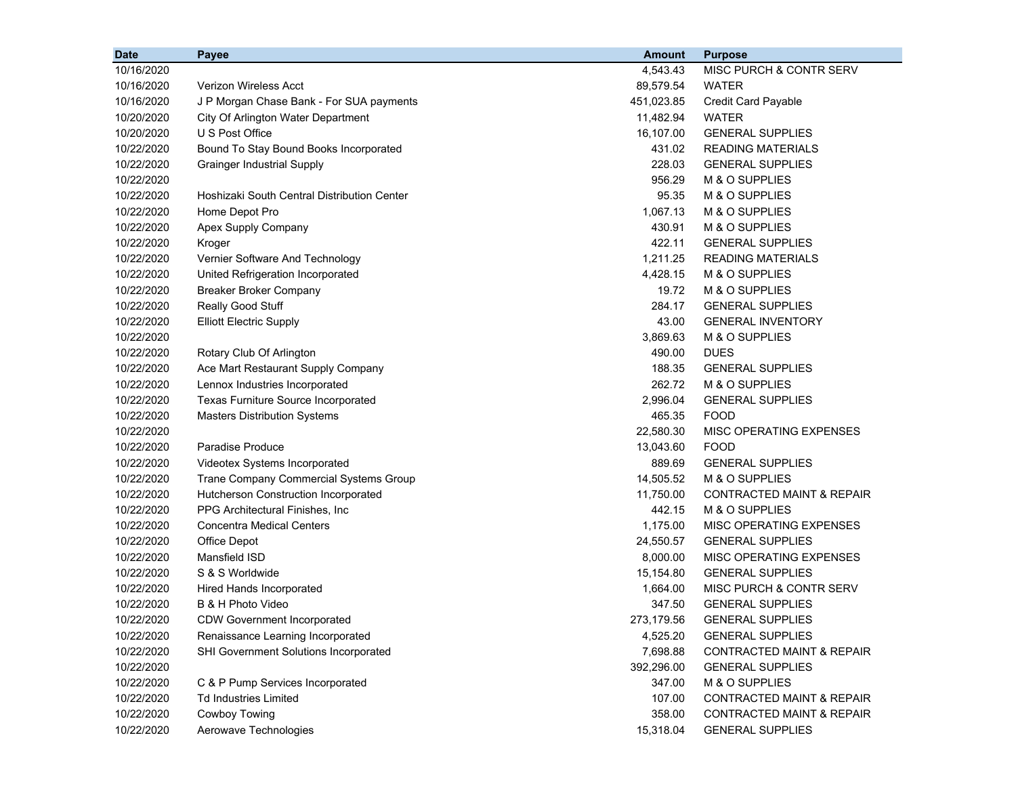| <b>Date</b> | <b>Payee</b>                                | <b>Amount</b> | <b>Purpose</b>                       |
|-------------|---------------------------------------------|---------------|--------------------------------------|
| 10/16/2020  |                                             | 4,543.43      | MISC PURCH & CONTR SERV              |
| 10/16/2020  | <b>Verizon Wireless Acct</b>                | 89,579.54     | <b>WATER</b>                         |
| 10/16/2020  | J P Morgan Chase Bank - For SUA payments    | 451,023.85    | <b>Credit Card Payable</b>           |
| 10/20/2020  | City Of Arlington Water Department          | 11,482.94     | <b>WATER</b>                         |
| 10/20/2020  | U S Post Office                             | 16,107.00     | <b>GENERAL SUPPLIES</b>              |
| 10/22/2020  | Bound To Stay Bound Books Incorporated      | 431.02        | <b>READING MATERIALS</b>             |
| 10/22/2020  | <b>Grainger Industrial Supply</b>           | 228.03        | <b>GENERAL SUPPLIES</b>              |
| 10/22/2020  |                                             | 956.29        | M & O SUPPLIES                       |
| 10/22/2020  | Hoshizaki South Central Distribution Center | 95.35         | M & O SUPPLIES                       |
| 10/22/2020  | Home Depot Pro                              | 1,067.13      | M & O SUPPLIES                       |
| 10/22/2020  | Apex Supply Company                         | 430.91        | M & O SUPPLIES                       |
| 10/22/2020  | Kroger                                      | 422.11        | <b>GENERAL SUPPLIES</b>              |
| 10/22/2020  | Vernier Software And Technology             | 1,211.25      | <b>READING MATERIALS</b>             |
| 10/22/2020  | United Refrigeration Incorporated           | 4,428.15      | M & O SUPPLIES                       |
| 10/22/2020  | <b>Breaker Broker Company</b>               | 19.72         | M & O SUPPLIES                       |
| 10/22/2020  | Really Good Stuff                           | 284.17        | <b>GENERAL SUPPLIES</b>              |
| 10/22/2020  | <b>Elliott Electric Supply</b>              | 43.00         | <b>GENERAL INVENTORY</b>             |
| 10/22/2020  |                                             | 3,869.63      | M & O SUPPLIES                       |
| 10/22/2020  | Rotary Club Of Arlington                    | 490.00        | <b>DUES</b>                          |
| 10/22/2020  | Ace Mart Restaurant Supply Company          | 188.35        | <b>GENERAL SUPPLIES</b>              |
| 10/22/2020  | Lennox Industries Incorporated              | 262.72        | M & O SUPPLIES                       |
| 10/22/2020  | Texas Furniture Source Incorporated         | 2,996.04      | <b>GENERAL SUPPLIES</b>              |
| 10/22/2020  | <b>Masters Distribution Systems</b>         | 465.35        | <b>FOOD</b>                          |
| 10/22/2020  |                                             | 22,580.30     | MISC OPERATING EXPENSES              |
| 10/22/2020  | <b>Paradise Produce</b>                     | 13,043.60     | <b>FOOD</b>                          |
| 10/22/2020  | Videotex Systems Incorporated               | 889.69        | <b>GENERAL SUPPLIES</b>              |
| 10/22/2020  | Trane Company Commercial Systems Group      | 14,505.52     | M & O SUPPLIES                       |
| 10/22/2020  | Hutcherson Construction Incorporated        | 11,750.00     | CONTRACTED MAINT & REPAIR            |
| 10/22/2020  | PPG Architectural Finishes, Inc             | 442.15        | M & O SUPPLIES                       |
| 10/22/2020  | <b>Concentra Medical Centers</b>            | 1,175.00      | MISC OPERATING EXPENSES              |
| 10/22/2020  | Office Depot                                | 24,550.57     | <b>GENERAL SUPPLIES</b>              |
| 10/22/2020  | Mansfield ISD                               | 8,000.00      | MISC OPERATING EXPENSES              |
| 10/22/2020  | S & S Worldwide                             | 15,154.80     | <b>GENERAL SUPPLIES</b>              |
| 10/22/2020  | Hired Hands Incorporated                    | 1,664.00      | MISC PURCH & CONTR SERV              |
| 10/22/2020  | B & H Photo Video                           | 347.50        | <b>GENERAL SUPPLIES</b>              |
| 10/22/2020  | <b>CDW Government Incorporated</b>          | 273,179.56    | <b>GENERAL SUPPLIES</b>              |
| 10/22/2020  | Renaissance Learning Incorporated           | 4,525.20      | <b>GENERAL SUPPLIES</b>              |
| 10/22/2020  | SHI Government Solutions Incorporated       | 7,698.88      | <b>CONTRACTED MAINT &amp; REPAIR</b> |
| 10/22/2020  |                                             | 392,296.00    | <b>GENERAL SUPPLIES</b>              |
| 10/22/2020  | C & P Pump Services Incorporated            | 347.00        | M & O SUPPLIES                       |
| 10/22/2020  | <b>Td Industries Limited</b>                | 107.00        | <b>CONTRACTED MAINT &amp; REPAIR</b> |
| 10/22/2020  | Cowboy Towing                               | 358.00        | <b>CONTRACTED MAINT &amp; REPAIR</b> |
| 10/22/2020  | Aerowave Technologies                       | 15,318.04     | <b>GENERAL SUPPLIES</b>              |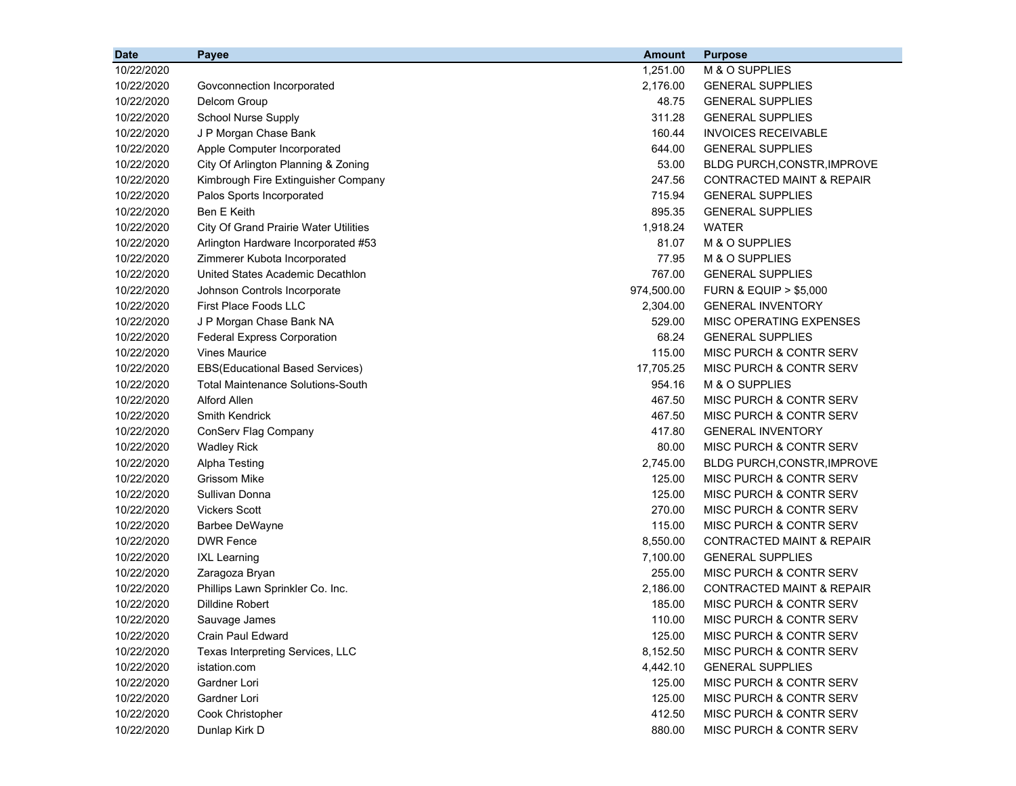| <b>Date</b> | Payee                                        | <b>Amount</b> | <b>Purpose</b>                       |
|-------------|----------------------------------------------|---------------|--------------------------------------|
| 10/22/2020  |                                              | 1,251.00      | M & O SUPPLIES                       |
| 10/22/2020  | Govconnection Incorporated                   | 2,176.00      | <b>GENERAL SUPPLIES</b>              |
| 10/22/2020  | Delcom Group                                 | 48.75         | <b>GENERAL SUPPLIES</b>              |
| 10/22/2020  | <b>School Nurse Supply</b>                   | 311.28        | <b>GENERAL SUPPLIES</b>              |
| 10/22/2020  | J P Morgan Chase Bank                        | 160.44        | <b>INVOICES RECEIVABLE</b>           |
| 10/22/2020  | Apple Computer Incorporated                  | 644.00        | <b>GENERAL SUPPLIES</b>              |
| 10/22/2020  | City Of Arlington Planning & Zoning          | 53.00         | <b>BLDG PURCH, CONSTR, IMPROVE</b>   |
| 10/22/2020  | Kimbrough Fire Extinguisher Company          | 247.56        | <b>CONTRACTED MAINT &amp; REPAIR</b> |
| 10/22/2020  | Palos Sports Incorporated                    | 715.94        | <b>GENERAL SUPPLIES</b>              |
| 10/22/2020  | Ben E Keith                                  | 895.35        | <b>GENERAL SUPPLIES</b>              |
| 10/22/2020  | <b>City Of Grand Prairie Water Utilities</b> | 1,918.24      | <b>WATER</b>                         |
| 10/22/2020  | Arlington Hardware Incorporated #53          | 81.07         | M & O SUPPLIES                       |
| 10/22/2020  | Zimmerer Kubota Incorporated                 | 77.95         | M & O SUPPLIES                       |
| 10/22/2020  | United States Academic Decathlon             | 767.00        | <b>GENERAL SUPPLIES</b>              |
| 10/22/2020  | Johnson Controls Incorporate                 | 974,500.00    | <b>FURN &amp; EQUIP &gt; \$5,000</b> |
| 10/22/2020  | First Place Foods LLC                        | 2,304.00      | <b>GENERAL INVENTORY</b>             |
| 10/22/2020  | J P Morgan Chase Bank NA                     | 529.00        | MISC OPERATING EXPENSES              |
| 10/22/2020  | <b>Federal Express Corporation</b>           | 68.24         | <b>GENERAL SUPPLIES</b>              |
| 10/22/2020  | <b>Vines Maurice</b>                         | 115.00        | MISC PURCH & CONTR SERV              |
| 10/22/2020  | EBS(Educational Based Services)              | 17,705.25     | MISC PURCH & CONTR SERV              |
| 10/22/2020  | <b>Total Maintenance Solutions-South</b>     | 954.16        | M & O SUPPLIES                       |
| 10/22/2020  | Alford Allen                                 | 467.50        | <b>MISC PURCH &amp; CONTR SERV</b>   |
| 10/22/2020  | <b>Smith Kendrick</b>                        | 467.50        | MISC PURCH & CONTR SERV              |
| 10/22/2020  | ConServ Flag Company                         | 417.80        | <b>GENERAL INVENTORY</b>             |
| 10/22/2020  | <b>Wadley Rick</b>                           | 80.00         | MISC PURCH & CONTR SERV              |
| 10/22/2020  | Alpha Testing                                | 2,745.00      | <b>BLDG PURCH, CONSTR, IMPROVE</b>   |
| 10/22/2020  | <b>Grissom Mike</b>                          | 125.00        | MISC PURCH & CONTR SERV              |
| 10/22/2020  | Sullivan Donna                               | 125.00        | MISC PURCH & CONTR SERV              |
| 10/22/2020  | <b>Vickers Scott</b>                         | 270.00        | MISC PURCH & CONTR SERV              |
| 10/22/2020  | <b>Barbee DeWayne</b>                        | 115.00        | MISC PURCH & CONTR SERV              |
| 10/22/2020  | <b>DWR Fence</b>                             | 8,550.00      | <b>CONTRACTED MAINT &amp; REPAIR</b> |
| 10/22/2020  | <b>IXL Learning</b>                          | 7,100.00      | <b>GENERAL SUPPLIES</b>              |
| 10/22/2020  | Zaragoza Bryan                               | 255.00        | MISC PURCH & CONTR SERV              |
| 10/22/2020  | Phillips Lawn Sprinkler Co. Inc.             | 2,186.00      | <b>CONTRACTED MAINT &amp; REPAIR</b> |
| 10/22/2020  | Dilldine Robert                              | 185.00        | MISC PURCH & CONTR SERV              |
| 10/22/2020  | Sauvage James                                | 110.00        | MISC PURCH & CONTR SERV              |
| 10/22/2020  | <b>Crain Paul Edward</b>                     | 125.00        | MISC PURCH & CONTR SERV              |
| 10/22/2020  | Texas Interpreting Services, LLC             | 8,152.50      | MISC PURCH & CONTR SERV              |
| 10/22/2020  | istation.com                                 | 4,442.10      | <b>GENERAL SUPPLIES</b>              |
| 10/22/2020  | Gardner Lori                                 | 125.00        | MISC PURCH & CONTR SERV              |
| 10/22/2020  | Gardner Lori                                 | 125.00        | MISC PURCH & CONTR SERV              |
| 10/22/2020  | Cook Christopher                             | 412.50        | MISC PURCH & CONTR SERV              |
| 10/22/2020  | Dunlap Kirk D                                | 880.00        | MISC PURCH & CONTR SERV              |
|             |                                              |               |                                      |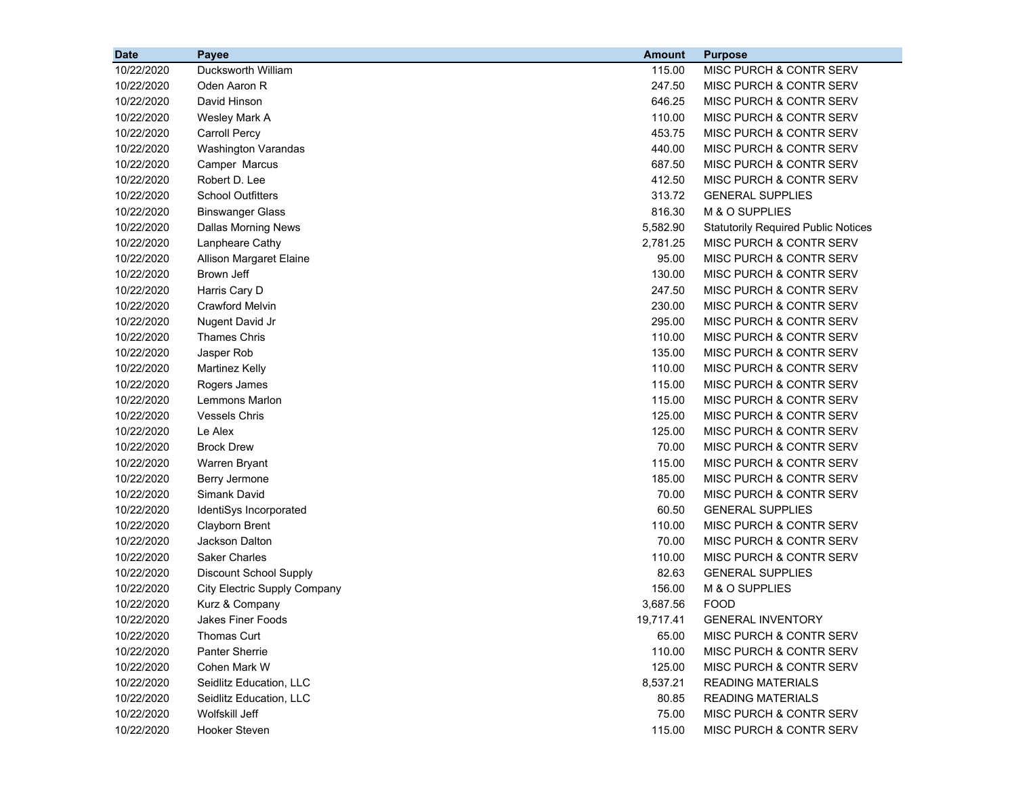| <b>Date</b> | Payee                         | <b>Amount</b> | <b>Purpose</b>                             |
|-------------|-------------------------------|---------------|--------------------------------------------|
| 10/22/2020  | Ducksworth William            | 115.00        | MISC PURCH & CONTR SERV                    |
| 10/22/2020  | Oden Aaron R                  | 247.50        | MISC PURCH & CONTR SERV                    |
| 10/22/2020  | David Hinson                  | 646.25        | MISC PURCH & CONTR SERV                    |
| 10/22/2020  | Wesley Mark A                 | 110.00        | MISC PURCH & CONTR SERV                    |
| 10/22/2020  | <b>Carroll Percy</b>          | 453.75        | MISC PURCH & CONTR SERV                    |
| 10/22/2020  | <b>Washington Varandas</b>    | 440.00        | MISC PURCH & CONTR SERV                    |
| 10/22/2020  | Camper Marcus                 | 687.50        | MISC PURCH & CONTR SERV                    |
| 10/22/2020  | Robert D. Lee                 | 412.50        | MISC PURCH & CONTR SERV                    |
| 10/22/2020  | <b>School Outfitters</b>      | 313.72        | <b>GENERAL SUPPLIES</b>                    |
| 10/22/2020  | <b>Binswanger Glass</b>       | 816.30        | M & O SUPPLIES                             |
| 10/22/2020  | Dallas Morning News           | 5,582.90      | <b>Statutorily Required Public Notices</b> |
| 10/22/2020  | Lanpheare Cathy               | 2,781.25      | MISC PURCH & CONTR SERV                    |
| 10/22/2020  | Allison Margaret Elaine       | 95.00         | MISC PURCH & CONTR SERV                    |
| 10/22/2020  | Brown Jeff                    | 130.00        | <b>MISC PURCH &amp; CONTR SERV</b>         |
| 10/22/2020  | Harris Cary D                 | 247.50        | MISC PURCH & CONTR SERV                    |
| 10/22/2020  | <b>Crawford Melvin</b>        | 230.00        | <b>MISC PURCH &amp; CONTR SERV</b>         |
| 10/22/2020  | Nugent David Jr               | 295.00        | MISC PURCH & CONTR SERV                    |
| 10/22/2020  | <b>Thames Chris</b>           | 110.00        | MISC PURCH & CONTR SERV                    |
| 10/22/2020  | Jasper Rob                    | 135.00        | MISC PURCH & CONTR SERV                    |
| 10/22/2020  | <b>Martinez Kelly</b>         | 110.00        | MISC PURCH & CONTR SERV                    |
| 10/22/2020  | Rogers James                  | 115.00        | MISC PURCH & CONTR SERV                    |
| 10/22/2020  | Lemmons Marlon                | 115.00        | <b>MISC PURCH &amp; CONTR SERV</b>         |
| 10/22/2020  | <b>Vessels Chris</b>          | 125.00        | MISC PURCH & CONTR SERV                    |
| 10/22/2020  | Le Alex                       | 125.00        | MISC PURCH & CONTR SERV                    |
| 10/22/2020  | <b>Brock Drew</b>             | 70.00         | MISC PURCH & CONTR SERV                    |
| 10/22/2020  | Warren Bryant                 | 115.00        | MISC PURCH & CONTR SERV                    |
| 10/22/2020  | Berry Jermone                 | 185.00        | MISC PURCH & CONTR SERV                    |
| 10/22/2020  | Simank David                  | 70.00         | MISC PURCH & CONTR SERV                    |
| 10/22/2020  | IdentiSys Incorporated        | 60.50         | <b>GENERAL SUPPLIES</b>                    |
| 10/22/2020  | Clayborn Brent                | 110.00        | MISC PURCH & CONTR SERV                    |
| 10/22/2020  | Jackson Dalton                | 70.00         | MISC PURCH & CONTR SERV                    |
| 10/22/2020  | <b>Saker Charles</b>          | 110.00        | <b>MISC PURCH &amp; CONTR SERV</b>         |
| 10/22/2020  | <b>Discount School Supply</b> | 82.63         | <b>GENERAL SUPPLIES</b>                    |
| 10/22/2020  | City Electric Supply Company  | 156.00        | M & O SUPPLIES                             |
| 10/22/2020  | Kurz & Company                | 3,687.56      | <b>FOOD</b>                                |
| 10/22/2020  | Jakes Finer Foods             | 19,717.41     | <b>GENERAL INVENTORY</b>                   |
| 10/22/2020  | Thomas Curt                   | 65.00         | MISC PURCH & CONTR SERV                    |
| 10/22/2020  | <b>Panter Sherrie</b>         | 110.00        | MISC PURCH & CONTR SERV                    |
| 10/22/2020  | Cohen Mark W                  | 125.00        | MISC PURCH & CONTR SERV                    |
| 10/22/2020  | Seidlitz Education, LLC       | 8,537.21      | <b>READING MATERIALS</b>                   |
| 10/22/2020  | Seidlitz Education, LLC       | 80.85         | <b>READING MATERIALS</b>                   |
| 10/22/2020  | Wolfskill Jeff                | 75.00         | MISC PURCH & CONTR SERV                    |
| 10/22/2020  | Hooker Steven                 | 115.00        | MISC PURCH & CONTR SERV                    |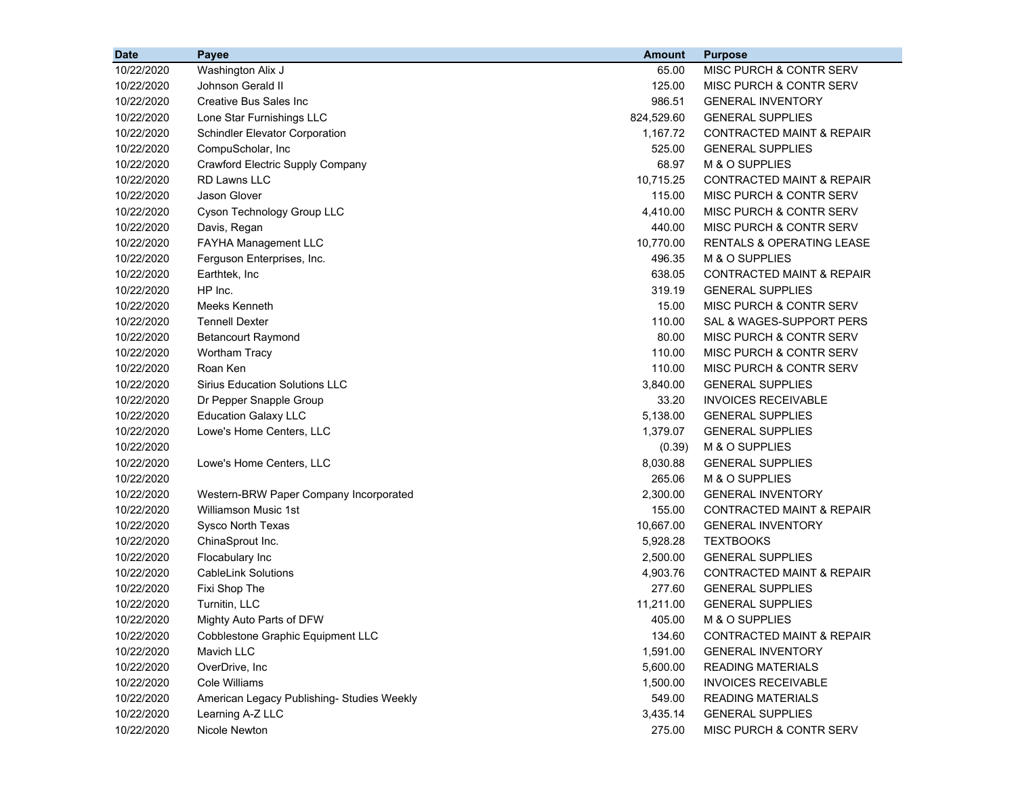| <b>Date</b> | Payee                                      | <b>Amount</b> | <b>Purpose</b>                       |
|-------------|--------------------------------------------|---------------|--------------------------------------|
| 10/22/2020  | Washington Alix J                          | 65.00         | MISC PURCH & CONTR SERV              |
| 10/22/2020  | Johnson Gerald II                          | 125.00        | MISC PURCH & CONTR SERV              |
| 10/22/2020  | Creative Bus Sales Inc                     | 986.51        | <b>GENERAL INVENTORY</b>             |
| 10/22/2020  | Lone Star Furnishings LLC                  | 824,529.60    | <b>GENERAL SUPPLIES</b>              |
| 10/22/2020  | Schindler Elevator Corporation             | 1,167.72      | <b>CONTRACTED MAINT &amp; REPAIR</b> |
| 10/22/2020  | CompuScholar, Inc                          | 525.00        | <b>GENERAL SUPPLIES</b>              |
| 10/22/2020  | Crawford Electric Supply Company           | 68.97         | M & O SUPPLIES                       |
| 10/22/2020  | <b>RD Lawns LLC</b>                        | 10,715.25     | <b>CONTRACTED MAINT &amp; REPAIR</b> |
| 10/22/2020  | Jason Glover                               | 115.00        | MISC PURCH & CONTR SERV              |
| 10/22/2020  | Cyson Technology Group LLC                 | 4,410.00      | <b>MISC PURCH &amp; CONTR SERV</b>   |
| 10/22/2020  | Davis, Regan                               | 440.00        | MISC PURCH & CONTR SERV              |
| 10/22/2020  | FAYHA Management LLC                       | 10,770.00     | <b>RENTALS &amp; OPERATING LEASE</b> |
| 10/22/2020  | Ferguson Enterprises, Inc.                 | 496.35        | M & O SUPPLIES                       |
| 10/22/2020  | Earthtek, Inc                              | 638.05        | <b>CONTRACTED MAINT &amp; REPAIR</b> |
| 10/22/2020  | HP Inc.                                    | 319.19        | <b>GENERAL SUPPLIES</b>              |
| 10/22/2020  | Meeks Kenneth                              | 15.00         | <b>MISC PURCH &amp; CONTR SERV</b>   |
| 10/22/2020  | <b>Tennell Dexter</b>                      | 110.00        | SAL & WAGES-SUPPORT PERS             |
| 10/22/2020  | <b>Betancourt Raymond</b>                  | 80.00         | <b>MISC PURCH &amp; CONTR SERV</b>   |
| 10/22/2020  | <b>Wortham Tracy</b>                       | 110.00        | MISC PURCH & CONTR SERV              |
| 10/22/2020  | Roan Ken                                   | 110.00        | MISC PURCH & CONTR SERV              |
| 10/22/2020  | <b>Sirius Education Solutions LLC</b>      | 3,840.00      | <b>GENERAL SUPPLIES</b>              |
| 10/22/2020  | Dr Pepper Snapple Group                    | 33.20         | <b>INVOICES RECEIVABLE</b>           |
| 10/22/2020  | <b>Education Galaxy LLC</b>                | 5,138.00      | <b>GENERAL SUPPLIES</b>              |
| 10/22/2020  | Lowe's Home Centers, LLC                   | 1,379.07      | <b>GENERAL SUPPLIES</b>              |
| 10/22/2020  |                                            | (0.39)        | M & O SUPPLIES                       |
| 10/22/2020  | Lowe's Home Centers, LLC                   | 8,030.88      | <b>GENERAL SUPPLIES</b>              |
| 10/22/2020  |                                            | 265.06        | M & O SUPPLIES                       |
| 10/22/2020  | Western-BRW Paper Company Incorporated     | 2,300.00      | <b>GENERAL INVENTORY</b>             |
| 10/22/2020  | <b>Williamson Music 1st</b>                | 155.00        | <b>CONTRACTED MAINT &amp; REPAIR</b> |
| 10/22/2020  | Sysco North Texas                          | 10,667.00     | <b>GENERAL INVENTORY</b>             |
| 10/22/2020  | ChinaSprout Inc.                           | 5,928.28      | <b>TEXTBOOKS</b>                     |
| 10/22/2020  | Flocabulary Inc                            | 2,500.00      | <b>GENERAL SUPPLIES</b>              |
| 10/22/2020  | <b>CableLink Solutions</b>                 | 4,903.76      | <b>CONTRACTED MAINT &amp; REPAIR</b> |
| 10/22/2020  | Fixi Shop The                              | 277.60        | <b>GENERAL SUPPLIES</b>              |
| 10/22/2020  | Turnitin, LLC                              | 11,211.00     | <b>GENERAL SUPPLIES</b>              |
| 10/22/2020  | Mighty Auto Parts of DFW                   | 405.00        | M & O SUPPLIES                       |
| 10/22/2020  | Cobblestone Graphic Equipment LLC          | 134.60        | CONTRACTED MAINT & REPAIR            |
| 10/22/2020  | Mavich LLC                                 | 1,591.00      | <b>GENERAL INVENTORY</b>             |
| 10/22/2020  | OverDrive, Inc                             | 5,600.00      | <b>READING MATERIALS</b>             |
| 10/22/2020  | Cole Williams                              | 1,500.00      | <b>INVOICES RECEIVABLE</b>           |
| 10/22/2020  | American Legacy Publishing- Studies Weekly | 549.00        | <b>READING MATERIALS</b>             |
| 10/22/2020  | Learning A-Z LLC                           | 3,435.14      | <b>GENERAL SUPPLIES</b>              |
| 10/22/2020  | Nicole Newton                              | 275.00        | MISC PURCH & CONTR SERV              |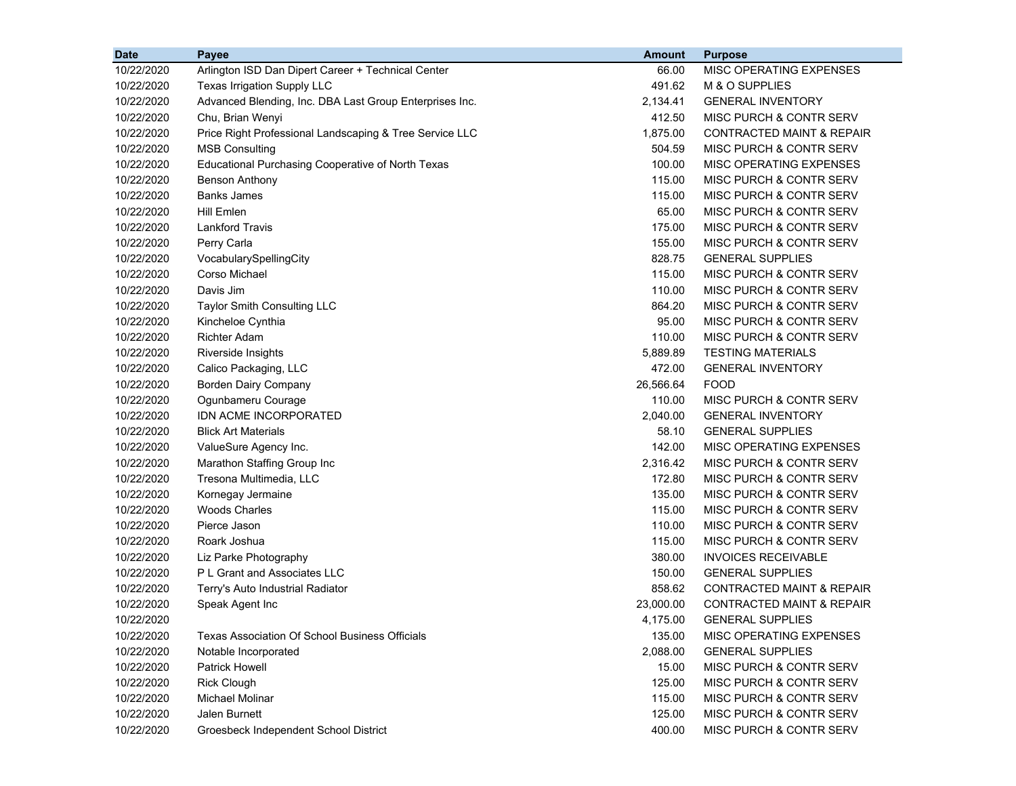| <b>Date</b> | Payee                                                   | <b>Amount</b> | <b>Purpose</b>                       |
|-------------|---------------------------------------------------------|---------------|--------------------------------------|
| 10/22/2020  | Arlington ISD Dan Dipert Career + Technical Center      | 66.00         | MISC OPERATING EXPENSES              |
| 10/22/2020  | Texas Irrigation Supply LLC                             | 491.62        | M & O SUPPLIES                       |
| 10/22/2020  | Advanced Blending, Inc. DBA Last Group Enterprises Inc. | 2,134.41      | <b>GENERAL INVENTORY</b>             |
| 10/22/2020  | Chu, Brian Wenyi                                        | 412.50        | MISC PURCH & CONTR SERV              |
| 10/22/2020  | Price Right Professional Landscaping & Tree Service LLC | 1,875.00      | <b>CONTRACTED MAINT &amp; REPAIR</b> |
| 10/22/2020  | <b>MSB Consulting</b>                                   | 504.59        | MISC PURCH & CONTR SERV              |
| 10/22/2020  | Educational Purchasing Cooperative of North Texas       | 100.00        | MISC OPERATING EXPENSES              |
| 10/22/2020  | <b>Benson Anthony</b>                                   | 115.00        | MISC PURCH & CONTR SERV              |
| 10/22/2020  | <b>Banks James</b>                                      | 115.00        | MISC PURCH & CONTR SERV              |
| 10/22/2020  | <b>Hill Emlen</b>                                       | 65.00         | MISC PURCH & CONTR SERV              |
| 10/22/2020  | <b>Lankford Travis</b>                                  | 175.00        | MISC PURCH & CONTR SERV              |
| 10/22/2020  | Perry Carla                                             | 155.00        | MISC PURCH & CONTR SERV              |
| 10/22/2020  | VocabularySpellingCity                                  | 828.75        | <b>GENERAL SUPPLIES</b>              |
| 10/22/2020  | Corso Michael                                           | 115.00        | MISC PURCH & CONTR SERV              |
| 10/22/2020  | Davis Jim                                               | 110.00        | MISC PURCH & CONTR SERV              |
| 10/22/2020  | <b>Taylor Smith Consulting LLC</b>                      | 864.20        | MISC PURCH & CONTR SERV              |
| 10/22/2020  | Kincheloe Cynthia                                       | 95.00         | MISC PURCH & CONTR SERV              |
| 10/22/2020  | <b>Richter Adam</b>                                     | 110.00        | MISC PURCH & CONTR SERV              |
| 10/22/2020  | Riverside Insights                                      | 5,889.89      | <b>TESTING MATERIALS</b>             |
| 10/22/2020  | Calico Packaging, LLC                                   | 472.00        | <b>GENERAL INVENTORY</b>             |
| 10/22/2020  | <b>Borden Dairy Company</b>                             | 26,566.64     | <b>FOOD</b>                          |
| 10/22/2020  | Ogunbameru Courage                                      | 110.00        | MISC PURCH & CONTR SERV              |
| 10/22/2020  | IDN ACME INCORPORATED                                   | 2,040.00      | <b>GENERAL INVENTORY</b>             |
| 10/22/2020  | <b>Blick Art Materials</b>                              | 58.10         | <b>GENERAL SUPPLIES</b>              |
| 10/22/2020  | ValueSure Agency Inc.                                   | 142.00        | MISC OPERATING EXPENSES              |
| 10/22/2020  | Marathon Staffing Group Inc                             | 2,316.42      | MISC PURCH & CONTR SERV              |
| 10/22/2020  | Tresona Multimedia, LLC                                 | 172.80        | MISC PURCH & CONTR SERV              |
| 10/22/2020  | Kornegay Jermaine                                       | 135.00        | MISC PURCH & CONTR SERV              |
| 10/22/2020  | <b>Woods Charles</b>                                    | 115.00        | MISC PURCH & CONTR SERV              |
| 10/22/2020  | Pierce Jason                                            | 110.00        | MISC PURCH & CONTR SERV              |
| 10/22/2020  | Roark Joshua                                            | 115.00        | MISC PURCH & CONTR SERV              |
| 10/22/2020  | Liz Parke Photography                                   | 380.00        | <b>INVOICES RECEIVABLE</b>           |
| 10/22/2020  | P L Grant and Associates LLC                            | 150.00        | <b>GENERAL SUPPLIES</b>              |
| 10/22/2020  | Terry's Auto Industrial Radiator                        | 858.62        | <b>CONTRACTED MAINT &amp; REPAIR</b> |
| 10/22/2020  | Speak Agent Inc                                         | 23,000.00     | CONTRACTED MAINT & REPAIR            |
| 10/22/2020  |                                                         | 4,175.00      | <b>GENERAL SUPPLIES</b>              |
| 10/22/2020  | <b>Texas Association Of School Business Officials</b>   | 135.00        | MISC OPERATING EXPENSES              |
| 10/22/2020  | Notable Incorporated                                    | 2,088.00      | <b>GENERAL SUPPLIES</b>              |
| 10/22/2020  | <b>Patrick Howell</b>                                   | 15.00         | MISC PURCH & CONTR SERV              |
| 10/22/2020  | <b>Rick Clough</b>                                      | 125.00        | MISC PURCH & CONTR SERV              |
| 10/22/2020  | <b>Michael Molinar</b>                                  | 115.00        | MISC PURCH & CONTR SERV              |
| 10/22/2020  | <b>Jalen Burnett</b>                                    | 125.00        | MISC PURCH & CONTR SERV              |
| 10/22/2020  | Groesbeck Independent School District                   | 400.00        | MISC PURCH & CONTR SERV              |
|             |                                                         |               |                                      |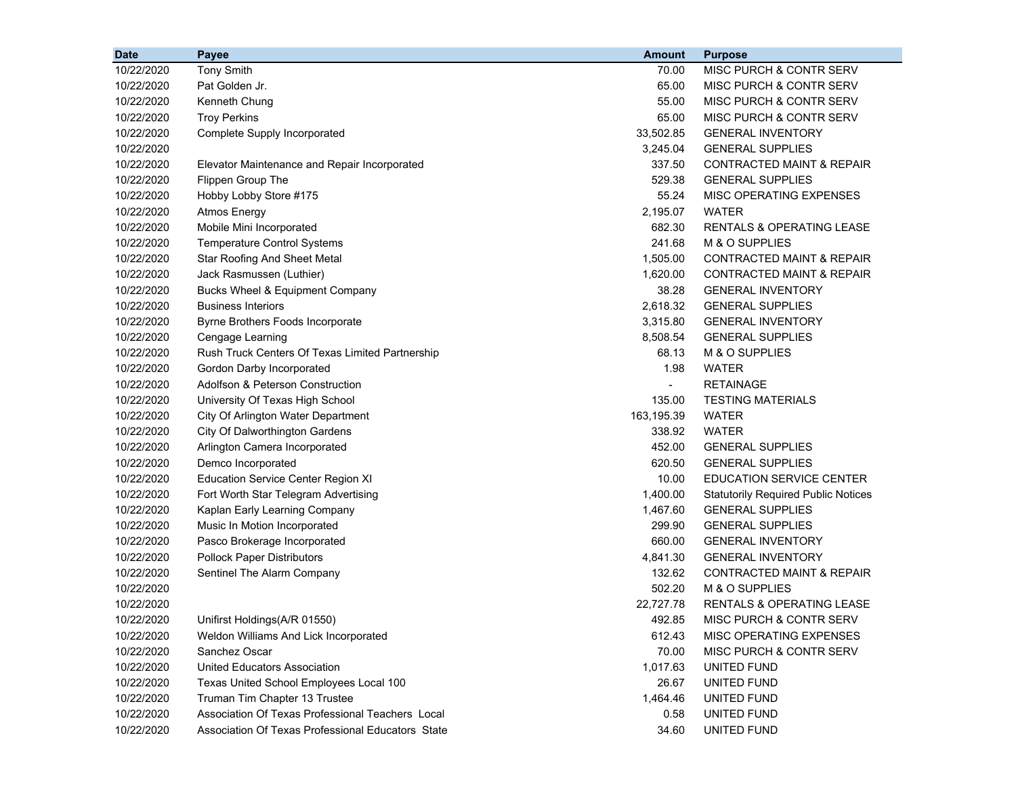| <b>Date</b> | Payee                                             | <b>Amount</b>  | <b>Purpose</b>                             |
|-------------|---------------------------------------------------|----------------|--------------------------------------------|
| 10/22/2020  | <b>Tony Smith</b>                                 | 70.00          | MISC PURCH & CONTR SERV                    |
| 10/22/2020  | Pat Golden Jr.                                    | 65.00          | MISC PURCH & CONTR SERV                    |
| 10/22/2020  | Kenneth Chung                                     | 55.00          | MISC PURCH & CONTR SERV                    |
| 10/22/2020  | <b>Troy Perkins</b>                               | 65.00          | <b>MISC PURCH &amp; CONTR SERV</b>         |
| 10/22/2020  | Complete Supply Incorporated                      | 33,502.85      | <b>GENERAL INVENTORY</b>                   |
| 10/22/2020  |                                                   | 3,245.04       | <b>GENERAL SUPPLIES</b>                    |
| 10/22/2020  | Elevator Maintenance and Repair Incorporated      | 337.50         | CONTRACTED MAINT & REPAIR                  |
| 10/22/2020  | Flippen Group The                                 | 529.38         | <b>GENERAL SUPPLIES</b>                    |
| 10/22/2020  | Hobby Lobby Store #175                            | 55.24          | MISC OPERATING EXPENSES                    |
| 10/22/2020  | <b>Atmos Energy</b>                               | 2,195.07       | <b>WATER</b>                               |
| 10/22/2020  | Mobile Mini Incorporated                          | 682.30         | <b>RENTALS &amp; OPERATING LEASE</b>       |
| 10/22/2020  | <b>Temperature Control Systems</b>                | 241.68         | M & O SUPPLIES                             |
| 10/22/2020  | <b>Star Roofing And Sheet Metal</b>               | 1,505.00       | <b>CONTRACTED MAINT &amp; REPAIR</b>       |
| 10/22/2020  | Jack Rasmussen (Luthier)                          | 1,620.00       | <b>CONTRACTED MAINT &amp; REPAIR</b>       |
| 10/22/2020  | Bucks Wheel & Equipment Company                   | 38.28          | <b>GENERAL INVENTORY</b>                   |
| 10/22/2020  | <b>Business Interiors</b>                         | 2,618.32       | <b>GENERAL SUPPLIES</b>                    |
| 10/22/2020  | Byrne Brothers Foods Incorporate                  | 3,315.80       | <b>GENERAL INVENTORY</b>                   |
| 10/22/2020  | Cengage Learning                                  | 8,508.54       | <b>GENERAL SUPPLIES</b>                    |
| 10/22/2020  | Rush Truck Centers Of Texas Limited Partnership   | 68.13          | M & O SUPPLIES                             |
| 10/22/2020  | Gordon Darby Incorporated                         | 1.98           | <b>WATER</b>                               |
| 10/22/2020  | Adolfson & Peterson Construction                  | $\blacksquare$ | <b>RETAINAGE</b>                           |
| 10/22/2020  | University Of Texas High School                   | 135.00         | <b>TESTING MATERIALS</b>                   |
| 10/22/2020  | City Of Arlington Water Department                | 163,195.39     | WATER                                      |
| 10/22/2020  | City Of Dalworthington Gardens                    | 338.92         | <b>WATER</b>                               |
| 10/22/2020  | Arlington Camera Incorporated                     | 452.00         | <b>GENERAL SUPPLIES</b>                    |
| 10/22/2020  | Demco Incorporated                                | 620.50         | <b>GENERAL SUPPLIES</b>                    |
| 10/22/2020  | <b>Education Service Center Region XI</b>         | 10.00          | <b>EDUCATION SERVICE CENTER</b>            |
| 10/22/2020  | Fort Worth Star Telegram Advertising              | 1,400.00       | <b>Statutorily Required Public Notices</b> |
| 10/22/2020  | Kaplan Early Learning Company                     | 1,467.60       | <b>GENERAL SUPPLIES</b>                    |
| 10/22/2020  | Music In Motion Incorporated                      | 299.90         | <b>GENERAL SUPPLIES</b>                    |
| 10/22/2020  | Pasco Brokerage Incorporated                      | 660.00         | <b>GENERAL INVENTORY</b>                   |
| 10/22/2020  | <b>Pollock Paper Distributors</b>                 | 4,841.30       | <b>GENERAL INVENTORY</b>                   |
| 10/22/2020  | Sentinel The Alarm Company                        | 132.62         | <b>CONTRACTED MAINT &amp; REPAIR</b>       |
| 10/22/2020  |                                                   | 502.20         | M & O SUPPLIES                             |
| 10/22/2020  |                                                   | 22,727.78      | <b>RENTALS &amp; OPERATING LEASE</b>       |
| 10/22/2020  | Unifirst Holdings (A/R 01550)                     | 492.85         | MISC PURCH & CONTR SERV                    |
| 10/22/2020  | Weldon Williams And Lick Incorporated             | 612.43         | MISC OPERATING EXPENSES                    |
| 10/22/2020  | Sanchez Oscar                                     | 70.00          | <b>MISC PURCH &amp; CONTR SERV</b>         |
| 10/22/2020  | <b>United Educators Association</b>               | 1,017.63       | <b>UNITED FUND</b>                         |
| 10/22/2020  | Texas United School Employees Local 100           | 26.67          | UNITED FUND                                |
| 10/22/2020  | Truman Tim Chapter 13 Trustee                     | 1,464.46       | UNITED FUND                                |
| 10/22/2020  | Association Of Texas Professional Teachers Local  | 0.58           | UNITED FUND                                |
| 10/22/2020  | Association Of Texas Professional Educators State | 34.60          | UNITED FUND                                |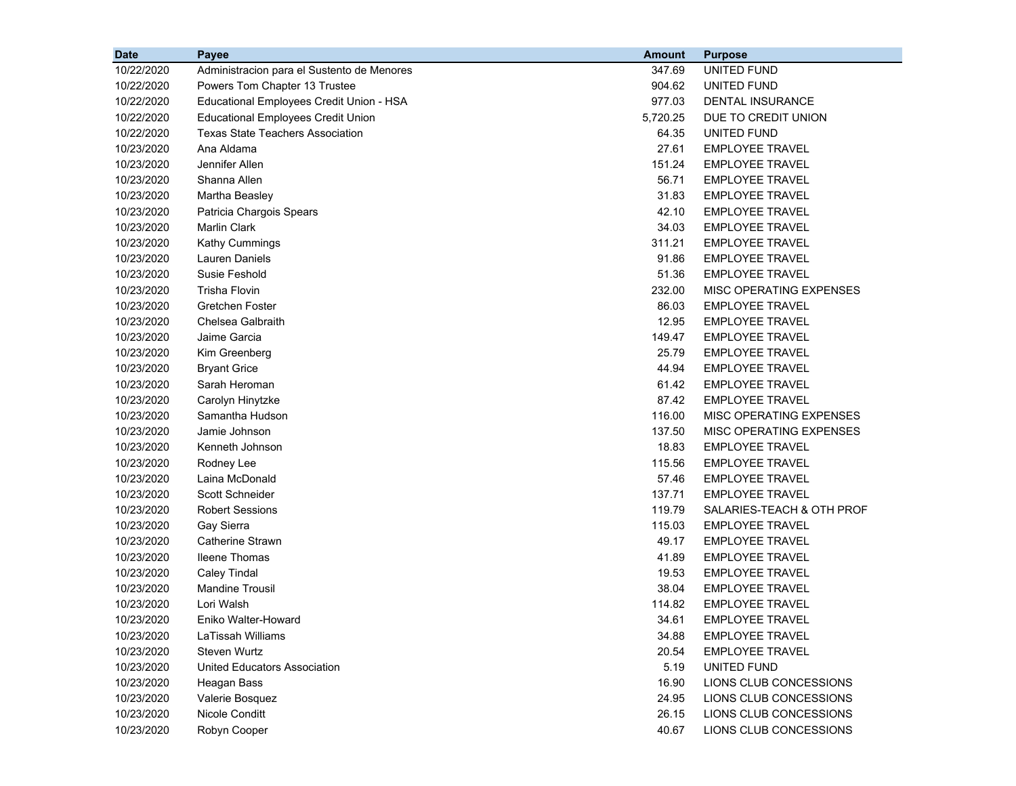| <b>Date</b> | Payee                                      | <b>Amount</b> | <b>Purpose</b>            |
|-------------|--------------------------------------------|---------------|---------------------------|
| 10/22/2020  | Administracion para el Sustento de Menores | 347.69        | <b>UNITED FUND</b>        |
| 10/22/2020  | Powers Tom Chapter 13 Trustee              | 904.62        | UNITED FUND               |
| 10/22/2020  | Educational Employees Credit Union - HSA   | 977.03        | <b>DENTAL INSURANCE</b>   |
| 10/22/2020  | <b>Educational Employees Credit Union</b>  | 5,720.25      | DUE TO CREDIT UNION       |
| 10/22/2020  | <b>Texas State Teachers Association</b>    | 64.35         | UNITED FUND               |
| 10/23/2020  | Ana Aldama                                 | 27.61         | <b>EMPLOYEE TRAVEL</b>    |
| 10/23/2020  | Jennifer Allen                             | 151.24        | <b>EMPLOYEE TRAVEL</b>    |
| 10/23/2020  | Shanna Allen                               | 56.71         | <b>EMPLOYEE TRAVEL</b>    |
| 10/23/2020  | Martha Beasley                             | 31.83         | <b>EMPLOYEE TRAVEL</b>    |
| 10/23/2020  | Patricia Chargois Spears                   | 42.10         | <b>EMPLOYEE TRAVEL</b>    |
| 10/23/2020  | <b>Marlin Clark</b>                        | 34.03         | <b>EMPLOYEE TRAVEL</b>    |
| 10/23/2020  | Kathy Cummings                             | 311.21        | <b>EMPLOYEE TRAVEL</b>    |
| 10/23/2020  | Lauren Daniels                             | 91.86         | <b>EMPLOYEE TRAVEL</b>    |
| 10/23/2020  | Susie Feshold                              | 51.36         | <b>EMPLOYEE TRAVEL</b>    |
| 10/23/2020  | <b>Trisha Flovin</b>                       | 232.00        | MISC OPERATING EXPENSES   |
| 10/23/2020  | Gretchen Foster                            | 86.03         | <b>EMPLOYEE TRAVEL</b>    |
| 10/23/2020  | Chelsea Galbraith                          | 12.95         | <b>EMPLOYEE TRAVEL</b>    |
| 10/23/2020  | Jaime Garcia                               | 149.47        | <b>EMPLOYEE TRAVEL</b>    |
| 10/23/2020  | Kim Greenberg                              | 25.79         | <b>EMPLOYEE TRAVEL</b>    |
| 10/23/2020  | <b>Bryant Grice</b>                        | 44.94         | <b>EMPLOYEE TRAVEL</b>    |
| 10/23/2020  | Sarah Heroman                              | 61.42         | <b>EMPLOYEE TRAVEL</b>    |
| 10/23/2020  | Carolyn Hinytzke                           | 87.42         | <b>EMPLOYEE TRAVEL</b>    |
| 10/23/2020  | Samantha Hudson                            | 116.00        | MISC OPERATING EXPENSES   |
| 10/23/2020  | Jamie Johnson                              | 137.50        | MISC OPERATING EXPENSES   |
| 10/23/2020  | Kenneth Johnson                            | 18.83         | <b>EMPLOYEE TRAVEL</b>    |
| 10/23/2020  | Rodney Lee                                 | 115.56        | <b>EMPLOYEE TRAVEL</b>    |
| 10/23/2020  | Laina McDonald                             | 57.46         | <b>EMPLOYEE TRAVEL</b>    |
| 10/23/2020  | Scott Schneider                            | 137.71        | <b>EMPLOYEE TRAVEL</b>    |
| 10/23/2020  | <b>Robert Sessions</b>                     | 119.79        | SALARIES-TEACH & OTH PROF |
| 10/23/2020  | Gay Sierra                                 | 115.03        | <b>EMPLOYEE TRAVEL</b>    |
| 10/23/2020  | <b>Catherine Strawn</b>                    | 49.17         | <b>EMPLOYEE TRAVEL</b>    |
| 10/23/2020  | <b>Ileene Thomas</b>                       | 41.89         | <b>EMPLOYEE TRAVEL</b>    |
| 10/23/2020  | <b>Caley Tindal</b>                        | 19.53         | <b>EMPLOYEE TRAVEL</b>    |
| 10/23/2020  | <b>Mandine Trousil</b>                     | 38.04         | <b>EMPLOYEE TRAVEL</b>    |
| 10/23/2020  | Lori Walsh                                 | 114.82        | <b>EMPLOYEE TRAVEL</b>    |
| 10/23/2020  | Eniko Walter-Howard                        | 34.61         | <b>EMPLOYEE TRAVEL</b>    |
| 10/23/2020  | LaTissah Williams                          | 34.88         | <b>EMPLOYEE TRAVEL</b>    |
| 10/23/2020  | <b>Steven Wurtz</b>                        | 20.54         | <b>EMPLOYEE TRAVEL</b>    |
| 10/23/2020  | <b>United Educators Association</b>        | 5.19          | UNITED FUND               |
| 10/23/2020  | Heagan Bass                                | 16.90         | LIONS CLUB CONCESSIONS    |
| 10/23/2020  | Valerie Bosquez                            | 24.95         | LIONS CLUB CONCESSIONS    |
| 10/23/2020  | Nicole Conditt                             | 26.15         | LIONS CLUB CONCESSIONS    |
| 10/23/2020  | Robyn Cooper                               | 40.67         | LIONS CLUB CONCESSIONS    |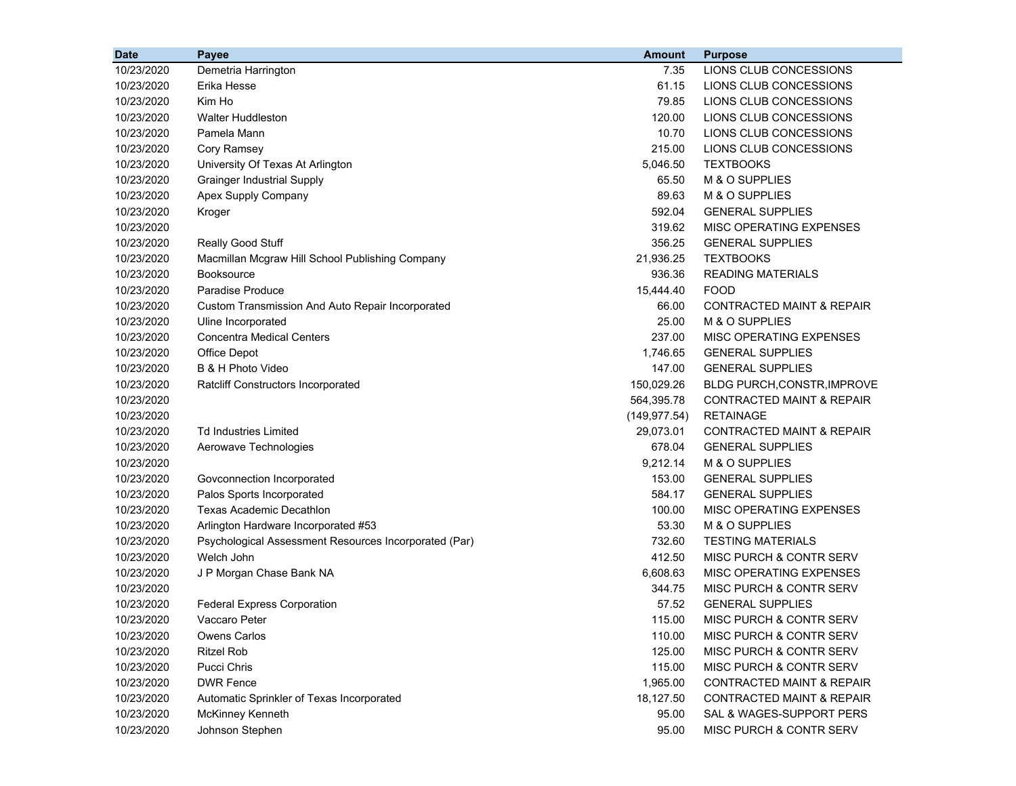| <b>Date</b> | Payee                                                 | <b>Amount</b> | <b>Purpose</b>                       |
|-------------|-------------------------------------------------------|---------------|--------------------------------------|
| 10/23/2020  | Demetria Harrington                                   | 7.35          | LIONS CLUB CONCESSIONS               |
| 10/23/2020  | Erika Hesse                                           | 61.15         | LIONS CLUB CONCESSIONS               |
| 10/23/2020  | Kim Ho                                                | 79.85         | LIONS CLUB CONCESSIONS               |
| 10/23/2020  | <b>Walter Huddleston</b>                              | 120.00        | LIONS CLUB CONCESSIONS               |
| 10/23/2020  | Pamela Mann                                           | 10.70         | LIONS CLUB CONCESSIONS               |
| 10/23/2020  | Cory Ramsey                                           | 215.00        | LIONS CLUB CONCESSIONS               |
| 10/23/2020  | University Of Texas At Arlington                      | 5,046.50      | <b>TEXTBOOKS</b>                     |
| 10/23/2020  | <b>Grainger Industrial Supply</b>                     | 65.50         | M & O SUPPLIES                       |
| 10/23/2020  | Apex Supply Company                                   | 89.63         | M & O SUPPLIES                       |
| 10/23/2020  | Kroger                                                | 592.04        | <b>GENERAL SUPPLIES</b>              |
| 10/23/2020  |                                                       | 319.62        | MISC OPERATING EXPENSES              |
| 10/23/2020  | Really Good Stuff                                     | 356.25        | <b>GENERAL SUPPLIES</b>              |
| 10/23/2020  | Macmillan Mcgraw Hill School Publishing Company       | 21,936.25     | <b>TEXTBOOKS</b>                     |
| 10/23/2020  | <b>Booksource</b>                                     | 936.36        | <b>READING MATERIALS</b>             |
| 10/23/2020  | Paradise Produce                                      | 15,444.40     | <b>FOOD</b>                          |
| 10/23/2020  | Custom Transmission And Auto Repair Incorporated      | 66.00         | <b>CONTRACTED MAINT &amp; REPAIR</b> |
| 10/23/2020  | Uline Incorporated                                    | 25.00         | M & O SUPPLIES                       |
| 10/23/2020  | <b>Concentra Medical Centers</b>                      | 237.00        | MISC OPERATING EXPENSES              |
| 10/23/2020  | Office Depot                                          | 1,746.65      | <b>GENERAL SUPPLIES</b>              |
| 10/23/2020  | B & H Photo Video                                     | 147.00        | <b>GENERAL SUPPLIES</b>              |
| 10/23/2020  | Ratcliff Constructors Incorporated                    | 150,029.26    | BLDG PURCH, CONSTR, IMPROVE          |
| 10/23/2020  |                                                       | 564,395.78    | <b>CONTRACTED MAINT &amp; REPAIR</b> |
| 10/23/2020  |                                                       | (149.977.54)  | <b>RETAINAGE</b>                     |
| 10/23/2020  | <b>Td Industries Limited</b>                          | 29,073.01     | <b>CONTRACTED MAINT &amp; REPAIR</b> |
| 10/23/2020  | Aerowave Technologies                                 | 678.04        | <b>GENERAL SUPPLIES</b>              |
| 10/23/2020  |                                                       | 9,212.14      | M & O SUPPLIES                       |
| 10/23/2020  | Govconnection Incorporated                            | 153.00        | <b>GENERAL SUPPLIES</b>              |
| 10/23/2020  | Palos Sports Incorporated                             | 584.17        | <b>GENERAL SUPPLIES</b>              |
| 10/23/2020  | Texas Academic Decathlon                              | 100.00        | MISC OPERATING EXPENSES              |
| 10/23/2020  | Arlington Hardware Incorporated #53                   | 53.30         | M & O SUPPLIES                       |
| 10/23/2020  | Psychological Assessment Resources Incorporated (Par) | 732.60        | <b>TESTING MATERIALS</b>             |
| 10/23/2020  | Welch John                                            | 412.50        | MISC PURCH & CONTR SERV              |
| 10/23/2020  | J P Morgan Chase Bank NA                              | 6,608.63      | MISC OPERATING EXPENSES              |
| 10/23/2020  |                                                       | 344.75        | MISC PURCH & CONTR SERV              |
| 10/23/2020  | <b>Federal Express Corporation</b>                    | 57.52         | <b>GENERAL SUPPLIES</b>              |
| 10/23/2020  | Vaccaro Peter                                         | 115.00        | MISC PURCH & CONTR SERV              |
| 10/23/2020  | <b>Owens Carlos</b>                                   | 110.00        | MISC PURCH & CONTR SERV              |
| 10/23/2020  | <b>Ritzel Rob</b>                                     | 125.00        | <b>MISC PURCH &amp; CONTR SERV</b>   |
| 10/23/2020  | Pucci Chris                                           | 115.00        | MISC PURCH & CONTR SERV              |
| 10/23/2020  | <b>DWR Fence</b>                                      | 1,965.00      | <b>CONTRACTED MAINT &amp; REPAIR</b> |
| 10/23/2020  | Automatic Sprinkler of Texas Incorporated             | 18,127.50     | <b>CONTRACTED MAINT &amp; REPAIR</b> |
| 10/23/2020  | McKinney Kenneth                                      | 95.00         | SAL & WAGES-SUPPORT PERS             |
| 10/23/2020  | Johnson Stephen                                       | 95.00         | MISC PURCH & CONTR SERV              |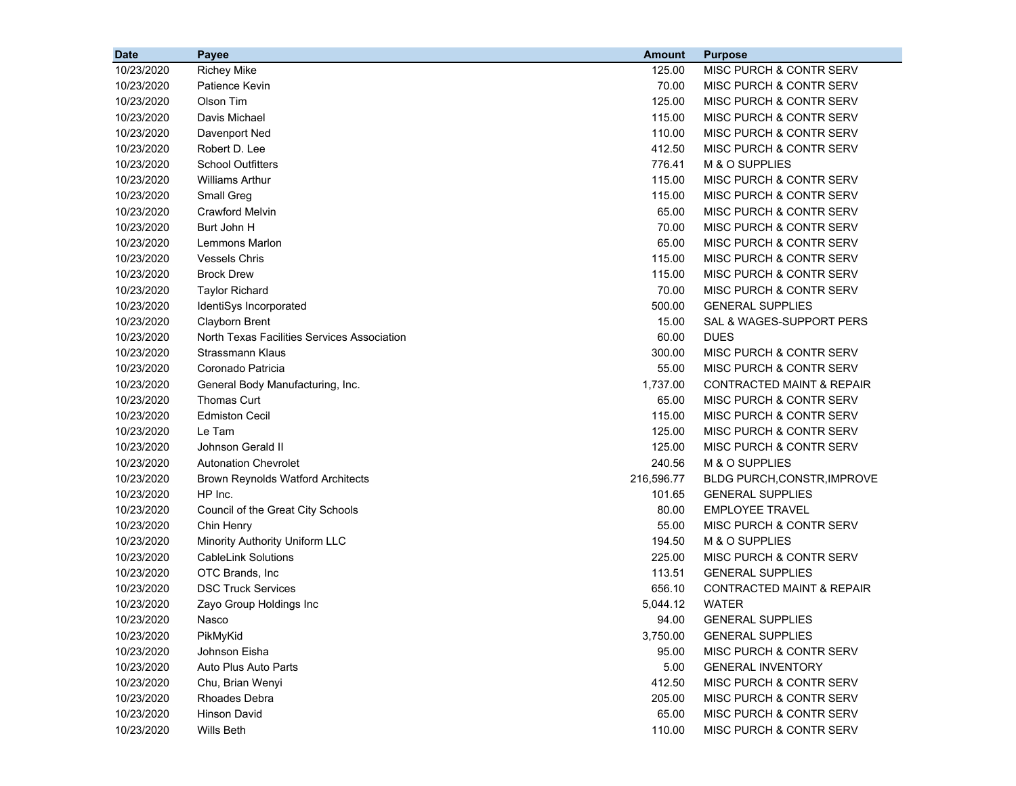| <b>Date</b> | Payee                                       | <b>Amount</b> | <b>Purpose</b>                       |
|-------------|---------------------------------------------|---------------|--------------------------------------|
| 10/23/2020  | <b>Richey Mike</b>                          | 125.00        | MISC PURCH & CONTR SERV              |
| 10/23/2020  | Patience Kevin                              | 70.00         | MISC PURCH & CONTR SERV              |
| 10/23/2020  | Olson Tim                                   | 125.00        | MISC PURCH & CONTR SERV              |
| 10/23/2020  | Davis Michael                               | 115.00        | MISC PURCH & CONTR SERV              |
| 10/23/2020  | Davenport Ned                               | 110.00        | <b>MISC PURCH &amp; CONTR SERV</b>   |
| 10/23/2020  | Robert D. Lee                               | 412.50        | MISC PURCH & CONTR SERV              |
| 10/23/2020  | <b>School Outfitters</b>                    | 776.41        | M & O SUPPLIES                       |
| 10/23/2020  | <b>Williams Arthur</b>                      | 115.00        | MISC PURCH & CONTR SERV              |
| 10/23/2020  | Small Greg                                  | 115.00        | MISC PURCH & CONTR SERV              |
| 10/23/2020  | <b>Crawford Melvin</b>                      | 65.00         | MISC PURCH & CONTR SERV              |
| 10/23/2020  | Burt John H                                 | 70.00         | <b>MISC PURCH &amp; CONTR SERV</b>   |
| 10/23/2020  | Lemmons Marlon                              | 65.00         | MISC PURCH & CONTR SERV              |
| 10/23/2020  | <b>Vessels Chris</b>                        | 115.00        | MISC PURCH & CONTR SERV              |
| 10/23/2020  | <b>Brock Drew</b>                           | 115.00        | MISC PURCH & CONTR SERV              |
| 10/23/2020  | <b>Taylor Richard</b>                       | 70.00         | MISC PURCH & CONTR SERV              |
| 10/23/2020  | IdentiSys Incorporated                      | 500.00        | <b>GENERAL SUPPLIES</b>              |
| 10/23/2020  | Clayborn Brent                              | 15.00         | SAL & WAGES-SUPPORT PERS             |
| 10/23/2020  | North Texas Facilities Services Association | 60.00         | <b>DUES</b>                          |
| 10/23/2020  | Strassmann Klaus                            | 300.00        | <b>MISC PURCH &amp; CONTR SERV</b>   |
| 10/23/2020  | Coronado Patricia                           | 55.00         | <b>MISC PURCH &amp; CONTR SERV</b>   |
| 10/23/2020  | General Body Manufacturing, Inc.            | 1,737.00      | <b>CONTRACTED MAINT &amp; REPAIR</b> |
| 10/23/2020  | <b>Thomas Curt</b>                          | 65.00         | <b>MISC PURCH &amp; CONTR SERV</b>   |
| 10/23/2020  | <b>Edmiston Cecil</b>                       | 115.00        | MISC PURCH & CONTR SERV              |
| 10/23/2020  | Le Tam                                      | 125.00        | MISC PURCH & CONTR SERV              |
| 10/23/2020  | Johnson Gerald II                           | 125.00        | <b>MISC PURCH &amp; CONTR SERV</b>   |
| 10/23/2020  | <b>Autonation Chevrolet</b>                 | 240.56        | M & O SUPPLIES                       |
| 10/23/2020  | <b>Brown Reynolds Watford Architects</b>    | 216,596.77    | <b>BLDG PURCH, CONSTR, IMPROVE</b>   |
| 10/23/2020  | HP Inc.                                     | 101.65        | <b>GENERAL SUPPLIES</b>              |
| 10/23/2020  | Council of the Great City Schools           | 80.00         | <b>EMPLOYEE TRAVEL</b>               |
| 10/23/2020  | Chin Henry                                  | 55.00         | MISC PURCH & CONTR SERV              |
| 10/23/2020  | Minority Authority Uniform LLC              | 194.50        | M & O SUPPLIES                       |
| 10/23/2020  | <b>CableLink Solutions</b>                  | 225.00        | <b>MISC PURCH &amp; CONTR SERV</b>   |
| 10/23/2020  | OTC Brands, Inc                             | 113.51        | <b>GENERAL SUPPLIES</b>              |
| 10/23/2020  | <b>DSC Truck Services</b>                   | 656.10        | CONTRACTED MAINT & REPAIR            |
| 10/23/2020  | Zayo Group Holdings Inc                     | 5,044.12      | <b>WATER</b>                         |
| 10/23/2020  | Nasco                                       | 94.00         | <b>GENERAL SUPPLIES</b>              |
| 10/23/2020  | PikMyKid                                    | 3,750.00      | <b>GENERAL SUPPLIES</b>              |
| 10/23/2020  | Johnson Eisha                               | 95.00         | MISC PURCH & CONTR SERV              |
| 10/23/2020  | Auto Plus Auto Parts                        | 5.00          | <b>GENERAL INVENTORY</b>             |
| 10/23/2020  | Chu, Brian Wenyi                            | 412.50        | MISC PURCH & CONTR SERV              |
| 10/23/2020  | <b>Rhoades Debra</b>                        | 205.00        | MISC PURCH & CONTR SERV              |
| 10/23/2020  | <b>Hinson David</b>                         | 65.00         | MISC PURCH & CONTR SERV              |
| 10/23/2020  | Wills Beth                                  | 110.00        | MISC PURCH & CONTR SERV              |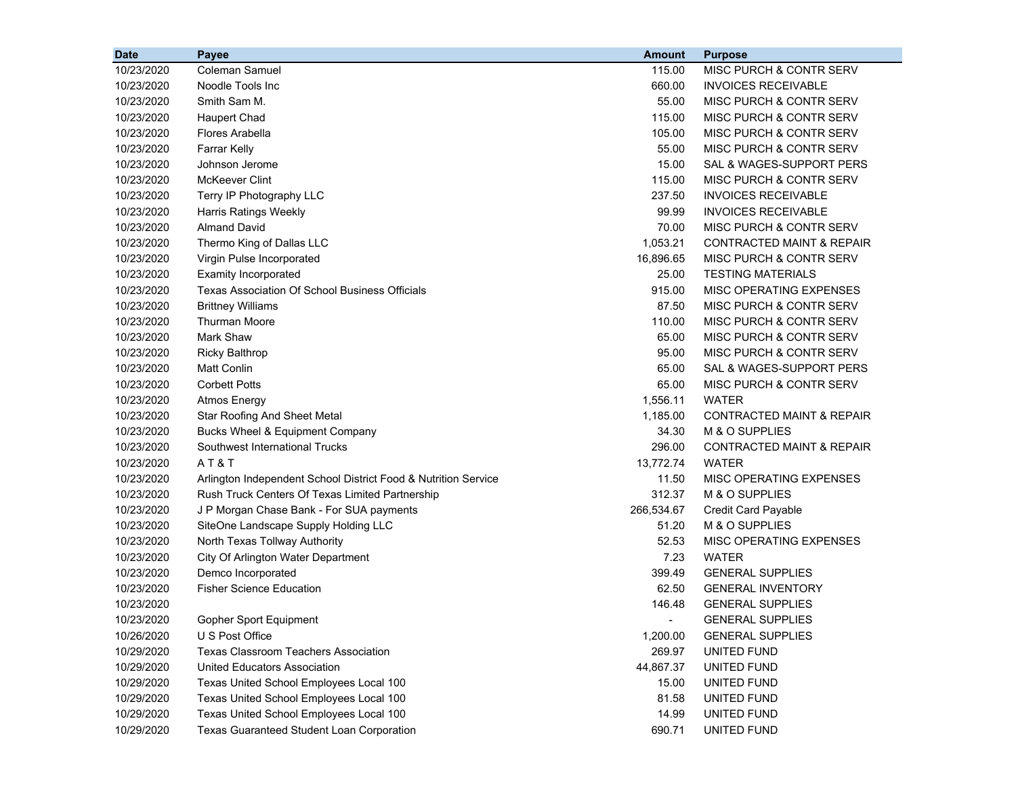| <b>Date</b> | <b>Payee</b>                                                   | <b>Amount</b>            | <b>Purpose</b>                       |
|-------------|----------------------------------------------------------------|--------------------------|--------------------------------------|
| 10/23/2020  | Coleman Samuel                                                 | 115.00                   | MISC PURCH & CONTR SERV              |
| 10/23/2020  | Noodle Tools Inc                                               | 660.00                   | <b>INVOICES RECEIVABLE</b>           |
| 10/23/2020  | Smith Sam M.                                                   | 55.00                    | MISC PURCH & CONTR SERV              |
| 10/23/2020  | <b>Haupert Chad</b>                                            | 115.00                   | MISC PURCH & CONTR SERV              |
| 10/23/2020  | <b>Flores Arabella</b>                                         | 105.00                   | <b>MISC PURCH &amp; CONTR SERV</b>   |
| 10/23/2020  | <b>Farrar Kelly</b>                                            | 55.00                    | MISC PURCH & CONTR SERV              |
| 10/23/2020  | Johnson Jerome                                                 | 15.00                    | SAL & WAGES-SUPPORT PERS             |
| 10/23/2020  | McKeever Clint                                                 | 115.00                   | <b>MISC PURCH &amp; CONTR SERV</b>   |
| 10/23/2020  | Terry IP Photography LLC                                       | 237.50                   | <b>INVOICES RECEIVABLE</b>           |
| 10/23/2020  | Harris Ratings Weekly                                          | 99.99                    | <b>INVOICES RECEIVABLE</b>           |
| 10/23/2020  | <b>Almand David</b>                                            | 70.00                    | <b>MISC PURCH &amp; CONTR SERV</b>   |
| 10/23/2020  | Thermo King of Dallas LLC                                      | 1,053.21                 | <b>CONTRACTED MAINT &amp; REPAIR</b> |
| 10/23/2020  | Virgin Pulse Incorporated                                      | 16,896.65                | <b>MISC PURCH &amp; CONTR SERV</b>   |
| 10/23/2020  | <b>Examity Incorporated</b>                                    | 25.00                    | <b>TESTING MATERIALS</b>             |
| 10/23/2020  | <b>Texas Association Of School Business Officials</b>          | 915.00                   | MISC OPERATING EXPENSES              |
| 10/23/2020  | <b>Brittney Williams</b>                                       | 87.50                    | <b>MISC PURCH &amp; CONTR SERV</b>   |
| 10/23/2020  | Thurman Moore                                                  | 110.00                   | MISC PURCH & CONTR SERV              |
| 10/23/2020  | <b>Mark Shaw</b>                                               | 65.00                    | MISC PURCH & CONTR SERV              |
| 10/23/2020  | <b>Ricky Balthrop</b>                                          | 95.00                    | MISC PURCH & CONTR SERV              |
| 10/23/2020  | <b>Matt Conlin</b>                                             | 65.00                    | SAL & WAGES-SUPPORT PERS             |
| 10/23/2020  | <b>Corbett Potts</b>                                           | 65.00                    | MISC PURCH & CONTR SERV              |
| 10/23/2020  | <b>Atmos Energy</b>                                            | 1,556.11                 | <b>WATER</b>                         |
| 10/23/2020  | <b>Star Roofing And Sheet Metal</b>                            | 1,185.00                 | <b>CONTRACTED MAINT &amp; REPAIR</b> |
| 10/23/2020  | Bucks Wheel & Equipment Company                                | 34.30                    | M & O SUPPLIES                       |
| 10/23/2020  | Southwest International Trucks                                 | 296.00                   | <b>CONTRACTED MAINT &amp; REPAIR</b> |
| 10/23/2020  | AT&T                                                           | 13,772.74                | WATER                                |
| 10/23/2020  | Arlington Independent School District Food & Nutrition Service | 11.50                    | MISC OPERATING EXPENSES              |
| 10/23/2020  | Rush Truck Centers Of Texas Limited Partnership                | 312.37                   | M & O SUPPLIES                       |
| 10/23/2020  | J P Morgan Chase Bank - For SUA payments                       | 266,534.67               | <b>Credit Card Payable</b>           |
| 10/23/2020  | SiteOne Landscape Supply Holding LLC                           | 51.20                    | M & O SUPPLIES                       |
| 10/23/2020  | North Texas Tollway Authority                                  | 52.53                    | MISC OPERATING EXPENSES              |
| 10/23/2020  | City Of Arlington Water Department                             | 7.23                     | <b>WATER</b>                         |
| 10/23/2020  | Demco Incorporated                                             | 399.49                   | <b>GENERAL SUPPLIES</b>              |
| 10/23/2020  | <b>Fisher Science Education</b>                                | 62.50                    | <b>GENERAL INVENTORY</b>             |
| 10/23/2020  |                                                                | 146.48                   | <b>GENERAL SUPPLIES</b>              |
| 10/23/2020  | Gopher Sport Equipment                                         | $\overline{\phantom{a}}$ | <b>GENERAL SUPPLIES</b>              |
| 10/26/2020  | U S Post Office                                                | 1,200.00                 | <b>GENERAL SUPPLIES</b>              |
| 10/29/2020  | Texas Classroom Teachers Association                           | 269.97                   | UNITED FUND                          |
| 10/29/2020  | United Educators Association                                   | 44,867.37                | UNITED FUND                          |
| 10/29/2020  | Texas United School Employees Local 100                        | 15.00                    | UNITED FUND                          |
| 10/29/2020  | Texas United School Employees Local 100                        | 81.58                    | UNITED FUND                          |
| 10/29/2020  | Texas United School Employees Local 100                        | 14.99                    | UNITED FUND                          |
| 10/29/2020  | Texas Guaranteed Student Loan Corporation                      | 690.71                   | UNITED FUND                          |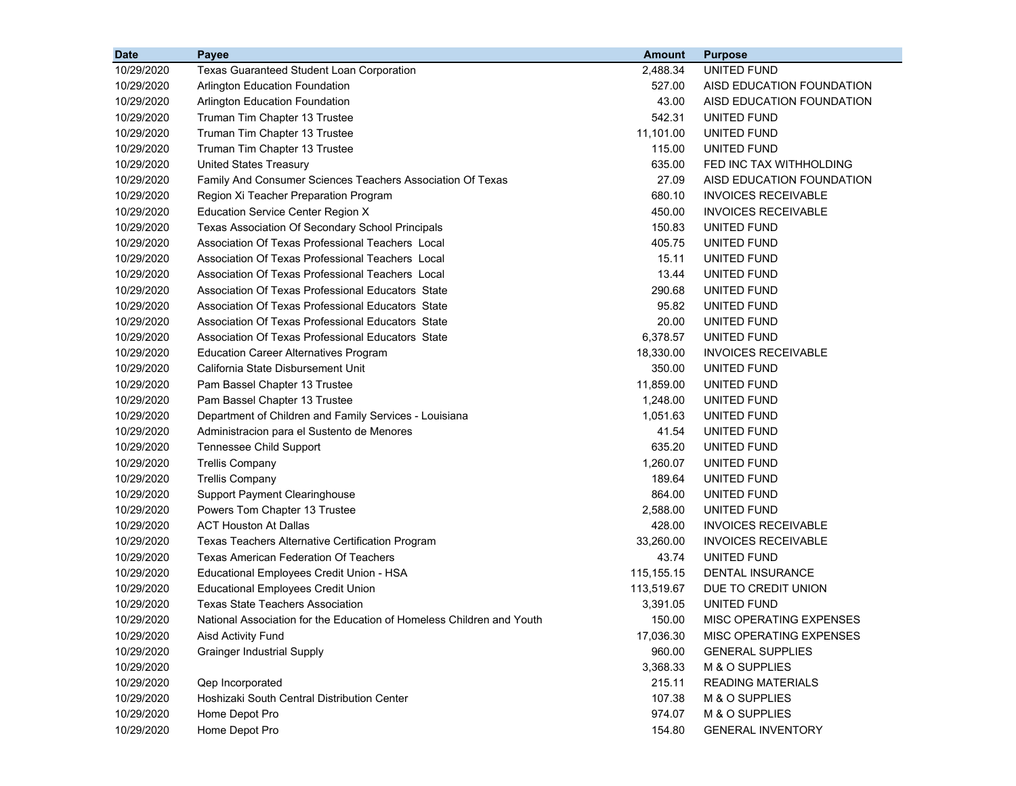| <b>Date</b> | Payee                                                                 | <b>Amount</b> | <b>Purpose</b>             |
|-------------|-----------------------------------------------------------------------|---------------|----------------------------|
| 10/29/2020  | <b>Texas Guaranteed Student Loan Corporation</b>                      | 2.488.34      | UNITED FUND                |
| 10/29/2020  | Arlington Education Foundation                                        | 527.00        | AISD EDUCATION FOUNDATION  |
| 10/29/2020  | <b>Arlington Education Foundation</b>                                 | 43.00         | AISD EDUCATION FOUNDATION  |
| 10/29/2020  | Truman Tim Chapter 13 Trustee                                         | 542.31        | UNITED FUND                |
| 10/29/2020  | Truman Tim Chapter 13 Trustee                                         | 11,101.00     | UNITED FUND                |
| 10/29/2020  | Truman Tim Chapter 13 Trustee                                         | 115.00        | UNITED FUND                |
| 10/29/2020  | <b>United States Treasury</b>                                         | 635.00        | FED INC TAX WITHHOLDING    |
| 10/29/2020  | Family And Consumer Sciences Teachers Association Of Texas            | 27.09         | AISD EDUCATION FOUNDATION  |
| 10/29/2020  | Region Xi Teacher Preparation Program                                 | 680.10        | <b>INVOICES RECEIVABLE</b> |
| 10/29/2020  | <b>Education Service Center Region X</b>                              | 450.00        | <b>INVOICES RECEIVABLE</b> |
| 10/29/2020  | Texas Association Of Secondary School Principals                      | 150.83        | UNITED FUND                |
| 10/29/2020  | Association Of Texas Professional Teachers Local                      | 405.75        | UNITED FUND                |
| 10/29/2020  | Association Of Texas Professional Teachers Local                      | 15.11         | UNITED FUND                |
| 10/29/2020  | Association Of Texas Professional Teachers Local                      | 13.44         | UNITED FUND                |
| 10/29/2020  | Association Of Texas Professional Educators State                     | 290.68        | UNITED FUND                |
| 10/29/2020  | Association Of Texas Professional Educators State                     | 95.82         | UNITED FUND                |
| 10/29/2020  | Association Of Texas Professional Educators State                     | 20.00         | UNITED FUND                |
| 10/29/2020  | Association Of Texas Professional Educators State                     | 6,378.57      | UNITED FUND                |
| 10/29/2020  | <b>Education Career Alternatives Program</b>                          | 18,330.00     | <b>INVOICES RECEIVABLE</b> |
| 10/29/2020  | California State Disbursement Unit                                    | 350.00        | UNITED FUND                |
| 10/29/2020  | Pam Bassel Chapter 13 Trustee                                         | 11,859.00     | UNITED FUND                |
| 10/29/2020  | Pam Bassel Chapter 13 Trustee                                         | 1,248.00      | UNITED FUND                |
| 10/29/2020  | Department of Children and Family Services - Louisiana                | 1,051.63      | UNITED FUND                |
| 10/29/2020  | Administracion para el Sustento de Menores                            | 41.54         | UNITED FUND                |
| 10/29/2020  | <b>Tennessee Child Support</b>                                        | 635.20        | UNITED FUND                |
| 10/29/2020  | <b>Trellis Company</b>                                                | 1,260.07      | UNITED FUND                |
| 10/29/2020  | <b>Trellis Company</b>                                                | 189.64        | UNITED FUND                |
| 10/29/2020  | <b>Support Payment Clearinghouse</b>                                  | 864.00        | UNITED FUND                |
| 10/29/2020  | Powers Tom Chapter 13 Trustee                                         | 2,588.00      | UNITED FUND                |
| 10/29/2020  | <b>ACT Houston At Dallas</b>                                          | 428.00        | <b>INVOICES RECEIVABLE</b> |
| 10/29/2020  | Texas Teachers Alternative Certification Program                      | 33,260.00     | <b>INVOICES RECEIVABLE</b> |
| 10/29/2020  | <b>Texas American Federation Of Teachers</b>                          | 43.74         | UNITED FUND                |
| 10/29/2020  | Educational Employees Credit Union - HSA                              | 115,155.15    | DENTAL INSURANCE           |
| 10/29/2020  | <b>Educational Employees Credit Union</b>                             | 113,519.67    | DUE TO CREDIT UNION        |
| 10/29/2020  | <b>Texas State Teachers Association</b>                               | 3,391.05      | UNITED FUND                |
| 10/29/2020  | National Association for the Education of Homeless Children and Youth | 150.00        | MISC OPERATING EXPENSES    |
| 10/29/2020  | Aisd Activity Fund                                                    | 17,036.30     | MISC OPERATING EXPENSES    |
| 10/29/2020  | <b>Grainger Industrial Supply</b>                                     | 960.00        | <b>GENERAL SUPPLIES</b>    |
| 10/29/2020  |                                                                       | 3,368.33      | M & O SUPPLIES             |
| 10/29/2020  | Qep Incorporated                                                      | 215.11        | <b>READING MATERIALS</b>   |
| 10/29/2020  | Hoshizaki South Central Distribution Center                           | 107.38        | M & O SUPPLIES             |
| 10/29/2020  | Home Depot Pro                                                        | 974.07        | M & O SUPPLIES             |
| 10/29/2020  | Home Depot Pro                                                        | 154.80        | <b>GENERAL INVENTORY</b>   |
|             |                                                                       |               |                            |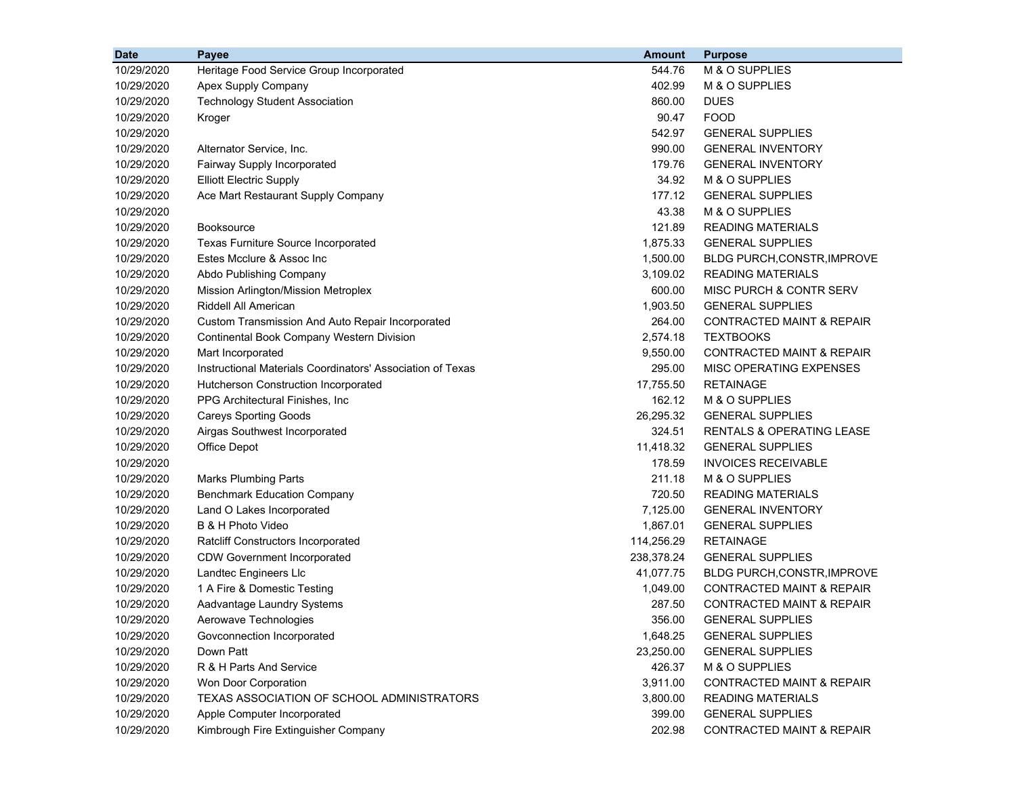| <b>Date</b> | Payee                                                      | <b>Amount</b> | <b>Purpose</b>                       |
|-------------|------------------------------------------------------------|---------------|--------------------------------------|
| 10/29/2020  | Heritage Food Service Group Incorporated                   | 544.76        | M & O SUPPLIES                       |
| 10/29/2020  | Apex Supply Company                                        | 402.99        | M & O SUPPLIES                       |
| 10/29/2020  | <b>Technology Student Association</b>                      | 860.00        | <b>DUES</b>                          |
| 10/29/2020  | Kroger                                                     | 90.47         | <b>FOOD</b>                          |
| 10/29/2020  |                                                            | 542.97        | <b>GENERAL SUPPLIES</b>              |
| 10/29/2020  | Alternator Service, Inc.                                   | 990.00        | <b>GENERAL INVENTORY</b>             |
| 10/29/2020  | Fairway Supply Incorporated                                | 179.76        | <b>GENERAL INVENTORY</b>             |
| 10/29/2020  | <b>Elliott Electric Supply</b>                             | 34.92         | M & O SUPPLIES                       |
| 10/29/2020  | Ace Mart Restaurant Supply Company                         | 177.12        | <b>GENERAL SUPPLIES</b>              |
| 10/29/2020  |                                                            | 43.38         | M & O SUPPLIES                       |
| 10/29/2020  | <b>Booksource</b>                                          | 121.89        | <b>READING MATERIALS</b>             |
| 10/29/2020  | <b>Texas Furniture Source Incorporated</b>                 | 1,875.33      | <b>GENERAL SUPPLIES</b>              |
| 10/29/2020  | Estes Mcclure & Assoc Inc                                  | 1,500.00      | <b>BLDG PURCH, CONSTR, IMPROVE</b>   |
| 10/29/2020  | Abdo Publishing Company                                    | 3,109.02      | <b>READING MATERIALS</b>             |
| 10/29/2020  | Mission Arlington/Mission Metroplex                        | 600.00        | MISC PURCH & CONTR SERV              |
| 10/29/2020  | Riddell All American                                       | 1,903.50      | <b>GENERAL SUPPLIES</b>              |
| 10/29/2020  | Custom Transmission And Auto Repair Incorporated           | 264.00        | CONTRACTED MAINT & REPAIR            |
| 10/29/2020  | <b>Continental Book Company Western Division</b>           | 2,574.18      | <b>TEXTBOOKS</b>                     |
| 10/29/2020  | Mart Incorporated                                          | 9,550.00      | CONTRACTED MAINT & REPAIR            |
| 10/29/2020  | Instructional Materials Coordinators' Association of Texas | 295.00        | MISC OPERATING EXPENSES              |
| 10/29/2020  | Hutcherson Construction Incorporated                       | 17,755.50     | <b>RETAINAGE</b>                     |
| 10/29/2020  | PPG Architectural Finishes, Inc.                           | 162.12        | M & O SUPPLIES                       |
| 10/29/2020  | <b>Careys Sporting Goods</b>                               | 26,295.32     | <b>GENERAL SUPPLIES</b>              |
| 10/29/2020  | Airgas Southwest Incorporated                              | 324.51        | <b>RENTALS &amp; OPERATING LEASE</b> |
| 10/29/2020  | <b>Office Depot</b>                                        | 11,418.32     | <b>GENERAL SUPPLIES</b>              |
| 10/29/2020  |                                                            | 178.59        | <b>INVOICES RECEIVABLE</b>           |
| 10/29/2020  | <b>Marks Plumbing Parts</b>                                | 211.18        | M & O SUPPLIES                       |
| 10/29/2020  | <b>Benchmark Education Company</b>                         | 720.50        | <b>READING MATERIALS</b>             |
| 10/29/2020  | Land O Lakes Incorporated                                  | 7,125.00      | <b>GENERAL INVENTORY</b>             |
| 10/29/2020  | B & H Photo Video                                          | 1,867.01      | <b>GENERAL SUPPLIES</b>              |
| 10/29/2020  | <b>Ratcliff Constructors Incorporated</b>                  | 114,256.29    | <b>RETAINAGE</b>                     |
| 10/29/2020  | <b>CDW Government Incorporated</b>                         | 238,378.24    | <b>GENERAL SUPPLIES</b>              |
| 10/29/2020  | Landtec Engineers Llc                                      | 41,077.75     | BLDG PURCH, CONSTR, IMPROVE          |
| 10/29/2020  | 1 A Fire & Domestic Testing                                | 1,049.00      | <b>CONTRACTED MAINT &amp; REPAIR</b> |
| 10/29/2020  | Aadvantage Laundry Systems                                 | 287.50        | <b>CONTRACTED MAINT &amp; REPAIR</b> |
| 10/29/2020  | Aerowave Technologies                                      | 356.00        | <b>GENERAL SUPPLIES</b>              |
| 10/29/2020  | Govconnection Incorporated                                 | 1,648.25      | <b>GENERAL SUPPLIES</b>              |
| 10/29/2020  | Down Patt                                                  | 23,250.00     | <b>GENERAL SUPPLIES</b>              |
| 10/29/2020  | R & H Parts And Service                                    | 426.37        | M & O SUPPLIES                       |
| 10/29/2020  | Won Door Corporation                                       | 3,911.00      | <b>CONTRACTED MAINT &amp; REPAIR</b> |
| 10/29/2020  | TEXAS ASSOCIATION OF SCHOOL ADMINISTRATORS                 | 3,800.00      | <b>READING MATERIALS</b>             |
| 10/29/2020  | Apple Computer Incorporated                                | 399.00        | <b>GENERAL SUPPLIES</b>              |
| 10/29/2020  | Kimbrough Fire Extinguisher Company                        | 202.98        | <b>CONTRACTED MAINT &amp; REPAIR</b> |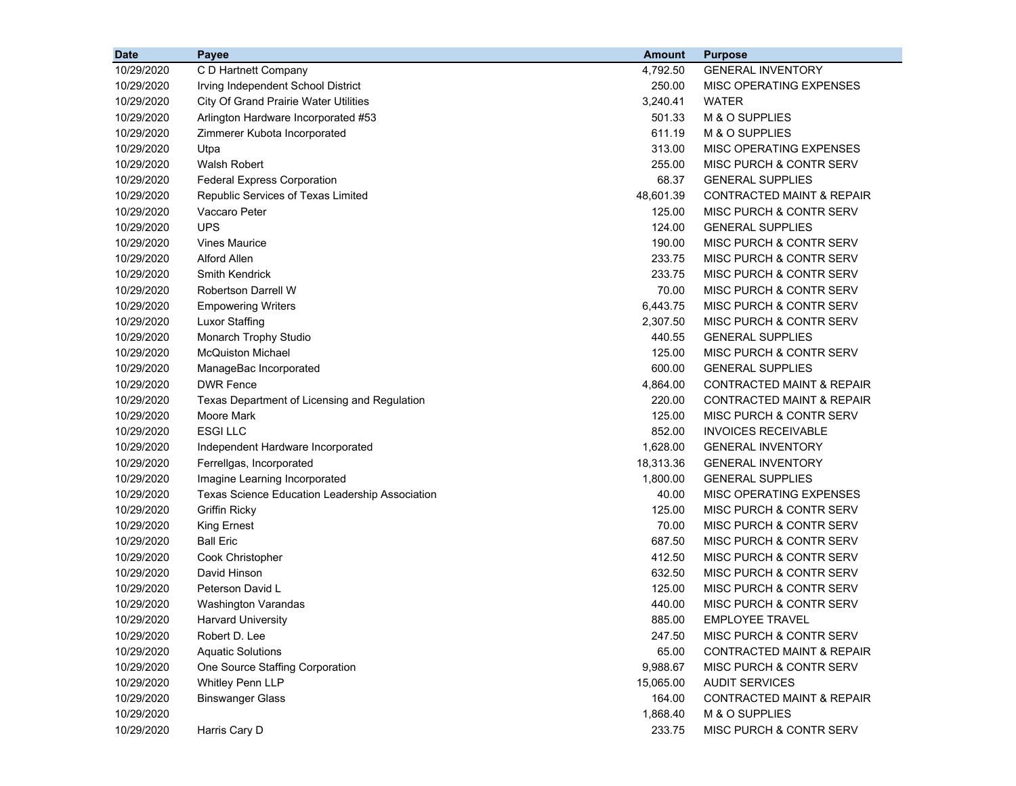| <b>Date</b> | Payee                                          | <b>Amount</b> | <b>Purpose</b>                       |
|-------------|------------------------------------------------|---------------|--------------------------------------|
| 10/29/2020  | C D Hartnett Company                           | 4,792.50      | <b>GENERAL INVENTORY</b>             |
| 10/29/2020  | Irving Independent School District             | 250.00        | MISC OPERATING EXPENSES              |
| 10/29/2020  | <b>City Of Grand Prairie Water Utilities</b>   | 3,240.41      | <b>WATER</b>                         |
| 10/29/2020  | Arlington Hardware Incorporated #53            | 501.33        | M & O SUPPLIES                       |
| 10/29/2020  | Zimmerer Kubota Incorporated                   | 611.19        | M & O SUPPLIES                       |
| 10/29/2020  | Utpa                                           | 313.00        | MISC OPERATING EXPENSES              |
| 10/29/2020  | Walsh Robert                                   | 255.00        | MISC PURCH & CONTR SERV              |
| 10/29/2020  | <b>Federal Express Corporation</b>             | 68.37         | <b>GENERAL SUPPLIES</b>              |
| 10/29/2020  | Republic Services of Texas Limited             | 48,601.39     | <b>CONTRACTED MAINT &amp; REPAIR</b> |
| 10/29/2020  | Vaccaro Peter                                  | 125.00        | MISC PURCH & CONTR SERV              |
| 10/29/2020  | <b>UPS</b>                                     | 124.00        | <b>GENERAL SUPPLIES</b>              |
| 10/29/2020  | <b>Vines Maurice</b>                           | 190.00        | MISC PURCH & CONTR SERV              |
| 10/29/2020  | <b>Alford Allen</b>                            | 233.75        | MISC PURCH & CONTR SERV              |
| 10/29/2020  | <b>Smith Kendrick</b>                          | 233.75        | <b>MISC PURCH &amp; CONTR SERV</b>   |
| 10/29/2020  | Robertson Darrell W                            | 70.00         | MISC PURCH & CONTR SERV              |
| 10/29/2020  | <b>Empowering Writers</b>                      | 6,443.75      | MISC PURCH & CONTR SERV              |
| 10/29/2020  | <b>Luxor Staffing</b>                          | 2,307.50      | MISC PURCH & CONTR SERV              |
| 10/29/2020  | Monarch Trophy Studio                          | 440.55        | <b>GENERAL SUPPLIES</b>              |
| 10/29/2020  | <b>McQuiston Michael</b>                       | 125.00        | MISC PURCH & CONTR SERV              |
| 10/29/2020  | ManageBac Incorporated                         | 600.00        | <b>GENERAL SUPPLIES</b>              |
| 10/29/2020  | <b>DWR Fence</b>                               | 4,864.00      | <b>CONTRACTED MAINT &amp; REPAIR</b> |
| 10/29/2020  | Texas Department of Licensing and Regulation   | 220.00        | <b>CONTRACTED MAINT &amp; REPAIR</b> |
| 10/29/2020  | Moore Mark                                     | 125.00        | MISC PURCH & CONTR SERV              |
| 10/29/2020  | <b>ESGILLC</b>                                 | 852.00        | <b>INVOICES RECEIVABLE</b>           |
| 10/29/2020  | Independent Hardware Incorporated              | 1,628.00      | <b>GENERAL INVENTORY</b>             |
| 10/29/2020  | Ferrellgas, Incorporated                       | 18,313.36     | <b>GENERAL INVENTORY</b>             |
| 10/29/2020  | Imagine Learning Incorporated                  | 1,800.00      | <b>GENERAL SUPPLIES</b>              |
| 10/29/2020  | Texas Science Education Leadership Association | 40.00         | MISC OPERATING EXPENSES              |
| 10/29/2020  | <b>Griffin Ricky</b>                           | 125.00        | MISC PURCH & CONTR SERV              |
| 10/29/2020  | King Ernest                                    | 70.00         | MISC PURCH & CONTR SERV              |
| 10/29/2020  | <b>Ball Eric</b>                               | 687.50        | MISC PURCH & CONTR SERV              |
| 10/29/2020  | Cook Christopher                               | 412.50        | <b>MISC PURCH &amp; CONTR SERV</b>   |
| 10/29/2020  | David Hinson                                   | 632.50        | MISC PURCH & CONTR SERV              |
| 10/29/2020  | Peterson David L                               | 125.00        | MISC PURCH & CONTR SERV              |
| 10/29/2020  | Washington Varandas                            | 440.00        | <b>MISC PURCH &amp; CONTR SERV</b>   |
| 10/29/2020  | <b>Harvard University</b>                      | 885.00        | <b>EMPLOYEE TRAVEL</b>               |
| 10/29/2020  | Robert D. Lee                                  | 247.50        | MISC PURCH & CONTR SERV              |
| 10/29/2020  | <b>Aquatic Solutions</b>                       | 65.00         | <b>CONTRACTED MAINT &amp; REPAIR</b> |
| 10/29/2020  | One Source Staffing Corporation                | 9,988.67      | MISC PURCH & CONTR SERV              |
| 10/29/2020  | Whitley Penn LLP                               | 15,065.00     | <b>AUDIT SERVICES</b>                |
| 10/29/2020  | <b>Binswanger Glass</b>                        | 164.00        | <b>CONTRACTED MAINT &amp; REPAIR</b> |
| 10/29/2020  |                                                | 1,868.40      | M & O SUPPLIES                       |
| 10/29/2020  | Harris Cary D                                  | 233.75        | MISC PURCH & CONTR SERV              |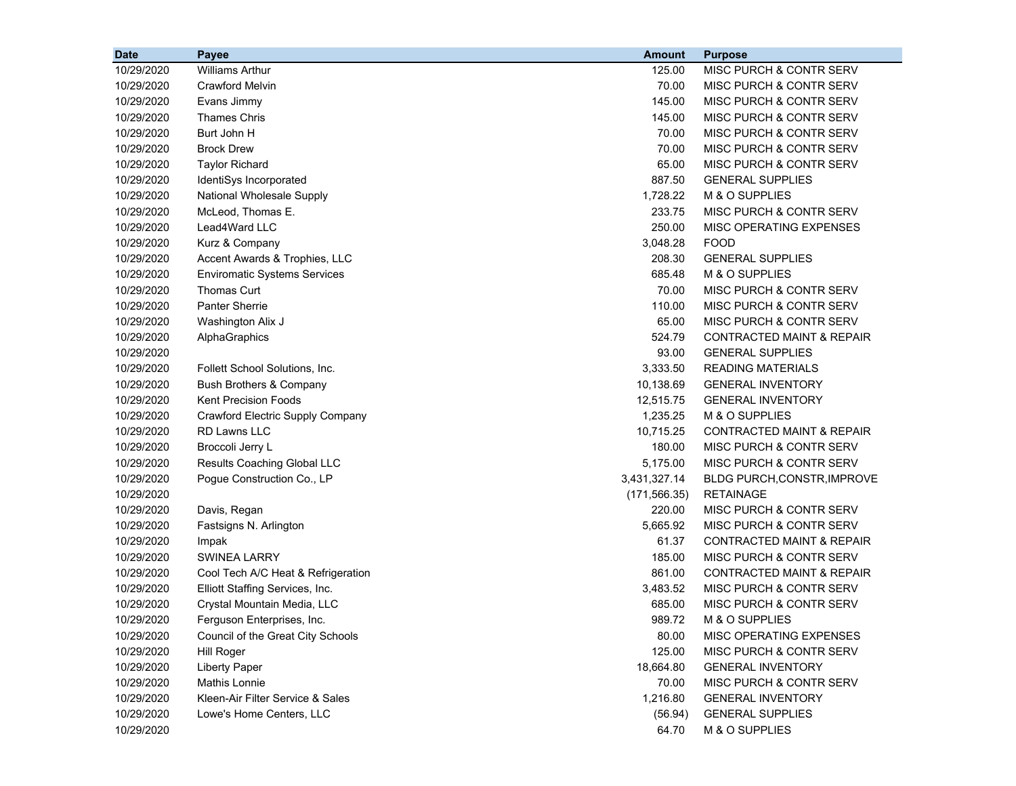| <b>Date</b> | Payee                               | <b>Amount</b> | <b>Purpose</b>                       |
|-------------|-------------------------------------|---------------|--------------------------------------|
| 10/29/2020  | <b>Williams Arthur</b>              | 125.00        | MISC PURCH & CONTR SERV              |
| 10/29/2020  | <b>Crawford Melvin</b>              | 70.00         | MISC PURCH & CONTR SERV              |
| 10/29/2020  | Evans Jimmy                         | 145.00        | MISC PURCH & CONTR SERV              |
| 10/29/2020  | <b>Thames Chris</b>                 | 145.00        | MISC PURCH & CONTR SERV              |
| 10/29/2020  | Burt John H                         | 70.00         | MISC PURCH & CONTR SERV              |
| 10/29/2020  | <b>Brock Drew</b>                   | 70.00         | MISC PURCH & CONTR SERV              |
| 10/29/2020  | <b>Taylor Richard</b>               | 65.00         | MISC PURCH & CONTR SERV              |
| 10/29/2020  | IdentiSys Incorporated              | 887.50        | <b>GENERAL SUPPLIES</b>              |
| 10/29/2020  | National Wholesale Supply           | 1,728.22      | M & O SUPPLIES                       |
| 10/29/2020  | McLeod, Thomas E.                   | 233.75        | MISC PURCH & CONTR SERV              |
| 10/29/2020  | Lead4Ward LLC                       | 250.00        | MISC OPERATING EXPENSES              |
| 10/29/2020  | Kurz & Company                      | 3,048.28      | <b>FOOD</b>                          |
| 10/29/2020  | Accent Awards & Trophies, LLC       | 208.30        | <b>GENERAL SUPPLIES</b>              |
| 10/29/2020  | <b>Enviromatic Systems Services</b> | 685.48        | M & O SUPPLIES                       |
| 10/29/2020  | <b>Thomas Curt</b>                  | 70.00         | MISC PURCH & CONTR SERV              |
| 10/29/2020  | <b>Panter Sherrie</b>               | 110.00        | MISC PURCH & CONTR SERV              |
| 10/29/2020  | Washington Alix J                   | 65.00         | <b>MISC PURCH &amp; CONTR SERV</b>   |
| 10/29/2020  | AlphaGraphics                       | 524.79        | <b>CONTRACTED MAINT &amp; REPAIR</b> |
| 10/29/2020  |                                     | 93.00         | <b>GENERAL SUPPLIES</b>              |
| 10/29/2020  | Follett School Solutions, Inc.      | 3,333.50      | <b>READING MATERIALS</b>             |
| 10/29/2020  | Bush Brothers & Company             | 10,138.69     | <b>GENERAL INVENTORY</b>             |
| 10/29/2020  | <b>Kent Precision Foods</b>         | 12,515.75     | <b>GENERAL INVENTORY</b>             |
| 10/29/2020  | Crawford Electric Supply Company    | 1,235.25      | M & O SUPPLIES                       |
| 10/29/2020  | <b>RD Lawns LLC</b>                 | 10,715.25     | CONTRACTED MAINT & REPAIR            |
| 10/29/2020  | Broccoli Jerry L                    | 180.00        | MISC PURCH & CONTR SERV              |
| 10/29/2020  | Results Coaching Global LLC         | 5,175.00      | MISC PURCH & CONTR SERV              |
| 10/29/2020  | Pogue Construction Co., LP          | 3,431,327.14  | BLDG PURCH, CONSTR, IMPROVE          |
| 10/29/2020  |                                     | (171, 566.35) | <b>RETAINAGE</b>                     |
| 10/29/2020  | Davis, Regan                        | 220.00        | MISC PURCH & CONTR SERV              |
| 10/29/2020  | Fastsigns N. Arlington              | 5,665.92      | MISC PURCH & CONTR SERV              |
| 10/29/2020  | Impak                               | 61.37         | <b>CONTRACTED MAINT &amp; REPAIR</b> |
| 10/29/2020  | <b>SWINEA LARRY</b>                 | 185.00        | MISC PURCH & CONTR SERV              |
| 10/29/2020  | Cool Tech A/C Heat & Refrigeration  | 861.00        | <b>CONTRACTED MAINT &amp; REPAIR</b> |
| 10/29/2020  | Elliott Staffing Services, Inc.     | 3,483.52      | MISC PURCH & CONTR SERV              |
| 10/29/2020  | Crystal Mountain Media, LLC         | 685.00        | MISC PURCH & CONTR SERV              |
| 10/29/2020  | Ferguson Enterprises, Inc.          | 989.72        | M & O SUPPLIES                       |
| 10/29/2020  | Council of the Great City Schools   | 80.00         | MISC OPERATING EXPENSES              |
| 10/29/2020  | <b>Hill Roger</b>                   | 125.00        | MISC PURCH & CONTR SERV              |
| 10/29/2020  | <b>Liberty Paper</b>                | 18,664.80     | <b>GENERAL INVENTORY</b>             |
| 10/29/2020  | <b>Mathis Lonnie</b>                | 70.00         | MISC PURCH & CONTR SERV              |
| 10/29/2020  | Kleen-Air Filter Service & Sales    | 1,216.80      | <b>GENERAL INVENTORY</b>             |
| 10/29/2020  | Lowe's Home Centers, LLC            | (56.94)       | <b>GENERAL SUPPLIES</b>              |
| 10/29/2020  |                                     | 64.70         | M & O SUPPLIES                       |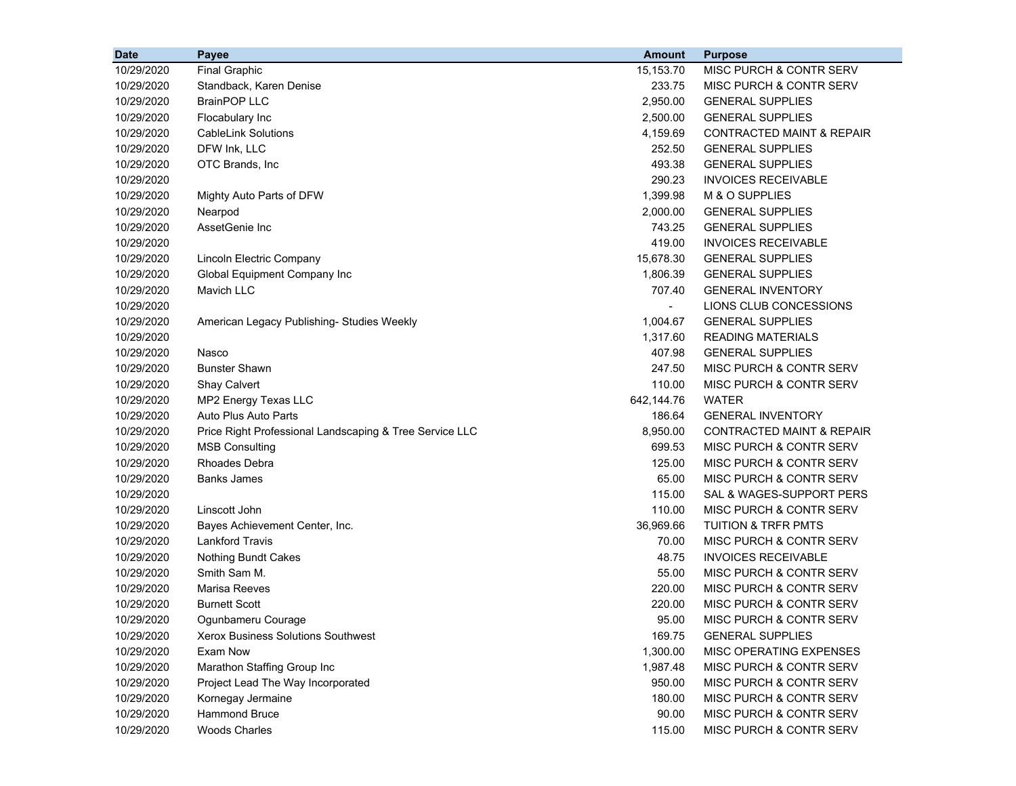| <b>Date</b> | <b>Payee</b>                                            | <b>Amount</b>            | <b>Purpose</b>                       |
|-------------|---------------------------------------------------------|--------------------------|--------------------------------------|
| 10/29/2020  | <b>Final Graphic</b>                                    | 15,153.70                | MISC PURCH & CONTR SERV              |
| 10/29/2020  | Standback, Karen Denise                                 | 233.75                   | MISC PURCH & CONTR SERV              |
| 10/29/2020  | <b>BrainPOP LLC</b>                                     | 2,950.00                 | <b>GENERAL SUPPLIES</b>              |
| 10/29/2020  | Flocabulary Inc                                         | 2,500.00                 | <b>GENERAL SUPPLIES</b>              |
| 10/29/2020  | <b>CableLink Solutions</b>                              | 4,159.69                 | <b>CONTRACTED MAINT &amp; REPAIR</b> |
| 10/29/2020  | DFW Ink, LLC                                            | 252.50                   | <b>GENERAL SUPPLIES</b>              |
| 10/29/2020  | OTC Brands, Inc                                         | 493.38                   | <b>GENERAL SUPPLIES</b>              |
| 10/29/2020  |                                                         | 290.23                   | <b>INVOICES RECEIVABLE</b>           |
| 10/29/2020  | Mighty Auto Parts of DFW                                | 1,399.98                 | M & O SUPPLIES                       |
| 10/29/2020  | Nearpod                                                 | 2,000.00                 | <b>GENERAL SUPPLIES</b>              |
| 10/29/2020  | AssetGenie Inc                                          | 743.25                   | <b>GENERAL SUPPLIES</b>              |
| 10/29/2020  |                                                         | 419.00                   | <b>INVOICES RECEIVABLE</b>           |
| 10/29/2020  | Lincoln Electric Company                                | 15,678.30                | <b>GENERAL SUPPLIES</b>              |
| 10/29/2020  | Global Equipment Company Inc                            | 1,806.39                 | <b>GENERAL SUPPLIES</b>              |
| 10/29/2020  | Mavich LLC                                              | 707.40                   | <b>GENERAL INVENTORY</b>             |
| 10/29/2020  |                                                         | $\overline{\phantom{0}}$ | LIONS CLUB CONCESSIONS               |
| 10/29/2020  | American Legacy Publishing- Studies Weekly              | 1,004.67                 | <b>GENERAL SUPPLIES</b>              |
| 10/29/2020  |                                                         | 1,317.60                 | <b>READING MATERIALS</b>             |
| 10/29/2020  | Nasco                                                   | 407.98                   | <b>GENERAL SUPPLIES</b>              |
| 10/29/2020  | <b>Bunster Shawn</b>                                    | 247.50                   | MISC PURCH & CONTR SERV              |
| 10/29/2020  | <b>Shay Calvert</b>                                     | 110.00                   | <b>MISC PURCH &amp; CONTR SERV</b>   |
| 10/29/2020  | MP2 Energy Texas LLC                                    | 642,144.76               | <b>WATER</b>                         |
| 10/29/2020  | Auto Plus Auto Parts                                    | 186.64                   | <b>GENERAL INVENTORY</b>             |
| 10/29/2020  | Price Right Professional Landscaping & Tree Service LLC | 8,950.00                 | CONTRACTED MAINT & REPAIR            |
| 10/29/2020  | <b>MSB Consulting</b>                                   | 699.53                   | MISC PURCH & CONTR SERV              |
| 10/29/2020  | Rhoades Debra                                           | 125.00                   | MISC PURCH & CONTR SERV              |
| 10/29/2020  | <b>Banks James</b>                                      | 65.00                    | MISC PURCH & CONTR SERV              |
| 10/29/2020  |                                                         | 115.00                   | SAL & WAGES-SUPPORT PERS             |
| 10/29/2020  | Linscott John                                           | 110.00                   | MISC PURCH & CONTR SERV              |
| 10/29/2020  | Bayes Achievement Center, Inc.                          | 36,969.66                | <b>TUITION &amp; TRFR PMTS</b>       |
| 10/29/2020  | <b>Lankford Travis</b>                                  | 70.00                    | MISC PURCH & CONTR SERV              |
| 10/29/2020  | <b>Nothing Bundt Cakes</b>                              | 48.75                    | <b>INVOICES RECEIVABLE</b>           |
| 10/29/2020  | Smith Sam M.                                            | 55.00                    | MISC PURCH & CONTR SERV              |
| 10/29/2020  | Marisa Reeves                                           | 220.00                   | MISC PURCH & CONTR SERV              |
| 10/29/2020  | <b>Burnett Scott</b>                                    | 220.00                   | MISC PURCH & CONTR SERV              |
| 10/29/2020  | Ogunbameru Courage                                      | 95.00                    | MISC PURCH & CONTR SERV              |
| 10/29/2020  | Xerox Business Solutions Southwest                      | 169.75                   | <b>GENERAL SUPPLIES</b>              |
| 10/29/2020  | Exam Now                                                | 1,300.00                 | MISC OPERATING EXPENSES              |
| 10/29/2020  | Marathon Staffing Group Inc                             | 1,987.48                 | MISC PURCH & CONTR SERV              |
| 10/29/2020  | Project Lead The Way Incorporated                       | 950.00                   | MISC PURCH & CONTR SERV              |
| 10/29/2020  | Kornegay Jermaine                                       | 180.00                   | MISC PURCH & CONTR SERV              |
| 10/29/2020  | <b>Hammond Bruce</b>                                    | 90.00                    | MISC PURCH & CONTR SERV              |
| 10/29/2020  | Woods Charles                                           | 115.00                   | MISC PURCH & CONTR SERV              |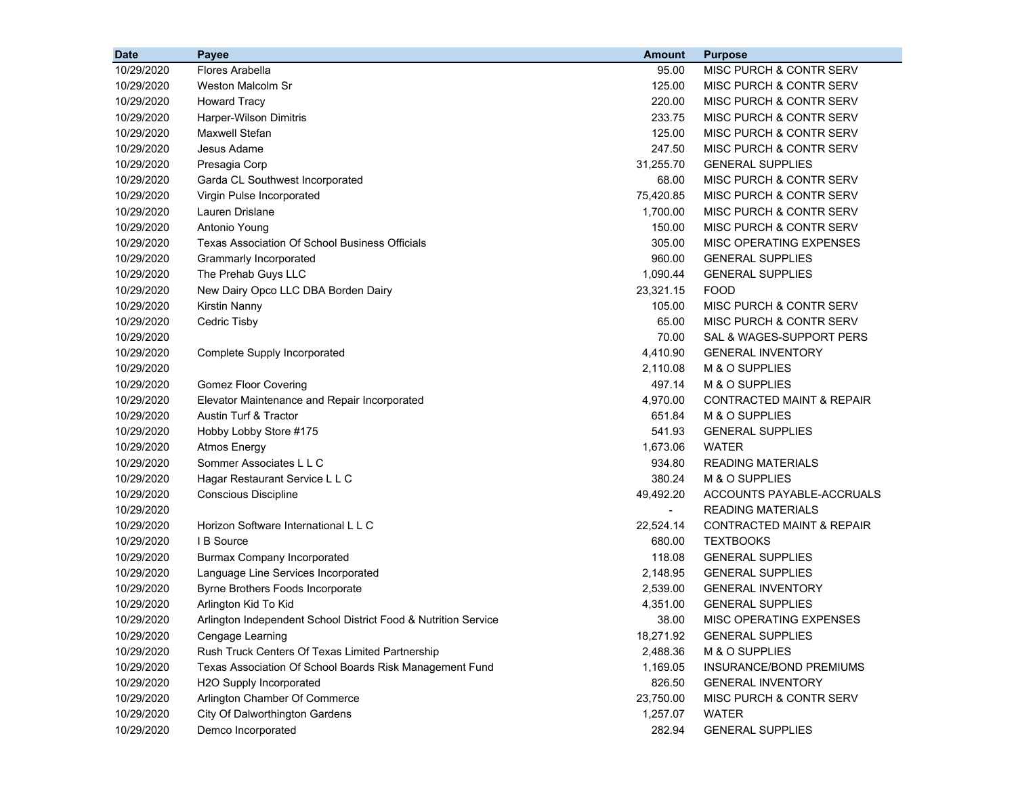| <b>Date</b> | Payee                                                          | <b>Amount</b>  | <b>Purpose</b>                       |
|-------------|----------------------------------------------------------------|----------------|--------------------------------------|
| 10/29/2020  | Flores Arabella                                                | 95.00          | MISC PURCH & CONTR SERV              |
| 10/29/2020  | Weston Malcolm Sr                                              | 125.00         | <b>MISC PURCH &amp; CONTR SERV</b>   |
| 10/29/2020  | <b>Howard Tracy</b>                                            | 220.00         | MISC PURCH & CONTR SERV              |
| 10/29/2020  | Harper-Wilson Dimitris                                         | 233.75         | MISC PURCH & CONTR SERV              |
| 10/29/2020  | Maxwell Stefan                                                 | 125.00         | MISC PURCH & CONTR SERV              |
| 10/29/2020  | Jesus Adame                                                    | 247.50         | MISC PURCH & CONTR SERV              |
| 10/29/2020  | Presagia Corp                                                  | 31,255.70      | <b>GENERAL SUPPLIES</b>              |
| 10/29/2020  | Garda CL Southwest Incorporated                                | 68.00          | MISC PURCH & CONTR SERV              |
| 10/29/2020  | Virgin Pulse Incorporated                                      | 75,420.85      | MISC PURCH & CONTR SERV              |
| 10/29/2020  | Lauren Drislane                                                | 1,700.00       | MISC PURCH & CONTR SERV              |
| 10/29/2020  | Antonio Young                                                  | 150.00         | <b>MISC PURCH &amp; CONTR SERV</b>   |
| 10/29/2020  | <b>Texas Association Of School Business Officials</b>          | 305.00         | MISC OPERATING EXPENSES              |
| 10/29/2020  | Grammarly Incorporated                                         | 960.00         | <b>GENERAL SUPPLIES</b>              |
| 10/29/2020  | The Prehab Guys LLC                                            | 1,090.44       | <b>GENERAL SUPPLIES</b>              |
| 10/29/2020  | New Dairy Opco LLC DBA Borden Dairy                            | 23,321.15      | <b>FOOD</b>                          |
| 10/29/2020  | Kirstin Nanny                                                  | 105.00         | MISC PURCH & CONTR SERV              |
| 10/29/2020  | Cedric Tisby                                                   | 65.00          | <b>MISC PURCH &amp; CONTR SERV</b>   |
| 10/29/2020  |                                                                | 70.00          | SAL & WAGES-SUPPORT PERS             |
| 10/29/2020  | Complete Supply Incorporated                                   | 4,410.90       | <b>GENERAL INVENTORY</b>             |
| 10/29/2020  |                                                                | 2,110.08       | M & O SUPPLIES                       |
| 10/29/2020  | <b>Gomez Floor Covering</b>                                    | 497.14         | M & O SUPPLIES                       |
| 10/29/2020  | Elevator Maintenance and Repair Incorporated                   | 4,970.00       | <b>CONTRACTED MAINT &amp; REPAIR</b> |
| 10/29/2020  | Austin Turf & Tractor                                          | 651.84         | M & O SUPPLIES                       |
| 10/29/2020  | Hobby Lobby Store #175                                         | 541.93         | <b>GENERAL SUPPLIES</b>              |
| 10/29/2020  | <b>Atmos Energy</b>                                            | 1,673.06       | <b>WATER</b>                         |
| 10/29/2020  | Sommer Associates L L C                                        | 934.80         | <b>READING MATERIALS</b>             |
| 10/29/2020  | Hagar Restaurant Service L L C                                 | 380.24         | M & O SUPPLIES                       |
| 10/29/2020  | Conscious Discipline                                           | 49,492.20      | ACCOUNTS PAYABLE-ACCRUALS            |
| 10/29/2020  |                                                                | $\blacksquare$ | <b>READING MATERIALS</b>             |
| 10/29/2020  | Horizon Software International L L C                           | 22,524.14      | <b>CONTRACTED MAINT &amp; REPAIR</b> |
| 10/29/2020  | I B Source                                                     | 680.00         | <b>TEXTBOOKS</b>                     |
| 10/29/2020  | <b>Burmax Company Incorporated</b>                             | 118.08         | <b>GENERAL SUPPLIES</b>              |
| 10/29/2020  | Language Line Services Incorporated                            | 2,148.95       | <b>GENERAL SUPPLIES</b>              |
| 10/29/2020  | Byrne Brothers Foods Incorporate                               | 2,539.00       | <b>GENERAL INVENTORY</b>             |
| 10/29/2020  | Arlington Kid To Kid                                           | 4,351.00       | <b>GENERAL SUPPLIES</b>              |
| 10/29/2020  | Arlington Independent School District Food & Nutrition Service | 38.00          | MISC OPERATING EXPENSES              |
| 10/29/2020  | Cengage Learning                                               | 18,271.92      | <b>GENERAL SUPPLIES</b>              |
| 10/29/2020  | Rush Truck Centers Of Texas Limited Partnership                | 2,488.36       | M & O SUPPLIES                       |
| 10/29/2020  | Texas Association Of School Boards Risk Management Fund        | 1,169.05       | INSURANCE/BOND PREMIUMS              |
| 10/29/2020  | H2O Supply Incorporated                                        | 826.50         | <b>GENERAL INVENTORY</b>             |
| 10/29/2020  | Arlington Chamber Of Commerce                                  | 23,750.00      | MISC PURCH & CONTR SERV              |
| 10/29/2020  | City Of Dalworthington Gardens                                 | 1,257.07       | <b>WATER</b>                         |
| 10/29/2020  | Demco Incorporated                                             | 282.94         | <b>GENERAL SUPPLIES</b>              |
|             |                                                                |                |                                      |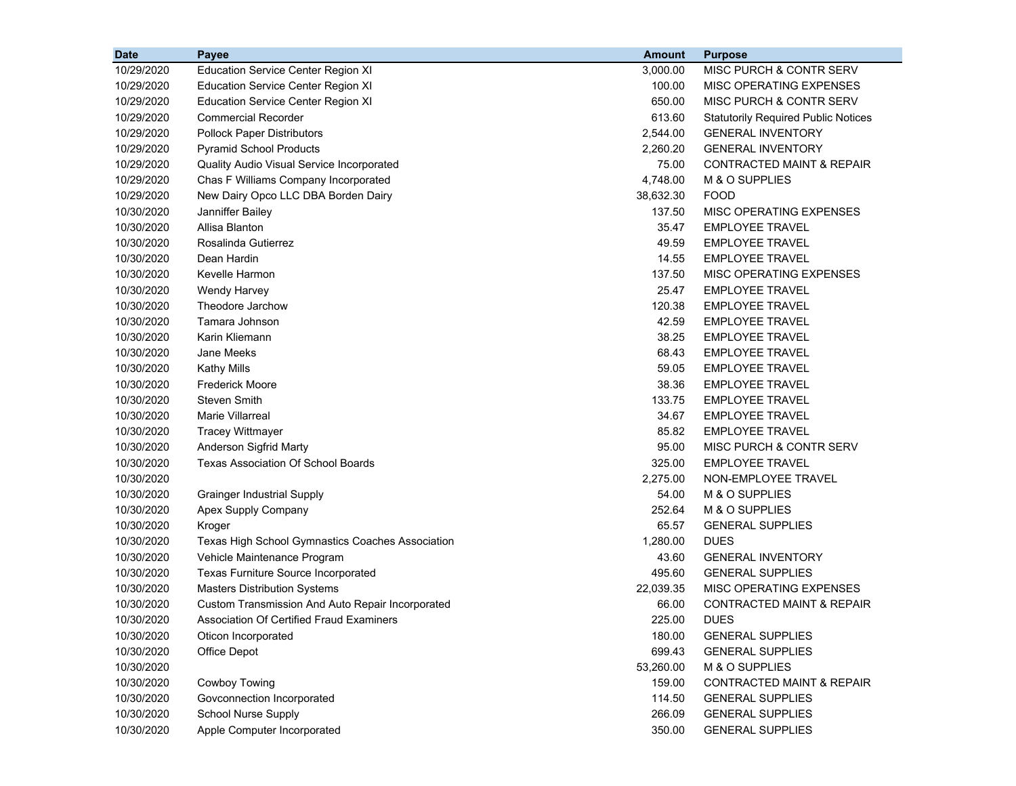| <b>Date</b> | Payee                                            | <b>Amount</b> | <b>Purpose</b>                             |
|-------------|--------------------------------------------------|---------------|--------------------------------------------|
| 10/29/2020  | <b>Education Service Center Region XI</b>        | 3,000.00      | MISC PURCH & CONTR SERV                    |
| 10/29/2020  | <b>Education Service Center Region XI</b>        | 100.00        | MISC OPERATING EXPENSES                    |
| 10/29/2020  | <b>Education Service Center Region XI</b>        | 650.00        | MISC PURCH & CONTR SERV                    |
| 10/29/2020  | <b>Commercial Recorder</b>                       | 613.60        | <b>Statutorily Required Public Notices</b> |
| 10/29/2020  | <b>Pollock Paper Distributors</b>                | 2,544.00      | <b>GENERAL INVENTORY</b>                   |
| 10/29/2020  | <b>Pyramid School Products</b>                   | 2,260.20      | <b>GENERAL INVENTORY</b>                   |
| 10/29/2020  | Quality Audio Visual Service Incorporated        | 75.00         | <b>CONTRACTED MAINT &amp; REPAIR</b>       |
| 10/29/2020  | Chas F Williams Company Incorporated             | 4,748.00      | M & O SUPPLIES                             |
| 10/29/2020  | New Dairy Opco LLC DBA Borden Dairy              | 38,632.30     | <b>FOOD</b>                                |
| 10/30/2020  | Janniffer Bailey                                 | 137.50        | MISC OPERATING EXPENSES                    |
| 10/30/2020  | Allisa Blanton                                   | 35.47         | <b>EMPLOYEE TRAVEL</b>                     |
| 10/30/2020  | Rosalinda Gutierrez                              | 49.59         | <b>EMPLOYEE TRAVEL</b>                     |
| 10/30/2020  | Dean Hardin                                      | 14.55         | <b>EMPLOYEE TRAVEL</b>                     |
| 10/30/2020  | Kevelle Harmon                                   | 137.50        | MISC OPERATING EXPENSES                    |
| 10/30/2020  | Wendy Harvey                                     | 25.47         | <b>EMPLOYEE TRAVEL</b>                     |
| 10/30/2020  | Theodore Jarchow                                 | 120.38        | <b>EMPLOYEE TRAVEL</b>                     |
| 10/30/2020  | Tamara Johnson                                   | 42.59         | <b>EMPLOYEE TRAVEL</b>                     |
| 10/30/2020  | Karin Kliemann                                   | 38.25         | <b>EMPLOYEE TRAVEL</b>                     |
| 10/30/2020  | Jane Meeks                                       | 68.43         | <b>EMPLOYEE TRAVEL</b>                     |
| 10/30/2020  | <b>Kathy Mills</b>                               | 59.05         | <b>EMPLOYEE TRAVEL</b>                     |
| 10/30/2020  | <b>Frederick Moore</b>                           | 38.36         | <b>EMPLOYEE TRAVEL</b>                     |
| 10/30/2020  | <b>Steven Smith</b>                              | 133.75        | <b>EMPLOYEE TRAVEL</b>                     |
| 10/30/2020  | <b>Marie Villarreal</b>                          | 34.67         | <b>EMPLOYEE TRAVEL</b>                     |
| 10/30/2020  | <b>Tracey Wittmayer</b>                          | 85.82         | <b>EMPLOYEE TRAVEL</b>                     |
| 10/30/2020  | Anderson Sigfrid Marty                           | 95.00         | MISC PURCH & CONTR SERV                    |
| 10/30/2020  | <b>Texas Association Of School Boards</b>        | 325.00        | <b>EMPLOYEE TRAVEL</b>                     |
| 10/30/2020  |                                                  | 2,275.00      | NON-EMPLOYEE TRAVEL                        |
| 10/30/2020  | <b>Grainger Industrial Supply</b>                | 54.00         | M & O SUPPLIES                             |
| 10/30/2020  | Apex Supply Company                              | 252.64        | M & O SUPPLIES                             |
| 10/30/2020  | Kroger                                           | 65.57         | <b>GENERAL SUPPLIES</b>                    |
| 10/30/2020  | Texas High School Gymnastics Coaches Association | 1,280.00      | <b>DUES</b>                                |
| 10/30/2020  | Vehicle Maintenance Program                      | 43.60         | <b>GENERAL INVENTORY</b>                   |
| 10/30/2020  | Texas Furniture Source Incorporated              | 495.60        | <b>GENERAL SUPPLIES</b>                    |
| 10/30/2020  | <b>Masters Distribution Systems</b>              | 22,039.35     | MISC OPERATING EXPENSES                    |
| 10/30/2020  | Custom Transmission And Auto Repair Incorporated | 66.00         | <b>CONTRACTED MAINT &amp; REPAIR</b>       |
| 10/30/2020  | Association Of Certified Fraud Examiners         | 225.00        | <b>DUES</b>                                |
| 10/30/2020  | Oticon Incorporated                              | 180.00        | <b>GENERAL SUPPLIES</b>                    |
| 10/30/2020  | Office Depot                                     | 699.43        | <b>GENERAL SUPPLIES</b>                    |
| 10/30/2020  |                                                  | 53,260.00     | M & O SUPPLIES                             |
| 10/30/2020  | Cowboy Towing                                    | 159.00        | <b>CONTRACTED MAINT &amp; REPAIR</b>       |
| 10/30/2020  | Govconnection Incorporated                       | 114.50        | <b>GENERAL SUPPLIES</b>                    |
| 10/30/2020  | <b>School Nurse Supply</b>                       | 266.09        | <b>GENERAL SUPPLIES</b>                    |
| 10/30/2020  | Apple Computer Incorporated                      | 350.00        | <b>GENERAL SUPPLIES</b>                    |
|             |                                                  |               |                                            |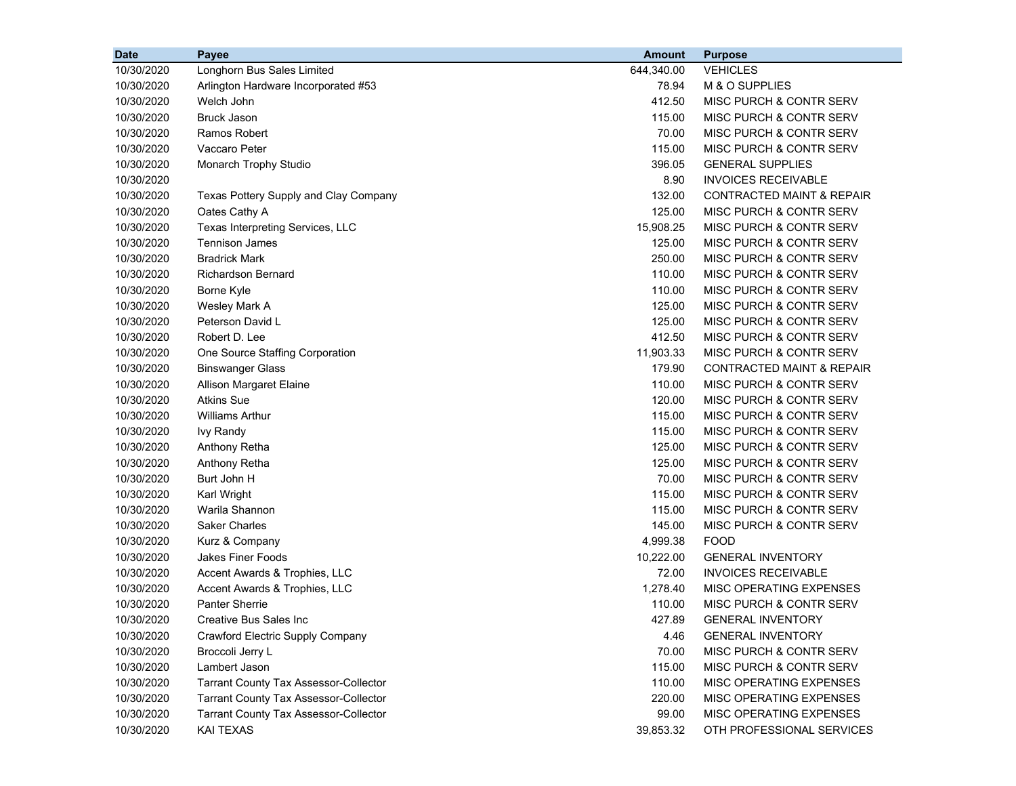| <b>Date</b> | Payee                                        | <b>Amount</b> | <b>Purpose</b>                       |
|-------------|----------------------------------------------|---------------|--------------------------------------|
| 10/30/2020  | Longhorn Bus Sales Limited                   | 644,340.00    | <b>VEHICLES</b>                      |
| 10/30/2020  | Arlington Hardware Incorporated #53          | 78.94         | M & O SUPPLIES                       |
| 10/30/2020  | Welch John                                   | 412.50        | MISC PURCH & CONTR SERV              |
| 10/30/2020  | <b>Bruck Jason</b>                           | 115.00        | MISC PURCH & CONTR SERV              |
| 10/30/2020  | Ramos Robert                                 | 70.00         | MISC PURCH & CONTR SERV              |
| 10/30/2020  | Vaccaro Peter                                | 115.00        | MISC PURCH & CONTR SERV              |
| 10/30/2020  | Monarch Trophy Studio                        | 396.05        | <b>GENERAL SUPPLIES</b>              |
| 10/30/2020  |                                              | 8.90          | <b>INVOICES RECEIVABLE</b>           |
| 10/30/2020  | Texas Pottery Supply and Clay Company        | 132.00        | <b>CONTRACTED MAINT &amp; REPAIR</b> |
| 10/30/2020  | Oates Cathy A                                | 125.00        | <b>MISC PURCH &amp; CONTR SERV</b>   |
| 10/30/2020  | Texas Interpreting Services, LLC             | 15,908.25     | <b>MISC PURCH &amp; CONTR SERV</b>   |
| 10/30/2020  | Tennison James                               | 125.00        | MISC PURCH & CONTR SERV              |
| 10/30/2020  | <b>Bradrick Mark</b>                         | 250.00        | MISC PURCH & CONTR SERV              |
| 10/30/2020  | <b>Richardson Bernard</b>                    | 110.00        | MISC PURCH & CONTR SERV              |
| 10/30/2020  | Borne Kyle                                   | 110.00        | MISC PURCH & CONTR SERV              |
| 10/30/2020  | Wesley Mark A                                | 125.00        | MISC PURCH & CONTR SERV              |
| 10/30/2020  | Peterson David L                             | 125.00        | MISC PURCH & CONTR SERV              |
| 10/30/2020  | Robert D. Lee                                | 412.50        | MISC PURCH & CONTR SERV              |
| 10/30/2020  | One Source Staffing Corporation              | 11,903.33     | MISC PURCH & CONTR SERV              |
| 10/30/2020  | <b>Binswanger Glass</b>                      | 179.90        | CONTRACTED MAINT & REPAIR            |
| 10/30/2020  | Allison Margaret Elaine                      | 110.00        | MISC PURCH & CONTR SERV              |
| 10/30/2020  | <b>Atkins Sue</b>                            | 120.00        | <b>MISC PURCH &amp; CONTR SERV</b>   |
| 10/30/2020  | <b>Williams Arthur</b>                       | 115.00        | MISC PURCH & CONTR SERV              |
| 10/30/2020  | <b>Ivy Randy</b>                             | 115.00        | MISC PURCH & CONTR SERV              |
| 10/30/2020  | Anthony Retha                                | 125.00        | MISC PURCH & CONTR SERV              |
| 10/30/2020  | Anthony Retha                                | 125.00        | MISC PURCH & CONTR SERV              |
| 10/30/2020  | Burt John H                                  | 70.00         | MISC PURCH & CONTR SERV              |
| 10/30/2020  | Karl Wright                                  | 115.00        | MISC PURCH & CONTR SERV              |
| 10/30/2020  | Warila Shannon                               | 115.00        | MISC PURCH & CONTR SERV              |
| 10/30/2020  | <b>Saker Charles</b>                         | 145.00        | MISC PURCH & CONTR SERV              |
| 10/30/2020  | Kurz & Company                               | 4,999.38      | <b>FOOD</b>                          |
| 10/30/2020  | <b>Jakes Finer Foods</b>                     | 10,222.00     | <b>GENERAL INVENTORY</b>             |
| 10/30/2020  | Accent Awards & Trophies, LLC                | 72.00         | <b>INVOICES RECEIVABLE</b>           |
| 10/30/2020  | Accent Awards & Trophies, LLC                | 1,278.40      | MISC OPERATING EXPENSES              |
| 10/30/2020  | <b>Panter Sherrie</b>                        | 110.00        | <b>MISC PURCH &amp; CONTR SERV</b>   |
| 10/30/2020  | Creative Bus Sales Inc                       | 427.89        | <b>GENERAL INVENTORY</b>             |
| 10/30/2020  | Crawford Electric Supply Company             | 4.46          | <b>GENERAL INVENTORY</b>             |
| 10/30/2020  | Broccoli Jerry L                             | 70.00         | MISC PURCH & CONTR SERV              |
| 10/30/2020  | Lambert Jason                                | 115.00        | MISC PURCH & CONTR SERV              |
| 10/30/2020  | <b>Tarrant County Tax Assessor-Collector</b> | 110.00        | MISC OPERATING EXPENSES              |
| 10/30/2020  | <b>Tarrant County Tax Assessor-Collector</b> | 220.00        | MISC OPERATING EXPENSES              |
| 10/30/2020  | <b>Tarrant County Tax Assessor-Collector</b> | 99.00         | MISC OPERATING EXPENSES              |
| 10/30/2020  | <b>KAI TEXAS</b>                             | 39,853.32     | OTH PROFESSIONAL SERVICES            |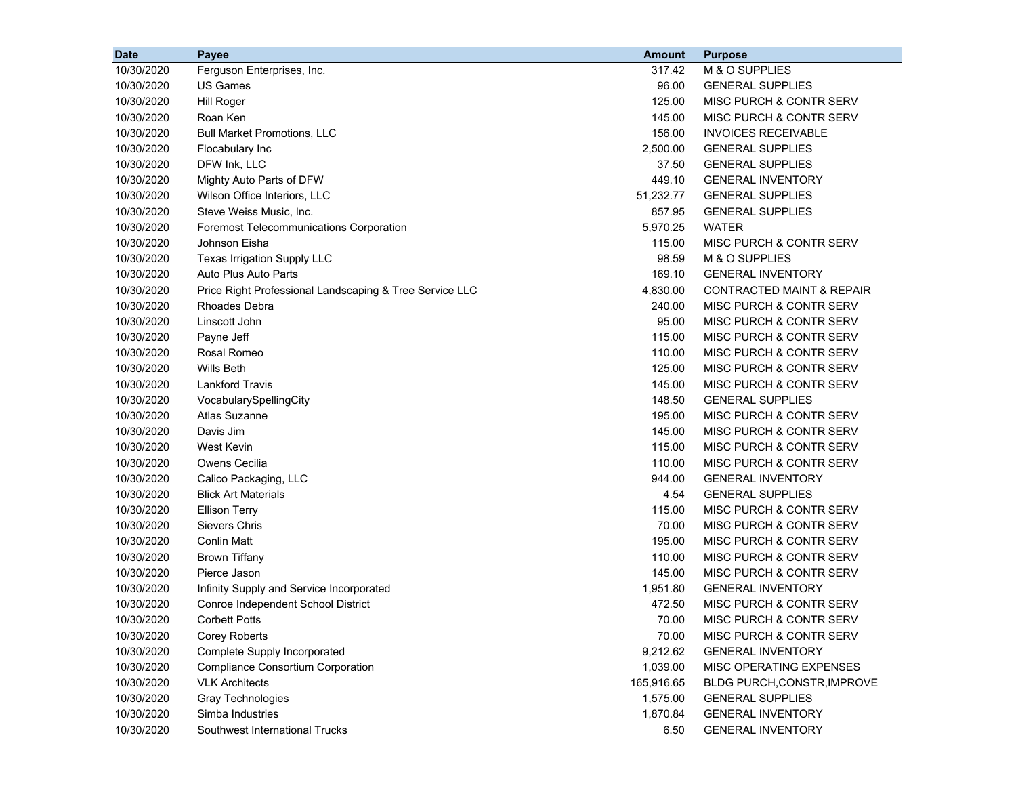| <b>Date</b> | Payee                                                   | <b>Amount</b> | <b>Purpose</b>                     |
|-------------|---------------------------------------------------------|---------------|------------------------------------|
| 10/30/2020  | Ferguson Enterprises, Inc.                              | 317.42        | M & O SUPPLIES                     |
| 10/30/2020  | <b>US Games</b>                                         | 96.00         | <b>GENERAL SUPPLIES</b>            |
| 10/30/2020  | Hill Roger                                              | 125.00        | MISC PURCH & CONTR SERV            |
| 10/30/2020  | Roan Ken                                                | 145.00        | MISC PURCH & CONTR SERV            |
| 10/30/2020  | <b>Bull Market Promotions, LLC</b>                      | 156.00        | <b>INVOICES RECEIVABLE</b>         |
| 10/30/2020  | Flocabulary Inc                                         | 2,500.00      | <b>GENERAL SUPPLIES</b>            |
| 10/30/2020  | DFW Ink, LLC                                            | 37.50         | <b>GENERAL SUPPLIES</b>            |
| 10/30/2020  | Mighty Auto Parts of DFW                                | 449.10        | <b>GENERAL INVENTORY</b>           |
| 10/30/2020  | Wilson Office Interiors, LLC                            | 51,232.77     | <b>GENERAL SUPPLIES</b>            |
| 10/30/2020  | Steve Weiss Music, Inc.                                 | 857.95        | <b>GENERAL SUPPLIES</b>            |
| 10/30/2020  | <b>Foremost Telecommunications Corporation</b>          | 5,970.25      | <b>WATER</b>                       |
| 10/30/2020  | Johnson Eisha                                           | 115.00        | MISC PURCH & CONTR SERV            |
| 10/30/2020  | Texas Irrigation Supply LLC                             | 98.59         | M & O SUPPLIES                     |
| 10/30/2020  | Auto Plus Auto Parts                                    | 169.10        | <b>GENERAL INVENTORY</b>           |
| 10/30/2020  | Price Right Professional Landscaping & Tree Service LLC | 4,830.00      | CONTRACTED MAINT & REPAIR          |
| 10/30/2020  | Rhoades Debra                                           | 240.00        | <b>MISC PURCH &amp; CONTR SERV</b> |
| 10/30/2020  | Linscott John                                           | 95.00         | MISC PURCH & CONTR SERV            |
| 10/30/2020  | Payne Jeff                                              | 115.00        | MISC PURCH & CONTR SERV            |
| 10/30/2020  | Rosal Romeo                                             | 110.00        | MISC PURCH & CONTR SERV            |
| 10/30/2020  | Wills Beth                                              | 125.00        | MISC PURCH & CONTR SERV            |
| 10/30/2020  | <b>Lankford Travis</b>                                  | 145.00        | MISC PURCH & CONTR SERV            |
| 10/30/2020  | VocabularySpellingCity                                  | 148.50        | <b>GENERAL SUPPLIES</b>            |
| 10/30/2020  | Atlas Suzanne                                           | 195.00        | MISC PURCH & CONTR SERV            |
| 10/30/2020  | Davis Jim                                               | 145.00        | MISC PURCH & CONTR SERV            |
| 10/30/2020  | <b>West Kevin</b>                                       | 115.00        | MISC PURCH & CONTR SERV            |
| 10/30/2020  | Owens Cecilia                                           | 110.00        | MISC PURCH & CONTR SERV            |
| 10/30/2020  | Calico Packaging, LLC                                   | 944.00        | <b>GENERAL INVENTORY</b>           |
| 10/30/2020  | <b>Blick Art Materials</b>                              | 4.54          | <b>GENERAL SUPPLIES</b>            |
| 10/30/2020  | <b>Ellison Terry</b>                                    | 115.00        | MISC PURCH & CONTR SERV            |
| 10/30/2020  | <b>Sievers Chris</b>                                    | 70.00         | MISC PURCH & CONTR SERV            |
| 10/30/2020  | <b>Conlin Matt</b>                                      | 195.00        | MISC PURCH & CONTR SERV            |
| 10/30/2020  | <b>Brown Tiffany</b>                                    | 110.00        | MISC PURCH & CONTR SERV            |
| 10/30/2020  | Pierce Jason                                            | 145.00        | MISC PURCH & CONTR SERV            |
| 10/30/2020  | Infinity Supply and Service Incorporated                | 1,951.80      | <b>GENERAL INVENTORY</b>           |
| 10/30/2020  | Conroe Independent School District                      | 472.50        | MISC PURCH & CONTR SERV            |
| 10/30/2020  | <b>Corbett Potts</b>                                    | 70.00         | MISC PURCH & CONTR SERV            |
| 10/30/2020  | <b>Corey Roberts</b>                                    | 70.00         | MISC PURCH & CONTR SERV            |
| 10/30/2020  | Complete Supply Incorporated                            | 9,212.62      | <b>GENERAL INVENTORY</b>           |
| 10/30/2020  | <b>Compliance Consortium Corporation</b>                | 1,039.00      | MISC OPERATING EXPENSES            |
| 10/30/2020  | <b>VLK Architects</b>                                   | 165,916.65    | <b>BLDG PURCH, CONSTR, IMPROVE</b> |
| 10/30/2020  | <b>Gray Technologies</b>                                | 1,575.00      | <b>GENERAL SUPPLIES</b>            |
| 10/30/2020  | Simba Industries                                        | 1,870.84      | <b>GENERAL INVENTORY</b>           |
| 10/30/2020  | Southwest International Trucks                          | 6.50          | <b>GENERAL INVENTORY</b>           |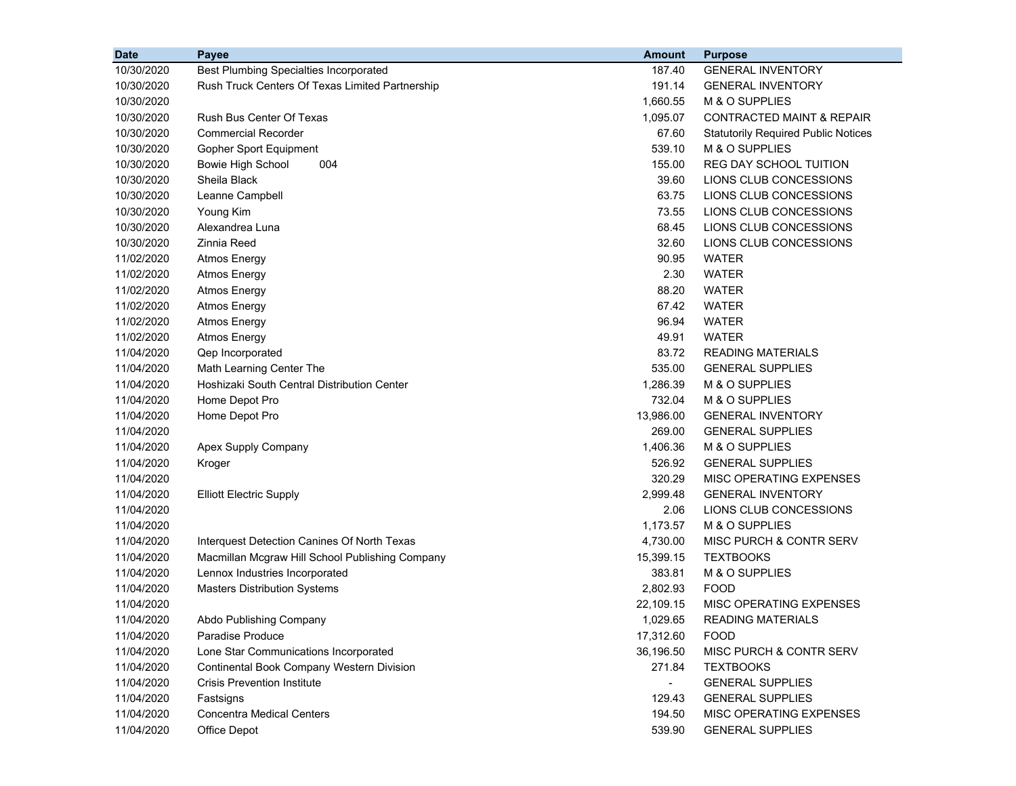| <b>Date</b> | Payee                                            | <b>Amount</b> | <b>Purpose</b>                             |
|-------------|--------------------------------------------------|---------------|--------------------------------------------|
| 10/30/2020  | <b>Best Plumbing Specialties Incorporated</b>    | 187.40        | <b>GENERAL INVENTORY</b>                   |
| 10/30/2020  | Rush Truck Centers Of Texas Limited Partnership  | 191.14        | <b>GENERAL INVENTORY</b>                   |
| 10/30/2020  |                                                  | 1,660.55      | M & O SUPPLIES                             |
| 10/30/2020  | <b>Rush Bus Center Of Texas</b>                  | 1,095.07      | <b>CONTRACTED MAINT &amp; REPAIR</b>       |
| 10/30/2020  | <b>Commercial Recorder</b>                       | 67.60         | <b>Statutorily Required Public Notices</b> |
| 10/30/2020  | <b>Gopher Sport Equipment</b>                    | 539.10        | M & O SUPPLIES                             |
| 10/30/2020  | <b>Bowie High School</b><br>004                  | 155.00        | REG DAY SCHOOL TUITION                     |
| 10/30/2020  | Sheila Black                                     | 39.60         | LIONS CLUB CONCESSIONS                     |
| 10/30/2020  | Leanne Campbell                                  | 63.75         | LIONS CLUB CONCESSIONS                     |
| 10/30/2020  | Young Kim                                        | 73.55         | LIONS CLUB CONCESSIONS                     |
| 10/30/2020  | Alexandrea Luna                                  | 68.45         | LIONS CLUB CONCESSIONS                     |
| 10/30/2020  | Zinnia Reed                                      | 32.60         | LIONS CLUB CONCESSIONS                     |
| 11/02/2020  | <b>Atmos Energy</b>                              | 90.95         | WATER                                      |
| 11/02/2020  | <b>Atmos Energy</b>                              | 2.30          | <b>WATER</b>                               |
| 11/02/2020  | <b>Atmos Energy</b>                              | 88.20         | <b>WATER</b>                               |
| 11/02/2020  | <b>Atmos Energy</b>                              | 67.42         | <b>WATER</b>                               |
| 11/02/2020  | <b>Atmos Energy</b>                              | 96.94         | <b>WATER</b>                               |
| 11/02/2020  | <b>Atmos Energy</b>                              | 49.91         | <b>WATER</b>                               |
| 11/04/2020  | Qep Incorporated                                 | 83.72         | <b>READING MATERIALS</b>                   |
| 11/04/2020  | Math Learning Center The                         | 535.00        | <b>GENERAL SUPPLIES</b>                    |
| 11/04/2020  | Hoshizaki South Central Distribution Center      | 1,286.39      | M & O SUPPLIES                             |
| 11/04/2020  | Home Depot Pro                                   | 732.04        | M & O SUPPLIES                             |
| 11/04/2020  | Home Depot Pro                                   | 13,986.00     | <b>GENERAL INVENTORY</b>                   |
| 11/04/2020  |                                                  | 269.00        | <b>GENERAL SUPPLIES</b>                    |
| 11/04/2020  | Apex Supply Company                              | 1,406.36      | M & O SUPPLIES                             |
| 11/04/2020  | Kroger                                           | 526.92        | <b>GENERAL SUPPLIES</b>                    |
| 11/04/2020  |                                                  | 320.29        | MISC OPERATING EXPENSES                    |
| 11/04/2020  | <b>Elliott Electric Supply</b>                   | 2,999.48      | <b>GENERAL INVENTORY</b>                   |
| 11/04/2020  |                                                  | 2.06          | LIONS CLUB CONCESSIONS                     |
| 11/04/2020  |                                                  | 1,173.57      | M & O SUPPLIES                             |
| 11/04/2020  | Interquest Detection Canines Of North Texas      | 4,730.00      | MISC PURCH & CONTR SERV                    |
| 11/04/2020  | Macmillan Mcgraw Hill School Publishing Company  | 15,399.15     | <b>TEXTBOOKS</b>                           |
| 11/04/2020  | Lennox Industries Incorporated                   | 383.81        | M & O SUPPLIES                             |
| 11/04/2020  | <b>Masters Distribution Systems</b>              | 2,802.93      | <b>FOOD</b>                                |
| 11/04/2020  |                                                  | 22,109.15     | <b>MISC OPERATING EXPENSES</b>             |
| 11/04/2020  | Abdo Publishing Company                          | 1,029.65      | <b>READING MATERIALS</b>                   |
| 11/04/2020  | Paradise Produce                                 | 17,312.60     | <b>FOOD</b>                                |
| 11/04/2020  | Lone Star Communications Incorporated            | 36,196.50     | MISC PURCH & CONTR SERV                    |
| 11/04/2020  | <b>Continental Book Company Western Division</b> | 271.84        | <b>TEXTBOOKS</b>                           |
| 11/04/2020  | <b>Crisis Prevention Institute</b>               | $\sim$        | <b>GENERAL SUPPLIES</b>                    |
| 11/04/2020  | Fastsigns                                        | 129.43        | <b>GENERAL SUPPLIES</b>                    |
| 11/04/2020  | <b>Concentra Medical Centers</b>                 | 194.50        | MISC OPERATING EXPENSES                    |
| 11/04/2020  | Office Depot                                     | 539.90        | <b>GENERAL SUPPLIES</b>                    |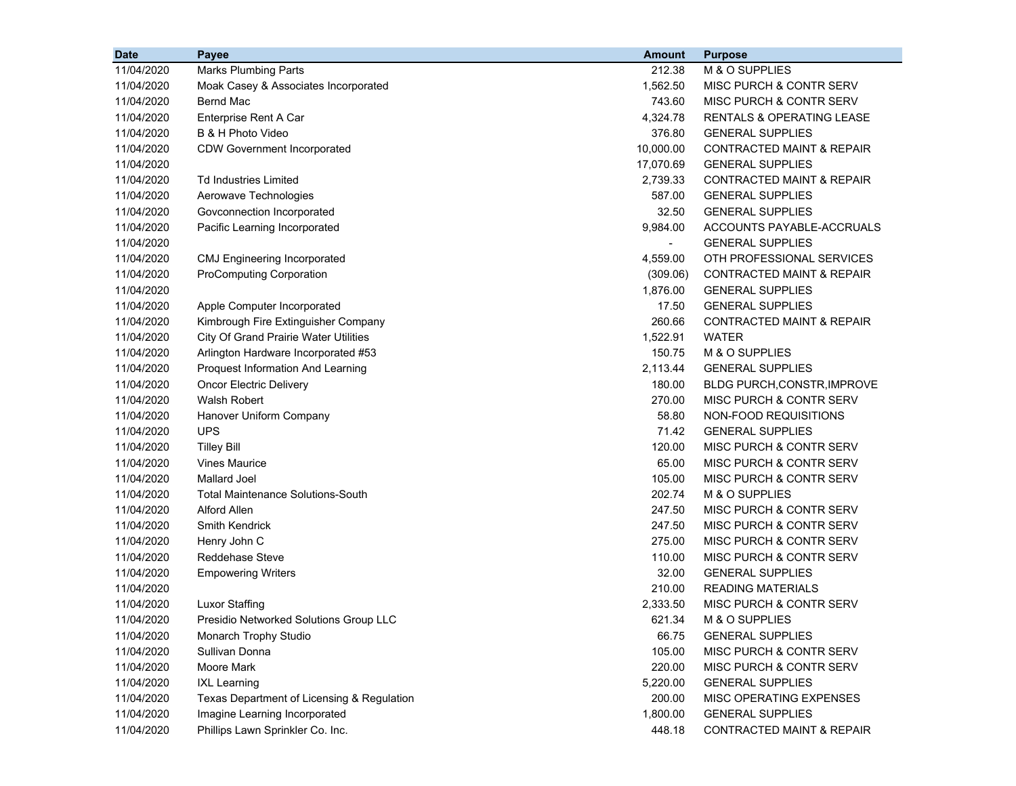| <b>Date</b> | Payee                                        | <b>Amount</b> | <b>Purpose</b>                       |
|-------------|----------------------------------------------|---------------|--------------------------------------|
| 11/04/2020  | <b>Marks Plumbing Parts</b>                  | 212.38        | M & O SUPPLIES                       |
| 11/04/2020  | Moak Casey & Associates Incorporated         | 1,562.50      | MISC PURCH & CONTR SERV              |
| 11/04/2020  | <b>Bernd Mac</b>                             | 743.60        | MISC PURCH & CONTR SERV              |
| 11/04/2020  | Enterprise Rent A Car                        | 4,324.78      | <b>RENTALS &amp; OPERATING LEASE</b> |
| 11/04/2020  | B & H Photo Video                            | 376.80        | <b>GENERAL SUPPLIES</b>              |
| 11/04/2020  | <b>CDW Government Incorporated</b>           | 10,000.00     | CONTRACTED MAINT & REPAIR            |
| 11/04/2020  |                                              | 17,070.69     | <b>GENERAL SUPPLIES</b>              |
| 11/04/2020  | <b>Td Industries Limited</b>                 | 2,739.33      | <b>CONTRACTED MAINT &amp; REPAIR</b> |
| 11/04/2020  | Aerowave Technologies                        | 587.00        | <b>GENERAL SUPPLIES</b>              |
| 11/04/2020  | Govconnection Incorporated                   | 32.50         | <b>GENERAL SUPPLIES</b>              |
| 11/04/2020  | Pacific Learning Incorporated                | 9,984.00      | ACCOUNTS PAYABLE-ACCRUALS            |
| 11/04/2020  |                                              |               | <b>GENERAL SUPPLIES</b>              |
| 11/04/2020  | <b>CMJ Engineering Incorporated</b>          | 4,559.00      | OTH PROFESSIONAL SERVICES            |
| 11/04/2020  | <b>ProComputing Corporation</b>              | (309.06)      | <b>CONTRACTED MAINT &amp; REPAIR</b> |
| 11/04/2020  |                                              | 1,876.00      | <b>GENERAL SUPPLIES</b>              |
| 11/04/2020  | Apple Computer Incorporated                  | 17.50         | <b>GENERAL SUPPLIES</b>              |
| 11/04/2020  | Kimbrough Fire Extinguisher Company          | 260.66        | <b>CONTRACTED MAINT &amp; REPAIR</b> |
| 11/04/2020  | <b>City Of Grand Prairie Water Utilities</b> | 1,522.91      | <b>WATER</b>                         |
| 11/04/2020  | Arlington Hardware Incorporated #53          | 150.75        | M & O SUPPLIES                       |
| 11/04/2020  | Proquest Information And Learning            | 2,113.44      | <b>GENERAL SUPPLIES</b>              |
| 11/04/2020  | <b>Oncor Electric Delivery</b>               | 180.00        | <b>BLDG PURCH, CONSTR, IMPROVE</b>   |
| 11/04/2020  | <b>Walsh Robert</b>                          | 270.00        | MISC PURCH & CONTR SERV              |
| 11/04/2020  | Hanover Uniform Company                      | 58.80         | NON-FOOD REQUISITIONS                |
| 11/04/2020  | <b>UPS</b>                                   | 71.42         | <b>GENERAL SUPPLIES</b>              |
| 11/04/2020  | <b>Tilley Bill</b>                           | 120.00        | MISC PURCH & CONTR SERV              |
| 11/04/2020  | <b>Vines Maurice</b>                         | 65.00         | MISC PURCH & CONTR SERV              |
| 11/04/2020  | <b>Mallard Joel</b>                          | 105.00        | MISC PURCH & CONTR SERV              |
| 11/04/2020  | <b>Total Maintenance Solutions-South</b>     | 202.74        | M & O SUPPLIES                       |
| 11/04/2020  | <b>Alford Allen</b>                          | 247.50        | MISC PURCH & CONTR SERV              |
| 11/04/2020  | Smith Kendrick                               | 247.50        | MISC PURCH & CONTR SERV              |
| 11/04/2020  | Henry John C                                 | 275.00        | MISC PURCH & CONTR SERV              |
| 11/04/2020  | <b>Reddehase Steve</b>                       | 110.00        | MISC PURCH & CONTR SERV              |
| 11/04/2020  | <b>Empowering Writers</b>                    | 32.00         | <b>GENERAL SUPPLIES</b>              |
| 11/04/2020  |                                              | 210.00        | <b>READING MATERIALS</b>             |
| 11/04/2020  | Luxor Staffing                               | 2,333.50      | MISC PURCH & CONTR SERV              |
| 11/04/2020  | Presidio Networked Solutions Group LLC       | 621.34        | M & O SUPPLIES                       |
| 11/04/2020  | Monarch Trophy Studio                        | 66.75         | <b>GENERAL SUPPLIES</b>              |
| 11/04/2020  | Sullivan Donna                               | 105.00        | MISC PURCH & CONTR SERV              |
| 11/04/2020  | Moore Mark                                   | 220.00        | MISC PURCH & CONTR SERV              |
| 11/04/2020  | <b>IXL Learning</b>                          | 5,220.00      | <b>GENERAL SUPPLIES</b>              |
| 11/04/2020  | Texas Department of Licensing & Regulation   | 200.00        | MISC OPERATING EXPENSES              |
| 11/04/2020  | Imagine Learning Incorporated                | 1,800.00      | <b>GENERAL SUPPLIES</b>              |
| 11/04/2020  | Phillips Lawn Sprinkler Co. Inc.             | 448.18        | CONTRACTED MAINT & REPAIR            |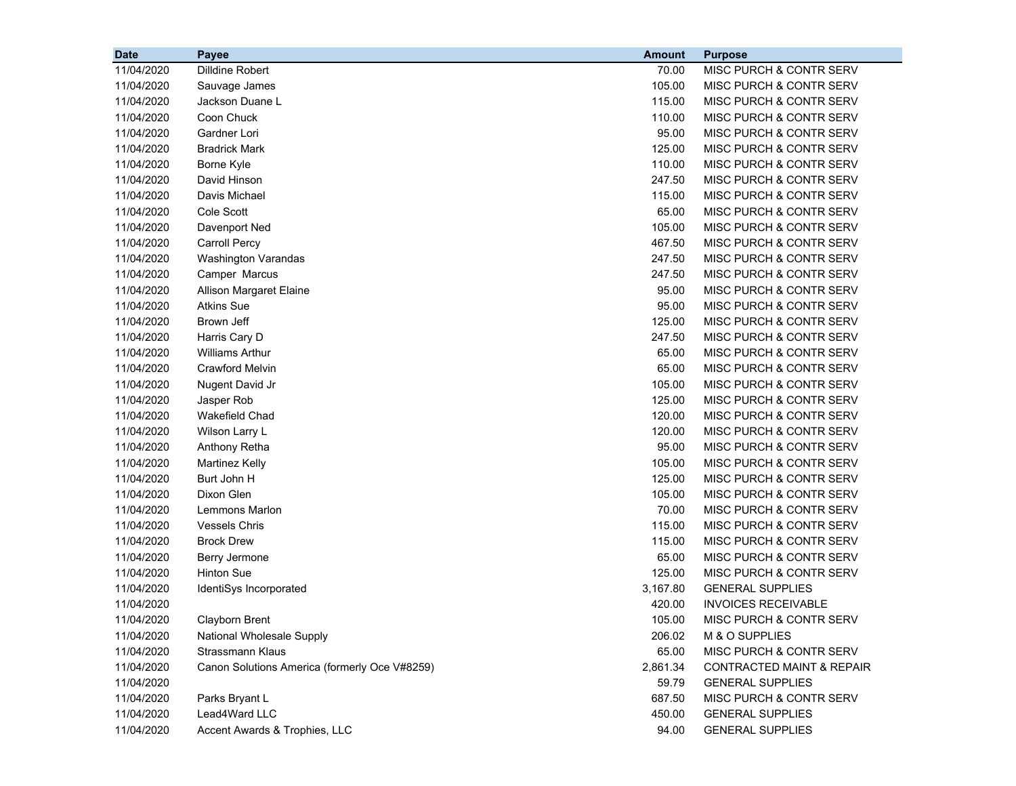| <b>Date</b> | Payee                                         | <b>Amount</b> | <b>Purpose</b>                       |
|-------------|-----------------------------------------------|---------------|--------------------------------------|
| 11/04/2020  | Dilldine Robert                               | 70.00         | MISC PURCH & CONTR SERV              |
| 11/04/2020  | Sauvage James                                 | 105.00        | MISC PURCH & CONTR SERV              |
| 11/04/2020  | Jackson Duane L                               | 115.00        | MISC PURCH & CONTR SERV              |
| 11/04/2020  | Coon Chuck                                    | 110.00        | MISC PURCH & CONTR SERV              |
| 11/04/2020  | Gardner Lori                                  | 95.00         | MISC PURCH & CONTR SERV              |
| 11/04/2020  | <b>Bradrick Mark</b>                          | 125.00        | MISC PURCH & CONTR SERV              |
| 11/04/2020  | Borne Kyle                                    | 110.00        | MISC PURCH & CONTR SERV              |
| 11/04/2020  | David Hinson                                  | 247.50        | MISC PURCH & CONTR SERV              |
| 11/04/2020  | Davis Michael                                 | 115.00        | MISC PURCH & CONTR SERV              |
| 11/04/2020  | Cole Scott                                    | 65.00         | MISC PURCH & CONTR SERV              |
| 11/04/2020  | Davenport Ned                                 | 105.00        | <b>MISC PURCH &amp; CONTR SERV</b>   |
| 11/04/2020  | <b>Carroll Percy</b>                          | 467.50        | MISC PURCH & CONTR SERV              |
| 11/04/2020  | <b>Washington Varandas</b>                    | 247.50        | MISC PURCH & CONTR SERV              |
| 11/04/2020  | Camper Marcus                                 | 247.50        | MISC PURCH & CONTR SERV              |
| 11/04/2020  | Allison Margaret Elaine                       | 95.00         | MISC PURCH & CONTR SERV              |
| 11/04/2020  | <b>Atkins Sue</b>                             | 95.00         | MISC PURCH & CONTR SERV              |
| 11/04/2020  | Brown Jeff                                    | 125.00        | MISC PURCH & CONTR SERV              |
| 11/04/2020  | Harris Cary D                                 | 247.50        | MISC PURCH & CONTR SERV              |
| 11/04/2020  | <b>Williams Arthur</b>                        | 65.00         | MISC PURCH & CONTR SERV              |
| 11/04/2020  | Crawford Melvin                               | 65.00         | MISC PURCH & CONTR SERV              |
| 11/04/2020  | Nugent David Jr                               | 105.00        | MISC PURCH & CONTR SERV              |
| 11/04/2020  | Jasper Rob                                    | 125.00        | <b>MISC PURCH &amp; CONTR SERV</b>   |
| 11/04/2020  | <b>Wakefield Chad</b>                         | 120.00        | MISC PURCH & CONTR SERV              |
| 11/04/2020  | Wilson Larry L                                | 120.00        | MISC PURCH & CONTR SERV              |
| 11/04/2020  | Anthony Retha                                 | 95.00         | MISC PURCH & CONTR SERV              |
| 11/04/2020  | <b>Martinez Kelly</b>                         | 105.00        | MISC PURCH & CONTR SERV              |
| 11/04/2020  | Burt John H                                   | 125.00        | MISC PURCH & CONTR SERV              |
| 11/04/2020  | Dixon Glen                                    | 105.00        | MISC PURCH & CONTR SERV              |
| 11/04/2020  | Lemmons Marlon                                | 70.00         | MISC PURCH & CONTR SERV              |
| 11/04/2020  | <b>Vessels Chris</b>                          | 115.00        | MISC PURCH & CONTR SERV              |
| 11/04/2020  | <b>Brock Drew</b>                             | 115.00        | MISC PURCH & CONTR SERV              |
| 11/04/2020  | Berry Jermone                                 | 65.00         | MISC PURCH & CONTR SERV              |
| 11/04/2020  | <b>Hinton Sue</b>                             | 125.00        | MISC PURCH & CONTR SERV              |
| 11/04/2020  | IdentiSys Incorporated                        | 3,167.80      | <b>GENERAL SUPPLIES</b>              |
| 11/04/2020  |                                               | 420.00        | <b>INVOICES RECEIVABLE</b>           |
| 11/04/2020  | Clayborn Brent                                | 105.00        | MISC PURCH & CONTR SERV              |
| 11/04/2020  | National Wholesale Supply                     | 206.02        | M & O SUPPLIES                       |
| 11/04/2020  | <b>Strassmann Klaus</b>                       | 65.00         | MISC PURCH & CONTR SERV              |
| 11/04/2020  | Canon Solutions America (formerly Oce V#8259) | 2,861.34      | <b>CONTRACTED MAINT &amp; REPAIR</b> |
| 11/04/2020  |                                               | 59.79         | <b>GENERAL SUPPLIES</b>              |
| 11/04/2020  | Parks Bryant L                                | 687.50        | MISC PURCH & CONTR SERV              |
| 11/04/2020  | Lead4Ward LLC                                 | 450.00        | <b>GENERAL SUPPLIES</b>              |
| 11/04/2020  | Accent Awards & Trophies, LLC                 | 94.00         | <b>GENERAL SUPPLIES</b>              |
|             |                                               |               |                                      |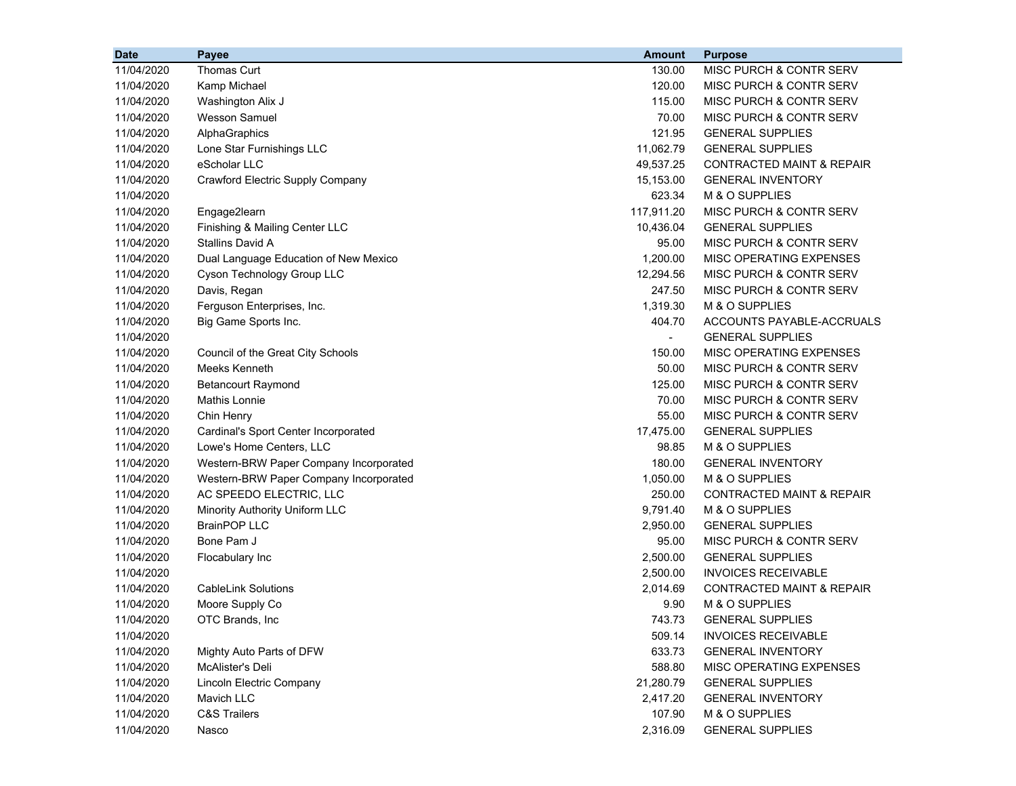| <b>Date</b> | Payee                                  | <b>Amount</b> | <b>Purpose</b>                       |
|-------------|----------------------------------------|---------------|--------------------------------------|
| 11/04/2020  | Thomas Curt                            | 130.00        | MISC PURCH & CONTR SERV              |
| 11/04/2020  | Kamp Michael                           | 120.00        | MISC PURCH & CONTR SERV              |
| 11/04/2020  | Washington Alix J                      | 115.00        | MISC PURCH & CONTR SERV              |
| 11/04/2020  | <b>Wesson Samuel</b>                   | 70.00         | MISC PURCH & CONTR SERV              |
| 11/04/2020  | AlphaGraphics                          | 121.95        | <b>GENERAL SUPPLIES</b>              |
| 11/04/2020  | Lone Star Furnishings LLC              | 11,062.79     | <b>GENERAL SUPPLIES</b>              |
| 11/04/2020  | eScholar LLC                           | 49,537.25     | <b>CONTRACTED MAINT &amp; REPAIR</b> |
| 11/04/2020  | Crawford Electric Supply Company       | 15,153.00     | <b>GENERAL INVENTORY</b>             |
| 11/04/2020  |                                        | 623.34        | M & O SUPPLIES                       |
| 11/04/2020  | Engage2learn                           | 117,911.20    | <b>MISC PURCH &amp; CONTR SERV</b>   |
| 11/04/2020  | Finishing & Mailing Center LLC         | 10,436.04     | <b>GENERAL SUPPLIES</b>              |
| 11/04/2020  | Stallins David A                       | 95.00         | MISC PURCH & CONTR SERV              |
| 11/04/2020  | Dual Language Education of New Mexico  | 1,200.00      | MISC OPERATING EXPENSES              |
| 11/04/2020  | Cyson Technology Group LLC             | 12,294.56     | MISC PURCH & CONTR SERV              |
| 11/04/2020  | Davis, Regan                           | 247.50        | MISC PURCH & CONTR SERV              |
| 11/04/2020  | Ferguson Enterprises, Inc.             | 1,319.30      | M & O SUPPLIES                       |
| 11/04/2020  | Big Game Sports Inc.                   | 404.70        | ACCOUNTS PAYABLE-ACCRUALS            |
| 11/04/2020  |                                        | $\sim$        | <b>GENERAL SUPPLIES</b>              |
| 11/04/2020  | Council of the Great City Schools      | 150.00        | MISC OPERATING EXPENSES              |
| 11/04/2020  | Meeks Kenneth                          | 50.00         | MISC PURCH & CONTR SERV              |
| 11/04/2020  | <b>Betancourt Raymond</b>              | 125.00        | MISC PURCH & CONTR SERV              |
| 11/04/2020  | <b>Mathis Lonnie</b>                   | 70.00         | MISC PURCH & CONTR SERV              |
| 11/04/2020  | Chin Henry                             | 55.00         | MISC PURCH & CONTR SERV              |
| 11/04/2020  | Cardinal's Sport Center Incorporated   | 17,475.00     | <b>GENERAL SUPPLIES</b>              |
| 11/04/2020  | Lowe's Home Centers, LLC               | 98.85         | M & O SUPPLIES                       |
| 11/04/2020  | Western-BRW Paper Company Incorporated | 180.00        | <b>GENERAL INVENTORY</b>             |
| 11/04/2020  | Western-BRW Paper Company Incorporated | 1,050.00      | M & O SUPPLIES                       |
| 11/04/2020  | AC SPEEDO ELECTRIC, LLC                | 250.00        | <b>CONTRACTED MAINT &amp; REPAIR</b> |
| 11/04/2020  | Minority Authority Uniform LLC         | 9,791.40      | M & O SUPPLIES                       |
| 11/04/2020  | <b>BrainPOP LLC</b>                    | 2,950.00      | <b>GENERAL SUPPLIES</b>              |
| 11/04/2020  | Bone Pam J                             | 95.00         | MISC PURCH & CONTR SERV              |
| 11/04/2020  | Flocabulary Inc                        | 2,500.00      | <b>GENERAL SUPPLIES</b>              |
| 11/04/2020  |                                        | 2,500.00      | <b>INVOICES RECEIVABLE</b>           |
| 11/04/2020  | <b>CableLink Solutions</b>             | 2,014.69      | CONTRACTED MAINT & REPAIR            |
| 11/04/2020  | Moore Supply Co                        | 9.90          | M & O SUPPLIES                       |
| 11/04/2020  | OTC Brands, Inc.                       | 743.73        | <b>GENERAL SUPPLIES</b>              |
| 11/04/2020  |                                        | 509.14        | <b>INVOICES RECEIVABLE</b>           |
| 11/04/2020  | Mighty Auto Parts of DFW               | 633.73        | <b>GENERAL INVENTORY</b>             |
| 11/04/2020  | McAlister's Deli                       | 588.80        | MISC OPERATING EXPENSES              |
| 11/04/2020  | Lincoln Electric Company               | 21,280.79     | <b>GENERAL SUPPLIES</b>              |
| 11/04/2020  | Mavich LLC                             | 2,417.20      | <b>GENERAL INVENTORY</b>             |
| 11/04/2020  | <b>C&amp;S Trailers</b>                | 107.90        | M & O SUPPLIES                       |
| 11/04/2020  | Nasco                                  | 2,316.09      | <b>GENERAL SUPPLIES</b>              |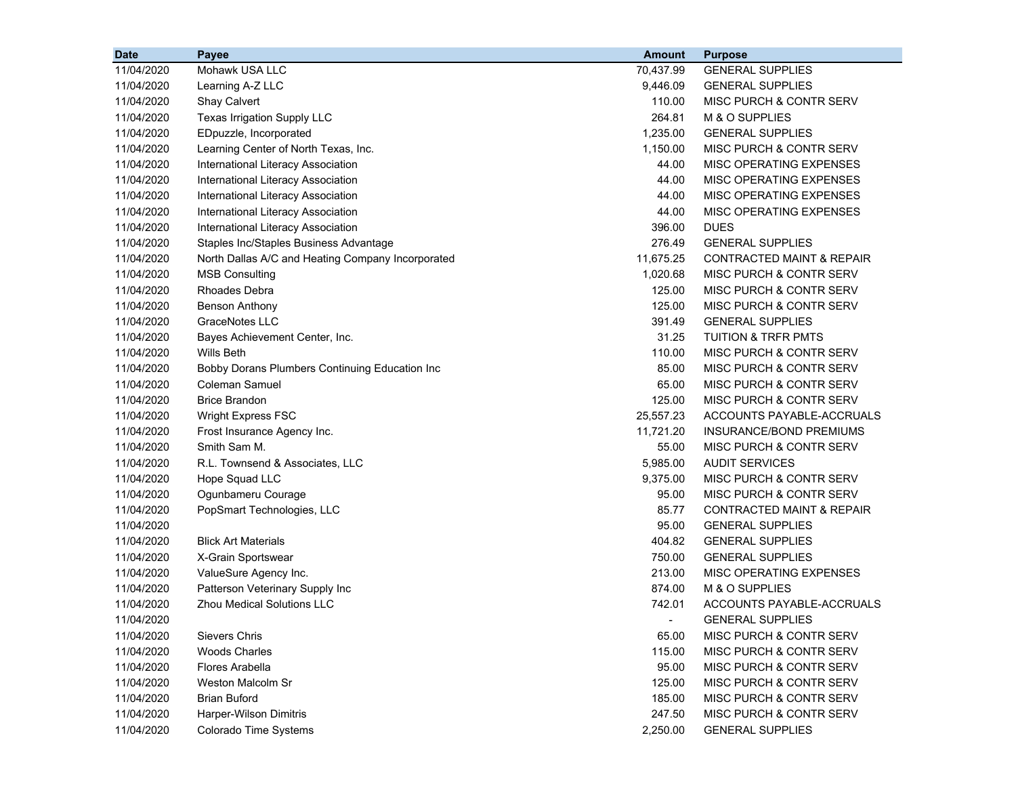| <b>Date</b> | Payee                                             | <b>Amount</b> | <b>Purpose</b>                       |
|-------------|---------------------------------------------------|---------------|--------------------------------------|
| 11/04/2020  | Mohawk USA LLC                                    | 70,437.99     | <b>GENERAL SUPPLIES</b>              |
| 11/04/2020  | Learning A-Z LLC                                  | 9,446.09      | <b>GENERAL SUPPLIES</b>              |
| 11/04/2020  | Shay Calvert                                      | 110.00        | <b>MISC PURCH &amp; CONTR SERV</b>   |
| 11/04/2020  | Texas Irrigation Supply LLC                       | 264.81        | M & O SUPPLIES                       |
| 11/04/2020  | EDpuzzle, Incorporated                            | 1,235.00      | <b>GENERAL SUPPLIES</b>              |
| 11/04/2020  | Learning Center of North Texas, Inc.              | 1,150.00      | MISC PURCH & CONTR SERV              |
| 11/04/2020  | International Literacy Association                | 44.00         | MISC OPERATING EXPENSES              |
| 11/04/2020  | International Literacy Association                | 44.00         | MISC OPERATING EXPENSES              |
| 11/04/2020  | International Literacy Association                | 44.00         | MISC OPERATING EXPENSES              |
| 11/04/2020  | International Literacy Association                | 44.00         | <b>MISC OPERATING EXPENSES</b>       |
| 11/04/2020  | International Literacy Association                | 396.00        | <b>DUES</b>                          |
| 11/04/2020  | Staples Inc/Staples Business Advantage            | 276.49        | <b>GENERAL SUPPLIES</b>              |
| 11/04/2020  | North Dallas A/C and Heating Company Incorporated | 11,675.25     | <b>CONTRACTED MAINT &amp; REPAIR</b> |
| 11/04/2020  | <b>MSB Consulting</b>                             | 1,020.68      | <b>MISC PURCH &amp; CONTR SERV</b>   |
| 11/04/2020  | <b>Rhoades Debra</b>                              | 125.00        | MISC PURCH & CONTR SERV              |
| 11/04/2020  | <b>Benson Anthony</b>                             | 125.00        | <b>MISC PURCH &amp; CONTR SERV</b>   |
| 11/04/2020  | GraceNotes LLC                                    | 391.49        | <b>GENERAL SUPPLIES</b>              |
| 11/04/2020  | Bayes Achievement Center, Inc.                    | 31.25         | <b>TUITION &amp; TRFR PMTS</b>       |
| 11/04/2020  | Wills Beth                                        | 110.00        | MISC PURCH & CONTR SERV              |
| 11/04/2020  | Bobby Dorans Plumbers Continuing Education Inc    | 85.00         | MISC PURCH & CONTR SERV              |
| 11/04/2020  | Coleman Samuel                                    | 65.00         | MISC PURCH & CONTR SERV              |
| 11/04/2020  | <b>Brice Brandon</b>                              | 125.00        | <b>MISC PURCH &amp; CONTR SERV</b>   |
| 11/04/2020  | <b>Wright Express FSC</b>                         | 25,557.23     | ACCOUNTS PAYABLE-ACCRUALS            |
| 11/04/2020  | Frost Insurance Agency Inc.                       | 11,721.20     | INSURANCE/BOND PREMIUMS              |
| 11/04/2020  | Smith Sam M.                                      | 55.00         | <b>MISC PURCH &amp; CONTR SERV</b>   |
| 11/04/2020  | R.L. Townsend & Associates, LLC                   | 5,985.00      | <b>AUDIT SERVICES</b>                |
| 11/04/2020  | Hope Squad LLC                                    | 9,375.00      | MISC PURCH & CONTR SERV              |
| 11/04/2020  | Ogunbameru Courage                                | 95.00         | <b>MISC PURCH &amp; CONTR SERV</b>   |
| 11/04/2020  | PopSmart Technologies, LLC                        | 85.77         | <b>CONTRACTED MAINT &amp; REPAIR</b> |
| 11/04/2020  |                                                   | 95.00         | <b>GENERAL SUPPLIES</b>              |
| 11/04/2020  | <b>Blick Art Materials</b>                        | 404.82        | <b>GENERAL SUPPLIES</b>              |
| 11/04/2020  | X-Grain Sportswear                                | 750.00        | <b>GENERAL SUPPLIES</b>              |
| 11/04/2020  | ValueSure Agency Inc.                             | 213.00        | MISC OPERATING EXPENSES              |
| 11/04/2020  | Patterson Veterinary Supply Inc                   | 874.00        | M & O SUPPLIES                       |
| 11/04/2020  | <b>Zhou Medical Solutions LLC</b>                 | 742.01        | <b>ACCOUNTS PAYABLE-ACCRUALS</b>     |
| 11/04/2020  |                                                   |               | <b>GENERAL SUPPLIES</b>              |
| 11/04/2020  | <b>Sievers Chris</b>                              | 65.00         | MISC PURCH & CONTR SERV              |
| 11/04/2020  | <b>Woods Charles</b>                              | 115.00        | MISC PURCH & CONTR SERV              |
| 11/04/2020  | <b>Flores Arabella</b>                            | 95.00         | MISC PURCH & CONTR SERV              |
| 11/04/2020  | Weston Malcolm Sr                                 | 125.00        | MISC PURCH & CONTR SERV              |
| 11/04/2020  | <b>Brian Buford</b>                               | 185.00        | MISC PURCH & CONTR SERV              |
| 11/04/2020  | Harper-Wilson Dimitris                            | 247.50        | MISC PURCH & CONTR SERV              |
| 11/04/2020  | Colorado Time Systems                             | 2,250.00      | <b>GENERAL SUPPLIES</b>              |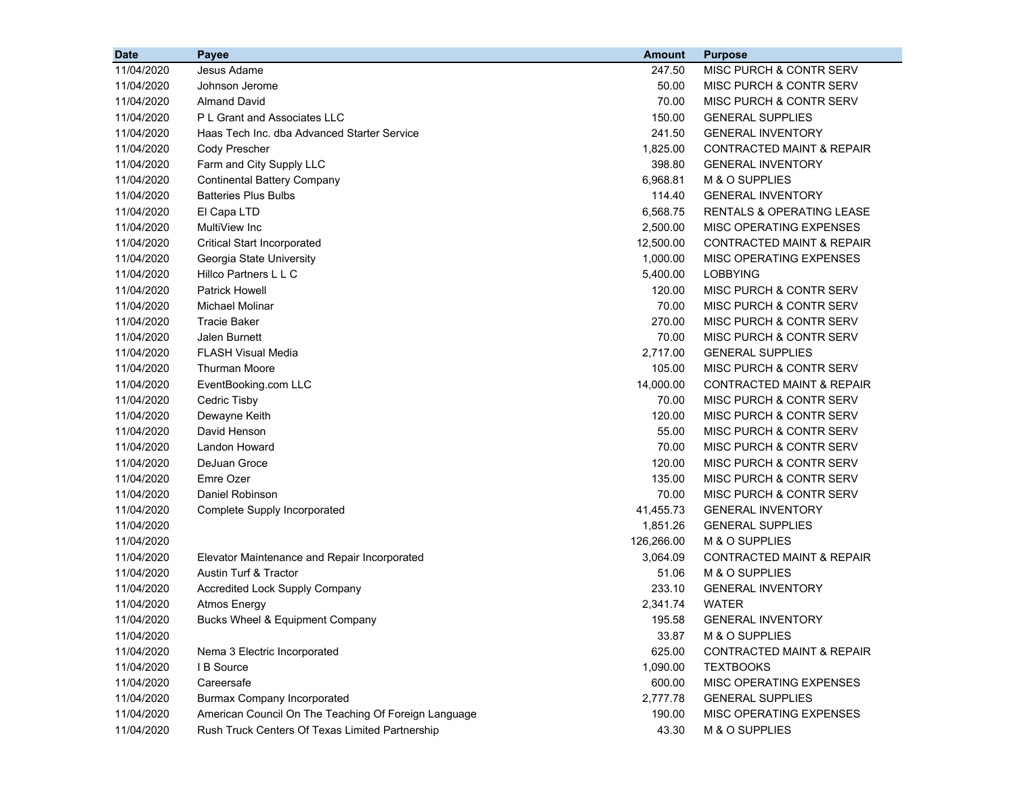| <b>Date</b> | <b>Payee</b>                                         | <b>Amount</b> | <b>Purpose</b>                       |
|-------------|------------------------------------------------------|---------------|--------------------------------------|
| 11/04/2020  | Jesus Adame                                          | 247.50        | MISC PURCH & CONTR SERV              |
| 11/04/2020  | Johnson Jerome                                       | 50.00         | MISC PURCH & CONTR SERV              |
| 11/04/2020  | <b>Almand David</b>                                  | 70.00         | MISC PURCH & CONTR SERV              |
| 11/04/2020  | P L Grant and Associates LLC                         | 150.00        | <b>GENERAL SUPPLIES</b>              |
| 11/04/2020  | Haas Tech Inc. dba Advanced Starter Service          | 241.50        | <b>GENERAL INVENTORY</b>             |
| 11/04/2020  | Cody Prescher                                        | 1,825.00      | <b>CONTRACTED MAINT &amp; REPAIR</b> |
| 11/04/2020  | Farm and City Supply LLC                             | 398.80        | <b>GENERAL INVENTORY</b>             |
| 11/04/2020  | <b>Continental Battery Company</b>                   | 6,968.81      | M & O SUPPLIES                       |
| 11/04/2020  | <b>Batteries Plus Bulbs</b>                          | 114.40        | <b>GENERAL INVENTORY</b>             |
| 11/04/2020  | El Capa LTD                                          | 6,568.75      | RENTALS & OPERATING LEASE            |
| 11/04/2020  | MultiView Inc                                        | 2,500.00      | MISC OPERATING EXPENSES              |
| 11/04/2020  | <b>Critical Start Incorporated</b>                   | 12,500.00     | <b>CONTRACTED MAINT &amp; REPAIR</b> |
| 11/04/2020  | Georgia State University                             | 1,000.00      | MISC OPERATING EXPENSES              |
| 11/04/2020  | Hillco Partners L L C                                | 5,400.00      | <b>LOBBYING</b>                      |
| 11/04/2020  | <b>Patrick Howell</b>                                | 120.00        | MISC PURCH & CONTR SERV              |
| 11/04/2020  | <b>Michael Molinar</b>                               | 70.00         | MISC PURCH & CONTR SERV              |
| 11/04/2020  | <b>Tracie Baker</b>                                  | 270.00        | <b>MISC PURCH &amp; CONTR SERV</b>   |
| 11/04/2020  | Jalen Burnett                                        | 70.00         | MISC PURCH & CONTR SERV              |
| 11/04/2020  | <b>FLASH Visual Media</b>                            | 2,717.00      | <b>GENERAL SUPPLIES</b>              |
| 11/04/2020  | <b>Thurman Moore</b>                                 | 105.00        | MISC PURCH & CONTR SERV              |
| 11/04/2020  | EventBooking.com LLC                                 | 14,000.00     | <b>CONTRACTED MAINT &amp; REPAIR</b> |
| 11/04/2020  | Cedric Tisby                                         | 70.00         | MISC PURCH & CONTR SERV              |
| 11/04/2020  | Dewayne Keith                                        | 120.00        | MISC PURCH & CONTR SERV              |
| 11/04/2020  | David Henson                                         | 55.00         | MISC PURCH & CONTR SERV              |
| 11/04/2020  | <b>Landon Howard</b>                                 | 70.00         | MISC PURCH & CONTR SERV              |
| 11/04/2020  | DeJuan Groce                                         | 120.00        | MISC PURCH & CONTR SERV              |
| 11/04/2020  | Emre Ozer                                            | 135.00        | MISC PURCH & CONTR SERV              |
| 11/04/2020  | Daniel Robinson                                      | 70.00         | MISC PURCH & CONTR SERV              |
| 11/04/2020  | Complete Supply Incorporated                         | 41,455.73     | <b>GENERAL INVENTORY</b>             |
| 11/04/2020  |                                                      | 1,851.26      | <b>GENERAL SUPPLIES</b>              |
| 11/04/2020  |                                                      | 126,266.00    | M & O SUPPLIES                       |
| 11/04/2020  | Elevator Maintenance and Repair Incorporated         | 3,064.09      | <b>CONTRACTED MAINT &amp; REPAIR</b> |
| 11/04/2020  | Austin Turf & Tractor                                | 51.06         | M & O SUPPLIES                       |
| 11/04/2020  | Accredited Lock Supply Company                       | 233.10        | <b>GENERAL INVENTORY</b>             |
| 11/04/2020  | <b>Atmos Energy</b>                                  | 2,341.74      | <b>WATER</b>                         |
| 11/04/2020  | Bucks Wheel & Equipment Company                      | 195.58        | <b>GENERAL INVENTORY</b>             |
| 11/04/2020  |                                                      | 33.87         | M & O SUPPLIES                       |
| 11/04/2020  | Nema 3 Electric Incorporated                         | 625.00        | <b>CONTRACTED MAINT &amp; REPAIR</b> |
| 11/04/2020  | <b>IB</b> Source                                     | 1,090.00      | <b>TEXTBOOKS</b>                     |
| 11/04/2020  | Careersafe                                           | 600.00        | MISC OPERATING EXPENSES              |
| 11/04/2020  | <b>Burmax Company Incorporated</b>                   | 2,777.78      | <b>GENERAL SUPPLIES</b>              |
| 11/04/2020  | American Council On The Teaching Of Foreign Language | 190.00        | MISC OPERATING EXPENSES              |
| 11/04/2020  | Rush Truck Centers Of Texas Limited Partnership      | 43.30         | M & O SUPPLIES                       |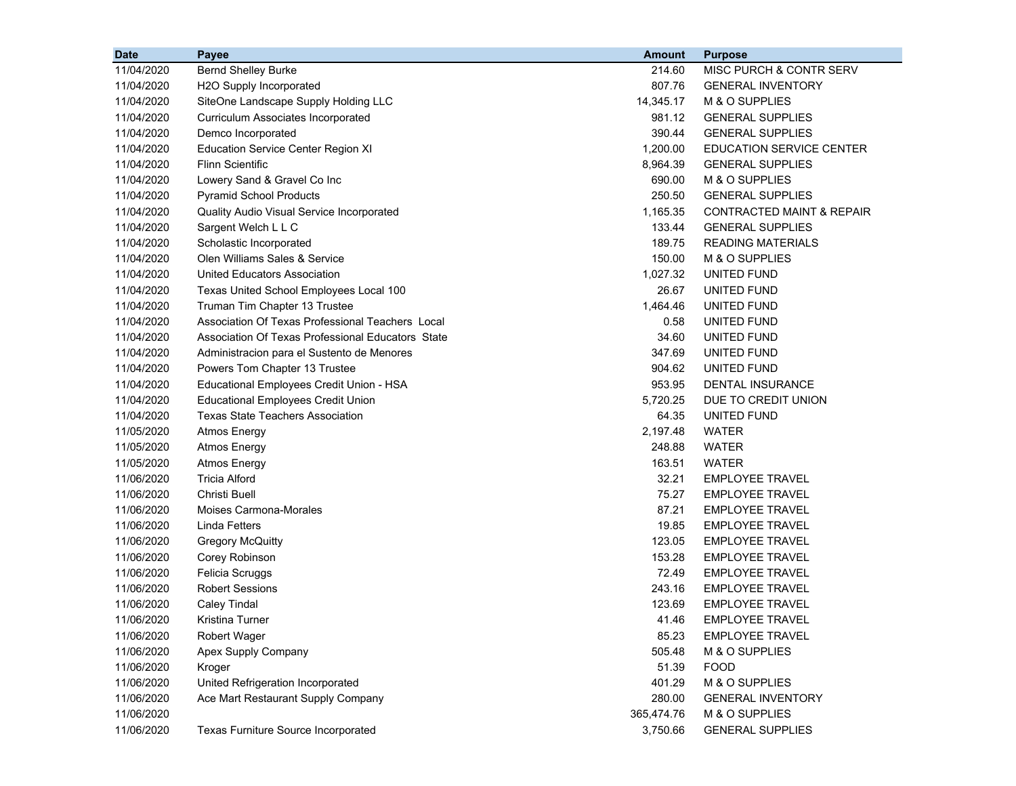| <b>Date</b> | Payee                                             | <b>Amount</b> | <b>Purpose</b>                       |
|-------------|---------------------------------------------------|---------------|--------------------------------------|
| 11/04/2020  | <b>Bernd Shelley Burke</b>                        | 214.60        | MISC PURCH & CONTR SERV              |
| 11/04/2020  | H2O Supply Incorporated                           | 807.76        | <b>GENERAL INVENTORY</b>             |
| 11/04/2020  | SiteOne Landscape Supply Holding LLC              | 14,345.17     | M & O SUPPLIES                       |
| 11/04/2020  | Curriculum Associates Incorporated                | 981.12        | <b>GENERAL SUPPLIES</b>              |
| 11/04/2020  | Demco Incorporated                                | 390.44        | <b>GENERAL SUPPLIES</b>              |
| 11/04/2020  | <b>Education Service Center Region XI</b>         | 1,200.00      | <b>EDUCATION SERVICE CENTER</b>      |
| 11/04/2020  | <b>Flinn Scientific</b>                           | 8,964.39      | <b>GENERAL SUPPLIES</b>              |
| 11/04/2020  | Lowery Sand & Gravel Co Inc                       | 690.00        | M & O SUPPLIES                       |
| 11/04/2020  | <b>Pyramid School Products</b>                    | 250.50        | <b>GENERAL SUPPLIES</b>              |
| 11/04/2020  | Quality Audio Visual Service Incorporated         | 1,165.35      | <b>CONTRACTED MAINT &amp; REPAIR</b> |
| 11/04/2020  | Sargent Welch L L C                               | 133.44        | <b>GENERAL SUPPLIES</b>              |
| 11/04/2020  | Scholastic Incorporated                           | 189.75        | <b>READING MATERIALS</b>             |
| 11/04/2020  | Olen Williams Sales & Service                     | 150.00        | M & O SUPPLIES                       |
| 11/04/2020  | <b>United Educators Association</b>               | 1,027.32      | UNITED FUND                          |
| 11/04/2020  | Texas United School Employees Local 100           | 26.67         | UNITED FUND                          |
| 11/04/2020  | Truman Tim Chapter 13 Trustee                     | 1,464.46      | UNITED FUND                          |
| 11/04/2020  | Association Of Texas Professional Teachers Local  | 0.58          | UNITED FUND                          |
| 11/04/2020  | Association Of Texas Professional Educators State | 34.60         | UNITED FUND                          |
| 11/04/2020  | Administracion para el Sustento de Menores        | 347.69        | UNITED FUND                          |
| 11/04/2020  | Powers Tom Chapter 13 Trustee                     | 904.62        | UNITED FUND                          |
| 11/04/2020  | Educational Employees Credit Union - HSA          | 953.95        | <b>DENTAL INSURANCE</b>              |
| 11/04/2020  | <b>Educational Employees Credit Union</b>         | 5,720.25      | DUE TO CREDIT UNION                  |
| 11/04/2020  | <b>Texas State Teachers Association</b>           | 64.35         | UNITED FUND                          |
| 11/05/2020  | <b>Atmos Energy</b>                               | 2,197.48      | WATER                                |
| 11/05/2020  | <b>Atmos Energy</b>                               | 248.88        | WATER                                |
| 11/05/2020  | <b>Atmos Energy</b>                               | 163.51        | WATER                                |
| 11/06/2020  | <b>Tricia Alford</b>                              | 32.21         | <b>EMPLOYEE TRAVEL</b>               |
| 11/06/2020  | Christi Buell                                     | 75.27         | <b>EMPLOYEE TRAVEL</b>               |
| 11/06/2020  | Moises Carmona-Morales                            | 87.21         | <b>EMPLOYEE TRAVEL</b>               |
| 11/06/2020  | <b>Linda Fetters</b>                              | 19.85         | <b>EMPLOYEE TRAVEL</b>               |
| 11/06/2020  | <b>Gregory McQuitty</b>                           | 123.05        | <b>EMPLOYEE TRAVEL</b>               |
| 11/06/2020  | Corey Robinson                                    | 153.28        | <b>EMPLOYEE TRAVEL</b>               |
| 11/06/2020  | Felicia Scruggs                                   | 72.49         | <b>EMPLOYEE TRAVEL</b>               |
| 11/06/2020  | <b>Robert Sessions</b>                            | 243.16        | <b>EMPLOYEE TRAVEL</b>               |
| 11/06/2020  | <b>Caley Tindal</b>                               | 123.69        | <b>EMPLOYEE TRAVEL</b>               |
| 11/06/2020  | Kristina Turner                                   | 41.46         | <b>EMPLOYEE TRAVEL</b>               |
| 11/06/2020  | <b>Robert Wager</b>                               | 85.23         | <b>EMPLOYEE TRAVEL</b>               |
| 11/06/2020  | Apex Supply Company                               | 505.48        | M & O SUPPLIES                       |
| 11/06/2020  | Kroger                                            | 51.39         | <b>FOOD</b>                          |
| 11/06/2020  | United Refrigeration Incorporated                 | 401.29        | M & O SUPPLIES                       |
| 11/06/2020  | Ace Mart Restaurant Supply Company                | 280.00        | <b>GENERAL INVENTORY</b>             |
| 11/06/2020  |                                                   | 365,474.76    | M & O SUPPLIES                       |
| 11/06/2020  | Texas Furniture Source Incorporated               | 3,750.66      | <b>GENERAL SUPPLIES</b>              |
|             |                                                   |               |                                      |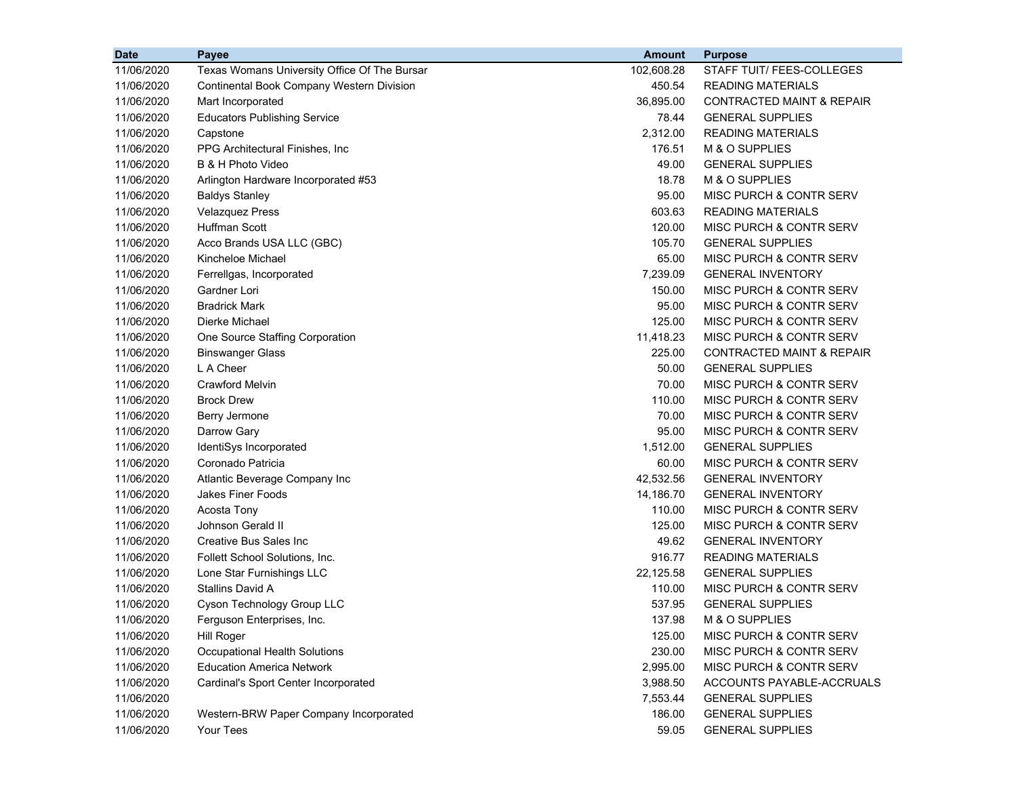| <b>Date</b> | Payee                                            | <b>Amount</b> | <b>Purpose</b>                       |
|-------------|--------------------------------------------------|---------------|--------------------------------------|
| 11/06/2020  | Texas Womans University Office Of The Bursar     | 102,608.28    | STAFF TUIT/ FEES-COLLEGES            |
| 11/06/2020  | <b>Continental Book Company Western Division</b> | 450.54        | <b>READING MATERIALS</b>             |
| 11/06/2020  | Mart Incorporated                                | 36,895.00     | <b>CONTRACTED MAINT &amp; REPAIR</b> |
| 11/06/2020  | <b>Educators Publishing Service</b>              | 78.44         | <b>GENERAL SUPPLIES</b>              |
| 11/06/2020  | Capstone                                         | 2,312.00      | <b>READING MATERIALS</b>             |
| 11/06/2020  | PPG Architectural Finishes, Inc.                 | 176.51        | M & O SUPPLIES                       |
| 11/06/2020  | B & H Photo Video                                | 49.00         | <b>GENERAL SUPPLIES</b>              |
| 11/06/2020  | Arlington Hardware Incorporated #53              | 18.78         | M & O SUPPLIES                       |
| 11/06/2020  | <b>Baldys Stanley</b>                            | 95.00         | MISC PURCH & CONTR SERV              |
| 11/06/2020  | <b>Velazquez Press</b>                           | 603.63        | <b>READING MATERIALS</b>             |
| 11/06/2020  | <b>Huffman Scott</b>                             | 120.00        | MISC PURCH & CONTR SERV              |
| 11/06/2020  | Acco Brands USA LLC (GBC)                        | 105.70        | <b>GENERAL SUPPLIES</b>              |
| 11/06/2020  | Kincheloe Michael                                | 65.00         | MISC PURCH & CONTR SERV              |
| 11/06/2020  | Ferrellgas, Incorporated                         | 7,239.09      | <b>GENERAL INVENTORY</b>             |
| 11/06/2020  | Gardner Lori                                     | 150.00        | MISC PURCH & CONTR SERV              |
| 11/06/2020  | <b>Bradrick Mark</b>                             | 95.00         | MISC PURCH & CONTR SERV              |
| 11/06/2020  | Dierke Michael                                   | 125.00        | MISC PURCH & CONTR SERV              |
| 11/06/2020  | One Source Staffing Corporation                  | 11,418.23     | MISC PURCH & CONTR SERV              |
| 11/06/2020  | <b>Binswanger Glass</b>                          | 225.00        | <b>CONTRACTED MAINT &amp; REPAIR</b> |
| 11/06/2020  | L A Cheer                                        | 50.00         | <b>GENERAL SUPPLIES</b>              |
| 11/06/2020  | <b>Crawford Melvin</b>                           | 70.00         | MISC PURCH & CONTR SERV              |
| 11/06/2020  | <b>Brock Drew</b>                                | 110.00        | MISC PURCH & CONTR SERV              |
| 11/06/2020  | Berry Jermone                                    | 70.00         | MISC PURCH & CONTR SERV              |
| 11/06/2020  | Darrow Gary                                      | 95.00         | MISC PURCH & CONTR SERV              |
| 11/06/2020  | IdentiSys Incorporated                           | 1,512.00      | <b>GENERAL SUPPLIES</b>              |
| 11/06/2020  | Coronado Patricia                                | 60.00         | MISC PURCH & CONTR SERV              |
| 11/06/2020  | Atlantic Beverage Company Inc                    | 42,532.56     | <b>GENERAL INVENTORY</b>             |
| 11/06/2020  | <b>Jakes Finer Foods</b>                         | 14,186.70     | <b>GENERAL INVENTORY</b>             |
| 11/06/2020  | Acosta Tony                                      | 110.00        | MISC PURCH & CONTR SERV              |
| 11/06/2020  | Johnson Gerald II                                | 125.00        | MISC PURCH & CONTR SERV              |
| 11/06/2020  | <b>Creative Bus Sales Inc</b>                    | 49.62         | <b>GENERAL INVENTORY</b>             |
| 11/06/2020  | Follett School Solutions, Inc.                   | 916.77        | <b>READING MATERIALS</b>             |
| 11/06/2020  | Lone Star Furnishings LLC                        | 22,125.58     | <b>GENERAL SUPPLIES</b>              |
| 11/06/2020  | <b>Stallins David A</b>                          | 110.00        | MISC PURCH & CONTR SERV              |
| 11/06/2020  | Cyson Technology Group LLC                       | 537.95        | <b>GENERAL SUPPLIES</b>              |
| 11/06/2020  | Ferguson Enterprises, Inc.                       | 137.98        | M & O SUPPLIES                       |
| 11/06/2020  | <b>Hill Roger</b>                                | 125.00        | MISC PURCH & CONTR SERV              |
| 11/06/2020  | Occupational Health Solutions                    | 230.00        | MISC PURCH & CONTR SERV              |
| 11/06/2020  | <b>Education America Network</b>                 | 2,995.00      | MISC PURCH & CONTR SERV              |
| 11/06/2020  | Cardinal's Sport Center Incorporated             | 3,988.50      | ACCOUNTS PAYABLE-ACCRUALS            |
| 11/06/2020  |                                                  | 7,553.44      | <b>GENERAL SUPPLIES</b>              |
| 11/06/2020  | Western-BRW Paper Company Incorporated           | 186.00        | <b>GENERAL SUPPLIES</b>              |
| 11/06/2020  | Your Tees                                        | 59.05         | <b>GENERAL SUPPLIES</b>              |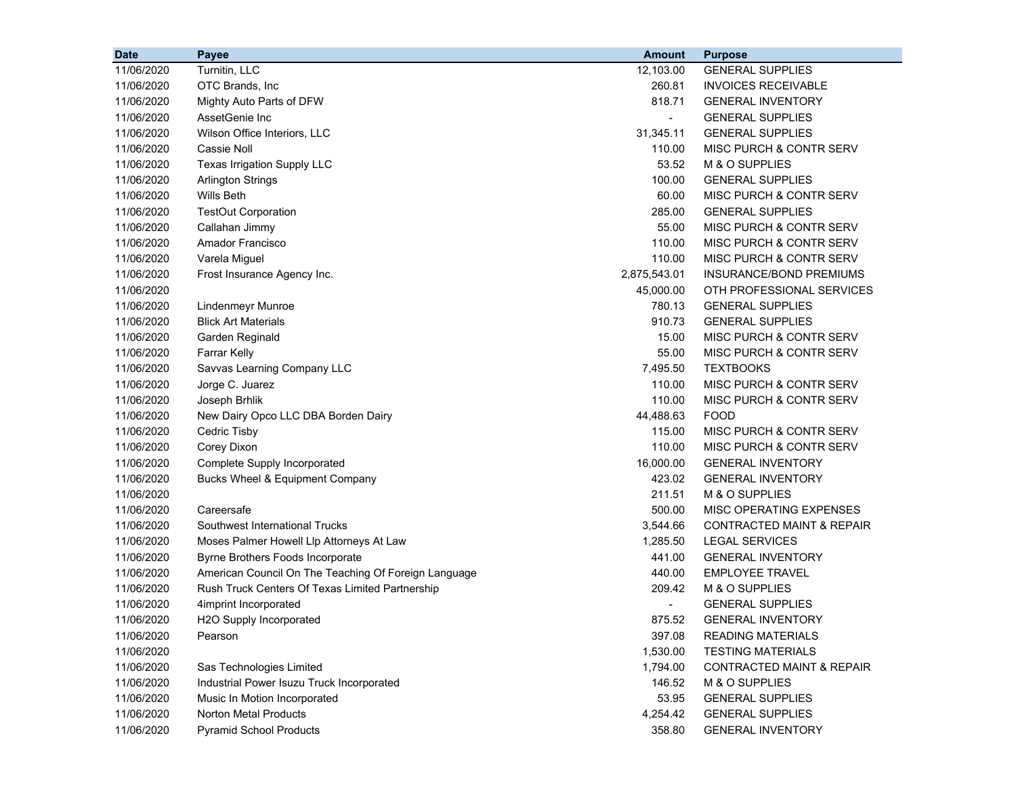| <b>Date</b> | Payee                                                | <b>Amount</b>  | <b>Purpose</b>                       |
|-------------|------------------------------------------------------|----------------|--------------------------------------|
| 11/06/2020  | Turnitin, LLC                                        | 12,103.00      | <b>GENERAL SUPPLIES</b>              |
| 11/06/2020  | OTC Brands, Inc                                      | 260.81         | <b>INVOICES RECEIVABLE</b>           |
| 11/06/2020  | Mighty Auto Parts of DFW                             | 818.71         | <b>GENERAL INVENTORY</b>             |
| 11/06/2020  | AssetGenie Inc                                       | $\blacksquare$ | <b>GENERAL SUPPLIES</b>              |
| 11/06/2020  | Wilson Office Interiors, LLC                         | 31.345.11      | <b>GENERAL SUPPLIES</b>              |
| 11/06/2020  | <b>Cassie Noll</b>                                   | 110.00         | MISC PURCH & CONTR SERV              |
| 11/06/2020  | Texas Irrigation Supply LLC                          | 53.52          | M & O SUPPLIES                       |
| 11/06/2020  | <b>Arlington Strings</b>                             | 100.00         | <b>GENERAL SUPPLIES</b>              |
| 11/06/2020  | Wills Beth                                           | 60.00          | MISC PURCH & CONTR SERV              |
| 11/06/2020  | <b>TestOut Corporation</b>                           | 285.00         | <b>GENERAL SUPPLIES</b>              |
| 11/06/2020  | Callahan Jimmy                                       | 55.00          | <b>MISC PURCH &amp; CONTR SERV</b>   |
| 11/06/2020  | Amador Francisco                                     | 110.00         | MISC PURCH & CONTR SERV              |
| 11/06/2020  | Varela Miguel                                        | 110.00         | MISC PURCH & CONTR SERV              |
| 11/06/2020  | Frost Insurance Agency Inc.                          | 2,875,543.01   | INSURANCE/BOND PREMIUMS              |
| 11/06/2020  |                                                      | 45,000.00      | OTH PROFESSIONAL SERVICES            |
| 11/06/2020  | Lindenmeyr Munroe                                    | 780.13         | <b>GENERAL SUPPLIES</b>              |
| 11/06/2020  | <b>Blick Art Materials</b>                           | 910.73         | <b>GENERAL SUPPLIES</b>              |
| 11/06/2020  | Garden Reginald                                      | 15.00          | MISC PURCH & CONTR SERV              |
| 11/06/2020  | Farrar Kelly                                         | 55.00          | MISC PURCH & CONTR SERV              |
| 11/06/2020  | Savvas Learning Company LLC                          | 7,495.50       | <b>TEXTBOOKS</b>                     |
| 11/06/2020  | Jorge C. Juarez                                      | 110.00         | MISC PURCH & CONTR SERV              |
| 11/06/2020  | Joseph Brhlik                                        | 110.00         | MISC PURCH & CONTR SERV              |
| 11/06/2020  | New Dairy Opco LLC DBA Borden Dairy                  | 44,488.63      | <b>FOOD</b>                          |
| 11/06/2020  | Cedric Tisby                                         | 115.00         | MISC PURCH & CONTR SERV              |
| 11/06/2020  | Corey Dixon                                          | 110.00         | MISC PURCH & CONTR SERV              |
| 11/06/2020  | Complete Supply Incorporated                         | 16,000.00      | <b>GENERAL INVENTORY</b>             |
| 11/06/2020  | Bucks Wheel & Equipment Company                      | 423.02         | <b>GENERAL INVENTORY</b>             |
| 11/06/2020  |                                                      | 211.51         | M & O SUPPLIES                       |
| 11/06/2020  | Careersafe                                           | 500.00         | MISC OPERATING EXPENSES              |
| 11/06/2020  | Southwest International Trucks                       | 3,544.66       | <b>CONTRACTED MAINT &amp; REPAIR</b> |
| 11/06/2020  | Moses Palmer Howell Llp Attorneys At Law             | 1,285.50       | <b>LEGAL SERVICES</b>                |
| 11/06/2020  | Byrne Brothers Foods Incorporate                     | 441.00         | <b>GENERAL INVENTORY</b>             |
| 11/06/2020  | American Council On The Teaching Of Foreign Language | 440.00         | <b>EMPLOYEE TRAVEL</b>               |
| 11/06/2020  | Rush Truck Centers Of Texas Limited Partnership      | 209.42         | M & O SUPPLIES                       |
| 11/06/2020  | 4imprint Incorporated                                |                | <b>GENERAL SUPPLIES</b>              |
| 11/06/2020  | H2O Supply Incorporated                              | 875.52         | <b>GENERAL INVENTORY</b>             |
| 11/06/2020  | Pearson                                              | 397.08         | <b>READING MATERIALS</b>             |
| 11/06/2020  |                                                      | 1,530.00       | <b>TESTING MATERIALS</b>             |
| 11/06/2020  | Sas Technologies Limited                             | 1,794.00       | CONTRACTED MAINT & REPAIR            |
| 11/06/2020  | Industrial Power Isuzu Truck Incorporated            | 146.52         | M & O SUPPLIES                       |
| 11/06/2020  | Music In Motion Incorporated                         | 53.95          | <b>GENERAL SUPPLIES</b>              |
| 11/06/2020  | <b>Norton Metal Products</b>                         | 4,254.42       | <b>GENERAL SUPPLIES</b>              |
| 11/06/2020  | <b>Pyramid School Products</b>                       | 358.80         | <b>GENERAL INVENTORY</b>             |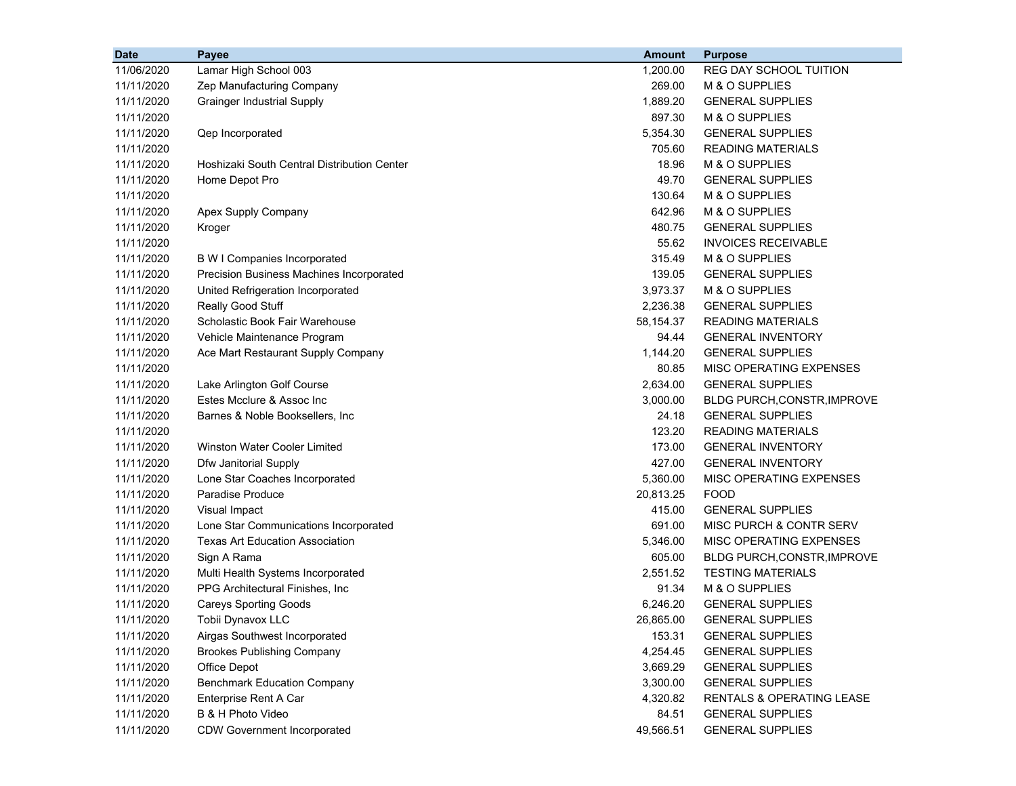| <b>Date</b> | Payee                                       | <b>Amount</b> | <b>Purpose</b>                     |
|-------------|---------------------------------------------|---------------|------------------------------------|
| 11/06/2020  | Lamar High School 003                       | 1,200.00      | REG DAY SCHOOL TUITION             |
| 11/11/2020  | Zep Manufacturing Company                   | 269.00        | M & O SUPPLIES                     |
| 11/11/2020  | <b>Grainger Industrial Supply</b>           | 1,889.20      | <b>GENERAL SUPPLIES</b>            |
| 11/11/2020  |                                             | 897.30        | M & O SUPPLIES                     |
| 11/11/2020  | Qep Incorporated                            | 5,354.30      | <b>GENERAL SUPPLIES</b>            |
| 11/11/2020  |                                             | 705.60        | <b>READING MATERIALS</b>           |
| 11/11/2020  | Hoshizaki South Central Distribution Center | 18.96         | M & O SUPPLIES                     |
| 11/11/2020  | Home Depot Pro                              | 49.70         | <b>GENERAL SUPPLIES</b>            |
| 11/11/2020  |                                             | 130.64        | M & O SUPPLIES                     |
| 11/11/2020  | Apex Supply Company                         | 642.96        | M & O SUPPLIES                     |
| 11/11/2020  | Kroger                                      | 480.75        | <b>GENERAL SUPPLIES</b>            |
| 11/11/2020  |                                             | 55.62         | <b>INVOICES RECEIVABLE</b>         |
| 11/11/2020  | <b>B W I Companies Incorporated</b>         | 315.49        | M & O SUPPLIES                     |
| 11/11/2020  | Precision Business Machines Incorporated    | 139.05        | <b>GENERAL SUPPLIES</b>            |
| 11/11/2020  | United Refrigeration Incorporated           | 3,973.37      | M & O SUPPLIES                     |
| 11/11/2020  | Really Good Stuff                           | 2,236.38      | <b>GENERAL SUPPLIES</b>            |
| 11/11/2020  | Scholastic Book Fair Warehouse              | 58,154.37     | <b>READING MATERIALS</b>           |
| 11/11/2020  | Vehicle Maintenance Program                 | 94.44         | <b>GENERAL INVENTORY</b>           |
| 11/11/2020  | Ace Mart Restaurant Supply Company          | 1,144.20      | <b>GENERAL SUPPLIES</b>            |
| 11/11/2020  |                                             | 80.85         | MISC OPERATING EXPENSES            |
| 11/11/2020  | Lake Arlington Golf Course                  | 2,634.00      | <b>GENERAL SUPPLIES</b>            |
| 11/11/2020  | Estes Mcclure & Assoc Inc                   | 3,000.00      | BLDG PURCH, CONSTR, IMPROVE        |
| 11/11/2020  | Barnes & Noble Booksellers, Inc.            | 24.18         | <b>GENERAL SUPPLIES</b>            |
| 11/11/2020  |                                             | 123.20        | <b>READING MATERIALS</b>           |
| 11/11/2020  | Winston Water Cooler Limited                | 173.00        | <b>GENERAL INVENTORY</b>           |
| 11/11/2020  | Dfw Janitorial Supply                       | 427.00        | <b>GENERAL INVENTORY</b>           |
| 11/11/2020  | Lone Star Coaches Incorporated              | 5,360.00      | MISC OPERATING EXPENSES            |
| 11/11/2020  | Paradise Produce                            | 20,813.25     | <b>FOOD</b>                        |
| 11/11/2020  | Visual Impact                               | 415.00        | <b>GENERAL SUPPLIES</b>            |
| 11/11/2020  | Lone Star Communications Incorporated       | 691.00        | MISC PURCH & CONTR SERV            |
| 11/11/2020  | <b>Texas Art Education Association</b>      | 5,346.00      | MISC OPERATING EXPENSES            |
| 11/11/2020  | Sign A Rama                                 | 605.00        | <b>BLDG PURCH, CONSTR, IMPROVE</b> |
| 11/11/2020  | Multi Health Systems Incorporated           | 2,551.52      | <b>TESTING MATERIALS</b>           |
| 11/11/2020  | PPG Architectural Finishes, Inc.            | 91.34         | M & O SUPPLIES                     |
| 11/11/2020  | <b>Careys Sporting Goods</b>                | 6,246.20      | <b>GENERAL SUPPLIES</b>            |
| 11/11/2020  | Tobii Dynavox LLC                           | 26,865.00     | <b>GENERAL SUPPLIES</b>            |
| 11/11/2020  | Airgas Southwest Incorporated               | 153.31        | <b>GENERAL SUPPLIES</b>            |
| 11/11/2020  | <b>Brookes Publishing Company</b>           | 4,254.45      | <b>GENERAL SUPPLIES</b>            |
| 11/11/2020  | Office Depot                                | 3,669.29      | <b>GENERAL SUPPLIES</b>            |
| 11/11/2020  | <b>Benchmark Education Company</b>          | 3,300.00      | <b>GENERAL SUPPLIES</b>            |
| 11/11/2020  | Enterprise Rent A Car                       | 4,320.82      | RENTALS & OPERATING LEASE          |
| 11/11/2020  | B & H Photo Video                           | 84.51         | <b>GENERAL SUPPLIES</b>            |
| 11/11/2020  | <b>CDW Government Incorporated</b>          | 49,566.51     | <b>GENERAL SUPPLIES</b>            |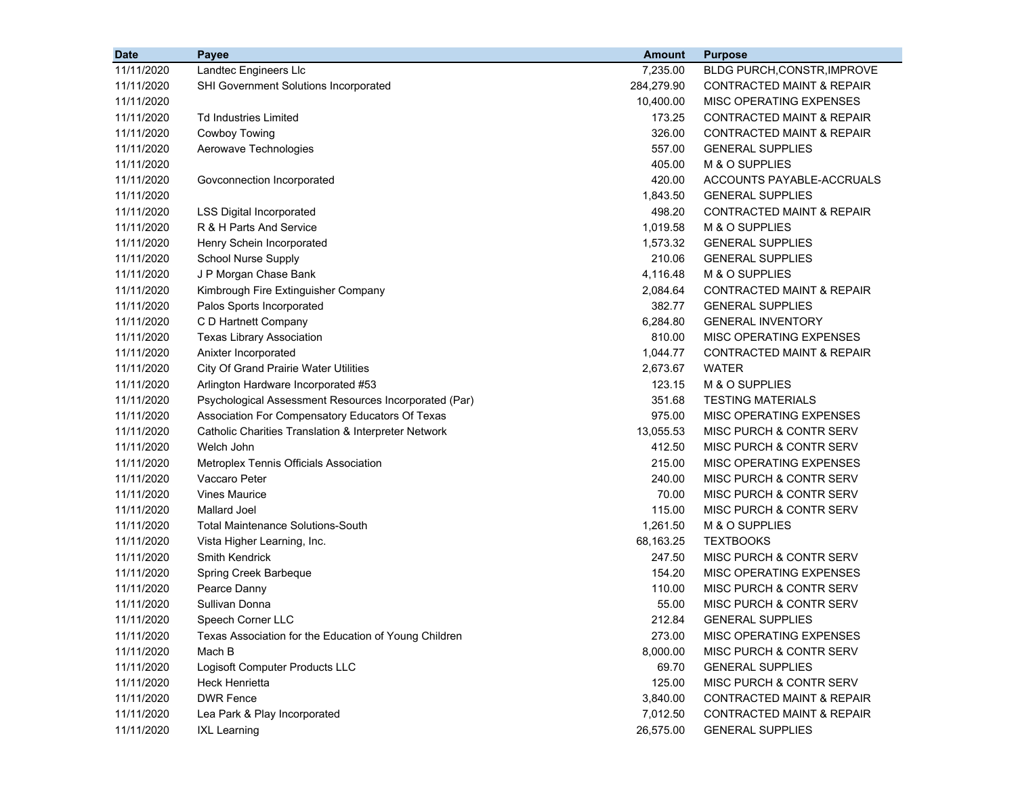| <b>Date</b> | Payee                                                 | <b>Amount</b> | <b>Purpose</b>                       |
|-------------|-------------------------------------------------------|---------------|--------------------------------------|
| 11/11/2020  | Landtec Engineers Llc                                 | 7,235.00      | BLDG PURCH, CONSTR, IMPROVE          |
| 11/11/2020  | SHI Government Solutions Incorporated                 | 284,279.90    | <b>CONTRACTED MAINT &amp; REPAIR</b> |
| 11/11/2020  |                                                       | 10,400.00     | MISC OPERATING EXPENSES              |
| 11/11/2020  | Td Industries Limited                                 | 173.25        | CONTRACTED MAINT & REPAIR            |
| 11/11/2020  | <b>Cowboy Towing</b>                                  | 326.00        | <b>CONTRACTED MAINT &amp; REPAIR</b> |
| 11/11/2020  | Aerowave Technologies                                 | 557.00        | <b>GENERAL SUPPLIES</b>              |
| 11/11/2020  |                                                       | 405.00        | M & O SUPPLIES                       |
| 11/11/2020  | Govconnection Incorporated                            | 420.00        | ACCOUNTS PAYABLE-ACCRUALS            |
| 11/11/2020  |                                                       | 1,843.50      | <b>GENERAL SUPPLIES</b>              |
| 11/11/2020  | <b>LSS Digital Incorporated</b>                       | 498.20        | <b>CONTRACTED MAINT &amp; REPAIR</b> |
| 11/11/2020  | R & H Parts And Service                               | 1,019.58      | M & O SUPPLIES                       |
| 11/11/2020  | Henry Schein Incorporated                             | 1,573.32      | <b>GENERAL SUPPLIES</b>              |
| 11/11/2020  | School Nurse Supply                                   | 210.06        | <b>GENERAL SUPPLIES</b>              |
| 11/11/2020  | J P Morgan Chase Bank                                 | 4,116.48      | M & O SUPPLIES                       |
| 11/11/2020  | Kimbrough Fire Extinguisher Company                   | 2,084.64      | <b>CONTRACTED MAINT &amp; REPAIR</b> |
| 11/11/2020  | Palos Sports Incorporated                             | 382.77        | <b>GENERAL SUPPLIES</b>              |
| 11/11/2020  | C D Hartnett Company                                  | 6,284.80      | <b>GENERAL INVENTORY</b>             |
| 11/11/2020  | <b>Texas Library Association</b>                      | 810.00        | MISC OPERATING EXPENSES              |
| 11/11/2020  | Anixter Incorporated                                  | 1,044.77      | <b>CONTRACTED MAINT &amp; REPAIR</b> |
| 11/11/2020  | City Of Grand Prairie Water Utilities                 | 2,673.67      | <b>WATER</b>                         |
| 11/11/2020  | Arlington Hardware Incorporated #53                   | 123.15        | M & O SUPPLIES                       |
| 11/11/2020  | Psychological Assessment Resources Incorporated (Par) | 351.68        | <b>TESTING MATERIALS</b>             |
| 11/11/2020  | Association For Compensatory Educators Of Texas       | 975.00        | MISC OPERATING EXPENSES              |
| 11/11/2020  | Catholic Charities Translation & Interpreter Network  | 13,055.53     | MISC PURCH & CONTR SERV              |
| 11/11/2020  | Welch John                                            | 412.50        | MISC PURCH & CONTR SERV              |
| 11/11/2020  | Metroplex Tennis Officials Association                | 215.00        | MISC OPERATING EXPENSES              |
| 11/11/2020  | Vaccaro Peter                                         | 240.00        | MISC PURCH & CONTR SERV              |
| 11/11/2020  | <b>Vines Maurice</b>                                  | 70.00         | MISC PURCH & CONTR SERV              |
| 11/11/2020  | Mallard Joel                                          | 115.00        | MISC PURCH & CONTR SERV              |
| 11/11/2020  | <b>Total Maintenance Solutions-South</b>              | 1,261.50      | M & O SUPPLIES                       |
| 11/11/2020  | Vista Higher Learning, Inc.                           | 68,163.25     | <b>TEXTBOOKS</b>                     |
| 11/11/2020  | <b>Smith Kendrick</b>                                 | 247.50        | MISC PURCH & CONTR SERV              |
| 11/11/2020  | Spring Creek Barbeque                                 | 154.20        | MISC OPERATING EXPENSES              |
| 11/11/2020  | Pearce Danny                                          | 110.00        | MISC PURCH & CONTR SERV              |
| 11/11/2020  | Sullivan Donna                                        | 55.00         | <b>MISC PURCH &amp; CONTR SERV</b>   |
| 11/11/2020  | Speech Corner LLC                                     | 212.84        | <b>GENERAL SUPPLIES</b>              |
| 11/11/2020  | Texas Association for the Education of Young Children | 273.00        | MISC OPERATING EXPENSES              |
| 11/11/2020  | Mach B                                                | 8,000.00      | MISC PURCH & CONTR SERV              |
| 11/11/2020  | Logisoft Computer Products LLC                        | 69.70         | <b>GENERAL SUPPLIES</b>              |
| 11/11/2020  | <b>Heck Henrietta</b>                                 | 125.00        | MISC PURCH & CONTR SERV              |
| 11/11/2020  | <b>DWR Fence</b>                                      | 3,840.00      | <b>CONTRACTED MAINT &amp; REPAIR</b> |
| 11/11/2020  | Lea Park & Play Incorporated                          | 7,012.50      | <b>CONTRACTED MAINT &amp; REPAIR</b> |
| 11/11/2020  | <b>IXL Learning</b>                                   | 26,575.00     | <b>GENERAL SUPPLIES</b>              |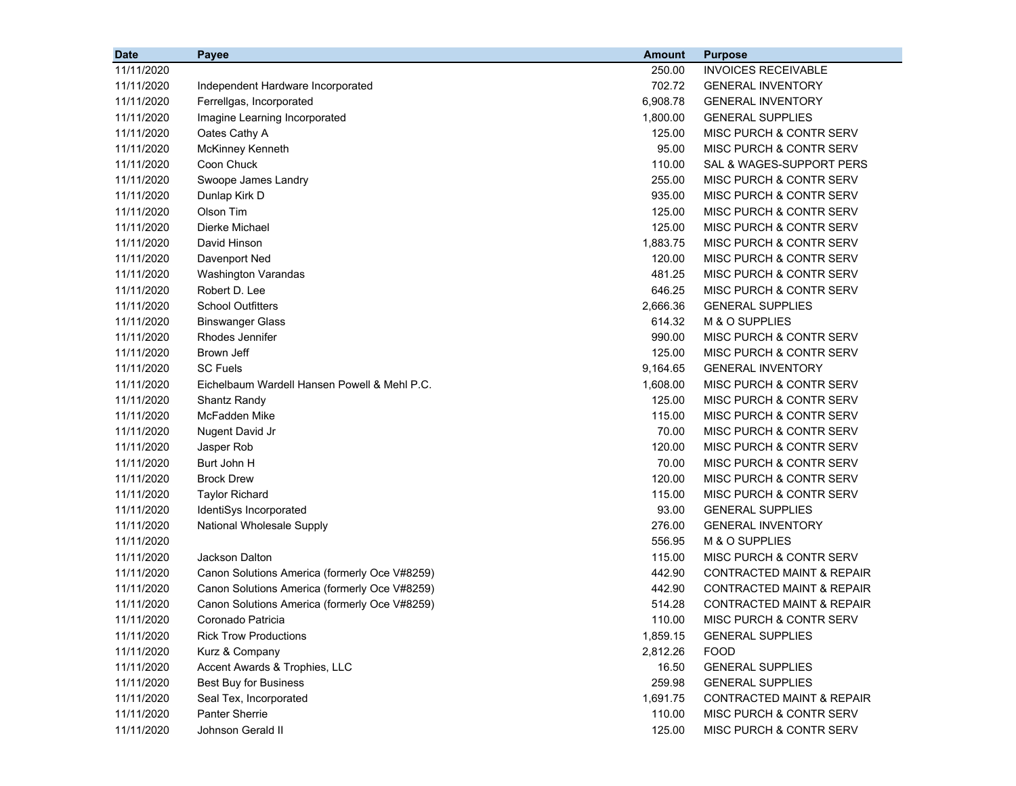| <b>Date</b> | Payee                                         | <b>Amount</b> | <b>Purpose</b>                       |
|-------------|-----------------------------------------------|---------------|--------------------------------------|
| 11/11/2020  |                                               | 250.00        | <b>INVOICES RECEIVABLE</b>           |
| 11/11/2020  | Independent Hardware Incorporated             | 702.72        | <b>GENERAL INVENTORY</b>             |
| 11/11/2020  | Ferrellgas, Incorporated                      | 6,908.78      | <b>GENERAL INVENTORY</b>             |
| 11/11/2020  | Imagine Learning Incorporated                 | 1,800.00      | <b>GENERAL SUPPLIES</b>              |
| 11/11/2020  | Oates Cathy A                                 | 125.00        | <b>MISC PURCH &amp; CONTR SERV</b>   |
| 11/11/2020  | McKinney Kenneth                              | 95.00         | MISC PURCH & CONTR SERV              |
| 11/11/2020  | Coon Chuck                                    | 110.00        | SAL & WAGES-SUPPORT PERS             |
| 11/11/2020  | Swoope James Landry                           | 255.00        | <b>MISC PURCH &amp; CONTR SERV</b>   |
| 11/11/2020  | Dunlap Kirk D                                 | 935.00        | MISC PURCH & CONTR SERV              |
| 11/11/2020  | Olson Tim                                     | 125.00        | MISC PURCH & CONTR SERV              |
| 11/11/2020  | Dierke Michael                                | 125.00        | MISC PURCH & CONTR SERV              |
| 11/11/2020  | David Hinson                                  | 1,883.75      | MISC PURCH & CONTR SERV              |
| 11/11/2020  | Davenport Ned                                 | 120.00        | <b>MISC PURCH &amp; CONTR SERV</b>   |
| 11/11/2020  | Washington Varandas                           | 481.25        | <b>MISC PURCH &amp; CONTR SERV</b>   |
| 11/11/2020  | Robert D. Lee                                 | 646.25        | <b>MISC PURCH &amp; CONTR SERV</b>   |
| 11/11/2020  | <b>School Outfitters</b>                      | 2,666.36      | <b>GENERAL SUPPLIES</b>              |
| 11/11/2020  | <b>Binswanger Glass</b>                       | 614.32        | M & O SUPPLIES                       |
| 11/11/2020  | Rhodes Jennifer                               | 990.00        | <b>MISC PURCH &amp; CONTR SERV</b>   |
| 11/11/2020  | Brown Jeff                                    | 125.00        | MISC PURCH & CONTR SERV              |
| 11/11/2020  | <b>SC Fuels</b>                               | 9,164.65      | <b>GENERAL INVENTORY</b>             |
| 11/11/2020  | Eichelbaum Wardell Hansen Powell & Mehl P.C.  | 1,608.00      | <b>MISC PURCH &amp; CONTR SERV</b>   |
| 11/11/2020  | Shantz Randy                                  | 125.00        | MISC PURCH & CONTR SERV              |
| 11/11/2020  | McFadden Mike                                 | 115.00        | MISC PURCH & CONTR SERV              |
| 11/11/2020  | Nugent David Jr                               | 70.00         | MISC PURCH & CONTR SERV              |
| 11/11/2020  | Jasper Rob                                    | 120.00        | MISC PURCH & CONTR SERV              |
| 11/11/2020  | Burt John H                                   | 70.00         | MISC PURCH & CONTR SERV              |
| 11/11/2020  | <b>Brock Drew</b>                             | 120.00        | MISC PURCH & CONTR SERV              |
| 11/11/2020  | <b>Taylor Richard</b>                         | 115.00        | <b>MISC PURCH &amp; CONTR SERV</b>   |
| 11/11/2020  | IdentiSys Incorporated                        | 93.00         | <b>GENERAL SUPPLIES</b>              |
| 11/11/2020  | <b>National Wholesale Supply</b>              | 276.00        | <b>GENERAL INVENTORY</b>             |
| 11/11/2020  |                                               | 556.95        | M & O SUPPLIES                       |
| 11/11/2020  | Jackson Dalton                                | 115.00        | MISC PURCH & CONTR SERV              |
| 11/11/2020  | Canon Solutions America (formerly Oce V#8259) | 442.90        | <b>CONTRACTED MAINT &amp; REPAIR</b> |
| 11/11/2020  | Canon Solutions America (formerly Oce V#8259) | 442.90        | <b>CONTRACTED MAINT &amp; REPAIR</b> |
| 11/11/2020  | Canon Solutions America (formerly Oce V#8259) | 514.28        | <b>CONTRACTED MAINT &amp; REPAIR</b> |
| 11/11/2020  | Coronado Patricia                             | 110.00        | MISC PURCH & CONTR SERV              |
| 11/11/2020  | <b>Rick Trow Productions</b>                  | 1,859.15      | <b>GENERAL SUPPLIES</b>              |
| 11/11/2020  | Kurz & Company                                | 2,812.26      | <b>FOOD</b>                          |
| 11/11/2020  | Accent Awards & Trophies, LLC                 | 16.50         | <b>GENERAL SUPPLIES</b>              |
| 11/11/2020  | <b>Best Buy for Business</b>                  | 259.98        | <b>GENERAL SUPPLIES</b>              |
| 11/11/2020  | Seal Tex, Incorporated                        | 1,691.75      | <b>CONTRACTED MAINT &amp; REPAIR</b> |
| 11/11/2020  | <b>Panter Sherrie</b>                         | 110.00        | MISC PURCH & CONTR SERV              |
| 11/11/2020  | Johnson Gerald II                             | 125.00        | MISC PURCH & CONTR SERV              |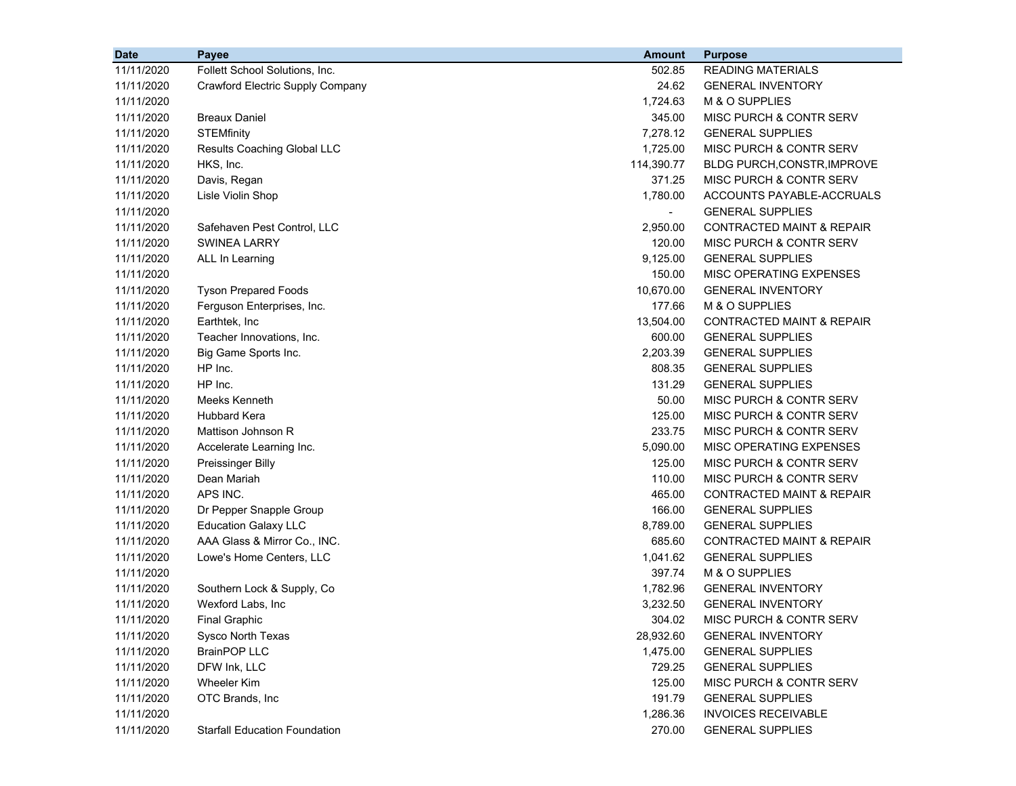| 11/11/2020<br>502.85<br><b>READING MATERIALS</b><br>Follett School Solutions, Inc.<br>11/11/2020<br>24.62<br>Crawford Electric Supply Company<br><b>GENERAL INVENTORY</b><br>1,724.63<br>M & O SUPPLIES<br>11/11/2020<br><b>Breaux Daniel</b><br>345.00<br>MISC PURCH & CONTR SERV<br>11/11/2020<br><b>STEMfinity</b><br>7,278.12<br><b>GENERAL SUPPLIES</b><br>11/11/2020<br>1,725.00<br>MISC PURCH & CONTR SERV<br>11/11/2020<br>Results Coaching Global LLC<br>11/11/2020<br>HKS, Inc.<br>114,390.77<br>BLDG PURCH, CONSTR, IMPROVE<br>11/11/2020<br>Davis, Regan<br>371.25<br>MISC PURCH & CONTR SERV<br>11/11/2020<br>1,780.00<br>ACCOUNTS PAYABLE-ACCRUALS<br>Lisle Violin Shop<br>11/11/2020<br><b>GENERAL SUPPLIES</b><br>2,950.00<br><b>CONTRACTED MAINT &amp; REPAIR</b><br>11/11/2020<br>Safehaven Pest Control, LLC<br><b>SWINEA LARRY</b><br>120.00<br><b>MISC PURCH &amp; CONTR SERV</b><br>11/11/2020<br>9,125.00<br><b>GENERAL SUPPLIES</b><br>11/11/2020<br>ALL In Learning<br>11/11/2020<br>150.00<br><b>MISC OPERATING EXPENSES</b><br>11/11/2020<br>10,670.00<br><b>Tyson Prepared Foods</b><br><b>GENERAL INVENTORY</b><br>177.66<br>M & O SUPPLIES<br>11/11/2020<br>Ferguson Enterprises, Inc.<br>13,504.00<br><b>CONTRACTED MAINT &amp; REPAIR</b><br>11/11/2020<br>Earthtek, Inc.<br>Teacher Innovations, Inc.<br>600.00<br>11/11/2020<br><b>GENERAL SUPPLIES</b><br>11/11/2020<br>Big Game Sports Inc.<br>2,203.39<br><b>GENERAL SUPPLIES</b><br>11/11/2020<br>HP Inc.<br>808.35<br><b>GENERAL SUPPLIES</b><br>HP Inc.<br>11/11/2020<br>131.29<br><b>GENERAL SUPPLIES</b><br>Meeks Kenneth<br>50.00<br><b>MISC PURCH &amp; CONTR SERV</b><br>11/11/2020<br><b>Hubbard Kera</b><br>125.00<br><b>MISC PURCH &amp; CONTR SERV</b><br>11/11/2020<br>Mattison Johnson R<br>233.75<br>MISC PURCH & CONTR SERV<br>11/11/2020 |
|------------------------------------------------------------------------------------------------------------------------------------------------------------------------------------------------------------------------------------------------------------------------------------------------------------------------------------------------------------------------------------------------------------------------------------------------------------------------------------------------------------------------------------------------------------------------------------------------------------------------------------------------------------------------------------------------------------------------------------------------------------------------------------------------------------------------------------------------------------------------------------------------------------------------------------------------------------------------------------------------------------------------------------------------------------------------------------------------------------------------------------------------------------------------------------------------------------------------------------------------------------------------------------------------------------------------------------------------------------------------------------------------------------------------------------------------------------------------------------------------------------------------------------------------------------------------------------------------------------------------------------------------------------------------------------------------------------------------------------------------------------------------------------------------------------------------------------------------|
|                                                                                                                                                                                                                                                                                                                                                                                                                                                                                                                                                                                                                                                                                                                                                                                                                                                                                                                                                                                                                                                                                                                                                                                                                                                                                                                                                                                                                                                                                                                                                                                                                                                                                                                                                                                                                                                |
|                                                                                                                                                                                                                                                                                                                                                                                                                                                                                                                                                                                                                                                                                                                                                                                                                                                                                                                                                                                                                                                                                                                                                                                                                                                                                                                                                                                                                                                                                                                                                                                                                                                                                                                                                                                                                                                |
|                                                                                                                                                                                                                                                                                                                                                                                                                                                                                                                                                                                                                                                                                                                                                                                                                                                                                                                                                                                                                                                                                                                                                                                                                                                                                                                                                                                                                                                                                                                                                                                                                                                                                                                                                                                                                                                |
|                                                                                                                                                                                                                                                                                                                                                                                                                                                                                                                                                                                                                                                                                                                                                                                                                                                                                                                                                                                                                                                                                                                                                                                                                                                                                                                                                                                                                                                                                                                                                                                                                                                                                                                                                                                                                                                |
|                                                                                                                                                                                                                                                                                                                                                                                                                                                                                                                                                                                                                                                                                                                                                                                                                                                                                                                                                                                                                                                                                                                                                                                                                                                                                                                                                                                                                                                                                                                                                                                                                                                                                                                                                                                                                                                |
|                                                                                                                                                                                                                                                                                                                                                                                                                                                                                                                                                                                                                                                                                                                                                                                                                                                                                                                                                                                                                                                                                                                                                                                                                                                                                                                                                                                                                                                                                                                                                                                                                                                                                                                                                                                                                                                |
|                                                                                                                                                                                                                                                                                                                                                                                                                                                                                                                                                                                                                                                                                                                                                                                                                                                                                                                                                                                                                                                                                                                                                                                                                                                                                                                                                                                                                                                                                                                                                                                                                                                                                                                                                                                                                                                |
|                                                                                                                                                                                                                                                                                                                                                                                                                                                                                                                                                                                                                                                                                                                                                                                                                                                                                                                                                                                                                                                                                                                                                                                                                                                                                                                                                                                                                                                                                                                                                                                                                                                                                                                                                                                                                                                |
|                                                                                                                                                                                                                                                                                                                                                                                                                                                                                                                                                                                                                                                                                                                                                                                                                                                                                                                                                                                                                                                                                                                                                                                                                                                                                                                                                                                                                                                                                                                                                                                                                                                                                                                                                                                                                                                |
|                                                                                                                                                                                                                                                                                                                                                                                                                                                                                                                                                                                                                                                                                                                                                                                                                                                                                                                                                                                                                                                                                                                                                                                                                                                                                                                                                                                                                                                                                                                                                                                                                                                                                                                                                                                                                                                |
|                                                                                                                                                                                                                                                                                                                                                                                                                                                                                                                                                                                                                                                                                                                                                                                                                                                                                                                                                                                                                                                                                                                                                                                                                                                                                                                                                                                                                                                                                                                                                                                                                                                                                                                                                                                                                                                |
|                                                                                                                                                                                                                                                                                                                                                                                                                                                                                                                                                                                                                                                                                                                                                                                                                                                                                                                                                                                                                                                                                                                                                                                                                                                                                                                                                                                                                                                                                                                                                                                                                                                                                                                                                                                                                                                |
|                                                                                                                                                                                                                                                                                                                                                                                                                                                                                                                                                                                                                                                                                                                                                                                                                                                                                                                                                                                                                                                                                                                                                                                                                                                                                                                                                                                                                                                                                                                                                                                                                                                                                                                                                                                                                                                |
|                                                                                                                                                                                                                                                                                                                                                                                                                                                                                                                                                                                                                                                                                                                                                                                                                                                                                                                                                                                                                                                                                                                                                                                                                                                                                                                                                                                                                                                                                                                                                                                                                                                                                                                                                                                                                                                |
|                                                                                                                                                                                                                                                                                                                                                                                                                                                                                                                                                                                                                                                                                                                                                                                                                                                                                                                                                                                                                                                                                                                                                                                                                                                                                                                                                                                                                                                                                                                                                                                                                                                                                                                                                                                                                                                |
|                                                                                                                                                                                                                                                                                                                                                                                                                                                                                                                                                                                                                                                                                                                                                                                                                                                                                                                                                                                                                                                                                                                                                                                                                                                                                                                                                                                                                                                                                                                                                                                                                                                                                                                                                                                                                                                |
|                                                                                                                                                                                                                                                                                                                                                                                                                                                                                                                                                                                                                                                                                                                                                                                                                                                                                                                                                                                                                                                                                                                                                                                                                                                                                                                                                                                                                                                                                                                                                                                                                                                                                                                                                                                                                                                |
|                                                                                                                                                                                                                                                                                                                                                                                                                                                                                                                                                                                                                                                                                                                                                                                                                                                                                                                                                                                                                                                                                                                                                                                                                                                                                                                                                                                                                                                                                                                                                                                                                                                                                                                                                                                                                                                |
|                                                                                                                                                                                                                                                                                                                                                                                                                                                                                                                                                                                                                                                                                                                                                                                                                                                                                                                                                                                                                                                                                                                                                                                                                                                                                                                                                                                                                                                                                                                                                                                                                                                                                                                                                                                                                                                |
|                                                                                                                                                                                                                                                                                                                                                                                                                                                                                                                                                                                                                                                                                                                                                                                                                                                                                                                                                                                                                                                                                                                                                                                                                                                                                                                                                                                                                                                                                                                                                                                                                                                                                                                                                                                                                                                |
|                                                                                                                                                                                                                                                                                                                                                                                                                                                                                                                                                                                                                                                                                                                                                                                                                                                                                                                                                                                                                                                                                                                                                                                                                                                                                                                                                                                                                                                                                                                                                                                                                                                                                                                                                                                                                                                |
|                                                                                                                                                                                                                                                                                                                                                                                                                                                                                                                                                                                                                                                                                                                                                                                                                                                                                                                                                                                                                                                                                                                                                                                                                                                                                                                                                                                                                                                                                                                                                                                                                                                                                                                                                                                                                                                |
|                                                                                                                                                                                                                                                                                                                                                                                                                                                                                                                                                                                                                                                                                                                                                                                                                                                                                                                                                                                                                                                                                                                                                                                                                                                                                                                                                                                                                                                                                                                                                                                                                                                                                                                                                                                                                                                |
|                                                                                                                                                                                                                                                                                                                                                                                                                                                                                                                                                                                                                                                                                                                                                                                                                                                                                                                                                                                                                                                                                                                                                                                                                                                                                                                                                                                                                                                                                                                                                                                                                                                                                                                                                                                                                                                |
| 5,090.00<br>MISC OPERATING EXPENSES<br>11/11/2020<br>Accelerate Learning Inc.                                                                                                                                                                                                                                                                                                                                                                                                                                                                                                                                                                                                                                                                                                                                                                                                                                                                                                                                                                                                                                                                                                                                                                                                                                                                                                                                                                                                                                                                                                                                                                                                                                                                                                                                                                  |
| 125.00<br>MISC PURCH & CONTR SERV<br>11/11/2020<br><b>Preissinger Billy</b>                                                                                                                                                                                                                                                                                                                                                                                                                                                                                                                                                                                                                                                                                                                                                                                                                                                                                                                                                                                                                                                                                                                                                                                                                                                                                                                                                                                                                                                                                                                                                                                                                                                                                                                                                                    |
| Dean Mariah<br>110.00<br><b>MISC PURCH &amp; CONTR SERV</b><br>11/11/2020                                                                                                                                                                                                                                                                                                                                                                                                                                                                                                                                                                                                                                                                                                                                                                                                                                                                                                                                                                                                                                                                                                                                                                                                                                                                                                                                                                                                                                                                                                                                                                                                                                                                                                                                                                      |
| APS INC.<br>465.00<br><b>CONTRACTED MAINT &amp; REPAIR</b><br>11/11/2020                                                                                                                                                                                                                                                                                                                                                                                                                                                                                                                                                                                                                                                                                                                                                                                                                                                                                                                                                                                                                                                                                                                                                                                                                                                                                                                                                                                                                                                                                                                                                                                                                                                                                                                                                                       |
| 166.00<br>11/11/2020<br>Dr Pepper Snapple Group<br><b>GENERAL SUPPLIES</b>                                                                                                                                                                                                                                                                                                                                                                                                                                                                                                                                                                                                                                                                                                                                                                                                                                                                                                                                                                                                                                                                                                                                                                                                                                                                                                                                                                                                                                                                                                                                                                                                                                                                                                                                                                     |
| <b>Education Galaxy LLC</b><br>8,789.00<br><b>GENERAL SUPPLIES</b><br>11/11/2020                                                                                                                                                                                                                                                                                                                                                                                                                                                                                                                                                                                                                                                                                                                                                                                                                                                                                                                                                                                                                                                                                                                                                                                                                                                                                                                                                                                                                                                                                                                                                                                                                                                                                                                                                               |
| AAA Glass & Mirror Co., INC.<br>685.60<br><b>CONTRACTED MAINT &amp; REPAIR</b><br>11/11/2020                                                                                                                                                                                                                                                                                                                                                                                                                                                                                                                                                                                                                                                                                                                                                                                                                                                                                                                                                                                                                                                                                                                                                                                                                                                                                                                                                                                                                                                                                                                                                                                                                                                                                                                                                   |
| 11/11/2020<br>Lowe's Home Centers, LLC<br>1,041.62<br><b>GENERAL SUPPLIES</b>                                                                                                                                                                                                                                                                                                                                                                                                                                                                                                                                                                                                                                                                                                                                                                                                                                                                                                                                                                                                                                                                                                                                                                                                                                                                                                                                                                                                                                                                                                                                                                                                                                                                                                                                                                  |
| 11/11/2020<br>397.74<br>M & O SUPPLIES                                                                                                                                                                                                                                                                                                                                                                                                                                                                                                                                                                                                                                                                                                                                                                                                                                                                                                                                                                                                                                                                                                                                                                                                                                                                                                                                                                                                                                                                                                                                                                                                                                                                                                                                                                                                         |
| 11/11/2020<br>Southern Lock & Supply, Co<br>1,782.96<br><b>GENERAL INVENTORY</b>                                                                                                                                                                                                                                                                                                                                                                                                                                                                                                                                                                                                                                                                                                                                                                                                                                                                                                                                                                                                                                                                                                                                                                                                                                                                                                                                                                                                                                                                                                                                                                                                                                                                                                                                                               |
| 11/11/2020<br>Wexford Labs, Inc<br><b>GENERAL INVENTORY</b><br>3,232.50                                                                                                                                                                                                                                                                                                                                                                                                                                                                                                                                                                                                                                                                                                                                                                                                                                                                                                                                                                                                                                                                                                                                                                                                                                                                                                                                                                                                                                                                                                                                                                                                                                                                                                                                                                        |
| 11/11/2020<br>304.02<br>MISC PURCH & CONTR SERV<br><b>Final Graphic</b>                                                                                                                                                                                                                                                                                                                                                                                                                                                                                                                                                                                                                                                                                                                                                                                                                                                                                                                                                                                                                                                                                                                                                                                                                                                                                                                                                                                                                                                                                                                                                                                                                                                                                                                                                                        |
| Sysco North Texas<br><b>GENERAL INVENTORY</b><br>11/11/2020<br>28,932.60                                                                                                                                                                                                                                                                                                                                                                                                                                                                                                                                                                                                                                                                                                                                                                                                                                                                                                                                                                                                                                                                                                                                                                                                                                                                                                                                                                                                                                                                                                                                                                                                                                                                                                                                                                       |
| 11/11/2020<br><b>BrainPOP LLC</b><br>1,475.00<br><b>GENERAL SUPPLIES</b>                                                                                                                                                                                                                                                                                                                                                                                                                                                                                                                                                                                                                                                                                                                                                                                                                                                                                                                                                                                                                                                                                                                                                                                                                                                                                                                                                                                                                                                                                                                                                                                                                                                                                                                                                                       |
| 11/11/2020<br>DFW Ink, LLC<br>729.25<br><b>GENERAL SUPPLIES</b>                                                                                                                                                                                                                                                                                                                                                                                                                                                                                                                                                                                                                                                                                                                                                                                                                                                                                                                                                                                                                                                                                                                                                                                                                                                                                                                                                                                                                                                                                                                                                                                                                                                                                                                                                                                |
| <b>Wheeler Kim</b><br>125.00<br>MISC PURCH & CONTR SERV<br>11/11/2020                                                                                                                                                                                                                                                                                                                                                                                                                                                                                                                                                                                                                                                                                                                                                                                                                                                                                                                                                                                                                                                                                                                                                                                                                                                                                                                                                                                                                                                                                                                                                                                                                                                                                                                                                                          |
| OTC Brands, Inc<br>191.79<br>11/11/2020<br><b>GENERAL SUPPLIES</b>                                                                                                                                                                                                                                                                                                                                                                                                                                                                                                                                                                                                                                                                                                                                                                                                                                                                                                                                                                                                                                                                                                                                                                                                                                                                                                                                                                                                                                                                                                                                                                                                                                                                                                                                                                             |
| 1,286.36<br><b>INVOICES RECEIVABLE</b><br>11/11/2020                                                                                                                                                                                                                                                                                                                                                                                                                                                                                                                                                                                                                                                                                                                                                                                                                                                                                                                                                                                                                                                                                                                                                                                                                                                                                                                                                                                                                                                                                                                                                                                                                                                                                                                                                                                           |
| 11/11/2020<br><b>Starfall Education Foundation</b><br>270.00<br><b>GENERAL SUPPLIES</b>                                                                                                                                                                                                                                                                                                                                                                                                                                                                                                                                                                                                                                                                                                                                                                                                                                                                                                                                                                                                                                                                                                                                                                                                                                                                                                                                                                                                                                                                                                                                                                                                                                                                                                                                                        |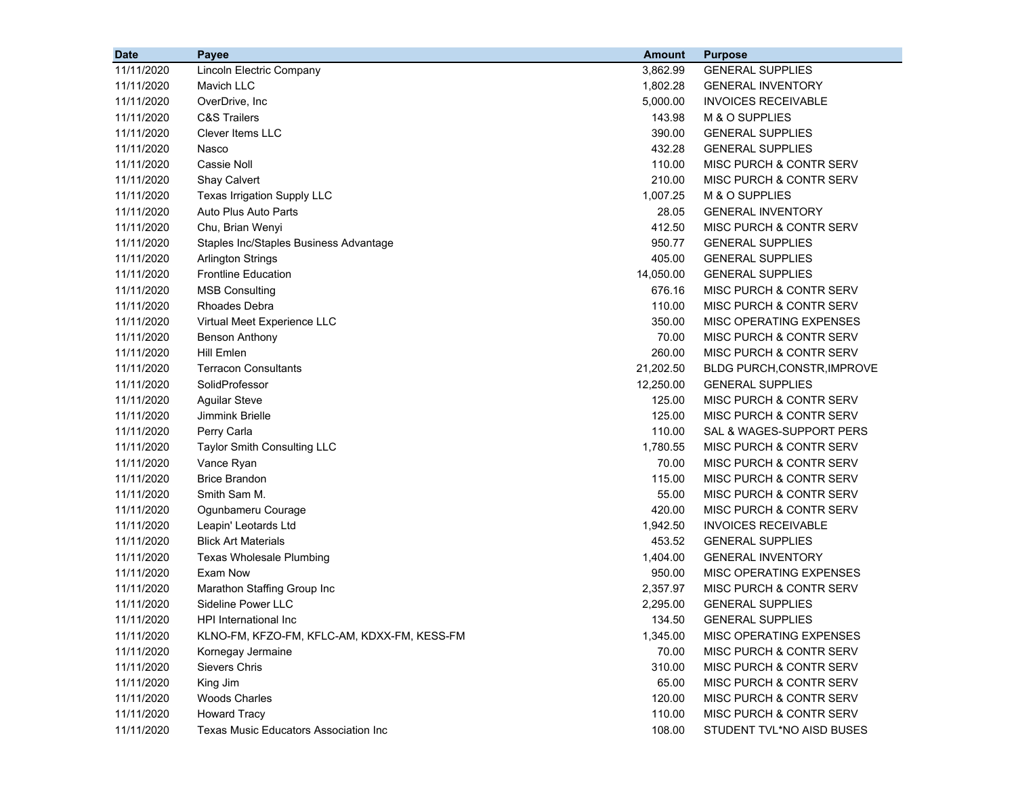| <b>Date</b> | <b>Payee</b>                                  | <b>Amount</b> | <b>Purpose</b>                     |
|-------------|-----------------------------------------------|---------------|------------------------------------|
| 11/11/2020  | Lincoln Electric Company                      | 3,862.99      | <b>GENERAL SUPPLIES</b>            |
| 11/11/2020  | Mavich LLC                                    | 1,802.28      | <b>GENERAL INVENTORY</b>           |
| 11/11/2020  | OverDrive, Inc.                               | 5,000.00      | <b>INVOICES RECEIVABLE</b>         |
| 11/11/2020  | <b>C&amp;S Trailers</b>                       | 143.98        | M & O SUPPLIES                     |
| 11/11/2020  | Clever Items LLC                              | 390.00        | <b>GENERAL SUPPLIES</b>            |
| 11/11/2020  | Nasco                                         | 432.28        | <b>GENERAL SUPPLIES</b>            |
| 11/11/2020  | <b>Cassie Noll</b>                            | 110.00        | MISC PURCH & CONTR SERV            |
| 11/11/2020  | <b>Shay Calvert</b>                           | 210.00        | MISC PURCH & CONTR SERV            |
| 11/11/2020  | Texas Irrigation Supply LLC                   | 1,007.25      | M & O SUPPLIES                     |
| 11/11/2020  | Auto Plus Auto Parts                          | 28.05         | <b>GENERAL INVENTORY</b>           |
| 11/11/2020  | Chu, Brian Wenyi                              | 412.50        | MISC PURCH & CONTR SERV            |
| 11/11/2020  | Staples Inc/Staples Business Advantage        | 950.77        | <b>GENERAL SUPPLIES</b>            |
| 11/11/2020  | <b>Arlington Strings</b>                      | 405.00        | <b>GENERAL SUPPLIES</b>            |
| 11/11/2020  | <b>Frontline Education</b>                    | 14,050.00     | <b>GENERAL SUPPLIES</b>            |
| 11/11/2020  | <b>MSB Consulting</b>                         | 676.16        | MISC PURCH & CONTR SERV            |
| 11/11/2020  | <b>Rhoades Debra</b>                          | 110.00        | MISC PURCH & CONTR SERV            |
| 11/11/2020  | Virtual Meet Experience LLC                   | 350.00        | MISC OPERATING EXPENSES            |
| 11/11/2020  | <b>Benson Anthony</b>                         | 70.00         | MISC PURCH & CONTR SERV            |
| 11/11/2020  | Hill Emlen                                    | 260.00        | <b>MISC PURCH &amp; CONTR SERV</b> |
| 11/11/2020  | <b>Terracon Consultants</b>                   | 21,202.50     | BLDG PURCH, CONSTR, IMPROVE        |
| 11/11/2020  | SolidProfessor                                | 12,250.00     | <b>GENERAL SUPPLIES</b>            |
| 11/11/2020  | <b>Aguilar Steve</b>                          | 125.00        | MISC PURCH & CONTR SERV            |
| 11/11/2020  | Jimmink Brielle                               | 125.00        | MISC PURCH & CONTR SERV            |
| 11/11/2020  | Perry Carla                                   | 110.00        | SAL & WAGES-SUPPORT PERS           |
| 11/11/2020  | Taylor Smith Consulting LLC                   | 1,780.55      | MISC PURCH & CONTR SERV            |
| 11/11/2020  | Vance Ryan                                    | 70.00         | MISC PURCH & CONTR SERV            |
| 11/11/2020  | <b>Brice Brandon</b>                          | 115.00        | MISC PURCH & CONTR SERV            |
| 11/11/2020  | Smith Sam M.                                  | 55.00         | MISC PURCH & CONTR SERV            |
| 11/11/2020  | Ogunbameru Courage                            | 420.00        | MISC PURCH & CONTR SERV            |
| 11/11/2020  | Leapin' Leotards Ltd                          | 1,942.50      | <b>INVOICES RECEIVABLE</b>         |
| 11/11/2020  | <b>Blick Art Materials</b>                    | 453.52        | <b>GENERAL SUPPLIES</b>            |
| 11/11/2020  | <b>Texas Wholesale Plumbing</b>               | 1,404.00      | <b>GENERAL INVENTORY</b>           |
| 11/11/2020  | Exam Now                                      | 950.00        | MISC OPERATING EXPENSES            |
| 11/11/2020  | Marathon Staffing Group Inc                   | 2,357.97      | MISC PURCH & CONTR SERV            |
| 11/11/2020  | <b>Sideline Power LLC</b>                     | 2,295.00      | <b>GENERAL SUPPLIES</b>            |
| 11/11/2020  | HPI International Inc                         | 134.50        | <b>GENERAL SUPPLIES</b>            |
| 11/11/2020  | KLNO-FM, KFZO-FM, KFLC-AM, KDXX-FM, KESS-FM   | 1,345.00      | MISC OPERATING EXPENSES            |
| 11/11/2020  | Kornegay Jermaine                             | 70.00         | MISC PURCH & CONTR SERV            |
| 11/11/2020  | Sievers Chris                                 | 310.00        | MISC PURCH & CONTR SERV            |
| 11/11/2020  | King Jim                                      | 65.00         | MISC PURCH & CONTR SERV            |
| 11/11/2020  | <b>Woods Charles</b>                          | 120.00        | MISC PURCH & CONTR SERV            |
| 11/11/2020  | <b>Howard Tracy</b>                           | 110.00        | MISC PURCH & CONTR SERV            |
| 11/11/2020  | <b>Texas Music Educators Association Inc.</b> | 108.00        | STUDENT TVL*NO AISD BUSES          |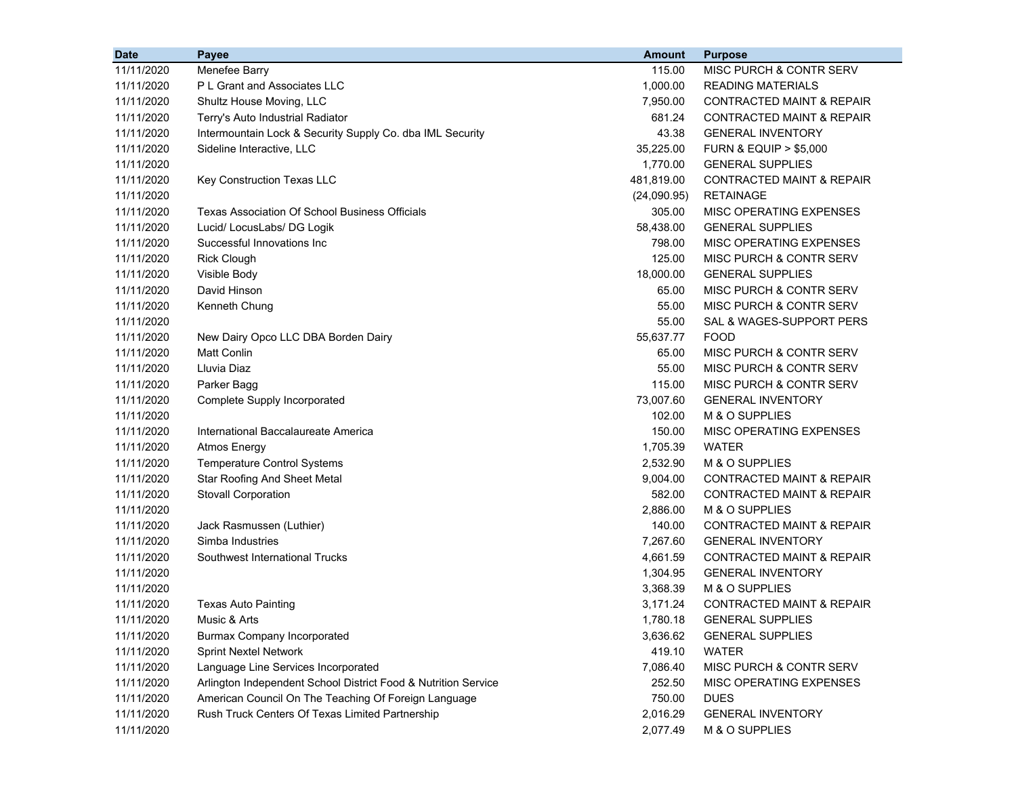| <b>Date</b> | Payee                                                          | <b>Amount</b> | <b>Purpose</b>                       |
|-------------|----------------------------------------------------------------|---------------|--------------------------------------|
| 11/11/2020  | Menefee Barry                                                  | 115.00        | MISC PURCH & CONTR SERV              |
| 11/11/2020  | P L Grant and Associates LLC                                   | 1,000.00      | <b>READING MATERIALS</b>             |
| 11/11/2020  | Shultz House Moving, LLC                                       | 7,950.00      | <b>CONTRACTED MAINT &amp; REPAIR</b> |
| 11/11/2020  | Terry's Auto Industrial Radiator                               | 681.24        | <b>CONTRACTED MAINT &amp; REPAIR</b> |
| 11/11/2020  | Intermountain Lock & Security Supply Co. dba IML Security      | 43.38         | <b>GENERAL INVENTORY</b>             |
| 11/11/2020  | Sideline Interactive, LLC                                      | 35,225.00     | <b>FURN &amp; EQUIP &gt; \$5,000</b> |
| 11/11/2020  |                                                                | 1,770.00      | <b>GENERAL SUPPLIES</b>              |
| 11/11/2020  | Key Construction Texas LLC                                     | 481,819.00    | <b>CONTRACTED MAINT &amp; REPAIR</b> |
| 11/11/2020  |                                                                | (24,090.95)   | <b>RETAINAGE</b>                     |
| 11/11/2020  | Texas Association Of School Business Officials                 | 305.00        | <b>MISC OPERATING EXPENSES</b>       |
| 11/11/2020  | Lucid/ LocusLabs/ DG Logik                                     | 58,438.00     | <b>GENERAL SUPPLIES</b>              |
| 11/11/2020  | Successful Innovations Inc                                     | 798.00        | MISC OPERATING EXPENSES              |
| 11/11/2020  | <b>Rick Clough</b>                                             | 125.00        | MISC PURCH & CONTR SERV              |
| 11/11/2020  | Visible Body                                                   | 18,000.00     | <b>GENERAL SUPPLIES</b>              |
| 11/11/2020  | David Hinson                                                   | 65.00         | MISC PURCH & CONTR SERV              |
| 11/11/2020  | Kenneth Chung                                                  | 55.00         | MISC PURCH & CONTR SERV              |
| 11/11/2020  |                                                                | 55.00         | SAL & WAGES-SUPPORT PERS             |
| 11/11/2020  | New Dairy Opco LLC DBA Borden Dairy                            | 55,637.77     | <b>FOOD</b>                          |
| 11/11/2020  | <b>Matt Conlin</b>                                             | 65.00         | MISC PURCH & CONTR SERV              |
| 11/11/2020  | Lluvia Diaz                                                    | 55.00         | MISC PURCH & CONTR SERV              |
| 11/11/2020  | Parker Bagg                                                    | 115.00        | MISC PURCH & CONTR SERV              |
| 11/11/2020  | Complete Supply Incorporated                                   | 73,007.60     | <b>GENERAL INVENTORY</b>             |
| 11/11/2020  |                                                                | 102.00        | M & O SUPPLIES                       |
| 11/11/2020  | International Baccalaureate America                            | 150.00        | MISC OPERATING EXPENSES              |
| 11/11/2020  | <b>Atmos Energy</b>                                            | 1,705.39      | <b>WATER</b>                         |
| 11/11/2020  | <b>Temperature Control Systems</b>                             | 2,532.90      | M & O SUPPLIES                       |
| 11/11/2020  | <b>Star Roofing And Sheet Metal</b>                            | 9,004.00      | <b>CONTRACTED MAINT &amp; REPAIR</b> |
| 11/11/2020  | <b>Stovall Corporation</b>                                     | 582.00        | <b>CONTRACTED MAINT &amp; REPAIR</b> |
| 11/11/2020  |                                                                | 2,886.00      | M & O SUPPLIES                       |
| 11/11/2020  | Jack Rasmussen (Luthier)                                       | 140.00        | <b>CONTRACTED MAINT &amp; REPAIR</b> |
| 11/11/2020  | Simba Industries                                               | 7,267.60      | <b>GENERAL INVENTORY</b>             |
| 11/11/2020  | Southwest International Trucks                                 | 4,661.59      | <b>CONTRACTED MAINT &amp; REPAIR</b> |
| 11/11/2020  |                                                                | 1,304.95      | <b>GENERAL INVENTORY</b>             |
| 11/11/2020  |                                                                | 3,368.39      | M & O SUPPLIES                       |
| 11/11/2020  | <b>Texas Auto Painting</b>                                     | 3,171.24      | <b>CONTRACTED MAINT &amp; REPAIR</b> |
| 11/11/2020  | Music & Arts                                                   | 1,780.18      | <b>GENERAL SUPPLIES</b>              |
| 11/11/2020  | <b>Burmax Company Incorporated</b>                             | 3,636.62      | <b>GENERAL SUPPLIES</b>              |
| 11/11/2020  | <b>Sprint Nextel Network</b>                                   | 419.10        | <b>WATER</b>                         |
| 11/11/2020  | Language Line Services Incorporated                            | 7,086.40      | MISC PURCH & CONTR SERV              |
| 11/11/2020  | Arlington Independent School District Food & Nutrition Service | 252.50        | MISC OPERATING EXPENSES              |
| 11/11/2020  | American Council On The Teaching Of Foreign Language           | 750.00        | <b>DUES</b>                          |
| 11/11/2020  | Rush Truck Centers Of Texas Limited Partnership                | 2,016.29      | <b>GENERAL INVENTORY</b>             |
| 11/11/2020  |                                                                | 2,077.49      | M & O SUPPLIES                       |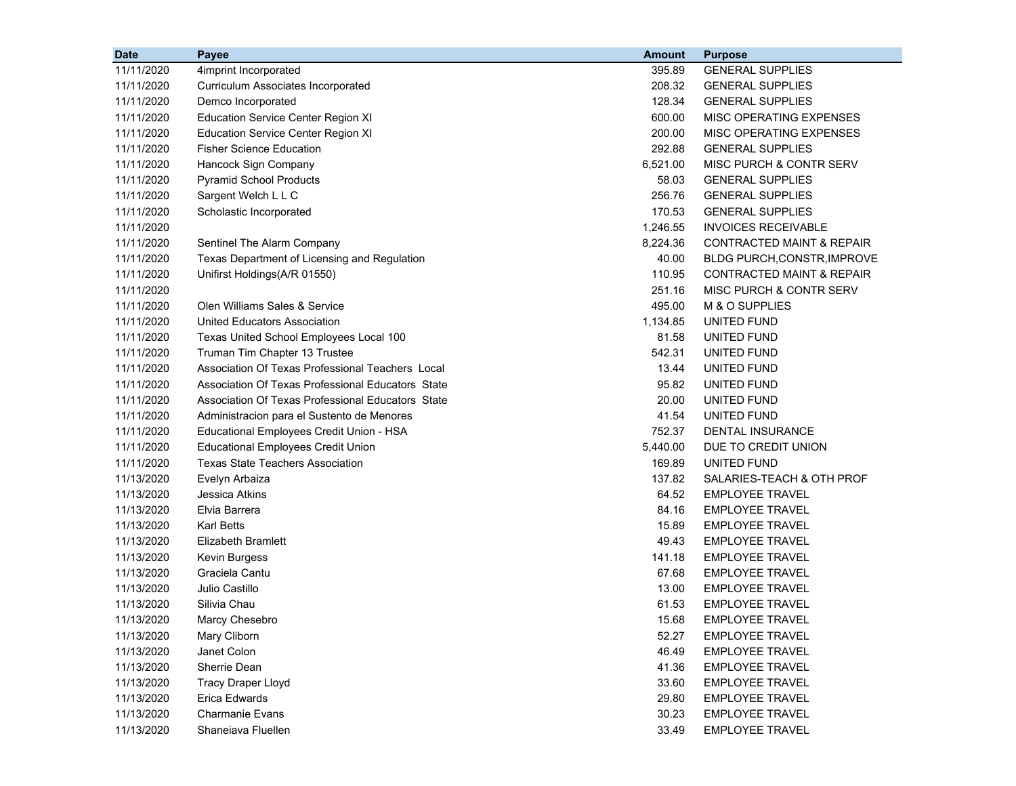| <b>Date</b> | Payee                                             | <b>Amount</b> | <b>Purpose</b>                       |
|-------------|---------------------------------------------------|---------------|--------------------------------------|
| 11/11/2020  | 4imprint Incorporated                             | 395.89        | <b>GENERAL SUPPLIES</b>              |
| 11/11/2020  | Curriculum Associates Incorporated                | 208.32        | <b>GENERAL SUPPLIES</b>              |
| 11/11/2020  | Demco Incorporated                                | 128.34        | <b>GENERAL SUPPLIES</b>              |
| 11/11/2020  | <b>Education Service Center Region XI</b>         | 600.00        | MISC OPERATING EXPENSES              |
| 11/11/2020  | <b>Education Service Center Region XI</b>         | 200.00        | <b>MISC OPERATING EXPENSES</b>       |
| 11/11/2020  | <b>Fisher Science Education</b>                   | 292.88        | <b>GENERAL SUPPLIES</b>              |
| 11/11/2020  | Hancock Sign Company                              | 6,521.00      | MISC PURCH & CONTR SERV              |
| 11/11/2020  | <b>Pyramid School Products</b>                    | 58.03         | <b>GENERAL SUPPLIES</b>              |
| 11/11/2020  | Sargent Welch L L C                               | 256.76        | <b>GENERAL SUPPLIES</b>              |
| 11/11/2020  | Scholastic Incorporated                           | 170.53        | <b>GENERAL SUPPLIES</b>              |
| 11/11/2020  |                                                   | 1,246.55      | <b>INVOICES RECEIVABLE</b>           |
| 11/11/2020  | Sentinel The Alarm Company                        | 8,224.36      | <b>CONTRACTED MAINT &amp; REPAIR</b> |
| 11/11/2020  | Texas Department of Licensing and Regulation      | 40.00         | <b>BLDG PURCH, CONSTR, IMPROVE</b>   |
| 11/11/2020  | Unifirst Holdings(A/R 01550)                      | 110.95        | CONTRACTED MAINT & REPAIR            |
| 11/11/2020  |                                                   | 251.16        | <b>MISC PURCH &amp; CONTR SERV</b>   |
| 11/11/2020  | Olen Williams Sales & Service                     | 495.00        | M & O SUPPLIES                       |
| 11/11/2020  | <b>United Educators Association</b>               | 1,134.85      | UNITED FUND                          |
| 11/11/2020  | Texas United School Employees Local 100           | 81.58         | UNITED FUND                          |
| 11/11/2020  | Truman Tim Chapter 13 Trustee                     | 542.31        | UNITED FUND                          |
| 11/11/2020  | Association Of Texas Professional Teachers Local  | 13.44         | UNITED FUND                          |
| 11/11/2020  | Association Of Texas Professional Educators State | 95.82         | UNITED FUND                          |
| 11/11/2020  | Association Of Texas Professional Educators State | 20.00         | UNITED FUND                          |
| 11/11/2020  | Administracion para el Sustento de Menores        | 41.54         | UNITED FUND                          |
| 11/11/2020  | Educational Employees Credit Union - HSA          | 752.37        | <b>DENTAL INSURANCE</b>              |
| 11/11/2020  | <b>Educational Employees Credit Union</b>         | 5,440.00      | DUE TO CREDIT UNION                  |
| 11/11/2020  | <b>Texas State Teachers Association</b>           | 169.89        | UNITED FUND                          |
| 11/13/2020  | Evelyn Arbaiza                                    | 137.82        | SALARIES-TEACH & OTH PROF            |
| 11/13/2020  | Jessica Atkins                                    | 64.52         | <b>EMPLOYEE TRAVEL</b>               |
| 11/13/2020  | Elvia Barrera                                     | 84.16         | <b>EMPLOYEE TRAVEL</b>               |
| 11/13/2020  | <b>Karl Betts</b>                                 | 15.89         | <b>EMPLOYEE TRAVEL</b>               |
| 11/13/2020  | <b>Elizabeth Bramlett</b>                         | 49.43         | <b>EMPLOYEE TRAVEL</b>               |
| 11/13/2020  | Kevin Burgess                                     | 141.18        | <b>EMPLOYEE TRAVEL</b>               |
| 11/13/2020  | Graciela Cantu                                    | 67.68         | <b>EMPLOYEE TRAVEL</b>               |
| 11/13/2020  | Julio Castillo                                    | 13.00         | <b>EMPLOYEE TRAVEL</b>               |
| 11/13/2020  | Silivia Chau                                      | 61.53         | <b>EMPLOYEE TRAVEL</b>               |
| 11/13/2020  | Marcy Chesebro                                    | 15.68         | <b>EMPLOYEE TRAVEL</b>               |
| 11/13/2020  | Mary Cliborn                                      | 52.27         | <b>EMPLOYEE TRAVEL</b>               |
| 11/13/2020  | Janet Colon                                       | 46.49         | <b>EMPLOYEE TRAVEL</b>               |
| 11/13/2020  | Sherrie Dean                                      | 41.36         | <b>EMPLOYEE TRAVEL</b>               |
| 11/13/2020  | <b>Tracy Draper Lloyd</b>                         | 33.60         | <b>EMPLOYEE TRAVEL</b>               |
| 11/13/2020  | <b>Erica Edwards</b>                              | 29.80         | <b>EMPLOYEE TRAVEL</b>               |
| 11/13/2020  | <b>Charmanie Evans</b>                            | 30.23         | <b>EMPLOYEE TRAVEL</b>               |
| 11/13/2020  | Shaneiava Fluellen                                | 33.49         | <b>EMPLOYEE TRAVEL</b>               |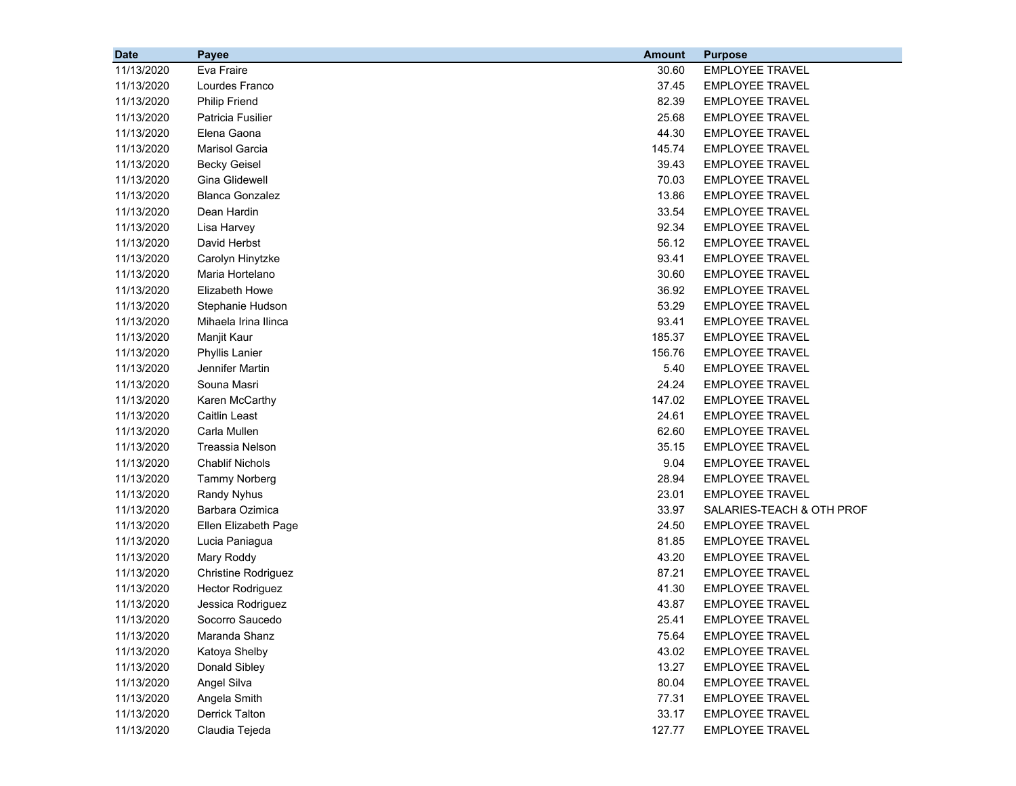| <b>Date</b> | Payee                   | <b>Amount</b> | <b>Purpose</b>            |
|-------------|-------------------------|---------------|---------------------------|
| 11/13/2020  | Eva Fraire              | 30.60         | <b>EMPLOYEE TRAVEL</b>    |
| 11/13/2020  | Lourdes Franco          | 37.45         | EMPLOYEE TRAVEL           |
| 11/13/2020  | <b>Philip Friend</b>    | 82.39         | <b>EMPLOYEE TRAVEL</b>    |
| 11/13/2020  | Patricia Fusilier       | 25.68         | <b>EMPLOYEE TRAVEL</b>    |
| 11/13/2020  | Elena Gaona             | 44.30         | <b>EMPLOYEE TRAVEL</b>    |
| 11/13/2020  | <b>Marisol Garcia</b>   | 145.74        | <b>EMPLOYEE TRAVEL</b>    |
| 11/13/2020  | <b>Becky Geisel</b>     | 39.43         | <b>EMPLOYEE TRAVEL</b>    |
| 11/13/2020  | Gina Glidewell          | 70.03         | <b>EMPLOYEE TRAVEL</b>    |
| 11/13/2020  | <b>Blanca Gonzalez</b>  | 13.86         | <b>EMPLOYEE TRAVEL</b>    |
| 11/13/2020  | Dean Hardin             | 33.54         | <b>EMPLOYEE TRAVEL</b>    |
| 11/13/2020  | Lisa Harvey             | 92.34         | <b>EMPLOYEE TRAVEL</b>    |
| 11/13/2020  | David Herbst            | 56.12         | EMPLOYEE TRAVEL           |
| 11/13/2020  | Carolyn Hinytzke        | 93.41         | <b>EMPLOYEE TRAVEL</b>    |
| 11/13/2020  | Maria Hortelano         | 30.60         | <b>EMPLOYEE TRAVEL</b>    |
| 11/13/2020  | Elizabeth Howe          | 36.92         | <b>EMPLOYEE TRAVEL</b>    |
| 11/13/2020  | Stephanie Hudson        | 53.29         | <b>EMPLOYEE TRAVEL</b>    |
| 11/13/2020  | Mihaela Irina Ilinca    | 93.41         | <b>EMPLOYEE TRAVEL</b>    |
| 11/13/2020  | Manjit Kaur             | 185.37        | <b>EMPLOYEE TRAVEL</b>    |
| 11/13/2020  | <b>Phyllis Lanier</b>   | 156.76        | <b>EMPLOYEE TRAVEL</b>    |
| 11/13/2020  | Jennifer Martin         | 5.40          | <b>EMPLOYEE TRAVEL</b>    |
| 11/13/2020  | Souna Masri             | 24.24         | <b>EMPLOYEE TRAVEL</b>    |
| 11/13/2020  | Karen McCarthy          | 147.02        | <b>EMPLOYEE TRAVEL</b>    |
| 11/13/2020  | Caitlin Least           | 24.61         | <b>EMPLOYEE TRAVEL</b>    |
| 11/13/2020  | Carla Mullen            | 62.60         | <b>EMPLOYEE TRAVEL</b>    |
| 11/13/2020  | Treassia Nelson         | 35.15         | <b>EMPLOYEE TRAVEL</b>    |
| 11/13/2020  | <b>Chablif Nichols</b>  | 9.04          | <b>EMPLOYEE TRAVEL</b>    |
| 11/13/2020  | <b>Tammy Norberg</b>    | 28.94         | <b>EMPLOYEE TRAVEL</b>    |
| 11/13/2020  | <b>Randy Nyhus</b>      | 23.01         | <b>EMPLOYEE TRAVEL</b>    |
| 11/13/2020  | Barbara Ozimica         | 33.97         | SALARIES-TEACH & OTH PROF |
| 11/13/2020  | Ellen Elizabeth Page    | 24.50         | <b>EMPLOYEE TRAVEL</b>    |
| 11/13/2020  | Lucia Paniagua          | 81.85         | <b>EMPLOYEE TRAVEL</b>    |
| 11/13/2020  | Mary Roddy              | 43.20         | <b>EMPLOYEE TRAVEL</b>    |
| 11/13/2020  | Christine Rodriguez     | 87.21         | <b>EMPLOYEE TRAVEL</b>    |
| 11/13/2020  | <b>Hector Rodriguez</b> | 41.30         | <b>EMPLOYEE TRAVEL</b>    |
| 11/13/2020  | Jessica Rodriguez       | 43.87         | <b>EMPLOYEE TRAVEL</b>    |
| 11/13/2020  | Socorro Saucedo         | 25.41         | <b>EMPLOYEE TRAVEL</b>    |
| 11/13/2020  | Maranda Shanz           | 75.64         | <b>EMPLOYEE TRAVEL</b>    |
| 11/13/2020  | Katoya Shelby           | 43.02         | <b>EMPLOYEE TRAVEL</b>    |
| 11/13/2020  | Donald Sibley           | 13.27         | <b>EMPLOYEE TRAVEL</b>    |
| 11/13/2020  | Angel Silva             | 80.04         | <b>EMPLOYEE TRAVEL</b>    |
| 11/13/2020  | Angela Smith            | 77.31         | <b>EMPLOYEE TRAVEL</b>    |
| 11/13/2020  | Derrick Talton          | 33.17         | <b>EMPLOYEE TRAVEL</b>    |
| 11/13/2020  | Claudia Tejeda          | 127.77        | <b>EMPLOYEE TRAVEL</b>    |
|             |                         |               |                           |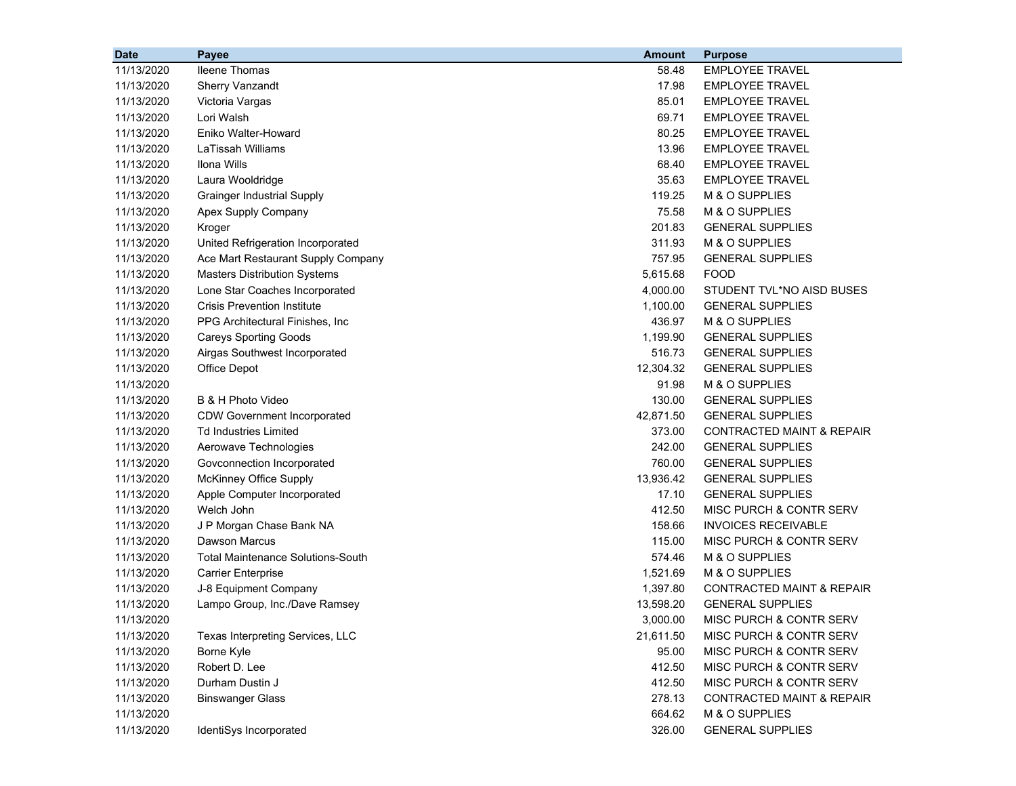| <b>Date</b> | Payee                                    | <b>Amount</b> | <b>Purpose</b>                       |
|-------------|------------------------------------------|---------------|--------------------------------------|
| 11/13/2020  | <b>Ileene Thomas</b>                     | 58.48         | <b>EMPLOYEE TRAVEL</b>               |
| 11/13/2020  | <b>Sherry Vanzandt</b>                   | 17.98         | <b>EMPLOYEE TRAVEL</b>               |
| 11/13/2020  | Victoria Vargas                          | 85.01         | <b>EMPLOYEE TRAVEL</b>               |
| 11/13/2020  | Lori Walsh                               | 69.71         | <b>EMPLOYEE TRAVEL</b>               |
| 11/13/2020  | Eniko Walter-Howard                      | 80.25         | <b>EMPLOYEE TRAVEL</b>               |
| 11/13/2020  | LaTissah Williams                        | 13.96         | <b>EMPLOYEE TRAVEL</b>               |
| 11/13/2020  | Ilona Wills                              | 68.40         | <b>EMPLOYEE TRAVEL</b>               |
| 11/13/2020  | Laura Wooldridge                         | 35.63         | <b>EMPLOYEE TRAVEL</b>               |
| 11/13/2020  | <b>Grainger Industrial Supply</b>        | 119.25        | M & O SUPPLIES                       |
| 11/13/2020  | Apex Supply Company                      | 75.58         | M & O SUPPLIES                       |
| 11/13/2020  | Kroger                                   | 201.83        | <b>GENERAL SUPPLIES</b>              |
| 11/13/2020  | United Refrigeration Incorporated        | 311.93        | M & O SUPPLIES                       |
| 11/13/2020  | Ace Mart Restaurant Supply Company       | 757.95        | <b>GENERAL SUPPLIES</b>              |
| 11/13/2020  | <b>Masters Distribution Systems</b>      | 5,615.68      | <b>FOOD</b>                          |
| 11/13/2020  | Lone Star Coaches Incorporated           | 4,000.00      | STUDENT TVL*NO AISD BUSES            |
| 11/13/2020  | <b>Crisis Prevention Institute</b>       | 1,100.00      | <b>GENERAL SUPPLIES</b>              |
| 11/13/2020  | PPG Architectural Finishes, Inc.         | 436.97        | M & O SUPPLIES                       |
| 11/13/2020  | <b>Careys Sporting Goods</b>             | 1,199.90      | <b>GENERAL SUPPLIES</b>              |
| 11/13/2020  | Airgas Southwest Incorporated            | 516.73        | <b>GENERAL SUPPLIES</b>              |
| 11/13/2020  | <b>Office Depot</b>                      | 12,304.32     | <b>GENERAL SUPPLIES</b>              |
| 11/13/2020  |                                          | 91.98         | M & O SUPPLIES                       |
| 11/13/2020  | B & H Photo Video                        | 130.00        | <b>GENERAL SUPPLIES</b>              |
| 11/13/2020  | <b>CDW Government Incorporated</b>       | 42,871.50     | <b>GENERAL SUPPLIES</b>              |
| 11/13/2020  | <b>Td Industries Limited</b>             | 373.00        | CONTRACTED MAINT & REPAIR            |
| 11/13/2020  | Aerowave Technologies                    | 242.00        | <b>GENERAL SUPPLIES</b>              |
| 11/13/2020  | Govconnection Incorporated               | 760.00        | <b>GENERAL SUPPLIES</b>              |
| 11/13/2020  | McKinney Office Supply                   | 13,936.42     | <b>GENERAL SUPPLIES</b>              |
| 11/13/2020  | Apple Computer Incorporated              | 17.10         | <b>GENERAL SUPPLIES</b>              |
| 11/13/2020  | Welch John                               | 412.50        | MISC PURCH & CONTR SERV              |
| 11/13/2020  | J P Morgan Chase Bank NA                 | 158.66        | <b>INVOICES RECEIVABLE</b>           |
| 11/13/2020  | Dawson Marcus                            | 115.00        | MISC PURCH & CONTR SERV              |
| 11/13/2020  | <b>Total Maintenance Solutions-South</b> | 574.46        | M & O SUPPLIES                       |
| 11/13/2020  | <b>Carrier Enterprise</b>                | 1,521.69      | M & O SUPPLIES                       |
| 11/13/2020  | J-8 Equipment Company                    | 1,397.80      | CONTRACTED MAINT & REPAIR            |
| 11/13/2020  | Lampo Group, Inc./Dave Ramsey            | 13,598.20     | <b>GENERAL SUPPLIES</b>              |
| 11/13/2020  |                                          | 3,000.00      | MISC PURCH & CONTR SERV              |
| 11/13/2020  | Texas Interpreting Services, LLC         | 21,611.50     | MISC PURCH & CONTR SERV              |
| 11/13/2020  | Borne Kyle                               | 95.00         | MISC PURCH & CONTR SERV              |
| 11/13/2020  | Robert D. Lee                            | 412.50        | MISC PURCH & CONTR SERV              |
| 11/13/2020  | Durham Dustin J                          | 412.50        | MISC PURCH & CONTR SERV              |
| 11/13/2020  | <b>Binswanger Glass</b>                  | 278.13        | <b>CONTRACTED MAINT &amp; REPAIR</b> |
| 11/13/2020  |                                          | 664.62        | M & O SUPPLIES                       |
| 11/13/2020  | IdentiSys Incorporated                   | 326.00        | <b>GENERAL SUPPLIES</b>              |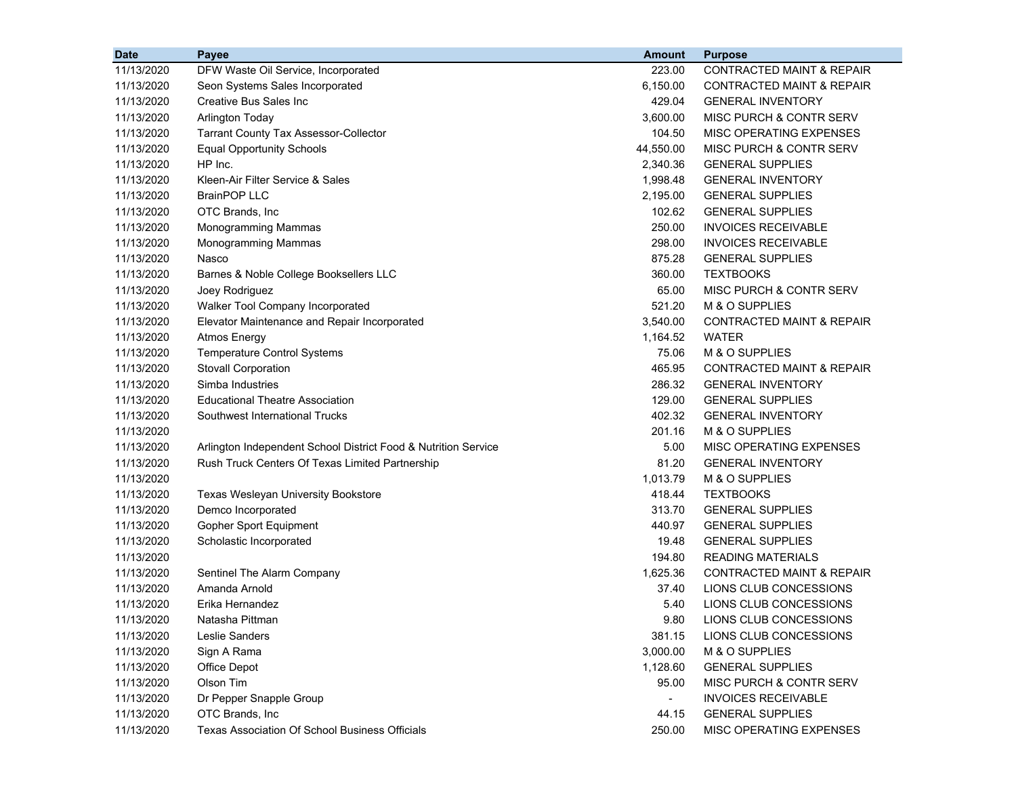| <b>Date</b> | Payee                                                          | <b>Amount</b> | <b>Purpose</b>                       |
|-------------|----------------------------------------------------------------|---------------|--------------------------------------|
| 11/13/2020  | DFW Waste Oil Service, Incorporated                            | 223.00        | CONTRACTED MAINT & REPAIR            |
| 11/13/2020  | Seon Systems Sales Incorporated                                | 6,150.00      | CONTRACTED MAINT & REPAIR            |
| 11/13/2020  | <b>Creative Bus Sales Inc</b>                                  | 429.04        | <b>GENERAL INVENTORY</b>             |
| 11/13/2020  | <b>Arlington Today</b>                                         | 3,600.00      | MISC PURCH & CONTR SERV              |
| 11/13/2020  | <b>Tarrant County Tax Assessor-Collector</b>                   | 104.50        | MISC OPERATING EXPENSES              |
| 11/13/2020  | <b>Equal Opportunity Schools</b>                               | 44,550.00     | MISC PURCH & CONTR SERV              |
| 11/13/2020  | HP Inc.                                                        | 2,340.36      | <b>GENERAL SUPPLIES</b>              |
| 11/13/2020  | Kleen-Air Filter Service & Sales                               | 1,998.48      | <b>GENERAL INVENTORY</b>             |
| 11/13/2020  | <b>BrainPOP LLC</b>                                            | 2,195.00      | <b>GENERAL SUPPLIES</b>              |
| 11/13/2020  | OTC Brands, Inc                                                | 102.62        | <b>GENERAL SUPPLIES</b>              |
| 11/13/2020  | Monogramming Mammas                                            | 250.00        | <b>INVOICES RECEIVABLE</b>           |
| 11/13/2020  | Monogramming Mammas                                            | 298.00        | <b>INVOICES RECEIVABLE</b>           |
| 11/13/2020  | Nasco                                                          | 875.28        | <b>GENERAL SUPPLIES</b>              |
| 11/13/2020  | Barnes & Noble College Booksellers LLC                         | 360.00        | <b>TEXTBOOKS</b>                     |
| 11/13/2020  | Joey Rodriguez                                                 | 65.00         | MISC PURCH & CONTR SERV              |
| 11/13/2020  | Walker Tool Company Incorporated                               | 521.20        | M & O SUPPLIES                       |
| 11/13/2020  | Elevator Maintenance and Repair Incorporated                   | 3,540.00      | <b>CONTRACTED MAINT &amp; REPAIR</b> |
| 11/13/2020  | <b>Atmos Energy</b>                                            | 1,164.52      | <b>WATER</b>                         |
| 11/13/2020  | <b>Temperature Control Systems</b>                             | 75.06         | M & O SUPPLIES                       |
| 11/13/2020  | <b>Stovall Corporation</b>                                     | 465.95        | <b>CONTRACTED MAINT &amp; REPAIR</b> |
| 11/13/2020  | Simba Industries                                               | 286.32        | <b>GENERAL INVENTORY</b>             |
| 11/13/2020  | <b>Educational Theatre Association</b>                         | 129.00        | <b>GENERAL SUPPLIES</b>              |
| 11/13/2020  | Southwest International Trucks                                 | 402.32        | <b>GENERAL INVENTORY</b>             |
| 11/13/2020  |                                                                | 201.16        | M & O SUPPLIES                       |
| 11/13/2020  | Arlington Independent School District Food & Nutrition Service | 5.00          | MISC OPERATING EXPENSES              |
| 11/13/2020  | Rush Truck Centers Of Texas Limited Partnership                | 81.20         | <b>GENERAL INVENTORY</b>             |
| 11/13/2020  |                                                                | 1,013.79      | M & O SUPPLIES                       |
| 11/13/2020  | Texas Wesleyan University Bookstore                            | 418.44        | <b>TEXTBOOKS</b>                     |
| 11/13/2020  | Demco Incorporated                                             | 313.70        | <b>GENERAL SUPPLIES</b>              |
| 11/13/2020  | Gopher Sport Equipment                                         | 440.97        | <b>GENERAL SUPPLIES</b>              |
| 11/13/2020  | Scholastic Incorporated                                        | 19.48         | <b>GENERAL SUPPLIES</b>              |
| 11/13/2020  |                                                                | 194.80        | <b>READING MATERIALS</b>             |
| 11/13/2020  | Sentinel The Alarm Company                                     | 1,625.36      | <b>CONTRACTED MAINT &amp; REPAIR</b> |
| 11/13/2020  | Amanda Arnold                                                  | 37.40         | LIONS CLUB CONCESSIONS               |
| 11/13/2020  | Erika Hernandez                                                | 5.40          | LIONS CLUB CONCESSIONS               |
| 11/13/2020  | Natasha Pittman                                                | 9.80          | LIONS CLUB CONCESSIONS               |
| 11/13/2020  | Leslie Sanders                                                 | 381.15        | LIONS CLUB CONCESSIONS               |
| 11/13/2020  | Sign A Rama                                                    | 3,000.00      | M & O SUPPLIES                       |
| 11/13/2020  | Office Depot                                                   | 1,128.60      | <b>GENERAL SUPPLIES</b>              |
| 11/13/2020  | Olson Tim                                                      | 95.00         | MISC PURCH & CONTR SERV              |
| 11/13/2020  | Dr Pepper Snapple Group                                        | $\sim$        | <b>INVOICES RECEIVABLE</b>           |
| 11/13/2020  | OTC Brands, Inc                                                | 44.15         | <b>GENERAL SUPPLIES</b>              |
| 11/13/2020  | Texas Association Of School Business Officials                 | 250.00        | MISC OPERATING EXPENSES              |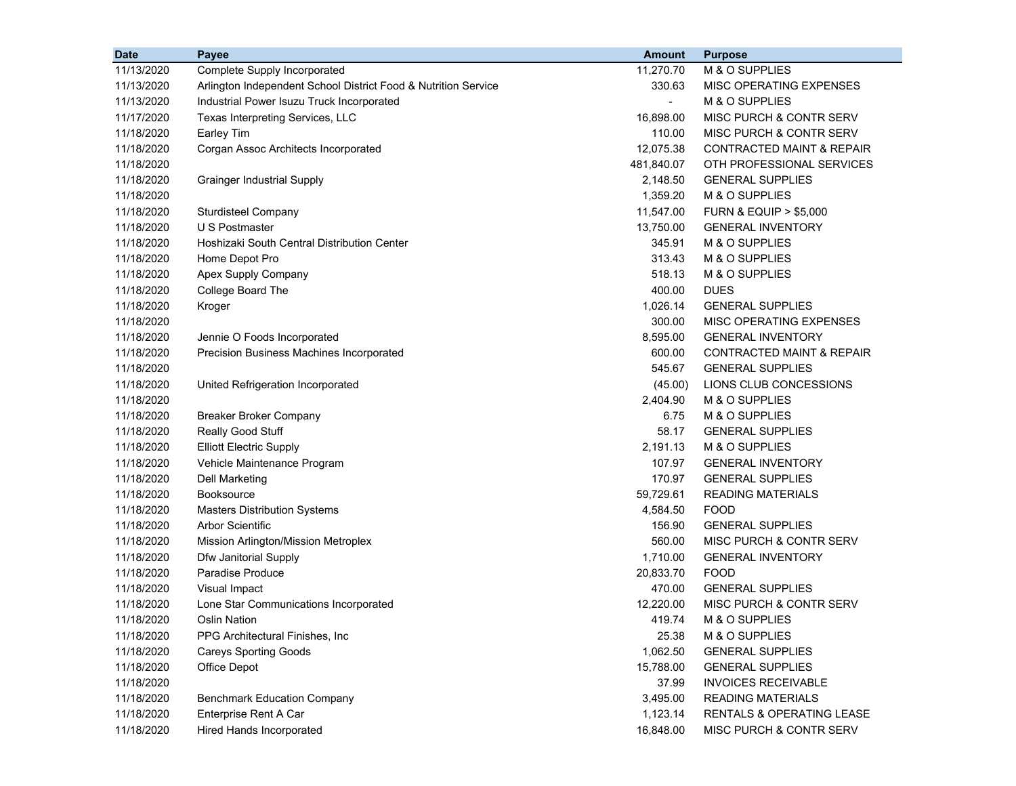| <b>Date</b> | <b>Payee</b>                                                   | <b>Amount</b>  | <b>Purpose</b>                       |
|-------------|----------------------------------------------------------------|----------------|--------------------------------------|
| 11/13/2020  | Complete Supply Incorporated                                   | 11,270.70      | M & O SUPPLIES                       |
| 11/13/2020  | Arlington Independent School District Food & Nutrition Service | 330.63         | MISC OPERATING EXPENSES              |
| 11/13/2020  | Industrial Power Isuzu Truck Incorporated                      | $\blacksquare$ | M & O SUPPLIES                       |
| 11/17/2020  | Texas Interpreting Services, LLC                               | 16,898.00      | MISC PURCH & CONTR SERV              |
| 11/18/2020  | Earley Tim                                                     | 110.00         | MISC PURCH & CONTR SERV              |
| 11/18/2020  | Corgan Assoc Architects Incorporated                           | 12,075.38      | <b>CONTRACTED MAINT &amp; REPAIR</b> |
| 11/18/2020  |                                                                | 481,840.07     | OTH PROFESSIONAL SERVICES            |
| 11/18/2020  | <b>Grainger Industrial Supply</b>                              | 2,148.50       | <b>GENERAL SUPPLIES</b>              |
| 11/18/2020  |                                                                | 1,359.20       | M & O SUPPLIES                       |
| 11/18/2020  | <b>Sturdisteel Company</b>                                     | 11,547.00      | <b>FURN &amp; EQUIP &gt; \$5,000</b> |
| 11/18/2020  | U S Postmaster                                                 | 13,750.00      | <b>GENERAL INVENTORY</b>             |
| 11/18/2020  | Hoshizaki South Central Distribution Center                    | 345.91         | M & O SUPPLIES                       |
| 11/18/2020  | Home Depot Pro                                                 | 313.43         | M & O SUPPLIES                       |
| 11/18/2020  | Apex Supply Company                                            | 518.13         | M & O SUPPLIES                       |
| 11/18/2020  | College Board The                                              | 400.00         | <b>DUES</b>                          |
| 11/18/2020  | Kroger                                                         | 1,026.14       | <b>GENERAL SUPPLIES</b>              |
| 11/18/2020  |                                                                | 300.00         | MISC OPERATING EXPENSES              |
| 11/18/2020  | Jennie O Foods Incorporated                                    | 8,595.00       | <b>GENERAL INVENTORY</b>             |
| 11/18/2020  | Precision Business Machines Incorporated                       | 600.00         | CONTRACTED MAINT & REPAIR            |
| 11/18/2020  |                                                                | 545.67         | <b>GENERAL SUPPLIES</b>              |
| 11/18/2020  | United Refrigeration Incorporated                              | (45.00)        | LIONS CLUB CONCESSIONS               |
| 11/18/2020  |                                                                | 2,404.90       | M & O SUPPLIES                       |
| 11/18/2020  | <b>Breaker Broker Company</b>                                  | 6.75           | M & O SUPPLIES                       |
| 11/18/2020  | Really Good Stuff                                              | 58.17          | <b>GENERAL SUPPLIES</b>              |
| 11/18/2020  | <b>Elliott Electric Supply</b>                                 | 2,191.13       | M & O SUPPLIES                       |
| 11/18/2020  | Vehicle Maintenance Program                                    | 107.97         | <b>GENERAL INVENTORY</b>             |
| 11/18/2020  | Dell Marketing                                                 | 170.97         | <b>GENERAL SUPPLIES</b>              |
| 11/18/2020  | <b>Booksource</b>                                              | 59,729.61      | <b>READING MATERIALS</b>             |
| 11/18/2020  | <b>Masters Distribution Systems</b>                            | 4,584.50       | <b>FOOD</b>                          |
| 11/18/2020  | <b>Arbor Scientific</b>                                        | 156.90         | <b>GENERAL SUPPLIES</b>              |
| 11/18/2020  | Mission Arlington/Mission Metroplex                            | 560.00         | MISC PURCH & CONTR SERV              |
| 11/18/2020  | Dfw Janitorial Supply                                          | 1,710.00       | <b>GENERAL INVENTORY</b>             |
| 11/18/2020  | Paradise Produce                                               | 20,833.70      | <b>FOOD</b>                          |
| 11/18/2020  | <b>Visual Impact</b>                                           | 470.00         | <b>GENERAL SUPPLIES</b>              |
| 11/18/2020  | Lone Star Communications Incorporated                          | 12,220.00      | MISC PURCH & CONTR SERV              |
| 11/18/2020  | <b>Oslin Nation</b>                                            | 419.74         | M & O SUPPLIES                       |
| 11/18/2020  | PPG Architectural Finishes, Inc.                               | 25.38          | M & O SUPPLIES                       |
| 11/18/2020  | <b>Careys Sporting Goods</b>                                   | 1,062.50       | <b>GENERAL SUPPLIES</b>              |
| 11/18/2020  | Office Depot                                                   | 15,788.00      | <b>GENERAL SUPPLIES</b>              |
| 11/18/2020  |                                                                | 37.99          | <b>INVOICES RECEIVABLE</b>           |
| 11/18/2020  | <b>Benchmark Education Company</b>                             | 3,495.00       | <b>READING MATERIALS</b>             |
| 11/18/2020  | Enterprise Rent A Car                                          | 1,123.14       | RENTALS & OPERATING LEASE            |
| 11/18/2020  | <b>Hired Hands Incorporated</b>                                | 16,848.00      | MISC PURCH & CONTR SERV              |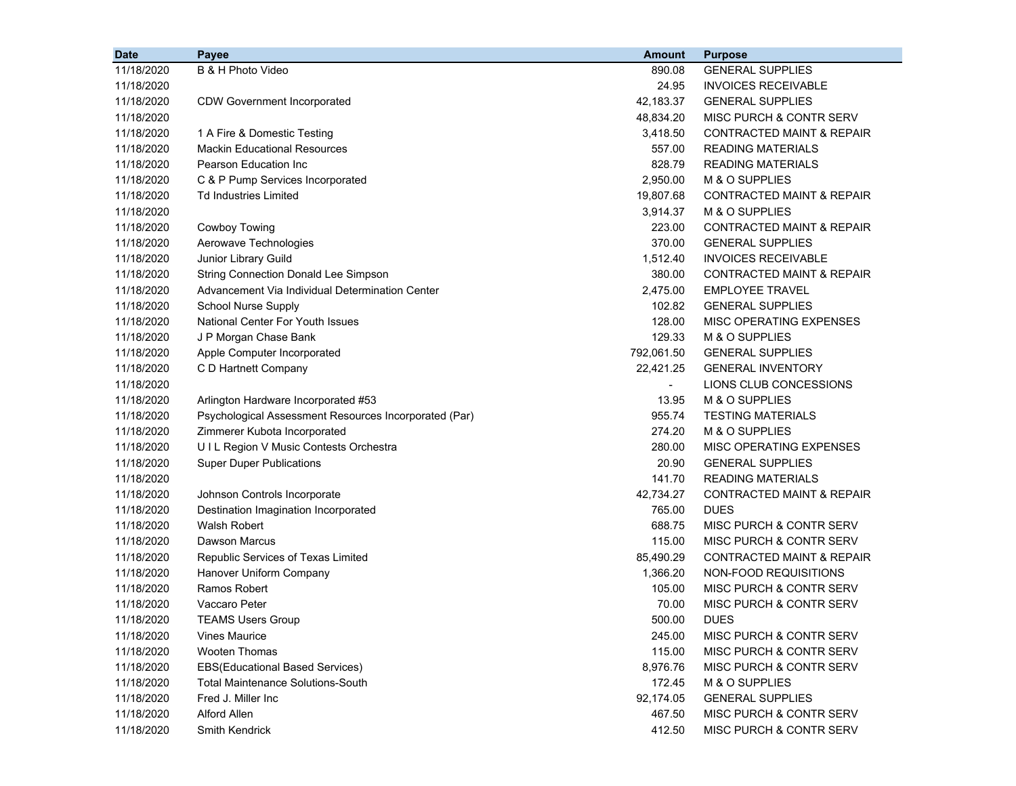| <b>Date</b> | Payee                                                 | <b>Amount</b>            | <b>Purpose</b>                       |
|-------------|-------------------------------------------------------|--------------------------|--------------------------------------|
| 11/18/2020  | B & H Photo Video                                     | 890.08                   | <b>GENERAL SUPPLIES</b>              |
| 11/18/2020  |                                                       | 24.95                    | <b>INVOICES RECEIVABLE</b>           |
| 11/18/2020  | <b>CDW Government Incorporated</b>                    | 42,183.37                | <b>GENERAL SUPPLIES</b>              |
| 11/18/2020  |                                                       | 48,834.20                | <b>MISC PURCH &amp; CONTR SERV</b>   |
| 11/18/2020  | 1 A Fire & Domestic Testing                           | 3,418.50                 | <b>CONTRACTED MAINT &amp; REPAIR</b> |
| 11/18/2020  | <b>Mackin Educational Resources</b>                   | 557.00                   | <b>READING MATERIALS</b>             |
| 11/18/2020  | Pearson Education Inc                                 | 828.79                   | <b>READING MATERIALS</b>             |
| 11/18/2020  | C & P Pump Services Incorporated                      | 2,950.00                 | M & O SUPPLIES                       |
| 11/18/2020  | Td Industries Limited                                 | 19,807.68                | <b>CONTRACTED MAINT &amp; REPAIR</b> |
| 11/18/2020  |                                                       | 3,914.37                 | M & O SUPPLIES                       |
| 11/18/2020  | <b>Cowboy Towing</b>                                  | 223.00                   | <b>CONTRACTED MAINT &amp; REPAIR</b> |
| 11/18/2020  | Aerowave Technologies                                 | 370.00                   | <b>GENERAL SUPPLIES</b>              |
| 11/18/2020  | Junior Library Guild                                  | 1,512.40                 | <b>INVOICES RECEIVABLE</b>           |
| 11/18/2020  | <b>String Connection Donald Lee Simpson</b>           | 380.00                   | <b>CONTRACTED MAINT &amp; REPAIR</b> |
| 11/18/2020  | Advancement Via Individual Determination Center       | 2,475.00                 | <b>EMPLOYEE TRAVEL</b>               |
| 11/18/2020  | <b>School Nurse Supply</b>                            | 102.82                   | <b>GENERAL SUPPLIES</b>              |
| 11/18/2020  | <b>National Center For Youth Issues</b>               | 128.00                   | MISC OPERATING EXPENSES              |
| 11/18/2020  | J P Morgan Chase Bank                                 | 129.33                   | M & O SUPPLIES                       |
| 11/18/2020  | Apple Computer Incorporated                           | 792,061.50               | <b>GENERAL SUPPLIES</b>              |
| 11/18/2020  | C D Hartnett Company                                  | 22,421.25                | <b>GENERAL INVENTORY</b>             |
| 11/18/2020  |                                                       | $\overline{\phantom{a}}$ | LIONS CLUB CONCESSIONS               |
| 11/18/2020  | Arlington Hardware Incorporated #53                   | 13.95                    | M & O SUPPLIES                       |
| 11/18/2020  | Psychological Assessment Resources Incorporated (Par) | 955.74                   | <b>TESTING MATERIALS</b>             |
| 11/18/2020  | Zimmerer Kubota Incorporated                          | 274.20                   | M & O SUPPLIES                       |
| 11/18/2020  | UIL Region V Music Contests Orchestra                 | 280.00                   | MISC OPERATING EXPENSES              |
| 11/18/2020  | <b>Super Duper Publications</b>                       | 20.90                    | <b>GENERAL SUPPLIES</b>              |
| 11/18/2020  |                                                       | 141.70                   | <b>READING MATERIALS</b>             |
| 11/18/2020  | Johnson Controls Incorporate                          | 42,734.27                | <b>CONTRACTED MAINT &amp; REPAIR</b> |
| 11/18/2020  | Destination Imagination Incorporated                  | 765.00                   | <b>DUES</b>                          |
| 11/18/2020  | <b>Walsh Robert</b>                                   | 688.75                   | MISC PURCH & CONTR SERV              |
| 11/18/2020  | <b>Dawson Marcus</b>                                  | 115.00                   | MISC PURCH & CONTR SERV              |
| 11/18/2020  | Republic Services of Texas Limited                    | 85,490.29                | <b>CONTRACTED MAINT &amp; REPAIR</b> |
| 11/18/2020  | Hanover Uniform Company                               | 1,366.20                 | NON-FOOD REQUISITIONS                |
| 11/18/2020  | Ramos Robert                                          | 105.00                   | MISC PURCH & CONTR SERV              |
| 11/18/2020  | Vaccaro Peter                                         | 70.00                    | <b>MISC PURCH &amp; CONTR SERV</b>   |
| 11/18/2020  | <b>TEAMS Users Group</b>                              | 500.00                   | <b>DUES</b>                          |
| 11/18/2020  | <b>Vines Maurice</b>                                  | 245.00                   | MISC PURCH & CONTR SERV              |
| 11/18/2020  | <b>Wooten Thomas</b>                                  | 115.00                   | MISC PURCH & CONTR SERV              |
| 11/18/2020  | <b>EBS(Educational Based Services)</b>                | 8,976.76                 | <b>MISC PURCH &amp; CONTR SERV</b>   |
| 11/18/2020  | <b>Total Maintenance Solutions-South</b>              | 172.45                   | M & O SUPPLIES                       |
| 11/18/2020  | Fred J. Miller Inc.                                   | 92,174.05                | <b>GENERAL SUPPLIES</b>              |
| 11/18/2020  | Alford Allen                                          | 467.50                   | MISC PURCH & CONTR SERV              |
| 11/18/2020  | Smith Kendrick                                        | 412.50                   | MISC PURCH & CONTR SERV              |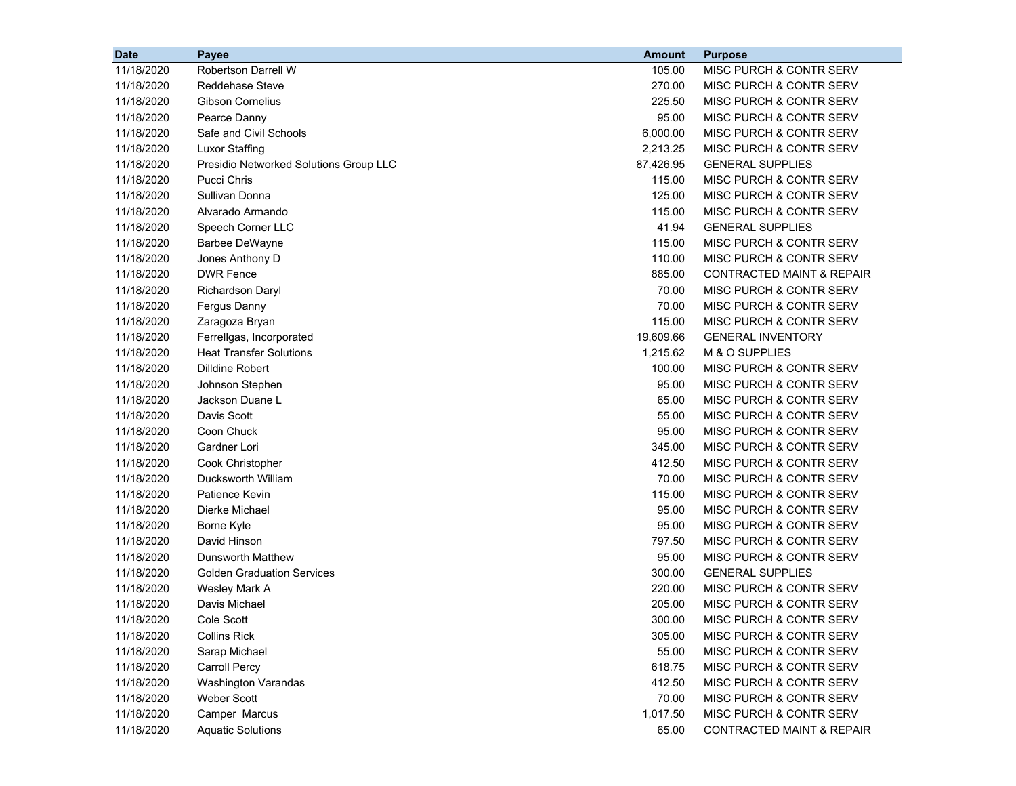| <b>Date</b> | Payee                                  | <b>Amount</b> | <b>Purpose</b>                       |
|-------------|----------------------------------------|---------------|--------------------------------------|
| 11/18/2020  | <b>Robertson Darrell W</b>             | 105.00        | MISC PURCH & CONTR SERV              |
| 11/18/2020  | <b>Reddehase Steve</b>                 | 270.00        | MISC PURCH & CONTR SERV              |
| 11/18/2020  | <b>Gibson Cornelius</b>                | 225.50        | MISC PURCH & CONTR SERV              |
| 11/18/2020  | Pearce Danny                           | 95.00         | MISC PURCH & CONTR SERV              |
| 11/18/2020  | Safe and Civil Schools                 | 6,000.00      | MISC PURCH & CONTR SERV              |
| 11/18/2020  | <b>Luxor Staffing</b>                  | 2,213.25      | MISC PURCH & CONTR SERV              |
| 11/18/2020  | Presidio Networked Solutions Group LLC | 87,426.95     | <b>GENERAL SUPPLIES</b>              |
| 11/18/2020  | <b>Pucci Chris</b>                     | 115.00        | MISC PURCH & CONTR SERV              |
| 11/18/2020  | Sullivan Donna                         | 125.00        | MISC PURCH & CONTR SERV              |
| 11/18/2020  | Alvarado Armando                       | 115.00        | MISC PURCH & CONTR SERV              |
| 11/18/2020  | Speech Corner LLC                      | 41.94         | <b>GENERAL SUPPLIES</b>              |
| 11/18/2020  | <b>Barbee DeWayne</b>                  | 115.00        | MISC PURCH & CONTR SERV              |
| 11/18/2020  | Jones Anthony D                        | 110.00        | MISC PURCH & CONTR SERV              |
| 11/18/2020  | <b>DWR Fence</b>                       | 885.00        | <b>CONTRACTED MAINT &amp; REPAIR</b> |
| 11/18/2020  | Richardson Daryl                       | 70.00         | MISC PURCH & CONTR SERV              |
| 11/18/2020  | Fergus Danny                           | 70.00         | MISC PURCH & CONTR SERV              |
| 11/18/2020  | Zaragoza Bryan                         | 115.00        | MISC PURCH & CONTR SERV              |
| 11/18/2020  | Ferrellgas, Incorporated               | 19,609.66     | <b>GENERAL INVENTORY</b>             |
| 11/18/2020  | <b>Heat Transfer Solutions</b>         | 1,215.62      | M & O SUPPLIES                       |
| 11/18/2020  | Dilldine Robert                        | 100.00        | MISC PURCH & CONTR SERV              |
| 11/18/2020  | Johnson Stephen                        | 95.00         | MISC PURCH & CONTR SERV              |
| 11/18/2020  | Jackson Duane L                        | 65.00         | MISC PURCH & CONTR SERV              |
| 11/18/2020  | Davis Scott                            | 55.00         | MISC PURCH & CONTR SERV              |
| 11/18/2020  | Coon Chuck                             | 95.00         | MISC PURCH & CONTR SERV              |
| 11/18/2020  | Gardner Lori                           | 345.00        | MISC PURCH & CONTR SERV              |
| 11/18/2020  | Cook Christopher                       | 412.50        | MISC PURCH & CONTR SERV              |
| 11/18/2020  | Ducksworth William                     | 70.00         | MISC PURCH & CONTR SERV              |
| 11/18/2020  | <b>Patience Kevin</b>                  | 115.00        | MISC PURCH & CONTR SERV              |
| 11/18/2020  | Dierke Michael                         | 95.00         | MISC PURCH & CONTR SERV              |
| 11/18/2020  | Borne Kyle                             | 95.00         | MISC PURCH & CONTR SERV              |
| 11/18/2020  | David Hinson                           | 797.50        | MISC PURCH & CONTR SERV              |
| 11/18/2020  | <b>Dunsworth Matthew</b>               | 95.00         | MISC PURCH & CONTR SERV              |
| 11/18/2020  | <b>Golden Graduation Services</b>      | 300.00        | <b>GENERAL SUPPLIES</b>              |
| 11/18/2020  | Wesley Mark A                          | 220.00        | MISC PURCH & CONTR SERV              |
| 11/18/2020  | Davis Michael                          | 205.00        | MISC PURCH & CONTR SERV              |
| 11/18/2020  | Cole Scott                             | 300.00        | MISC PURCH & CONTR SERV              |
| 11/18/2020  | <b>Collins Rick</b>                    | 305.00        | MISC PURCH & CONTR SERV              |
| 11/18/2020  | Sarap Michael                          | 55.00         | MISC PURCH & CONTR SERV              |
| 11/18/2020  | <b>Carroll Percy</b>                   | 618.75        | MISC PURCH & CONTR SERV              |
| 11/18/2020  | <b>Washington Varandas</b>             | 412.50        | MISC PURCH & CONTR SERV              |
| 11/18/2020  | Weber Scott                            | 70.00         | MISC PURCH & CONTR SERV              |
| 11/18/2020  | Camper Marcus                          | 1,017.50      | MISC PURCH & CONTR SERV              |
| 11/18/2020  | <b>Aquatic Solutions</b>               | 65.00         | CONTRACTED MAINT & REPAIR            |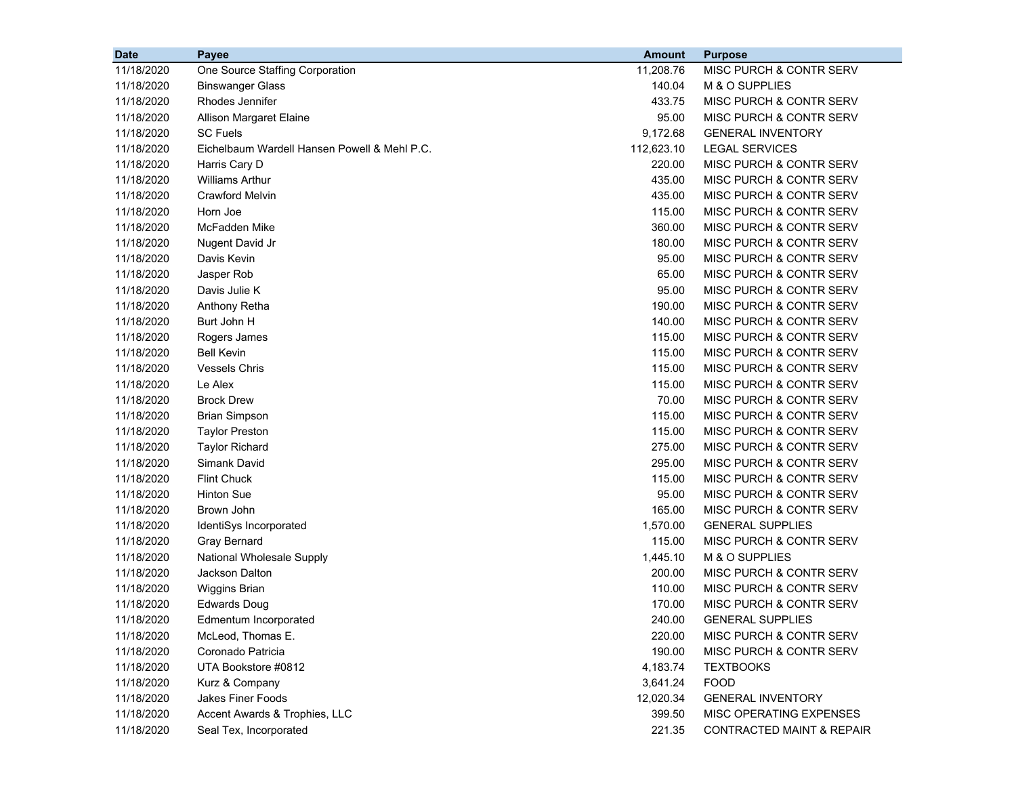| MISC PURCH & CONTR SERV<br>11/18/2020<br>One Source Staffing Corporation<br>11,208.76<br>11/18/2020<br>140.04<br>M & O SUPPLIES<br><b>Binswanger Glass</b><br>11/18/2020<br>Rhodes Jennifer<br>433.75<br>MISC PURCH & CONTR SERV<br>95.00<br>11/18/2020<br><b>MISC PURCH &amp; CONTR SERV</b><br>Allison Margaret Elaine<br>11/18/2020<br><b>SC Fuels</b><br>9,172.68<br><b>GENERAL INVENTORY</b><br>11/18/2020<br>112,623.10<br><b>LEGAL SERVICES</b><br>Eichelbaum Wardell Hansen Powell & Mehl P.C.<br>11/18/2020<br>220.00<br>MISC PURCH & CONTR SERV<br>Harris Cary D<br><b>Williams Arthur</b><br>11/18/2020<br>435.00<br>MISC PURCH & CONTR SERV<br>11/18/2020<br><b>Crawford Melvin</b><br>435.00<br>MISC PURCH & CONTR SERV<br>11/18/2020<br>Horn Joe<br>115.00<br>MISC PURCH & CONTR SERV<br>11/18/2020<br>McFadden Mike<br>360.00<br><b>MISC PURCH &amp; CONTR SERV</b><br>11/18/2020<br>Nugent David Jr<br>180.00<br>MISC PURCH & CONTR SERV<br>Davis Kevin<br>95.00<br>MISC PURCH & CONTR SERV<br>11/18/2020<br>11/18/2020<br>Jasper Rob<br>65.00<br>MISC PURCH & CONTR SERV<br>Davis Julie K<br>95.00<br>MISC PURCH & CONTR SERV<br>11/18/2020<br>11/18/2020<br>Anthony Retha<br>190.00<br><b>MISC PURCH &amp; CONTR SERV</b><br>Burt John H<br>140.00<br>MISC PURCH & CONTR SERV<br>11/18/2020<br>11/18/2020<br>Rogers James<br>115.00<br>MISC PURCH & CONTR SERV<br><b>Bell Kevin</b><br>115.00<br>MISC PURCH & CONTR SERV<br>11/18/2020<br><b>Vessels Chris</b><br>115.00<br>MISC PURCH & CONTR SERV<br>11/18/2020<br>11/18/2020<br>Le Alex<br>115.00<br>MISC PURCH & CONTR SERV |
|---------------------------------------------------------------------------------------------------------------------------------------------------------------------------------------------------------------------------------------------------------------------------------------------------------------------------------------------------------------------------------------------------------------------------------------------------------------------------------------------------------------------------------------------------------------------------------------------------------------------------------------------------------------------------------------------------------------------------------------------------------------------------------------------------------------------------------------------------------------------------------------------------------------------------------------------------------------------------------------------------------------------------------------------------------------------------------------------------------------------------------------------------------------------------------------------------------------------------------------------------------------------------------------------------------------------------------------------------------------------------------------------------------------------------------------------------------------------------------------------------------------------------------------------------------------------------------------------------|
|                                                                                                                                                                                                                                                                                                                                                                                                                                                                                                                                                                                                                                                                                                                                                                                                                                                                                                                                                                                                                                                                                                                                                                                                                                                                                                                                                                                                                                                                                                                                                                                                   |
|                                                                                                                                                                                                                                                                                                                                                                                                                                                                                                                                                                                                                                                                                                                                                                                                                                                                                                                                                                                                                                                                                                                                                                                                                                                                                                                                                                                                                                                                                                                                                                                                   |
|                                                                                                                                                                                                                                                                                                                                                                                                                                                                                                                                                                                                                                                                                                                                                                                                                                                                                                                                                                                                                                                                                                                                                                                                                                                                                                                                                                                                                                                                                                                                                                                                   |
|                                                                                                                                                                                                                                                                                                                                                                                                                                                                                                                                                                                                                                                                                                                                                                                                                                                                                                                                                                                                                                                                                                                                                                                                                                                                                                                                                                                                                                                                                                                                                                                                   |
|                                                                                                                                                                                                                                                                                                                                                                                                                                                                                                                                                                                                                                                                                                                                                                                                                                                                                                                                                                                                                                                                                                                                                                                                                                                                                                                                                                                                                                                                                                                                                                                                   |
|                                                                                                                                                                                                                                                                                                                                                                                                                                                                                                                                                                                                                                                                                                                                                                                                                                                                                                                                                                                                                                                                                                                                                                                                                                                                                                                                                                                                                                                                                                                                                                                                   |
|                                                                                                                                                                                                                                                                                                                                                                                                                                                                                                                                                                                                                                                                                                                                                                                                                                                                                                                                                                                                                                                                                                                                                                                                                                                                                                                                                                                                                                                                                                                                                                                                   |
|                                                                                                                                                                                                                                                                                                                                                                                                                                                                                                                                                                                                                                                                                                                                                                                                                                                                                                                                                                                                                                                                                                                                                                                                                                                                                                                                                                                                                                                                                                                                                                                                   |
|                                                                                                                                                                                                                                                                                                                                                                                                                                                                                                                                                                                                                                                                                                                                                                                                                                                                                                                                                                                                                                                                                                                                                                                                                                                                                                                                                                                                                                                                                                                                                                                                   |
|                                                                                                                                                                                                                                                                                                                                                                                                                                                                                                                                                                                                                                                                                                                                                                                                                                                                                                                                                                                                                                                                                                                                                                                                                                                                                                                                                                                                                                                                                                                                                                                                   |
|                                                                                                                                                                                                                                                                                                                                                                                                                                                                                                                                                                                                                                                                                                                                                                                                                                                                                                                                                                                                                                                                                                                                                                                                                                                                                                                                                                                                                                                                                                                                                                                                   |
|                                                                                                                                                                                                                                                                                                                                                                                                                                                                                                                                                                                                                                                                                                                                                                                                                                                                                                                                                                                                                                                                                                                                                                                                                                                                                                                                                                                                                                                                                                                                                                                                   |
|                                                                                                                                                                                                                                                                                                                                                                                                                                                                                                                                                                                                                                                                                                                                                                                                                                                                                                                                                                                                                                                                                                                                                                                                                                                                                                                                                                                                                                                                                                                                                                                                   |
|                                                                                                                                                                                                                                                                                                                                                                                                                                                                                                                                                                                                                                                                                                                                                                                                                                                                                                                                                                                                                                                                                                                                                                                                                                                                                                                                                                                                                                                                                                                                                                                                   |
|                                                                                                                                                                                                                                                                                                                                                                                                                                                                                                                                                                                                                                                                                                                                                                                                                                                                                                                                                                                                                                                                                                                                                                                                                                                                                                                                                                                                                                                                                                                                                                                                   |
|                                                                                                                                                                                                                                                                                                                                                                                                                                                                                                                                                                                                                                                                                                                                                                                                                                                                                                                                                                                                                                                                                                                                                                                                                                                                                                                                                                                                                                                                                                                                                                                                   |
|                                                                                                                                                                                                                                                                                                                                                                                                                                                                                                                                                                                                                                                                                                                                                                                                                                                                                                                                                                                                                                                                                                                                                                                                                                                                                                                                                                                                                                                                                                                                                                                                   |
|                                                                                                                                                                                                                                                                                                                                                                                                                                                                                                                                                                                                                                                                                                                                                                                                                                                                                                                                                                                                                                                                                                                                                                                                                                                                                                                                                                                                                                                                                                                                                                                                   |
|                                                                                                                                                                                                                                                                                                                                                                                                                                                                                                                                                                                                                                                                                                                                                                                                                                                                                                                                                                                                                                                                                                                                                                                                                                                                                                                                                                                                                                                                                                                                                                                                   |
|                                                                                                                                                                                                                                                                                                                                                                                                                                                                                                                                                                                                                                                                                                                                                                                                                                                                                                                                                                                                                                                                                                                                                                                                                                                                                                                                                                                                                                                                                                                                                                                                   |
|                                                                                                                                                                                                                                                                                                                                                                                                                                                                                                                                                                                                                                                                                                                                                                                                                                                                                                                                                                                                                                                                                                                                                                                                                                                                                                                                                                                                                                                                                                                                                                                                   |
| <b>Brock Drew</b><br>11/18/2020<br>70.00<br>MISC PURCH & CONTR SERV                                                                                                                                                                                                                                                                                                                                                                                                                                                                                                                                                                                                                                                                                                                                                                                                                                                                                                                                                                                                                                                                                                                                                                                                                                                                                                                                                                                                                                                                                                                               |
| 11/18/2020<br><b>Brian Simpson</b><br>115.00<br>MISC PURCH & CONTR SERV                                                                                                                                                                                                                                                                                                                                                                                                                                                                                                                                                                                                                                                                                                                                                                                                                                                                                                                                                                                                                                                                                                                                                                                                                                                                                                                                                                                                                                                                                                                           |
| 11/18/2020<br><b>Taylor Preston</b><br>115.00<br>MISC PURCH & CONTR SERV                                                                                                                                                                                                                                                                                                                                                                                                                                                                                                                                                                                                                                                                                                                                                                                                                                                                                                                                                                                                                                                                                                                                                                                                                                                                                                                                                                                                                                                                                                                          |
| 11/18/2020<br><b>Taylor Richard</b><br>275.00<br>MISC PURCH & CONTR SERV                                                                                                                                                                                                                                                                                                                                                                                                                                                                                                                                                                                                                                                                                                                                                                                                                                                                                                                                                                                                                                                                                                                                                                                                                                                                                                                                                                                                                                                                                                                          |
| Simank David<br>295.00<br>MISC PURCH & CONTR SERV<br>11/18/2020                                                                                                                                                                                                                                                                                                                                                                                                                                                                                                                                                                                                                                                                                                                                                                                                                                                                                                                                                                                                                                                                                                                                                                                                                                                                                                                                                                                                                                                                                                                                   |
| 11/18/2020<br><b>Flint Chuck</b><br>115.00<br>MISC PURCH & CONTR SERV                                                                                                                                                                                                                                                                                                                                                                                                                                                                                                                                                                                                                                                                                                                                                                                                                                                                                                                                                                                                                                                                                                                                                                                                                                                                                                                                                                                                                                                                                                                             |
| 11/18/2020<br><b>Hinton Sue</b><br>95.00<br>MISC PURCH & CONTR SERV                                                                                                                                                                                                                                                                                                                                                                                                                                                                                                                                                                                                                                                                                                                                                                                                                                                                                                                                                                                                                                                                                                                                                                                                                                                                                                                                                                                                                                                                                                                               |
| 11/18/2020<br>Brown John<br>165.00<br>MISC PURCH & CONTR SERV                                                                                                                                                                                                                                                                                                                                                                                                                                                                                                                                                                                                                                                                                                                                                                                                                                                                                                                                                                                                                                                                                                                                                                                                                                                                                                                                                                                                                                                                                                                                     |
| 11/18/2020<br>1,570.00<br><b>GENERAL SUPPLIES</b><br>IdentiSys Incorporated                                                                                                                                                                                                                                                                                                                                                                                                                                                                                                                                                                                                                                                                                                                                                                                                                                                                                                                                                                                                                                                                                                                                                                                                                                                                                                                                                                                                                                                                                                                       |
| 115.00<br>MISC PURCH & CONTR SERV<br>11/18/2020<br>Gray Bernard                                                                                                                                                                                                                                                                                                                                                                                                                                                                                                                                                                                                                                                                                                                                                                                                                                                                                                                                                                                                                                                                                                                                                                                                                                                                                                                                                                                                                                                                                                                                   |
| 1,445.10<br>M & O SUPPLIES<br>11/18/2020<br>National Wholesale Supply                                                                                                                                                                                                                                                                                                                                                                                                                                                                                                                                                                                                                                                                                                                                                                                                                                                                                                                                                                                                                                                                                                                                                                                                                                                                                                                                                                                                                                                                                                                             |
| 11/18/2020<br>Jackson Dalton<br>200.00<br>MISC PURCH & CONTR SERV                                                                                                                                                                                                                                                                                                                                                                                                                                                                                                                                                                                                                                                                                                                                                                                                                                                                                                                                                                                                                                                                                                                                                                                                                                                                                                                                                                                                                                                                                                                                 |
| <b>Wiggins Brian</b><br>MISC PURCH & CONTR SERV<br>11/18/2020<br>110.00                                                                                                                                                                                                                                                                                                                                                                                                                                                                                                                                                                                                                                                                                                                                                                                                                                                                                                                                                                                                                                                                                                                                                                                                                                                                                                                                                                                                                                                                                                                           |
| 11/18/2020<br>170.00<br>MISC PURCH & CONTR SERV<br><b>Edwards Doug</b>                                                                                                                                                                                                                                                                                                                                                                                                                                                                                                                                                                                                                                                                                                                                                                                                                                                                                                                                                                                                                                                                                                                                                                                                                                                                                                                                                                                                                                                                                                                            |
| 11/18/2020<br>240.00<br><b>GENERAL SUPPLIES</b><br>Edmentum Incorporated                                                                                                                                                                                                                                                                                                                                                                                                                                                                                                                                                                                                                                                                                                                                                                                                                                                                                                                                                                                                                                                                                                                                                                                                                                                                                                                                                                                                                                                                                                                          |
| MISC PURCH & CONTR SERV<br>11/18/2020<br>McLeod, Thomas E.<br>220.00                                                                                                                                                                                                                                                                                                                                                                                                                                                                                                                                                                                                                                                                                                                                                                                                                                                                                                                                                                                                                                                                                                                                                                                                                                                                                                                                                                                                                                                                                                                              |
| 11/18/2020<br>Coronado Patricia<br>190.00<br>MISC PURCH & CONTR SERV                                                                                                                                                                                                                                                                                                                                                                                                                                                                                                                                                                                                                                                                                                                                                                                                                                                                                                                                                                                                                                                                                                                                                                                                                                                                                                                                                                                                                                                                                                                              |
| 11/18/2020<br>UTA Bookstore #0812<br>4,183.74<br><b>TEXTBOOKS</b>                                                                                                                                                                                                                                                                                                                                                                                                                                                                                                                                                                                                                                                                                                                                                                                                                                                                                                                                                                                                                                                                                                                                                                                                                                                                                                                                                                                                                                                                                                                                 |
| Kurz & Company<br><b>FOOD</b><br>11/18/2020<br>3,641.24                                                                                                                                                                                                                                                                                                                                                                                                                                                                                                                                                                                                                                                                                                                                                                                                                                                                                                                                                                                                                                                                                                                                                                                                                                                                                                                                                                                                                                                                                                                                           |
| 11/18/2020<br><b>Jakes Finer Foods</b><br><b>GENERAL INVENTORY</b><br>12,020.34                                                                                                                                                                                                                                                                                                                                                                                                                                                                                                                                                                                                                                                                                                                                                                                                                                                                                                                                                                                                                                                                                                                                                                                                                                                                                                                                                                                                                                                                                                                   |
| Accent Awards & Trophies, LLC<br>399.50<br>MISC OPERATING EXPENSES<br>11/18/2020                                                                                                                                                                                                                                                                                                                                                                                                                                                                                                                                                                                                                                                                                                                                                                                                                                                                                                                                                                                                                                                                                                                                                                                                                                                                                                                                                                                                                                                                                                                  |
| 11/18/2020<br>Seal Tex, Incorporated<br>221.35<br><b>CONTRACTED MAINT &amp; REPAIR</b>                                                                                                                                                                                                                                                                                                                                                                                                                                                                                                                                                                                                                                                                                                                                                                                                                                                                                                                                                                                                                                                                                                                                                                                                                                                                                                                                                                                                                                                                                                            |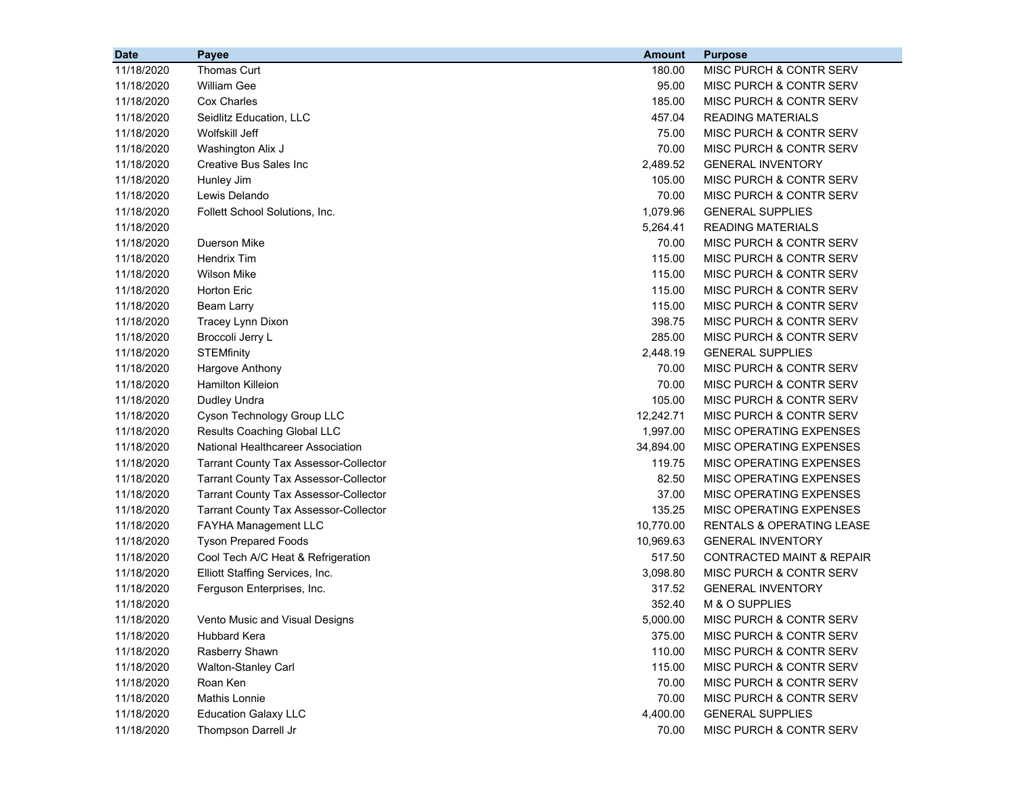| 11/18/2020<br>Thomas Curt<br>180.00<br>MISC PURCH & CONTR SERV<br>11/18/2020<br><b>William Gee</b><br>95.00<br><b>MISC PURCH &amp; CONTR SERV</b><br><b>Cox Charles</b><br>11/18/2020<br>185.00<br>MISC PURCH & CONTR SERV<br>11/18/2020<br>Seidlitz Education, LLC<br>457.04<br><b>READING MATERIALS</b><br>Wolfskill Jeff<br>75.00<br>MISC PURCH & CONTR SERV<br>11/18/2020<br>70.00<br>11/18/2020<br>Washington Alix J<br>MISC PURCH & CONTR SERV<br>Creative Bus Sales Inc<br>2,489.52<br><b>GENERAL INVENTORY</b><br>11/18/2020<br>11/18/2020<br>Hunley Jim<br>105.00<br>MISC PURCH & CONTR SERV<br>Lewis Delando<br>70.00<br>MISC PURCH & CONTR SERV<br>11/18/2020<br>1,079.96<br><b>GENERAL SUPPLIES</b><br>11/18/2020<br>Follett School Solutions, Inc.<br>5,264.41<br><b>READING MATERIALS</b><br>11/18/2020<br>MISC PURCH & CONTR SERV<br>11/18/2020<br>Duerson Mike<br>70.00<br><b>Hendrix Tim</b><br>115.00<br>MISC PURCH & CONTR SERV<br>11/18/2020<br><b>Wilson Mike</b><br>115.00<br>MISC PURCH & CONTR SERV<br>11/18/2020<br><b>Horton Eric</b><br>115.00<br>MISC PURCH & CONTR SERV<br>11/18/2020<br>11/18/2020<br>115.00<br>MISC PURCH & CONTR SERV<br>Beam Larry<br>Tracey Lynn Dixon<br>398.75<br><b>MISC PURCH &amp; CONTR SERV</b><br>11/18/2020<br>Broccoli Jerry L<br>285.00<br>MISC PURCH & CONTR SERV<br>11/18/2020<br><b>STEMfinity</b><br>2,448.19<br><b>GENERAL SUPPLIES</b><br>11/18/2020<br>Hargove Anthony<br>70.00<br>MISC PURCH & CONTR SERV<br>11/18/2020<br><b>Hamilton Killeion</b><br>70.00<br>MISC PURCH & CONTR SERV<br>11/18/2020<br>11/18/2020<br>Dudley Undra<br>105.00<br>MISC PURCH & CONTR SERV<br>Cyson Technology Group LLC<br>12,242.71<br>MISC PURCH & CONTR SERV<br>11/18/2020<br>Results Coaching Global LLC<br>1,997.00<br>MISC OPERATING EXPENSES<br>11/18/2020<br>National Healthcareer Association<br>34,894.00<br>MISC OPERATING EXPENSES<br>11/18/2020<br>119.75<br>MISC OPERATING EXPENSES<br>11/18/2020<br><b>Tarrant County Tax Assessor-Collector</b><br>82.50<br>MISC OPERATING EXPENSES<br>11/18/2020<br><b>Tarrant County Tax Assessor-Collector</b><br>11/18/2020<br>37.00<br>MISC OPERATING EXPENSES<br><b>Tarrant County Tax Assessor-Collector</b><br>11/18/2020<br>135.25<br><b>Tarrant County Tax Assessor-Collector</b><br>MISC OPERATING EXPENSES<br>10,770.00<br>11/18/2020<br><b>FAYHA Management LLC</b><br>RENTALS & OPERATING LEASE<br>11/18/2020<br><b>Tyson Prepared Foods</b><br>10,969.63<br><b>GENERAL INVENTORY</b><br>Cool Tech A/C Heat & Refrigeration<br>517.50<br><b>CONTRACTED MAINT &amp; REPAIR</b><br>11/18/2020<br>Elliott Staffing Services, Inc.<br>3,098.80<br>MISC PURCH & CONTR SERV<br>11/18/2020<br>317.52<br><b>GENERAL INVENTORY</b><br>11/18/2020<br>Ferguson Enterprises, Inc.<br>M & O SUPPLIES<br>11/18/2020<br>352.40<br>11/18/2020<br>Vento Music and Visual Designs<br>5,000.00<br>MISC PURCH & CONTR SERV<br>Hubbard Kera<br>MISC PURCH & CONTR SERV<br>11/18/2020<br>375.00<br>11/18/2020<br>Rasberry Shawn<br>110.00<br>MISC PURCH & CONTR SERV<br>11/18/2020<br>Walton-Stanley Carl<br>115.00<br><b>MISC PURCH &amp; CONTR SERV</b><br>11/18/2020<br>Roan Ken<br>70.00<br>MISC PURCH & CONTR SERV | <b>Date</b> | Payee         | <b>Amount</b> | <b>Purpose</b>                     |
|---------------------------------------------------------------------------------------------------------------------------------------------------------------------------------------------------------------------------------------------------------------------------------------------------------------------------------------------------------------------------------------------------------------------------------------------------------------------------------------------------------------------------------------------------------------------------------------------------------------------------------------------------------------------------------------------------------------------------------------------------------------------------------------------------------------------------------------------------------------------------------------------------------------------------------------------------------------------------------------------------------------------------------------------------------------------------------------------------------------------------------------------------------------------------------------------------------------------------------------------------------------------------------------------------------------------------------------------------------------------------------------------------------------------------------------------------------------------------------------------------------------------------------------------------------------------------------------------------------------------------------------------------------------------------------------------------------------------------------------------------------------------------------------------------------------------------------------------------------------------------------------------------------------------------------------------------------------------------------------------------------------------------------------------------------------------------------------------------------------------------------------------------------------------------------------------------------------------------------------------------------------------------------------------------------------------------------------------------------------------------------------------------------------------------------------------------------------------------------------------------------------------------------------------------------------------------------------------------------------------------------------------------------------------------------------------------------------------------------------------------------------------------------------------------------------------------------------------------------------------------------------------------------------------------------------------------------------------------------------------------------------------------------------------------------------------------------------------------------------------------------------------------------------------------------------------------------------------|-------------|---------------|---------------|------------------------------------|
|                                                                                                                                                                                                                                                                                                                                                                                                                                                                                                                                                                                                                                                                                                                                                                                                                                                                                                                                                                                                                                                                                                                                                                                                                                                                                                                                                                                                                                                                                                                                                                                                                                                                                                                                                                                                                                                                                                                                                                                                                                                                                                                                                                                                                                                                                                                                                                                                                                                                                                                                                                                                                                                                                                                                                                                                                                                                                                                                                                                                                                                                                                                                                                                                                     |             |               |               |                                    |
|                                                                                                                                                                                                                                                                                                                                                                                                                                                                                                                                                                                                                                                                                                                                                                                                                                                                                                                                                                                                                                                                                                                                                                                                                                                                                                                                                                                                                                                                                                                                                                                                                                                                                                                                                                                                                                                                                                                                                                                                                                                                                                                                                                                                                                                                                                                                                                                                                                                                                                                                                                                                                                                                                                                                                                                                                                                                                                                                                                                                                                                                                                                                                                                                                     |             |               |               |                                    |
|                                                                                                                                                                                                                                                                                                                                                                                                                                                                                                                                                                                                                                                                                                                                                                                                                                                                                                                                                                                                                                                                                                                                                                                                                                                                                                                                                                                                                                                                                                                                                                                                                                                                                                                                                                                                                                                                                                                                                                                                                                                                                                                                                                                                                                                                                                                                                                                                                                                                                                                                                                                                                                                                                                                                                                                                                                                                                                                                                                                                                                                                                                                                                                                                                     |             |               |               |                                    |
|                                                                                                                                                                                                                                                                                                                                                                                                                                                                                                                                                                                                                                                                                                                                                                                                                                                                                                                                                                                                                                                                                                                                                                                                                                                                                                                                                                                                                                                                                                                                                                                                                                                                                                                                                                                                                                                                                                                                                                                                                                                                                                                                                                                                                                                                                                                                                                                                                                                                                                                                                                                                                                                                                                                                                                                                                                                                                                                                                                                                                                                                                                                                                                                                                     |             |               |               |                                    |
|                                                                                                                                                                                                                                                                                                                                                                                                                                                                                                                                                                                                                                                                                                                                                                                                                                                                                                                                                                                                                                                                                                                                                                                                                                                                                                                                                                                                                                                                                                                                                                                                                                                                                                                                                                                                                                                                                                                                                                                                                                                                                                                                                                                                                                                                                                                                                                                                                                                                                                                                                                                                                                                                                                                                                                                                                                                                                                                                                                                                                                                                                                                                                                                                                     |             |               |               |                                    |
|                                                                                                                                                                                                                                                                                                                                                                                                                                                                                                                                                                                                                                                                                                                                                                                                                                                                                                                                                                                                                                                                                                                                                                                                                                                                                                                                                                                                                                                                                                                                                                                                                                                                                                                                                                                                                                                                                                                                                                                                                                                                                                                                                                                                                                                                                                                                                                                                                                                                                                                                                                                                                                                                                                                                                                                                                                                                                                                                                                                                                                                                                                                                                                                                                     |             |               |               |                                    |
|                                                                                                                                                                                                                                                                                                                                                                                                                                                                                                                                                                                                                                                                                                                                                                                                                                                                                                                                                                                                                                                                                                                                                                                                                                                                                                                                                                                                                                                                                                                                                                                                                                                                                                                                                                                                                                                                                                                                                                                                                                                                                                                                                                                                                                                                                                                                                                                                                                                                                                                                                                                                                                                                                                                                                                                                                                                                                                                                                                                                                                                                                                                                                                                                                     |             |               |               |                                    |
|                                                                                                                                                                                                                                                                                                                                                                                                                                                                                                                                                                                                                                                                                                                                                                                                                                                                                                                                                                                                                                                                                                                                                                                                                                                                                                                                                                                                                                                                                                                                                                                                                                                                                                                                                                                                                                                                                                                                                                                                                                                                                                                                                                                                                                                                                                                                                                                                                                                                                                                                                                                                                                                                                                                                                                                                                                                                                                                                                                                                                                                                                                                                                                                                                     |             |               |               |                                    |
|                                                                                                                                                                                                                                                                                                                                                                                                                                                                                                                                                                                                                                                                                                                                                                                                                                                                                                                                                                                                                                                                                                                                                                                                                                                                                                                                                                                                                                                                                                                                                                                                                                                                                                                                                                                                                                                                                                                                                                                                                                                                                                                                                                                                                                                                                                                                                                                                                                                                                                                                                                                                                                                                                                                                                                                                                                                                                                                                                                                                                                                                                                                                                                                                                     |             |               |               |                                    |
|                                                                                                                                                                                                                                                                                                                                                                                                                                                                                                                                                                                                                                                                                                                                                                                                                                                                                                                                                                                                                                                                                                                                                                                                                                                                                                                                                                                                                                                                                                                                                                                                                                                                                                                                                                                                                                                                                                                                                                                                                                                                                                                                                                                                                                                                                                                                                                                                                                                                                                                                                                                                                                                                                                                                                                                                                                                                                                                                                                                                                                                                                                                                                                                                                     |             |               |               |                                    |
|                                                                                                                                                                                                                                                                                                                                                                                                                                                                                                                                                                                                                                                                                                                                                                                                                                                                                                                                                                                                                                                                                                                                                                                                                                                                                                                                                                                                                                                                                                                                                                                                                                                                                                                                                                                                                                                                                                                                                                                                                                                                                                                                                                                                                                                                                                                                                                                                                                                                                                                                                                                                                                                                                                                                                                                                                                                                                                                                                                                                                                                                                                                                                                                                                     |             |               |               |                                    |
|                                                                                                                                                                                                                                                                                                                                                                                                                                                                                                                                                                                                                                                                                                                                                                                                                                                                                                                                                                                                                                                                                                                                                                                                                                                                                                                                                                                                                                                                                                                                                                                                                                                                                                                                                                                                                                                                                                                                                                                                                                                                                                                                                                                                                                                                                                                                                                                                                                                                                                                                                                                                                                                                                                                                                                                                                                                                                                                                                                                                                                                                                                                                                                                                                     |             |               |               |                                    |
|                                                                                                                                                                                                                                                                                                                                                                                                                                                                                                                                                                                                                                                                                                                                                                                                                                                                                                                                                                                                                                                                                                                                                                                                                                                                                                                                                                                                                                                                                                                                                                                                                                                                                                                                                                                                                                                                                                                                                                                                                                                                                                                                                                                                                                                                                                                                                                                                                                                                                                                                                                                                                                                                                                                                                                                                                                                                                                                                                                                                                                                                                                                                                                                                                     |             |               |               |                                    |
|                                                                                                                                                                                                                                                                                                                                                                                                                                                                                                                                                                                                                                                                                                                                                                                                                                                                                                                                                                                                                                                                                                                                                                                                                                                                                                                                                                                                                                                                                                                                                                                                                                                                                                                                                                                                                                                                                                                                                                                                                                                                                                                                                                                                                                                                                                                                                                                                                                                                                                                                                                                                                                                                                                                                                                                                                                                                                                                                                                                                                                                                                                                                                                                                                     |             |               |               |                                    |
|                                                                                                                                                                                                                                                                                                                                                                                                                                                                                                                                                                                                                                                                                                                                                                                                                                                                                                                                                                                                                                                                                                                                                                                                                                                                                                                                                                                                                                                                                                                                                                                                                                                                                                                                                                                                                                                                                                                                                                                                                                                                                                                                                                                                                                                                                                                                                                                                                                                                                                                                                                                                                                                                                                                                                                                                                                                                                                                                                                                                                                                                                                                                                                                                                     |             |               |               |                                    |
|                                                                                                                                                                                                                                                                                                                                                                                                                                                                                                                                                                                                                                                                                                                                                                                                                                                                                                                                                                                                                                                                                                                                                                                                                                                                                                                                                                                                                                                                                                                                                                                                                                                                                                                                                                                                                                                                                                                                                                                                                                                                                                                                                                                                                                                                                                                                                                                                                                                                                                                                                                                                                                                                                                                                                                                                                                                                                                                                                                                                                                                                                                                                                                                                                     |             |               |               |                                    |
|                                                                                                                                                                                                                                                                                                                                                                                                                                                                                                                                                                                                                                                                                                                                                                                                                                                                                                                                                                                                                                                                                                                                                                                                                                                                                                                                                                                                                                                                                                                                                                                                                                                                                                                                                                                                                                                                                                                                                                                                                                                                                                                                                                                                                                                                                                                                                                                                                                                                                                                                                                                                                                                                                                                                                                                                                                                                                                                                                                                                                                                                                                                                                                                                                     |             |               |               |                                    |
|                                                                                                                                                                                                                                                                                                                                                                                                                                                                                                                                                                                                                                                                                                                                                                                                                                                                                                                                                                                                                                                                                                                                                                                                                                                                                                                                                                                                                                                                                                                                                                                                                                                                                                                                                                                                                                                                                                                                                                                                                                                                                                                                                                                                                                                                                                                                                                                                                                                                                                                                                                                                                                                                                                                                                                                                                                                                                                                                                                                                                                                                                                                                                                                                                     |             |               |               |                                    |
|                                                                                                                                                                                                                                                                                                                                                                                                                                                                                                                                                                                                                                                                                                                                                                                                                                                                                                                                                                                                                                                                                                                                                                                                                                                                                                                                                                                                                                                                                                                                                                                                                                                                                                                                                                                                                                                                                                                                                                                                                                                                                                                                                                                                                                                                                                                                                                                                                                                                                                                                                                                                                                                                                                                                                                                                                                                                                                                                                                                                                                                                                                                                                                                                                     |             |               |               |                                    |
|                                                                                                                                                                                                                                                                                                                                                                                                                                                                                                                                                                                                                                                                                                                                                                                                                                                                                                                                                                                                                                                                                                                                                                                                                                                                                                                                                                                                                                                                                                                                                                                                                                                                                                                                                                                                                                                                                                                                                                                                                                                                                                                                                                                                                                                                                                                                                                                                                                                                                                                                                                                                                                                                                                                                                                                                                                                                                                                                                                                                                                                                                                                                                                                                                     |             |               |               |                                    |
|                                                                                                                                                                                                                                                                                                                                                                                                                                                                                                                                                                                                                                                                                                                                                                                                                                                                                                                                                                                                                                                                                                                                                                                                                                                                                                                                                                                                                                                                                                                                                                                                                                                                                                                                                                                                                                                                                                                                                                                                                                                                                                                                                                                                                                                                                                                                                                                                                                                                                                                                                                                                                                                                                                                                                                                                                                                                                                                                                                                                                                                                                                                                                                                                                     |             |               |               |                                    |
|                                                                                                                                                                                                                                                                                                                                                                                                                                                                                                                                                                                                                                                                                                                                                                                                                                                                                                                                                                                                                                                                                                                                                                                                                                                                                                                                                                                                                                                                                                                                                                                                                                                                                                                                                                                                                                                                                                                                                                                                                                                                                                                                                                                                                                                                                                                                                                                                                                                                                                                                                                                                                                                                                                                                                                                                                                                                                                                                                                                                                                                                                                                                                                                                                     |             |               |               |                                    |
|                                                                                                                                                                                                                                                                                                                                                                                                                                                                                                                                                                                                                                                                                                                                                                                                                                                                                                                                                                                                                                                                                                                                                                                                                                                                                                                                                                                                                                                                                                                                                                                                                                                                                                                                                                                                                                                                                                                                                                                                                                                                                                                                                                                                                                                                                                                                                                                                                                                                                                                                                                                                                                                                                                                                                                                                                                                                                                                                                                                                                                                                                                                                                                                                                     |             |               |               |                                    |
|                                                                                                                                                                                                                                                                                                                                                                                                                                                                                                                                                                                                                                                                                                                                                                                                                                                                                                                                                                                                                                                                                                                                                                                                                                                                                                                                                                                                                                                                                                                                                                                                                                                                                                                                                                                                                                                                                                                                                                                                                                                                                                                                                                                                                                                                                                                                                                                                                                                                                                                                                                                                                                                                                                                                                                                                                                                                                                                                                                                                                                                                                                                                                                                                                     |             |               |               |                                    |
|                                                                                                                                                                                                                                                                                                                                                                                                                                                                                                                                                                                                                                                                                                                                                                                                                                                                                                                                                                                                                                                                                                                                                                                                                                                                                                                                                                                                                                                                                                                                                                                                                                                                                                                                                                                                                                                                                                                                                                                                                                                                                                                                                                                                                                                                                                                                                                                                                                                                                                                                                                                                                                                                                                                                                                                                                                                                                                                                                                                                                                                                                                                                                                                                                     |             |               |               |                                    |
|                                                                                                                                                                                                                                                                                                                                                                                                                                                                                                                                                                                                                                                                                                                                                                                                                                                                                                                                                                                                                                                                                                                                                                                                                                                                                                                                                                                                                                                                                                                                                                                                                                                                                                                                                                                                                                                                                                                                                                                                                                                                                                                                                                                                                                                                                                                                                                                                                                                                                                                                                                                                                                                                                                                                                                                                                                                                                                                                                                                                                                                                                                                                                                                                                     |             |               |               |                                    |
|                                                                                                                                                                                                                                                                                                                                                                                                                                                                                                                                                                                                                                                                                                                                                                                                                                                                                                                                                                                                                                                                                                                                                                                                                                                                                                                                                                                                                                                                                                                                                                                                                                                                                                                                                                                                                                                                                                                                                                                                                                                                                                                                                                                                                                                                                                                                                                                                                                                                                                                                                                                                                                                                                                                                                                                                                                                                                                                                                                                                                                                                                                                                                                                                                     |             |               |               |                                    |
|                                                                                                                                                                                                                                                                                                                                                                                                                                                                                                                                                                                                                                                                                                                                                                                                                                                                                                                                                                                                                                                                                                                                                                                                                                                                                                                                                                                                                                                                                                                                                                                                                                                                                                                                                                                                                                                                                                                                                                                                                                                                                                                                                                                                                                                                                                                                                                                                                                                                                                                                                                                                                                                                                                                                                                                                                                                                                                                                                                                                                                                                                                                                                                                                                     |             |               |               |                                    |
|                                                                                                                                                                                                                                                                                                                                                                                                                                                                                                                                                                                                                                                                                                                                                                                                                                                                                                                                                                                                                                                                                                                                                                                                                                                                                                                                                                                                                                                                                                                                                                                                                                                                                                                                                                                                                                                                                                                                                                                                                                                                                                                                                                                                                                                                                                                                                                                                                                                                                                                                                                                                                                                                                                                                                                                                                                                                                                                                                                                                                                                                                                                                                                                                                     |             |               |               |                                    |
|                                                                                                                                                                                                                                                                                                                                                                                                                                                                                                                                                                                                                                                                                                                                                                                                                                                                                                                                                                                                                                                                                                                                                                                                                                                                                                                                                                                                                                                                                                                                                                                                                                                                                                                                                                                                                                                                                                                                                                                                                                                                                                                                                                                                                                                                                                                                                                                                                                                                                                                                                                                                                                                                                                                                                                                                                                                                                                                                                                                                                                                                                                                                                                                                                     |             |               |               |                                    |
|                                                                                                                                                                                                                                                                                                                                                                                                                                                                                                                                                                                                                                                                                                                                                                                                                                                                                                                                                                                                                                                                                                                                                                                                                                                                                                                                                                                                                                                                                                                                                                                                                                                                                                                                                                                                                                                                                                                                                                                                                                                                                                                                                                                                                                                                                                                                                                                                                                                                                                                                                                                                                                                                                                                                                                                                                                                                                                                                                                                                                                                                                                                                                                                                                     |             |               |               |                                    |
|                                                                                                                                                                                                                                                                                                                                                                                                                                                                                                                                                                                                                                                                                                                                                                                                                                                                                                                                                                                                                                                                                                                                                                                                                                                                                                                                                                                                                                                                                                                                                                                                                                                                                                                                                                                                                                                                                                                                                                                                                                                                                                                                                                                                                                                                                                                                                                                                                                                                                                                                                                                                                                                                                                                                                                                                                                                                                                                                                                                                                                                                                                                                                                                                                     |             |               |               |                                    |
|                                                                                                                                                                                                                                                                                                                                                                                                                                                                                                                                                                                                                                                                                                                                                                                                                                                                                                                                                                                                                                                                                                                                                                                                                                                                                                                                                                                                                                                                                                                                                                                                                                                                                                                                                                                                                                                                                                                                                                                                                                                                                                                                                                                                                                                                                                                                                                                                                                                                                                                                                                                                                                                                                                                                                                                                                                                                                                                                                                                                                                                                                                                                                                                                                     |             |               |               |                                    |
|                                                                                                                                                                                                                                                                                                                                                                                                                                                                                                                                                                                                                                                                                                                                                                                                                                                                                                                                                                                                                                                                                                                                                                                                                                                                                                                                                                                                                                                                                                                                                                                                                                                                                                                                                                                                                                                                                                                                                                                                                                                                                                                                                                                                                                                                                                                                                                                                                                                                                                                                                                                                                                                                                                                                                                                                                                                                                                                                                                                                                                                                                                                                                                                                                     |             |               |               |                                    |
|                                                                                                                                                                                                                                                                                                                                                                                                                                                                                                                                                                                                                                                                                                                                                                                                                                                                                                                                                                                                                                                                                                                                                                                                                                                                                                                                                                                                                                                                                                                                                                                                                                                                                                                                                                                                                                                                                                                                                                                                                                                                                                                                                                                                                                                                                                                                                                                                                                                                                                                                                                                                                                                                                                                                                                                                                                                                                                                                                                                                                                                                                                                                                                                                                     |             |               |               |                                    |
|                                                                                                                                                                                                                                                                                                                                                                                                                                                                                                                                                                                                                                                                                                                                                                                                                                                                                                                                                                                                                                                                                                                                                                                                                                                                                                                                                                                                                                                                                                                                                                                                                                                                                                                                                                                                                                                                                                                                                                                                                                                                                                                                                                                                                                                                                                                                                                                                                                                                                                                                                                                                                                                                                                                                                                                                                                                                                                                                                                                                                                                                                                                                                                                                                     |             |               |               |                                    |
|                                                                                                                                                                                                                                                                                                                                                                                                                                                                                                                                                                                                                                                                                                                                                                                                                                                                                                                                                                                                                                                                                                                                                                                                                                                                                                                                                                                                                                                                                                                                                                                                                                                                                                                                                                                                                                                                                                                                                                                                                                                                                                                                                                                                                                                                                                                                                                                                                                                                                                                                                                                                                                                                                                                                                                                                                                                                                                                                                                                                                                                                                                                                                                                                                     |             |               |               |                                    |
|                                                                                                                                                                                                                                                                                                                                                                                                                                                                                                                                                                                                                                                                                                                                                                                                                                                                                                                                                                                                                                                                                                                                                                                                                                                                                                                                                                                                                                                                                                                                                                                                                                                                                                                                                                                                                                                                                                                                                                                                                                                                                                                                                                                                                                                                                                                                                                                                                                                                                                                                                                                                                                                                                                                                                                                                                                                                                                                                                                                                                                                                                                                                                                                                                     |             |               |               |                                    |
|                                                                                                                                                                                                                                                                                                                                                                                                                                                                                                                                                                                                                                                                                                                                                                                                                                                                                                                                                                                                                                                                                                                                                                                                                                                                                                                                                                                                                                                                                                                                                                                                                                                                                                                                                                                                                                                                                                                                                                                                                                                                                                                                                                                                                                                                                                                                                                                                                                                                                                                                                                                                                                                                                                                                                                                                                                                                                                                                                                                                                                                                                                                                                                                                                     |             |               |               |                                    |
|                                                                                                                                                                                                                                                                                                                                                                                                                                                                                                                                                                                                                                                                                                                                                                                                                                                                                                                                                                                                                                                                                                                                                                                                                                                                                                                                                                                                                                                                                                                                                                                                                                                                                                                                                                                                                                                                                                                                                                                                                                                                                                                                                                                                                                                                                                                                                                                                                                                                                                                                                                                                                                                                                                                                                                                                                                                                                                                                                                                                                                                                                                                                                                                                                     |             |               |               |                                    |
|                                                                                                                                                                                                                                                                                                                                                                                                                                                                                                                                                                                                                                                                                                                                                                                                                                                                                                                                                                                                                                                                                                                                                                                                                                                                                                                                                                                                                                                                                                                                                                                                                                                                                                                                                                                                                                                                                                                                                                                                                                                                                                                                                                                                                                                                                                                                                                                                                                                                                                                                                                                                                                                                                                                                                                                                                                                                                                                                                                                                                                                                                                                                                                                                                     | 11/18/2020  | Mathis Lonnie | 70.00         | <b>MISC PURCH &amp; CONTR SERV</b> |
| 11/18/2020<br><b>Education Galaxy LLC</b><br>4,400.00<br><b>GENERAL SUPPLIES</b>                                                                                                                                                                                                                                                                                                                                                                                                                                                                                                                                                                                                                                                                                                                                                                                                                                                                                                                                                                                                                                                                                                                                                                                                                                                                                                                                                                                                                                                                                                                                                                                                                                                                                                                                                                                                                                                                                                                                                                                                                                                                                                                                                                                                                                                                                                                                                                                                                                                                                                                                                                                                                                                                                                                                                                                                                                                                                                                                                                                                                                                                                                                                    |             |               |               |                                    |
| 11/18/2020<br>Thompson Darrell Jr<br>70.00<br>MISC PURCH & CONTR SERV                                                                                                                                                                                                                                                                                                                                                                                                                                                                                                                                                                                                                                                                                                                                                                                                                                                                                                                                                                                                                                                                                                                                                                                                                                                                                                                                                                                                                                                                                                                                                                                                                                                                                                                                                                                                                                                                                                                                                                                                                                                                                                                                                                                                                                                                                                                                                                                                                                                                                                                                                                                                                                                                                                                                                                                                                                                                                                                                                                                                                                                                                                                                               |             |               |               |                                    |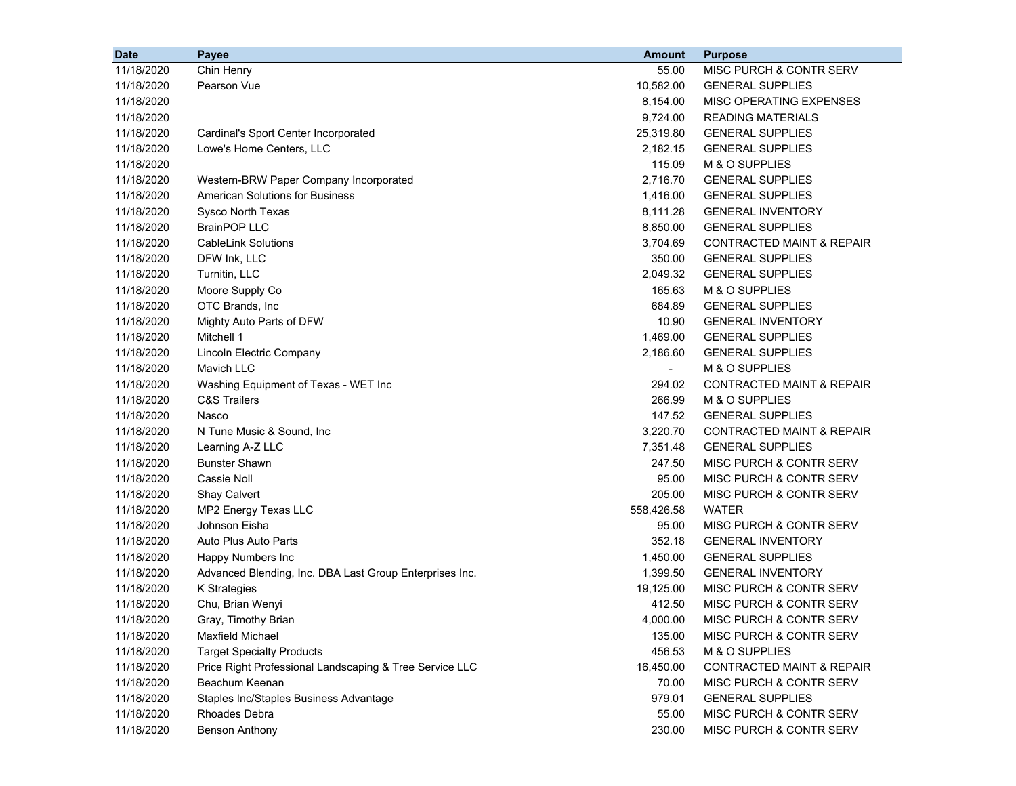| <b>Date</b> | Payee                                                   | <b>Amount</b> | <b>Purpose</b>                       |
|-------------|---------------------------------------------------------|---------------|--------------------------------------|
| 11/18/2020  | Chin Henry                                              | 55.00         | MISC PURCH & CONTR SERV              |
| 11/18/2020  | Pearson Vue                                             | 10,582.00     | <b>GENERAL SUPPLIES</b>              |
| 11/18/2020  |                                                         | 8,154.00      | MISC OPERATING EXPENSES              |
| 11/18/2020  |                                                         | 9,724.00      | <b>READING MATERIALS</b>             |
| 11/18/2020  | Cardinal's Sport Center Incorporated                    | 25,319.80     | <b>GENERAL SUPPLIES</b>              |
| 11/18/2020  | Lowe's Home Centers, LLC                                | 2,182.15      | <b>GENERAL SUPPLIES</b>              |
| 11/18/2020  |                                                         | 115.09        | M & O SUPPLIES                       |
| 11/18/2020  | Western-BRW Paper Company Incorporated                  | 2,716.70      | <b>GENERAL SUPPLIES</b>              |
| 11/18/2020  | <b>American Solutions for Business</b>                  | 1,416.00      | <b>GENERAL SUPPLIES</b>              |
| 11/18/2020  | Sysco North Texas                                       | 8,111.28      | <b>GENERAL INVENTORY</b>             |
| 11/18/2020  | <b>BrainPOP LLC</b>                                     | 8,850.00      | <b>GENERAL SUPPLIES</b>              |
| 11/18/2020  | <b>CableLink Solutions</b>                              | 3,704.69      | CONTRACTED MAINT & REPAIR            |
| 11/18/2020  | DFW Ink, LLC                                            | 350.00        | <b>GENERAL SUPPLIES</b>              |
| 11/18/2020  | Turnitin, LLC                                           | 2,049.32      | <b>GENERAL SUPPLIES</b>              |
| 11/18/2020  | Moore Supply Co                                         | 165.63        | M & O SUPPLIES                       |
| 11/18/2020  | OTC Brands, Inc.                                        | 684.89        | <b>GENERAL SUPPLIES</b>              |
| 11/18/2020  | Mighty Auto Parts of DFW                                | 10.90         | <b>GENERAL INVENTORY</b>             |
| 11/18/2020  | Mitchell 1                                              | 1,469.00      | <b>GENERAL SUPPLIES</b>              |
| 11/18/2020  | Lincoln Electric Company                                | 2,186.60      | <b>GENERAL SUPPLIES</b>              |
| 11/18/2020  | Mavich LLC                                              | $\sim$        | M & O SUPPLIES                       |
| 11/18/2020  | Washing Equipment of Texas - WET Inc                    | 294.02        | <b>CONTRACTED MAINT &amp; REPAIR</b> |
| 11/18/2020  | <b>C&amp;S Trailers</b>                                 | 266.99        | M & O SUPPLIES                       |
| 11/18/2020  | Nasco                                                   | 147.52        | <b>GENERAL SUPPLIES</b>              |
| 11/18/2020  | N Tune Music & Sound, Inc                               | 3,220.70      | <b>CONTRACTED MAINT &amp; REPAIR</b> |
| 11/18/2020  | Learning A-Z LLC                                        | 7,351.48      | <b>GENERAL SUPPLIES</b>              |
| 11/18/2020  | <b>Bunster Shawn</b>                                    | 247.50        | MISC PURCH & CONTR SERV              |
| 11/18/2020  | Cassie Noll                                             | 95.00         | MISC PURCH & CONTR SERV              |
| 11/18/2020  | Shay Calvert                                            | 205.00        | MISC PURCH & CONTR SERV              |
| 11/18/2020  | MP2 Energy Texas LLC                                    | 558,426.58    | <b>WATER</b>                         |
| 11/18/2020  | Johnson Eisha                                           | 95.00         | MISC PURCH & CONTR SERV              |
| 11/18/2020  | Auto Plus Auto Parts                                    | 352.18        | <b>GENERAL INVENTORY</b>             |
| 11/18/2020  | Happy Numbers Inc                                       | 1,450.00      | <b>GENERAL SUPPLIES</b>              |
| 11/18/2020  | Advanced Blending, Inc. DBA Last Group Enterprises Inc. | 1,399.50      | <b>GENERAL INVENTORY</b>             |
| 11/18/2020  | K Strategies                                            | 19,125.00     | MISC PURCH & CONTR SERV              |
| 11/18/2020  | Chu, Brian Wenyi                                        | 412.50        | MISC PURCH & CONTR SERV              |
| 11/18/2020  | Gray, Timothy Brian                                     | 4,000.00      | MISC PURCH & CONTR SERV              |
| 11/18/2020  | <b>Maxfield Michael</b>                                 | 135.00        | MISC PURCH & CONTR SERV              |
| 11/18/2020  | <b>Target Specialty Products</b>                        | 456.53        | M & O SUPPLIES                       |
| 11/18/2020  | Price Right Professional Landscaping & Tree Service LLC | 16,450.00     | <b>CONTRACTED MAINT &amp; REPAIR</b> |
| 11/18/2020  | Beachum Keenan                                          | 70.00         | MISC PURCH & CONTR SERV              |
| 11/18/2020  | Staples Inc/Staples Business Advantage                  | 979.01        | <b>GENERAL SUPPLIES</b>              |
| 11/18/2020  | Rhoades Debra                                           | 55.00         | MISC PURCH & CONTR SERV              |
| 11/18/2020  | <b>Benson Anthony</b>                                   | 230.00        | MISC PURCH & CONTR SERV              |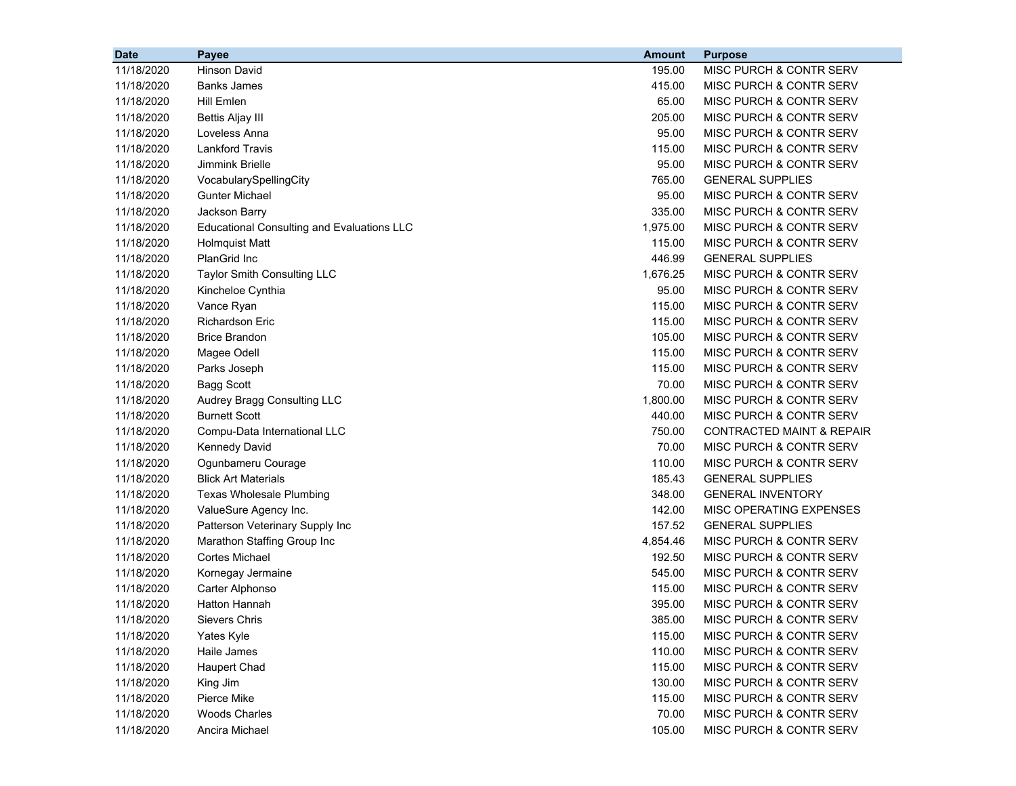| <b>Date</b> | Payee                                             | <b>Amount</b> | <b>Purpose</b>                       |
|-------------|---------------------------------------------------|---------------|--------------------------------------|
| 11/18/2020  | <b>Hinson David</b>                               | 195.00        | MISC PURCH & CONTR SERV              |
| 11/18/2020  | <b>Banks James</b>                                | 415.00        | MISC PURCH & CONTR SERV              |
| 11/18/2020  | <b>Hill Emlen</b>                                 | 65.00         | MISC PURCH & CONTR SERV              |
| 11/18/2020  | <b>Bettis Aljay III</b>                           | 205.00        | MISC PURCH & CONTR SERV              |
| 11/18/2020  | Loveless Anna                                     | 95.00         | MISC PURCH & CONTR SERV              |
| 11/18/2020  | <b>Lankford Travis</b>                            | 115.00        | MISC PURCH & CONTR SERV              |
| 11/18/2020  | Jimmink Brielle                                   | 95.00         | MISC PURCH & CONTR SERV              |
| 11/18/2020  | VocabularySpellingCity                            | 765.00        | <b>GENERAL SUPPLIES</b>              |
| 11/18/2020  | Gunter Michael                                    | 95.00         | MISC PURCH & CONTR SERV              |
| 11/18/2020  | Jackson Barry                                     | 335.00        | MISC PURCH & CONTR SERV              |
| 11/18/2020  | <b>Educational Consulting and Evaluations LLC</b> | 1,975.00      | MISC PURCH & CONTR SERV              |
| 11/18/2020  | <b>Holmquist Matt</b>                             | 115.00        | MISC PURCH & CONTR SERV              |
| 11/18/2020  | PlanGrid Inc                                      | 446.99        | <b>GENERAL SUPPLIES</b>              |
| 11/18/2020  | Taylor Smith Consulting LLC                       | 1,676.25      | MISC PURCH & CONTR SERV              |
| 11/18/2020  | Kincheloe Cynthia                                 | 95.00         | MISC PURCH & CONTR SERV              |
| 11/18/2020  | Vance Ryan                                        | 115.00        | MISC PURCH & CONTR SERV              |
| 11/18/2020  | <b>Richardson Eric</b>                            | 115.00        | MISC PURCH & CONTR SERV              |
| 11/18/2020  | <b>Brice Brandon</b>                              | 105.00        | MISC PURCH & CONTR SERV              |
| 11/18/2020  | Magee Odell                                       | 115.00        | MISC PURCH & CONTR SERV              |
| 11/18/2020  | Parks Joseph                                      | 115.00        | MISC PURCH & CONTR SERV              |
| 11/18/2020  | <b>Bagg Scott</b>                                 | 70.00         | <b>MISC PURCH &amp; CONTR SERV</b>   |
| 11/18/2020  | Audrey Bragg Consulting LLC                       | 1,800.00      | MISC PURCH & CONTR SERV              |
| 11/18/2020  | <b>Burnett Scott</b>                              | 440.00        | MISC PURCH & CONTR SERV              |
| 11/18/2020  | Compu-Data International LLC                      | 750.00        | <b>CONTRACTED MAINT &amp; REPAIR</b> |
| 11/18/2020  | <b>Kennedy David</b>                              | 70.00         | MISC PURCH & CONTR SERV              |
| 11/18/2020  | Ogunbameru Courage                                | 110.00        | MISC PURCH & CONTR SERV              |
| 11/18/2020  | <b>Blick Art Materials</b>                        | 185.43        | <b>GENERAL SUPPLIES</b>              |
| 11/18/2020  | <b>Texas Wholesale Plumbing</b>                   | 348.00        | <b>GENERAL INVENTORY</b>             |
| 11/18/2020  | ValueSure Agency Inc.                             | 142.00        | MISC OPERATING EXPENSES              |
| 11/18/2020  | Patterson Veterinary Supply Inc                   | 157.52        | <b>GENERAL SUPPLIES</b>              |
| 11/18/2020  | Marathon Staffing Group Inc                       | 4,854.46      | MISC PURCH & CONTR SERV              |
| 11/18/2020  | <b>Cortes Michael</b>                             | 192.50        | MISC PURCH & CONTR SERV              |
| 11/18/2020  | Kornegay Jermaine                                 | 545.00        | MISC PURCH & CONTR SERV              |
| 11/18/2020  | Carter Alphonso                                   | 115.00        | MISC PURCH & CONTR SERV              |
| 11/18/2020  | Hatton Hannah                                     | 395.00        | MISC PURCH & CONTR SERV              |
| 11/18/2020  | Sievers Chris                                     | 385.00        | MISC PURCH & CONTR SERV              |
| 11/18/2020  | Yates Kyle                                        | 115.00        | MISC PURCH & CONTR SERV              |
| 11/18/2020  | Haile James                                       | 110.00        | MISC PURCH & CONTR SERV              |
| 11/18/2020  | <b>Haupert Chad</b>                               | 115.00        | MISC PURCH & CONTR SERV              |
| 11/18/2020  | King Jim                                          | 130.00        | MISC PURCH & CONTR SERV              |
| 11/18/2020  | Pierce Mike                                       | 115.00        | MISC PURCH & CONTR SERV              |
| 11/18/2020  | <b>Woods Charles</b>                              | 70.00         | MISC PURCH & CONTR SERV              |
| 11/18/2020  | Ancira Michael                                    | 105.00        | MISC PURCH & CONTR SERV              |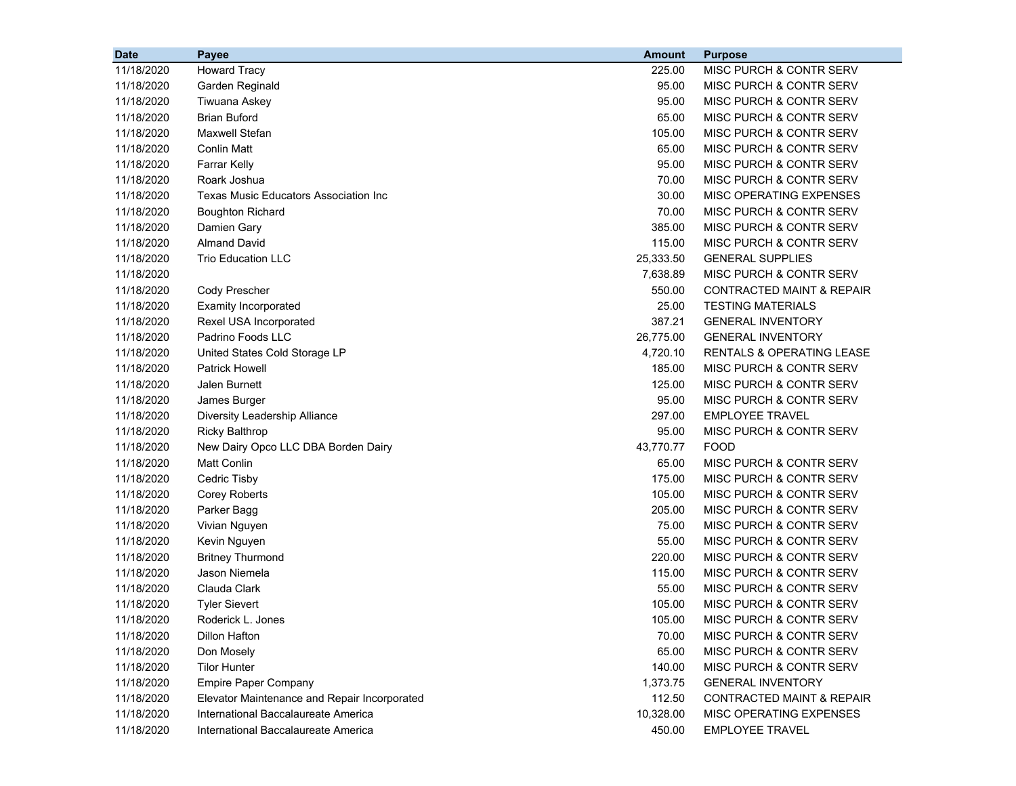| <b>Date</b> | Payee                                        | <b>Amount</b> | <b>Purpose</b>                       |
|-------------|----------------------------------------------|---------------|--------------------------------------|
| 11/18/2020  | <b>Howard Tracy</b>                          | 225.00        | MISC PURCH & CONTR SERV              |
| 11/18/2020  | Garden Reginald                              | 95.00         | MISC PURCH & CONTR SERV              |
| 11/18/2020  | Tiwuana Askey                                | 95.00         | MISC PURCH & CONTR SERV              |
| 11/18/2020  | <b>Brian Buford</b>                          | 65.00         | MISC PURCH & CONTR SERV              |
| 11/18/2020  | <b>Maxwell Stefan</b>                        | 105.00        | MISC PURCH & CONTR SERV              |
| 11/18/2020  | <b>Conlin Matt</b>                           | 65.00         | MISC PURCH & CONTR SERV              |
| 11/18/2020  | <b>Farrar Kelly</b>                          | 95.00         | MISC PURCH & CONTR SERV              |
| 11/18/2020  | Roark Joshua                                 | 70.00         | <b>MISC PURCH &amp; CONTR SERV</b>   |
| 11/18/2020  | Texas Music Educators Association Inc        | 30.00         | MISC OPERATING EXPENSES              |
| 11/18/2020  | <b>Boughton Richard</b>                      | 70.00         | MISC PURCH & CONTR SERV              |
| 11/18/2020  | Damien Gary                                  | 385.00        | <b>MISC PURCH &amp; CONTR SERV</b>   |
| 11/18/2020  | <b>Almand David</b>                          | 115.00        | MISC PURCH & CONTR SERV              |
| 11/18/2020  | <b>Trio Education LLC</b>                    | 25,333.50     | <b>GENERAL SUPPLIES</b>              |
| 11/18/2020  |                                              | 7,638.89      | MISC PURCH & CONTR SERV              |
| 11/18/2020  | Cody Prescher                                | 550.00        | <b>CONTRACTED MAINT &amp; REPAIR</b> |
| 11/18/2020  | <b>Examity Incorporated</b>                  | 25.00         | <b>TESTING MATERIALS</b>             |
| 11/18/2020  | Rexel USA Incorporated                       | 387.21        | <b>GENERAL INVENTORY</b>             |
| 11/18/2020  | Padrino Foods LLC                            | 26,775.00     | <b>GENERAL INVENTORY</b>             |
| 11/18/2020  | United States Cold Storage LP                | 4,720.10      | <b>RENTALS &amp; OPERATING LEASE</b> |
| 11/18/2020  | <b>Patrick Howell</b>                        | 185.00        | MISC PURCH & CONTR SERV              |
| 11/18/2020  | <b>Jalen Burnett</b>                         | 125.00        | MISC PURCH & CONTR SERV              |
| 11/18/2020  | James Burger                                 | 95.00         | MISC PURCH & CONTR SERV              |
| 11/18/2020  | Diversity Leadership Alliance                | 297.00        | <b>EMPLOYEE TRAVEL</b>               |
| 11/18/2020  | <b>Ricky Balthrop</b>                        | 95.00         | MISC PURCH & CONTR SERV              |
| 11/18/2020  | New Dairy Opco LLC DBA Borden Dairy          | 43,770.77     | <b>FOOD</b>                          |
| 11/18/2020  | <b>Matt Conlin</b>                           | 65.00         | MISC PURCH & CONTR SERV              |
| 11/18/2020  | Cedric Tisby                                 | 175.00        | MISC PURCH & CONTR SERV              |
| 11/18/2020  | <b>Corey Roberts</b>                         | 105.00        | MISC PURCH & CONTR SERV              |
| 11/18/2020  | Parker Bagg                                  | 205.00        | MISC PURCH & CONTR SERV              |
| 11/18/2020  | Vivian Nguyen                                | 75.00         | MISC PURCH & CONTR SERV              |
| 11/18/2020  | Kevin Nguyen                                 | 55.00         | MISC PURCH & CONTR SERV              |
| 11/18/2020  | <b>Britney Thurmond</b>                      | 220.00        | MISC PURCH & CONTR SERV              |
| 11/18/2020  | Jason Niemela                                | 115.00        | MISC PURCH & CONTR SERV              |
| 11/18/2020  | Clauda Clark                                 | 55.00         | MISC PURCH & CONTR SERV              |
| 11/18/2020  | <b>Tyler Sievert</b>                         | 105.00        | MISC PURCH & CONTR SERV              |
| 11/18/2020  | Roderick L. Jones                            | 105.00        | MISC PURCH & CONTR SERV              |
| 11/18/2020  | Dillon Hafton                                | 70.00         | MISC PURCH & CONTR SERV              |
| 11/18/2020  | Don Mosely                                   | 65.00         | MISC PURCH & CONTR SERV              |
| 11/18/2020  | <b>Tilor Hunter</b>                          | 140.00        | MISC PURCH & CONTR SERV              |
| 11/18/2020  | <b>Empire Paper Company</b>                  | 1,373.75      | <b>GENERAL INVENTORY</b>             |
| 11/18/2020  | Elevator Maintenance and Repair Incorporated | 112.50        | <b>CONTRACTED MAINT &amp; REPAIR</b> |
| 11/18/2020  | International Baccalaureate America          | 10,328.00     | MISC OPERATING EXPENSES              |
| 11/18/2020  | International Baccalaureate America          | 450.00        | <b>EMPLOYEE TRAVEL</b>               |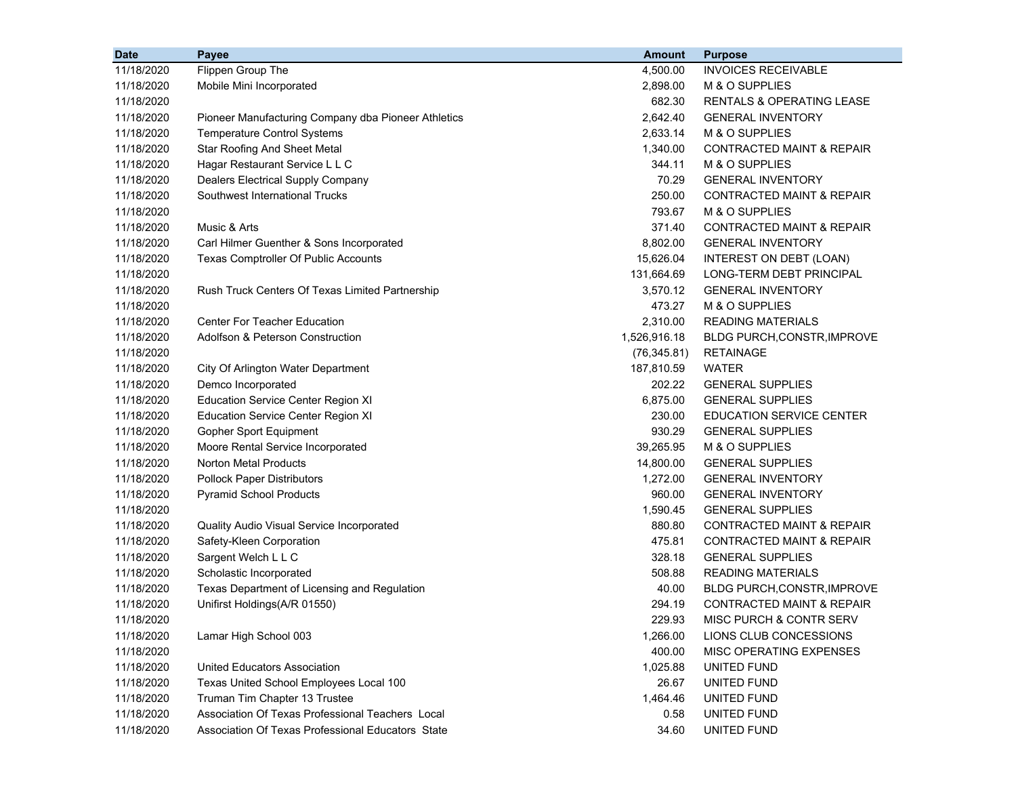| <b>Date</b> | Payee                                               | <b>Amount</b> | <b>Purpose</b>                       |
|-------------|-----------------------------------------------------|---------------|--------------------------------------|
| 11/18/2020  | Flippen Group The                                   | 4,500.00      | <b>INVOICES RECEIVABLE</b>           |
| 11/18/2020  | Mobile Mini Incorporated                            | 2,898.00      | M & O SUPPLIES                       |
| 11/18/2020  |                                                     | 682.30        | <b>RENTALS &amp; OPERATING LEASE</b> |
| 11/18/2020  | Pioneer Manufacturing Company dba Pioneer Athletics | 2,642.40      | <b>GENERAL INVENTORY</b>             |
| 11/18/2020  | <b>Temperature Control Systems</b>                  | 2,633.14      | M & O SUPPLIES                       |
| 11/18/2020  | <b>Star Roofing And Sheet Metal</b>                 | 1,340.00      | <b>CONTRACTED MAINT &amp; REPAIR</b> |
| 11/18/2020  | Hagar Restaurant Service L L C                      | 344.11        | M & O SUPPLIES                       |
| 11/18/2020  | Dealers Electrical Supply Company                   | 70.29         | <b>GENERAL INVENTORY</b>             |
| 11/18/2020  | Southwest International Trucks                      | 250.00        | <b>CONTRACTED MAINT &amp; REPAIR</b> |
| 11/18/2020  |                                                     | 793.67        | M & O SUPPLIES                       |
| 11/18/2020  | Music & Arts                                        | 371.40        | <b>CONTRACTED MAINT &amp; REPAIR</b> |
| 11/18/2020  | Carl Hilmer Guenther & Sons Incorporated            | 8,802.00      | <b>GENERAL INVENTORY</b>             |
| 11/18/2020  | Texas Comptroller Of Public Accounts                | 15,626.04     | INTEREST ON DEBT (LOAN)              |
| 11/18/2020  |                                                     | 131,664.69    | LONG-TERM DEBT PRINCIPAL             |
| 11/18/2020  | Rush Truck Centers Of Texas Limited Partnership     | 3,570.12      | <b>GENERAL INVENTORY</b>             |
| 11/18/2020  |                                                     | 473.27        | M & O SUPPLIES                       |
| 11/18/2020  | <b>Center For Teacher Education</b>                 | 2,310.00      | <b>READING MATERIALS</b>             |
| 11/18/2020  | Adolfson & Peterson Construction                    | 1,526,916.18  | BLDG PURCH, CONSTR, IMPROVE          |
| 11/18/2020  |                                                     | (76, 345.81)  | <b>RETAINAGE</b>                     |
| 11/18/2020  | City Of Arlington Water Department                  | 187,810.59    | <b>WATER</b>                         |
| 11/18/2020  | Demco Incorporated                                  | 202.22        | <b>GENERAL SUPPLIES</b>              |
| 11/18/2020  | <b>Education Service Center Region XI</b>           | 6,875.00      | <b>GENERAL SUPPLIES</b>              |
| 11/18/2020  | <b>Education Service Center Region XI</b>           | 230.00        | <b>EDUCATION SERVICE CENTER</b>      |
| 11/18/2020  | Gopher Sport Equipment                              | 930.29        | <b>GENERAL SUPPLIES</b>              |
| 11/18/2020  | Moore Rental Service Incorporated                   | 39,265.95     | M & O SUPPLIES                       |
| 11/18/2020  | <b>Norton Metal Products</b>                        | 14,800.00     | <b>GENERAL SUPPLIES</b>              |
| 11/18/2020  | <b>Pollock Paper Distributors</b>                   | 1,272.00      | <b>GENERAL INVENTORY</b>             |
| 11/18/2020  | <b>Pyramid School Products</b>                      | 960.00        | <b>GENERAL INVENTORY</b>             |
| 11/18/2020  |                                                     | 1,590.45      | <b>GENERAL SUPPLIES</b>              |
| 11/18/2020  | Quality Audio Visual Service Incorporated           | 880.80        | <b>CONTRACTED MAINT &amp; REPAIR</b> |
| 11/18/2020  | Safety-Kleen Corporation                            | 475.81        | CONTRACTED MAINT & REPAIR            |
| 11/18/2020  | Sargent Welch L L C                                 | 328.18        | <b>GENERAL SUPPLIES</b>              |
| 11/18/2020  | Scholastic Incorporated                             | 508.88        | <b>READING MATERIALS</b>             |
| 11/18/2020  | Texas Department of Licensing and Regulation        | 40.00         | BLDG PURCH, CONSTR, IMPROVE          |
| 11/18/2020  | Unifirst Holdings(A/R 01550)                        | 294.19        | <b>CONTRACTED MAINT &amp; REPAIR</b> |
| 11/18/2020  |                                                     | 229.93        | MISC PURCH & CONTR SERV              |
| 11/18/2020  | Lamar High School 003                               | 1,266.00      | LIONS CLUB CONCESSIONS               |
| 11/18/2020  |                                                     | 400.00        | MISC OPERATING EXPENSES              |
| 11/18/2020  | United Educators Association                        | 1,025.88      | UNITED FUND                          |
| 11/18/2020  | Texas United School Employees Local 100             | 26.67         | UNITED FUND                          |
| 11/18/2020  | Truman Tim Chapter 13 Trustee                       | 1,464.46      | UNITED FUND                          |
| 11/18/2020  | Association Of Texas Professional Teachers Local    | 0.58          | UNITED FUND                          |
| 11/18/2020  | Association Of Texas Professional Educators State   | 34.60         | UNITED FUND                          |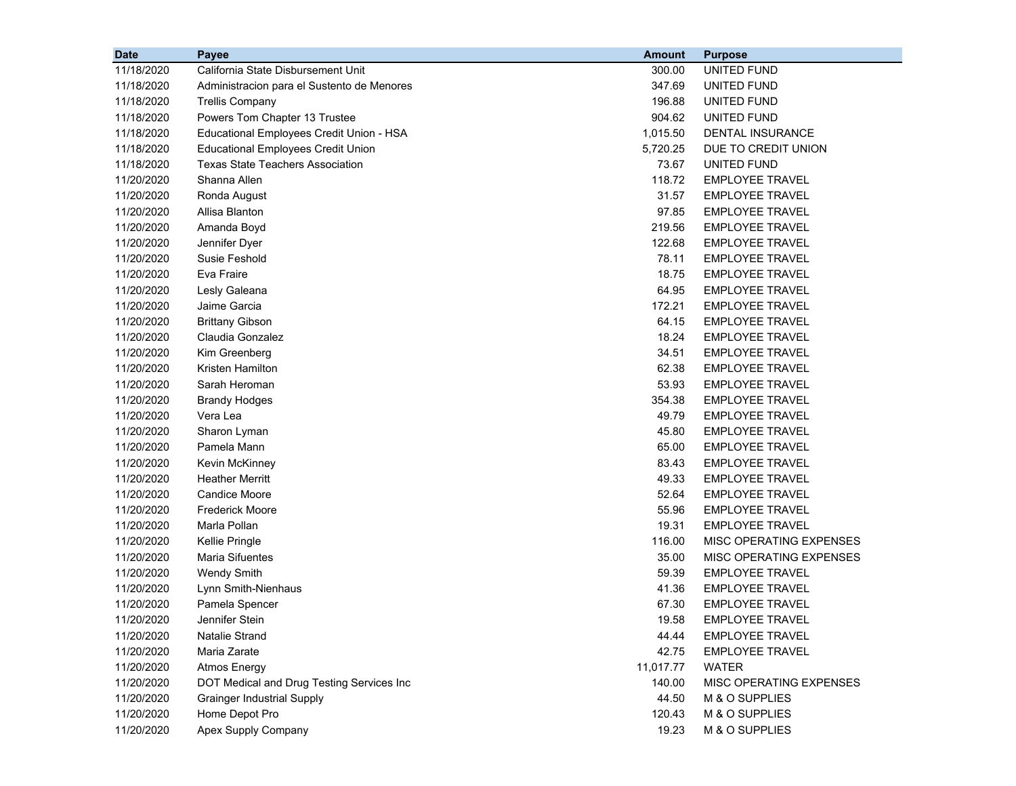| <b>Date</b> | Payee                                      | <b>Amount</b> | <b>Purpose</b>          |
|-------------|--------------------------------------------|---------------|-------------------------|
| 11/18/2020  | California State Disbursement Unit         | 300.00        | UNITED FUND             |
| 11/18/2020  | Administracion para el Sustento de Menores | 347.69        | <b>UNITED FUND</b>      |
| 11/18/2020  | <b>Trellis Company</b>                     | 196.88        | UNITED FUND             |
| 11/18/2020  | Powers Tom Chapter 13 Trustee              | 904.62        | UNITED FUND             |
| 11/18/2020  | Educational Employees Credit Union - HSA   | 1,015.50      | DENTAL INSURANCE        |
| 11/18/2020  | <b>Educational Employees Credit Union</b>  | 5,720.25      | DUE TO CREDIT UNION     |
| 11/18/2020  | <b>Texas State Teachers Association</b>    | 73.67         | UNITED FUND             |
| 11/20/2020  | Shanna Allen                               | 118.72        | <b>EMPLOYEE TRAVEL</b>  |
| 11/20/2020  | Ronda August                               | 31.57         | <b>EMPLOYEE TRAVEL</b>  |
| 11/20/2020  | Allisa Blanton                             | 97.85         | <b>EMPLOYEE TRAVEL</b>  |
| 11/20/2020  | Amanda Boyd                                | 219.56        | <b>EMPLOYEE TRAVEL</b>  |
| 11/20/2020  | Jennifer Dyer                              | 122.68        | <b>EMPLOYEE TRAVEL</b>  |
| 11/20/2020  | Susie Feshold                              | 78.11         | <b>EMPLOYEE TRAVEL</b>  |
| 11/20/2020  | Eva Fraire                                 | 18.75         | <b>EMPLOYEE TRAVEL</b>  |
| 11/20/2020  | Lesly Galeana                              | 64.95         | <b>EMPLOYEE TRAVEL</b>  |
| 11/20/2020  | Jaime Garcia                               | 172.21        | <b>EMPLOYEE TRAVEL</b>  |
| 11/20/2020  | <b>Brittany Gibson</b>                     | 64.15         | <b>EMPLOYEE TRAVEL</b>  |
| 11/20/2020  | Claudia Gonzalez                           | 18.24         | <b>EMPLOYEE TRAVEL</b>  |
| 11/20/2020  | Kim Greenberg                              | 34.51         | <b>EMPLOYEE TRAVEL</b>  |
| 11/20/2020  | Kristen Hamilton                           | 62.38         | <b>EMPLOYEE TRAVEL</b>  |
| 11/20/2020  | Sarah Heroman                              | 53.93         | <b>EMPLOYEE TRAVEL</b>  |
| 11/20/2020  | <b>Brandy Hodges</b>                       | 354.38        | <b>EMPLOYEE TRAVEL</b>  |
| 11/20/2020  | Vera Lea                                   | 49.79         | <b>EMPLOYEE TRAVEL</b>  |
| 11/20/2020  | Sharon Lyman                               | 45.80         | <b>EMPLOYEE TRAVEL</b>  |
| 11/20/2020  | Pamela Mann                                | 65.00         | <b>EMPLOYEE TRAVEL</b>  |
| 11/20/2020  | Kevin McKinney                             | 83.43         | <b>EMPLOYEE TRAVEL</b>  |
| 11/20/2020  | <b>Heather Merritt</b>                     | 49.33         | <b>EMPLOYEE TRAVEL</b>  |
| 11/20/2020  | <b>Candice Moore</b>                       | 52.64         | <b>EMPLOYEE TRAVEL</b>  |
| 11/20/2020  | <b>Frederick Moore</b>                     | 55.96         | <b>EMPLOYEE TRAVEL</b>  |
| 11/20/2020  | Marla Pollan                               | 19.31         | <b>EMPLOYEE TRAVEL</b>  |
| 11/20/2020  | Kellie Pringle                             | 116.00        | MISC OPERATING EXPENSES |
| 11/20/2020  | <b>Maria Sifuentes</b>                     | 35.00         | MISC OPERATING EXPENSES |
| 11/20/2020  | <b>Wendy Smith</b>                         | 59.39         | <b>EMPLOYEE TRAVEL</b>  |
| 11/20/2020  | Lynn Smith-Nienhaus                        | 41.36         | <b>EMPLOYEE TRAVEL</b>  |
| 11/20/2020  | Pamela Spencer                             | 67.30         | <b>EMPLOYEE TRAVEL</b>  |
| 11/20/2020  | Jennifer Stein                             | 19.58         | EMPLOYEE TRAVEL         |
| 11/20/2020  | <b>Natalie Strand</b>                      | 44.44         | <b>EMPLOYEE TRAVEL</b>  |
| 11/20/2020  | Maria Zarate                               | 42.75         | <b>EMPLOYEE TRAVEL</b>  |
| 11/20/2020  | Atmos Energy                               | 11,017.77     | <b>WATER</b>            |
| 11/20/2020  | DOT Medical and Drug Testing Services Inc  | 140.00        | MISC OPERATING EXPENSES |
| 11/20/2020  | <b>Grainger Industrial Supply</b>          | 44.50         | M & O SUPPLIES          |
| 11/20/2020  | Home Depot Pro                             | 120.43        | M & O SUPPLIES          |
| 11/20/2020  | Apex Supply Company                        | 19.23         | M & O SUPPLIES          |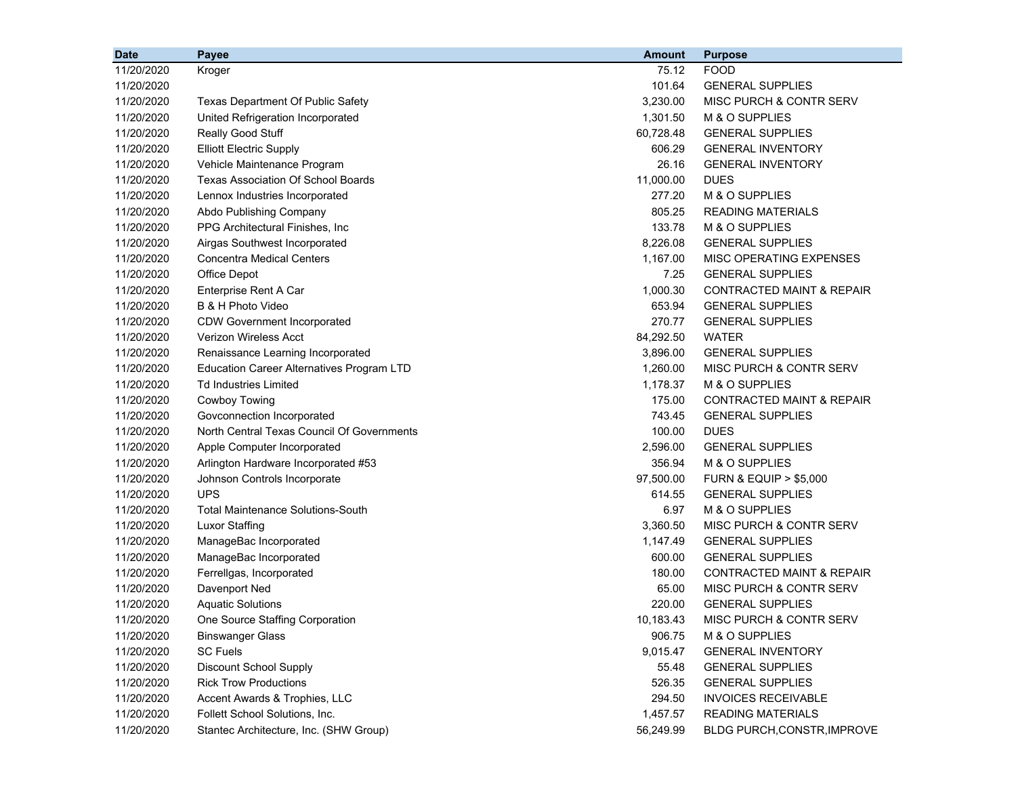| <b>Date</b> | Payee                                            | <b>Amount</b> | <b>Purpose</b>                       |
|-------------|--------------------------------------------------|---------------|--------------------------------------|
| 11/20/2020  | Kroger                                           | 75.12         | <b>FOOD</b>                          |
| 11/20/2020  |                                                  | 101.64        | <b>GENERAL SUPPLIES</b>              |
| 11/20/2020  | <b>Texas Department Of Public Safety</b>         | 3,230.00      | MISC PURCH & CONTR SERV              |
| 11/20/2020  | United Refrigeration Incorporated                | 1,301.50      | M & O SUPPLIES                       |
| 11/20/2020  | Really Good Stuff                                | 60,728.48     | <b>GENERAL SUPPLIES</b>              |
| 11/20/2020  | <b>Elliott Electric Supply</b>                   | 606.29        | <b>GENERAL INVENTORY</b>             |
| 11/20/2020  | Vehicle Maintenance Program                      | 26.16         | <b>GENERAL INVENTORY</b>             |
| 11/20/2020  | <b>Texas Association Of School Boards</b>        | 11,000.00     | <b>DUES</b>                          |
| 11/20/2020  | Lennox Industries Incorporated                   | 277.20        | M & O SUPPLIES                       |
| 11/20/2020  | Abdo Publishing Company                          | 805.25        | <b>READING MATERIALS</b>             |
| 11/20/2020  | PPG Architectural Finishes, Inc.                 | 133.78        | M & O SUPPLIES                       |
| 11/20/2020  | Airgas Southwest Incorporated                    | 8,226.08      | <b>GENERAL SUPPLIES</b>              |
| 11/20/2020  | Concentra Medical Centers                        | 1,167.00      | MISC OPERATING EXPENSES              |
| 11/20/2020  | Office Depot                                     | 7.25          | <b>GENERAL SUPPLIES</b>              |
| 11/20/2020  | Enterprise Rent A Car                            | 1,000.30      | <b>CONTRACTED MAINT &amp; REPAIR</b> |
| 11/20/2020  | B & H Photo Video                                | 653.94        | <b>GENERAL SUPPLIES</b>              |
| 11/20/2020  | <b>CDW Government Incorporated</b>               | 270.77        | <b>GENERAL SUPPLIES</b>              |
| 11/20/2020  | <b>Verizon Wireless Acct</b>                     | 84,292.50     | <b>WATER</b>                         |
| 11/20/2020  | Renaissance Learning Incorporated                | 3,896.00      | <b>GENERAL SUPPLIES</b>              |
| 11/20/2020  | <b>Education Career Alternatives Program LTD</b> | 1,260.00      | MISC PURCH & CONTR SERV              |
| 11/20/2020  | <b>Td Industries Limited</b>                     | 1,178.37      | M & O SUPPLIES                       |
| 11/20/2020  | Cowboy Towing                                    | 175.00        | <b>CONTRACTED MAINT &amp; REPAIR</b> |
| 11/20/2020  | Govconnection Incorporated                       | 743.45        | <b>GENERAL SUPPLIES</b>              |
| 11/20/2020  | North Central Texas Council Of Governments       | 100.00        | <b>DUES</b>                          |
| 11/20/2020  | Apple Computer Incorporated                      | 2,596.00      | <b>GENERAL SUPPLIES</b>              |
| 11/20/2020  | Arlington Hardware Incorporated #53              | 356.94        | M & O SUPPLIES                       |
| 11/20/2020  | Johnson Controls Incorporate                     | 97,500.00     | <b>FURN &amp; EQUIP &gt; \$5,000</b> |
| 11/20/2020  | <b>UPS</b>                                       | 614.55        | <b>GENERAL SUPPLIES</b>              |
| 11/20/2020  | Total Maintenance Solutions-South                | 6.97          | M & O SUPPLIES                       |
| 11/20/2020  | <b>Luxor Staffing</b>                            | 3,360.50      | MISC PURCH & CONTR SERV              |
| 11/20/2020  | ManageBac Incorporated                           | 1,147.49      | <b>GENERAL SUPPLIES</b>              |
| 11/20/2020  | ManageBac Incorporated                           | 600.00        | <b>GENERAL SUPPLIES</b>              |
| 11/20/2020  | Ferrellgas, Incorporated                         | 180.00        | <b>CONTRACTED MAINT &amp; REPAIR</b> |
| 11/20/2020  | Davenport Ned                                    | 65.00         | MISC PURCH & CONTR SERV              |
| 11/20/2020  | <b>Aquatic Solutions</b>                         | 220.00        | <b>GENERAL SUPPLIES</b>              |
| 11/20/2020  | One Source Staffing Corporation                  | 10,183.43     | MISC PURCH & CONTR SERV              |
| 11/20/2020  | <b>Binswanger Glass</b>                          | 906.75        | M & O SUPPLIES                       |
| 11/20/2020  | <b>SC Fuels</b>                                  | 9,015.47      | <b>GENERAL INVENTORY</b>             |
| 11/20/2020  | <b>Discount School Supply</b>                    | 55.48         | <b>GENERAL SUPPLIES</b>              |
| 11/20/2020  | <b>Rick Trow Productions</b>                     | 526.35        | <b>GENERAL SUPPLIES</b>              |
| 11/20/2020  | Accent Awards & Trophies, LLC                    | 294.50        | <b>INVOICES RECEIVABLE</b>           |
| 11/20/2020  | Follett School Solutions, Inc.                   | 1,457.57      | <b>READING MATERIALS</b>             |
| 11/20/2020  | Stantec Architecture, Inc. (SHW Group)           | 56,249.99     | BLDG PURCH, CONSTR, IMPROVE          |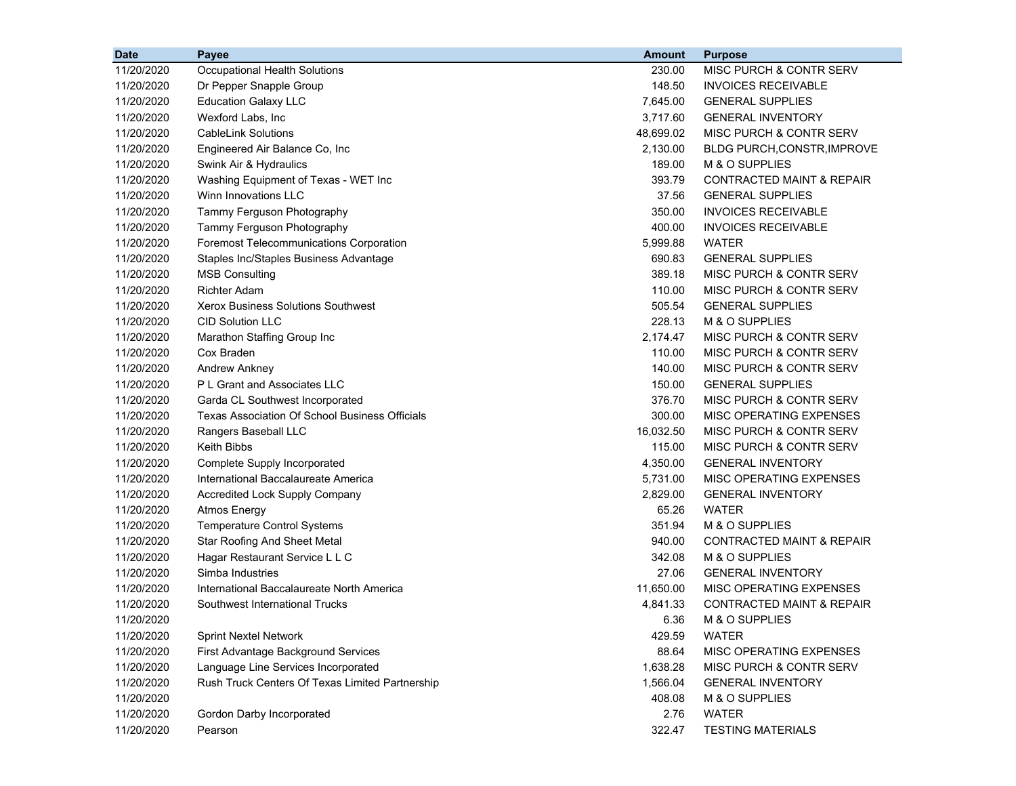| 11/20/2020<br>230.00<br>MISC PURCH & CONTR SERV<br>Occupational Health Solutions<br>11/20/2020<br>148.50<br><b>INVOICES RECEIVABLE</b><br>Dr Pepper Snapple Group<br>11/20/2020<br>7,645.00<br><b>GENERAL SUPPLIES</b><br><b>Education Galaxy LLC</b><br>11/20/2020<br>Wexford Labs, Inc<br>3,717.60<br><b>GENERAL INVENTORY</b><br><b>CableLink Solutions</b><br>48,699.02<br>MISC PURCH & CONTR SERV<br>11/20/2020<br>2,130.00<br>11/20/2020<br>Engineered Air Balance Co, Inc<br>BLDG PURCH, CONSTR, IMPROVE<br>Swink Air & Hydraulics<br>189.00<br>M & O SUPPLIES<br>11/20/2020<br>11/20/2020<br>Washing Equipment of Texas - WET Inc<br>393.79<br><b>CONTRACTED MAINT &amp; REPAIR</b><br>11/20/2020<br>Winn Innovations LLC<br>37.56<br><b>GENERAL SUPPLIES</b><br>11/20/2020<br>Tammy Ferguson Photography<br>350.00<br><b>INVOICES RECEIVABLE</b><br>11/20/2020<br>400.00<br><b>INVOICES RECEIVABLE</b><br>Tammy Ferguson Photography<br>5,999.88<br><b>WATER</b><br>11/20/2020<br><b>Foremost Telecommunications Corporation</b><br>690.83<br><b>GENERAL SUPPLIES</b><br>11/20/2020<br>Staples Inc/Staples Business Advantage<br>11/20/2020<br>389.18<br>MISC PURCH & CONTR SERV<br><b>MSB Consulting</b><br>11/20/2020<br><b>Richter Adam</b><br>110.00<br>MISC PURCH & CONTR SERV<br>505.54<br>11/20/2020<br>Xerox Business Solutions Southwest<br><b>GENERAL SUPPLIES</b><br>11/20/2020<br><b>CID Solution LLC</b><br>228.13<br>M & O SUPPLIES<br>2,174.47<br>11/20/2020<br>Marathon Staffing Group Inc<br>MISC PURCH & CONTR SERV<br>Cox Braden<br>110.00<br>MISC PURCH & CONTR SERV<br>11/20/2020<br>Andrew Ankney<br>140.00<br>11/20/2020<br>MISC PURCH & CONTR SERV<br>11/20/2020<br>P L Grant and Associates LLC<br>150.00<br><b>GENERAL SUPPLIES</b><br>11/20/2020<br>Garda CL Southwest Incorporated<br>376.70<br>MISC PURCH & CONTR SERV<br>11/20/2020<br>Texas Association Of School Business Officials<br>300.00<br>MISC OPERATING EXPENSES<br>16,032.50<br>MISC PURCH & CONTR SERV<br>11/20/2020<br>Rangers Baseball LLC |
|-------------------------------------------------------------------------------------------------------------------------------------------------------------------------------------------------------------------------------------------------------------------------------------------------------------------------------------------------------------------------------------------------------------------------------------------------------------------------------------------------------------------------------------------------------------------------------------------------------------------------------------------------------------------------------------------------------------------------------------------------------------------------------------------------------------------------------------------------------------------------------------------------------------------------------------------------------------------------------------------------------------------------------------------------------------------------------------------------------------------------------------------------------------------------------------------------------------------------------------------------------------------------------------------------------------------------------------------------------------------------------------------------------------------------------------------------------------------------------------------------------------------------------------------------------------------------------------------------------------------------------------------------------------------------------------------------------------------------------------------------------------------------------------------------------------------------------------------------------------------------------------------------------------------------------------------------------------------------------------------------------------------------------------------------|
|                                                                                                                                                                                                                                                                                                                                                                                                                                                                                                                                                                                                                                                                                                                                                                                                                                                                                                                                                                                                                                                                                                                                                                                                                                                                                                                                                                                                                                                                                                                                                                                                                                                                                                                                                                                                                                                                                                                                                                                                                                                 |
|                                                                                                                                                                                                                                                                                                                                                                                                                                                                                                                                                                                                                                                                                                                                                                                                                                                                                                                                                                                                                                                                                                                                                                                                                                                                                                                                                                                                                                                                                                                                                                                                                                                                                                                                                                                                                                                                                                                                                                                                                                                 |
|                                                                                                                                                                                                                                                                                                                                                                                                                                                                                                                                                                                                                                                                                                                                                                                                                                                                                                                                                                                                                                                                                                                                                                                                                                                                                                                                                                                                                                                                                                                                                                                                                                                                                                                                                                                                                                                                                                                                                                                                                                                 |
|                                                                                                                                                                                                                                                                                                                                                                                                                                                                                                                                                                                                                                                                                                                                                                                                                                                                                                                                                                                                                                                                                                                                                                                                                                                                                                                                                                                                                                                                                                                                                                                                                                                                                                                                                                                                                                                                                                                                                                                                                                                 |
|                                                                                                                                                                                                                                                                                                                                                                                                                                                                                                                                                                                                                                                                                                                                                                                                                                                                                                                                                                                                                                                                                                                                                                                                                                                                                                                                                                                                                                                                                                                                                                                                                                                                                                                                                                                                                                                                                                                                                                                                                                                 |
|                                                                                                                                                                                                                                                                                                                                                                                                                                                                                                                                                                                                                                                                                                                                                                                                                                                                                                                                                                                                                                                                                                                                                                                                                                                                                                                                                                                                                                                                                                                                                                                                                                                                                                                                                                                                                                                                                                                                                                                                                                                 |
|                                                                                                                                                                                                                                                                                                                                                                                                                                                                                                                                                                                                                                                                                                                                                                                                                                                                                                                                                                                                                                                                                                                                                                                                                                                                                                                                                                                                                                                                                                                                                                                                                                                                                                                                                                                                                                                                                                                                                                                                                                                 |
|                                                                                                                                                                                                                                                                                                                                                                                                                                                                                                                                                                                                                                                                                                                                                                                                                                                                                                                                                                                                                                                                                                                                                                                                                                                                                                                                                                                                                                                                                                                                                                                                                                                                                                                                                                                                                                                                                                                                                                                                                                                 |
|                                                                                                                                                                                                                                                                                                                                                                                                                                                                                                                                                                                                                                                                                                                                                                                                                                                                                                                                                                                                                                                                                                                                                                                                                                                                                                                                                                                                                                                                                                                                                                                                                                                                                                                                                                                                                                                                                                                                                                                                                                                 |
|                                                                                                                                                                                                                                                                                                                                                                                                                                                                                                                                                                                                                                                                                                                                                                                                                                                                                                                                                                                                                                                                                                                                                                                                                                                                                                                                                                                                                                                                                                                                                                                                                                                                                                                                                                                                                                                                                                                                                                                                                                                 |
|                                                                                                                                                                                                                                                                                                                                                                                                                                                                                                                                                                                                                                                                                                                                                                                                                                                                                                                                                                                                                                                                                                                                                                                                                                                                                                                                                                                                                                                                                                                                                                                                                                                                                                                                                                                                                                                                                                                                                                                                                                                 |
|                                                                                                                                                                                                                                                                                                                                                                                                                                                                                                                                                                                                                                                                                                                                                                                                                                                                                                                                                                                                                                                                                                                                                                                                                                                                                                                                                                                                                                                                                                                                                                                                                                                                                                                                                                                                                                                                                                                                                                                                                                                 |
|                                                                                                                                                                                                                                                                                                                                                                                                                                                                                                                                                                                                                                                                                                                                                                                                                                                                                                                                                                                                                                                                                                                                                                                                                                                                                                                                                                                                                                                                                                                                                                                                                                                                                                                                                                                                                                                                                                                                                                                                                                                 |
|                                                                                                                                                                                                                                                                                                                                                                                                                                                                                                                                                                                                                                                                                                                                                                                                                                                                                                                                                                                                                                                                                                                                                                                                                                                                                                                                                                                                                                                                                                                                                                                                                                                                                                                                                                                                                                                                                                                                                                                                                                                 |
|                                                                                                                                                                                                                                                                                                                                                                                                                                                                                                                                                                                                                                                                                                                                                                                                                                                                                                                                                                                                                                                                                                                                                                                                                                                                                                                                                                                                                                                                                                                                                                                                                                                                                                                                                                                                                                                                                                                                                                                                                                                 |
|                                                                                                                                                                                                                                                                                                                                                                                                                                                                                                                                                                                                                                                                                                                                                                                                                                                                                                                                                                                                                                                                                                                                                                                                                                                                                                                                                                                                                                                                                                                                                                                                                                                                                                                                                                                                                                                                                                                                                                                                                                                 |
|                                                                                                                                                                                                                                                                                                                                                                                                                                                                                                                                                                                                                                                                                                                                                                                                                                                                                                                                                                                                                                                                                                                                                                                                                                                                                                                                                                                                                                                                                                                                                                                                                                                                                                                                                                                                                                                                                                                                                                                                                                                 |
|                                                                                                                                                                                                                                                                                                                                                                                                                                                                                                                                                                                                                                                                                                                                                                                                                                                                                                                                                                                                                                                                                                                                                                                                                                                                                                                                                                                                                                                                                                                                                                                                                                                                                                                                                                                                                                                                                                                                                                                                                                                 |
|                                                                                                                                                                                                                                                                                                                                                                                                                                                                                                                                                                                                                                                                                                                                                                                                                                                                                                                                                                                                                                                                                                                                                                                                                                                                                                                                                                                                                                                                                                                                                                                                                                                                                                                                                                                                                                                                                                                                                                                                                                                 |
|                                                                                                                                                                                                                                                                                                                                                                                                                                                                                                                                                                                                                                                                                                                                                                                                                                                                                                                                                                                                                                                                                                                                                                                                                                                                                                                                                                                                                                                                                                                                                                                                                                                                                                                                                                                                                                                                                                                                                                                                                                                 |
|                                                                                                                                                                                                                                                                                                                                                                                                                                                                                                                                                                                                                                                                                                                                                                                                                                                                                                                                                                                                                                                                                                                                                                                                                                                                                                                                                                                                                                                                                                                                                                                                                                                                                                                                                                                                                                                                                                                                                                                                                                                 |
|                                                                                                                                                                                                                                                                                                                                                                                                                                                                                                                                                                                                                                                                                                                                                                                                                                                                                                                                                                                                                                                                                                                                                                                                                                                                                                                                                                                                                                                                                                                                                                                                                                                                                                                                                                                                                                                                                                                                                                                                                                                 |
|                                                                                                                                                                                                                                                                                                                                                                                                                                                                                                                                                                                                                                                                                                                                                                                                                                                                                                                                                                                                                                                                                                                                                                                                                                                                                                                                                                                                                                                                                                                                                                                                                                                                                                                                                                                                                                                                                                                                                                                                                                                 |
|                                                                                                                                                                                                                                                                                                                                                                                                                                                                                                                                                                                                                                                                                                                                                                                                                                                                                                                                                                                                                                                                                                                                                                                                                                                                                                                                                                                                                                                                                                                                                                                                                                                                                                                                                                                                                                                                                                                                                                                                                                                 |
| Keith Bibbs<br>115.00<br>MISC PURCH & CONTR SERV<br>11/20/2020                                                                                                                                                                                                                                                                                                                                                                                                                                                                                                                                                                                                                                                                                                                                                                                                                                                                                                                                                                                                                                                                                                                                                                                                                                                                                                                                                                                                                                                                                                                                                                                                                                                                                                                                                                                                                                                                                                                                                                                  |
| 4,350.00<br>11/20/2020<br>Complete Supply Incorporated<br><b>GENERAL INVENTORY</b>                                                                                                                                                                                                                                                                                                                                                                                                                                                                                                                                                                                                                                                                                                                                                                                                                                                                                                                                                                                                                                                                                                                                                                                                                                                                                                                                                                                                                                                                                                                                                                                                                                                                                                                                                                                                                                                                                                                                                              |
| 11/20/2020<br>International Baccalaureate America<br>5,731.00<br>MISC OPERATING EXPENSES                                                                                                                                                                                                                                                                                                                                                                                                                                                                                                                                                                                                                                                                                                                                                                                                                                                                                                                                                                                                                                                                                                                                                                                                                                                                                                                                                                                                                                                                                                                                                                                                                                                                                                                                                                                                                                                                                                                                                        |
| 2,829.00<br><b>GENERAL INVENTORY</b><br>11/20/2020<br>Accredited Lock Supply Company                                                                                                                                                                                                                                                                                                                                                                                                                                                                                                                                                                                                                                                                                                                                                                                                                                                                                                                                                                                                                                                                                                                                                                                                                                                                                                                                                                                                                                                                                                                                                                                                                                                                                                                                                                                                                                                                                                                                                            |
| 65.26<br><b>WATER</b><br>11/20/2020<br><b>Atmos Energy</b>                                                                                                                                                                                                                                                                                                                                                                                                                                                                                                                                                                                                                                                                                                                                                                                                                                                                                                                                                                                                                                                                                                                                                                                                                                                                                                                                                                                                                                                                                                                                                                                                                                                                                                                                                                                                                                                                                                                                                                                      |
| 351.94<br>M & O SUPPLIES<br>11/20/2020<br><b>Temperature Control Systems</b>                                                                                                                                                                                                                                                                                                                                                                                                                                                                                                                                                                                                                                                                                                                                                                                                                                                                                                                                                                                                                                                                                                                                                                                                                                                                                                                                                                                                                                                                                                                                                                                                                                                                                                                                                                                                                                                                                                                                                                    |
| 940.00<br><b>CONTRACTED MAINT &amp; REPAIR</b><br>11/20/2020<br>Star Roofing And Sheet Metal                                                                                                                                                                                                                                                                                                                                                                                                                                                                                                                                                                                                                                                                                                                                                                                                                                                                                                                                                                                                                                                                                                                                                                                                                                                                                                                                                                                                                                                                                                                                                                                                                                                                                                                                                                                                                                                                                                                                                    |
| Hagar Restaurant Service L L C<br>342.08<br>M & O SUPPLIES<br>11/20/2020                                                                                                                                                                                                                                                                                                                                                                                                                                                                                                                                                                                                                                                                                                                                                                                                                                                                                                                                                                                                                                                                                                                                                                                                                                                                                                                                                                                                                                                                                                                                                                                                                                                                                                                                                                                                                                                                                                                                                                        |
| 11/20/2020<br>Simba Industries<br>27.06<br><b>GENERAL INVENTORY</b>                                                                                                                                                                                                                                                                                                                                                                                                                                                                                                                                                                                                                                                                                                                                                                                                                                                                                                                                                                                                                                                                                                                                                                                                                                                                                                                                                                                                                                                                                                                                                                                                                                                                                                                                                                                                                                                                                                                                                                             |
| International Baccalaureate North America<br>11,650.00<br>MISC OPERATING EXPENSES<br>11/20/2020                                                                                                                                                                                                                                                                                                                                                                                                                                                                                                                                                                                                                                                                                                                                                                                                                                                                                                                                                                                                                                                                                                                                                                                                                                                                                                                                                                                                                                                                                                                                                                                                                                                                                                                                                                                                                                                                                                                                                 |
| 11/20/2020<br>Southwest International Trucks<br>4,841.33<br><b>CONTRACTED MAINT &amp; REPAIR</b>                                                                                                                                                                                                                                                                                                                                                                                                                                                                                                                                                                                                                                                                                                                                                                                                                                                                                                                                                                                                                                                                                                                                                                                                                                                                                                                                                                                                                                                                                                                                                                                                                                                                                                                                                                                                                                                                                                                                                |
| M & O SUPPLIES<br>11/20/2020<br>6.36                                                                                                                                                                                                                                                                                                                                                                                                                                                                                                                                                                                                                                                                                                                                                                                                                                                                                                                                                                                                                                                                                                                                                                                                                                                                                                                                                                                                                                                                                                                                                                                                                                                                                                                                                                                                                                                                                                                                                                                                            |
| <b>WATER</b><br>11/20/2020<br><b>Sprint Nextel Network</b><br>429.59                                                                                                                                                                                                                                                                                                                                                                                                                                                                                                                                                                                                                                                                                                                                                                                                                                                                                                                                                                                                                                                                                                                                                                                                                                                                                                                                                                                                                                                                                                                                                                                                                                                                                                                                                                                                                                                                                                                                                                            |
| 11/20/2020<br>First Advantage Background Services<br>88.64<br>MISC OPERATING EXPENSES                                                                                                                                                                                                                                                                                                                                                                                                                                                                                                                                                                                                                                                                                                                                                                                                                                                                                                                                                                                                                                                                                                                                                                                                                                                                                                                                                                                                                                                                                                                                                                                                                                                                                                                                                                                                                                                                                                                                                           |
| 11/20/2020<br>Language Line Services Incorporated<br>1,638.28<br>MISC PURCH & CONTR SERV                                                                                                                                                                                                                                                                                                                                                                                                                                                                                                                                                                                                                                                                                                                                                                                                                                                                                                                                                                                                                                                                                                                                                                                                                                                                                                                                                                                                                                                                                                                                                                                                                                                                                                                                                                                                                                                                                                                                                        |
| 11/20/2020<br>Rush Truck Centers Of Texas Limited Partnership<br>1,566.04<br><b>GENERAL INVENTORY</b>                                                                                                                                                                                                                                                                                                                                                                                                                                                                                                                                                                                                                                                                                                                                                                                                                                                                                                                                                                                                                                                                                                                                                                                                                                                                                                                                                                                                                                                                                                                                                                                                                                                                                                                                                                                                                                                                                                                                           |
| 11/20/2020<br>408.08<br>M & O SUPPLIES                                                                                                                                                                                                                                                                                                                                                                                                                                                                                                                                                                                                                                                                                                                                                                                                                                                                                                                                                                                                                                                                                                                                                                                                                                                                                                                                                                                                                                                                                                                                                                                                                                                                                                                                                                                                                                                                                                                                                                                                          |
| 11/20/2020<br>2.76<br><b>WATER</b><br>Gordon Darby Incorporated                                                                                                                                                                                                                                                                                                                                                                                                                                                                                                                                                                                                                                                                                                                                                                                                                                                                                                                                                                                                                                                                                                                                                                                                                                                                                                                                                                                                                                                                                                                                                                                                                                                                                                                                                                                                                                                                                                                                                                                 |
| <b>TESTING MATERIALS</b><br>11/20/2020<br>322.47<br>Pearson                                                                                                                                                                                                                                                                                                                                                                                                                                                                                                                                                                                                                                                                                                                                                                                                                                                                                                                                                                                                                                                                                                                                                                                                                                                                                                                                                                                                                                                                                                                                                                                                                                                                                                                                                                                                                                                                                                                                                                                     |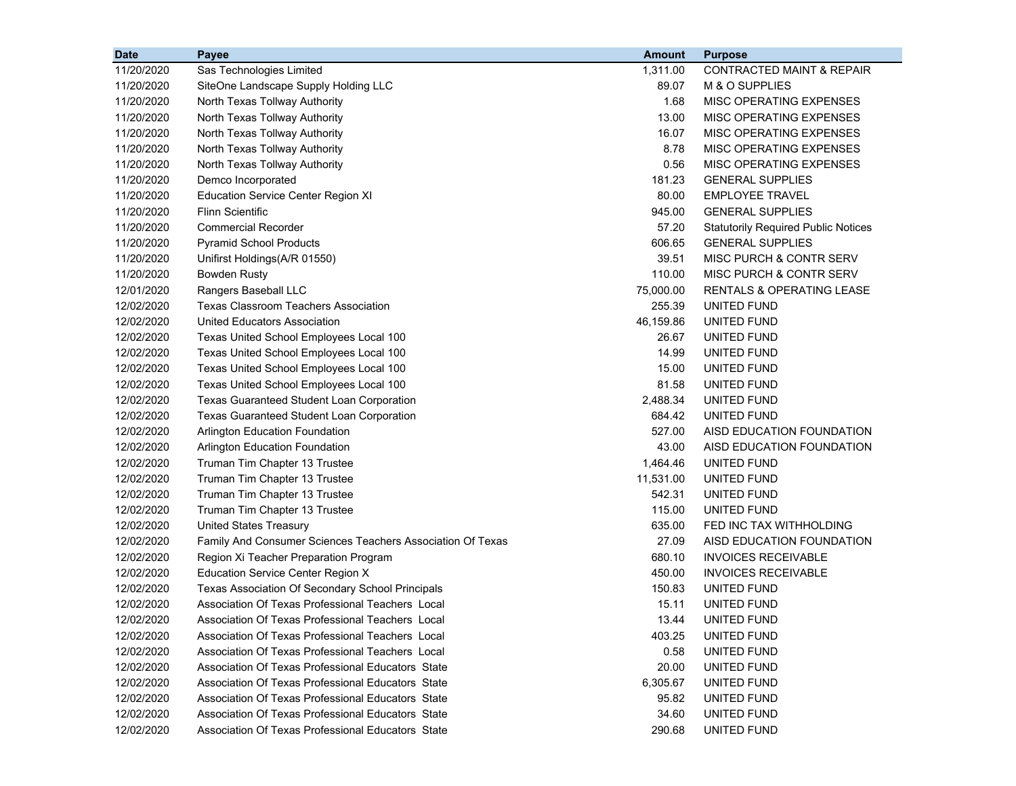| <b>Date</b> | <b>Payee</b>                                               | <b>Amount</b> | <b>Purpose</b>                             |
|-------------|------------------------------------------------------------|---------------|--------------------------------------------|
| 11/20/2020  | Sas Technologies Limited                                   | 1,311.00      | <b>CONTRACTED MAINT &amp; REPAIR</b>       |
| 11/20/2020  | SiteOne Landscape Supply Holding LLC                       | 89.07         | M & O SUPPLIES                             |
| 11/20/2020  | North Texas Tollway Authority                              | 1.68          | MISC OPERATING EXPENSES                    |
| 11/20/2020  | North Texas Tollway Authority                              | 13.00         | MISC OPERATING EXPENSES                    |
| 11/20/2020  | North Texas Tollway Authority                              | 16.07         | MISC OPERATING EXPENSES                    |
| 11/20/2020  | North Texas Tollway Authority                              | 8.78          | MISC OPERATING EXPENSES                    |
| 11/20/2020  | North Texas Tollway Authority                              | 0.56          | MISC OPERATING EXPENSES                    |
| 11/20/2020  | Demco Incorporated                                         | 181.23        | <b>GENERAL SUPPLIES</b>                    |
| 11/20/2020  | <b>Education Service Center Region XI</b>                  | 80.00         | <b>EMPLOYEE TRAVEL</b>                     |
| 11/20/2020  | <b>Flinn Scientific</b>                                    | 945.00        | <b>GENERAL SUPPLIES</b>                    |
| 11/20/2020  | <b>Commercial Recorder</b>                                 | 57.20         | <b>Statutorily Required Public Notices</b> |
| 11/20/2020  | <b>Pyramid School Products</b>                             | 606.65        | <b>GENERAL SUPPLIES</b>                    |
| 11/20/2020  | Unifirst Holdings(A/R 01550)                               | 39.51         | MISC PURCH & CONTR SERV                    |
| 11/20/2020  | <b>Bowden Rusty</b>                                        | 110.00        | MISC PURCH & CONTR SERV                    |
| 12/01/2020  | Rangers Baseball LLC                                       | 75,000.00     | RENTALS & OPERATING LEASE                  |
| 12/02/2020  | <b>Texas Classroom Teachers Association</b>                | 255.39        | UNITED FUND                                |
| 12/02/2020  | United Educators Association                               | 46,159.86     | UNITED FUND                                |
| 12/02/2020  | Texas United School Employees Local 100                    | 26.67         | UNITED FUND                                |
| 12/02/2020  | Texas United School Employees Local 100                    | 14.99         | UNITED FUND                                |
| 12/02/2020  | Texas United School Employees Local 100                    | 15.00         | UNITED FUND                                |
| 12/02/2020  | Texas United School Employees Local 100                    | 81.58         | UNITED FUND                                |
| 12/02/2020  | <b>Texas Guaranteed Student Loan Corporation</b>           | 2,488.34      | UNITED FUND                                |
| 12/02/2020  | <b>Texas Guaranteed Student Loan Corporation</b>           | 684.42        | UNITED FUND                                |
| 12/02/2020  | Arlington Education Foundation                             | 527.00        | AISD EDUCATION FOUNDATION                  |
| 12/02/2020  | <b>Arlington Education Foundation</b>                      | 43.00         | AISD EDUCATION FOUNDATION                  |
| 12/02/2020  | Truman Tim Chapter 13 Trustee                              | 1,464.46      | UNITED FUND                                |
| 12/02/2020  | Truman Tim Chapter 13 Trustee                              | 11,531.00     | UNITED FUND                                |
| 12/02/2020  | Truman Tim Chapter 13 Trustee                              | 542.31        | UNITED FUND                                |
| 12/02/2020  | Truman Tim Chapter 13 Trustee                              | 115.00        | UNITED FUND                                |
| 12/02/2020  | <b>United States Treasury</b>                              | 635.00        | FED INC TAX WITHHOLDING                    |
| 12/02/2020  | Family And Consumer Sciences Teachers Association Of Texas | 27.09         | AISD EDUCATION FOUNDATION                  |
| 12/02/2020  | Region Xi Teacher Preparation Program                      | 680.10        | <b>INVOICES RECEIVABLE</b>                 |
| 12/02/2020  | Education Service Center Region X                          | 450.00        | <b>INVOICES RECEIVABLE</b>                 |
| 12/02/2020  | Texas Association Of Secondary School Principals           | 150.83        | UNITED FUND                                |
| 12/02/2020  | Association Of Texas Professional Teachers Local           | 15.11         | UNITED FUND                                |
| 12/02/2020  | Association Of Texas Professional Teachers Local           | 13.44         | UNITED FUND                                |
| 12/02/2020  | Association Of Texas Professional Teachers Local           | 403.25        | UNITED FUND                                |
| 12/02/2020  | Association Of Texas Professional Teachers Local           | 0.58          | UNITED FUND                                |
| 12/02/2020  | Association Of Texas Professional Educators State          | 20.00         | UNITED FUND                                |
| 12/02/2020  | Association Of Texas Professional Educators State          | 6,305.67      | UNITED FUND                                |
| 12/02/2020  | Association Of Texas Professional Educators State          | 95.82         | UNITED FUND                                |
| 12/02/2020  | Association Of Texas Professional Educators State          | 34.60         | UNITED FUND                                |
| 12/02/2020  | Association Of Texas Professional Educators State          | 290.68        | UNITED FUND                                |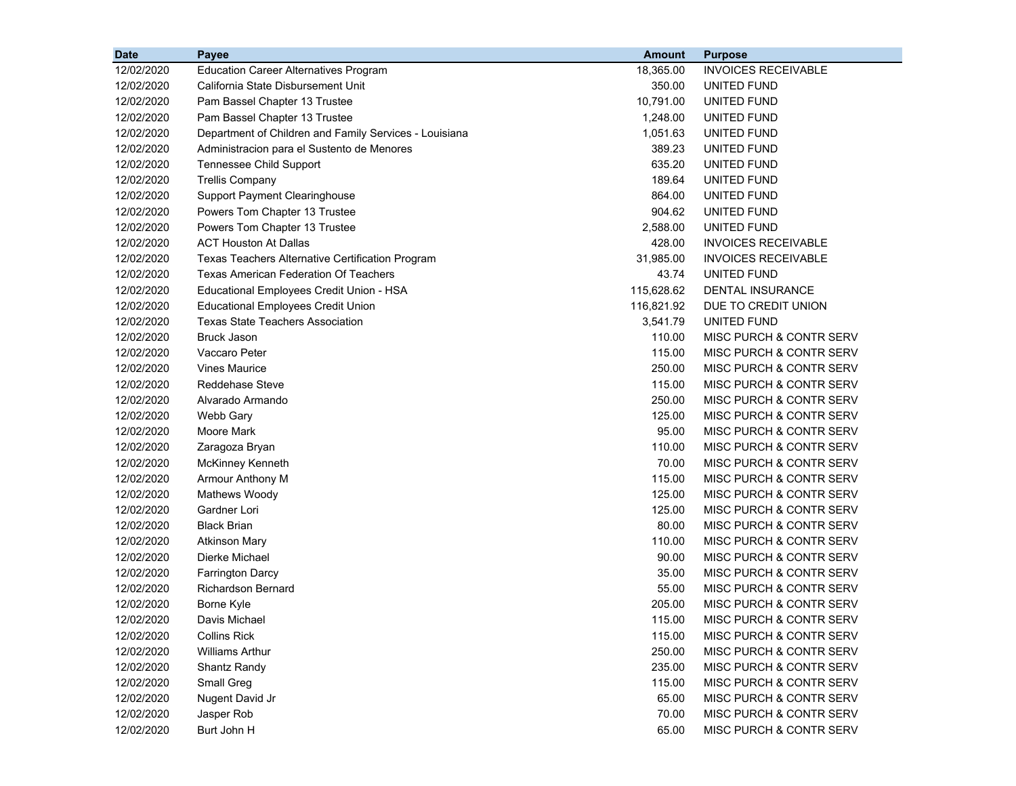| <b>Date</b> | Payee                                                  | <b>Amount</b> | <b>Purpose</b>                     |
|-------------|--------------------------------------------------------|---------------|------------------------------------|
| 12/02/2020  | <b>Education Career Alternatives Program</b>           | 18,365.00     | <b>INVOICES RECEIVABLE</b>         |
| 12/02/2020  | California State Disbursement Unit                     | 350.00        | UNITED FUND                        |
| 12/02/2020  | Pam Bassel Chapter 13 Trustee                          | 10,791.00     | UNITED FUND                        |
| 12/02/2020  | Pam Bassel Chapter 13 Trustee                          | 1,248.00      | UNITED FUND                        |
| 12/02/2020  | Department of Children and Family Services - Louisiana | 1,051.63      | UNITED FUND                        |
| 12/02/2020  | Administracion para el Sustento de Menores             | 389.23        | UNITED FUND                        |
| 12/02/2020  | Tennessee Child Support                                | 635.20        | UNITED FUND                        |
| 12/02/2020  | <b>Trellis Company</b>                                 | 189.64        | UNITED FUND                        |
| 12/02/2020  | <b>Support Payment Clearinghouse</b>                   | 864.00        | UNITED FUND                        |
| 12/02/2020  | Powers Tom Chapter 13 Trustee                          | 904.62        | UNITED FUND                        |
| 12/02/2020  | Powers Tom Chapter 13 Trustee                          | 2,588.00      | <b>UNITED FUND</b>                 |
| 12/02/2020  | <b>ACT Houston At Dallas</b>                           | 428.00        | <b>INVOICES RECEIVABLE</b>         |
| 12/02/2020  | Texas Teachers Alternative Certification Program       | 31,985.00     | <b>INVOICES RECEIVABLE</b>         |
| 12/02/2020  | <b>Texas American Federation Of Teachers</b>           | 43.74         | UNITED FUND                        |
| 12/02/2020  | Educational Employees Credit Union - HSA               | 115,628.62    | <b>DENTAL INSURANCE</b>            |
| 12/02/2020  | <b>Educational Employees Credit Union</b>              | 116,821.92    | DUE TO CREDIT UNION                |
| 12/02/2020  | <b>Texas State Teachers Association</b>                | 3,541.79      | UNITED FUND                        |
| 12/02/2020  | <b>Bruck Jason</b>                                     | 110.00        | MISC PURCH & CONTR SERV            |
| 12/02/2020  | Vaccaro Peter                                          | 115.00        | MISC PURCH & CONTR SERV            |
| 12/02/2020  | <b>Vines Maurice</b>                                   | 250.00        | MISC PURCH & CONTR SERV            |
| 12/02/2020  | <b>Reddehase Steve</b>                                 | 115.00        | MISC PURCH & CONTR SERV            |
| 12/02/2020  | Alvarado Armando                                       | 250.00        | <b>MISC PURCH &amp; CONTR SERV</b> |
| 12/02/2020  | Webb Gary                                              | 125.00        | MISC PURCH & CONTR SERV            |
| 12/02/2020  | Moore Mark                                             | 95.00         | MISC PURCH & CONTR SERV            |
| 12/02/2020  | Zaragoza Bryan                                         | 110.00        | MISC PURCH & CONTR SERV            |
| 12/02/2020  | <b>McKinney Kenneth</b>                                | 70.00         | MISC PURCH & CONTR SERV            |
| 12/02/2020  | Armour Anthony M                                       | 115.00        | MISC PURCH & CONTR SERV            |
| 12/02/2020  | Mathews Woody                                          | 125.00        | MISC PURCH & CONTR SERV            |
| 12/02/2020  | Gardner Lori                                           | 125.00        | MISC PURCH & CONTR SERV            |
| 12/02/2020  | <b>Black Brian</b>                                     | 80.00         | MISC PURCH & CONTR SERV            |
| 12/02/2020  | <b>Atkinson Mary</b>                                   | 110.00        | MISC PURCH & CONTR SERV            |
| 12/02/2020  | Dierke Michael                                         | 90.00         | MISC PURCH & CONTR SERV            |
| 12/02/2020  | Farrington Darcy                                       | 35.00         | MISC PURCH & CONTR SERV            |
| 12/02/2020  | <b>Richardson Bernard</b>                              | 55.00         | MISC PURCH & CONTR SERV            |
| 12/02/2020  | Borne Kyle                                             | 205.00        | MISC PURCH & CONTR SERV            |
| 12/02/2020  | Davis Michael                                          | 115.00        | MISC PURCH & CONTR SERV            |
| 12/02/2020  | <b>Collins Rick</b>                                    | 115.00        | MISC PURCH & CONTR SERV            |
| 12/02/2020  | <b>Williams Arthur</b>                                 | 250.00        | MISC PURCH & CONTR SERV            |
| 12/02/2020  | Shantz Randy                                           | 235.00        | MISC PURCH & CONTR SERV            |
| 12/02/2020  | Small Greg                                             | 115.00        | MISC PURCH & CONTR SERV            |
| 12/02/2020  | Nugent David Jr                                        | 65.00         | MISC PURCH & CONTR SERV            |
| 12/02/2020  | Jasper Rob                                             | 70.00         | MISC PURCH & CONTR SERV            |
| 12/02/2020  | Burt John H                                            | 65.00         | MISC PURCH & CONTR SERV            |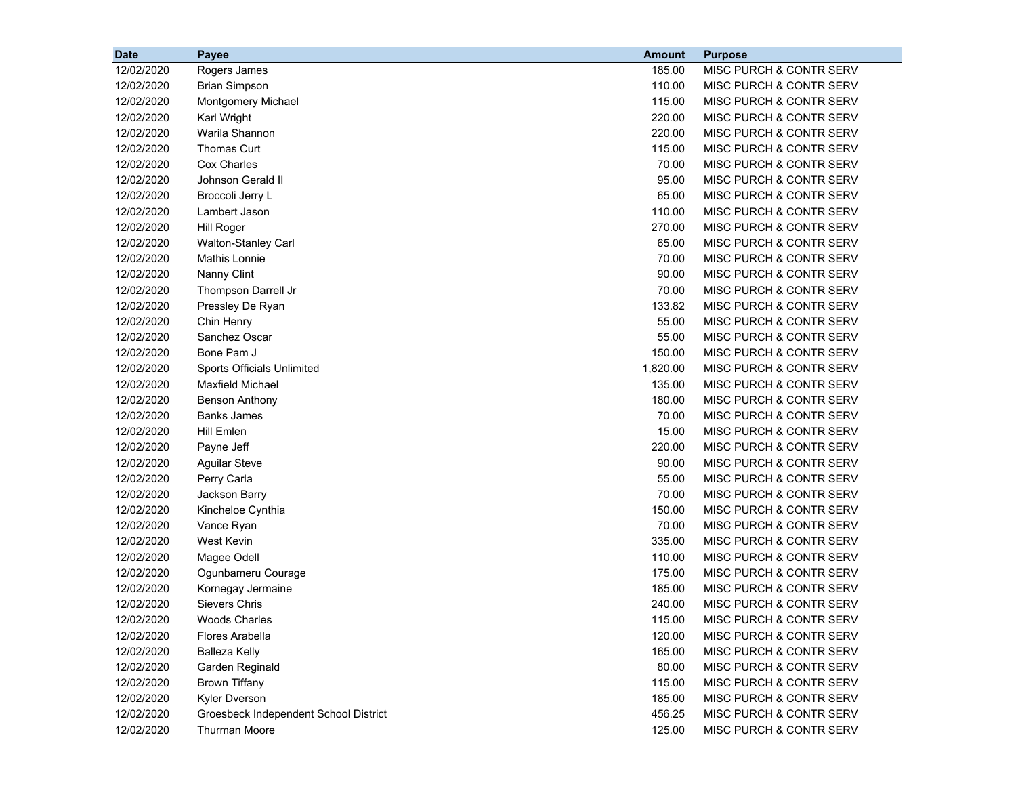| <b>Date</b> | <b>Payee</b>                          | <b>Amount</b> | <b>Purpose</b>                     |
|-------------|---------------------------------------|---------------|------------------------------------|
| 12/02/2020  | Rogers James                          | 185.00        | MISC PURCH & CONTR SERV            |
| 12/02/2020  | <b>Brian Simpson</b>                  | 110.00        | MISC PURCH & CONTR SERV            |
| 12/02/2020  | Montgomery Michael                    | 115.00        | MISC PURCH & CONTR SERV            |
| 12/02/2020  | Karl Wright                           | 220.00        | MISC PURCH & CONTR SERV            |
| 12/02/2020  | Warila Shannon                        | 220.00        | MISC PURCH & CONTR SERV            |
| 12/02/2020  | <b>Thomas Curt</b>                    | 115.00        | MISC PURCH & CONTR SERV            |
| 12/02/2020  | <b>Cox Charles</b>                    | 70.00         | MISC PURCH & CONTR SERV            |
| 12/02/2020  | Johnson Gerald II                     | 95.00         | MISC PURCH & CONTR SERV            |
| 12/02/2020  | Broccoli Jerry L                      | 65.00         | MISC PURCH & CONTR SERV            |
| 12/02/2020  | Lambert Jason                         | 110.00        | MISC PURCH & CONTR SERV            |
| 12/02/2020  | <b>Hill Roger</b>                     | 270.00        | MISC PURCH & CONTR SERV            |
| 12/02/2020  | Walton-Stanley Carl                   | 65.00         | MISC PURCH & CONTR SERV            |
| 12/02/2020  | Mathis Lonnie                         | 70.00         | MISC PURCH & CONTR SERV            |
| 12/02/2020  | Nanny Clint                           | 90.00         | MISC PURCH & CONTR SERV            |
| 12/02/2020  | Thompson Darrell Jr                   | 70.00         | MISC PURCH & CONTR SERV            |
| 12/02/2020  | Pressley De Ryan                      | 133.82        | MISC PURCH & CONTR SERV            |
| 12/02/2020  | Chin Henry                            | 55.00         | MISC PURCH & CONTR SERV            |
| 12/02/2020  | Sanchez Oscar                         | 55.00         | <b>MISC PURCH &amp; CONTR SERV</b> |
| 12/02/2020  | Bone Pam J                            | 150.00        | MISC PURCH & CONTR SERV            |
| 12/02/2020  | Sports Officials Unlimited            | 1,820.00      | MISC PURCH & CONTR SERV            |
| 12/02/2020  | <b>Maxfield Michael</b>               | 135.00        | MISC PURCH & CONTR SERV            |
| 12/02/2020  | <b>Benson Anthony</b>                 | 180.00        | MISC PURCH & CONTR SERV            |
| 12/02/2020  | <b>Banks James</b>                    | 70.00         | MISC PURCH & CONTR SERV            |
| 12/02/2020  | <b>Hill Emlen</b>                     | 15.00         | MISC PURCH & CONTR SERV            |
| 12/02/2020  | Payne Jeff                            | 220.00        | MISC PURCH & CONTR SERV            |
| 12/02/2020  | <b>Aguilar Steve</b>                  | 90.00         | MISC PURCH & CONTR SERV            |
| 12/02/2020  | Perry Carla                           | 55.00         | MISC PURCH & CONTR SERV            |
| 12/02/2020  | Jackson Barry                         | 70.00         | MISC PURCH & CONTR SERV            |
| 12/02/2020  | Kincheloe Cynthia                     | 150.00        | MISC PURCH & CONTR SERV            |
| 12/02/2020  | Vance Ryan                            | 70.00         | MISC PURCH & CONTR SERV            |
| 12/02/2020  | <b>West Kevin</b>                     | 335.00        | MISC PURCH & CONTR SERV            |
| 12/02/2020  | Magee Odell                           | 110.00        | MISC PURCH & CONTR SERV            |
| 12/02/2020  | Ogunbameru Courage                    | 175.00        | MISC PURCH & CONTR SERV            |
| 12/02/2020  | Kornegay Jermaine                     | 185.00        | MISC PURCH & CONTR SERV            |
| 12/02/2020  | Sievers Chris                         | 240.00        | MISC PURCH & CONTR SERV            |
| 12/02/2020  | <b>Woods Charles</b>                  | 115.00        | MISC PURCH & CONTR SERV            |
| 12/02/2020  | <b>Flores Arabella</b>                | 120.00        | MISC PURCH & CONTR SERV            |
| 12/02/2020  | <b>Balleza Kelly</b>                  | 165.00        | MISC PURCH & CONTR SERV            |
| 12/02/2020  | Garden Reginald                       | 80.00         | MISC PURCH & CONTR SERV            |
| 12/02/2020  | <b>Brown Tiffany</b>                  | 115.00        | MISC PURCH & CONTR SERV            |
| 12/02/2020  | Kyler Dverson                         | 185.00        | MISC PURCH & CONTR SERV            |
| 12/02/2020  | Groesbeck Independent School District | 456.25        | MISC PURCH & CONTR SERV            |
| 12/02/2020  | <b>Thurman Moore</b>                  | 125.00        | MISC PURCH & CONTR SERV            |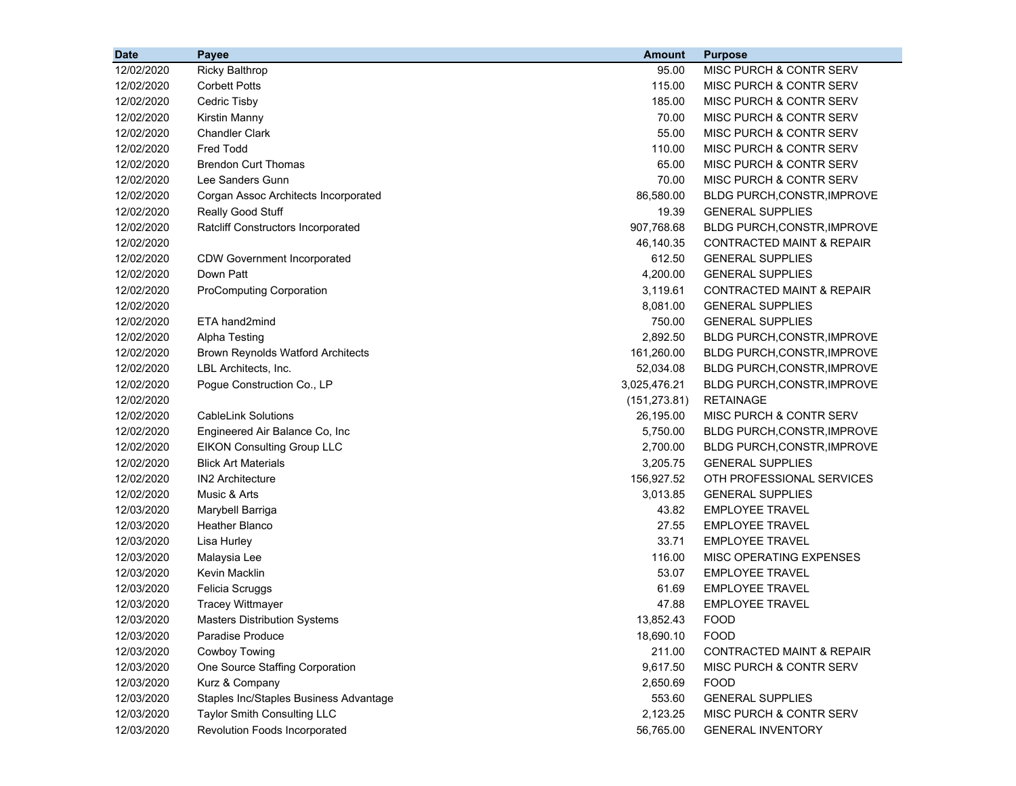| <b>Date</b> | Payee                                    | <b>Amount</b> | <b>Purpose</b>                     |
|-------------|------------------------------------------|---------------|------------------------------------|
| 12/02/2020  | <b>Ricky Balthrop</b>                    | 95.00         | MISC PURCH & CONTR SERV            |
| 12/02/2020  | <b>Corbett Potts</b>                     | 115.00        | MISC PURCH & CONTR SERV            |
| 12/02/2020  | Cedric Tisby                             | 185.00        | MISC PURCH & CONTR SERV            |
| 12/02/2020  | Kirstin Manny                            | 70.00         | MISC PURCH & CONTR SERV            |
| 12/02/2020  | <b>Chandler Clark</b>                    | 55.00         | MISC PURCH & CONTR SERV            |
| 12/02/2020  | <b>Fred Todd</b>                         | 110.00        | MISC PURCH & CONTR SERV            |
| 12/02/2020  | <b>Brendon Curt Thomas</b>               | 65.00         | MISC PURCH & CONTR SERV            |
| 12/02/2020  | Lee Sanders Gunn                         | 70.00         | <b>MISC PURCH &amp; CONTR SERV</b> |
| 12/02/2020  | Corgan Assoc Architects Incorporated     | 86,580.00     | BLDG PURCH, CONSTR, IMPROVE        |
| 12/02/2020  | Really Good Stuff                        | 19.39         | <b>GENERAL SUPPLIES</b>            |
| 12/02/2020  | Ratcliff Constructors Incorporated       | 907,768.68    | BLDG PURCH, CONSTR, IMPROVE        |
| 12/02/2020  |                                          | 46,140.35     | CONTRACTED MAINT & REPAIR          |
| 12/02/2020  | <b>CDW Government Incorporated</b>       | 612.50        | <b>GENERAL SUPPLIES</b>            |
| 12/02/2020  | Down Patt                                | 4,200.00      | <b>GENERAL SUPPLIES</b>            |
| 12/02/2020  | <b>ProComputing Corporation</b>          | 3,119.61      | CONTRACTED MAINT & REPAIR          |
| 12/02/2020  |                                          | 8,081.00      | <b>GENERAL SUPPLIES</b>            |
| 12/02/2020  | ETA hand2mind                            | 750.00        | <b>GENERAL SUPPLIES</b>            |
| 12/02/2020  | <b>Alpha Testing</b>                     | 2,892.50      | <b>BLDG PURCH, CONSTR, IMPROVE</b> |
| 12/02/2020  | <b>Brown Reynolds Watford Architects</b> | 161,260.00    | <b>BLDG PURCH, CONSTR, IMPROVE</b> |
| 12/02/2020  | LBL Architects, Inc.                     | 52,034.08     | <b>BLDG PURCH, CONSTR, IMPROVE</b> |
| 12/02/2020  | Pogue Construction Co., LP               | 3,025,476.21  | <b>BLDG PURCH, CONSTR, IMPROVE</b> |
| 12/02/2020  |                                          | (151, 273.81) | <b>RETAINAGE</b>                   |
| 12/02/2020  | <b>CableLink Solutions</b>               | 26,195.00     | MISC PURCH & CONTR SERV            |
| 12/02/2020  | Engineered Air Balance Co, Inc           | 5,750.00      | <b>BLDG PURCH, CONSTR, IMPROVE</b> |
| 12/02/2020  | <b>EIKON Consulting Group LLC</b>        | 2,700.00      | <b>BLDG PURCH, CONSTR, IMPROVE</b> |
| 12/02/2020  | <b>Blick Art Materials</b>               | 3,205.75      | <b>GENERAL SUPPLIES</b>            |
| 12/02/2020  | <b>IN2 Architecture</b>                  | 156,927.52    | OTH PROFESSIONAL SERVICES          |
| 12/02/2020  | Music & Arts                             | 3,013.85      | <b>GENERAL SUPPLIES</b>            |
| 12/03/2020  | Marybell Barriga                         | 43.82         | <b>EMPLOYEE TRAVEL</b>             |
| 12/03/2020  | <b>Heather Blanco</b>                    | 27.55         | <b>EMPLOYEE TRAVEL</b>             |
| 12/03/2020  | Lisa Hurley                              | 33.71         | <b>EMPLOYEE TRAVEL</b>             |
| 12/03/2020  | Malaysia Lee                             | 116.00        | MISC OPERATING EXPENSES            |
| 12/03/2020  | Kevin Macklin                            | 53.07         | <b>EMPLOYEE TRAVEL</b>             |
| 12/03/2020  | Felicia Scruggs                          | 61.69         | <b>EMPLOYEE TRAVEL</b>             |
| 12/03/2020  | <b>Tracey Wittmayer</b>                  | 47.88         | <b>EMPLOYEE TRAVEL</b>             |
| 12/03/2020  | <b>Masters Distribution Systems</b>      | 13,852.43     | <b>FOOD</b>                        |
| 12/03/2020  | Paradise Produce                         | 18,690.10     | <b>FOOD</b>                        |
| 12/03/2020  | Cowboy Towing                            | 211.00        | CONTRACTED MAINT & REPAIR          |
| 12/03/2020  | One Source Staffing Corporation          | 9,617.50      | MISC PURCH & CONTR SERV            |
| 12/03/2020  | Kurz & Company                           | 2,650.69      | <b>FOOD</b>                        |
| 12/03/2020  | Staples Inc/Staples Business Advantage   | 553.60        | <b>GENERAL SUPPLIES</b>            |
| 12/03/2020  | Taylor Smith Consulting LLC              | 2,123.25      | MISC PURCH & CONTR SERV            |
| 12/03/2020  | Revolution Foods Incorporated            | 56,765.00     | <b>GENERAL INVENTORY</b>           |
|             |                                          |               |                                    |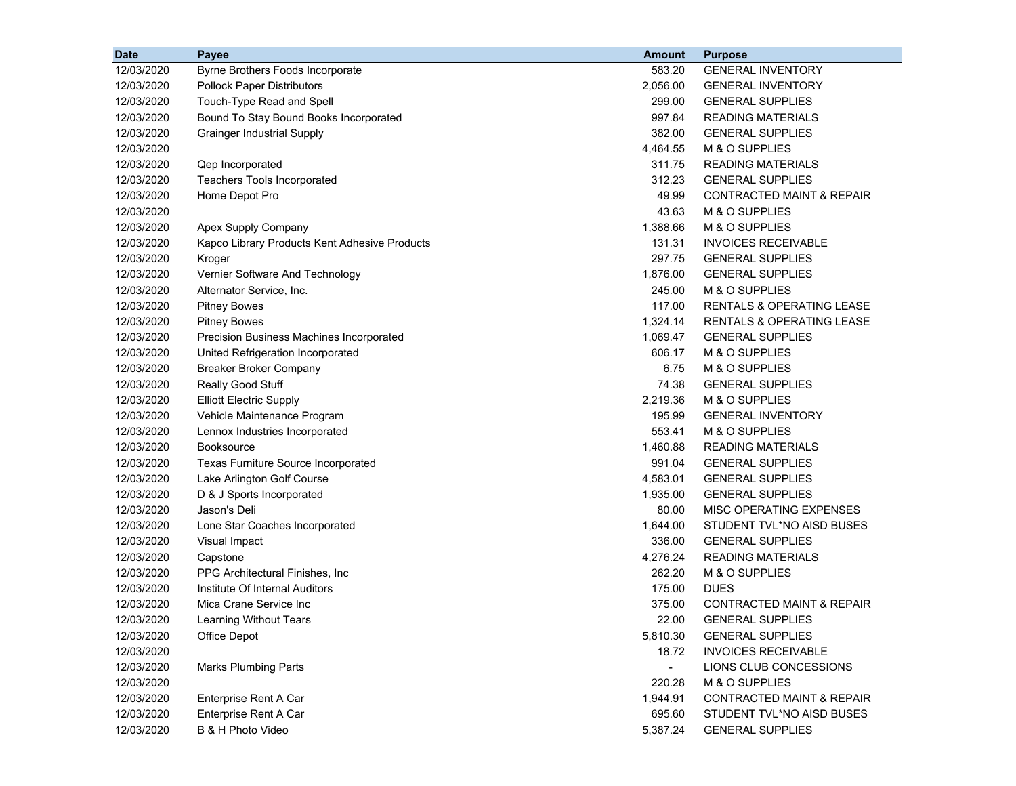| <b>Date</b> | Payee                                         | Amount   | <b>Purpose</b>                       |
|-------------|-----------------------------------------------|----------|--------------------------------------|
| 12/03/2020  | Byrne Brothers Foods Incorporate              | 583.20   | <b>GENERAL INVENTORY</b>             |
| 12/03/2020  | <b>Pollock Paper Distributors</b>             | 2,056.00 | <b>GENERAL INVENTORY</b>             |
| 12/03/2020  | Touch-Type Read and Spell                     | 299.00   | <b>GENERAL SUPPLIES</b>              |
| 12/03/2020  | Bound To Stay Bound Books Incorporated        | 997.84   | <b>READING MATERIALS</b>             |
| 12/03/2020  | <b>Grainger Industrial Supply</b>             | 382.00   | <b>GENERAL SUPPLIES</b>              |
| 12/03/2020  |                                               | 4,464.55 | M & O SUPPLIES                       |
| 12/03/2020  | Qep Incorporated                              | 311.75   | <b>READING MATERIALS</b>             |
| 12/03/2020  | Teachers Tools Incorporated                   | 312.23   | <b>GENERAL SUPPLIES</b>              |
| 12/03/2020  | Home Depot Pro                                | 49.99    | <b>CONTRACTED MAINT &amp; REPAIR</b> |
| 12/03/2020  |                                               | 43.63    | M & O SUPPLIES                       |
| 12/03/2020  | Apex Supply Company                           | 1,388.66 | M & O SUPPLIES                       |
| 12/03/2020  | Kapco Library Products Kent Adhesive Products | 131.31   | <b>INVOICES RECEIVABLE</b>           |
| 12/03/2020  | Kroger                                        | 297.75   | <b>GENERAL SUPPLIES</b>              |
| 12/03/2020  | Vernier Software And Technology               | 1,876.00 | <b>GENERAL SUPPLIES</b>              |
| 12/03/2020  | Alternator Service, Inc.                      | 245.00   | M & O SUPPLIES                       |
| 12/03/2020  | <b>Pitney Bowes</b>                           | 117.00   | RENTALS & OPERATING LEASE            |
| 12/03/2020  | <b>Pitney Bowes</b>                           | 1,324.14 | <b>RENTALS &amp; OPERATING LEASE</b> |
| 12/03/2020  | Precision Business Machines Incorporated      | 1,069.47 | <b>GENERAL SUPPLIES</b>              |
| 12/03/2020  | United Refrigeration Incorporated             | 606.17   | M & O SUPPLIES                       |
| 12/03/2020  | <b>Breaker Broker Company</b>                 | 6.75     | M & O SUPPLIES                       |
| 12/03/2020  | Really Good Stuff                             | 74.38    | <b>GENERAL SUPPLIES</b>              |
| 12/03/2020  | <b>Elliott Electric Supply</b>                | 2,219.36 | M & O SUPPLIES                       |
| 12/03/2020  | Vehicle Maintenance Program                   | 195.99   | <b>GENERAL INVENTORY</b>             |
| 12/03/2020  | Lennox Industries Incorporated                | 553.41   | M & O SUPPLIES                       |
| 12/03/2020  | <b>Booksource</b>                             | 1,460.88 | <b>READING MATERIALS</b>             |
| 12/03/2020  | Texas Furniture Source Incorporated           | 991.04   | <b>GENERAL SUPPLIES</b>              |
| 12/03/2020  | Lake Arlington Golf Course                    | 4,583.01 | <b>GENERAL SUPPLIES</b>              |
| 12/03/2020  | D & J Sports Incorporated                     | 1,935.00 | <b>GENERAL SUPPLIES</b>              |
| 12/03/2020  | Jason's Deli                                  | 80.00    | MISC OPERATING EXPENSES              |
| 12/03/2020  | Lone Star Coaches Incorporated                | 1,644.00 | STUDENT TVL*NO AISD BUSES            |
| 12/03/2020  | Visual Impact                                 | 336.00   | <b>GENERAL SUPPLIES</b>              |
| 12/03/2020  | Capstone                                      | 4,276.24 | <b>READING MATERIALS</b>             |
| 12/03/2020  | PPG Architectural Finishes, Inc.              | 262.20   | M & O SUPPLIES                       |
| 12/03/2020  | Institute Of Internal Auditors                | 175.00   | <b>DUES</b>                          |
| 12/03/2020  | Mica Crane Service Inc                        | 375.00   | <b>CONTRACTED MAINT &amp; REPAIR</b> |
| 12/03/2020  | Learning Without Tears                        | 22.00    | <b>GENERAL SUPPLIES</b>              |
| 12/03/2020  | <b>Office Depot</b>                           | 5,810.30 | <b>GENERAL SUPPLIES</b>              |
| 12/03/2020  |                                               | 18.72    | <b>INVOICES RECEIVABLE</b>           |
| 12/03/2020  | <b>Marks Plumbing Parts</b>                   | $\sim$   | LIONS CLUB CONCESSIONS               |
| 12/03/2020  |                                               | 220.28   | M & O SUPPLIES                       |
| 12/03/2020  | Enterprise Rent A Car                         | 1,944.91 | CONTRACTED MAINT & REPAIR            |
| 12/03/2020  | Enterprise Rent A Car                         | 695.60   | STUDENT TVL*NO AISD BUSES            |
| 12/03/2020  | B & H Photo Video                             | 5,387.24 | <b>GENERAL SUPPLIES</b>              |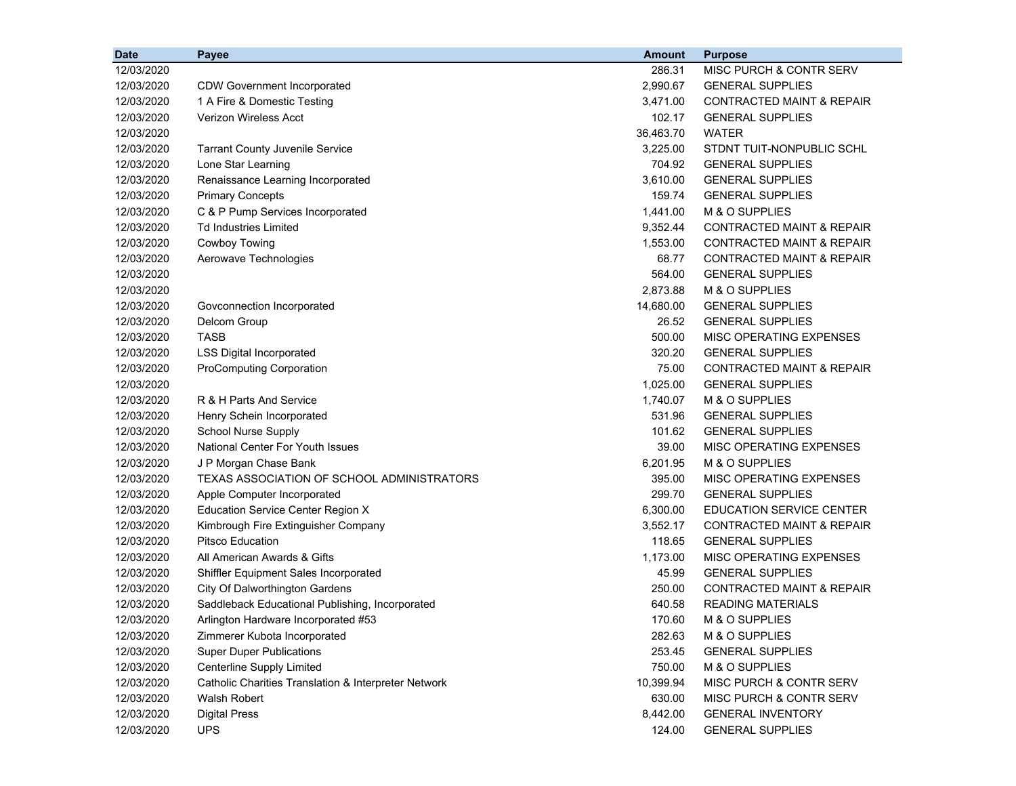| <b>Date</b> | Payee                                                | <b>Amount</b> | <b>Purpose</b>                       |
|-------------|------------------------------------------------------|---------------|--------------------------------------|
| 12/03/2020  |                                                      | 286.31        | MISC PURCH & CONTR SERV              |
| 12/03/2020  | <b>CDW Government Incorporated</b>                   | 2.990.67      | <b>GENERAL SUPPLIES</b>              |
| 12/03/2020  | 1 A Fire & Domestic Testing                          | 3,471.00      | <b>CONTRACTED MAINT &amp; REPAIR</b> |
| 12/03/2020  | <b>Verizon Wireless Acct</b>                         | 102.17        | <b>GENERAL SUPPLIES</b>              |
| 12/03/2020  |                                                      | 36,463.70     | <b>WATER</b>                         |
| 12/03/2020  | <b>Tarrant County Juvenile Service</b>               | 3,225.00      | STDNT TUIT-NONPUBLIC SCHL            |
| 12/03/2020  | Lone Star Learning                                   | 704.92        | <b>GENERAL SUPPLIES</b>              |
| 12/03/2020  | Renaissance Learning Incorporated                    | 3,610.00      | <b>GENERAL SUPPLIES</b>              |
| 12/03/2020  | <b>Primary Concepts</b>                              | 159.74        | <b>GENERAL SUPPLIES</b>              |
| 12/03/2020  | C & P Pump Services Incorporated                     | 1,441.00      | M & O SUPPLIES                       |
| 12/03/2020  | <b>Td Industries Limited</b>                         | 9,352.44      | <b>CONTRACTED MAINT &amp; REPAIR</b> |
| 12/03/2020  | Cowboy Towing                                        | 1,553.00      | <b>CONTRACTED MAINT &amp; REPAIR</b> |
| 12/03/2020  | Aerowave Technologies                                | 68.77         | <b>CONTRACTED MAINT &amp; REPAIR</b> |
| 12/03/2020  |                                                      | 564.00        | <b>GENERAL SUPPLIES</b>              |
| 12/03/2020  |                                                      | 2,873.88      | M & O SUPPLIES                       |
| 12/03/2020  | Govconnection Incorporated                           | 14,680.00     | <b>GENERAL SUPPLIES</b>              |
| 12/03/2020  | Delcom Group                                         | 26.52         | <b>GENERAL SUPPLIES</b>              |
| 12/03/2020  | <b>TASB</b>                                          | 500.00        | MISC OPERATING EXPENSES              |
| 12/03/2020  | <b>LSS Digital Incorporated</b>                      | 320.20        | <b>GENERAL SUPPLIES</b>              |
| 12/03/2020  | <b>ProComputing Corporation</b>                      | 75.00         | <b>CONTRACTED MAINT &amp; REPAIR</b> |
| 12/03/2020  |                                                      | 1,025.00      | <b>GENERAL SUPPLIES</b>              |
| 12/03/2020  | R & H Parts And Service                              | 1,740.07      | M & O SUPPLIES                       |
| 12/03/2020  | Henry Schein Incorporated                            | 531.96        | <b>GENERAL SUPPLIES</b>              |
| 12/03/2020  | <b>School Nurse Supply</b>                           | 101.62        | <b>GENERAL SUPPLIES</b>              |
| 12/03/2020  | <b>National Center For Youth Issues</b>              | 39.00         | MISC OPERATING EXPENSES              |
| 12/03/2020  | J P Morgan Chase Bank                                | 6,201.95      | M & O SUPPLIES                       |
| 12/03/2020  | TEXAS ASSOCIATION OF SCHOOL ADMINISTRATORS           | 395.00        | MISC OPERATING EXPENSES              |
| 12/03/2020  | Apple Computer Incorporated                          | 299.70        | <b>GENERAL SUPPLIES</b>              |
| 12/03/2020  | <b>Education Service Center Region X</b>             | 6,300.00      | <b>EDUCATION SERVICE CENTER</b>      |
| 12/03/2020  | Kimbrough Fire Extinguisher Company                  | 3,552.17      | <b>CONTRACTED MAINT &amp; REPAIR</b> |
| 12/03/2020  | <b>Pitsco Education</b>                              | 118.65        | <b>GENERAL SUPPLIES</b>              |
| 12/03/2020  | All American Awards & Gifts                          | 1,173.00      | MISC OPERATING EXPENSES              |
| 12/03/2020  | Shiffler Equipment Sales Incorporated                | 45.99         | <b>GENERAL SUPPLIES</b>              |
| 12/03/2020  | City Of Dalworthington Gardens                       | 250.00        | <b>CONTRACTED MAINT &amp; REPAIR</b> |
| 12/03/2020  | Saddleback Educational Publishing, Incorporated      | 640.58        | <b>READING MATERIALS</b>             |
| 12/03/2020  | Arlington Hardware Incorporated #53                  | 170.60        | M & O SUPPLIES                       |
| 12/03/2020  | Zimmerer Kubota Incorporated                         | 282.63        | M & O SUPPLIES                       |
| 12/03/2020  | <b>Super Duper Publications</b>                      | 253.45        | <b>GENERAL SUPPLIES</b>              |
| 12/03/2020  | <b>Centerline Supply Limited</b>                     | 750.00        | M & O SUPPLIES                       |
| 12/03/2020  | Catholic Charities Translation & Interpreter Network | 10,399.94     | MISC PURCH & CONTR SERV              |
| 12/03/2020  | Walsh Robert                                         | 630.00        | MISC PURCH & CONTR SERV              |
| 12/03/2020  | <b>Digital Press</b>                                 | 8,442.00      | <b>GENERAL INVENTORY</b>             |
| 12/03/2020  | <b>UPS</b>                                           | 124.00        | <b>GENERAL SUPPLIES</b>              |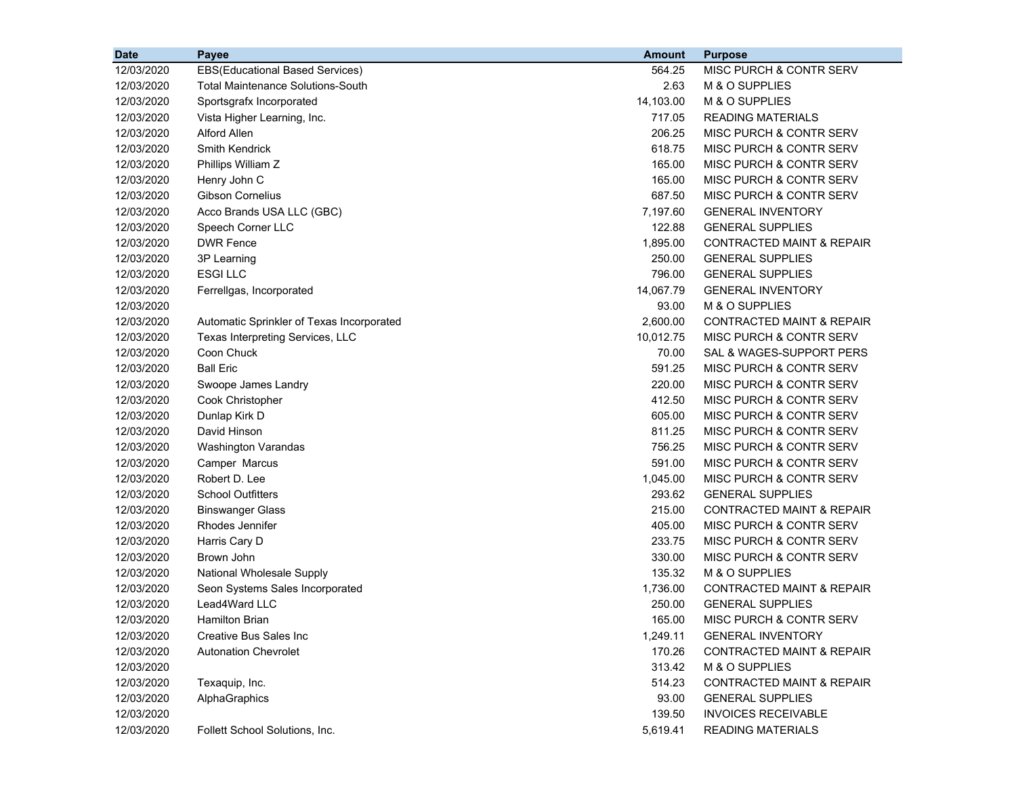| <b>Date</b> | Payee                                     | <b>Amount</b> | <b>Purpose</b>                       |
|-------------|-------------------------------------------|---------------|--------------------------------------|
| 12/03/2020  | EBS(Educational Based Services)           | 564.25        | MISC PURCH & CONTR SERV              |
| 12/03/2020  | <b>Total Maintenance Solutions-South</b>  | 2.63          | M & O SUPPLIES                       |
| 12/03/2020  | Sportsgrafx Incorporated                  | 14,103.00     | M & O SUPPLIES                       |
| 12/03/2020  | Vista Higher Learning, Inc.               | 717.05        | <b>READING MATERIALS</b>             |
| 12/03/2020  | Alford Allen                              | 206.25        | MISC PURCH & CONTR SERV              |
| 12/03/2020  | Smith Kendrick                            | 618.75        | MISC PURCH & CONTR SERV              |
| 12/03/2020  | Phillips William Z                        | 165.00        | MISC PURCH & CONTR SERV              |
| 12/03/2020  | Henry John C                              | 165.00        | MISC PURCH & CONTR SERV              |
| 12/03/2020  | <b>Gibson Cornelius</b>                   | 687.50        | MISC PURCH & CONTR SERV              |
| 12/03/2020  | Acco Brands USA LLC (GBC)                 | 7,197.60      | <b>GENERAL INVENTORY</b>             |
| 12/03/2020  | Speech Corner LLC                         | 122.88        | <b>GENERAL SUPPLIES</b>              |
| 12/03/2020  | <b>DWR Fence</b>                          | 1,895.00      | <b>CONTRACTED MAINT &amp; REPAIR</b> |
| 12/03/2020  | 3P Learning                               | 250.00        | <b>GENERAL SUPPLIES</b>              |
| 12/03/2020  | <b>ESGILLC</b>                            | 796.00        | <b>GENERAL SUPPLIES</b>              |
| 12/03/2020  | Ferrellgas, Incorporated                  | 14,067.79     | <b>GENERAL INVENTORY</b>             |
| 12/03/2020  |                                           | 93.00         | M & O SUPPLIES                       |
| 12/03/2020  | Automatic Sprinkler of Texas Incorporated | 2,600.00      | <b>CONTRACTED MAINT &amp; REPAIR</b> |
| 12/03/2020  | Texas Interpreting Services, LLC          | 10,012.75     | MISC PURCH & CONTR SERV              |
| 12/03/2020  | Coon Chuck                                | 70.00         | SAL & WAGES-SUPPORT PERS             |
| 12/03/2020  | <b>Ball Eric</b>                          | 591.25        | MISC PURCH & CONTR SERV              |
| 12/03/2020  | Swoope James Landry                       | 220.00        | MISC PURCH & CONTR SERV              |
| 12/03/2020  | Cook Christopher                          | 412.50        | MISC PURCH & CONTR SERV              |
| 12/03/2020  | Dunlap Kirk D                             | 605.00        | MISC PURCH & CONTR SERV              |
| 12/03/2020  | David Hinson                              | 811.25        | MISC PURCH & CONTR SERV              |
| 12/03/2020  | Washington Varandas                       | 756.25        | MISC PURCH & CONTR SERV              |
| 12/03/2020  | Camper Marcus                             | 591.00        | MISC PURCH & CONTR SERV              |
| 12/03/2020  | Robert D. Lee                             | 1,045.00      | MISC PURCH & CONTR SERV              |
| 12/03/2020  | <b>School Outfitters</b>                  | 293.62        | <b>GENERAL SUPPLIES</b>              |
| 12/03/2020  | <b>Binswanger Glass</b>                   | 215.00        | <b>CONTRACTED MAINT &amp; REPAIR</b> |
| 12/03/2020  | Rhodes Jennifer                           | 405.00        | MISC PURCH & CONTR SERV              |
| 12/03/2020  | Harris Cary D                             | 233.75        | MISC PURCH & CONTR SERV              |
| 12/03/2020  | Brown John                                | 330.00        | MISC PURCH & CONTR SERV              |
| 12/03/2020  | National Wholesale Supply                 | 135.32        | M & O SUPPLIES                       |
| 12/03/2020  | Seon Systems Sales Incorporated           | 1,736.00      | <b>CONTRACTED MAINT &amp; REPAIR</b> |
| 12/03/2020  | Lead4Ward LLC                             | 250.00        | <b>GENERAL SUPPLIES</b>              |
| 12/03/2020  | Hamilton Brian                            | 165.00        | MISC PURCH & CONTR SERV              |
| 12/03/2020  | <b>Creative Bus Sales Inc</b>             | 1,249.11      | <b>GENERAL INVENTORY</b>             |
| 12/03/2020  | <b>Autonation Chevrolet</b>               | 170.26        | <b>CONTRACTED MAINT &amp; REPAIR</b> |
| 12/03/2020  |                                           | 313.42        | M & O SUPPLIES                       |
| 12/03/2020  | Texaquip, Inc.                            | 514.23        | <b>CONTRACTED MAINT &amp; REPAIR</b> |
| 12/03/2020  | AlphaGraphics                             | 93.00         | <b>GENERAL SUPPLIES</b>              |
| 12/03/2020  |                                           | 139.50        | <b>INVOICES RECEIVABLE</b>           |
| 12/03/2020  | Follett School Solutions, Inc.            | 5,619.41      | <b>READING MATERIALS</b>             |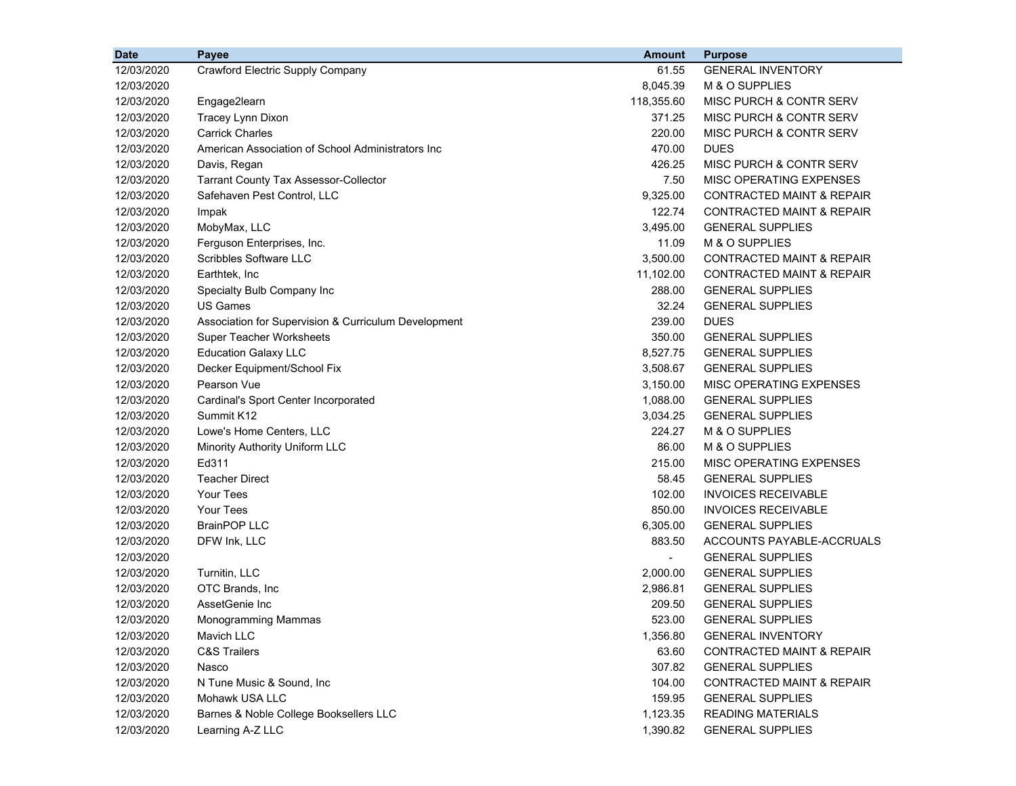| <b>Date</b> | Payee                                                | <b>Amount</b>            | <b>Purpose</b>                       |
|-------------|------------------------------------------------------|--------------------------|--------------------------------------|
| 12/03/2020  | Crawford Electric Supply Company                     | 61.55                    | <b>GENERAL INVENTORY</b>             |
| 12/03/2020  |                                                      | 8,045.39                 | M & O SUPPLIES                       |
| 12/03/2020  | Engage2learn                                         | 118,355.60               | MISC PURCH & CONTR SERV              |
| 12/03/2020  | Tracey Lynn Dixon                                    | 371.25                   | MISC PURCH & CONTR SERV              |
| 12/03/2020  | <b>Carrick Charles</b>                               | 220.00                   | MISC PURCH & CONTR SERV              |
| 12/03/2020  | American Association of School Administrators Inc    | 470.00                   | <b>DUES</b>                          |
| 12/03/2020  | Davis, Regan                                         | 426.25                   | MISC PURCH & CONTR SERV              |
| 12/03/2020  | <b>Tarrant County Tax Assessor-Collector</b>         | 7.50                     | MISC OPERATING EXPENSES              |
| 12/03/2020  | Safehaven Pest Control, LLC                          | 9,325.00                 | <b>CONTRACTED MAINT &amp; REPAIR</b> |
| 12/03/2020  | Impak                                                | 122.74                   | <b>CONTRACTED MAINT &amp; REPAIR</b> |
| 12/03/2020  | MobyMax, LLC                                         | 3,495.00                 | <b>GENERAL SUPPLIES</b>              |
| 12/03/2020  | Ferguson Enterprises, Inc.                           | 11.09                    | M & O SUPPLIES                       |
| 12/03/2020  | Scribbles Software LLC                               | 3,500.00                 | CONTRACTED MAINT & REPAIR            |
| 12/03/2020  | Earthtek, Inc                                        | 11,102.00                | <b>CONTRACTED MAINT &amp; REPAIR</b> |
| 12/03/2020  | Specialty Bulb Company Inc                           | 288.00                   | <b>GENERAL SUPPLIES</b>              |
| 12/03/2020  | <b>US Games</b>                                      | 32.24                    | <b>GENERAL SUPPLIES</b>              |
| 12/03/2020  | Association for Supervision & Curriculum Development | 239.00                   | <b>DUES</b>                          |
| 12/03/2020  | <b>Super Teacher Worksheets</b>                      | 350.00                   | <b>GENERAL SUPPLIES</b>              |
| 12/03/2020  | <b>Education Galaxy LLC</b>                          | 8,527.75                 | <b>GENERAL SUPPLIES</b>              |
| 12/03/2020  | Decker Equipment/School Fix                          | 3,508.67                 | <b>GENERAL SUPPLIES</b>              |
| 12/03/2020  | Pearson Vue                                          | 3,150.00                 | <b>MISC OPERATING EXPENSES</b>       |
| 12/03/2020  | Cardinal's Sport Center Incorporated                 | 1,088.00                 | <b>GENERAL SUPPLIES</b>              |
| 12/03/2020  | Summit K12                                           | 3,034.25                 | <b>GENERAL SUPPLIES</b>              |
| 12/03/2020  | Lowe's Home Centers, LLC                             | 224.27                   | M & O SUPPLIES                       |
| 12/03/2020  | Minority Authority Uniform LLC                       | 86.00                    | M & O SUPPLIES                       |
| 12/03/2020  | Ed311                                                | 215.00                   | MISC OPERATING EXPENSES              |
| 12/03/2020  | <b>Teacher Direct</b>                                | 58.45                    | <b>GENERAL SUPPLIES</b>              |
| 12/03/2020  | <b>Your Tees</b>                                     | 102.00                   | <b>INVOICES RECEIVABLE</b>           |
| 12/03/2020  | <b>Your Tees</b>                                     | 850.00                   | <b>INVOICES RECEIVABLE</b>           |
| 12/03/2020  | <b>BrainPOP LLC</b>                                  | 6,305.00                 | <b>GENERAL SUPPLIES</b>              |
| 12/03/2020  | DFW Ink, LLC                                         | 883.50                   | ACCOUNTS PAYABLE-ACCRUALS            |
| 12/03/2020  |                                                      | $\overline{\phantom{a}}$ | <b>GENERAL SUPPLIES</b>              |
| 12/03/2020  | Turnitin, LLC                                        | 2,000.00                 | <b>GENERAL SUPPLIES</b>              |
| 12/03/2020  | OTC Brands, Inc                                      | 2,986.81                 | <b>GENERAL SUPPLIES</b>              |
| 12/03/2020  | AssetGenie Inc                                       | 209.50                   | <b>GENERAL SUPPLIES</b>              |
| 12/03/2020  | Monogramming Mammas                                  | 523.00                   | <b>GENERAL SUPPLIES</b>              |
| 12/03/2020  | Mavich LLC                                           | 1,356.80                 | <b>GENERAL INVENTORY</b>             |
| 12/03/2020  | <b>C&amp;S Trailers</b>                              | 63.60                    | <b>CONTRACTED MAINT &amp; REPAIR</b> |
| 12/03/2020  | Nasco                                                | 307.82                   | <b>GENERAL SUPPLIES</b>              |
| 12/03/2020  | N Tune Music & Sound, Inc.                           | 104.00                   | <b>CONTRACTED MAINT &amp; REPAIR</b> |
| 12/03/2020  | Mohawk USA LLC                                       | 159.95                   | <b>GENERAL SUPPLIES</b>              |
| 12/03/2020  | Barnes & Noble College Booksellers LLC               | 1,123.35                 | <b>READING MATERIALS</b>             |
| 12/03/2020  | Learning A-Z LLC                                     | 1,390.82                 | <b>GENERAL SUPPLIES</b>              |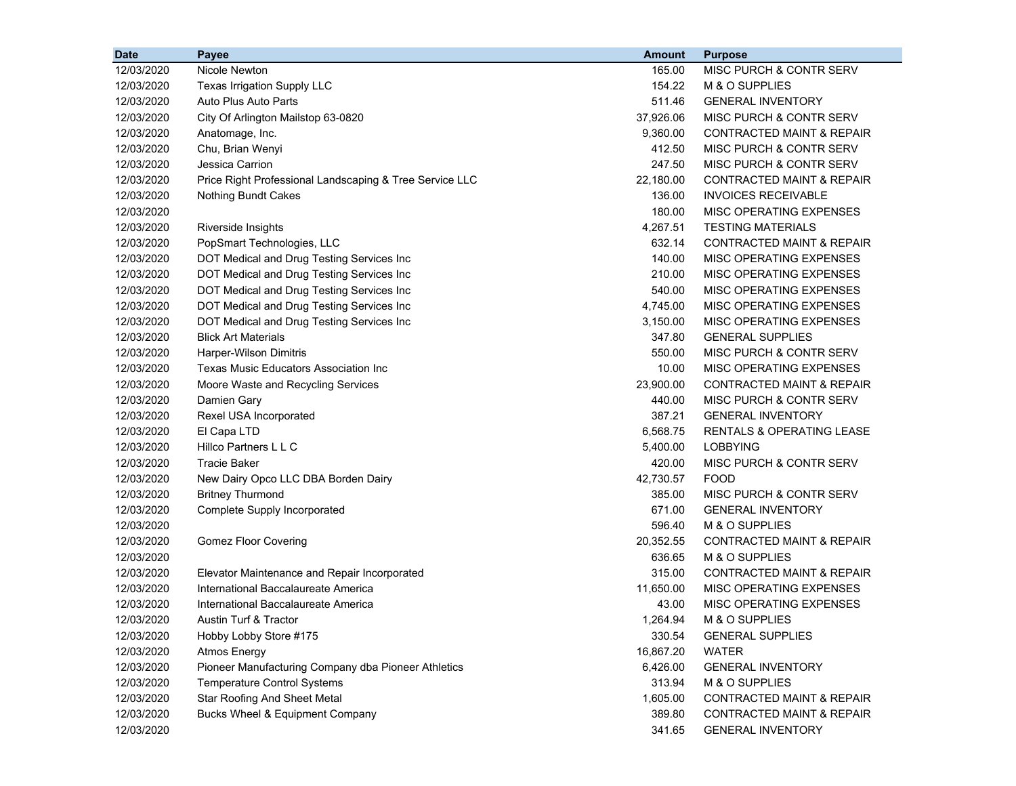| <b>Date</b> | Payee                                                   | <b>Amount</b> | <b>Purpose</b>                       |
|-------------|---------------------------------------------------------|---------------|--------------------------------------|
| 12/03/2020  | Nicole Newton                                           | 165.00        | MISC PURCH & CONTR SERV              |
| 12/03/2020  | Texas Irrigation Supply LLC                             | 154.22        | M & O SUPPLIES                       |
| 12/03/2020  | Auto Plus Auto Parts                                    | 511.46        | <b>GENERAL INVENTORY</b>             |
| 12/03/2020  | City Of Arlington Mailstop 63-0820                      | 37,926.06     | MISC PURCH & CONTR SERV              |
| 12/03/2020  | Anatomage, Inc.                                         | 9,360.00      | CONTRACTED MAINT & REPAIR            |
| 12/03/2020  | Chu, Brian Wenyi                                        | 412.50        | MISC PURCH & CONTR SERV              |
| 12/03/2020  | Jessica Carrion                                         | 247.50        | MISC PURCH & CONTR SERV              |
| 12/03/2020  | Price Right Professional Landscaping & Tree Service LLC | 22,180.00     | <b>CONTRACTED MAINT &amp; REPAIR</b> |
| 12/03/2020  | <b>Nothing Bundt Cakes</b>                              | 136.00        | <b>INVOICES RECEIVABLE</b>           |
| 12/03/2020  |                                                         | 180.00        | MISC OPERATING EXPENSES              |
| 12/03/2020  | Riverside Insights                                      | 4,267.51      | <b>TESTING MATERIALS</b>             |
| 12/03/2020  | PopSmart Technologies, LLC                              | 632.14        | <b>CONTRACTED MAINT &amp; REPAIR</b> |
| 12/03/2020  | DOT Medical and Drug Testing Services Inc               | 140.00        | MISC OPERATING EXPENSES              |
| 12/03/2020  | DOT Medical and Drug Testing Services Inc               | 210.00        | MISC OPERATING EXPENSES              |
| 12/03/2020  | DOT Medical and Drug Testing Services Inc               | 540.00        | MISC OPERATING EXPENSES              |
| 12/03/2020  | DOT Medical and Drug Testing Services Inc               | 4,745.00      | MISC OPERATING EXPENSES              |
| 12/03/2020  | DOT Medical and Drug Testing Services Inc               | 3,150.00      | MISC OPERATING EXPENSES              |
| 12/03/2020  | <b>Blick Art Materials</b>                              | 347.80        | <b>GENERAL SUPPLIES</b>              |
| 12/03/2020  | Harper-Wilson Dimitris                                  | 550.00        | MISC PURCH & CONTR SERV              |
| 12/03/2020  | Texas Music Educators Association Inc                   | 10.00         | MISC OPERATING EXPENSES              |
| 12/03/2020  | Moore Waste and Recycling Services                      | 23,900.00     | <b>CONTRACTED MAINT &amp; REPAIR</b> |
| 12/03/2020  | Damien Gary                                             | 440.00        | MISC PURCH & CONTR SERV              |
| 12/03/2020  | Rexel USA Incorporated                                  | 387.21        | <b>GENERAL INVENTORY</b>             |
| 12/03/2020  | El Capa LTD                                             | 6,568.75      | <b>RENTALS &amp; OPERATING LEASE</b> |
| 12/03/2020  | Hillco Partners L L C                                   | 5,400.00      | <b>LOBBYING</b>                      |
| 12/03/2020  | <b>Tracie Baker</b>                                     | 420.00        | MISC PURCH & CONTR SERV              |
| 12/03/2020  | New Dairy Opco LLC DBA Borden Dairy                     | 42,730.57     | <b>FOOD</b>                          |
| 12/03/2020  | <b>Britney Thurmond</b>                                 | 385.00        | MISC PURCH & CONTR SERV              |
| 12/03/2020  | Complete Supply Incorporated                            | 671.00        | <b>GENERAL INVENTORY</b>             |
| 12/03/2020  |                                                         | 596.40        | M & O SUPPLIES                       |
| 12/03/2020  | <b>Gomez Floor Covering</b>                             | 20,352.55     | <b>CONTRACTED MAINT &amp; REPAIR</b> |
| 12/03/2020  |                                                         | 636.65        | M & O SUPPLIES                       |
| 12/03/2020  | Elevator Maintenance and Repair Incorporated            | 315.00        | CONTRACTED MAINT & REPAIR            |
| 12/03/2020  | International Baccalaureate America                     | 11,650.00     | MISC OPERATING EXPENSES              |
| 12/03/2020  | International Baccalaureate America                     | 43.00         | MISC OPERATING EXPENSES              |
| 12/03/2020  | Austin Turf & Tractor                                   | 1,264.94      | M & O SUPPLIES                       |
| 12/03/2020  | Hobby Lobby Store #175                                  | 330.54        | <b>GENERAL SUPPLIES</b>              |
| 12/03/2020  | <b>Atmos Energy</b>                                     | 16,867.20     | <b>WATER</b>                         |
| 12/03/2020  | Pioneer Manufacturing Company dba Pioneer Athletics     | 6,426.00      | <b>GENERAL INVENTORY</b>             |
| 12/03/2020  | <b>Temperature Control Systems</b>                      | 313.94        | M & O SUPPLIES                       |
| 12/03/2020  | <b>Star Roofing And Sheet Metal</b>                     | 1,605.00      | <b>CONTRACTED MAINT &amp; REPAIR</b> |
| 12/03/2020  | Bucks Wheel & Equipment Company                         | 389.80        | <b>CONTRACTED MAINT &amp; REPAIR</b> |
| 12/03/2020  |                                                         | 341.65        | <b>GENERAL INVENTORY</b>             |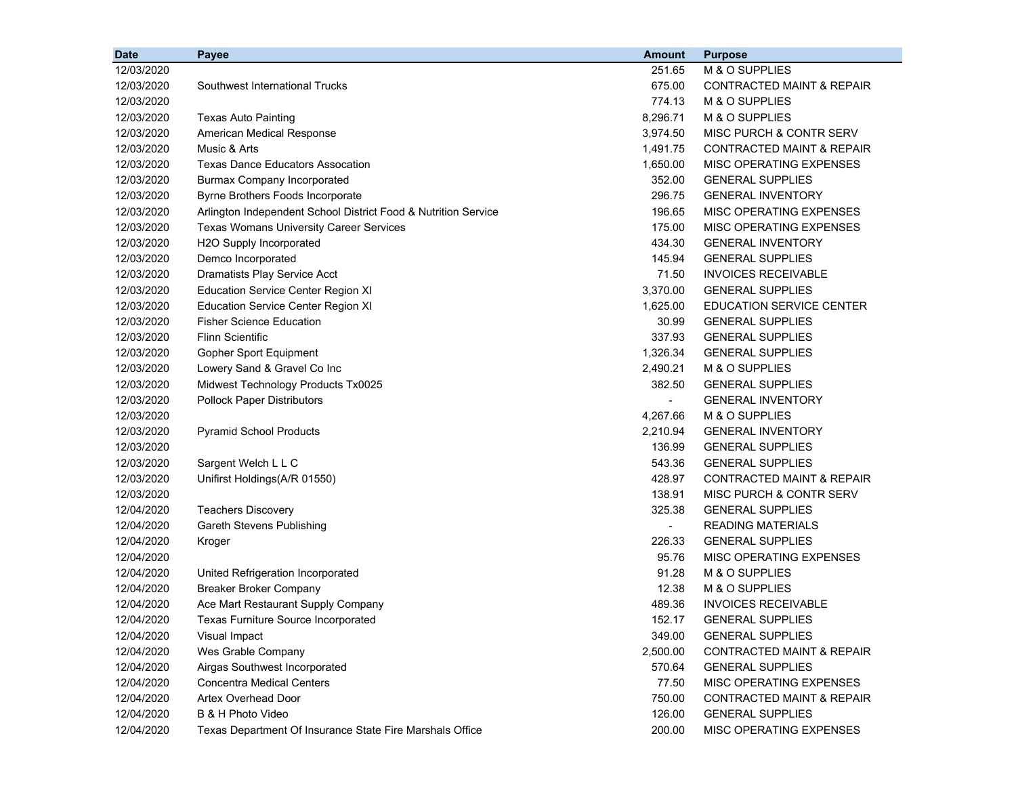| <b>Date</b> | Payee                                                          | <b>Amount</b>  | <b>Purpose</b>                       |
|-------------|----------------------------------------------------------------|----------------|--------------------------------------|
| 12/03/2020  |                                                                | 251.65         | M & O SUPPLIES                       |
| 12/03/2020  | Southwest International Trucks                                 | 675.00         | <b>CONTRACTED MAINT &amp; REPAIR</b> |
| 12/03/2020  |                                                                | 774.13         | M & O SUPPLIES                       |
| 12/03/2020  | <b>Texas Auto Painting</b>                                     | 8,296.71       | M & O SUPPLIES                       |
| 12/03/2020  | American Medical Response                                      | 3,974.50       | MISC PURCH & CONTR SERV              |
| 12/03/2020  | Music & Arts                                                   | 1,491.75       | CONTRACTED MAINT & REPAIR            |
| 12/03/2020  | <b>Texas Dance Educators Assocation</b>                        | 1,650.00       | MISC OPERATING EXPENSES              |
| 12/03/2020  | <b>Burmax Company Incorporated</b>                             | 352.00         | <b>GENERAL SUPPLIES</b>              |
| 12/03/2020  | Byrne Brothers Foods Incorporate                               | 296.75         | <b>GENERAL INVENTORY</b>             |
| 12/03/2020  | Arlington Independent School District Food & Nutrition Service | 196.65         | MISC OPERATING EXPENSES              |
| 12/03/2020  | <b>Texas Womans University Career Services</b>                 | 175.00         | MISC OPERATING EXPENSES              |
| 12/03/2020  | H2O Supply Incorporated                                        | 434.30         | <b>GENERAL INVENTORY</b>             |
| 12/03/2020  | Demco Incorporated                                             | 145.94         | <b>GENERAL SUPPLIES</b>              |
| 12/03/2020  | Dramatists Play Service Acct                                   | 71.50          | <b>INVOICES RECEIVABLE</b>           |
| 12/03/2020  | <b>Education Service Center Region XI</b>                      | 3,370.00       | <b>GENERAL SUPPLIES</b>              |
| 12/03/2020  | <b>Education Service Center Region XI</b>                      | 1,625.00       | <b>EDUCATION SERVICE CENTER</b>      |
| 12/03/2020  | <b>Fisher Science Education</b>                                | 30.99          | <b>GENERAL SUPPLIES</b>              |
| 12/03/2020  | <b>Flinn Scientific</b>                                        | 337.93         | <b>GENERAL SUPPLIES</b>              |
| 12/03/2020  | Gopher Sport Equipment                                         | 1,326.34       | <b>GENERAL SUPPLIES</b>              |
| 12/03/2020  | Lowery Sand & Gravel Co Inc                                    | 2,490.21       | M & O SUPPLIES                       |
| 12/03/2020  | Midwest Technology Products Tx0025                             | 382.50         | <b>GENERAL SUPPLIES</b>              |
| 12/03/2020  | <b>Pollock Paper Distributors</b>                              | $\blacksquare$ | <b>GENERAL INVENTORY</b>             |
| 12/03/2020  |                                                                | 4,267.66       | M & O SUPPLIES                       |
| 12/03/2020  | <b>Pyramid School Products</b>                                 | 2,210.94       | <b>GENERAL INVENTORY</b>             |
| 12/03/2020  |                                                                | 136.99         | <b>GENERAL SUPPLIES</b>              |
| 12/03/2020  | Sargent Welch L L C                                            | 543.36         | <b>GENERAL SUPPLIES</b>              |
| 12/03/2020  | Unifirst Holdings(A/R 01550)                                   | 428.97         | <b>CONTRACTED MAINT &amp; REPAIR</b> |
| 12/03/2020  |                                                                | 138.91         | MISC PURCH & CONTR SERV              |
| 12/04/2020  | <b>Teachers Discovery</b>                                      | 325.38         | <b>GENERAL SUPPLIES</b>              |
| 12/04/2020  | <b>Gareth Stevens Publishing</b>                               | $\blacksquare$ | <b>READING MATERIALS</b>             |
| 12/04/2020  | Kroger                                                         | 226.33         | <b>GENERAL SUPPLIES</b>              |
| 12/04/2020  |                                                                | 95.76          | MISC OPERATING EXPENSES              |
| 12/04/2020  | United Refrigeration Incorporated                              | 91.28          | M & O SUPPLIES                       |
| 12/04/2020  | <b>Breaker Broker Company</b>                                  | 12.38          | M & O SUPPLIES                       |
| 12/04/2020  | Ace Mart Restaurant Supply Company                             | 489.36         | <b>INVOICES RECEIVABLE</b>           |
| 12/04/2020  | Texas Furniture Source Incorporated                            | 152.17         | <b>GENERAL SUPPLIES</b>              |
| 12/04/2020  | Visual Impact                                                  | 349.00         | <b>GENERAL SUPPLIES</b>              |
| 12/04/2020  | Wes Grable Company                                             | 2,500.00       | <b>CONTRACTED MAINT &amp; REPAIR</b> |
| 12/04/2020  | Airgas Southwest Incorporated                                  | 570.64         | <b>GENERAL SUPPLIES</b>              |
| 12/04/2020  | <b>Concentra Medical Centers</b>                               | 77.50          | MISC OPERATING EXPENSES              |
| 12/04/2020  | <b>Artex Overhead Door</b>                                     | 750.00         | <b>CONTRACTED MAINT &amp; REPAIR</b> |
| 12/04/2020  | B & H Photo Video                                              | 126.00         | <b>GENERAL SUPPLIES</b>              |
| 12/04/2020  | Texas Department Of Insurance State Fire Marshals Office       | 200.00         | MISC OPERATING EXPENSES              |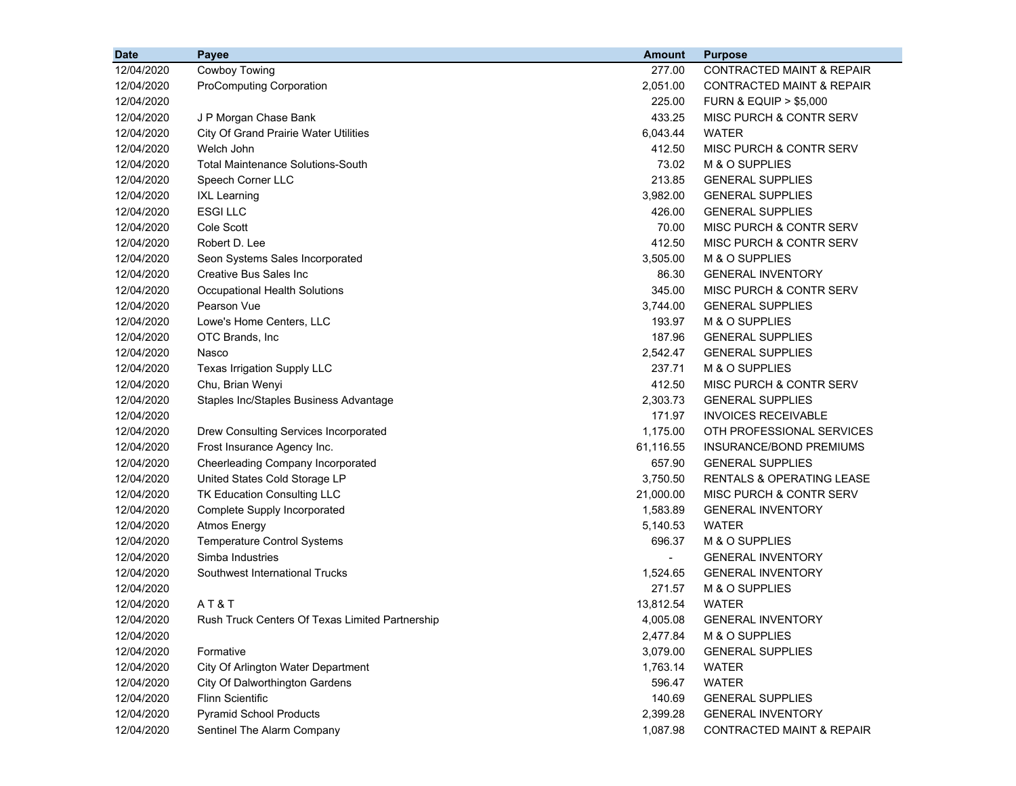| <b>Date</b> | Payee                                           | <b>Amount</b>  | <b>Purpose</b>                       |
|-------------|-------------------------------------------------|----------------|--------------------------------------|
| 12/04/2020  | <b>Cowboy Towing</b>                            | 277.00         | <b>CONTRACTED MAINT &amp; REPAIR</b> |
| 12/04/2020  | <b>ProComputing Corporation</b>                 | 2,051.00       | CONTRACTED MAINT & REPAIR            |
| 12/04/2020  |                                                 | 225.00         | <b>FURN &amp; EQUIP &gt; \$5,000</b> |
| 12/04/2020  | J P Morgan Chase Bank                           | 433.25         | MISC PURCH & CONTR SERV              |
| 12/04/2020  | <b>City Of Grand Prairie Water Utilities</b>    | 6,043.44       | <b>WATER</b>                         |
| 12/04/2020  | Welch John                                      | 412.50         | MISC PURCH & CONTR SERV              |
| 12/04/2020  | <b>Total Maintenance Solutions-South</b>        | 73.02          | M & O SUPPLIES                       |
| 12/04/2020  | Speech Corner LLC                               | 213.85         | <b>GENERAL SUPPLIES</b>              |
| 12/04/2020  | <b>IXL Learning</b>                             | 3,982.00       | <b>GENERAL SUPPLIES</b>              |
| 12/04/2020  | <b>ESGILLC</b>                                  | 426.00         | <b>GENERAL SUPPLIES</b>              |
| 12/04/2020  | Cole Scott                                      | 70.00          | MISC PURCH & CONTR SERV              |
| 12/04/2020  | Robert D. Lee                                   | 412.50         | MISC PURCH & CONTR SERV              |
| 12/04/2020  | Seon Systems Sales Incorporated                 | 3,505.00       | M & O SUPPLIES                       |
| 12/04/2020  | Creative Bus Sales Inc                          | 86.30          | <b>GENERAL INVENTORY</b>             |
| 12/04/2020  | Occupational Health Solutions                   | 345.00         | MISC PURCH & CONTR SERV              |
| 12/04/2020  | Pearson Vue                                     | 3,744.00       | <b>GENERAL SUPPLIES</b>              |
| 12/04/2020  | Lowe's Home Centers, LLC                        | 193.97         | M & O SUPPLIES                       |
| 12/04/2020  | OTC Brands, Inc                                 | 187.96         | <b>GENERAL SUPPLIES</b>              |
| 12/04/2020  | Nasco                                           | 2,542.47       | <b>GENERAL SUPPLIES</b>              |
| 12/04/2020  | Texas Irrigation Supply LLC                     | 237.71         | M & O SUPPLIES                       |
| 12/04/2020  | Chu, Brian Wenyi                                | 412.50         | MISC PURCH & CONTR SERV              |
| 12/04/2020  | Staples Inc/Staples Business Advantage          | 2,303.73       | <b>GENERAL SUPPLIES</b>              |
| 12/04/2020  |                                                 | 171.97         | <b>INVOICES RECEIVABLE</b>           |
| 12/04/2020  | Drew Consulting Services Incorporated           | 1,175.00       | OTH PROFESSIONAL SERVICES            |
| 12/04/2020  | Frost Insurance Agency Inc.                     | 61,116.55      | INSURANCE/BOND PREMIUMS              |
| 12/04/2020  | Cheerleading Company Incorporated               | 657.90         | <b>GENERAL SUPPLIES</b>              |
| 12/04/2020  | United States Cold Storage LP                   | 3,750.50       | <b>RENTALS &amp; OPERATING LEASE</b> |
| 12/04/2020  | TK Education Consulting LLC                     | 21,000.00      | MISC PURCH & CONTR SERV              |
| 12/04/2020  | Complete Supply Incorporated                    | 1,583.89       | <b>GENERAL INVENTORY</b>             |
| 12/04/2020  | <b>Atmos Energy</b>                             | 5,140.53       | <b>WATER</b>                         |
| 12/04/2020  | <b>Temperature Control Systems</b>              | 696.37         | M & O SUPPLIES                       |
| 12/04/2020  | Simba Industries                                | $\blacksquare$ | <b>GENERAL INVENTORY</b>             |
| 12/04/2020  | Southwest International Trucks                  | 1,524.65       | <b>GENERAL INVENTORY</b>             |
| 12/04/2020  |                                                 | 271.57         | M & O SUPPLIES                       |
| 12/04/2020  | AT&T                                            | 13,812.54      | <b>WATER</b>                         |
| 12/04/2020  | Rush Truck Centers Of Texas Limited Partnership | 4,005.08       | <b>GENERAL INVENTORY</b>             |
| 12/04/2020  |                                                 | 2,477.84       | M & O SUPPLIES                       |
| 12/04/2020  | Formative                                       | 3,079.00       | <b>GENERAL SUPPLIES</b>              |
| 12/04/2020  | City Of Arlington Water Department              | 1,763.14       | WATER                                |
| 12/04/2020  | City Of Dalworthington Gardens                  | 596.47         | <b>WATER</b>                         |
| 12/04/2020  | <b>Flinn Scientific</b>                         | 140.69         | <b>GENERAL SUPPLIES</b>              |
| 12/04/2020  | <b>Pyramid School Products</b>                  | 2,399.28       | <b>GENERAL INVENTORY</b>             |
| 12/04/2020  | Sentinel The Alarm Company                      | 1,087.98       | CONTRACTED MAINT & REPAIR            |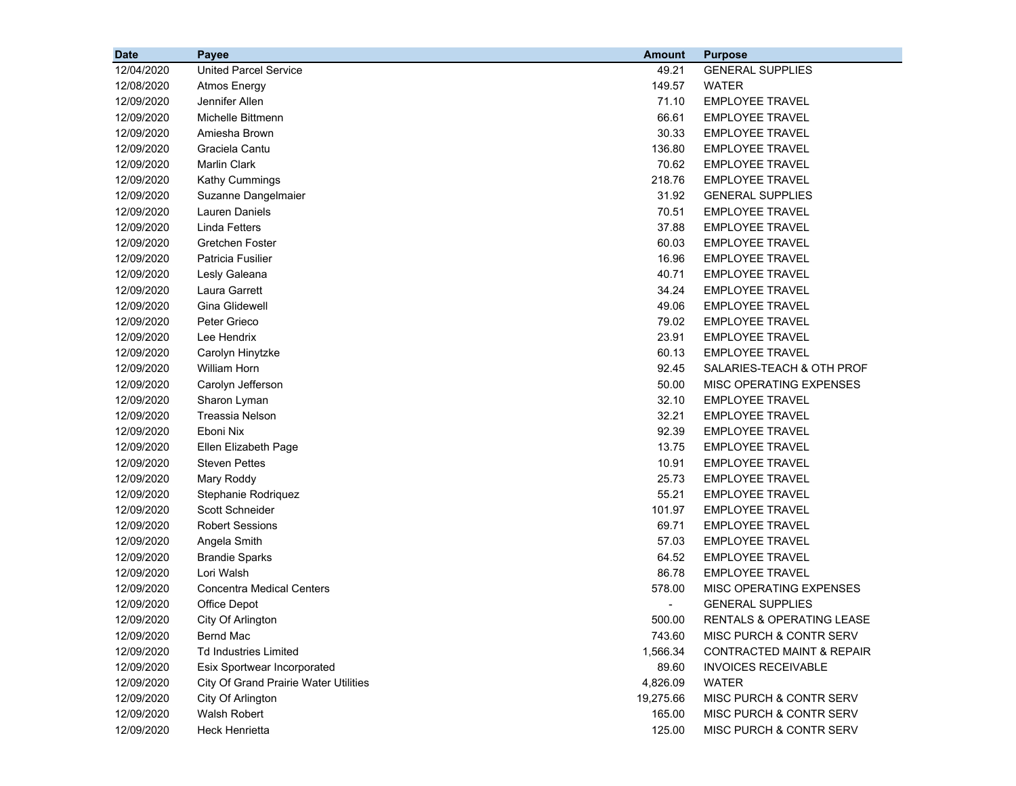| <b>Date</b> | Payee                                        | <b>Amount</b> | <b>Purpose</b>             |
|-------------|----------------------------------------------|---------------|----------------------------|
| 12/04/2020  | <b>United Parcel Service</b>                 | 49.21         | <b>GENERAL SUPPLIES</b>    |
| 12/08/2020  | <b>Atmos Energy</b>                          | 149.57        | <b>WATER</b>               |
| 12/09/2020  | Jennifer Allen                               | 71.10         | <b>EMPLOYEE TRAVEL</b>     |
| 12/09/2020  | Michelle Bittmenn                            | 66.61         | <b>EMPLOYEE TRAVEL</b>     |
| 12/09/2020  | Amiesha Brown                                | 30.33         | <b>EMPLOYEE TRAVEL</b>     |
| 12/09/2020  | Graciela Cantu                               | 136.80        | <b>EMPLOYEE TRAVEL</b>     |
| 12/09/2020  | <b>Marlin Clark</b>                          | 70.62         | <b>EMPLOYEE TRAVEL</b>     |
| 12/09/2020  | Kathy Cummings                               | 218.76        | <b>EMPLOYEE TRAVEL</b>     |
| 12/09/2020  | Suzanne Dangelmaier                          | 31.92         | <b>GENERAL SUPPLIES</b>    |
| 12/09/2020  | <b>Lauren Daniels</b>                        | 70.51         | <b>EMPLOYEE TRAVEL</b>     |
| 12/09/2020  | <b>Linda Fetters</b>                         | 37.88         | <b>EMPLOYEE TRAVEL</b>     |
| 12/09/2020  | Gretchen Foster                              | 60.03         | <b>EMPLOYEE TRAVEL</b>     |
| 12/09/2020  | Patricia Fusilier                            | 16.96         | <b>EMPLOYEE TRAVEL</b>     |
| 12/09/2020  | Lesly Galeana                                | 40.71         | <b>EMPLOYEE TRAVEL</b>     |
| 12/09/2020  | Laura Garrett                                | 34.24         | <b>EMPLOYEE TRAVEL</b>     |
| 12/09/2020  | Gina Glidewell                               | 49.06         | <b>EMPLOYEE TRAVEL</b>     |
| 12/09/2020  | Peter Grieco                                 | 79.02         | <b>EMPLOYEE TRAVEL</b>     |
| 12/09/2020  | Lee Hendrix                                  | 23.91         | <b>EMPLOYEE TRAVEL</b>     |
| 12/09/2020  | Carolyn Hinytzke                             | 60.13         | <b>EMPLOYEE TRAVEL</b>     |
| 12/09/2020  | William Horn                                 | 92.45         | SALARIES-TEACH & OTH PROF  |
| 12/09/2020  | Carolyn Jefferson                            | 50.00         | MISC OPERATING EXPENSES    |
| 12/09/2020  | Sharon Lyman                                 | 32.10         | <b>EMPLOYEE TRAVEL</b>     |
| 12/09/2020  | Treassia Nelson                              | 32.21         | <b>EMPLOYEE TRAVEL</b>     |
| 12/09/2020  | Eboni Nix                                    | 92.39         | <b>EMPLOYEE TRAVEL</b>     |
| 12/09/2020  | Ellen Elizabeth Page                         | 13.75         | <b>EMPLOYEE TRAVEL</b>     |
| 12/09/2020  | <b>Steven Pettes</b>                         | 10.91         | <b>EMPLOYEE TRAVEL</b>     |
| 12/09/2020  | Mary Roddy                                   | 25.73         | <b>EMPLOYEE TRAVEL</b>     |
| 12/09/2020  | Stephanie Rodriquez                          | 55.21         | <b>EMPLOYEE TRAVEL</b>     |
| 12/09/2020  | Scott Schneider                              | 101.97        | <b>EMPLOYEE TRAVEL</b>     |
| 12/09/2020  | <b>Robert Sessions</b>                       | 69.71         | <b>EMPLOYEE TRAVEL</b>     |
| 12/09/2020  | Angela Smith                                 | 57.03         | <b>EMPLOYEE TRAVEL</b>     |
| 12/09/2020  | <b>Brandie Sparks</b>                        | 64.52         | <b>EMPLOYEE TRAVEL</b>     |
| 12/09/2020  | Lori Walsh                                   | 86.78         | <b>EMPLOYEE TRAVEL</b>     |
| 12/09/2020  | Concentra Medical Centers                    | 578.00        | MISC OPERATING EXPENSES    |
| 12/09/2020  | <b>Office Depot</b>                          |               | <b>GENERAL SUPPLIES</b>    |
| 12/09/2020  | City Of Arlington                            | 500.00        | RENTALS & OPERATING LEASE  |
| 12/09/2020  | Bernd Mac                                    | 743.60        | MISC PURCH & CONTR SERV    |
| 12/09/2020  | <b>Td Industries Limited</b>                 | 1,566.34      | CONTRACTED MAINT & REPAIR  |
| 12/09/2020  | Esix Sportwear Incorporated                  | 89.60         | <b>INVOICES RECEIVABLE</b> |
| 12/09/2020  | <b>City Of Grand Prairie Water Utilities</b> | 4,826.09      | <b>WATER</b>               |
| 12/09/2020  | City Of Arlington                            | 19,275.66     | MISC PURCH & CONTR SERV    |
| 12/09/2020  | Walsh Robert                                 | 165.00        | MISC PURCH & CONTR SERV    |
| 12/09/2020  | <b>Heck Henrietta</b>                        | 125.00        | MISC PURCH & CONTR SERV    |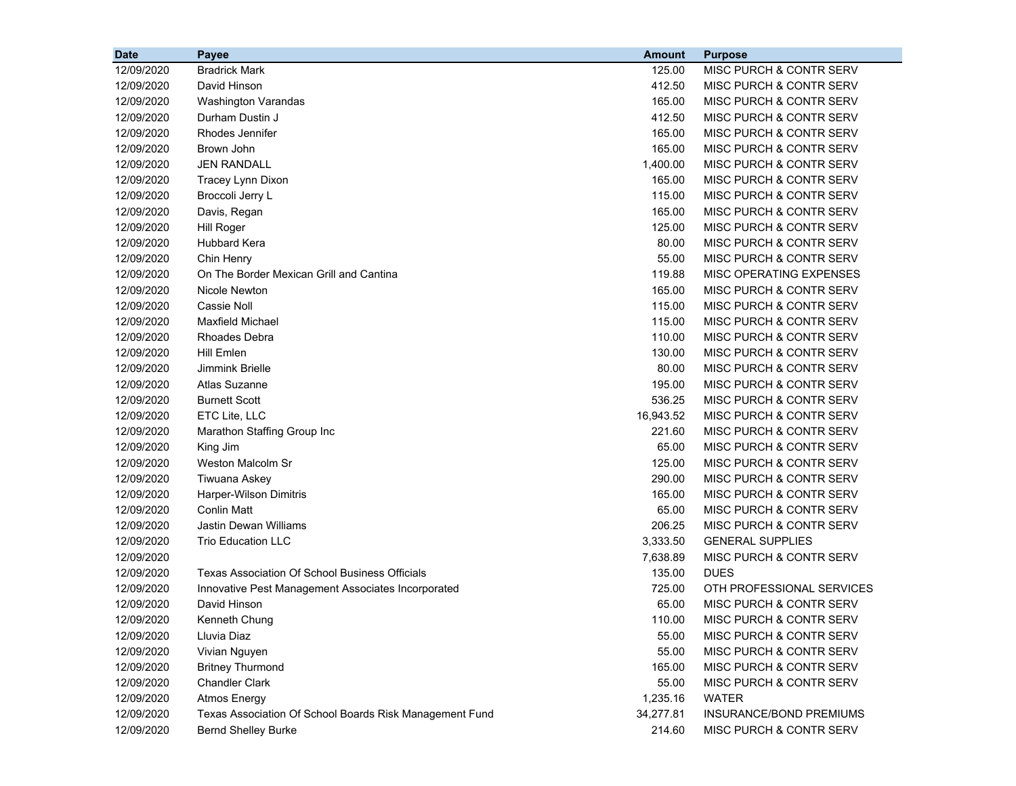| <b>Date</b> | Payee                                                   | <b>Amount</b> | <b>Purpose</b>                     |
|-------------|---------------------------------------------------------|---------------|------------------------------------|
| 12/09/2020  | <b>Bradrick Mark</b>                                    | 125.00        | MISC PURCH & CONTR SERV            |
| 12/09/2020  | David Hinson                                            | 412.50        | MISC PURCH & CONTR SERV            |
| 12/09/2020  | Washington Varandas                                     | 165.00        | MISC PURCH & CONTR SERV            |
| 12/09/2020  | Durham Dustin J                                         | 412.50        | MISC PURCH & CONTR SERV            |
| 12/09/2020  | Rhodes Jennifer                                         | 165.00        | <b>MISC PURCH &amp; CONTR SERV</b> |
| 12/09/2020  | Brown John                                              | 165.00        | MISC PURCH & CONTR SERV            |
| 12/09/2020  | <b>JEN RANDALL</b>                                      | 1,400.00      | MISC PURCH & CONTR SERV            |
| 12/09/2020  | Tracey Lynn Dixon                                       | 165.00        | MISC PURCH & CONTR SERV            |
| 12/09/2020  | Broccoli Jerry L                                        | 115.00        | <b>MISC PURCH &amp; CONTR SERV</b> |
| 12/09/2020  | Davis, Regan                                            | 165.00        | <b>MISC PURCH &amp; CONTR SERV</b> |
| 12/09/2020  | <b>Hill Roger</b>                                       | 125.00        | MISC PURCH & CONTR SERV            |
| 12/09/2020  | <b>Hubbard Kera</b>                                     | 80.00         | MISC PURCH & CONTR SERV            |
| 12/09/2020  | Chin Henry                                              | 55.00         | MISC PURCH & CONTR SERV            |
| 12/09/2020  | On The Border Mexican Grill and Cantina                 | 119.88        | MISC OPERATING EXPENSES            |
| 12/09/2020  | Nicole Newton                                           | 165.00        | MISC PURCH & CONTR SERV            |
| 12/09/2020  | Cassie Noll                                             | 115.00        | <b>MISC PURCH &amp; CONTR SERV</b> |
| 12/09/2020  | <b>Maxfield Michael</b>                                 | 115.00        | MISC PURCH & CONTR SERV            |
| 12/09/2020  | Rhoades Debra                                           | 110.00        | MISC PURCH & CONTR SERV            |
| 12/09/2020  | Hill Emlen                                              | 130.00        | <b>MISC PURCH &amp; CONTR SERV</b> |
| 12/09/2020  | Jimmink Brielle                                         | 80.00         | <b>MISC PURCH &amp; CONTR SERV</b> |
| 12/09/2020  | Atlas Suzanne                                           | 195.00        | MISC PURCH & CONTR SERV            |
| 12/09/2020  | <b>Burnett Scott</b>                                    | 536.25        | <b>MISC PURCH &amp; CONTR SERV</b> |
| 12/09/2020  | ETC Lite, LLC                                           | 16,943.52     | MISC PURCH & CONTR SERV            |
| 12/09/2020  | Marathon Staffing Group Inc                             | 221.60        | MISC PURCH & CONTR SERV            |
| 12/09/2020  | King Jim                                                | 65.00         | MISC PURCH & CONTR SERV            |
| 12/09/2020  | Weston Malcolm Sr                                       | 125.00        | MISC PURCH & CONTR SERV            |
| 12/09/2020  | Tiwuana Askey                                           | 290.00        | MISC PURCH & CONTR SERV            |
| 12/09/2020  | Harper-Wilson Dimitris                                  | 165.00        | MISC PURCH & CONTR SERV            |
| 12/09/2020  | Conlin Matt                                             | 65.00         | MISC PURCH & CONTR SERV            |
| 12/09/2020  | <b>Jastin Dewan Williams</b>                            | 206.25        | MISC PURCH & CONTR SERV            |
| 12/09/2020  | <b>Trio Education LLC</b>                               | 3,333.50      | <b>GENERAL SUPPLIES</b>            |
| 12/09/2020  |                                                         | 7,638.89      | <b>MISC PURCH &amp; CONTR SERV</b> |
| 12/09/2020  | <b>Texas Association Of School Business Officials</b>   | 135.00        | <b>DUES</b>                        |
| 12/09/2020  | Innovative Pest Management Associates Incorporated      | 725.00        | OTH PROFESSIONAL SERVICES          |
| 12/09/2020  | David Hinson                                            | 65.00         | <b>MISC PURCH &amp; CONTR SERV</b> |
| 12/09/2020  | Kenneth Chung                                           | 110.00        | MISC PURCH & CONTR SERV            |
| 12/09/2020  | Lluvia Diaz                                             | 55.00         | MISC PURCH & CONTR SERV            |
| 12/09/2020  | Vivian Nguyen                                           | 55.00         | MISC PURCH & CONTR SERV            |
| 12/09/2020  | <b>Britney Thurmond</b>                                 | 165.00        | MISC PURCH & CONTR SERV            |
| 12/09/2020  | <b>Chandler Clark</b>                                   | 55.00         | MISC PURCH & CONTR SERV            |
| 12/09/2020  | <b>Atmos Energy</b>                                     | 1,235.16      | <b>WATER</b>                       |
| 12/09/2020  | Texas Association Of School Boards Risk Management Fund | 34,277.81     | INSURANCE/BOND PREMIUMS            |
| 12/09/2020  | <b>Bernd Shelley Burke</b>                              | 214.60        | MISC PURCH & CONTR SERV            |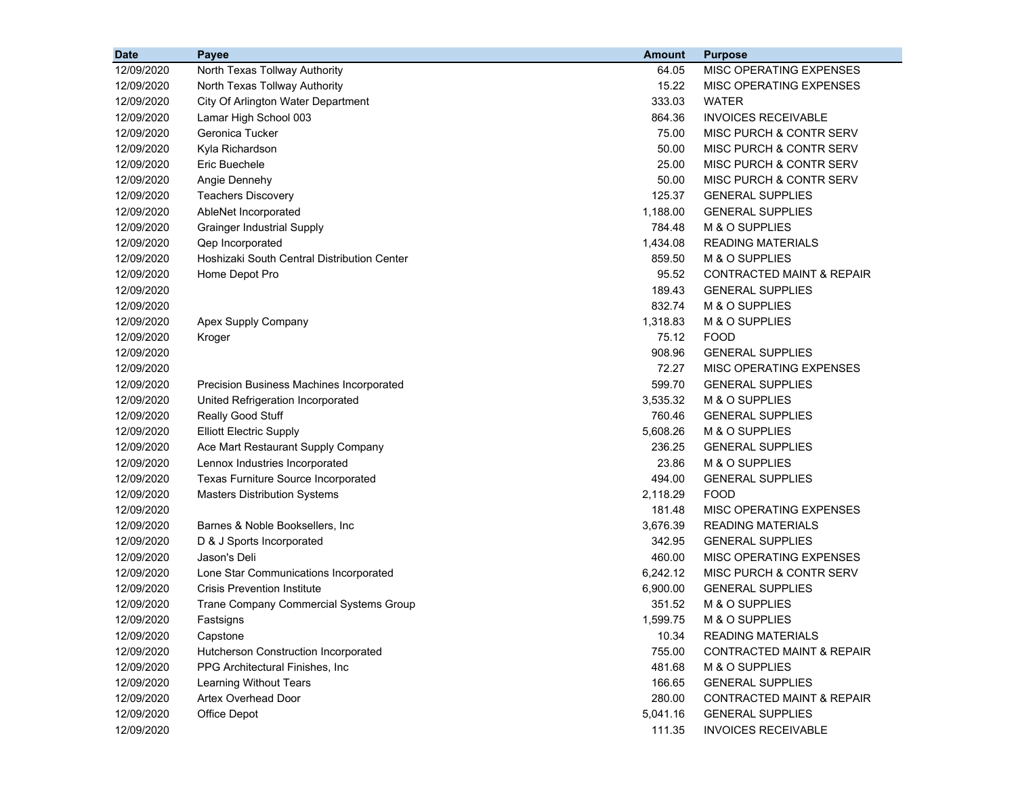| <b>Date</b> | Payee                                       | <b>Amount</b> | <b>Purpose</b>                       |
|-------------|---------------------------------------------|---------------|--------------------------------------|
| 12/09/2020  | North Texas Tollway Authority               | 64.05         | MISC OPERATING EXPENSES              |
| 12/09/2020  | North Texas Tollway Authority               | 15.22         | MISC OPERATING EXPENSES              |
| 12/09/2020  | City Of Arlington Water Department          | 333.03        | <b>WATER</b>                         |
| 12/09/2020  | Lamar High School 003                       | 864.36        | <b>INVOICES RECEIVABLE</b>           |
| 12/09/2020  | Geronica Tucker                             | 75.00         | MISC PURCH & CONTR SERV              |
| 12/09/2020  | Kyla Richardson                             | 50.00         | MISC PURCH & CONTR SERV              |
| 12/09/2020  | Eric Buechele                               | 25.00         | MISC PURCH & CONTR SERV              |
| 12/09/2020  | Angie Dennehy                               | 50.00         | <b>MISC PURCH &amp; CONTR SERV</b>   |
| 12/09/2020  | <b>Teachers Discovery</b>                   | 125.37        | <b>GENERAL SUPPLIES</b>              |
| 12/09/2020  | AbleNet Incorporated                        | 1,188.00      | <b>GENERAL SUPPLIES</b>              |
| 12/09/2020  | <b>Grainger Industrial Supply</b>           | 784.48        | M & O SUPPLIES                       |
| 12/09/2020  | Qep Incorporated                            | 1,434.08      | <b>READING MATERIALS</b>             |
| 12/09/2020  | Hoshizaki South Central Distribution Center | 859.50        | M & O SUPPLIES                       |
| 12/09/2020  | Home Depot Pro                              | 95.52         | <b>CONTRACTED MAINT &amp; REPAIR</b> |
| 12/09/2020  |                                             | 189.43        | <b>GENERAL SUPPLIES</b>              |
| 12/09/2020  |                                             | 832.74        | M & O SUPPLIES                       |
| 12/09/2020  | Apex Supply Company                         | 1,318.83      | M & O SUPPLIES                       |
| 12/09/2020  | Kroger                                      | 75.12         | <b>FOOD</b>                          |
| 12/09/2020  |                                             | 908.96        | <b>GENERAL SUPPLIES</b>              |
| 12/09/2020  |                                             | 72.27         | MISC OPERATING EXPENSES              |
| 12/09/2020  | Precision Business Machines Incorporated    | 599.70        | <b>GENERAL SUPPLIES</b>              |
| 12/09/2020  | United Refrigeration Incorporated           | 3,535.32      | M & O SUPPLIES                       |
| 12/09/2020  | Really Good Stuff                           | 760.46        | <b>GENERAL SUPPLIES</b>              |
| 12/09/2020  | <b>Elliott Electric Supply</b>              | 5,608.26      | M & O SUPPLIES                       |
| 12/09/2020  | Ace Mart Restaurant Supply Company          | 236.25        | <b>GENERAL SUPPLIES</b>              |
| 12/09/2020  | Lennox Industries Incorporated              | 23.86         | M & O SUPPLIES                       |
| 12/09/2020  | Texas Furniture Source Incorporated         | 494.00        | <b>GENERAL SUPPLIES</b>              |
| 12/09/2020  | <b>Masters Distribution Systems</b>         | 2,118.29      | <b>FOOD</b>                          |
| 12/09/2020  |                                             | 181.48        | MISC OPERATING EXPENSES              |
| 12/09/2020  | Barnes & Noble Booksellers, Inc.            | 3,676.39      | <b>READING MATERIALS</b>             |
| 12/09/2020  | D & J Sports Incorporated                   | 342.95        | <b>GENERAL SUPPLIES</b>              |
| 12/09/2020  | Jason's Deli                                | 460.00        | MISC OPERATING EXPENSES              |
| 12/09/2020  | Lone Star Communications Incorporated       | 6,242.12      | MISC PURCH & CONTR SERV              |
| 12/09/2020  | <b>Crisis Prevention Institute</b>          | 6,900.00      | <b>GENERAL SUPPLIES</b>              |
| 12/09/2020  | Trane Company Commercial Systems Group      | 351.52        | M & O SUPPLIES                       |
| 12/09/2020  | Fastsigns                                   | 1,599.75      | M & O SUPPLIES                       |
| 12/09/2020  | Capstone                                    | 10.34         | <b>READING MATERIALS</b>             |
| 12/09/2020  | Hutcherson Construction Incorporated        | 755.00        | <b>CONTRACTED MAINT &amp; REPAIR</b> |
| 12/09/2020  | PPG Architectural Finishes, Inc.            | 481.68        | M & O SUPPLIES                       |
| 12/09/2020  | Learning Without Tears                      | 166.65        | <b>GENERAL SUPPLIES</b>              |
| 12/09/2020  | Artex Overhead Door                         | 280.00        | <b>CONTRACTED MAINT &amp; REPAIR</b> |
| 12/09/2020  | Office Depot                                | 5,041.16      | <b>GENERAL SUPPLIES</b>              |
| 12/09/2020  |                                             | 111.35        | <b>INVOICES RECEIVABLE</b>           |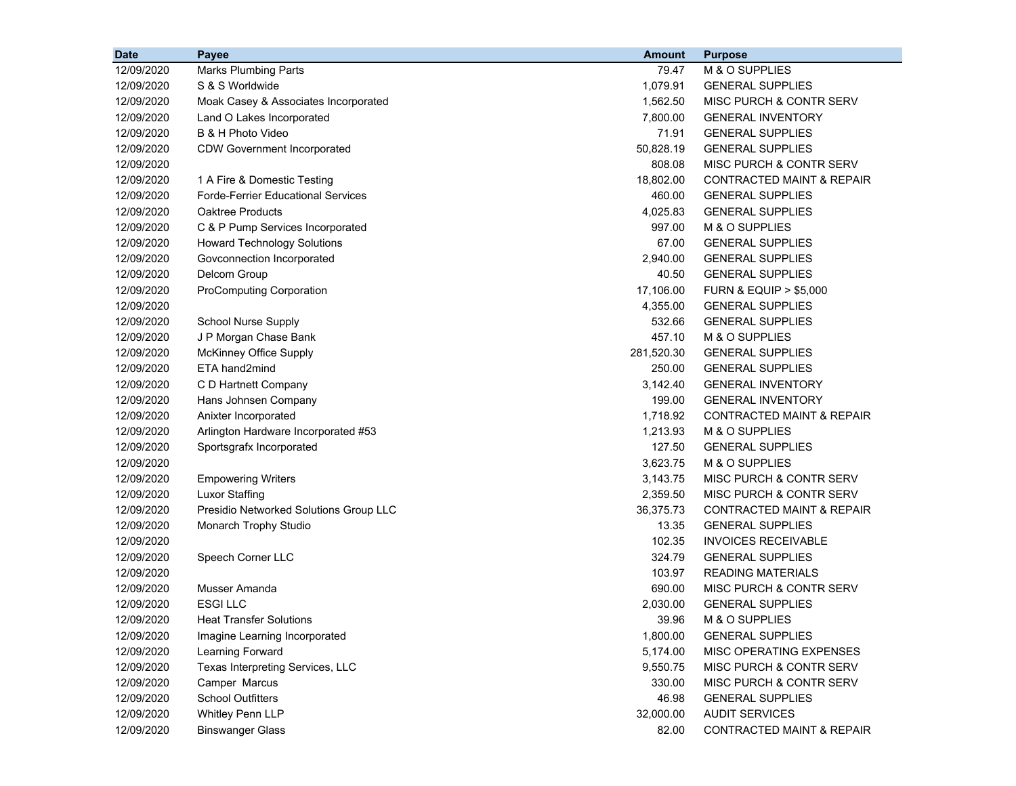| <b>Date</b> | Payee                                     | <b>Amount</b> | <b>Purpose</b>                       |
|-------------|-------------------------------------------|---------------|--------------------------------------|
| 12/09/2020  | <b>Marks Plumbing Parts</b>               | 79.47         | M & O SUPPLIES                       |
| 12/09/2020  | S & S Worldwide                           | 1,079.91      | <b>GENERAL SUPPLIES</b>              |
| 12/09/2020  | Moak Casey & Associates Incorporated      | 1,562.50      | MISC PURCH & CONTR SERV              |
| 12/09/2020  | Land O Lakes Incorporated                 | 7,800.00      | <b>GENERAL INVENTORY</b>             |
| 12/09/2020  | B & H Photo Video                         | 71.91         | <b>GENERAL SUPPLIES</b>              |
| 12/09/2020  | <b>CDW Government Incorporated</b>        | 50,828.19     | <b>GENERAL SUPPLIES</b>              |
| 12/09/2020  |                                           | 808.08        | MISC PURCH & CONTR SERV              |
| 12/09/2020  | 1 A Fire & Domestic Testing               | 18,802.00     | <b>CONTRACTED MAINT &amp; REPAIR</b> |
| 12/09/2020  | <b>Forde-Ferrier Educational Services</b> | 460.00        | <b>GENERAL SUPPLIES</b>              |
| 12/09/2020  | <b>Oaktree Products</b>                   | 4,025.83      | <b>GENERAL SUPPLIES</b>              |
| 12/09/2020  | C & P Pump Services Incorporated          | 997.00        | M & O SUPPLIES                       |
| 12/09/2020  | <b>Howard Technology Solutions</b>        | 67.00         | <b>GENERAL SUPPLIES</b>              |
| 12/09/2020  | Govconnection Incorporated                | 2,940.00      | <b>GENERAL SUPPLIES</b>              |
| 12/09/2020  | Delcom Group                              | 40.50         | <b>GENERAL SUPPLIES</b>              |
| 12/09/2020  | <b>ProComputing Corporation</b>           | 17,106.00     | <b>FURN &amp; EQUIP &gt; \$5,000</b> |
| 12/09/2020  |                                           | 4,355.00      | <b>GENERAL SUPPLIES</b>              |
| 12/09/2020  | School Nurse Supply                       | 532.66        | <b>GENERAL SUPPLIES</b>              |
| 12/09/2020  | J P Morgan Chase Bank                     | 457.10        | M & O SUPPLIES                       |
| 12/09/2020  | McKinney Office Supply                    | 281,520.30    | <b>GENERAL SUPPLIES</b>              |
| 12/09/2020  | ETA hand2mind                             | 250.00        | <b>GENERAL SUPPLIES</b>              |
| 12/09/2020  | C D Hartnett Company                      | 3,142.40      | <b>GENERAL INVENTORY</b>             |
| 12/09/2020  | Hans Johnsen Company                      | 199.00        | <b>GENERAL INVENTORY</b>             |
| 12/09/2020  | Anixter Incorporated                      | 1,718.92      | <b>CONTRACTED MAINT &amp; REPAIR</b> |
| 12/09/2020  | Arlington Hardware Incorporated #53       | 1,213.93      | M & O SUPPLIES                       |
| 12/09/2020  | Sportsgrafx Incorporated                  | 127.50        | <b>GENERAL SUPPLIES</b>              |
| 12/09/2020  |                                           | 3,623.75      | M & O SUPPLIES                       |
| 12/09/2020  | <b>Empowering Writers</b>                 | 3,143.75      | MISC PURCH & CONTR SERV              |
| 12/09/2020  | <b>Luxor Staffing</b>                     | 2,359.50      | MISC PURCH & CONTR SERV              |
| 12/09/2020  | Presidio Networked Solutions Group LLC    | 36,375.73     | <b>CONTRACTED MAINT &amp; REPAIR</b> |
| 12/09/2020  | Monarch Trophy Studio                     | 13.35         | <b>GENERAL SUPPLIES</b>              |
| 12/09/2020  |                                           | 102.35        | <b>INVOICES RECEIVABLE</b>           |
| 12/09/2020  | Speech Corner LLC                         | 324.79        | <b>GENERAL SUPPLIES</b>              |
| 12/09/2020  |                                           | 103.97        | <b>READING MATERIALS</b>             |
| 12/09/2020  | Musser Amanda                             | 690.00        | MISC PURCH & CONTR SERV              |
| 12/09/2020  | <b>ESGILLC</b>                            | 2,030.00      | <b>GENERAL SUPPLIES</b>              |
| 12/09/2020  | <b>Heat Transfer Solutions</b>            | 39.96         | M & O SUPPLIES                       |
| 12/09/2020  | Imagine Learning Incorporated             | 1,800.00      | <b>GENERAL SUPPLIES</b>              |
| 12/09/2020  | Learning Forward                          | 5,174.00      | MISC OPERATING EXPENSES              |
| 12/09/2020  | Texas Interpreting Services, LLC          | 9,550.75      | MISC PURCH & CONTR SERV              |
| 12/09/2020  | Camper Marcus                             | 330.00        | MISC PURCH & CONTR SERV              |
| 12/09/2020  | <b>School Outfitters</b>                  | 46.98         | <b>GENERAL SUPPLIES</b>              |
| 12/09/2020  | Whitley Penn LLP                          | 32,000.00     | <b>AUDIT SERVICES</b>                |
| 12/09/2020  | <b>Binswanger Glass</b>                   | 82.00         | CONTRACTED MAINT & REPAIR            |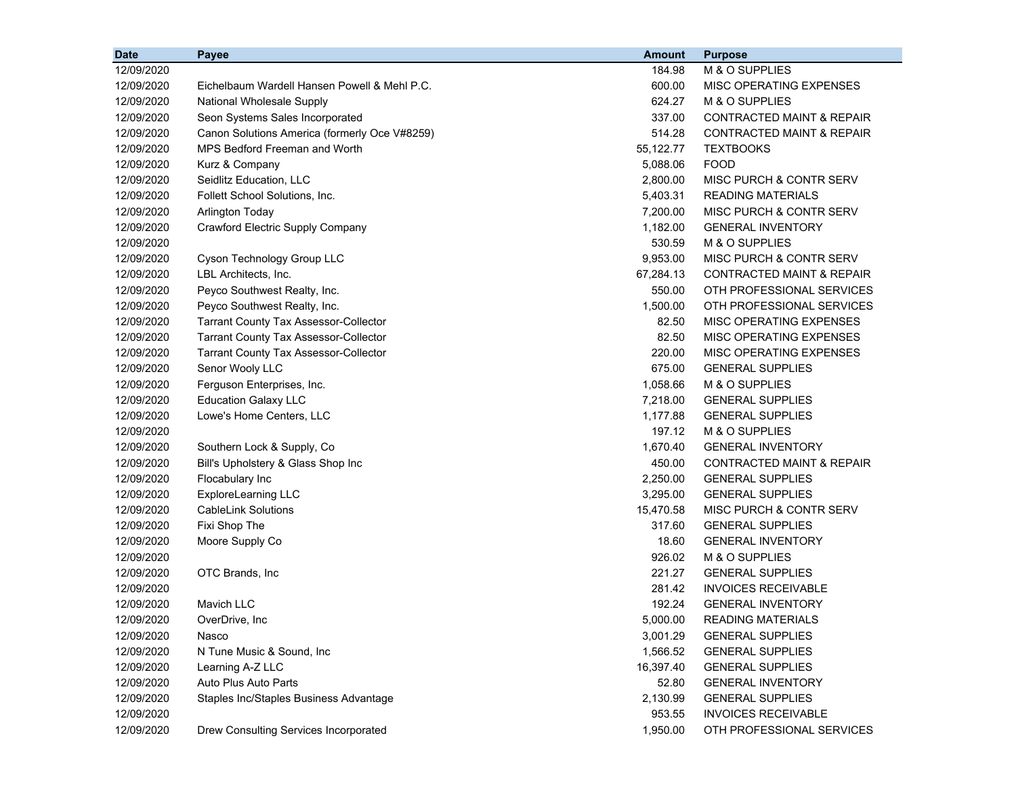| <b>Date</b> | <b>Payee</b>                                  | <b>Amount</b> | <b>Purpose</b>                       |
|-------------|-----------------------------------------------|---------------|--------------------------------------|
| 12/09/2020  |                                               | 184.98        | M & O SUPPLIES                       |
| 12/09/2020  | Eichelbaum Wardell Hansen Powell & Mehl P.C.  | 600.00        | MISC OPERATING EXPENSES              |
| 12/09/2020  | National Wholesale Supply                     | 624.27        | M & O SUPPLIES                       |
| 12/09/2020  | Seon Systems Sales Incorporated               | 337.00        | <b>CONTRACTED MAINT &amp; REPAIR</b> |
| 12/09/2020  | Canon Solutions America (formerly Oce V#8259) | 514.28        | <b>CONTRACTED MAINT &amp; REPAIR</b> |
| 12/09/2020  | MPS Bedford Freeman and Worth                 | 55,122.77     | <b>TEXTBOOKS</b>                     |
| 12/09/2020  | Kurz & Company                                | 5,088.06      | <b>FOOD</b>                          |
| 12/09/2020  | Seidlitz Education, LLC                       | 2,800.00      | MISC PURCH & CONTR SERV              |
| 12/09/2020  | Follett School Solutions, Inc.                | 5,403.31      | <b>READING MATERIALS</b>             |
| 12/09/2020  | <b>Arlington Today</b>                        | 7,200.00      | MISC PURCH & CONTR SERV              |
| 12/09/2020  | <b>Crawford Electric Supply Company</b>       | 1,182.00      | <b>GENERAL INVENTORY</b>             |
| 12/09/2020  |                                               | 530.59        | M & O SUPPLIES                       |
| 12/09/2020  | Cyson Technology Group LLC                    | 9,953.00      | MISC PURCH & CONTR SERV              |
| 12/09/2020  | LBL Architects, Inc.                          | 67,284.13     | CONTRACTED MAINT & REPAIR            |
| 12/09/2020  | Peyco Southwest Realty, Inc.                  | 550.00        | OTH PROFESSIONAL SERVICES            |
| 12/09/2020  | Peyco Southwest Realty, Inc.                  | 1,500.00      | OTH PROFESSIONAL SERVICES            |
| 12/09/2020  | <b>Tarrant County Tax Assessor-Collector</b>  | 82.50         | MISC OPERATING EXPENSES              |
| 12/09/2020  | <b>Tarrant County Tax Assessor-Collector</b>  | 82.50         | MISC OPERATING EXPENSES              |
| 12/09/2020  | <b>Tarrant County Tax Assessor-Collector</b>  | 220.00        | MISC OPERATING EXPENSES              |
| 12/09/2020  | Senor Wooly LLC                               | 675.00        | <b>GENERAL SUPPLIES</b>              |
| 12/09/2020  | Ferguson Enterprises, Inc.                    | 1,058.66      | M & O SUPPLIES                       |
| 12/09/2020  | <b>Education Galaxy LLC</b>                   | 7,218.00      | <b>GENERAL SUPPLIES</b>              |
| 12/09/2020  | Lowe's Home Centers, LLC                      | 1,177.88      | <b>GENERAL SUPPLIES</b>              |
| 12/09/2020  |                                               | 197.12        | M & O SUPPLIES                       |
| 12/09/2020  | Southern Lock & Supply, Co                    | 1,670.40      | <b>GENERAL INVENTORY</b>             |
| 12/09/2020  | Bill's Upholstery & Glass Shop Inc            | 450.00        | CONTRACTED MAINT & REPAIR            |
| 12/09/2020  | Flocabulary Inc                               | 2,250.00      | <b>GENERAL SUPPLIES</b>              |
| 12/09/2020  | <b>ExploreLearning LLC</b>                    | 3,295.00      | <b>GENERAL SUPPLIES</b>              |
| 12/09/2020  | <b>CableLink Solutions</b>                    | 15,470.58     | MISC PURCH & CONTR SERV              |
| 12/09/2020  | Fixi Shop The                                 | 317.60        | <b>GENERAL SUPPLIES</b>              |
| 12/09/2020  | Moore Supply Co                               | 18.60         | <b>GENERAL INVENTORY</b>             |
| 12/09/2020  |                                               | 926.02        | M & O SUPPLIES                       |
| 12/09/2020  | OTC Brands, Inc.                              | 221.27        | <b>GENERAL SUPPLIES</b>              |
| 12/09/2020  |                                               | 281.42        | <b>INVOICES RECEIVABLE</b>           |
| 12/09/2020  | Mavich LLC                                    | 192.24        | <b>GENERAL INVENTORY</b>             |
| 12/09/2020  | OverDrive, Inc                                | 5,000.00      | READING MATERIALS                    |
| 12/09/2020  | Nasco                                         | 3,001.29      | <b>GENERAL SUPPLIES</b>              |
| 12/09/2020  | N Tune Music & Sound, Inc                     | 1,566.52      | <b>GENERAL SUPPLIES</b>              |
| 12/09/2020  | Learning A-Z LLC                              | 16,397.40     | <b>GENERAL SUPPLIES</b>              |
| 12/09/2020  | Auto Plus Auto Parts                          | 52.80         | <b>GENERAL INVENTORY</b>             |
| 12/09/2020  | Staples Inc/Staples Business Advantage        | 2,130.99      | <b>GENERAL SUPPLIES</b>              |
| 12/09/2020  |                                               | 953.55        | <b>INVOICES RECEIVABLE</b>           |
| 12/09/2020  | Drew Consulting Services Incorporated         | 1,950.00      | OTH PROFESSIONAL SERVICES            |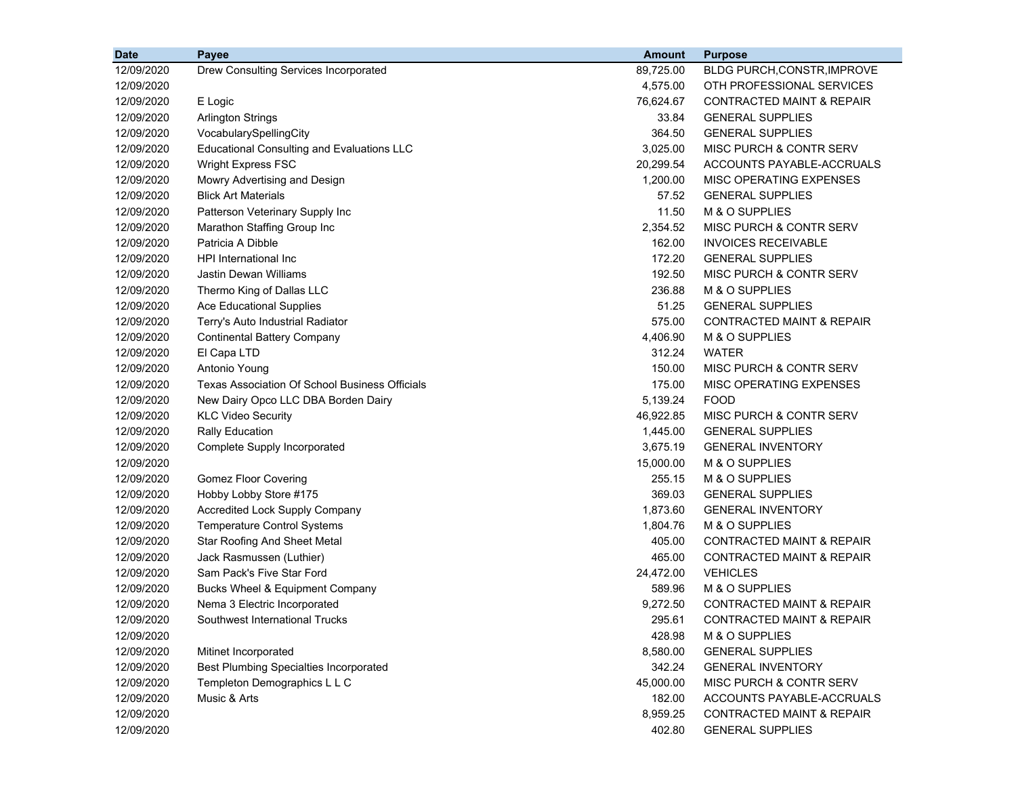| <b>Date</b> | <b>Payee</b>                                          | Amount    | <b>Purpose</b>                       |
|-------------|-------------------------------------------------------|-----------|--------------------------------------|
| 12/09/2020  | Drew Consulting Services Incorporated                 | 89,725.00 | BLDG PURCH, CONSTR, IMPROVE          |
| 12/09/2020  |                                                       | 4,575.00  | OTH PROFESSIONAL SERVICES            |
| 12/09/2020  | E Logic                                               | 76,624.67 | <b>CONTRACTED MAINT &amp; REPAIR</b> |
| 12/09/2020  | <b>Arlington Strings</b>                              | 33.84     | <b>GENERAL SUPPLIES</b>              |
| 12/09/2020  | VocabularySpellingCity                                | 364.50    | <b>GENERAL SUPPLIES</b>              |
| 12/09/2020  | <b>Educational Consulting and Evaluations LLC</b>     | 3,025.00  | MISC PURCH & CONTR SERV              |
| 12/09/2020  | Wright Express FSC                                    | 20,299.54 | ACCOUNTS PAYABLE-ACCRUALS            |
| 12/09/2020  | Mowry Advertising and Design                          | 1,200.00  | MISC OPERATING EXPENSES              |
| 12/09/2020  | <b>Blick Art Materials</b>                            | 57.52     | <b>GENERAL SUPPLIES</b>              |
| 12/09/2020  | Patterson Veterinary Supply Inc                       | 11.50     | M & O SUPPLIES                       |
| 12/09/2020  | Marathon Staffing Group Inc                           | 2,354.52  | <b>MISC PURCH &amp; CONTR SERV</b>   |
| 12/09/2020  | Patricia A Dibble                                     | 162.00    | <b>INVOICES RECEIVABLE</b>           |
| 12/09/2020  | HPI International Inc                                 | 172.20    | <b>GENERAL SUPPLIES</b>              |
| 12/09/2020  | Jastin Dewan Williams                                 | 192.50    | <b>MISC PURCH &amp; CONTR SERV</b>   |
| 12/09/2020  | Thermo King of Dallas LLC                             | 236.88    | M & O SUPPLIES                       |
| 12/09/2020  | <b>Ace Educational Supplies</b>                       | 51.25     | <b>GENERAL SUPPLIES</b>              |
| 12/09/2020  | Terry's Auto Industrial Radiator                      | 575.00    | <b>CONTRACTED MAINT &amp; REPAIR</b> |
| 12/09/2020  | <b>Continental Battery Company</b>                    | 4,406.90  | M & O SUPPLIES                       |
| 12/09/2020  | El Capa LTD                                           | 312.24    | <b>WATER</b>                         |
| 12/09/2020  | Antonio Young                                         | 150.00    | MISC PURCH & CONTR SERV              |
| 12/09/2020  | <b>Texas Association Of School Business Officials</b> | 175.00    | MISC OPERATING EXPENSES              |
| 12/09/2020  | New Dairy Opco LLC DBA Borden Dairy                   | 5,139.24  | <b>FOOD</b>                          |
| 12/09/2020  | <b>KLC Video Security</b>                             | 46,922.85 | MISC PURCH & CONTR SERV              |
| 12/09/2020  | <b>Rally Education</b>                                | 1,445.00  | <b>GENERAL SUPPLIES</b>              |
| 12/09/2020  | Complete Supply Incorporated                          | 3,675.19  | <b>GENERAL INVENTORY</b>             |
| 12/09/2020  |                                                       | 15,000.00 | M & O SUPPLIES                       |
| 12/09/2020  | <b>Gomez Floor Covering</b>                           | 255.15    | M & O SUPPLIES                       |
| 12/09/2020  | Hobby Lobby Store #175                                | 369.03    | <b>GENERAL SUPPLIES</b>              |
| 12/09/2020  | Accredited Lock Supply Company                        | 1,873.60  | <b>GENERAL INVENTORY</b>             |
| 12/09/2020  | <b>Temperature Control Systems</b>                    | 1,804.76  | M & O SUPPLIES                       |
| 12/09/2020  | Star Roofing And Sheet Metal                          | 405.00    | <b>CONTRACTED MAINT &amp; REPAIR</b> |
| 12/09/2020  | Jack Rasmussen (Luthier)                              | 465.00    | <b>CONTRACTED MAINT &amp; REPAIR</b> |
| 12/09/2020  | Sam Pack's Five Star Ford                             | 24,472.00 | <b>VEHICLES</b>                      |
| 12/09/2020  | Bucks Wheel & Equipment Company                       | 589.96    | M & O SUPPLIES                       |
| 12/09/2020  | Nema 3 Electric Incorporated                          | 9,272.50  | CONTRACTED MAINT & REPAIR            |
| 12/09/2020  | Southwest International Trucks                        | 295.61    | CONTRACTED MAINT & REPAIR            |
| 12/09/2020  |                                                       | 428.98    | M & O SUPPLIES                       |
| 12/09/2020  | Mitinet Incorporated                                  | 8,580.00  | <b>GENERAL SUPPLIES</b>              |
| 12/09/2020  | <b>Best Plumbing Specialties Incorporated</b>         | 342.24    | <b>GENERAL INVENTORY</b>             |
| 12/09/2020  | Templeton Demographics L L C                          | 45,000.00 | MISC PURCH & CONTR SERV              |
| 12/09/2020  | Music & Arts                                          | 182.00    | ACCOUNTS PAYABLE-ACCRUALS            |
| 12/09/2020  |                                                       | 8,959.25  | <b>CONTRACTED MAINT &amp; REPAIR</b> |
| 12/09/2020  |                                                       | 402.80    | <b>GENERAL SUPPLIES</b>              |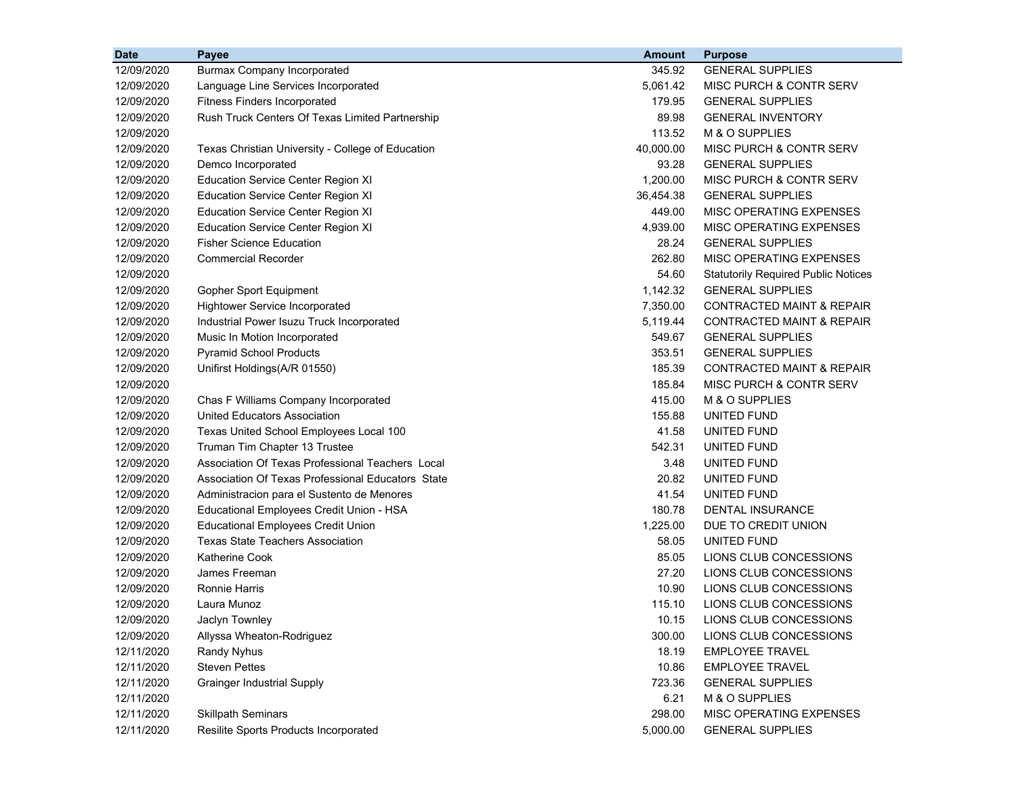| <b>Date</b> | <b>Payee</b>                                      | Amount    | <b>Purpose</b>                             |
|-------------|---------------------------------------------------|-----------|--------------------------------------------|
| 12/09/2020  | <b>Burmax Company Incorporated</b>                | 345.92    | <b>GENERAL SUPPLIES</b>                    |
| 12/09/2020  | Language Line Services Incorporated               | 5,061.42  | <b>MISC PURCH &amp; CONTR SERV</b>         |
| 12/09/2020  | <b>Fitness Finders Incorporated</b>               | 179.95    | <b>GENERAL SUPPLIES</b>                    |
| 12/09/2020  | Rush Truck Centers Of Texas Limited Partnership   | 89.98     | <b>GENERAL INVENTORY</b>                   |
| 12/09/2020  |                                                   | 113.52    | M & O SUPPLIES                             |
| 12/09/2020  | Texas Christian University - College of Education | 40,000.00 | MISC PURCH & CONTR SERV                    |
| 12/09/2020  | Demco Incorporated                                | 93.28     | <b>GENERAL SUPPLIES</b>                    |
| 12/09/2020  | <b>Education Service Center Region XI</b>         | 1,200.00  | <b>MISC PURCH &amp; CONTR SERV</b>         |
| 12/09/2020  | <b>Education Service Center Region XI</b>         | 36,454.38 | <b>GENERAL SUPPLIES</b>                    |
| 12/09/2020  | <b>Education Service Center Region XI</b>         | 449.00    | MISC OPERATING EXPENSES                    |
| 12/09/2020  | <b>Education Service Center Region XI</b>         | 4,939.00  | MISC OPERATING EXPENSES                    |
| 12/09/2020  | <b>Fisher Science Education</b>                   | 28.24     | <b>GENERAL SUPPLIES</b>                    |
| 12/09/2020  | <b>Commercial Recorder</b>                        | 262.80    | MISC OPERATING EXPENSES                    |
| 12/09/2020  |                                                   | 54.60     | <b>Statutorily Required Public Notices</b> |
| 12/09/2020  | Gopher Sport Equipment                            | 1,142.32  | <b>GENERAL SUPPLIES</b>                    |
| 12/09/2020  | Hightower Service Incorporated                    | 7,350.00  | <b>CONTRACTED MAINT &amp; REPAIR</b>       |
| 12/09/2020  | Industrial Power Isuzu Truck Incorporated         | 5,119.44  | <b>CONTRACTED MAINT &amp; REPAIR</b>       |
| 12/09/2020  | Music In Motion Incorporated                      | 549.67    | <b>GENERAL SUPPLIES</b>                    |
| 12/09/2020  | <b>Pyramid School Products</b>                    | 353.51    | <b>GENERAL SUPPLIES</b>                    |
| 12/09/2020  | Unifirst Holdings(A/R 01550)                      | 185.39    | <b>CONTRACTED MAINT &amp; REPAIR</b>       |
| 12/09/2020  |                                                   | 185.84    | <b>MISC PURCH &amp; CONTR SERV</b>         |
| 12/09/2020  | Chas F Williams Company Incorporated              | 415.00    | M & O SUPPLIES                             |
| 12/09/2020  | United Educators Association                      | 155.88    | UNITED FUND                                |
| 12/09/2020  | Texas United School Employees Local 100           | 41.58     | UNITED FUND                                |
| 12/09/2020  | Truman Tim Chapter 13 Trustee                     | 542.31    | UNITED FUND                                |
| 12/09/2020  | Association Of Texas Professional Teachers Local  | 3.48      | UNITED FUND                                |
| 12/09/2020  | Association Of Texas Professional Educators State | 20.82     | UNITED FUND                                |
| 12/09/2020  | Administracion para el Sustento de Menores        | 41.54     | UNITED FUND                                |
| 12/09/2020  | Educational Employees Credit Union - HSA          | 180.78    | <b>DENTAL INSURANCE</b>                    |
| 12/09/2020  | <b>Educational Employees Credit Union</b>         | 1,225.00  | DUE TO CREDIT UNION                        |
| 12/09/2020  | Texas State Teachers Association                  | 58.05     | UNITED FUND                                |
| 12/09/2020  | <b>Katherine Cook</b>                             | 85.05     | LIONS CLUB CONCESSIONS                     |
| 12/09/2020  | James Freeman                                     | 27.20     | LIONS CLUB CONCESSIONS                     |
| 12/09/2020  | <b>Ronnie Harris</b>                              | 10.90     | LIONS CLUB CONCESSIONS                     |
| 12/09/2020  | Laura Munoz                                       | 115.10    | LIONS CLUB CONCESSIONS                     |
| 12/09/2020  | Jaclyn Townley                                    | 10.15     | LIONS CLUB CONCESSIONS                     |
| 12/09/2020  | Allyssa Wheaton-Rodriguez                         | 300.00    | LIONS CLUB CONCESSIONS                     |
| 12/11/2020  | Randy Nyhus                                       | 18.19     | <b>EMPLOYEE TRAVEL</b>                     |
| 12/11/2020  | <b>Steven Pettes</b>                              | 10.86     | <b>EMPLOYEE TRAVEL</b>                     |
| 12/11/2020  | <b>Grainger Industrial Supply</b>                 | 723.36    | <b>GENERAL SUPPLIES</b>                    |
| 12/11/2020  |                                                   | 6.21      | M & O SUPPLIES                             |
| 12/11/2020  | <b>Skillpath Seminars</b>                         | 298.00    | MISC OPERATING EXPENSES                    |
| 12/11/2020  | Resilite Sports Products Incorporated             | 5,000.00  | <b>GENERAL SUPPLIES</b>                    |
|             |                                                   |           |                                            |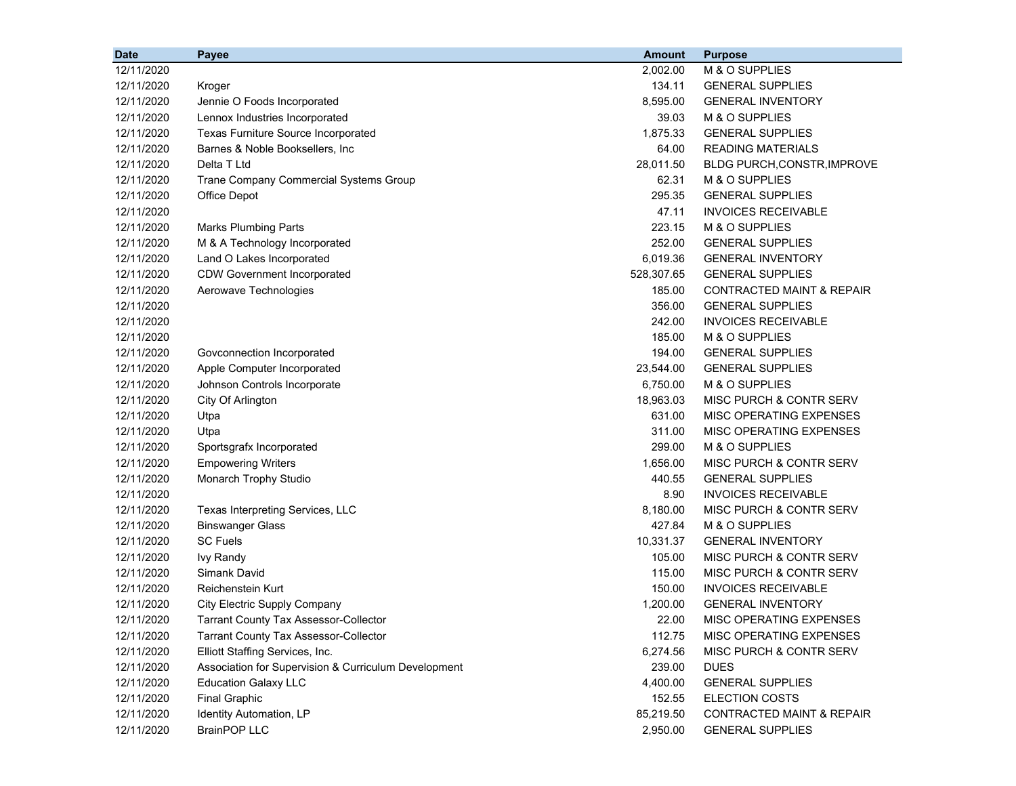| <b>Date</b> | Payee                                                | <b>Amount</b> | <b>Purpose</b>                       |
|-------------|------------------------------------------------------|---------------|--------------------------------------|
| 12/11/2020  |                                                      | 2,002.00      | M & O SUPPLIES                       |
| 12/11/2020  | Kroger                                               | 134.11        | <b>GENERAL SUPPLIES</b>              |
| 12/11/2020  | Jennie O Foods Incorporated                          | 8,595.00      | <b>GENERAL INVENTORY</b>             |
| 12/11/2020  | Lennox Industries Incorporated                       | 39.03         | M & O SUPPLIES                       |
| 12/11/2020  | Texas Furniture Source Incorporated                  | 1,875.33      | <b>GENERAL SUPPLIES</b>              |
| 12/11/2020  | Barnes & Noble Booksellers, Inc                      | 64.00         | <b>READING MATERIALS</b>             |
| 12/11/2020  | Delta T Ltd                                          | 28,011.50     | BLDG PURCH, CONSTR, IMPROVE          |
| 12/11/2020  | Trane Company Commercial Systems Group               | 62.31         | M & O SUPPLIES                       |
| 12/11/2020  | Office Depot                                         | 295.35        | <b>GENERAL SUPPLIES</b>              |
| 12/11/2020  |                                                      | 47.11         | <b>INVOICES RECEIVABLE</b>           |
| 12/11/2020  | <b>Marks Plumbing Parts</b>                          | 223.15        | M & O SUPPLIES                       |
| 12/11/2020  | M & A Technology Incorporated                        | 252.00        | <b>GENERAL SUPPLIES</b>              |
| 12/11/2020  | Land O Lakes Incorporated                            | 6,019.36      | <b>GENERAL INVENTORY</b>             |
| 12/11/2020  | <b>CDW Government Incorporated</b>                   | 528,307.65    | <b>GENERAL SUPPLIES</b>              |
| 12/11/2020  | Aerowave Technologies                                | 185.00        | CONTRACTED MAINT & REPAIR            |
| 12/11/2020  |                                                      | 356.00        | <b>GENERAL SUPPLIES</b>              |
| 12/11/2020  |                                                      | 242.00        | <b>INVOICES RECEIVABLE</b>           |
| 12/11/2020  |                                                      | 185.00        | M & O SUPPLIES                       |
| 12/11/2020  | Govconnection Incorporated                           | 194.00        | <b>GENERAL SUPPLIES</b>              |
| 12/11/2020  | Apple Computer Incorporated                          | 23,544.00     | <b>GENERAL SUPPLIES</b>              |
| 12/11/2020  | Johnson Controls Incorporate                         | 6,750.00      | M & O SUPPLIES                       |
| 12/11/2020  | City Of Arlington                                    | 18,963.03     | MISC PURCH & CONTR SERV              |
| 12/11/2020  | Utpa                                                 | 631.00        | MISC OPERATING EXPENSES              |
| 12/11/2020  | Utpa                                                 | 311.00        | MISC OPERATING EXPENSES              |
| 12/11/2020  | Sportsgrafx Incorporated                             | 299.00        | M & O SUPPLIES                       |
| 12/11/2020  | <b>Empowering Writers</b>                            | 1,656.00      | MISC PURCH & CONTR SERV              |
| 12/11/2020  | Monarch Trophy Studio                                | 440.55        | <b>GENERAL SUPPLIES</b>              |
| 12/11/2020  |                                                      | 8.90          | <b>INVOICES RECEIVABLE</b>           |
| 12/11/2020  | Texas Interpreting Services, LLC                     | 8,180.00      | MISC PURCH & CONTR SERV              |
| 12/11/2020  | <b>Binswanger Glass</b>                              | 427.84        | M & O SUPPLIES                       |
| 12/11/2020  | <b>SC Fuels</b>                                      | 10,331.37     | <b>GENERAL INVENTORY</b>             |
| 12/11/2020  | <b>Ivy Randy</b>                                     | 105.00        | MISC PURCH & CONTR SERV              |
| 12/11/2020  | Simank David                                         | 115.00        | MISC PURCH & CONTR SERV              |
| 12/11/2020  | Reichenstein Kurt                                    | 150.00        | <b>INVOICES RECEIVABLE</b>           |
| 12/11/2020  | City Electric Supply Company                         | 1,200.00      | <b>GENERAL INVENTORY</b>             |
| 12/11/2020  | Tarrant County Tax Assessor-Collector                | 22.00         | MISC OPERATING EXPENSES              |
| 12/11/2020  | <b>Tarrant County Tax Assessor-Collector</b>         | 112.75        | MISC OPERATING EXPENSES              |
| 12/11/2020  | Elliott Staffing Services, Inc.                      | 6,274.56      | MISC PURCH & CONTR SERV              |
| 12/11/2020  | Association for Supervision & Curriculum Development | 239.00        | <b>DUES</b>                          |
| 12/11/2020  | <b>Education Galaxy LLC</b>                          | 4,400.00      | <b>GENERAL SUPPLIES</b>              |
| 12/11/2020  | <b>Final Graphic</b>                                 | 152.55        | <b>ELECTION COSTS</b>                |
| 12/11/2020  | Identity Automation, LP                              | 85,219.50     | <b>CONTRACTED MAINT &amp; REPAIR</b> |
| 12/11/2020  | <b>BrainPOP LLC</b>                                  | 2,950.00      | <b>GENERAL SUPPLIES</b>              |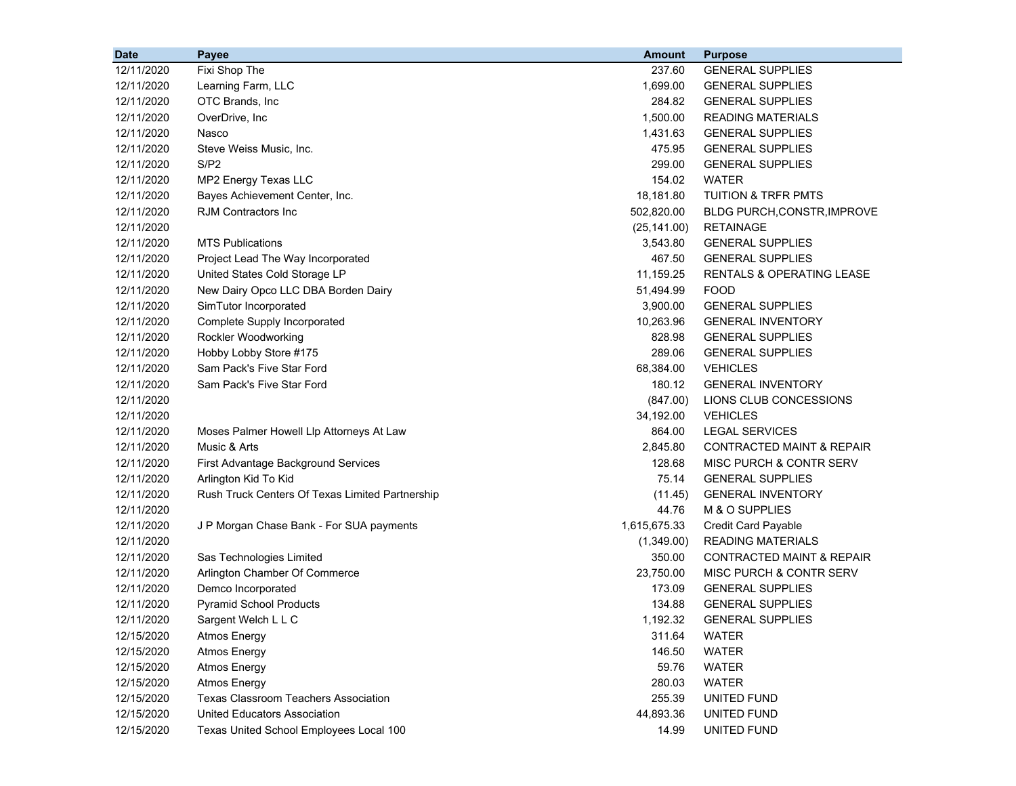| <b>Date</b> | Payee                                           | <b>Amount</b> | <b>Purpose</b>                       |
|-------------|-------------------------------------------------|---------------|--------------------------------------|
| 12/11/2020  | Fixi Shop The                                   | 237.60        | <b>GENERAL SUPPLIES</b>              |
| 12/11/2020  | Learning Farm, LLC                              | 1,699.00      | <b>GENERAL SUPPLIES</b>              |
| 12/11/2020  | OTC Brands, Inc                                 | 284.82        | <b>GENERAL SUPPLIES</b>              |
| 12/11/2020  | OverDrive, Inc                                  | 1,500.00      | <b>READING MATERIALS</b>             |
| 12/11/2020  | Nasco                                           | 1,431.63      | <b>GENERAL SUPPLIES</b>              |
| 12/11/2020  | Steve Weiss Music, Inc.                         | 475.95        | <b>GENERAL SUPPLIES</b>              |
| 12/11/2020  | S/P2                                            | 299.00        | <b>GENERAL SUPPLIES</b>              |
| 12/11/2020  | MP2 Energy Texas LLC                            | 154.02        | <b>WATER</b>                         |
| 12/11/2020  | Bayes Achievement Center, Inc.                  | 18,181.80     | TUITION & TRFR PMTS                  |
| 12/11/2020  | <b>RJM Contractors Inc</b>                      | 502,820.00    | BLDG PURCH, CONSTR, IMPROVE          |
| 12/11/2020  |                                                 | (25, 141.00)  | <b>RETAINAGE</b>                     |
| 12/11/2020  | <b>MTS Publications</b>                         | 3,543.80      | <b>GENERAL SUPPLIES</b>              |
| 12/11/2020  | Project Lead The Way Incorporated               | 467.50        | <b>GENERAL SUPPLIES</b>              |
| 12/11/2020  | United States Cold Storage LP                   | 11,159.25     | <b>RENTALS &amp; OPERATING LEASE</b> |
| 12/11/2020  | New Dairy Opco LLC DBA Borden Dairy             | 51,494.99     | <b>FOOD</b>                          |
| 12/11/2020  | SimTutor Incorporated                           | 3,900.00      | <b>GENERAL SUPPLIES</b>              |
| 12/11/2020  | Complete Supply Incorporated                    | 10,263.96     | <b>GENERAL INVENTORY</b>             |
| 12/11/2020  | Rockler Woodworking                             | 828.98        | <b>GENERAL SUPPLIES</b>              |
| 12/11/2020  | Hobby Lobby Store #175                          | 289.06        | <b>GENERAL SUPPLIES</b>              |
| 12/11/2020  | Sam Pack's Five Star Ford                       | 68,384.00     | <b>VEHICLES</b>                      |
| 12/11/2020  | Sam Pack's Five Star Ford                       | 180.12        | <b>GENERAL INVENTORY</b>             |
| 12/11/2020  |                                                 | (847.00)      | LIONS CLUB CONCESSIONS               |
| 12/11/2020  |                                                 | 34,192.00     | <b>VEHICLES</b>                      |
| 12/11/2020  | Moses Palmer Howell Llp Attorneys At Law        | 864.00        | <b>LEGAL SERVICES</b>                |
| 12/11/2020  | Music & Arts                                    | 2,845.80      | <b>CONTRACTED MAINT &amp; REPAIR</b> |
| 12/11/2020  | First Advantage Background Services             | 128.68        | MISC PURCH & CONTR SERV              |
| 12/11/2020  | Arlington Kid To Kid                            | 75.14         | <b>GENERAL SUPPLIES</b>              |
| 12/11/2020  | Rush Truck Centers Of Texas Limited Partnership | (11.45)       | <b>GENERAL INVENTORY</b>             |
| 12/11/2020  |                                                 | 44.76         | M & O SUPPLIES                       |
| 12/11/2020  | J P Morgan Chase Bank - For SUA payments        | 1,615,675.33  | <b>Credit Card Payable</b>           |
| 12/11/2020  |                                                 | (1,349.00)    | <b>READING MATERIALS</b>             |
| 12/11/2020  | Sas Technologies Limited                        | 350.00        | CONTRACTED MAINT & REPAIR            |
| 12/11/2020  | Arlington Chamber Of Commerce                   | 23,750.00     | MISC PURCH & CONTR SERV              |
| 12/11/2020  | Demco Incorporated                              | 173.09        | <b>GENERAL SUPPLIES</b>              |
| 12/11/2020  | <b>Pyramid School Products</b>                  | 134.88        | <b>GENERAL SUPPLIES</b>              |
| 12/11/2020  | Sargent Welch L L C                             | 1,192.32      | <b>GENERAL SUPPLIES</b>              |
| 12/15/2020  | <b>Atmos Energy</b>                             | 311.64        | WATER                                |
| 12/15/2020  | <b>Atmos Energy</b>                             | 146.50        | <b>WATER</b>                         |
| 12/15/2020  | <b>Atmos Energy</b>                             | 59.76         | <b>WATER</b>                         |
| 12/15/2020  | <b>Atmos Energy</b>                             | 280.03        | <b>WATER</b>                         |
| 12/15/2020  | <b>Texas Classroom Teachers Association</b>     | 255.39        | UNITED FUND                          |
| 12/15/2020  | United Educators Association                    | 44,893.36     | UNITED FUND                          |
| 12/15/2020  | Texas United School Employees Local 100         | 14.99         | UNITED FUND                          |
|             |                                                 |               |                                      |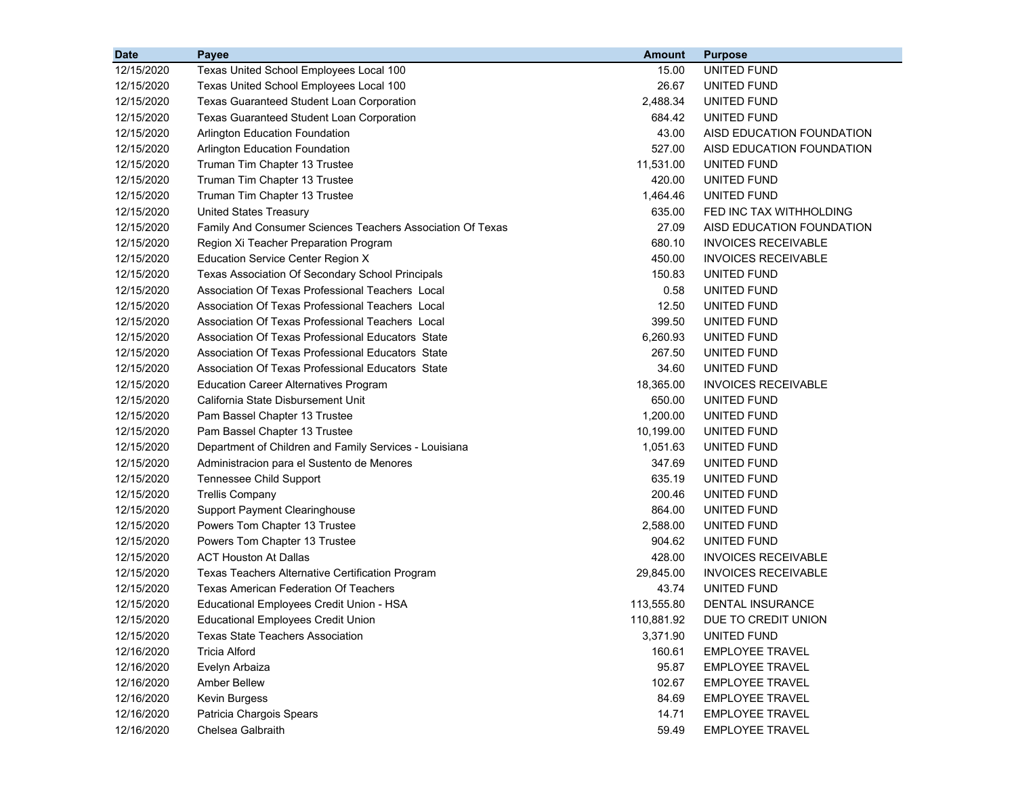| <b>Date</b> | Payee                                                      | <b>Amount</b> | <b>Purpose</b>             |
|-------------|------------------------------------------------------------|---------------|----------------------------|
| 12/15/2020  | Texas United School Employees Local 100                    | 15.00         | UNITED FUND                |
| 12/15/2020  | Texas United School Employees Local 100                    | 26.67         | UNITED FUND                |
| 12/15/2020  | <b>Texas Guaranteed Student Loan Corporation</b>           | 2,488.34      | UNITED FUND                |
| 12/15/2020  | Texas Guaranteed Student Loan Corporation                  | 684.42        | UNITED FUND                |
| 12/15/2020  | <b>Arlington Education Foundation</b>                      | 43.00         | AISD EDUCATION FOUNDATION  |
| 12/15/2020  | Arlington Education Foundation                             | 527.00        | AISD EDUCATION FOUNDATION  |
| 12/15/2020  | Truman Tim Chapter 13 Trustee                              | 11,531.00     | UNITED FUND                |
| 12/15/2020  | Truman Tim Chapter 13 Trustee                              | 420.00        | UNITED FUND                |
| 12/15/2020  | Truman Tim Chapter 13 Trustee                              | 1,464.46      | UNITED FUND                |
| 12/15/2020  | <b>United States Treasury</b>                              | 635.00        | FED INC TAX WITHHOLDING    |
| 12/15/2020  | Family And Consumer Sciences Teachers Association Of Texas | 27.09         | AISD EDUCATION FOUNDATION  |
| 12/15/2020  | Region Xi Teacher Preparation Program                      | 680.10        | <b>INVOICES RECEIVABLE</b> |
| 12/15/2020  | <b>Education Service Center Region X</b>                   | 450.00        | <b>INVOICES RECEIVABLE</b> |
| 12/15/2020  | Texas Association Of Secondary School Principals           | 150.83        | UNITED FUND                |
| 12/15/2020  | Association Of Texas Professional Teachers Local           | 0.58          | UNITED FUND                |
| 12/15/2020  | Association Of Texas Professional Teachers Local           | 12.50         | UNITED FUND                |
| 12/15/2020  | Association Of Texas Professional Teachers Local           | 399.50        | UNITED FUND                |
| 12/15/2020  | Association Of Texas Professional Educators State          | 6,260.93      | UNITED FUND                |
| 12/15/2020  | Association Of Texas Professional Educators State          | 267.50        | UNITED FUND                |
| 12/15/2020  | Association Of Texas Professional Educators State          | 34.60         | UNITED FUND                |
| 12/15/2020  | <b>Education Career Alternatives Program</b>               | 18,365.00     | <b>INVOICES RECEIVABLE</b> |
| 12/15/2020  | California State Disbursement Unit                         | 650.00        | UNITED FUND                |
| 12/15/2020  | Pam Bassel Chapter 13 Trustee                              | 1,200.00      | UNITED FUND                |
| 12/15/2020  | Pam Bassel Chapter 13 Trustee                              | 10,199.00     | UNITED FUND                |
| 12/15/2020  | Department of Children and Family Services - Louisiana     | 1,051.63      | UNITED FUND                |
| 12/15/2020  | Administracion para el Sustento de Menores                 | 347.69        | UNITED FUND                |
| 12/15/2020  | Tennessee Child Support                                    | 635.19        | UNITED FUND                |
| 12/15/2020  | <b>Trellis Company</b>                                     | 200.46        | UNITED FUND                |
| 12/15/2020  | <b>Support Payment Clearinghouse</b>                       | 864.00        | UNITED FUND                |
| 12/15/2020  | Powers Tom Chapter 13 Trustee                              | 2,588.00      | UNITED FUND                |
| 12/15/2020  | Powers Tom Chapter 13 Trustee                              | 904.62        | UNITED FUND                |
| 12/15/2020  | <b>ACT Houston At Dallas</b>                               | 428.00        | <b>INVOICES RECEIVABLE</b> |
| 12/15/2020  | Texas Teachers Alternative Certification Program           | 29,845.00     | <b>INVOICES RECEIVABLE</b> |
| 12/15/2020  | <b>Texas American Federation Of Teachers</b>               | 43.74         | UNITED FUND                |
| 12/15/2020  | Educational Employees Credit Union - HSA                   | 113,555.80    | DENTAL INSURANCE           |
| 12/15/2020  | <b>Educational Employees Credit Union</b>                  | 110,881.92    | DUE TO CREDIT UNION        |
| 12/15/2020  | <b>Texas State Teachers Association</b>                    | 3,371.90      | UNITED FUND                |
| 12/16/2020  | <b>Tricia Alford</b>                                       | 160.61        | <b>EMPLOYEE TRAVEL</b>     |
| 12/16/2020  | Evelyn Arbaiza                                             | 95.87         | <b>EMPLOYEE TRAVEL</b>     |
| 12/16/2020  | Amber Bellew                                               | 102.67        | <b>EMPLOYEE TRAVEL</b>     |
| 12/16/2020  | Kevin Burgess                                              | 84.69         | <b>EMPLOYEE TRAVEL</b>     |
| 12/16/2020  | Patricia Chargois Spears                                   | 14.71         | <b>EMPLOYEE TRAVEL</b>     |
| 12/16/2020  | Chelsea Galbraith                                          | 59.49         | <b>EMPLOYEE TRAVEL</b>     |
|             |                                                            |               |                            |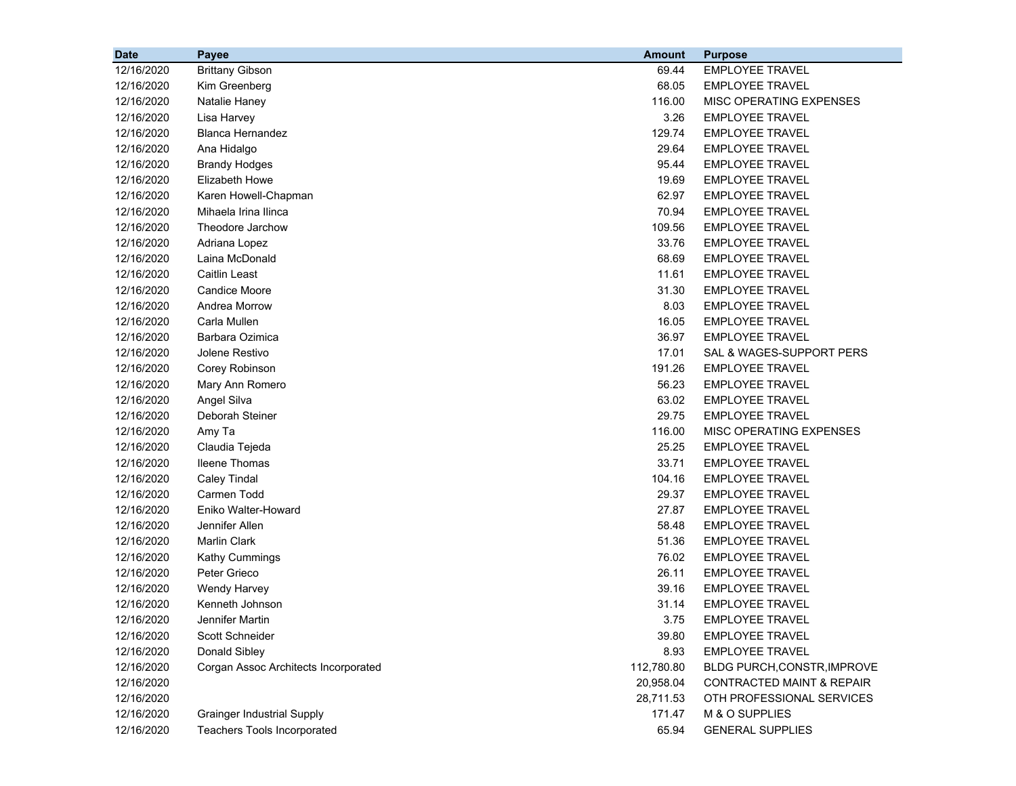| <b>Date</b> | Payee                                | <b>Amount</b> | <b>Purpose</b>                       |
|-------------|--------------------------------------|---------------|--------------------------------------|
| 12/16/2020  | <b>Brittany Gibson</b>               | 69.44         | <b>EMPLOYEE TRAVEL</b>               |
| 12/16/2020  | Kim Greenberg                        | 68.05         | <b>EMPLOYEE TRAVEL</b>               |
| 12/16/2020  | Natalie Haney                        | 116.00        | MISC OPERATING EXPENSES              |
| 12/16/2020  | Lisa Harvey                          | 3.26          | <b>EMPLOYEE TRAVEL</b>               |
| 12/16/2020  | <b>Blanca Hernandez</b>              | 129.74        | <b>EMPLOYEE TRAVEL</b>               |
| 12/16/2020  | Ana Hidalgo                          | 29.64         | <b>EMPLOYEE TRAVEL</b>               |
| 12/16/2020  | <b>Brandy Hodges</b>                 | 95.44         | <b>EMPLOYEE TRAVEL</b>               |
| 12/16/2020  | <b>Elizabeth Howe</b>                | 19.69         | <b>EMPLOYEE TRAVEL</b>               |
| 12/16/2020  | Karen Howell-Chapman                 | 62.97         | <b>EMPLOYEE TRAVEL</b>               |
| 12/16/2020  | Mihaela Irina Ilinca                 | 70.94         | <b>EMPLOYEE TRAVEL</b>               |
| 12/16/2020  | Theodore Jarchow                     | 109.56        | <b>EMPLOYEE TRAVEL</b>               |
| 12/16/2020  | Adriana Lopez                        | 33.76         | <b>EMPLOYEE TRAVEL</b>               |
| 12/16/2020  | Laina McDonald                       | 68.69         | <b>EMPLOYEE TRAVEL</b>               |
| 12/16/2020  | <b>Caitlin Least</b>                 | 11.61         | <b>EMPLOYEE TRAVEL</b>               |
| 12/16/2020  | <b>Candice Moore</b>                 | 31.30         | <b>EMPLOYEE TRAVEL</b>               |
| 12/16/2020  | Andrea Morrow                        | 8.03          | <b>EMPLOYEE TRAVEL</b>               |
| 12/16/2020  | Carla Mullen                         | 16.05         | <b>EMPLOYEE TRAVEL</b>               |
| 12/16/2020  | Barbara Ozimica                      | 36.97         | <b>EMPLOYEE TRAVEL</b>               |
| 12/16/2020  | Jolene Restivo                       | 17.01         | SAL & WAGES-SUPPORT PERS             |
| 12/16/2020  | Corey Robinson                       | 191.26        | <b>EMPLOYEE TRAVEL</b>               |
| 12/16/2020  | Mary Ann Romero                      | 56.23         | <b>EMPLOYEE TRAVEL</b>               |
| 12/16/2020  | Angel Silva                          | 63.02         | <b>EMPLOYEE TRAVEL</b>               |
| 12/16/2020  | Deborah Steiner                      | 29.75         | <b>EMPLOYEE TRAVEL</b>               |
| 12/16/2020  | Amy Ta                               | 116.00        | MISC OPERATING EXPENSES              |
| 12/16/2020  | Claudia Tejeda                       | 25.25         | <b>EMPLOYEE TRAVEL</b>               |
| 12/16/2020  | <b>Ileene Thomas</b>                 | 33.71         | <b>EMPLOYEE TRAVEL</b>               |
| 12/16/2020  | <b>Caley Tindal</b>                  | 104.16        | EMPLOYEE TRAVEL                      |
| 12/16/2020  | Carmen Todd                          | 29.37         | <b>EMPLOYEE TRAVEL</b>               |
| 12/16/2020  | Eniko Walter-Howard                  | 27.87         | <b>EMPLOYEE TRAVEL</b>               |
| 12/16/2020  | Jennifer Allen                       | 58.48         | <b>EMPLOYEE TRAVEL</b>               |
| 12/16/2020  | <b>Marlin Clark</b>                  | 51.36         | <b>EMPLOYEE TRAVEL</b>               |
| 12/16/2020  | <b>Kathy Cummings</b>                | 76.02         | <b>EMPLOYEE TRAVEL</b>               |
| 12/16/2020  | Peter Grieco                         | 26.11         | <b>EMPLOYEE TRAVEL</b>               |
| 12/16/2020  | <b>Wendy Harvey</b>                  | 39.16         | <b>EMPLOYEE TRAVEL</b>               |
| 12/16/2020  | Kenneth Johnson                      | 31.14         | <b>EMPLOYEE TRAVEL</b>               |
| 12/16/2020  | Jennifer Martin                      | 3.75          | <b>EMPLOYEE TRAVEL</b>               |
| 12/16/2020  | Scott Schneider                      | 39.80         | <b>EMPLOYEE TRAVEL</b>               |
| 12/16/2020  | Donald Sibley                        | 8.93          | <b>EMPLOYEE TRAVEL</b>               |
| 12/16/2020  | Corgan Assoc Architects Incorporated | 112,780.80    | BLDG PURCH, CONSTR, IMPROVE          |
| 12/16/2020  |                                      | 20,958.04     | <b>CONTRACTED MAINT &amp; REPAIR</b> |
| 12/16/2020  |                                      | 28,711.53     | OTH PROFESSIONAL SERVICES            |
| 12/16/2020  | <b>Grainger Industrial Supply</b>    | 171.47        | M & O SUPPLIES                       |
| 12/16/2020  | <b>Teachers Tools Incorporated</b>   | 65.94         | <b>GENERAL SUPPLIES</b>              |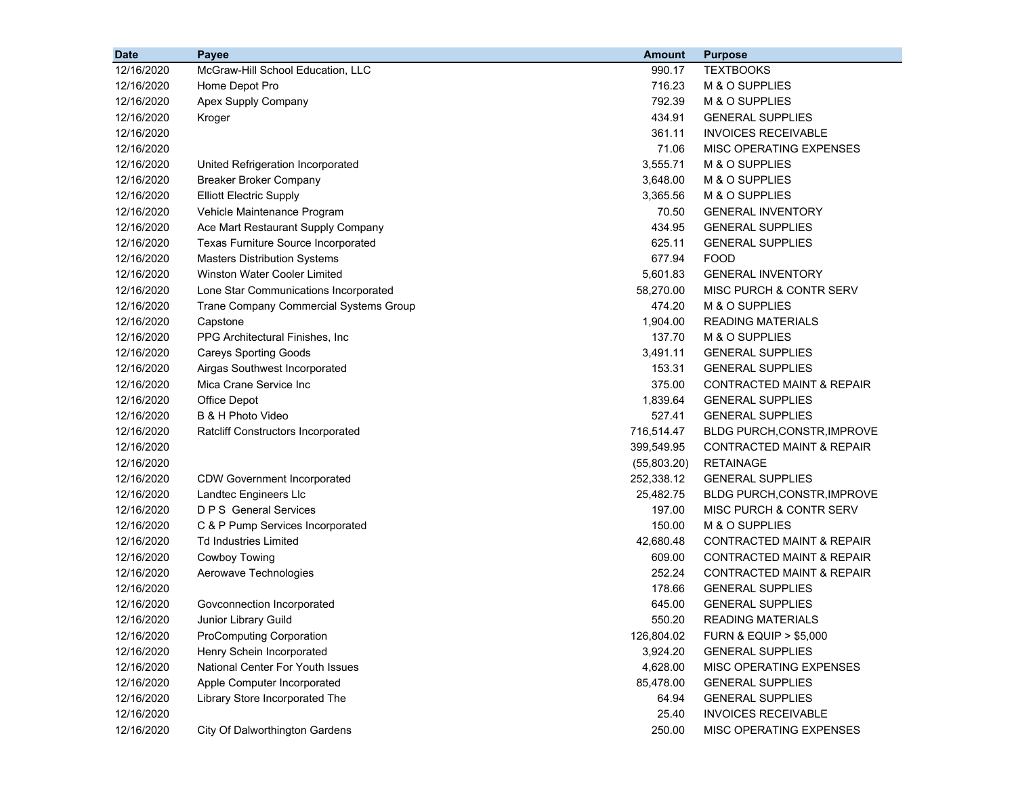| <b>Date</b> | Payee                                  | <b>Amount</b> | <b>Purpose</b>                       |
|-------------|----------------------------------------|---------------|--------------------------------------|
| 12/16/2020  | McGraw-Hill School Education, LLC      | 990.17        | <b>TEXTBOOKS</b>                     |
| 12/16/2020  | Home Depot Pro                         | 716.23        | M & O SUPPLIES                       |
| 12/16/2020  | Apex Supply Company                    | 792.39        | M & O SUPPLIES                       |
| 12/16/2020  | Kroger                                 | 434.91        | <b>GENERAL SUPPLIES</b>              |
| 12/16/2020  |                                        | 361.11        | <b>INVOICES RECEIVABLE</b>           |
| 12/16/2020  |                                        | 71.06         | MISC OPERATING EXPENSES              |
| 12/16/2020  | United Refrigeration Incorporated      | 3,555.71      | M & O SUPPLIES                       |
| 12/16/2020  | <b>Breaker Broker Company</b>          | 3,648.00      | M & O SUPPLIES                       |
| 12/16/2020  | <b>Elliott Electric Supply</b>         | 3,365.56      | M & O SUPPLIES                       |
| 12/16/2020  | Vehicle Maintenance Program            | 70.50         | <b>GENERAL INVENTORY</b>             |
| 12/16/2020  | Ace Mart Restaurant Supply Company     | 434.95        | <b>GENERAL SUPPLIES</b>              |
| 12/16/2020  | Texas Furniture Source Incorporated    | 625.11        | <b>GENERAL SUPPLIES</b>              |
| 12/16/2020  | <b>Masters Distribution Systems</b>    | 677.94        | <b>FOOD</b>                          |
| 12/16/2020  | Winston Water Cooler Limited           | 5,601.83      | <b>GENERAL INVENTORY</b>             |
| 12/16/2020  | Lone Star Communications Incorporated  | 58,270.00     | MISC PURCH & CONTR SERV              |
| 12/16/2020  | Trane Company Commercial Systems Group | 474.20        | M & O SUPPLIES                       |
| 12/16/2020  | Capstone                               | 1,904.00      | <b>READING MATERIALS</b>             |
| 12/16/2020  | PPG Architectural Finishes, Inc        | 137.70        | M & O SUPPLIES                       |
| 12/16/2020  | <b>Careys Sporting Goods</b>           | 3,491.11      | <b>GENERAL SUPPLIES</b>              |
| 12/16/2020  | Airgas Southwest Incorporated          | 153.31        | <b>GENERAL SUPPLIES</b>              |
| 12/16/2020  | Mica Crane Service Inc                 | 375.00        | <b>CONTRACTED MAINT &amp; REPAIR</b> |
| 12/16/2020  | Office Depot                           | 1,839.64      | <b>GENERAL SUPPLIES</b>              |
| 12/16/2020  | B & H Photo Video                      | 527.41        | <b>GENERAL SUPPLIES</b>              |
| 12/16/2020  | Ratcliff Constructors Incorporated     | 716,514.47    | BLDG PURCH, CONSTR, IMPROVE          |
| 12/16/2020  |                                        | 399,549.95    | <b>CONTRACTED MAINT &amp; REPAIR</b> |
| 12/16/2020  |                                        | (55,803.20)   | <b>RETAINAGE</b>                     |
| 12/16/2020  | <b>CDW Government Incorporated</b>     | 252,338.12    | <b>GENERAL SUPPLIES</b>              |
| 12/16/2020  | Landtec Engineers Llc                  | 25,482.75     | <b>BLDG PURCH, CONSTR, IMPROVE</b>   |
| 12/16/2020  | <b>D P S</b> General Services          | 197.00        | MISC PURCH & CONTR SERV              |
| 12/16/2020  | C & P Pump Services Incorporated       | 150.00        | M & O SUPPLIES                       |
| 12/16/2020  | <b>Td Industries Limited</b>           | 42,680.48     | <b>CONTRACTED MAINT &amp; REPAIR</b> |
| 12/16/2020  | <b>Cowboy Towing</b>                   | 609.00        | <b>CONTRACTED MAINT &amp; REPAIR</b> |
| 12/16/2020  | Aerowave Technologies                  | 252.24        | <b>CONTRACTED MAINT &amp; REPAIR</b> |
| 12/16/2020  |                                        | 178.66        | <b>GENERAL SUPPLIES</b>              |
| 12/16/2020  | Govconnection Incorporated             | 645.00        | <b>GENERAL SUPPLIES</b>              |
| 12/16/2020  | Junior Library Guild                   | 550.20        | READING MATERIALS                    |
| 12/16/2020  | <b>ProComputing Corporation</b>        | 126,804.02    | <b>FURN &amp; EQUIP &gt; \$5,000</b> |
| 12/16/2020  | Henry Schein Incorporated              | 3,924.20      | <b>GENERAL SUPPLIES</b>              |
| 12/16/2020  | National Center For Youth Issues       | 4,628.00      | MISC OPERATING EXPENSES              |
| 12/16/2020  | Apple Computer Incorporated            | 85,478.00     | <b>GENERAL SUPPLIES</b>              |
| 12/16/2020  | Library Store Incorporated The         | 64.94         | <b>GENERAL SUPPLIES</b>              |
| 12/16/2020  |                                        | 25.40         | <b>INVOICES RECEIVABLE</b>           |
| 12/16/2020  | City Of Dalworthington Gardens         | 250.00        | MISC OPERATING EXPENSES              |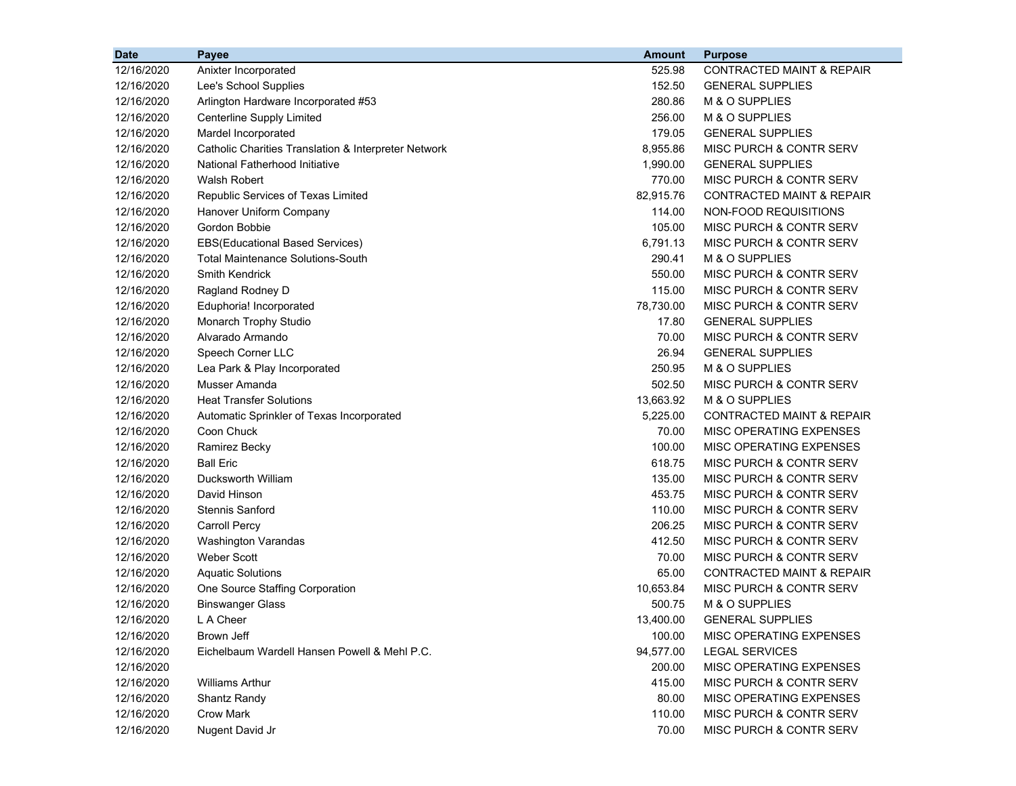| <b>Date</b> | <b>Payee</b>                                         | <b>Amount</b> | <b>Purpose</b>                       |
|-------------|------------------------------------------------------|---------------|--------------------------------------|
| 12/16/2020  | Anixter Incorporated                                 | 525.98        | <b>CONTRACTED MAINT &amp; REPAIR</b> |
| 12/16/2020  | Lee's School Supplies                                | 152.50        | <b>GENERAL SUPPLIES</b>              |
| 12/16/2020  | Arlington Hardware Incorporated #53                  | 280.86        | M & O SUPPLIES                       |
| 12/16/2020  | <b>Centerline Supply Limited</b>                     | 256.00        | M & O SUPPLIES                       |
| 12/16/2020  | Mardel Incorporated                                  | 179.05        | <b>GENERAL SUPPLIES</b>              |
| 12/16/2020  | Catholic Charities Translation & Interpreter Network | 8,955.86      | MISC PURCH & CONTR SERV              |
| 12/16/2020  | National Fatherhood Initiative                       | 1,990.00      | <b>GENERAL SUPPLIES</b>              |
| 12/16/2020  | <b>Walsh Robert</b>                                  | 770.00        | MISC PURCH & CONTR SERV              |
| 12/16/2020  | Republic Services of Texas Limited                   | 82,915.76     | <b>CONTRACTED MAINT &amp; REPAIR</b> |
| 12/16/2020  | Hanover Uniform Company                              | 114.00        | NON-FOOD REQUISITIONS                |
| 12/16/2020  | Gordon Bobbie                                        | 105.00        | <b>MISC PURCH &amp; CONTR SERV</b>   |
| 12/16/2020  | <b>EBS(Educational Based Services)</b>               | 6,791.13      | MISC PURCH & CONTR SERV              |
| 12/16/2020  | <b>Total Maintenance Solutions-South</b>             | 290.41        | M & O SUPPLIES                       |
| 12/16/2020  | <b>Smith Kendrick</b>                                | 550.00        | MISC PURCH & CONTR SERV              |
| 12/16/2020  | Ragland Rodney D                                     | 115.00        | MISC PURCH & CONTR SERV              |
| 12/16/2020  | Eduphoria! Incorporated                              | 78,730.00     | MISC PURCH & CONTR SERV              |
| 12/16/2020  | Monarch Trophy Studio                                | 17.80         | <b>GENERAL SUPPLIES</b>              |
| 12/16/2020  | Alvarado Armando                                     | 70.00         | MISC PURCH & CONTR SERV              |
| 12/16/2020  | Speech Corner LLC                                    | 26.94         | <b>GENERAL SUPPLIES</b>              |
| 12/16/2020  | Lea Park & Play Incorporated                         | 250.95        | M & O SUPPLIES                       |
| 12/16/2020  | Musser Amanda                                        | 502.50        | MISC PURCH & CONTR SERV              |
| 12/16/2020  | <b>Heat Transfer Solutions</b>                       | 13,663.92     | M & O SUPPLIES                       |
| 12/16/2020  | Automatic Sprinkler of Texas Incorporated            | 5,225.00      | <b>CONTRACTED MAINT &amp; REPAIR</b> |
| 12/16/2020  | Coon Chuck                                           | 70.00         | MISC OPERATING EXPENSES              |
| 12/16/2020  | Ramirez Becky                                        | 100.00        | MISC OPERATING EXPENSES              |
| 12/16/2020  | <b>Ball Eric</b>                                     | 618.75        | MISC PURCH & CONTR SERV              |
| 12/16/2020  | Ducksworth William                                   | 135.00        | MISC PURCH & CONTR SERV              |
| 12/16/2020  | David Hinson                                         | 453.75        | MISC PURCH & CONTR SERV              |
| 12/16/2020  | <b>Stennis Sanford</b>                               | 110.00        | MISC PURCH & CONTR SERV              |
| 12/16/2020  | <b>Carroll Percy</b>                                 | 206.25        | MISC PURCH & CONTR SERV              |
| 12/16/2020  | Washington Varandas                                  | 412.50        | MISC PURCH & CONTR SERV              |
| 12/16/2020  | <b>Weber Scott</b>                                   | 70.00         | MISC PURCH & CONTR SERV              |
| 12/16/2020  | <b>Aquatic Solutions</b>                             | 65.00         | <b>CONTRACTED MAINT &amp; REPAIR</b> |
| 12/16/2020  | One Source Staffing Corporation                      | 10,653.84     | MISC PURCH & CONTR SERV              |
| 12/16/2020  | <b>Binswanger Glass</b>                              | 500.75        | M & O SUPPLIES                       |
| 12/16/2020  | L A Cheer                                            | 13,400.00     | <b>GENERAL SUPPLIES</b>              |
| 12/16/2020  | <b>Brown Jeff</b>                                    | 100.00        | MISC OPERATING EXPENSES              |
| 12/16/2020  | Eichelbaum Wardell Hansen Powell & Mehl P.C.         | 94,577.00     | <b>LEGAL SERVICES</b>                |
| 12/16/2020  |                                                      | 200.00        | MISC OPERATING EXPENSES              |
| 12/16/2020  | <b>Williams Arthur</b>                               | 415.00        | MISC PURCH & CONTR SERV              |
| 12/16/2020  | Shantz Randy                                         | 80.00         | MISC OPERATING EXPENSES              |
| 12/16/2020  | <b>Crow Mark</b>                                     | 110.00        | MISC PURCH & CONTR SERV              |
| 12/16/2020  | Nugent David Jr                                      | 70.00         | MISC PURCH & CONTR SERV              |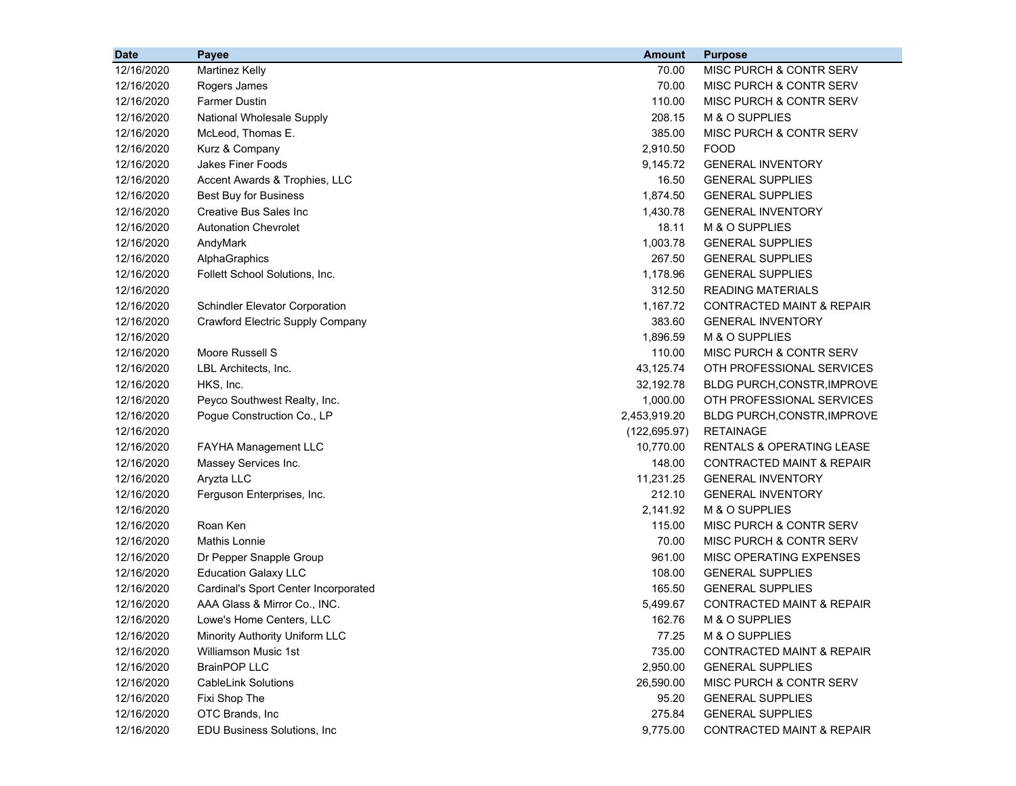| <b>Date</b> | Payee                                   | <b>Amount</b> | <b>Purpose</b>                       |
|-------------|-----------------------------------------|---------------|--------------------------------------|
| 12/16/2020  | Martinez Kelly                          | 70.00         | MISC PURCH & CONTR SERV              |
| 12/16/2020  | Rogers James                            | 70.00         | MISC PURCH & CONTR SERV              |
| 12/16/2020  | <b>Farmer Dustin</b>                    | 110.00        | MISC PURCH & CONTR SERV              |
| 12/16/2020  | National Wholesale Supply               | 208.15        | M & O SUPPLIES                       |
| 12/16/2020  | McLeod, Thomas E.                       | 385.00        | MISC PURCH & CONTR SERV              |
| 12/16/2020  | Kurz & Company                          | 2,910.50      | <b>FOOD</b>                          |
| 12/16/2020  | <b>Jakes Finer Foods</b>                | 9,145.72      | <b>GENERAL INVENTORY</b>             |
| 12/16/2020  | Accent Awards & Trophies, LLC           | 16.50         | <b>GENERAL SUPPLIES</b>              |
| 12/16/2020  | <b>Best Buy for Business</b>            | 1,874.50      | <b>GENERAL SUPPLIES</b>              |
| 12/16/2020  | Creative Bus Sales Inc                  | 1,430.78      | <b>GENERAL INVENTORY</b>             |
| 12/16/2020  | <b>Autonation Chevrolet</b>             | 18.11         | M & O SUPPLIES                       |
| 12/16/2020  | AndyMark                                | 1,003.78      | <b>GENERAL SUPPLIES</b>              |
| 12/16/2020  | AlphaGraphics                           | 267.50        | <b>GENERAL SUPPLIES</b>              |
| 12/16/2020  | Follett School Solutions, Inc.          | 1,178.96      | <b>GENERAL SUPPLIES</b>              |
| 12/16/2020  |                                         | 312.50        | <b>READING MATERIALS</b>             |
| 12/16/2020  | <b>Schindler Elevator Corporation</b>   | 1,167.72      | <b>CONTRACTED MAINT &amp; REPAIR</b> |
| 12/16/2020  | <b>Crawford Electric Supply Company</b> | 383.60        | <b>GENERAL INVENTORY</b>             |
| 12/16/2020  |                                         | 1,896.59      | M & O SUPPLIES                       |
| 12/16/2020  | Moore Russell S                         | 110.00        | MISC PURCH & CONTR SERV              |
| 12/16/2020  | LBL Architects, Inc.                    | 43,125.74     | OTH PROFESSIONAL SERVICES            |
| 12/16/2020  | HKS, Inc.                               | 32,192.78     | BLDG PURCH, CONSTR, IMPROVE          |
| 12/16/2020  | Peyco Southwest Realty, Inc.            | 1,000.00      | OTH PROFESSIONAL SERVICES            |
| 12/16/2020  | Pogue Construction Co., LP              | 2,453,919.20  | BLDG PURCH, CONSTR, IMPROVE          |
| 12/16/2020  |                                         | (122, 695.97) | <b>RETAINAGE</b>                     |
| 12/16/2020  | FAYHA Management LLC                    | 10,770.00     | <b>RENTALS &amp; OPERATING LEASE</b> |
| 12/16/2020  | Massey Services Inc.                    | 148.00        | CONTRACTED MAINT & REPAIR            |
| 12/16/2020  | Aryzta LLC                              | 11,231.25     | <b>GENERAL INVENTORY</b>             |
| 12/16/2020  | Ferguson Enterprises, Inc.              | 212.10        | <b>GENERAL INVENTORY</b>             |
| 12/16/2020  |                                         | 2,141.92      | M & O SUPPLIES                       |
| 12/16/2020  | Roan Ken                                | 115.00        | MISC PURCH & CONTR SERV              |
| 12/16/2020  | <b>Mathis Lonnie</b>                    | 70.00         | MISC PURCH & CONTR SERV              |
| 12/16/2020  | Dr Pepper Snapple Group                 | 961.00        | <b>MISC OPERATING EXPENSES</b>       |
| 12/16/2020  | <b>Education Galaxy LLC</b>             | 108.00        | <b>GENERAL SUPPLIES</b>              |
| 12/16/2020  | Cardinal's Sport Center Incorporated    | 165.50        | <b>GENERAL SUPPLIES</b>              |
| 12/16/2020  | AAA Glass & Mirror Co., INC.            | 5,499.67      | <b>CONTRACTED MAINT &amp; REPAIR</b> |
| 12/16/2020  | Lowe's Home Centers, LLC                | 162.76        | M & O SUPPLIES                       |
| 12/16/2020  | Minority Authority Uniform LLC          | 77.25         | M & O SUPPLIES                       |
| 12/16/2020  | <b>Williamson Music 1st</b>             | 735.00        | <b>CONTRACTED MAINT &amp; REPAIR</b> |
| 12/16/2020  | <b>BrainPOP LLC</b>                     | 2,950.00      | <b>GENERAL SUPPLIES</b>              |
| 12/16/2020  | <b>CableLink Solutions</b>              | 26,590.00     | MISC PURCH & CONTR SERV              |
| 12/16/2020  | Fixi Shop The                           | 95.20         | <b>GENERAL SUPPLIES</b>              |
| 12/16/2020  | OTC Brands, Inc                         | 275.84        | <b>GENERAL SUPPLIES</b>              |
| 12/16/2020  | EDU Business Solutions, Inc             | 9,775.00      | CONTRACTED MAINT & REPAIR            |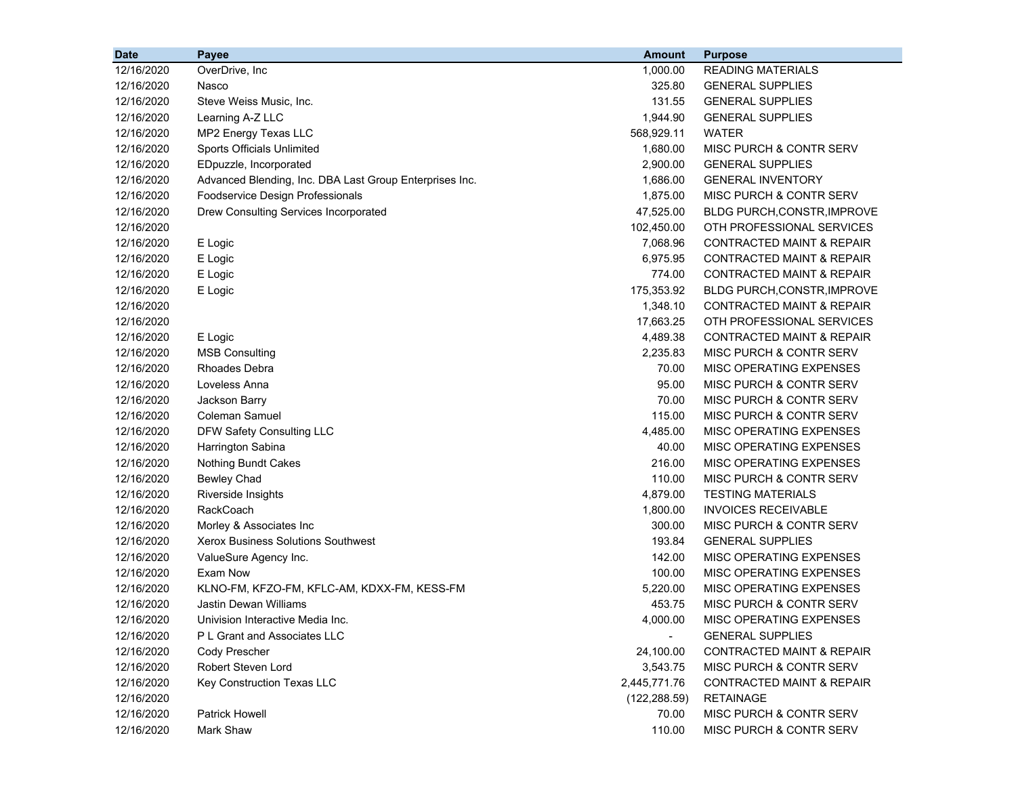| <b>Date</b> | Payee                                                   | <b>Amount</b>            | <b>Purpose</b>                       |
|-------------|---------------------------------------------------------|--------------------------|--------------------------------------|
| 12/16/2020  | OverDrive, Inc.                                         | 1,000.00                 | <b>READING MATERIALS</b>             |
| 12/16/2020  | Nasco                                                   | 325.80                   | <b>GENERAL SUPPLIES</b>              |
| 12/16/2020  | Steve Weiss Music, Inc.                                 | 131.55                   | <b>GENERAL SUPPLIES</b>              |
| 12/16/2020  | Learning A-Z LLC                                        | 1,944.90                 | <b>GENERAL SUPPLIES</b>              |
| 12/16/2020  | MP2 Energy Texas LLC                                    | 568,929.11               | <b>WATER</b>                         |
| 12/16/2020  | Sports Officials Unlimited                              | 1,680.00                 | MISC PURCH & CONTR SERV              |
| 12/16/2020  | EDpuzzle, Incorporated                                  | 2,900.00                 | <b>GENERAL SUPPLIES</b>              |
| 12/16/2020  | Advanced Blending, Inc. DBA Last Group Enterprises Inc. | 1,686.00                 | <b>GENERAL INVENTORY</b>             |
| 12/16/2020  | Foodservice Design Professionals                        | 1,875.00                 | MISC PURCH & CONTR SERV              |
| 12/16/2020  | Drew Consulting Services Incorporated                   | 47,525.00                | BLDG PURCH, CONSTR, IMPROVE          |
| 12/16/2020  |                                                         | 102,450.00               | OTH PROFESSIONAL SERVICES            |
| 12/16/2020  | E Logic                                                 | 7,068.96                 | <b>CONTRACTED MAINT &amp; REPAIR</b> |
| 12/16/2020  | E Logic                                                 | 6,975.95                 | <b>CONTRACTED MAINT &amp; REPAIR</b> |
| 12/16/2020  | E Logic                                                 | 774.00                   | <b>CONTRACTED MAINT &amp; REPAIR</b> |
| 12/16/2020  | E Logic                                                 | 175,353.92               | <b>BLDG PURCH, CONSTR, IMPROVE</b>   |
| 12/16/2020  |                                                         | 1,348.10                 | CONTRACTED MAINT & REPAIR            |
| 12/16/2020  |                                                         | 17,663.25                | OTH PROFESSIONAL SERVICES            |
| 12/16/2020  | E Logic                                                 | 4,489.38                 | <b>CONTRACTED MAINT &amp; REPAIR</b> |
| 12/16/2020  | <b>MSB Consulting</b>                                   | 2,235.83                 | MISC PURCH & CONTR SERV              |
| 12/16/2020  | Rhoades Debra                                           | 70.00                    | MISC OPERATING EXPENSES              |
| 12/16/2020  | Loveless Anna                                           | 95.00                    | MISC PURCH & CONTR SERV              |
| 12/16/2020  | Jackson Barry                                           | 70.00                    | MISC PURCH & CONTR SERV              |
| 12/16/2020  | <b>Coleman Samuel</b>                                   | 115.00                   | MISC PURCH & CONTR SERV              |
| 12/16/2020  | DFW Safety Consulting LLC                               | 4,485.00                 | MISC OPERATING EXPENSES              |
| 12/16/2020  | Harrington Sabina                                       | 40.00                    | <b>MISC OPERATING EXPENSES</b>       |
| 12/16/2020  | <b>Nothing Bundt Cakes</b>                              | 216.00                   | MISC OPERATING EXPENSES              |
| 12/16/2020  | <b>Bewley Chad</b>                                      | 110.00                   | <b>MISC PURCH &amp; CONTR SERV</b>   |
| 12/16/2020  | Riverside Insights                                      | 4,879.00                 | <b>TESTING MATERIALS</b>             |
| 12/16/2020  | <b>RackCoach</b>                                        | 1,800.00                 | <b>INVOICES RECEIVABLE</b>           |
| 12/16/2020  | Morley & Associates Inc                                 | 300.00                   | MISC PURCH & CONTR SERV              |
| 12/16/2020  | Xerox Business Solutions Southwest                      | 193.84                   | <b>GENERAL SUPPLIES</b>              |
| 12/16/2020  | ValueSure Agency Inc.                                   | 142.00                   | MISC OPERATING EXPENSES              |
| 12/16/2020  | Exam Now                                                | 100.00                   | <b>MISC OPERATING EXPENSES</b>       |
| 12/16/2020  | KLNO-FM, KFZO-FM, KFLC-AM, KDXX-FM, KESS-FM             | 5,220.00                 | <b>MISC OPERATING EXPENSES</b>       |
| 12/16/2020  | <b>Jastin Dewan Williams</b>                            | 453.75                   | <b>MISC PURCH &amp; CONTR SERV</b>   |
| 12/16/2020  | Univision Interactive Media Inc.                        | 4,000.00                 | <b>MISC OPERATING EXPENSES</b>       |
| 12/16/2020  | P L Grant and Associates LLC                            | $\overline{\phantom{a}}$ | <b>GENERAL SUPPLIES</b>              |
| 12/16/2020  | Cody Prescher                                           | 24,100.00                | CONTRACTED MAINT & REPAIR            |
| 12/16/2020  | Robert Steven Lord                                      | 3,543.75                 | MISC PURCH & CONTR SERV              |
| 12/16/2020  | Key Construction Texas LLC                              | 2,445,771.76             | CONTRACTED MAINT & REPAIR            |
| 12/16/2020  |                                                         | (122, 288.59)            | <b>RETAINAGE</b>                     |
| 12/16/2020  | <b>Patrick Howell</b>                                   | 70.00                    | MISC PURCH & CONTR SERV              |
| 12/16/2020  | Mark Shaw                                               | 110.00                   | MISC PURCH & CONTR SERV              |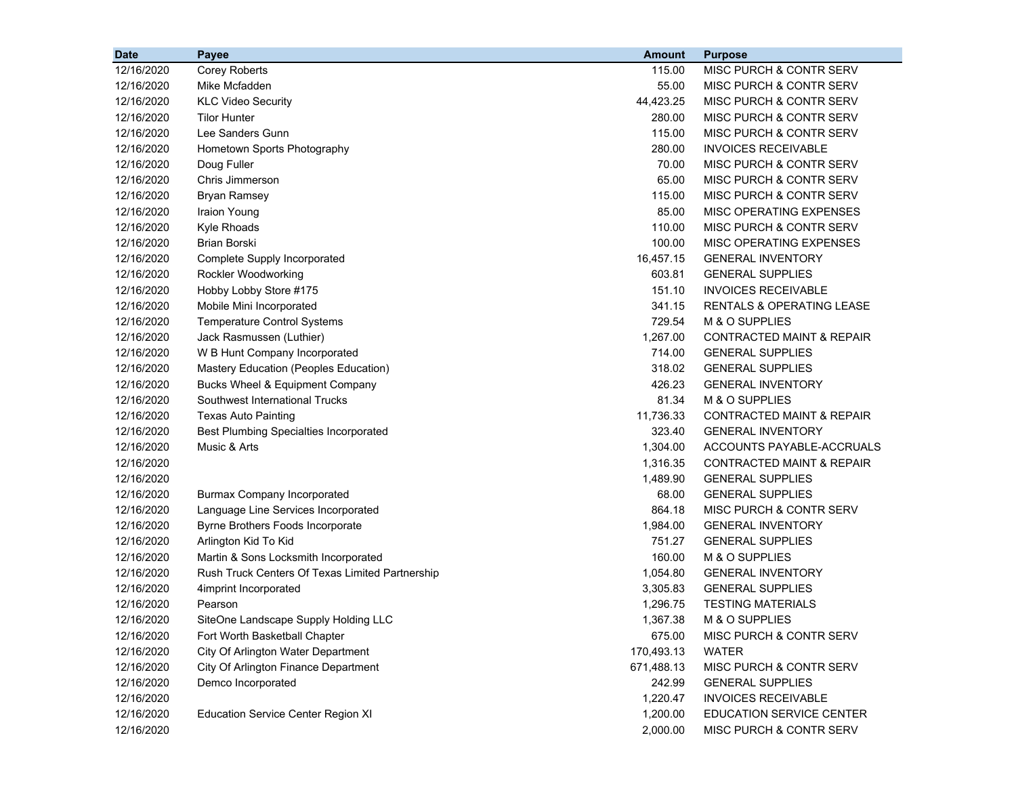| <b>Date</b> | Payee                                           | <b>Amount</b> | <b>Purpose</b>                       |
|-------------|-------------------------------------------------|---------------|--------------------------------------|
| 12/16/2020  | <b>Corey Roberts</b>                            | 115.00        | MISC PURCH & CONTR SERV              |
| 12/16/2020  | Mike Mcfadden                                   | 55.00         | MISC PURCH & CONTR SERV              |
| 12/16/2020  | <b>KLC Video Security</b>                       | 44,423.25     | MISC PURCH & CONTR SERV              |
| 12/16/2020  | <b>Tilor Hunter</b>                             | 280.00        | MISC PURCH & CONTR SERV              |
| 12/16/2020  | Lee Sanders Gunn                                | 115.00        | MISC PURCH & CONTR SERV              |
| 12/16/2020  | Hometown Sports Photography                     | 280.00        | <b>INVOICES RECEIVABLE</b>           |
| 12/16/2020  | Doug Fuller                                     | 70.00         | MISC PURCH & CONTR SERV              |
| 12/16/2020  | Chris Jimmerson                                 | 65.00         | MISC PURCH & CONTR SERV              |
| 12/16/2020  | <b>Bryan Ramsey</b>                             | 115.00        | MISC PURCH & CONTR SERV              |
| 12/16/2020  | Iraion Young                                    | 85.00         | MISC OPERATING EXPENSES              |
| 12/16/2020  | Kyle Rhoads                                     | 110.00        | <b>MISC PURCH &amp; CONTR SERV</b>   |
| 12/16/2020  | Brian Borski                                    | 100.00        | MISC OPERATING EXPENSES              |
| 12/16/2020  | Complete Supply Incorporated                    | 16,457.15     | <b>GENERAL INVENTORY</b>             |
| 12/16/2020  | Rockler Woodworking                             | 603.81        | <b>GENERAL SUPPLIES</b>              |
| 12/16/2020  | Hobby Lobby Store #175                          | 151.10        | <b>INVOICES RECEIVABLE</b>           |
| 12/16/2020  | Mobile Mini Incorporated                        | 341.15        | <b>RENTALS &amp; OPERATING LEASE</b> |
| 12/16/2020  | <b>Temperature Control Systems</b>              | 729.54        | M & O SUPPLIES                       |
| 12/16/2020  | Jack Rasmussen (Luthier)                        | 1,267.00      | <b>CONTRACTED MAINT &amp; REPAIR</b> |
| 12/16/2020  | W B Hunt Company Incorporated                   | 714.00        | <b>GENERAL SUPPLIES</b>              |
| 12/16/2020  | Mastery Education (Peoples Education)           | 318.02        | <b>GENERAL SUPPLIES</b>              |
| 12/16/2020  | Bucks Wheel & Equipment Company                 | 426.23        | <b>GENERAL INVENTORY</b>             |
| 12/16/2020  | Southwest International Trucks                  | 81.34         | M & O SUPPLIES                       |
| 12/16/2020  | <b>Texas Auto Painting</b>                      | 11,736.33     | <b>CONTRACTED MAINT &amp; REPAIR</b> |
| 12/16/2020  | <b>Best Plumbing Specialties Incorporated</b>   | 323.40        | <b>GENERAL INVENTORY</b>             |
| 12/16/2020  | Music & Arts                                    | 1,304.00      | ACCOUNTS PAYABLE-ACCRUALS            |
| 12/16/2020  |                                                 | 1,316.35      | <b>CONTRACTED MAINT &amp; REPAIR</b> |
| 12/16/2020  |                                                 | 1,489.90      | <b>GENERAL SUPPLIES</b>              |
| 12/16/2020  | <b>Burmax Company Incorporated</b>              | 68.00         | <b>GENERAL SUPPLIES</b>              |
| 12/16/2020  | Language Line Services Incorporated             | 864.18        | MISC PURCH & CONTR SERV              |
| 12/16/2020  | Byrne Brothers Foods Incorporate                | 1,984.00      | <b>GENERAL INVENTORY</b>             |
| 12/16/2020  | Arlington Kid To Kid                            | 751.27        | <b>GENERAL SUPPLIES</b>              |
| 12/16/2020  | Martin & Sons Locksmith Incorporated            | 160.00        | M & O SUPPLIES                       |
| 12/16/2020  | Rush Truck Centers Of Texas Limited Partnership | 1,054.80      | <b>GENERAL INVENTORY</b>             |
| 12/16/2020  | 4imprint Incorporated                           | 3,305.83      | <b>GENERAL SUPPLIES</b>              |
| 12/16/2020  | Pearson                                         | 1,296.75      | <b>TESTING MATERIALS</b>             |
| 12/16/2020  | SiteOne Landscape Supply Holding LLC            | 1,367.38      | M & O SUPPLIES                       |
| 12/16/2020  | Fort Worth Basketball Chapter                   | 675.00        | MISC PURCH & CONTR SERV              |
| 12/16/2020  | City Of Arlington Water Department              | 170,493.13    | WATER                                |
| 12/16/2020  | City Of Arlington Finance Department            | 671,488.13    | MISC PURCH & CONTR SERV              |
| 12/16/2020  | Demco Incorporated                              | 242.99        | <b>GENERAL SUPPLIES</b>              |
| 12/16/2020  |                                                 | 1,220.47      | <b>INVOICES RECEIVABLE</b>           |
| 12/16/2020  | <b>Education Service Center Region XI</b>       | 1,200.00      | <b>EDUCATION SERVICE CENTER</b>      |
| 12/16/2020  |                                                 | 2,000.00      | MISC PURCH & CONTR SERV              |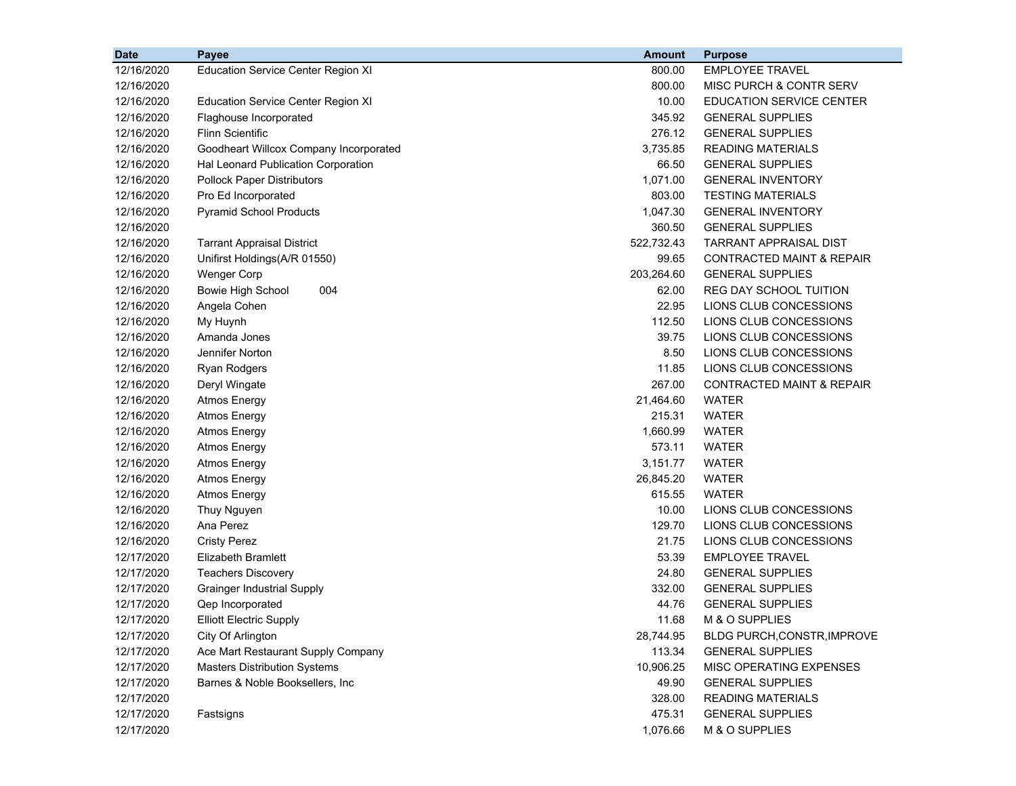| <b>Date</b> | Payee                                     | <b>Amount</b> | <b>Purpose</b>                       |
|-------------|-------------------------------------------|---------------|--------------------------------------|
| 12/16/2020  | <b>Education Service Center Region XI</b> | 800.00        | <b>EMPLOYEE TRAVEL</b>               |
| 12/16/2020  |                                           | 800.00        | MISC PURCH & CONTR SERV              |
| 12/16/2020  | <b>Education Service Center Region XI</b> | 10.00         | <b>EDUCATION SERVICE CENTER</b>      |
| 12/16/2020  | Flaghouse Incorporated                    | 345.92        | <b>GENERAL SUPPLIES</b>              |
| 12/16/2020  | <b>Flinn Scientific</b>                   | 276.12        | <b>GENERAL SUPPLIES</b>              |
| 12/16/2020  | Goodheart Willcox Company Incorporated    | 3,735.85      | READING MATERIALS                    |
| 12/16/2020  | Hal Leonard Publication Corporation       | 66.50         | <b>GENERAL SUPPLIES</b>              |
| 12/16/2020  | <b>Pollock Paper Distributors</b>         | 1,071.00      | <b>GENERAL INVENTORY</b>             |
| 12/16/2020  | Pro Ed Incorporated                       | 803.00        | <b>TESTING MATERIALS</b>             |
| 12/16/2020  | <b>Pyramid School Products</b>            | 1,047.30      | <b>GENERAL INVENTORY</b>             |
| 12/16/2020  |                                           | 360.50        | <b>GENERAL SUPPLIES</b>              |
| 12/16/2020  | <b>Tarrant Appraisal District</b>         | 522,732.43    | TARRANT APPRAISAL DIST               |
| 12/16/2020  | Unifirst Holdings(A/R 01550)              | 99.65         | CONTRACTED MAINT & REPAIR            |
| 12/16/2020  | <b>Wenger Corp</b>                        | 203,264.60    | <b>GENERAL SUPPLIES</b>              |
| 12/16/2020  | Bowie High School<br>004                  | 62.00         | REG DAY SCHOOL TUITION               |
| 12/16/2020  | Angela Cohen                              | 22.95         | LIONS CLUB CONCESSIONS               |
| 12/16/2020  | My Huynh                                  | 112.50        | LIONS CLUB CONCESSIONS               |
| 12/16/2020  | Amanda Jones                              | 39.75         | LIONS CLUB CONCESSIONS               |
| 12/16/2020  | Jennifer Norton                           | 8.50          | LIONS CLUB CONCESSIONS               |
| 12/16/2020  | <b>Ryan Rodgers</b>                       | 11.85         | LIONS CLUB CONCESSIONS               |
| 12/16/2020  | Deryl Wingate                             | 267.00        | <b>CONTRACTED MAINT &amp; REPAIR</b> |
| 12/16/2020  | <b>Atmos Energy</b>                       | 21,464.60     | <b>WATER</b>                         |
| 12/16/2020  | <b>Atmos Energy</b>                       | 215.31        | <b>WATER</b>                         |
| 12/16/2020  | <b>Atmos Energy</b>                       | 1,660.99      | <b>WATER</b>                         |
| 12/16/2020  | <b>Atmos Energy</b>                       | 573.11        | WATER                                |
| 12/16/2020  | <b>Atmos Energy</b>                       | 3,151.77      | <b>WATER</b>                         |
| 12/16/2020  | <b>Atmos Energy</b>                       | 26,845.20     | WATER                                |
| 12/16/2020  | <b>Atmos Energy</b>                       | 615.55        | <b>WATER</b>                         |
| 12/16/2020  | Thuy Nguyen                               | 10.00         | LIONS CLUB CONCESSIONS               |
| 12/16/2020  | Ana Perez                                 | 129.70        | LIONS CLUB CONCESSIONS               |
| 12/16/2020  | <b>Cristy Perez</b>                       | 21.75         | LIONS CLUB CONCESSIONS               |
| 12/17/2020  | <b>Elizabeth Bramlett</b>                 | 53.39         | <b>EMPLOYEE TRAVEL</b>               |
| 12/17/2020  | <b>Teachers Discovery</b>                 | 24.80         | <b>GENERAL SUPPLIES</b>              |
| 12/17/2020  | <b>Grainger Industrial Supply</b>         | 332.00        | <b>GENERAL SUPPLIES</b>              |
| 12/17/2020  | Qep Incorporated                          | 44.76         | <b>GENERAL SUPPLIES</b>              |
| 12/17/2020  | <b>Elliott Electric Supply</b>            | 11.68         | M & O SUPPLIES                       |
| 12/17/2020  | City Of Arlington                         | 28,744.95     | BLDG PURCH, CONSTR, IMPROVE          |
| 12/17/2020  | Ace Mart Restaurant Supply Company        | 113.34        | <b>GENERAL SUPPLIES</b>              |
| 12/17/2020  | <b>Masters Distribution Systems</b>       | 10,906.25     | MISC OPERATING EXPENSES              |
| 12/17/2020  | Barnes & Noble Booksellers, Inc           | 49.90         | <b>GENERAL SUPPLIES</b>              |
| 12/17/2020  |                                           | 328.00        | <b>READING MATERIALS</b>             |
| 12/17/2020  | Fastsigns                                 | 475.31        | <b>GENERAL SUPPLIES</b>              |
| 12/17/2020  |                                           | 1,076.66      | M & O SUPPLIES                       |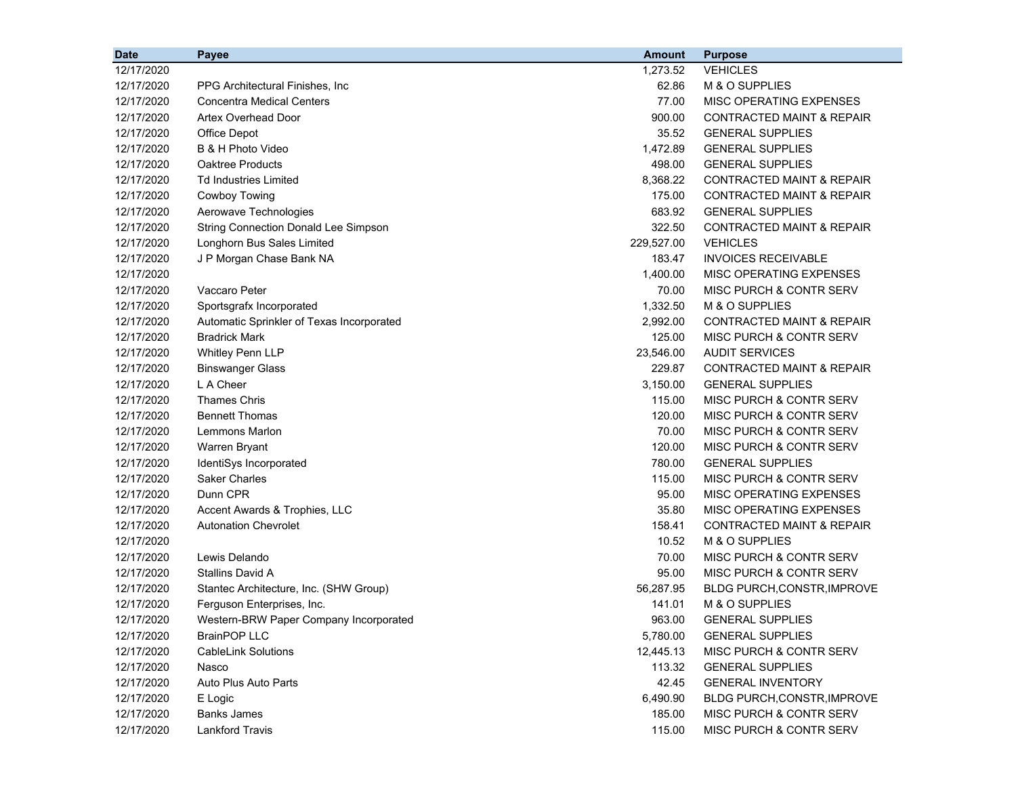| <b>Date</b> | Payee                                       | <b>Amount</b> | <b>Purpose</b>                       |
|-------------|---------------------------------------------|---------------|--------------------------------------|
| 12/17/2020  |                                             | 1,273.52      | <b>VEHICLES</b>                      |
| 12/17/2020  | PPG Architectural Finishes, Inc.            | 62.86         | M & O SUPPLIES                       |
| 12/17/2020  | <b>Concentra Medical Centers</b>            | 77.00         | MISC OPERATING EXPENSES              |
| 12/17/2020  | Artex Overhead Door                         | 900.00        | CONTRACTED MAINT & REPAIR            |
| 12/17/2020  | Office Depot                                | 35.52         | <b>GENERAL SUPPLIES</b>              |
| 12/17/2020  | B & H Photo Video                           | 1,472.89      | <b>GENERAL SUPPLIES</b>              |
| 12/17/2020  | <b>Oaktree Products</b>                     | 498.00        | <b>GENERAL SUPPLIES</b>              |
| 12/17/2020  | <b>Td Industries Limited</b>                | 8,368.22      | <b>CONTRACTED MAINT &amp; REPAIR</b> |
| 12/17/2020  | Cowboy Towing                               | 175.00        | <b>CONTRACTED MAINT &amp; REPAIR</b> |
| 12/17/2020  | Aerowave Technologies                       | 683.92        | <b>GENERAL SUPPLIES</b>              |
| 12/17/2020  | <b>String Connection Donald Lee Simpson</b> | 322.50        | <b>CONTRACTED MAINT &amp; REPAIR</b> |
| 12/17/2020  | Longhorn Bus Sales Limited                  | 229,527.00    | <b>VEHICLES</b>                      |
| 12/17/2020  | J P Morgan Chase Bank NA                    | 183.47        | <b>INVOICES RECEIVABLE</b>           |
| 12/17/2020  |                                             | 1,400.00      | MISC OPERATING EXPENSES              |
| 12/17/2020  | Vaccaro Peter                               | 70.00         | MISC PURCH & CONTR SERV              |
| 12/17/2020  | Sportsgrafx Incorporated                    | 1,332.50      | M & O SUPPLIES                       |
| 12/17/2020  | Automatic Sprinkler of Texas Incorporated   | 2,992.00      | <b>CONTRACTED MAINT &amp; REPAIR</b> |
| 12/17/2020  | Bradrick Mark                               | 125.00        | <b>MISC PURCH &amp; CONTR SERV</b>   |
| 12/17/2020  | Whitley Penn LLP                            | 23,546.00     | <b>AUDIT SERVICES</b>                |
| 12/17/2020  | <b>Binswanger Glass</b>                     | 229.87        | <b>CONTRACTED MAINT &amp; REPAIR</b> |
| 12/17/2020  | L A Cheer                                   | 3,150.00      | <b>GENERAL SUPPLIES</b>              |
| 12/17/2020  | <b>Thames Chris</b>                         | 115.00        | MISC PURCH & CONTR SERV              |
| 12/17/2020  | <b>Bennett Thomas</b>                       | 120.00        | MISC PURCH & CONTR SERV              |
| 12/17/2020  | Lemmons Marlon                              | 70.00         | MISC PURCH & CONTR SERV              |
| 12/17/2020  | Warren Bryant                               | 120.00        | MISC PURCH & CONTR SERV              |
| 12/17/2020  | IdentiSys Incorporated                      | 780.00        | <b>GENERAL SUPPLIES</b>              |
| 12/17/2020  | <b>Saker Charles</b>                        | 115.00        | MISC PURCH & CONTR SERV              |
| 12/17/2020  | Dunn CPR                                    | 95.00         | MISC OPERATING EXPENSES              |
| 12/17/2020  | Accent Awards & Trophies, LLC               | 35.80         | MISC OPERATING EXPENSES              |
| 12/17/2020  | <b>Autonation Chevrolet</b>                 | 158.41        | <b>CONTRACTED MAINT &amp; REPAIR</b> |
| 12/17/2020  |                                             | 10.52         | M & O SUPPLIES                       |
| 12/17/2020  | Lewis Delando                               | 70.00         | <b>MISC PURCH &amp; CONTR SERV</b>   |
| 12/17/2020  | <b>Stallins David A</b>                     | 95.00         | MISC PURCH & CONTR SERV              |
| 12/17/2020  | Stantec Architecture, Inc. (SHW Group)      | 56,287.95     | BLDG PURCH, CONSTR, IMPROVE          |
| 12/17/2020  | Ferguson Enterprises, Inc.                  | 141.01        | M & O SUPPLIES                       |
| 12/17/2020  | Western-BRW Paper Company Incorporated      | 963.00        | <b>GENERAL SUPPLIES</b>              |
| 12/17/2020  | <b>BrainPOP LLC</b>                         | 5,780.00      | <b>GENERAL SUPPLIES</b>              |
| 12/17/2020  | <b>CableLink Solutions</b>                  | 12,445.13     | MISC PURCH & CONTR SERV              |
| 12/17/2020  | Nasco                                       | 113.32        | <b>GENERAL SUPPLIES</b>              |
| 12/17/2020  | Auto Plus Auto Parts                        | 42.45         | <b>GENERAL INVENTORY</b>             |
| 12/17/2020  | E Logic                                     | 6,490.90      | BLDG PURCH, CONSTR, IMPROVE          |
| 12/17/2020  | <b>Banks James</b>                          | 185.00        | MISC PURCH & CONTR SERV              |
| 12/17/2020  | <b>Lankford Travis</b>                      | 115.00        | MISC PURCH & CONTR SERV              |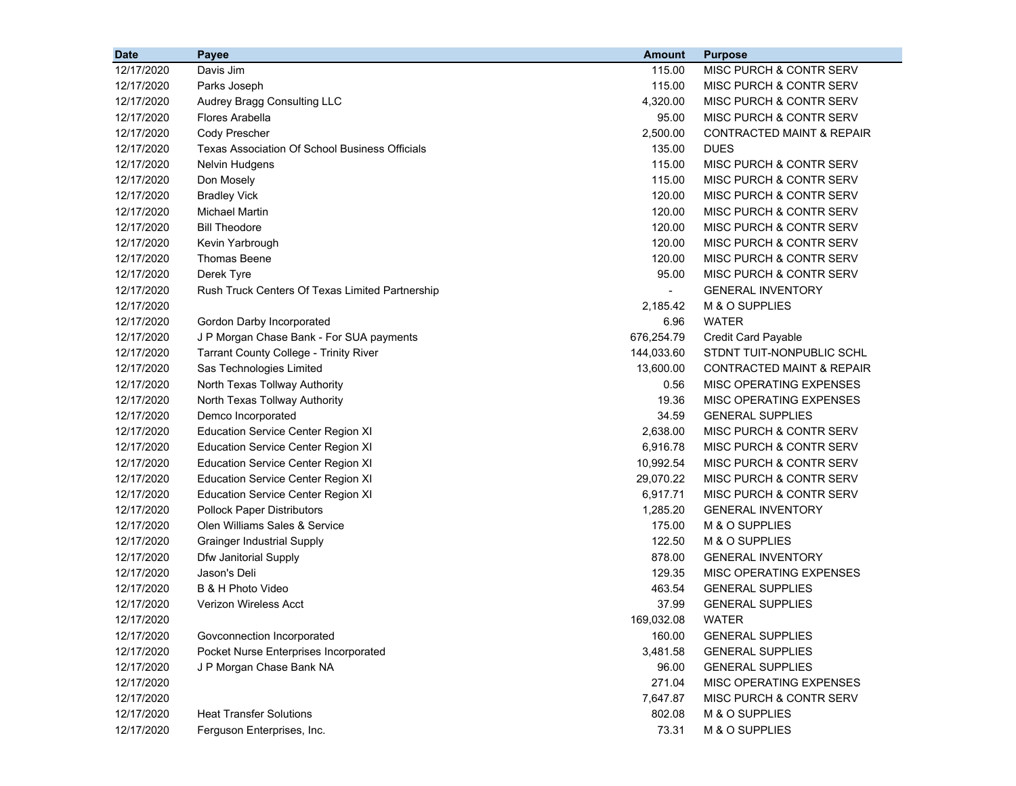| 12/17/2020<br>Davis Jim<br>115.00<br>MISC PURCH & CONTR SERV<br>12/17/2020<br>115.00<br>Parks Joseph<br>MISC PURCH & CONTR SERV<br>4,320.00<br>MISC PURCH & CONTR SERV<br>12/17/2020<br>Audrey Bragg Consulting LLC<br>12/17/2020<br>Flores Arabella<br>95.00<br>MISC PURCH & CONTR SERV<br>12/17/2020<br>Cody Prescher<br>2,500.00<br><b>CONTRACTED MAINT &amp; REPAIR</b><br>135.00<br><b>DUES</b><br>12/17/2020<br>Texas Association Of School Business Officials<br>12/17/2020<br>115.00<br>MISC PURCH & CONTR SERV<br><b>Nelvin Hudgens</b><br>12/17/2020<br>Don Mosely<br>115.00<br>MISC PURCH & CONTR SERV<br><b>Bradley Vick</b><br>120.00<br>MISC PURCH & CONTR SERV<br>12/17/2020<br><b>Michael Martin</b><br>120.00<br>MISC PURCH & CONTR SERV<br>12/17/2020<br><b>Bill Theodore</b><br>120.00<br>MISC PURCH & CONTR SERV<br>12/17/2020<br>120.00<br>MISC PURCH & CONTR SERV<br>12/17/2020<br>Kevin Yarbrough<br><b>Thomas Beene</b><br>120.00<br>MISC PURCH & CONTR SERV<br>12/17/2020<br>12/17/2020<br>Derek Tyre<br>95.00<br>MISC PURCH & CONTR SERV<br>12/17/2020<br>Rush Truck Centers Of Texas Limited Partnership<br><b>GENERAL INVENTORY</b><br>$\sim$<br>M & O SUPPLIES<br>12/17/2020<br>2,185.42<br><b>WATER</b><br>12/17/2020<br>Gordon Darby Incorporated<br>6.96<br>J P Morgan Chase Bank - For SUA payments<br>676,254.79<br>Credit Card Payable<br>12/17/2020<br>12/17/2020<br><b>Tarrant County College - Trinity River</b><br>144,033.60<br>STDNT TUIT-NONPUBLIC SCHL<br>12/17/2020<br>Sas Technologies Limited<br>13,600.00<br><b>CONTRACTED MAINT &amp; REPAIR</b><br>12/17/2020<br>North Texas Tollway Authority<br>MISC OPERATING EXPENSES<br>0.56<br>19.36<br>MISC OPERATING EXPENSES<br>12/17/2020<br>North Texas Tollway Authority<br>34.59<br>12/17/2020<br>Demco Incorporated<br><b>GENERAL SUPPLIES</b><br>2,638.00<br>12/17/2020<br><b>Education Service Center Region XI</b><br>MISC PURCH & CONTR SERV<br>12/17/2020<br>6,916.78<br>MISC PURCH & CONTR SERV<br><b>Education Service Center Region XI</b><br>10,992.54<br>MISC PURCH & CONTR SERV<br>12/17/2020<br><b>Education Service Center Region XI</b><br>29,070.22<br>MISC PURCH & CONTR SERV<br>12/17/2020<br><b>Education Service Center Region XI</b><br>6,917.71<br>MISC PURCH & CONTR SERV<br>12/17/2020<br><b>Education Service Center Region XI</b><br>1,285.20<br><b>GENERAL INVENTORY</b><br>12/17/2020<br><b>Pollock Paper Distributors</b><br>Olen Williams Sales & Service<br>175.00<br>M & O SUPPLIES<br>12/17/2020<br>122.50<br>M & O SUPPLIES<br>12/17/2020<br><b>Grainger Industrial Supply</b><br>12/17/2020<br>Dfw Janitorial Supply<br>878.00<br><b>GENERAL INVENTORY</b><br>12/17/2020<br>Jason's Deli<br>129.35<br>MISC OPERATING EXPENSES<br>B & H Photo Video<br>463.54<br><b>GENERAL SUPPLIES</b><br>12/17/2020<br>12/17/2020<br><b>Verizon Wireless Acct</b><br>37.99<br><b>GENERAL SUPPLIES</b><br>169,032.08<br>12/17/2020<br><b>WATER</b><br><b>GENERAL SUPPLIES</b><br>12/17/2020<br>Govconnection Incorporated<br>160.00<br>12/17/2020<br>Pocket Nurse Enterprises Incorporated<br>3,481.58<br><b>GENERAL SUPPLIES</b><br>12/17/2020<br>J P Morgan Chase Bank NA<br>96.00<br><b>GENERAL SUPPLIES</b><br>12/17/2020<br>271.04<br>MISC OPERATING EXPENSES<br>12/17/2020<br>7,647.87<br>MISC PURCH & CONTR SERV<br>12/17/2020<br><b>Heat Transfer Solutions</b><br>802.08<br>M & O SUPPLIES | <b>Date</b> | Payee                      | <b>Amount</b> | <b>Purpose</b> |
|-----------------------------------------------------------------------------------------------------------------------------------------------------------------------------------------------------------------------------------------------------------------------------------------------------------------------------------------------------------------------------------------------------------------------------------------------------------------------------------------------------------------------------------------------------------------------------------------------------------------------------------------------------------------------------------------------------------------------------------------------------------------------------------------------------------------------------------------------------------------------------------------------------------------------------------------------------------------------------------------------------------------------------------------------------------------------------------------------------------------------------------------------------------------------------------------------------------------------------------------------------------------------------------------------------------------------------------------------------------------------------------------------------------------------------------------------------------------------------------------------------------------------------------------------------------------------------------------------------------------------------------------------------------------------------------------------------------------------------------------------------------------------------------------------------------------------------------------------------------------------------------------------------------------------------------------------------------------------------------------------------------------------------------------------------------------------------------------------------------------------------------------------------------------------------------------------------------------------------------------------------------------------------------------------------------------------------------------------------------------------------------------------------------------------------------------------------------------------------------------------------------------------------------------------------------------------------------------------------------------------------------------------------------------------------------------------------------------------------------------------------------------------------------------------------------------------------------------------------------------------------------------------------------------------------------------------------------------------------------------------------------------------------------------------------------------------------------------------------------------------------------------------------------------------------------------------------------------------------------------------------------------------------------------------------------------------------------------------------------------------------------------------------------------------|-------------|----------------------------|---------------|----------------|
|                                                                                                                                                                                                                                                                                                                                                                                                                                                                                                                                                                                                                                                                                                                                                                                                                                                                                                                                                                                                                                                                                                                                                                                                                                                                                                                                                                                                                                                                                                                                                                                                                                                                                                                                                                                                                                                                                                                                                                                                                                                                                                                                                                                                                                                                                                                                                                                                                                                                                                                                                                                                                                                                                                                                                                                                                                                                                                                                                                                                                                                                                                                                                                                                                                                                                                                                                                                                                       |             |                            |               |                |
|                                                                                                                                                                                                                                                                                                                                                                                                                                                                                                                                                                                                                                                                                                                                                                                                                                                                                                                                                                                                                                                                                                                                                                                                                                                                                                                                                                                                                                                                                                                                                                                                                                                                                                                                                                                                                                                                                                                                                                                                                                                                                                                                                                                                                                                                                                                                                                                                                                                                                                                                                                                                                                                                                                                                                                                                                                                                                                                                                                                                                                                                                                                                                                                                                                                                                                                                                                                                                       |             |                            |               |                |
|                                                                                                                                                                                                                                                                                                                                                                                                                                                                                                                                                                                                                                                                                                                                                                                                                                                                                                                                                                                                                                                                                                                                                                                                                                                                                                                                                                                                                                                                                                                                                                                                                                                                                                                                                                                                                                                                                                                                                                                                                                                                                                                                                                                                                                                                                                                                                                                                                                                                                                                                                                                                                                                                                                                                                                                                                                                                                                                                                                                                                                                                                                                                                                                                                                                                                                                                                                                                                       |             |                            |               |                |
|                                                                                                                                                                                                                                                                                                                                                                                                                                                                                                                                                                                                                                                                                                                                                                                                                                                                                                                                                                                                                                                                                                                                                                                                                                                                                                                                                                                                                                                                                                                                                                                                                                                                                                                                                                                                                                                                                                                                                                                                                                                                                                                                                                                                                                                                                                                                                                                                                                                                                                                                                                                                                                                                                                                                                                                                                                                                                                                                                                                                                                                                                                                                                                                                                                                                                                                                                                                                                       |             |                            |               |                |
|                                                                                                                                                                                                                                                                                                                                                                                                                                                                                                                                                                                                                                                                                                                                                                                                                                                                                                                                                                                                                                                                                                                                                                                                                                                                                                                                                                                                                                                                                                                                                                                                                                                                                                                                                                                                                                                                                                                                                                                                                                                                                                                                                                                                                                                                                                                                                                                                                                                                                                                                                                                                                                                                                                                                                                                                                                                                                                                                                                                                                                                                                                                                                                                                                                                                                                                                                                                                                       |             |                            |               |                |
|                                                                                                                                                                                                                                                                                                                                                                                                                                                                                                                                                                                                                                                                                                                                                                                                                                                                                                                                                                                                                                                                                                                                                                                                                                                                                                                                                                                                                                                                                                                                                                                                                                                                                                                                                                                                                                                                                                                                                                                                                                                                                                                                                                                                                                                                                                                                                                                                                                                                                                                                                                                                                                                                                                                                                                                                                                                                                                                                                                                                                                                                                                                                                                                                                                                                                                                                                                                                                       |             |                            |               |                |
|                                                                                                                                                                                                                                                                                                                                                                                                                                                                                                                                                                                                                                                                                                                                                                                                                                                                                                                                                                                                                                                                                                                                                                                                                                                                                                                                                                                                                                                                                                                                                                                                                                                                                                                                                                                                                                                                                                                                                                                                                                                                                                                                                                                                                                                                                                                                                                                                                                                                                                                                                                                                                                                                                                                                                                                                                                                                                                                                                                                                                                                                                                                                                                                                                                                                                                                                                                                                                       |             |                            |               |                |
|                                                                                                                                                                                                                                                                                                                                                                                                                                                                                                                                                                                                                                                                                                                                                                                                                                                                                                                                                                                                                                                                                                                                                                                                                                                                                                                                                                                                                                                                                                                                                                                                                                                                                                                                                                                                                                                                                                                                                                                                                                                                                                                                                                                                                                                                                                                                                                                                                                                                                                                                                                                                                                                                                                                                                                                                                                                                                                                                                                                                                                                                                                                                                                                                                                                                                                                                                                                                                       |             |                            |               |                |
|                                                                                                                                                                                                                                                                                                                                                                                                                                                                                                                                                                                                                                                                                                                                                                                                                                                                                                                                                                                                                                                                                                                                                                                                                                                                                                                                                                                                                                                                                                                                                                                                                                                                                                                                                                                                                                                                                                                                                                                                                                                                                                                                                                                                                                                                                                                                                                                                                                                                                                                                                                                                                                                                                                                                                                                                                                                                                                                                                                                                                                                                                                                                                                                                                                                                                                                                                                                                                       |             |                            |               |                |
|                                                                                                                                                                                                                                                                                                                                                                                                                                                                                                                                                                                                                                                                                                                                                                                                                                                                                                                                                                                                                                                                                                                                                                                                                                                                                                                                                                                                                                                                                                                                                                                                                                                                                                                                                                                                                                                                                                                                                                                                                                                                                                                                                                                                                                                                                                                                                                                                                                                                                                                                                                                                                                                                                                                                                                                                                                                                                                                                                                                                                                                                                                                                                                                                                                                                                                                                                                                                                       |             |                            |               |                |
|                                                                                                                                                                                                                                                                                                                                                                                                                                                                                                                                                                                                                                                                                                                                                                                                                                                                                                                                                                                                                                                                                                                                                                                                                                                                                                                                                                                                                                                                                                                                                                                                                                                                                                                                                                                                                                                                                                                                                                                                                                                                                                                                                                                                                                                                                                                                                                                                                                                                                                                                                                                                                                                                                                                                                                                                                                                                                                                                                                                                                                                                                                                                                                                                                                                                                                                                                                                                                       |             |                            |               |                |
|                                                                                                                                                                                                                                                                                                                                                                                                                                                                                                                                                                                                                                                                                                                                                                                                                                                                                                                                                                                                                                                                                                                                                                                                                                                                                                                                                                                                                                                                                                                                                                                                                                                                                                                                                                                                                                                                                                                                                                                                                                                                                                                                                                                                                                                                                                                                                                                                                                                                                                                                                                                                                                                                                                                                                                                                                                                                                                                                                                                                                                                                                                                                                                                                                                                                                                                                                                                                                       |             |                            |               |                |
|                                                                                                                                                                                                                                                                                                                                                                                                                                                                                                                                                                                                                                                                                                                                                                                                                                                                                                                                                                                                                                                                                                                                                                                                                                                                                                                                                                                                                                                                                                                                                                                                                                                                                                                                                                                                                                                                                                                                                                                                                                                                                                                                                                                                                                                                                                                                                                                                                                                                                                                                                                                                                                                                                                                                                                                                                                                                                                                                                                                                                                                                                                                                                                                                                                                                                                                                                                                                                       |             |                            |               |                |
|                                                                                                                                                                                                                                                                                                                                                                                                                                                                                                                                                                                                                                                                                                                                                                                                                                                                                                                                                                                                                                                                                                                                                                                                                                                                                                                                                                                                                                                                                                                                                                                                                                                                                                                                                                                                                                                                                                                                                                                                                                                                                                                                                                                                                                                                                                                                                                                                                                                                                                                                                                                                                                                                                                                                                                                                                                                                                                                                                                                                                                                                                                                                                                                                                                                                                                                                                                                                                       |             |                            |               |                |
|                                                                                                                                                                                                                                                                                                                                                                                                                                                                                                                                                                                                                                                                                                                                                                                                                                                                                                                                                                                                                                                                                                                                                                                                                                                                                                                                                                                                                                                                                                                                                                                                                                                                                                                                                                                                                                                                                                                                                                                                                                                                                                                                                                                                                                                                                                                                                                                                                                                                                                                                                                                                                                                                                                                                                                                                                                                                                                                                                                                                                                                                                                                                                                                                                                                                                                                                                                                                                       |             |                            |               |                |
|                                                                                                                                                                                                                                                                                                                                                                                                                                                                                                                                                                                                                                                                                                                                                                                                                                                                                                                                                                                                                                                                                                                                                                                                                                                                                                                                                                                                                                                                                                                                                                                                                                                                                                                                                                                                                                                                                                                                                                                                                                                                                                                                                                                                                                                                                                                                                                                                                                                                                                                                                                                                                                                                                                                                                                                                                                                                                                                                                                                                                                                                                                                                                                                                                                                                                                                                                                                                                       |             |                            |               |                |
|                                                                                                                                                                                                                                                                                                                                                                                                                                                                                                                                                                                                                                                                                                                                                                                                                                                                                                                                                                                                                                                                                                                                                                                                                                                                                                                                                                                                                                                                                                                                                                                                                                                                                                                                                                                                                                                                                                                                                                                                                                                                                                                                                                                                                                                                                                                                                                                                                                                                                                                                                                                                                                                                                                                                                                                                                                                                                                                                                                                                                                                                                                                                                                                                                                                                                                                                                                                                                       |             |                            |               |                |
|                                                                                                                                                                                                                                                                                                                                                                                                                                                                                                                                                                                                                                                                                                                                                                                                                                                                                                                                                                                                                                                                                                                                                                                                                                                                                                                                                                                                                                                                                                                                                                                                                                                                                                                                                                                                                                                                                                                                                                                                                                                                                                                                                                                                                                                                                                                                                                                                                                                                                                                                                                                                                                                                                                                                                                                                                                                                                                                                                                                                                                                                                                                                                                                                                                                                                                                                                                                                                       |             |                            |               |                |
|                                                                                                                                                                                                                                                                                                                                                                                                                                                                                                                                                                                                                                                                                                                                                                                                                                                                                                                                                                                                                                                                                                                                                                                                                                                                                                                                                                                                                                                                                                                                                                                                                                                                                                                                                                                                                                                                                                                                                                                                                                                                                                                                                                                                                                                                                                                                                                                                                                                                                                                                                                                                                                                                                                                                                                                                                                                                                                                                                                                                                                                                                                                                                                                                                                                                                                                                                                                                                       |             |                            |               |                |
|                                                                                                                                                                                                                                                                                                                                                                                                                                                                                                                                                                                                                                                                                                                                                                                                                                                                                                                                                                                                                                                                                                                                                                                                                                                                                                                                                                                                                                                                                                                                                                                                                                                                                                                                                                                                                                                                                                                                                                                                                                                                                                                                                                                                                                                                                                                                                                                                                                                                                                                                                                                                                                                                                                                                                                                                                                                                                                                                                                                                                                                                                                                                                                                                                                                                                                                                                                                                                       |             |                            |               |                |
|                                                                                                                                                                                                                                                                                                                                                                                                                                                                                                                                                                                                                                                                                                                                                                                                                                                                                                                                                                                                                                                                                                                                                                                                                                                                                                                                                                                                                                                                                                                                                                                                                                                                                                                                                                                                                                                                                                                                                                                                                                                                                                                                                                                                                                                                                                                                                                                                                                                                                                                                                                                                                                                                                                                                                                                                                                                                                                                                                                                                                                                                                                                                                                                                                                                                                                                                                                                                                       |             |                            |               |                |
|                                                                                                                                                                                                                                                                                                                                                                                                                                                                                                                                                                                                                                                                                                                                                                                                                                                                                                                                                                                                                                                                                                                                                                                                                                                                                                                                                                                                                                                                                                                                                                                                                                                                                                                                                                                                                                                                                                                                                                                                                                                                                                                                                                                                                                                                                                                                                                                                                                                                                                                                                                                                                                                                                                                                                                                                                                                                                                                                                                                                                                                                                                                                                                                                                                                                                                                                                                                                                       |             |                            |               |                |
|                                                                                                                                                                                                                                                                                                                                                                                                                                                                                                                                                                                                                                                                                                                                                                                                                                                                                                                                                                                                                                                                                                                                                                                                                                                                                                                                                                                                                                                                                                                                                                                                                                                                                                                                                                                                                                                                                                                                                                                                                                                                                                                                                                                                                                                                                                                                                                                                                                                                                                                                                                                                                                                                                                                                                                                                                                                                                                                                                                                                                                                                                                                                                                                                                                                                                                                                                                                                                       |             |                            |               |                |
|                                                                                                                                                                                                                                                                                                                                                                                                                                                                                                                                                                                                                                                                                                                                                                                                                                                                                                                                                                                                                                                                                                                                                                                                                                                                                                                                                                                                                                                                                                                                                                                                                                                                                                                                                                                                                                                                                                                                                                                                                                                                                                                                                                                                                                                                                                                                                                                                                                                                                                                                                                                                                                                                                                                                                                                                                                                                                                                                                                                                                                                                                                                                                                                                                                                                                                                                                                                                                       |             |                            |               |                |
|                                                                                                                                                                                                                                                                                                                                                                                                                                                                                                                                                                                                                                                                                                                                                                                                                                                                                                                                                                                                                                                                                                                                                                                                                                                                                                                                                                                                                                                                                                                                                                                                                                                                                                                                                                                                                                                                                                                                                                                                                                                                                                                                                                                                                                                                                                                                                                                                                                                                                                                                                                                                                                                                                                                                                                                                                                                                                                                                                                                                                                                                                                                                                                                                                                                                                                                                                                                                                       |             |                            |               |                |
|                                                                                                                                                                                                                                                                                                                                                                                                                                                                                                                                                                                                                                                                                                                                                                                                                                                                                                                                                                                                                                                                                                                                                                                                                                                                                                                                                                                                                                                                                                                                                                                                                                                                                                                                                                                                                                                                                                                                                                                                                                                                                                                                                                                                                                                                                                                                                                                                                                                                                                                                                                                                                                                                                                                                                                                                                                                                                                                                                                                                                                                                                                                                                                                                                                                                                                                                                                                                                       |             |                            |               |                |
|                                                                                                                                                                                                                                                                                                                                                                                                                                                                                                                                                                                                                                                                                                                                                                                                                                                                                                                                                                                                                                                                                                                                                                                                                                                                                                                                                                                                                                                                                                                                                                                                                                                                                                                                                                                                                                                                                                                                                                                                                                                                                                                                                                                                                                                                                                                                                                                                                                                                                                                                                                                                                                                                                                                                                                                                                                                                                                                                                                                                                                                                                                                                                                                                                                                                                                                                                                                                                       |             |                            |               |                |
|                                                                                                                                                                                                                                                                                                                                                                                                                                                                                                                                                                                                                                                                                                                                                                                                                                                                                                                                                                                                                                                                                                                                                                                                                                                                                                                                                                                                                                                                                                                                                                                                                                                                                                                                                                                                                                                                                                                                                                                                                                                                                                                                                                                                                                                                                                                                                                                                                                                                                                                                                                                                                                                                                                                                                                                                                                                                                                                                                                                                                                                                                                                                                                                                                                                                                                                                                                                                                       |             |                            |               |                |
|                                                                                                                                                                                                                                                                                                                                                                                                                                                                                                                                                                                                                                                                                                                                                                                                                                                                                                                                                                                                                                                                                                                                                                                                                                                                                                                                                                                                                                                                                                                                                                                                                                                                                                                                                                                                                                                                                                                                                                                                                                                                                                                                                                                                                                                                                                                                                                                                                                                                                                                                                                                                                                                                                                                                                                                                                                                                                                                                                                                                                                                                                                                                                                                                                                                                                                                                                                                                                       |             |                            |               |                |
|                                                                                                                                                                                                                                                                                                                                                                                                                                                                                                                                                                                                                                                                                                                                                                                                                                                                                                                                                                                                                                                                                                                                                                                                                                                                                                                                                                                                                                                                                                                                                                                                                                                                                                                                                                                                                                                                                                                                                                                                                                                                                                                                                                                                                                                                                                                                                                                                                                                                                                                                                                                                                                                                                                                                                                                                                                                                                                                                                                                                                                                                                                                                                                                                                                                                                                                                                                                                                       |             |                            |               |                |
|                                                                                                                                                                                                                                                                                                                                                                                                                                                                                                                                                                                                                                                                                                                                                                                                                                                                                                                                                                                                                                                                                                                                                                                                                                                                                                                                                                                                                                                                                                                                                                                                                                                                                                                                                                                                                                                                                                                                                                                                                                                                                                                                                                                                                                                                                                                                                                                                                                                                                                                                                                                                                                                                                                                                                                                                                                                                                                                                                                                                                                                                                                                                                                                                                                                                                                                                                                                                                       |             |                            |               |                |
|                                                                                                                                                                                                                                                                                                                                                                                                                                                                                                                                                                                                                                                                                                                                                                                                                                                                                                                                                                                                                                                                                                                                                                                                                                                                                                                                                                                                                                                                                                                                                                                                                                                                                                                                                                                                                                                                                                                                                                                                                                                                                                                                                                                                                                                                                                                                                                                                                                                                                                                                                                                                                                                                                                                                                                                                                                                                                                                                                                                                                                                                                                                                                                                                                                                                                                                                                                                                                       |             |                            |               |                |
|                                                                                                                                                                                                                                                                                                                                                                                                                                                                                                                                                                                                                                                                                                                                                                                                                                                                                                                                                                                                                                                                                                                                                                                                                                                                                                                                                                                                                                                                                                                                                                                                                                                                                                                                                                                                                                                                                                                                                                                                                                                                                                                                                                                                                                                                                                                                                                                                                                                                                                                                                                                                                                                                                                                                                                                                                                                                                                                                                                                                                                                                                                                                                                                                                                                                                                                                                                                                                       |             |                            |               |                |
|                                                                                                                                                                                                                                                                                                                                                                                                                                                                                                                                                                                                                                                                                                                                                                                                                                                                                                                                                                                                                                                                                                                                                                                                                                                                                                                                                                                                                                                                                                                                                                                                                                                                                                                                                                                                                                                                                                                                                                                                                                                                                                                                                                                                                                                                                                                                                                                                                                                                                                                                                                                                                                                                                                                                                                                                                                                                                                                                                                                                                                                                                                                                                                                                                                                                                                                                                                                                                       |             |                            |               |                |
|                                                                                                                                                                                                                                                                                                                                                                                                                                                                                                                                                                                                                                                                                                                                                                                                                                                                                                                                                                                                                                                                                                                                                                                                                                                                                                                                                                                                                                                                                                                                                                                                                                                                                                                                                                                                                                                                                                                                                                                                                                                                                                                                                                                                                                                                                                                                                                                                                                                                                                                                                                                                                                                                                                                                                                                                                                                                                                                                                                                                                                                                                                                                                                                                                                                                                                                                                                                                                       |             |                            |               |                |
|                                                                                                                                                                                                                                                                                                                                                                                                                                                                                                                                                                                                                                                                                                                                                                                                                                                                                                                                                                                                                                                                                                                                                                                                                                                                                                                                                                                                                                                                                                                                                                                                                                                                                                                                                                                                                                                                                                                                                                                                                                                                                                                                                                                                                                                                                                                                                                                                                                                                                                                                                                                                                                                                                                                                                                                                                                                                                                                                                                                                                                                                                                                                                                                                                                                                                                                                                                                                                       |             |                            |               |                |
|                                                                                                                                                                                                                                                                                                                                                                                                                                                                                                                                                                                                                                                                                                                                                                                                                                                                                                                                                                                                                                                                                                                                                                                                                                                                                                                                                                                                                                                                                                                                                                                                                                                                                                                                                                                                                                                                                                                                                                                                                                                                                                                                                                                                                                                                                                                                                                                                                                                                                                                                                                                                                                                                                                                                                                                                                                                                                                                                                                                                                                                                                                                                                                                                                                                                                                                                                                                                                       |             |                            |               |                |
|                                                                                                                                                                                                                                                                                                                                                                                                                                                                                                                                                                                                                                                                                                                                                                                                                                                                                                                                                                                                                                                                                                                                                                                                                                                                                                                                                                                                                                                                                                                                                                                                                                                                                                                                                                                                                                                                                                                                                                                                                                                                                                                                                                                                                                                                                                                                                                                                                                                                                                                                                                                                                                                                                                                                                                                                                                                                                                                                                                                                                                                                                                                                                                                                                                                                                                                                                                                                                       |             |                            |               |                |
|                                                                                                                                                                                                                                                                                                                                                                                                                                                                                                                                                                                                                                                                                                                                                                                                                                                                                                                                                                                                                                                                                                                                                                                                                                                                                                                                                                                                                                                                                                                                                                                                                                                                                                                                                                                                                                                                                                                                                                                                                                                                                                                                                                                                                                                                                                                                                                                                                                                                                                                                                                                                                                                                                                                                                                                                                                                                                                                                                                                                                                                                                                                                                                                                                                                                                                                                                                                                                       |             |                            |               |                |
|                                                                                                                                                                                                                                                                                                                                                                                                                                                                                                                                                                                                                                                                                                                                                                                                                                                                                                                                                                                                                                                                                                                                                                                                                                                                                                                                                                                                                                                                                                                                                                                                                                                                                                                                                                                                                                                                                                                                                                                                                                                                                                                                                                                                                                                                                                                                                                                                                                                                                                                                                                                                                                                                                                                                                                                                                                                                                                                                                                                                                                                                                                                                                                                                                                                                                                                                                                                                                       |             |                            |               |                |
|                                                                                                                                                                                                                                                                                                                                                                                                                                                                                                                                                                                                                                                                                                                                                                                                                                                                                                                                                                                                                                                                                                                                                                                                                                                                                                                                                                                                                                                                                                                                                                                                                                                                                                                                                                                                                                                                                                                                                                                                                                                                                                                                                                                                                                                                                                                                                                                                                                                                                                                                                                                                                                                                                                                                                                                                                                                                                                                                                                                                                                                                                                                                                                                                                                                                                                                                                                                                                       |             |                            |               |                |
|                                                                                                                                                                                                                                                                                                                                                                                                                                                                                                                                                                                                                                                                                                                                                                                                                                                                                                                                                                                                                                                                                                                                                                                                                                                                                                                                                                                                                                                                                                                                                                                                                                                                                                                                                                                                                                                                                                                                                                                                                                                                                                                                                                                                                                                                                                                                                                                                                                                                                                                                                                                                                                                                                                                                                                                                                                                                                                                                                                                                                                                                                                                                                                                                                                                                                                                                                                                                                       |             |                            |               |                |
|                                                                                                                                                                                                                                                                                                                                                                                                                                                                                                                                                                                                                                                                                                                                                                                                                                                                                                                                                                                                                                                                                                                                                                                                                                                                                                                                                                                                                                                                                                                                                                                                                                                                                                                                                                                                                                                                                                                                                                                                                                                                                                                                                                                                                                                                                                                                                                                                                                                                                                                                                                                                                                                                                                                                                                                                                                                                                                                                                                                                                                                                                                                                                                                                                                                                                                                                                                                                                       | 12/17/2020  | Ferguson Enterprises, Inc. | 73.31         | M & O SUPPLIES |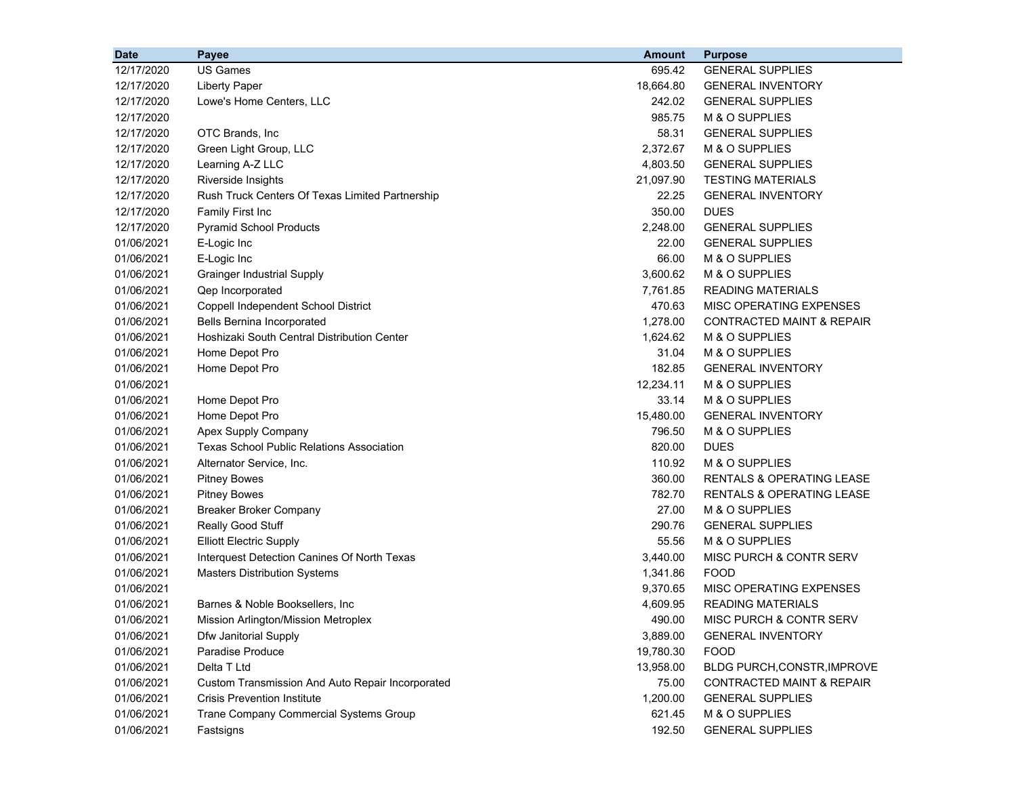| <b>Date</b> | Payee                                            | <b>Amount</b> | <b>Purpose</b>                       |
|-------------|--------------------------------------------------|---------------|--------------------------------------|
| 12/17/2020  | <b>US Games</b>                                  | 695.42        | <b>GENERAL SUPPLIES</b>              |
| 12/17/2020  | <b>Liberty Paper</b>                             | 18,664.80     | <b>GENERAL INVENTORY</b>             |
| 12/17/2020  | Lowe's Home Centers, LLC                         | 242.02        | <b>GENERAL SUPPLIES</b>              |
| 12/17/2020  |                                                  | 985.75        | M & O SUPPLIES                       |
| 12/17/2020  | OTC Brands, Inc.                                 | 58.31         | <b>GENERAL SUPPLIES</b>              |
| 12/17/2020  | Green Light Group, LLC                           | 2,372.67      | M & O SUPPLIES                       |
| 12/17/2020  | Learning A-Z LLC                                 | 4,803.50      | <b>GENERAL SUPPLIES</b>              |
| 12/17/2020  | Riverside Insights                               | 21,097.90     | <b>TESTING MATERIALS</b>             |
| 12/17/2020  | Rush Truck Centers Of Texas Limited Partnership  | 22.25         | <b>GENERAL INVENTORY</b>             |
| 12/17/2020  | Family First Inc                                 | 350.00        | <b>DUES</b>                          |
| 12/17/2020  | <b>Pyramid School Products</b>                   | 2,248.00      | <b>GENERAL SUPPLIES</b>              |
| 01/06/2021  | E-Logic Inc                                      | 22.00         | <b>GENERAL SUPPLIES</b>              |
| 01/06/2021  | E-Logic Inc                                      | 66.00         | M & O SUPPLIES                       |
| 01/06/2021  | <b>Grainger Industrial Supply</b>                | 3,600.62      | M & O SUPPLIES                       |
| 01/06/2021  | Qep Incorporated                                 | 7,761.85      | <b>READING MATERIALS</b>             |
| 01/06/2021  | Coppell Independent School District              | 470.63        | MISC OPERATING EXPENSES              |
| 01/06/2021  | <b>Bells Bernina Incorporated</b>                | 1,278.00      | CONTRACTED MAINT & REPAIR            |
| 01/06/2021  | Hoshizaki South Central Distribution Center      | 1,624.62      | M & O SUPPLIES                       |
| 01/06/2021  | Home Depot Pro                                   | 31.04         | M & O SUPPLIES                       |
| 01/06/2021  | Home Depot Pro                                   | 182.85        | <b>GENERAL INVENTORY</b>             |
| 01/06/2021  |                                                  | 12,234.11     | M & O SUPPLIES                       |
| 01/06/2021  | Home Depot Pro                                   | 33.14         | M & O SUPPLIES                       |
| 01/06/2021  | Home Depot Pro                                   | 15,480.00     | <b>GENERAL INVENTORY</b>             |
| 01/06/2021  | Apex Supply Company                              | 796.50        | M & O SUPPLIES                       |
| 01/06/2021  | <b>Texas School Public Relations Association</b> | 820.00        | <b>DUES</b>                          |
| 01/06/2021  | Alternator Service, Inc.                         | 110.92        | M & O SUPPLIES                       |
| 01/06/2021  | <b>Pitney Bowes</b>                              | 360.00        | <b>RENTALS &amp; OPERATING LEASE</b> |
| 01/06/2021  | <b>Pitney Bowes</b>                              | 782.70        | <b>RENTALS &amp; OPERATING LEASE</b> |
| 01/06/2021  | <b>Breaker Broker Company</b>                    | 27.00         | M & O SUPPLIES                       |
| 01/06/2021  | Really Good Stuff                                | 290.76        | <b>GENERAL SUPPLIES</b>              |
| 01/06/2021  | <b>Elliott Electric Supply</b>                   | 55.56         | M & O SUPPLIES                       |
| 01/06/2021  | Interquest Detection Canines Of North Texas      | 3,440.00      | MISC PURCH & CONTR SERV              |
| 01/06/2021  | <b>Masters Distribution Systems</b>              | 1,341.86      | <b>FOOD</b>                          |
| 01/06/2021  |                                                  | 9,370.65      | MISC OPERATING EXPENSES              |
| 01/06/2021  | Barnes & Noble Booksellers, Inc.                 | 4,609.95      | <b>READING MATERIALS</b>             |
| 01/06/2021  | Mission Arlington/Mission Metroplex              | 490.00        | MISC PURCH & CONTR SERV              |
| 01/06/2021  | Dfw Janitorial Supply                            | 3,889.00      | <b>GENERAL INVENTORY</b>             |
| 01/06/2021  | Paradise Produce                                 | 19,780.30     | <b>FOOD</b>                          |
| 01/06/2021  | Delta T Ltd                                      | 13,958.00     | BLDG PURCH, CONSTR, IMPROVE          |
| 01/06/2021  | Custom Transmission And Auto Repair Incorporated | 75.00         | <b>CONTRACTED MAINT &amp; REPAIR</b> |
| 01/06/2021  | <b>Crisis Prevention Institute</b>               | 1,200.00      | <b>GENERAL SUPPLIES</b>              |
| 01/06/2021  | Trane Company Commercial Systems Group           | 621.45        | M & O SUPPLIES                       |
| 01/06/2021  | Fastsigns                                        | 192.50        | <b>GENERAL SUPPLIES</b>              |
|             |                                                  |               |                                      |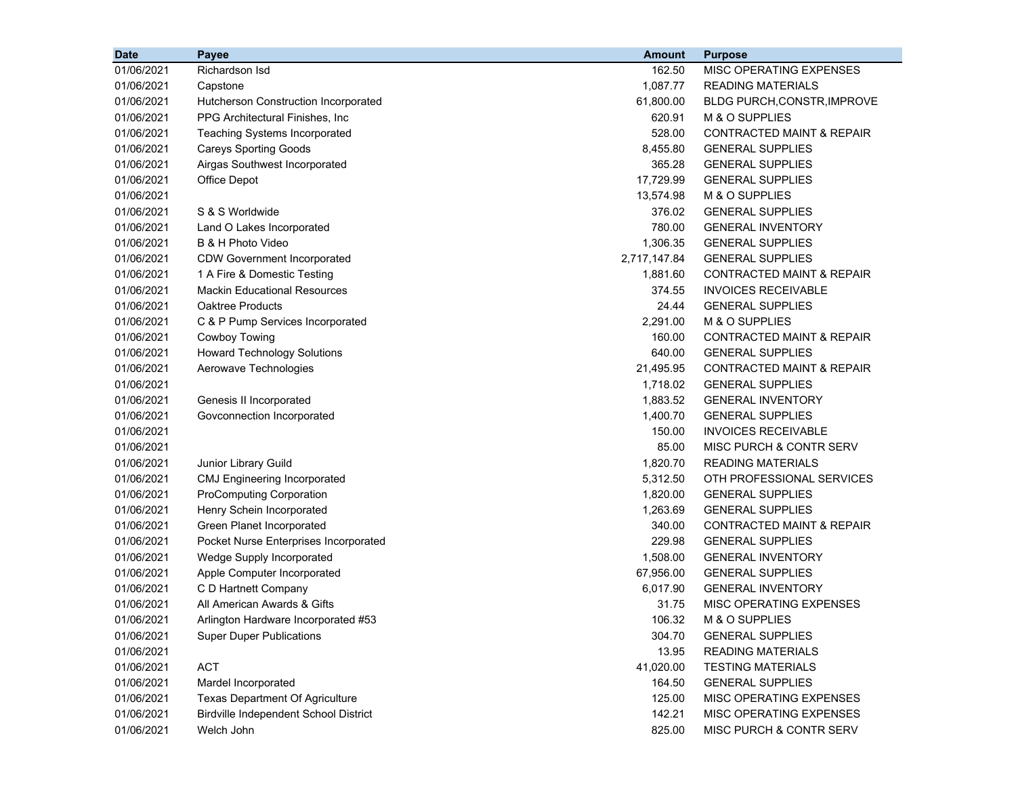| <b>Date</b> | Payee                                        | <b>Amount</b> | <b>Purpose</b>                       |
|-------------|----------------------------------------------|---------------|--------------------------------------|
| 01/06/2021  | Richardson Isd                               | 162.50        | MISC OPERATING EXPENSES              |
| 01/06/2021  | Capstone                                     | 1,087.77      | <b>READING MATERIALS</b>             |
| 01/06/2021  | Hutcherson Construction Incorporated         | 61,800.00     | BLDG PURCH, CONSTR, IMPROVE          |
| 01/06/2021  | PPG Architectural Finishes, Inc.             | 620.91        | M & O SUPPLIES                       |
| 01/06/2021  | <b>Teaching Systems Incorporated</b>         | 528.00        | <b>CONTRACTED MAINT &amp; REPAIR</b> |
| 01/06/2021  | <b>Careys Sporting Goods</b>                 | 8,455.80      | <b>GENERAL SUPPLIES</b>              |
| 01/06/2021  | Airgas Southwest Incorporated                | 365.28        | <b>GENERAL SUPPLIES</b>              |
| 01/06/2021  | Office Depot                                 | 17,729.99     | <b>GENERAL SUPPLIES</b>              |
| 01/06/2021  |                                              | 13,574.98     | M & O SUPPLIES                       |
| 01/06/2021  | S & S Worldwide                              | 376.02        | <b>GENERAL SUPPLIES</b>              |
| 01/06/2021  | Land O Lakes Incorporated                    | 780.00        | <b>GENERAL INVENTORY</b>             |
| 01/06/2021  | B & H Photo Video                            | 1,306.35      | <b>GENERAL SUPPLIES</b>              |
| 01/06/2021  | <b>CDW Government Incorporated</b>           | 2,717,147.84  | <b>GENERAL SUPPLIES</b>              |
| 01/06/2021  | 1 A Fire & Domestic Testing                  | 1,881.60      | <b>CONTRACTED MAINT &amp; REPAIR</b> |
| 01/06/2021  | <b>Mackin Educational Resources</b>          | 374.55        | <b>INVOICES RECEIVABLE</b>           |
| 01/06/2021  | <b>Oaktree Products</b>                      | 24.44         | <b>GENERAL SUPPLIES</b>              |
| 01/06/2021  | C & P Pump Services Incorporated             | 2,291.00      | M & O SUPPLIES                       |
| 01/06/2021  | Cowboy Towing                                | 160.00        | <b>CONTRACTED MAINT &amp; REPAIR</b> |
| 01/06/2021  | <b>Howard Technology Solutions</b>           | 640.00        | <b>GENERAL SUPPLIES</b>              |
| 01/06/2021  | Aerowave Technologies                        | 21,495.95     | <b>CONTRACTED MAINT &amp; REPAIR</b> |
| 01/06/2021  |                                              | 1,718.02      | <b>GENERAL SUPPLIES</b>              |
| 01/06/2021  | Genesis II Incorporated                      | 1,883.52      | <b>GENERAL INVENTORY</b>             |
| 01/06/2021  | Govconnection Incorporated                   | 1,400.70      | <b>GENERAL SUPPLIES</b>              |
| 01/06/2021  |                                              | 150.00        | <b>INVOICES RECEIVABLE</b>           |
| 01/06/2021  |                                              | 85.00         | MISC PURCH & CONTR SERV              |
| 01/06/2021  | Junior Library Guild                         | 1,820.70      | <b>READING MATERIALS</b>             |
| 01/06/2021  | <b>CMJ Engineering Incorporated</b>          | 5,312.50      | OTH PROFESSIONAL SERVICES            |
| 01/06/2021  | <b>ProComputing Corporation</b>              | 1,820.00      | <b>GENERAL SUPPLIES</b>              |
| 01/06/2021  | Henry Schein Incorporated                    | 1,263.69      | <b>GENERAL SUPPLIES</b>              |
| 01/06/2021  | Green Planet Incorporated                    | 340.00        | <b>CONTRACTED MAINT &amp; REPAIR</b> |
| 01/06/2021  | Pocket Nurse Enterprises Incorporated        | 229.98        | <b>GENERAL SUPPLIES</b>              |
| 01/06/2021  | Wedge Supply Incorporated                    | 1,508.00      | <b>GENERAL INVENTORY</b>             |
| 01/06/2021  | Apple Computer Incorporated                  | 67,956.00     | <b>GENERAL SUPPLIES</b>              |
| 01/06/2021  | C D Hartnett Company                         | 6,017.90      | <b>GENERAL INVENTORY</b>             |
| 01/06/2021  | All American Awards & Gifts                  | 31.75         | MISC OPERATING EXPENSES              |
| 01/06/2021  | Arlington Hardware Incorporated #53          | 106.32        | M & O SUPPLIES                       |
| 01/06/2021  | <b>Super Duper Publications</b>              | 304.70        | <b>GENERAL SUPPLIES</b>              |
| 01/06/2021  |                                              | 13.95         | <b>READING MATERIALS</b>             |
| 01/06/2021  | <b>ACT</b>                                   | 41,020.00     | <b>TESTING MATERIALS</b>             |
| 01/06/2021  | Mardel Incorporated                          | 164.50        | <b>GENERAL SUPPLIES</b>              |
| 01/06/2021  | <b>Texas Department Of Agriculture</b>       | 125.00        | MISC OPERATING EXPENSES              |
| 01/06/2021  | <b>Birdville Independent School District</b> | 142.21        | MISC OPERATING EXPENSES              |
| 01/06/2021  | Welch John                                   | 825.00        | MISC PURCH & CONTR SERV              |
|             |                                              |               |                                      |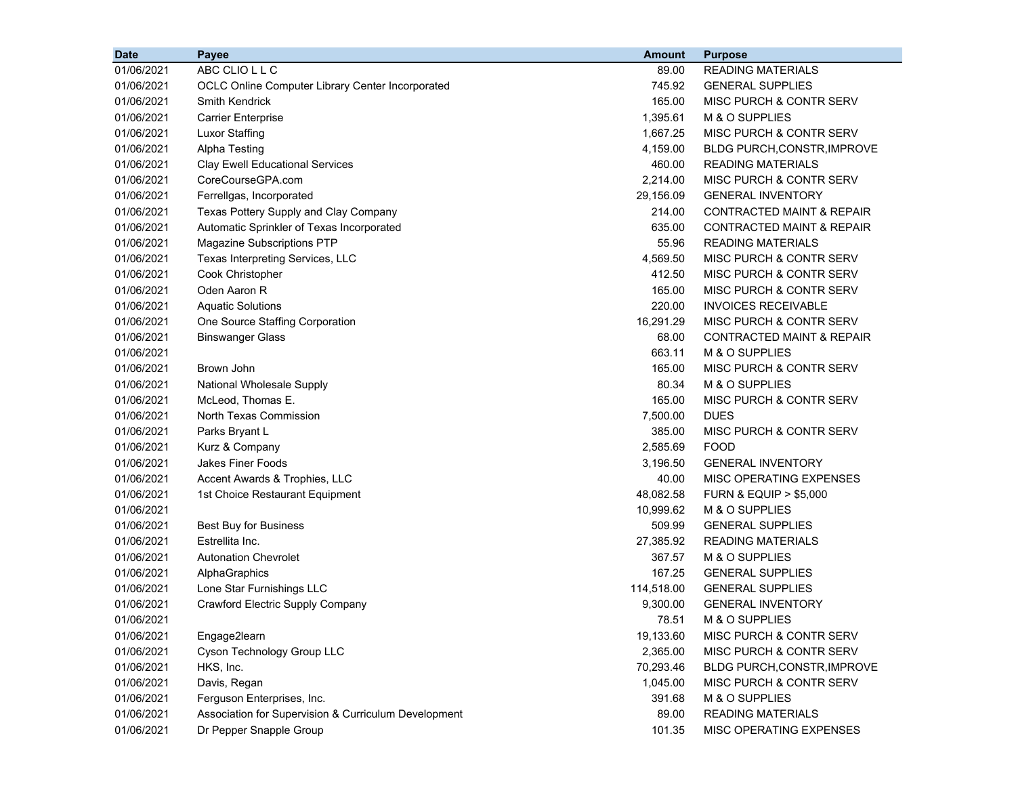| ABC CLIO L L C<br><b>READING MATERIALS</b><br>01/06/2021<br>89.00<br>01/06/2021<br>745.92<br><b>GENERAL SUPPLIES</b><br>OCLC Online Computer Library Center Incorporated<br>01/06/2021<br>Smith Kendrick<br>165.00<br>MISC PURCH & CONTR SERV<br>01/06/2021<br>1,395.61<br>M & O SUPPLIES<br><b>Carrier Enterprise</b><br>01/06/2021<br><b>Luxor Staffing</b><br>1,667.25<br>MISC PURCH & CONTR SERV<br>01/06/2021<br><b>Alpha Testing</b><br>4,159.00<br><b>BLDG PURCH, CONSTR, IMPROVE</b><br>460.00<br><b>READING MATERIALS</b><br>01/06/2021<br><b>Clay Ewell Educational Services</b><br>CoreCourseGPA.com<br>2,214.00<br>MISC PURCH & CONTR SERV<br>01/06/2021<br>Ferrellgas, Incorporated<br>29,156.09<br><b>GENERAL INVENTORY</b><br>01/06/2021<br>01/06/2021<br>214.00<br>CONTRACTED MAINT & REPAIR<br>Texas Pottery Supply and Clay Company<br>01/06/2021<br>Automatic Sprinkler of Texas Incorporated<br>635.00<br><b>CONTRACTED MAINT &amp; REPAIR</b><br>01/06/2021<br>55.96<br><b>READING MATERIALS</b><br>Magazine Subscriptions PTP<br>4,569.50<br>MISC PURCH & CONTR SERV<br>01/06/2021<br>Texas Interpreting Services, LLC<br>01/06/2021<br>412.50<br>MISC PURCH & CONTR SERV<br>Cook Christopher<br>01/06/2021<br>Oden Aaron R<br>165.00<br>MISC PURCH & CONTR SERV<br>01/06/2021<br><b>Aquatic Solutions</b><br>220.00<br><b>INVOICES RECEIVABLE</b><br>01/06/2021<br>One Source Staffing Corporation<br>16,291.29<br>MISC PURCH & CONTR SERV<br>01/06/2021<br>68.00<br><b>CONTRACTED MAINT &amp; REPAIR</b><br><b>Binswanger Glass</b><br>01/06/2021<br>663.11<br>M & O SUPPLIES<br>165.00<br>01/06/2021<br>Brown John<br>MISC PURCH & CONTR SERV<br>National Wholesale Supply<br>80.34<br>M & O SUPPLIES<br>01/06/2021<br>01/06/2021<br>McLeod, Thomas E.<br>165.00<br>MISC PURCH & CONTR SERV<br>01/06/2021<br>North Texas Commission<br>7,500.00<br><b>DUES</b><br>01/06/2021<br>Parks Bryant L<br>385.00<br>MISC PURCH & CONTR SERV<br>01/06/2021<br>Kurz & Company<br>2,585.69<br><b>FOOD</b><br><b>Jakes Finer Foods</b><br>3,196.50<br><b>GENERAL INVENTORY</b><br>01/06/2021<br>40.00<br>01/06/2021<br>Accent Awards & Trophies, LLC<br>MISC OPERATING EXPENSES<br>01/06/2021<br>48,082.58<br>1st Choice Restaurant Equipment<br><b>FURN &amp; EQUIP &gt; \$5,000</b><br>01/06/2021<br>10,999.62<br>M & O SUPPLIES<br>01/06/2021<br>509.99<br><b>GENERAL SUPPLIES</b><br>Best Buy for Business<br>01/06/2021<br>Estrellita Inc.<br>27,385.92<br><b>READING MATERIALS</b><br><b>Autonation Chevrolet</b><br>367.57<br>M & O SUPPLIES<br>01/06/2021<br>167.25<br><b>GENERAL SUPPLIES</b><br>01/06/2021<br>AlphaGraphics<br>114,518.00<br>01/06/2021<br>Lone Star Furnishings LLC<br><b>GENERAL SUPPLIES</b><br>01/06/2021<br>Crawford Electric Supply Company<br>9,300.00<br><b>GENERAL INVENTORY</b><br>01/06/2021<br>78.51<br>M & O SUPPLIES<br>01/06/2021<br>Engage2learn<br>19,133.60<br>MISC PURCH & CONTR SERV<br>Cyson Technology Group LLC<br>2,365.00<br>01/06/2021<br>MISC PURCH & CONTR SERV<br>01/06/2021<br>HKS, Inc.<br>70,293.46<br>BLDG PURCH, CONSTR, IMPROVE<br>01/06/2021<br>Davis, Regan<br>1,045.00<br>MISC PURCH & CONTR SERV<br>01/06/2021<br>Ferguson Enterprises, Inc.<br>391.68<br>M & O SUPPLIES | <b>Date</b> | Payee | <b>Amount</b> | <b>Purpose</b> |
|--------------------------------------------------------------------------------------------------------------------------------------------------------------------------------------------------------------------------------------------------------------------------------------------------------------------------------------------------------------------------------------------------------------------------------------------------------------------------------------------------------------------------------------------------------------------------------------------------------------------------------------------------------------------------------------------------------------------------------------------------------------------------------------------------------------------------------------------------------------------------------------------------------------------------------------------------------------------------------------------------------------------------------------------------------------------------------------------------------------------------------------------------------------------------------------------------------------------------------------------------------------------------------------------------------------------------------------------------------------------------------------------------------------------------------------------------------------------------------------------------------------------------------------------------------------------------------------------------------------------------------------------------------------------------------------------------------------------------------------------------------------------------------------------------------------------------------------------------------------------------------------------------------------------------------------------------------------------------------------------------------------------------------------------------------------------------------------------------------------------------------------------------------------------------------------------------------------------------------------------------------------------------------------------------------------------------------------------------------------------------------------------------------------------------------------------------------------------------------------------------------------------------------------------------------------------------------------------------------------------------------------------------------------------------------------------------------------------------------------------------------------------------------------------------------------------------------------------------------------------------------------------------------------------------------------------------------------------------------------------------------------------------------------------------------------------------------------------------------------------------------------------------------------------------------------------------------------------------------------------------------|-------------|-------|---------------|----------------|
|                                                                                                                                                                                                                                                                                                                                                                                                                                                                                                                                                                                                                                                                                                                                                                                                                                                                                                                                                                                                                                                                                                                                                                                                                                                                                                                                                                                                                                                                                                                                                                                                                                                                                                                                                                                                                                                                                                                                                                                                                                                                                                                                                                                                                                                                                                                                                                                                                                                                                                                                                                                                                                                                                                                                                                                                                                                                                                                                                                                                                                                                                                                                                                                                                                                        |             |       |               |                |
|                                                                                                                                                                                                                                                                                                                                                                                                                                                                                                                                                                                                                                                                                                                                                                                                                                                                                                                                                                                                                                                                                                                                                                                                                                                                                                                                                                                                                                                                                                                                                                                                                                                                                                                                                                                                                                                                                                                                                                                                                                                                                                                                                                                                                                                                                                                                                                                                                                                                                                                                                                                                                                                                                                                                                                                                                                                                                                                                                                                                                                                                                                                                                                                                                                                        |             |       |               |                |
|                                                                                                                                                                                                                                                                                                                                                                                                                                                                                                                                                                                                                                                                                                                                                                                                                                                                                                                                                                                                                                                                                                                                                                                                                                                                                                                                                                                                                                                                                                                                                                                                                                                                                                                                                                                                                                                                                                                                                                                                                                                                                                                                                                                                                                                                                                                                                                                                                                                                                                                                                                                                                                                                                                                                                                                                                                                                                                                                                                                                                                                                                                                                                                                                                                                        |             |       |               |                |
|                                                                                                                                                                                                                                                                                                                                                                                                                                                                                                                                                                                                                                                                                                                                                                                                                                                                                                                                                                                                                                                                                                                                                                                                                                                                                                                                                                                                                                                                                                                                                                                                                                                                                                                                                                                                                                                                                                                                                                                                                                                                                                                                                                                                                                                                                                                                                                                                                                                                                                                                                                                                                                                                                                                                                                                                                                                                                                                                                                                                                                                                                                                                                                                                                                                        |             |       |               |                |
|                                                                                                                                                                                                                                                                                                                                                                                                                                                                                                                                                                                                                                                                                                                                                                                                                                                                                                                                                                                                                                                                                                                                                                                                                                                                                                                                                                                                                                                                                                                                                                                                                                                                                                                                                                                                                                                                                                                                                                                                                                                                                                                                                                                                                                                                                                                                                                                                                                                                                                                                                                                                                                                                                                                                                                                                                                                                                                                                                                                                                                                                                                                                                                                                                                                        |             |       |               |                |
|                                                                                                                                                                                                                                                                                                                                                                                                                                                                                                                                                                                                                                                                                                                                                                                                                                                                                                                                                                                                                                                                                                                                                                                                                                                                                                                                                                                                                                                                                                                                                                                                                                                                                                                                                                                                                                                                                                                                                                                                                                                                                                                                                                                                                                                                                                                                                                                                                                                                                                                                                                                                                                                                                                                                                                                                                                                                                                                                                                                                                                                                                                                                                                                                                                                        |             |       |               |                |
|                                                                                                                                                                                                                                                                                                                                                                                                                                                                                                                                                                                                                                                                                                                                                                                                                                                                                                                                                                                                                                                                                                                                                                                                                                                                                                                                                                                                                                                                                                                                                                                                                                                                                                                                                                                                                                                                                                                                                                                                                                                                                                                                                                                                                                                                                                                                                                                                                                                                                                                                                                                                                                                                                                                                                                                                                                                                                                                                                                                                                                                                                                                                                                                                                                                        |             |       |               |                |
|                                                                                                                                                                                                                                                                                                                                                                                                                                                                                                                                                                                                                                                                                                                                                                                                                                                                                                                                                                                                                                                                                                                                                                                                                                                                                                                                                                                                                                                                                                                                                                                                                                                                                                                                                                                                                                                                                                                                                                                                                                                                                                                                                                                                                                                                                                                                                                                                                                                                                                                                                                                                                                                                                                                                                                                                                                                                                                                                                                                                                                                                                                                                                                                                                                                        |             |       |               |                |
|                                                                                                                                                                                                                                                                                                                                                                                                                                                                                                                                                                                                                                                                                                                                                                                                                                                                                                                                                                                                                                                                                                                                                                                                                                                                                                                                                                                                                                                                                                                                                                                                                                                                                                                                                                                                                                                                                                                                                                                                                                                                                                                                                                                                                                                                                                                                                                                                                                                                                                                                                                                                                                                                                                                                                                                                                                                                                                                                                                                                                                                                                                                                                                                                                                                        |             |       |               |                |
|                                                                                                                                                                                                                                                                                                                                                                                                                                                                                                                                                                                                                                                                                                                                                                                                                                                                                                                                                                                                                                                                                                                                                                                                                                                                                                                                                                                                                                                                                                                                                                                                                                                                                                                                                                                                                                                                                                                                                                                                                                                                                                                                                                                                                                                                                                                                                                                                                                                                                                                                                                                                                                                                                                                                                                                                                                                                                                                                                                                                                                                                                                                                                                                                                                                        |             |       |               |                |
|                                                                                                                                                                                                                                                                                                                                                                                                                                                                                                                                                                                                                                                                                                                                                                                                                                                                                                                                                                                                                                                                                                                                                                                                                                                                                                                                                                                                                                                                                                                                                                                                                                                                                                                                                                                                                                                                                                                                                                                                                                                                                                                                                                                                                                                                                                                                                                                                                                                                                                                                                                                                                                                                                                                                                                                                                                                                                                                                                                                                                                                                                                                                                                                                                                                        |             |       |               |                |
|                                                                                                                                                                                                                                                                                                                                                                                                                                                                                                                                                                                                                                                                                                                                                                                                                                                                                                                                                                                                                                                                                                                                                                                                                                                                                                                                                                                                                                                                                                                                                                                                                                                                                                                                                                                                                                                                                                                                                                                                                                                                                                                                                                                                                                                                                                                                                                                                                                                                                                                                                                                                                                                                                                                                                                                                                                                                                                                                                                                                                                                                                                                                                                                                                                                        |             |       |               |                |
|                                                                                                                                                                                                                                                                                                                                                                                                                                                                                                                                                                                                                                                                                                                                                                                                                                                                                                                                                                                                                                                                                                                                                                                                                                                                                                                                                                                                                                                                                                                                                                                                                                                                                                                                                                                                                                                                                                                                                                                                                                                                                                                                                                                                                                                                                                                                                                                                                                                                                                                                                                                                                                                                                                                                                                                                                                                                                                                                                                                                                                                                                                                                                                                                                                                        |             |       |               |                |
|                                                                                                                                                                                                                                                                                                                                                                                                                                                                                                                                                                                                                                                                                                                                                                                                                                                                                                                                                                                                                                                                                                                                                                                                                                                                                                                                                                                                                                                                                                                                                                                                                                                                                                                                                                                                                                                                                                                                                                                                                                                                                                                                                                                                                                                                                                                                                                                                                                                                                                                                                                                                                                                                                                                                                                                                                                                                                                                                                                                                                                                                                                                                                                                                                                                        |             |       |               |                |
|                                                                                                                                                                                                                                                                                                                                                                                                                                                                                                                                                                                                                                                                                                                                                                                                                                                                                                                                                                                                                                                                                                                                                                                                                                                                                                                                                                                                                                                                                                                                                                                                                                                                                                                                                                                                                                                                                                                                                                                                                                                                                                                                                                                                                                                                                                                                                                                                                                                                                                                                                                                                                                                                                                                                                                                                                                                                                                                                                                                                                                                                                                                                                                                                                                                        |             |       |               |                |
|                                                                                                                                                                                                                                                                                                                                                                                                                                                                                                                                                                                                                                                                                                                                                                                                                                                                                                                                                                                                                                                                                                                                                                                                                                                                                                                                                                                                                                                                                                                                                                                                                                                                                                                                                                                                                                                                                                                                                                                                                                                                                                                                                                                                                                                                                                                                                                                                                                                                                                                                                                                                                                                                                                                                                                                                                                                                                                                                                                                                                                                                                                                                                                                                                                                        |             |       |               |                |
|                                                                                                                                                                                                                                                                                                                                                                                                                                                                                                                                                                                                                                                                                                                                                                                                                                                                                                                                                                                                                                                                                                                                                                                                                                                                                                                                                                                                                                                                                                                                                                                                                                                                                                                                                                                                                                                                                                                                                                                                                                                                                                                                                                                                                                                                                                                                                                                                                                                                                                                                                                                                                                                                                                                                                                                                                                                                                                                                                                                                                                                                                                                                                                                                                                                        |             |       |               |                |
|                                                                                                                                                                                                                                                                                                                                                                                                                                                                                                                                                                                                                                                                                                                                                                                                                                                                                                                                                                                                                                                                                                                                                                                                                                                                                                                                                                                                                                                                                                                                                                                                                                                                                                                                                                                                                                                                                                                                                                                                                                                                                                                                                                                                                                                                                                                                                                                                                                                                                                                                                                                                                                                                                                                                                                                                                                                                                                                                                                                                                                                                                                                                                                                                                                                        |             |       |               |                |
|                                                                                                                                                                                                                                                                                                                                                                                                                                                                                                                                                                                                                                                                                                                                                                                                                                                                                                                                                                                                                                                                                                                                                                                                                                                                                                                                                                                                                                                                                                                                                                                                                                                                                                                                                                                                                                                                                                                                                                                                                                                                                                                                                                                                                                                                                                                                                                                                                                                                                                                                                                                                                                                                                                                                                                                                                                                                                                                                                                                                                                                                                                                                                                                                                                                        |             |       |               |                |
|                                                                                                                                                                                                                                                                                                                                                                                                                                                                                                                                                                                                                                                                                                                                                                                                                                                                                                                                                                                                                                                                                                                                                                                                                                                                                                                                                                                                                                                                                                                                                                                                                                                                                                                                                                                                                                                                                                                                                                                                                                                                                                                                                                                                                                                                                                                                                                                                                                                                                                                                                                                                                                                                                                                                                                                                                                                                                                                                                                                                                                                                                                                                                                                                                                                        |             |       |               |                |
|                                                                                                                                                                                                                                                                                                                                                                                                                                                                                                                                                                                                                                                                                                                                                                                                                                                                                                                                                                                                                                                                                                                                                                                                                                                                                                                                                                                                                                                                                                                                                                                                                                                                                                                                                                                                                                                                                                                                                                                                                                                                                                                                                                                                                                                                                                                                                                                                                                                                                                                                                                                                                                                                                                                                                                                                                                                                                                                                                                                                                                                                                                                                                                                                                                                        |             |       |               |                |
|                                                                                                                                                                                                                                                                                                                                                                                                                                                                                                                                                                                                                                                                                                                                                                                                                                                                                                                                                                                                                                                                                                                                                                                                                                                                                                                                                                                                                                                                                                                                                                                                                                                                                                                                                                                                                                                                                                                                                                                                                                                                                                                                                                                                                                                                                                                                                                                                                                                                                                                                                                                                                                                                                                                                                                                                                                                                                                                                                                                                                                                                                                                                                                                                                                                        |             |       |               |                |
|                                                                                                                                                                                                                                                                                                                                                                                                                                                                                                                                                                                                                                                                                                                                                                                                                                                                                                                                                                                                                                                                                                                                                                                                                                                                                                                                                                                                                                                                                                                                                                                                                                                                                                                                                                                                                                                                                                                                                                                                                                                                                                                                                                                                                                                                                                                                                                                                                                                                                                                                                                                                                                                                                                                                                                                                                                                                                                                                                                                                                                                                                                                                                                                                                                                        |             |       |               |                |
|                                                                                                                                                                                                                                                                                                                                                                                                                                                                                                                                                                                                                                                                                                                                                                                                                                                                                                                                                                                                                                                                                                                                                                                                                                                                                                                                                                                                                                                                                                                                                                                                                                                                                                                                                                                                                                                                                                                                                                                                                                                                                                                                                                                                                                                                                                                                                                                                                                                                                                                                                                                                                                                                                                                                                                                                                                                                                                                                                                                                                                                                                                                                                                                                                                                        |             |       |               |                |
|                                                                                                                                                                                                                                                                                                                                                                                                                                                                                                                                                                                                                                                                                                                                                                                                                                                                                                                                                                                                                                                                                                                                                                                                                                                                                                                                                                                                                                                                                                                                                                                                                                                                                                                                                                                                                                                                                                                                                                                                                                                                                                                                                                                                                                                                                                                                                                                                                                                                                                                                                                                                                                                                                                                                                                                                                                                                                                                                                                                                                                                                                                                                                                                                                                                        |             |       |               |                |
|                                                                                                                                                                                                                                                                                                                                                                                                                                                                                                                                                                                                                                                                                                                                                                                                                                                                                                                                                                                                                                                                                                                                                                                                                                                                                                                                                                                                                                                                                                                                                                                                                                                                                                                                                                                                                                                                                                                                                                                                                                                                                                                                                                                                                                                                                                                                                                                                                                                                                                                                                                                                                                                                                                                                                                                                                                                                                                                                                                                                                                                                                                                                                                                                                                                        |             |       |               |                |
|                                                                                                                                                                                                                                                                                                                                                                                                                                                                                                                                                                                                                                                                                                                                                                                                                                                                                                                                                                                                                                                                                                                                                                                                                                                                                                                                                                                                                                                                                                                                                                                                                                                                                                                                                                                                                                                                                                                                                                                                                                                                                                                                                                                                                                                                                                                                                                                                                                                                                                                                                                                                                                                                                                                                                                                                                                                                                                                                                                                                                                                                                                                                                                                                                                                        |             |       |               |                |
|                                                                                                                                                                                                                                                                                                                                                                                                                                                                                                                                                                                                                                                                                                                                                                                                                                                                                                                                                                                                                                                                                                                                                                                                                                                                                                                                                                                                                                                                                                                                                                                                                                                                                                                                                                                                                                                                                                                                                                                                                                                                                                                                                                                                                                                                                                                                                                                                                                                                                                                                                                                                                                                                                                                                                                                                                                                                                                                                                                                                                                                                                                                                                                                                                                                        |             |       |               |                |
|                                                                                                                                                                                                                                                                                                                                                                                                                                                                                                                                                                                                                                                                                                                                                                                                                                                                                                                                                                                                                                                                                                                                                                                                                                                                                                                                                                                                                                                                                                                                                                                                                                                                                                                                                                                                                                                                                                                                                                                                                                                                                                                                                                                                                                                                                                                                                                                                                                                                                                                                                                                                                                                                                                                                                                                                                                                                                                                                                                                                                                                                                                                                                                                                                                                        |             |       |               |                |
|                                                                                                                                                                                                                                                                                                                                                                                                                                                                                                                                                                                                                                                                                                                                                                                                                                                                                                                                                                                                                                                                                                                                                                                                                                                                                                                                                                                                                                                                                                                                                                                                                                                                                                                                                                                                                                                                                                                                                                                                                                                                                                                                                                                                                                                                                                                                                                                                                                                                                                                                                                                                                                                                                                                                                                                                                                                                                                                                                                                                                                                                                                                                                                                                                                                        |             |       |               |                |
|                                                                                                                                                                                                                                                                                                                                                                                                                                                                                                                                                                                                                                                                                                                                                                                                                                                                                                                                                                                                                                                                                                                                                                                                                                                                                                                                                                                                                                                                                                                                                                                                                                                                                                                                                                                                                                                                                                                                                                                                                                                                                                                                                                                                                                                                                                                                                                                                                                                                                                                                                                                                                                                                                                                                                                                                                                                                                                                                                                                                                                                                                                                                                                                                                                                        |             |       |               |                |
|                                                                                                                                                                                                                                                                                                                                                                                                                                                                                                                                                                                                                                                                                                                                                                                                                                                                                                                                                                                                                                                                                                                                                                                                                                                                                                                                                                                                                                                                                                                                                                                                                                                                                                                                                                                                                                                                                                                                                                                                                                                                                                                                                                                                                                                                                                                                                                                                                                                                                                                                                                                                                                                                                                                                                                                                                                                                                                                                                                                                                                                                                                                                                                                                                                                        |             |       |               |                |
|                                                                                                                                                                                                                                                                                                                                                                                                                                                                                                                                                                                                                                                                                                                                                                                                                                                                                                                                                                                                                                                                                                                                                                                                                                                                                                                                                                                                                                                                                                                                                                                                                                                                                                                                                                                                                                                                                                                                                                                                                                                                                                                                                                                                                                                                                                                                                                                                                                                                                                                                                                                                                                                                                                                                                                                                                                                                                                                                                                                                                                                                                                                                                                                                                                                        |             |       |               |                |
|                                                                                                                                                                                                                                                                                                                                                                                                                                                                                                                                                                                                                                                                                                                                                                                                                                                                                                                                                                                                                                                                                                                                                                                                                                                                                                                                                                                                                                                                                                                                                                                                                                                                                                                                                                                                                                                                                                                                                                                                                                                                                                                                                                                                                                                                                                                                                                                                                                                                                                                                                                                                                                                                                                                                                                                                                                                                                                                                                                                                                                                                                                                                                                                                                                                        |             |       |               |                |
|                                                                                                                                                                                                                                                                                                                                                                                                                                                                                                                                                                                                                                                                                                                                                                                                                                                                                                                                                                                                                                                                                                                                                                                                                                                                                                                                                                                                                                                                                                                                                                                                                                                                                                                                                                                                                                                                                                                                                                                                                                                                                                                                                                                                                                                                                                                                                                                                                                                                                                                                                                                                                                                                                                                                                                                                                                                                                                                                                                                                                                                                                                                                                                                                                                                        |             |       |               |                |
|                                                                                                                                                                                                                                                                                                                                                                                                                                                                                                                                                                                                                                                                                                                                                                                                                                                                                                                                                                                                                                                                                                                                                                                                                                                                                                                                                                                                                                                                                                                                                                                                                                                                                                                                                                                                                                                                                                                                                                                                                                                                                                                                                                                                                                                                                                                                                                                                                                                                                                                                                                                                                                                                                                                                                                                                                                                                                                                                                                                                                                                                                                                                                                                                                                                        |             |       |               |                |
|                                                                                                                                                                                                                                                                                                                                                                                                                                                                                                                                                                                                                                                                                                                                                                                                                                                                                                                                                                                                                                                                                                                                                                                                                                                                                                                                                                                                                                                                                                                                                                                                                                                                                                                                                                                                                                                                                                                                                                                                                                                                                                                                                                                                                                                                                                                                                                                                                                                                                                                                                                                                                                                                                                                                                                                                                                                                                                                                                                                                                                                                                                                                                                                                                                                        |             |       |               |                |
|                                                                                                                                                                                                                                                                                                                                                                                                                                                                                                                                                                                                                                                                                                                                                                                                                                                                                                                                                                                                                                                                                                                                                                                                                                                                                                                                                                                                                                                                                                                                                                                                                                                                                                                                                                                                                                                                                                                                                                                                                                                                                                                                                                                                                                                                                                                                                                                                                                                                                                                                                                                                                                                                                                                                                                                                                                                                                                                                                                                                                                                                                                                                                                                                                                                        |             |       |               |                |
|                                                                                                                                                                                                                                                                                                                                                                                                                                                                                                                                                                                                                                                                                                                                                                                                                                                                                                                                                                                                                                                                                                                                                                                                                                                                                                                                                                                                                                                                                                                                                                                                                                                                                                                                                                                                                                                                                                                                                                                                                                                                                                                                                                                                                                                                                                                                                                                                                                                                                                                                                                                                                                                                                                                                                                                                                                                                                                                                                                                                                                                                                                                                                                                                                                                        |             |       |               |                |
|                                                                                                                                                                                                                                                                                                                                                                                                                                                                                                                                                                                                                                                                                                                                                                                                                                                                                                                                                                                                                                                                                                                                                                                                                                                                                                                                                                                                                                                                                                                                                                                                                                                                                                                                                                                                                                                                                                                                                                                                                                                                                                                                                                                                                                                                                                                                                                                                                                                                                                                                                                                                                                                                                                                                                                                                                                                                                                                                                                                                                                                                                                                                                                                                                                                        |             |       |               |                |
|                                                                                                                                                                                                                                                                                                                                                                                                                                                                                                                                                                                                                                                                                                                                                                                                                                                                                                                                                                                                                                                                                                                                                                                                                                                                                                                                                                                                                                                                                                                                                                                                                                                                                                                                                                                                                                                                                                                                                                                                                                                                                                                                                                                                                                                                                                                                                                                                                                                                                                                                                                                                                                                                                                                                                                                                                                                                                                                                                                                                                                                                                                                                                                                                                                                        |             |       |               |                |
| 01/06/2021<br>Association for Supervision & Curriculum Development<br>89.00<br><b>READING MATERIALS</b>                                                                                                                                                                                                                                                                                                                                                                                                                                                                                                                                                                                                                                                                                                                                                                                                                                                                                                                                                                                                                                                                                                                                                                                                                                                                                                                                                                                                                                                                                                                                                                                                                                                                                                                                                                                                                                                                                                                                                                                                                                                                                                                                                                                                                                                                                                                                                                                                                                                                                                                                                                                                                                                                                                                                                                                                                                                                                                                                                                                                                                                                                                                                                |             |       |               |                |
| 01/06/2021<br>Dr Pepper Snapple Group<br>101.35<br>MISC OPERATING EXPENSES                                                                                                                                                                                                                                                                                                                                                                                                                                                                                                                                                                                                                                                                                                                                                                                                                                                                                                                                                                                                                                                                                                                                                                                                                                                                                                                                                                                                                                                                                                                                                                                                                                                                                                                                                                                                                                                                                                                                                                                                                                                                                                                                                                                                                                                                                                                                                                                                                                                                                                                                                                                                                                                                                                                                                                                                                                                                                                                                                                                                                                                                                                                                                                             |             |       |               |                |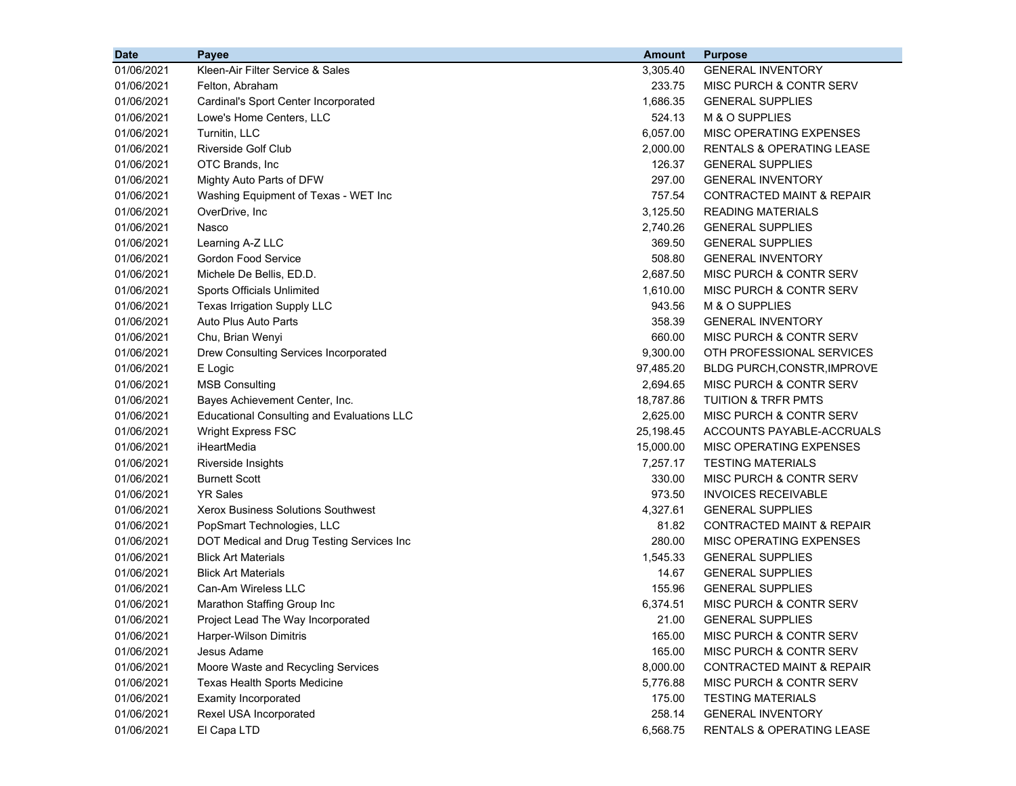| <b>Date</b> | Payee                                             | <b>Amount</b> | <b>Purpose</b>                       |
|-------------|---------------------------------------------------|---------------|--------------------------------------|
| 01/06/2021  | Kleen-Air Filter Service & Sales                  | 3,305.40      | <b>GENERAL INVENTORY</b>             |
| 01/06/2021  | Felton, Abraham                                   | 233.75        | MISC PURCH & CONTR SERV              |
| 01/06/2021  | Cardinal's Sport Center Incorporated              | 1,686.35      | <b>GENERAL SUPPLIES</b>              |
| 01/06/2021  | Lowe's Home Centers, LLC                          | 524.13        | M & O SUPPLIES                       |
| 01/06/2021  | Turnitin, LLC                                     | 6,057.00      | MISC OPERATING EXPENSES              |
| 01/06/2021  | Riverside Golf Club                               | 2,000.00      | RENTALS & OPERATING LEASE            |
| 01/06/2021  | OTC Brands, Inc.                                  | 126.37        | <b>GENERAL SUPPLIES</b>              |
| 01/06/2021  | Mighty Auto Parts of DFW                          | 297.00        | <b>GENERAL INVENTORY</b>             |
| 01/06/2021  | Washing Equipment of Texas - WET Inc              | 757.54        | <b>CONTRACTED MAINT &amp; REPAIR</b> |
| 01/06/2021  | OverDrive, Inc.                                   | 3,125.50      | <b>READING MATERIALS</b>             |
| 01/06/2021  | Nasco                                             | 2,740.26      | <b>GENERAL SUPPLIES</b>              |
| 01/06/2021  | Learning A-Z LLC                                  | 369.50        | <b>GENERAL SUPPLIES</b>              |
| 01/06/2021  | <b>Gordon Food Service</b>                        | 508.80        | <b>GENERAL INVENTORY</b>             |
| 01/06/2021  | Michele De Bellis, ED.D.                          | 2,687.50      | MISC PURCH & CONTR SERV              |
| 01/06/2021  | Sports Officials Unlimited                        | 1,610.00      | MISC PURCH & CONTR SERV              |
| 01/06/2021  | Texas Irrigation Supply LLC                       | 943.56        | M & O SUPPLIES                       |
| 01/06/2021  | Auto Plus Auto Parts                              | 358.39        | <b>GENERAL INVENTORY</b>             |
| 01/06/2021  | Chu, Brian Wenyi                                  | 660.00        | MISC PURCH & CONTR SERV              |
| 01/06/2021  | Drew Consulting Services Incorporated             | 9,300.00      | OTH PROFESSIONAL SERVICES            |
| 01/06/2021  | E Logic                                           | 97,485.20     | BLDG PURCH, CONSTR, IMPROVE          |
| 01/06/2021  | <b>MSB Consulting</b>                             | 2,694.65      | MISC PURCH & CONTR SERV              |
| 01/06/2021  | Bayes Achievement Center, Inc.                    | 18,787.86     | <b>TUITION &amp; TRFR PMTS</b>       |
| 01/06/2021  | <b>Educational Consulting and Evaluations LLC</b> | 2,625.00      | MISC PURCH & CONTR SERV              |
| 01/06/2021  | <b>Wright Express FSC</b>                         | 25,198.45     | ACCOUNTS PAYABLE-ACCRUALS            |
| 01/06/2021  | iHeartMedia                                       | 15,000.00     | MISC OPERATING EXPENSES              |
| 01/06/2021  | Riverside Insights                                | 7,257.17      | <b>TESTING MATERIALS</b>             |
| 01/06/2021  | <b>Burnett Scott</b>                              | 330.00        | MISC PURCH & CONTR SERV              |
| 01/06/2021  | <b>YR Sales</b>                                   | 973.50        | <b>INVOICES RECEIVABLE</b>           |
| 01/06/2021  | <b>Xerox Business Solutions Southwest</b>         | 4,327.61      | <b>GENERAL SUPPLIES</b>              |
| 01/06/2021  | PopSmart Technologies, LLC                        | 81.82         | CONTRACTED MAINT & REPAIR            |
| 01/06/2021  | DOT Medical and Drug Testing Services Inc         | 280.00        | MISC OPERATING EXPENSES              |
| 01/06/2021  | <b>Blick Art Materials</b>                        | 1,545.33      | <b>GENERAL SUPPLIES</b>              |
| 01/06/2021  | <b>Blick Art Materials</b>                        | 14.67         | <b>GENERAL SUPPLIES</b>              |
| 01/06/2021  | Can-Am Wireless LLC                               | 155.96        | <b>GENERAL SUPPLIES</b>              |
| 01/06/2021  | Marathon Staffing Group Inc                       | 6,374.51      | MISC PURCH & CONTR SERV              |
| 01/06/2021  | Project Lead The Way Incorporated                 | 21.00         | <b>GENERAL SUPPLIES</b>              |
| 01/06/2021  | Harper-Wilson Dimitris                            | 165.00        | MISC PURCH & CONTR SERV              |
| 01/06/2021  | Jesus Adame                                       | 165.00        | <b>MISC PURCH &amp; CONTR SERV</b>   |
| 01/06/2021  | Moore Waste and Recycling Services                | 8,000.00      | <b>CONTRACTED MAINT &amp; REPAIR</b> |
| 01/06/2021  | Texas Health Sports Medicine                      | 5,776.88      | MISC PURCH & CONTR SERV              |
| 01/06/2021  | <b>Examity Incorporated</b>                       | 175.00        | <b>TESTING MATERIALS</b>             |
| 01/06/2021  | Rexel USA Incorporated                            | 258.14        | <b>GENERAL INVENTORY</b>             |
| 01/06/2021  | El Capa LTD                                       | 6,568.75      | RENTALS & OPERATING LEASE            |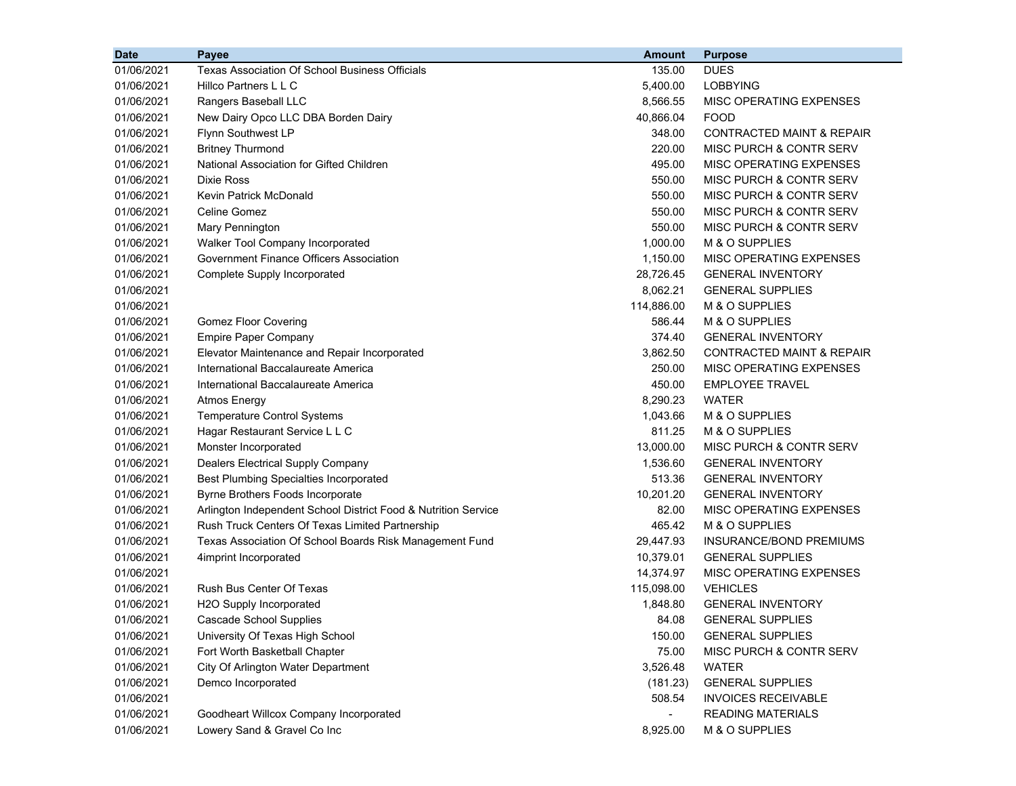| <b>Date</b> | Payee                                                          | <b>Amount</b> | <b>Purpose</b>                       |
|-------------|----------------------------------------------------------------|---------------|--------------------------------------|
| 01/06/2021  | <b>Texas Association Of School Business Officials</b>          | 135.00        | <b>DUES</b>                          |
| 01/06/2021  | Hillco Partners L L C                                          | 5,400.00      | <b>LOBBYING</b>                      |
| 01/06/2021  | Rangers Baseball LLC                                           | 8,566.55      | MISC OPERATING EXPENSES              |
| 01/06/2021  | New Dairy Opco LLC DBA Borden Dairy                            | 40,866.04     | <b>FOOD</b>                          |
| 01/06/2021  | Flynn Southwest LP                                             | 348.00        | CONTRACTED MAINT & REPAIR            |
| 01/06/2021  | <b>Britney Thurmond</b>                                        | 220.00        | MISC PURCH & CONTR SERV              |
| 01/06/2021  | National Association for Gifted Children                       | 495.00        | MISC OPERATING EXPENSES              |
| 01/06/2021  | Dixie Ross                                                     | 550.00        | MISC PURCH & CONTR SERV              |
| 01/06/2021  | Kevin Patrick McDonald                                         | 550.00        | MISC PURCH & CONTR SERV              |
| 01/06/2021  | Celine Gomez                                                   | 550.00        | MISC PURCH & CONTR SERV              |
| 01/06/2021  | Mary Pennington                                                | 550.00        | <b>MISC PURCH &amp; CONTR SERV</b>   |
| 01/06/2021  | Walker Tool Company Incorporated                               | 1,000.00      | M & O SUPPLIES                       |
| 01/06/2021  | Government Finance Officers Association                        | 1,150.00      | MISC OPERATING EXPENSES              |
| 01/06/2021  | Complete Supply Incorporated                                   | 28,726.45     | <b>GENERAL INVENTORY</b>             |
| 01/06/2021  |                                                                | 8,062.21      | <b>GENERAL SUPPLIES</b>              |
| 01/06/2021  |                                                                | 114,886.00    | M & O SUPPLIES                       |
| 01/06/2021  | <b>Gomez Floor Covering</b>                                    | 586.44        | M & O SUPPLIES                       |
| 01/06/2021  | <b>Empire Paper Company</b>                                    | 374.40        | <b>GENERAL INVENTORY</b>             |
| 01/06/2021  | Elevator Maintenance and Repair Incorporated                   | 3,862.50      | <b>CONTRACTED MAINT &amp; REPAIR</b> |
| 01/06/2021  | International Baccalaureate America                            | 250.00        | MISC OPERATING EXPENSES              |
| 01/06/2021  | International Baccalaureate America                            | 450.00        | <b>EMPLOYEE TRAVEL</b>               |
| 01/06/2021  | <b>Atmos Energy</b>                                            | 8,290.23      | <b>WATER</b>                         |
| 01/06/2021  | <b>Temperature Control Systems</b>                             | 1,043.66      | M & O SUPPLIES                       |
| 01/06/2021  | Hagar Restaurant Service L L C                                 | 811.25        | M & O SUPPLIES                       |
| 01/06/2021  | Monster Incorporated                                           | 13,000.00     | MISC PURCH & CONTR SERV              |
| 01/06/2021  | Dealers Electrical Supply Company                              | 1,536.60      | <b>GENERAL INVENTORY</b>             |
| 01/06/2021  | <b>Best Plumbing Specialties Incorporated</b>                  | 513.36        | <b>GENERAL INVENTORY</b>             |
| 01/06/2021  | Byrne Brothers Foods Incorporate                               | 10,201.20     | <b>GENERAL INVENTORY</b>             |
| 01/06/2021  | Arlington Independent School District Food & Nutrition Service | 82.00         | MISC OPERATING EXPENSES              |
| 01/06/2021  | Rush Truck Centers Of Texas Limited Partnership                | 465.42        | M & O SUPPLIES                       |
| 01/06/2021  | Texas Association Of School Boards Risk Management Fund        | 29,447.93     | INSURANCE/BOND PREMIUMS              |
| 01/06/2021  | 4imprint Incorporated                                          | 10,379.01     | <b>GENERAL SUPPLIES</b>              |
| 01/06/2021  |                                                                | 14,374.97     | MISC OPERATING EXPENSES              |
| 01/06/2021  | Rush Bus Center Of Texas                                       | 115,098.00    | <b>VEHICLES</b>                      |
| 01/06/2021  | H2O Supply Incorporated                                        | 1,848.80      | <b>GENERAL INVENTORY</b>             |
| 01/06/2021  | Cascade School Supplies                                        | 84.08         | <b>GENERAL SUPPLIES</b>              |
| 01/06/2021  | University Of Texas High School                                | 150.00        | <b>GENERAL SUPPLIES</b>              |
| 01/06/2021  | Fort Worth Basketball Chapter                                  | 75.00         | MISC PURCH & CONTR SERV              |
| 01/06/2021  | City Of Arlington Water Department                             | 3,526.48      | <b>WATER</b>                         |
| 01/06/2021  | Demco Incorporated                                             | (181.23)      | <b>GENERAL SUPPLIES</b>              |
| 01/06/2021  |                                                                | 508.54        | <b>INVOICES RECEIVABLE</b>           |
| 01/06/2021  | Goodheart Willcox Company Incorporated                         |               | <b>READING MATERIALS</b>             |
| 01/06/2021  | Lowery Sand & Gravel Co Inc                                    | 8,925.00      | M & O SUPPLIES                       |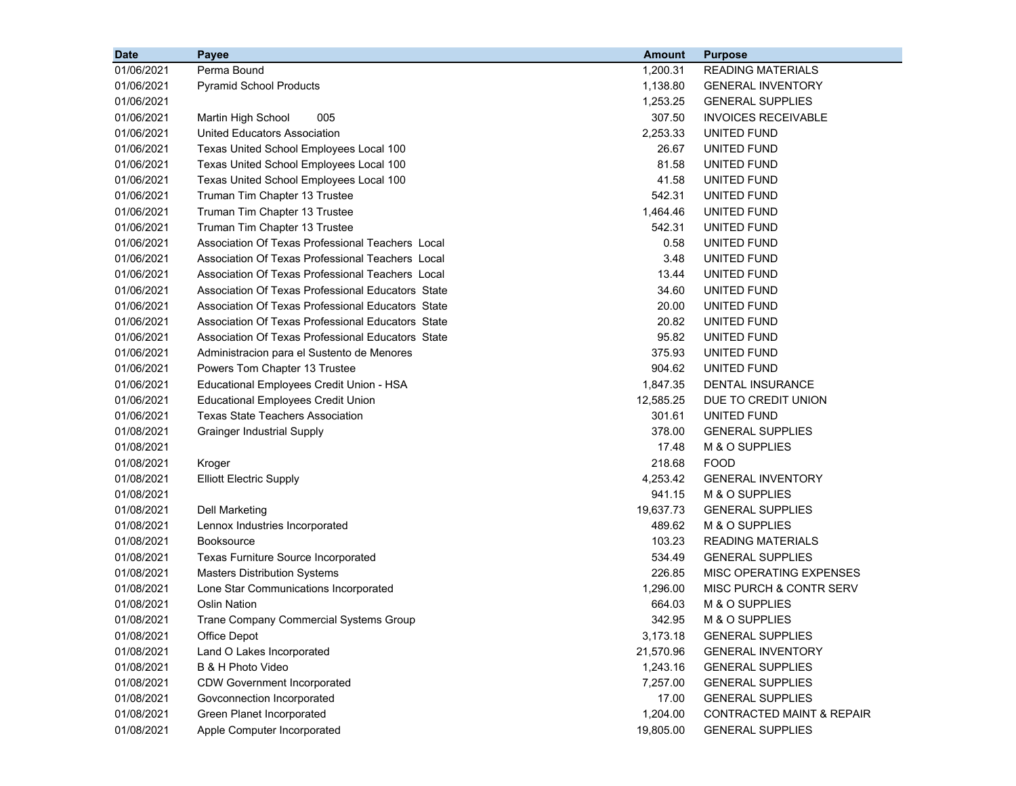| <b>Date</b> | <b>Payee</b>                                      | <b>Amount</b> | <b>Purpose</b>                       |
|-------------|---------------------------------------------------|---------------|--------------------------------------|
| 01/06/2021  | Perma Bound                                       | 1,200.31      | <b>READING MATERIALS</b>             |
| 01/06/2021  | <b>Pyramid School Products</b>                    | 1,138.80      | <b>GENERAL INVENTORY</b>             |
| 01/06/2021  |                                                   | 1,253.25      | <b>GENERAL SUPPLIES</b>              |
| 01/06/2021  | 005<br>Martin High School                         | 307.50        | <b>INVOICES RECEIVABLE</b>           |
| 01/06/2021  | United Educators Association                      | 2,253.33      | UNITED FUND                          |
| 01/06/2021  | Texas United School Employees Local 100           | 26.67         | UNITED FUND                          |
| 01/06/2021  | Texas United School Employees Local 100           | 81.58         | UNITED FUND                          |
| 01/06/2021  | Texas United School Employees Local 100           | 41.58         | <b>UNITED FUND</b>                   |
| 01/06/2021  | Truman Tim Chapter 13 Trustee                     | 542.31        | UNITED FUND                          |
| 01/06/2021  | Truman Tim Chapter 13 Trustee                     | 1,464.46      | UNITED FUND                          |
| 01/06/2021  | Truman Tim Chapter 13 Trustee                     | 542.31        | UNITED FUND                          |
| 01/06/2021  | Association Of Texas Professional Teachers Local  | 0.58          | UNITED FUND                          |
| 01/06/2021  | Association Of Texas Professional Teachers Local  | 3.48          | UNITED FUND                          |
| 01/06/2021  | Association Of Texas Professional Teachers Local  | 13.44         | UNITED FUND                          |
| 01/06/2021  | Association Of Texas Professional Educators State | 34.60         | UNITED FUND                          |
| 01/06/2021  | Association Of Texas Professional Educators State | 20.00         | UNITED FUND                          |
| 01/06/2021  | Association Of Texas Professional Educators State | 20.82         | UNITED FUND                          |
| 01/06/2021  | Association Of Texas Professional Educators State | 95.82         | UNITED FUND                          |
| 01/06/2021  | Administracion para el Sustento de Menores        | 375.93        | UNITED FUND                          |
| 01/06/2021  | Powers Tom Chapter 13 Trustee                     | 904.62        | UNITED FUND                          |
| 01/06/2021  | Educational Employees Credit Union - HSA          | 1,847.35      | <b>DENTAL INSURANCE</b>              |
| 01/06/2021  | <b>Educational Employees Credit Union</b>         | 12,585.25     | DUE TO CREDIT UNION                  |
| 01/06/2021  | <b>Texas State Teachers Association</b>           | 301.61        | UNITED FUND                          |
| 01/08/2021  | <b>Grainger Industrial Supply</b>                 | 378.00        | <b>GENERAL SUPPLIES</b>              |
| 01/08/2021  |                                                   | 17.48         | M & O SUPPLIES                       |
| 01/08/2021  | Kroger                                            | 218.68        | <b>FOOD</b>                          |
| 01/08/2021  | <b>Elliott Electric Supply</b>                    | 4,253.42      | <b>GENERAL INVENTORY</b>             |
| 01/08/2021  |                                                   | 941.15        | M & O SUPPLIES                       |
| 01/08/2021  | <b>Dell Marketing</b>                             | 19,637.73     | <b>GENERAL SUPPLIES</b>              |
| 01/08/2021  | Lennox Industries Incorporated                    | 489.62        | M & O SUPPLIES                       |
| 01/08/2021  | <b>Booksource</b>                                 | 103.23        | <b>READING MATERIALS</b>             |
| 01/08/2021  | <b>Texas Furniture Source Incorporated</b>        | 534.49        | <b>GENERAL SUPPLIES</b>              |
| 01/08/2021  | <b>Masters Distribution Systems</b>               | 226.85        | MISC OPERATING EXPENSES              |
| 01/08/2021  | Lone Star Communications Incorporated             | 1,296.00      | MISC PURCH & CONTR SERV              |
| 01/08/2021  | <b>Oslin Nation</b>                               | 664.03        | M & O SUPPLIES                       |
| 01/08/2021  | Trane Company Commercial Systems Group            | 342.95        | M & O SUPPLIES                       |
| 01/08/2021  | Office Depot                                      | 3,173.18      | <b>GENERAL SUPPLIES</b>              |
| 01/08/2021  | Land O Lakes Incorporated                         | 21,570.96     | <b>GENERAL INVENTORY</b>             |
| 01/08/2021  | B & H Photo Video                                 | 1,243.16      | <b>GENERAL SUPPLIES</b>              |
| 01/08/2021  | <b>CDW Government Incorporated</b>                | 7,257.00      | <b>GENERAL SUPPLIES</b>              |
| 01/08/2021  | Govconnection Incorporated                        | 17.00         | <b>GENERAL SUPPLIES</b>              |
| 01/08/2021  | Green Planet Incorporated                         | 1,204.00      | <b>CONTRACTED MAINT &amp; REPAIR</b> |
| 01/08/2021  | Apple Computer Incorporated                       | 19,805.00     | <b>GENERAL SUPPLIES</b>              |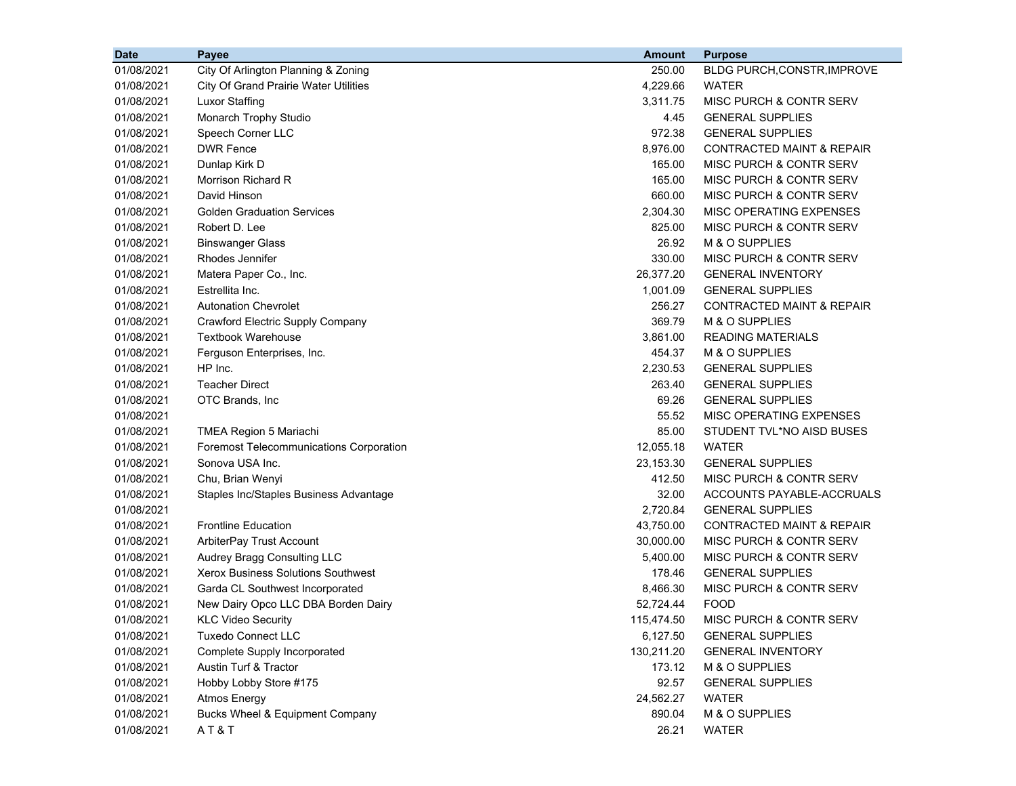| <b>Date</b> | Payee                                          | <b>Amount</b> | <b>Purpose</b>                       |
|-------------|------------------------------------------------|---------------|--------------------------------------|
| 01/08/2021  | City Of Arlington Planning & Zoning            | 250.00        | BLDG PURCH, CONSTR, IMPROVE          |
| 01/08/2021  | <b>City Of Grand Prairie Water Utilities</b>   | 4,229.66      | <b>WATER</b>                         |
| 01/08/2021  | <b>Luxor Staffing</b>                          | 3,311.75      | MISC PURCH & CONTR SERV              |
| 01/08/2021  | Monarch Trophy Studio                          | 4.45          | <b>GENERAL SUPPLIES</b>              |
| 01/08/2021  | Speech Corner LLC                              | 972.38        | <b>GENERAL SUPPLIES</b>              |
| 01/08/2021  | <b>DWR Fence</b>                               | 8,976.00      | <b>CONTRACTED MAINT &amp; REPAIR</b> |
| 01/08/2021  | Dunlap Kirk D                                  | 165.00        | MISC PURCH & CONTR SERV              |
| 01/08/2021  | Morrison Richard R                             | 165.00        | MISC PURCH & CONTR SERV              |
| 01/08/2021  | David Hinson                                   | 660.00        | MISC PURCH & CONTR SERV              |
| 01/08/2021  | <b>Golden Graduation Services</b>              | 2,304.30      | MISC OPERATING EXPENSES              |
| 01/08/2021  | Robert D. Lee                                  | 825.00        | MISC PURCH & CONTR SERV              |
| 01/08/2021  | <b>Binswanger Glass</b>                        | 26.92         | M & O SUPPLIES                       |
| 01/08/2021  | Rhodes Jennifer                                | 330.00        | MISC PURCH & CONTR SERV              |
| 01/08/2021  | Matera Paper Co., Inc.                         | 26,377.20     | <b>GENERAL INVENTORY</b>             |
| 01/08/2021  | Estrellita Inc.                                | 1,001.09      | <b>GENERAL SUPPLIES</b>              |
| 01/08/2021  | <b>Autonation Chevrolet</b>                    | 256.27        | <b>CONTRACTED MAINT &amp; REPAIR</b> |
| 01/08/2021  | Crawford Electric Supply Company               | 369.79        | M & O SUPPLIES                       |
| 01/08/2021  | Textbook Warehouse                             | 3,861.00      | <b>READING MATERIALS</b>             |
| 01/08/2021  | Ferguson Enterprises, Inc.                     | 454.37        | M & O SUPPLIES                       |
| 01/08/2021  | HP Inc.                                        | 2,230.53      | <b>GENERAL SUPPLIES</b>              |
| 01/08/2021  | <b>Teacher Direct</b>                          | 263.40        | <b>GENERAL SUPPLIES</b>              |
| 01/08/2021  | OTC Brands, Inc                                | 69.26         | <b>GENERAL SUPPLIES</b>              |
| 01/08/2021  |                                                | 55.52         | MISC OPERATING EXPENSES              |
| 01/08/2021  | TMEA Region 5 Mariachi                         | 85.00         | STUDENT TVL*NO AISD BUSES            |
| 01/08/2021  | <b>Foremost Telecommunications Corporation</b> | 12,055.18     | <b>WATER</b>                         |
| 01/08/2021  | Sonova USA Inc.                                | 23,153.30     | <b>GENERAL SUPPLIES</b>              |
| 01/08/2021  | Chu, Brian Wenyi                               | 412.50        | MISC PURCH & CONTR SERV              |
| 01/08/2021  | Staples Inc/Staples Business Advantage         | 32.00         | ACCOUNTS PAYABLE-ACCRUALS            |
| 01/08/2021  |                                                | 2,720.84      | <b>GENERAL SUPPLIES</b>              |
| 01/08/2021  | <b>Frontline Education</b>                     | 43,750.00     | <b>CONTRACTED MAINT &amp; REPAIR</b> |
| 01/08/2021  | ArbiterPay Trust Account                       | 30,000.00     | MISC PURCH & CONTR SERV              |
| 01/08/2021  | Audrey Bragg Consulting LLC                    | 5,400.00      | MISC PURCH & CONTR SERV              |
| 01/08/2021  | <b>Xerox Business Solutions Southwest</b>      | 178.46        | <b>GENERAL SUPPLIES</b>              |
| 01/08/2021  | Garda CL Southwest Incorporated                | 8,466.30      | MISC PURCH & CONTR SERV              |
| 01/08/2021  | New Dairy Opco LLC DBA Borden Dairy            | 52,724.44     | <b>FOOD</b>                          |
| 01/08/2021  | <b>KLC Video Security</b>                      | 115,474.50    | MISC PURCH & CONTR SERV              |
| 01/08/2021  | <b>Tuxedo Connect LLC</b>                      | 6,127.50      | <b>GENERAL SUPPLIES</b>              |
| 01/08/2021  | Complete Supply Incorporated                   | 130,211.20    | <b>GENERAL INVENTORY</b>             |
| 01/08/2021  | Austin Turf & Tractor                          | 173.12        | M & O SUPPLIES                       |
| 01/08/2021  | Hobby Lobby Store #175                         | 92.57         | <b>GENERAL SUPPLIES</b>              |
| 01/08/2021  | <b>Atmos Energy</b>                            | 24,562.27     | <b>WATER</b>                         |
| 01/08/2021  | Bucks Wheel & Equipment Company                | 890.04        | M & O SUPPLIES                       |
| 01/08/2021  | AT&T                                           | 26.21         | WATER                                |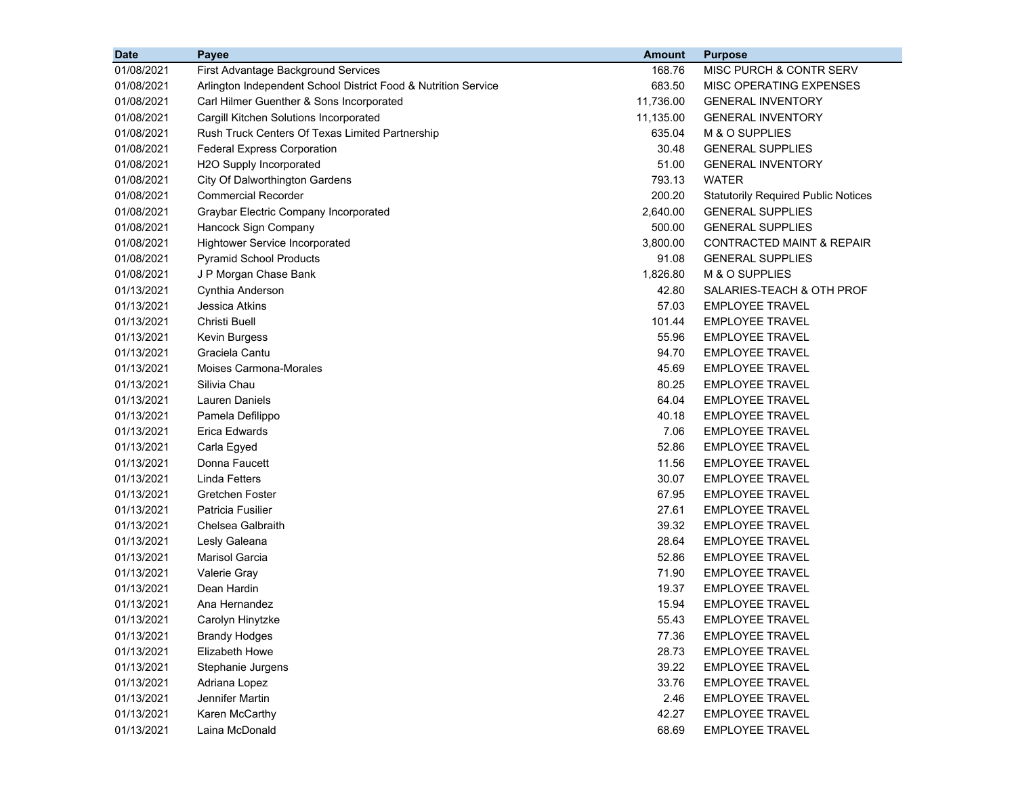| <b>Date</b> | <b>Payee</b>                                                   | <b>Amount</b> | <b>Purpose</b>                             |
|-------------|----------------------------------------------------------------|---------------|--------------------------------------------|
| 01/08/2021  | First Advantage Background Services                            | 168.76        | MISC PURCH & CONTR SERV                    |
| 01/08/2021  | Arlington Independent School District Food & Nutrition Service | 683.50        | MISC OPERATING EXPENSES                    |
| 01/08/2021  | Carl Hilmer Guenther & Sons Incorporated                       | 11,736.00     | <b>GENERAL INVENTORY</b>                   |
| 01/08/2021  | Cargill Kitchen Solutions Incorporated                         | 11,135.00     | <b>GENERAL INVENTORY</b>                   |
| 01/08/2021  | Rush Truck Centers Of Texas Limited Partnership                | 635.04        | M & O SUPPLIES                             |
| 01/08/2021  | <b>Federal Express Corporation</b>                             | 30.48         | <b>GENERAL SUPPLIES</b>                    |
| 01/08/2021  | H2O Supply Incorporated                                        | 51.00         | <b>GENERAL INVENTORY</b>                   |
| 01/08/2021  | City Of Dalworthington Gardens                                 | 793.13        | <b>WATER</b>                               |
| 01/08/2021  | <b>Commercial Recorder</b>                                     | 200.20        | <b>Statutorily Required Public Notices</b> |
| 01/08/2021  | Graybar Electric Company Incorporated                          | 2,640.00      | <b>GENERAL SUPPLIES</b>                    |
| 01/08/2021  | Hancock Sign Company                                           | 500.00        | <b>GENERAL SUPPLIES</b>                    |
| 01/08/2021  | <b>Hightower Service Incorporated</b>                          | 3,800.00      | <b>CONTRACTED MAINT &amp; REPAIR</b>       |
| 01/08/2021  | <b>Pyramid School Products</b>                                 | 91.08         | <b>GENERAL SUPPLIES</b>                    |
| 01/08/2021  | J P Morgan Chase Bank                                          | 1,826.80      | M & O SUPPLIES                             |
| 01/13/2021  | Cynthia Anderson                                               | 42.80         | SALARIES-TEACH & OTH PROF                  |
| 01/13/2021  | Jessica Atkins                                                 | 57.03         | <b>EMPLOYEE TRAVEL</b>                     |
| 01/13/2021  | Christi Buell                                                  | 101.44        | <b>EMPLOYEE TRAVEL</b>                     |
| 01/13/2021  | Kevin Burgess                                                  | 55.96         | <b>EMPLOYEE TRAVEL</b>                     |
| 01/13/2021  | Graciela Cantu                                                 | 94.70         | <b>EMPLOYEE TRAVEL</b>                     |
| 01/13/2021  | Moises Carmona-Morales                                         | 45.69         | <b>EMPLOYEE TRAVEL</b>                     |
| 01/13/2021  | Silivia Chau                                                   | 80.25         | <b>EMPLOYEE TRAVEL</b>                     |
| 01/13/2021  | <b>Lauren Daniels</b>                                          | 64.04         | <b>EMPLOYEE TRAVEL</b>                     |
| 01/13/2021  | Pamela Defilippo                                               | 40.18         | <b>EMPLOYEE TRAVEL</b>                     |
| 01/13/2021  | Erica Edwards                                                  | 7.06          | <b>EMPLOYEE TRAVEL</b>                     |
| 01/13/2021  | Carla Egyed                                                    | 52.86         | <b>EMPLOYEE TRAVEL</b>                     |
| 01/13/2021  | Donna Faucett                                                  | 11.56         | <b>EMPLOYEE TRAVEL</b>                     |
| 01/13/2021  | Linda Fetters                                                  | 30.07         | <b>EMPLOYEE TRAVEL</b>                     |
| 01/13/2021  | Gretchen Foster                                                | 67.95         | <b>EMPLOYEE TRAVEL</b>                     |
| 01/13/2021  | Patricia Fusilier                                              | 27.61         | <b>EMPLOYEE TRAVEL</b>                     |
| 01/13/2021  | Chelsea Galbraith                                              | 39.32         | <b>EMPLOYEE TRAVEL</b>                     |
| 01/13/2021  | Lesly Galeana                                                  | 28.64         | <b>EMPLOYEE TRAVEL</b>                     |
| 01/13/2021  | <b>Marisol Garcia</b>                                          | 52.86         | <b>EMPLOYEE TRAVEL</b>                     |
| 01/13/2021  | Valerie Gray                                                   | 71.90         | <b>EMPLOYEE TRAVEL</b>                     |
| 01/13/2021  | Dean Hardin                                                    | 19.37         | <b>EMPLOYEE TRAVEL</b>                     |
| 01/13/2021  | Ana Hernandez                                                  | 15.94         | <b>EMPLOYEE TRAVEL</b>                     |
| 01/13/2021  | Carolyn Hinytzke                                               | 55.43         | <b>EMPLOYEE TRAVEL</b>                     |
| 01/13/2021  | <b>Brandy Hodges</b>                                           | 77.36         | <b>EMPLOYEE TRAVEL</b>                     |
| 01/13/2021  | Elizabeth Howe                                                 | 28.73         | <b>EMPLOYEE TRAVEL</b>                     |
| 01/13/2021  | Stephanie Jurgens                                              | 39.22         | <b>EMPLOYEE TRAVEL</b>                     |
| 01/13/2021  | Adriana Lopez                                                  | 33.76         | <b>EMPLOYEE TRAVEL</b>                     |
| 01/13/2021  | Jennifer Martin                                                | 2.46          | <b>EMPLOYEE TRAVEL</b>                     |
| 01/13/2021  | Karen McCarthy                                                 | 42.27         | <b>EMPLOYEE TRAVEL</b>                     |
| 01/13/2021  | Laina McDonald                                                 | 68.69         | <b>EMPLOYEE TRAVEL</b>                     |
|             |                                                                |               |                                            |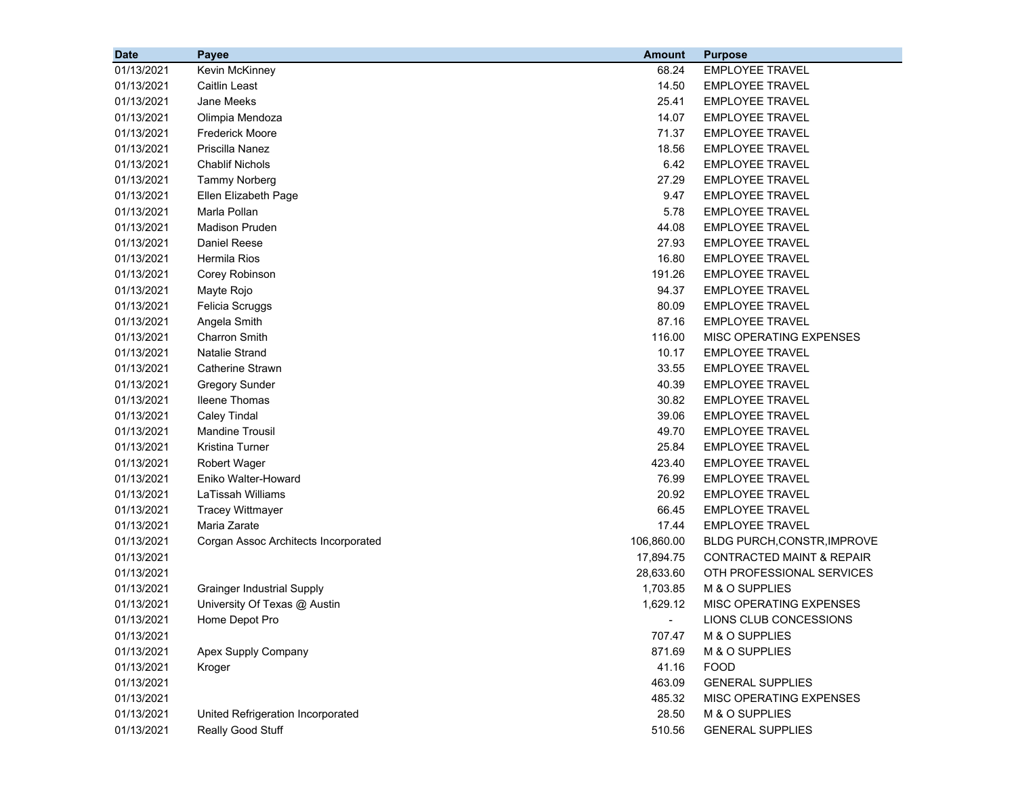| <b>Date</b> | Payee                                | <b>Amount</b> | <b>Purpose</b>                       |
|-------------|--------------------------------------|---------------|--------------------------------------|
| 01/13/2021  | Kevin McKinney                       | 68.24         | <b>EMPLOYEE TRAVEL</b>               |
| 01/13/2021  | <b>Caitlin Least</b>                 | 14.50         | <b>EMPLOYEE TRAVEL</b>               |
| 01/13/2021  | <b>Jane Meeks</b>                    | 25.41         | <b>EMPLOYEE TRAVEL</b>               |
| 01/13/2021  | Olimpia Mendoza                      | 14.07         | <b>EMPLOYEE TRAVEL</b>               |
| 01/13/2021  | <b>Frederick Moore</b>               | 71.37         | <b>EMPLOYEE TRAVEL</b>               |
| 01/13/2021  | Priscilla Nanez                      | 18.56         | <b>EMPLOYEE TRAVEL</b>               |
| 01/13/2021  | <b>Chablif Nichols</b>               | 6.42          | <b>EMPLOYEE TRAVEL</b>               |
| 01/13/2021  | <b>Tammy Norberg</b>                 | 27.29         | <b>EMPLOYEE TRAVEL</b>               |
| 01/13/2021  | Ellen Elizabeth Page                 | 9.47          | <b>EMPLOYEE TRAVEL</b>               |
| 01/13/2021  | Marla Pollan                         | 5.78          | <b>EMPLOYEE TRAVEL</b>               |
| 01/13/2021  | <b>Madison Pruden</b>                | 44.08         | <b>EMPLOYEE TRAVEL</b>               |
| 01/13/2021  | Daniel Reese                         | 27.93         | <b>EMPLOYEE TRAVEL</b>               |
| 01/13/2021  | Hermila Rios                         | 16.80         | <b>EMPLOYEE TRAVEL</b>               |
| 01/13/2021  | Corey Robinson                       | 191.26        | <b>EMPLOYEE TRAVEL</b>               |
| 01/13/2021  | Mayte Rojo                           | 94.37         | <b>EMPLOYEE TRAVEL</b>               |
| 01/13/2021  | Felicia Scruggs                      | 80.09         | <b>EMPLOYEE TRAVEL</b>               |
| 01/13/2021  | Angela Smith                         | 87.16         | <b>EMPLOYEE TRAVEL</b>               |
| 01/13/2021  | <b>Charron Smith</b>                 | 116.00        | MISC OPERATING EXPENSES              |
| 01/13/2021  | <b>Natalie Strand</b>                | 10.17         | <b>EMPLOYEE TRAVEL</b>               |
| 01/13/2021  | <b>Catherine Strawn</b>              | 33.55         | <b>EMPLOYEE TRAVEL</b>               |
| 01/13/2021  | <b>Gregory Sunder</b>                | 40.39         | <b>EMPLOYEE TRAVEL</b>               |
| 01/13/2021  | <b>Ileene Thomas</b>                 | 30.82         | <b>EMPLOYEE TRAVEL</b>               |
| 01/13/2021  | <b>Caley Tindal</b>                  | 39.06         | <b>EMPLOYEE TRAVEL</b>               |
| 01/13/2021  | <b>Mandine Trousil</b>               | 49.70         | <b>EMPLOYEE TRAVEL</b>               |
| 01/13/2021  | <b>Kristina Turner</b>               | 25.84         | <b>EMPLOYEE TRAVEL</b>               |
| 01/13/2021  | <b>Robert Wager</b>                  | 423.40        | <b>EMPLOYEE TRAVEL</b>               |
| 01/13/2021  | Eniko Walter-Howard                  | 76.99         | <b>EMPLOYEE TRAVEL</b>               |
| 01/13/2021  | <b>LaTissah Williams</b>             | 20.92         | <b>EMPLOYEE TRAVEL</b>               |
| 01/13/2021  | <b>Tracey Wittmayer</b>              | 66.45         | <b>EMPLOYEE TRAVEL</b>               |
| 01/13/2021  | Maria Zarate                         | 17.44         | <b>EMPLOYEE TRAVEL</b>               |
| 01/13/2021  | Corgan Assoc Architects Incorporated | 106,860.00    | BLDG PURCH, CONSTR, IMPROVE          |
| 01/13/2021  |                                      | 17,894.75     | <b>CONTRACTED MAINT &amp; REPAIR</b> |
| 01/13/2021  |                                      | 28,633.60     | OTH PROFESSIONAL SERVICES            |
| 01/13/2021  | <b>Grainger Industrial Supply</b>    | 1,703.85      | M & O SUPPLIES                       |
| 01/13/2021  | University Of Texas @ Austin         | 1,629.12      | MISC OPERATING EXPENSES              |
| 01/13/2021  | Home Depot Pro                       |               | LIONS CLUB CONCESSIONS               |
| 01/13/2021  |                                      | 707.47        | M & O SUPPLIES                       |
| 01/13/2021  | Apex Supply Company                  | 871.69        | M & O SUPPLIES                       |
| 01/13/2021  | Kroger                               | 41.16         | <b>FOOD</b>                          |
| 01/13/2021  |                                      | 463.09        | <b>GENERAL SUPPLIES</b>              |
| 01/13/2021  |                                      | 485.32        | MISC OPERATING EXPENSES              |
| 01/13/2021  | United Refrigeration Incorporated    | 28.50         | M & O SUPPLIES                       |
| 01/13/2021  | Really Good Stuff                    | 510.56        | <b>GENERAL SUPPLIES</b>              |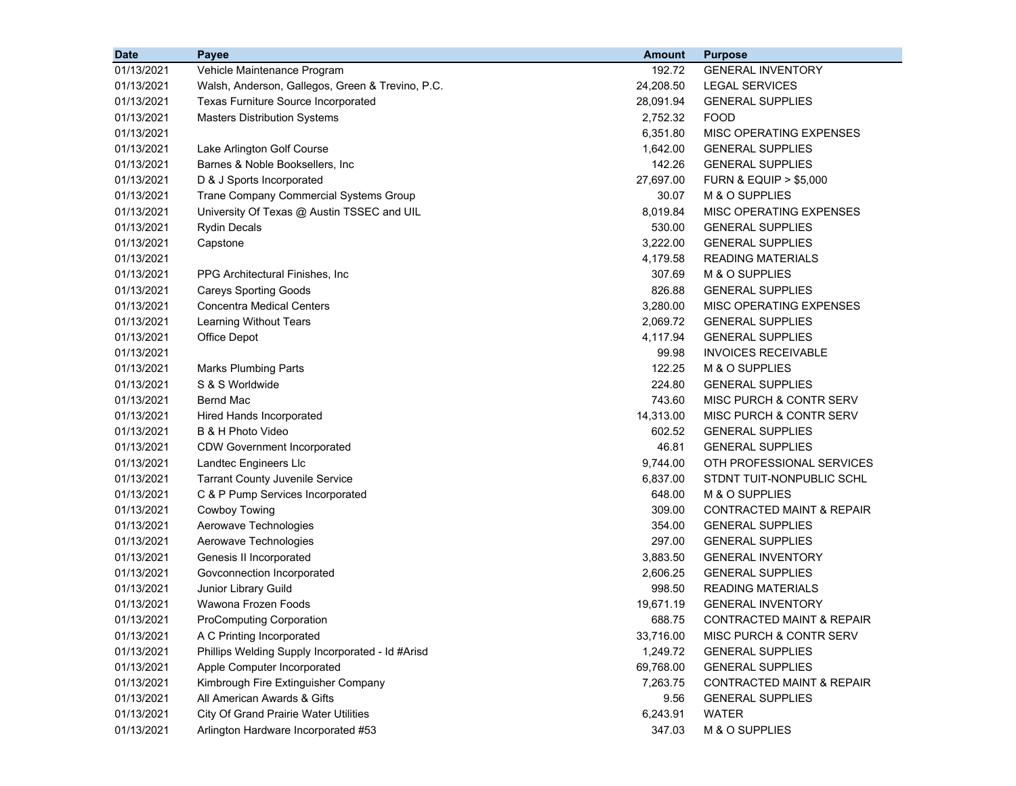| <b>Date</b> | Payee                                            | <b>Amount</b> | <b>Purpose</b>                       |
|-------------|--------------------------------------------------|---------------|--------------------------------------|
| 01/13/2021  | Vehicle Maintenance Program                      | 192.72        | <b>GENERAL INVENTORY</b>             |
| 01/13/2021  | Walsh, Anderson, Gallegos, Green & Trevino, P.C. | 24,208.50     | <b>LEGAL SERVICES</b>                |
| 01/13/2021  | Texas Furniture Source Incorporated              | 28,091.94     | <b>GENERAL SUPPLIES</b>              |
| 01/13/2021  | <b>Masters Distribution Systems</b>              | 2,752.32      | <b>FOOD</b>                          |
| 01/13/2021  |                                                  | 6,351.80      | MISC OPERATING EXPENSES              |
| 01/13/2021  | Lake Arlington Golf Course                       | 1,642.00      | <b>GENERAL SUPPLIES</b>              |
| 01/13/2021  | Barnes & Noble Booksellers, Inc.                 | 142.26        | <b>GENERAL SUPPLIES</b>              |
| 01/13/2021  | D & J Sports Incorporated                        | 27,697.00     | <b>FURN &amp; EQUIP &gt; \$5,000</b> |
| 01/13/2021  | Trane Company Commercial Systems Group           | 30.07         | M & O SUPPLIES                       |
| 01/13/2021  | University Of Texas @ Austin TSSEC and UIL       | 8,019.84      | MISC OPERATING EXPENSES              |
| 01/13/2021  | <b>Rydin Decals</b>                              | 530.00        | <b>GENERAL SUPPLIES</b>              |
| 01/13/2021  | Capstone                                         | 3,222.00      | <b>GENERAL SUPPLIES</b>              |
| 01/13/2021  |                                                  | 4,179.58      | READING MATERIALS                    |
| 01/13/2021  | PPG Architectural Finishes, Inc.                 | 307.69        | M & O SUPPLIES                       |
| 01/13/2021  | <b>Careys Sporting Goods</b>                     | 826.88        | <b>GENERAL SUPPLIES</b>              |
| 01/13/2021  | <b>Concentra Medical Centers</b>                 | 3,280.00      | MISC OPERATING EXPENSES              |
| 01/13/2021  | Learning Without Tears                           | 2,069.72      | <b>GENERAL SUPPLIES</b>              |
| 01/13/2021  | Office Depot                                     | 4,117.94      | <b>GENERAL SUPPLIES</b>              |
| 01/13/2021  |                                                  | 99.98         | <b>INVOICES RECEIVABLE</b>           |
| 01/13/2021  | <b>Marks Plumbing Parts</b>                      | 122.25        | M & O SUPPLIES                       |
| 01/13/2021  | S & S Worldwide                                  | 224.80        | <b>GENERAL SUPPLIES</b>              |
| 01/13/2021  | <b>Bernd Mac</b>                                 | 743.60        | MISC PURCH & CONTR SERV              |
| 01/13/2021  | Hired Hands Incorporated                         | 14,313.00     | <b>MISC PURCH &amp; CONTR SERV</b>   |
| 01/13/2021  | B & H Photo Video                                | 602.52        | <b>GENERAL SUPPLIES</b>              |
| 01/13/2021  | <b>CDW Government Incorporated</b>               | 46.81         | <b>GENERAL SUPPLIES</b>              |
| 01/13/2021  | Landtec Engineers Llc                            | 9,744.00      | OTH PROFESSIONAL SERVICES            |
| 01/13/2021  | <b>Tarrant County Juvenile Service</b>           | 6,837.00      | STDNT TUIT-NONPUBLIC SCHL            |
| 01/13/2021  | C & P Pump Services Incorporated                 | 648.00        | M & O SUPPLIES                       |
| 01/13/2021  | Cowboy Towing                                    | 309.00        | <b>CONTRACTED MAINT &amp; REPAIR</b> |
| 01/13/2021  | Aerowave Technologies                            | 354.00        | <b>GENERAL SUPPLIES</b>              |
| 01/13/2021  | Aerowave Technologies                            | 297.00        | <b>GENERAL SUPPLIES</b>              |
| 01/13/2021  | Genesis II Incorporated                          | 3,883.50      | <b>GENERAL INVENTORY</b>             |
| 01/13/2021  | Govconnection Incorporated                       | 2,606.25      | <b>GENERAL SUPPLIES</b>              |
| 01/13/2021  | Junior Library Guild                             | 998.50        | <b>READING MATERIALS</b>             |
| 01/13/2021  | Wawona Frozen Foods                              | 19,671.19     | <b>GENERAL INVENTORY</b>             |
| 01/13/2021  | <b>ProComputing Corporation</b>                  | 688.75        | CONTRACTED MAINT & REPAIR            |
| 01/13/2021  | A C Printing Incorporated                        | 33,716.00     | MISC PURCH & CONTR SERV              |
| 01/13/2021  | Phillips Welding Supply Incorporated - Id #Arisd | 1,249.72      | <b>GENERAL SUPPLIES</b>              |
| 01/13/2021  | Apple Computer Incorporated                      | 69,768.00     | <b>GENERAL SUPPLIES</b>              |
| 01/13/2021  | Kimbrough Fire Extinguisher Company              | 7,263.75      | <b>CONTRACTED MAINT &amp; REPAIR</b> |
| 01/13/2021  | All American Awards & Gifts                      | 9.56          | <b>GENERAL SUPPLIES</b>              |
| 01/13/2021  | <b>City Of Grand Prairie Water Utilities</b>     | 6,243.91      | <b>WATER</b>                         |
| 01/13/2021  | Arlington Hardware Incorporated #53              | 347.03        | M & O SUPPLIES                       |
|             |                                                  |               |                                      |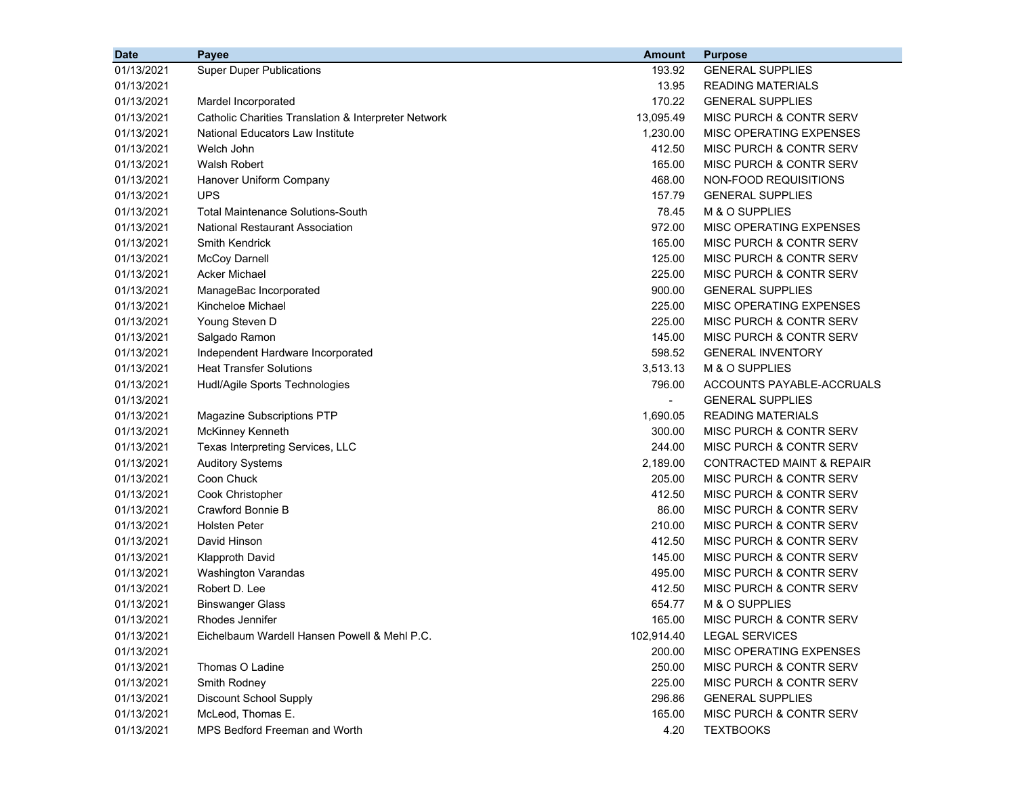| <b>Date</b> | Payee                                                | <b>Amount</b>  | <b>Purpose</b>                       |
|-------------|------------------------------------------------------|----------------|--------------------------------------|
| 01/13/2021  | <b>Super Duper Publications</b>                      | 193.92         | <b>GENERAL SUPPLIES</b>              |
| 01/13/2021  |                                                      | 13.95          | <b>READING MATERIALS</b>             |
| 01/13/2021  | Mardel Incorporated                                  | 170.22         | <b>GENERAL SUPPLIES</b>              |
| 01/13/2021  | Catholic Charities Translation & Interpreter Network | 13,095.49      | MISC PURCH & CONTR SERV              |
| 01/13/2021  | National Educators Law Institute                     | 1,230.00       | MISC OPERATING EXPENSES              |
| 01/13/2021  | Welch John                                           | 412.50         | MISC PURCH & CONTR SERV              |
| 01/13/2021  | <b>Walsh Robert</b>                                  | 165.00         | MISC PURCH & CONTR SERV              |
| 01/13/2021  | Hanover Uniform Company                              | 468.00         | NON-FOOD REQUISITIONS                |
| 01/13/2021  | <b>UPS</b>                                           | 157.79         | <b>GENERAL SUPPLIES</b>              |
| 01/13/2021  | Total Maintenance Solutions-South                    | 78.45          | M & O SUPPLIES                       |
| 01/13/2021  | <b>National Restaurant Association</b>               | 972.00         | MISC OPERATING EXPENSES              |
| 01/13/2021  | <b>Smith Kendrick</b>                                | 165.00         | MISC PURCH & CONTR SERV              |
| 01/13/2021  | <b>McCoy Darnell</b>                                 | 125.00         | MISC PURCH & CONTR SERV              |
| 01/13/2021  | Acker Michael                                        | 225.00         | MISC PURCH & CONTR SERV              |
| 01/13/2021  | ManageBac Incorporated                               | 900.00         | <b>GENERAL SUPPLIES</b>              |
| 01/13/2021  | Kincheloe Michael                                    | 225.00         | MISC OPERATING EXPENSES              |
| 01/13/2021  | Young Steven D                                       | 225.00         | MISC PURCH & CONTR SERV              |
| 01/13/2021  | Salgado Ramon                                        | 145.00         | MISC PURCH & CONTR SERV              |
| 01/13/2021  | Independent Hardware Incorporated                    | 598.52         | <b>GENERAL INVENTORY</b>             |
| 01/13/2021  | <b>Heat Transfer Solutions</b>                       | 3,513.13       | M & O SUPPLIES                       |
| 01/13/2021  | Hudl/Agile Sports Technologies                       | 796.00         | ACCOUNTS PAYABLE-ACCRUALS            |
| 01/13/2021  |                                                      | $\blacksquare$ | <b>GENERAL SUPPLIES</b>              |
| 01/13/2021  | <b>Magazine Subscriptions PTP</b>                    | 1,690.05       | <b>READING MATERIALS</b>             |
| 01/13/2021  | McKinney Kenneth                                     | 300.00         | MISC PURCH & CONTR SERV              |
| 01/13/2021  | Texas Interpreting Services, LLC                     | 244.00         | MISC PURCH & CONTR SERV              |
| 01/13/2021  | <b>Auditory Systems</b>                              | 2,189.00       | <b>CONTRACTED MAINT &amp; REPAIR</b> |
| 01/13/2021  | Coon Chuck                                           | 205.00         | <b>MISC PURCH &amp; CONTR SERV</b>   |
| 01/13/2021  | Cook Christopher                                     | 412.50         | MISC PURCH & CONTR SERV              |
| 01/13/2021  | Crawford Bonnie B                                    | 86.00          | MISC PURCH & CONTR SERV              |
| 01/13/2021  | <b>Holsten Peter</b>                                 | 210.00         | MISC PURCH & CONTR SERV              |
| 01/13/2021  | David Hinson                                         | 412.50         | <b>MISC PURCH &amp; CONTR SERV</b>   |
| 01/13/2021  | <b>Klapproth David</b>                               | 145.00         | MISC PURCH & CONTR SERV              |
| 01/13/2021  | Washington Varandas                                  | 495.00         | MISC PURCH & CONTR SERV              |
| 01/13/2021  | Robert D. Lee                                        | 412.50         | MISC PURCH & CONTR SERV              |
| 01/13/2021  | <b>Binswanger Glass</b>                              | 654.77         | M & O SUPPLIES                       |
| 01/13/2021  | Rhodes Jennifer                                      | 165.00         | MISC PURCH & CONTR SERV              |
| 01/13/2021  | Eichelbaum Wardell Hansen Powell & Mehl P.C.         | 102,914.40     | <b>LEGAL SERVICES</b>                |
| 01/13/2021  |                                                      | 200.00         | MISC OPERATING EXPENSES              |
| 01/13/2021  | Thomas O Ladine                                      | 250.00         | MISC PURCH & CONTR SERV              |
| 01/13/2021  | Smith Rodney                                         | 225.00         | MISC PURCH & CONTR SERV              |
| 01/13/2021  | <b>Discount School Supply</b>                        | 296.86         | <b>GENERAL SUPPLIES</b>              |
| 01/13/2021  | McLeod, Thomas E.                                    | 165.00         | MISC PURCH & CONTR SERV              |
| 01/13/2021  | MPS Bedford Freeman and Worth                        | 4.20           | <b>TEXTBOOKS</b>                     |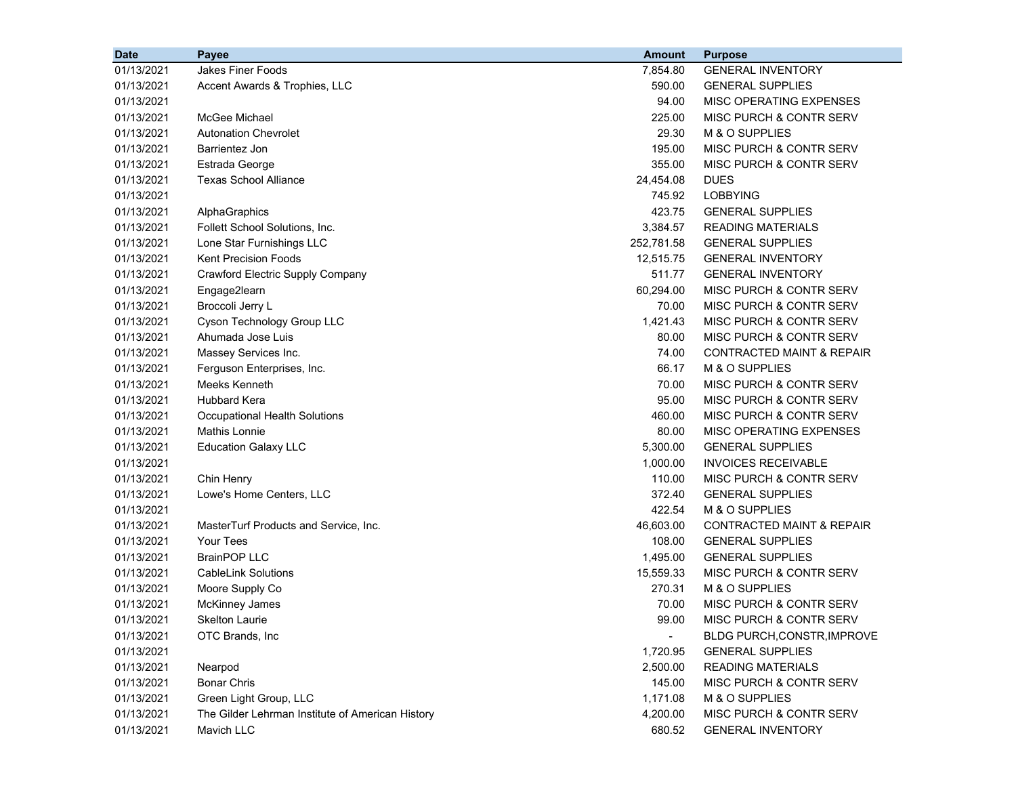| <b>Date</b> | Payee                                            | <b>Amount</b>            | <b>Purpose</b>                       |
|-------------|--------------------------------------------------|--------------------------|--------------------------------------|
| 01/13/2021  | Jakes Finer Foods                                | 7,854.80                 | <b>GENERAL INVENTORY</b>             |
| 01/13/2021  | Accent Awards & Trophies, LLC                    | 590.00                   | <b>GENERAL SUPPLIES</b>              |
| 01/13/2021  |                                                  | 94.00                    | MISC OPERATING EXPENSES              |
| 01/13/2021  | McGee Michael                                    | 225.00                   | MISC PURCH & CONTR SERV              |
| 01/13/2021  | <b>Autonation Chevrolet</b>                      | 29.30                    | M & O SUPPLIES                       |
| 01/13/2021  | Barrientez Jon                                   | 195.00                   | MISC PURCH & CONTR SERV              |
| 01/13/2021  | Estrada George                                   | 355.00                   | MISC PURCH & CONTR SERV              |
| 01/13/2021  | <b>Texas School Alliance</b>                     | 24,454.08                | <b>DUES</b>                          |
| 01/13/2021  |                                                  | 745.92                   | <b>LOBBYING</b>                      |
| 01/13/2021  | AlphaGraphics                                    | 423.75                   | <b>GENERAL SUPPLIES</b>              |
| 01/13/2021  | Follett School Solutions, Inc.                   | 3,384.57                 | <b>READING MATERIALS</b>             |
| 01/13/2021  | Lone Star Furnishings LLC                        | 252,781.58               | <b>GENERAL SUPPLIES</b>              |
| 01/13/2021  | <b>Kent Precision Foods</b>                      | 12,515.75                | <b>GENERAL INVENTORY</b>             |
| 01/13/2021  | Crawford Electric Supply Company                 | 511.77                   | <b>GENERAL INVENTORY</b>             |
| 01/13/2021  | Engage2learn                                     | 60,294.00                | MISC PURCH & CONTR SERV              |
| 01/13/2021  | Broccoli Jerry L                                 | 70.00                    | MISC PURCH & CONTR SERV              |
| 01/13/2021  | Cyson Technology Group LLC                       | 1,421.43                 | MISC PURCH & CONTR SERV              |
| 01/13/2021  | Ahumada Jose Luis                                | 80.00                    | MISC PURCH & CONTR SERV              |
| 01/13/2021  | Massey Services Inc.                             | 74.00                    | <b>CONTRACTED MAINT &amp; REPAIR</b> |
| 01/13/2021  | Ferguson Enterprises, Inc.                       | 66.17                    | M & O SUPPLIES                       |
| 01/13/2021  | Meeks Kenneth                                    | 70.00                    | MISC PURCH & CONTR SERV              |
| 01/13/2021  | <b>Hubbard Kera</b>                              | 95.00                    | MISC PURCH & CONTR SERV              |
| 01/13/2021  | <b>Occupational Health Solutions</b>             | 460.00                   | MISC PURCH & CONTR SERV              |
| 01/13/2021  | Mathis Lonnie                                    | 80.00                    | MISC OPERATING EXPENSES              |
| 01/13/2021  | <b>Education Galaxy LLC</b>                      | 5,300.00                 | <b>GENERAL SUPPLIES</b>              |
| 01/13/2021  |                                                  | 1,000.00                 | <b>INVOICES RECEIVABLE</b>           |
| 01/13/2021  | Chin Henry                                       | 110.00                   | MISC PURCH & CONTR SERV              |
| 01/13/2021  | Lowe's Home Centers, LLC                         | 372.40                   | <b>GENERAL SUPPLIES</b>              |
| 01/13/2021  |                                                  | 422.54                   | M & O SUPPLIES                       |
| 01/13/2021  | MasterTurf Products and Service, Inc.            | 46,603.00                | <b>CONTRACTED MAINT &amp; REPAIR</b> |
| 01/13/2021  | <b>Your Tees</b>                                 | 108.00                   | <b>GENERAL SUPPLIES</b>              |
| 01/13/2021  | <b>BrainPOP LLC</b>                              | 1,495.00                 | <b>GENERAL SUPPLIES</b>              |
| 01/13/2021  | <b>CableLink Solutions</b>                       | 15,559.33                | MISC PURCH & CONTR SERV              |
| 01/13/2021  | Moore Supply Co                                  | 270.31                   | M & O SUPPLIES                       |
| 01/13/2021  | <b>McKinney James</b>                            | 70.00                    | MISC PURCH & CONTR SERV              |
| 01/13/2021  | <b>Skelton Laurie</b>                            | 99.00                    | MISC PURCH & CONTR SERV              |
| 01/13/2021  | OTC Brands, Inc                                  | $\overline{\phantom{a}}$ | <b>BLDG PURCH, CONSTR, IMPROVE</b>   |
| 01/13/2021  |                                                  | 1,720.95                 | <b>GENERAL SUPPLIES</b>              |
| 01/13/2021  | Nearpod                                          | 2,500.00                 | <b>READING MATERIALS</b>             |
| 01/13/2021  | <b>Bonar Chris</b>                               | 145.00                   | MISC PURCH & CONTR SERV              |
| 01/13/2021  | Green Light Group, LLC                           | 1,171.08                 | M & O SUPPLIES                       |
| 01/13/2021  | The Gilder Lehrman Institute of American History | 4,200.00                 | MISC PURCH & CONTR SERV              |
| 01/13/2021  | Mavich LLC                                       | 680.52                   | <b>GENERAL INVENTORY</b>             |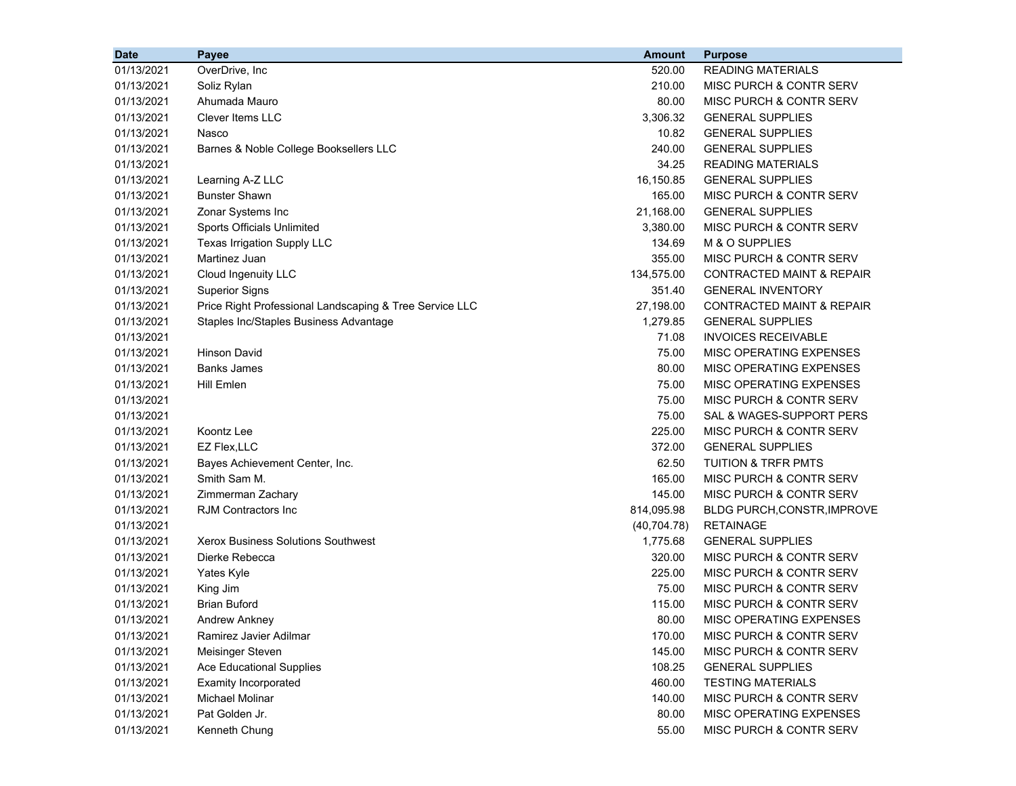| <b>Date</b> | Payee                                                   | <b>Amount</b> | <b>Purpose</b>                       |
|-------------|---------------------------------------------------------|---------------|--------------------------------------|
| 01/13/2021  | OverDrive, Inc                                          | 520.00        | <b>READING MATERIALS</b>             |
| 01/13/2021  | Soliz Rylan                                             | 210.00        | MISC PURCH & CONTR SERV              |
| 01/13/2021  | Ahumada Mauro                                           | 80.00         | MISC PURCH & CONTR SERV              |
| 01/13/2021  | <b>Clever Items LLC</b>                                 | 3,306.32      | <b>GENERAL SUPPLIES</b>              |
| 01/13/2021  | Nasco                                                   | 10.82         | <b>GENERAL SUPPLIES</b>              |
| 01/13/2021  | Barnes & Noble College Booksellers LLC                  | 240.00        | <b>GENERAL SUPPLIES</b>              |
| 01/13/2021  |                                                         | 34.25         | <b>READING MATERIALS</b>             |
| 01/13/2021  | Learning A-Z LLC                                        | 16,150.85     | <b>GENERAL SUPPLIES</b>              |
| 01/13/2021  | <b>Bunster Shawn</b>                                    | 165.00        | MISC PURCH & CONTR SERV              |
| 01/13/2021  | Zonar Systems Inc                                       | 21,168.00     | <b>GENERAL SUPPLIES</b>              |
| 01/13/2021  | Sports Officials Unlimited                              | 3,380.00      | MISC PURCH & CONTR SERV              |
| 01/13/2021  | Texas Irrigation Supply LLC                             | 134.69        | M & O SUPPLIES                       |
| 01/13/2021  | Martinez Juan                                           | 355.00        | MISC PURCH & CONTR SERV              |
| 01/13/2021  | Cloud Ingenuity LLC                                     | 134,575.00    | <b>CONTRACTED MAINT &amp; REPAIR</b> |
| 01/13/2021  | <b>Superior Signs</b>                                   | 351.40        | <b>GENERAL INVENTORY</b>             |
| 01/13/2021  | Price Right Professional Landscaping & Tree Service LLC | 27,198.00     | <b>CONTRACTED MAINT &amp; REPAIR</b> |
| 01/13/2021  | Staples Inc/Staples Business Advantage                  | 1,279.85      | <b>GENERAL SUPPLIES</b>              |
| 01/13/2021  |                                                         | 71.08         | <b>INVOICES RECEIVABLE</b>           |
| 01/13/2021  | <b>Hinson David</b>                                     | 75.00         | MISC OPERATING EXPENSES              |
| 01/13/2021  | <b>Banks James</b>                                      | 80.00         | MISC OPERATING EXPENSES              |
| 01/13/2021  | Hill Emlen                                              | 75.00         | MISC OPERATING EXPENSES              |
| 01/13/2021  |                                                         | 75.00         | MISC PURCH & CONTR SERV              |
| 01/13/2021  |                                                         | 75.00         | SAL & WAGES-SUPPORT PERS             |
| 01/13/2021  | Koontz Lee                                              | 225.00        | MISC PURCH & CONTR SERV              |
| 01/13/2021  | EZ Flex, LLC                                            | 372.00        | <b>GENERAL SUPPLIES</b>              |
| 01/13/2021  | Bayes Achievement Center, Inc.                          | 62.50         | TUITION & TRFR PMTS                  |
| 01/13/2021  | Smith Sam M.                                            | 165.00        | MISC PURCH & CONTR SERV              |
| 01/13/2021  | Zimmerman Zachary                                       | 145.00        | MISC PURCH & CONTR SERV              |
| 01/13/2021  | RJM Contractors Inc                                     | 814,095.98    | BLDG PURCH, CONSTR, IMPROVE          |
| 01/13/2021  |                                                         | (40, 704.78)  | <b>RETAINAGE</b>                     |
| 01/13/2021  | <b>Xerox Business Solutions Southwest</b>               | 1,775.68      | <b>GENERAL SUPPLIES</b>              |
| 01/13/2021  | Dierke Rebecca                                          | 320.00        | MISC PURCH & CONTR SERV              |
| 01/13/2021  | Yates Kyle                                              | 225.00        | MISC PURCH & CONTR SERV              |
| 01/13/2021  | King Jim                                                | 75.00         | MISC PURCH & CONTR SERV              |
| 01/13/2021  | <b>Brian Buford</b>                                     | 115.00        | MISC PURCH & CONTR SERV              |
| 01/13/2021  | Andrew Ankney                                           | 80.00         | MISC OPERATING EXPENSES              |
| 01/13/2021  | Ramirez Javier Adilmar                                  | 170.00        | MISC PURCH & CONTR SERV              |
| 01/13/2021  | <b>Meisinger Steven</b>                                 | 145.00        | MISC PURCH & CONTR SERV              |
| 01/13/2021  | <b>Ace Educational Supplies</b>                         | 108.25        | <b>GENERAL SUPPLIES</b>              |
| 01/13/2021  | <b>Examity Incorporated</b>                             | 460.00        | <b>TESTING MATERIALS</b>             |
| 01/13/2021  | <b>Michael Molinar</b>                                  | 140.00        | MISC PURCH & CONTR SERV              |
| 01/13/2021  | Pat Golden Jr.                                          | 80.00         | MISC OPERATING EXPENSES              |
| 01/13/2021  | Kenneth Chung                                           | 55.00         | MISC PURCH & CONTR SERV              |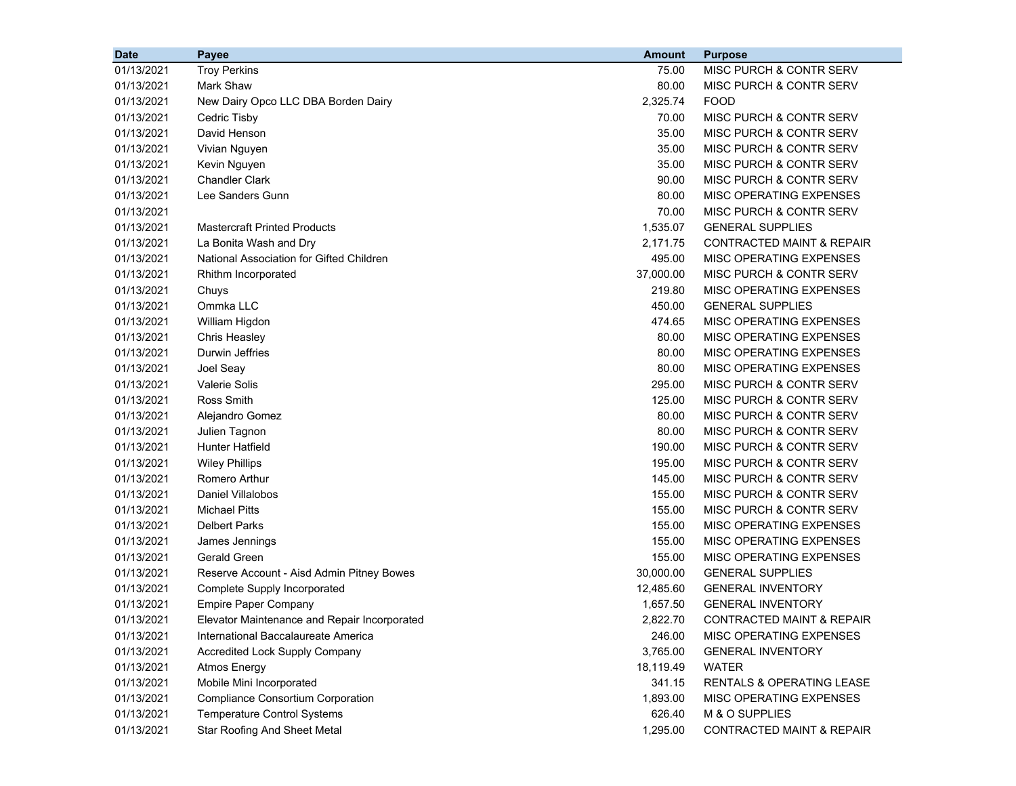| <b>Date</b> | <b>Payee</b>                                 | <b>Amount</b> | <b>Purpose</b>                       |
|-------------|----------------------------------------------|---------------|--------------------------------------|
| 01/13/2021  | <b>Troy Perkins</b>                          | 75.00         | MISC PURCH & CONTR SERV              |
| 01/13/2021  | Mark Shaw                                    | 80.00         | MISC PURCH & CONTR SERV              |
| 01/13/2021  | New Dairy Opco LLC DBA Borden Dairy          | 2,325.74      | <b>FOOD</b>                          |
| 01/13/2021  | Cedric Tisby                                 | 70.00         | MISC PURCH & CONTR SERV              |
| 01/13/2021  | David Henson                                 | 35.00         | MISC PURCH & CONTR SERV              |
| 01/13/2021  | Vivian Nguyen                                | 35.00         | MISC PURCH & CONTR SERV              |
| 01/13/2021  | Kevin Nguyen                                 | 35.00         | MISC PURCH & CONTR SERV              |
| 01/13/2021  | <b>Chandler Clark</b>                        | 90.00         | MISC PURCH & CONTR SERV              |
| 01/13/2021  | Lee Sanders Gunn                             | 80.00         | MISC OPERATING EXPENSES              |
| 01/13/2021  |                                              | 70.00         | MISC PURCH & CONTR SERV              |
| 01/13/2021  | <b>Mastercraft Printed Products</b>          | 1,535.07      | <b>GENERAL SUPPLIES</b>              |
| 01/13/2021  | La Bonita Wash and Dry                       | 2,171.75      | <b>CONTRACTED MAINT &amp; REPAIR</b> |
| 01/13/2021  | National Association for Gifted Children     | 495.00        | MISC OPERATING EXPENSES              |
| 01/13/2021  | Rhithm Incorporated                          | 37,000.00     | MISC PURCH & CONTR SERV              |
| 01/13/2021  | Chuys                                        | 219.80        | MISC OPERATING EXPENSES              |
| 01/13/2021  | Ommka LLC                                    | 450.00        | <b>GENERAL SUPPLIES</b>              |
| 01/13/2021  | William Higdon                               | 474.65        | MISC OPERATING EXPENSES              |
| 01/13/2021  | Chris Heasley                                | 80.00         | MISC OPERATING EXPENSES              |
| 01/13/2021  | Durwin Jeffries                              | 80.00         | MISC OPERATING EXPENSES              |
| 01/13/2021  | Joel Seay                                    | 80.00         | MISC OPERATING EXPENSES              |
| 01/13/2021  | <b>Valerie Solis</b>                         | 295.00        | MISC PURCH & CONTR SERV              |
| 01/13/2021  | Ross Smith                                   | 125.00        | MISC PURCH & CONTR SERV              |
| 01/13/2021  | Alejandro Gomez                              | 80.00         | MISC PURCH & CONTR SERV              |
| 01/13/2021  | Julien Tagnon                                | 80.00         | MISC PURCH & CONTR SERV              |
| 01/13/2021  | <b>Hunter Hatfield</b>                       | 190.00        | MISC PURCH & CONTR SERV              |
| 01/13/2021  | <b>Wiley Phillips</b>                        | 195.00        | MISC PURCH & CONTR SERV              |
| 01/13/2021  | Romero Arthur                                | 145.00        | MISC PURCH & CONTR SERV              |
| 01/13/2021  | Daniel Villalobos                            | 155.00        | MISC PURCH & CONTR SERV              |
| 01/13/2021  | <b>Michael Pitts</b>                         | 155.00        | MISC PURCH & CONTR SERV              |
| 01/13/2021  | <b>Delbert Parks</b>                         | 155.00        | MISC OPERATING EXPENSES              |
| 01/13/2021  | James Jennings                               | 155.00        | MISC OPERATING EXPENSES              |
| 01/13/2021  | Gerald Green                                 | 155.00        | MISC OPERATING EXPENSES              |
| 01/13/2021  | Reserve Account - Aisd Admin Pitney Bowes    | 30,000.00     | <b>GENERAL SUPPLIES</b>              |
| 01/13/2021  | Complete Supply Incorporated                 | 12,485.60     | <b>GENERAL INVENTORY</b>             |
| 01/13/2021  | <b>Empire Paper Company</b>                  | 1,657.50      | <b>GENERAL INVENTORY</b>             |
| 01/13/2021  | Elevator Maintenance and Repair Incorporated | 2,822.70      | CONTRACTED MAINT & REPAIR            |
| 01/13/2021  | International Baccalaureate America          | 246.00        | MISC OPERATING EXPENSES              |
| 01/13/2021  | <b>Accredited Lock Supply Company</b>        | 3,765.00      | <b>GENERAL INVENTORY</b>             |
| 01/13/2021  | <b>Atmos Energy</b>                          | 18,119.49     | <b>WATER</b>                         |
| 01/13/2021  | Mobile Mini Incorporated                     | 341.15        | RENTALS & OPERATING LEASE            |
| 01/13/2021  | <b>Compliance Consortium Corporation</b>     | 1,893.00      | MISC OPERATING EXPENSES              |
| 01/13/2021  | <b>Temperature Control Systems</b>           | 626.40        | M & O SUPPLIES                       |
| 01/13/2021  | <b>Star Roofing And Sheet Metal</b>          | 1,295.00      | <b>CONTRACTED MAINT &amp; REPAIR</b> |
|             |                                              |               |                                      |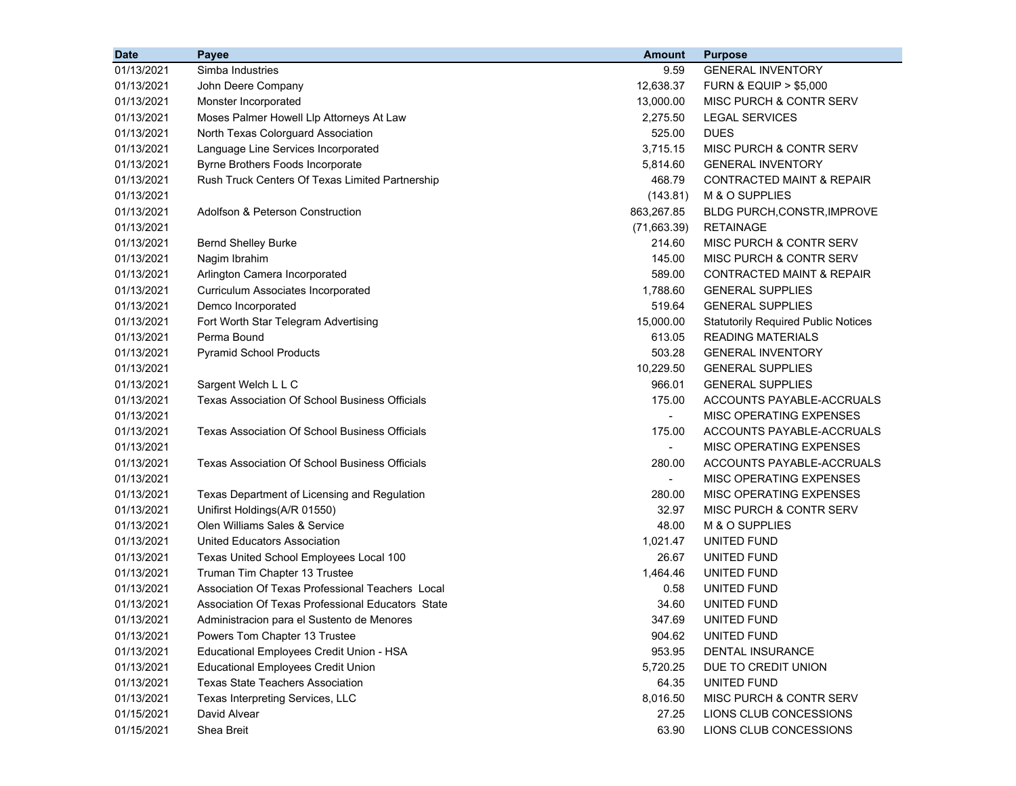| 01/13/2021<br>Simba Industries<br>9.59<br><b>GENERAL INVENTORY</b><br>01/13/2021<br>12,638.37<br>John Deere Company<br><b>FURN &amp; EQUIP &gt; \$5,000</b><br>13,000.00<br>01/13/2021<br>Monster Incorporated<br>MISC PURCH & CONTR SERV<br>2,275.50<br>Moses Palmer Howell Llp Attorneys At Law<br><b>LEGAL SERVICES</b><br>01/13/2021<br>North Texas Colorguard Association<br>525.00<br><b>DUES</b><br>01/13/2021<br>3,715.15<br>01/13/2021<br>Language Line Services Incorporated<br>MISC PURCH & CONTR SERV<br>01/13/2021<br>Byrne Brothers Foods Incorporate<br>5,814.60<br><b>GENERAL INVENTORY</b><br>01/13/2021<br>Rush Truck Centers Of Texas Limited Partnership<br>468.79<br><b>CONTRACTED MAINT &amp; REPAIR</b><br>01/13/2021<br>M & O SUPPLIES<br>(143.81)<br>863,267.85<br>01/13/2021<br>Adolfson & Peterson Construction<br>BLDG PURCH, CONSTR, IMPROVE<br>01/13/2021<br>(71,663.39)<br><b>RETAINAGE</b><br>MISC PURCH & CONTR SERV<br>01/13/2021<br><b>Bernd Shelley Burke</b><br>214.60<br>145.00<br>01/13/2021<br>Nagim Ibrahim<br><b>MISC PURCH &amp; CONTR SERV</b><br>01/13/2021<br>Arlington Camera Incorporated<br>589.00<br><b>CONTRACTED MAINT &amp; REPAIR</b><br>1,788.60<br>01/13/2021<br>Curriculum Associates Incorporated<br><b>GENERAL SUPPLIES</b><br>519.64<br>01/13/2021<br>Demco Incorporated<br><b>GENERAL SUPPLIES</b><br>15,000.00<br>01/13/2021<br>Fort Worth Star Telegram Advertising<br><b>Statutorily Required Public Notices</b><br>01/13/2021<br>Perma Bound<br>613.05<br><b>READING MATERIALS</b><br>01/13/2021<br><b>Pyramid School Products</b><br>503.28<br><b>GENERAL INVENTORY</b><br>01/13/2021<br>10,229.50<br><b>GENERAL SUPPLIES</b><br>966.01<br>01/13/2021<br>Sargent Welch L L C<br><b>GENERAL SUPPLIES</b><br>01/13/2021<br>Texas Association Of School Business Officials<br>175.00<br>ACCOUNTS PAYABLE-ACCRUALS |
|----------------------------------------------------------------------------------------------------------------------------------------------------------------------------------------------------------------------------------------------------------------------------------------------------------------------------------------------------------------------------------------------------------------------------------------------------------------------------------------------------------------------------------------------------------------------------------------------------------------------------------------------------------------------------------------------------------------------------------------------------------------------------------------------------------------------------------------------------------------------------------------------------------------------------------------------------------------------------------------------------------------------------------------------------------------------------------------------------------------------------------------------------------------------------------------------------------------------------------------------------------------------------------------------------------------------------------------------------------------------------------------------------------------------------------------------------------------------------------------------------------------------------------------------------------------------------------------------------------------------------------------------------------------------------------------------------------------------------------------------------------------------------------------------------------------------------------------------------------------------------------|
|                                                                                                                                                                                                                                                                                                                                                                                                                                                                                                                                                                                                                                                                                                                                                                                                                                                                                                                                                                                                                                                                                                                                                                                                                                                                                                                                                                                                                                                                                                                                                                                                                                                                                                                                                                                                                                                                                  |
|                                                                                                                                                                                                                                                                                                                                                                                                                                                                                                                                                                                                                                                                                                                                                                                                                                                                                                                                                                                                                                                                                                                                                                                                                                                                                                                                                                                                                                                                                                                                                                                                                                                                                                                                                                                                                                                                                  |
|                                                                                                                                                                                                                                                                                                                                                                                                                                                                                                                                                                                                                                                                                                                                                                                                                                                                                                                                                                                                                                                                                                                                                                                                                                                                                                                                                                                                                                                                                                                                                                                                                                                                                                                                                                                                                                                                                  |
|                                                                                                                                                                                                                                                                                                                                                                                                                                                                                                                                                                                                                                                                                                                                                                                                                                                                                                                                                                                                                                                                                                                                                                                                                                                                                                                                                                                                                                                                                                                                                                                                                                                                                                                                                                                                                                                                                  |
|                                                                                                                                                                                                                                                                                                                                                                                                                                                                                                                                                                                                                                                                                                                                                                                                                                                                                                                                                                                                                                                                                                                                                                                                                                                                                                                                                                                                                                                                                                                                                                                                                                                                                                                                                                                                                                                                                  |
|                                                                                                                                                                                                                                                                                                                                                                                                                                                                                                                                                                                                                                                                                                                                                                                                                                                                                                                                                                                                                                                                                                                                                                                                                                                                                                                                                                                                                                                                                                                                                                                                                                                                                                                                                                                                                                                                                  |
|                                                                                                                                                                                                                                                                                                                                                                                                                                                                                                                                                                                                                                                                                                                                                                                                                                                                                                                                                                                                                                                                                                                                                                                                                                                                                                                                                                                                                                                                                                                                                                                                                                                                                                                                                                                                                                                                                  |
|                                                                                                                                                                                                                                                                                                                                                                                                                                                                                                                                                                                                                                                                                                                                                                                                                                                                                                                                                                                                                                                                                                                                                                                                                                                                                                                                                                                                                                                                                                                                                                                                                                                                                                                                                                                                                                                                                  |
|                                                                                                                                                                                                                                                                                                                                                                                                                                                                                                                                                                                                                                                                                                                                                                                                                                                                                                                                                                                                                                                                                                                                                                                                                                                                                                                                                                                                                                                                                                                                                                                                                                                                                                                                                                                                                                                                                  |
|                                                                                                                                                                                                                                                                                                                                                                                                                                                                                                                                                                                                                                                                                                                                                                                                                                                                                                                                                                                                                                                                                                                                                                                                                                                                                                                                                                                                                                                                                                                                                                                                                                                                                                                                                                                                                                                                                  |
|                                                                                                                                                                                                                                                                                                                                                                                                                                                                                                                                                                                                                                                                                                                                                                                                                                                                                                                                                                                                                                                                                                                                                                                                                                                                                                                                                                                                                                                                                                                                                                                                                                                                                                                                                                                                                                                                                  |
|                                                                                                                                                                                                                                                                                                                                                                                                                                                                                                                                                                                                                                                                                                                                                                                                                                                                                                                                                                                                                                                                                                                                                                                                                                                                                                                                                                                                                                                                                                                                                                                                                                                                                                                                                                                                                                                                                  |
|                                                                                                                                                                                                                                                                                                                                                                                                                                                                                                                                                                                                                                                                                                                                                                                                                                                                                                                                                                                                                                                                                                                                                                                                                                                                                                                                                                                                                                                                                                                                                                                                                                                                                                                                                                                                                                                                                  |
|                                                                                                                                                                                                                                                                                                                                                                                                                                                                                                                                                                                                                                                                                                                                                                                                                                                                                                                                                                                                                                                                                                                                                                                                                                                                                                                                                                                                                                                                                                                                                                                                                                                                                                                                                                                                                                                                                  |
|                                                                                                                                                                                                                                                                                                                                                                                                                                                                                                                                                                                                                                                                                                                                                                                                                                                                                                                                                                                                                                                                                                                                                                                                                                                                                                                                                                                                                                                                                                                                                                                                                                                                                                                                                                                                                                                                                  |
|                                                                                                                                                                                                                                                                                                                                                                                                                                                                                                                                                                                                                                                                                                                                                                                                                                                                                                                                                                                                                                                                                                                                                                                                                                                                                                                                                                                                                                                                                                                                                                                                                                                                                                                                                                                                                                                                                  |
|                                                                                                                                                                                                                                                                                                                                                                                                                                                                                                                                                                                                                                                                                                                                                                                                                                                                                                                                                                                                                                                                                                                                                                                                                                                                                                                                                                                                                                                                                                                                                                                                                                                                                                                                                                                                                                                                                  |
|                                                                                                                                                                                                                                                                                                                                                                                                                                                                                                                                                                                                                                                                                                                                                                                                                                                                                                                                                                                                                                                                                                                                                                                                                                                                                                                                                                                                                                                                                                                                                                                                                                                                                                                                                                                                                                                                                  |
|                                                                                                                                                                                                                                                                                                                                                                                                                                                                                                                                                                                                                                                                                                                                                                                                                                                                                                                                                                                                                                                                                                                                                                                                                                                                                                                                                                                                                                                                                                                                                                                                                                                                                                                                                                                                                                                                                  |
|                                                                                                                                                                                                                                                                                                                                                                                                                                                                                                                                                                                                                                                                                                                                                                                                                                                                                                                                                                                                                                                                                                                                                                                                                                                                                                                                                                                                                                                                                                                                                                                                                                                                                                                                                                                                                                                                                  |
|                                                                                                                                                                                                                                                                                                                                                                                                                                                                                                                                                                                                                                                                                                                                                                                                                                                                                                                                                                                                                                                                                                                                                                                                                                                                                                                                                                                                                                                                                                                                                                                                                                                                                                                                                                                                                                                                                  |
|                                                                                                                                                                                                                                                                                                                                                                                                                                                                                                                                                                                                                                                                                                                                                                                                                                                                                                                                                                                                                                                                                                                                                                                                                                                                                                                                                                                                                                                                                                                                                                                                                                                                                                                                                                                                                                                                                  |
| 01/13/2021<br>MISC OPERATING EXPENSES<br>$\blacksquare$                                                                                                                                                                                                                                                                                                                                                                                                                                                                                                                                                                                                                                                                                                                                                                                                                                                                                                                                                                                                                                                                                                                                                                                                                                                                                                                                                                                                                                                                                                                                                                                                                                                                                                                                                                                                                          |
| 175.00<br>ACCOUNTS PAYABLE-ACCRUALS<br>01/13/2021<br>Texas Association Of School Business Officials                                                                                                                                                                                                                                                                                                                                                                                                                                                                                                                                                                                                                                                                                                                                                                                                                                                                                                                                                                                                                                                                                                                                                                                                                                                                                                                                                                                                                                                                                                                                                                                                                                                                                                                                                                              |
| 01/13/2021<br>MISC OPERATING EXPENSES<br>$\blacksquare$                                                                                                                                                                                                                                                                                                                                                                                                                                                                                                                                                                                                                                                                                                                                                                                                                                                                                                                                                                                                                                                                                                                                                                                                                                                                                                                                                                                                                                                                                                                                                                                                                                                                                                                                                                                                                          |
| 01/13/2021<br><b>Texas Association Of School Business Officials</b><br>280.00<br>ACCOUNTS PAYABLE-ACCRUALS                                                                                                                                                                                                                                                                                                                                                                                                                                                                                                                                                                                                                                                                                                                                                                                                                                                                                                                                                                                                                                                                                                                                                                                                                                                                                                                                                                                                                                                                                                                                                                                                                                                                                                                                                                       |
| 01/13/2021<br>MISC OPERATING EXPENSES<br>$\blacksquare$                                                                                                                                                                                                                                                                                                                                                                                                                                                                                                                                                                                                                                                                                                                                                                                                                                                                                                                                                                                                                                                                                                                                                                                                                                                                                                                                                                                                                                                                                                                                                                                                                                                                                                                                                                                                                          |
| 280.00<br>MISC OPERATING EXPENSES<br>01/13/2021<br>Texas Department of Licensing and Regulation                                                                                                                                                                                                                                                                                                                                                                                                                                                                                                                                                                                                                                                                                                                                                                                                                                                                                                                                                                                                                                                                                                                                                                                                                                                                                                                                                                                                                                                                                                                                                                                                                                                                                                                                                                                  |
| Unifirst Holdings(A/R 01550)<br>32.97<br>MISC PURCH & CONTR SERV<br>01/13/2021                                                                                                                                                                                                                                                                                                                                                                                                                                                                                                                                                                                                                                                                                                                                                                                                                                                                                                                                                                                                                                                                                                                                                                                                                                                                                                                                                                                                                                                                                                                                                                                                                                                                                                                                                                                                   |
| Olen Williams Sales & Service<br>48.00<br>M & O SUPPLIES<br>01/13/2021                                                                                                                                                                                                                                                                                                                                                                                                                                                                                                                                                                                                                                                                                                                                                                                                                                                                                                                                                                                                                                                                                                                                                                                                                                                                                                                                                                                                                                                                                                                                                                                                                                                                                                                                                                                                           |
| 1,021.47<br>UNITED FUND<br>01/13/2021<br>United Educators Association                                                                                                                                                                                                                                                                                                                                                                                                                                                                                                                                                                                                                                                                                                                                                                                                                                                                                                                                                                                                                                                                                                                                                                                                                                                                                                                                                                                                                                                                                                                                                                                                                                                                                                                                                                                                            |
| 01/13/2021<br>26.67<br>UNITED FUND<br>Texas United School Employees Local 100                                                                                                                                                                                                                                                                                                                                                                                                                                                                                                                                                                                                                                                                                                                                                                                                                                                                                                                                                                                                                                                                                                                                                                                                                                                                                                                                                                                                                                                                                                                                                                                                                                                                                                                                                                                                    |
| 01/13/2021<br>Truman Tim Chapter 13 Trustee<br>1,464.46<br>UNITED FUND                                                                                                                                                                                                                                                                                                                                                                                                                                                                                                                                                                                                                                                                                                                                                                                                                                                                                                                                                                                                                                                                                                                                                                                                                                                                                                                                                                                                                                                                                                                                                                                                                                                                                                                                                                                                           |
| Association Of Texas Professional Teachers Local<br>01/13/2021<br>0.58<br>UNITED FUND                                                                                                                                                                                                                                                                                                                                                                                                                                                                                                                                                                                                                                                                                                                                                                                                                                                                                                                                                                                                                                                                                                                                                                                                                                                                                                                                                                                                                                                                                                                                                                                                                                                                                                                                                                                            |
| 01/13/2021<br>Association Of Texas Professional Educators State<br>34.60<br>UNITED FUND                                                                                                                                                                                                                                                                                                                                                                                                                                                                                                                                                                                                                                                                                                                                                                                                                                                                                                                                                                                                                                                                                                                                                                                                                                                                                                                                                                                                                                                                                                                                                                                                                                                                                                                                                                                          |
| 01/13/2021<br>347.69<br>UNITED FUND<br>Administracion para el Sustento de Menores                                                                                                                                                                                                                                                                                                                                                                                                                                                                                                                                                                                                                                                                                                                                                                                                                                                                                                                                                                                                                                                                                                                                                                                                                                                                                                                                                                                                                                                                                                                                                                                                                                                                                                                                                                                                |
| UNITED FUND<br>01/13/2021<br>Powers Tom Chapter 13 Trustee<br>904.62                                                                                                                                                                                                                                                                                                                                                                                                                                                                                                                                                                                                                                                                                                                                                                                                                                                                                                                                                                                                                                                                                                                                                                                                                                                                                                                                                                                                                                                                                                                                                                                                                                                                                                                                                                                                             |
| 01/13/2021<br>Educational Employees Credit Union - HSA<br>953.95<br>DENTAL INSURANCE                                                                                                                                                                                                                                                                                                                                                                                                                                                                                                                                                                                                                                                                                                                                                                                                                                                                                                                                                                                                                                                                                                                                                                                                                                                                                                                                                                                                                                                                                                                                                                                                                                                                                                                                                                                             |
| 01/13/2021<br><b>Educational Employees Credit Union</b><br>5,720.25<br>DUE TO CREDIT UNION                                                                                                                                                                                                                                                                                                                                                                                                                                                                                                                                                                                                                                                                                                                                                                                                                                                                                                                                                                                                                                                                                                                                                                                                                                                                                                                                                                                                                                                                                                                                                                                                                                                                                                                                                                                       |
| 01/13/2021<br><b>Texas State Teachers Association</b><br>64.35<br>UNITED FUND                                                                                                                                                                                                                                                                                                                                                                                                                                                                                                                                                                                                                                                                                                                                                                                                                                                                                                                                                                                                                                                                                                                                                                                                                                                                                                                                                                                                                                                                                                                                                                                                                                                                                                                                                                                                    |
| 01/13/2021<br>Texas Interpreting Services, LLC<br>8,016.50<br>MISC PURCH & CONTR SERV                                                                                                                                                                                                                                                                                                                                                                                                                                                                                                                                                                                                                                                                                                                                                                                                                                                                                                                                                                                                                                                                                                                                                                                                                                                                                                                                                                                                                                                                                                                                                                                                                                                                                                                                                                                            |
| 01/15/2021<br>27.25<br>David Alvear<br>LIONS CLUB CONCESSIONS                                                                                                                                                                                                                                                                                                                                                                                                                                                                                                                                                                                                                                                                                                                                                                                                                                                                                                                                                                                                                                                                                                                                                                                                                                                                                                                                                                                                                                                                                                                                                                                                                                                                                                                                                                                                                    |
| 01/15/2021<br>Shea Breit<br>63.90<br>LIONS CLUB CONCESSIONS                                                                                                                                                                                                                                                                                                                                                                                                                                                                                                                                                                                                                                                                                                                                                                                                                                                                                                                                                                                                                                                                                                                                                                                                                                                                                                                                                                                                                                                                                                                                                                                                                                                                                                                                                                                                                      |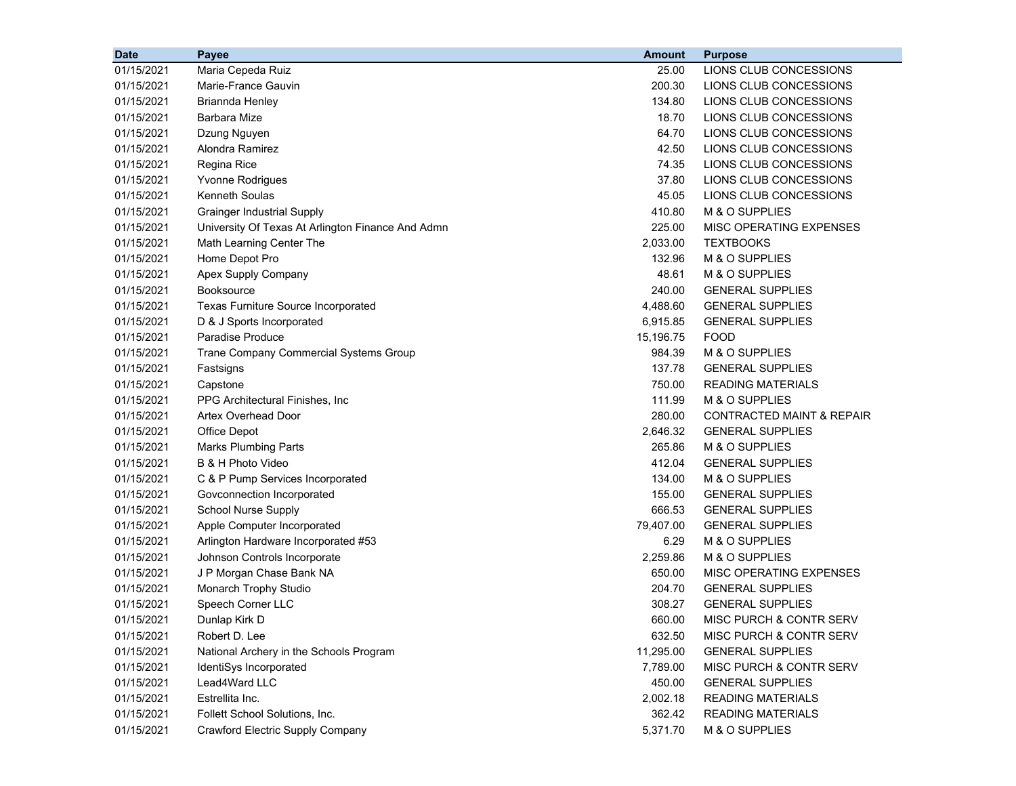| <b>Date</b> | Payee                                             | <b>Amount</b> | <b>Purpose</b>                       |
|-------------|---------------------------------------------------|---------------|--------------------------------------|
| 01/15/2021  | Maria Cepeda Ruiz                                 | 25.00         | LIONS CLUB CONCESSIONS               |
| 01/15/2021  | Marie-France Gauvin                               | 200.30        | LIONS CLUB CONCESSIONS               |
| 01/15/2021  | Briannda Henley                                   | 134.80        | LIONS CLUB CONCESSIONS               |
| 01/15/2021  | <b>Barbara Mize</b>                               | 18.70         | LIONS CLUB CONCESSIONS               |
| 01/15/2021  | Dzung Nguyen                                      | 64.70         | LIONS CLUB CONCESSIONS               |
| 01/15/2021  | Alondra Ramirez                                   | 42.50         | LIONS CLUB CONCESSIONS               |
| 01/15/2021  | Regina Rice                                       | 74.35         | LIONS CLUB CONCESSIONS               |
| 01/15/2021  | Yvonne Rodrigues                                  | 37.80         | LIONS CLUB CONCESSIONS               |
| 01/15/2021  | <b>Kenneth Soulas</b>                             | 45.05         | LIONS CLUB CONCESSIONS               |
| 01/15/2021  | <b>Grainger Industrial Supply</b>                 | 410.80        | M & O SUPPLIES                       |
| 01/15/2021  | University Of Texas At Arlington Finance And Admn | 225.00        | MISC OPERATING EXPENSES              |
| 01/15/2021  | Math Learning Center The                          | 2,033.00      | <b>TEXTBOOKS</b>                     |
| 01/15/2021  | Home Depot Pro                                    | 132.96        | M & O SUPPLIES                       |
| 01/15/2021  | Apex Supply Company                               | 48.61         | M & O SUPPLIES                       |
| 01/15/2021  | <b>Booksource</b>                                 | 240.00        | <b>GENERAL SUPPLIES</b>              |
| 01/15/2021  | Texas Furniture Source Incorporated               | 4,488.60      | <b>GENERAL SUPPLIES</b>              |
| 01/15/2021  | D & J Sports Incorporated                         | 6,915.85      | <b>GENERAL SUPPLIES</b>              |
| 01/15/2021  | Paradise Produce                                  | 15,196.75     | <b>FOOD</b>                          |
| 01/15/2021  | Trane Company Commercial Systems Group            | 984.39        | M & O SUPPLIES                       |
| 01/15/2021  | Fastsigns                                         | 137.78        | <b>GENERAL SUPPLIES</b>              |
| 01/15/2021  | Capstone                                          | 750.00        | <b>READING MATERIALS</b>             |
| 01/15/2021  | PPG Architectural Finishes, Inc                   | 111.99        | M & O SUPPLIES                       |
| 01/15/2021  | Artex Overhead Door                               | 280.00        | <b>CONTRACTED MAINT &amp; REPAIR</b> |
| 01/15/2021  | Office Depot                                      | 2,646.32      | <b>GENERAL SUPPLIES</b>              |
| 01/15/2021  | <b>Marks Plumbing Parts</b>                       | 265.86        | M & O SUPPLIES                       |
| 01/15/2021  | B & H Photo Video                                 | 412.04        | <b>GENERAL SUPPLIES</b>              |
| 01/15/2021  | C & P Pump Services Incorporated                  | 134.00        | M & O SUPPLIES                       |
| 01/15/2021  | Govconnection Incorporated                        | 155.00        | <b>GENERAL SUPPLIES</b>              |
| 01/15/2021  | <b>School Nurse Supply</b>                        | 666.53        | <b>GENERAL SUPPLIES</b>              |
| 01/15/2021  | Apple Computer Incorporated                       | 79,407.00     | <b>GENERAL SUPPLIES</b>              |
| 01/15/2021  | Arlington Hardware Incorporated #53               | 6.29          | M & O SUPPLIES                       |
| 01/15/2021  | Johnson Controls Incorporate                      | 2,259.86      | M & O SUPPLIES                       |
| 01/15/2021  | J P Morgan Chase Bank NA                          | 650.00        | MISC OPERATING EXPENSES              |
| 01/15/2021  | Monarch Trophy Studio                             | 204.70        | <b>GENERAL SUPPLIES</b>              |
| 01/15/2021  | Speech Corner LLC                                 | 308.27        | <b>GENERAL SUPPLIES</b>              |
| 01/15/2021  | Dunlap Kirk D                                     | 660.00        | MISC PURCH & CONTR SERV              |
| 01/15/2021  | Robert D. Lee                                     | 632.50        | MISC PURCH & CONTR SERV              |
| 01/15/2021  | National Archery in the Schools Program           | 11,295.00     | <b>GENERAL SUPPLIES</b>              |
| 01/15/2021  | IdentiSys Incorporated                            | 7,789.00      | MISC PURCH & CONTR SERV              |
| 01/15/2021  | Lead4Ward LLC                                     | 450.00        | <b>GENERAL SUPPLIES</b>              |
| 01/15/2021  | Estrellita Inc.                                   | 2,002.18      | <b>READING MATERIALS</b>             |
| 01/15/2021  | Follett School Solutions, Inc.                    | 362.42        | <b>READING MATERIALS</b>             |
| 01/15/2021  | Crawford Electric Supply Company                  | 5,371.70      | M & O SUPPLIES                       |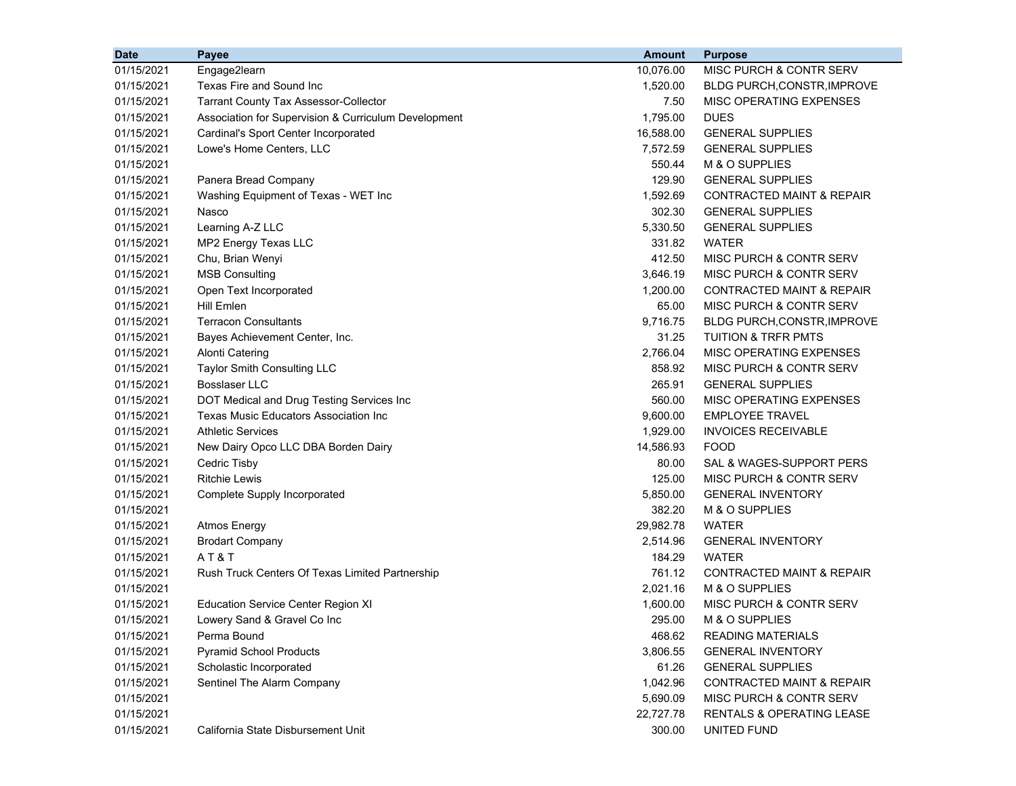| <b>Date</b> | <b>Payee</b>                                         | <b>Amount</b> | <b>Purpose</b>                       |
|-------------|------------------------------------------------------|---------------|--------------------------------------|
| 01/15/2021  | Engage2learn                                         | 10,076.00     | MISC PURCH & CONTR SERV              |
| 01/15/2021  | Texas Fire and Sound Inc                             | 1,520.00      | BLDG PURCH, CONSTR, IMPROVE          |
| 01/15/2021  | <b>Tarrant County Tax Assessor-Collector</b>         | 7.50          | MISC OPERATING EXPENSES              |
| 01/15/2021  | Association for Supervision & Curriculum Development | 1,795.00      | <b>DUES</b>                          |
| 01/15/2021  | Cardinal's Sport Center Incorporated                 | 16,588.00     | <b>GENERAL SUPPLIES</b>              |
| 01/15/2021  | Lowe's Home Centers, LLC                             | 7,572.59      | <b>GENERAL SUPPLIES</b>              |
| 01/15/2021  |                                                      | 550.44        | M & O SUPPLIES                       |
| 01/15/2021  | Panera Bread Company                                 | 129.90        | <b>GENERAL SUPPLIES</b>              |
| 01/15/2021  | Washing Equipment of Texas - WET Inc                 | 1,592.69      | CONTRACTED MAINT & REPAIR            |
| 01/15/2021  | Nasco                                                | 302.30        | <b>GENERAL SUPPLIES</b>              |
| 01/15/2021  | Learning A-Z LLC                                     | 5,330.50      | <b>GENERAL SUPPLIES</b>              |
| 01/15/2021  | MP2 Energy Texas LLC                                 | 331.82        | <b>WATER</b>                         |
| 01/15/2021  | Chu, Brian Wenyi                                     | 412.50        | MISC PURCH & CONTR SERV              |
| 01/15/2021  | <b>MSB Consulting</b>                                | 3,646.19      | MISC PURCH & CONTR SERV              |
| 01/15/2021  | Open Text Incorporated                               | 1,200.00      | CONTRACTED MAINT & REPAIR            |
| 01/15/2021  | Hill Emlen                                           | 65.00         | MISC PURCH & CONTR SERV              |
| 01/15/2021  | <b>Terracon Consultants</b>                          | 9,716.75      | BLDG PURCH, CONSTR, IMPROVE          |
| 01/15/2021  | Bayes Achievement Center, Inc.                       | 31.25         | <b>TUITION &amp; TRFR PMTS</b>       |
| 01/15/2021  | Alonti Catering                                      | 2,766.04      | MISC OPERATING EXPENSES              |
| 01/15/2021  | Taylor Smith Consulting LLC                          | 858.92        | MISC PURCH & CONTR SERV              |
| 01/15/2021  | <b>Bosslaser LLC</b>                                 | 265.91        | <b>GENERAL SUPPLIES</b>              |
| 01/15/2021  | DOT Medical and Drug Testing Services Inc            | 560.00        | MISC OPERATING EXPENSES              |
| 01/15/2021  | Texas Music Educators Association Inc                | 9,600.00      | <b>EMPLOYEE TRAVEL</b>               |
| 01/15/2021  | <b>Athletic Services</b>                             | 1,929.00      | <b>INVOICES RECEIVABLE</b>           |
| 01/15/2021  | New Dairy Opco LLC DBA Borden Dairy                  | 14,586.93     | <b>FOOD</b>                          |
| 01/15/2021  | Cedric Tisby                                         | 80.00         | SAL & WAGES-SUPPORT PERS             |
| 01/15/2021  | <b>Ritchie Lewis</b>                                 | 125.00        | MISC PURCH & CONTR SERV              |
| 01/15/2021  | Complete Supply Incorporated                         | 5,850.00      | <b>GENERAL INVENTORY</b>             |
| 01/15/2021  |                                                      | 382.20        | M & O SUPPLIES                       |
| 01/15/2021  | <b>Atmos Energy</b>                                  | 29,982.78     | <b>WATER</b>                         |
| 01/15/2021  | <b>Brodart Company</b>                               | 2,514.96      | <b>GENERAL INVENTORY</b>             |
| 01/15/2021  | AT&T                                                 | 184.29        | <b>WATER</b>                         |
| 01/15/2021  | Rush Truck Centers Of Texas Limited Partnership      | 761.12        | CONTRACTED MAINT & REPAIR            |
| 01/15/2021  |                                                      | 2,021.16      | M & O SUPPLIES                       |
| 01/15/2021  | <b>Education Service Center Region XI</b>            | 1,600.00      | MISC PURCH & CONTR SERV              |
| 01/15/2021  | Lowery Sand & Gravel Co Inc                          | 295.00        | M & O SUPPLIES                       |
| 01/15/2021  | Perma Bound                                          | 468.62        | <b>READING MATERIALS</b>             |
| 01/15/2021  | <b>Pyramid School Products</b>                       | 3,806.55      | <b>GENERAL INVENTORY</b>             |
| 01/15/2021  | Scholastic Incorporated                              | 61.26         | <b>GENERAL SUPPLIES</b>              |
| 01/15/2021  | Sentinel The Alarm Company                           | 1,042.96      | CONTRACTED MAINT & REPAIR            |
| 01/15/2021  |                                                      | 5,690.09      | MISC PURCH & CONTR SERV              |
| 01/15/2021  |                                                      | 22,727.78     | <b>RENTALS &amp; OPERATING LEASE</b> |
| 01/15/2021  | California State Disbursement Unit                   | 300.00        | <b>UNITED FUND</b>                   |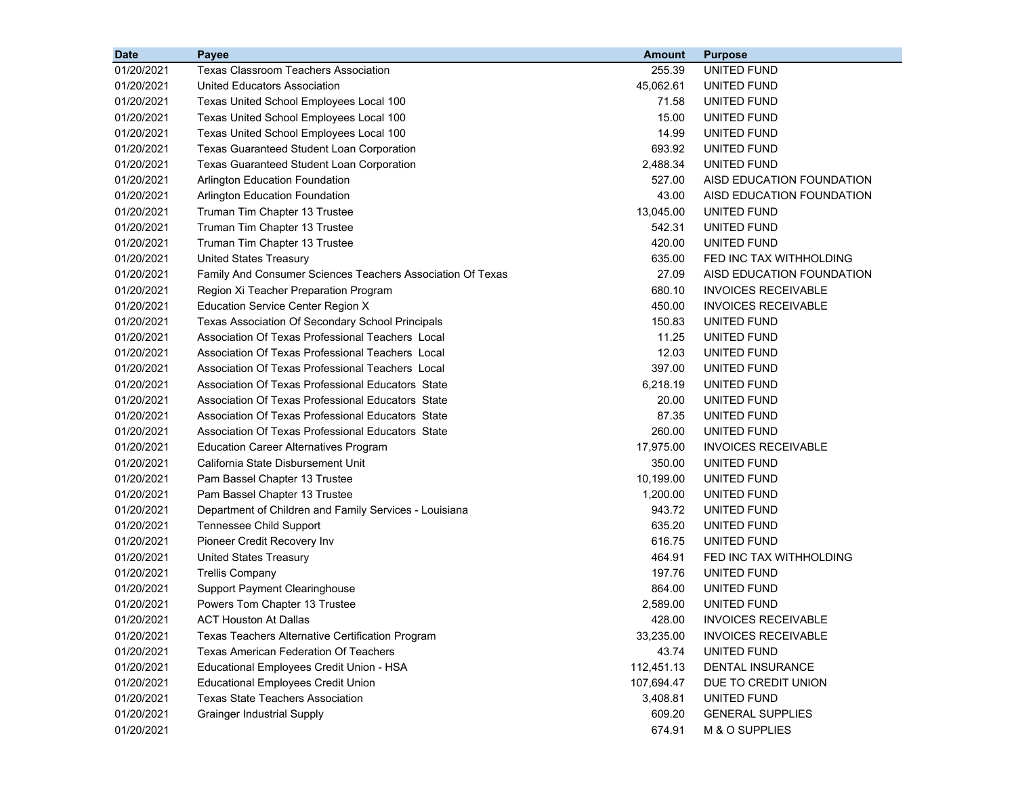| <b>Date</b> | Payee                                                      | <b>Amount</b> | <b>Purpose</b>             |
|-------------|------------------------------------------------------------|---------------|----------------------------|
| 01/20/2021  | <b>Texas Classroom Teachers Association</b>                | 255.39        | UNITED FUND                |
| 01/20/2021  | United Educators Association                               | 45,062.61     | UNITED FUND                |
| 01/20/2021  | Texas United School Employees Local 100                    | 71.58         | UNITED FUND                |
| 01/20/2021  | Texas United School Employees Local 100                    | 15.00         | UNITED FUND                |
| 01/20/2021  | Texas United School Employees Local 100                    | 14.99         | UNITED FUND                |
| 01/20/2021  | <b>Texas Guaranteed Student Loan Corporation</b>           | 693.92        | UNITED FUND                |
| 01/20/2021  | <b>Texas Guaranteed Student Loan Corporation</b>           | 2,488.34      | UNITED FUND                |
| 01/20/2021  | Arlington Education Foundation                             | 527.00        | AISD EDUCATION FOUNDATION  |
| 01/20/2021  | Arlington Education Foundation                             | 43.00         | AISD EDUCATION FOUNDATION  |
| 01/20/2021  | Truman Tim Chapter 13 Trustee                              | 13,045.00     | UNITED FUND                |
| 01/20/2021  | Truman Tim Chapter 13 Trustee                              | 542.31        | UNITED FUND                |
| 01/20/2021  | Truman Tim Chapter 13 Trustee                              | 420.00        | UNITED FUND                |
| 01/20/2021  | <b>United States Treasury</b>                              | 635.00        | FED INC TAX WITHHOLDING    |
| 01/20/2021  | Family And Consumer Sciences Teachers Association Of Texas | 27.09         | AISD EDUCATION FOUNDATION  |
| 01/20/2021  | Region Xi Teacher Preparation Program                      | 680.10        | <b>INVOICES RECEIVABLE</b> |
| 01/20/2021  | <b>Education Service Center Region X</b>                   | 450.00        | <b>INVOICES RECEIVABLE</b> |
| 01/20/2021  | Texas Association Of Secondary School Principals           | 150.83        | UNITED FUND                |
| 01/20/2021  | Association Of Texas Professional Teachers Local           | 11.25         | UNITED FUND                |
| 01/20/2021  | Association Of Texas Professional Teachers Local           | 12.03         | UNITED FUND                |
| 01/20/2021  | Association Of Texas Professional Teachers Local           | 397.00        | UNITED FUND                |
| 01/20/2021  | Association Of Texas Professional Educators State          | 6,218.19      | UNITED FUND                |
| 01/20/2021  | Association Of Texas Professional Educators State          | 20.00         | UNITED FUND                |
| 01/20/2021  | Association Of Texas Professional Educators State          | 87.35         | UNITED FUND                |
| 01/20/2021  | Association Of Texas Professional Educators State          | 260.00        | UNITED FUND                |
| 01/20/2021  | <b>Education Career Alternatives Program</b>               | 17,975.00     | <b>INVOICES RECEIVABLE</b> |
| 01/20/2021  | California State Disbursement Unit                         | 350.00        | UNITED FUND                |
| 01/20/2021  | Pam Bassel Chapter 13 Trustee                              | 10,199.00     | UNITED FUND                |
| 01/20/2021  | Pam Bassel Chapter 13 Trustee                              | 1,200.00      | UNITED FUND                |
| 01/20/2021  | Department of Children and Family Services - Louisiana     | 943.72        | UNITED FUND                |
| 01/20/2021  | <b>Tennessee Child Support</b>                             | 635.20        | UNITED FUND                |
| 01/20/2021  | Pioneer Credit Recovery Inv                                | 616.75        | UNITED FUND                |
| 01/20/2021  | <b>United States Treasury</b>                              | 464.91        | FED INC TAX WITHHOLDING    |
| 01/20/2021  | <b>Trellis Company</b>                                     | 197.76        | UNITED FUND                |
| 01/20/2021  | Support Payment Clearinghouse                              | 864.00        | UNITED FUND                |
| 01/20/2021  | Powers Tom Chapter 13 Trustee                              | 2,589.00      | UNITED FUND                |
| 01/20/2021  | <b>ACT Houston At Dallas</b>                               | 428.00        | <b>INVOICES RECEIVABLE</b> |
| 01/20/2021  | Texas Teachers Alternative Certification Program           | 33,235.00     | <b>INVOICES RECEIVABLE</b> |
| 01/20/2021  | <b>Texas American Federation Of Teachers</b>               | 43.74         | UNITED FUND                |
| 01/20/2021  | Educational Employees Credit Union - HSA                   | 112,451.13    | DENTAL INSURANCE           |
| 01/20/2021  | <b>Educational Employees Credit Union</b>                  | 107,694.47    | DUE TO CREDIT UNION        |
| 01/20/2021  | <b>Texas State Teachers Association</b>                    | 3,408.81      | UNITED FUND                |
| 01/20/2021  | <b>Grainger Industrial Supply</b>                          | 609.20        | <b>GENERAL SUPPLIES</b>    |
| 01/20/2021  |                                                            | 674.91        | M & O SUPPLIES             |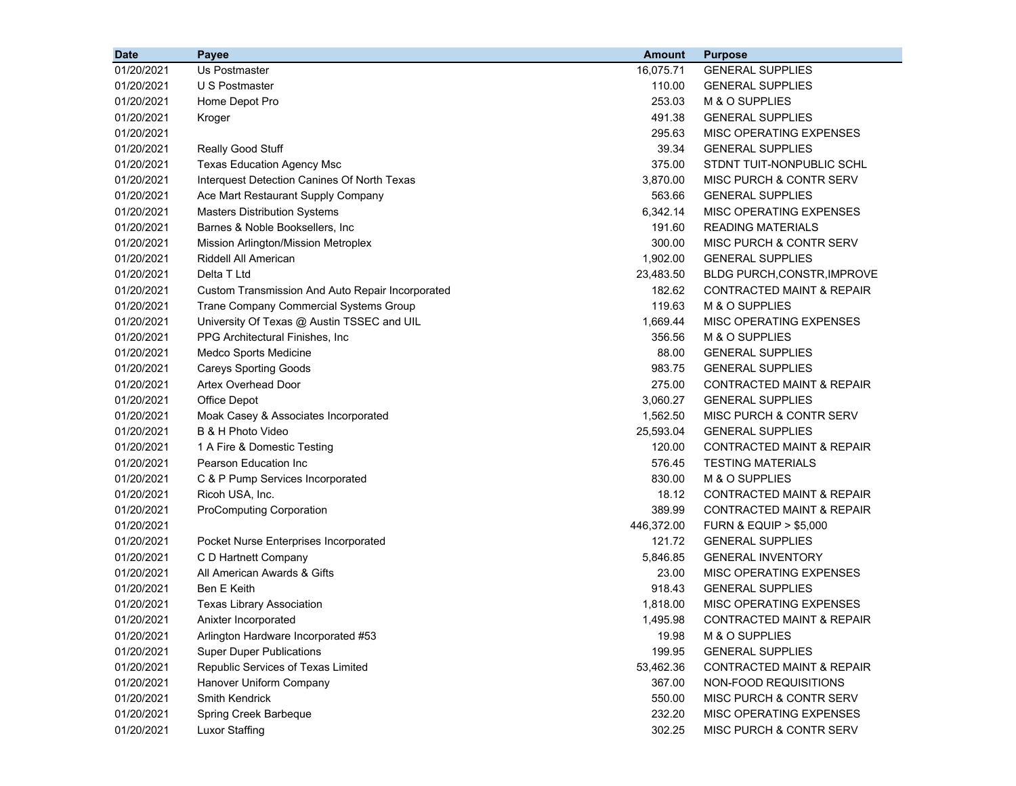| <b>Date</b> | Payee                                            | <b>Amount</b> | <b>Purpose</b>                       |
|-------------|--------------------------------------------------|---------------|--------------------------------------|
| 01/20/2021  | Us Postmaster                                    | 16,075.71     | <b>GENERAL SUPPLIES</b>              |
| 01/20/2021  | U S Postmaster                                   | 110.00        | <b>GENERAL SUPPLIES</b>              |
| 01/20/2021  | Home Depot Pro                                   | 253.03        | M & O SUPPLIES                       |
| 01/20/2021  | Kroger                                           | 491.38        | <b>GENERAL SUPPLIES</b>              |
| 01/20/2021  |                                                  | 295.63        | MISC OPERATING EXPENSES              |
| 01/20/2021  | Really Good Stuff                                | 39.34         | <b>GENERAL SUPPLIES</b>              |
| 01/20/2021  | <b>Texas Education Agency Msc</b>                | 375.00        | STDNT TUIT-NONPUBLIC SCHL            |
| 01/20/2021  | Interquest Detection Canines Of North Texas      | 3,870.00      | MISC PURCH & CONTR SERV              |
| 01/20/2021  | Ace Mart Restaurant Supply Company               | 563.66        | <b>GENERAL SUPPLIES</b>              |
| 01/20/2021  | <b>Masters Distribution Systems</b>              | 6,342.14      | MISC OPERATING EXPENSES              |
| 01/20/2021  | Barnes & Noble Booksellers, Inc                  | 191.60        | <b>READING MATERIALS</b>             |
| 01/20/2021  | Mission Arlington/Mission Metroplex              | 300.00        | MISC PURCH & CONTR SERV              |
| 01/20/2021  | Riddell All American                             | 1,902.00      | <b>GENERAL SUPPLIES</b>              |
| 01/20/2021  | Delta T Ltd                                      | 23,483.50     | BLDG PURCH, CONSTR, IMPROVE          |
| 01/20/2021  | Custom Transmission And Auto Repair Incorporated | 182.62        | <b>CONTRACTED MAINT &amp; REPAIR</b> |
| 01/20/2021  | Trane Company Commercial Systems Group           | 119.63        | M & O SUPPLIES                       |
| 01/20/2021  | University Of Texas @ Austin TSSEC and UIL       | 1,669.44      | MISC OPERATING EXPENSES              |
| 01/20/2021  | PPG Architectural Finishes, Inc.                 | 356.56        | M & O SUPPLIES                       |
| 01/20/2021  | Medco Sports Medicine                            | 88.00         | <b>GENERAL SUPPLIES</b>              |
| 01/20/2021  | <b>Careys Sporting Goods</b>                     | 983.75        | <b>GENERAL SUPPLIES</b>              |
| 01/20/2021  | Artex Overhead Door                              | 275.00        | <b>CONTRACTED MAINT &amp; REPAIR</b> |
| 01/20/2021  | Office Depot                                     | 3,060.27      | <b>GENERAL SUPPLIES</b>              |
| 01/20/2021  | Moak Casey & Associates Incorporated             | 1,562.50      | MISC PURCH & CONTR SERV              |
| 01/20/2021  | B & H Photo Video                                | 25,593.04     | <b>GENERAL SUPPLIES</b>              |
| 01/20/2021  | 1 A Fire & Domestic Testing                      | 120.00        | <b>CONTRACTED MAINT &amp; REPAIR</b> |
| 01/20/2021  | Pearson Education Inc                            | 576.45        | <b>TESTING MATERIALS</b>             |
| 01/20/2021  | C & P Pump Services Incorporated                 | 830.00        | M & O SUPPLIES                       |
| 01/20/2021  | Ricoh USA, Inc.                                  | 18.12         | <b>CONTRACTED MAINT &amp; REPAIR</b> |
| 01/20/2021  | <b>ProComputing Corporation</b>                  | 389.99        | CONTRACTED MAINT & REPAIR            |
| 01/20/2021  |                                                  | 446,372.00    | <b>FURN &amp; EQUIP &gt; \$5,000</b> |
| 01/20/2021  | Pocket Nurse Enterprises Incorporated            | 121.72        | <b>GENERAL SUPPLIES</b>              |
| 01/20/2021  | C D Hartnett Company                             | 5,846.85      | <b>GENERAL INVENTORY</b>             |
| 01/20/2021  | All American Awards & Gifts                      | 23.00         | MISC OPERATING EXPENSES              |
| 01/20/2021  | Ben E Keith                                      | 918.43        | <b>GENERAL SUPPLIES</b>              |
| 01/20/2021  | <b>Texas Library Association</b>                 | 1,818.00      | MISC OPERATING EXPENSES              |
| 01/20/2021  | Anixter Incorporated                             | 1,495.98      | CONTRACTED MAINT & REPAIR            |
| 01/20/2021  | Arlington Hardware Incorporated #53              | 19.98         | M & O SUPPLIES                       |
| 01/20/2021  | <b>Super Duper Publications</b>                  | 199.95        | <b>GENERAL SUPPLIES</b>              |
| 01/20/2021  | Republic Services of Texas Limited               | 53,462.36     | <b>CONTRACTED MAINT &amp; REPAIR</b> |
| 01/20/2021  | Hanover Uniform Company                          | 367.00        | NON-FOOD REQUISITIONS                |
| 01/20/2021  | Smith Kendrick                                   | 550.00        | MISC PURCH & CONTR SERV              |
| 01/20/2021  | Spring Creek Barbeque                            | 232.20        | MISC OPERATING EXPENSES              |
| 01/20/2021  | <b>Luxor Staffing</b>                            | 302.25        | MISC PURCH & CONTR SERV              |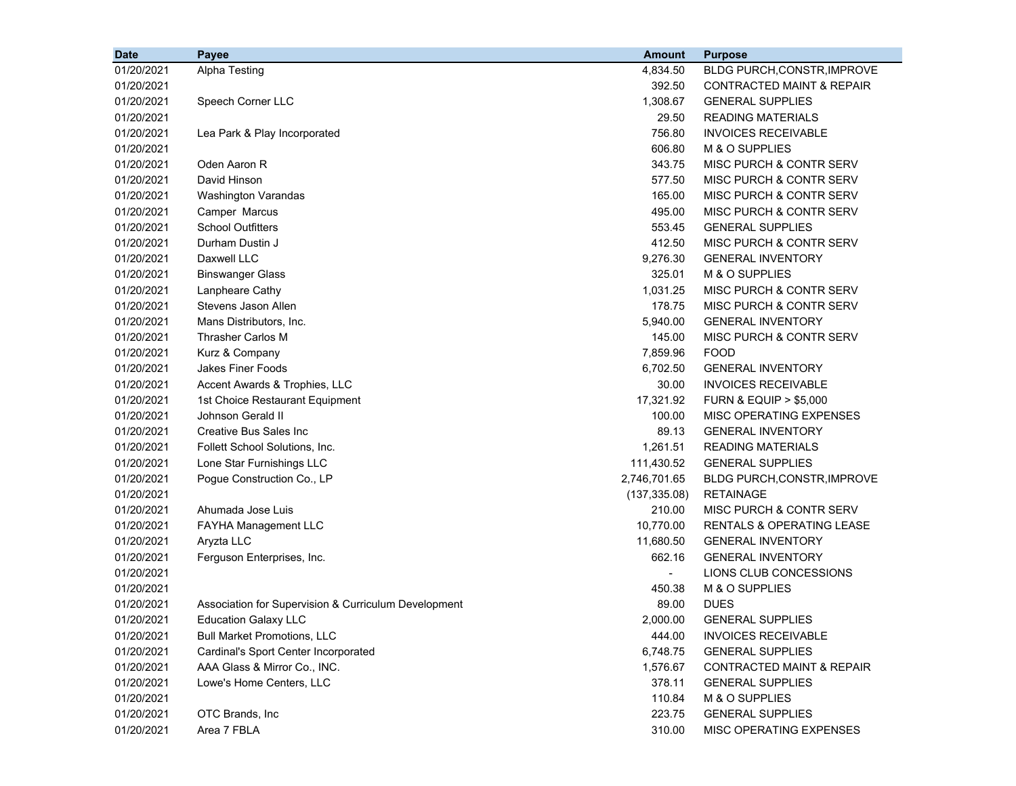| <b>Date</b> | Payee                                                | <b>Amount</b> | <b>Purpose</b>                       |
|-------------|------------------------------------------------------|---------------|--------------------------------------|
| 01/20/2021  | Alpha Testing                                        | 4,834.50      | BLDG PURCH, CONSTR, IMPROVE          |
| 01/20/2021  |                                                      | 392.50        | <b>CONTRACTED MAINT &amp; REPAIR</b> |
| 01/20/2021  | Speech Corner LLC                                    | 1,308.67      | <b>GENERAL SUPPLIES</b>              |
| 01/20/2021  |                                                      | 29.50         | <b>READING MATERIALS</b>             |
| 01/20/2021  | Lea Park & Play Incorporated                         | 756.80        | <b>INVOICES RECEIVABLE</b>           |
| 01/20/2021  |                                                      | 606.80        | M & O SUPPLIES                       |
| 01/20/2021  | Oden Aaron R                                         | 343.75        | MISC PURCH & CONTR SERV              |
| 01/20/2021  | David Hinson                                         | 577.50        | MISC PURCH & CONTR SERV              |
| 01/20/2021  | Washington Varandas                                  | 165.00        | MISC PURCH & CONTR SERV              |
| 01/20/2021  | Camper Marcus                                        | 495.00        | MISC PURCH & CONTR SERV              |
| 01/20/2021  | <b>School Outfitters</b>                             | 553.45        | <b>GENERAL SUPPLIES</b>              |
| 01/20/2021  | Durham Dustin J                                      | 412.50        | MISC PURCH & CONTR SERV              |
| 01/20/2021  | Daxwell LLC                                          | 9,276.30      | <b>GENERAL INVENTORY</b>             |
| 01/20/2021  | <b>Binswanger Glass</b>                              | 325.01        | M & O SUPPLIES                       |
| 01/20/2021  | Lanpheare Cathy                                      | 1,031.25      | MISC PURCH & CONTR SERV              |
| 01/20/2021  | Stevens Jason Allen                                  | 178.75        | MISC PURCH & CONTR SERV              |
| 01/20/2021  | Mans Distributors, Inc.                              | 5,940.00      | <b>GENERAL INVENTORY</b>             |
| 01/20/2021  | Thrasher Carlos M                                    | 145.00        | MISC PURCH & CONTR SERV              |
| 01/20/2021  | Kurz & Company                                       | 7,859.96      | <b>FOOD</b>                          |
| 01/20/2021  | <b>Jakes Finer Foods</b>                             | 6,702.50      | <b>GENERAL INVENTORY</b>             |
| 01/20/2021  | Accent Awards & Trophies, LLC                        | 30.00         | <b>INVOICES RECEIVABLE</b>           |
| 01/20/2021  | 1st Choice Restaurant Equipment                      | 17,321.92     | <b>FURN &amp; EQUIP &gt; \$5,000</b> |
| 01/20/2021  | Johnson Gerald II                                    | 100.00        | MISC OPERATING EXPENSES              |
| 01/20/2021  | <b>Creative Bus Sales Inc</b>                        | 89.13         | <b>GENERAL INVENTORY</b>             |
| 01/20/2021  | Follett School Solutions, Inc.                       | 1,261.51      | <b>READING MATERIALS</b>             |
| 01/20/2021  | Lone Star Furnishings LLC                            | 111,430.52    | <b>GENERAL SUPPLIES</b>              |
| 01/20/2021  | Pogue Construction Co., LP                           | 2,746,701.65  | BLDG PURCH, CONSTR, IMPROVE          |
| 01/20/2021  |                                                      | (137, 335.08) | <b>RETAINAGE</b>                     |
| 01/20/2021  | Ahumada Jose Luis                                    | 210.00        | MISC PURCH & CONTR SERV              |
| 01/20/2021  | FAYHA Management LLC                                 | 10,770.00     | <b>RENTALS &amp; OPERATING LEASE</b> |
| 01/20/2021  | Aryzta LLC                                           | 11,680.50     | <b>GENERAL INVENTORY</b>             |
| 01/20/2021  | Ferguson Enterprises, Inc.                           | 662.16        | <b>GENERAL INVENTORY</b>             |
| 01/20/2021  |                                                      |               | LIONS CLUB CONCESSIONS               |
| 01/20/2021  |                                                      | 450.38        | M & O SUPPLIES                       |
| 01/20/2021  | Association for Supervision & Curriculum Development | 89.00         | <b>DUES</b>                          |
| 01/20/2021  | <b>Education Galaxy LLC</b>                          | 2,000.00      | <b>GENERAL SUPPLIES</b>              |
| 01/20/2021  | <b>Bull Market Promotions, LLC</b>                   | 444.00        | <b>INVOICES RECEIVABLE</b>           |
| 01/20/2021  | Cardinal's Sport Center Incorporated                 | 6,748.75      | <b>GENERAL SUPPLIES</b>              |
| 01/20/2021  | AAA Glass & Mirror Co., INC.                         | 1,576.67      | CONTRACTED MAINT & REPAIR            |
| 01/20/2021  | Lowe's Home Centers, LLC                             | 378.11        | <b>GENERAL SUPPLIES</b>              |
| 01/20/2021  |                                                      | 110.84        | M & O SUPPLIES                       |
| 01/20/2021  | OTC Brands, Inc                                      | 223.75        | <b>GENERAL SUPPLIES</b>              |
| 01/20/2021  | Area 7 FBLA                                          | 310.00        | MISC OPERATING EXPENSES              |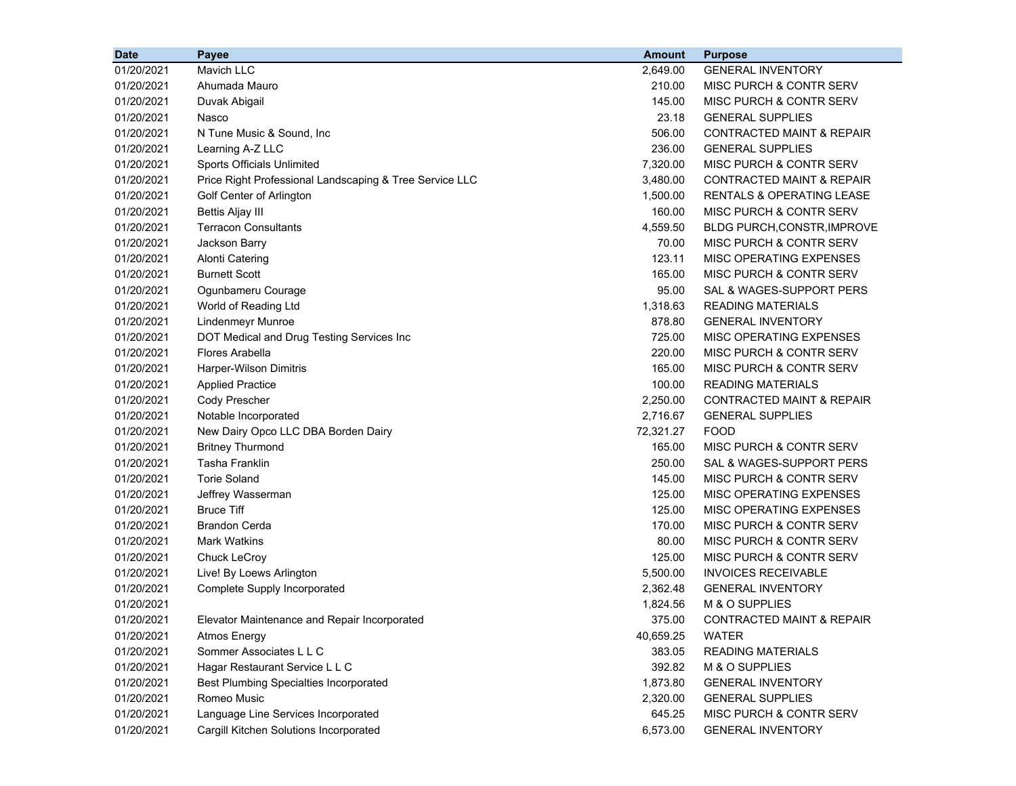| <b>Date</b> | Payee                                                   | <b>Amount</b> | <b>Purpose</b>                       |
|-------------|---------------------------------------------------------|---------------|--------------------------------------|
| 01/20/2021  | Mavich LLC                                              | 2,649.00      | <b>GENERAL INVENTORY</b>             |
| 01/20/2021  | Ahumada Mauro                                           | 210.00        | MISC PURCH & CONTR SERV              |
| 01/20/2021  | Duvak Abigail                                           | 145.00        | MISC PURCH & CONTR SERV              |
| 01/20/2021  | Nasco                                                   | 23.18         | <b>GENERAL SUPPLIES</b>              |
| 01/20/2021  | N Tune Music & Sound, Inc                               | 506.00        | <b>CONTRACTED MAINT &amp; REPAIR</b> |
| 01/20/2021  | Learning A-Z LLC                                        | 236.00        | <b>GENERAL SUPPLIES</b>              |
| 01/20/2021  | Sports Officials Unlimited                              | 7,320.00      | MISC PURCH & CONTR SERV              |
| 01/20/2021  | Price Right Professional Landscaping & Tree Service LLC | 3,480.00      | <b>CONTRACTED MAINT &amp; REPAIR</b> |
| 01/20/2021  | Golf Center of Arlington                                | 1,500.00      | <b>RENTALS &amp; OPERATING LEASE</b> |
| 01/20/2021  | <b>Bettis Aljay III</b>                                 | 160.00        | MISC PURCH & CONTR SERV              |
| 01/20/2021  | <b>Terracon Consultants</b>                             | 4,559.50      | <b>BLDG PURCH, CONSTR, IMPROVE</b>   |
| 01/20/2021  | Jackson Barry                                           | 70.00         | MISC PURCH & CONTR SERV              |
| 01/20/2021  | <b>Alonti Catering</b>                                  | 123.11        | MISC OPERATING EXPENSES              |
| 01/20/2021  | <b>Burnett Scott</b>                                    | 165.00        | MISC PURCH & CONTR SERV              |
| 01/20/2021  | Ogunbameru Courage                                      | 95.00         | SAL & WAGES-SUPPORT PERS             |
| 01/20/2021  | World of Reading Ltd                                    | 1,318.63      | <b>READING MATERIALS</b>             |
| 01/20/2021  | Lindenmeyr Munroe                                       | 878.80        | <b>GENERAL INVENTORY</b>             |
| 01/20/2021  | DOT Medical and Drug Testing Services Inc               | 725.00        | MISC OPERATING EXPENSES              |
| 01/20/2021  | Flores Arabella                                         | 220.00        | MISC PURCH & CONTR SERV              |
| 01/20/2021  | Harper-Wilson Dimitris                                  | 165.00        | MISC PURCH & CONTR SERV              |
| 01/20/2021  | <b>Applied Practice</b>                                 | 100.00        | <b>READING MATERIALS</b>             |
| 01/20/2021  | Cody Prescher                                           | 2,250.00      | <b>CONTRACTED MAINT &amp; REPAIR</b> |
| 01/20/2021  | Notable Incorporated                                    | 2,716.67      | <b>GENERAL SUPPLIES</b>              |
| 01/20/2021  | New Dairy Opco LLC DBA Borden Dairy                     | 72,321.27     | <b>FOOD</b>                          |
| 01/20/2021  | <b>Britney Thurmond</b>                                 | 165.00        | MISC PURCH & CONTR SERV              |
| 01/20/2021  | Tasha Franklin                                          | 250.00        | SAL & WAGES-SUPPORT PERS             |
| 01/20/2021  | <b>Torie Soland</b>                                     | 145.00        | <b>MISC PURCH &amp; CONTR SERV</b>   |
| 01/20/2021  | Jeffrey Wasserman                                       | 125.00        | MISC OPERATING EXPENSES              |
| 01/20/2021  | <b>Bruce Tiff</b>                                       | 125.00        | MISC OPERATING EXPENSES              |
| 01/20/2021  | <b>Brandon Cerda</b>                                    | 170.00        | MISC PURCH & CONTR SERV              |
| 01/20/2021  | <b>Mark Watkins</b>                                     | 80.00         | MISC PURCH & CONTR SERV              |
| 01/20/2021  | Chuck LeCroy                                            | 125.00        | MISC PURCH & CONTR SERV              |
| 01/20/2021  | Live! By Loews Arlington                                | 5,500.00      | <b>INVOICES RECEIVABLE</b>           |
| 01/20/2021  | Complete Supply Incorporated                            | 2,362.48      | <b>GENERAL INVENTORY</b>             |
| 01/20/2021  |                                                         | 1,824.56      | M & O SUPPLIES                       |
| 01/20/2021  | Elevator Maintenance and Repair Incorporated            | 375.00        | <b>CONTRACTED MAINT &amp; REPAIR</b> |
| 01/20/2021  | Atmos Energy                                            | 40,659.25     | <b>WATER</b>                         |
| 01/20/2021  | Sommer Associates L L C                                 | 383.05        | READING MATERIALS                    |
| 01/20/2021  | Hagar Restaurant Service L L C                          | 392.82        | M & O SUPPLIES                       |
| 01/20/2021  | <b>Best Plumbing Specialties Incorporated</b>           | 1,873.80      | <b>GENERAL INVENTORY</b>             |
| 01/20/2021  | Romeo Music                                             | 2,320.00      | <b>GENERAL SUPPLIES</b>              |
| 01/20/2021  | Language Line Services Incorporated                     | 645.25        | MISC PURCH & CONTR SERV              |
| 01/20/2021  | Cargill Kitchen Solutions Incorporated                  | 6,573.00      | <b>GENERAL INVENTORY</b>             |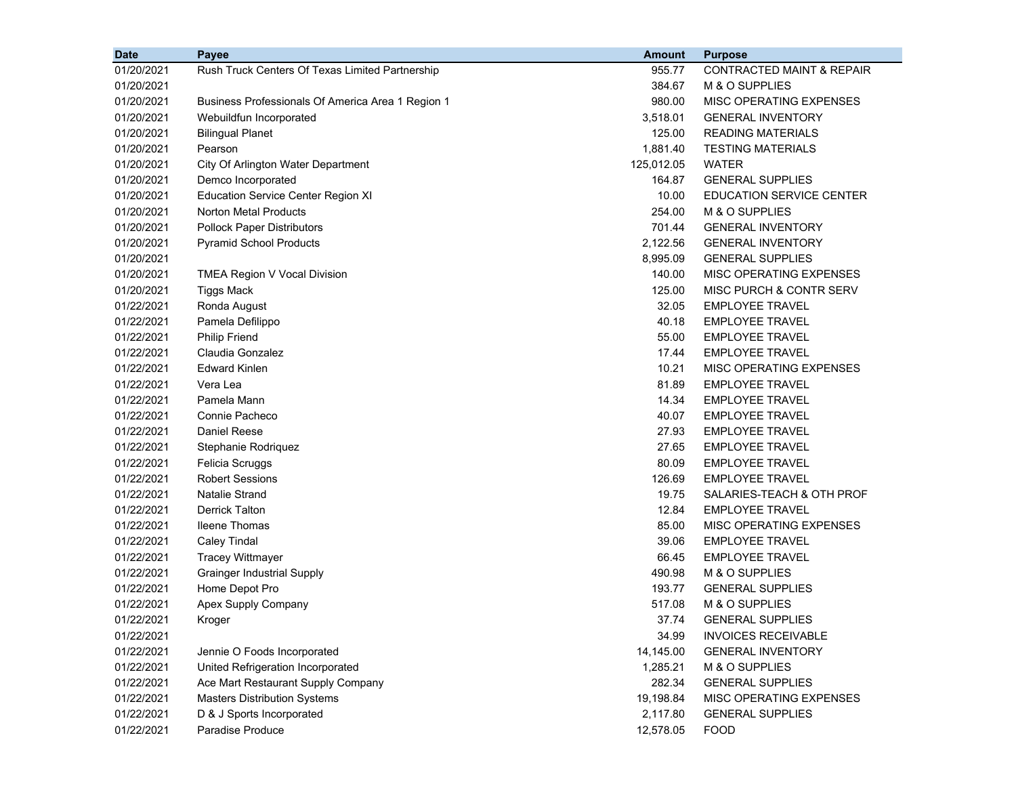| <b>Date</b> | <b>Payee</b>                                      | <b>Amount</b> | <b>Purpose</b>                       |
|-------------|---------------------------------------------------|---------------|--------------------------------------|
| 01/20/2021  | Rush Truck Centers Of Texas Limited Partnership   | 955.77        | <b>CONTRACTED MAINT &amp; REPAIR</b> |
| 01/20/2021  |                                                   | 384.67        | M & O SUPPLIES                       |
| 01/20/2021  | Business Professionals Of America Area 1 Region 1 | 980.00        | <b>MISC OPERATING EXPENSES</b>       |
| 01/20/2021  | Webuildfun Incorporated                           | 3,518.01      | <b>GENERAL INVENTORY</b>             |
| 01/20/2021  | <b>Bilingual Planet</b>                           | 125.00        | <b>READING MATERIALS</b>             |
| 01/20/2021  | Pearson                                           | 1,881.40      | <b>TESTING MATERIALS</b>             |
| 01/20/2021  | City Of Arlington Water Department                | 125,012.05    | <b>WATER</b>                         |
| 01/20/2021  | Demco Incorporated                                | 164.87        | <b>GENERAL SUPPLIES</b>              |
| 01/20/2021  | <b>Education Service Center Region XI</b>         | 10.00         | EDUCATION SERVICE CENTER             |
| 01/20/2021  | <b>Norton Metal Products</b>                      | 254.00        | M & O SUPPLIES                       |
| 01/20/2021  | <b>Pollock Paper Distributors</b>                 | 701.44        | <b>GENERAL INVENTORY</b>             |
| 01/20/2021  | <b>Pyramid School Products</b>                    | 2,122.56      | <b>GENERAL INVENTORY</b>             |
| 01/20/2021  |                                                   | 8,995.09      | <b>GENERAL SUPPLIES</b>              |
| 01/20/2021  | TMEA Region V Vocal Division                      | 140.00        | <b>MISC OPERATING EXPENSES</b>       |
| 01/20/2021  | Tiggs Mack                                        | 125.00        | MISC PURCH & CONTR SERV              |
| 01/22/2021  | Ronda August                                      | 32.05         | <b>EMPLOYEE TRAVEL</b>               |
| 01/22/2021  | Pamela Defilippo                                  | 40.18         | <b>EMPLOYEE TRAVEL</b>               |
| 01/22/2021  | <b>Philip Friend</b>                              | 55.00         | <b>EMPLOYEE TRAVEL</b>               |
| 01/22/2021  | Claudia Gonzalez                                  | 17.44         | <b>EMPLOYEE TRAVEL</b>               |
| 01/22/2021  | <b>Edward Kinlen</b>                              | 10.21         | MISC OPERATING EXPENSES              |
| 01/22/2021  | Vera Lea                                          | 81.89         | <b>EMPLOYEE TRAVEL</b>               |
| 01/22/2021  | Pamela Mann                                       | 14.34         | <b>EMPLOYEE TRAVEL</b>               |
| 01/22/2021  | Connie Pacheco                                    | 40.07         | <b>EMPLOYEE TRAVEL</b>               |
| 01/22/2021  | Daniel Reese                                      | 27.93         | <b>EMPLOYEE TRAVEL</b>               |
| 01/22/2021  | Stephanie Rodriquez                               | 27.65         | <b>EMPLOYEE TRAVEL</b>               |
| 01/22/2021  | Felicia Scruggs                                   | 80.09         | <b>EMPLOYEE TRAVEL</b>               |
| 01/22/2021  | <b>Robert Sessions</b>                            | 126.69        | <b>EMPLOYEE TRAVEL</b>               |
| 01/22/2021  | <b>Natalie Strand</b>                             | 19.75         | SALARIES-TEACH & OTH PROF            |
| 01/22/2021  | <b>Derrick Talton</b>                             | 12.84         | <b>EMPLOYEE TRAVEL</b>               |
| 01/22/2021  | <b>Ileene Thomas</b>                              | 85.00         | MISC OPERATING EXPENSES              |
| 01/22/2021  | <b>Caley Tindal</b>                               | 39.06         | <b>EMPLOYEE TRAVEL</b>               |
| 01/22/2021  | <b>Tracey Wittmayer</b>                           | 66.45         | <b>EMPLOYEE TRAVEL</b>               |
| 01/22/2021  | <b>Grainger Industrial Supply</b>                 | 490.98        | M & O SUPPLIES                       |
| 01/22/2021  | Home Depot Pro                                    | 193.77        | <b>GENERAL SUPPLIES</b>              |
| 01/22/2021  | Apex Supply Company                               | 517.08        | M & O SUPPLIES                       |
| 01/22/2021  | Kroger                                            | 37.74         | <b>GENERAL SUPPLIES</b>              |
| 01/22/2021  |                                                   | 34.99         | <b>INVOICES RECEIVABLE</b>           |
| 01/22/2021  | Jennie O Foods Incorporated                       | 14,145.00     | <b>GENERAL INVENTORY</b>             |
| 01/22/2021  | United Refrigeration Incorporated                 | 1,285.21      | M & O SUPPLIES                       |
| 01/22/2021  | Ace Mart Restaurant Supply Company                | 282.34        | <b>GENERAL SUPPLIES</b>              |
| 01/22/2021  | <b>Masters Distribution Systems</b>               | 19,198.84     | MISC OPERATING EXPENSES              |
| 01/22/2021  | D & J Sports Incorporated                         | 2,117.80      | <b>GENERAL SUPPLIES</b>              |
| 01/22/2021  | Paradise Produce                                  | 12,578.05     | <b>FOOD</b>                          |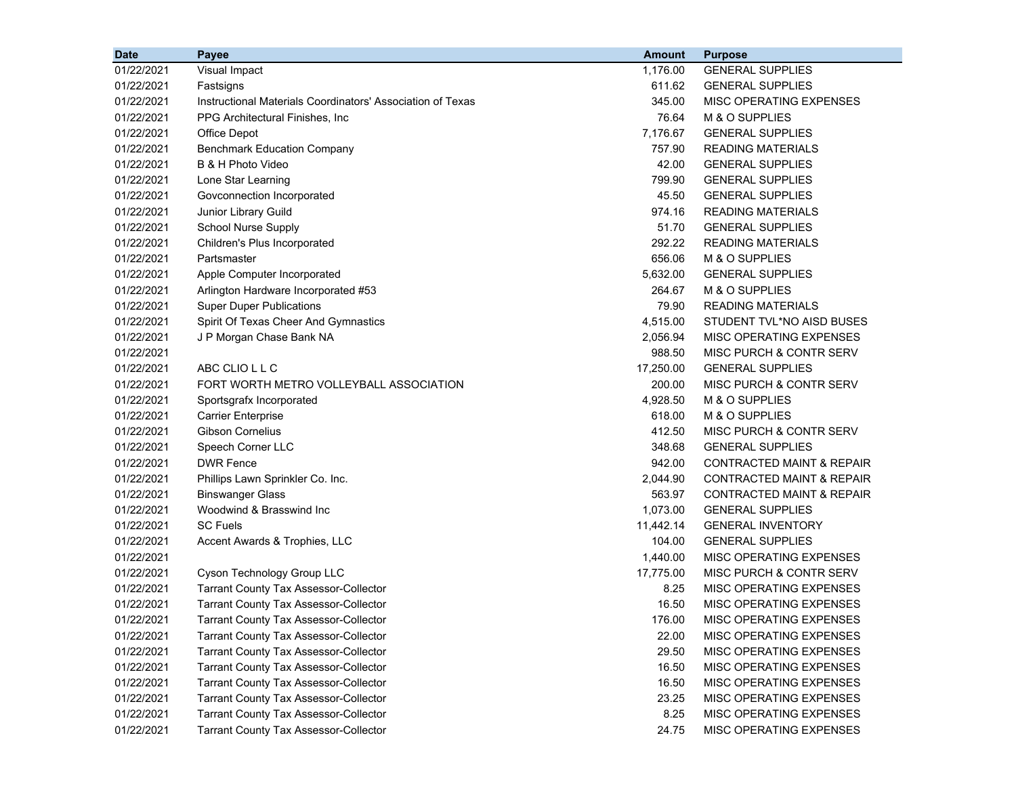| <b>Date</b> | Payee                                                      | <b>Amount</b> | <b>Purpose</b>                       |
|-------------|------------------------------------------------------------|---------------|--------------------------------------|
| 01/22/2021  | Visual Impact                                              | 1,176.00      | <b>GENERAL SUPPLIES</b>              |
| 01/22/2021  | Fastsigns                                                  | 611.62        | <b>GENERAL SUPPLIES</b>              |
| 01/22/2021  | Instructional Materials Coordinators' Association of Texas | 345.00        | MISC OPERATING EXPENSES              |
| 01/22/2021  | PPG Architectural Finishes, Inc.                           | 76.64         | M & O SUPPLIES                       |
| 01/22/2021  | Office Depot                                               | 7,176.67      | <b>GENERAL SUPPLIES</b>              |
| 01/22/2021  | <b>Benchmark Education Company</b>                         | 757.90        | <b>READING MATERIALS</b>             |
| 01/22/2021  | B & H Photo Video                                          | 42.00         | <b>GENERAL SUPPLIES</b>              |
| 01/22/2021  | Lone Star Learning                                         | 799.90        | <b>GENERAL SUPPLIES</b>              |
| 01/22/2021  | Govconnection Incorporated                                 | 45.50         | <b>GENERAL SUPPLIES</b>              |
| 01/22/2021  | Junior Library Guild                                       | 974.16        | <b>READING MATERIALS</b>             |
| 01/22/2021  | <b>School Nurse Supply</b>                                 | 51.70         | <b>GENERAL SUPPLIES</b>              |
| 01/22/2021  | Children's Plus Incorporated                               | 292.22        | <b>READING MATERIALS</b>             |
| 01/22/2021  | Partsmaster                                                | 656.06        | M & O SUPPLIES                       |
| 01/22/2021  | Apple Computer Incorporated                                | 5,632.00      | <b>GENERAL SUPPLIES</b>              |
| 01/22/2021  | Arlington Hardware Incorporated #53                        | 264.67        | M & O SUPPLIES                       |
| 01/22/2021  | <b>Super Duper Publications</b>                            | 79.90         | <b>READING MATERIALS</b>             |
| 01/22/2021  | Spirit Of Texas Cheer And Gymnastics                       | 4,515.00      | STUDENT TVL*NO AISD BUSES            |
| 01/22/2021  | J P Morgan Chase Bank NA                                   | 2,056.94      | MISC OPERATING EXPENSES              |
| 01/22/2021  |                                                            | 988.50        | MISC PURCH & CONTR SERV              |
| 01/22/2021  | ABC CLIO L L C                                             | 17,250.00     | <b>GENERAL SUPPLIES</b>              |
| 01/22/2021  | FORT WORTH METRO VOLLEYBALL ASSOCIATION                    | 200.00        | MISC PURCH & CONTR SERV              |
| 01/22/2021  | Sportsgrafx Incorporated                                   | 4,928.50      | M & O SUPPLIES                       |
| 01/22/2021  | <b>Carrier Enterprise</b>                                  | 618.00        | M & O SUPPLIES                       |
| 01/22/2021  | <b>Gibson Cornelius</b>                                    | 412.50        | MISC PURCH & CONTR SERV              |
| 01/22/2021  | Speech Corner LLC                                          | 348.68        | <b>GENERAL SUPPLIES</b>              |
| 01/22/2021  | <b>DWR Fence</b>                                           | 942.00        | <b>CONTRACTED MAINT &amp; REPAIR</b> |
| 01/22/2021  | Phillips Lawn Sprinkler Co. Inc.                           | 2,044.90      | <b>CONTRACTED MAINT &amp; REPAIR</b> |
| 01/22/2021  | <b>Binswanger Glass</b>                                    | 563.97        | <b>CONTRACTED MAINT &amp; REPAIR</b> |
| 01/22/2021  | Woodwind & Brasswind Inc                                   | 1,073.00      | <b>GENERAL SUPPLIES</b>              |
| 01/22/2021  | <b>SC Fuels</b>                                            | 11,442.14     | <b>GENERAL INVENTORY</b>             |
| 01/22/2021  | Accent Awards & Trophies, LLC                              | 104.00        | <b>GENERAL SUPPLIES</b>              |
| 01/22/2021  |                                                            | 1,440.00      | MISC OPERATING EXPENSES              |
| 01/22/2021  | Cyson Technology Group LLC                                 | 17,775.00     | MISC PURCH & CONTR SERV              |
| 01/22/2021  | <b>Tarrant County Tax Assessor-Collector</b>               | 8.25          | MISC OPERATING EXPENSES              |
| 01/22/2021  | <b>Tarrant County Tax Assessor-Collector</b>               | 16.50         | MISC OPERATING EXPENSES              |
| 01/22/2021  | <b>Tarrant County Tax Assessor-Collector</b>               | 176.00        | MISC OPERATING EXPENSES              |
| 01/22/2021  | <b>Tarrant County Tax Assessor-Collector</b>               | 22.00         | MISC OPERATING EXPENSES              |
| 01/22/2021  | <b>Tarrant County Tax Assessor-Collector</b>               | 29.50         | MISC OPERATING EXPENSES              |
| 01/22/2021  | <b>Tarrant County Tax Assessor-Collector</b>               | 16.50         | MISC OPERATING EXPENSES              |
| 01/22/2021  | <b>Tarrant County Tax Assessor-Collector</b>               | 16.50         | MISC OPERATING EXPENSES              |
| 01/22/2021  | <b>Tarrant County Tax Assessor-Collector</b>               | 23.25         | MISC OPERATING EXPENSES              |
| 01/22/2021  | <b>Tarrant County Tax Assessor-Collector</b>               | 8.25          | MISC OPERATING EXPENSES              |
| 01/22/2021  | <b>Tarrant County Tax Assessor-Collector</b>               | 24.75         | MISC OPERATING EXPENSES              |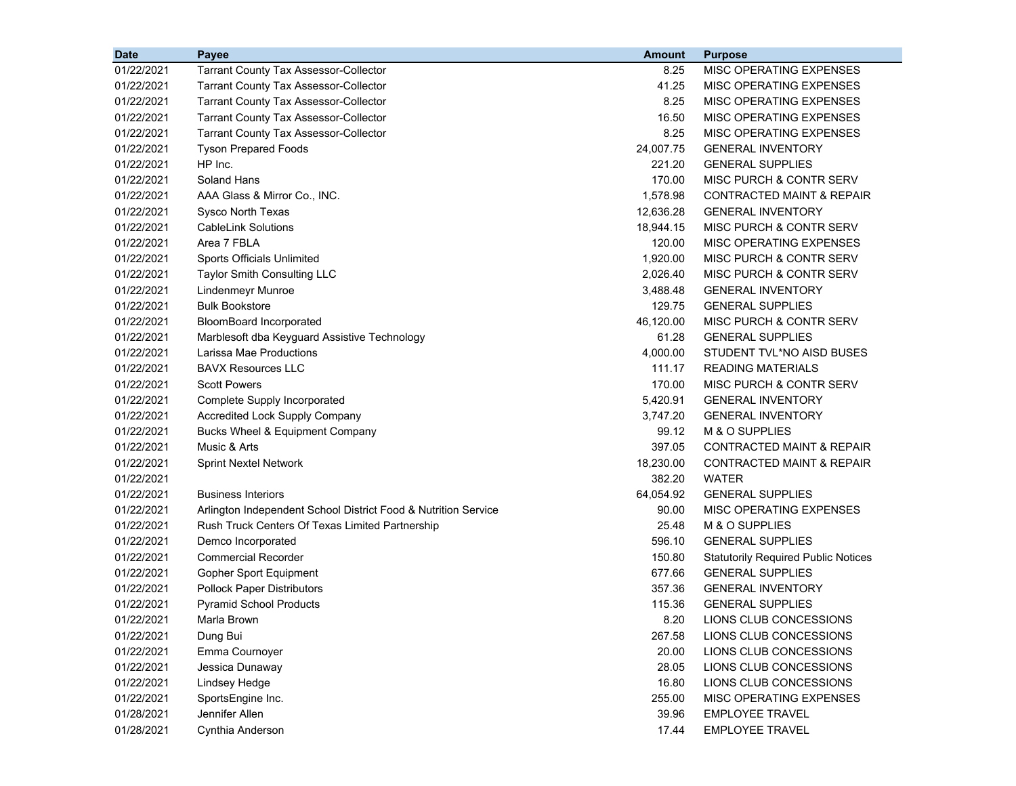| <b>Date</b> | Payee                                                          | <b>Amount</b> | <b>Purpose</b>                             |
|-------------|----------------------------------------------------------------|---------------|--------------------------------------------|
| 01/22/2021  | <b>Tarrant County Tax Assessor-Collector</b>                   | 8.25          | MISC OPERATING EXPENSES                    |
| 01/22/2021  | <b>Tarrant County Tax Assessor-Collector</b>                   | 41.25         | MISC OPERATING EXPENSES                    |
| 01/22/2021  | <b>Tarrant County Tax Assessor-Collector</b>                   | 8.25          | MISC OPERATING EXPENSES                    |
| 01/22/2021  | <b>Tarrant County Tax Assessor-Collector</b>                   | 16.50         | MISC OPERATING EXPENSES                    |
| 01/22/2021  | <b>Tarrant County Tax Assessor-Collector</b>                   | 8.25          | MISC OPERATING EXPENSES                    |
| 01/22/2021  | <b>Tyson Prepared Foods</b>                                    | 24,007.75     | <b>GENERAL INVENTORY</b>                   |
| 01/22/2021  | HP Inc.                                                        | 221.20        | <b>GENERAL SUPPLIES</b>                    |
| 01/22/2021  | Soland Hans                                                    | 170.00        | <b>MISC PURCH &amp; CONTR SERV</b>         |
| 01/22/2021  | AAA Glass & Mirror Co., INC.                                   | 1,578.98      | CONTRACTED MAINT & REPAIR                  |
| 01/22/2021  | Sysco North Texas                                              | 12,636.28     | <b>GENERAL INVENTORY</b>                   |
| 01/22/2021  | <b>CableLink Solutions</b>                                     | 18,944.15     | MISC PURCH & CONTR SERV                    |
| 01/22/2021  | Area 7 FBLA                                                    | 120.00        | MISC OPERATING EXPENSES                    |
| 01/22/2021  | Sports Officials Unlimited                                     | 1,920.00      | <b>MISC PURCH &amp; CONTR SERV</b>         |
| 01/22/2021  | Taylor Smith Consulting LLC                                    | 2,026.40      | <b>MISC PURCH &amp; CONTR SERV</b>         |
| 01/22/2021  | Lindenmeyr Munroe                                              | 3,488.48      | <b>GENERAL INVENTORY</b>                   |
| 01/22/2021  | <b>Bulk Bookstore</b>                                          | 129.75        | <b>GENERAL SUPPLIES</b>                    |
| 01/22/2021  | <b>BloomBoard Incorporated</b>                                 | 46,120.00     | MISC PURCH & CONTR SERV                    |
| 01/22/2021  | Marblesoft dba Keyguard Assistive Technology                   | 61.28         | <b>GENERAL SUPPLIES</b>                    |
| 01/22/2021  | Larissa Mae Productions                                        | 4,000.00      | STUDENT TVL*NO AISD BUSES                  |
| 01/22/2021  | <b>BAVX Resources LLC</b>                                      | 111.17        | <b>READING MATERIALS</b>                   |
| 01/22/2021  | <b>Scott Powers</b>                                            | 170.00        | <b>MISC PURCH &amp; CONTR SERV</b>         |
| 01/22/2021  | Complete Supply Incorporated                                   | 5,420.91      | <b>GENERAL INVENTORY</b>                   |
| 01/22/2021  | <b>Accredited Lock Supply Company</b>                          | 3,747.20      | <b>GENERAL INVENTORY</b>                   |
| 01/22/2021  | Bucks Wheel & Equipment Company                                | 99.12         | M & O SUPPLIES                             |
| 01/22/2021  | Music & Arts                                                   | 397.05        | <b>CONTRACTED MAINT &amp; REPAIR</b>       |
| 01/22/2021  | <b>Sprint Nextel Network</b>                                   | 18,230.00     | <b>CONTRACTED MAINT &amp; REPAIR</b>       |
| 01/22/2021  |                                                                | 382.20        | WATER                                      |
| 01/22/2021  | <b>Business Interiors</b>                                      | 64,054.92     | <b>GENERAL SUPPLIES</b>                    |
| 01/22/2021  | Arlington Independent School District Food & Nutrition Service | 90.00         | MISC OPERATING EXPENSES                    |
| 01/22/2021  | Rush Truck Centers Of Texas Limited Partnership                | 25.48         | M & O SUPPLIES                             |
| 01/22/2021  | Demco Incorporated                                             | 596.10        | <b>GENERAL SUPPLIES</b>                    |
| 01/22/2021  | <b>Commercial Recorder</b>                                     | 150.80        | <b>Statutorily Required Public Notices</b> |
| 01/22/2021  | Gopher Sport Equipment                                         | 677.66        | <b>GENERAL SUPPLIES</b>                    |
| 01/22/2021  | <b>Pollock Paper Distributors</b>                              | 357.36        | <b>GENERAL INVENTORY</b>                   |
| 01/22/2021  | <b>Pyramid School Products</b>                                 | 115.36        | <b>GENERAL SUPPLIES</b>                    |
| 01/22/2021  | Marla Brown                                                    | 8.20          | LIONS CLUB CONCESSIONS                     |
| 01/22/2021  | Dung Bui                                                       | 267.58        | LIONS CLUB CONCESSIONS                     |
| 01/22/2021  | Emma Cournoyer                                                 | 20.00         | LIONS CLUB CONCESSIONS                     |
| 01/22/2021  | Jessica Dunaway                                                | 28.05         | LIONS CLUB CONCESSIONS                     |
| 01/22/2021  | Lindsey Hedge                                                  | 16.80         | LIONS CLUB CONCESSIONS                     |
| 01/22/2021  | SportsEngine Inc.                                              | 255.00        | <b>MISC OPERATING EXPENSES</b>             |
| 01/28/2021  | Jennifer Allen                                                 | 39.96         | <b>EMPLOYEE TRAVEL</b>                     |
| 01/28/2021  | Cynthia Anderson                                               | 17.44         | <b>EMPLOYEE TRAVEL</b>                     |
|             |                                                                |               |                                            |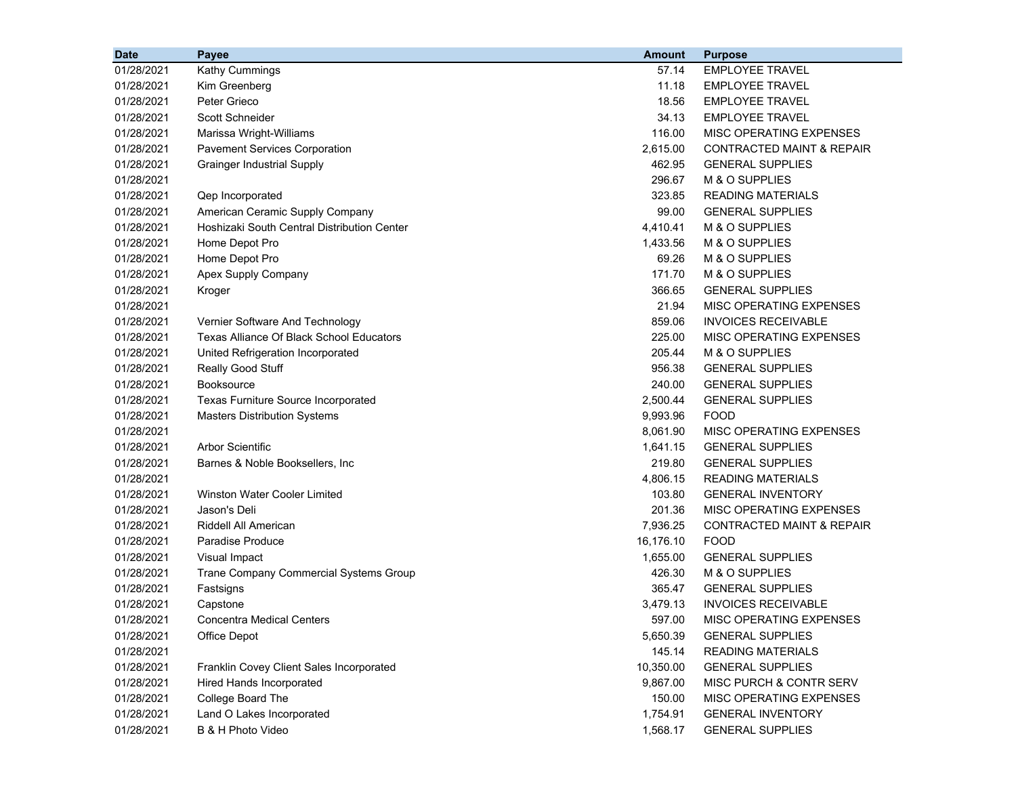| <b>Date</b> | Payee                                       | Amount    | <b>Purpose</b>                       |
|-------------|---------------------------------------------|-----------|--------------------------------------|
| 01/28/2021  | Kathy Cummings                              | 57.14     | <b>EMPLOYEE TRAVEL</b>               |
| 01/28/2021  | Kim Greenberg                               | 11.18     | <b>EMPLOYEE TRAVEL</b>               |
| 01/28/2021  | Peter Grieco                                | 18.56     | <b>EMPLOYEE TRAVEL</b>               |
| 01/28/2021  | Scott Schneider                             | 34.13     | <b>EMPLOYEE TRAVEL</b>               |
| 01/28/2021  | Marissa Wright-Williams                     | 116.00    | MISC OPERATING EXPENSES              |
| 01/28/2021  | <b>Pavement Services Corporation</b>        | 2,615.00  | <b>CONTRACTED MAINT &amp; REPAIR</b> |
| 01/28/2021  | <b>Grainger Industrial Supply</b>           | 462.95    | <b>GENERAL SUPPLIES</b>              |
| 01/28/2021  |                                             | 296.67    | M & O SUPPLIES                       |
| 01/28/2021  | Qep Incorporated                            | 323.85    | <b>READING MATERIALS</b>             |
| 01/28/2021  | American Ceramic Supply Company             | 99.00     | <b>GENERAL SUPPLIES</b>              |
| 01/28/2021  | Hoshizaki South Central Distribution Center | 4,410.41  | M & O SUPPLIES                       |
| 01/28/2021  | Home Depot Pro                              | 1,433.56  | M & O SUPPLIES                       |
| 01/28/2021  | Home Depot Pro                              | 69.26     | M & O SUPPLIES                       |
| 01/28/2021  | Apex Supply Company                         | 171.70    | M & O SUPPLIES                       |
| 01/28/2021  | Kroger                                      | 366.65    | <b>GENERAL SUPPLIES</b>              |
| 01/28/2021  |                                             | 21.94     | MISC OPERATING EXPENSES              |
| 01/28/2021  | Vernier Software And Technology             | 859.06    | <b>INVOICES RECEIVABLE</b>           |
| 01/28/2021  | Texas Alliance Of Black School Educators    | 225.00    | MISC OPERATING EXPENSES              |
| 01/28/2021  | United Refrigeration Incorporated           | 205.44    | M & O SUPPLIES                       |
| 01/28/2021  | Really Good Stuff                           | 956.38    | <b>GENERAL SUPPLIES</b>              |
| 01/28/2021  | <b>Booksource</b>                           | 240.00    | <b>GENERAL SUPPLIES</b>              |
| 01/28/2021  | Texas Furniture Source Incorporated         | 2,500.44  | <b>GENERAL SUPPLIES</b>              |
| 01/28/2021  | <b>Masters Distribution Systems</b>         | 9,993.96  | <b>FOOD</b>                          |
| 01/28/2021  |                                             | 8,061.90  | MISC OPERATING EXPENSES              |
| 01/28/2021  | <b>Arbor Scientific</b>                     | 1,641.15  | <b>GENERAL SUPPLIES</b>              |
| 01/28/2021  | Barnes & Noble Booksellers, Inc.            | 219.80    | <b>GENERAL SUPPLIES</b>              |
| 01/28/2021  |                                             | 4,806.15  | <b>READING MATERIALS</b>             |
| 01/28/2021  | Winston Water Cooler Limited                | 103.80    | <b>GENERAL INVENTORY</b>             |
| 01/28/2021  | Jason's Deli                                | 201.36    | MISC OPERATING EXPENSES              |
| 01/28/2021  | Riddell All American                        | 7,936.25  | <b>CONTRACTED MAINT &amp; REPAIR</b> |
| 01/28/2021  | Paradise Produce                            | 16,176.10 | <b>FOOD</b>                          |
| 01/28/2021  | Visual Impact                               | 1,655.00  | <b>GENERAL SUPPLIES</b>              |
| 01/28/2021  | Trane Company Commercial Systems Group      | 426.30    | M & O SUPPLIES                       |
| 01/28/2021  | Fastsigns                                   | 365.47    | <b>GENERAL SUPPLIES</b>              |
| 01/28/2021  | Capstone                                    | 3,479.13  | <b>INVOICES RECEIVABLE</b>           |
| 01/28/2021  | <b>Concentra Medical Centers</b>            | 597.00    | MISC OPERATING EXPENSES              |
| 01/28/2021  | Office Depot                                | 5,650.39  | <b>GENERAL SUPPLIES</b>              |
| 01/28/2021  |                                             | 145.14    | <b>READING MATERIALS</b>             |
| 01/28/2021  | Franklin Covey Client Sales Incorporated    | 10,350.00 | <b>GENERAL SUPPLIES</b>              |
| 01/28/2021  | <b>Hired Hands Incorporated</b>             | 9,867.00  | MISC PURCH & CONTR SERV              |
| 01/28/2021  | College Board The                           | 150.00    | MISC OPERATING EXPENSES              |
| 01/28/2021  | Land O Lakes Incorporated                   | 1,754.91  | <b>GENERAL INVENTORY</b>             |
| 01/28/2021  | B & H Photo Video                           | 1,568.17  | <b>GENERAL SUPPLIES</b>              |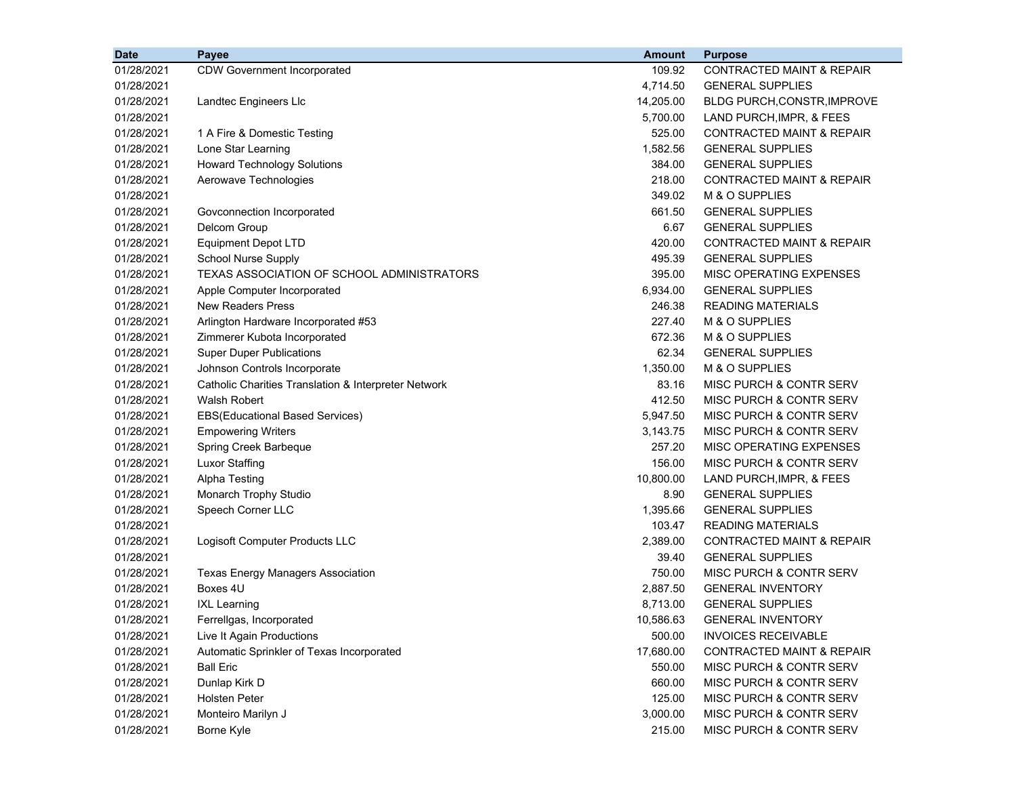| <b>Date</b> | <b>Payee</b>                                         | <b>Amount</b> | <b>Purpose</b>                       |
|-------------|------------------------------------------------------|---------------|--------------------------------------|
| 01/28/2021  | <b>CDW Government Incorporated</b>                   | 109.92        | <b>CONTRACTED MAINT &amp; REPAIR</b> |
| 01/28/2021  |                                                      | 4,714.50      | <b>GENERAL SUPPLIES</b>              |
| 01/28/2021  | Landtec Engineers Llc                                | 14,205.00     | <b>BLDG PURCH, CONSTR, IMPROVE</b>   |
| 01/28/2021  |                                                      | 5,700.00      | LAND PURCH, IMPR, & FEES             |
| 01/28/2021  | 1 A Fire & Domestic Testing                          | 525.00        | <b>CONTRACTED MAINT &amp; REPAIR</b> |
| 01/28/2021  | Lone Star Learning                                   | 1,582.56      | <b>GENERAL SUPPLIES</b>              |
| 01/28/2021  | <b>Howard Technology Solutions</b>                   | 384.00        | <b>GENERAL SUPPLIES</b>              |
| 01/28/2021  | Aerowave Technologies                                | 218.00        | <b>CONTRACTED MAINT &amp; REPAIR</b> |
| 01/28/2021  |                                                      | 349.02        | M & O SUPPLIES                       |
| 01/28/2021  | Govconnection Incorporated                           | 661.50        | <b>GENERAL SUPPLIES</b>              |
| 01/28/2021  | Delcom Group                                         | 6.67          | <b>GENERAL SUPPLIES</b>              |
| 01/28/2021  | <b>Equipment Depot LTD</b>                           | 420.00        | CONTRACTED MAINT & REPAIR            |
| 01/28/2021  | <b>School Nurse Supply</b>                           | 495.39        | <b>GENERAL SUPPLIES</b>              |
| 01/28/2021  | TEXAS ASSOCIATION OF SCHOOL ADMINISTRATORS           | 395.00        | MISC OPERATING EXPENSES              |
| 01/28/2021  | Apple Computer Incorporated                          | 6,934.00      | <b>GENERAL SUPPLIES</b>              |
| 01/28/2021  | <b>New Readers Press</b>                             | 246.38        | <b>READING MATERIALS</b>             |
| 01/28/2021  | Arlington Hardware Incorporated #53                  | 227.40        | M & O SUPPLIES                       |
| 01/28/2021  | Zimmerer Kubota Incorporated                         | 672.36        | M & O SUPPLIES                       |
| 01/28/2021  | <b>Super Duper Publications</b>                      | 62.34         | <b>GENERAL SUPPLIES</b>              |
| 01/28/2021  | Johnson Controls Incorporate                         | 1,350.00      | M & O SUPPLIES                       |
| 01/28/2021  | Catholic Charities Translation & Interpreter Network | 83.16         | MISC PURCH & CONTR SERV              |
| 01/28/2021  | Walsh Robert                                         | 412.50        | MISC PURCH & CONTR SERV              |
| 01/28/2021  | <b>EBS(Educational Based Services)</b>               | 5,947.50      | MISC PURCH & CONTR SERV              |
| 01/28/2021  | <b>Empowering Writers</b>                            | 3,143.75      | MISC PURCH & CONTR SERV              |
| 01/28/2021  | Spring Creek Barbeque                                | 257.20        | MISC OPERATING EXPENSES              |
| 01/28/2021  | <b>Luxor Staffing</b>                                | 156.00        | MISC PURCH & CONTR SERV              |
| 01/28/2021  | <b>Alpha Testing</b>                                 | 10,800.00     | LAND PURCH, IMPR, & FEES             |
| 01/28/2021  | Monarch Trophy Studio                                | 8.90          | <b>GENERAL SUPPLIES</b>              |
| 01/28/2021  | Speech Corner LLC                                    | 1,395.66      | <b>GENERAL SUPPLIES</b>              |
| 01/28/2021  |                                                      | 103.47        | <b>READING MATERIALS</b>             |
| 01/28/2021  | Logisoft Computer Products LLC                       | 2,389.00      | <b>CONTRACTED MAINT &amp; REPAIR</b> |
| 01/28/2021  |                                                      | 39.40         | <b>GENERAL SUPPLIES</b>              |
| 01/28/2021  | <b>Texas Energy Managers Association</b>             | 750.00        | MISC PURCH & CONTR SERV              |
| 01/28/2021  | Boxes 4U                                             | 2,887.50      | <b>GENERAL INVENTORY</b>             |
| 01/28/2021  | <b>IXL Learning</b>                                  | 8,713.00      | <b>GENERAL SUPPLIES</b>              |
| 01/28/2021  | Ferrellgas, Incorporated                             | 10,586.63     | <b>GENERAL INVENTORY</b>             |
| 01/28/2021  | Live It Again Productions                            | 500.00        | <b>INVOICES RECEIVABLE</b>           |
| 01/28/2021  | Automatic Sprinkler of Texas Incorporated            | 17,680.00     | CONTRACTED MAINT & REPAIR            |
| 01/28/2021  | <b>Ball Eric</b>                                     | 550.00        | MISC PURCH & CONTR SERV              |
| 01/28/2021  | Dunlap Kirk D                                        | 660.00        | MISC PURCH & CONTR SERV              |
| 01/28/2021  | <b>Holsten Peter</b>                                 | 125.00        | MISC PURCH & CONTR SERV              |
| 01/28/2021  | Monteiro Marilyn J                                   | 3,000.00      | MISC PURCH & CONTR SERV              |
| 01/28/2021  | Borne Kyle                                           | 215.00        | MISC PURCH & CONTR SERV              |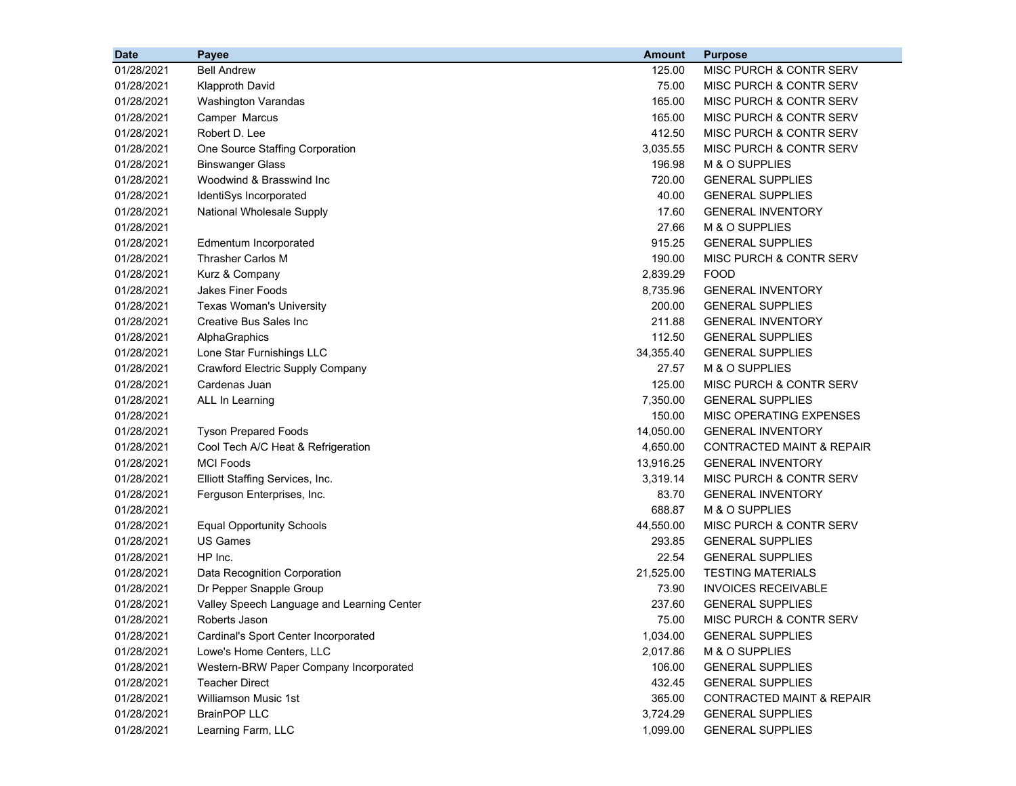| <b>Date</b> |            | Payee                                      | <b>Amount</b> | <b>Purpose</b>                       |
|-------------|------------|--------------------------------------------|---------------|--------------------------------------|
|             | 01/28/2021 | <b>Bell Andrew</b>                         | 125.00        | MISC PURCH & CONTR SERV              |
|             | 01/28/2021 | <b>Klapproth David</b>                     | 75.00         | MISC PURCH & CONTR SERV              |
|             | 01/28/2021 | <b>Washington Varandas</b>                 | 165.00        | MISC PURCH & CONTR SERV              |
|             | 01/28/2021 | Camper Marcus                              | 165.00        | MISC PURCH & CONTR SERV              |
|             | 01/28/2021 | Robert D. Lee                              | 412.50        | MISC PURCH & CONTR SERV              |
|             | 01/28/2021 | One Source Staffing Corporation            | 3,035.55      | MISC PURCH & CONTR SERV              |
|             | 01/28/2021 | <b>Binswanger Glass</b>                    | 196.98        | M & O SUPPLIES                       |
|             | 01/28/2021 | Woodwind & Brasswind Inc                   | 720.00        | <b>GENERAL SUPPLIES</b>              |
|             | 01/28/2021 | IdentiSys Incorporated                     | 40.00         | <b>GENERAL SUPPLIES</b>              |
|             | 01/28/2021 | National Wholesale Supply                  | 17.60         | <b>GENERAL INVENTORY</b>             |
|             | 01/28/2021 |                                            | 27.66         | M & O SUPPLIES                       |
|             | 01/28/2021 | Edmentum Incorporated                      | 915.25        | <b>GENERAL SUPPLIES</b>              |
|             | 01/28/2021 | Thrasher Carlos M                          | 190.00        | MISC PURCH & CONTR SERV              |
|             | 01/28/2021 | Kurz & Company                             | 2,839.29      | <b>FOOD</b>                          |
|             | 01/28/2021 | <b>Jakes Finer Foods</b>                   | 8,735.96      | <b>GENERAL INVENTORY</b>             |
|             | 01/28/2021 | <b>Texas Woman's University</b>            | 200.00        | <b>GENERAL SUPPLIES</b>              |
|             | 01/28/2021 | <b>Creative Bus Sales Inc</b>              | 211.88        | <b>GENERAL INVENTORY</b>             |
|             | 01/28/2021 | AlphaGraphics                              | 112.50        | <b>GENERAL SUPPLIES</b>              |
|             | 01/28/2021 | Lone Star Furnishings LLC                  | 34,355.40     | <b>GENERAL SUPPLIES</b>              |
|             | 01/28/2021 | Crawford Electric Supply Company           | 27.57         | M & O SUPPLIES                       |
|             | 01/28/2021 | Cardenas Juan                              | 125.00        | MISC PURCH & CONTR SERV              |
|             | 01/28/2021 | ALL In Learning                            | 7,350.00      | <b>GENERAL SUPPLIES</b>              |
|             | 01/28/2021 |                                            | 150.00        | MISC OPERATING EXPENSES              |
|             | 01/28/2021 | <b>Tyson Prepared Foods</b>                | 14,050.00     | <b>GENERAL INVENTORY</b>             |
|             | 01/28/2021 | Cool Tech A/C Heat & Refrigeration         | 4,650.00      | <b>CONTRACTED MAINT &amp; REPAIR</b> |
|             | 01/28/2021 | <b>MCI Foods</b>                           | 13,916.25     | <b>GENERAL INVENTORY</b>             |
|             | 01/28/2021 | Elliott Staffing Services, Inc.            | 3,319.14      | MISC PURCH & CONTR SERV              |
|             | 01/28/2021 | Ferguson Enterprises, Inc.                 | 83.70         | <b>GENERAL INVENTORY</b>             |
|             | 01/28/2021 |                                            | 688.87        | M & O SUPPLIES                       |
|             | 01/28/2021 | <b>Equal Opportunity Schools</b>           | 44,550.00     | MISC PURCH & CONTR SERV              |
|             | 01/28/2021 | <b>US Games</b>                            | 293.85        | <b>GENERAL SUPPLIES</b>              |
|             | 01/28/2021 | HP Inc.                                    | 22.54         | <b>GENERAL SUPPLIES</b>              |
|             | 01/28/2021 | Data Recognition Corporation               | 21,525.00     | <b>TESTING MATERIALS</b>             |
|             | 01/28/2021 | Dr Pepper Snapple Group                    | 73.90         | <b>INVOICES RECEIVABLE</b>           |
|             | 01/28/2021 | Valley Speech Language and Learning Center | 237.60        | <b>GENERAL SUPPLIES</b>              |
|             | 01/28/2021 | Roberts Jason                              | 75.00         | MISC PURCH & CONTR SERV              |
|             | 01/28/2021 | Cardinal's Sport Center Incorporated       | 1,034.00      | <b>GENERAL SUPPLIES</b>              |
|             | 01/28/2021 | Lowe's Home Centers, LLC                   | 2,017.86      | M & O SUPPLIES                       |
|             | 01/28/2021 | Western-BRW Paper Company Incorporated     | 106.00        | <b>GENERAL SUPPLIES</b>              |
|             | 01/28/2021 | <b>Teacher Direct</b>                      | 432.45        | <b>GENERAL SUPPLIES</b>              |
|             | 01/28/2021 | <b>Williamson Music 1st</b>                | 365.00        | <b>CONTRACTED MAINT &amp; REPAIR</b> |
|             | 01/28/2021 | <b>BrainPOP LLC</b>                        | 3,724.29      | <b>GENERAL SUPPLIES</b>              |
|             | 01/28/2021 | Learning Farm, LLC                         | 1,099.00      | <b>GENERAL SUPPLIES</b>              |
|             |            |                                            |               |                                      |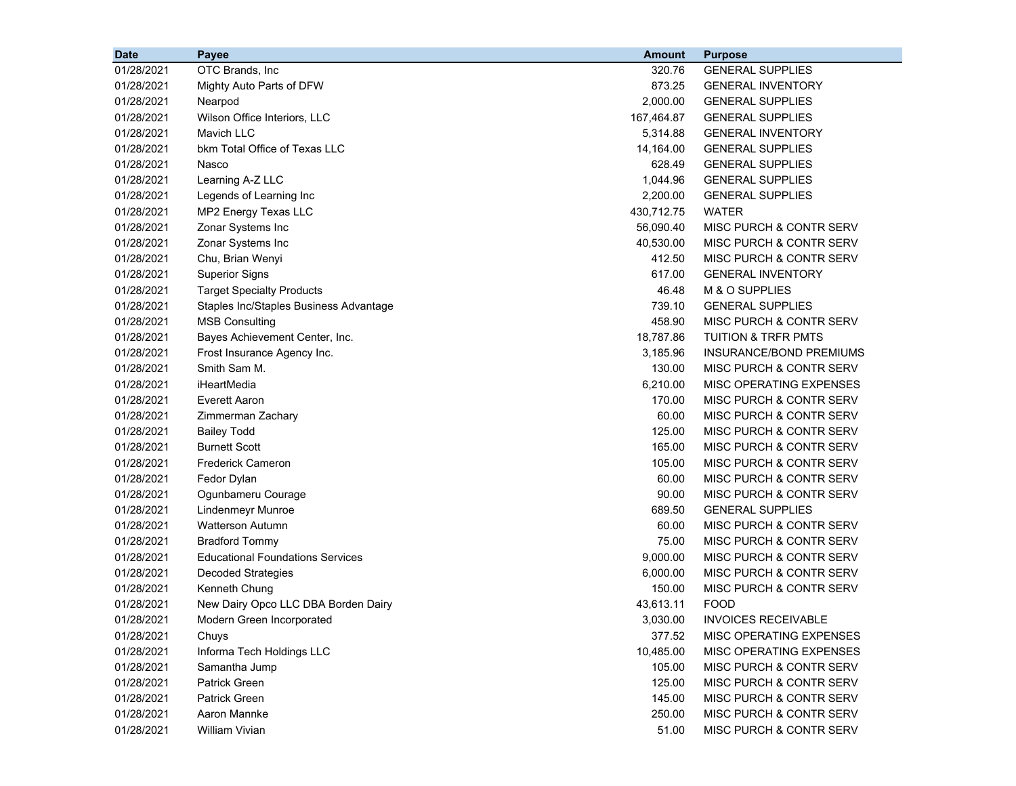| <b>Date</b> | Payee                                   | <b>Amount</b> | <b>Purpose</b>                     |
|-------------|-----------------------------------------|---------------|------------------------------------|
| 01/28/2021  | OTC Brands, Inc                         | 320.76        | <b>GENERAL SUPPLIES</b>            |
| 01/28/2021  | Mighty Auto Parts of DFW                | 873.25        | <b>GENERAL INVENTORY</b>           |
| 01/28/2021  | Nearpod                                 | 2,000.00      | <b>GENERAL SUPPLIES</b>            |
| 01/28/2021  | Wilson Office Interiors, LLC            | 167,464.87    | <b>GENERAL SUPPLIES</b>            |
| 01/28/2021  | <b>Mavich LLC</b>                       | 5,314.88      | <b>GENERAL INVENTORY</b>           |
| 01/28/2021  | bkm Total Office of Texas LLC           | 14,164.00     | <b>GENERAL SUPPLIES</b>            |
| 01/28/2021  | Nasco                                   | 628.49        | <b>GENERAL SUPPLIES</b>            |
| 01/28/2021  | Learning A-Z LLC                        | 1,044.96      | <b>GENERAL SUPPLIES</b>            |
| 01/28/2021  | Legends of Learning Inc                 | 2,200.00      | <b>GENERAL SUPPLIES</b>            |
| 01/28/2021  | MP2 Energy Texas LLC                    | 430,712.75    | <b>WATER</b>                       |
| 01/28/2021  | Zonar Systems Inc                       | 56,090.40     | MISC PURCH & CONTR SERV            |
| 01/28/2021  | Zonar Systems Inc                       | 40,530.00     | MISC PURCH & CONTR SERV            |
| 01/28/2021  | Chu, Brian Wenyi                        | 412.50        | MISC PURCH & CONTR SERV            |
| 01/28/2021  | <b>Superior Signs</b>                   | 617.00        | <b>GENERAL INVENTORY</b>           |
| 01/28/2021  | <b>Target Specialty Products</b>        | 46.48         | M & O SUPPLIES                     |
| 01/28/2021  | Staples Inc/Staples Business Advantage  | 739.10        | <b>GENERAL SUPPLIES</b>            |
| 01/28/2021  | <b>MSB Consulting</b>                   | 458.90        | MISC PURCH & CONTR SERV            |
| 01/28/2021  | Bayes Achievement Center, Inc.          | 18,787.86     | <b>TUITION &amp; TRFR PMTS</b>     |
| 01/28/2021  | Frost Insurance Agency Inc.             | 3,185.96      | <b>INSURANCE/BOND PREMIUMS</b>     |
| 01/28/2021  | Smith Sam M.                            | 130.00        | MISC PURCH & CONTR SERV            |
| 01/28/2021  | iHeartMedia                             | 6,210.00      | MISC OPERATING EXPENSES            |
| 01/28/2021  | <b>Everett Aaron</b>                    | 170.00        | MISC PURCH & CONTR SERV            |
| 01/28/2021  | Zimmerman Zachary                       | 60.00         | MISC PURCH & CONTR SERV            |
| 01/28/2021  | <b>Bailey Todd</b>                      | 125.00        | MISC PURCH & CONTR SERV            |
| 01/28/2021  | <b>Burnett Scott</b>                    | 165.00        | MISC PURCH & CONTR SERV            |
| 01/28/2021  | <b>Frederick Cameron</b>                | 105.00        | MISC PURCH & CONTR SERV            |
| 01/28/2021  | Fedor Dylan                             | 60.00         | MISC PURCH & CONTR SERV            |
| 01/28/2021  | Ogunbameru Courage                      | 90.00         | MISC PURCH & CONTR SERV            |
| 01/28/2021  | Lindenmeyr Munroe                       | 689.50        | <b>GENERAL SUPPLIES</b>            |
| 01/28/2021  | <b>Watterson Autumn</b>                 | 60.00         | MISC PURCH & CONTR SERV            |
| 01/28/2021  | <b>Bradford Tommy</b>                   | 75.00         | MISC PURCH & CONTR SERV            |
| 01/28/2021  | <b>Educational Foundations Services</b> | 9,000.00      | MISC PURCH & CONTR SERV            |
| 01/28/2021  | <b>Decoded Strategies</b>               | 6,000.00      | MISC PURCH & CONTR SERV            |
| 01/28/2021  | Kenneth Chung                           | 150.00        | MISC PURCH & CONTR SERV            |
| 01/28/2021  | New Dairy Opco LLC DBA Borden Dairy     | 43,613.11     | <b>FOOD</b>                        |
| 01/28/2021  | Modern Green Incorporated               | 3,030.00      | <b>INVOICES RECEIVABLE</b>         |
| 01/28/2021  | Chuys                                   | 377.52        | MISC OPERATING EXPENSES            |
| 01/28/2021  | Informa Tech Holdings LLC               | 10,485.00     | <b>MISC OPERATING EXPENSES</b>     |
| 01/28/2021  | Samantha Jump                           | 105.00        | <b>MISC PURCH &amp; CONTR SERV</b> |
| 01/28/2021  | <b>Patrick Green</b>                    | 125.00        | MISC PURCH & CONTR SERV            |
| 01/28/2021  | <b>Patrick Green</b>                    | 145.00        | MISC PURCH & CONTR SERV            |
| 01/28/2021  | Aaron Mannke                            | 250.00        | MISC PURCH & CONTR SERV            |
| 01/28/2021  | William Vivian                          | 51.00         | MISC PURCH & CONTR SERV            |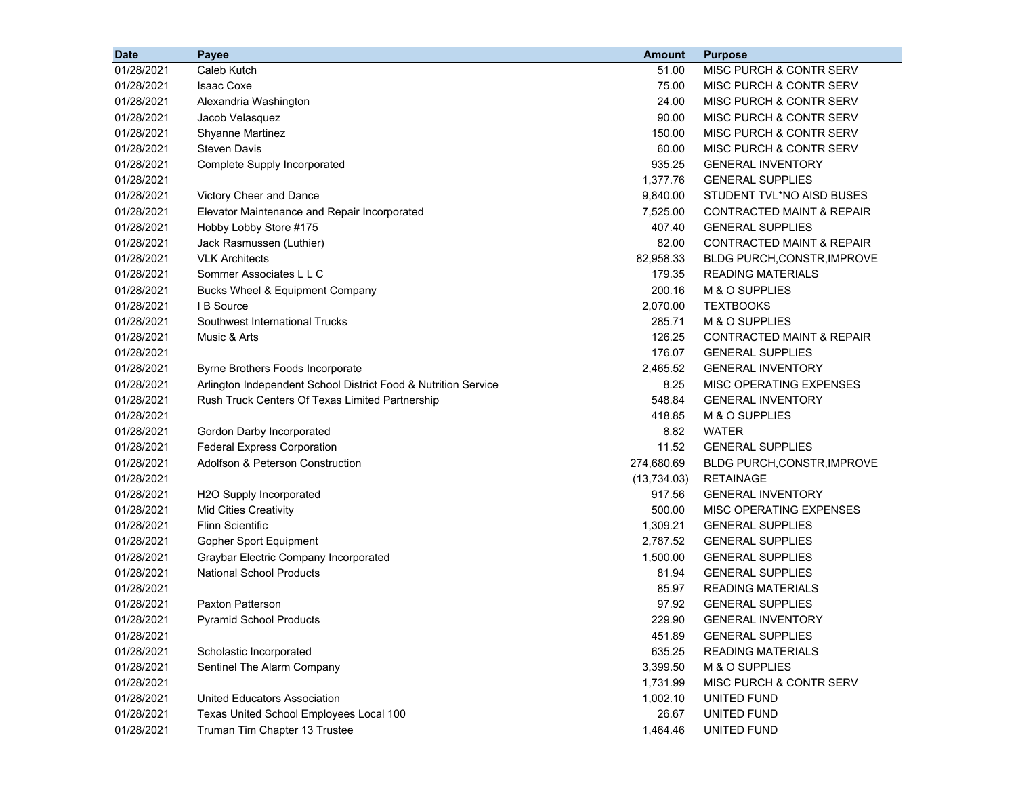| <b>Date</b> | Payee                                                          | <b>Amount</b> | <b>Purpose</b>                       |
|-------------|----------------------------------------------------------------|---------------|--------------------------------------|
| 01/28/2021  | Caleb Kutch                                                    | 51.00         | MISC PURCH & CONTR SERV              |
| 01/28/2021  | <b>Isaac Coxe</b>                                              | 75.00         | MISC PURCH & CONTR SERV              |
| 01/28/2021  | Alexandria Washington                                          | 24.00         | MISC PURCH & CONTR SERV              |
| 01/28/2021  | Jacob Velasquez                                                | 90.00         | MISC PURCH & CONTR SERV              |
| 01/28/2021  | <b>Shyanne Martinez</b>                                        | 150.00        | MISC PURCH & CONTR SERV              |
| 01/28/2021  | <b>Steven Davis</b>                                            | 60.00         | MISC PURCH & CONTR SERV              |
| 01/28/2021  | Complete Supply Incorporated                                   | 935.25        | <b>GENERAL INVENTORY</b>             |
| 01/28/2021  |                                                                | 1,377.76      | <b>GENERAL SUPPLIES</b>              |
| 01/28/2021  | Victory Cheer and Dance                                        | 9,840.00      | STUDENT TVL*NO AISD BUSES            |
| 01/28/2021  | Elevator Maintenance and Repair Incorporated                   | 7,525.00      | <b>CONTRACTED MAINT &amp; REPAIR</b> |
| 01/28/2021  | Hobby Lobby Store #175                                         | 407.40        | <b>GENERAL SUPPLIES</b>              |
| 01/28/2021  | Jack Rasmussen (Luthier)                                       | 82.00         | <b>CONTRACTED MAINT &amp; REPAIR</b> |
| 01/28/2021  | <b>VLK Architects</b>                                          | 82,958.33     | <b>BLDG PURCH, CONSTR, IMPROVE</b>   |
| 01/28/2021  | Sommer Associates L L C                                        | 179.35        | <b>READING MATERIALS</b>             |
| 01/28/2021  | Bucks Wheel & Equipment Company                                | 200.16        | M & O SUPPLIES                       |
| 01/28/2021  | I B Source                                                     | 2,070.00      | <b>TEXTBOOKS</b>                     |
| 01/28/2021  | Southwest International Trucks                                 | 285.71        | M & O SUPPLIES                       |
| 01/28/2021  | Music & Arts                                                   | 126.25        | <b>CONTRACTED MAINT &amp; REPAIR</b> |
| 01/28/2021  |                                                                | 176.07        | <b>GENERAL SUPPLIES</b>              |
| 01/28/2021  | Byrne Brothers Foods Incorporate                               | 2,465.52      | <b>GENERAL INVENTORY</b>             |
| 01/28/2021  | Arlington Independent School District Food & Nutrition Service | 8.25          | MISC OPERATING EXPENSES              |
| 01/28/2021  | Rush Truck Centers Of Texas Limited Partnership                | 548.84        | <b>GENERAL INVENTORY</b>             |
| 01/28/2021  |                                                                | 418.85        | M & O SUPPLIES                       |
| 01/28/2021  | Gordon Darby Incorporated                                      | 8.82          | <b>WATER</b>                         |
| 01/28/2021  | <b>Federal Express Corporation</b>                             | 11.52         | <b>GENERAL SUPPLIES</b>              |
| 01/28/2021  | Adolfson & Peterson Construction                               | 274,680.69    | BLDG PURCH, CONSTR, IMPROVE          |
| 01/28/2021  |                                                                | (13,734.03)   | <b>RETAINAGE</b>                     |
| 01/28/2021  | H2O Supply Incorporated                                        | 917.56        | <b>GENERAL INVENTORY</b>             |
| 01/28/2021  | <b>Mid Cities Creativity</b>                                   | 500.00        | MISC OPERATING EXPENSES              |
| 01/28/2021  | <b>Flinn Scientific</b>                                        | 1,309.21      | <b>GENERAL SUPPLIES</b>              |
| 01/28/2021  | Gopher Sport Equipment                                         | 2,787.52      | <b>GENERAL SUPPLIES</b>              |
| 01/28/2021  | Graybar Electric Company Incorporated                          | 1,500.00      | <b>GENERAL SUPPLIES</b>              |
| 01/28/2021  | <b>National School Products</b>                                | 81.94         | <b>GENERAL SUPPLIES</b>              |
| 01/28/2021  |                                                                | 85.97         | <b>READING MATERIALS</b>             |
| 01/28/2021  | <b>Paxton Patterson</b>                                        | 97.92         | <b>GENERAL SUPPLIES</b>              |
| 01/28/2021  | <b>Pyramid School Products</b>                                 | 229.90        | <b>GENERAL INVENTORY</b>             |
| 01/28/2021  |                                                                | 451.89        | <b>GENERAL SUPPLIES</b>              |
| 01/28/2021  | Scholastic Incorporated                                        | 635.25        | <b>READING MATERIALS</b>             |
| 01/28/2021  | Sentinel The Alarm Company                                     | 3,399.50      | M & O SUPPLIES                       |
| 01/28/2021  |                                                                | 1,731.99      | MISC PURCH & CONTR SERV              |
| 01/28/2021  | United Educators Association                                   | 1,002.10      | UNITED FUND                          |
| 01/28/2021  | Texas United School Employees Local 100                        | 26.67         | UNITED FUND                          |
| 01/28/2021  | Truman Tim Chapter 13 Trustee                                  | 1,464.46      | UNITED FUND                          |
|             |                                                                |               |                                      |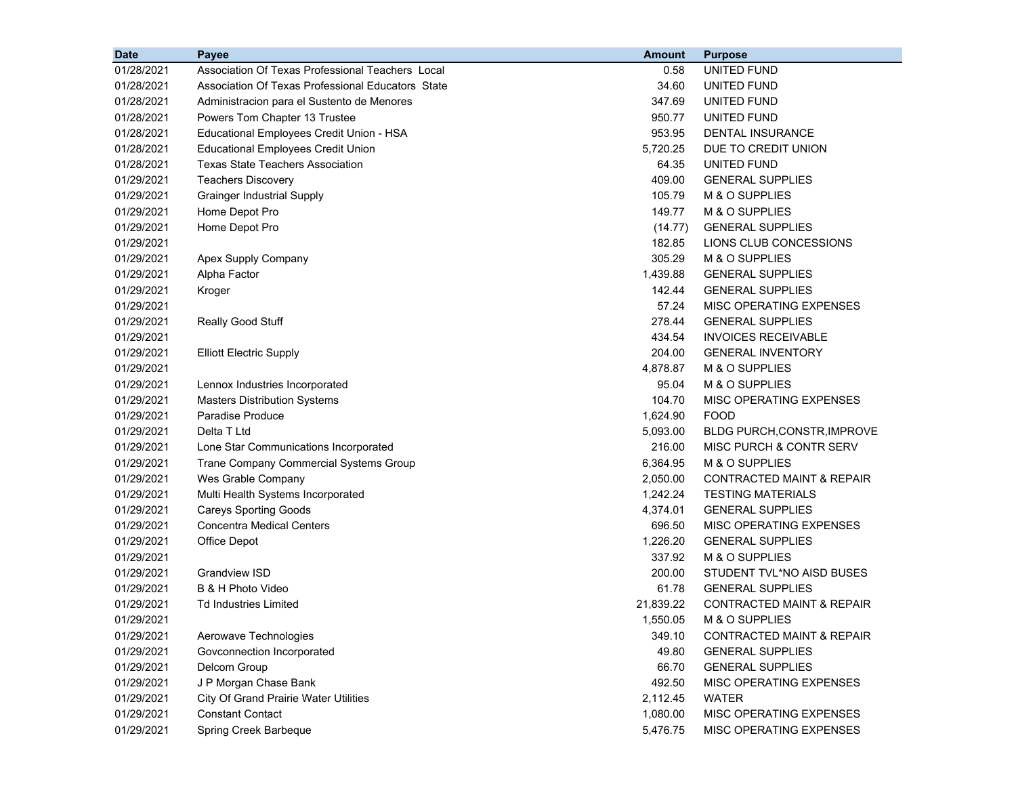| <b>Date</b> | Payee                                             | <b>Amount</b> | <b>Purpose</b>                       |
|-------------|---------------------------------------------------|---------------|--------------------------------------|
| 01/28/2021  | Association Of Texas Professional Teachers Local  | 0.58          | UNITED FUND                          |
| 01/28/2021  | Association Of Texas Professional Educators State | 34.60         | UNITED FUND                          |
| 01/28/2021  | Administracion para el Sustento de Menores        | 347.69        | UNITED FUND                          |
| 01/28/2021  | Powers Tom Chapter 13 Trustee                     | 950.77        | UNITED FUND                          |
| 01/28/2021  | Educational Employees Credit Union - HSA          | 953.95        | <b>DENTAL INSURANCE</b>              |
| 01/28/2021  | <b>Educational Employees Credit Union</b>         | 5,720.25      | DUE TO CREDIT UNION                  |
| 01/28/2021  | <b>Texas State Teachers Association</b>           | 64.35         | UNITED FUND                          |
| 01/29/2021  | <b>Teachers Discovery</b>                         | 409.00        | <b>GENERAL SUPPLIES</b>              |
| 01/29/2021  | <b>Grainger Industrial Supply</b>                 | 105.79        | M & O SUPPLIES                       |
| 01/29/2021  | Home Depot Pro                                    | 149.77        | M & O SUPPLIES                       |
| 01/29/2021  | Home Depot Pro                                    | (14.77)       | <b>GENERAL SUPPLIES</b>              |
| 01/29/2021  |                                                   | 182.85        | LIONS CLUB CONCESSIONS               |
| 01/29/2021  | Apex Supply Company                               | 305.29        | M & O SUPPLIES                       |
| 01/29/2021  | Alpha Factor                                      | 1,439.88      | <b>GENERAL SUPPLIES</b>              |
| 01/29/2021  | Kroger                                            | 142.44        | <b>GENERAL SUPPLIES</b>              |
| 01/29/2021  |                                                   | 57.24         | MISC OPERATING EXPENSES              |
| 01/29/2021  | Really Good Stuff                                 | 278.44        | <b>GENERAL SUPPLIES</b>              |
| 01/29/2021  |                                                   | 434.54        | <b>INVOICES RECEIVABLE</b>           |
| 01/29/2021  | <b>Elliott Electric Supply</b>                    | 204.00        | <b>GENERAL INVENTORY</b>             |
| 01/29/2021  |                                                   | 4,878.87      | M & O SUPPLIES                       |
| 01/29/2021  | Lennox Industries Incorporated                    | 95.04         | M & O SUPPLIES                       |
| 01/29/2021  | <b>Masters Distribution Systems</b>               | 104.70        | MISC OPERATING EXPENSES              |
| 01/29/2021  | Paradise Produce                                  | 1,624.90      | <b>FOOD</b>                          |
| 01/29/2021  | Delta T Ltd                                       | 5,093.00      | <b>BLDG PURCH, CONSTR, IMPROVE</b>   |
| 01/29/2021  | Lone Star Communications Incorporated             | 216.00        | MISC PURCH & CONTR SERV              |
| 01/29/2021  | Trane Company Commercial Systems Group            | 6,364.95      | M & O SUPPLIES                       |
| 01/29/2021  | Wes Grable Company                                | 2,050.00      | CONTRACTED MAINT & REPAIR            |
| 01/29/2021  | Multi Health Systems Incorporated                 | 1,242.24      | <b>TESTING MATERIALS</b>             |
| 01/29/2021  | <b>Careys Sporting Goods</b>                      | 4,374.01      | <b>GENERAL SUPPLIES</b>              |
| 01/29/2021  | <b>Concentra Medical Centers</b>                  | 696.50        | MISC OPERATING EXPENSES              |
| 01/29/2021  | Office Depot                                      | 1,226.20      | <b>GENERAL SUPPLIES</b>              |
| 01/29/2021  |                                                   | 337.92        | M & O SUPPLIES                       |
| 01/29/2021  | <b>Grandview ISD</b>                              | 200.00        | STUDENT TVL*NO AISD BUSES            |
| 01/29/2021  | B & H Photo Video                                 | 61.78         | <b>GENERAL SUPPLIES</b>              |
| 01/29/2021  | <b>Td Industries Limited</b>                      | 21,839.22     | <b>CONTRACTED MAINT &amp; REPAIR</b> |
| 01/29/2021  |                                                   | 1,550.05      | M & O SUPPLIES                       |
| 01/29/2021  | Aerowave Technologies                             | 349.10        | <b>CONTRACTED MAINT &amp; REPAIR</b> |
| 01/29/2021  | Govconnection Incorporated                        | 49.80         | <b>GENERAL SUPPLIES</b>              |
| 01/29/2021  | Delcom Group                                      | 66.70         | <b>GENERAL SUPPLIES</b>              |
| 01/29/2021  | J P Morgan Chase Bank                             | 492.50        | MISC OPERATING EXPENSES              |
| 01/29/2021  | City Of Grand Prairie Water Utilities             | 2,112.45      | WATER                                |
| 01/29/2021  | <b>Constant Contact</b>                           | 1,080.00      | MISC OPERATING EXPENSES              |
| 01/29/2021  | Spring Creek Barbeque                             | 5,476.75      | MISC OPERATING EXPENSES              |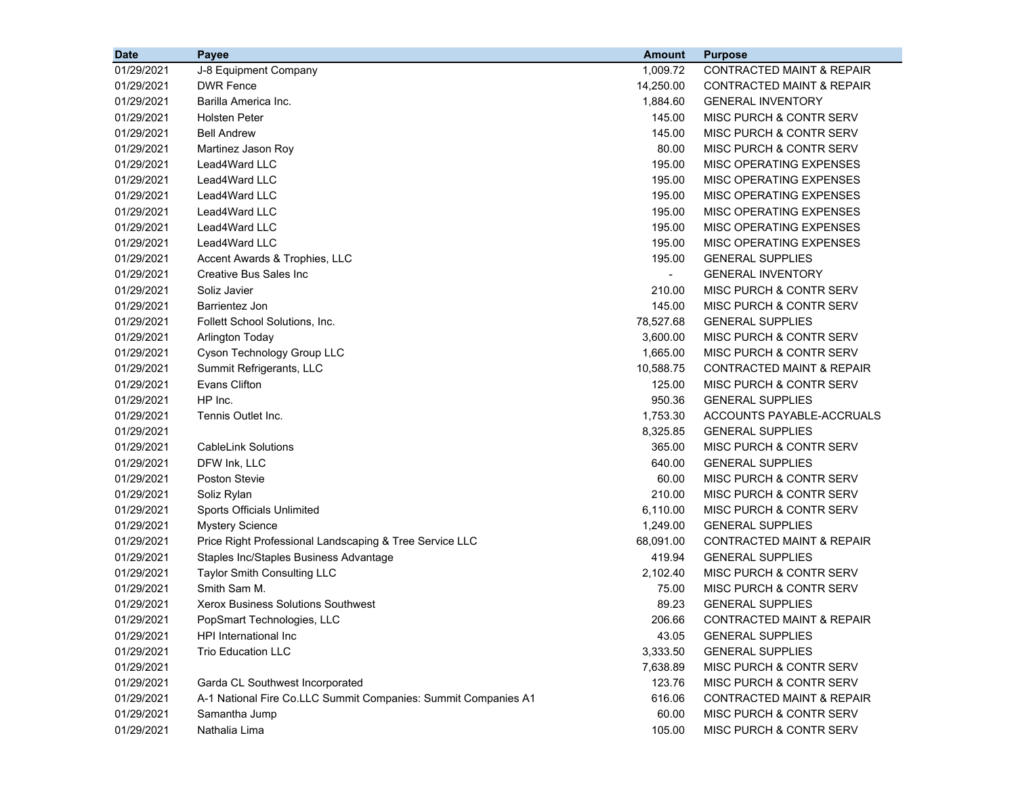| <b>Date</b> | Payee                                                          | <b>Amount</b>            | <b>Purpose</b>                       |
|-------------|----------------------------------------------------------------|--------------------------|--------------------------------------|
| 01/29/2021  | J-8 Equipment Company                                          | 1,009.72                 | <b>CONTRACTED MAINT &amp; REPAIR</b> |
| 01/29/2021  | <b>DWR Fence</b>                                               | 14,250.00                | <b>CONTRACTED MAINT &amp; REPAIR</b> |
| 01/29/2021  | Barilla America Inc.                                           | 1,884.60                 | <b>GENERAL INVENTORY</b>             |
| 01/29/2021  | <b>Holsten Peter</b>                                           | 145.00                   | MISC PURCH & CONTR SERV              |
| 01/29/2021  | <b>Bell Andrew</b>                                             | 145.00                   | MISC PURCH & CONTR SERV              |
| 01/29/2021  | Martinez Jason Roy                                             | 80.00                    | MISC PURCH & CONTR SERV              |
| 01/29/2021  | Lead4Ward LLC                                                  | 195.00                   | MISC OPERATING EXPENSES              |
| 01/29/2021  | Lead4Ward LLC                                                  | 195.00                   | MISC OPERATING EXPENSES              |
| 01/29/2021  | Lead4Ward LLC                                                  | 195.00                   | MISC OPERATING EXPENSES              |
| 01/29/2021  | Lead4Ward LLC                                                  | 195.00                   | MISC OPERATING EXPENSES              |
| 01/29/2021  | Lead4Ward LLC                                                  | 195.00                   | MISC OPERATING EXPENSES              |
| 01/29/2021  | Lead4Ward LLC                                                  | 195.00                   | MISC OPERATING EXPENSES              |
| 01/29/2021  | Accent Awards & Trophies, LLC                                  | 195.00                   | <b>GENERAL SUPPLIES</b>              |
| 01/29/2021  | Creative Bus Sales Inc                                         | $\overline{\phantom{a}}$ | <b>GENERAL INVENTORY</b>             |
| 01/29/2021  | Soliz Javier                                                   | 210.00                   | MISC PURCH & CONTR SERV              |
| 01/29/2021  | Barrientez Jon                                                 | 145.00                   | MISC PURCH & CONTR SERV              |
| 01/29/2021  | Follett School Solutions, Inc.                                 | 78,527.68                | <b>GENERAL SUPPLIES</b>              |
| 01/29/2021  | <b>Arlington Today</b>                                         | 3,600.00                 | MISC PURCH & CONTR SERV              |
| 01/29/2021  | Cyson Technology Group LLC                                     | 1,665.00                 | <b>MISC PURCH &amp; CONTR SERV</b>   |
| 01/29/2021  | Summit Refrigerants, LLC                                       | 10,588.75                | <b>CONTRACTED MAINT &amp; REPAIR</b> |
| 01/29/2021  | Evans Clifton                                                  | 125.00                   | MISC PURCH & CONTR SERV              |
| 01/29/2021  | HP Inc.                                                        | 950.36                   | <b>GENERAL SUPPLIES</b>              |
| 01/29/2021  | Tennis Outlet Inc.                                             | 1,753.30                 | ACCOUNTS PAYABLE-ACCRUALS            |
| 01/29/2021  |                                                                | 8,325.85                 | <b>GENERAL SUPPLIES</b>              |
| 01/29/2021  | <b>CableLink Solutions</b>                                     | 365.00                   | MISC PURCH & CONTR SERV              |
| 01/29/2021  | DFW Ink, LLC                                                   | 640.00                   | <b>GENERAL SUPPLIES</b>              |
| 01/29/2021  | Poston Stevie                                                  | 60.00                    | MISC PURCH & CONTR SERV              |
| 01/29/2021  | Soliz Rylan                                                    | 210.00                   | MISC PURCH & CONTR SERV              |
| 01/29/2021  | Sports Officials Unlimited                                     | 6,110.00                 | MISC PURCH & CONTR SERV              |
| 01/29/2021  | <b>Mystery Science</b>                                         | 1,249.00                 | <b>GENERAL SUPPLIES</b>              |
| 01/29/2021  | Price Right Professional Landscaping & Tree Service LLC        | 68,091.00                | <b>CONTRACTED MAINT &amp; REPAIR</b> |
| 01/29/2021  | Staples Inc/Staples Business Advantage                         | 419.94                   | <b>GENERAL SUPPLIES</b>              |
| 01/29/2021  | <b>Taylor Smith Consulting LLC</b>                             | 2,102.40                 | MISC PURCH & CONTR SERV              |
| 01/29/2021  | Smith Sam M.                                                   | 75.00                    | MISC PURCH & CONTR SERV              |
| 01/29/2021  | Xerox Business Solutions Southwest                             | 89.23                    | <b>GENERAL SUPPLIES</b>              |
| 01/29/2021  | PopSmart Technologies, LLC                                     | 206.66                   | CONTRACTED MAINT & REPAIR            |
| 01/29/2021  | HPI International Inc                                          | 43.05                    | <b>GENERAL SUPPLIES</b>              |
| 01/29/2021  | <b>Trio Education LLC</b>                                      | 3,333.50                 | <b>GENERAL SUPPLIES</b>              |
| 01/29/2021  |                                                                | 7,638.89                 | MISC PURCH & CONTR SERV              |
| 01/29/2021  | Garda CL Southwest Incorporated                                | 123.76                   | MISC PURCH & CONTR SERV              |
| 01/29/2021  | A-1 National Fire Co.LLC Summit Companies: Summit Companies A1 | 616.06                   | <b>CONTRACTED MAINT &amp; REPAIR</b> |
| 01/29/2021  | Samantha Jump                                                  | 60.00                    | MISC PURCH & CONTR SERV              |
| 01/29/2021  | Nathalia Lima                                                  | 105.00                   | MISC PURCH & CONTR SERV              |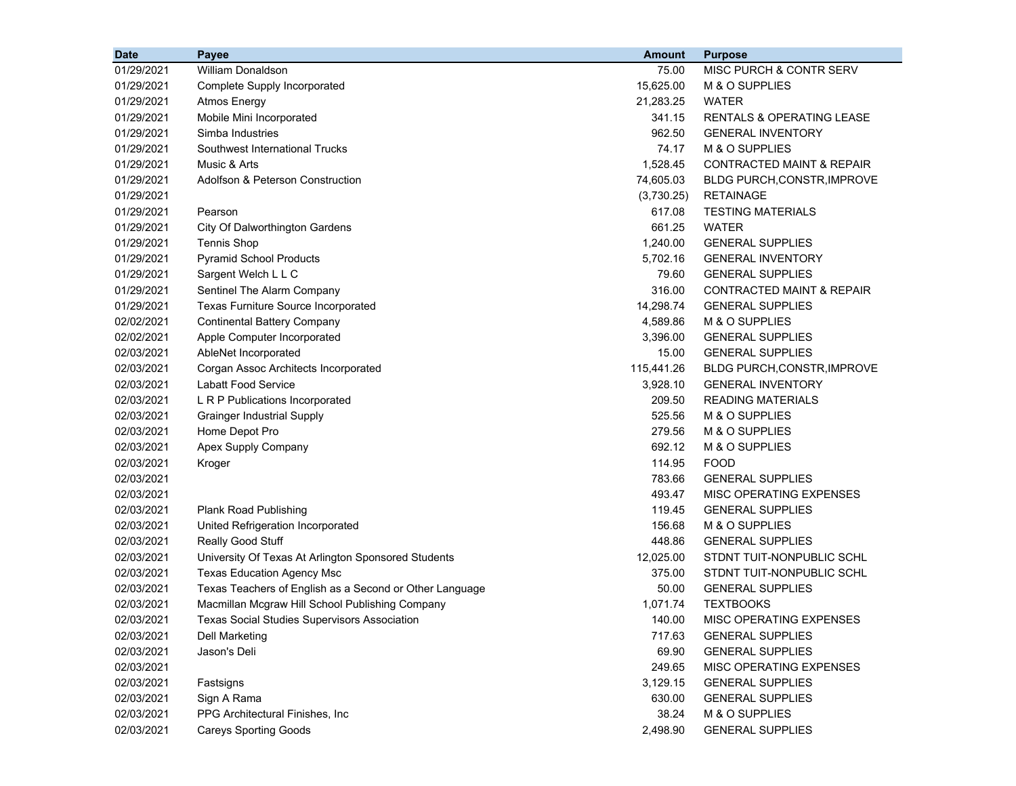| <b>Date</b> | Payee                                                   | <b>Amount</b> | <b>Purpose</b>                       |
|-------------|---------------------------------------------------------|---------------|--------------------------------------|
| 01/29/2021  | <b>William Donaldson</b>                                | 75.00         | MISC PURCH & CONTR SERV              |
| 01/29/2021  | Complete Supply Incorporated                            | 15,625.00     | M & O SUPPLIES                       |
| 01/29/2021  | <b>Atmos Energy</b>                                     | 21,283.25     | WATER                                |
| 01/29/2021  | Mobile Mini Incorporated                                | 341.15        | <b>RENTALS &amp; OPERATING LEASE</b> |
| 01/29/2021  | Simba Industries                                        | 962.50        | <b>GENERAL INVENTORY</b>             |
| 01/29/2021  | Southwest International Trucks                          | 74.17         | M & O SUPPLIES                       |
| 01/29/2021  | Music & Arts                                            | 1,528.45      | CONTRACTED MAINT & REPAIR            |
| 01/29/2021  | Adolfson & Peterson Construction                        | 74,605.03     | BLDG PURCH, CONSTR, IMPROVE          |
| 01/29/2021  |                                                         | (3,730.25)    | <b>RETAINAGE</b>                     |
| 01/29/2021  | Pearson                                                 | 617.08        | <b>TESTING MATERIALS</b>             |
| 01/29/2021  | City Of Dalworthington Gardens                          | 661.25        | WATER                                |
| 01/29/2021  | <b>Tennis Shop</b>                                      | 1,240.00      | <b>GENERAL SUPPLIES</b>              |
| 01/29/2021  | <b>Pyramid School Products</b>                          | 5,702.16      | <b>GENERAL INVENTORY</b>             |
| 01/29/2021  | Sargent Welch L L C                                     | 79.60         | <b>GENERAL SUPPLIES</b>              |
| 01/29/2021  | Sentinel The Alarm Company                              | 316.00        | <b>CONTRACTED MAINT &amp; REPAIR</b> |
| 01/29/2021  | Texas Furniture Source Incorporated                     | 14,298.74     | <b>GENERAL SUPPLIES</b>              |
| 02/02/2021  | <b>Continental Battery Company</b>                      | 4,589.86      | M & O SUPPLIES                       |
| 02/02/2021  | Apple Computer Incorporated                             | 3,396.00      | <b>GENERAL SUPPLIES</b>              |
| 02/03/2021  | AbleNet Incorporated                                    | 15.00         | <b>GENERAL SUPPLIES</b>              |
| 02/03/2021  | Corgan Assoc Architects Incorporated                    | 115,441.26    | BLDG PURCH, CONSTR, IMPROVE          |
| 02/03/2021  | <b>Labatt Food Service</b>                              | 3,928.10      | <b>GENERAL INVENTORY</b>             |
| 02/03/2021  | L R P Publications Incorporated                         | 209.50        | <b>READING MATERIALS</b>             |
| 02/03/2021  | <b>Grainger Industrial Supply</b>                       | 525.56        | M & O SUPPLIES                       |
| 02/03/2021  | Home Depot Pro                                          | 279.56        | M & O SUPPLIES                       |
| 02/03/2021  | Apex Supply Company                                     | 692.12        | M & O SUPPLIES                       |
| 02/03/2021  | Kroger                                                  | 114.95        | <b>FOOD</b>                          |
| 02/03/2021  |                                                         | 783.66        | <b>GENERAL SUPPLIES</b>              |
| 02/03/2021  |                                                         | 493.47        | MISC OPERATING EXPENSES              |
| 02/03/2021  | Plank Road Publishing                                   | 119.45        | <b>GENERAL SUPPLIES</b>              |
| 02/03/2021  | United Refrigeration Incorporated                       | 156.68        | M & O SUPPLIES                       |
| 02/03/2021  | Really Good Stuff                                       | 448.86        | <b>GENERAL SUPPLIES</b>              |
| 02/03/2021  | University Of Texas At Arlington Sponsored Students     | 12,025.00     | STDNT TUIT-NONPUBLIC SCHL            |
| 02/03/2021  | <b>Texas Education Agency Msc</b>                       | 375.00        | STDNT TUIT-NONPUBLIC SCHL            |
| 02/03/2021  | Texas Teachers of English as a Second or Other Language | 50.00         | <b>GENERAL SUPPLIES</b>              |
| 02/03/2021  | Macmillan Mcgraw Hill School Publishing Company         | 1,071.74      | <b>TEXTBOOKS</b>                     |
| 02/03/2021  | <b>Texas Social Studies Supervisors Association</b>     | 140.00        | MISC OPERATING EXPENSES              |
| 02/03/2021  | <b>Dell Marketing</b>                                   | 717.63        | <b>GENERAL SUPPLIES</b>              |
| 02/03/2021  | Jason's Deli                                            | 69.90         | <b>GENERAL SUPPLIES</b>              |
| 02/03/2021  |                                                         | 249.65        | MISC OPERATING EXPENSES              |
| 02/03/2021  | Fastsigns                                               | 3,129.15      | <b>GENERAL SUPPLIES</b>              |
| 02/03/2021  | Sign A Rama                                             | 630.00        | <b>GENERAL SUPPLIES</b>              |
| 02/03/2021  | PPG Architectural Finishes, Inc.                        | 38.24         | M & O SUPPLIES                       |
| 02/03/2021  | <b>Careys Sporting Goods</b>                            | 2,498.90      | <b>GENERAL SUPPLIES</b>              |
|             |                                                         |               |                                      |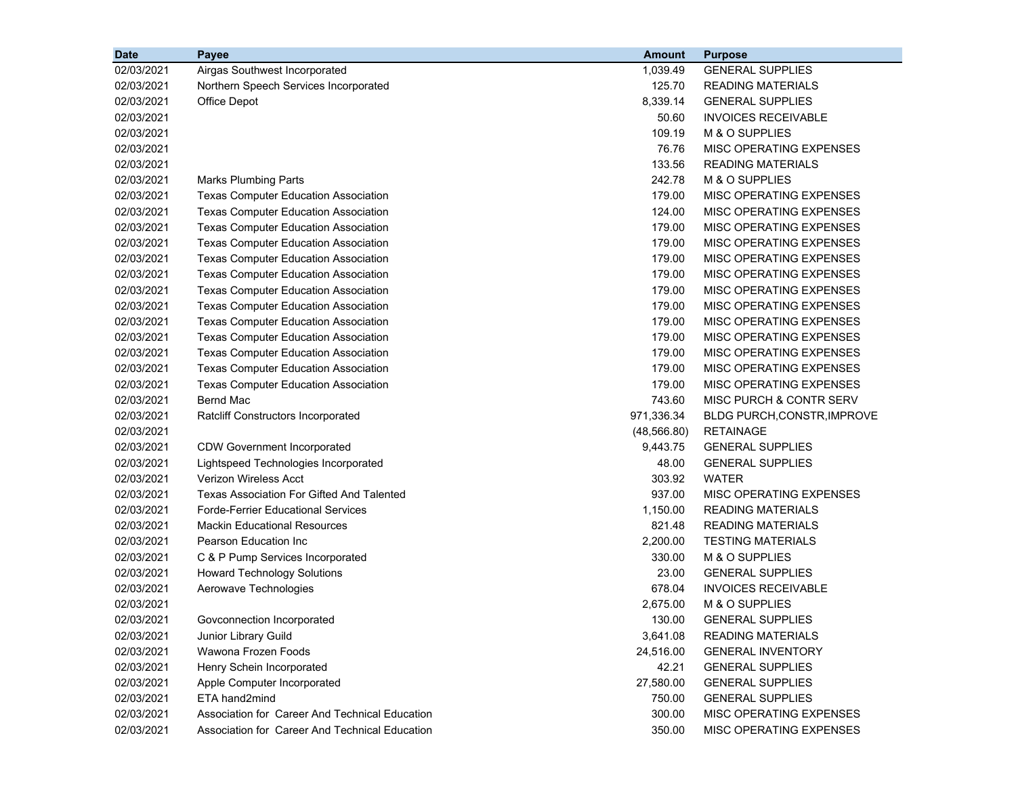| <b>Date</b> | Payee                                            | <b>Amount</b> | <b>Purpose</b>                 |
|-------------|--------------------------------------------------|---------------|--------------------------------|
| 02/03/2021  | Airgas Southwest Incorporated                    | 1,039.49      | <b>GENERAL SUPPLIES</b>        |
| 02/03/2021  | Northern Speech Services Incorporated            | 125.70        | <b>READING MATERIALS</b>       |
| 02/03/2021  | Office Depot                                     | 8,339.14      | <b>GENERAL SUPPLIES</b>        |
| 02/03/2021  |                                                  | 50.60         | <b>INVOICES RECEIVABLE</b>     |
| 02/03/2021  |                                                  | 109.19        | M & O SUPPLIES                 |
| 02/03/2021  |                                                  | 76.76         | MISC OPERATING EXPENSES        |
| 02/03/2021  |                                                  | 133.56        | <b>READING MATERIALS</b>       |
| 02/03/2021  | <b>Marks Plumbing Parts</b>                      | 242.78        | M & O SUPPLIES                 |
| 02/03/2021  | <b>Texas Computer Education Association</b>      | 179.00        | MISC OPERATING EXPENSES        |
| 02/03/2021  | <b>Texas Computer Education Association</b>      | 124.00        | <b>MISC OPERATING EXPENSES</b> |
| 02/03/2021  | <b>Texas Computer Education Association</b>      | 179.00        | <b>MISC OPERATING EXPENSES</b> |
| 02/03/2021  | <b>Texas Computer Education Association</b>      | 179.00        | MISC OPERATING EXPENSES        |
| 02/03/2021  | <b>Texas Computer Education Association</b>      | 179.00        | MISC OPERATING EXPENSES        |
| 02/03/2021  | <b>Texas Computer Education Association</b>      | 179.00        | MISC OPERATING EXPENSES        |
| 02/03/2021  | <b>Texas Computer Education Association</b>      | 179.00        | MISC OPERATING EXPENSES        |
| 02/03/2021  | <b>Texas Computer Education Association</b>      | 179.00        | MISC OPERATING EXPENSES        |
| 02/03/2021  | <b>Texas Computer Education Association</b>      | 179.00        | MISC OPERATING EXPENSES        |
| 02/03/2021  | <b>Texas Computer Education Association</b>      | 179.00        | MISC OPERATING EXPENSES        |
| 02/03/2021  | <b>Texas Computer Education Association</b>      | 179.00        | MISC OPERATING EXPENSES        |
| 02/03/2021  | <b>Texas Computer Education Association</b>      | 179.00        | MISC OPERATING EXPENSES        |
| 02/03/2021  | <b>Texas Computer Education Association</b>      | 179.00        | MISC OPERATING EXPENSES        |
| 02/03/2021  | <b>Bernd Mac</b>                                 | 743.60        | MISC PURCH & CONTR SERV        |
| 02/03/2021  | Ratcliff Constructors Incorporated               | 971,336.34    | BLDG PURCH, CONSTR, IMPROVE    |
| 02/03/2021  |                                                  | (48, 566.80)  | <b>RETAINAGE</b>               |
| 02/03/2021  | <b>CDW Government Incorporated</b>               | 9,443.75      | <b>GENERAL SUPPLIES</b>        |
| 02/03/2021  | Lightspeed Technologies Incorporated             | 48.00         | <b>GENERAL SUPPLIES</b>        |
| 02/03/2021  | <b>Verizon Wireless Acct</b>                     | 303.92        | WATER                          |
| 02/03/2021  | <b>Texas Association For Gifted And Talented</b> | 937.00        | MISC OPERATING EXPENSES        |
| 02/03/2021  | <b>Forde-Ferrier Educational Services</b>        | 1,150.00      | <b>READING MATERIALS</b>       |
| 02/03/2021  | <b>Mackin Educational Resources</b>              | 821.48        | <b>READING MATERIALS</b>       |
| 02/03/2021  | Pearson Education Inc                            | 2,200.00      | <b>TESTING MATERIALS</b>       |
| 02/03/2021  | C & P Pump Services Incorporated                 | 330.00        | M & O SUPPLIES                 |
| 02/03/2021  | <b>Howard Technology Solutions</b>               | 23.00         | <b>GENERAL SUPPLIES</b>        |
| 02/03/2021  | Aerowave Technologies                            | 678.04        | <b>INVOICES RECEIVABLE</b>     |
| 02/03/2021  |                                                  | 2,675.00      | M & O SUPPLIES                 |
| 02/03/2021  | Govconnection Incorporated                       | 130.00        | <b>GENERAL SUPPLIES</b>        |
| 02/03/2021  | Junior Library Guild                             | 3,641.08      | <b>READING MATERIALS</b>       |
| 02/03/2021  | Wawona Frozen Foods                              | 24,516.00     | <b>GENERAL INVENTORY</b>       |
| 02/03/2021  | Henry Schein Incorporated                        | 42.21         | <b>GENERAL SUPPLIES</b>        |
| 02/03/2021  | Apple Computer Incorporated                      | 27,580.00     | <b>GENERAL SUPPLIES</b>        |
| 02/03/2021  | ETA hand2mind                                    | 750.00        | <b>GENERAL SUPPLIES</b>        |
| 02/03/2021  | Association for Career And Technical Education   | 300.00        | MISC OPERATING EXPENSES        |
| 02/03/2021  | Association for Career And Technical Education   | 350.00        | MISC OPERATING EXPENSES        |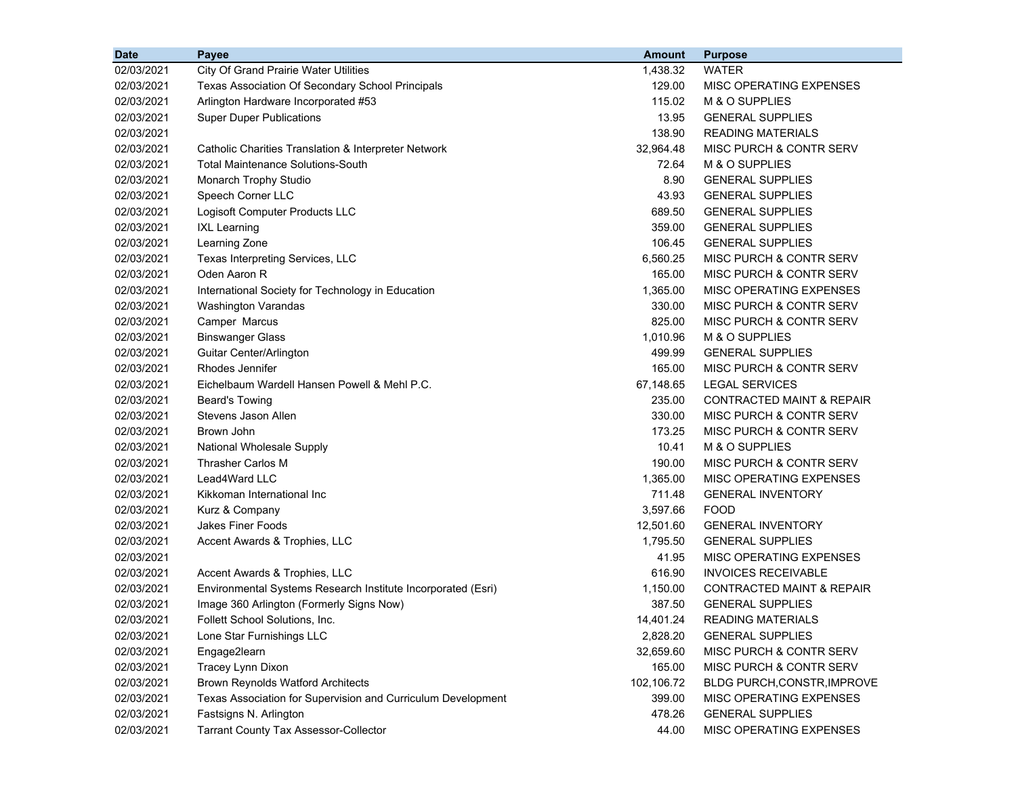| <b>Date</b> | Payee                                                        | <b>Amount</b> | <b>Purpose</b>                       |
|-------------|--------------------------------------------------------------|---------------|--------------------------------------|
| 02/03/2021  | <b>City Of Grand Prairie Water Utilities</b>                 | 1,438.32      | <b>WATER</b>                         |
| 02/03/2021  | Texas Association Of Secondary School Principals             | 129.00        | MISC OPERATING EXPENSES              |
| 02/03/2021  | Arlington Hardware Incorporated #53                          | 115.02        | M & O SUPPLIES                       |
| 02/03/2021  | <b>Super Duper Publications</b>                              | 13.95         | <b>GENERAL SUPPLIES</b>              |
| 02/03/2021  |                                                              | 138.90        | <b>READING MATERIALS</b>             |
| 02/03/2021  | Catholic Charities Translation & Interpreter Network         | 32,964.48     | MISC PURCH & CONTR SERV              |
| 02/03/2021  | <b>Total Maintenance Solutions-South</b>                     | 72.64         | M & O SUPPLIES                       |
| 02/03/2021  | Monarch Trophy Studio                                        | 8.90          | <b>GENERAL SUPPLIES</b>              |
| 02/03/2021  | Speech Corner LLC                                            | 43.93         | <b>GENERAL SUPPLIES</b>              |
| 02/03/2021  | Logisoft Computer Products LLC                               | 689.50        | <b>GENERAL SUPPLIES</b>              |
| 02/03/2021  | <b>IXL Learning</b>                                          | 359.00        | <b>GENERAL SUPPLIES</b>              |
| 02/03/2021  | Learning Zone                                                | 106.45        | <b>GENERAL SUPPLIES</b>              |
| 02/03/2021  | Texas Interpreting Services, LLC                             | 6,560.25      | MISC PURCH & CONTR SERV              |
| 02/03/2021  | Oden Aaron R                                                 | 165.00        | MISC PURCH & CONTR SERV              |
| 02/03/2021  | International Society for Technology in Education            | 1,365.00      | MISC OPERATING EXPENSES              |
| 02/03/2021  | Washington Varandas                                          | 330.00        | MISC PURCH & CONTR SERV              |
| 02/03/2021  | Camper Marcus                                                | 825.00        | MISC PURCH & CONTR SERV              |
| 02/03/2021  | <b>Binswanger Glass</b>                                      | 1,010.96      | M & O SUPPLIES                       |
| 02/03/2021  | Guitar Center/Arlington                                      | 499.99        | <b>GENERAL SUPPLIES</b>              |
| 02/03/2021  | Rhodes Jennifer                                              | 165.00        | MISC PURCH & CONTR SERV              |
| 02/03/2021  | Eichelbaum Wardell Hansen Powell & Mehl P.C.                 | 67,148.65     | <b>LEGAL SERVICES</b>                |
| 02/03/2021  | <b>Beard's Towing</b>                                        | 235.00        | <b>CONTRACTED MAINT &amp; REPAIR</b> |
| 02/03/2021  | Stevens Jason Allen                                          | 330.00        | MISC PURCH & CONTR SERV              |
| 02/03/2021  | Brown John                                                   | 173.25        | MISC PURCH & CONTR SERV              |
| 02/03/2021  | National Wholesale Supply                                    | 10.41         | M & O SUPPLIES                       |
| 02/03/2021  | <b>Thrasher Carlos M</b>                                     | 190.00        | MISC PURCH & CONTR SERV              |
| 02/03/2021  | Lead4Ward LLC                                                | 1,365.00      | MISC OPERATING EXPENSES              |
| 02/03/2021  | Kikkoman International Inc                                   | 711.48        | <b>GENERAL INVENTORY</b>             |
| 02/03/2021  | Kurz & Company                                               | 3,597.66      | <b>FOOD</b>                          |
| 02/03/2021  | <b>Jakes Finer Foods</b>                                     | 12,501.60     | <b>GENERAL INVENTORY</b>             |
| 02/03/2021  | Accent Awards & Trophies, LLC                                | 1,795.50      | <b>GENERAL SUPPLIES</b>              |
| 02/03/2021  |                                                              | 41.95         | MISC OPERATING EXPENSES              |
| 02/03/2021  | Accent Awards & Trophies, LLC                                | 616.90        | <b>INVOICES RECEIVABLE</b>           |
| 02/03/2021  | Environmental Systems Research Institute Incorporated (Esri) | 1,150.00      | <b>CONTRACTED MAINT &amp; REPAIR</b> |
| 02/03/2021  | Image 360 Arlington (Formerly Signs Now)                     | 387.50        | <b>GENERAL SUPPLIES</b>              |
| 02/03/2021  | Follett School Solutions, Inc.                               | 14,401.24     | <b>READING MATERIALS</b>             |
| 02/03/2021  | Lone Star Furnishings LLC                                    | 2,828.20      | <b>GENERAL SUPPLIES</b>              |
| 02/03/2021  | Engage2learn                                                 | 32,659.60     | MISC PURCH & CONTR SERV              |
| 02/03/2021  | Tracey Lynn Dixon                                            | 165.00        | MISC PURCH & CONTR SERV              |
| 02/03/2021  | <b>Brown Reynolds Watford Architects</b>                     | 102,106.72    | BLDG PURCH, CONSTR, IMPROVE          |
| 02/03/2021  | Texas Association for Supervision and Curriculum Development | 399.00        | MISC OPERATING EXPENSES              |
| 02/03/2021  | Fastsigns N. Arlington                                       | 478.26        | <b>GENERAL SUPPLIES</b>              |
| 02/03/2021  | <b>Tarrant County Tax Assessor-Collector</b>                 | 44.00         | MISC OPERATING EXPENSES              |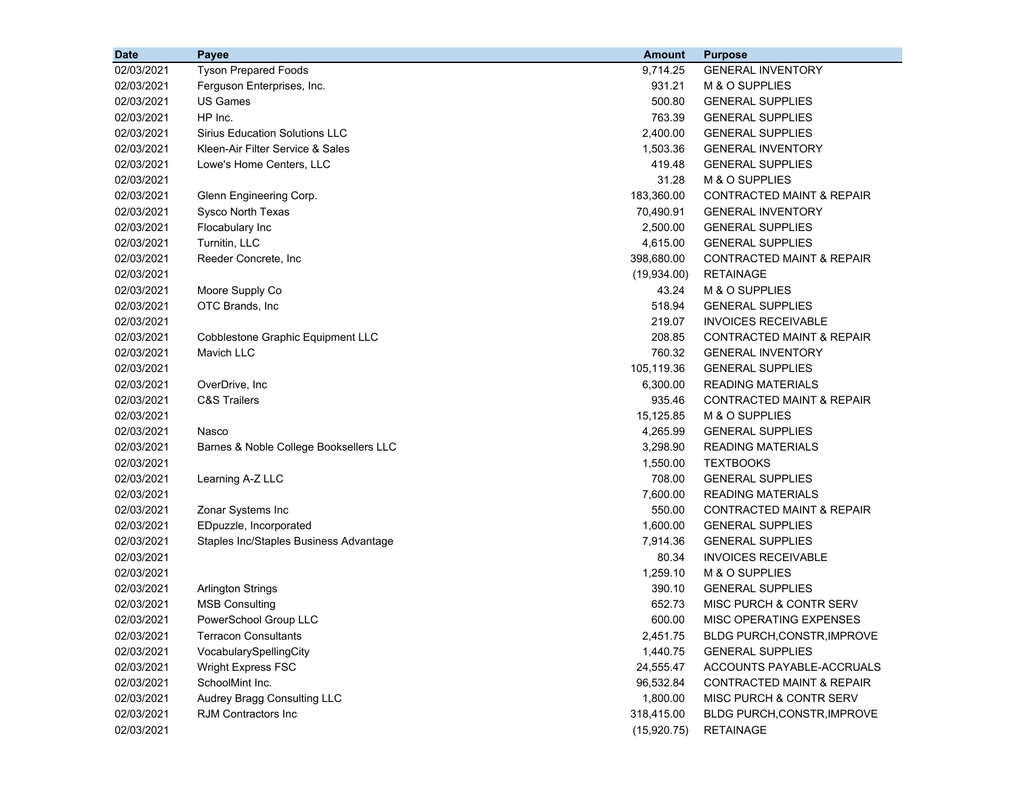| <b>Date</b> | Payee                                  | <b>Amount</b> | <b>Purpose</b>                       |
|-------------|----------------------------------------|---------------|--------------------------------------|
| 02/03/2021  | <b>Tyson Prepared Foods</b>            | 9,714.25      | <b>GENERAL INVENTORY</b>             |
| 02/03/2021  | Ferguson Enterprises, Inc.             | 931.21        | M & O SUPPLIES                       |
| 02/03/2021  | <b>US Games</b>                        | 500.80        | <b>GENERAL SUPPLIES</b>              |
| 02/03/2021  | HP Inc.                                | 763.39        | <b>GENERAL SUPPLIES</b>              |
| 02/03/2021  | <b>Sirius Education Solutions LLC</b>  | 2,400.00      | <b>GENERAL SUPPLIES</b>              |
| 02/03/2021  | Kleen-Air Filter Service & Sales       | 1,503.36      | <b>GENERAL INVENTORY</b>             |
| 02/03/2021  | Lowe's Home Centers, LLC               | 419.48        | <b>GENERAL SUPPLIES</b>              |
| 02/03/2021  |                                        | 31.28         | M & O SUPPLIES                       |
| 02/03/2021  | Glenn Engineering Corp.                | 183,360.00    | <b>CONTRACTED MAINT &amp; REPAIR</b> |
| 02/03/2021  | Sysco North Texas                      | 70,490.91     | <b>GENERAL INVENTORY</b>             |
| 02/03/2021  | Flocabulary Inc                        | 2,500.00      | <b>GENERAL SUPPLIES</b>              |
| 02/03/2021  | Turnitin, LLC                          | 4,615.00      | <b>GENERAL SUPPLIES</b>              |
| 02/03/2021  | Reeder Concrete, Inc                   | 398,680.00    | <b>CONTRACTED MAINT &amp; REPAIR</b> |
| 02/03/2021  |                                        | (19,934.00)   | <b>RETAINAGE</b>                     |
| 02/03/2021  | Moore Supply Co                        | 43.24         | M & O SUPPLIES                       |
| 02/03/2021  | OTC Brands, Inc                        | 518.94        | <b>GENERAL SUPPLIES</b>              |
| 02/03/2021  |                                        | 219.07        | <b>INVOICES RECEIVABLE</b>           |
| 02/03/2021  | Cobblestone Graphic Equipment LLC      | 208.85        | <b>CONTRACTED MAINT &amp; REPAIR</b> |
| 02/03/2021  | Mavich LLC                             | 760.32        | <b>GENERAL INVENTORY</b>             |
| 02/03/2021  |                                        | 105,119.36    | <b>GENERAL SUPPLIES</b>              |
| 02/03/2021  | OverDrive, Inc                         | 6,300.00      | <b>READING MATERIALS</b>             |
| 02/03/2021  | <b>C&amp;S Trailers</b>                | 935.46        | <b>CONTRACTED MAINT &amp; REPAIR</b> |
| 02/03/2021  |                                        | 15,125.85     | M & O SUPPLIES                       |
| 02/03/2021  | Nasco                                  | 4,265.99      | <b>GENERAL SUPPLIES</b>              |
| 02/03/2021  | Barnes & Noble College Booksellers LLC | 3,298.90      | <b>READING MATERIALS</b>             |
| 02/03/2021  |                                        | 1,550.00      | <b>TEXTBOOKS</b>                     |
| 02/03/2021  | Learning A-Z LLC                       | 708.00        | <b>GENERAL SUPPLIES</b>              |
| 02/03/2021  |                                        | 7,600.00      | <b>READING MATERIALS</b>             |
| 02/03/2021  | Zonar Systems Inc                      | 550.00        | <b>CONTRACTED MAINT &amp; REPAIR</b> |
| 02/03/2021  | EDpuzzle, Incorporated                 | 1,600.00      | <b>GENERAL SUPPLIES</b>              |
| 02/03/2021  | Staples Inc/Staples Business Advantage | 7,914.36      | <b>GENERAL SUPPLIES</b>              |
| 02/03/2021  |                                        | 80.34         | <b>INVOICES RECEIVABLE</b>           |
| 02/03/2021  |                                        | 1,259.10      | M & O SUPPLIES                       |
| 02/03/2021  | <b>Arlington Strings</b>               | 390.10        | <b>GENERAL SUPPLIES</b>              |
| 02/03/2021  | <b>MSB Consulting</b>                  | 652.73        | MISC PURCH & CONTR SERV              |
| 02/03/2021  | PowerSchool Group LLC                  | 600.00        | MISC OPERATING EXPENSES              |
| 02/03/2021  | <b>Terracon Consultants</b>            | 2,451.75      | BLDG PURCH, CONSTR, IMPROVE          |
| 02/03/2021  | VocabularySpellingCity                 | 1,440.75      | <b>GENERAL SUPPLIES</b>              |
| 02/03/2021  | Wright Express FSC                     | 24,555.47     | ACCOUNTS PAYABLE-ACCRUALS            |
| 02/03/2021  | SchoolMint Inc.                        | 96,532.84     | <b>CONTRACTED MAINT &amp; REPAIR</b> |
| 02/03/2021  | Audrey Bragg Consulting LLC            | 1,800.00      | MISC PURCH & CONTR SERV              |
| 02/03/2021  | <b>RJM Contractors Inc</b>             | 318,415.00    | BLDG PURCH, CONSTR, IMPROVE          |
| 02/03/2021  |                                        | (15,920.75)   | <b>RETAINAGE</b>                     |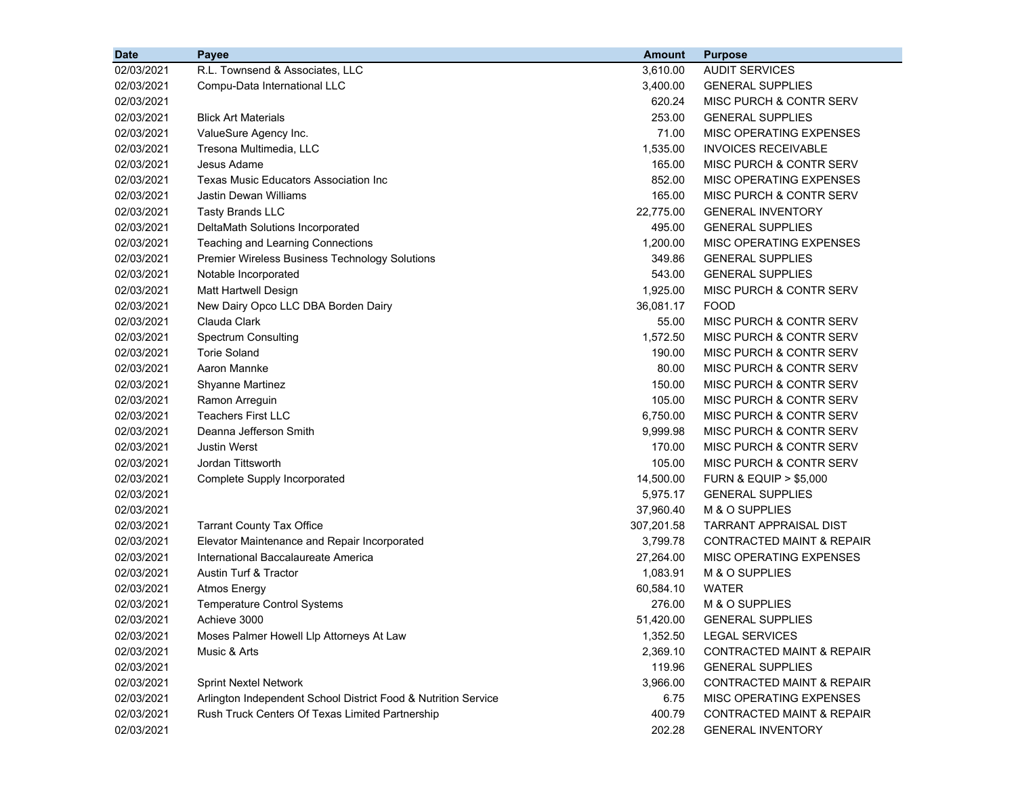| <b>Date</b> | Payee                                                          | <b>Amount</b> | <b>Purpose</b>                       |
|-------------|----------------------------------------------------------------|---------------|--------------------------------------|
| 02/03/2021  | R.L. Townsend & Associates, LLC                                | 3,610.00      | <b>AUDIT SERVICES</b>                |
| 02/03/2021  | Compu-Data International LLC                                   | 3,400.00      | <b>GENERAL SUPPLIES</b>              |
| 02/03/2021  |                                                                | 620.24        | MISC PURCH & CONTR SERV              |
| 02/03/2021  | <b>Blick Art Materials</b>                                     | 253.00        | <b>GENERAL SUPPLIES</b>              |
| 02/03/2021  | ValueSure Agency Inc.                                          | 71.00         | MISC OPERATING EXPENSES              |
| 02/03/2021  | Tresona Multimedia, LLC                                        | 1,535.00      | <b>INVOICES RECEIVABLE</b>           |
| 02/03/2021  | Jesus Adame                                                    | 165.00        | MISC PURCH & CONTR SERV              |
| 02/03/2021  | Texas Music Educators Association Inc                          | 852.00        | MISC OPERATING EXPENSES              |
| 02/03/2021  | Jastin Dewan Williams                                          | 165.00        | MISC PURCH & CONTR SERV              |
| 02/03/2021  | <b>Tasty Brands LLC</b>                                        | 22,775.00     | <b>GENERAL INVENTORY</b>             |
| 02/03/2021  | DeltaMath Solutions Incorporated                               | 495.00        | <b>GENERAL SUPPLIES</b>              |
| 02/03/2021  | Teaching and Learning Connections                              | 1,200.00      | MISC OPERATING EXPENSES              |
| 02/03/2021  | Premier Wireless Business Technology Solutions                 | 349.86        | <b>GENERAL SUPPLIES</b>              |
| 02/03/2021  | Notable Incorporated                                           | 543.00        | <b>GENERAL SUPPLIES</b>              |
| 02/03/2021  | Matt Hartwell Design                                           | 1,925.00      | MISC PURCH & CONTR SERV              |
| 02/03/2021  | New Dairy Opco LLC DBA Borden Dairy                            | 36,081.17     | <b>FOOD</b>                          |
| 02/03/2021  | Clauda Clark                                                   | 55.00         | MISC PURCH & CONTR SERV              |
| 02/03/2021  | <b>Spectrum Consulting</b>                                     | 1,572.50      | <b>MISC PURCH &amp; CONTR SERV</b>   |
| 02/03/2021  | <b>Torie Soland</b>                                            | 190.00        | MISC PURCH & CONTR SERV              |
| 02/03/2021  | Aaron Mannke                                                   | 80.00         | MISC PURCH & CONTR SERV              |
| 02/03/2021  | Shyanne Martinez                                               | 150.00        | MISC PURCH & CONTR SERV              |
| 02/03/2021  | Ramon Arreguin                                                 | 105.00        | MISC PURCH & CONTR SERV              |
| 02/03/2021  | <b>Teachers First LLC</b>                                      | 6,750.00      | MISC PURCH & CONTR SERV              |
| 02/03/2021  | Deanna Jefferson Smith                                         | 9,999.98      | MISC PURCH & CONTR SERV              |
| 02/03/2021  | <b>Justin Werst</b>                                            | 170.00        | MISC PURCH & CONTR SERV              |
| 02/03/2021  | Jordan Tittsworth                                              | 105.00        | MISC PURCH & CONTR SERV              |
| 02/03/2021  | Complete Supply Incorporated                                   | 14,500.00     | <b>FURN &amp; EQUIP &gt; \$5,000</b> |
| 02/03/2021  |                                                                | 5,975.17      | <b>GENERAL SUPPLIES</b>              |
| 02/03/2021  |                                                                | 37,960.40     | M & O SUPPLIES                       |
| 02/03/2021  | <b>Tarrant County Tax Office</b>                               | 307,201.58    | TARRANT APPRAISAL DIST               |
| 02/03/2021  | Elevator Maintenance and Repair Incorporated                   | 3,799.78      | <b>CONTRACTED MAINT &amp; REPAIR</b> |
| 02/03/2021  | International Baccalaureate America                            | 27,264.00     | MISC OPERATING EXPENSES              |
| 02/03/2021  | Austin Turf & Tractor                                          | 1,083.91      | M & O SUPPLIES                       |
| 02/03/2021  | Atmos Energy                                                   | 60,584.10     | <b>WATER</b>                         |
| 02/03/2021  | <b>Temperature Control Systems</b>                             | 276.00        | M & O SUPPLIES                       |
| 02/03/2021  | Achieve 3000                                                   | 51,420.00     | <b>GENERAL SUPPLIES</b>              |
| 02/03/2021  | Moses Palmer Howell Llp Attorneys At Law                       | 1,352.50      | <b>LEGAL SERVICES</b>                |
| 02/03/2021  | Music & Arts                                                   | 2,369.10      | <b>CONTRACTED MAINT &amp; REPAIR</b> |
| 02/03/2021  |                                                                | 119.96        | <b>GENERAL SUPPLIES</b>              |
| 02/03/2021  | <b>Sprint Nextel Network</b>                                   | 3,966.00      | CONTRACTED MAINT & REPAIR            |
| 02/03/2021  | Arlington Independent School District Food & Nutrition Service | 6.75          | MISC OPERATING EXPENSES              |
| 02/03/2021  | Rush Truck Centers Of Texas Limited Partnership                | 400.79        | <b>CONTRACTED MAINT &amp; REPAIR</b> |
| 02/03/2021  |                                                                | 202.28        | <b>GENERAL INVENTORY</b>             |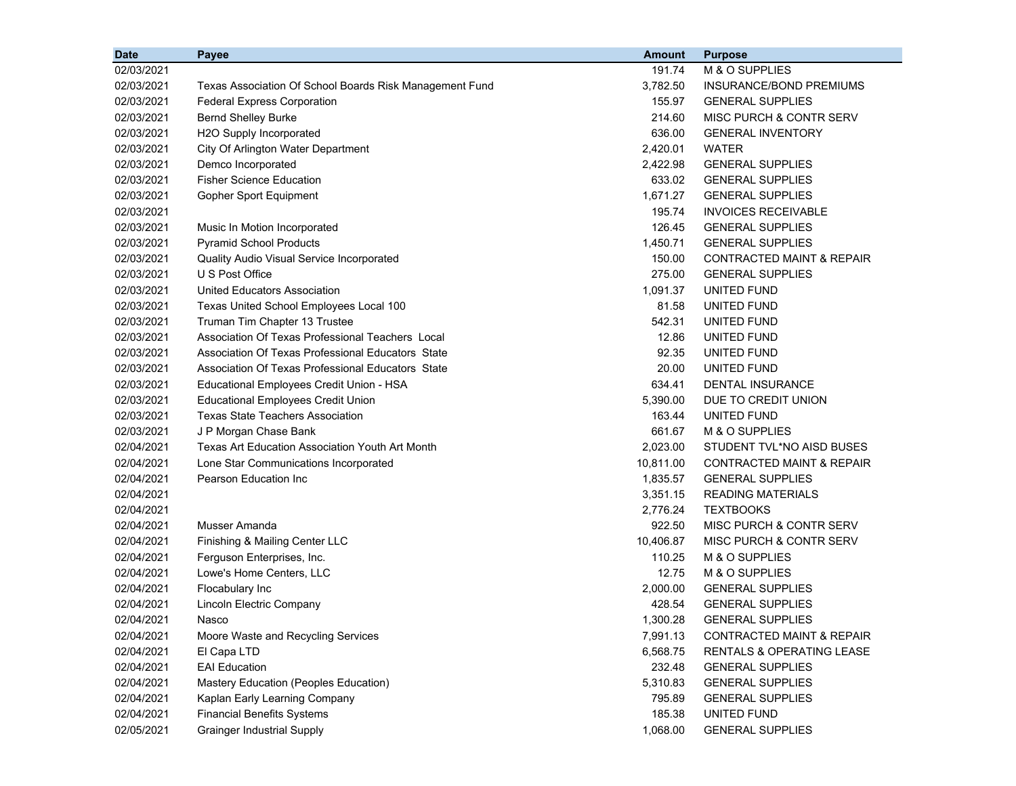| <b>Date</b> | Payee                                                   | <b>Amount</b> | <b>Purpose</b>                       |
|-------------|---------------------------------------------------------|---------------|--------------------------------------|
| 02/03/2021  |                                                         | 191.74        | M & O SUPPLIES                       |
| 02/03/2021  | Texas Association Of School Boards Risk Management Fund | 3,782.50      | INSURANCE/BOND PREMIUMS              |
| 02/03/2021  | <b>Federal Express Corporation</b>                      | 155.97        | <b>GENERAL SUPPLIES</b>              |
| 02/03/2021  | <b>Bernd Shelley Burke</b>                              | 214.60        | MISC PURCH & CONTR SERV              |
| 02/03/2021  | H2O Supply Incorporated                                 | 636.00        | <b>GENERAL INVENTORY</b>             |
| 02/03/2021  | City Of Arlington Water Department                      | 2,420.01      | <b>WATER</b>                         |
| 02/03/2021  | Demco Incorporated                                      | 2,422.98      | <b>GENERAL SUPPLIES</b>              |
| 02/03/2021  | <b>Fisher Science Education</b>                         | 633.02        | <b>GENERAL SUPPLIES</b>              |
| 02/03/2021  | Gopher Sport Equipment                                  | 1,671.27      | <b>GENERAL SUPPLIES</b>              |
| 02/03/2021  |                                                         | 195.74        | <b>INVOICES RECEIVABLE</b>           |
| 02/03/2021  | Music In Motion Incorporated                            | 126.45        | <b>GENERAL SUPPLIES</b>              |
| 02/03/2021  | <b>Pyramid School Products</b>                          | 1,450.71      | <b>GENERAL SUPPLIES</b>              |
| 02/03/2021  | Quality Audio Visual Service Incorporated               | 150.00        | CONTRACTED MAINT & REPAIR            |
| 02/03/2021  | U S Post Office                                         | 275.00        | <b>GENERAL SUPPLIES</b>              |
| 02/03/2021  | <b>United Educators Association</b>                     | 1,091.37      | UNITED FUND                          |
| 02/03/2021  | Texas United School Employees Local 100                 | 81.58         | UNITED FUND                          |
| 02/03/2021  | Truman Tim Chapter 13 Trustee                           | 542.31        | UNITED FUND                          |
| 02/03/2021  | Association Of Texas Professional Teachers Local        | 12.86         | UNITED FUND                          |
| 02/03/2021  | Association Of Texas Professional Educators State       | 92.35         | UNITED FUND                          |
| 02/03/2021  | Association Of Texas Professional Educators State       | 20.00         | UNITED FUND                          |
| 02/03/2021  | Educational Employees Credit Union - HSA                | 634.41        | <b>DENTAL INSURANCE</b>              |
| 02/03/2021  | <b>Educational Employees Credit Union</b>               | 5,390.00      | DUE TO CREDIT UNION                  |
| 02/03/2021  | <b>Texas State Teachers Association</b>                 | 163.44        | UNITED FUND                          |
| 02/03/2021  | J P Morgan Chase Bank                                   | 661.67        | M & O SUPPLIES                       |
| 02/04/2021  | Texas Art Education Association Youth Art Month         | 2,023.00      | STUDENT TVL*NO AISD BUSES            |
| 02/04/2021  | Lone Star Communications Incorporated                   | 10,811.00     | CONTRACTED MAINT & REPAIR            |
| 02/04/2021  | Pearson Education Inc                                   | 1,835.57      | <b>GENERAL SUPPLIES</b>              |
| 02/04/2021  |                                                         | 3,351.15      | <b>READING MATERIALS</b>             |
| 02/04/2021  |                                                         | 2,776.24      | <b>TEXTBOOKS</b>                     |
| 02/04/2021  | Musser Amanda                                           | 922.50        | MISC PURCH & CONTR SERV              |
| 02/04/2021  | Finishing & Mailing Center LLC                          | 10,406.87     | MISC PURCH & CONTR SERV              |
| 02/04/2021  | Ferguson Enterprises, Inc.                              | 110.25        | M & O SUPPLIES                       |
| 02/04/2021  | Lowe's Home Centers, LLC                                | 12.75         | M & O SUPPLIES                       |
| 02/04/2021  | Flocabulary Inc                                         | 2,000.00      | <b>GENERAL SUPPLIES</b>              |
| 02/04/2021  | Lincoln Electric Company                                | 428.54        | <b>GENERAL SUPPLIES</b>              |
| 02/04/2021  | Nasco                                                   | 1,300.28      | <b>GENERAL SUPPLIES</b>              |
| 02/04/2021  | Moore Waste and Recycling Services                      | 7,991.13      | <b>CONTRACTED MAINT &amp; REPAIR</b> |
| 02/04/2021  | El Capa LTD                                             | 6,568.75      | <b>RENTALS &amp; OPERATING LEASE</b> |
| 02/04/2021  | <b>EAI Education</b>                                    | 232.48        | <b>GENERAL SUPPLIES</b>              |
| 02/04/2021  | Mastery Education (Peoples Education)                   | 5,310.83      | <b>GENERAL SUPPLIES</b>              |
| 02/04/2021  | Kaplan Early Learning Company                           | 795.89        | <b>GENERAL SUPPLIES</b>              |
| 02/04/2021  | <b>Financial Benefits Systems</b>                       | 185.38        | UNITED FUND                          |
| 02/05/2021  | <b>Grainger Industrial Supply</b>                       | 1,068.00      | <b>GENERAL SUPPLIES</b>              |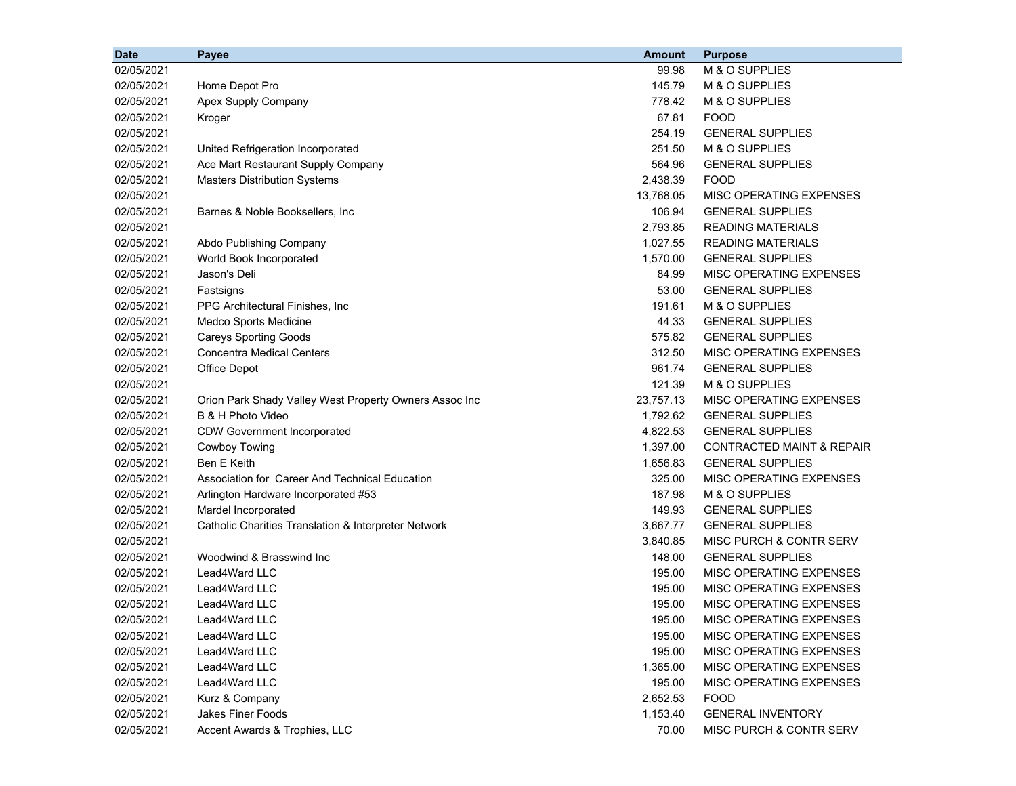| <b>Date</b> | Payee                                                  | <b>Amount</b> | <b>Purpose</b>                       |
|-------------|--------------------------------------------------------|---------------|--------------------------------------|
| 02/05/2021  |                                                        | 99.98         | M & O SUPPLIES                       |
| 02/05/2021  | Home Depot Pro                                         | 145.79        | M & O SUPPLIES                       |
| 02/05/2021  | Apex Supply Company                                    | 778.42        | M & O SUPPLIES                       |
| 02/05/2021  | Kroger                                                 | 67.81         | <b>FOOD</b>                          |
| 02/05/2021  |                                                        | 254.19        | <b>GENERAL SUPPLIES</b>              |
| 02/05/2021  | United Refrigeration Incorporated                      | 251.50        | M & O SUPPLIES                       |
| 02/05/2021  | Ace Mart Restaurant Supply Company                     | 564.96        | <b>GENERAL SUPPLIES</b>              |
| 02/05/2021  | <b>Masters Distribution Systems</b>                    | 2,438.39      | <b>FOOD</b>                          |
| 02/05/2021  |                                                        | 13,768.05     | MISC OPERATING EXPENSES              |
| 02/05/2021  | Barnes & Noble Booksellers, Inc                        | 106.94        | <b>GENERAL SUPPLIES</b>              |
| 02/05/2021  |                                                        | 2,793.85      | <b>READING MATERIALS</b>             |
| 02/05/2021  | Abdo Publishing Company                                | 1,027.55      | <b>READING MATERIALS</b>             |
| 02/05/2021  | World Book Incorporated                                | 1,570.00      | <b>GENERAL SUPPLIES</b>              |
| 02/05/2021  | Jason's Deli                                           | 84.99         | MISC OPERATING EXPENSES              |
| 02/05/2021  | Fastsigns                                              | 53.00         | <b>GENERAL SUPPLIES</b>              |
| 02/05/2021  | PPG Architectural Finishes, Inc.                       | 191.61        | M & O SUPPLIES                       |
| 02/05/2021  | Medco Sports Medicine                                  | 44.33         | <b>GENERAL SUPPLIES</b>              |
| 02/05/2021  | <b>Careys Sporting Goods</b>                           | 575.82        | <b>GENERAL SUPPLIES</b>              |
| 02/05/2021  | <b>Concentra Medical Centers</b>                       | 312.50        | <b>MISC OPERATING EXPENSES</b>       |
| 02/05/2021  | Office Depot                                           | 961.74        | <b>GENERAL SUPPLIES</b>              |
| 02/05/2021  |                                                        | 121.39        | M & O SUPPLIES                       |
| 02/05/2021  | Orion Park Shady Valley West Property Owners Assoc Inc | 23,757.13     | MISC OPERATING EXPENSES              |
| 02/05/2021  | B & H Photo Video                                      | 1,792.62      | <b>GENERAL SUPPLIES</b>              |
| 02/05/2021  | <b>CDW Government Incorporated</b>                     | 4,822.53      | <b>GENERAL SUPPLIES</b>              |
| 02/05/2021  | Cowboy Towing                                          | 1,397.00      | <b>CONTRACTED MAINT &amp; REPAIR</b> |
| 02/05/2021  | <b>Ben E Keith</b>                                     | 1,656.83      | <b>GENERAL SUPPLIES</b>              |
| 02/05/2021  | Association for Career And Technical Education         | 325.00        | MISC OPERATING EXPENSES              |
| 02/05/2021  | Arlington Hardware Incorporated #53                    | 187.98        | M & O SUPPLIES                       |
| 02/05/2021  | Mardel Incorporated                                    | 149.93        | <b>GENERAL SUPPLIES</b>              |
| 02/05/2021  | Catholic Charities Translation & Interpreter Network   | 3,667.77      | <b>GENERAL SUPPLIES</b>              |
| 02/05/2021  |                                                        | 3,840.85      | MISC PURCH & CONTR SERV              |
| 02/05/2021  | Woodwind & Brasswind Inc                               | 148.00        | <b>GENERAL SUPPLIES</b>              |
| 02/05/2021  | Lead4Ward LLC                                          | 195.00        | MISC OPERATING EXPENSES              |
| 02/05/2021  | Lead4Ward LLC                                          | 195.00        | MISC OPERATING EXPENSES              |
| 02/05/2021  | Lead4Ward LLC                                          | 195.00        | MISC OPERATING EXPENSES              |
| 02/05/2021  | Lead4Ward LLC                                          | 195.00        | MISC OPERATING EXPENSES              |
| 02/05/2021  | Lead4Ward LLC                                          | 195.00        | <b>MISC OPERATING EXPENSES</b>       |
| 02/05/2021  | Lead4Ward LLC                                          | 195.00        | <b>MISC OPERATING EXPENSES</b>       |
| 02/05/2021  | Lead4Ward LLC                                          | 1,365.00      | MISC OPERATING EXPENSES              |
| 02/05/2021  | Lead4Ward LLC                                          | 195.00        | MISC OPERATING EXPENSES              |
| 02/05/2021  | Kurz & Company                                         | 2,652.53      | <b>FOOD</b>                          |
| 02/05/2021  | <b>Jakes Finer Foods</b>                               | 1,153.40      | <b>GENERAL INVENTORY</b>             |
| 02/05/2021  | Accent Awards & Trophies, LLC                          | 70.00         | MISC PURCH & CONTR SERV              |
|             |                                                        |               |                                      |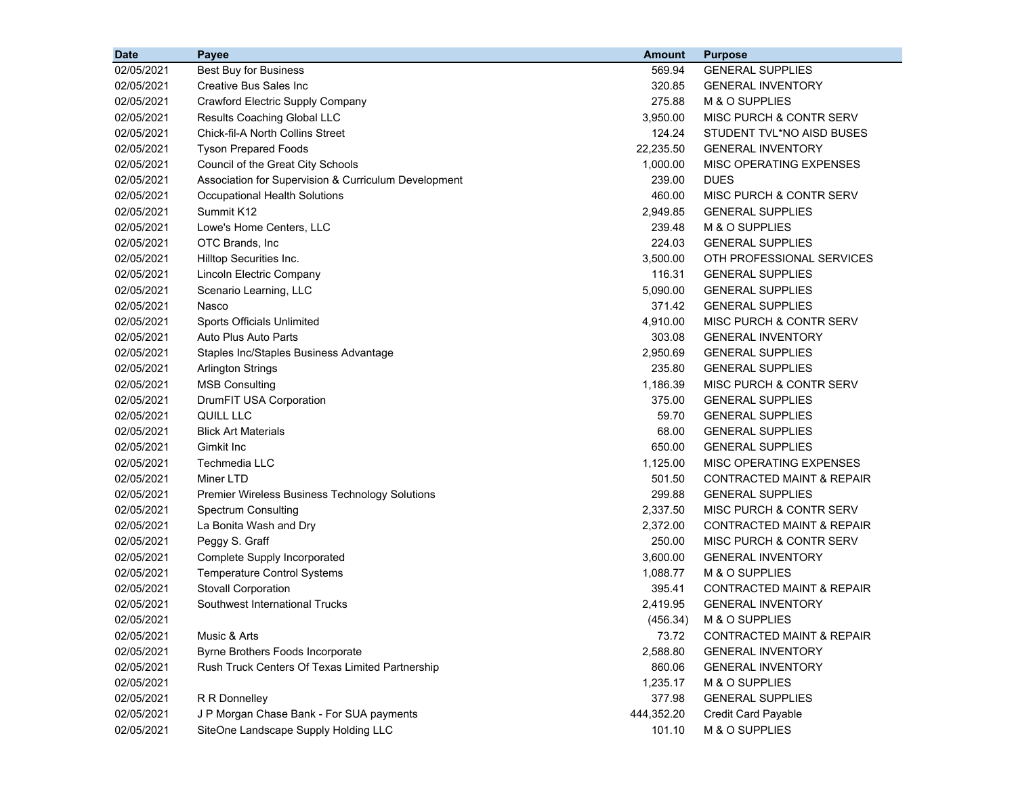| <b>Date</b> | Payee                                                | <b>Amount</b> | <b>Purpose</b>                       |
|-------------|------------------------------------------------------|---------------|--------------------------------------|
| 02/05/2021  | Best Buy for Business                                | 569.94        | <b>GENERAL SUPPLIES</b>              |
| 02/05/2021  | <b>Creative Bus Sales Inc</b>                        | 320.85        | <b>GENERAL INVENTORY</b>             |
| 02/05/2021  | Crawford Electric Supply Company                     | 275.88        | M & O SUPPLIES                       |
| 02/05/2021  | Results Coaching Global LLC                          | 3,950.00      | MISC PURCH & CONTR SERV              |
| 02/05/2021  | Chick-fil-A North Collins Street                     | 124.24        | STUDENT TVL*NO AISD BUSES            |
| 02/05/2021  | <b>Tyson Prepared Foods</b>                          | 22,235.50     | <b>GENERAL INVENTORY</b>             |
| 02/05/2021  | Council of the Great City Schools                    | 1,000.00      | MISC OPERATING EXPENSES              |
| 02/05/2021  | Association for Supervision & Curriculum Development | 239.00        | <b>DUES</b>                          |
| 02/05/2021  | Occupational Health Solutions                        | 460.00        | MISC PURCH & CONTR SERV              |
| 02/05/2021  | Summit K12                                           | 2,949.85      | <b>GENERAL SUPPLIES</b>              |
| 02/05/2021  | Lowe's Home Centers, LLC                             | 239.48        | M & O SUPPLIES                       |
| 02/05/2021  | OTC Brands, Inc                                      | 224.03        | <b>GENERAL SUPPLIES</b>              |
| 02/05/2021  | Hilltop Securities Inc.                              | 3,500.00      | OTH PROFESSIONAL SERVICES            |
| 02/05/2021  | Lincoln Electric Company                             | 116.31        | <b>GENERAL SUPPLIES</b>              |
| 02/05/2021  | Scenario Learning, LLC                               | 5,090.00      | <b>GENERAL SUPPLIES</b>              |
| 02/05/2021  | Nasco                                                | 371.42        | <b>GENERAL SUPPLIES</b>              |
| 02/05/2021  | Sports Officials Unlimited                           | 4,910.00      | MISC PURCH & CONTR SERV              |
| 02/05/2021  | Auto Plus Auto Parts                                 | 303.08        | <b>GENERAL INVENTORY</b>             |
| 02/05/2021  | Staples Inc/Staples Business Advantage               | 2,950.69      | <b>GENERAL SUPPLIES</b>              |
| 02/05/2021  | <b>Arlington Strings</b>                             | 235.80        | <b>GENERAL SUPPLIES</b>              |
| 02/05/2021  | <b>MSB Consulting</b>                                | 1,186.39      | MISC PURCH & CONTR SERV              |
| 02/05/2021  | DrumFIT USA Corporation                              | 375.00        | <b>GENERAL SUPPLIES</b>              |
| 02/05/2021  | QUILL LLC                                            | 59.70         | <b>GENERAL SUPPLIES</b>              |
| 02/05/2021  | <b>Blick Art Materials</b>                           | 68.00         | <b>GENERAL SUPPLIES</b>              |
| 02/05/2021  | Gimkit Inc                                           | 650.00        | <b>GENERAL SUPPLIES</b>              |
| 02/05/2021  | Techmedia LLC                                        | 1,125.00      | MISC OPERATING EXPENSES              |
| 02/05/2021  | Miner LTD                                            | 501.50        | <b>CONTRACTED MAINT &amp; REPAIR</b> |
| 02/05/2021  | Premier Wireless Business Technology Solutions       | 299.88        | <b>GENERAL SUPPLIES</b>              |
| 02/05/2021  | <b>Spectrum Consulting</b>                           | 2,337.50      | MISC PURCH & CONTR SERV              |
| 02/05/2021  | La Bonita Wash and Dry                               | 2,372.00      | <b>CONTRACTED MAINT &amp; REPAIR</b> |
| 02/05/2021  | Peggy S. Graff                                       | 250.00        | MISC PURCH & CONTR SERV              |
| 02/05/2021  | Complete Supply Incorporated                         | 3,600.00      | <b>GENERAL INVENTORY</b>             |
| 02/05/2021  | <b>Temperature Control Systems</b>                   | 1,088.77      | M & O SUPPLIES                       |
| 02/05/2021  | Stovall Corporation                                  | 395.41        | CONTRACTED MAINT & REPAIR            |
| 02/05/2021  | Southwest International Trucks                       | 2,419.95      | <b>GENERAL INVENTORY</b>             |
| 02/05/2021  |                                                      | (456.34)      | M & O SUPPLIES                       |
| 02/05/2021  | Music & Arts                                         | 73.72         | <b>CONTRACTED MAINT &amp; REPAIR</b> |
| 02/05/2021  | Byrne Brothers Foods Incorporate                     | 2,588.80      | <b>GENERAL INVENTORY</b>             |
| 02/05/2021  | Rush Truck Centers Of Texas Limited Partnership      | 860.06        | <b>GENERAL INVENTORY</b>             |
| 02/05/2021  |                                                      | 1,235.17      | M & O SUPPLIES                       |
| 02/05/2021  | R R Donnelley                                        | 377.98        | <b>GENERAL SUPPLIES</b>              |
| 02/05/2021  | J P Morgan Chase Bank - For SUA payments             | 444,352.20    | Credit Card Payable                  |
| 02/05/2021  | SiteOne Landscape Supply Holding LLC                 | 101.10        | M & O SUPPLIES                       |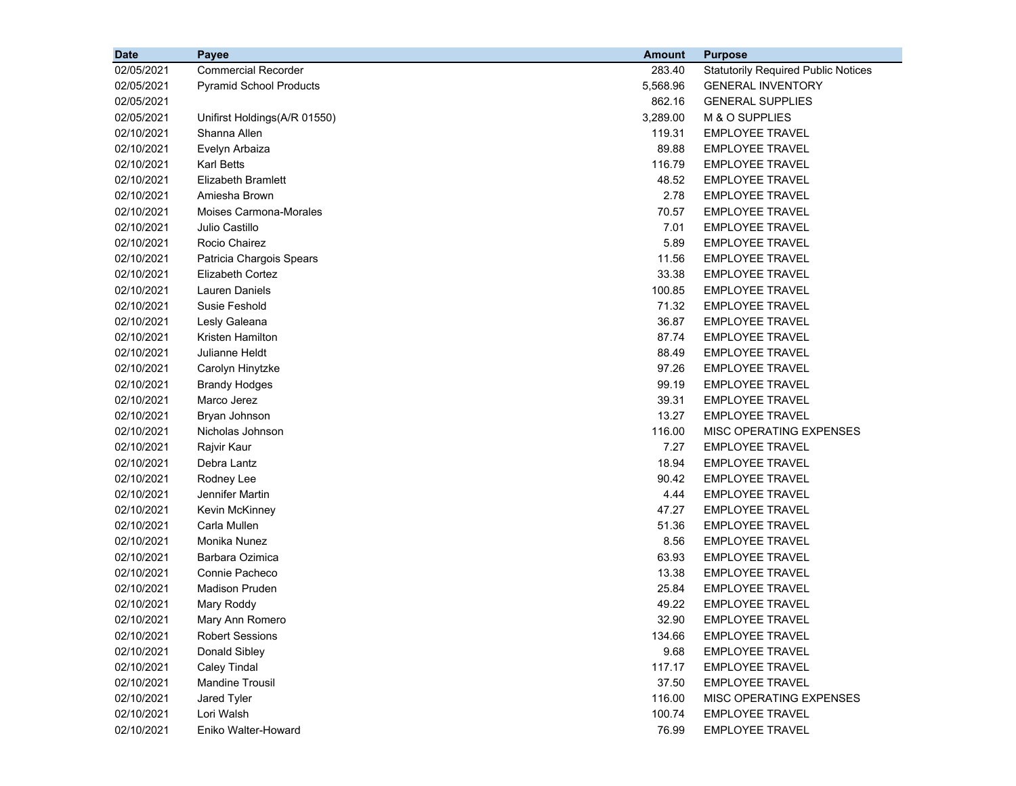| <b>Date</b> | Payee                          | <b>Amount</b> | <b>Purpose</b>                             |
|-------------|--------------------------------|---------------|--------------------------------------------|
| 02/05/2021  | <b>Commercial Recorder</b>     | 283.40        | <b>Statutorily Required Public Notices</b> |
| 02/05/2021  | <b>Pyramid School Products</b> | 5,568.96      | <b>GENERAL INVENTORY</b>                   |
| 02/05/2021  |                                | 862.16        | <b>GENERAL SUPPLIES</b>                    |
| 02/05/2021  | Unifirst Holdings(A/R 01550)   | 3,289.00      | M & O SUPPLIES                             |
| 02/10/2021  | Shanna Allen                   | 119.31        | <b>EMPLOYEE TRAVEL</b>                     |
| 02/10/2021  | Evelyn Arbaiza                 | 89.88         | <b>EMPLOYEE TRAVEL</b>                     |
| 02/10/2021  | <b>Karl Betts</b>              | 116.79        | <b>EMPLOYEE TRAVEL</b>                     |
| 02/10/2021  | <b>Elizabeth Bramlett</b>      | 48.52         | <b>EMPLOYEE TRAVEL</b>                     |
| 02/10/2021  | Amiesha Brown                  | 2.78          | <b>EMPLOYEE TRAVEL</b>                     |
| 02/10/2021  | <b>Moises Carmona-Morales</b>  | 70.57         | <b>EMPLOYEE TRAVEL</b>                     |
| 02/10/2021  | Julio Castillo                 | 7.01          | <b>EMPLOYEE TRAVEL</b>                     |
| 02/10/2021  | Rocio Chairez                  | 5.89          | <b>EMPLOYEE TRAVEL</b>                     |
| 02/10/2021  | Patricia Chargois Spears       | 11.56         | <b>EMPLOYEE TRAVEL</b>                     |
| 02/10/2021  | <b>Elizabeth Cortez</b>        | 33.38         | <b>EMPLOYEE TRAVEL</b>                     |
| 02/10/2021  | <b>Lauren Daniels</b>          | 100.85        | <b>EMPLOYEE TRAVEL</b>                     |
| 02/10/2021  | Susie Feshold                  | 71.32         | <b>EMPLOYEE TRAVEL</b>                     |
| 02/10/2021  | Lesly Galeana                  | 36.87         | <b>EMPLOYEE TRAVEL</b>                     |
| 02/10/2021  | Kristen Hamilton               | 87.74         | <b>EMPLOYEE TRAVEL</b>                     |
| 02/10/2021  | Julianne Heldt                 | 88.49         | <b>EMPLOYEE TRAVEL</b>                     |
| 02/10/2021  | Carolyn Hinytzke               | 97.26         | <b>EMPLOYEE TRAVEL</b>                     |
| 02/10/2021  | <b>Brandy Hodges</b>           | 99.19         | <b>EMPLOYEE TRAVEL</b>                     |
| 02/10/2021  | Marco Jerez                    | 39.31         | <b>EMPLOYEE TRAVEL</b>                     |
| 02/10/2021  | Bryan Johnson                  | 13.27         | <b>EMPLOYEE TRAVEL</b>                     |
| 02/10/2021  | Nicholas Johnson               | 116.00        | MISC OPERATING EXPENSES                    |
| 02/10/2021  | Rajvir Kaur                    | 7.27          | <b>EMPLOYEE TRAVEL</b>                     |
| 02/10/2021  | Debra Lantz                    | 18.94         | <b>EMPLOYEE TRAVEL</b>                     |
| 02/10/2021  | Rodney Lee                     | 90.42         | <b>EMPLOYEE TRAVEL</b>                     |
| 02/10/2021  | Jennifer Martin                | 4.44          | <b>EMPLOYEE TRAVEL</b>                     |
| 02/10/2021  | Kevin McKinney                 | 47.27         | <b>EMPLOYEE TRAVEL</b>                     |
| 02/10/2021  | Carla Mullen                   | 51.36         | <b>EMPLOYEE TRAVEL</b>                     |
| 02/10/2021  | Monika Nunez                   | 8.56          | <b>EMPLOYEE TRAVEL</b>                     |
| 02/10/2021  | Barbara Ozimica                | 63.93         | <b>EMPLOYEE TRAVEL</b>                     |
| 02/10/2021  | Connie Pacheco                 | 13.38         | <b>EMPLOYEE TRAVEL</b>                     |
| 02/10/2021  | <b>Madison Pruden</b>          | 25.84         | <b>EMPLOYEE TRAVEL</b>                     |
| 02/10/2021  | Mary Roddy                     | 49.22         | <b>EMPLOYEE TRAVEL</b>                     |
| 02/10/2021  | Mary Ann Romero                | 32.90         | <b>EMPLOYEE TRAVEL</b>                     |
| 02/10/2021  | <b>Robert Sessions</b>         | 134.66        | <b>EMPLOYEE TRAVEL</b>                     |
| 02/10/2021  | Donald Sibley                  | 9.68          | <b>EMPLOYEE TRAVEL</b>                     |
| 02/10/2021  | <b>Caley Tindal</b>            | 117.17        | <b>EMPLOYEE TRAVEL</b>                     |
| 02/10/2021  | <b>Mandine Trousil</b>         | 37.50         | <b>EMPLOYEE TRAVEL</b>                     |
| 02/10/2021  | Jared Tyler                    | 116.00        | MISC OPERATING EXPENSES                    |
| 02/10/2021  | Lori Walsh                     | 100.74        | <b>EMPLOYEE TRAVEL</b>                     |
| 02/10/2021  | Eniko Walter-Howard            | 76.99         | <b>EMPLOYEE TRAVEL</b>                     |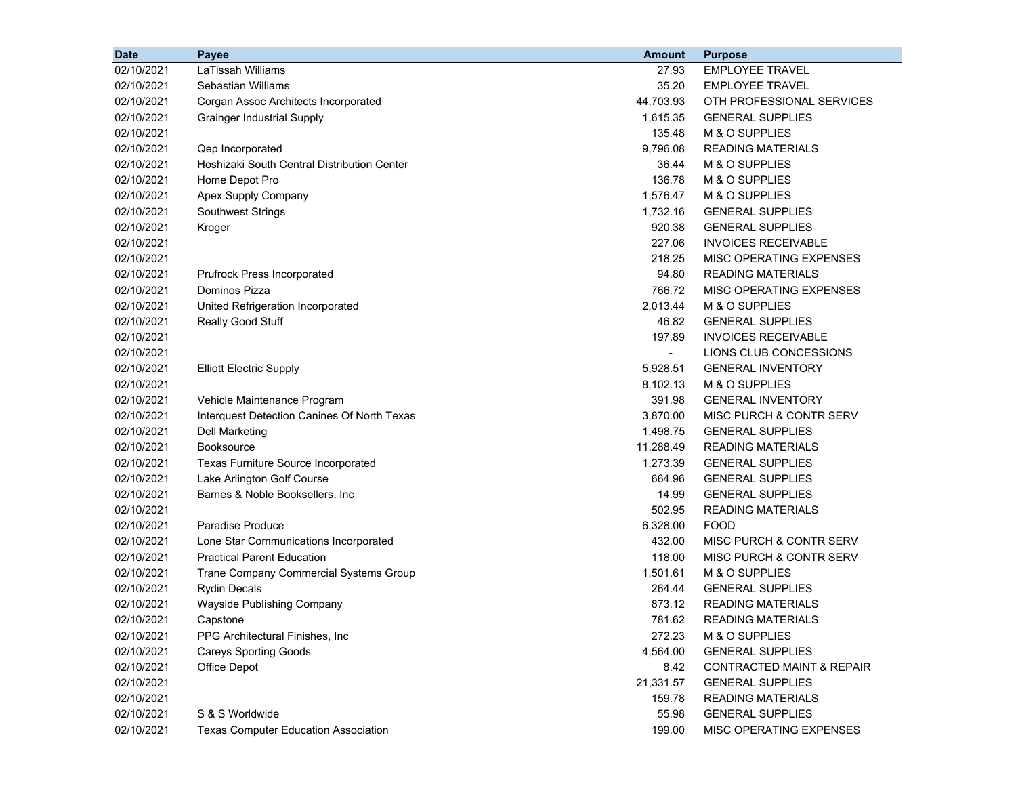| LaTissah Williams<br><b>EMPLOYEE TRAVEL</b><br>02/10/2021<br>27.93<br>Sebastian Williams<br>35.20<br><b>EMPLOYEE TRAVEL</b><br>02/10/2021<br>02/10/2021<br>44,703.93<br>OTH PROFESSIONAL SERVICES<br>Corgan Assoc Architects Incorporated<br>1,615.35<br><b>GENERAL SUPPLIES</b><br>02/10/2021<br><b>Grainger Industrial Supply</b><br>135.48<br>M & O SUPPLIES<br>02/10/2021<br>9,796.08<br>02/10/2021<br><b>READING MATERIALS</b><br>Qep Incorporated<br>Hoshizaki South Central Distribution Center<br>M & O SUPPLIES<br>02/10/2021<br>36.44<br>Home Depot Pro<br>136.78<br>M & O SUPPLIES<br>02/10/2021<br>1,576.47<br>02/10/2021<br>Apex Supply Company<br>M & O SUPPLIES<br>1,732.16<br>02/10/2021<br><b>Southwest Strings</b><br><b>GENERAL SUPPLIES</b><br>920.38<br><b>GENERAL SUPPLIES</b><br>02/10/2021<br>Kroger<br>227.06<br><b>INVOICES RECEIVABLE</b><br>02/10/2021<br>218.25<br>02/10/2021<br>MISC OPERATING EXPENSES<br>94.80<br><b>READING MATERIALS</b><br>02/10/2021<br>Prufrock Press Incorporated<br>Dominos Pizza<br>766.72<br>MISC OPERATING EXPENSES<br>02/10/2021<br>United Refrigeration Incorporated<br>2,013.44<br>M & O SUPPLIES<br>02/10/2021<br>46.82<br>02/10/2021<br>Really Good Stuff<br><b>GENERAL SUPPLIES</b><br>197.89<br><b>INVOICES RECEIVABLE</b><br>02/10/2021<br>02/10/2021<br>LIONS CLUB CONCESSIONS<br>$\sim$<br>5,928.51<br>02/10/2021<br><b>Elliott Electric Supply</b><br><b>GENERAL INVENTORY</b><br>8,102.13<br>M & O SUPPLIES<br>02/10/2021<br>02/10/2021<br>391.98<br>Vehicle Maintenance Program<br><b>GENERAL INVENTORY</b><br>02/10/2021<br>3,870.00<br>Interquest Detection Canines Of North Texas<br>MISC PURCH & CONTR SERV<br>02/10/2021<br>1,498.75<br><b>GENERAL SUPPLIES</b><br>Dell Marketing<br>02/10/2021<br><b>Booksource</b><br>11,288.49<br><b>READING MATERIALS</b><br>Texas Furniture Source Incorporated<br>1,273.39<br>02/10/2021<br><b>GENERAL SUPPLIES</b><br>664.96<br>02/10/2021<br>Lake Arlington Golf Course<br><b>GENERAL SUPPLIES</b><br>Barnes & Noble Booksellers, Inc<br>14.99<br><b>GENERAL SUPPLIES</b><br>02/10/2021<br>502.95<br><b>READING MATERIALS</b><br>02/10/2021<br><b>Paradise Produce</b><br>6,328.00<br><b>FOOD</b><br>02/10/2021<br>432.00<br>02/10/2021<br>Lone Star Communications Incorporated<br>MISC PURCH & CONTR SERV<br><b>Practical Parent Education</b><br>118.00<br>02/10/2021<br><b>MISC PURCH &amp; CONTR SERV</b><br>1,501.61<br>M & O SUPPLIES<br>02/10/2021<br>Trane Company Commercial Systems Group<br><b>Rydin Decals</b><br>264.44<br>02/10/2021<br><b>GENERAL SUPPLIES</b><br>02/10/2021<br>873.12<br><b>READING MATERIALS</b><br>Wayside Publishing Company<br>02/10/2021<br>781.62<br><b>READING MATERIALS</b><br>Capstone<br>272.23<br>M & O SUPPLIES<br>02/10/2021<br>PPG Architectural Finishes, Inc | <b>Date</b> | Payee                        | <b>Amount</b> | <b>Purpose</b>          |
|-----------------------------------------------------------------------------------------------------------------------------------------------------------------------------------------------------------------------------------------------------------------------------------------------------------------------------------------------------------------------------------------------------------------------------------------------------------------------------------------------------------------------------------------------------------------------------------------------------------------------------------------------------------------------------------------------------------------------------------------------------------------------------------------------------------------------------------------------------------------------------------------------------------------------------------------------------------------------------------------------------------------------------------------------------------------------------------------------------------------------------------------------------------------------------------------------------------------------------------------------------------------------------------------------------------------------------------------------------------------------------------------------------------------------------------------------------------------------------------------------------------------------------------------------------------------------------------------------------------------------------------------------------------------------------------------------------------------------------------------------------------------------------------------------------------------------------------------------------------------------------------------------------------------------------------------------------------------------------------------------------------------------------------------------------------------------------------------------------------------------------------------------------------------------------------------------------------------------------------------------------------------------------------------------------------------------------------------------------------------------------------------------------------------------------------------------------------------------------------------------------------------------------------------------------------------------------------------------------------------------------------------------------------------------------------------------------------------------------------------------------------------------------------------------------------------------------------|-------------|------------------------------|---------------|-------------------------|
|                                                                                                                                                                                                                                                                                                                                                                                                                                                                                                                                                                                                                                                                                                                                                                                                                                                                                                                                                                                                                                                                                                                                                                                                                                                                                                                                                                                                                                                                                                                                                                                                                                                                                                                                                                                                                                                                                                                                                                                                                                                                                                                                                                                                                                                                                                                                                                                                                                                                                                                                                                                                                                                                                                                                                                                                                                   |             |                              |               |                         |
|                                                                                                                                                                                                                                                                                                                                                                                                                                                                                                                                                                                                                                                                                                                                                                                                                                                                                                                                                                                                                                                                                                                                                                                                                                                                                                                                                                                                                                                                                                                                                                                                                                                                                                                                                                                                                                                                                                                                                                                                                                                                                                                                                                                                                                                                                                                                                                                                                                                                                                                                                                                                                                                                                                                                                                                                                                   |             |                              |               |                         |
|                                                                                                                                                                                                                                                                                                                                                                                                                                                                                                                                                                                                                                                                                                                                                                                                                                                                                                                                                                                                                                                                                                                                                                                                                                                                                                                                                                                                                                                                                                                                                                                                                                                                                                                                                                                                                                                                                                                                                                                                                                                                                                                                                                                                                                                                                                                                                                                                                                                                                                                                                                                                                                                                                                                                                                                                                                   |             |                              |               |                         |
|                                                                                                                                                                                                                                                                                                                                                                                                                                                                                                                                                                                                                                                                                                                                                                                                                                                                                                                                                                                                                                                                                                                                                                                                                                                                                                                                                                                                                                                                                                                                                                                                                                                                                                                                                                                                                                                                                                                                                                                                                                                                                                                                                                                                                                                                                                                                                                                                                                                                                                                                                                                                                                                                                                                                                                                                                                   |             |                              |               |                         |
|                                                                                                                                                                                                                                                                                                                                                                                                                                                                                                                                                                                                                                                                                                                                                                                                                                                                                                                                                                                                                                                                                                                                                                                                                                                                                                                                                                                                                                                                                                                                                                                                                                                                                                                                                                                                                                                                                                                                                                                                                                                                                                                                                                                                                                                                                                                                                                                                                                                                                                                                                                                                                                                                                                                                                                                                                                   |             |                              |               |                         |
|                                                                                                                                                                                                                                                                                                                                                                                                                                                                                                                                                                                                                                                                                                                                                                                                                                                                                                                                                                                                                                                                                                                                                                                                                                                                                                                                                                                                                                                                                                                                                                                                                                                                                                                                                                                                                                                                                                                                                                                                                                                                                                                                                                                                                                                                                                                                                                                                                                                                                                                                                                                                                                                                                                                                                                                                                                   |             |                              |               |                         |
|                                                                                                                                                                                                                                                                                                                                                                                                                                                                                                                                                                                                                                                                                                                                                                                                                                                                                                                                                                                                                                                                                                                                                                                                                                                                                                                                                                                                                                                                                                                                                                                                                                                                                                                                                                                                                                                                                                                                                                                                                                                                                                                                                                                                                                                                                                                                                                                                                                                                                                                                                                                                                                                                                                                                                                                                                                   |             |                              |               |                         |
|                                                                                                                                                                                                                                                                                                                                                                                                                                                                                                                                                                                                                                                                                                                                                                                                                                                                                                                                                                                                                                                                                                                                                                                                                                                                                                                                                                                                                                                                                                                                                                                                                                                                                                                                                                                                                                                                                                                                                                                                                                                                                                                                                                                                                                                                                                                                                                                                                                                                                                                                                                                                                                                                                                                                                                                                                                   |             |                              |               |                         |
|                                                                                                                                                                                                                                                                                                                                                                                                                                                                                                                                                                                                                                                                                                                                                                                                                                                                                                                                                                                                                                                                                                                                                                                                                                                                                                                                                                                                                                                                                                                                                                                                                                                                                                                                                                                                                                                                                                                                                                                                                                                                                                                                                                                                                                                                                                                                                                                                                                                                                                                                                                                                                                                                                                                                                                                                                                   |             |                              |               |                         |
|                                                                                                                                                                                                                                                                                                                                                                                                                                                                                                                                                                                                                                                                                                                                                                                                                                                                                                                                                                                                                                                                                                                                                                                                                                                                                                                                                                                                                                                                                                                                                                                                                                                                                                                                                                                                                                                                                                                                                                                                                                                                                                                                                                                                                                                                                                                                                                                                                                                                                                                                                                                                                                                                                                                                                                                                                                   |             |                              |               |                         |
|                                                                                                                                                                                                                                                                                                                                                                                                                                                                                                                                                                                                                                                                                                                                                                                                                                                                                                                                                                                                                                                                                                                                                                                                                                                                                                                                                                                                                                                                                                                                                                                                                                                                                                                                                                                                                                                                                                                                                                                                                                                                                                                                                                                                                                                                                                                                                                                                                                                                                                                                                                                                                                                                                                                                                                                                                                   |             |                              |               |                         |
|                                                                                                                                                                                                                                                                                                                                                                                                                                                                                                                                                                                                                                                                                                                                                                                                                                                                                                                                                                                                                                                                                                                                                                                                                                                                                                                                                                                                                                                                                                                                                                                                                                                                                                                                                                                                                                                                                                                                                                                                                                                                                                                                                                                                                                                                                                                                                                                                                                                                                                                                                                                                                                                                                                                                                                                                                                   |             |                              |               |                         |
|                                                                                                                                                                                                                                                                                                                                                                                                                                                                                                                                                                                                                                                                                                                                                                                                                                                                                                                                                                                                                                                                                                                                                                                                                                                                                                                                                                                                                                                                                                                                                                                                                                                                                                                                                                                                                                                                                                                                                                                                                                                                                                                                                                                                                                                                                                                                                                                                                                                                                                                                                                                                                                                                                                                                                                                                                                   |             |                              |               |                         |
|                                                                                                                                                                                                                                                                                                                                                                                                                                                                                                                                                                                                                                                                                                                                                                                                                                                                                                                                                                                                                                                                                                                                                                                                                                                                                                                                                                                                                                                                                                                                                                                                                                                                                                                                                                                                                                                                                                                                                                                                                                                                                                                                                                                                                                                                                                                                                                                                                                                                                                                                                                                                                                                                                                                                                                                                                                   |             |                              |               |                         |
|                                                                                                                                                                                                                                                                                                                                                                                                                                                                                                                                                                                                                                                                                                                                                                                                                                                                                                                                                                                                                                                                                                                                                                                                                                                                                                                                                                                                                                                                                                                                                                                                                                                                                                                                                                                                                                                                                                                                                                                                                                                                                                                                                                                                                                                                                                                                                                                                                                                                                                                                                                                                                                                                                                                                                                                                                                   |             |                              |               |                         |
|                                                                                                                                                                                                                                                                                                                                                                                                                                                                                                                                                                                                                                                                                                                                                                                                                                                                                                                                                                                                                                                                                                                                                                                                                                                                                                                                                                                                                                                                                                                                                                                                                                                                                                                                                                                                                                                                                                                                                                                                                                                                                                                                                                                                                                                                                                                                                                                                                                                                                                                                                                                                                                                                                                                                                                                                                                   |             |                              |               |                         |
|                                                                                                                                                                                                                                                                                                                                                                                                                                                                                                                                                                                                                                                                                                                                                                                                                                                                                                                                                                                                                                                                                                                                                                                                                                                                                                                                                                                                                                                                                                                                                                                                                                                                                                                                                                                                                                                                                                                                                                                                                                                                                                                                                                                                                                                                                                                                                                                                                                                                                                                                                                                                                                                                                                                                                                                                                                   |             |                              |               |                         |
|                                                                                                                                                                                                                                                                                                                                                                                                                                                                                                                                                                                                                                                                                                                                                                                                                                                                                                                                                                                                                                                                                                                                                                                                                                                                                                                                                                                                                                                                                                                                                                                                                                                                                                                                                                                                                                                                                                                                                                                                                                                                                                                                                                                                                                                                                                                                                                                                                                                                                                                                                                                                                                                                                                                                                                                                                                   |             |                              |               |                         |
|                                                                                                                                                                                                                                                                                                                                                                                                                                                                                                                                                                                                                                                                                                                                                                                                                                                                                                                                                                                                                                                                                                                                                                                                                                                                                                                                                                                                                                                                                                                                                                                                                                                                                                                                                                                                                                                                                                                                                                                                                                                                                                                                                                                                                                                                                                                                                                                                                                                                                                                                                                                                                                                                                                                                                                                                                                   |             |                              |               |                         |
|                                                                                                                                                                                                                                                                                                                                                                                                                                                                                                                                                                                                                                                                                                                                                                                                                                                                                                                                                                                                                                                                                                                                                                                                                                                                                                                                                                                                                                                                                                                                                                                                                                                                                                                                                                                                                                                                                                                                                                                                                                                                                                                                                                                                                                                                                                                                                                                                                                                                                                                                                                                                                                                                                                                                                                                                                                   |             |                              |               |                         |
|                                                                                                                                                                                                                                                                                                                                                                                                                                                                                                                                                                                                                                                                                                                                                                                                                                                                                                                                                                                                                                                                                                                                                                                                                                                                                                                                                                                                                                                                                                                                                                                                                                                                                                                                                                                                                                                                                                                                                                                                                                                                                                                                                                                                                                                                                                                                                                                                                                                                                                                                                                                                                                                                                                                                                                                                                                   |             |                              |               |                         |
|                                                                                                                                                                                                                                                                                                                                                                                                                                                                                                                                                                                                                                                                                                                                                                                                                                                                                                                                                                                                                                                                                                                                                                                                                                                                                                                                                                                                                                                                                                                                                                                                                                                                                                                                                                                                                                                                                                                                                                                                                                                                                                                                                                                                                                                                                                                                                                                                                                                                                                                                                                                                                                                                                                                                                                                                                                   |             |                              |               |                         |
|                                                                                                                                                                                                                                                                                                                                                                                                                                                                                                                                                                                                                                                                                                                                                                                                                                                                                                                                                                                                                                                                                                                                                                                                                                                                                                                                                                                                                                                                                                                                                                                                                                                                                                                                                                                                                                                                                                                                                                                                                                                                                                                                                                                                                                                                                                                                                                                                                                                                                                                                                                                                                                                                                                                                                                                                                                   |             |                              |               |                         |
|                                                                                                                                                                                                                                                                                                                                                                                                                                                                                                                                                                                                                                                                                                                                                                                                                                                                                                                                                                                                                                                                                                                                                                                                                                                                                                                                                                                                                                                                                                                                                                                                                                                                                                                                                                                                                                                                                                                                                                                                                                                                                                                                                                                                                                                                                                                                                                                                                                                                                                                                                                                                                                                                                                                                                                                                                                   |             |                              |               |                         |
|                                                                                                                                                                                                                                                                                                                                                                                                                                                                                                                                                                                                                                                                                                                                                                                                                                                                                                                                                                                                                                                                                                                                                                                                                                                                                                                                                                                                                                                                                                                                                                                                                                                                                                                                                                                                                                                                                                                                                                                                                                                                                                                                                                                                                                                                                                                                                                                                                                                                                                                                                                                                                                                                                                                                                                                                                                   |             |                              |               |                         |
|                                                                                                                                                                                                                                                                                                                                                                                                                                                                                                                                                                                                                                                                                                                                                                                                                                                                                                                                                                                                                                                                                                                                                                                                                                                                                                                                                                                                                                                                                                                                                                                                                                                                                                                                                                                                                                                                                                                                                                                                                                                                                                                                                                                                                                                                                                                                                                                                                                                                                                                                                                                                                                                                                                                                                                                                                                   |             |                              |               |                         |
|                                                                                                                                                                                                                                                                                                                                                                                                                                                                                                                                                                                                                                                                                                                                                                                                                                                                                                                                                                                                                                                                                                                                                                                                                                                                                                                                                                                                                                                                                                                                                                                                                                                                                                                                                                                                                                                                                                                                                                                                                                                                                                                                                                                                                                                                                                                                                                                                                                                                                                                                                                                                                                                                                                                                                                                                                                   |             |                              |               |                         |
|                                                                                                                                                                                                                                                                                                                                                                                                                                                                                                                                                                                                                                                                                                                                                                                                                                                                                                                                                                                                                                                                                                                                                                                                                                                                                                                                                                                                                                                                                                                                                                                                                                                                                                                                                                                                                                                                                                                                                                                                                                                                                                                                                                                                                                                                                                                                                                                                                                                                                                                                                                                                                                                                                                                                                                                                                                   |             |                              |               |                         |
|                                                                                                                                                                                                                                                                                                                                                                                                                                                                                                                                                                                                                                                                                                                                                                                                                                                                                                                                                                                                                                                                                                                                                                                                                                                                                                                                                                                                                                                                                                                                                                                                                                                                                                                                                                                                                                                                                                                                                                                                                                                                                                                                                                                                                                                                                                                                                                                                                                                                                                                                                                                                                                                                                                                                                                                                                                   |             |                              |               |                         |
|                                                                                                                                                                                                                                                                                                                                                                                                                                                                                                                                                                                                                                                                                                                                                                                                                                                                                                                                                                                                                                                                                                                                                                                                                                                                                                                                                                                                                                                                                                                                                                                                                                                                                                                                                                                                                                                                                                                                                                                                                                                                                                                                                                                                                                                                                                                                                                                                                                                                                                                                                                                                                                                                                                                                                                                                                                   |             |                              |               |                         |
|                                                                                                                                                                                                                                                                                                                                                                                                                                                                                                                                                                                                                                                                                                                                                                                                                                                                                                                                                                                                                                                                                                                                                                                                                                                                                                                                                                                                                                                                                                                                                                                                                                                                                                                                                                                                                                                                                                                                                                                                                                                                                                                                                                                                                                                                                                                                                                                                                                                                                                                                                                                                                                                                                                                                                                                                                                   |             |                              |               |                         |
|                                                                                                                                                                                                                                                                                                                                                                                                                                                                                                                                                                                                                                                                                                                                                                                                                                                                                                                                                                                                                                                                                                                                                                                                                                                                                                                                                                                                                                                                                                                                                                                                                                                                                                                                                                                                                                                                                                                                                                                                                                                                                                                                                                                                                                                                                                                                                                                                                                                                                                                                                                                                                                                                                                                                                                                                                                   |             |                              |               |                         |
|                                                                                                                                                                                                                                                                                                                                                                                                                                                                                                                                                                                                                                                                                                                                                                                                                                                                                                                                                                                                                                                                                                                                                                                                                                                                                                                                                                                                                                                                                                                                                                                                                                                                                                                                                                                                                                                                                                                                                                                                                                                                                                                                                                                                                                                                                                                                                                                                                                                                                                                                                                                                                                                                                                                                                                                                                                   |             |                              |               |                         |
|                                                                                                                                                                                                                                                                                                                                                                                                                                                                                                                                                                                                                                                                                                                                                                                                                                                                                                                                                                                                                                                                                                                                                                                                                                                                                                                                                                                                                                                                                                                                                                                                                                                                                                                                                                                                                                                                                                                                                                                                                                                                                                                                                                                                                                                                                                                                                                                                                                                                                                                                                                                                                                                                                                                                                                                                                                   |             |                              |               |                         |
|                                                                                                                                                                                                                                                                                                                                                                                                                                                                                                                                                                                                                                                                                                                                                                                                                                                                                                                                                                                                                                                                                                                                                                                                                                                                                                                                                                                                                                                                                                                                                                                                                                                                                                                                                                                                                                                                                                                                                                                                                                                                                                                                                                                                                                                                                                                                                                                                                                                                                                                                                                                                                                                                                                                                                                                                                                   |             |                              |               |                         |
|                                                                                                                                                                                                                                                                                                                                                                                                                                                                                                                                                                                                                                                                                                                                                                                                                                                                                                                                                                                                                                                                                                                                                                                                                                                                                                                                                                                                                                                                                                                                                                                                                                                                                                                                                                                                                                                                                                                                                                                                                                                                                                                                                                                                                                                                                                                                                                                                                                                                                                                                                                                                                                                                                                                                                                                                                                   |             |                              |               |                         |
|                                                                                                                                                                                                                                                                                                                                                                                                                                                                                                                                                                                                                                                                                                                                                                                                                                                                                                                                                                                                                                                                                                                                                                                                                                                                                                                                                                                                                                                                                                                                                                                                                                                                                                                                                                                                                                                                                                                                                                                                                                                                                                                                                                                                                                                                                                                                                                                                                                                                                                                                                                                                                                                                                                                                                                                                                                   |             |                              |               |                         |
|                                                                                                                                                                                                                                                                                                                                                                                                                                                                                                                                                                                                                                                                                                                                                                                                                                                                                                                                                                                                                                                                                                                                                                                                                                                                                                                                                                                                                                                                                                                                                                                                                                                                                                                                                                                                                                                                                                                                                                                                                                                                                                                                                                                                                                                                                                                                                                                                                                                                                                                                                                                                                                                                                                                                                                                                                                   | 02/10/2021  | <b>Careys Sporting Goods</b> | 4,564.00      | <b>GENERAL SUPPLIES</b> |
| 02/10/2021<br>Office Depot<br><b>CONTRACTED MAINT &amp; REPAIR</b><br>8.42                                                                                                                                                                                                                                                                                                                                                                                                                                                                                                                                                                                                                                                                                                                                                                                                                                                                                                                                                                                                                                                                                                                                                                                                                                                                                                                                                                                                                                                                                                                                                                                                                                                                                                                                                                                                                                                                                                                                                                                                                                                                                                                                                                                                                                                                                                                                                                                                                                                                                                                                                                                                                                                                                                                                                        |             |                              |               |                         |
| <b>GENERAL SUPPLIES</b><br>02/10/2021<br>21,331.57                                                                                                                                                                                                                                                                                                                                                                                                                                                                                                                                                                                                                                                                                                                                                                                                                                                                                                                                                                                                                                                                                                                                                                                                                                                                                                                                                                                                                                                                                                                                                                                                                                                                                                                                                                                                                                                                                                                                                                                                                                                                                                                                                                                                                                                                                                                                                                                                                                                                                                                                                                                                                                                                                                                                                                                |             |                              |               |                         |
| 02/10/2021<br>159.78<br><b>READING MATERIALS</b>                                                                                                                                                                                                                                                                                                                                                                                                                                                                                                                                                                                                                                                                                                                                                                                                                                                                                                                                                                                                                                                                                                                                                                                                                                                                                                                                                                                                                                                                                                                                                                                                                                                                                                                                                                                                                                                                                                                                                                                                                                                                                                                                                                                                                                                                                                                                                                                                                                                                                                                                                                                                                                                                                                                                                                                  |             |                              |               |                         |
| 02/10/2021<br>S & S Worldwide<br>55.98<br><b>GENERAL SUPPLIES</b>                                                                                                                                                                                                                                                                                                                                                                                                                                                                                                                                                                                                                                                                                                                                                                                                                                                                                                                                                                                                                                                                                                                                                                                                                                                                                                                                                                                                                                                                                                                                                                                                                                                                                                                                                                                                                                                                                                                                                                                                                                                                                                                                                                                                                                                                                                                                                                                                                                                                                                                                                                                                                                                                                                                                                                 |             |                              |               |                         |
| 02/10/2021<br><b>Texas Computer Education Association</b><br>199.00<br>MISC OPERATING EXPENSES                                                                                                                                                                                                                                                                                                                                                                                                                                                                                                                                                                                                                                                                                                                                                                                                                                                                                                                                                                                                                                                                                                                                                                                                                                                                                                                                                                                                                                                                                                                                                                                                                                                                                                                                                                                                                                                                                                                                                                                                                                                                                                                                                                                                                                                                                                                                                                                                                                                                                                                                                                                                                                                                                                                                    |             |                              |               |                         |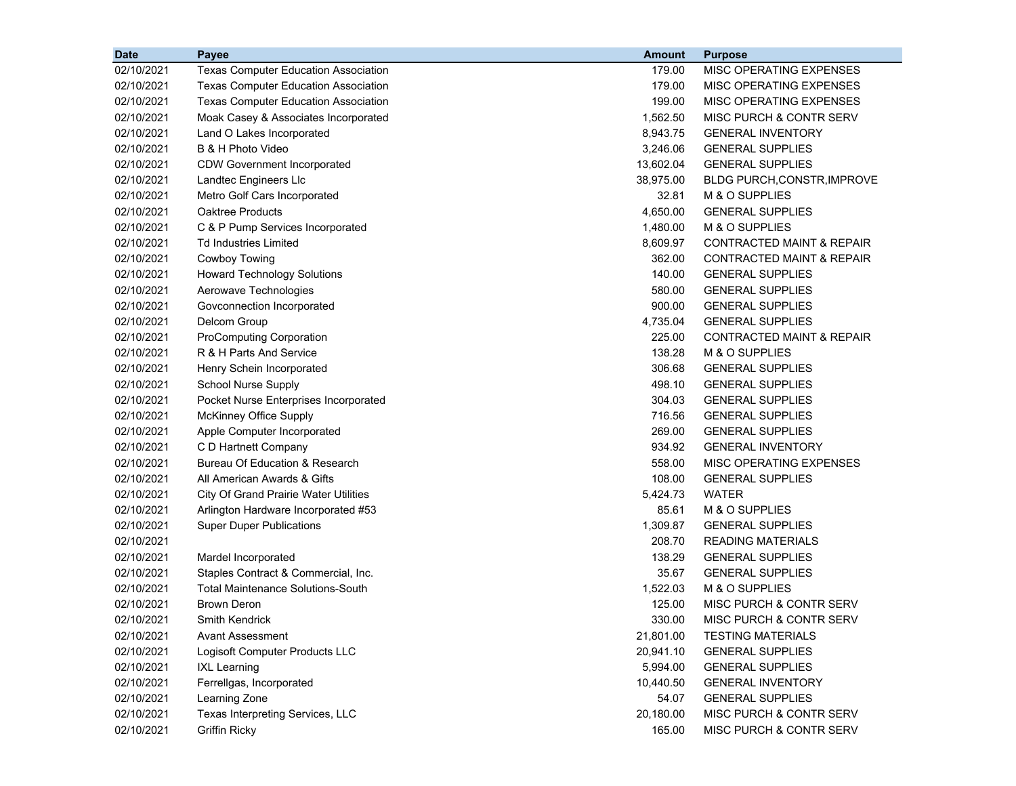| <b>Date</b> | Payee                                        | <b>Amount</b> | <b>Purpose</b>                     |
|-------------|----------------------------------------------|---------------|------------------------------------|
| 02/10/2021  | <b>Texas Computer Education Association</b>  | 179.00        | MISC OPERATING EXPENSES            |
| 02/10/2021  | <b>Texas Computer Education Association</b>  | 179.00        | MISC OPERATING EXPENSES            |
| 02/10/2021  | <b>Texas Computer Education Association</b>  | 199.00        | MISC OPERATING EXPENSES            |
| 02/10/2021  | Moak Casey & Associates Incorporated         | 1,562.50      | MISC PURCH & CONTR SERV            |
| 02/10/2021  | Land O Lakes Incorporated                    | 8,943.75      | <b>GENERAL INVENTORY</b>           |
| 02/10/2021  | B & H Photo Video                            | 3,246.06      | <b>GENERAL SUPPLIES</b>            |
| 02/10/2021  | <b>CDW Government Incorporated</b>           | 13,602.04     | <b>GENERAL SUPPLIES</b>            |
| 02/10/2021  | Landtec Engineers Llc                        | 38,975.00     | <b>BLDG PURCH, CONSTR, IMPROVE</b> |
| 02/10/2021  | Metro Golf Cars Incorporated                 | 32.81         | M & O SUPPLIES                     |
| 02/10/2021  | <b>Oaktree Products</b>                      | 4,650.00      | <b>GENERAL SUPPLIES</b>            |
| 02/10/2021  | C & P Pump Services Incorporated             | 1,480.00      | M & O SUPPLIES                     |
| 02/10/2021  | Td Industries Limited                        | 8,609.97      | CONTRACTED MAINT & REPAIR          |
| 02/10/2021  | Cowboy Towing                                | 362.00        | CONTRACTED MAINT & REPAIR          |
| 02/10/2021  | <b>Howard Technology Solutions</b>           | 140.00        | <b>GENERAL SUPPLIES</b>            |
| 02/10/2021  | Aerowave Technologies                        | 580.00        | <b>GENERAL SUPPLIES</b>            |
| 02/10/2021  | Govconnection Incorporated                   | 900.00        | <b>GENERAL SUPPLIES</b>            |
| 02/10/2021  | Delcom Group                                 | 4,735.04      | <b>GENERAL SUPPLIES</b>            |
| 02/10/2021  | <b>ProComputing Corporation</b>              | 225.00        | CONTRACTED MAINT & REPAIR          |
| 02/10/2021  | R & H Parts And Service                      | 138.28        | M & O SUPPLIES                     |
| 02/10/2021  | Henry Schein Incorporated                    | 306.68        | <b>GENERAL SUPPLIES</b>            |
| 02/10/2021  | <b>School Nurse Supply</b>                   | 498.10        | <b>GENERAL SUPPLIES</b>            |
| 02/10/2021  | Pocket Nurse Enterprises Incorporated        | 304.03        | <b>GENERAL SUPPLIES</b>            |
| 02/10/2021  | <b>McKinney Office Supply</b>                | 716.56        | <b>GENERAL SUPPLIES</b>            |
| 02/10/2021  | Apple Computer Incorporated                  | 269.00        | <b>GENERAL SUPPLIES</b>            |
| 02/10/2021  | C D Hartnett Company                         | 934.92        | <b>GENERAL INVENTORY</b>           |
| 02/10/2021  | Bureau Of Education & Research               | 558.00        | MISC OPERATING EXPENSES            |
| 02/10/2021  | All American Awards & Gifts                  | 108.00        | <b>GENERAL SUPPLIES</b>            |
| 02/10/2021  | <b>City Of Grand Prairie Water Utilities</b> | 5,424.73      | WATER                              |
| 02/10/2021  | Arlington Hardware Incorporated #53          | 85.61         | M & O SUPPLIES                     |
| 02/10/2021  | <b>Super Duper Publications</b>              | 1,309.87      | <b>GENERAL SUPPLIES</b>            |
| 02/10/2021  |                                              | 208.70        | <b>READING MATERIALS</b>           |
| 02/10/2021  | Mardel Incorporated                          | 138.29        | <b>GENERAL SUPPLIES</b>            |
| 02/10/2021  | Staples Contract & Commercial, Inc.          | 35.67         | <b>GENERAL SUPPLIES</b>            |
| 02/10/2021  | <b>Total Maintenance Solutions-South</b>     | 1,522.03      | M & O SUPPLIES                     |
| 02/10/2021  | <b>Brown Deron</b>                           | 125.00        | MISC PURCH & CONTR SERV            |
| 02/10/2021  | Smith Kendrick                               | 330.00        | MISC PURCH & CONTR SERV            |
| 02/10/2021  | <b>Avant Assessment</b>                      | 21,801.00     | <b>TESTING MATERIALS</b>           |
| 02/10/2021  | Logisoft Computer Products LLC               | 20,941.10     | <b>GENERAL SUPPLIES</b>            |
| 02/10/2021  | <b>IXL Learning</b>                          | 5,994.00      | <b>GENERAL SUPPLIES</b>            |
| 02/10/2021  | Ferrellgas, Incorporated                     | 10,440.50     | <b>GENERAL INVENTORY</b>           |
| 02/10/2021  | Learning Zone                                | 54.07         | <b>GENERAL SUPPLIES</b>            |
| 02/10/2021  | Texas Interpreting Services, LLC             | 20,180.00     | MISC PURCH & CONTR SERV            |
| 02/10/2021  | <b>Griffin Ricky</b>                         | 165.00        | MISC PURCH & CONTR SERV            |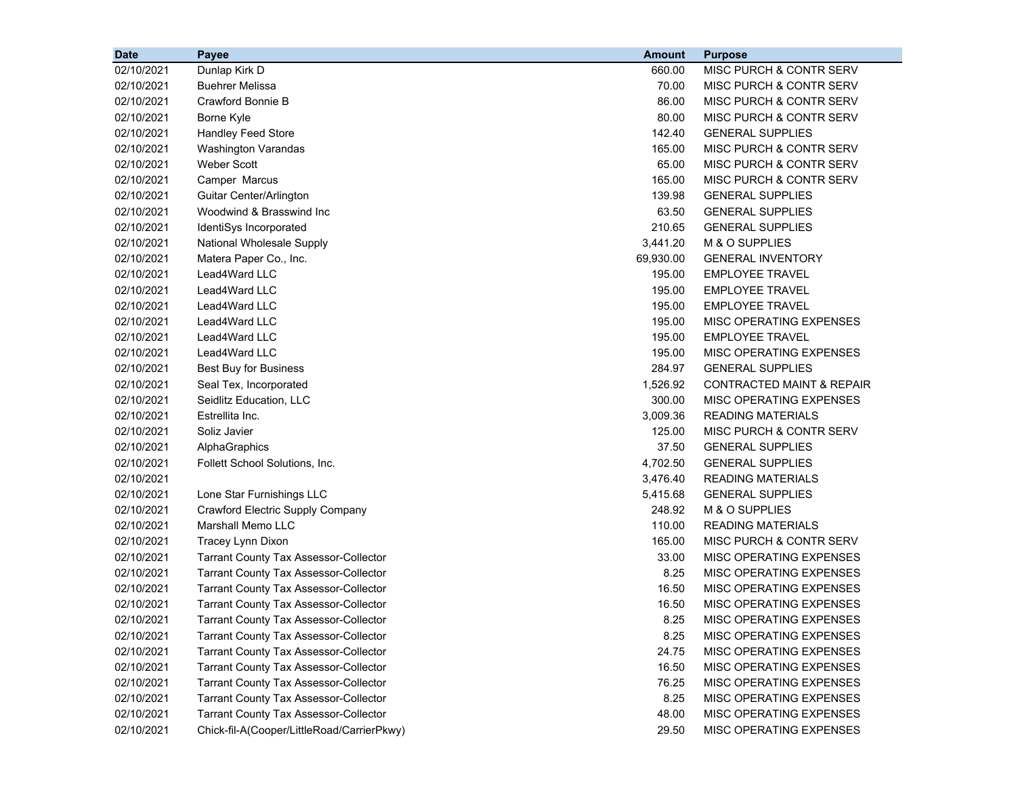| <b>Date</b> | Payee                                        | <b>Amount</b> | <b>Purpose</b>                       |
|-------------|----------------------------------------------|---------------|--------------------------------------|
| 02/10/2021  | Dunlap Kirk D                                | 660.00        | MISC PURCH & CONTR SERV              |
| 02/10/2021  | <b>Buehrer Melissa</b>                       | 70.00         | MISC PURCH & CONTR SERV              |
| 02/10/2021  | Crawford Bonnie B                            | 86.00         | MISC PURCH & CONTR SERV              |
| 02/10/2021  | Borne Kyle                                   | 80.00         | MISC PURCH & CONTR SERV              |
| 02/10/2021  | Handley Feed Store                           | 142.40        | <b>GENERAL SUPPLIES</b>              |
| 02/10/2021  | Washington Varandas                          | 165.00        | MISC PURCH & CONTR SERV              |
| 02/10/2021  | <b>Weber Scott</b>                           | 65.00         | MISC PURCH & CONTR SERV              |
| 02/10/2021  | Camper Marcus                                | 165.00        | MISC PURCH & CONTR SERV              |
| 02/10/2021  | Guitar Center/Arlington                      | 139.98        | <b>GENERAL SUPPLIES</b>              |
| 02/10/2021  | Woodwind & Brasswind Inc                     | 63.50         | <b>GENERAL SUPPLIES</b>              |
| 02/10/2021  | IdentiSys Incorporated                       | 210.65        | <b>GENERAL SUPPLIES</b>              |
| 02/10/2021  | National Wholesale Supply                    | 3,441.20      | M & O SUPPLIES                       |
| 02/10/2021  | Matera Paper Co., Inc.                       | 69,930.00     | <b>GENERAL INVENTORY</b>             |
| 02/10/2021  | Lead4Ward LLC                                | 195.00        | <b>EMPLOYEE TRAVEL</b>               |
| 02/10/2021  | Lead4Ward LLC                                | 195.00        | <b>EMPLOYEE TRAVEL</b>               |
| 02/10/2021  | Lead4Ward LLC                                | 195.00        | <b>EMPLOYEE TRAVEL</b>               |
| 02/10/2021  | Lead4Ward LLC                                | 195.00        | MISC OPERATING EXPENSES              |
| 02/10/2021  | Lead4Ward LLC                                | 195.00        | <b>EMPLOYEE TRAVEL</b>               |
| 02/10/2021  | Lead4Ward LLC                                | 195.00        | MISC OPERATING EXPENSES              |
| 02/10/2021  | Best Buy for Business                        | 284.97        | <b>GENERAL SUPPLIES</b>              |
| 02/10/2021  | Seal Tex, Incorporated                       | 1,526.92      | <b>CONTRACTED MAINT &amp; REPAIR</b> |
| 02/10/2021  | Seidlitz Education, LLC                      | 300.00        | MISC OPERATING EXPENSES              |
| 02/10/2021  | Estrellita Inc.                              | 3,009.36      | <b>READING MATERIALS</b>             |
| 02/10/2021  | Soliz Javier                                 | 125.00        | MISC PURCH & CONTR SERV              |
| 02/10/2021  | AlphaGraphics                                | 37.50         | <b>GENERAL SUPPLIES</b>              |
| 02/10/2021  | Follett School Solutions, Inc.               | 4,702.50      | <b>GENERAL SUPPLIES</b>              |
| 02/10/2021  |                                              | 3,476.40      | <b>READING MATERIALS</b>             |
| 02/10/2021  | Lone Star Furnishings LLC                    | 5,415.68      | <b>GENERAL SUPPLIES</b>              |
| 02/10/2021  | Crawford Electric Supply Company             | 248.92        | M & O SUPPLIES                       |
| 02/10/2021  | Marshall Memo LLC                            | 110.00        | <b>READING MATERIALS</b>             |
| 02/10/2021  | Tracey Lynn Dixon                            | 165.00        | MISC PURCH & CONTR SERV              |
| 02/10/2021  | <b>Tarrant County Tax Assessor-Collector</b> | 33.00         | MISC OPERATING EXPENSES              |
| 02/10/2021  | <b>Tarrant County Tax Assessor-Collector</b> | 8.25          | MISC OPERATING EXPENSES              |
| 02/10/2021  | <b>Tarrant County Tax Assessor-Collector</b> | 16.50         | MISC OPERATING EXPENSES              |
| 02/10/2021  | <b>Tarrant County Tax Assessor-Collector</b> | 16.50         | MISC OPERATING EXPENSES              |
| 02/10/2021  | <b>Tarrant County Tax Assessor-Collector</b> | 8.25          | MISC OPERATING EXPENSES              |
| 02/10/2021  | <b>Tarrant County Tax Assessor-Collector</b> | 8.25          | MISC OPERATING EXPENSES              |
| 02/10/2021  | <b>Tarrant County Tax Assessor-Collector</b> | 24.75         | MISC OPERATING EXPENSES              |
| 02/10/2021  | <b>Tarrant County Tax Assessor-Collector</b> | 16.50         | MISC OPERATING EXPENSES              |
| 02/10/2021  | <b>Tarrant County Tax Assessor-Collector</b> | 76.25         | MISC OPERATING EXPENSES              |
| 02/10/2021  | <b>Tarrant County Tax Assessor-Collector</b> | 8.25          | MISC OPERATING EXPENSES              |
| 02/10/2021  | <b>Tarrant County Tax Assessor-Collector</b> | 48.00         | MISC OPERATING EXPENSES              |
| 02/10/2021  | Chick-fil-A(Cooper/LittleRoad/CarrierPkwy)   | 29.50         | MISC OPERATING EXPENSES              |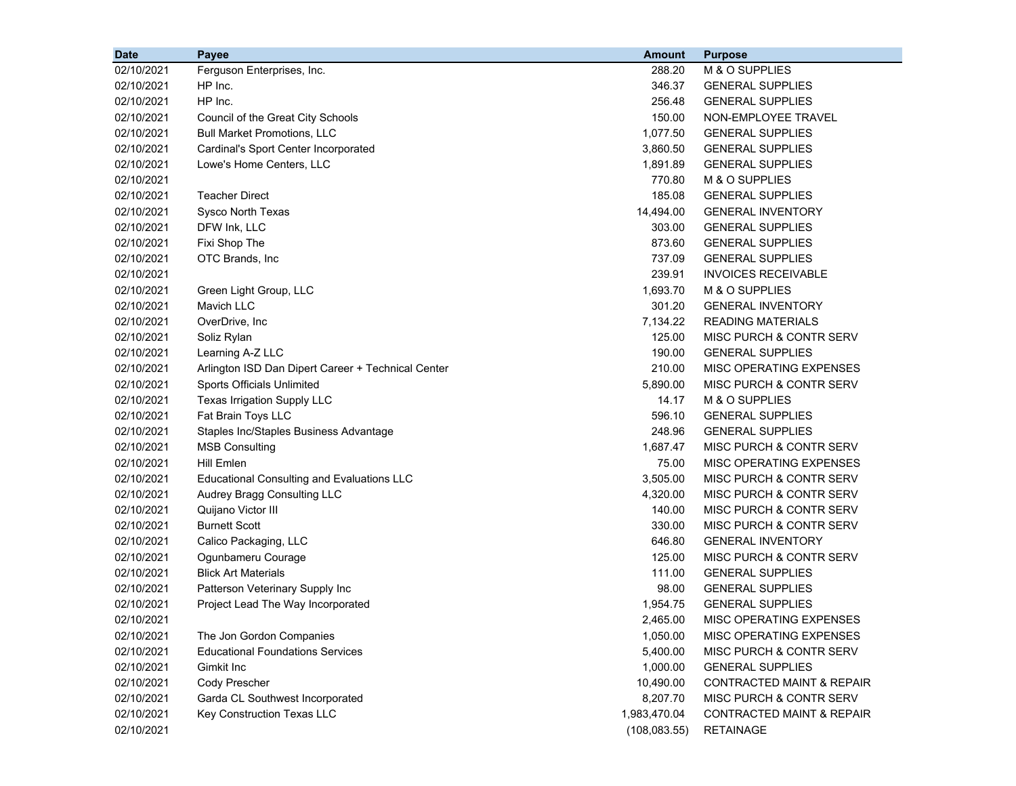| <b>Date</b> | Payee                                              | <b>Amount</b> | <b>Purpose</b>                       |
|-------------|----------------------------------------------------|---------------|--------------------------------------|
| 02/10/2021  | Ferguson Enterprises, Inc.                         | 288.20        | M & O SUPPLIES                       |
| 02/10/2021  | HP Inc.                                            | 346.37        | <b>GENERAL SUPPLIES</b>              |
| 02/10/2021  | HP Inc.                                            | 256.48        | <b>GENERAL SUPPLIES</b>              |
| 02/10/2021  | Council of the Great City Schools                  | 150.00        | NON-EMPLOYEE TRAVEL                  |
| 02/10/2021  | <b>Bull Market Promotions, LLC</b>                 | 1,077.50      | <b>GENERAL SUPPLIES</b>              |
| 02/10/2021  | Cardinal's Sport Center Incorporated               | 3,860.50      | <b>GENERAL SUPPLIES</b>              |
| 02/10/2021  | Lowe's Home Centers, LLC                           | 1,891.89      | <b>GENERAL SUPPLIES</b>              |
| 02/10/2021  |                                                    | 770.80        | M & O SUPPLIES                       |
| 02/10/2021  | <b>Teacher Direct</b>                              | 185.08        | <b>GENERAL SUPPLIES</b>              |
| 02/10/2021  | <b>Sysco North Texas</b>                           | 14,494.00     | <b>GENERAL INVENTORY</b>             |
| 02/10/2021  | DFW Ink, LLC                                       | 303.00        | <b>GENERAL SUPPLIES</b>              |
| 02/10/2021  | Fixi Shop The                                      | 873.60        | <b>GENERAL SUPPLIES</b>              |
| 02/10/2021  | OTC Brands, Inc                                    | 737.09        | <b>GENERAL SUPPLIES</b>              |
| 02/10/2021  |                                                    | 239.91        | <b>INVOICES RECEIVABLE</b>           |
| 02/10/2021  | Green Light Group, LLC                             | 1,693.70      | M & O SUPPLIES                       |
| 02/10/2021  | Mavich LLC                                         | 301.20        | <b>GENERAL INVENTORY</b>             |
| 02/10/2021  | OverDrive, Inc                                     | 7,134.22      | <b>READING MATERIALS</b>             |
| 02/10/2021  | Soliz Rylan                                        | 125.00        | MISC PURCH & CONTR SERV              |
| 02/10/2021  | Learning A-Z LLC                                   | 190.00        | <b>GENERAL SUPPLIES</b>              |
| 02/10/2021  | Arlington ISD Dan Dipert Career + Technical Center | 210.00        | MISC OPERATING EXPENSES              |
| 02/10/2021  | Sports Officials Unlimited                         | 5,890.00      | MISC PURCH & CONTR SERV              |
| 02/10/2021  | Texas Irrigation Supply LLC                        | 14.17         | M & O SUPPLIES                       |
| 02/10/2021  | Fat Brain Toys LLC                                 | 596.10        | <b>GENERAL SUPPLIES</b>              |
| 02/10/2021  | Staples Inc/Staples Business Advantage             | 248.96        | <b>GENERAL SUPPLIES</b>              |
| 02/10/2021  | <b>MSB Consulting</b>                              | 1,687.47      | MISC PURCH & CONTR SERV              |
| 02/10/2021  | <b>Hill Emlen</b>                                  | 75.00         | MISC OPERATING EXPENSES              |
| 02/10/2021  | <b>Educational Consulting and Evaluations LLC</b>  | 3,505.00      | MISC PURCH & CONTR SERV              |
| 02/10/2021  | Audrey Bragg Consulting LLC                        | 4,320.00      | MISC PURCH & CONTR SERV              |
| 02/10/2021  | Quijano Victor III                                 | 140.00        | MISC PURCH & CONTR SERV              |
| 02/10/2021  | <b>Burnett Scott</b>                               | 330.00        | MISC PURCH & CONTR SERV              |
| 02/10/2021  | Calico Packaging, LLC                              | 646.80        | <b>GENERAL INVENTORY</b>             |
| 02/10/2021  | Ogunbameru Courage                                 | 125.00        | MISC PURCH & CONTR SERV              |
| 02/10/2021  | <b>Blick Art Materials</b>                         | 111.00        | <b>GENERAL SUPPLIES</b>              |
| 02/10/2021  | Patterson Veterinary Supply Inc                    | 98.00         | <b>GENERAL SUPPLIES</b>              |
| 02/10/2021  | Project Lead The Way Incorporated                  | 1,954.75      | <b>GENERAL SUPPLIES</b>              |
| 02/10/2021  |                                                    | 2,465.00      | MISC OPERATING EXPENSES              |
| 02/10/2021  | The Jon Gordon Companies                           | 1,050.00      | MISC OPERATING EXPENSES              |
| 02/10/2021  | <b>Educational Foundations Services</b>            | 5,400.00      | MISC PURCH & CONTR SERV              |
| 02/10/2021  | Gimkit Inc                                         | 1,000.00      | <b>GENERAL SUPPLIES</b>              |
| 02/10/2021  | Cody Prescher                                      | 10,490.00     | <b>CONTRACTED MAINT &amp; REPAIR</b> |
| 02/10/2021  | Garda CL Southwest Incorporated                    | 8,207.70      | MISC PURCH & CONTR SERV              |
| 02/10/2021  | Key Construction Texas LLC                         | 1,983,470.04  | <b>CONTRACTED MAINT &amp; REPAIR</b> |
| 02/10/2021  |                                                    | (108, 083.55) | <b>RETAINAGE</b>                     |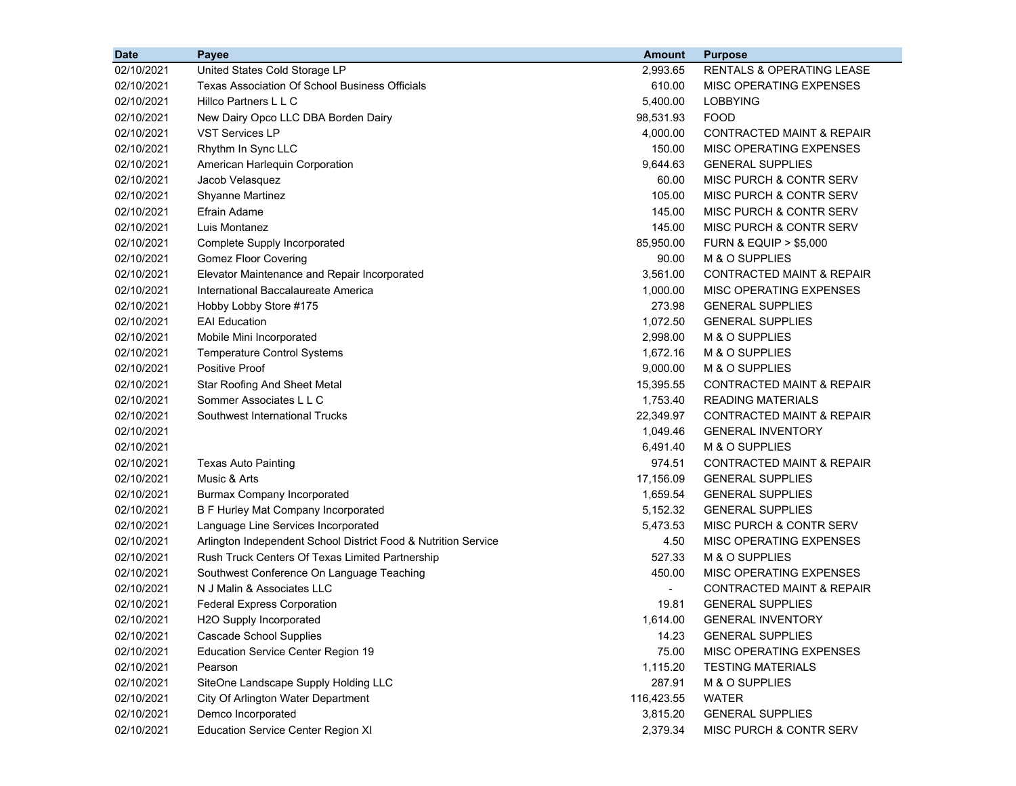| <b>Date</b> | Payee                                                          | <b>Amount</b>            | <b>Purpose</b>                       |
|-------------|----------------------------------------------------------------|--------------------------|--------------------------------------|
| 02/10/2021  | United States Cold Storage LP                                  | 2,993.65                 | <b>RENTALS &amp; OPERATING LEASE</b> |
| 02/10/2021  | <b>Texas Association Of School Business Officials</b>          | 610.00                   | MISC OPERATING EXPENSES              |
| 02/10/2021  | Hillco Partners L L C                                          | 5,400.00                 | <b>LOBBYING</b>                      |
| 02/10/2021  | New Dairy Opco LLC DBA Borden Dairy                            | 98,531.93                | <b>FOOD</b>                          |
| 02/10/2021  | <b>VST Services LP</b>                                         | 4,000.00                 | CONTRACTED MAINT & REPAIR            |
| 02/10/2021  | Rhythm In Sync LLC                                             | 150.00                   | MISC OPERATING EXPENSES              |
| 02/10/2021  | American Harlequin Corporation                                 | 9,644.63                 | <b>GENERAL SUPPLIES</b>              |
| 02/10/2021  | Jacob Velasquez                                                | 60.00                    | MISC PURCH & CONTR SERV              |
| 02/10/2021  | <b>Shyanne Martinez</b>                                        | 105.00                   | MISC PURCH & CONTR SERV              |
| 02/10/2021  | <b>Efrain Adame</b>                                            | 145.00                   | <b>MISC PURCH &amp; CONTR SERV</b>   |
| 02/10/2021  | Luis Montanez                                                  | 145.00                   | MISC PURCH & CONTR SERV              |
| 02/10/2021  | Complete Supply Incorporated                                   | 85,950.00                | <b>FURN &amp; EQUIP &gt; \$5,000</b> |
| 02/10/2021  | <b>Gomez Floor Covering</b>                                    | 90.00                    | M & O SUPPLIES                       |
| 02/10/2021  | Elevator Maintenance and Repair Incorporated                   | 3,561.00                 | CONTRACTED MAINT & REPAIR            |
| 02/10/2021  | International Baccalaureate America                            | 1,000.00                 | MISC OPERATING EXPENSES              |
| 02/10/2021  | Hobby Lobby Store #175                                         | 273.98                   | <b>GENERAL SUPPLIES</b>              |
| 02/10/2021  | <b>EAI</b> Education                                           | 1,072.50                 | <b>GENERAL SUPPLIES</b>              |
| 02/10/2021  | Mobile Mini Incorporated                                       | 2,998.00                 | M & O SUPPLIES                       |
| 02/10/2021  | <b>Temperature Control Systems</b>                             | 1,672.16                 | M & O SUPPLIES                       |
| 02/10/2021  | <b>Positive Proof</b>                                          | 9,000.00                 | M & O SUPPLIES                       |
| 02/10/2021  | Star Roofing And Sheet Metal                                   | 15,395.55                | <b>CONTRACTED MAINT &amp; REPAIR</b> |
| 02/10/2021  | Sommer Associates L L C                                        | 1,753.40                 | <b>READING MATERIALS</b>             |
| 02/10/2021  | Southwest International Trucks                                 | 22,349.97                | CONTRACTED MAINT & REPAIR            |
| 02/10/2021  |                                                                | 1,049.46                 | <b>GENERAL INVENTORY</b>             |
| 02/10/2021  |                                                                | 6,491.40                 | M & O SUPPLIES                       |
| 02/10/2021  | <b>Texas Auto Painting</b>                                     | 974.51                   | <b>CONTRACTED MAINT &amp; REPAIR</b> |
| 02/10/2021  | Music & Arts                                                   | 17,156.09                | <b>GENERAL SUPPLIES</b>              |
| 02/10/2021  | <b>Burmax Company Incorporated</b>                             | 1,659.54                 | <b>GENERAL SUPPLIES</b>              |
| 02/10/2021  | B F Hurley Mat Company Incorporated                            | 5,152.32                 | <b>GENERAL SUPPLIES</b>              |
| 02/10/2021  | Language Line Services Incorporated                            | 5,473.53                 | MISC PURCH & CONTR SERV              |
| 02/10/2021  | Arlington Independent School District Food & Nutrition Service | 4.50                     | MISC OPERATING EXPENSES              |
| 02/10/2021  | Rush Truck Centers Of Texas Limited Partnership                | 527.33                   | M & O SUPPLIES                       |
| 02/10/2021  | Southwest Conference On Language Teaching                      | 450.00                   | MISC OPERATING EXPENSES              |
| 02/10/2021  | N J Malin & Associates LLC                                     | $\overline{\phantom{a}}$ | <b>CONTRACTED MAINT &amp; REPAIR</b> |
| 02/10/2021  | <b>Federal Express Corporation</b>                             | 19.81                    | <b>GENERAL SUPPLIES</b>              |
| 02/10/2021  | H <sub>2</sub> O Supply Incorporated                           | 1.614.00                 | <b>GENERAL INVENTORY</b>             |
| 02/10/2021  | <b>Cascade School Supplies</b>                                 | 14.23                    | <b>GENERAL SUPPLIES</b>              |
| 02/10/2021  | <b>Education Service Center Region 19</b>                      | 75.00                    | <b>MISC OPERATING EXPENSES</b>       |
| 02/10/2021  | Pearson                                                        | 1,115.20                 | <b>TESTING MATERIALS</b>             |
| 02/10/2021  | SiteOne Landscape Supply Holding LLC                           | 287.91                   | M & O SUPPLIES                       |
| 02/10/2021  | City Of Arlington Water Department                             | 116,423.55               | WATER                                |
| 02/10/2021  | Demco Incorporated                                             | 3,815.20                 | <b>GENERAL SUPPLIES</b>              |
| 02/10/2021  | <b>Education Service Center Region XI</b>                      | 2,379.34                 | MISC PURCH & CONTR SERV              |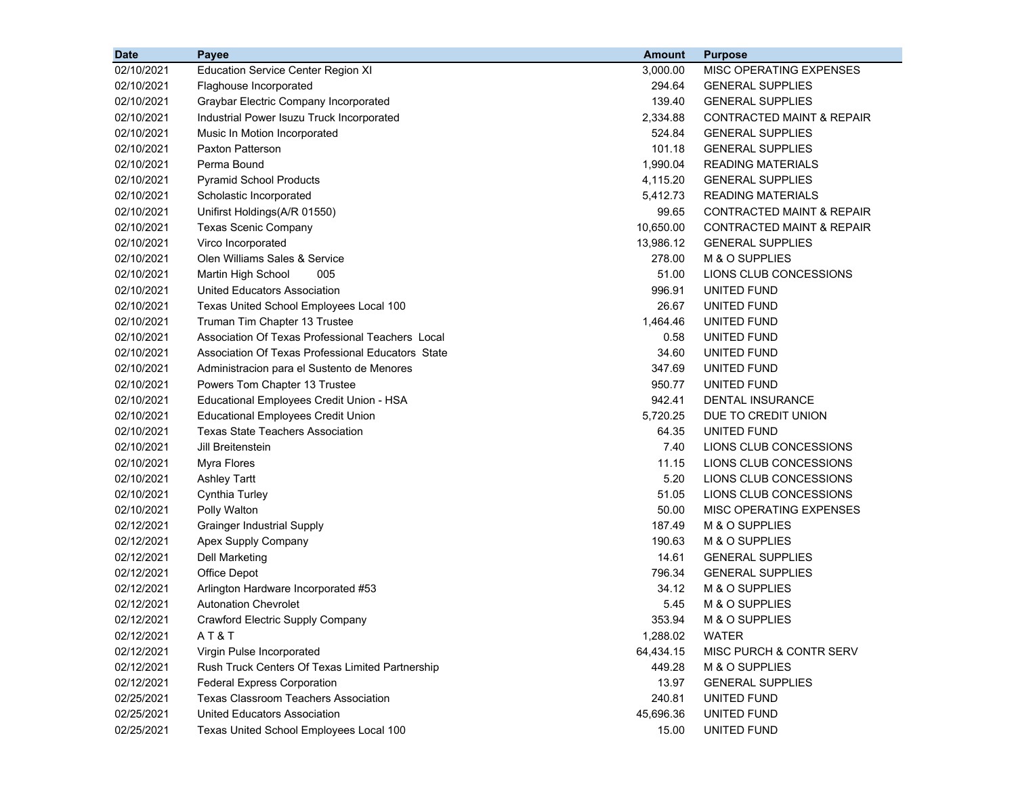| <b>Date</b> | <b>Payee</b>                                      | <b>Amount</b> | <b>Purpose</b>                       |
|-------------|---------------------------------------------------|---------------|--------------------------------------|
| 02/10/2021  | <b>Education Service Center Region XI</b>         | 3,000.00      | MISC OPERATING EXPENSES              |
| 02/10/2021  | Flaghouse Incorporated                            | 294.64        | <b>GENERAL SUPPLIES</b>              |
| 02/10/2021  | Graybar Electric Company Incorporated             | 139.40        | <b>GENERAL SUPPLIES</b>              |
| 02/10/2021  | Industrial Power Isuzu Truck Incorporated         | 2,334.88      | <b>CONTRACTED MAINT &amp; REPAIR</b> |
| 02/10/2021  | Music In Motion Incorporated                      | 524.84        | <b>GENERAL SUPPLIES</b>              |
| 02/10/2021  | Paxton Patterson                                  | 101.18        | <b>GENERAL SUPPLIES</b>              |
| 02/10/2021  | Perma Bound                                       | 1,990.04      | <b>READING MATERIALS</b>             |
| 02/10/2021  | <b>Pyramid School Products</b>                    | 4,115.20      | <b>GENERAL SUPPLIES</b>              |
| 02/10/2021  | Scholastic Incorporated                           | 5,412.73      | <b>READING MATERIALS</b>             |
| 02/10/2021  | Unifirst Holdings(A/R 01550)                      | 99.65         | <b>CONTRACTED MAINT &amp; REPAIR</b> |
| 02/10/2021  | <b>Texas Scenic Company</b>                       | 10,650.00     | CONTRACTED MAINT & REPAIR            |
| 02/10/2021  | Virco Incorporated                                | 13,986.12     | <b>GENERAL SUPPLIES</b>              |
| 02/10/2021  | Olen Williams Sales & Service                     | 278.00        | M & O SUPPLIES                       |
| 02/10/2021  | Martin High School<br>005                         | 51.00         | LIONS CLUB CONCESSIONS               |
| 02/10/2021  | United Educators Association                      | 996.91        | UNITED FUND                          |
| 02/10/2021  | Texas United School Employees Local 100           | 26.67         | UNITED FUND                          |
| 02/10/2021  | Truman Tim Chapter 13 Trustee                     | 1,464.46      | UNITED FUND                          |
| 02/10/2021  | Association Of Texas Professional Teachers Local  | 0.58          | UNITED FUND                          |
| 02/10/2021  | Association Of Texas Professional Educators State | 34.60         | UNITED FUND                          |
| 02/10/2021  | Administracion para el Sustento de Menores        | 347.69        | UNITED FUND                          |
| 02/10/2021  | Powers Tom Chapter 13 Trustee                     | 950.77        | UNITED FUND                          |
| 02/10/2021  | Educational Employees Credit Union - HSA          | 942.41        | <b>DENTAL INSURANCE</b>              |
| 02/10/2021  | <b>Educational Employees Credit Union</b>         | 5,720.25      | DUE TO CREDIT UNION                  |
| 02/10/2021  | <b>Texas State Teachers Association</b>           | 64.35         | UNITED FUND                          |
| 02/10/2021  | Jill Breitenstein                                 | 7.40          | LIONS CLUB CONCESSIONS               |
| 02/10/2021  | Myra Flores                                       | 11.15         | LIONS CLUB CONCESSIONS               |
| 02/10/2021  | <b>Ashley Tartt</b>                               | 5.20          | LIONS CLUB CONCESSIONS               |
| 02/10/2021  | Cynthia Turley                                    | 51.05         | LIONS CLUB CONCESSIONS               |
| 02/10/2021  | Polly Walton                                      | 50.00         | MISC OPERATING EXPENSES              |
| 02/12/2021  | <b>Grainger Industrial Supply</b>                 | 187.49        | M & O SUPPLIES                       |
| 02/12/2021  | Apex Supply Company                               | 190.63        | M & O SUPPLIES                       |
| 02/12/2021  | <b>Dell Marketing</b>                             | 14.61         | <b>GENERAL SUPPLIES</b>              |
| 02/12/2021  | Office Depot                                      | 796.34        | <b>GENERAL SUPPLIES</b>              |
| 02/12/2021  | Arlington Hardware Incorporated #53               | 34.12         | M & O SUPPLIES                       |
| 02/12/2021  | <b>Autonation Chevrolet</b>                       | 5.45          | M & O SUPPLIES                       |
| 02/12/2021  | Crawford Electric Supply Company                  | 353.94        | M & O SUPPLIES                       |
| 02/12/2021  | AT&T                                              | 1,288.02      | <b>WATER</b>                         |
| 02/12/2021  | Virgin Pulse Incorporated                         | 64,434.15     | MISC PURCH & CONTR SERV              |
| 02/12/2021  | Rush Truck Centers Of Texas Limited Partnership   | 449.28        | M & O SUPPLIES                       |
| 02/12/2021  | <b>Federal Express Corporation</b>                | 13.97         | <b>GENERAL SUPPLIES</b>              |
| 02/25/2021  | Texas Classroom Teachers Association              | 240.81        | UNITED FUND                          |
| 02/25/2021  | United Educators Association                      | 45,696.36     | UNITED FUND                          |
| 02/25/2021  | Texas United School Employees Local 100           | 15.00         | UNITED FUND                          |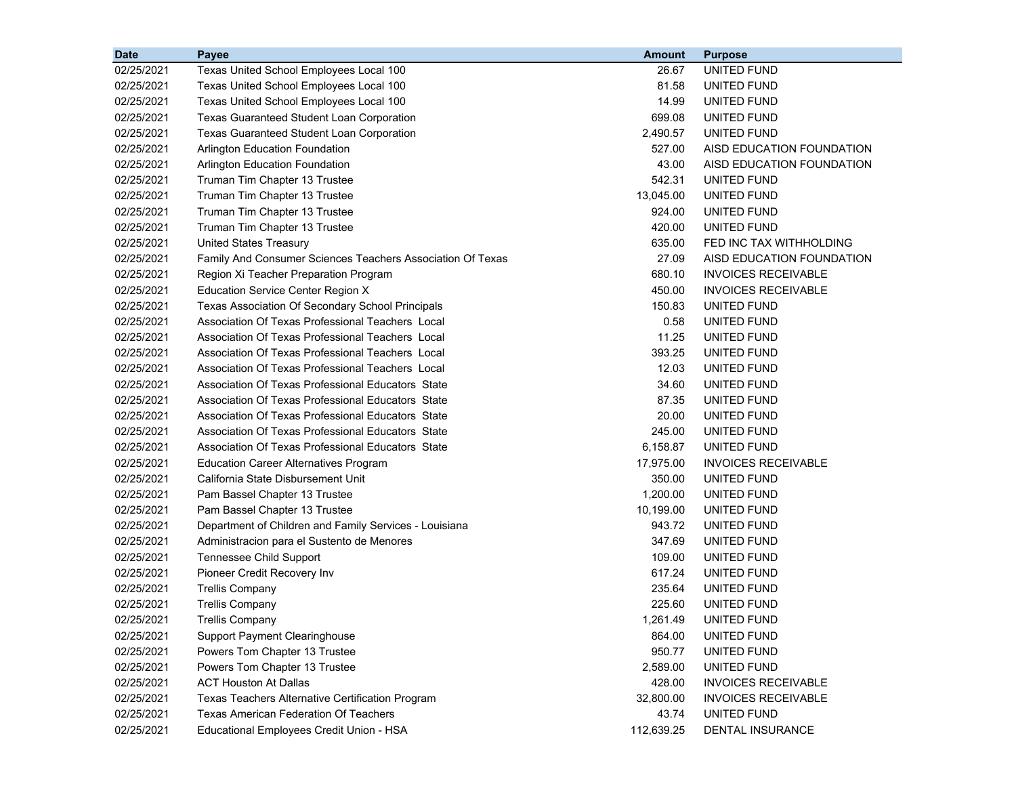| <b>Date</b> | Payee                                                      | <b>Amount</b> | <b>Purpose</b>             |
|-------------|------------------------------------------------------------|---------------|----------------------------|
| 02/25/2021  | Texas United School Employees Local 100                    | 26.67         | UNITED FUND                |
| 02/25/2021  | Texas United School Employees Local 100                    | 81.58         | UNITED FUND                |
| 02/25/2021  | Texas United School Employees Local 100                    | 14.99         | UNITED FUND                |
| 02/25/2021  | <b>Texas Guaranteed Student Loan Corporation</b>           | 699.08        | UNITED FUND                |
| 02/25/2021  | <b>Texas Guaranteed Student Loan Corporation</b>           | 2,490.57      | UNITED FUND                |
| 02/25/2021  | <b>Arlington Education Foundation</b>                      | 527.00        | AISD EDUCATION FOUNDATION  |
| 02/25/2021  | <b>Arlington Education Foundation</b>                      | 43.00         | AISD EDUCATION FOUNDATION  |
| 02/25/2021  | Truman Tim Chapter 13 Trustee                              | 542.31        | UNITED FUND                |
| 02/25/2021  | Truman Tim Chapter 13 Trustee                              | 13,045.00     | UNITED FUND                |
| 02/25/2021  | Truman Tim Chapter 13 Trustee                              | 924.00        | UNITED FUND                |
| 02/25/2021  | Truman Tim Chapter 13 Trustee                              | 420.00        | UNITED FUND                |
| 02/25/2021  | <b>United States Treasury</b>                              | 635.00        | FED INC TAX WITHHOLDING    |
| 02/25/2021  | Family And Consumer Sciences Teachers Association Of Texas | 27.09         | AISD EDUCATION FOUNDATION  |
| 02/25/2021  | Region Xi Teacher Preparation Program                      | 680.10        | <b>INVOICES RECEIVABLE</b> |
| 02/25/2021  | Education Service Center Region X                          | 450.00        | <b>INVOICES RECEIVABLE</b> |
| 02/25/2021  | Texas Association Of Secondary School Principals           | 150.83        | UNITED FUND                |
| 02/25/2021  | Association Of Texas Professional Teachers Local           | 0.58          | UNITED FUND                |
| 02/25/2021  | Association Of Texas Professional Teachers Local           | 11.25         | UNITED FUND                |
| 02/25/2021  | Association Of Texas Professional Teachers Local           | 393.25        | UNITED FUND                |
| 02/25/2021  | Association Of Texas Professional Teachers Local           | 12.03         | UNITED FUND                |
| 02/25/2021  | Association Of Texas Professional Educators State          | 34.60         | UNITED FUND                |
| 02/25/2021  | Association Of Texas Professional Educators State          | 87.35         | UNITED FUND                |
| 02/25/2021  | Association Of Texas Professional Educators State          | 20.00         | UNITED FUND                |
| 02/25/2021  | Association Of Texas Professional Educators State          | 245.00        | UNITED FUND                |
| 02/25/2021  | Association Of Texas Professional Educators State          | 6,158.87      | UNITED FUND                |
| 02/25/2021  | <b>Education Career Alternatives Program</b>               | 17,975.00     | <b>INVOICES RECEIVABLE</b> |
| 02/25/2021  | California State Disbursement Unit                         | 350.00        | UNITED FUND                |
| 02/25/2021  | Pam Bassel Chapter 13 Trustee                              | 1,200.00      | UNITED FUND                |
| 02/25/2021  | Pam Bassel Chapter 13 Trustee                              | 10,199.00     | UNITED FUND                |
| 02/25/2021  | Department of Children and Family Services - Louisiana     | 943.72        | UNITED FUND                |
| 02/25/2021  | Administracion para el Sustento de Menores                 | 347.69        | UNITED FUND                |
| 02/25/2021  | <b>Tennessee Child Support</b>                             | 109.00        | UNITED FUND                |
| 02/25/2021  | Pioneer Credit Recovery Inv                                | 617.24        | UNITED FUND                |
| 02/25/2021  | <b>Trellis Company</b>                                     | 235.64        | UNITED FUND                |
| 02/25/2021  | <b>Trellis Company</b>                                     | 225.60        | UNITED FUND                |
| 02/25/2021  | <b>Trellis Company</b>                                     | 1,261.49      | UNITED FUND                |
| 02/25/2021  | <b>Support Payment Clearinghouse</b>                       | 864.00        | UNITED FUND                |
| 02/25/2021  | Powers Tom Chapter 13 Trustee                              | 950.77        | UNITED FUND                |
| 02/25/2021  | Powers Tom Chapter 13 Trustee                              | 2,589.00      | UNITED FUND                |
| 02/25/2021  | <b>ACT Houston At Dallas</b>                               | 428.00        | <b>INVOICES RECEIVABLE</b> |
| 02/25/2021  | Texas Teachers Alternative Certification Program           | 32,800.00     | <b>INVOICES RECEIVABLE</b> |
| 02/25/2021  | <b>Texas American Federation Of Teachers</b>               | 43.74         | UNITED FUND                |
| 02/25/2021  | Educational Employees Credit Union - HSA                   | 112,639.25    | DENTAL INSURANCE           |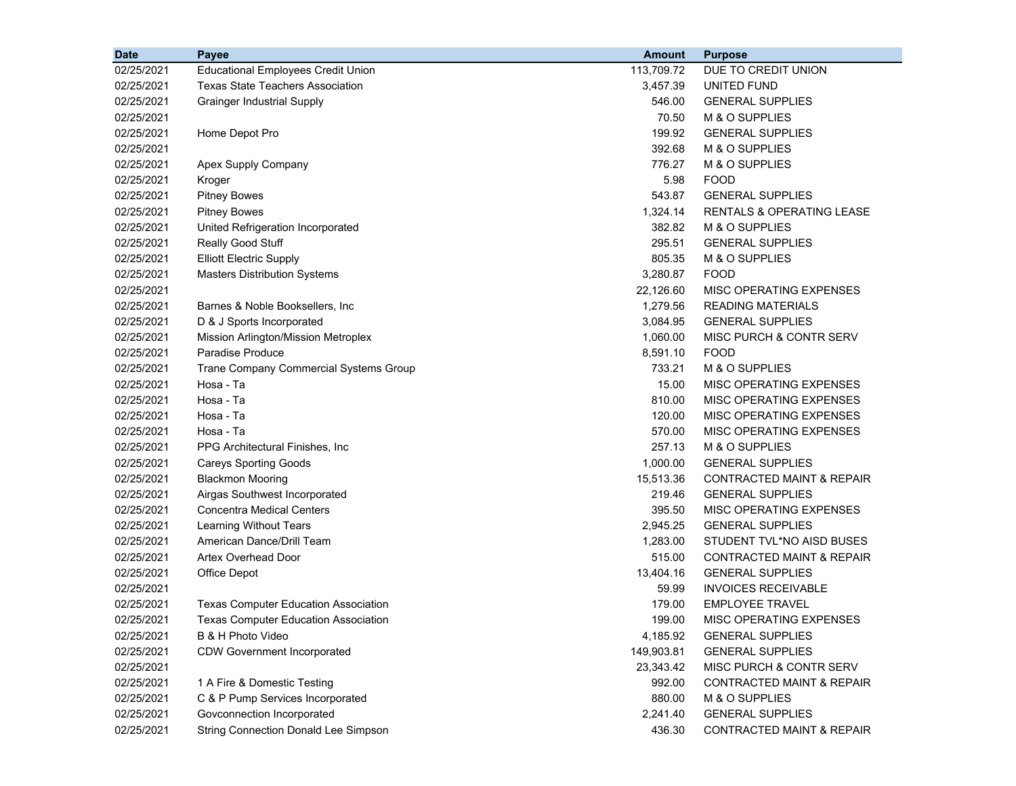| <b>Date</b> | Payee                                       | <b>Amount</b> | <b>Purpose</b>                       |
|-------------|---------------------------------------------|---------------|--------------------------------------|
| 02/25/2021  | <b>Educational Employees Credit Union</b>   | 113,709.72    | DUE TO CREDIT UNION                  |
| 02/25/2021  | Texas State Teachers Association            | 3,457.39      | UNITED FUND                          |
| 02/25/2021  | <b>Grainger Industrial Supply</b>           | 546.00        | <b>GENERAL SUPPLIES</b>              |
| 02/25/2021  |                                             | 70.50         | M & O SUPPLIES                       |
| 02/25/2021  | Home Depot Pro                              | 199.92        | <b>GENERAL SUPPLIES</b>              |
| 02/25/2021  |                                             | 392.68        | M & O SUPPLIES                       |
| 02/25/2021  | Apex Supply Company                         | 776.27        | M & O SUPPLIES                       |
| 02/25/2021  | Kroger                                      | 5.98          | <b>FOOD</b>                          |
| 02/25/2021  | <b>Pitney Bowes</b>                         | 543.87        | <b>GENERAL SUPPLIES</b>              |
| 02/25/2021  | <b>Pitney Bowes</b>                         | 1,324.14      | RENTALS & OPERATING LEASE            |
| 02/25/2021  | United Refrigeration Incorporated           | 382.82        | M & O SUPPLIES                       |
| 02/25/2021  | Really Good Stuff                           | 295.51        | <b>GENERAL SUPPLIES</b>              |
| 02/25/2021  | <b>Elliott Electric Supply</b>              | 805.35        | M & O SUPPLIES                       |
| 02/25/2021  | <b>Masters Distribution Systems</b>         | 3,280.87      | <b>FOOD</b>                          |
| 02/25/2021  |                                             | 22,126.60     | MISC OPERATING EXPENSES              |
| 02/25/2021  | Barnes & Noble Booksellers, Inc.            | 1,279.56      | <b>READING MATERIALS</b>             |
| 02/25/2021  | D & J Sports Incorporated                   | 3,084.95      | <b>GENERAL SUPPLIES</b>              |
| 02/25/2021  | Mission Arlington/Mission Metroplex         | 1,060.00      | MISC PURCH & CONTR SERV              |
| 02/25/2021  | Paradise Produce                            | 8,591.10      | <b>FOOD</b>                          |
| 02/25/2021  | Trane Company Commercial Systems Group      | 733.21        | M & O SUPPLIES                       |
| 02/25/2021  | Hosa - Ta                                   | 15.00         | MISC OPERATING EXPENSES              |
| 02/25/2021  | Hosa - Ta                                   | 810.00        | MISC OPERATING EXPENSES              |
| 02/25/2021  | Hosa - Ta                                   | 120.00        | MISC OPERATING EXPENSES              |
| 02/25/2021  | Hosa - Ta                                   | 570.00        | MISC OPERATING EXPENSES              |
| 02/25/2021  | PPG Architectural Finishes, Inc             | 257.13        | M & O SUPPLIES                       |
| 02/25/2021  | <b>Careys Sporting Goods</b>                | 1,000.00      | <b>GENERAL SUPPLIES</b>              |
| 02/25/2021  | <b>Blackmon Mooring</b>                     | 15,513.36     | <b>CONTRACTED MAINT &amp; REPAIR</b> |
| 02/25/2021  | Airgas Southwest Incorporated               | 219.46        | <b>GENERAL SUPPLIES</b>              |
| 02/25/2021  | <b>Concentra Medical Centers</b>            | 395.50        | MISC OPERATING EXPENSES              |
| 02/25/2021  | Learning Without Tears                      | 2,945.25      | <b>GENERAL SUPPLIES</b>              |
| 02/25/2021  | American Dance/Drill Team                   | 1,283.00      | STUDENT TVL*NO AISD BUSES            |
| 02/25/2021  | <b>Artex Overhead Door</b>                  | 515.00        | CONTRACTED MAINT & REPAIR            |
| 02/25/2021  | Office Depot                                | 13,404.16     | <b>GENERAL SUPPLIES</b>              |
| 02/25/2021  |                                             | 59.99         | <b>INVOICES RECEIVABLE</b>           |
| 02/25/2021  | <b>Texas Computer Education Association</b> | 179.00        | <b>EMPLOYEE TRAVEL</b>               |
| 02/25/2021  | Texas Computer Education Association        | 199.00        | <b>MISC OPERATING EXPENSES</b>       |
| 02/25/2021  | B & H Photo Video                           | 4,185.92      | <b>GENERAL SUPPLIES</b>              |
| 02/25/2021  | <b>CDW Government Incorporated</b>          | 149,903.81    | <b>GENERAL SUPPLIES</b>              |
| 02/25/2021  |                                             | 23,343.42     | MISC PURCH & CONTR SERV              |
| 02/25/2021  | 1 A Fire & Domestic Testing                 | 992.00        | <b>CONTRACTED MAINT &amp; REPAIR</b> |
| 02/25/2021  | C & P Pump Services Incorporated            | 880.00        | M & O SUPPLIES                       |
| 02/25/2021  | Govconnection Incorporated                  | 2,241.40      | <b>GENERAL SUPPLIES</b>              |
| 02/25/2021  | <b>String Connection Donald Lee Simpson</b> | 436.30        | CONTRACTED MAINT & REPAIR            |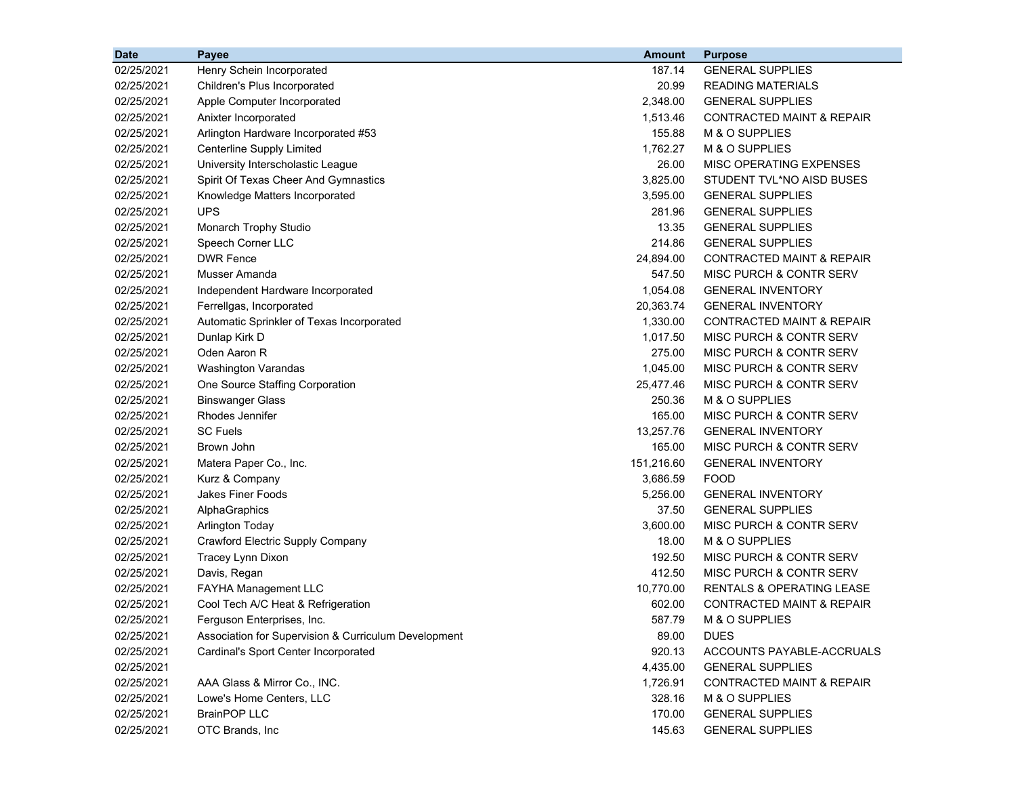| <b>Date</b> | <b>Payee</b>                                         | <b>Amount</b> | <b>Purpose</b>                       |
|-------------|------------------------------------------------------|---------------|--------------------------------------|
| 02/25/2021  | Henry Schein Incorporated                            | 187.14        | <b>GENERAL SUPPLIES</b>              |
| 02/25/2021  | Children's Plus Incorporated                         | 20.99         | <b>READING MATERIALS</b>             |
| 02/25/2021  | Apple Computer Incorporated                          | 2,348.00      | <b>GENERAL SUPPLIES</b>              |
| 02/25/2021  | Anixter Incorporated                                 | 1,513.46      | <b>CONTRACTED MAINT &amp; REPAIR</b> |
| 02/25/2021  | Arlington Hardware Incorporated #53                  | 155.88        | M & O SUPPLIES                       |
| 02/25/2021  | <b>Centerline Supply Limited</b>                     | 1,762.27      | M & O SUPPLIES                       |
| 02/25/2021  | University Interscholastic League                    | 26.00         | MISC OPERATING EXPENSES              |
| 02/25/2021  | Spirit Of Texas Cheer And Gymnastics                 | 3,825.00      | STUDENT TVL*NO AISD BUSES            |
| 02/25/2021  | Knowledge Matters Incorporated                       | 3,595.00      | <b>GENERAL SUPPLIES</b>              |
| 02/25/2021  | <b>UPS</b>                                           | 281.96        | <b>GENERAL SUPPLIES</b>              |
| 02/25/2021  | Monarch Trophy Studio                                | 13.35         | <b>GENERAL SUPPLIES</b>              |
| 02/25/2021  | Speech Corner LLC                                    | 214.86        | <b>GENERAL SUPPLIES</b>              |
| 02/25/2021  | <b>DWR Fence</b>                                     | 24,894.00     | CONTRACTED MAINT & REPAIR            |
| 02/25/2021  | Musser Amanda                                        | 547.50        | MISC PURCH & CONTR SERV              |
| 02/25/2021  | Independent Hardware Incorporated                    | 1,054.08      | <b>GENERAL INVENTORY</b>             |
| 02/25/2021  | Ferrellgas, Incorporated                             | 20,363.74     | <b>GENERAL INVENTORY</b>             |
| 02/25/2021  | Automatic Sprinkler of Texas Incorporated            | 1,330.00      | CONTRACTED MAINT & REPAIR            |
| 02/25/2021  | Dunlap Kirk D                                        | 1,017.50      | MISC PURCH & CONTR SERV              |
| 02/25/2021  | Oden Aaron R                                         | 275.00        | MISC PURCH & CONTR SERV              |
| 02/25/2021  | Washington Varandas                                  | 1,045.00      | MISC PURCH & CONTR SERV              |
| 02/25/2021  | One Source Staffing Corporation                      | 25,477.46     | MISC PURCH & CONTR SERV              |
| 02/25/2021  | <b>Binswanger Glass</b>                              | 250.36        | M & O SUPPLIES                       |
| 02/25/2021  | Rhodes Jennifer                                      | 165.00        | MISC PURCH & CONTR SERV              |
| 02/25/2021  | <b>SC Fuels</b>                                      | 13,257.76     | <b>GENERAL INVENTORY</b>             |
| 02/25/2021  | Brown John                                           | 165.00        | MISC PURCH & CONTR SERV              |
| 02/25/2021  | Matera Paper Co., Inc.                               | 151,216.60    | <b>GENERAL INVENTORY</b>             |
| 02/25/2021  | Kurz & Company                                       | 3,686.59      | <b>FOOD</b>                          |
| 02/25/2021  | Jakes Finer Foods                                    | 5,256.00      | <b>GENERAL INVENTORY</b>             |
| 02/25/2021  | AlphaGraphics                                        | 37.50         | <b>GENERAL SUPPLIES</b>              |
| 02/25/2021  | <b>Arlington Today</b>                               | 3,600.00      | MISC PURCH & CONTR SERV              |
| 02/25/2021  | Crawford Electric Supply Company                     | 18.00         | M & O SUPPLIES                       |
| 02/25/2021  | Tracey Lynn Dixon                                    | 192.50        | MISC PURCH & CONTR SERV              |
| 02/25/2021  | Davis, Regan                                         | 412.50        | MISC PURCH & CONTR SERV              |
| 02/25/2021  | FAYHA Management LLC                                 | 10,770.00     | <b>RENTALS &amp; OPERATING LEASE</b> |
| 02/25/2021  | Cool Tech A/C Heat & Refrigeration                   | 602.00        | <b>CONTRACTED MAINT &amp; REPAIR</b> |
| 02/25/2021  | Ferguson Enterprises, Inc.                           | 587.79        | M & O SUPPLIES                       |
| 02/25/2021  | Association for Supervision & Curriculum Development | 89.00         | <b>DUES</b>                          |
| 02/25/2021  | Cardinal's Sport Center Incorporated                 | 920.13        | ACCOUNTS PAYABLE-ACCRUALS            |
| 02/25/2021  |                                                      | 4,435.00      | <b>GENERAL SUPPLIES</b>              |
| 02/25/2021  | AAA Glass & Mirror Co., INC.                         | 1,726.91      | <b>CONTRACTED MAINT &amp; REPAIR</b> |
| 02/25/2021  | Lowe's Home Centers, LLC                             | 328.16        | M & O SUPPLIES                       |
| 02/25/2021  | <b>BrainPOP LLC</b>                                  | 170.00        | <b>GENERAL SUPPLIES</b>              |
| 02/25/2021  | OTC Brands, Inc                                      | 145.63        | <b>GENERAL SUPPLIES</b>              |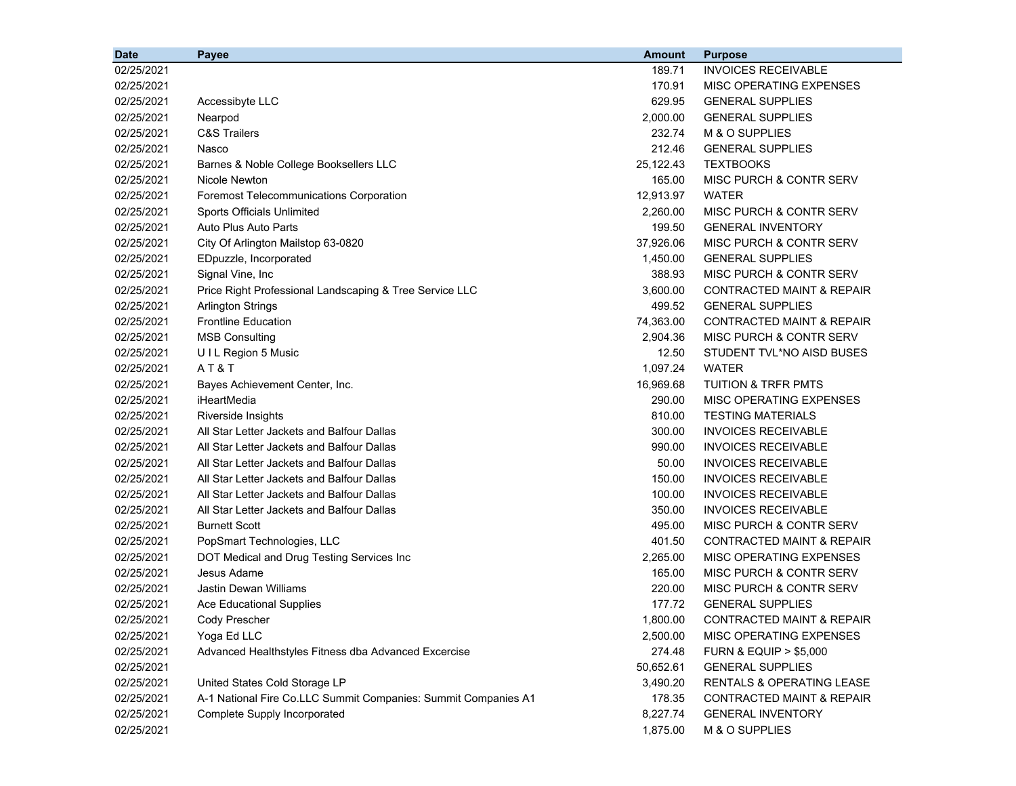| <b>Date</b> | Payee                                                          | <b>Amount</b> | <b>Purpose</b>                       |
|-------------|----------------------------------------------------------------|---------------|--------------------------------------|
| 02/25/2021  |                                                                | 189.71        | <b>INVOICES RECEIVABLE</b>           |
| 02/25/2021  |                                                                | 170.91        | MISC OPERATING EXPENSES              |
| 02/25/2021  | Accessibyte LLC                                                | 629.95        | <b>GENERAL SUPPLIES</b>              |
| 02/25/2021  | Nearpod                                                        | 2,000.00      | <b>GENERAL SUPPLIES</b>              |
| 02/25/2021  | <b>C&amp;S Trailers</b>                                        | 232.74        | M & O SUPPLIES                       |
| 02/25/2021  | Nasco                                                          | 212.46        | <b>GENERAL SUPPLIES</b>              |
| 02/25/2021  | Barnes & Noble College Booksellers LLC                         | 25,122.43     | <b>TEXTBOOKS</b>                     |
| 02/25/2021  | Nicole Newton                                                  | 165.00        | MISC PURCH & CONTR SERV              |
| 02/25/2021  | Foremost Telecommunications Corporation                        | 12,913.97     | <b>WATER</b>                         |
| 02/25/2021  | Sports Officials Unlimited                                     | 2,260.00      | MISC PURCH & CONTR SERV              |
| 02/25/2021  | Auto Plus Auto Parts                                           | 199.50        | <b>GENERAL INVENTORY</b>             |
| 02/25/2021  | City Of Arlington Mailstop 63-0820                             | 37,926.06     | MISC PURCH & CONTR SERV              |
| 02/25/2021  | EDpuzzle, Incorporated                                         | 1,450.00      | <b>GENERAL SUPPLIES</b>              |
| 02/25/2021  | Signal Vine, Inc                                               | 388.93        | MISC PURCH & CONTR SERV              |
| 02/25/2021  | Price Right Professional Landscaping & Tree Service LLC        | 3,600.00      | CONTRACTED MAINT & REPAIR            |
| 02/25/2021  | <b>Arlington Strings</b>                                       | 499.52        | <b>GENERAL SUPPLIES</b>              |
| 02/25/2021  | <b>Frontline Education</b>                                     | 74,363.00     | <b>CONTRACTED MAINT &amp; REPAIR</b> |
| 02/25/2021  | <b>MSB Consulting</b>                                          | 2,904.36      | MISC PURCH & CONTR SERV              |
| 02/25/2021  | UIL Region 5 Music                                             | 12.50         | STUDENT TVL*NO AISD BUSES            |
| 02/25/2021  | AT&T                                                           | 1,097.24      | <b>WATER</b>                         |
| 02/25/2021  | Bayes Achievement Center, Inc.                                 | 16,969.68     | <b>TUITION &amp; TRFR PMTS</b>       |
| 02/25/2021  | iHeartMedia                                                    | 290.00        | MISC OPERATING EXPENSES              |
| 02/25/2021  | Riverside Insights                                             | 810.00        | <b>TESTING MATERIALS</b>             |
| 02/25/2021  | All Star Letter Jackets and Balfour Dallas                     | 300.00        | <b>INVOICES RECEIVABLE</b>           |
| 02/25/2021  | All Star Letter Jackets and Balfour Dallas                     | 990.00        | <b>INVOICES RECEIVABLE</b>           |
| 02/25/2021  | All Star Letter Jackets and Balfour Dallas                     | 50.00         | <b>INVOICES RECEIVABLE</b>           |
| 02/25/2021  | All Star Letter Jackets and Balfour Dallas                     | 150.00        | <b>INVOICES RECEIVABLE</b>           |
| 02/25/2021  | All Star Letter Jackets and Balfour Dallas                     | 100.00        | <b>INVOICES RECEIVABLE</b>           |
| 02/25/2021  | All Star Letter Jackets and Balfour Dallas                     | 350.00        | <b>INVOICES RECEIVABLE</b>           |
| 02/25/2021  | <b>Burnett Scott</b>                                           | 495.00        | MISC PURCH & CONTR SERV              |
| 02/25/2021  | PopSmart Technologies, LLC                                     | 401.50        | <b>CONTRACTED MAINT &amp; REPAIR</b> |
| 02/25/2021  | DOT Medical and Drug Testing Services Inc                      | 2,265.00      | MISC OPERATING EXPENSES              |
| 02/25/2021  | Jesus Adame                                                    | 165.00        | MISC PURCH & CONTR SERV              |
| 02/25/2021  | Jastin Dewan Williams                                          | 220.00        | MISC PURCH & CONTR SERV              |
| 02/25/2021  | <b>Ace Educational Supplies</b>                                | 177.72        | <b>GENERAL SUPPLIES</b>              |
| 02/25/2021  | Cody Prescher                                                  | 1,800.00      | CONTRACTED MAINT & REPAIR            |
| 02/25/2021  | Yoga Ed LLC                                                    | 2,500.00      | MISC OPERATING EXPENSES              |
| 02/25/2021  | Advanced Healthstyles Fitness dba Advanced Excercise           | 274.48        | <b>FURN &amp; EQUIP &gt; \$5,000</b> |
| 02/25/2021  |                                                                | 50,652.61     | <b>GENERAL SUPPLIES</b>              |
| 02/25/2021  | United States Cold Storage LP                                  | 3,490.20      | <b>RENTALS &amp; OPERATING LEASE</b> |
| 02/25/2021  | A-1 National Fire Co.LLC Summit Companies: Summit Companies A1 | 178.35        | <b>CONTRACTED MAINT &amp; REPAIR</b> |
| 02/25/2021  | Complete Supply Incorporated                                   | 8,227.74      | <b>GENERAL INVENTORY</b>             |
| 02/25/2021  |                                                                | 1,875.00      | M & O SUPPLIES                       |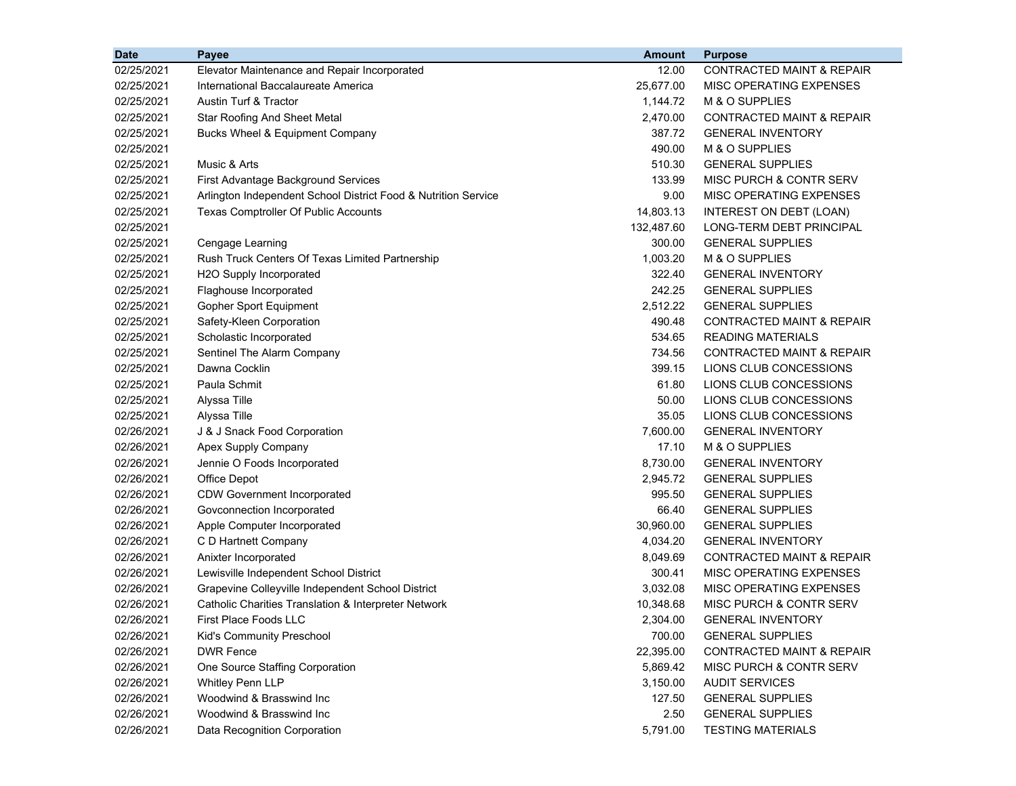| 02/25/2021<br><b>CONTRACTED MAINT &amp; REPAIR</b><br>Elevator Maintenance and Repair Incorporated<br>12.00<br>02/25/2021<br>25,677.00<br>MISC OPERATING EXPENSES<br>International Baccalaureate America |  |
|----------------------------------------------------------------------------------------------------------------------------------------------------------------------------------------------------------|--|
|                                                                                                                                                                                                          |  |
|                                                                                                                                                                                                          |  |
| 02/25/2021<br>Austin Turf & Tractor<br>1,144.72<br>M & O SUPPLIES                                                                                                                                        |  |
| 02/25/2021<br><b>Star Roofing And Sheet Metal</b><br>2,470.00<br>CONTRACTED MAINT & REPAIR                                                                                                               |  |
| 387.72<br><b>GENERAL INVENTORY</b><br>02/25/2021<br>Bucks Wheel & Equipment Company                                                                                                                      |  |
| 02/25/2021<br>490.00<br>M & O SUPPLIES                                                                                                                                                                   |  |
| Music & Arts<br>510.30<br>02/25/2021<br><b>GENERAL SUPPLIES</b>                                                                                                                                          |  |
| 02/25/2021<br>133.99<br>MISC PURCH & CONTR SERV<br>First Advantage Background Services                                                                                                                   |  |
| 9.00<br>MISC OPERATING EXPENSES<br>02/25/2021<br>Arlington Independent School District Food & Nutrition Service                                                                                          |  |
| 02/25/2021<br>Texas Comptroller Of Public Accounts<br>14,803.13<br>INTEREST ON DEBT (LOAN)                                                                                                               |  |
| 02/25/2021<br>132,487.60<br>LONG-TERM DEBT PRINCIPAL                                                                                                                                                     |  |
| 300.00<br><b>GENERAL SUPPLIES</b><br>02/25/2021<br>Cengage Learning                                                                                                                                      |  |
| 1,003.20<br>M & O SUPPLIES<br>02/25/2021<br>Rush Truck Centers Of Texas Limited Partnership                                                                                                              |  |
| 02/25/2021<br>322.40<br>H2O Supply Incorporated<br><b>GENERAL INVENTORY</b>                                                                                                                              |  |
| 242.25<br><b>GENERAL SUPPLIES</b><br>02/25/2021<br>Flaghouse Incorporated                                                                                                                                |  |
| 02/25/2021<br>Gopher Sport Equipment<br>2,512.22<br><b>GENERAL SUPPLIES</b>                                                                                                                              |  |
| 02/25/2021<br>Safety-Kleen Corporation<br>490.48<br><b>CONTRACTED MAINT &amp; REPAIR</b>                                                                                                                 |  |
| 02/25/2021<br>534.65<br><b>READING MATERIALS</b><br>Scholastic Incorporated                                                                                                                              |  |
| Sentinel The Alarm Company<br>734.56<br><b>CONTRACTED MAINT &amp; REPAIR</b><br>02/25/2021                                                                                                               |  |
| Dawna Cocklin<br>399.15<br>02/25/2021<br>LIONS CLUB CONCESSIONS                                                                                                                                          |  |
| 02/25/2021<br>Paula Schmit<br>61.80<br>LIONS CLUB CONCESSIONS                                                                                                                                            |  |
| 02/25/2021<br>50.00<br>LIONS CLUB CONCESSIONS<br>Alyssa Tille                                                                                                                                            |  |
| 02/25/2021<br>35.05<br>LIONS CLUB CONCESSIONS<br>Alyssa Tille                                                                                                                                            |  |
| 02/26/2021<br>7,600.00<br><b>GENERAL INVENTORY</b><br>J & J Snack Food Corporation                                                                                                                       |  |
| M & O SUPPLIES<br>02/26/2021<br>Apex Supply Company<br>17.10                                                                                                                                             |  |
| 8,730.00<br>02/26/2021<br>Jennie O Foods Incorporated<br><b>GENERAL INVENTORY</b>                                                                                                                        |  |
| 2,945.72<br><b>GENERAL SUPPLIES</b><br>02/26/2021<br>Office Depot                                                                                                                                        |  |
| 995.50<br><b>GENERAL SUPPLIES</b><br>02/26/2021<br><b>CDW Government Incorporated</b>                                                                                                                    |  |
| 66.40<br><b>GENERAL SUPPLIES</b><br>02/26/2021<br>Govconnection Incorporated                                                                                                                             |  |
| 30,960.00<br>02/26/2021<br>Apple Computer Incorporated<br><b>GENERAL SUPPLIES</b>                                                                                                                        |  |
| 4,034.20<br>02/26/2021<br>C D Hartnett Company<br><b>GENERAL INVENTORY</b>                                                                                                                               |  |
| 8,049.69<br><b>CONTRACTED MAINT &amp; REPAIR</b><br>02/26/2021<br>Anixter Incorporated                                                                                                                   |  |
| 300.41<br>MISC OPERATING EXPENSES<br>02/26/2021<br>Lewisville Independent School District                                                                                                                |  |
| 3,032.08<br>02/26/2021<br>Grapevine Colleyville Independent School District<br>MISC OPERATING EXPENSES                                                                                                   |  |
| 02/26/2021<br>Catholic Charities Translation & Interpreter Network<br>MISC PURCH & CONTR SERV<br>10,348.68                                                                                               |  |
| 02/26/2021<br><b>First Place Foods LLC</b><br>2,304.00<br><b>GENERAL INVENTORY</b>                                                                                                                       |  |
| 700.00<br><b>GENERAL SUPPLIES</b><br>02/26/2021<br>Kid's Community Preschool                                                                                                                             |  |
| 02/26/2021<br><b>DWR Fence</b><br>22,395.00<br><b>CONTRACTED MAINT &amp; REPAIR</b>                                                                                                                      |  |
| 02/26/2021<br>One Source Staffing Corporation<br>MISC PURCH & CONTR SERV<br>5,869.42                                                                                                                     |  |
| 02/26/2021<br>Whitley Penn LLP<br>3,150.00<br><b>AUDIT SERVICES</b>                                                                                                                                      |  |
| 02/26/2021<br>Woodwind & Brasswind Inc<br>127.50<br><b>GENERAL SUPPLIES</b>                                                                                                                              |  |
| 02/26/2021<br>Woodwind & Brasswind Inc<br>2.50<br><b>GENERAL SUPPLIES</b>                                                                                                                                |  |
| 02/26/2021<br>Data Recognition Corporation<br>5,791.00<br><b>TESTING MATERIALS</b>                                                                                                                       |  |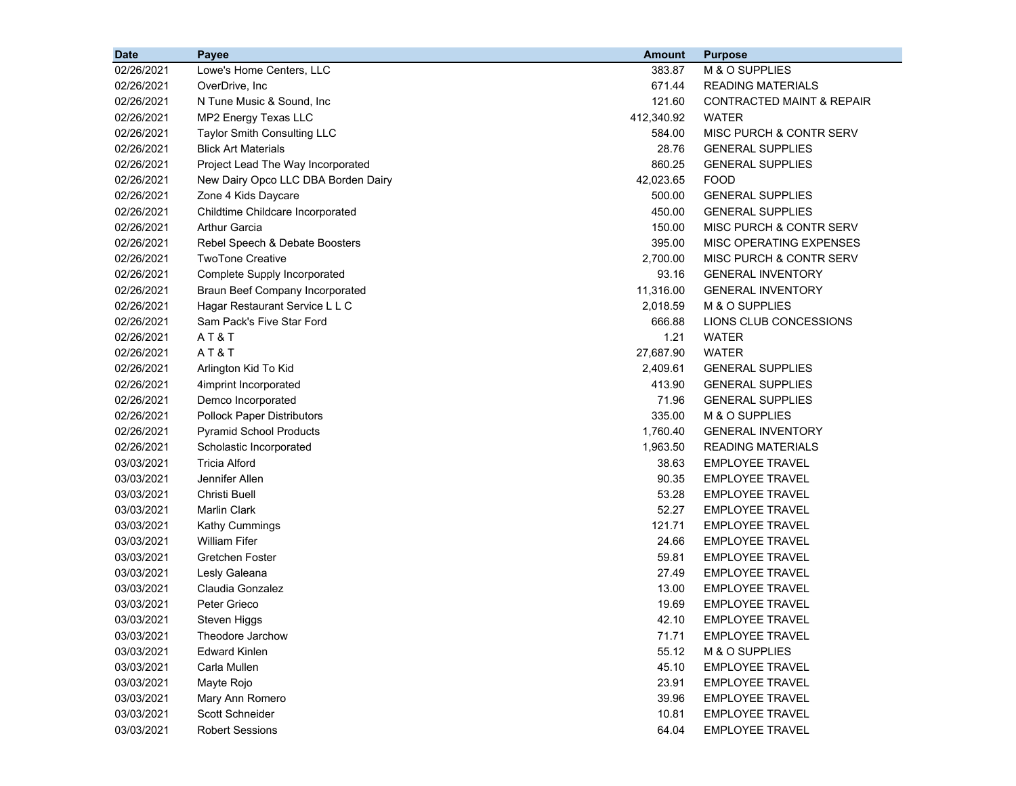| <b>Date</b> | Payee                               | <b>Amount</b> | <b>Purpose</b>                       |
|-------------|-------------------------------------|---------------|--------------------------------------|
| 02/26/2021  | Lowe's Home Centers, LLC            | 383.87        | M & O SUPPLIES                       |
| 02/26/2021  | OverDrive, Inc                      | 671.44        | <b>READING MATERIALS</b>             |
| 02/26/2021  | N Tune Music & Sound, Inc.          | 121.60        | <b>CONTRACTED MAINT &amp; REPAIR</b> |
| 02/26/2021  | MP2 Energy Texas LLC                | 412,340.92    | <b>WATER</b>                         |
| 02/26/2021  | Taylor Smith Consulting LLC         | 584.00        | <b>MISC PURCH &amp; CONTR SERV</b>   |
| 02/26/2021  | <b>Blick Art Materials</b>          | 28.76         | <b>GENERAL SUPPLIES</b>              |
| 02/26/2021  | Project Lead The Way Incorporated   | 860.25        | <b>GENERAL SUPPLIES</b>              |
| 02/26/2021  | New Dairy Opco LLC DBA Borden Dairy | 42,023.65     | <b>FOOD</b>                          |
| 02/26/2021  | Zone 4 Kids Daycare                 | 500.00        | <b>GENERAL SUPPLIES</b>              |
| 02/26/2021  | Childtime Childcare Incorporated    | 450.00        | <b>GENERAL SUPPLIES</b>              |
| 02/26/2021  | <b>Arthur Garcia</b>                | 150.00        | MISC PURCH & CONTR SERV              |
| 02/26/2021  | Rebel Speech & Debate Boosters      | 395.00        | MISC OPERATING EXPENSES              |
| 02/26/2021  | <b>TwoTone Creative</b>             | 2,700.00      | MISC PURCH & CONTR SERV              |
| 02/26/2021  | Complete Supply Incorporated        | 93.16         | <b>GENERAL INVENTORY</b>             |
| 02/26/2021  | Braun Beef Company Incorporated     | 11,316.00     | <b>GENERAL INVENTORY</b>             |
| 02/26/2021  | Hagar Restaurant Service L L C      | 2,018.59      | M & O SUPPLIES                       |
| 02/26/2021  | Sam Pack's Five Star Ford           | 666.88        | LIONS CLUB CONCESSIONS               |
| 02/26/2021  | AT&T                                | 1.21          | WATER                                |
| 02/26/2021  | AT&T                                | 27,687.90     | <b>WATER</b>                         |
| 02/26/2021  | Arlington Kid To Kid                | 2,409.61      | <b>GENERAL SUPPLIES</b>              |
| 02/26/2021  | 4imprint Incorporated               | 413.90        | <b>GENERAL SUPPLIES</b>              |
| 02/26/2021  | Demco Incorporated                  | 71.96         | <b>GENERAL SUPPLIES</b>              |
| 02/26/2021  | <b>Pollock Paper Distributors</b>   | 335.00        | M & O SUPPLIES                       |
| 02/26/2021  | <b>Pyramid School Products</b>      | 1,760.40      | <b>GENERAL INVENTORY</b>             |
| 02/26/2021  | Scholastic Incorporated             | 1,963.50      | <b>READING MATERIALS</b>             |
| 03/03/2021  | <b>Tricia Alford</b>                | 38.63         | <b>EMPLOYEE TRAVEL</b>               |
| 03/03/2021  | Jennifer Allen                      | 90.35         | <b>EMPLOYEE TRAVEL</b>               |
| 03/03/2021  | Christi Buell                       | 53.28         | <b>EMPLOYEE TRAVEL</b>               |
| 03/03/2021  | <b>Marlin Clark</b>                 | 52.27         | <b>EMPLOYEE TRAVEL</b>               |
| 03/03/2021  | <b>Kathy Cummings</b>               | 121.71        | <b>EMPLOYEE TRAVEL</b>               |
| 03/03/2021  | <b>William Fifer</b>                | 24.66         | <b>EMPLOYEE TRAVEL</b>               |
| 03/03/2021  | Gretchen Foster                     | 59.81         | <b>EMPLOYEE TRAVEL</b>               |
| 03/03/2021  | Lesly Galeana                       | 27.49         | <b>EMPLOYEE TRAVEL</b>               |
| 03/03/2021  | Claudia Gonzalez                    | 13.00         | <b>EMPLOYEE TRAVEL</b>               |
| 03/03/2021  | Peter Grieco                        | 19.69         | <b>EMPLOYEE TRAVEL</b>               |
| 03/03/2021  | Steven Higgs                        | 42.10         | <b>EMPLOYEE TRAVEL</b>               |
| 03/03/2021  | Theodore Jarchow                    | 71.71         | <b>EMPLOYEE TRAVEL</b>               |
| 03/03/2021  | <b>Edward Kinlen</b>                | 55.12         | M & O SUPPLIES                       |
| 03/03/2021  | Carla Mullen                        | 45.10         | <b>EMPLOYEE TRAVEL</b>               |
| 03/03/2021  | Mayte Rojo                          | 23.91         | <b>EMPLOYEE TRAVEL</b>               |
| 03/03/2021  | Mary Ann Romero                     | 39.96         | <b>EMPLOYEE TRAVEL</b>               |
| 03/03/2021  | Scott Schneider                     | 10.81         | <b>EMPLOYEE TRAVEL</b>               |
| 03/03/2021  | <b>Robert Sessions</b>              | 64.04         | <b>EMPLOYEE TRAVEL</b>               |
|             |                                     |               |                                      |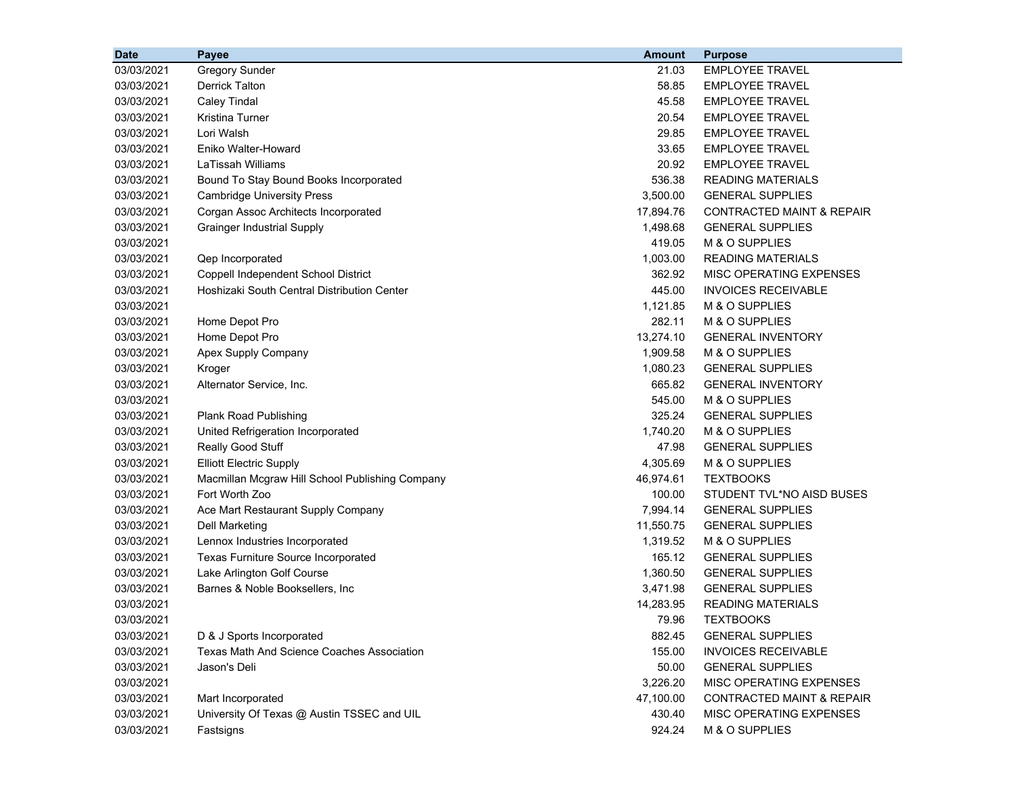| <b>Date</b> | Payee                                           | <b>Amount</b> | <b>Purpose</b>                       |
|-------------|-------------------------------------------------|---------------|--------------------------------------|
| 03/03/2021  | <b>Gregory Sunder</b>                           | 21.03         | <b>EMPLOYEE TRAVEL</b>               |
| 03/03/2021  | <b>Derrick Talton</b>                           | 58.85         | <b>EMPLOYEE TRAVEL</b>               |
| 03/03/2021  | <b>Caley Tindal</b>                             | 45.58         | <b>EMPLOYEE TRAVEL</b>               |
| 03/03/2021  | Kristina Turner                                 | 20.54         | <b>EMPLOYEE TRAVEL</b>               |
| 03/03/2021  | Lori Walsh                                      | 29.85         | <b>EMPLOYEE TRAVEL</b>               |
| 03/03/2021  | Eniko Walter-Howard                             | 33.65         | <b>EMPLOYEE TRAVEL</b>               |
| 03/03/2021  | <b>LaTissah Williams</b>                        | 20.92         | <b>EMPLOYEE TRAVEL</b>               |
| 03/03/2021  | Bound To Stay Bound Books Incorporated          | 536.38        | <b>READING MATERIALS</b>             |
| 03/03/2021  | <b>Cambridge University Press</b>               | 3,500.00      | <b>GENERAL SUPPLIES</b>              |
| 03/03/2021  | Corgan Assoc Architects Incorporated            | 17,894.76     | <b>CONTRACTED MAINT &amp; REPAIR</b> |
| 03/03/2021  | <b>Grainger Industrial Supply</b>               | 1,498.68      | <b>GENERAL SUPPLIES</b>              |
| 03/03/2021  |                                                 | 419.05        | M & O SUPPLIES                       |
| 03/03/2021  | Qep Incorporated                                | 1,003.00      | READING MATERIALS                    |
| 03/03/2021  | Coppell Independent School District             | 362.92        | MISC OPERATING EXPENSES              |
| 03/03/2021  | Hoshizaki South Central Distribution Center     | 445.00        | <b>INVOICES RECEIVABLE</b>           |
| 03/03/2021  |                                                 | 1,121.85      | M & O SUPPLIES                       |
| 03/03/2021  | Home Depot Pro                                  | 282.11        | M & O SUPPLIES                       |
| 03/03/2021  | Home Depot Pro                                  | 13,274.10     | <b>GENERAL INVENTORY</b>             |
| 03/03/2021  | Apex Supply Company                             | 1,909.58      | M & O SUPPLIES                       |
| 03/03/2021  | Kroger                                          | 1,080.23      | <b>GENERAL SUPPLIES</b>              |
| 03/03/2021  | Alternator Service, Inc.                        | 665.82        | <b>GENERAL INVENTORY</b>             |
| 03/03/2021  |                                                 | 545.00        | M & O SUPPLIES                       |
| 03/03/2021  | Plank Road Publishing                           | 325.24        | <b>GENERAL SUPPLIES</b>              |
| 03/03/2021  | United Refrigeration Incorporated               | 1,740.20      | M & O SUPPLIES                       |
| 03/03/2021  | Really Good Stuff                               | 47.98         | <b>GENERAL SUPPLIES</b>              |
| 03/03/2021  | <b>Elliott Electric Supply</b>                  | 4,305.69      | M & O SUPPLIES                       |
| 03/03/2021  | Macmillan Mcgraw Hill School Publishing Company | 46,974.61     | <b>TEXTBOOKS</b>                     |
| 03/03/2021  | Fort Worth Zoo                                  | 100.00        | STUDENT TVL*NO AISD BUSES            |
| 03/03/2021  | Ace Mart Restaurant Supply Company              | 7,994.14      | <b>GENERAL SUPPLIES</b>              |
| 03/03/2021  | <b>Dell Marketing</b>                           | 11,550.75     | <b>GENERAL SUPPLIES</b>              |
| 03/03/2021  | Lennox Industries Incorporated                  | 1,319.52      | M & O SUPPLIES                       |
| 03/03/2021  | Texas Furniture Source Incorporated             | 165.12        | <b>GENERAL SUPPLIES</b>              |
| 03/03/2021  | Lake Arlington Golf Course                      | 1,360.50      | <b>GENERAL SUPPLIES</b>              |
| 03/03/2021  | Barnes & Noble Booksellers, Inc                 | 3,471.98      | <b>GENERAL SUPPLIES</b>              |
| 03/03/2021  |                                                 | 14,283.95     | <b>READING MATERIALS</b>             |
| 03/03/2021  |                                                 | 79.96         | <b>TEXTBOOKS</b>                     |
| 03/03/2021  | D & J Sports Incorporated                       | 882.45        | <b>GENERAL SUPPLIES</b>              |
| 03/03/2021  | Texas Math And Science Coaches Association      | 155.00        | <b>INVOICES RECEIVABLE</b>           |
| 03/03/2021  | Jason's Deli                                    | 50.00         | <b>GENERAL SUPPLIES</b>              |
| 03/03/2021  |                                                 | 3,226.20      | MISC OPERATING EXPENSES              |
| 03/03/2021  | Mart Incorporated                               | 47,100.00     | <b>CONTRACTED MAINT &amp; REPAIR</b> |
| 03/03/2021  | University Of Texas @ Austin TSSEC and UIL      | 430.40        | MISC OPERATING EXPENSES              |
| 03/03/2021  | Fastsigns                                       | 924.24        | M & O SUPPLIES                       |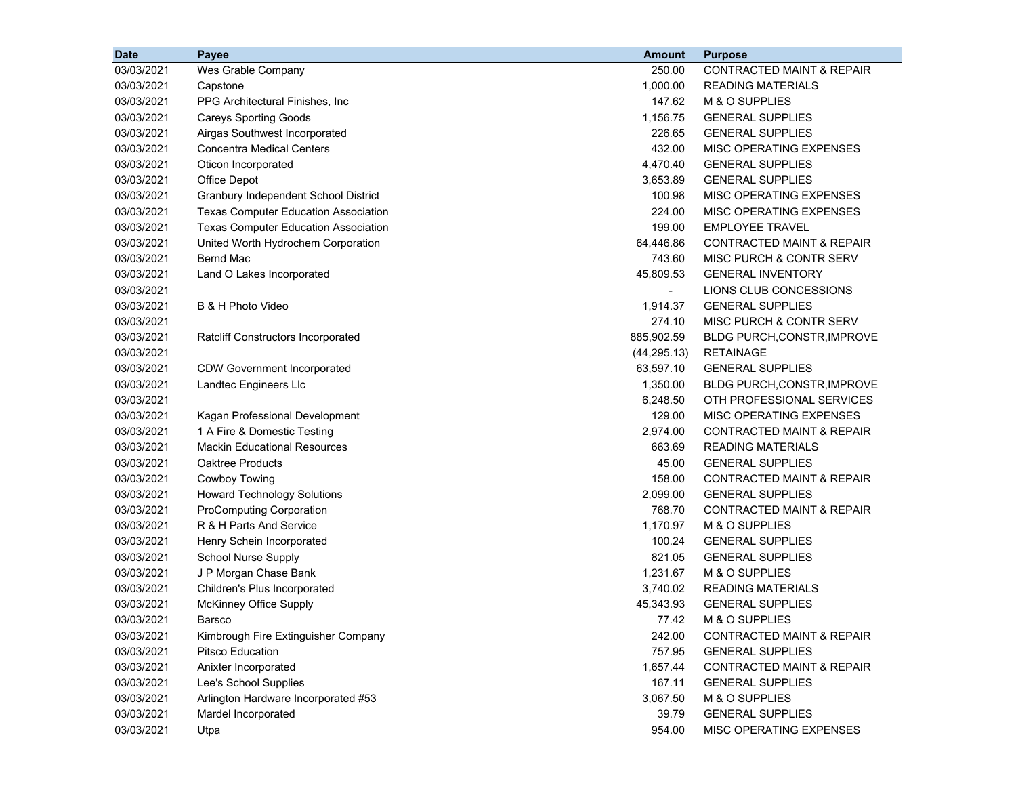| <b>Date</b> | Payee                                       | <b>Amount</b> | <b>Purpose</b>                       |
|-------------|---------------------------------------------|---------------|--------------------------------------|
| 03/03/2021  | Wes Grable Company                          | 250.00        | <b>CONTRACTED MAINT &amp; REPAIR</b> |
| 03/03/2021  | Capstone                                    | 1.000.00      | <b>READING MATERIALS</b>             |
| 03/03/2021  | PPG Architectural Finishes, Inc.            | 147.62        | M & O SUPPLIES                       |
| 03/03/2021  | <b>Careys Sporting Goods</b>                | 1,156.75      | <b>GENERAL SUPPLIES</b>              |
| 03/03/2021  | Airgas Southwest Incorporated               | 226.65        | <b>GENERAL SUPPLIES</b>              |
| 03/03/2021  | <b>Concentra Medical Centers</b>            | 432.00        | MISC OPERATING EXPENSES              |
| 03/03/2021  | Oticon Incorporated                         | 4,470.40      | <b>GENERAL SUPPLIES</b>              |
| 03/03/2021  | Office Depot                                | 3,653.89      | <b>GENERAL SUPPLIES</b>              |
| 03/03/2021  | Granbury Independent School District        | 100.98        | MISC OPERATING EXPENSES              |
| 03/03/2021  | <b>Texas Computer Education Association</b> | 224.00        | MISC OPERATING EXPENSES              |
| 03/03/2021  | <b>Texas Computer Education Association</b> | 199.00        | <b>EMPLOYEE TRAVEL</b>               |
| 03/03/2021  | United Worth Hydrochem Corporation          | 64,446.86     | CONTRACTED MAINT & REPAIR            |
| 03/03/2021  | <b>Bernd Mac</b>                            | 743.60        | MISC PURCH & CONTR SERV              |
| 03/03/2021  | Land O Lakes Incorporated                   | 45,809.53     | <b>GENERAL INVENTORY</b>             |
| 03/03/2021  |                                             |               | LIONS CLUB CONCESSIONS               |
| 03/03/2021  | B & H Photo Video                           | 1,914.37      | <b>GENERAL SUPPLIES</b>              |
| 03/03/2021  |                                             | 274.10        | MISC PURCH & CONTR SERV              |
| 03/03/2021  | <b>Ratcliff Constructors Incorporated</b>   | 885,902.59    | BLDG PURCH, CONSTR, IMPROVE          |
| 03/03/2021  |                                             | (44, 295.13)  | <b>RETAINAGE</b>                     |
| 03/03/2021  | <b>CDW Government Incorporated</b>          | 63,597.10     | <b>GENERAL SUPPLIES</b>              |
| 03/03/2021  | Landtec Engineers Llc                       | 1,350.00      | BLDG PURCH, CONSTR, IMPROVE          |
| 03/03/2021  |                                             | 6,248.50      | OTH PROFESSIONAL SERVICES            |
| 03/03/2021  | Kagan Professional Development              | 129.00        | MISC OPERATING EXPENSES              |
| 03/03/2021  | 1 A Fire & Domestic Testing                 | 2,974.00      | <b>CONTRACTED MAINT &amp; REPAIR</b> |
| 03/03/2021  | <b>Mackin Educational Resources</b>         | 663.69        | <b>READING MATERIALS</b>             |
| 03/03/2021  | Oaktree Products                            | 45.00         | <b>GENERAL SUPPLIES</b>              |
| 03/03/2021  | Cowboy Towing                               | 158.00        | CONTRACTED MAINT & REPAIR            |
| 03/03/2021  | <b>Howard Technology Solutions</b>          | 2,099.00      | <b>GENERAL SUPPLIES</b>              |
| 03/03/2021  | <b>ProComputing Corporation</b>             | 768.70        | <b>CONTRACTED MAINT &amp; REPAIR</b> |
| 03/03/2021  | R & H Parts And Service                     | 1,170.97      | M & O SUPPLIES                       |
| 03/03/2021  | Henry Schein Incorporated                   | 100.24        | <b>GENERAL SUPPLIES</b>              |
| 03/03/2021  | <b>School Nurse Supply</b>                  | 821.05        | <b>GENERAL SUPPLIES</b>              |
| 03/03/2021  | J P Morgan Chase Bank                       | 1,231.67      | M & O SUPPLIES                       |
| 03/03/2021  | Children's Plus Incorporated                | 3,740.02      | <b>READING MATERIALS</b>             |
| 03/03/2021  | McKinney Office Supply                      | 45,343.93     | <b>GENERAL SUPPLIES</b>              |
| 03/03/2021  | Barsco                                      | 77.42         | M & O SUPPLIES                       |
| 03/03/2021  | Kimbrough Fire Extinguisher Company         | 242.00        | <b>CONTRACTED MAINT &amp; REPAIR</b> |
| 03/03/2021  | Pitsco Education                            | 757.95        | <b>GENERAL SUPPLIES</b>              |
| 03/03/2021  | Anixter Incorporated                        | 1,657.44      | <b>CONTRACTED MAINT &amp; REPAIR</b> |
| 03/03/2021  | Lee's School Supplies                       | 167.11        | <b>GENERAL SUPPLIES</b>              |
| 03/03/2021  | Arlington Hardware Incorporated #53         | 3,067.50      | M & O SUPPLIES                       |
| 03/03/2021  | Mardel Incorporated                         | 39.79         | <b>GENERAL SUPPLIES</b>              |
| 03/03/2021  | Utpa                                        | 954.00        | MISC OPERATING EXPENSES              |
|             |                                             |               |                                      |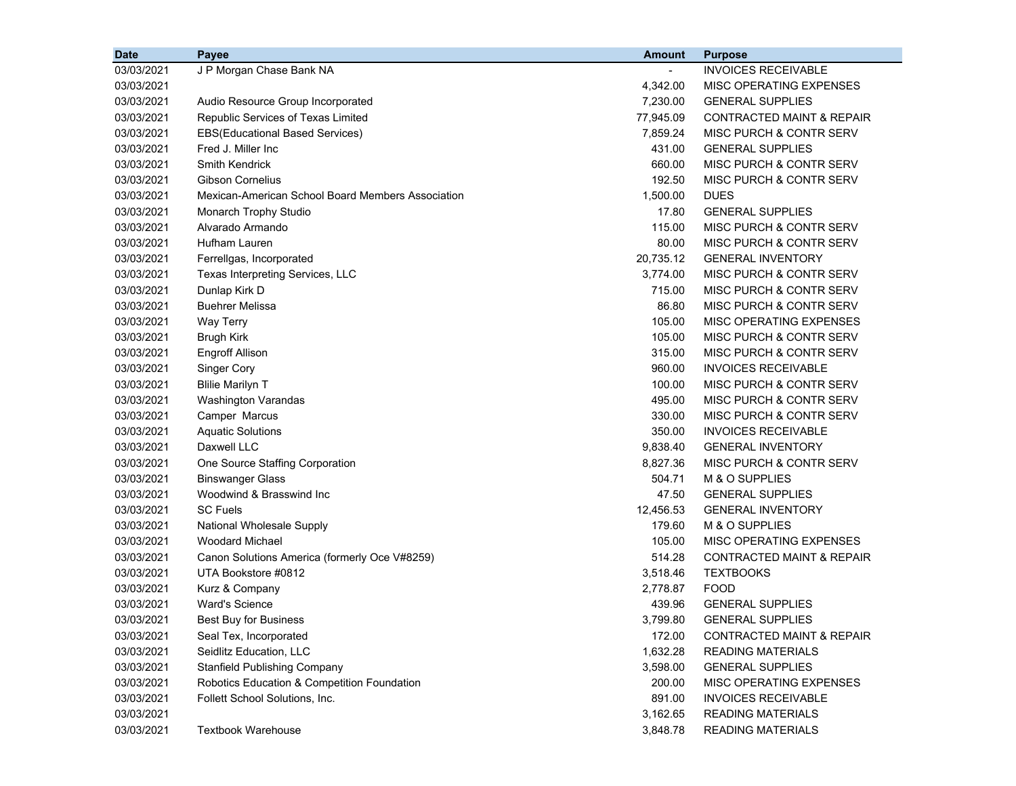| <b>Date</b> | <b>Payee</b>                                      | <b>Amount</b> | <b>Purpose</b>                       |
|-------------|---------------------------------------------------|---------------|--------------------------------------|
| 03/03/2021  | J P Morgan Chase Bank NA                          |               | <b>INVOICES RECEIVABLE</b>           |
| 03/03/2021  |                                                   | 4,342.00      | MISC OPERATING EXPENSES              |
| 03/03/2021  | Audio Resource Group Incorporated                 | 7,230.00      | <b>GENERAL SUPPLIES</b>              |
| 03/03/2021  | Republic Services of Texas Limited                | 77,945.09     | <b>CONTRACTED MAINT &amp; REPAIR</b> |
| 03/03/2021  | <b>EBS(Educational Based Services)</b>            | 7,859.24      | MISC PURCH & CONTR SERV              |
| 03/03/2021  | Fred J. Miller Inc                                | 431.00        | <b>GENERAL SUPPLIES</b>              |
| 03/03/2021  | <b>Smith Kendrick</b>                             | 660.00        | MISC PURCH & CONTR SERV              |
| 03/03/2021  | <b>Gibson Cornelius</b>                           | 192.50        | MISC PURCH & CONTR SERV              |
| 03/03/2021  | Mexican-American School Board Members Association | 1,500.00      | <b>DUES</b>                          |
| 03/03/2021  | <b>Monarch Trophy Studio</b>                      | 17.80         | <b>GENERAL SUPPLIES</b>              |
| 03/03/2021  | Alvarado Armando                                  | 115.00        | MISC PURCH & CONTR SERV              |
| 03/03/2021  | Hufham Lauren                                     | 80.00         | MISC PURCH & CONTR SERV              |
| 03/03/2021  | Ferrellgas, Incorporated                          | 20,735.12     | <b>GENERAL INVENTORY</b>             |
| 03/03/2021  | Texas Interpreting Services, LLC                  | 3,774.00      | MISC PURCH & CONTR SERV              |
| 03/03/2021  | Dunlap Kirk D                                     | 715.00        | MISC PURCH & CONTR SERV              |
| 03/03/2021  | <b>Buehrer Melissa</b>                            | 86.80         | <b>MISC PURCH &amp; CONTR SERV</b>   |
| 03/03/2021  | Way Terry                                         | 105.00        | MISC OPERATING EXPENSES              |
| 03/03/2021  | <b>Brugh Kirk</b>                                 | 105.00        | MISC PURCH & CONTR SERV              |
| 03/03/2021  | <b>Engroff Allison</b>                            | 315.00        | MISC PURCH & CONTR SERV              |
| 03/03/2021  | <b>Singer Cory</b>                                | 960.00        | <b>INVOICES RECEIVABLE</b>           |
| 03/03/2021  | <b>Blilie Marilyn T</b>                           | 100.00        | <b>MISC PURCH &amp; CONTR SERV</b>   |
| 03/03/2021  | Washington Varandas                               | 495.00        | MISC PURCH & CONTR SERV              |
| 03/03/2021  | Camper Marcus                                     | 330.00        | MISC PURCH & CONTR SERV              |
| 03/03/2021  | <b>Aquatic Solutions</b>                          | 350.00        | <b>INVOICES RECEIVABLE</b>           |
| 03/03/2021  | Daxwell LLC                                       | 9,838.40      | <b>GENERAL INVENTORY</b>             |
| 03/03/2021  | One Source Staffing Corporation                   | 8,827.36      | MISC PURCH & CONTR SERV              |
| 03/03/2021  | <b>Binswanger Glass</b>                           | 504.71        | M & O SUPPLIES                       |
| 03/03/2021  | Woodwind & Brasswind Inc                          | 47.50         | <b>GENERAL SUPPLIES</b>              |
| 03/03/2021  | <b>SC Fuels</b>                                   | 12,456.53     | <b>GENERAL INVENTORY</b>             |
| 03/03/2021  | National Wholesale Supply                         | 179.60        | M & O SUPPLIES                       |
| 03/03/2021  | <b>Woodard Michael</b>                            | 105.00        | MISC OPERATING EXPENSES              |
| 03/03/2021  | Canon Solutions America (formerly Oce V#8259)     | 514.28        | <b>CONTRACTED MAINT &amp; REPAIR</b> |
| 03/03/2021  | UTA Bookstore #0812                               | 3,518.46      | <b>TEXTBOOKS</b>                     |
| 03/03/2021  | Kurz & Company                                    | 2,778.87      | <b>FOOD</b>                          |
| 03/03/2021  | <b>Ward's Science</b>                             | 439.96        | <b>GENERAL SUPPLIES</b>              |
| 03/03/2021  | Best Buy for Business                             | 3,799.80      | <b>GENERAL SUPPLIES</b>              |
| 03/03/2021  | Seal Tex, Incorporated                            | 172.00        | CONTRACTED MAINT & REPAIR            |
| 03/03/2021  | Seidlitz Education, LLC                           | 1,632.28      | <b>READING MATERIALS</b>             |
| 03/03/2021  | <b>Stanfield Publishing Company</b>               | 3,598.00      | <b>GENERAL SUPPLIES</b>              |
| 03/03/2021  | Robotics Education & Competition Foundation       | 200.00        | MISC OPERATING EXPENSES              |
| 03/03/2021  | Follett School Solutions, Inc.                    | 891.00        | <b>INVOICES RECEIVABLE</b>           |
| 03/03/2021  |                                                   | 3,162.65      | <b>READING MATERIALS</b>             |
| 03/03/2021  | <b>Textbook Warehouse</b>                         | 3,848.78      | <b>READING MATERIALS</b>             |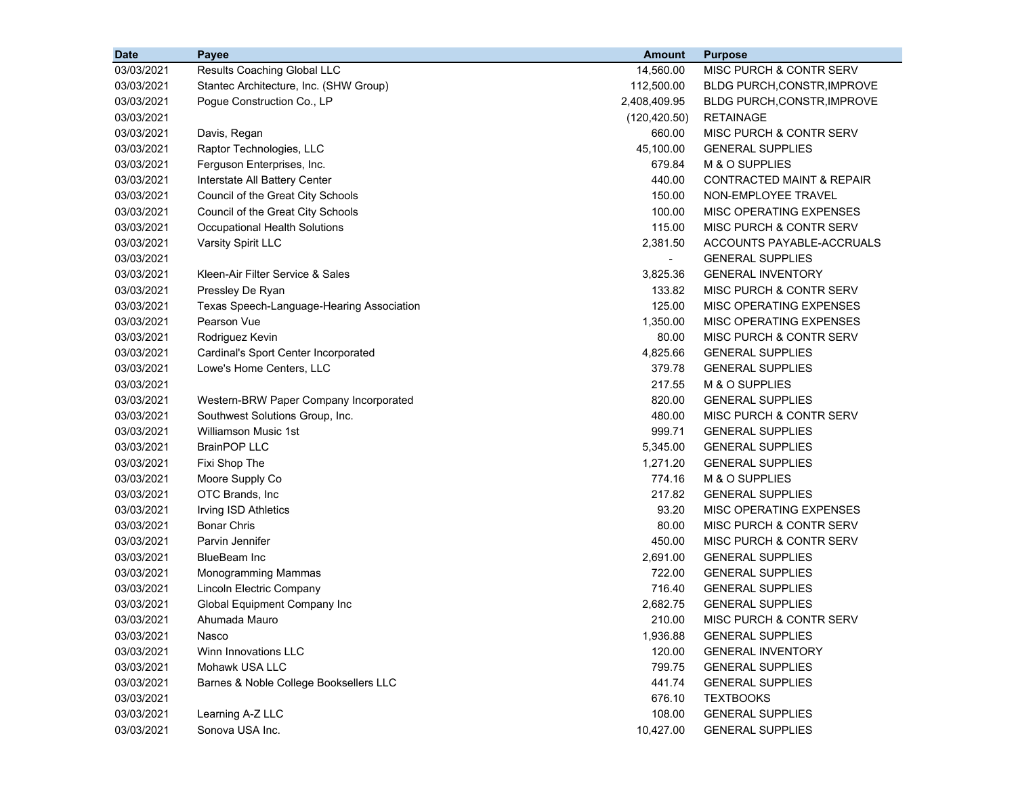| <b>Date</b> | Payee                                     | <b>Amount</b>            | <b>Purpose</b>                       |
|-------------|-------------------------------------------|--------------------------|--------------------------------------|
| 03/03/2021  | Results Coaching Global LLC               | 14,560.00                | MISC PURCH & CONTR SERV              |
| 03/03/2021  | Stantec Architecture, Inc. (SHW Group)    | 112,500.00               | <b>BLDG PURCH, CONSTR, IMPROVE</b>   |
| 03/03/2021  | Pogue Construction Co., LP                | 2,408,409.95             | BLDG PURCH, CONSTR, IMPROVE          |
| 03/03/2021  |                                           | (120, 420.50)            | <b>RETAINAGE</b>                     |
| 03/03/2021  | Davis, Regan                              | 660.00                   | <b>MISC PURCH &amp; CONTR SERV</b>   |
| 03/03/2021  | Raptor Technologies, LLC                  | 45,100.00                | <b>GENERAL SUPPLIES</b>              |
| 03/03/2021  | Ferguson Enterprises, Inc.                | 679.84                   | M & O SUPPLIES                       |
| 03/03/2021  | Interstate All Battery Center             | 440.00                   | <b>CONTRACTED MAINT &amp; REPAIR</b> |
| 03/03/2021  | Council of the Great City Schools         | 150.00                   | NON-EMPLOYEE TRAVEL                  |
| 03/03/2021  | Council of the Great City Schools         | 100.00                   | <b>MISC OPERATING EXPENSES</b>       |
| 03/03/2021  | <b>Occupational Health Solutions</b>      | 115.00                   | <b>MISC PURCH &amp; CONTR SERV</b>   |
| 03/03/2021  | Varsity Spirit LLC                        | 2,381.50                 | ACCOUNTS PAYABLE-ACCRUALS            |
| 03/03/2021  |                                           | $\overline{\phantom{0}}$ | <b>GENERAL SUPPLIES</b>              |
| 03/03/2021  | Kleen-Air Filter Service & Sales          | 3,825.36                 | <b>GENERAL INVENTORY</b>             |
| 03/03/2021  | Pressley De Ryan                          | 133.82                   | MISC PURCH & CONTR SERV              |
| 03/03/2021  | Texas Speech-Language-Hearing Association | 125.00                   | <b>MISC OPERATING EXPENSES</b>       |
| 03/03/2021  | Pearson Vue                               | 1,350.00                 | <b>MISC OPERATING EXPENSES</b>       |
| 03/03/2021  | Rodriguez Kevin                           | 80.00                    | <b>MISC PURCH &amp; CONTR SERV</b>   |
| 03/03/2021  | Cardinal's Sport Center Incorporated      | 4,825.66                 | <b>GENERAL SUPPLIES</b>              |
| 03/03/2021  | Lowe's Home Centers, LLC                  | 379.78                   | <b>GENERAL SUPPLIES</b>              |
| 03/03/2021  |                                           | 217.55                   | M & O SUPPLIES                       |
| 03/03/2021  | Western-BRW Paper Company Incorporated    | 820.00                   | <b>GENERAL SUPPLIES</b>              |
| 03/03/2021  | Southwest Solutions Group, Inc.           | 480.00                   | MISC PURCH & CONTR SERV              |
| 03/03/2021  | Williamson Music 1st                      | 999.71                   | <b>GENERAL SUPPLIES</b>              |
| 03/03/2021  | <b>BrainPOP LLC</b>                       | 5,345.00                 | <b>GENERAL SUPPLIES</b>              |
| 03/03/2021  | Fixi Shop The                             | 1,271.20                 | <b>GENERAL SUPPLIES</b>              |
| 03/03/2021  | Moore Supply Co                           | 774.16                   | M & O SUPPLIES                       |
| 03/03/2021  | OTC Brands, Inc                           | 217.82                   | <b>GENERAL SUPPLIES</b>              |
| 03/03/2021  | Irving ISD Athletics                      | 93.20                    | MISC OPERATING EXPENSES              |
| 03/03/2021  | <b>Bonar Chris</b>                        | 80.00                    | <b>MISC PURCH &amp; CONTR SERV</b>   |
| 03/03/2021  | Parvin Jennifer                           | 450.00                   | <b>MISC PURCH &amp; CONTR SERV</b>   |
| 03/03/2021  | <b>BlueBeam Inc</b>                       | 2,691.00                 | <b>GENERAL SUPPLIES</b>              |
| 03/03/2021  | Monogramming Mammas                       | 722.00                   | <b>GENERAL SUPPLIES</b>              |
| 03/03/2021  | Lincoln Electric Company                  | 716.40                   | <b>GENERAL SUPPLIES</b>              |
| 03/03/2021  | Global Equipment Company Inc              | 2,682.75                 | <b>GENERAL SUPPLIES</b>              |
| 03/03/2021  | Ahumada Mauro                             | 210.00                   | MISC PURCH & CONTR SERV              |
| 03/03/2021  | Nasco                                     | 1,936.88                 | <b>GENERAL SUPPLIES</b>              |
| 03/03/2021  | Winn Innovations LLC                      | 120.00                   | <b>GENERAL INVENTORY</b>             |
| 03/03/2021  | Mohawk USA LLC                            | 799.75                   | <b>GENERAL SUPPLIES</b>              |
| 03/03/2021  | Barnes & Noble College Booksellers LLC    | 441.74                   | <b>GENERAL SUPPLIES</b>              |
| 03/03/2021  |                                           | 676.10                   | <b>TEXTBOOKS</b>                     |
| 03/03/2021  | Learning A-Z LLC                          | 108.00                   | <b>GENERAL SUPPLIES</b>              |
| 03/03/2021  | Sonova USA Inc.                           | 10,427.00                | <b>GENERAL SUPPLIES</b>              |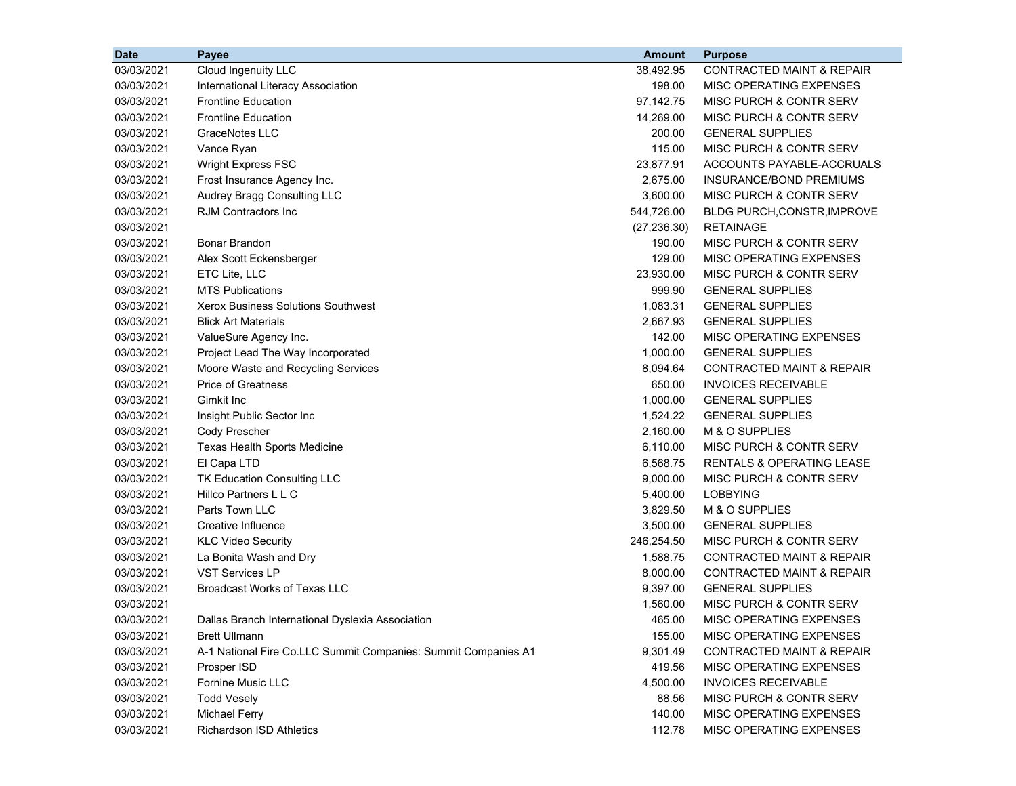| <b>Date</b> | Payee                                                          | <b>Amount</b> | <b>Purpose</b>                       |
|-------------|----------------------------------------------------------------|---------------|--------------------------------------|
| 03/03/2021  | Cloud Ingenuity LLC                                            | 38,492.95     | <b>CONTRACTED MAINT &amp; REPAIR</b> |
| 03/03/2021  | International Literacy Association                             | 198.00        | <b>MISC OPERATING EXPENSES</b>       |
| 03/03/2021  | <b>Frontline Education</b>                                     | 97,142.75     | MISC PURCH & CONTR SERV              |
| 03/03/2021  | <b>Frontline Education</b>                                     | 14,269.00     | MISC PURCH & CONTR SERV              |
| 03/03/2021  | GraceNotes LLC                                                 | 200.00        | <b>GENERAL SUPPLIES</b>              |
| 03/03/2021  | Vance Ryan                                                     | 115.00        | MISC PURCH & CONTR SERV              |
| 03/03/2021  | Wright Express FSC                                             | 23,877.91     | ACCOUNTS PAYABLE-ACCRUALS            |
| 03/03/2021  | Frost Insurance Agency Inc.                                    | 2,675.00      | <b>INSURANCE/BOND PREMIUMS</b>       |
| 03/03/2021  | Audrey Bragg Consulting LLC                                    | 3,600.00      | <b>MISC PURCH &amp; CONTR SERV</b>   |
| 03/03/2021  | <b>RJM Contractors Inc.</b>                                    | 544,726.00    | <b>BLDG PURCH, CONSTR, IMPROVE</b>   |
| 03/03/2021  |                                                                | (27, 236.30)  | <b>RETAINAGE</b>                     |
| 03/03/2021  | Bonar Brandon                                                  | 190.00        | MISC PURCH & CONTR SERV              |
| 03/03/2021  | Alex Scott Eckensberger                                        | 129.00        | MISC OPERATING EXPENSES              |
| 03/03/2021  | ETC Lite, LLC                                                  | 23,930.00     | <b>MISC PURCH &amp; CONTR SERV</b>   |
| 03/03/2021  | <b>MTS Publications</b>                                        | 999.90        | <b>GENERAL SUPPLIES</b>              |
| 03/03/2021  | <b>Xerox Business Solutions Southwest</b>                      | 1,083.31      | <b>GENERAL SUPPLIES</b>              |
| 03/03/2021  | <b>Blick Art Materials</b>                                     | 2,667.93      | <b>GENERAL SUPPLIES</b>              |
| 03/03/2021  | ValueSure Agency Inc.                                          | 142.00        | MISC OPERATING EXPENSES              |
| 03/03/2021  | Project Lead The Way Incorporated                              | 1,000.00      | <b>GENERAL SUPPLIES</b>              |
| 03/03/2021  | Moore Waste and Recycling Services                             | 8,094.64      | <b>CONTRACTED MAINT &amp; REPAIR</b> |
| 03/03/2021  | <b>Price of Greatness</b>                                      | 650.00        | <b>INVOICES RECEIVABLE</b>           |
| 03/03/2021  | Gimkit Inc                                                     | 1,000.00      | <b>GENERAL SUPPLIES</b>              |
| 03/03/2021  | Insight Public Sector Inc                                      | 1,524.22      | <b>GENERAL SUPPLIES</b>              |
| 03/03/2021  | Cody Prescher                                                  | 2,160.00      | M & O SUPPLIES                       |
| 03/03/2021  | Texas Health Sports Medicine                                   | 6,110.00      | MISC PURCH & CONTR SERV              |
| 03/03/2021  | El Capa LTD                                                    | 6,568.75      | RENTALS & OPERATING LEASE            |
| 03/03/2021  | <b>TK Education Consulting LLC</b>                             | 9,000.00      | MISC PURCH & CONTR SERV              |
| 03/03/2021  | Hillco Partners L L C                                          | 5,400.00      | <b>LOBBYING</b>                      |
| 03/03/2021  | <b>Parts Town LLC</b>                                          | 3,829.50      | M & O SUPPLIES                       |
| 03/03/2021  | Creative Influence                                             | 3,500.00      | <b>GENERAL SUPPLIES</b>              |
| 03/03/2021  | <b>KLC Video Security</b>                                      | 246,254.50    | MISC PURCH & CONTR SERV              |
| 03/03/2021  | La Bonita Wash and Dry                                         | 1,588.75      | <b>CONTRACTED MAINT &amp; REPAIR</b> |
| 03/03/2021  | <b>VST Services LP</b>                                         | 8,000.00      | <b>CONTRACTED MAINT &amp; REPAIR</b> |
| 03/03/2021  | <b>Broadcast Works of Texas LLC</b>                            | 9,397.00      | <b>GENERAL SUPPLIES</b>              |
| 03/03/2021  |                                                                | 1,560.00      | MISC PURCH & CONTR SERV              |
| 03/03/2021  | Dallas Branch International Dyslexia Association               | 465.00        | MISC OPERATING EXPENSES              |
| 03/03/2021  | <b>Brett Ullmann</b>                                           | 155.00        | <b>MISC OPERATING EXPENSES</b>       |
| 03/03/2021  | A-1 National Fire Co.LLC Summit Companies: Summit Companies A1 | 9,301.49      | <b>CONTRACTED MAINT &amp; REPAIR</b> |
| 03/03/2021  | Prosper ISD                                                    | 419.56        | MISC OPERATING EXPENSES              |
| 03/03/2021  | Fornine Music LLC                                              | 4,500.00      | <b>INVOICES RECEIVABLE</b>           |
| 03/03/2021  | <b>Todd Vesely</b>                                             | 88.56         | <b>MISC PURCH &amp; CONTR SERV</b>   |
| 03/03/2021  | <b>Michael Ferry</b>                                           | 140.00        | MISC OPERATING EXPENSES              |
| 03/03/2021  | <b>Richardson ISD Athletics</b>                                | 112.78        | MISC OPERATING EXPENSES              |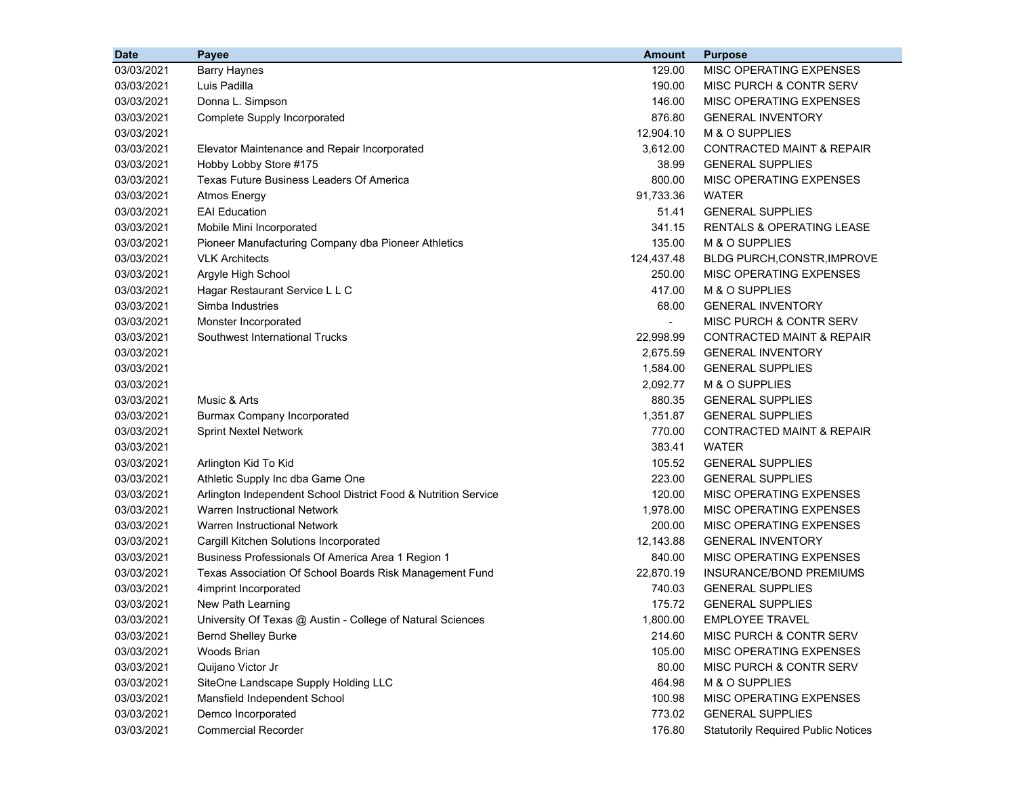| <b>Date</b> | Payee                                                          | <b>Amount</b>  | <b>Purpose</b>                             |
|-------------|----------------------------------------------------------------|----------------|--------------------------------------------|
| 03/03/2021  | <b>Barry Haynes</b>                                            | 129.00         | MISC OPERATING EXPENSES                    |
| 03/03/2021  | Luis Padilla                                                   | 190.00         | MISC PURCH & CONTR SERV                    |
| 03/03/2021  | Donna L. Simpson                                               | 146.00         | <b>MISC OPERATING EXPENSES</b>             |
| 03/03/2021  | Complete Supply Incorporated                                   | 876.80         | <b>GENERAL INVENTORY</b>                   |
| 03/03/2021  |                                                                | 12,904.10      | M & O SUPPLIES                             |
| 03/03/2021  | Elevator Maintenance and Repair Incorporated                   | 3,612.00       | <b>CONTRACTED MAINT &amp; REPAIR</b>       |
| 03/03/2021  | Hobby Lobby Store #175                                         | 38.99          | <b>GENERAL SUPPLIES</b>                    |
| 03/03/2021  | Texas Future Business Leaders Of America                       | 800.00         | MISC OPERATING EXPENSES                    |
| 03/03/2021  | <b>Atmos Energy</b>                                            | 91,733.36      | <b>WATER</b>                               |
| 03/03/2021  | <b>EAI</b> Education                                           | 51.41          | <b>GENERAL SUPPLIES</b>                    |
| 03/03/2021  | Mobile Mini Incorporated                                       | 341.15         | <b>RENTALS &amp; OPERATING LEASE</b>       |
| 03/03/2021  | Pioneer Manufacturing Company dba Pioneer Athletics            | 135.00         | M & O SUPPLIES                             |
| 03/03/2021  | <b>VLK Architects</b>                                          | 124,437.48     | <b>BLDG PURCH, CONSTR, IMPROVE</b>         |
| 03/03/2021  | Argyle High School                                             | 250.00         | <b>MISC OPERATING EXPENSES</b>             |
| 03/03/2021  | Hagar Restaurant Service L L C                                 | 417.00         | M & O SUPPLIES                             |
| 03/03/2021  | Simba Industries                                               | 68.00          | <b>GENERAL INVENTORY</b>                   |
| 03/03/2021  | Monster Incorporated                                           | $\blacksquare$ | <b>MISC PURCH &amp; CONTR SERV</b>         |
| 03/03/2021  | Southwest International Trucks                                 | 22,998.99      | <b>CONTRACTED MAINT &amp; REPAIR</b>       |
| 03/03/2021  |                                                                | 2,675.59       | <b>GENERAL INVENTORY</b>                   |
| 03/03/2021  |                                                                | 1,584.00       | <b>GENERAL SUPPLIES</b>                    |
| 03/03/2021  |                                                                | 2,092.77       | M & O SUPPLIES                             |
| 03/03/2021  | Music & Arts                                                   | 880.35         | <b>GENERAL SUPPLIES</b>                    |
| 03/03/2021  | <b>Burmax Company Incorporated</b>                             | 1,351.87       | <b>GENERAL SUPPLIES</b>                    |
| 03/03/2021  | <b>Sprint Nextel Network</b>                                   | 770.00         | <b>CONTRACTED MAINT &amp; REPAIR</b>       |
| 03/03/2021  |                                                                | 383.41         | <b>WATER</b>                               |
| 03/03/2021  | Arlington Kid To Kid                                           | 105.52         | <b>GENERAL SUPPLIES</b>                    |
| 03/03/2021  | Athletic Supply Inc dba Game One                               | 223.00         | <b>GENERAL SUPPLIES</b>                    |
| 03/03/2021  | Arlington Independent School District Food & Nutrition Service | 120.00         | MISC OPERATING EXPENSES                    |
| 03/03/2021  | Warren Instructional Network                                   | 1,978.00       | MISC OPERATING EXPENSES                    |
| 03/03/2021  | Warren Instructional Network                                   | 200.00         | MISC OPERATING EXPENSES                    |
| 03/03/2021  | Cargill Kitchen Solutions Incorporated                         | 12,143.88      | <b>GENERAL INVENTORY</b>                   |
| 03/03/2021  | Business Professionals Of America Area 1 Region 1              | 840.00         | MISC OPERATING EXPENSES                    |
| 03/03/2021  | Texas Association Of School Boards Risk Management Fund        | 22,870.19      | INSURANCE/BOND PREMIUMS                    |
| 03/03/2021  | 4imprint Incorporated                                          | 740.03         | <b>GENERAL SUPPLIES</b>                    |
| 03/03/2021  | New Path Learning                                              | 175.72         | <b>GENERAL SUPPLIES</b>                    |
| 03/03/2021  | University Of Texas @ Austin - College of Natural Sciences     | 1,800.00       | <b>EMPLOYEE TRAVEL</b>                     |
| 03/03/2021  | <b>Bernd Shelley Burke</b>                                     | 214.60         | <b>MISC PURCH &amp; CONTR SERV</b>         |
| 03/03/2021  | Woods Brian                                                    | 105.00         | MISC OPERATING EXPENSES                    |
| 03/03/2021  | Quijano Victor Jr                                              | 80.00          | MISC PURCH & CONTR SERV                    |
| 03/03/2021  | SiteOne Landscape Supply Holding LLC                           | 464.98         | M & O SUPPLIES                             |
| 03/03/2021  | Mansfield Independent School                                   | 100.98         | MISC OPERATING EXPENSES                    |
| 03/03/2021  | Demco Incorporated                                             | 773.02         | <b>GENERAL SUPPLIES</b>                    |
| 03/03/2021  | <b>Commercial Recorder</b>                                     | 176.80         | <b>Statutorily Required Public Notices</b> |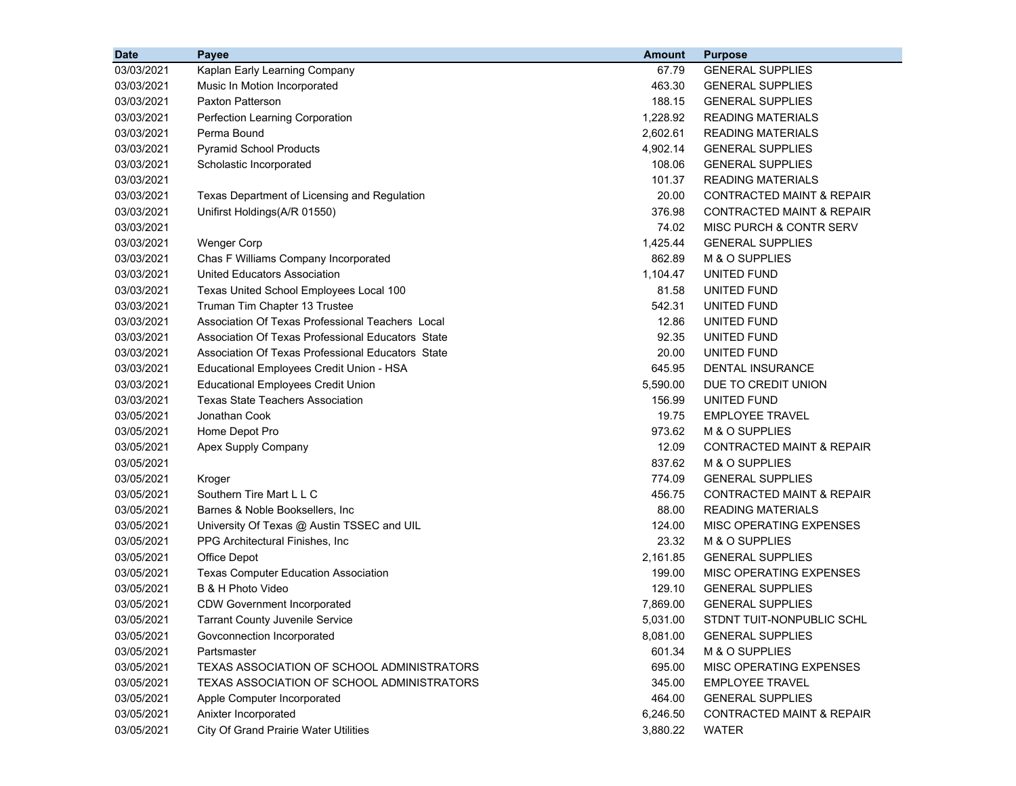| 03/03/2021<br>67.79<br><b>GENERAL SUPPLIES</b><br>Kaplan Early Learning Company              |                                      |
|----------------------------------------------------------------------------------------------|--------------------------------------|
| 03/03/2021<br>463.30<br><b>GENERAL SUPPLIES</b><br>Music In Motion Incorporated              |                                      |
| <b>Paxton Patterson</b><br>188.15<br>03/03/2021<br><b>GENERAL SUPPLIES</b>                   |                                      |
| 1,228.92<br><b>READING MATERIALS</b><br>03/03/2021<br>Perfection Learning Corporation        |                                      |
| Perma Bound<br>2,602.61<br><b>READING MATERIALS</b><br>03/03/2021                            |                                      |
| <b>Pyramid School Products</b><br>4,902.14<br>03/03/2021<br><b>GENERAL SUPPLIES</b>          |                                      |
| Scholastic Incorporated<br>108.06<br><b>GENERAL SUPPLIES</b><br>03/03/2021                   |                                      |
| 03/03/2021<br>101.37<br><b>READING MATERIALS</b>                                             |                                      |
| 20.00<br>03/03/2021<br>Texas Department of Licensing and Regulation                          | <b>CONTRACTED MAINT &amp; REPAIR</b> |
| Unifirst Holdings(A/R 01550)<br>376.98<br>03/03/2021                                         | <b>CONTRACTED MAINT &amp; REPAIR</b> |
| 74.02<br>03/03/2021                                                                          | MISC PURCH & CONTR SERV              |
| 1,425.44<br>03/03/2021<br><b>Wenger Corp</b><br><b>GENERAL SUPPLIES</b>                      |                                      |
| Chas F Williams Company Incorporated<br>862.89<br>M & O SUPPLIES<br>03/03/2021               |                                      |
| 03/03/2021<br><b>United Educators Association</b><br>1,104.47<br>UNITED FUND                 |                                      |
| 03/03/2021<br>81.58<br>Texas United School Employees Local 100<br>UNITED FUND                |                                      |
| 03/03/2021<br>542.31<br>Truman Tim Chapter 13 Trustee<br>UNITED FUND                         |                                      |
| 03/03/2021<br>Association Of Texas Professional Teachers Local<br>12.86<br>UNITED FUND       |                                      |
| 03/03/2021<br>Association Of Texas Professional Educators State<br>92.35<br>UNITED FUND      |                                      |
| 03/03/2021<br>Association Of Texas Professional Educators State<br>20.00<br>UNITED FUND      |                                      |
| 645.95<br>03/03/2021<br>Educational Employees Credit Union - HSA<br>DENTAL INSURANCE         |                                      |
| 03/03/2021<br>5,590.00<br>DUE TO CREDIT UNION<br><b>Educational Employees Credit Union</b>   |                                      |
| 03/03/2021<br><b>Texas State Teachers Association</b><br>156.99<br>UNITED FUND               |                                      |
| 03/05/2021<br>Jonathan Cook<br>19.75<br><b>EMPLOYEE TRAVEL</b>                               |                                      |
| Home Depot Pro<br>973.62<br>M & O SUPPLIES<br>03/05/2021                                     |                                      |
| 12.09<br>03/05/2021<br>Apex Supply Company                                                   | <b>CONTRACTED MAINT &amp; REPAIR</b> |
| 837.62<br>03/05/2021<br>M & O SUPPLIES                                                       |                                      |
| 774.09<br>03/05/2021<br><b>GENERAL SUPPLIES</b><br>Kroger                                    |                                      |
| Southern Tire Mart L L C<br>456.75<br>03/05/2021                                             | <b>CONTRACTED MAINT &amp; REPAIR</b> |
| 88.00<br>03/05/2021<br>Barnes & Noble Booksellers, Inc<br><b>READING MATERIALS</b>           |                                      |
| 124.00<br>03/05/2021<br>University Of Texas @ Austin TSSEC and UIL                           | MISC OPERATING EXPENSES              |
| 23.32<br>03/05/2021<br>PPG Architectural Finishes, Inc.<br>M & O SUPPLIES                    |                                      |
| 2,161.85<br>03/05/2021<br><b>Office Depot</b><br><b>GENERAL SUPPLIES</b>                     |                                      |
| 199.00<br>03/05/2021<br><b>Texas Computer Education Association</b>                          | MISC OPERATING EXPENSES              |
| B & H Photo Video<br>129.10<br>03/05/2021<br><b>GENERAL SUPPLIES</b>                         |                                      |
| 03/05/2021<br><b>GENERAL SUPPLIES</b><br><b>CDW Government Incorporated</b><br>7,869.00      |                                      |
| 03/05/2021<br><b>Tarrant County Juvenile Service</b><br>5,031.00                             | STDNT TUIT-NONPUBLIC SCHL            |
| 03/05/2021<br>Govconnection Incorporated<br>8,081.00<br><b>GENERAL SUPPLIES</b>              |                                      |
| 03/05/2021<br>Partsmaster<br>601.34<br>M & O SUPPLIES                                        |                                      |
| 03/05/2021<br>TEXAS ASSOCIATION OF SCHOOL ADMINISTRATORS<br>695.00                           | MISC OPERATING EXPENSES              |
| 03/05/2021<br>TEXAS ASSOCIATION OF SCHOOL ADMINISTRATORS<br>345.00<br><b>EMPLOYEE TRAVEL</b> |                                      |
| 03/05/2021<br>464.00<br><b>GENERAL SUPPLIES</b><br>Apple Computer Incorporated               |                                      |
| 03/05/2021<br>Anixter Incorporated<br>6,246.50                                               | <b>CONTRACTED MAINT &amp; REPAIR</b> |
| 03/05/2021<br><b>City Of Grand Prairie Water Utilities</b><br>3,880.22<br><b>WATER</b>       |                                      |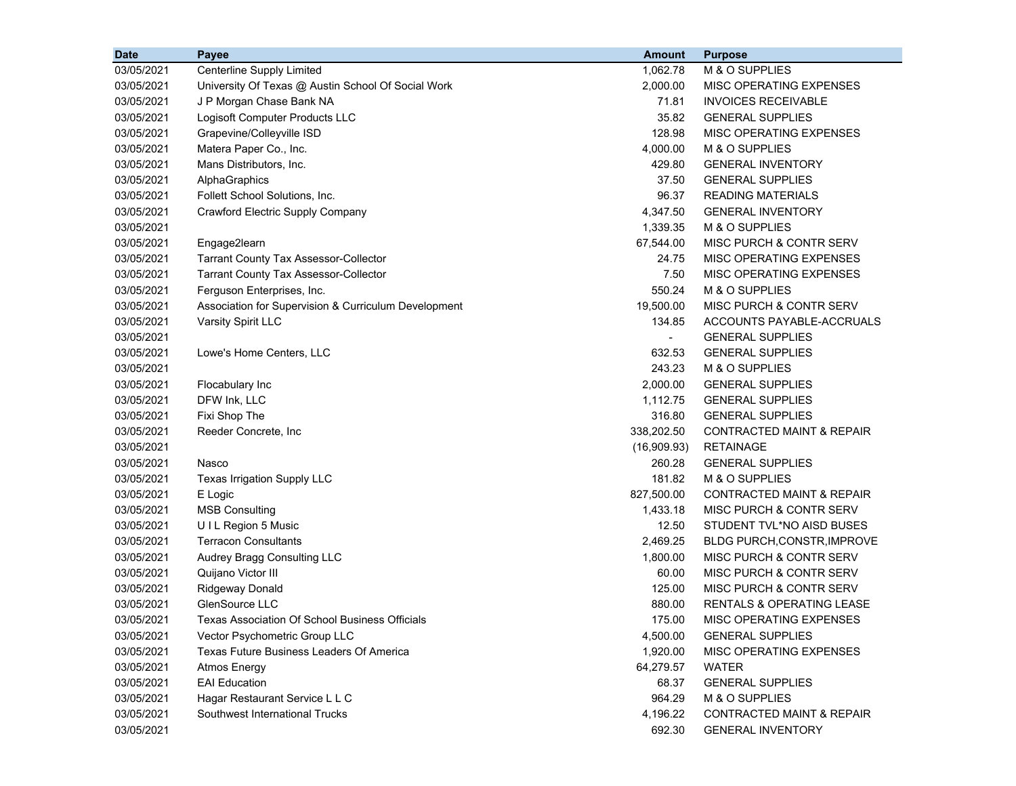| <b>Date</b> | Payee                                                | <b>Amount</b> | <b>Purpose</b>                       |
|-------------|------------------------------------------------------|---------------|--------------------------------------|
| 03/05/2021  | Centerline Supply Limited                            | 1,062.78      | M & O SUPPLIES                       |
| 03/05/2021  | University Of Texas @ Austin School Of Social Work   | 2,000.00      | MISC OPERATING EXPENSES              |
| 03/05/2021  | J P Morgan Chase Bank NA                             | 71.81         | <b>INVOICES RECEIVABLE</b>           |
| 03/05/2021  | Logisoft Computer Products LLC                       | 35.82         | <b>GENERAL SUPPLIES</b>              |
| 03/05/2021  | Grapevine/Colleyville ISD                            | 128.98        | MISC OPERATING EXPENSES              |
| 03/05/2021  | Matera Paper Co., Inc.                               | 4,000.00      | M & O SUPPLIES                       |
| 03/05/2021  | Mans Distributors, Inc.                              | 429.80        | <b>GENERAL INVENTORY</b>             |
| 03/05/2021  | AlphaGraphics                                        | 37.50         | <b>GENERAL SUPPLIES</b>              |
| 03/05/2021  | Follett School Solutions, Inc.                       | 96.37         | <b>READING MATERIALS</b>             |
| 03/05/2021  | Crawford Electric Supply Company                     | 4,347.50      | <b>GENERAL INVENTORY</b>             |
| 03/05/2021  |                                                      | 1,339.35      | M & O SUPPLIES                       |
| 03/05/2021  | Engage2learn                                         | 67,544.00     | MISC PURCH & CONTR SERV              |
| 03/05/2021  | <b>Tarrant County Tax Assessor-Collector</b>         | 24.75         | MISC OPERATING EXPENSES              |
| 03/05/2021  | <b>Tarrant County Tax Assessor-Collector</b>         | 7.50          | MISC OPERATING EXPENSES              |
| 03/05/2021  | Ferguson Enterprises, Inc.                           | 550.24        | M & O SUPPLIES                       |
| 03/05/2021  | Association for Supervision & Curriculum Development | 19,500.00     | MISC PURCH & CONTR SERV              |
| 03/05/2021  | Varsity Spirit LLC                                   | 134.85        | ACCOUNTS PAYABLE-ACCRUALS            |
| 03/05/2021  |                                                      | $\sim$        | <b>GENERAL SUPPLIES</b>              |
| 03/05/2021  | Lowe's Home Centers, LLC                             | 632.53        | <b>GENERAL SUPPLIES</b>              |
| 03/05/2021  |                                                      | 243.23        | M & O SUPPLIES                       |
| 03/05/2021  | Flocabulary Inc                                      | 2,000.00      | <b>GENERAL SUPPLIES</b>              |
| 03/05/2021  | DFW Ink, LLC                                         | 1,112.75      | <b>GENERAL SUPPLIES</b>              |
| 03/05/2021  | Fixi Shop The                                        | 316.80        | <b>GENERAL SUPPLIES</b>              |
| 03/05/2021  | Reeder Concrete, Inc.                                | 338,202.50    | <b>CONTRACTED MAINT &amp; REPAIR</b> |
| 03/05/2021  |                                                      | (16,909.93)   | <b>RETAINAGE</b>                     |
| 03/05/2021  | Nasco                                                | 260.28        | <b>GENERAL SUPPLIES</b>              |
| 03/05/2021  | Texas Irrigation Supply LLC                          | 181.82        | M & O SUPPLIES                       |
| 03/05/2021  | E Logic                                              | 827,500.00    | <b>CONTRACTED MAINT &amp; REPAIR</b> |
| 03/05/2021  | <b>MSB Consulting</b>                                | 1,433.18      | MISC PURCH & CONTR SERV              |
| 03/05/2021  | UIL Region 5 Music                                   | 12.50         | STUDENT TVL*NO AISD BUSES            |
| 03/05/2021  | <b>Terracon Consultants</b>                          | 2,469.25      | BLDG PURCH, CONSTR, IMPROVE          |
| 03/05/2021  | Audrey Bragg Consulting LLC                          | 1,800.00      | MISC PURCH & CONTR SERV              |
| 03/05/2021  | Quijano Victor III                                   | 60.00         | MISC PURCH & CONTR SERV              |
| 03/05/2021  | <b>Ridgeway Donald</b>                               | 125.00        | MISC PURCH & CONTR SERV              |
| 03/05/2021  | GlenSource LLC                                       | 880.00        | RENTALS & OPERATING LEASE            |
| 03/05/2021  | Texas Association Of School Business Officials       | 175.00        | MISC OPERATING EXPENSES              |
| 03/05/2021  | Vector Psychometric Group LLC                        | 4,500.00      | <b>GENERAL SUPPLIES</b>              |
| 03/05/2021  | Texas Future Business Leaders Of America             | 1,920.00      | MISC OPERATING EXPENSES              |
| 03/05/2021  | <b>Atmos Energy</b>                                  | 64,279.57     | <b>WATER</b>                         |
| 03/05/2021  | <b>EAI Education</b>                                 | 68.37         | <b>GENERAL SUPPLIES</b>              |
| 03/05/2021  | Hagar Restaurant Service L L C                       | 964.29        | M & O SUPPLIES                       |
| 03/05/2021  | Southwest International Trucks                       | 4,196.22      | <b>CONTRACTED MAINT &amp; REPAIR</b> |
| 03/05/2021  |                                                      | 692.30        | <b>GENERAL INVENTORY</b>             |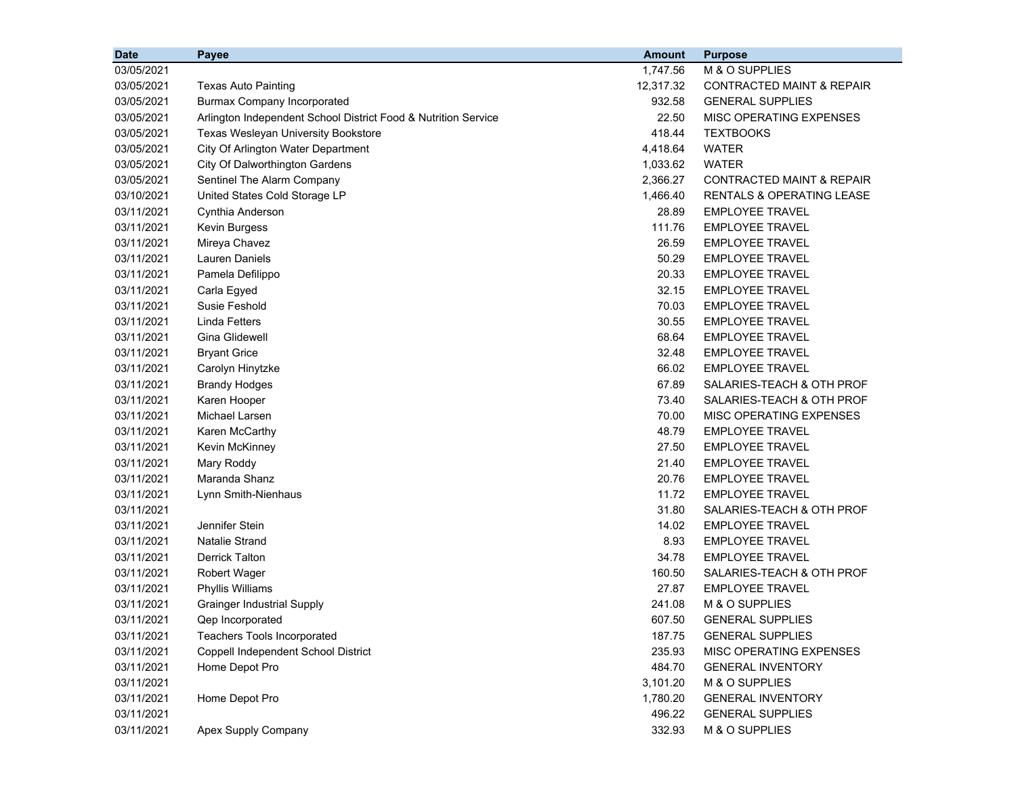| <b>Date</b> | Payee                                                          | <b>Amount</b> | <b>Purpose</b>                       |
|-------------|----------------------------------------------------------------|---------------|--------------------------------------|
| 03/05/2021  |                                                                | 1,747.56      | M & O SUPPLIES                       |
| 03/05/2021  | <b>Texas Auto Painting</b>                                     | 12,317.32     | <b>CONTRACTED MAINT &amp; REPAIR</b> |
| 03/05/2021  | <b>Burmax Company Incorporated</b>                             | 932.58        | <b>GENERAL SUPPLIES</b>              |
| 03/05/2021  | Arlington Independent School District Food & Nutrition Service | 22.50         | MISC OPERATING EXPENSES              |
| 03/05/2021  | Texas Wesleyan University Bookstore                            | 418.44        | <b>TEXTBOOKS</b>                     |
| 03/05/2021  | City Of Arlington Water Department                             | 4,418.64      | <b>WATER</b>                         |
| 03/05/2021  | City Of Dalworthington Gardens                                 | 1,033.62      | <b>WATER</b>                         |
| 03/05/2021  | Sentinel The Alarm Company                                     | 2,366.27      | <b>CONTRACTED MAINT &amp; REPAIR</b> |
| 03/10/2021  | United States Cold Storage LP                                  | 1,466.40      | <b>RENTALS &amp; OPERATING LEASE</b> |
| 03/11/2021  | Cynthia Anderson                                               | 28.89         | <b>EMPLOYEE TRAVEL</b>               |
| 03/11/2021  | Kevin Burgess                                                  | 111.76        | <b>EMPLOYEE TRAVEL</b>               |
| 03/11/2021  | Mireya Chavez                                                  | 26.59         | <b>EMPLOYEE TRAVEL</b>               |
| 03/11/2021  | Lauren Daniels                                                 | 50.29         | <b>EMPLOYEE TRAVEL</b>               |
| 03/11/2021  | Pamela Defilippo                                               | 20.33         | <b>EMPLOYEE TRAVEL</b>               |
| 03/11/2021  | Carla Egyed                                                    | 32.15         | <b>EMPLOYEE TRAVEL</b>               |
| 03/11/2021  | Susie Feshold                                                  | 70.03         | <b>EMPLOYEE TRAVEL</b>               |
| 03/11/2021  | Linda Fetters                                                  | 30.55         | <b>EMPLOYEE TRAVEL</b>               |
| 03/11/2021  | Gina Glidewell                                                 | 68.64         | <b>EMPLOYEE TRAVEL</b>               |
| 03/11/2021  | <b>Bryant Grice</b>                                            | 32.48         | <b>EMPLOYEE TRAVEL</b>               |
| 03/11/2021  | Carolyn Hinytzke                                               | 66.02         | <b>EMPLOYEE TRAVEL</b>               |
| 03/11/2021  | <b>Brandy Hodges</b>                                           | 67.89         | SALARIES-TEACH & OTH PROF            |
| 03/11/2021  | Karen Hooper                                                   | 73.40         | SALARIES-TEACH & OTH PROF            |
| 03/11/2021  | Michael Larsen                                                 | 70.00         | MISC OPERATING EXPENSES              |
| 03/11/2021  | Karen McCarthy                                                 | 48.79         | <b>EMPLOYEE TRAVEL</b>               |
| 03/11/2021  | Kevin McKinney                                                 | 27.50         | <b>EMPLOYEE TRAVEL</b>               |
| 03/11/2021  | Mary Roddy                                                     | 21.40         | <b>EMPLOYEE TRAVEL</b>               |
| 03/11/2021  | Maranda Shanz                                                  | 20.76         | <b>EMPLOYEE TRAVEL</b>               |
| 03/11/2021  | Lynn Smith-Nienhaus                                            | 11.72         | <b>EMPLOYEE TRAVEL</b>               |
| 03/11/2021  |                                                                | 31.80         | SALARIES-TEACH & OTH PROF            |
| 03/11/2021  | Jennifer Stein                                                 | 14.02         | <b>EMPLOYEE TRAVEL</b>               |
| 03/11/2021  | <b>Natalie Strand</b>                                          | 8.93          | <b>EMPLOYEE TRAVEL</b>               |
| 03/11/2021  | <b>Derrick Talton</b>                                          | 34.78         | <b>EMPLOYEE TRAVEL</b>               |
| 03/11/2021  | Robert Wager                                                   | 160.50        | SALARIES-TEACH & OTH PROF            |
| 03/11/2021  | Phyllis Williams                                               | 27.87         | <b>EMPLOYEE TRAVEL</b>               |
| 03/11/2021  | <b>Grainger Industrial Supply</b>                              | 241.08        | M & O SUPPLIES                       |
| 03/11/2021  | Qep Incorporated                                               | 607.50        | <b>GENERAL SUPPLIES</b>              |
| 03/11/2021  | <b>Teachers Tools Incorporated</b>                             | 187.75        | <b>GENERAL SUPPLIES</b>              |
| 03/11/2021  | Coppell Independent School District                            | 235.93        | MISC OPERATING EXPENSES              |
| 03/11/2021  | Home Depot Pro                                                 | 484.70        | <b>GENERAL INVENTORY</b>             |
| 03/11/2021  |                                                                | 3,101.20      | M & O SUPPLIES                       |
| 03/11/2021  | Home Depot Pro                                                 | 1,780.20      | <b>GENERAL INVENTORY</b>             |
| 03/11/2021  |                                                                | 496.22        | <b>GENERAL SUPPLIES</b>              |
| 03/11/2021  | Apex Supply Company                                            | 332.93        | M & O SUPPLIES                       |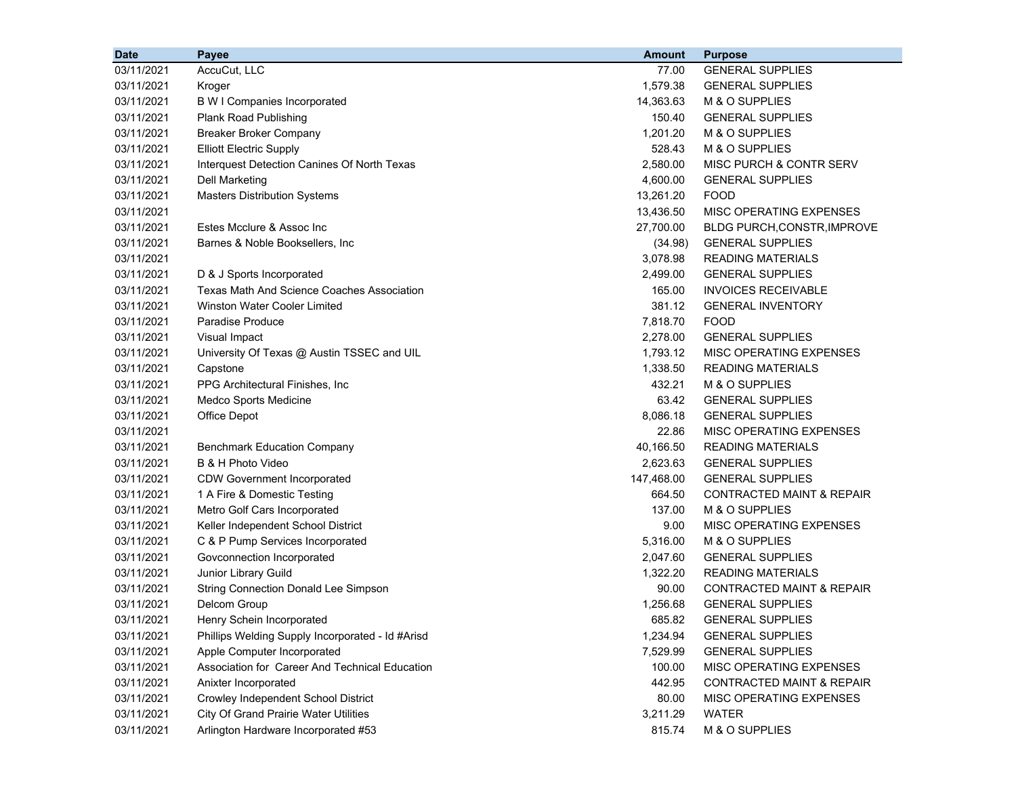| <b>Date</b> | Payee                                             | <b>Amount</b> | <b>Purpose</b>                       |
|-------------|---------------------------------------------------|---------------|--------------------------------------|
| 03/11/2021  | AccuCut, LLC                                      | 77.00         | <b>GENERAL SUPPLIES</b>              |
| 03/11/2021  | Kroger                                            | 1,579.38      | <b>GENERAL SUPPLIES</b>              |
| 03/11/2021  | <b>B W I Companies Incorporated</b>               | 14,363.63     | M & O SUPPLIES                       |
| 03/11/2021  | <b>Plank Road Publishing</b>                      | 150.40        | <b>GENERAL SUPPLIES</b>              |
| 03/11/2021  | <b>Breaker Broker Company</b>                     | 1,201.20      | M & O SUPPLIES                       |
| 03/11/2021  | <b>Elliott Electric Supply</b>                    | 528.43        | M & O SUPPLIES                       |
| 03/11/2021  | Interquest Detection Canines Of North Texas       | 2,580.00      | MISC PURCH & CONTR SERV              |
| 03/11/2021  | <b>Dell Marketing</b>                             | 4,600.00      | <b>GENERAL SUPPLIES</b>              |
| 03/11/2021  | <b>Masters Distribution Systems</b>               | 13,261.20     | <b>FOOD</b>                          |
| 03/11/2021  |                                                   | 13,436.50     | MISC OPERATING EXPENSES              |
| 03/11/2021  | Estes Mcclure & Assoc Inc                         | 27,700.00     | <b>BLDG PURCH, CONSTR, IMPROVE</b>   |
| 03/11/2021  | Barnes & Noble Booksellers, Inc.                  | (34.98)       | <b>GENERAL SUPPLIES</b>              |
| 03/11/2021  |                                                   | 3,078.98      | <b>READING MATERIALS</b>             |
| 03/11/2021  | D & J Sports Incorporated                         | 2,499.00      | <b>GENERAL SUPPLIES</b>              |
| 03/11/2021  | <b>Texas Math And Science Coaches Association</b> | 165.00        | <b>INVOICES RECEIVABLE</b>           |
| 03/11/2021  | Winston Water Cooler Limited                      | 381.12        | <b>GENERAL INVENTORY</b>             |
| 03/11/2021  | Paradise Produce                                  | 7,818.70      | <b>FOOD</b>                          |
| 03/11/2021  | Visual Impact                                     | 2,278.00      | <b>GENERAL SUPPLIES</b>              |
| 03/11/2021  | University Of Texas @ Austin TSSEC and UIL        | 1.793.12      | MISC OPERATING EXPENSES              |
| 03/11/2021  | Capstone                                          | 1,338.50      | <b>READING MATERIALS</b>             |
| 03/11/2021  | PPG Architectural Finishes, Inc                   | 432.21        | M & O SUPPLIES                       |
| 03/11/2021  | Medco Sports Medicine                             | 63.42         | <b>GENERAL SUPPLIES</b>              |
| 03/11/2021  | Office Depot                                      | 8,086.18      | <b>GENERAL SUPPLIES</b>              |
| 03/11/2021  |                                                   | 22.86         | MISC OPERATING EXPENSES              |
| 03/11/2021  | <b>Benchmark Education Company</b>                | 40,166.50     | <b>READING MATERIALS</b>             |
| 03/11/2021  | B & H Photo Video                                 | 2,623.63      | <b>GENERAL SUPPLIES</b>              |
| 03/11/2021  | <b>CDW Government Incorporated</b>                | 147,468.00    | <b>GENERAL SUPPLIES</b>              |
| 03/11/2021  | 1 A Fire & Domestic Testing                       | 664.50        | <b>CONTRACTED MAINT &amp; REPAIR</b> |
| 03/11/2021  | Metro Golf Cars Incorporated                      | 137.00        | M & O SUPPLIES                       |
| 03/11/2021  | Keller Independent School District                | 9.00          | MISC OPERATING EXPENSES              |
| 03/11/2021  | C & P Pump Services Incorporated                  | 5,316.00      | M & O SUPPLIES                       |
| 03/11/2021  | Govconnection Incorporated                        | 2,047.60      | <b>GENERAL SUPPLIES</b>              |
| 03/11/2021  | Junior Library Guild                              | 1,322.20      | <b>READING MATERIALS</b>             |
| 03/11/2021  | <b>String Connection Donald Lee Simpson</b>       | 90.00         | <b>CONTRACTED MAINT &amp; REPAIR</b> |
| 03/11/2021  | Delcom Group                                      | 1,256.68      | <b>GENERAL SUPPLIES</b>              |
| 03/11/2021  | Henry Schein Incorporated                         | 685.82        | <b>GENERAL SUPPLIES</b>              |
| 03/11/2021  | Phillips Welding Supply Incorporated - Id #Arisd  | 1,234.94      | <b>GENERAL SUPPLIES</b>              |
| 03/11/2021  | Apple Computer Incorporated                       | 7,529.99      | <b>GENERAL SUPPLIES</b>              |
| 03/11/2021  | Association for Career And Technical Education    | 100.00        | MISC OPERATING EXPENSES              |
| 03/11/2021  | Anixter Incorporated                              | 442.95        | <b>CONTRACTED MAINT &amp; REPAIR</b> |
| 03/11/2021  | Crowley Independent School District               | 80.00         | MISC OPERATING EXPENSES              |
| 03/11/2021  | <b>City Of Grand Prairie Water Utilities</b>      | 3,211.29      | <b>WATER</b>                         |
| 03/11/2021  | Arlington Hardware Incorporated #53               | 815.74        | M & O SUPPLIES                       |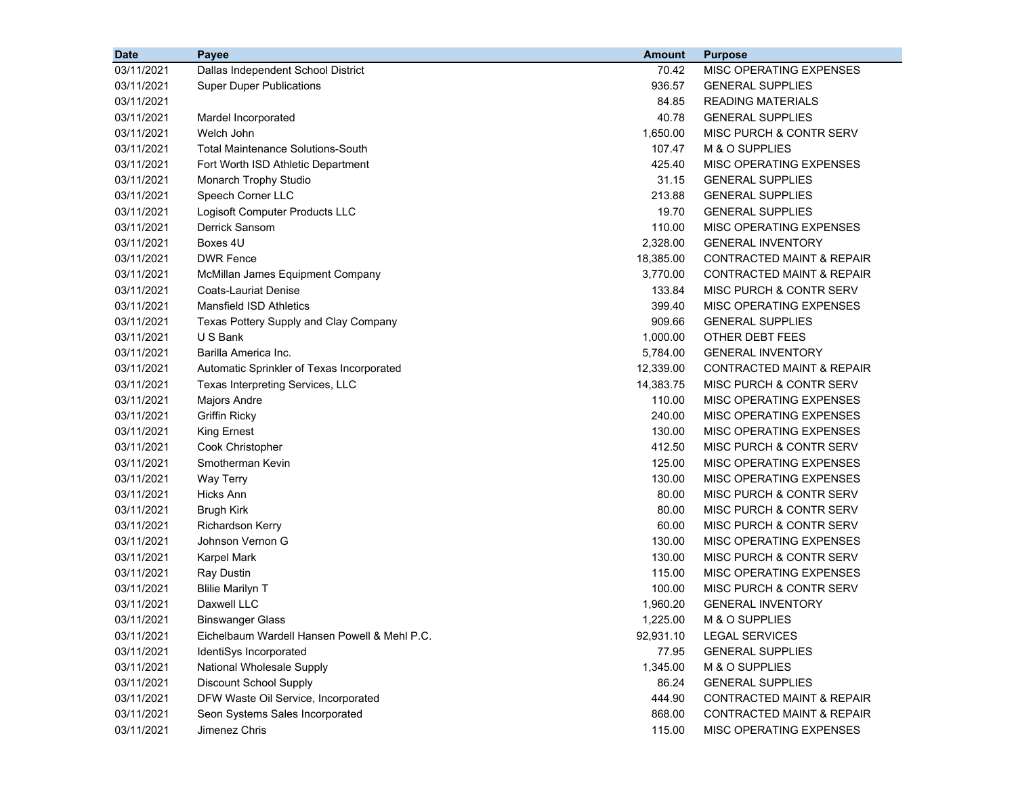| <b>Date</b> | Payee                                        | <b>Amount</b> | <b>Purpose</b>                       |
|-------------|----------------------------------------------|---------------|--------------------------------------|
| 03/11/2021  | Dallas Independent School District           | 70.42         | MISC OPERATING EXPENSES              |
| 03/11/2021  | <b>Super Duper Publications</b>              | 936.57        | <b>GENERAL SUPPLIES</b>              |
| 03/11/2021  |                                              | 84.85         | <b>READING MATERIALS</b>             |
| 03/11/2021  | Mardel Incorporated                          | 40.78         | <b>GENERAL SUPPLIES</b>              |
| 03/11/2021  | Welch John                                   | 1,650.00      | MISC PURCH & CONTR SERV              |
| 03/11/2021  | <b>Total Maintenance Solutions-South</b>     | 107.47        | M & O SUPPLIES                       |
| 03/11/2021  | Fort Worth ISD Athletic Department           | 425.40        | MISC OPERATING EXPENSES              |
| 03/11/2021  | Monarch Trophy Studio                        | 31.15         | <b>GENERAL SUPPLIES</b>              |
| 03/11/2021  | Speech Corner LLC                            | 213.88        | <b>GENERAL SUPPLIES</b>              |
| 03/11/2021  | Logisoft Computer Products LLC               | 19.70         | <b>GENERAL SUPPLIES</b>              |
| 03/11/2021  | Derrick Sansom                               | 110.00        | <b>MISC OPERATING EXPENSES</b>       |
| 03/11/2021  | Boxes 4U                                     | 2,328.00      | <b>GENERAL INVENTORY</b>             |
| 03/11/2021  | <b>DWR Fence</b>                             | 18,385.00     | CONTRACTED MAINT & REPAIR            |
| 03/11/2021  | McMillan James Equipment Company             | 3,770.00      | <b>CONTRACTED MAINT &amp; REPAIR</b> |
| 03/11/2021  | <b>Coats-Lauriat Denise</b>                  | 133.84        | MISC PURCH & CONTR SERV              |
| 03/11/2021  | <b>Mansfield ISD Athletics</b>               | 399.40        | MISC OPERATING EXPENSES              |
| 03/11/2021  | Texas Pottery Supply and Clay Company        | 909.66        | <b>GENERAL SUPPLIES</b>              |
| 03/11/2021  | U S Bank                                     | 1,000.00      | OTHER DEBT FEES                      |
| 03/11/2021  | Barilla America Inc.                         | 5,784.00      | <b>GENERAL INVENTORY</b>             |
| 03/11/2021  | Automatic Sprinkler of Texas Incorporated    | 12,339.00     | <b>CONTRACTED MAINT &amp; REPAIR</b> |
| 03/11/2021  | Texas Interpreting Services, LLC             | 14,383.75     | MISC PURCH & CONTR SERV              |
| 03/11/2021  | Majors Andre                                 | 110.00        | MISC OPERATING EXPENSES              |
| 03/11/2021  | <b>Griffin Ricky</b>                         | 240.00        | MISC OPERATING EXPENSES              |
| 03/11/2021  | <b>King Ernest</b>                           | 130.00        | MISC OPERATING EXPENSES              |
| 03/11/2021  | Cook Christopher                             | 412.50        | MISC PURCH & CONTR SERV              |
| 03/11/2021  | Smotherman Kevin                             | 125.00        | MISC OPERATING EXPENSES              |
| 03/11/2021  | Way Terry                                    | 130.00        | MISC OPERATING EXPENSES              |
| 03/11/2021  | Hicks Ann                                    | 80.00         | MISC PURCH & CONTR SERV              |
| 03/11/2021  | <b>Brugh Kirk</b>                            | 80.00         | MISC PURCH & CONTR SERV              |
| 03/11/2021  | <b>Richardson Kerry</b>                      | 60.00         | MISC PURCH & CONTR SERV              |
| 03/11/2021  | Johnson Vernon G                             | 130.00        | MISC OPERATING EXPENSES              |
| 03/11/2021  | Karpel Mark                                  | 130.00        | MISC PURCH & CONTR SERV              |
| 03/11/2021  | <b>Ray Dustin</b>                            | 115.00        | MISC OPERATING EXPENSES              |
| 03/11/2021  | <b>Blilie Marilyn T</b>                      | 100.00        | MISC PURCH & CONTR SERV              |
| 03/11/2021  | Daxwell LLC                                  | 1,960.20      | <b>GENERAL INVENTORY</b>             |
| 03/11/2021  | <b>Binswanger Glass</b>                      | 1,225.00      | M & O SUPPLIES                       |
| 03/11/2021  | Eichelbaum Wardell Hansen Powell & Mehl P.C. | 92,931.10     | <b>LEGAL SERVICES</b>                |
| 03/11/2021  | IdentiSys Incorporated                       | 77.95         | <b>GENERAL SUPPLIES</b>              |
| 03/11/2021  | National Wholesale Supply                    | 1,345.00      | M & O SUPPLIES                       |
| 03/11/2021  | Discount School Supply                       | 86.24         | <b>GENERAL SUPPLIES</b>              |
| 03/11/2021  | DFW Waste Oil Service, Incorporated          | 444.90        | <b>CONTRACTED MAINT &amp; REPAIR</b> |
| 03/11/2021  | Seon Systems Sales Incorporated              | 868.00        | <b>CONTRACTED MAINT &amp; REPAIR</b> |
| 03/11/2021  | Jimenez Chris                                | 115.00        | MISC OPERATING EXPENSES              |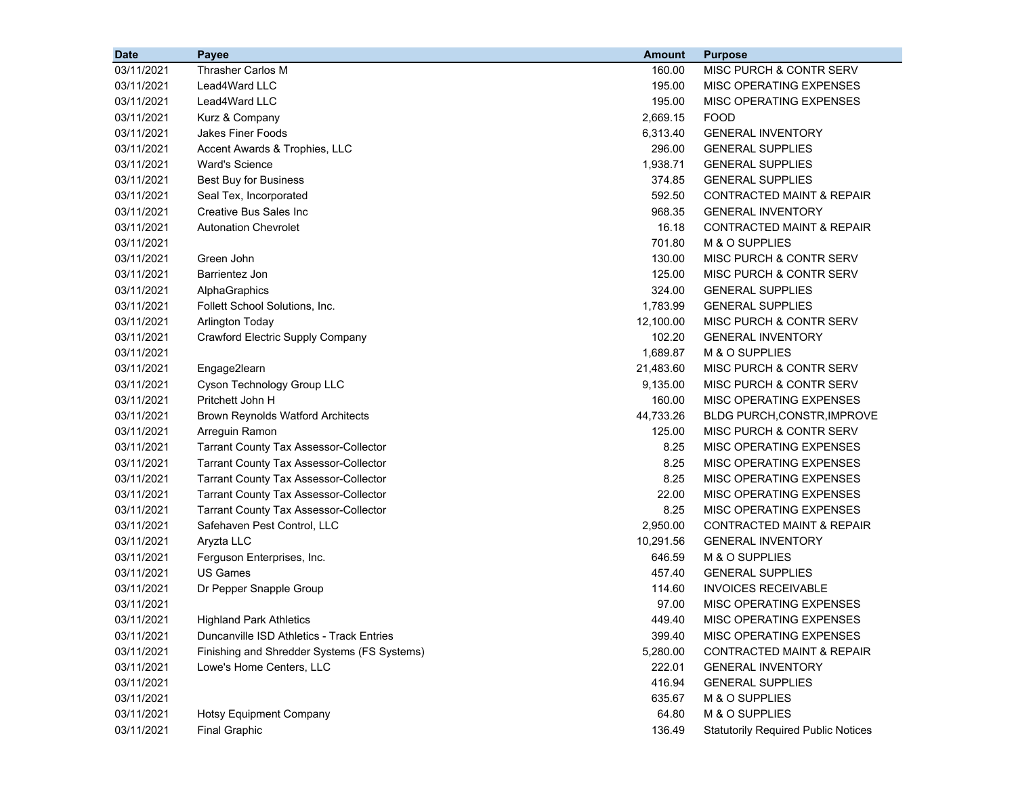| <b>Date</b> | Payee                                        | <b>Amount</b> | <b>Purpose</b>                             |
|-------------|----------------------------------------------|---------------|--------------------------------------------|
| 03/11/2021  | Thrasher Carlos M                            | 160.00        | MISC PURCH & CONTR SERV                    |
| 03/11/2021  | Lead4Ward LLC                                | 195.00        | MISC OPERATING EXPENSES                    |
| 03/11/2021  | Lead4Ward LLC                                | 195.00        | MISC OPERATING EXPENSES                    |
| 03/11/2021  | Kurz & Company                               | 2,669.15      | <b>FOOD</b>                                |
| 03/11/2021  | <b>Jakes Finer Foods</b>                     | 6,313.40      | <b>GENERAL INVENTORY</b>                   |
| 03/11/2021  | Accent Awards & Trophies, LLC                | 296.00        | <b>GENERAL SUPPLIES</b>                    |
| 03/11/2021  | <b>Ward's Science</b>                        | 1,938.71      | <b>GENERAL SUPPLIES</b>                    |
| 03/11/2021  | <b>Best Buy for Business</b>                 | 374.85        | <b>GENERAL SUPPLIES</b>                    |
| 03/11/2021  | Seal Tex, Incorporated                       | 592.50        | <b>CONTRACTED MAINT &amp; REPAIR</b>       |
| 03/11/2021  | <b>Creative Bus Sales Inc</b>                | 968.35        | <b>GENERAL INVENTORY</b>                   |
| 03/11/2021  | <b>Autonation Chevrolet</b>                  | 16.18         | <b>CONTRACTED MAINT &amp; REPAIR</b>       |
| 03/11/2021  |                                              | 701.80        | M & O SUPPLIES                             |
| 03/11/2021  | Green John                                   | 130.00        | MISC PURCH & CONTR SERV                    |
| 03/11/2021  | <b>Barrientez Jon</b>                        | 125.00        | MISC PURCH & CONTR SERV                    |
| 03/11/2021  | AlphaGraphics                                | 324.00        | <b>GENERAL SUPPLIES</b>                    |
| 03/11/2021  | Follett School Solutions, Inc.               | 1,783.99      | <b>GENERAL SUPPLIES</b>                    |
| 03/11/2021  | <b>Arlington Today</b>                       | 12,100.00     | MISC PURCH & CONTR SERV                    |
| 03/11/2021  | Crawford Electric Supply Company             | 102.20        | <b>GENERAL INVENTORY</b>                   |
| 03/11/2021  |                                              | 1,689.87      | M & O SUPPLIES                             |
| 03/11/2021  | Engage2learn                                 | 21,483.60     | MISC PURCH & CONTR SERV                    |
| 03/11/2021  | Cyson Technology Group LLC                   | 9,135.00      | MISC PURCH & CONTR SERV                    |
| 03/11/2021  | Pritchett John H                             | 160.00        | MISC OPERATING EXPENSES                    |
| 03/11/2021  | <b>Brown Reynolds Watford Architects</b>     | 44,733.26     | BLDG PURCH, CONSTR, IMPROVE                |
| 03/11/2021  | Arreguin Ramon                               | 125.00        | MISC PURCH & CONTR SERV                    |
| 03/11/2021  | <b>Tarrant County Tax Assessor-Collector</b> | 8.25          | MISC OPERATING EXPENSES                    |
| 03/11/2021  | <b>Tarrant County Tax Assessor-Collector</b> | 8.25          | MISC OPERATING EXPENSES                    |
| 03/11/2021  | <b>Tarrant County Tax Assessor-Collector</b> | 8.25          | MISC OPERATING EXPENSES                    |
| 03/11/2021  | <b>Tarrant County Tax Assessor-Collector</b> | 22.00         | MISC OPERATING EXPENSES                    |
| 03/11/2021  | <b>Tarrant County Tax Assessor-Collector</b> | 8.25          | MISC OPERATING EXPENSES                    |
| 03/11/2021  | Safehaven Pest Control, LLC                  | 2,950.00      | <b>CONTRACTED MAINT &amp; REPAIR</b>       |
| 03/11/2021  | Aryzta LLC                                   | 10,291.56     | <b>GENERAL INVENTORY</b>                   |
| 03/11/2021  | Ferguson Enterprises, Inc.                   | 646.59        | M & O SUPPLIES                             |
| 03/11/2021  | <b>US Games</b>                              | 457.40        | <b>GENERAL SUPPLIES</b>                    |
| 03/11/2021  | Dr Pepper Snapple Group                      | 114.60        | <b>INVOICES RECEIVABLE</b>                 |
| 03/11/2021  |                                              | 97.00         | MISC OPERATING EXPENSES                    |
| 03/11/2021  | <b>Highland Park Athletics</b>               | 449.40        | MISC OPERATING EXPENSES                    |
| 03/11/2021  | Duncanville ISD Athletics - Track Entries    | 399.40        | MISC OPERATING EXPENSES                    |
| 03/11/2021  | Finishing and Shredder Systems (FS Systems)  | 5,280.00      | <b>CONTRACTED MAINT &amp; REPAIR</b>       |
| 03/11/2021  | Lowe's Home Centers, LLC                     | 222.01        | <b>GENERAL INVENTORY</b>                   |
| 03/11/2021  |                                              | 416.94        | <b>GENERAL SUPPLIES</b>                    |
| 03/11/2021  |                                              | 635.67        | M & O SUPPLIES                             |
| 03/11/2021  | <b>Hotsy Equipment Company</b>               | 64.80         | M & O SUPPLIES                             |
| 03/11/2021  | <b>Final Graphic</b>                         | 136.49        | <b>Statutorily Required Public Notices</b> |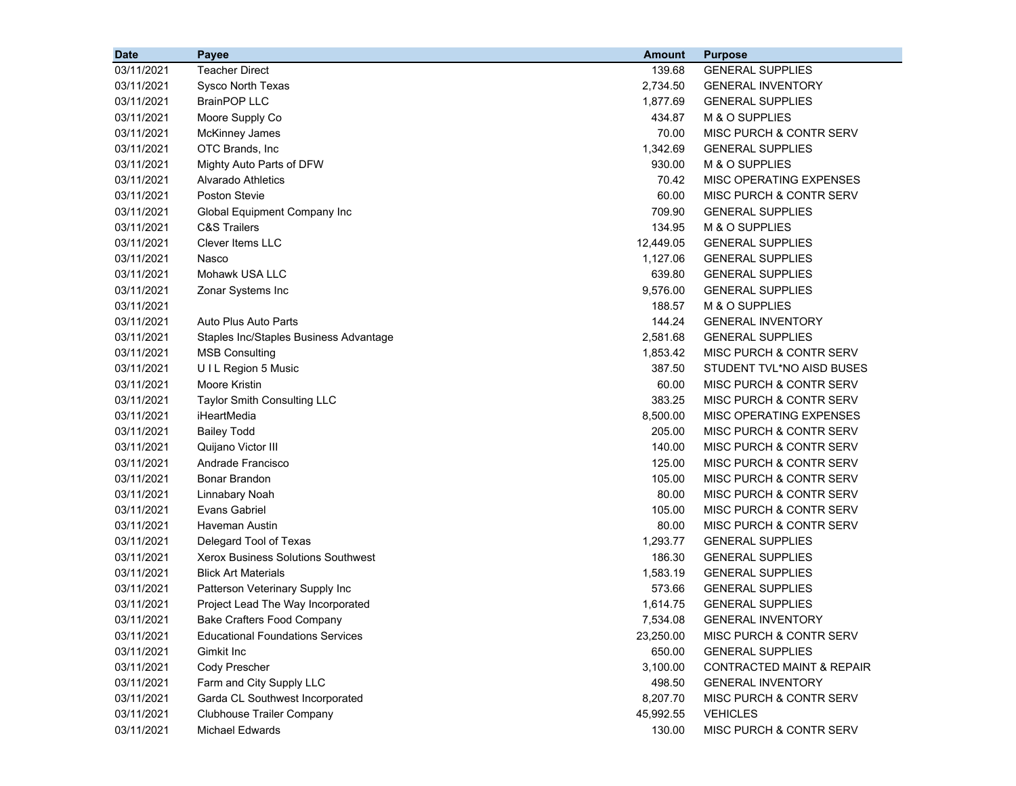| <b>Date</b> | Payee                                     | <b>Amount</b> | <b>Purpose</b>                       |
|-------------|-------------------------------------------|---------------|--------------------------------------|
| 03/11/2021  | <b>Teacher Direct</b>                     | 139.68        | <b>GENERAL SUPPLIES</b>              |
| 03/11/2021  | Sysco North Texas                         | 2,734.50      | <b>GENERAL INVENTORY</b>             |
| 03/11/2021  | <b>BrainPOP LLC</b>                       | 1,877.69      | <b>GENERAL SUPPLIES</b>              |
| 03/11/2021  | Moore Supply Co                           | 434.87        | M & O SUPPLIES                       |
| 03/11/2021  | <b>McKinney James</b>                     | 70.00         | MISC PURCH & CONTR SERV              |
| 03/11/2021  | OTC Brands, Inc                           | 1,342.69      | <b>GENERAL SUPPLIES</b>              |
| 03/11/2021  | Mighty Auto Parts of DFW                  | 930.00        | M & O SUPPLIES                       |
| 03/11/2021  | Alvarado Athletics                        | 70.42         | MISC OPERATING EXPENSES              |
| 03/11/2021  | Poston Stevie                             | 60.00         | MISC PURCH & CONTR SERV              |
| 03/11/2021  | Global Equipment Company Inc              | 709.90        | <b>GENERAL SUPPLIES</b>              |
| 03/11/2021  | <b>C&amp;S Trailers</b>                   | 134.95        | M & O SUPPLIES                       |
| 03/11/2021  | Clever Items LLC                          | 12,449.05     | <b>GENERAL SUPPLIES</b>              |
| 03/11/2021  | Nasco                                     | 1,127.06      | <b>GENERAL SUPPLIES</b>              |
| 03/11/2021  | Mohawk USA LLC                            | 639.80        | <b>GENERAL SUPPLIES</b>              |
| 03/11/2021  | Zonar Systems Inc                         | 9,576.00      | <b>GENERAL SUPPLIES</b>              |
| 03/11/2021  |                                           | 188.57        | M & O SUPPLIES                       |
| 03/11/2021  | Auto Plus Auto Parts                      | 144.24        | <b>GENERAL INVENTORY</b>             |
| 03/11/2021  | Staples Inc/Staples Business Advantage    | 2,581.68      | <b>GENERAL SUPPLIES</b>              |
| 03/11/2021  | <b>MSB Consulting</b>                     | 1,853.42      | MISC PURCH & CONTR SERV              |
| 03/11/2021  | UIL Region 5 Music                        | 387.50        | STUDENT TVL*NO AISD BUSES            |
| 03/11/2021  | Moore Kristin                             | 60.00         | MISC PURCH & CONTR SERV              |
| 03/11/2021  | <b>Taylor Smith Consulting LLC</b>        | 383.25        | MISC PURCH & CONTR SERV              |
| 03/11/2021  | iHeartMedia                               | 8,500.00      | MISC OPERATING EXPENSES              |
| 03/11/2021  | <b>Bailey Todd</b>                        | 205.00        | MISC PURCH & CONTR SERV              |
| 03/11/2021  | Quijano Victor III                        | 140.00        | MISC PURCH & CONTR SERV              |
| 03/11/2021  | Andrade Francisco                         | 125.00        | MISC PURCH & CONTR SERV              |
| 03/11/2021  | Bonar Brandon                             | 105.00        | MISC PURCH & CONTR SERV              |
| 03/11/2021  | Linnabary Noah                            | 80.00         | MISC PURCH & CONTR SERV              |
| 03/11/2021  | Evans Gabriel                             | 105.00        | MISC PURCH & CONTR SERV              |
| 03/11/2021  | Haveman Austin                            | 80.00         | MISC PURCH & CONTR SERV              |
| 03/11/2021  | Delegard Tool of Texas                    | 1,293.77      | <b>GENERAL SUPPLIES</b>              |
| 03/11/2021  | <b>Xerox Business Solutions Southwest</b> | 186.30        | <b>GENERAL SUPPLIES</b>              |
| 03/11/2021  | <b>Blick Art Materials</b>                | 1,583.19      | <b>GENERAL SUPPLIES</b>              |
| 03/11/2021  | Patterson Veterinary Supply Inc           | 573.66        | <b>GENERAL SUPPLIES</b>              |
| 03/11/2021  | Project Lead The Way Incorporated         | 1,614.75      | <b>GENERAL SUPPLIES</b>              |
| 03/11/2021  | <b>Bake Crafters Food Company</b>         | 7,534.08      | <b>GENERAL INVENTORY</b>             |
| 03/11/2021  | <b>Educational Foundations Services</b>   | 23,250.00     | MISC PURCH & CONTR SERV              |
| 03/11/2021  | Gimkit Inc                                | 650.00        | <b>GENERAL SUPPLIES</b>              |
| 03/11/2021  | Cody Prescher                             | 3,100.00      | <b>CONTRACTED MAINT &amp; REPAIR</b> |
| 03/11/2021  | Farm and City Supply LLC                  | 498.50        | <b>GENERAL INVENTORY</b>             |
| 03/11/2021  | Garda CL Southwest Incorporated           | 8,207.70      | MISC PURCH & CONTR SERV              |
| 03/11/2021  | <b>Clubhouse Trailer Company</b>          | 45,992.55     | <b>VEHICLES</b>                      |
| 03/11/2021  | Michael Edwards                           | 130.00        | MISC PURCH & CONTR SERV              |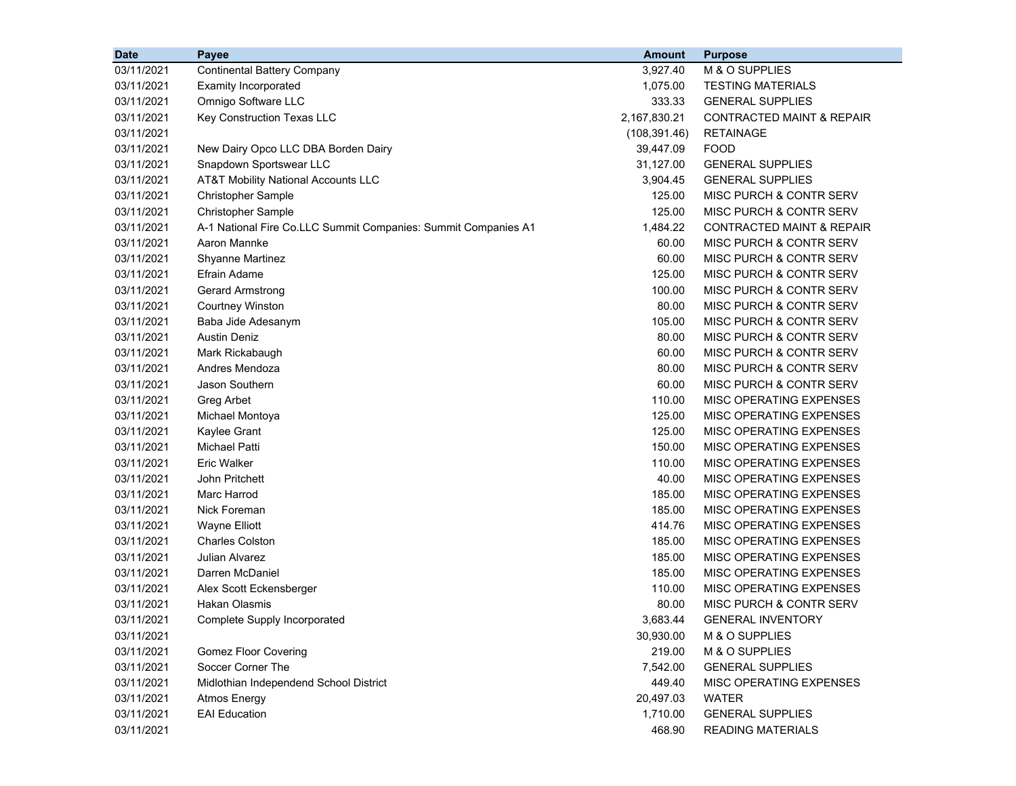| <b>Date</b> | Payee                                                          | <b>Amount</b> | <b>Purpose</b>                       |
|-------------|----------------------------------------------------------------|---------------|--------------------------------------|
| 03/11/2021  | <b>Continental Battery Company</b>                             | 3,927.40      | M & O SUPPLIES                       |
| 03/11/2021  | <b>Examity Incorporated</b>                                    | 1,075.00      | <b>TESTING MATERIALS</b>             |
| 03/11/2021  | Omnigo Software LLC                                            | 333.33        | <b>GENERAL SUPPLIES</b>              |
| 03/11/2021  | Key Construction Texas LLC                                     | 2,167,830.21  | <b>CONTRACTED MAINT &amp; REPAIR</b> |
| 03/11/2021  |                                                                | (108, 391.46) | <b>RETAINAGE</b>                     |
| 03/11/2021  | New Dairy Opco LLC DBA Borden Dairy                            | 39,447.09     | <b>FOOD</b>                          |
| 03/11/2021  | Snapdown Sportswear LLC                                        | 31,127.00     | <b>GENERAL SUPPLIES</b>              |
| 03/11/2021  | AT&T Mobility National Accounts LLC                            | 3,904.45      | <b>GENERAL SUPPLIES</b>              |
| 03/11/2021  | Christopher Sample                                             | 125.00        | MISC PURCH & CONTR SERV              |
| 03/11/2021  | Christopher Sample                                             | 125.00        | MISC PURCH & CONTR SERV              |
| 03/11/2021  | A-1 National Fire Co.LLC Summit Companies: Summit Companies A1 | 1,484.22      | <b>CONTRACTED MAINT &amp; REPAIR</b> |
| 03/11/2021  | Aaron Mannke                                                   | 60.00         | MISC PURCH & CONTR SERV              |
| 03/11/2021  | <b>Shyanne Martinez</b>                                        | 60.00         | MISC PURCH & CONTR SERV              |
| 03/11/2021  | Efrain Adame                                                   | 125.00        | MISC PURCH & CONTR SERV              |
| 03/11/2021  | Gerard Armstrong                                               | 100.00        | MISC PURCH & CONTR SERV              |
| 03/11/2021  | <b>Courtney Winston</b>                                        | 80.00         | MISC PURCH & CONTR SERV              |
| 03/11/2021  | Baba Jide Adesanym                                             | 105.00        | MISC PURCH & CONTR SERV              |
| 03/11/2021  | <b>Austin Deniz</b>                                            | 80.00         | MISC PURCH & CONTR SERV              |
| 03/11/2021  | Mark Rickabaugh                                                | 60.00         | MISC PURCH & CONTR SERV              |
| 03/11/2021  | Andres Mendoza                                                 | 80.00         | MISC PURCH & CONTR SERV              |
| 03/11/2021  | Jason Southern                                                 | 60.00         | MISC PURCH & CONTR SERV              |
| 03/11/2021  | Greg Arbet                                                     | 110.00        | MISC OPERATING EXPENSES              |
| 03/11/2021  | Michael Montoya                                                | 125.00        | MISC OPERATING EXPENSES              |
| 03/11/2021  | Kaylee Grant                                                   | 125.00        | MISC OPERATING EXPENSES              |
| 03/11/2021  | <b>Michael Patti</b>                                           | 150.00        | MISC OPERATING EXPENSES              |
| 03/11/2021  | <b>Eric Walker</b>                                             | 110.00        | MISC OPERATING EXPENSES              |
| 03/11/2021  | John Pritchett                                                 | 40.00         | MISC OPERATING EXPENSES              |
| 03/11/2021  | Marc Harrod                                                    | 185.00        | MISC OPERATING EXPENSES              |
| 03/11/2021  | Nick Foreman                                                   | 185.00        | MISC OPERATING EXPENSES              |
| 03/11/2021  | <b>Wayne Elliott</b>                                           | 414.76        | MISC OPERATING EXPENSES              |
| 03/11/2021  | <b>Charles Colston</b>                                         | 185.00        | MISC OPERATING EXPENSES              |
| 03/11/2021  | Julian Alvarez                                                 | 185.00        | MISC OPERATING EXPENSES              |
| 03/11/2021  | Darren McDaniel                                                | 185.00        | MISC OPERATING EXPENSES              |
| 03/11/2021  | Alex Scott Eckensberger                                        | 110.00        | MISC OPERATING EXPENSES              |
| 03/11/2021  | Hakan Olasmis                                                  | 80.00         | MISC PURCH & CONTR SERV              |
| 03/11/2021  | Complete Supply Incorporated                                   | 3,683.44      | <b>GENERAL INVENTORY</b>             |
| 03/11/2021  |                                                                | 30,930.00     | M & O SUPPLIES                       |
| 03/11/2021  | <b>Gomez Floor Covering</b>                                    | 219.00        | M & O SUPPLIES                       |
| 03/11/2021  | Soccer Corner The                                              | 7,542.00      | <b>GENERAL SUPPLIES</b>              |
| 03/11/2021  | Midlothian Independend School District                         | 449.40        | MISC OPERATING EXPENSES              |
| 03/11/2021  | <b>Atmos Energy</b>                                            | 20,497.03     | <b>WATER</b>                         |
| 03/11/2021  | <b>EAI Education</b>                                           | 1,710.00      | <b>GENERAL SUPPLIES</b>              |
| 03/11/2021  |                                                                | 468.90        | <b>READING MATERIALS</b>             |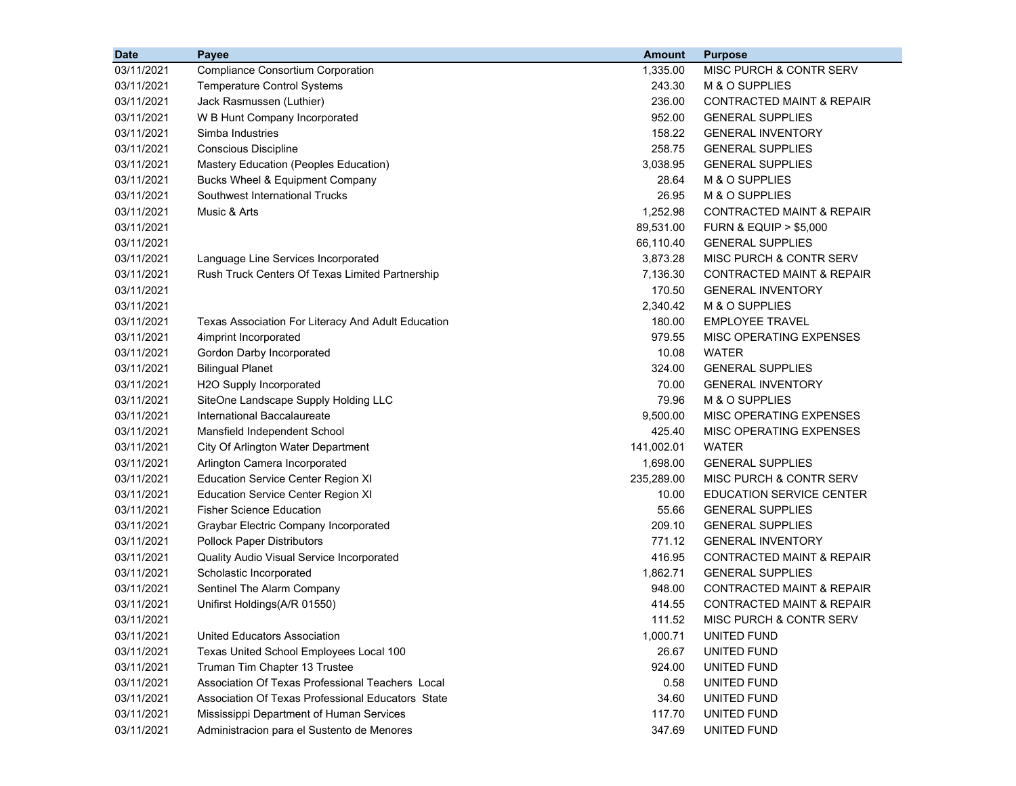| MISC PURCH & CONTR SERV<br>03/11/2021<br><b>Compliance Consortium Corporation</b><br>1,335.00<br>243.30<br>M & O SUPPLIES<br>03/11/2021<br><b>Temperature Control Systems</b><br>236.00<br>03/11/2021<br>Jack Rasmussen (Luthier)<br><b>CONTRACTED MAINT &amp; REPAIR</b><br>952.00<br><b>GENERAL SUPPLIES</b><br>03/11/2021<br>W B Hunt Company Incorporated<br>Simba Industries<br>158.22<br>03/11/2021<br><b>GENERAL INVENTORY</b><br>258.75<br><b>Conscious Discipline</b><br>03/11/2021<br><b>GENERAL SUPPLIES</b><br>3,038.95<br><b>GENERAL SUPPLIES</b><br>03/11/2021<br>Mastery Education (Peoples Education)<br>Bucks Wheel & Equipment Company<br>28.64<br>M & O SUPPLIES<br>03/11/2021<br>26.95<br>M & O SUPPLIES<br>03/11/2021<br>Southwest International Trucks<br>Music & Arts<br>1,252.98<br><b>CONTRACTED MAINT &amp; REPAIR</b><br>03/11/2021<br>89,531.00<br>03/11/2021<br><b>FURN &amp; EQUIP &gt; \$5,000</b><br>03/11/2021<br>66,110.40<br><b>GENERAL SUPPLIES</b><br>03/11/2021<br>Language Line Services Incorporated<br>3,873.28<br>MISC PURCH & CONTR SERV<br>Rush Truck Centers Of Texas Limited Partnership<br>03/11/2021<br>7,136.30<br>CONTRACTED MAINT & REPAIR<br>170.50<br>03/11/2021<br><b>GENERAL INVENTORY</b><br>2,340.42<br>M & O SUPPLIES<br>03/11/2021<br>180.00<br>03/11/2021<br><b>EMPLOYEE TRAVEL</b><br>Texas Association For Literacy And Adult Education<br>03/11/2021<br>979.55<br>4imprint Incorporated<br>MISC OPERATING EXPENSES<br>10.08<br><b>WATER</b><br>03/11/2021<br>Gordon Darby Incorporated<br><b>Bilingual Planet</b><br>324.00<br>03/11/2021<br><b>GENERAL SUPPLIES</b><br>H2O Supply Incorporated<br>70.00<br>03/11/2021<br><b>GENERAL INVENTORY</b><br>03/11/2021<br>SiteOne Landscape Supply Holding LLC<br>79.96<br>M & O SUPPLIES<br>International Baccalaureate<br>9,500.00<br>MISC OPERATING EXPENSES<br>03/11/2021<br>425.40<br>03/11/2021<br>Mansfield Independent School<br>MISC OPERATING EXPENSES |
|---------------------------------------------------------------------------------------------------------------------------------------------------------------------------------------------------------------------------------------------------------------------------------------------------------------------------------------------------------------------------------------------------------------------------------------------------------------------------------------------------------------------------------------------------------------------------------------------------------------------------------------------------------------------------------------------------------------------------------------------------------------------------------------------------------------------------------------------------------------------------------------------------------------------------------------------------------------------------------------------------------------------------------------------------------------------------------------------------------------------------------------------------------------------------------------------------------------------------------------------------------------------------------------------------------------------------------------------------------------------------------------------------------------------------------------------------------------------------------------------------------------------------------------------------------------------------------------------------------------------------------------------------------------------------------------------------------------------------------------------------------------------------------------------------------------------------------------------------------------------------------------------------------------------------------------------------------------------------|
|                                                                                                                                                                                                                                                                                                                                                                                                                                                                                                                                                                                                                                                                                                                                                                                                                                                                                                                                                                                                                                                                                                                                                                                                                                                                                                                                                                                                                                                                                                                                                                                                                                                                                                                                                                                                                                                                                                                                                                           |
|                                                                                                                                                                                                                                                                                                                                                                                                                                                                                                                                                                                                                                                                                                                                                                                                                                                                                                                                                                                                                                                                                                                                                                                                                                                                                                                                                                                                                                                                                                                                                                                                                                                                                                                                                                                                                                                                                                                                                                           |
|                                                                                                                                                                                                                                                                                                                                                                                                                                                                                                                                                                                                                                                                                                                                                                                                                                                                                                                                                                                                                                                                                                                                                                                                                                                                                                                                                                                                                                                                                                                                                                                                                                                                                                                                                                                                                                                                                                                                                                           |
|                                                                                                                                                                                                                                                                                                                                                                                                                                                                                                                                                                                                                                                                                                                                                                                                                                                                                                                                                                                                                                                                                                                                                                                                                                                                                                                                                                                                                                                                                                                                                                                                                                                                                                                                                                                                                                                                                                                                                                           |
|                                                                                                                                                                                                                                                                                                                                                                                                                                                                                                                                                                                                                                                                                                                                                                                                                                                                                                                                                                                                                                                                                                                                                                                                                                                                                                                                                                                                                                                                                                                                                                                                                                                                                                                                                                                                                                                                                                                                                                           |
|                                                                                                                                                                                                                                                                                                                                                                                                                                                                                                                                                                                                                                                                                                                                                                                                                                                                                                                                                                                                                                                                                                                                                                                                                                                                                                                                                                                                                                                                                                                                                                                                                                                                                                                                                                                                                                                                                                                                                                           |
|                                                                                                                                                                                                                                                                                                                                                                                                                                                                                                                                                                                                                                                                                                                                                                                                                                                                                                                                                                                                                                                                                                                                                                                                                                                                                                                                                                                                                                                                                                                                                                                                                                                                                                                                                                                                                                                                                                                                                                           |
|                                                                                                                                                                                                                                                                                                                                                                                                                                                                                                                                                                                                                                                                                                                                                                                                                                                                                                                                                                                                                                                                                                                                                                                                                                                                                                                                                                                                                                                                                                                                                                                                                                                                                                                                                                                                                                                                                                                                                                           |
|                                                                                                                                                                                                                                                                                                                                                                                                                                                                                                                                                                                                                                                                                                                                                                                                                                                                                                                                                                                                                                                                                                                                                                                                                                                                                                                                                                                                                                                                                                                                                                                                                                                                                                                                                                                                                                                                                                                                                                           |
|                                                                                                                                                                                                                                                                                                                                                                                                                                                                                                                                                                                                                                                                                                                                                                                                                                                                                                                                                                                                                                                                                                                                                                                                                                                                                                                                                                                                                                                                                                                                                                                                                                                                                                                                                                                                                                                                                                                                                                           |
|                                                                                                                                                                                                                                                                                                                                                                                                                                                                                                                                                                                                                                                                                                                                                                                                                                                                                                                                                                                                                                                                                                                                                                                                                                                                                                                                                                                                                                                                                                                                                                                                                                                                                                                                                                                                                                                                                                                                                                           |
|                                                                                                                                                                                                                                                                                                                                                                                                                                                                                                                                                                                                                                                                                                                                                                                                                                                                                                                                                                                                                                                                                                                                                                                                                                                                                                                                                                                                                                                                                                                                                                                                                                                                                                                                                                                                                                                                                                                                                                           |
|                                                                                                                                                                                                                                                                                                                                                                                                                                                                                                                                                                                                                                                                                                                                                                                                                                                                                                                                                                                                                                                                                                                                                                                                                                                                                                                                                                                                                                                                                                                                                                                                                                                                                                                                                                                                                                                                                                                                                                           |
|                                                                                                                                                                                                                                                                                                                                                                                                                                                                                                                                                                                                                                                                                                                                                                                                                                                                                                                                                                                                                                                                                                                                                                                                                                                                                                                                                                                                                                                                                                                                                                                                                                                                                                                                                                                                                                                                                                                                                                           |
|                                                                                                                                                                                                                                                                                                                                                                                                                                                                                                                                                                                                                                                                                                                                                                                                                                                                                                                                                                                                                                                                                                                                                                                                                                                                                                                                                                                                                                                                                                                                                                                                                                                                                                                                                                                                                                                                                                                                                                           |
|                                                                                                                                                                                                                                                                                                                                                                                                                                                                                                                                                                                                                                                                                                                                                                                                                                                                                                                                                                                                                                                                                                                                                                                                                                                                                                                                                                                                                                                                                                                                                                                                                                                                                                                                                                                                                                                                                                                                                                           |
|                                                                                                                                                                                                                                                                                                                                                                                                                                                                                                                                                                                                                                                                                                                                                                                                                                                                                                                                                                                                                                                                                                                                                                                                                                                                                                                                                                                                                                                                                                                                                                                                                                                                                                                                                                                                                                                                                                                                                                           |
|                                                                                                                                                                                                                                                                                                                                                                                                                                                                                                                                                                                                                                                                                                                                                                                                                                                                                                                                                                                                                                                                                                                                                                                                                                                                                                                                                                                                                                                                                                                                                                                                                                                                                                                                                                                                                                                                                                                                                                           |
|                                                                                                                                                                                                                                                                                                                                                                                                                                                                                                                                                                                                                                                                                                                                                                                                                                                                                                                                                                                                                                                                                                                                                                                                                                                                                                                                                                                                                                                                                                                                                                                                                                                                                                                                                                                                                                                                                                                                                                           |
|                                                                                                                                                                                                                                                                                                                                                                                                                                                                                                                                                                                                                                                                                                                                                                                                                                                                                                                                                                                                                                                                                                                                                                                                                                                                                                                                                                                                                                                                                                                                                                                                                                                                                                                                                                                                                                                                                                                                                                           |
|                                                                                                                                                                                                                                                                                                                                                                                                                                                                                                                                                                                                                                                                                                                                                                                                                                                                                                                                                                                                                                                                                                                                                                                                                                                                                                                                                                                                                                                                                                                                                                                                                                                                                                                                                                                                                                                                                                                                                                           |
|                                                                                                                                                                                                                                                                                                                                                                                                                                                                                                                                                                                                                                                                                                                                                                                                                                                                                                                                                                                                                                                                                                                                                                                                                                                                                                                                                                                                                                                                                                                                                                                                                                                                                                                                                                                                                                                                                                                                                                           |
|                                                                                                                                                                                                                                                                                                                                                                                                                                                                                                                                                                                                                                                                                                                                                                                                                                                                                                                                                                                                                                                                                                                                                                                                                                                                                                                                                                                                                                                                                                                                                                                                                                                                                                                                                                                                                                                                                                                                                                           |
|                                                                                                                                                                                                                                                                                                                                                                                                                                                                                                                                                                                                                                                                                                                                                                                                                                                                                                                                                                                                                                                                                                                                                                                                                                                                                                                                                                                                                                                                                                                                                                                                                                                                                                                                                                                                                                                                                                                                                                           |
| 141,002.01<br>03/11/2021<br>City Of Arlington Water Department<br>WATER                                                                                                                                                                                                                                                                                                                                                                                                                                                                                                                                                                                                                                                                                                                                                                                                                                                                                                                                                                                                                                                                                                                                                                                                                                                                                                                                                                                                                                                                                                                                                                                                                                                                                                                                                                                                                                                                                                   |
| 03/11/2021<br>Arlington Camera Incorporated<br>1,698.00<br><b>GENERAL SUPPLIES</b>                                                                                                                                                                                                                                                                                                                                                                                                                                                                                                                                                                                                                                                                                                                                                                                                                                                                                                                                                                                                                                                                                                                                                                                                                                                                                                                                                                                                                                                                                                                                                                                                                                                                                                                                                                                                                                                                                        |
| 235,289.00<br>03/11/2021<br><b>Education Service Center Region XI</b><br>MISC PURCH & CONTR SERV                                                                                                                                                                                                                                                                                                                                                                                                                                                                                                                                                                                                                                                                                                                                                                                                                                                                                                                                                                                                                                                                                                                                                                                                                                                                                                                                                                                                                                                                                                                                                                                                                                                                                                                                                                                                                                                                          |
| 10.00<br>03/11/2021<br><b>Education Service Center Region XI</b><br>EDUCATION SERVICE CENTER                                                                                                                                                                                                                                                                                                                                                                                                                                                                                                                                                                                                                                                                                                                                                                                                                                                                                                                                                                                                                                                                                                                                                                                                                                                                                                                                                                                                                                                                                                                                                                                                                                                                                                                                                                                                                                                                              |
| 55.66<br>03/11/2021<br><b>Fisher Science Education</b><br><b>GENERAL SUPPLIES</b>                                                                                                                                                                                                                                                                                                                                                                                                                                                                                                                                                                                                                                                                                                                                                                                                                                                                                                                                                                                                                                                                                                                                                                                                                                                                                                                                                                                                                                                                                                                                                                                                                                                                                                                                                                                                                                                                                         |
| 209.10<br>03/11/2021<br>Graybar Electric Company Incorporated<br><b>GENERAL SUPPLIES</b>                                                                                                                                                                                                                                                                                                                                                                                                                                                                                                                                                                                                                                                                                                                                                                                                                                                                                                                                                                                                                                                                                                                                                                                                                                                                                                                                                                                                                                                                                                                                                                                                                                                                                                                                                                                                                                                                                  |
| 771.12<br>03/11/2021<br><b>Pollock Paper Distributors</b><br><b>GENERAL INVENTORY</b>                                                                                                                                                                                                                                                                                                                                                                                                                                                                                                                                                                                                                                                                                                                                                                                                                                                                                                                                                                                                                                                                                                                                                                                                                                                                                                                                                                                                                                                                                                                                                                                                                                                                                                                                                                                                                                                                                     |
| 416.95<br><b>CONTRACTED MAINT &amp; REPAIR</b><br>03/11/2021<br>Quality Audio Visual Service Incorporated                                                                                                                                                                                                                                                                                                                                                                                                                                                                                                                                                                                                                                                                                                                                                                                                                                                                                                                                                                                                                                                                                                                                                                                                                                                                                                                                                                                                                                                                                                                                                                                                                                                                                                                                                                                                                                                                 |
| 1,862.71<br><b>GENERAL SUPPLIES</b><br>03/11/2021<br>Scholastic Incorporated                                                                                                                                                                                                                                                                                                                                                                                                                                                                                                                                                                                                                                                                                                                                                                                                                                                                                                                                                                                                                                                                                                                                                                                                                                                                                                                                                                                                                                                                                                                                                                                                                                                                                                                                                                                                                                                                                              |
| 948.00<br>03/11/2021<br>Sentinel The Alarm Company<br><b>CONTRACTED MAINT &amp; REPAIR</b>                                                                                                                                                                                                                                                                                                                                                                                                                                                                                                                                                                                                                                                                                                                                                                                                                                                                                                                                                                                                                                                                                                                                                                                                                                                                                                                                                                                                                                                                                                                                                                                                                                                                                                                                                                                                                                                                                |
| Unifirst Holdings(A/R 01550)<br>414.55<br><b>CONTRACTED MAINT &amp; REPAIR</b><br>03/11/2021                                                                                                                                                                                                                                                                                                                                                                                                                                                                                                                                                                                                                                                                                                                                                                                                                                                                                                                                                                                                                                                                                                                                                                                                                                                                                                                                                                                                                                                                                                                                                                                                                                                                                                                                                                                                                                                                              |
| 111.52<br>03/11/2021<br>MISC PURCH & CONTR SERV                                                                                                                                                                                                                                                                                                                                                                                                                                                                                                                                                                                                                                                                                                                                                                                                                                                                                                                                                                                                                                                                                                                                                                                                                                                                                                                                                                                                                                                                                                                                                                                                                                                                                                                                                                                                                                                                                                                           |
| 03/11/2021<br>United Educators Association<br>1,000.71<br>UNITED FUND                                                                                                                                                                                                                                                                                                                                                                                                                                                                                                                                                                                                                                                                                                                                                                                                                                                                                                                                                                                                                                                                                                                                                                                                                                                                                                                                                                                                                                                                                                                                                                                                                                                                                                                                                                                                                                                                                                     |
| 03/11/2021<br>26.67<br>Texas United School Employees Local 100<br>UNITED FUND                                                                                                                                                                                                                                                                                                                                                                                                                                                                                                                                                                                                                                                                                                                                                                                                                                                                                                                                                                                                                                                                                                                                                                                                                                                                                                                                                                                                                                                                                                                                                                                                                                                                                                                                                                                                                                                                                             |
| 03/11/2021<br>Truman Tim Chapter 13 Trustee<br>924.00<br>UNITED FUND                                                                                                                                                                                                                                                                                                                                                                                                                                                                                                                                                                                                                                                                                                                                                                                                                                                                                                                                                                                                                                                                                                                                                                                                                                                                                                                                                                                                                                                                                                                                                                                                                                                                                                                                                                                                                                                                                                      |
| 03/11/2021<br>Association Of Texas Professional Teachers Local<br>0.58<br>UNITED FUND                                                                                                                                                                                                                                                                                                                                                                                                                                                                                                                                                                                                                                                                                                                                                                                                                                                                                                                                                                                                                                                                                                                                                                                                                                                                                                                                                                                                                                                                                                                                                                                                                                                                                                                                                                                                                                                                                     |
| 03/11/2021<br>Association Of Texas Professional Educators State<br>34.60<br>UNITED FUND                                                                                                                                                                                                                                                                                                                                                                                                                                                                                                                                                                                                                                                                                                                                                                                                                                                                                                                                                                                                                                                                                                                                                                                                                                                                                                                                                                                                                                                                                                                                                                                                                                                                                                                                                                                                                                                                                   |
| 117.70<br>03/11/2021<br>Mississippi Department of Human Services<br>UNITED FUND                                                                                                                                                                                                                                                                                                                                                                                                                                                                                                                                                                                                                                                                                                                                                                                                                                                                                                                                                                                                                                                                                                                                                                                                                                                                                                                                                                                                                                                                                                                                                                                                                                                                                                                                                                                                                                                                                           |
| 03/11/2021<br>Administracion para el Sustento de Menores<br>347.69<br>UNITED FUND                                                                                                                                                                                                                                                                                                                                                                                                                                                                                                                                                                                                                                                                                                                                                                                                                                                                                                                                                                                                                                                                                                                                                                                                                                                                                                                                                                                                                                                                                                                                                                                                                                                                                                                                                                                                                                                                                         |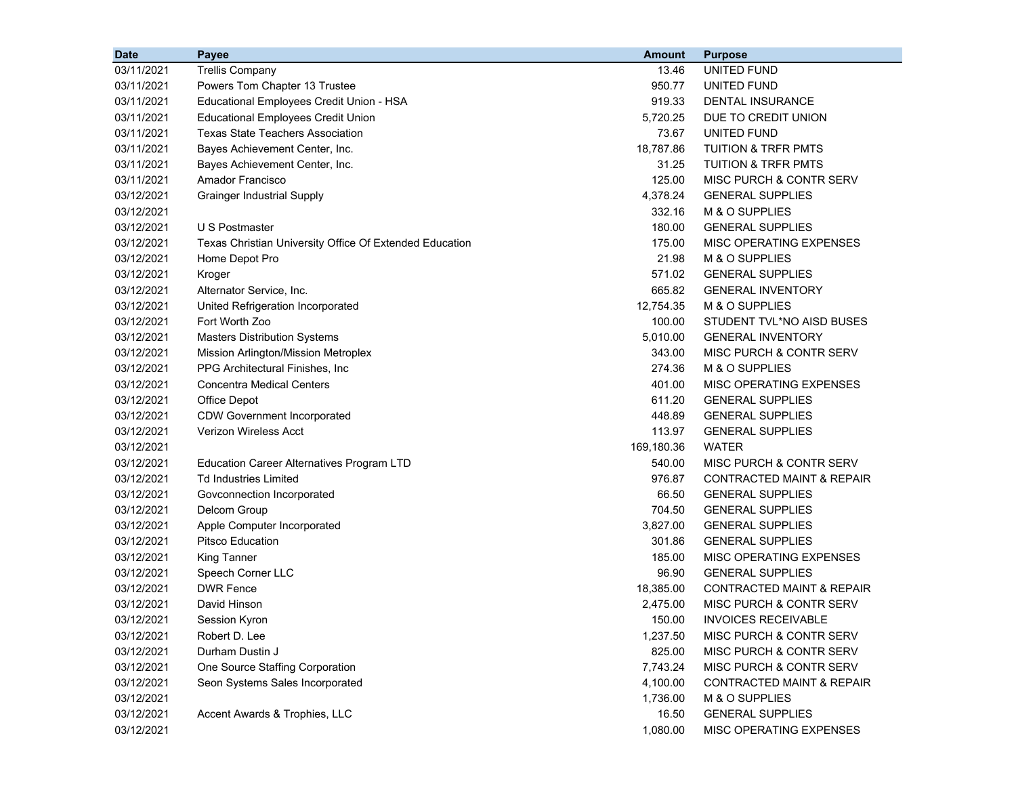| <b>Date</b> | <b>Payee</b>                                            | <b>Amount</b> | <b>Purpose</b>                       |
|-------------|---------------------------------------------------------|---------------|--------------------------------------|
| 03/11/2021  | <b>Trellis Company</b>                                  | 13.46         | UNITED FUND                          |
| 03/11/2021  | Powers Tom Chapter 13 Trustee                           | 950.77        | UNITED FUND                          |
| 03/11/2021  | Educational Employees Credit Union - HSA                | 919.33        | DENTAL INSURANCE                     |
| 03/11/2021  | <b>Educational Employees Credit Union</b>               | 5,720.25      | DUE TO CREDIT UNION                  |
| 03/11/2021  | <b>Texas State Teachers Association</b>                 | 73.67         | UNITED FUND                          |
| 03/11/2021  | Bayes Achievement Center, Inc.                          | 18,787.86     | <b>TUITION &amp; TRFR PMTS</b>       |
| 03/11/2021  | Bayes Achievement Center, Inc.                          | 31.25         | TUITION & TRFR PMTS                  |
| 03/11/2021  | Amador Francisco                                        | 125.00        | MISC PURCH & CONTR SERV              |
| 03/12/2021  | <b>Grainger Industrial Supply</b>                       | 4,378.24      | <b>GENERAL SUPPLIES</b>              |
| 03/12/2021  |                                                         | 332.16        | M & O SUPPLIES                       |
| 03/12/2021  | U S Postmaster                                          | 180.00        | <b>GENERAL SUPPLIES</b>              |
| 03/12/2021  | Texas Christian University Office Of Extended Education | 175.00        | MISC OPERATING EXPENSES              |
| 03/12/2021  | Home Depot Pro                                          | 21.98         | M & O SUPPLIES                       |
| 03/12/2021  | Kroger                                                  | 571.02        | <b>GENERAL SUPPLIES</b>              |
| 03/12/2021  | Alternator Service, Inc.                                | 665.82        | <b>GENERAL INVENTORY</b>             |
| 03/12/2021  | United Refrigeration Incorporated                       | 12,754.35     | M & O SUPPLIES                       |
| 03/12/2021  | Fort Worth Zoo                                          | 100.00        | STUDENT TVL*NO AISD BUSES            |
| 03/12/2021  | <b>Masters Distribution Systems</b>                     | 5,010.00      | <b>GENERAL INVENTORY</b>             |
| 03/12/2021  | Mission Arlington/Mission Metroplex                     | 343.00        | MISC PURCH & CONTR SERV              |
| 03/12/2021  | PPG Architectural Finishes, Inc                         | 274.36        | M & O SUPPLIES                       |
| 03/12/2021  | <b>Concentra Medical Centers</b>                        | 401.00        | MISC OPERATING EXPENSES              |
| 03/12/2021  | Office Depot                                            | 611.20        | <b>GENERAL SUPPLIES</b>              |
| 03/12/2021  | <b>CDW Government Incorporated</b>                      | 448.89        | <b>GENERAL SUPPLIES</b>              |
| 03/12/2021  | <b>Verizon Wireless Acct</b>                            | 113.97        | <b>GENERAL SUPPLIES</b>              |
| 03/12/2021  |                                                         | 169,180.36    | WATER                                |
| 03/12/2021  | <b>Education Career Alternatives Program LTD</b>        | 540.00        | MISC PURCH & CONTR SERV              |
| 03/12/2021  | <b>Td Industries Limited</b>                            | 976.87        | CONTRACTED MAINT & REPAIR            |
| 03/12/2021  | Govconnection Incorporated                              | 66.50         | <b>GENERAL SUPPLIES</b>              |
| 03/12/2021  | Delcom Group                                            | 704.50        | <b>GENERAL SUPPLIES</b>              |
| 03/12/2021  | Apple Computer Incorporated                             | 3,827.00      | <b>GENERAL SUPPLIES</b>              |
| 03/12/2021  | <b>Pitsco Education</b>                                 | 301.86        | <b>GENERAL SUPPLIES</b>              |
| 03/12/2021  | <b>King Tanner</b>                                      | 185.00        | MISC OPERATING EXPENSES              |
| 03/12/2021  | Speech Corner LLC                                       | 96.90         | <b>GENERAL SUPPLIES</b>              |
| 03/12/2021  | <b>DWR Fence</b>                                        | 18,385.00     | <b>CONTRACTED MAINT &amp; REPAIR</b> |
| 03/12/2021  | David Hinson                                            | 2,475.00      | <b>MISC PURCH &amp; CONTR SERV</b>   |
| 03/12/2021  | Session Kyron                                           | 150.00        | <b>INVOICES RECEIVABLE</b>           |
| 03/12/2021  | Robert D. Lee                                           | 1,237.50      | MISC PURCH & CONTR SERV              |
| 03/12/2021  | Durham Dustin J                                         | 825.00        | MISC PURCH & CONTR SERV              |
| 03/12/2021  | One Source Staffing Corporation                         | 7,743.24      | MISC PURCH & CONTR SERV              |
| 03/12/2021  | Seon Systems Sales Incorporated                         | 4,100.00      | <b>CONTRACTED MAINT &amp; REPAIR</b> |
| 03/12/2021  |                                                         | 1,736.00      | M & O SUPPLIES                       |
| 03/12/2021  | Accent Awards & Trophies, LLC                           | 16.50         | <b>GENERAL SUPPLIES</b>              |
| 03/12/2021  |                                                         | 1,080.00      | MISC OPERATING EXPENSES              |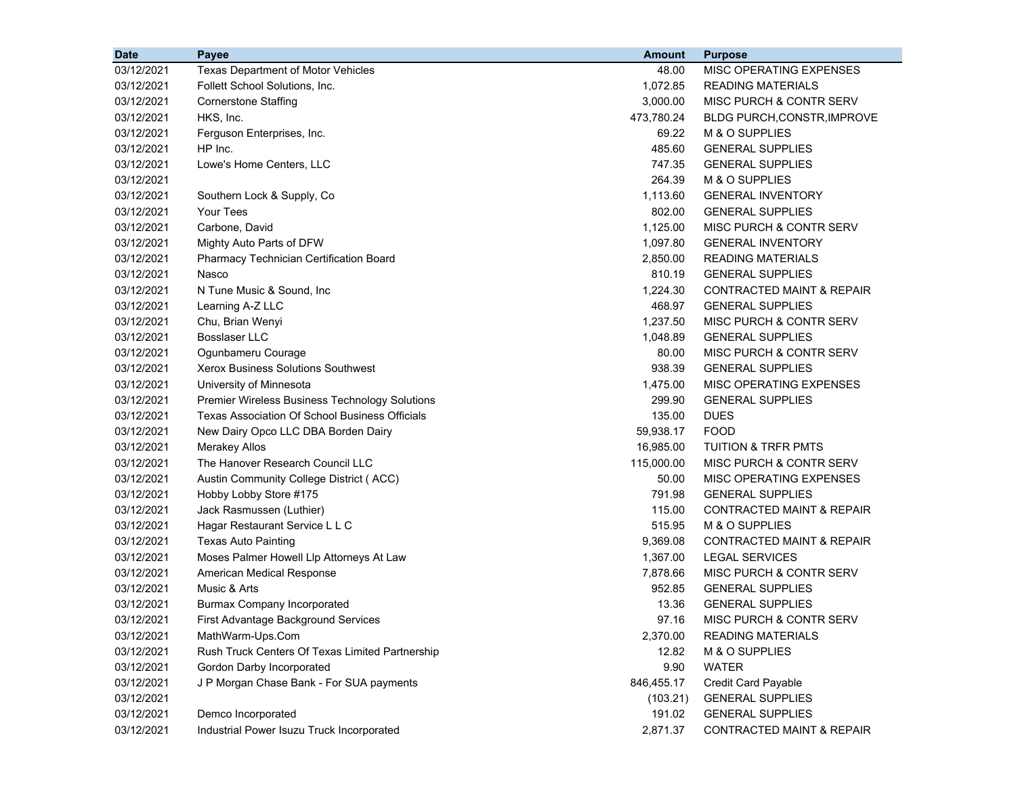| <b>Date</b> | <b>Payee</b>                                          | <b>Amount</b> | <b>Purpose</b>                       |
|-------------|-------------------------------------------------------|---------------|--------------------------------------|
| 03/12/2021  | Texas Department of Motor Vehicles                    | 48.00         | MISC OPERATING EXPENSES              |
| 03/12/2021  | Follett School Solutions, Inc.                        | 1,072.85      | <b>READING MATERIALS</b>             |
| 03/12/2021  | <b>Cornerstone Staffing</b>                           | 3,000.00      | MISC PURCH & CONTR SERV              |
| 03/12/2021  | HKS, Inc.                                             | 473,780.24    | <b>BLDG PURCH, CONSTR, IMPROVE</b>   |
| 03/12/2021  | Ferguson Enterprises, Inc.                            | 69.22         | M & O SUPPLIES                       |
| 03/12/2021  | HP Inc.                                               | 485.60        | <b>GENERAL SUPPLIES</b>              |
| 03/12/2021  | Lowe's Home Centers, LLC                              | 747.35        | <b>GENERAL SUPPLIES</b>              |
| 03/12/2021  |                                                       | 264.39        | M & O SUPPLIES                       |
| 03/12/2021  | Southern Lock & Supply, Co.                           | 1,113.60      | <b>GENERAL INVENTORY</b>             |
| 03/12/2021  | Your Tees                                             | 802.00        | <b>GENERAL SUPPLIES</b>              |
| 03/12/2021  | Carbone, David                                        | 1,125.00      | MISC PURCH & CONTR SERV              |
| 03/12/2021  | Mighty Auto Parts of DFW                              | 1,097.80      | <b>GENERAL INVENTORY</b>             |
| 03/12/2021  | Pharmacy Technician Certification Board               | 2,850.00      | <b>READING MATERIALS</b>             |
| 03/12/2021  | Nasco                                                 | 810.19        | <b>GENERAL SUPPLIES</b>              |
| 03/12/2021  | N Tune Music & Sound, Inc.                            | 1,224.30      | CONTRACTED MAINT & REPAIR            |
| 03/12/2021  | Learning A-Z LLC                                      | 468.97        | <b>GENERAL SUPPLIES</b>              |
| 03/12/2021  | Chu, Brian Wenyi                                      | 1,237.50      | MISC PURCH & CONTR SERV              |
| 03/12/2021  | <b>Bosslaser LLC</b>                                  | 1,048.89      | <b>GENERAL SUPPLIES</b>              |
| 03/12/2021  | Ogunbameru Courage                                    | 80.00         | MISC PURCH & CONTR SERV              |
| 03/12/2021  | Xerox Business Solutions Southwest                    | 938.39        | <b>GENERAL SUPPLIES</b>              |
| 03/12/2021  | University of Minnesota                               | 1,475.00      | <b>MISC OPERATING EXPENSES</b>       |
| 03/12/2021  | Premier Wireless Business Technology Solutions        | 299.90        | <b>GENERAL SUPPLIES</b>              |
| 03/12/2021  | <b>Texas Association Of School Business Officials</b> | 135.00        | <b>DUES</b>                          |
| 03/12/2021  | New Dairy Opco LLC DBA Borden Dairy                   | 59,938.17     | <b>FOOD</b>                          |
| 03/12/2021  | <b>Merakey Allos</b>                                  | 16,985.00     | <b>TUITION &amp; TRFR PMTS</b>       |
| 03/12/2021  | The Hanover Research Council LLC                      | 115,000.00    | MISC PURCH & CONTR SERV              |
| 03/12/2021  | Austin Community College District (ACC)               | 50.00         | MISC OPERATING EXPENSES              |
| 03/12/2021  | Hobby Lobby Store #175                                | 791.98        | <b>GENERAL SUPPLIES</b>              |
| 03/12/2021  | Jack Rasmussen (Luthier)                              | 115.00        | <b>CONTRACTED MAINT &amp; REPAIR</b> |
| 03/12/2021  | Hagar Restaurant Service L L C                        | 515.95        | M & O SUPPLIES                       |
| 03/12/2021  | <b>Texas Auto Painting</b>                            | 9,369.08      | <b>CONTRACTED MAINT &amp; REPAIR</b> |
| 03/12/2021  | Moses Palmer Howell Llp Attorneys At Law              | 1,367.00      | <b>LEGAL SERVICES</b>                |
| 03/12/2021  | American Medical Response                             | 7,878.66      | MISC PURCH & CONTR SERV              |
| 03/12/2021  | Music & Arts                                          | 952.85        | <b>GENERAL SUPPLIES</b>              |
| 03/12/2021  | <b>Burmax Company Incorporated</b>                    | 13.36         | <b>GENERAL SUPPLIES</b>              |
| 03/12/2021  | First Advantage Background Services                   | 97.16         | MISC PURCH & CONTR SERV              |
| 03/12/2021  | MathWarm-Ups.Com                                      | 2,370.00      | <b>READING MATERIALS</b>             |
| 03/12/2021  | Rush Truck Centers Of Texas Limited Partnership       | 12.82         | M & O SUPPLIES                       |
| 03/12/2021  | Gordon Darby Incorporated                             | 9.90          | <b>WATER</b>                         |
| 03/12/2021  | J P Morgan Chase Bank - For SUA payments              | 846,455.17    | Credit Card Payable                  |
| 03/12/2021  |                                                       | (103.21)      | <b>GENERAL SUPPLIES</b>              |
| 03/12/2021  | Demco Incorporated                                    | 191.02        | <b>GENERAL SUPPLIES</b>              |
| 03/12/2021  | Industrial Power Isuzu Truck Incorporated             | 2,871.37      | <b>CONTRACTED MAINT &amp; REPAIR</b> |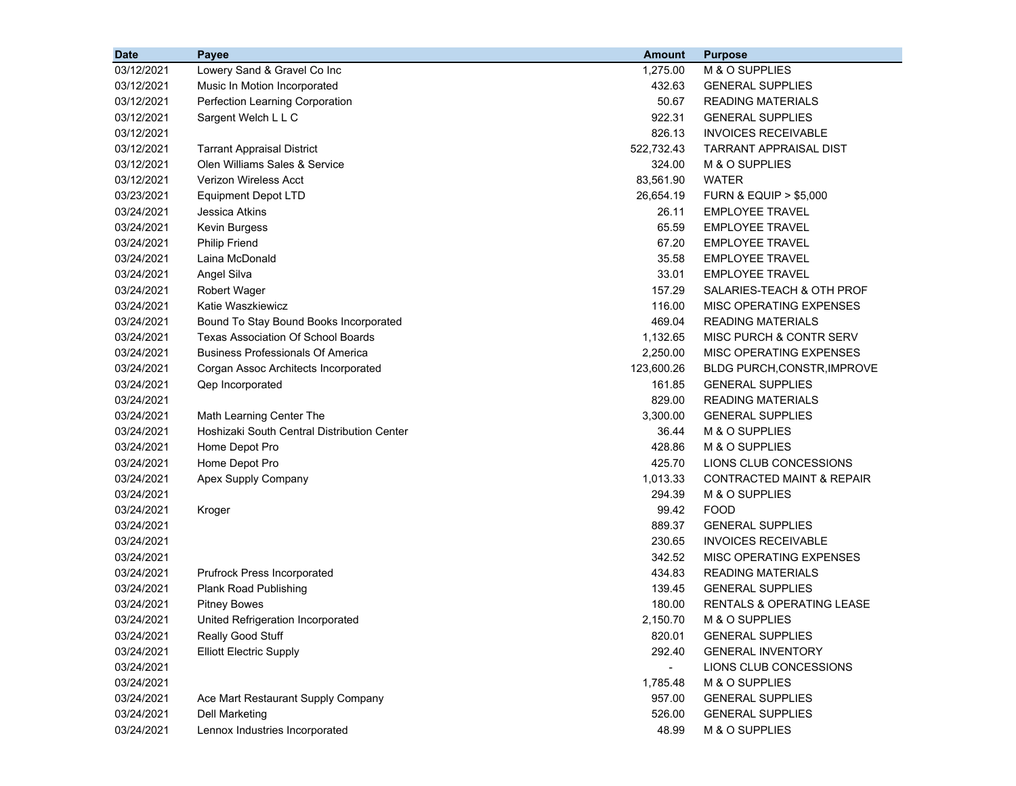| <b>Date</b> | Payee                                       | <b>Amount</b> | <b>Purpose</b>                       |
|-------------|---------------------------------------------|---------------|--------------------------------------|
| 03/12/2021  | Lowery Sand & Gravel Co Inc                 | 1,275.00      | M & O SUPPLIES                       |
| 03/12/2021  | Music In Motion Incorporated                | 432.63        | <b>GENERAL SUPPLIES</b>              |
| 03/12/2021  | Perfection Learning Corporation             | 50.67         | <b>READING MATERIALS</b>             |
| 03/12/2021  | Sargent Welch L L C                         | 922.31        | <b>GENERAL SUPPLIES</b>              |
| 03/12/2021  |                                             | 826.13        | <b>INVOICES RECEIVABLE</b>           |
| 03/12/2021  | <b>Tarrant Appraisal District</b>           | 522,732.43    | <b>TARRANT APPRAISAL DIST</b>        |
| 03/12/2021  | Olen Williams Sales & Service               | 324.00        | M & O SUPPLIES                       |
| 03/12/2021  | <b>Verizon Wireless Acct</b>                | 83,561.90     | <b>WATER</b>                         |
| 03/23/2021  | <b>Equipment Depot LTD</b>                  | 26,654.19     | <b>FURN &amp; EQUIP &gt; \$5,000</b> |
| 03/24/2021  | Jessica Atkins                              | 26.11         | <b>EMPLOYEE TRAVEL</b>               |
| 03/24/2021  | Kevin Burgess                               | 65.59         | <b>EMPLOYEE TRAVEL</b>               |
| 03/24/2021  | <b>Philip Friend</b>                        | 67.20         | <b>EMPLOYEE TRAVEL</b>               |
| 03/24/2021  | Laina McDonald                              | 35.58         | <b>EMPLOYEE TRAVEL</b>               |
| 03/24/2021  | Angel Silva                                 | 33.01         | <b>EMPLOYEE TRAVEL</b>               |
| 03/24/2021  | <b>Robert Wager</b>                         | 157.29        | SALARIES-TEACH & OTH PROF            |
| 03/24/2021  | Katie Waszkiewicz                           | 116.00        | MISC OPERATING EXPENSES              |
| 03/24/2021  | Bound To Stay Bound Books Incorporated      | 469.04        | <b>READING MATERIALS</b>             |
| 03/24/2021  | <b>Texas Association Of School Boards</b>   | 1,132.65      | MISC PURCH & CONTR SERV              |
| 03/24/2021  | <b>Business Professionals Of America</b>    | 2,250.00      | MISC OPERATING EXPENSES              |
| 03/24/2021  | Corgan Assoc Architects Incorporated        | 123,600.26    | <b>BLDG PURCH, CONSTR, IMPROVE</b>   |
| 03/24/2021  | Qep Incorporated                            | 161.85        | <b>GENERAL SUPPLIES</b>              |
| 03/24/2021  |                                             | 829.00        | <b>READING MATERIALS</b>             |
| 03/24/2021  | Math Learning Center The                    | 3,300.00      | <b>GENERAL SUPPLIES</b>              |
| 03/24/2021  | Hoshizaki South Central Distribution Center | 36.44         | M & O SUPPLIES                       |
| 03/24/2021  | Home Depot Pro                              | 428.86        | M & O SUPPLIES                       |
| 03/24/2021  | Home Depot Pro                              | 425.70        | LIONS CLUB CONCESSIONS               |
| 03/24/2021  | Apex Supply Company                         | 1,013.33      | <b>CONTRACTED MAINT &amp; REPAIR</b> |
| 03/24/2021  |                                             | 294.39        | M & O SUPPLIES                       |
| 03/24/2021  | Kroger                                      | 99.42         | <b>FOOD</b>                          |
| 03/24/2021  |                                             | 889.37        | <b>GENERAL SUPPLIES</b>              |
| 03/24/2021  |                                             | 230.65        | <b>INVOICES RECEIVABLE</b>           |
| 03/24/2021  |                                             | 342.52        | MISC OPERATING EXPENSES              |
| 03/24/2021  | Prufrock Press Incorporated                 | 434.83        | <b>READING MATERIALS</b>             |
| 03/24/2021  | <b>Plank Road Publishing</b>                | 139.45        | <b>GENERAL SUPPLIES</b>              |
| 03/24/2021  | <b>Pitney Bowes</b>                         | 180.00        | <b>RENTALS &amp; OPERATING LEASE</b> |
| 03/24/2021  | United Refrigeration Incorporated           | 2,150.70      | M & O SUPPLIES                       |
| 03/24/2021  | Really Good Stuff                           | 820.01        | <b>GENERAL SUPPLIES</b>              |
| 03/24/2021  | <b>Elliott Electric Supply</b>              | 292.40        | <b>GENERAL INVENTORY</b>             |
| 03/24/2021  |                                             |               | LIONS CLUB CONCESSIONS               |
| 03/24/2021  |                                             | 1,785.48      | M & O SUPPLIES                       |
| 03/24/2021  | Ace Mart Restaurant Supply Company          | 957.00        | <b>GENERAL SUPPLIES</b>              |
| 03/24/2021  | <b>Dell Marketing</b>                       | 526.00        | <b>GENERAL SUPPLIES</b>              |
| 03/24/2021  | Lennox Industries Incorporated              | 48.99         | M & O SUPPLIES                       |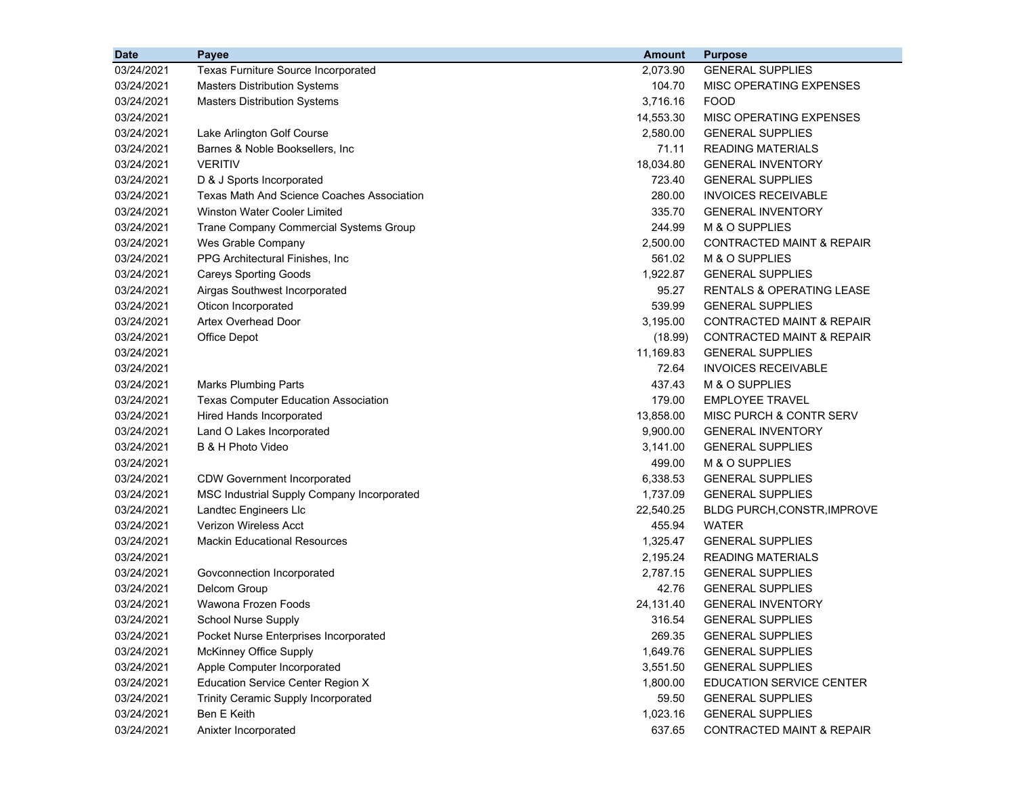| <b>Date</b> | Payee                                             | <b>Amount</b> | <b>Purpose</b>                       |
|-------------|---------------------------------------------------|---------------|--------------------------------------|
| 03/24/2021  | Texas Furniture Source Incorporated               | 2,073.90      | <b>GENERAL SUPPLIES</b>              |
| 03/24/2021  | <b>Masters Distribution Systems</b>               | 104.70        | <b>MISC OPERATING EXPENSES</b>       |
| 03/24/2021  | <b>Masters Distribution Systems</b>               | 3,716.16      | <b>FOOD</b>                          |
| 03/24/2021  |                                                   | 14,553.30     | MISC OPERATING EXPENSES              |
| 03/24/2021  | Lake Arlington Golf Course                        | 2,580.00      | <b>GENERAL SUPPLIES</b>              |
| 03/24/2021  | Barnes & Noble Booksellers, Inc.                  | 71.11         | <b>READING MATERIALS</b>             |
| 03/24/2021  | <b>VERITIV</b>                                    | 18,034.80     | <b>GENERAL INVENTORY</b>             |
| 03/24/2021  | D & J Sports Incorporated                         | 723.40        | <b>GENERAL SUPPLIES</b>              |
| 03/24/2021  | <b>Texas Math And Science Coaches Association</b> | 280.00        | <b>INVOICES RECEIVABLE</b>           |
| 03/24/2021  | <b>Winston Water Cooler Limited</b>               | 335.70        | <b>GENERAL INVENTORY</b>             |
| 03/24/2021  | Trane Company Commercial Systems Group            | 244.99        | M & O SUPPLIES                       |
| 03/24/2021  | Wes Grable Company                                | 2,500.00      | <b>CONTRACTED MAINT &amp; REPAIR</b> |
| 03/24/2021  | PPG Architectural Finishes, Inc                   | 561.02        | M & O SUPPLIES                       |
| 03/24/2021  | <b>Careys Sporting Goods</b>                      | 1,922.87      | <b>GENERAL SUPPLIES</b>              |
| 03/24/2021  | Airgas Southwest Incorporated                     | 95.27         | RENTALS & OPERATING LEASE            |
| 03/24/2021  | Oticon Incorporated                               | 539.99        | <b>GENERAL SUPPLIES</b>              |
| 03/24/2021  | <b>Artex Overhead Door</b>                        | 3,195.00      | CONTRACTED MAINT & REPAIR            |
| 03/24/2021  | Office Depot                                      | (18.99)       | CONTRACTED MAINT & REPAIR            |
| 03/24/2021  |                                                   | 11,169.83     | <b>GENERAL SUPPLIES</b>              |
| 03/24/2021  |                                                   | 72.64         | <b>INVOICES RECEIVABLE</b>           |
| 03/24/2021  | <b>Marks Plumbing Parts</b>                       | 437.43        | M & O SUPPLIES                       |
| 03/24/2021  | <b>Texas Computer Education Association</b>       | 179.00        | <b>EMPLOYEE TRAVEL</b>               |
| 03/24/2021  | Hired Hands Incorporated                          | 13,858.00     | MISC PURCH & CONTR SERV              |
| 03/24/2021  | Land O Lakes Incorporated                         | 9,900.00      | <b>GENERAL INVENTORY</b>             |
| 03/24/2021  | B & H Photo Video                                 | 3,141.00      | <b>GENERAL SUPPLIES</b>              |
| 03/24/2021  |                                                   | 499.00        | M & O SUPPLIES                       |
| 03/24/2021  | <b>CDW Government Incorporated</b>                | 6,338.53      | <b>GENERAL SUPPLIES</b>              |
| 03/24/2021  | MSC Industrial Supply Company Incorporated        | 1,737.09      | <b>GENERAL SUPPLIES</b>              |
| 03/24/2021  | Landtec Engineers Llc                             | 22,540.25     | BLDG PURCH, CONSTR, IMPROVE          |
| 03/24/2021  | <b>Verizon Wireless Acct</b>                      | 455.94        | <b>WATER</b>                         |
| 03/24/2021  | <b>Mackin Educational Resources</b>               | 1,325.47      | <b>GENERAL SUPPLIES</b>              |
| 03/24/2021  |                                                   | 2,195.24      | <b>READING MATERIALS</b>             |
| 03/24/2021  | Govconnection Incorporated                        | 2,787.15      | <b>GENERAL SUPPLIES</b>              |
| 03/24/2021  | Delcom Group                                      | 42.76         | <b>GENERAL SUPPLIES</b>              |
| 03/24/2021  | Wawona Frozen Foods                               | 24,131.40     | <b>GENERAL INVENTORY</b>             |
| 03/24/2021  | School Nurse Supply                               | 316.54        | <b>GENERAL SUPPLIES</b>              |
| 03/24/2021  | Pocket Nurse Enterprises Incorporated             | 269.35        | <b>GENERAL SUPPLIES</b>              |
| 03/24/2021  | McKinney Office Supply                            | 1,649.76      | <b>GENERAL SUPPLIES</b>              |
| 03/24/2021  | Apple Computer Incorporated                       | 3,551.50      | <b>GENERAL SUPPLIES</b>              |
| 03/24/2021  | <b>Education Service Center Region X</b>          | 1,800.00      | EDUCATION SERVICE CENTER             |
| 03/24/2021  | Trinity Ceramic Supply Incorporated               | 59.50         | <b>GENERAL SUPPLIES</b>              |
| 03/24/2021  | Ben E Keith                                       | 1,023.16      | <b>GENERAL SUPPLIES</b>              |
| 03/24/2021  | Anixter Incorporated                              | 637.65        | <b>CONTRACTED MAINT &amp; REPAIR</b> |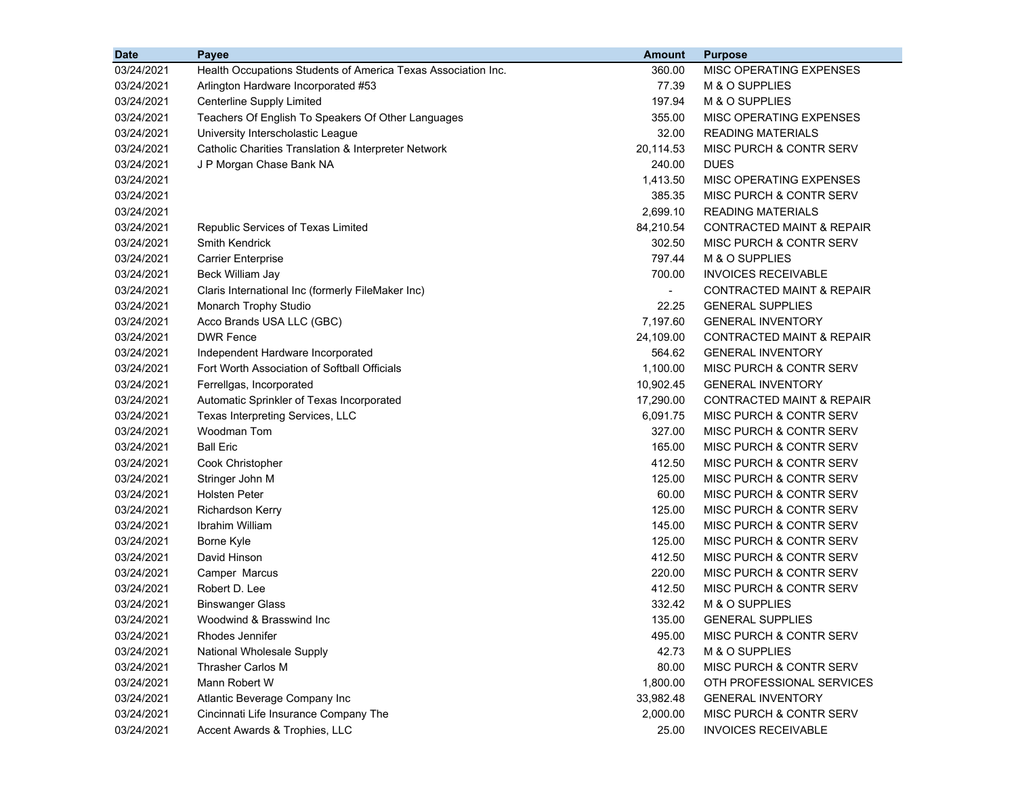| 03/24/2021<br>Health Occupations Students of America Texas Association Inc.<br>360.00<br>MISC OPERATING EXPENSES<br>77.39<br>03/24/2021<br>Arlington Hardware Incorporated #53<br>M & O SUPPLIES<br>03/24/2021<br>Centerline Supply Limited<br>197.94<br>M & O SUPPLIES<br>03/24/2021<br>Teachers Of English To Speakers Of Other Languages<br>355.00<br>MISC OPERATING EXPENSES<br>University Interscholastic League<br>32.00<br><b>READING MATERIALS</b><br>03/24/2021<br>20,114.53<br>MISC PURCH & CONTR SERV<br>03/24/2021<br>Catholic Charities Translation & Interpreter Network<br>J P Morgan Chase Bank NA<br>240.00<br><b>DUES</b><br>03/24/2021<br>MISC OPERATING EXPENSES<br>03/24/2021<br>1,413.50<br>385.35<br>03/24/2021<br>MISC PURCH & CONTR SERV<br>2,699.10<br>03/24/2021<br><b>READING MATERIALS</b> |
|-------------------------------------------------------------------------------------------------------------------------------------------------------------------------------------------------------------------------------------------------------------------------------------------------------------------------------------------------------------------------------------------------------------------------------------------------------------------------------------------------------------------------------------------------------------------------------------------------------------------------------------------------------------------------------------------------------------------------------------------------------------------------------------------------------------------------|
|                                                                                                                                                                                                                                                                                                                                                                                                                                                                                                                                                                                                                                                                                                                                                                                                                         |
|                                                                                                                                                                                                                                                                                                                                                                                                                                                                                                                                                                                                                                                                                                                                                                                                                         |
|                                                                                                                                                                                                                                                                                                                                                                                                                                                                                                                                                                                                                                                                                                                                                                                                                         |
|                                                                                                                                                                                                                                                                                                                                                                                                                                                                                                                                                                                                                                                                                                                                                                                                                         |
|                                                                                                                                                                                                                                                                                                                                                                                                                                                                                                                                                                                                                                                                                                                                                                                                                         |
|                                                                                                                                                                                                                                                                                                                                                                                                                                                                                                                                                                                                                                                                                                                                                                                                                         |
|                                                                                                                                                                                                                                                                                                                                                                                                                                                                                                                                                                                                                                                                                                                                                                                                                         |
|                                                                                                                                                                                                                                                                                                                                                                                                                                                                                                                                                                                                                                                                                                                                                                                                                         |
|                                                                                                                                                                                                                                                                                                                                                                                                                                                                                                                                                                                                                                                                                                                                                                                                                         |
|                                                                                                                                                                                                                                                                                                                                                                                                                                                                                                                                                                                                                                                                                                                                                                                                                         |
| 03/24/2021<br>84,210.54<br>CONTRACTED MAINT & REPAIR<br>Republic Services of Texas Limited                                                                                                                                                                                                                                                                                                                                                                                                                                                                                                                                                                                                                                                                                                                              |
| 302.50<br>MISC PURCH & CONTR SERV<br>03/24/2021<br><b>Smith Kendrick</b>                                                                                                                                                                                                                                                                                                                                                                                                                                                                                                                                                                                                                                                                                                                                                |
| <b>Carrier Enterprise</b><br>797.44<br>M & O SUPPLIES<br>03/24/2021                                                                                                                                                                                                                                                                                                                                                                                                                                                                                                                                                                                                                                                                                                                                                     |
| 700.00<br><b>INVOICES RECEIVABLE</b><br>03/24/2021<br>Beck William Jay                                                                                                                                                                                                                                                                                                                                                                                                                                                                                                                                                                                                                                                                                                                                                  |
| Claris International Inc (formerly FileMaker Inc)<br><b>CONTRACTED MAINT &amp; REPAIR</b><br>03/24/2021<br>$\blacksquare$                                                                                                                                                                                                                                                                                                                                                                                                                                                                                                                                                                                                                                                                                               |
| Monarch Trophy Studio<br>22.25<br><b>GENERAL SUPPLIES</b><br>03/24/2021                                                                                                                                                                                                                                                                                                                                                                                                                                                                                                                                                                                                                                                                                                                                                 |
| Acco Brands USA LLC (GBC)<br>7,197.60<br>03/24/2021<br><b>GENERAL INVENTORY</b>                                                                                                                                                                                                                                                                                                                                                                                                                                                                                                                                                                                                                                                                                                                                         |
| <b>DWR Fence</b><br>24,109.00<br><b>CONTRACTED MAINT &amp; REPAIR</b><br>03/24/2021                                                                                                                                                                                                                                                                                                                                                                                                                                                                                                                                                                                                                                                                                                                                     |
| 03/24/2021<br>Independent Hardware Incorporated<br>564.62<br><b>GENERAL INVENTORY</b>                                                                                                                                                                                                                                                                                                                                                                                                                                                                                                                                                                                                                                                                                                                                   |
| Fort Worth Association of Softball Officials<br>1,100.00<br>MISC PURCH & CONTR SERV<br>03/24/2021                                                                                                                                                                                                                                                                                                                                                                                                                                                                                                                                                                                                                                                                                                                       |
| 03/24/2021<br>Ferrellgas, Incorporated<br>10,902.45<br><b>GENERAL INVENTORY</b>                                                                                                                                                                                                                                                                                                                                                                                                                                                                                                                                                                                                                                                                                                                                         |
| 17,290.00<br>03/24/2021<br>Automatic Sprinkler of Texas Incorporated<br><b>CONTRACTED MAINT &amp; REPAIR</b>                                                                                                                                                                                                                                                                                                                                                                                                                                                                                                                                                                                                                                                                                                            |
| Texas Interpreting Services, LLC<br>6,091.75<br>03/24/2021<br>MISC PURCH & CONTR SERV                                                                                                                                                                                                                                                                                                                                                                                                                                                                                                                                                                                                                                                                                                                                   |
| Woodman Tom<br>327.00<br>MISC PURCH & CONTR SERV<br>03/24/2021                                                                                                                                                                                                                                                                                                                                                                                                                                                                                                                                                                                                                                                                                                                                                          |
| <b>Ball Eric</b><br>165.00<br>MISC PURCH & CONTR SERV<br>03/24/2021                                                                                                                                                                                                                                                                                                                                                                                                                                                                                                                                                                                                                                                                                                                                                     |
| 412.50<br>03/24/2021<br>Cook Christopher<br>MISC PURCH & CONTR SERV                                                                                                                                                                                                                                                                                                                                                                                                                                                                                                                                                                                                                                                                                                                                                     |
| Stringer John M<br>125.00<br>MISC PURCH & CONTR SERV<br>03/24/2021                                                                                                                                                                                                                                                                                                                                                                                                                                                                                                                                                                                                                                                                                                                                                      |
| <b>Holsten Peter</b><br>60.00<br>MISC PURCH & CONTR SERV<br>03/24/2021                                                                                                                                                                                                                                                                                                                                                                                                                                                                                                                                                                                                                                                                                                                                                  |
| 125.00<br>MISC PURCH & CONTR SERV<br>03/24/2021<br><b>Richardson Kerry</b>                                                                                                                                                                                                                                                                                                                                                                                                                                                                                                                                                                                                                                                                                                                                              |
| 03/24/2021<br>Ibrahim William<br>145.00<br>MISC PURCH & CONTR SERV                                                                                                                                                                                                                                                                                                                                                                                                                                                                                                                                                                                                                                                                                                                                                      |
| 125.00<br>MISC PURCH & CONTR SERV<br>03/24/2021<br>Borne Kyle                                                                                                                                                                                                                                                                                                                                                                                                                                                                                                                                                                                                                                                                                                                                                           |
| David Hinson<br>412.50<br>MISC PURCH & CONTR SERV<br>03/24/2021                                                                                                                                                                                                                                                                                                                                                                                                                                                                                                                                                                                                                                                                                                                                                         |
| 220.00<br><b>MISC PURCH &amp; CONTR SERV</b><br>03/24/2021<br>Camper Marcus                                                                                                                                                                                                                                                                                                                                                                                                                                                                                                                                                                                                                                                                                                                                             |
| Robert D. Lee<br>412.50<br>03/24/2021<br>MISC PURCH & CONTR SERV                                                                                                                                                                                                                                                                                                                                                                                                                                                                                                                                                                                                                                                                                                                                                        |
| 332.42<br>M & O SUPPLIES<br>03/24/2021<br><b>Binswanger Glass</b>                                                                                                                                                                                                                                                                                                                                                                                                                                                                                                                                                                                                                                                                                                                                                       |
| 03/24/2021<br>Woodwind & Brasswind Inc<br>135.00<br><b>GENERAL SUPPLIES</b>                                                                                                                                                                                                                                                                                                                                                                                                                                                                                                                                                                                                                                                                                                                                             |
| Rhodes Jennifer<br>MISC PURCH & CONTR SERV<br>03/24/2021<br>495.00                                                                                                                                                                                                                                                                                                                                                                                                                                                                                                                                                                                                                                                                                                                                                      |
| 03/24/2021<br><b>National Wholesale Supply</b><br>42.73<br>M & O SUPPLIES                                                                                                                                                                                                                                                                                                                                                                                                                                                                                                                                                                                                                                                                                                                                               |
| 03/24/2021<br>Thrasher Carlos M<br>80.00<br>MISC PURCH & CONTR SERV                                                                                                                                                                                                                                                                                                                                                                                                                                                                                                                                                                                                                                                                                                                                                     |
| 03/24/2021<br>Mann Robert W<br>1,800.00<br>OTH PROFESSIONAL SERVICES                                                                                                                                                                                                                                                                                                                                                                                                                                                                                                                                                                                                                                                                                                                                                    |
| 03/24/2021<br>Atlantic Beverage Company Inc<br>33,982.48<br><b>GENERAL INVENTORY</b>                                                                                                                                                                                                                                                                                                                                                                                                                                                                                                                                                                                                                                                                                                                                    |
| 03/24/2021<br>Cincinnati Life Insurance Company The<br>2,000.00<br>MISC PURCH & CONTR SERV                                                                                                                                                                                                                                                                                                                                                                                                                                                                                                                                                                                                                                                                                                                              |
| Accent Awards & Trophies, LLC<br>03/24/2021<br>25.00<br><b>INVOICES RECEIVABLE</b>                                                                                                                                                                                                                                                                                                                                                                                                                                                                                                                                                                                                                                                                                                                                      |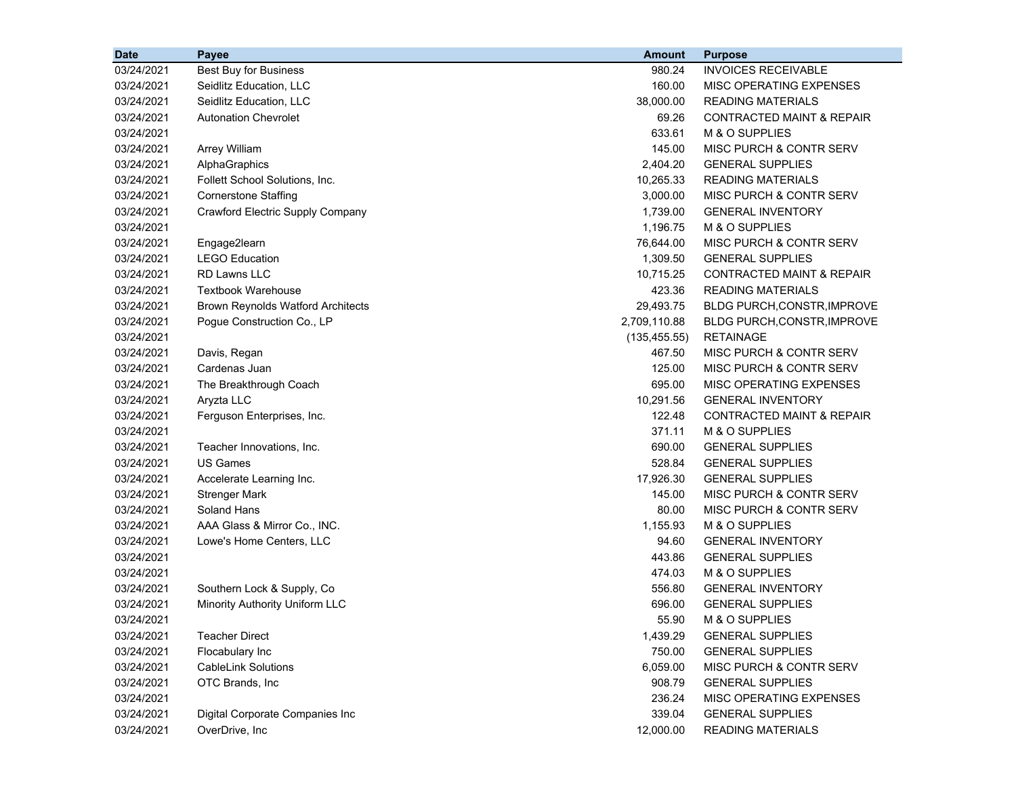| <b>Date</b> | <b>Payee</b>                             | <b>Amount</b> | <b>Purpose</b>                       |
|-------------|------------------------------------------|---------------|--------------------------------------|
| 03/24/2021  | <b>Best Buy for Business</b>             | 980.24        | <b>INVOICES RECEIVABLE</b>           |
| 03/24/2021  | Seidlitz Education, LLC                  | 160.00        | MISC OPERATING EXPENSES              |
| 03/24/2021  | Seidlitz Education, LLC                  | 38,000.00     | <b>READING MATERIALS</b>             |
| 03/24/2021  | <b>Autonation Chevrolet</b>              | 69.26         | <b>CONTRACTED MAINT &amp; REPAIR</b> |
| 03/24/2021  |                                          | 633.61        | M & O SUPPLIES                       |
| 03/24/2021  | <b>Arrey William</b>                     | 145.00        | MISC PURCH & CONTR SERV              |
| 03/24/2021  | AlphaGraphics                            | 2,404.20      | <b>GENERAL SUPPLIES</b>              |
| 03/24/2021  | Follett School Solutions, Inc.           | 10,265.33     | <b>READING MATERIALS</b>             |
| 03/24/2021  | <b>Cornerstone Staffing</b>              | 3,000.00      | MISC PURCH & CONTR SERV              |
| 03/24/2021  | <b>Crawford Electric Supply Company</b>  | 1,739.00      | <b>GENERAL INVENTORY</b>             |
| 03/24/2021  |                                          | 1,196.75      | M & O SUPPLIES                       |
| 03/24/2021  | Engage2learn                             | 76,644.00     | MISC PURCH & CONTR SERV              |
| 03/24/2021  | <b>LEGO Education</b>                    | 1,309.50      | <b>GENERAL SUPPLIES</b>              |
| 03/24/2021  | <b>RD Lawns LLC</b>                      | 10,715.25     | <b>CONTRACTED MAINT &amp; REPAIR</b> |
| 03/24/2021  | <b>Textbook Warehouse</b>                | 423.36        | <b>READING MATERIALS</b>             |
| 03/24/2021  | <b>Brown Reynolds Watford Architects</b> | 29,493.75     | <b>BLDG PURCH, CONSTR, IMPROVE</b>   |
| 03/24/2021  | Pogue Construction Co., LP               | 2,709,110.88  | BLDG PURCH, CONSTR, IMPROVE          |
| 03/24/2021  |                                          | (135, 455.55) | <b>RETAINAGE</b>                     |
| 03/24/2021  | Davis, Regan                             | 467.50        | MISC PURCH & CONTR SERV              |
| 03/24/2021  | Cardenas Juan                            | 125.00        | MISC PURCH & CONTR SERV              |
| 03/24/2021  | The Breakthrough Coach                   | 695.00        | MISC OPERATING EXPENSES              |
| 03/24/2021  | Aryzta LLC                               | 10,291.56     | <b>GENERAL INVENTORY</b>             |
| 03/24/2021  | Ferguson Enterprises, Inc.               | 122.48        | <b>CONTRACTED MAINT &amp; REPAIR</b> |
| 03/24/2021  |                                          | 371.11        | M & O SUPPLIES                       |
| 03/24/2021  | Teacher Innovations, Inc.                | 690.00        | <b>GENERAL SUPPLIES</b>              |
| 03/24/2021  | <b>US Games</b>                          | 528.84        | <b>GENERAL SUPPLIES</b>              |
| 03/24/2021  | Accelerate Learning Inc.                 | 17,926.30     | <b>GENERAL SUPPLIES</b>              |
| 03/24/2021  | <b>Strenger Mark</b>                     | 145.00        | MISC PURCH & CONTR SERV              |
| 03/24/2021  | Soland Hans                              | 80.00         | MISC PURCH & CONTR SERV              |
| 03/24/2021  | AAA Glass & Mirror Co., INC.             | 1,155.93      | M & O SUPPLIES                       |
| 03/24/2021  | Lowe's Home Centers, LLC                 | 94.60         | <b>GENERAL INVENTORY</b>             |
| 03/24/2021  |                                          | 443.86        | <b>GENERAL SUPPLIES</b>              |
| 03/24/2021  |                                          | 474.03        | M & O SUPPLIES                       |
| 03/24/2021  | Southern Lock & Supply, Co               | 556.80        | <b>GENERAL INVENTORY</b>             |
| 03/24/2021  | Minority Authority Uniform LLC           | 696.00        | <b>GENERAL SUPPLIES</b>              |
| 03/24/2021  |                                          | 55.90         | M & O SUPPLIES                       |
| 03/24/2021  | <b>Teacher Direct</b>                    | 1,439.29      | <b>GENERAL SUPPLIES</b>              |
| 03/24/2021  | Flocabulary Inc                          | 750.00        | <b>GENERAL SUPPLIES</b>              |
| 03/24/2021  | <b>CableLink Solutions</b>               | 6,059.00      | MISC PURCH & CONTR SERV              |
| 03/24/2021  | OTC Brands, Inc                          | 908.79        | <b>GENERAL SUPPLIES</b>              |
| 03/24/2021  |                                          | 236.24        | MISC OPERATING EXPENSES              |
| 03/24/2021  | Digital Corporate Companies Inc          | 339.04        | <b>GENERAL SUPPLIES</b>              |
| 03/24/2021  | OverDrive, Inc                           | 12,000.00     | <b>READING MATERIALS</b>             |
|             |                                          |               |                                      |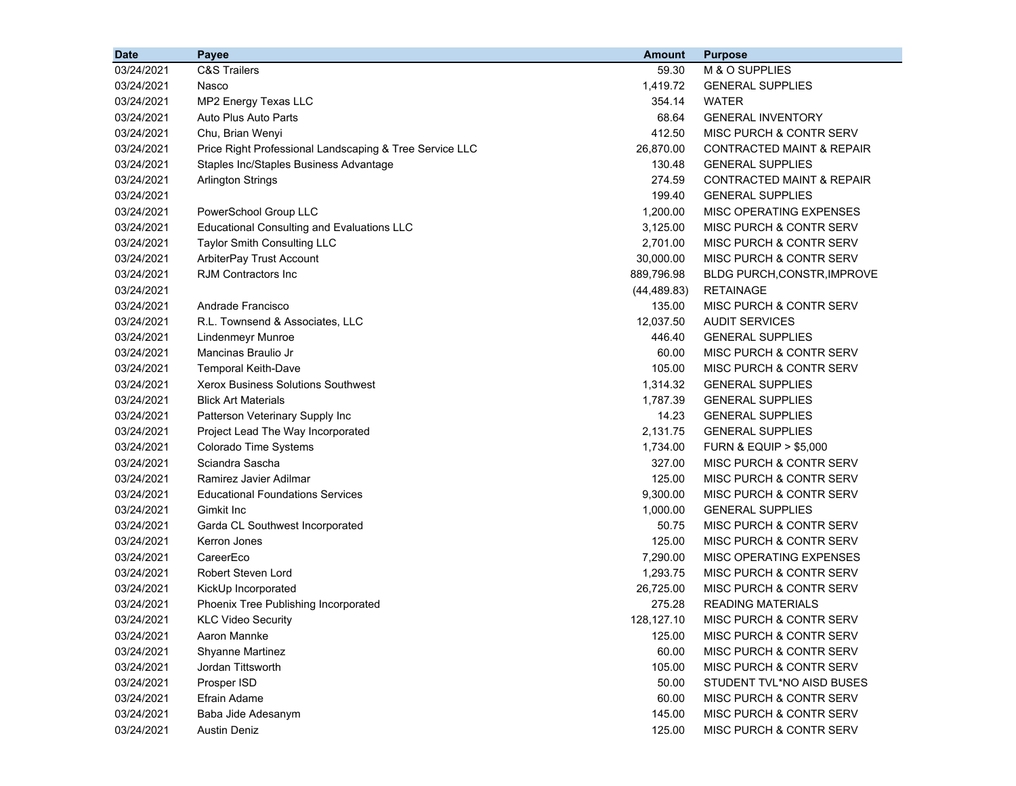| <b>Date</b> | Payee                                                   | <b>Amount</b> | <b>Purpose</b>                       |
|-------------|---------------------------------------------------------|---------------|--------------------------------------|
| 03/24/2021  | <b>C&amp;S Trailers</b>                                 | 59.30         | M & O SUPPLIES                       |
| 03/24/2021  | Nasco                                                   | 1,419.72      | <b>GENERAL SUPPLIES</b>              |
| 03/24/2021  | MP2 Energy Texas LLC                                    | 354.14        | <b>WATER</b>                         |
| 03/24/2021  | Auto Plus Auto Parts                                    | 68.64         | <b>GENERAL INVENTORY</b>             |
| 03/24/2021  | Chu, Brian Wenyi                                        | 412.50        | MISC PURCH & CONTR SERV              |
| 03/24/2021  | Price Right Professional Landscaping & Tree Service LLC | 26,870.00     | <b>CONTRACTED MAINT &amp; REPAIR</b> |
| 03/24/2021  | Staples Inc/Staples Business Advantage                  | 130.48        | <b>GENERAL SUPPLIES</b>              |
| 03/24/2021  | <b>Arlington Strings</b>                                | 274.59        | <b>CONTRACTED MAINT &amp; REPAIR</b> |
| 03/24/2021  |                                                         | 199.40        | <b>GENERAL SUPPLIES</b>              |
| 03/24/2021  | PowerSchool Group LLC                                   | 1,200.00      | MISC OPERATING EXPENSES              |
| 03/24/2021  | <b>Educational Consulting and Evaluations LLC</b>       | 3,125.00      | MISC PURCH & CONTR SERV              |
| 03/24/2021  | Taylor Smith Consulting LLC                             | 2,701.00      | MISC PURCH & CONTR SERV              |
| 03/24/2021  | ArbiterPay Trust Account                                | 30,000.00     | MISC PURCH & CONTR SERV              |
| 03/24/2021  | <b>RJM Contractors Inc</b>                              | 889,796.98    | BLDG PURCH, CONSTR, IMPROVE          |
| 03/24/2021  |                                                         | (44, 489.83)  | <b>RETAINAGE</b>                     |
| 03/24/2021  | Andrade Francisco                                       | 135.00        | MISC PURCH & CONTR SERV              |
| 03/24/2021  | R.L. Townsend & Associates, LLC                         | 12,037.50     | <b>AUDIT SERVICES</b>                |
| 03/24/2021  | <b>Lindenmeyr Munroe</b>                                | 446.40        | <b>GENERAL SUPPLIES</b>              |
| 03/24/2021  | Mancinas Braulio Jr                                     | 60.00         | <b>MISC PURCH &amp; CONTR SERV</b>   |
| 03/24/2021  | Temporal Keith-Dave                                     | 105.00        | MISC PURCH & CONTR SERV              |
| 03/24/2021  | <b>Xerox Business Solutions Southwest</b>               | 1,314.32      | <b>GENERAL SUPPLIES</b>              |
| 03/24/2021  | <b>Blick Art Materials</b>                              | 1,787.39      | <b>GENERAL SUPPLIES</b>              |
| 03/24/2021  | Patterson Veterinary Supply Inc                         | 14.23         | <b>GENERAL SUPPLIES</b>              |
| 03/24/2021  | Project Lead The Way Incorporated                       | 2,131.75      | <b>GENERAL SUPPLIES</b>              |
| 03/24/2021  | Colorado Time Systems                                   | 1,734.00      | <b>FURN &amp; EQUIP &gt; \$5,000</b> |
| 03/24/2021  | Sciandra Sascha                                         | 327.00        | <b>MISC PURCH &amp; CONTR SERV</b>   |
| 03/24/2021  | Ramirez Javier Adilmar                                  | 125.00        | MISC PURCH & CONTR SERV              |
| 03/24/2021  | <b>Educational Foundations Services</b>                 | 9,300.00      | MISC PURCH & CONTR SERV              |
| 03/24/2021  | Gimkit Inc                                              | 1,000.00      | <b>GENERAL SUPPLIES</b>              |
| 03/24/2021  | Garda CL Southwest Incorporated                         | 50.75         | <b>MISC PURCH &amp; CONTR SERV</b>   |
| 03/24/2021  | Kerron Jones                                            | 125.00        | MISC PURCH & CONTR SERV              |
| 03/24/2021  | CareerEco                                               | 7,290.00      | MISC OPERATING EXPENSES              |
| 03/24/2021  | <b>Robert Steven Lord</b>                               | 1,293.75      | MISC PURCH & CONTR SERV              |
| 03/24/2021  | KickUp Incorporated                                     | 26,725.00     | MISC PURCH & CONTR SERV              |
| 03/24/2021  | Phoenix Tree Publishing Incorporated                    | 275.28        | <b>READING MATERIALS</b>             |
| 03/24/2021  | <b>KLC Video Security</b>                               | 128,127.10    | <b>MISC PURCH &amp; CONTR SERV</b>   |
| 03/24/2021  | Aaron Mannke                                            | 125.00        | MISC PURCH & CONTR SERV              |
| 03/24/2021  | Shyanne Martinez                                        | 60.00         | MISC PURCH & CONTR SERV              |
| 03/24/2021  | Jordan Tittsworth                                       | 105.00        | MISC PURCH & CONTR SERV              |
| 03/24/2021  | Prosper ISD                                             | 50.00         | STUDENT TVL*NO AISD BUSES            |
| 03/24/2021  | Efrain Adame                                            | 60.00         | MISC PURCH & CONTR SERV              |
| 03/24/2021  | Baba Jide Adesanym                                      | 145.00        | MISC PURCH & CONTR SERV              |
| 03/24/2021  | <b>Austin Deniz</b>                                     | 125.00        | MISC PURCH & CONTR SERV              |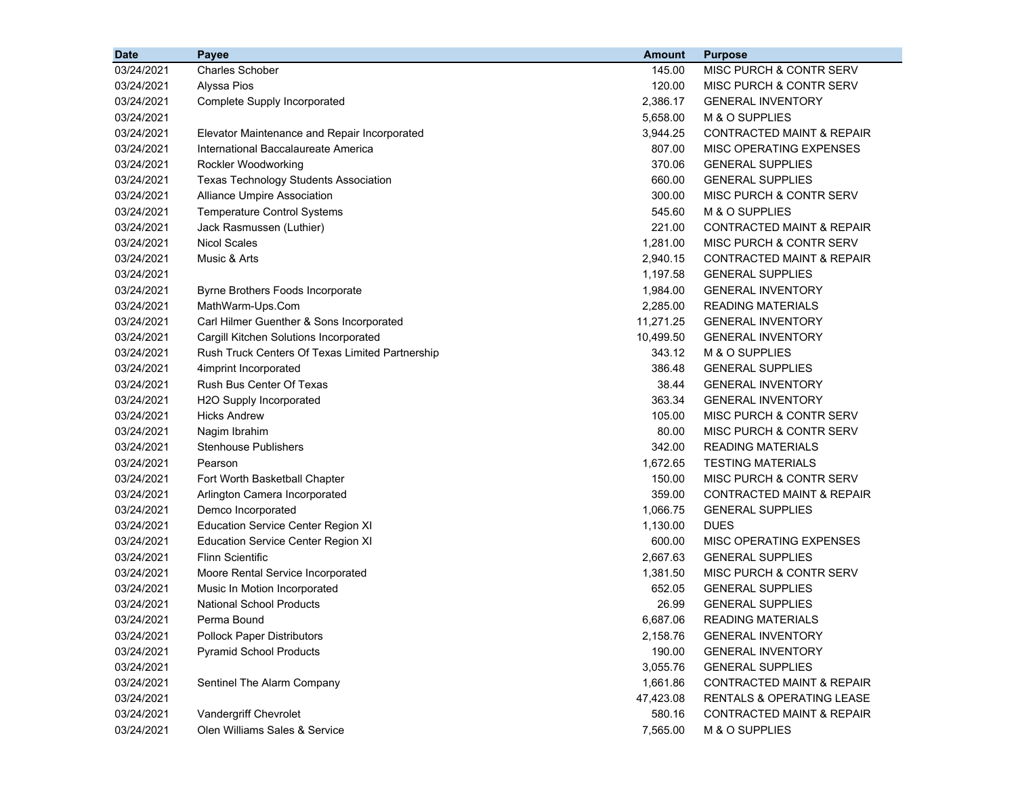| <b>Date</b> | <b>Payee</b>                                    | <b>Amount</b> | <b>Purpose</b>                       |
|-------------|-------------------------------------------------|---------------|--------------------------------------|
| 03/24/2021  | <b>Charles Schober</b>                          | 145.00        | MISC PURCH & CONTR SERV              |
| 03/24/2021  | Alyssa Pios                                     | 120.00        | MISC PURCH & CONTR SERV              |
| 03/24/2021  | Complete Supply Incorporated                    | 2,386.17      | <b>GENERAL INVENTORY</b>             |
| 03/24/2021  |                                                 | 5,658.00      | M & O SUPPLIES                       |
| 03/24/2021  | Elevator Maintenance and Repair Incorporated    | 3,944.25      | <b>CONTRACTED MAINT &amp; REPAIR</b> |
| 03/24/2021  | International Baccalaureate America             | 807.00        | MISC OPERATING EXPENSES              |
| 03/24/2021  | Rockler Woodworking                             | 370.06        | <b>GENERAL SUPPLIES</b>              |
| 03/24/2021  | <b>Texas Technology Students Association</b>    | 660.00        | <b>GENERAL SUPPLIES</b>              |
| 03/24/2021  | Alliance Umpire Association                     | 300.00        | MISC PURCH & CONTR SERV              |
| 03/24/2021  | <b>Temperature Control Systems</b>              | 545.60        | M & O SUPPLIES                       |
| 03/24/2021  | Jack Rasmussen (Luthier)                        | 221.00        | <b>CONTRACTED MAINT &amp; REPAIR</b> |
| 03/24/2021  | <b>Nicol Scales</b>                             | 1,281.00      | MISC PURCH & CONTR SERV              |
| 03/24/2021  | Music & Arts                                    | 2,940.15      | <b>CONTRACTED MAINT &amp; REPAIR</b> |
| 03/24/2021  |                                                 | 1,197.58      | <b>GENERAL SUPPLIES</b>              |
| 03/24/2021  | Byrne Brothers Foods Incorporate                | 1,984.00      | <b>GENERAL INVENTORY</b>             |
| 03/24/2021  | MathWarm-Ups.Com                                | 2,285.00      | <b>READING MATERIALS</b>             |
| 03/24/2021  | Carl Hilmer Guenther & Sons Incorporated        | 11,271.25     | <b>GENERAL INVENTORY</b>             |
| 03/24/2021  | Cargill Kitchen Solutions Incorporated          | 10,499.50     | <b>GENERAL INVENTORY</b>             |
| 03/24/2021  | Rush Truck Centers Of Texas Limited Partnership | 343.12        | M & O SUPPLIES                       |
| 03/24/2021  | 4imprint Incorporated                           | 386.48        | <b>GENERAL SUPPLIES</b>              |
| 03/24/2021  | Rush Bus Center Of Texas                        | 38.44         | <b>GENERAL INVENTORY</b>             |
| 03/24/2021  | H2O Supply Incorporated                         | 363.34        | <b>GENERAL INVENTORY</b>             |
| 03/24/2021  | <b>Hicks Andrew</b>                             | 105.00        | MISC PURCH & CONTR SERV              |
| 03/24/2021  | Nagim Ibrahim                                   | 80.00         | MISC PURCH & CONTR SERV              |
| 03/24/2021  | <b>Stenhouse Publishers</b>                     | 342.00        | <b>READING MATERIALS</b>             |
| 03/24/2021  | Pearson                                         | 1,672.65      | <b>TESTING MATERIALS</b>             |
| 03/24/2021  | Fort Worth Basketball Chapter                   | 150.00        | MISC PURCH & CONTR SERV              |
| 03/24/2021  | Arlington Camera Incorporated                   | 359.00        | <b>CONTRACTED MAINT &amp; REPAIR</b> |
| 03/24/2021  | Demco Incorporated                              | 1,066.75      | <b>GENERAL SUPPLIES</b>              |
| 03/24/2021  | <b>Education Service Center Region XI</b>       | 1,130.00      | <b>DUES</b>                          |
| 03/24/2021  | <b>Education Service Center Region XI</b>       | 600.00        | MISC OPERATING EXPENSES              |
| 03/24/2021  | <b>Flinn Scientific</b>                         | 2,667.63      | <b>GENERAL SUPPLIES</b>              |
| 03/24/2021  | Moore Rental Service Incorporated               | 1,381.50      | MISC PURCH & CONTR SERV              |
| 03/24/2021  | Music In Motion Incorporated                    | 652.05        | <b>GENERAL SUPPLIES</b>              |
| 03/24/2021  | <b>National School Products</b>                 | 26.99         | <b>GENERAL SUPPLIES</b>              |
| 03/24/2021  | Perma Bound                                     | 6,687.06      | <b>READING MATERIALS</b>             |
| 03/24/2021  | <b>Pollock Paper Distributors</b>               | 2,158.76      | <b>GENERAL INVENTORY</b>             |
| 03/24/2021  | <b>Pyramid School Products</b>                  | 190.00        | <b>GENERAL INVENTORY</b>             |
| 03/24/2021  |                                                 | 3,055.76      | <b>GENERAL SUPPLIES</b>              |
| 03/24/2021  | Sentinel The Alarm Company                      | 1,661.86      | <b>CONTRACTED MAINT &amp; REPAIR</b> |
| 03/24/2021  |                                                 | 47,423.08     | RENTALS & OPERATING LEASE            |
| 03/24/2021  | Vandergriff Chevrolet                           | 580.16        | CONTRACTED MAINT & REPAIR            |
| 03/24/2021  | Olen Williams Sales & Service                   | 7,565.00      | M & O SUPPLIES                       |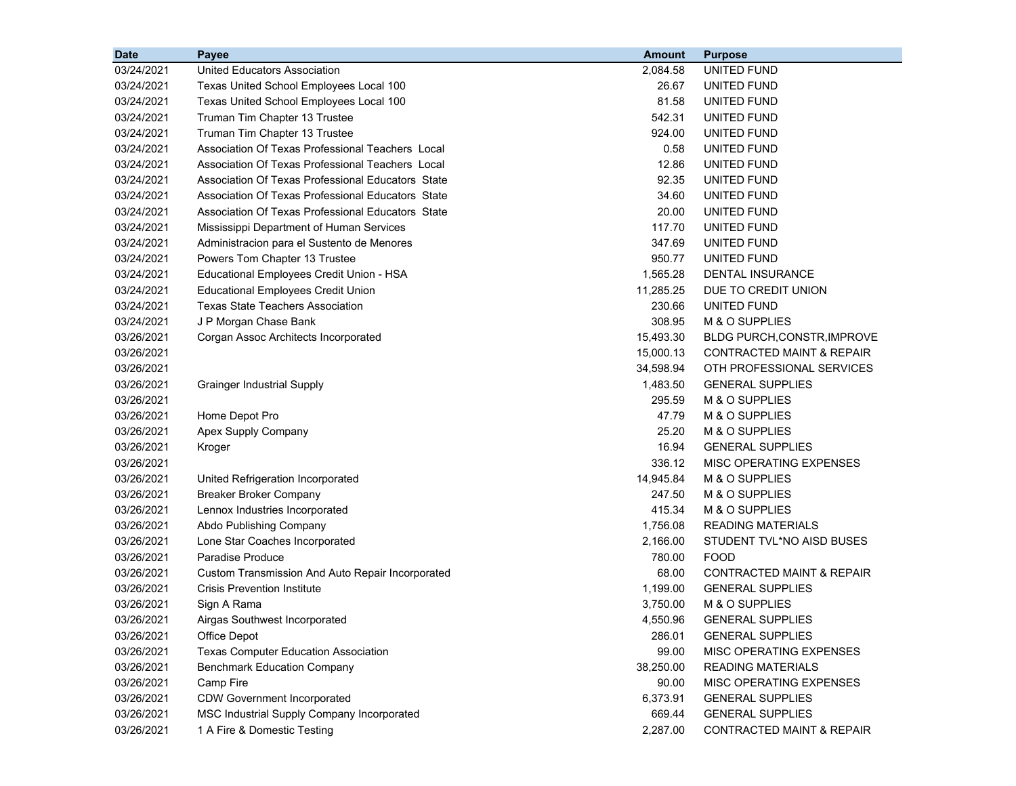| <b>Date</b> | Payee                                             | <b>Amount</b> | <b>Purpose</b>                       |
|-------------|---------------------------------------------------|---------------|--------------------------------------|
| 03/24/2021  | <b>United Educators Association</b>               | 2,084.58      | UNITED FUND                          |
| 03/24/2021  | Texas United School Employees Local 100           | 26.67         | UNITED FUND                          |
| 03/24/2021  | Texas United School Employees Local 100           | 81.58         | UNITED FUND                          |
| 03/24/2021  | Truman Tim Chapter 13 Trustee                     | 542.31        | UNITED FUND                          |
| 03/24/2021  | Truman Tim Chapter 13 Trustee                     | 924.00        | UNITED FUND                          |
| 03/24/2021  | Association Of Texas Professional Teachers Local  | 0.58          | UNITED FUND                          |
| 03/24/2021  | Association Of Texas Professional Teachers Local  | 12.86         | UNITED FUND                          |
| 03/24/2021  | Association Of Texas Professional Educators State | 92.35         | UNITED FUND                          |
| 03/24/2021  | Association Of Texas Professional Educators State | 34.60         | UNITED FUND                          |
| 03/24/2021  | Association Of Texas Professional Educators State | 20.00         | UNITED FUND                          |
| 03/24/2021  | Mississippi Department of Human Services          | 117.70        | UNITED FUND                          |
| 03/24/2021  | Administracion para el Sustento de Menores        | 347.69        | UNITED FUND                          |
| 03/24/2021  | Powers Tom Chapter 13 Trustee                     | 950.77        | UNITED FUND                          |
| 03/24/2021  | Educational Employees Credit Union - HSA          | 1,565.28      | <b>DENTAL INSURANCE</b>              |
| 03/24/2021  | <b>Educational Employees Credit Union</b>         | 11,285.25     | DUE TO CREDIT UNION                  |
| 03/24/2021  | <b>Texas State Teachers Association</b>           | 230.66        | <b>UNITED FUND</b>                   |
| 03/24/2021  | J P Morgan Chase Bank                             | 308.95        | M & O SUPPLIES                       |
| 03/26/2021  | Corgan Assoc Architects Incorporated              | 15,493.30     | BLDG PURCH, CONSTR, IMPROVE          |
| 03/26/2021  |                                                   | 15,000.13     | <b>CONTRACTED MAINT &amp; REPAIR</b> |
| 03/26/2021  |                                                   | 34,598.94     | OTH PROFESSIONAL SERVICES            |
| 03/26/2021  | <b>Grainger Industrial Supply</b>                 | 1,483.50      | <b>GENERAL SUPPLIES</b>              |
| 03/26/2021  |                                                   | 295.59        | M & O SUPPLIES                       |
| 03/26/2021  | Home Depot Pro                                    | 47.79         | M & O SUPPLIES                       |
| 03/26/2021  | Apex Supply Company                               | 25.20         | M & O SUPPLIES                       |
| 03/26/2021  | Kroger                                            | 16.94         | <b>GENERAL SUPPLIES</b>              |
| 03/26/2021  |                                                   | 336.12        | MISC OPERATING EXPENSES              |
| 03/26/2021  | United Refrigeration Incorporated                 | 14,945.84     | M & O SUPPLIES                       |
| 03/26/2021  | <b>Breaker Broker Company</b>                     | 247.50        | M & O SUPPLIES                       |
| 03/26/2021  | Lennox Industries Incorporated                    | 415.34        | M & O SUPPLIES                       |
| 03/26/2021  | Abdo Publishing Company                           | 1,756.08      | <b>READING MATERIALS</b>             |
| 03/26/2021  | Lone Star Coaches Incorporated                    | 2,166.00      | STUDENT TVL*NO AISD BUSES            |
| 03/26/2021  | Paradise Produce                                  | 780.00        | <b>FOOD</b>                          |
| 03/26/2021  | Custom Transmission And Auto Repair Incorporated  | 68.00         | <b>CONTRACTED MAINT &amp; REPAIR</b> |
| 03/26/2021  | <b>Crisis Prevention Institute</b>                | 1,199.00      | <b>GENERAL SUPPLIES</b>              |
| 03/26/2021  | Sign A Rama                                       | 3,750.00      | M & O SUPPLIES                       |
| 03/26/2021  | Airgas Southwest Incorporated                     | 4,550.96      | <b>GENERAL SUPPLIES</b>              |
| 03/26/2021  | <b>Office Depot</b>                               | 286.01        | <b>GENERAL SUPPLIES</b>              |
| 03/26/2021  | <b>Texas Computer Education Association</b>       | 99.00         | MISC OPERATING EXPENSES              |
| 03/26/2021  | <b>Benchmark Education Company</b>                | 38,250.00     | <b>READING MATERIALS</b>             |
| 03/26/2021  | Camp Fire                                         | 90.00         | MISC OPERATING EXPENSES              |
| 03/26/2021  | <b>CDW Government Incorporated</b>                | 6,373.91      | <b>GENERAL SUPPLIES</b>              |
| 03/26/2021  | MSC Industrial Supply Company Incorporated        | 669.44        | <b>GENERAL SUPPLIES</b>              |
| 03/26/2021  | 1 A Fire & Domestic Testing                       | 2,287.00      | <b>CONTRACTED MAINT &amp; REPAIR</b> |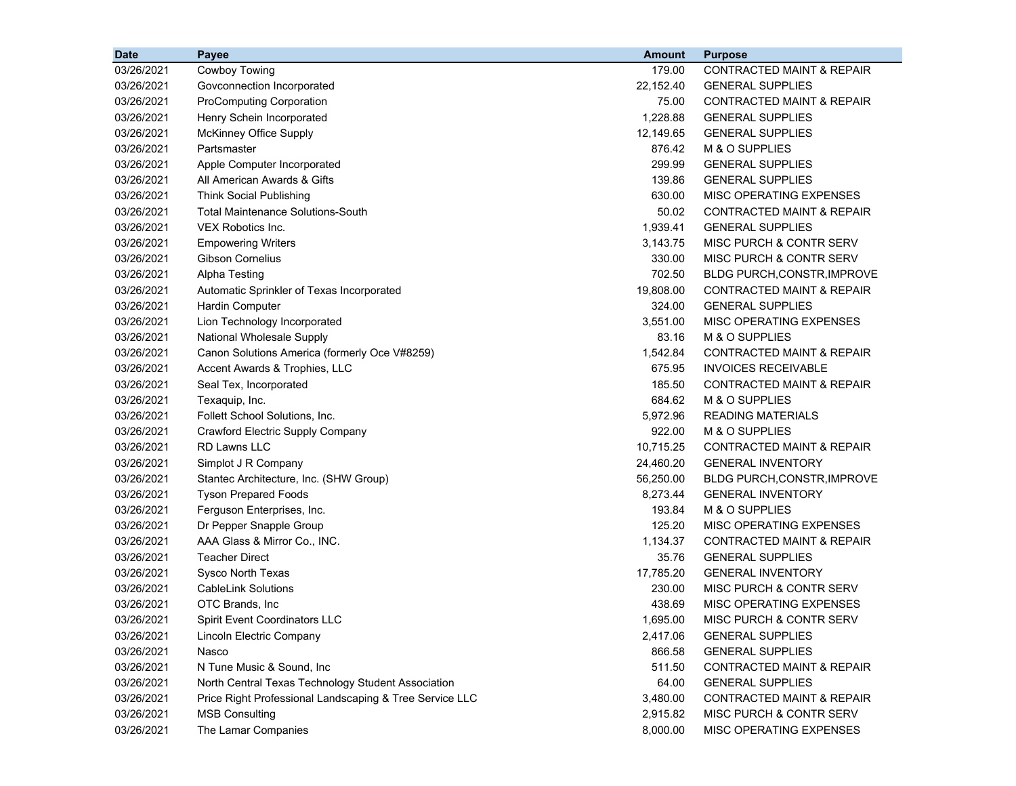| <b>Date</b> | <b>Payee</b>                                            | <b>Amount</b> | <b>Purpose</b>                       |
|-------------|---------------------------------------------------------|---------------|--------------------------------------|
| 03/26/2021  | Cowboy Towing                                           | 179.00        | CONTRACTED MAINT & REPAIR            |
| 03/26/2021  | Govconnection Incorporated                              | 22,152.40     | <b>GENERAL SUPPLIES</b>              |
| 03/26/2021  | <b>ProComputing Corporation</b>                         | 75.00         | CONTRACTED MAINT & REPAIR            |
| 03/26/2021  | Henry Schein Incorporated                               | 1,228.88      | <b>GENERAL SUPPLIES</b>              |
| 03/26/2021  | <b>McKinney Office Supply</b>                           | 12,149.65     | <b>GENERAL SUPPLIES</b>              |
| 03/26/2021  | Partsmaster                                             | 876.42        | M & O SUPPLIES                       |
| 03/26/2021  | Apple Computer Incorporated                             | 299.99        | <b>GENERAL SUPPLIES</b>              |
| 03/26/2021  | All American Awards & Gifts                             | 139.86        | <b>GENERAL SUPPLIES</b>              |
| 03/26/2021  | <b>Think Social Publishing</b>                          | 630.00        | MISC OPERATING EXPENSES              |
| 03/26/2021  | <b>Total Maintenance Solutions-South</b>                | 50.02         | <b>CONTRACTED MAINT &amp; REPAIR</b> |
| 03/26/2021  | <b>VEX Robotics Inc.</b>                                | 1,939.41      | <b>GENERAL SUPPLIES</b>              |
| 03/26/2021  | <b>Empowering Writers</b>                               | 3,143.75      | MISC PURCH & CONTR SERV              |
| 03/26/2021  | Gibson Cornelius                                        | 330.00        | MISC PURCH & CONTR SERV              |
| 03/26/2021  | Alpha Testing                                           | 702.50        | <b>BLDG PURCH, CONSTR, IMPROVE</b>   |
| 03/26/2021  | Automatic Sprinkler of Texas Incorporated               | 19,808.00     | CONTRACTED MAINT & REPAIR            |
| 03/26/2021  | <b>Hardin Computer</b>                                  | 324.00        | <b>GENERAL SUPPLIES</b>              |
| 03/26/2021  | Lion Technology Incorporated                            | 3,551.00      | MISC OPERATING EXPENSES              |
| 03/26/2021  | National Wholesale Supply                               | 83.16         | M & O SUPPLIES                       |
| 03/26/2021  | Canon Solutions America (formerly Oce V#8259)           | 1,542.84      | <b>CONTRACTED MAINT &amp; REPAIR</b> |
| 03/26/2021  | Accent Awards & Trophies, LLC                           | 675.95        | <b>INVOICES RECEIVABLE</b>           |
| 03/26/2021  | Seal Tex, Incorporated                                  | 185.50        | <b>CONTRACTED MAINT &amp; REPAIR</b> |
| 03/26/2021  | Texaquip, Inc.                                          | 684.62        | M & O SUPPLIES                       |
| 03/26/2021  | Follett School Solutions, Inc.                          | 5,972.96      | <b>READING MATERIALS</b>             |
| 03/26/2021  | Crawford Electric Supply Company                        | 922.00        | M & O SUPPLIES                       |
| 03/26/2021  | <b>RD Lawns LLC</b>                                     | 10,715.25     | <b>CONTRACTED MAINT &amp; REPAIR</b> |
| 03/26/2021  | Simplot J R Company                                     | 24,460.20     | <b>GENERAL INVENTORY</b>             |
| 03/26/2021  | Stantec Architecture, Inc. (SHW Group)                  | 56,250.00     | <b>BLDG PURCH, CONSTR, IMPROVE</b>   |
| 03/26/2021  | <b>Tyson Prepared Foods</b>                             | 8,273.44      | <b>GENERAL INVENTORY</b>             |
| 03/26/2021  | Ferguson Enterprises, Inc.                              | 193.84        | M & O SUPPLIES                       |
| 03/26/2021  | Dr Pepper Snapple Group                                 | 125.20        | MISC OPERATING EXPENSES              |
| 03/26/2021  | AAA Glass & Mirror Co., INC.                            | 1,134.37      | <b>CONTRACTED MAINT &amp; REPAIR</b> |
| 03/26/2021  | <b>Teacher Direct</b>                                   | 35.76         | <b>GENERAL SUPPLIES</b>              |
| 03/26/2021  | Sysco North Texas                                       | 17,785.20     | <b>GENERAL INVENTORY</b>             |
| 03/26/2021  | <b>CableLink Solutions</b>                              | 230.00        | MISC PURCH & CONTR SERV              |
| 03/26/2021  | OTC Brands, Inc.                                        | 438.69        | MISC OPERATING EXPENSES              |
| 03/26/2021  | <b>Spirit Event Coordinators LLC</b>                    | 1,695.00      | MISC PURCH & CONTR SERV              |
| 03/26/2021  | Lincoln Electric Company                                | 2,417.06      | <b>GENERAL SUPPLIES</b>              |
| 03/26/2021  | Nasco                                                   | 866.58        | <b>GENERAL SUPPLIES</b>              |
| 03/26/2021  | N Tune Music & Sound, Inc.                              | 511.50        | CONTRACTED MAINT & REPAIR            |
| 03/26/2021  | North Central Texas Technology Student Association      | 64.00         | <b>GENERAL SUPPLIES</b>              |
| 03/26/2021  | Price Right Professional Landscaping & Tree Service LLC | 3,480.00      | CONTRACTED MAINT & REPAIR            |
| 03/26/2021  | <b>MSB Consulting</b>                                   | 2,915.82      | MISC PURCH & CONTR SERV              |
| 03/26/2021  | The Lamar Companies                                     | 8,000.00      | MISC OPERATING EXPENSES              |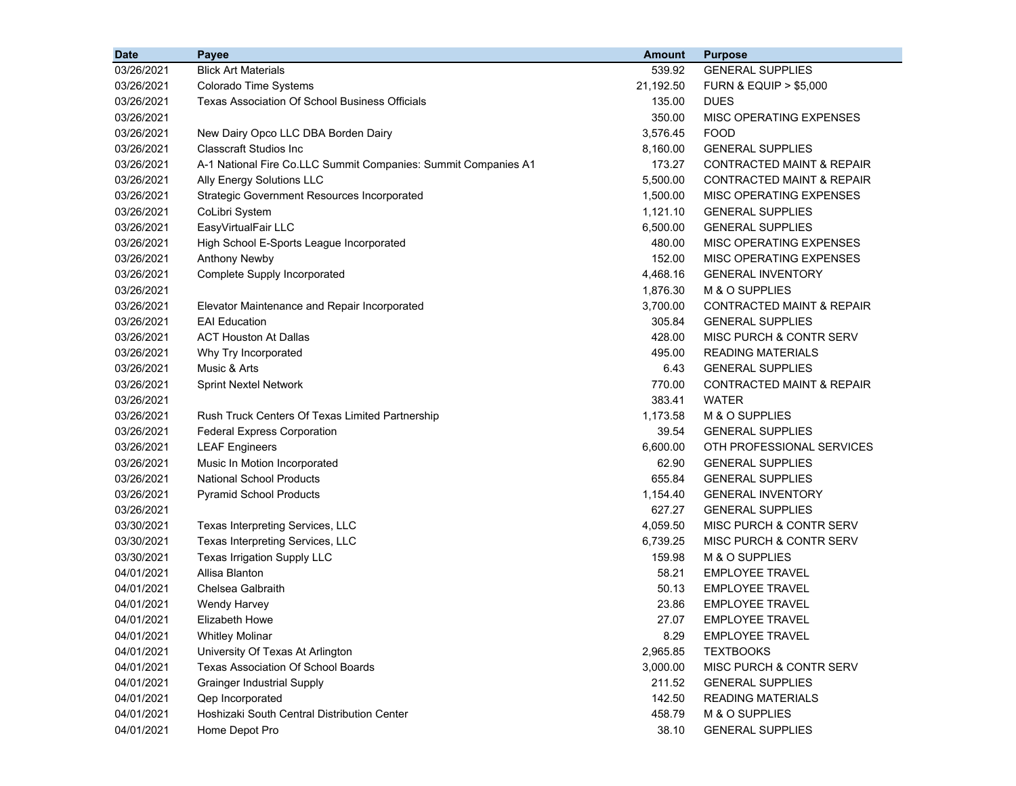| <b>Date</b> | Payee                                                          | <b>Amount</b> | <b>Purpose</b>                       |
|-------------|----------------------------------------------------------------|---------------|--------------------------------------|
| 03/26/2021  | <b>Blick Art Materials</b>                                     | 539.92        | <b>GENERAL SUPPLIES</b>              |
| 03/26/2021  | Colorado Time Systems                                          | 21,192.50     | <b>FURN &amp; EQUIP &gt; \$5,000</b> |
| 03/26/2021  | <b>Texas Association Of School Business Officials</b>          | 135.00        | <b>DUES</b>                          |
| 03/26/2021  |                                                                | 350.00        | MISC OPERATING EXPENSES              |
| 03/26/2021  | New Dairy Opco LLC DBA Borden Dairy                            | 3,576.45      | <b>FOOD</b>                          |
| 03/26/2021  | <b>Classcraft Studios Inc</b>                                  | 8,160.00      | <b>GENERAL SUPPLIES</b>              |
| 03/26/2021  | A-1 National Fire Co.LLC Summit Companies: Summit Companies A1 | 173.27        | <b>CONTRACTED MAINT &amp; REPAIR</b> |
| 03/26/2021  | Ally Energy Solutions LLC                                      | 5.500.00      | <b>CONTRACTED MAINT &amp; REPAIR</b> |
| 03/26/2021  | <b>Strategic Government Resources Incorporated</b>             | 1,500.00      | MISC OPERATING EXPENSES              |
| 03/26/2021  | CoLibri System                                                 | 1,121.10      | <b>GENERAL SUPPLIES</b>              |
| 03/26/2021  | EasyVirtualFair LLC                                            | 6,500.00      | <b>GENERAL SUPPLIES</b>              |
| 03/26/2021  | High School E-Sports League Incorporated                       | 480.00        | MISC OPERATING EXPENSES              |
| 03/26/2021  | <b>Anthony Newby</b>                                           | 152.00        | MISC OPERATING EXPENSES              |
| 03/26/2021  | Complete Supply Incorporated                                   | 4,468.16      | <b>GENERAL INVENTORY</b>             |
| 03/26/2021  |                                                                | 1,876.30      | M & O SUPPLIES                       |
| 03/26/2021  | Elevator Maintenance and Repair Incorporated                   | 3,700.00      | <b>CONTRACTED MAINT &amp; REPAIR</b> |
| 03/26/2021  | <b>EAI</b> Education                                           | 305.84        | <b>GENERAL SUPPLIES</b>              |
| 03/26/2021  | <b>ACT Houston At Dallas</b>                                   | 428.00        | MISC PURCH & CONTR SERV              |
| 03/26/2021  | Why Try Incorporated                                           | 495.00        | <b>READING MATERIALS</b>             |
| 03/26/2021  | Music & Arts                                                   | 6.43          | <b>GENERAL SUPPLIES</b>              |
| 03/26/2021  | <b>Sprint Nextel Network</b>                                   | 770.00        | <b>CONTRACTED MAINT &amp; REPAIR</b> |
| 03/26/2021  |                                                                | 383.41        | <b>WATER</b>                         |
| 03/26/2021  | Rush Truck Centers Of Texas Limited Partnership                | 1,173.58      | M & O SUPPLIES                       |
| 03/26/2021  | <b>Federal Express Corporation</b>                             | 39.54         | <b>GENERAL SUPPLIES</b>              |
| 03/26/2021  | <b>LEAF Engineers</b>                                          | 6,600.00      | OTH PROFESSIONAL SERVICES            |
| 03/26/2021  | Music In Motion Incorporated                                   | 62.90         | <b>GENERAL SUPPLIES</b>              |
| 03/26/2021  | <b>National School Products</b>                                | 655.84        | <b>GENERAL SUPPLIES</b>              |
| 03/26/2021  | <b>Pyramid School Products</b>                                 | 1,154.40      | <b>GENERAL INVENTORY</b>             |
| 03/26/2021  |                                                                | 627.27        | <b>GENERAL SUPPLIES</b>              |
| 03/30/2021  | Texas Interpreting Services, LLC                               | 4,059.50      | MISC PURCH & CONTR SERV              |
| 03/30/2021  | Texas Interpreting Services, LLC                               | 6,739.25      | MISC PURCH & CONTR SERV              |
| 03/30/2021  | Texas Irrigation Supply LLC                                    | 159.98        | M & O SUPPLIES                       |
| 04/01/2021  | Allisa Blanton                                                 | 58.21         | <b>EMPLOYEE TRAVEL</b>               |
| 04/01/2021  | Chelsea Galbraith                                              | 50.13         | <b>EMPLOYEE TRAVEL</b>               |
| 04/01/2021  | <b>Wendy Harvey</b>                                            | 23.86         | <b>EMPLOYEE TRAVEL</b>               |
| 04/01/2021  | Elizabeth Howe                                                 | 27.07         | <b>EMPLOYEE TRAVEL</b>               |
| 04/01/2021  | <b>Whitley Molinar</b>                                         | 8.29          | <b>EMPLOYEE TRAVEL</b>               |
| 04/01/2021  | University Of Texas At Arlington                               | 2,965.85      | <b>TEXTBOOKS</b>                     |
| 04/01/2021  | Texas Association Of School Boards                             | 3,000.00      | MISC PURCH & CONTR SERV              |
| 04/01/2021  | <b>Grainger Industrial Supply</b>                              | 211.52        | <b>GENERAL SUPPLIES</b>              |
| 04/01/2021  | Qep Incorporated                                               | 142.50        | <b>READING MATERIALS</b>             |
| 04/01/2021  | Hoshizaki South Central Distribution Center                    | 458.79        | M & O SUPPLIES                       |
| 04/01/2021  | Home Depot Pro                                                 | 38.10         | <b>GENERAL SUPPLIES</b>              |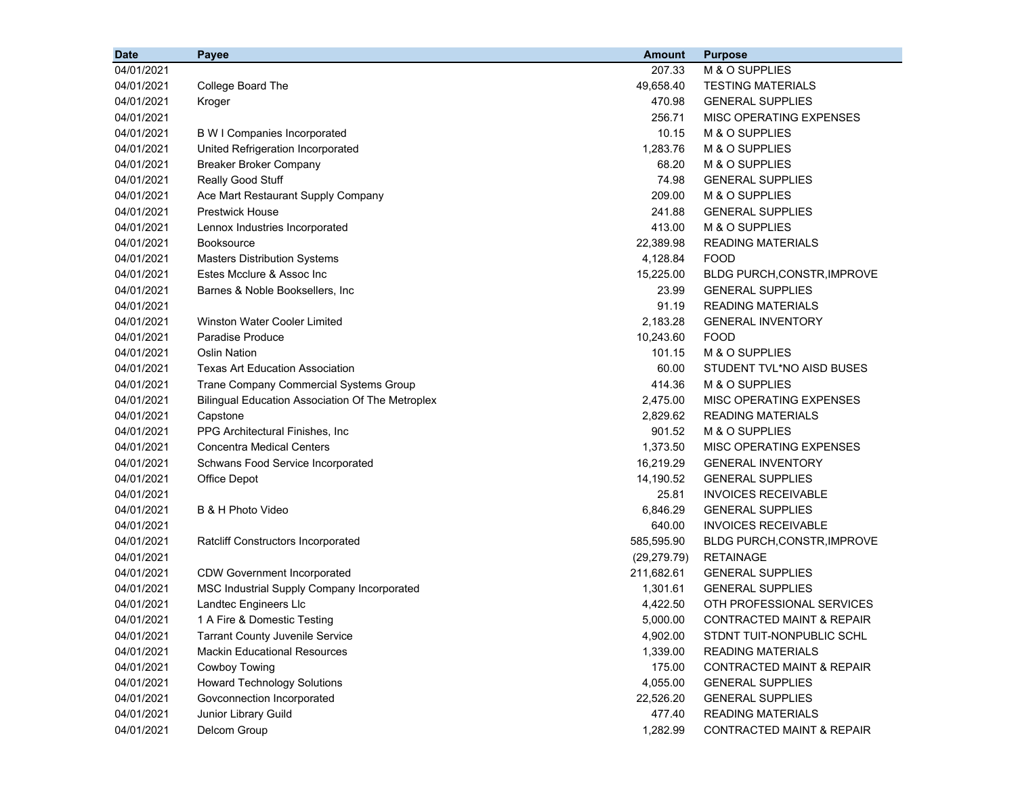| <b>Date</b> | Payee                                                   | <b>Amount</b> | <b>Purpose</b>                       |
|-------------|---------------------------------------------------------|---------------|--------------------------------------|
| 04/01/2021  |                                                         | 207.33        | M & O SUPPLIES                       |
| 04/01/2021  | College Board The                                       | 49,658.40     | <b>TESTING MATERIALS</b>             |
| 04/01/2021  | Kroger                                                  | 470.98        | <b>GENERAL SUPPLIES</b>              |
| 04/01/2021  |                                                         | 256.71        | MISC OPERATING EXPENSES              |
| 04/01/2021  | <b>B W I Companies Incorporated</b>                     | 10.15         | M & O SUPPLIES                       |
| 04/01/2021  | United Refrigeration Incorporated                       | 1,283.76      | M & O SUPPLIES                       |
| 04/01/2021  | <b>Breaker Broker Company</b>                           | 68.20         | M & O SUPPLIES                       |
| 04/01/2021  | Really Good Stuff                                       | 74.98         | <b>GENERAL SUPPLIES</b>              |
| 04/01/2021  | Ace Mart Restaurant Supply Company                      | 209.00        | M & O SUPPLIES                       |
| 04/01/2021  | <b>Prestwick House</b>                                  | 241.88        | <b>GENERAL SUPPLIES</b>              |
| 04/01/2021  | Lennox Industries Incorporated                          | 413.00        | M & O SUPPLIES                       |
| 04/01/2021  | <b>Booksource</b>                                       | 22,389.98     | <b>READING MATERIALS</b>             |
| 04/01/2021  | <b>Masters Distribution Systems</b>                     | 4,128.84      | <b>FOOD</b>                          |
| 04/01/2021  | Estes Mcclure & Assoc Inc                               | 15,225.00     | <b>BLDG PURCH, CONSTR, IMPROVE</b>   |
| 04/01/2021  | Barnes & Noble Booksellers, Inc.                        | 23.99         | <b>GENERAL SUPPLIES</b>              |
| 04/01/2021  |                                                         | 91.19         | <b>READING MATERIALS</b>             |
| 04/01/2021  | Winston Water Cooler Limited                            | 2,183.28      | <b>GENERAL INVENTORY</b>             |
| 04/01/2021  | Paradise Produce                                        | 10,243.60     | <b>FOOD</b>                          |
| 04/01/2021  | <b>Oslin Nation</b>                                     | 101.15        | M & O SUPPLIES                       |
| 04/01/2021  | <b>Texas Art Education Association</b>                  | 60.00         | STUDENT TVL*NO AISD BUSES            |
| 04/01/2021  | Trane Company Commercial Systems Group                  | 414.36        | M & O SUPPLIES                       |
| 04/01/2021  | <b>Bilingual Education Association Of The Metroplex</b> | 2,475.00      | MISC OPERATING EXPENSES              |
| 04/01/2021  | Capstone                                                | 2,829.62      | <b>READING MATERIALS</b>             |
| 04/01/2021  | PPG Architectural Finishes, Inc                         | 901.52        | M & O SUPPLIES                       |
| 04/01/2021  | <b>Concentra Medical Centers</b>                        | 1,373.50      | MISC OPERATING EXPENSES              |
| 04/01/2021  | Schwans Food Service Incorporated                       | 16,219.29     | <b>GENERAL INVENTORY</b>             |
| 04/01/2021  | Office Depot                                            | 14,190.52     | <b>GENERAL SUPPLIES</b>              |
| 04/01/2021  |                                                         | 25.81         | <b>INVOICES RECEIVABLE</b>           |
| 04/01/2021  | B & H Photo Video                                       | 6,846.29      | <b>GENERAL SUPPLIES</b>              |
| 04/01/2021  |                                                         | 640.00        | <b>INVOICES RECEIVABLE</b>           |
| 04/01/2021  | <b>Ratcliff Constructors Incorporated</b>               | 585,595.90    | BLDG PURCH, CONSTR, IMPROVE          |
| 04/01/2021  |                                                         | (29, 279.79)  | <b>RETAINAGE</b>                     |
| 04/01/2021  | <b>CDW Government Incorporated</b>                      | 211,682.61    | <b>GENERAL SUPPLIES</b>              |
| 04/01/2021  | MSC Industrial Supply Company Incorporated              | 1,301.61      | <b>GENERAL SUPPLIES</b>              |
| 04/01/2021  | Landtec Engineers Llc                                   | 4,422.50      | OTH PROFESSIONAL SERVICES            |
| 04/01/2021  | 1 A Fire & Domestic Testing                             | 5,000.00      | CONTRACTED MAINT & REPAIR            |
| 04/01/2021  | <b>Tarrant County Juvenile Service</b>                  | 4,902.00      | STDNT TUIT-NONPUBLIC SCHL            |
| 04/01/2021  | <b>Mackin Educational Resources</b>                     | 1,339.00      | <b>READING MATERIALS</b>             |
| 04/01/2021  | Cowboy Towing                                           | 175.00        | <b>CONTRACTED MAINT &amp; REPAIR</b> |
| 04/01/2021  | <b>Howard Technology Solutions</b>                      | 4,055.00      | <b>GENERAL SUPPLIES</b>              |
| 04/01/2021  | Govconnection Incorporated                              | 22,526.20     | <b>GENERAL SUPPLIES</b>              |
| 04/01/2021  | Junior Library Guild                                    | 477.40        | <b>READING MATERIALS</b>             |
| 04/01/2021  | Delcom Group                                            | 1,282.99      | CONTRACTED MAINT & REPAIR            |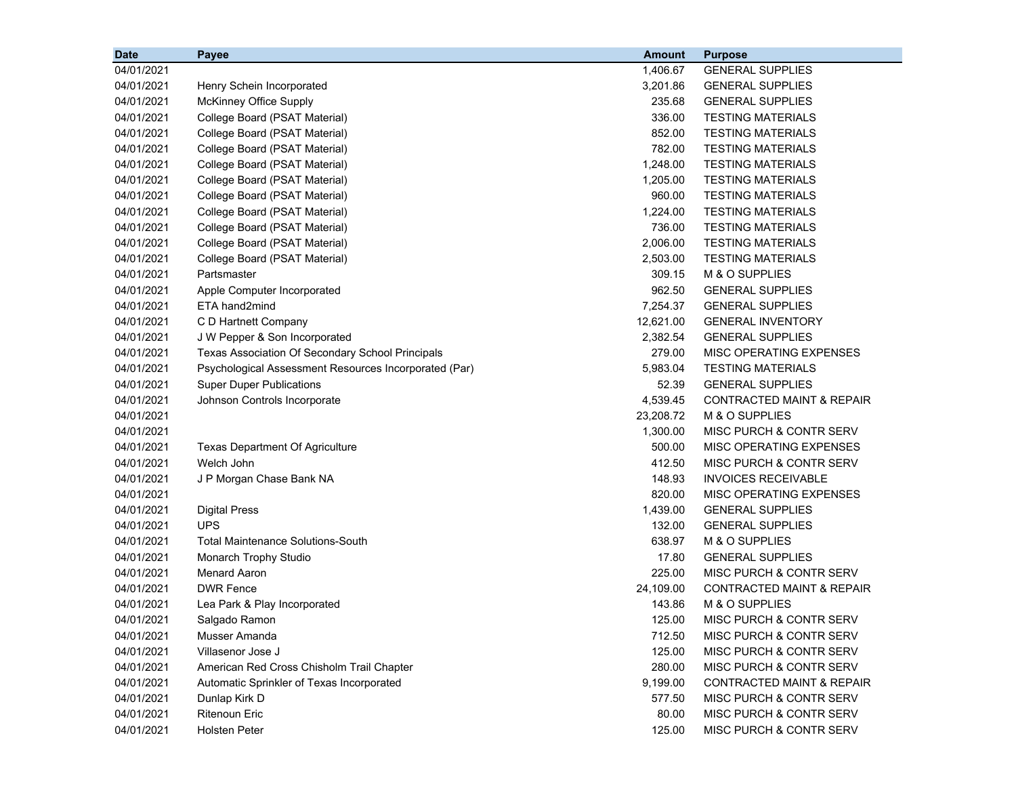| <b>Date</b> | Payee                                                 | <b>Amount</b> | <b>Purpose</b>                       |  |
|-------------|-------------------------------------------------------|---------------|--------------------------------------|--|
| 04/01/2021  |                                                       | 1,406.67      | <b>GENERAL SUPPLIES</b>              |  |
| 04/01/2021  | Henry Schein Incorporated                             | 3,201.86      | <b>GENERAL SUPPLIES</b>              |  |
| 04/01/2021  | McKinney Office Supply                                | 235.68        | <b>GENERAL SUPPLIES</b>              |  |
| 04/01/2021  | College Board (PSAT Material)                         | 336.00        | <b>TESTING MATERIALS</b>             |  |
| 04/01/2021  | College Board (PSAT Material)                         | 852.00        | <b>TESTING MATERIALS</b>             |  |
| 04/01/2021  | College Board (PSAT Material)                         | 782.00        | <b>TESTING MATERIALS</b>             |  |
| 04/01/2021  | College Board (PSAT Material)                         | 1,248.00      | <b>TESTING MATERIALS</b>             |  |
| 04/01/2021  | College Board (PSAT Material)                         | 1,205.00      | <b>TESTING MATERIALS</b>             |  |
| 04/01/2021  | College Board (PSAT Material)                         | 960.00        | <b>TESTING MATERIALS</b>             |  |
| 04/01/2021  | College Board (PSAT Material)                         | 1,224.00      | <b>TESTING MATERIALS</b>             |  |
| 04/01/2021  | College Board (PSAT Material)                         | 736.00        | <b>TESTING MATERIALS</b>             |  |
| 04/01/2021  | College Board (PSAT Material)                         | 2,006.00      | <b>TESTING MATERIALS</b>             |  |
| 04/01/2021  | College Board (PSAT Material)                         | 2,503.00      | <b>TESTING MATERIALS</b>             |  |
| 04/01/2021  | Partsmaster                                           | 309.15        | M & O SUPPLIES                       |  |
| 04/01/2021  | Apple Computer Incorporated                           | 962.50        | <b>GENERAL SUPPLIES</b>              |  |
| 04/01/2021  | ETA hand2mind                                         | 7,254.37      | <b>GENERAL SUPPLIES</b>              |  |
| 04/01/2021  | C D Hartnett Company                                  | 12,621.00     | <b>GENERAL INVENTORY</b>             |  |
| 04/01/2021  | J W Pepper & Son Incorporated                         | 2,382.54      | <b>GENERAL SUPPLIES</b>              |  |
| 04/01/2021  | Texas Association Of Secondary School Principals      | 279.00        | MISC OPERATING EXPENSES              |  |
| 04/01/2021  | Psychological Assessment Resources Incorporated (Par) | 5,983.04      | <b>TESTING MATERIALS</b>             |  |
| 04/01/2021  | <b>Super Duper Publications</b>                       | 52.39         | <b>GENERAL SUPPLIES</b>              |  |
| 04/01/2021  | Johnson Controls Incorporate                          | 4,539.45      | CONTRACTED MAINT & REPAIR            |  |
| 04/01/2021  |                                                       | 23,208.72     | M & O SUPPLIES                       |  |
| 04/01/2021  |                                                       | 1,300.00      | MISC PURCH & CONTR SERV              |  |
| 04/01/2021  | <b>Texas Department Of Agriculture</b>                | 500.00        | MISC OPERATING EXPENSES              |  |
| 04/01/2021  | Welch John                                            | 412.50        | MISC PURCH & CONTR SERV              |  |
| 04/01/2021  | J P Morgan Chase Bank NA                              | 148.93        | <b>INVOICES RECEIVABLE</b>           |  |
| 04/01/2021  |                                                       | 820.00        | MISC OPERATING EXPENSES              |  |
| 04/01/2021  | <b>Digital Press</b>                                  | 1,439.00      | <b>GENERAL SUPPLIES</b>              |  |
| 04/01/2021  | <b>UPS</b>                                            | 132.00        | <b>GENERAL SUPPLIES</b>              |  |
| 04/01/2021  | <b>Total Maintenance Solutions-South</b>              | 638.97        | M & O SUPPLIES                       |  |
| 04/01/2021  | Monarch Trophy Studio                                 | 17.80         | <b>GENERAL SUPPLIES</b>              |  |
| 04/01/2021  | <b>Menard Aaron</b>                                   | 225.00        | MISC PURCH & CONTR SERV              |  |
| 04/01/2021  | <b>DWR Fence</b>                                      | 24,109.00     | <b>CONTRACTED MAINT &amp; REPAIR</b> |  |
| 04/01/2021  | Lea Park & Play Incorporated                          | 143.86        | M & O SUPPLIES                       |  |
| 04/01/2021  | Salgado Ramon                                         | 125.00        | MISC PURCH & CONTR SERV              |  |
| 04/01/2021  | Musser Amanda                                         | 712.50        | MISC PURCH & CONTR SERV              |  |
| 04/01/2021  | Villasenor Jose J                                     | 125.00        | MISC PURCH & CONTR SERV              |  |
| 04/01/2021  | American Red Cross Chisholm Trail Chapter             | 280.00        | MISC PURCH & CONTR SERV              |  |
| 04/01/2021  | Automatic Sprinkler of Texas Incorporated             | 9,199.00      | <b>CONTRACTED MAINT &amp; REPAIR</b> |  |
| 04/01/2021  | Dunlap Kirk D                                         | 577.50        | MISC PURCH & CONTR SERV              |  |
| 04/01/2021  | <b>Ritenoun Eric</b>                                  | 80.00         | MISC PURCH & CONTR SERV              |  |
| 04/01/2021  | <b>Holsten Peter</b>                                  | 125.00        | MISC PURCH & CONTR SERV              |  |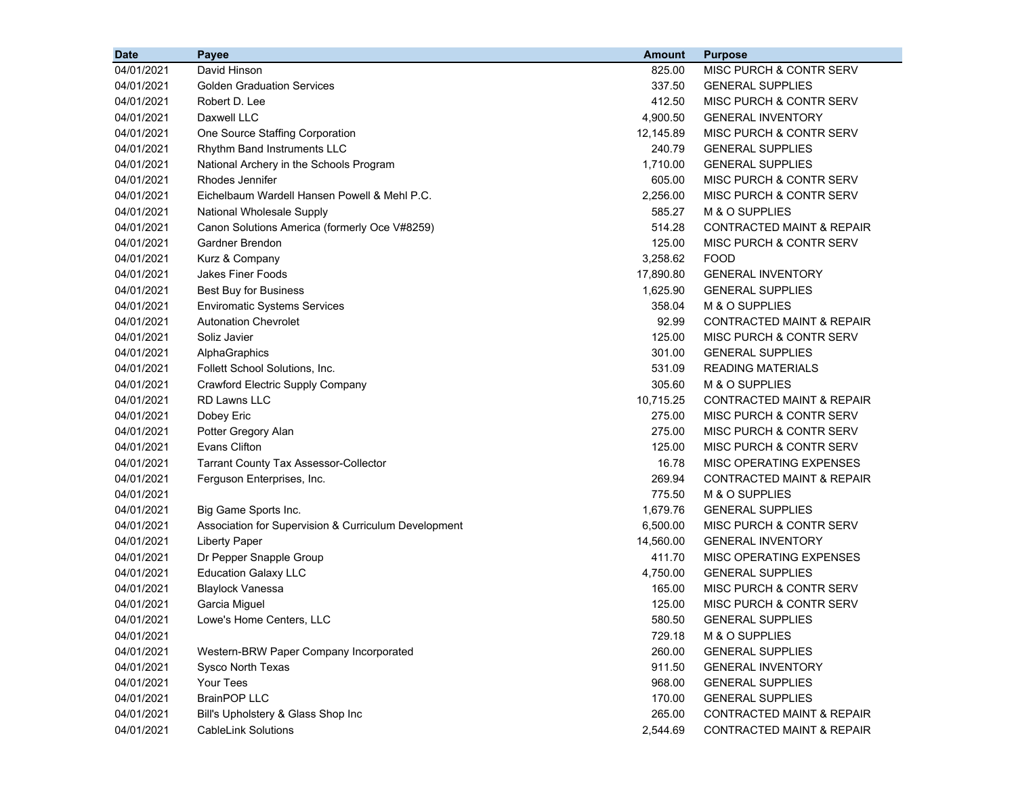| <b>Date</b> | Payee                                                | <b>Amount</b> | <b>Purpose</b>                       |
|-------------|------------------------------------------------------|---------------|--------------------------------------|
| 04/01/2021  | David Hinson                                         | 825.00        | MISC PURCH & CONTR SERV              |
| 04/01/2021  | <b>Golden Graduation Services</b>                    | 337.50        | <b>GENERAL SUPPLIES</b>              |
| 04/01/2021  | Robert D. Lee                                        | 412.50        | MISC PURCH & CONTR SERV              |
| 04/01/2021  | Daxwell LLC                                          | 4,900.50      | <b>GENERAL INVENTORY</b>             |
| 04/01/2021  | One Source Staffing Corporation                      | 12,145.89     | MISC PURCH & CONTR SERV              |
| 04/01/2021  | Rhythm Band Instruments LLC                          | 240.79        | <b>GENERAL SUPPLIES</b>              |
| 04/01/2021  | National Archery in the Schools Program              | 1,710.00      | <b>GENERAL SUPPLIES</b>              |
| 04/01/2021  | Rhodes Jennifer                                      | 605.00        | MISC PURCH & CONTR SERV              |
| 04/01/2021  | Eichelbaum Wardell Hansen Powell & Mehl P.C.         | 2,256.00      | MISC PURCH & CONTR SERV              |
| 04/01/2021  | National Wholesale Supply                            | 585.27        | M & O SUPPLIES                       |
| 04/01/2021  | Canon Solutions America (formerly Oce V#8259)        | 514.28        | <b>CONTRACTED MAINT &amp; REPAIR</b> |
| 04/01/2021  | Gardner Brendon                                      | 125.00        | MISC PURCH & CONTR SERV              |
| 04/01/2021  | Kurz & Company                                       | 3,258.62      | FOOD                                 |
| 04/01/2021  | <b>Jakes Finer Foods</b>                             | 17,890.80     | <b>GENERAL INVENTORY</b>             |
| 04/01/2021  | <b>Best Buy for Business</b>                         | 1,625.90      | <b>GENERAL SUPPLIES</b>              |
| 04/01/2021  | <b>Enviromatic Systems Services</b>                  | 358.04        | M & O SUPPLIES                       |
| 04/01/2021  | <b>Autonation Chevrolet</b>                          | 92.99         | <b>CONTRACTED MAINT &amp; REPAIR</b> |
| 04/01/2021  | Soliz Javier                                         | 125.00        | MISC PURCH & CONTR SERV              |
| 04/01/2021  | AlphaGraphics                                        | 301.00        | <b>GENERAL SUPPLIES</b>              |
| 04/01/2021  | Follett School Solutions, Inc.                       | 531.09        | <b>READING MATERIALS</b>             |
| 04/01/2021  | <b>Crawford Electric Supply Company</b>              | 305.60        | M & O SUPPLIES                       |
| 04/01/2021  | <b>RD Lawns LLC</b>                                  | 10,715.25     | <b>CONTRACTED MAINT &amp; REPAIR</b> |
| 04/01/2021  | Dobey Eric                                           | 275.00        | MISC PURCH & CONTR SERV              |
| 04/01/2021  | Potter Gregory Alan                                  | 275.00        | MISC PURCH & CONTR SERV              |
| 04/01/2021  | <b>Evans Clifton</b>                                 | 125.00        | MISC PURCH & CONTR SERV              |
| 04/01/2021  | <b>Tarrant County Tax Assessor-Collector</b>         | 16.78         | MISC OPERATING EXPENSES              |
| 04/01/2021  | Ferguson Enterprises, Inc.                           | 269.94        | <b>CONTRACTED MAINT &amp; REPAIR</b> |
| 04/01/2021  |                                                      | 775.50        | M & O SUPPLIES                       |
| 04/01/2021  | Big Game Sports Inc.                                 | 1,679.76      | <b>GENERAL SUPPLIES</b>              |
| 04/01/2021  | Association for Supervision & Curriculum Development | 6,500.00      | MISC PURCH & CONTR SERV              |
| 04/01/2021  | <b>Liberty Paper</b>                                 | 14,560.00     | <b>GENERAL INVENTORY</b>             |
| 04/01/2021  | Dr Pepper Snapple Group                              | 411.70        | MISC OPERATING EXPENSES              |
| 04/01/2021  | <b>Education Galaxy LLC</b>                          | 4,750.00      | <b>GENERAL SUPPLIES</b>              |
| 04/01/2021  | <b>Blaylock Vanessa</b>                              | 165.00        | MISC PURCH & CONTR SERV              |
| 04/01/2021  | Garcia Miguel                                        | 125.00        | MISC PURCH & CONTR SERV              |
| 04/01/2021  | Lowe's Home Centers, LLC                             | 580.50        | <b>GENERAL SUPPLIES</b>              |
| 04/01/2021  |                                                      | 729.18        | M & O SUPPLIES                       |
| 04/01/2021  | Western-BRW Paper Company Incorporated               | 260.00        | <b>GENERAL SUPPLIES</b>              |
| 04/01/2021  | <b>Sysco North Texas</b>                             | 911.50        | <b>GENERAL INVENTORY</b>             |
| 04/01/2021  | Your Tees                                            | 968.00        | <b>GENERAL SUPPLIES</b>              |
| 04/01/2021  | <b>BrainPOP LLC</b>                                  | 170.00        | <b>GENERAL SUPPLIES</b>              |
| 04/01/2021  | Bill's Upholstery & Glass Shop Inc                   | 265.00        | <b>CONTRACTED MAINT &amp; REPAIR</b> |
| 04/01/2021  | <b>CableLink Solutions</b>                           | 2,544.69      | <b>CONTRACTED MAINT &amp; REPAIR</b> |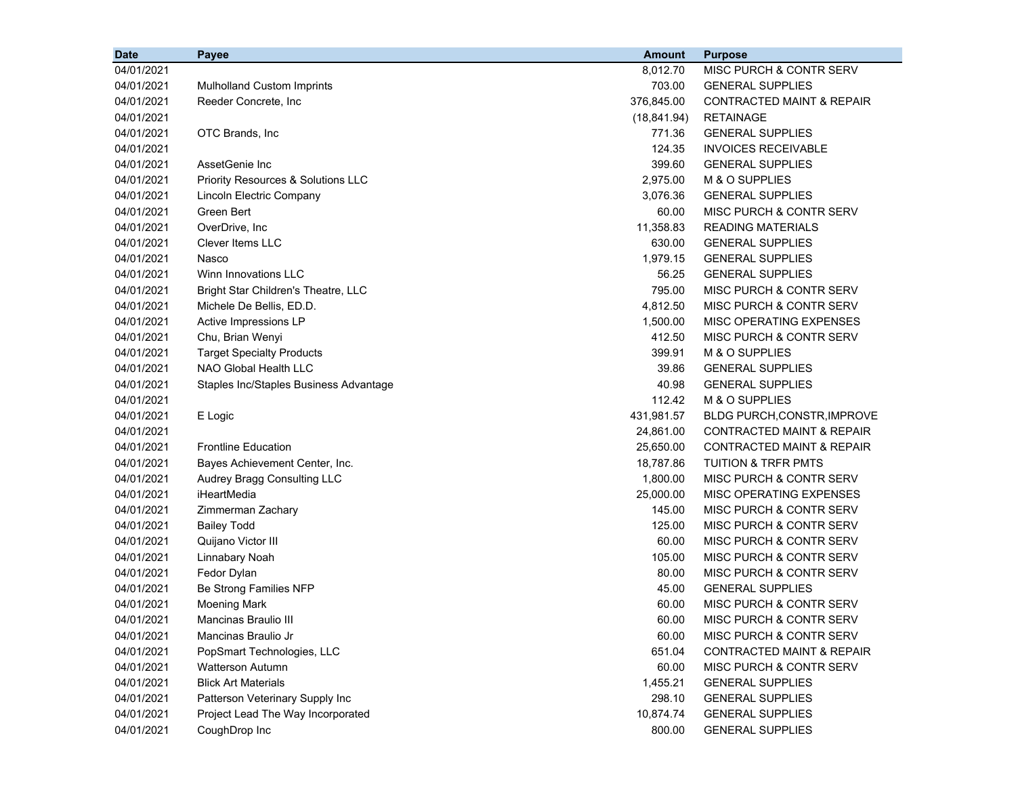| <b>Date</b> | Payee                                  | <b>Amount</b> | <b>Purpose</b>                       |
|-------------|----------------------------------------|---------------|--------------------------------------|
| 04/01/2021  |                                        | 8,012.70      | MISC PURCH & CONTR SERV              |
| 04/01/2021  | <b>Mulholland Custom Imprints</b>      | 703.00        | <b>GENERAL SUPPLIES</b>              |
| 04/01/2021  | Reeder Concrete, Inc                   | 376,845.00    | <b>CONTRACTED MAINT &amp; REPAIR</b> |
| 04/01/2021  |                                        | (18, 841.94)  | <b>RETAINAGE</b>                     |
| 04/01/2021  | OTC Brands, Inc                        | 771.36        | <b>GENERAL SUPPLIES</b>              |
| 04/01/2021  |                                        | 124.35        | <b>INVOICES RECEIVABLE</b>           |
| 04/01/2021  | AssetGenie Inc                         | 399.60        | <b>GENERAL SUPPLIES</b>              |
| 04/01/2021  | Priority Resources & Solutions LLC     | 2,975.00      | M & O SUPPLIES                       |
| 04/01/2021  | Lincoln Electric Company               | 3,076.36      | <b>GENERAL SUPPLIES</b>              |
| 04/01/2021  | Green Bert                             | 60.00         | MISC PURCH & CONTR SERV              |
| 04/01/2021  | OverDrive, Inc                         | 11,358.83     | <b>READING MATERIALS</b>             |
| 04/01/2021  | Clever Items LLC                       | 630.00        | <b>GENERAL SUPPLIES</b>              |
| 04/01/2021  | Nasco                                  | 1,979.15      | <b>GENERAL SUPPLIES</b>              |
| 04/01/2021  | Winn Innovations LLC                   | 56.25         | <b>GENERAL SUPPLIES</b>              |
| 04/01/2021  | Bright Star Children's Theatre, LLC    | 795.00        | MISC PURCH & CONTR SERV              |
| 04/01/2021  | Michele De Bellis, ED.D.               | 4,812.50      | MISC PURCH & CONTR SERV              |
| 04/01/2021  | Active Impressions LP                  | 1,500.00      | MISC OPERATING EXPENSES              |
| 04/01/2021  | Chu, Brian Wenyi                       | 412.50        | MISC PURCH & CONTR SERV              |
| 04/01/2021  | <b>Target Specialty Products</b>       | 399.91        | M & O SUPPLIES                       |
| 04/01/2021  | NAO Global Health LLC                  | 39.86         | <b>GENERAL SUPPLIES</b>              |
| 04/01/2021  | Staples Inc/Staples Business Advantage | 40.98         | <b>GENERAL SUPPLIES</b>              |
| 04/01/2021  |                                        | 112.42        | M & O SUPPLIES                       |
| 04/01/2021  | E Logic                                | 431,981.57    | BLDG PURCH, CONSTR, IMPROVE          |
| 04/01/2021  |                                        | 24,861.00     | <b>CONTRACTED MAINT &amp; REPAIR</b> |
| 04/01/2021  | <b>Frontline Education</b>             | 25,650.00     | <b>CONTRACTED MAINT &amp; REPAIR</b> |
| 04/01/2021  | Bayes Achievement Center, Inc.         | 18,787.86     | <b>TUITION &amp; TRFR PMTS</b>       |
| 04/01/2021  | Audrey Bragg Consulting LLC            | 1,800.00      | MISC PURCH & CONTR SERV              |
| 04/01/2021  | iHeartMedia                            | 25,000.00     | MISC OPERATING EXPENSES              |
| 04/01/2021  | Zimmerman Zachary                      | 145.00        | MISC PURCH & CONTR SERV              |
| 04/01/2021  | <b>Bailey Todd</b>                     | 125.00        | MISC PURCH & CONTR SERV              |
| 04/01/2021  | Quijano Victor III                     | 60.00         | MISC PURCH & CONTR SERV              |
| 04/01/2021  | Linnabary Noah                         | 105.00        | MISC PURCH & CONTR SERV              |
| 04/01/2021  | Fedor Dylan                            | 80.00         | MISC PURCH & CONTR SERV              |
| 04/01/2021  | Be Strong Families NFP                 | 45.00         | <b>GENERAL SUPPLIES</b>              |
| 04/01/2021  | <b>Moening Mark</b>                    | 60.00         | MISC PURCH & CONTR SERV              |
| 04/01/2021  | Mancinas Braulio III                   | 60.00         | MISC PURCH & CONTR SERV              |
| 04/01/2021  | Mancinas Braulio Jr                    | 60.00         | MISC PURCH & CONTR SERV              |
| 04/01/2021  | PopSmart Technologies, LLC             | 651.04        | <b>CONTRACTED MAINT &amp; REPAIR</b> |
| 04/01/2021  | <b>Watterson Autumn</b>                | 60.00         | MISC PURCH & CONTR SERV              |
| 04/01/2021  | <b>Blick Art Materials</b>             | 1,455.21      | <b>GENERAL SUPPLIES</b>              |
| 04/01/2021  | Patterson Veterinary Supply Inc        | 298.10        | <b>GENERAL SUPPLIES</b>              |
| 04/01/2021  | Project Lead The Way Incorporated      | 10,874.74     | <b>GENERAL SUPPLIES</b>              |
| 04/01/2021  | CoughDrop Inc                          | 800.00        | <b>GENERAL SUPPLIES</b>              |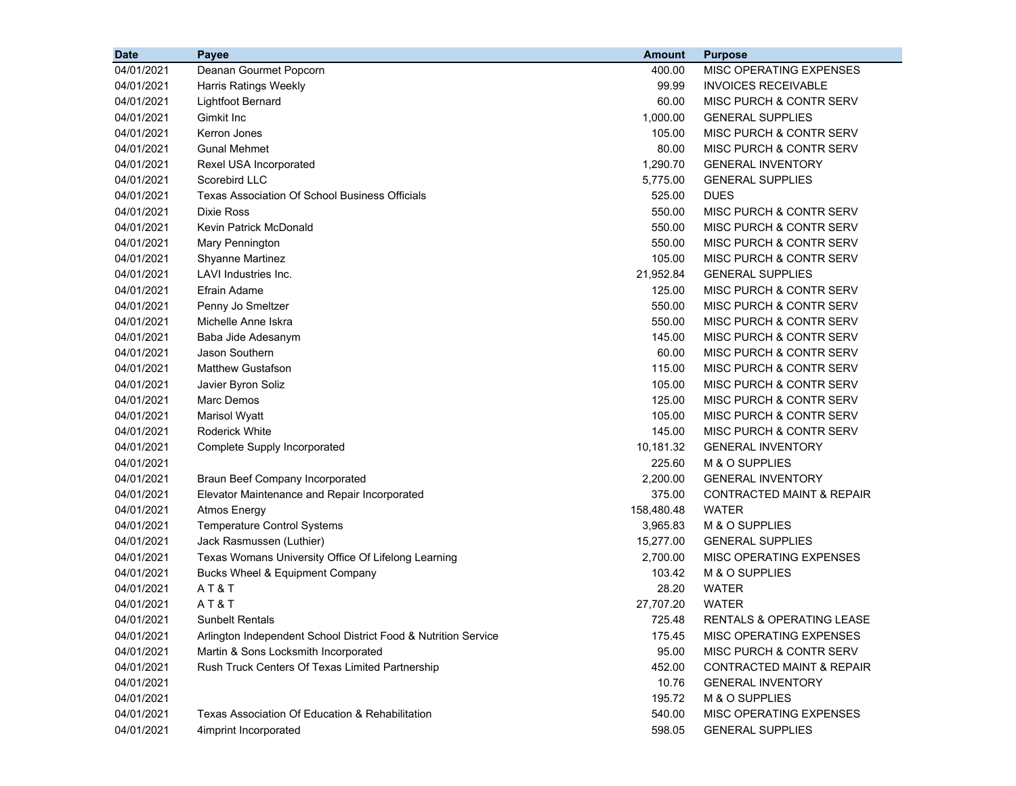| 04/01/2021<br>Deanan Gourmet Popcorn<br>400.00<br>MISC OPERATING EXPENSES<br>04/01/2021<br>99.99<br><b>INVOICES RECEIVABLE</b><br>Harris Ratings Weekly<br>Lightfoot Bernard<br>60.00<br>MISC PURCH & CONTR SERV<br>04/01/2021<br>Gimkit Inc<br>1,000.00<br><b>GENERAL SUPPLIES</b><br>04/01/2021<br>Kerron Jones<br>105.00<br>MISC PURCH & CONTR SERV<br>04/01/2021<br><b>Gunal Mehmet</b><br>80.00<br>MISC PURCH & CONTR SERV<br>04/01/2021<br>Rexel USA Incorporated<br>1,290.70<br><b>GENERAL INVENTORY</b><br>04/01/2021<br>Scorebird LLC<br>04/01/2021<br>5,775.00<br><b>GENERAL SUPPLIES</b><br><b>Texas Association Of School Business Officials</b><br>525.00<br><b>DUES</b><br>04/01/2021<br>Dixie Ross<br>550.00<br>MISC PURCH & CONTR SERV<br>04/01/2021<br>Kevin Patrick McDonald<br>550.00<br>MISC PURCH & CONTR SERV<br>04/01/2021<br>550.00<br>MISC PURCH & CONTR SERV<br>04/01/2021<br>Mary Pennington<br>105.00<br>MISC PURCH & CONTR SERV<br>04/01/2021<br><b>Shyanne Martinez</b><br>LAVI Industries Inc.<br>21,952.84<br><b>GENERAL SUPPLIES</b><br>04/01/2021<br>Efrain Adame<br>125.00<br>MISC PURCH & CONTR SERV<br>04/01/2021<br>Penny Jo Smeltzer<br>550.00<br><b>MISC PURCH &amp; CONTR SERV</b><br>04/01/2021<br>Michelle Anne Iskra<br>550.00<br>MISC PURCH & CONTR SERV<br>04/01/2021<br>145.00<br>MISC PURCH & CONTR SERV<br>04/01/2021<br>Baba Jide Adesanym<br>04/01/2021<br>Jason Southern<br>60.00<br>MISC PURCH & CONTR SERV<br>Matthew Gustafson<br>115.00<br>MISC PURCH & CONTR SERV<br>04/01/2021<br>04/01/2021<br>Javier Byron Soliz<br>105.00<br>MISC PURCH & CONTR SERV<br>04/01/2021<br>Marc Demos<br>125.00<br>MISC PURCH & CONTR SERV<br>04/01/2021<br>Marisol Wyatt<br>105.00<br><b>MISC PURCH &amp; CONTR SERV</b><br><b>Roderick White</b><br>145.00<br>MISC PURCH & CONTR SERV<br>04/01/2021<br>10,181.32<br><b>GENERAL INVENTORY</b><br>04/01/2021<br>Complete Supply Incorporated<br>225.60<br>M & O SUPPLIES<br>04/01/2021<br>2,200.00<br><b>GENERAL INVENTORY</b><br>04/01/2021<br>Braun Beef Company Incorporated<br>375.00<br><b>CONTRACTED MAINT &amp; REPAIR</b><br>04/01/2021<br>Elevator Maintenance and Repair Incorporated<br>158,480.48<br><b>WATER</b><br>04/01/2021<br><b>Atmos Energy</b><br>M & O SUPPLIES<br>04/01/2021<br><b>Temperature Control Systems</b><br>3,965.83<br>15,277.00<br><b>GENERAL SUPPLIES</b><br>04/01/2021<br>Jack Rasmussen (Luthier)<br>Texas Womans University Office Of Lifelong Learning<br>2,700.00<br>MISC OPERATING EXPENSES<br>04/01/2021<br>M & O SUPPLIES<br>04/01/2021<br>Bucks Wheel & Equipment Company<br>103.42<br>AT&T<br>28.20<br><b>WATER</b><br>04/01/2021<br>AT&T<br>04/01/2021<br>27,707.20<br><b>WATER</b><br>04/01/2021<br><b>Sunbelt Rentals</b><br>725.48<br>RENTALS & OPERATING LEASE<br>MISC OPERATING EXPENSES<br>04/01/2021<br>Arlington Independent School District Food & Nutrition Service<br>175.45<br>04/01/2021<br>Martin & Sons Locksmith Incorporated<br>95.00<br>MISC PURCH & CONTR SERV<br>04/01/2021<br>Rush Truck Centers Of Texas Limited Partnership<br>452.00<br><b>CONTRACTED MAINT &amp; REPAIR</b><br>04/01/2021<br>10.76<br><b>GENERAL INVENTORY</b><br>M & O SUPPLIES<br>04/01/2021<br>195.72<br>04/01/2021<br>540.00<br>MISC OPERATING EXPENSES<br>Texas Association Of Education & Rehabilitation | <b>Date</b> | Payee                 | <b>Amount</b> | <b>Purpose</b>          |
|-----------------------------------------------------------------------------------------------------------------------------------------------------------------------------------------------------------------------------------------------------------------------------------------------------------------------------------------------------------------------------------------------------------------------------------------------------------------------------------------------------------------------------------------------------------------------------------------------------------------------------------------------------------------------------------------------------------------------------------------------------------------------------------------------------------------------------------------------------------------------------------------------------------------------------------------------------------------------------------------------------------------------------------------------------------------------------------------------------------------------------------------------------------------------------------------------------------------------------------------------------------------------------------------------------------------------------------------------------------------------------------------------------------------------------------------------------------------------------------------------------------------------------------------------------------------------------------------------------------------------------------------------------------------------------------------------------------------------------------------------------------------------------------------------------------------------------------------------------------------------------------------------------------------------------------------------------------------------------------------------------------------------------------------------------------------------------------------------------------------------------------------------------------------------------------------------------------------------------------------------------------------------------------------------------------------------------------------------------------------------------------------------------------------------------------------------------------------------------------------------------------------------------------------------------------------------------------------------------------------------------------------------------------------------------------------------------------------------------------------------------------------------------------------------------------------------------------------------------------------------------------------------------------------------------------------------------------------------------------------------------------------------------------------------------------------------------------------------------------------------------------------------------------------------------------------------------------------------------------------------------------------------------------------------------------------------------------------------|-------------|-----------------------|---------------|-------------------------|
|                                                                                                                                                                                                                                                                                                                                                                                                                                                                                                                                                                                                                                                                                                                                                                                                                                                                                                                                                                                                                                                                                                                                                                                                                                                                                                                                                                                                                                                                                                                                                                                                                                                                                                                                                                                                                                                                                                                                                                                                                                                                                                                                                                                                                                                                                                                                                                                                                                                                                                                                                                                                                                                                                                                                                                                                                                                                                                                                                                                                                                                                                                                                                                                                                                                                                                                                               |             |                       |               |                         |
|                                                                                                                                                                                                                                                                                                                                                                                                                                                                                                                                                                                                                                                                                                                                                                                                                                                                                                                                                                                                                                                                                                                                                                                                                                                                                                                                                                                                                                                                                                                                                                                                                                                                                                                                                                                                                                                                                                                                                                                                                                                                                                                                                                                                                                                                                                                                                                                                                                                                                                                                                                                                                                                                                                                                                                                                                                                                                                                                                                                                                                                                                                                                                                                                                                                                                                                                               |             |                       |               |                         |
|                                                                                                                                                                                                                                                                                                                                                                                                                                                                                                                                                                                                                                                                                                                                                                                                                                                                                                                                                                                                                                                                                                                                                                                                                                                                                                                                                                                                                                                                                                                                                                                                                                                                                                                                                                                                                                                                                                                                                                                                                                                                                                                                                                                                                                                                                                                                                                                                                                                                                                                                                                                                                                                                                                                                                                                                                                                                                                                                                                                                                                                                                                                                                                                                                                                                                                                                               |             |                       |               |                         |
|                                                                                                                                                                                                                                                                                                                                                                                                                                                                                                                                                                                                                                                                                                                                                                                                                                                                                                                                                                                                                                                                                                                                                                                                                                                                                                                                                                                                                                                                                                                                                                                                                                                                                                                                                                                                                                                                                                                                                                                                                                                                                                                                                                                                                                                                                                                                                                                                                                                                                                                                                                                                                                                                                                                                                                                                                                                                                                                                                                                                                                                                                                                                                                                                                                                                                                                                               |             |                       |               |                         |
|                                                                                                                                                                                                                                                                                                                                                                                                                                                                                                                                                                                                                                                                                                                                                                                                                                                                                                                                                                                                                                                                                                                                                                                                                                                                                                                                                                                                                                                                                                                                                                                                                                                                                                                                                                                                                                                                                                                                                                                                                                                                                                                                                                                                                                                                                                                                                                                                                                                                                                                                                                                                                                                                                                                                                                                                                                                                                                                                                                                                                                                                                                                                                                                                                                                                                                                                               |             |                       |               |                         |
|                                                                                                                                                                                                                                                                                                                                                                                                                                                                                                                                                                                                                                                                                                                                                                                                                                                                                                                                                                                                                                                                                                                                                                                                                                                                                                                                                                                                                                                                                                                                                                                                                                                                                                                                                                                                                                                                                                                                                                                                                                                                                                                                                                                                                                                                                                                                                                                                                                                                                                                                                                                                                                                                                                                                                                                                                                                                                                                                                                                                                                                                                                                                                                                                                                                                                                                                               |             |                       |               |                         |
|                                                                                                                                                                                                                                                                                                                                                                                                                                                                                                                                                                                                                                                                                                                                                                                                                                                                                                                                                                                                                                                                                                                                                                                                                                                                                                                                                                                                                                                                                                                                                                                                                                                                                                                                                                                                                                                                                                                                                                                                                                                                                                                                                                                                                                                                                                                                                                                                                                                                                                                                                                                                                                                                                                                                                                                                                                                                                                                                                                                                                                                                                                                                                                                                                                                                                                                                               |             |                       |               |                         |
|                                                                                                                                                                                                                                                                                                                                                                                                                                                                                                                                                                                                                                                                                                                                                                                                                                                                                                                                                                                                                                                                                                                                                                                                                                                                                                                                                                                                                                                                                                                                                                                                                                                                                                                                                                                                                                                                                                                                                                                                                                                                                                                                                                                                                                                                                                                                                                                                                                                                                                                                                                                                                                                                                                                                                                                                                                                                                                                                                                                                                                                                                                                                                                                                                                                                                                                                               |             |                       |               |                         |
|                                                                                                                                                                                                                                                                                                                                                                                                                                                                                                                                                                                                                                                                                                                                                                                                                                                                                                                                                                                                                                                                                                                                                                                                                                                                                                                                                                                                                                                                                                                                                                                                                                                                                                                                                                                                                                                                                                                                                                                                                                                                                                                                                                                                                                                                                                                                                                                                                                                                                                                                                                                                                                                                                                                                                                                                                                                                                                                                                                                                                                                                                                                                                                                                                                                                                                                                               |             |                       |               |                         |
|                                                                                                                                                                                                                                                                                                                                                                                                                                                                                                                                                                                                                                                                                                                                                                                                                                                                                                                                                                                                                                                                                                                                                                                                                                                                                                                                                                                                                                                                                                                                                                                                                                                                                                                                                                                                                                                                                                                                                                                                                                                                                                                                                                                                                                                                                                                                                                                                                                                                                                                                                                                                                                                                                                                                                                                                                                                                                                                                                                                                                                                                                                                                                                                                                                                                                                                                               |             |                       |               |                         |
|                                                                                                                                                                                                                                                                                                                                                                                                                                                                                                                                                                                                                                                                                                                                                                                                                                                                                                                                                                                                                                                                                                                                                                                                                                                                                                                                                                                                                                                                                                                                                                                                                                                                                                                                                                                                                                                                                                                                                                                                                                                                                                                                                                                                                                                                                                                                                                                                                                                                                                                                                                                                                                                                                                                                                                                                                                                                                                                                                                                                                                                                                                                                                                                                                                                                                                                                               |             |                       |               |                         |
|                                                                                                                                                                                                                                                                                                                                                                                                                                                                                                                                                                                                                                                                                                                                                                                                                                                                                                                                                                                                                                                                                                                                                                                                                                                                                                                                                                                                                                                                                                                                                                                                                                                                                                                                                                                                                                                                                                                                                                                                                                                                                                                                                                                                                                                                                                                                                                                                                                                                                                                                                                                                                                                                                                                                                                                                                                                                                                                                                                                                                                                                                                                                                                                                                                                                                                                                               |             |                       |               |                         |
|                                                                                                                                                                                                                                                                                                                                                                                                                                                                                                                                                                                                                                                                                                                                                                                                                                                                                                                                                                                                                                                                                                                                                                                                                                                                                                                                                                                                                                                                                                                                                                                                                                                                                                                                                                                                                                                                                                                                                                                                                                                                                                                                                                                                                                                                                                                                                                                                                                                                                                                                                                                                                                                                                                                                                                                                                                                                                                                                                                                                                                                                                                                                                                                                                                                                                                                                               |             |                       |               |                         |
|                                                                                                                                                                                                                                                                                                                                                                                                                                                                                                                                                                                                                                                                                                                                                                                                                                                                                                                                                                                                                                                                                                                                                                                                                                                                                                                                                                                                                                                                                                                                                                                                                                                                                                                                                                                                                                                                                                                                                                                                                                                                                                                                                                                                                                                                                                                                                                                                                                                                                                                                                                                                                                                                                                                                                                                                                                                                                                                                                                                                                                                                                                                                                                                                                                                                                                                                               |             |                       |               |                         |
|                                                                                                                                                                                                                                                                                                                                                                                                                                                                                                                                                                                                                                                                                                                                                                                                                                                                                                                                                                                                                                                                                                                                                                                                                                                                                                                                                                                                                                                                                                                                                                                                                                                                                                                                                                                                                                                                                                                                                                                                                                                                                                                                                                                                                                                                                                                                                                                                                                                                                                                                                                                                                                                                                                                                                                                                                                                                                                                                                                                                                                                                                                                                                                                                                                                                                                                                               |             |                       |               |                         |
|                                                                                                                                                                                                                                                                                                                                                                                                                                                                                                                                                                                                                                                                                                                                                                                                                                                                                                                                                                                                                                                                                                                                                                                                                                                                                                                                                                                                                                                                                                                                                                                                                                                                                                                                                                                                                                                                                                                                                                                                                                                                                                                                                                                                                                                                                                                                                                                                                                                                                                                                                                                                                                                                                                                                                                                                                                                                                                                                                                                                                                                                                                                                                                                                                                                                                                                                               |             |                       |               |                         |
|                                                                                                                                                                                                                                                                                                                                                                                                                                                                                                                                                                                                                                                                                                                                                                                                                                                                                                                                                                                                                                                                                                                                                                                                                                                                                                                                                                                                                                                                                                                                                                                                                                                                                                                                                                                                                                                                                                                                                                                                                                                                                                                                                                                                                                                                                                                                                                                                                                                                                                                                                                                                                                                                                                                                                                                                                                                                                                                                                                                                                                                                                                                                                                                                                                                                                                                                               |             |                       |               |                         |
|                                                                                                                                                                                                                                                                                                                                                                                                                                                                                                                                                                                                                                                                                                                                                                                                                                                                                                                                                                                                                                                                                                                                                                                                                                                                                                                                                                                                                                                                                                                                                                                                                                                                                                                                                                                                                                                                                                                                                                                                                                                                                                                                                                                                                                                                                                                                                                                                                                                                                                                                                                                                                                                                                                                                                                                                                                                                                                                                                                                                                                                                                                                                                                                                                                                                                                                                               |             |                       |               |                         |
|                                                                                                                                                                                                                                                                                                                                                                                                                                                                                                                                                                                                                                                                                                                                                                                                                                                                                                                                                                                                                                                                                                                                                                                                                                                                                                                                                                                                                                                                                                                                                                                                                                                                                                                                                                                                                                                                                                                                                                                                                                                                                                                                                                                                                                                                                                                                                                                                                                                                                                                                                                                                                                                                                                                                                                                                                                                                                                                                                                                                                                                                                                                                                                                                                                                                                                                                               |             |                       |               |                         |
|                                                                                                                                                                                                                                                                                                                                                                                                                                                                                                                                                                                                                                                                                                                                                                                                                                                                                                                                                                                                                                                                                                                                                                                                                                                                                                                                                                                                                                                                                                                                                                                                                                                                                                                                                                                                                                                                                                                                                                                                                                                                                                                                                                                                                                                                                                                                                                                                                                                                                                                                                                                                                                                                                                                                                                                                                                                                                                                                                                                                                                                                                                                                                                                                                                                                                                                                               |             |                       |               |                         |
|                                                                                                                                                                                                                                                                                                                                                                                                                                                                                                                                                                                                                                                                                                                                                                                                                                                                                                                                                                                                                                                                                                                                                                                                                                                                                                                                                                                                                                                                                                                                                                                                                                                                                                                                                                                                                                                                                                                                                                                                                                                                                                                                                                                                                                                                                                                                                                                                                                                                                                                                                                                                                                                                                                                                                                                                                                                                                                                                                                                                                                                                                                                                                                                                                                                                                                                                               |             |                       |               |                         |
|                                                                                                                                                                                                                                                                                                                                                                                                                                                                                                                                                                                                                                                                                                                                                                                                                                                                                                                                                                                                                                                                                                                                                                                                                                                                                                                                                                                                                                                                                                                                                                                                                                                                                                                                                                                                                                                                                                                                                                                                                                                                                                                                                                                                                                                                                                                                                                                                                                                                                                                                                                                                                                                                                                                                                                                                                                                                                                                                                                                                                                                                                                                                                                                                                                                                                                                                               |             |                       |               |                         |
|                                                                                                                                                                                                                                                                                                                                                                                                                                                                                                                                                                                                                                                                                                                                                                                                                                                                                                                                                                                                                                                                                                                                                                                                                                                                                                                                                                                                                                                                                                                                                                                                                                                                                                                                                                                                                                                                                                                                                                                                                                                                                                                                                                                                                                                                                                                                                                                                                                                                                                                                                                                                                                                                                                                                                                                                                                                                                                                                                                                                                                                                                                                                                                                                                                                                                                                                               |             |                       |               |                         |
|                                                                                                                                                                                                                                                                                                                                                                                                                                                                                                                                                                                                                                                                                                                                                                                                                                                                                                                                                                                                                                                                                                                                                                                                                                                                                                                                                                                                                                                                                                                                                                                                                                                                                                                                                                                                                                                                                                                                                                                                                                                                                                                                                                                                                                                                                                                                                                                                                                                                                                                                                                                                                                                                                                                                                                                                                                                                                                                                                                                                                                                                                                                                                                                                                                                                                                                                               |             |                       |               |                         |
|                                                                                                                                                                                                                                                                                                                                                                                                                                                                                                                                                                                                                                                                                                                                                                                                                                                                                                                                                                                                                                                                                                                                                                                                                                                                                                                                                                                                                                                                                                                                                                                                                                                                                                                                                                                                                                                                                                                                                                                                                                                                                                                                                                                                                                                                                                                                                                                                                                                                                                                                                                                                                                                                                                                                                                                                                                                                                                                                                                                                                                                                                                                                                                                                                                                                                                                                               |             |                       |               |                         |
|                                                                                                                                                                                                                                                                                                                                                                                                                                                                                                                                                                                                                                                                                                                                                                                                                                                                                                                                                                                                                                                                                                                                                                                                                                                                                                                                                                                                                                                                                                                                                                                                                                                                                                                                                                                                                                                                                                                                                                                                                                                                                                                                                                                                                                                                                                                                                                                                                                                                                                                                                                                                                                                                                                                                                                                                                                                                                                                                                                                                                                                                                                                                                                                                                                                                                                                                               |             |                       |               |                         |
|                                                                                                                                                                                                                                                                                                                                                                                                                                                                                                                                                                                                                                                                                                                                                                                                                                                                                                                                                                                                                                                                                                                                                                                                                                                                                                                                                                                                                                                                                                                                                                                                                                                                                                                                                                                                                                                                                                                                                                                                                                                                                                                                                                                                                                                                                                                                                                                                                                                                                                                                                                                                                                                                                                                                                                                                                                                                                                                                                                                                                                                                                                                                                                                                                                                                                                                                               |             |                       |               |                         |
|                                                                                                                                                                                                                                                                                                                                                                                                                                                                                                                                                                                                                                                                                                                                                                                                                                                                                                                                                                                                                                                                                                                                                                                                                                                                                                                                                                                                                                                                                                                                                                                                                                                                                                                                                                                                                                                                                                                                                                                                                                                                                                                                                                                                                                                                                                                                                                                                                                                                                                                                                                                                                                                                                                                                                                                                                                                                                                                                                                                                                                                                                                                                                                                                                                                                                                                                               |             |                       |               |                         |
|                                                                                                                                                                                                                                                                                                                                                                                                                                                                                                                                                                                                                                                                                                                                                                                                                                                                                                                                                                                                                                                                                                                                                                                                                                                                                                                                                                                                                                                                                                                                                                                                                                                                                                                                                                                                                                                                                                                                                                                                                                                                                                                                                                                                                                                                                                                                                                                                                                                                                                                                                                                                                                                                                                                                                                                                                                                                                                                                                                                                                                                                                                                                                                                                                                                                                                                                               |             |                       |               |                         |
|                                                                                                                                                                                                                                                                                                                                                                                                                                                                                                                                                                                                                                                                                                                                                                                                                                                                                                                                                                                                                                                                                                                                                                                                                                                                                                                                                                                                                                                                                                                                                                                                                                                                                                                                                                                                                                                                                                                                                                                                                                                                                                                                                                                                                                                                                                                                                                                                                                                                                                                                                                                                                                                                                                                                                                                                                                                                                                                                                                                                                                                                                                                                                                                                                                                                                                                                               |             |                       |               |                         |
|                                                                                                                                                                                                                                                                                                                                                                                                                                                                                                                                                                                                                                                                                                                                                                                                                                                                                                                                                                                                                                                                                                                                                                                                                                                                                                                                                                                                                                                                                                                                                                                                                                                                                                                                                                                                                                                                                                                                                                                                                                                                                                                                                                                                                                                                                                                                                                                                                                                                                                                                                                                                                                                                                                                                                                                                                                                                                                                                                                                                                                                                                                                                                                                                                                                                                                                                               |             |                       |               |                         |
|                                                                                                                                                                                                                                                                                                                                                                                                                                                                                                                                                                                                                                                                                                                                                                                                                                                                                                                                                                                                                                                                                                                                                                                                                                                                                                                                                                                                                                                                                                                                                                                                                                                                                                                                                                                                                                                                                                                                                                                                                                                                                                                                                                                                                                                                                                                                                                                                                                                                                                                                                                                                                                                                                                                                                                                                                                                                                                                                                                                                                                                                                                                                                                                                                                                                                                                                               |             |                       |               |                         |
|                                                                                                                                                                                                                                                                                                                                                                                                                                                                                                                                                                                                                                                                                                                                                                                                                                                                                                                                                                                                                                                                                                                                                                                                                                                                                                                                                                                                                                                                                                                                                                                                                                                                                                                                                                                                                                                                                                                                                                                                                                                                                                                                                                                                                                                                                                                                                                                                                                                                                                                                                                                                                                                                                                                                                                                                                                                                                                                                                                                                                                                                                                                                                                                                                                                                                                                                               |             |                       |               |                         |
|                                                                                                                                                                                                                                                                                                                                                                                                                                                                                                                                                                                                                                                                                                                                                                                                                                                                                                                                                                                                                                                                                                                                                                                                                                                                                                                                                                                                                                                                                                                                                                                                                                                                                                                                                                                                                                                                                                                                                                                                                                                                                                                                                                                                                                                                                                                                                                                                                                                                                                                                                                                                                                                                                                                                                                                                                                                                                                                                                                                                                                                                                                                                                                                                                                                                                                                                               |             |                       |               |                         |
|                                                                                                                                                                                                                                                                                                                                                                                                                                                                                                                                                                                                                                                                                                                                                                                                                                                                                                                                                                                                                                                                                                                                                                                                                                                                                                                                                                                                                                                                                                                                                                                                                                                                                                                                                                                                                                                                                                                                                                                                                                                                                                                                                                                                                                                                                                                                                                                                                                                                                                                                                                                                                                                                                                                                                                                                                                                                                                                                                                                                                                                                                                                                                                                                                                                                                                                                               |             |                       |               |                         |
|                                                                                                                                                                                                                                                                                                                                                                                                                                                                                                                                                                                                                                                                                                                                                                                                                                                                                                                                                                                                                                                                                                                                                                                                                                                                                                                                                                                                                                                                                                                                                                                                                                                                                                                                                                                                                                                                                                                                                                                                                                                                                                                                                                                                                                                                                                                                                                                                                                                                                                                                                                                                                                                                                                                                                                                                                                                                                                                                                                                                                                                                                                                                                                                                                                                                                                                                               |             |                       |               |                         |
|                                                                                                                                                                                                                                                                                                                                                                                                                                                                                                                                                                                                                                                                                                                                                                                                                                                                                                                                                                                                                                                                                                                                                                                                                                                                                                                                                                                                                                                                                                                                                                                                                                                                                                                                                                                                                                                                                                                                                                                                                                                                                                                                                                                                                                                                                                                                                                                                                                                                                                                                                                                                                                                                                                                                                                                                                                                                                                                                                                                                                                                                                                                                                                                                                                                                                                                                               |             |                       |               |                         |
|                                                                                                                                                                                                                                                                                                                                                                                                                                                                                                                                                                                                                                                                                                                                                                                                                                                                                                                                                                                                                                                                                                                                                                                                                                                                                                                                                                                                                                                                                                                                                                                                                                                                                                                                                                                                                                                                                                                                                                                                                                                                                                                                                                                                                                                                                                                                                                                                                                                                                                                                                                                                                                                                                                                                                                                                                                                                                                                                                                                                                                                                                                                                                                                                                                                                                                                                               |             |                       |               |                         |
|                                                                                                                                                                                                                                                                                                                                                                                                                                                                                                                                                                                                                                                                                                                                                                                                                                                                                                                                                                                                                                                                                                                                                                                                                                                                                                                                                                                                                                                                                                                                                                                                                                                                                                                                                                                                                                                                                                                                                                                                                                                                                                                                                                                                                                                                                                                                                                                                                                                                                                                                                                                                                                                                                                                                                                                                                                                                                                                                                                                                                                                                                                                                                                                                                                                                                                                                               |             |                       |               |                         |
|                                                                                                                                                                                                                                                                                                                                                                                                                                                                                                                                                                                                                                                                                                                                                                                                                                                                                                                                                                                                                                                                                                                                                                                                                                                                                                                                                                                                                                                                                                                                                                                                                                                                                                                                                                                                                                                                                                                                                                                                                                                                                                                                                                                                                                                                                                                                                                                                                                                                                                                                                                                                                                                                                                                                                                                                                                                                                                                                                                                                                                                                                                                                                                                                                                                                                                                                               |             |                       |               |                         |
|                                                                                                                                                                                                                                                                                                                                                                                                                                                                                                                                                                                                                                                                                                                                                                                                                                                                                                                                                                                                                                                                                                                                                                                                                                                                                                                                                                                                                                                                                                                                                                                                                                                                                                                                                                                                                                                                                                                                                                                                                                                                                                                                                                                                                                                                                                                                                                                                                                                                                                                                                                                                                                                                                                                                                                                                                                                                                                                                                                                                                                                                                                                                                                                                                                                                                                                                               |             |                       |               |                         |
|                                                                                                                                                                                                                                                                                                                                                                                                                                                                                                                                                                                                                                                                                                                                                                                                                                                                                                                                                                                                                                                                                                                                                                                                                                                                                                                                                                                                                                                                                                                                                                                                                                                                                                                                                                                                                                                                                                                                                                                                                                                                                                                                                                                                                                                                                                                                                                                                                                                                                                                                                                                                                                                                                                                                                                                                                                                                                                                                                                                                                                                                                                                                                                                                                                                                                                                                               |             |                       |               |                         |
|                                                                                                                                                                                                                                                                                                                                                                                                                                                                                                                                                                                                                                                                                                                                                                                                                                                                                                                                                                                                                                                                                                                                                                                                                                                                                                                                                                                                                                                                                                                                                                                                                                                                                                                                                                                                                                                                                                                                                                                                                                                                                                                                                                                                                                                                                                                                                                                                                                                                                                                                                                                                                                                                                                                                                                                                                                                                                                                                                                                                                                                                                                                                                                                                                                                                                                                                               | 04/01/2021  | 4imprint Incorporated | 598.05        | <b>GENERAL SUPPLIES</b> |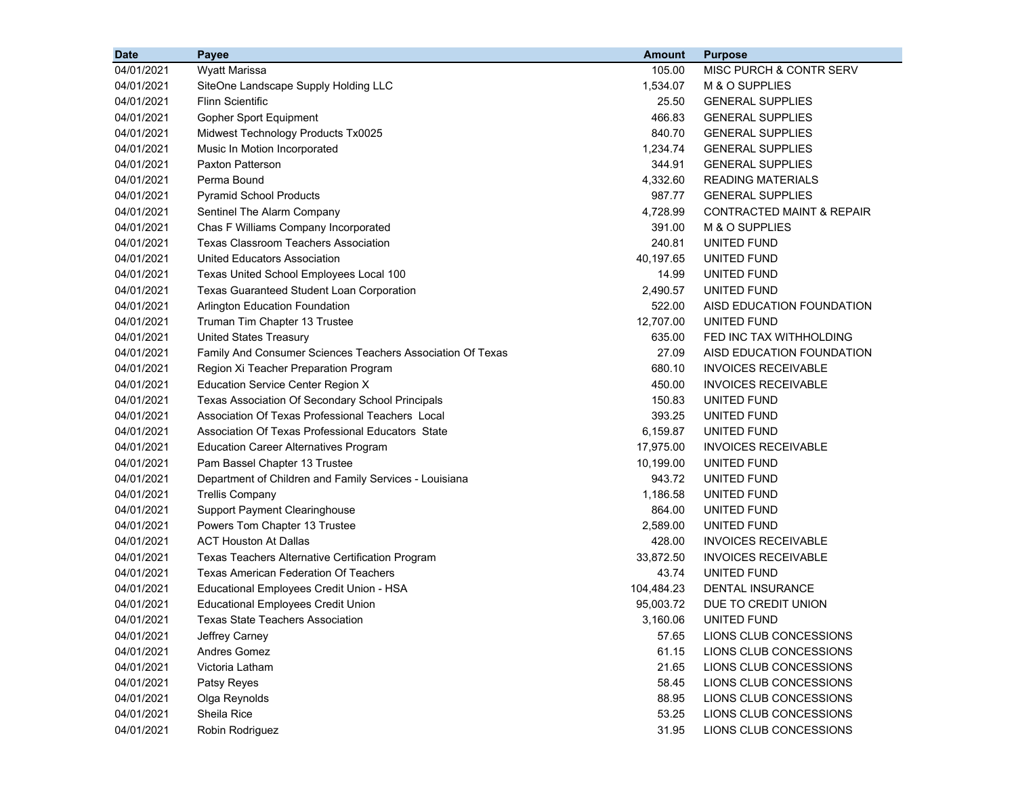| <b>Date</b> | Payee                                                      | <b>Amount</b> | <b>Purpose</b>                       |
|-------------|------------------------------------------------------------|---------------|--------------------------------------|
| 04/01/2021  | Wyatt Marissa                                              | 105.00        | MISC PURCH & CONTR SERV              |
| 04/01/2021  | SiteOne Landscape Supply Holding LLC                       | 1,534.07      | M & O SUPPLIES                       |
| 04/01/2021  | <b>Flinn Scientific</b>                                    | 25.50         | <b>GENERAL SUPPLIES</b>              |
| 04/01/2021  | Gopher Sport Equipment                                     | 466.83        | <b>GENERAL SUPPLIES</b>              |
| 04/01/2021  | Midwest Technology Products Tx0025                         | 840.70        | <b>GENERAL SUPPLIES</b>              |
| 04/01/2021  | Music In Motion Incorporated                               | 1,234.74      | <b>GENERAL SUPPLIES</b>              |
| 04/01/2021  | Paxton Patterson                                           | 344.91        | <b>GENERAL SUPPLIES</b>              |
| 04/01/2021  | Perma Bound                                                | 4,332.60      | <b>READING MATERIALS</b>             |
| 04/01/2021  | <b>Pyramid School Products</b>                             | 987.77        | <b>GENERAL SUPPLIES</b>              |
| 04/01/2021  | Sentinel The Alarm Company                                 | 4,728.99      | <b>CONTRACTED MAINT &amp; REPAIR</b> |
| 04/01/2021  | Chas F Williams Company Incorporated                       | 391.00        | M & O SUPPLIES                       |
| 04/01/2021  | <b>Texas Classroom Teachers Association</b>                | 240.81        | UNITED FUND                          |
| 04/01/2021  | United Educators Association                               | 40,197.65     | UNITED FUND                          |
| 04/01/2021  | Texas United School Employees Local 100                    | 14.99         | UNITED FUND                          |
| 04/01/2021  | <b>Texas Guaranteed Student Loan Corporation</b>           | 2,490.57      | UNITED FUND                          |
| 04/01/2021  | Arlington Education Foundation                             | 522.00        | AISD EDUCATION FOUNDATION            |
| 04/01/2021  | Truman Tim Chapter 13 Trustee                              | 12,707.00     | UNITED FUND                          |
| 04/01/2021  | <b>United States Treasury</b>                              | 635.00        | FED INC TAX WITHHOLDING              |
| 04/01/2021  | Family And Consumer Sciences Teachers Association Of Texas | 27.09         | AISD EDUCATION FOUNDATION            |
| 04/01/2021  | Region Xi Teacher Preparation Program                      | 680.10        | <b>INVOICES RECEIVABLE</b>           |
| 04/01/2021  | <b>Education Service Center Region X</b>                   | 450.00        | <b>INVOICES RECEIVABLE</b>           |
| 04/01/2021  | Texas Association Of Secondary School Principals           | 150.83        | UNITED FUND                          |
| 04/01/2021  | Association Of Texas Professional Teachers Local           | 393.25        | UNITED FUND                          |
| 04/01/2021  | Association Of Texas Professional Educators State          | 6,159.87      | UNITED FUND                          |
| 04/01/2021  | <b>Education Career Alternatives Program</b>               | 17,975.00     | <b>INVOICES RECEIVABLE</b>           |
| 04/01/2021  | Pam Bassel Chapter 13 Trustee                              | 10,199.00     | UNITED FUND                          |
| 04/01/2021  | Department of Children and Family Services - Louisiana     | 943.72        | UNITED FUND                          |
| 04/01/2021  | <b>Trellis Company</b>                                     | 1,186.58      | UNITED FUND                          |
| 04/01/2021  | <b>Support Payment Clearinghouse</b>                       | 864.00        | UNITED FUND                          |
| 04/01/2021  | Powers Tom Chapter 13 Trustee                              | 2,589.00      | UNITED FUND                          |
| 04/01/2021  | <b>ACT Houston At Dallas</b>                               | 428.00        | <b>INVOICES RECEIVABLE</b>           |
| 04/01/2021  | Texas Teachers Alternative Certification Program           | 33,872.50     | <b>INVOICES RECEIVABLE</b>           |
| 04/01/2021  | <b>Texas American Federation Of Teachers</b>               | 43.74         | UNITED FUND                          |
| 04/01/2021  | Educational Employees Credit Union - HSA                   | 104,484.23    | DENTAL INSURANCE                     |
| 04/01/2021  | <b>Educational Employees Credit Union</b>                  | 95,003.72     | DUE TO CREDIT UNION                  |
| 04/01/2021  | <b>Texas State Teachers Association</b>                    | 3,160.06      | UNITED FUND                          |
| 04/01/2021  | Jeffrey Carney                                             | 57.65         | LIONS CLUB CONCESSIONS               |
| 04/01/2021  | Andres Gomez                                               | 61.15         | LIONS CLUB CONCESSIONS               |
| 04/01/2021  | Victoria Latham                                            | 21.65         | LIONS CLUB CONCESSIONS               |
| 04/01/2021  | Patsy Reyes                                                | 58.45         | LIONS CLUB CONCESSIONS               |
| 04/01/2021  | Olga Reynolds                                              | 88.95         | LIONS CLUB CONCESSIONS               |
| 04/01/2021  | Sheila Rice                                                | 53.25         | LIONS CLUB CONCESSIONS               |
| 04/01/2021  | Robin Rodriguez                                            | 31.95         | LIONS CLUB CONCESSIONS               |
|             |                                                            |               |                                      |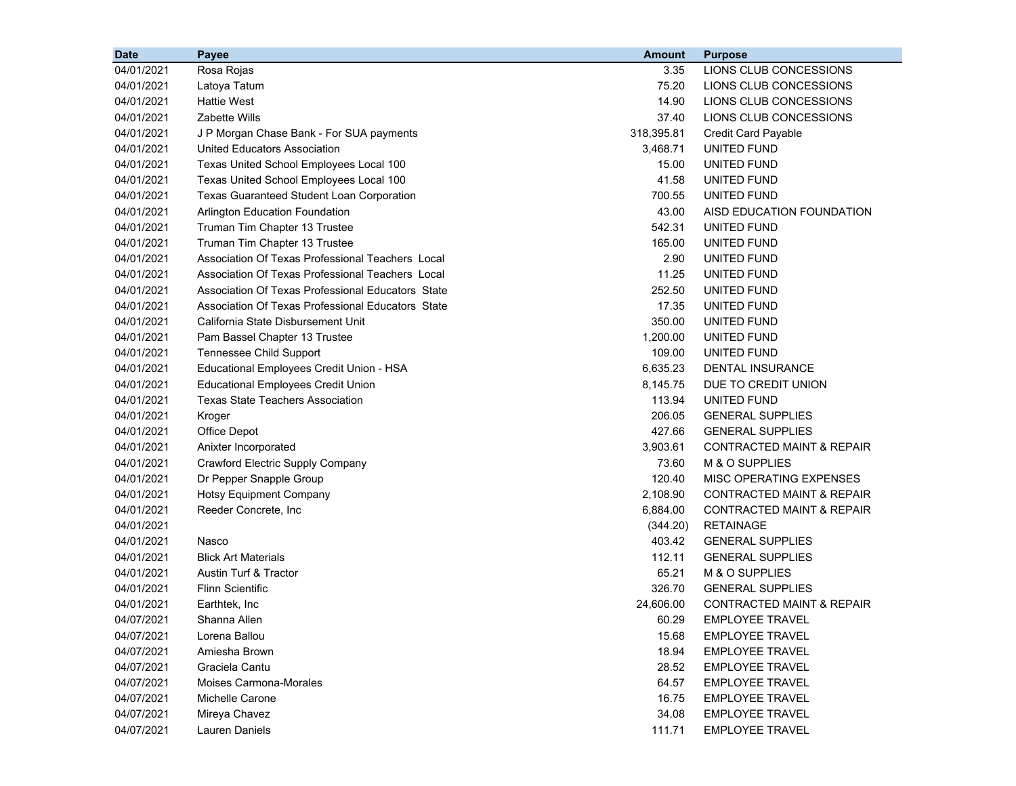| <b>Date</b> | Payee                                             | <b>Amount</b> | <b>Purpose</b>                       |
|-------------|---------------------------------------------------|---------------|--------------------------------------|
| 04/01/2021  | Rosa Rojas                                        | 3.35          | LIONS CLUB CONCESSIONS               |
| 04/01/2021  | Latoya Tatum                                      | 75.20         | LIONS CLUB CONCESSIONS               |
| 04/01/2021  | <b>Hattie West</b>                                | 14.90         | LIONS CLUB CONCESSIONS               |
| 04/01/2021  | Zabette Wills                                     | 37.40         | LIONS CLUB CONCESSIONS               |
| 04/01/2021  | J P Morgan Chase Bank - For SUA payments          | 318,395.81    | <b>Credit Card Payable</b>           |
| 04/01/2021  | United Educators Association                      | 3,468.71      | UNITED FUND                          |
| 04/01/2021  | Texas United School Employees Local 100           | 15.00         | UNITED FUND                          |
| 04/01/2021  | Texas United School Employees Local 100           | 41.58         | UNITED FUND                          |
| 04/01/2021  | <b>Texas Guaranteed Student Loan Corporation</b>  | 700.55        | UNITED FUND                          |
| 04/01/2021  | Arlington Education Foundation                    | 43.00         | AISD EDUCATION FOUNDATION            |
| 04/01/2021  | Truman Tim Chapter 13 Trustee                     | 542.31        | UNITED FUND                          |
| 04/01/2021  | Truman Tim Chapter 13 Trustee                     | 165.00        | UNITED FUND                          |
| 04/01/2021  | Association Of Texas Professional Teachers Local  | 2.90          | UNITED FUND                          |
| 04/01/2021  | Association Of Texas Professional Teachers Local  | 11.25         | UNITED FUND                          |
| 04/01/2021  | Association Of Texas Professional Educators State | 252.50        | UNITED FUND                          |
| 04/01/2021  | Association Of Texas Professional Educators State | 17.35         | UNITED FUND                          |
| 04/01/2021  | California State Disbursement Unit                | 350.00        | UNITED FUND                          |
| 04/01/2021  | Pam Bassel Chapter 13 Trustee                     | 1,200.00      | UNITED FUND                          |
| 04/01/2021  | Tennessee Child Support                           | 109.00        | UNITED FUND                          |
| 04/01/2021  | Educational Employees Credit Union - HSA          | 6,635.23      | DENTAL INSURANCE                     |
| 04/01/2021  | <b>Educational Employees Credit Union</b>         | 8,145.75      | DUE TO CREDIT UNION                  |
| 04/01/2021  | <b>Texas State Teachers Association</b>           | 113.94        | UNITED FUND                          |
| 04/01/2021  | Kroger                                            | 206.05        | <b>GENERAL SUPPLIES</b>              |
| 04/01/2021  | Office Depot                                      | 427.66        | <b>GENERAL SUPPLIES</b>              |
| 04/01/2021  | Anixter Incorporated                              | 3,903.61      | <b>CONTRACTED MAINT &amp; REPAIR</b> |
| 04/01/2021  | Crawford Electric Supply Company                  | 73.60         | M & O SUPPLIES                       |
| 04/01/2021  | Dr Pepper Snapple Group                           | 120.40        | MISC OPERATING EXPENSES              |
| 04/01/2021  | <b>Hotsy Equipment Company</b>                    | 2,108.90      | CONTRACTED MAINT & REPAIR            |
| 04/01/2021  | Reeder Concrete, Inc.                             | 6,884.00      | CONTRACTED MAINT & REPAIR            |
| 04/01/2021  |                                                   | (344.20)      | <b>RETAINAGE</b>                     |
| 04/01/2021  | Nasco                                             | 403.42        | <b>GENERAL SUPPLIES</b>              |
| 04/01/2021  | <b>Blick Art Materials</b>                        | 112.11        | <b>GENERAL SUPPLIES</b>              |
| 04/01/2021  | Austin Turf & Tractor                             | 65.21         | M & O SUPPLIES                       |
| 04/01/2021  | <b>Flinn Scientific</b>                           | 326.70        | <b>GENERAL SUPPLIES</b>              |
| 04/01/2021  | Earthtek, Inc                                     | 24,606.00     | <b>CONTRACTED MAINT &amp; REPAIR</b> |
| 04/07/2021  | Shanna Allen                                      | 60.29         | <b>EMPLOYEE TRAVEL</b>               |
| 04/07/2021  | Lorena Ballou                                     | 15.68         | <b>EMPLOYEE TRAVEL</b>               |
| 04/07/2021  | Amiesha Brown                                     | 18.94         | <b>EMPLOYEE TRAVEL</b>               |
| 04/07/2021  | Graciela Cantu                                    | 28.52         | <b>EMPLOYEE TRAVEL</b>               |
| 04/07/2021  | <b>Moises Carmona-Morales</b>                     | 64.57         | <b>EMPLOYEE TRAVEL</b>               |
| 04/07/2021  | Michelle Carone                                   | 16.75         | <b>EMPLOYEE TRAVEL</b>               |
| 04/07/2021  | Mireya Chavez                                     | 34.08         | <b>EMPLOYEE TRAVEL</b>               |
| 04/07/2021  | Lauren Daniels                                    | 111.71        | <b>EMPLOYEE TRAVEL</b>               |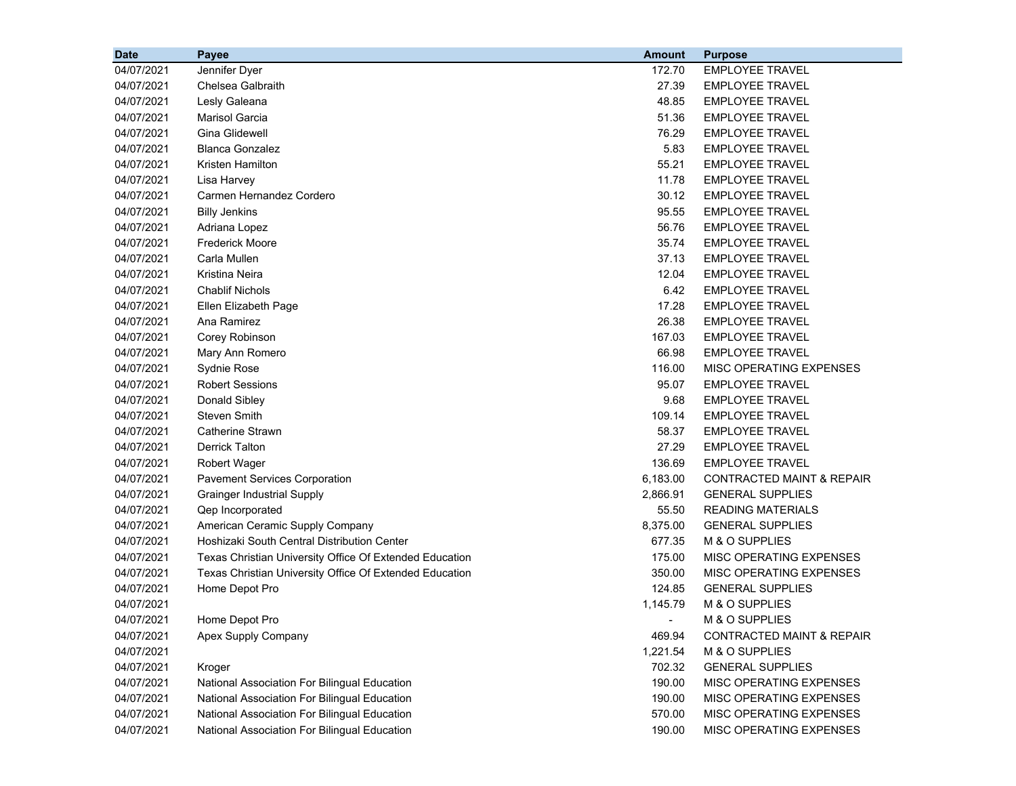| <b>Date</b> | <b>Payee</b>                                            | <b>Amount</b> | <b>Purpose</b>                       |
|-------------|---------------------------------------------------------|---------------|--------------------------------------|
| 04/07/2021  | Jennifer Dyer                                           | 172.70        | <b>EMPLOYEE TRAVEL</b>               |
| 04/07/2021  | Chelsea Galbraith                                       | 27.39         | <b>EMPLOYEE TRAVEL</b>               |
| 04/07/2021  | Lesly Galeana                                           | 48.85         | <b>EMPLOYEE TRAVEL</b>               |
| 04/07/2021  | <b>Marisol Garcia</b>                                   | 51.36         | <b>EMPLOYEE TRAVEL</b>               |
| 04/07/2021  | Gina Glidewell                                          | 76.29         | <b>EMPLOYEE TRAVEL</b>               |
| 04/07/2021  | <b>Blanca Gonzalez</b>                                  | 5.83          | <b>EMPLOYEE TRAVEL</b>               |
| 04/07/2021  | Kristen Hamilton                                        | 55.21         | <b>EMPLOYEE TRAVEL</b>               |
| 04/07/2021  | Lisa Harvey                                             | 11.78         | <b>EMPLOYEE TRAVEL</b>               |
| 04/07/2021  | Carmen Hernandez Cordero                                | 30.12         | <b>EMPLOYEE TRAVEL</b>               |
| 04/07/2021  | <b>Billy Jenkins</b>                                    | 95.55         | <b>EMPLOYEE TRAVEL</b>               |
| 04/07/2021  | Adriana Lopez                                           | 56.76         | <b>EMPLOYEE TRAVEL</b>               |
| 04/07/2021  | Frederick Moore                                         | 35.74         | <b>EMPLOYEE TRAVEL</b>               |
| 04/07/2021  | Carla Mullen                                            | 37.13         | <b>EMPLOYEE TRAVEL</b>               |
| 04/07/2021  | Kristina Neira                                          | 12.04         | <b>EMPLOYEE TRAVEL</b>               |
| 04/07/2021  | <b>Chablif Nichols</b>                                  | 6.42          | <b>EMPLOYEE TRAVEL</b>               |
| 04/07/2021  | Ellen Elizabeth Page                                    | 17.28         | <b>EMPLOYEE TRAVEL</b>               |
| 04/07/2021  | Ana Ramirez                                             | 26.38         | <b>EMPLOYEE TRAVEL</b>               |
| 04/07/2021  | Corey Robinson                                          | 167.03        | <b>EMPLOYEE TRAVEL</b>               |
| 04/07/2021  | Mary Ann Romero                                         | 66.98         | <b>EMPLOYEE TRAVEL</b>               |
| 04/07/2021  | Sydnie Rose                                             | 116.00        | MISC OPERATING EXPENSES              |
| 04/07/2021  | <b>Robert Sessions</b>                                  | 95.07         | <b>EMPLOYEE TRAVEL</b>               |
| 04/07/2021  | Donald Sibley                                           | 9.68          | <b>EMPLOYEE TRAVEL</b>               |
| 04/07/2021  | Steven Smith                                            | 109.14        | <b>EMPLOYEE TRAVEL</b>               |
| 04/07/2021  | Catherine Strawn                                        | 58.37         | <b>EMPLOYEE TRAVEL</b>               |
| 04/07/2021  | <b>Derrick Talton</b>                                   | 27.29         | <b>EMPLOYEE TRAVEL</b>               |
| 04/07/2021  | <b>Robert Wager</b>                                     | 136.69        | <b>EMPLOYEE TRAVEL</b>               |
| 04/07/2021  | <b>Pavement Services Corporation</b>                    | 6,183.00      | <b>CONTRACTED MAINT &amp; REPAIR</b> |
| 04/07/2021  | <b>Grainger Industrial Supply</b>                       | 2,866.91      | <b>GENERAL SUPPLIES</b>              |
| 04/07/2021  | Qep Incorporated                                        | 55.50         | <b>READING MATERIALS</b>             |
| 04/07/2021  | American Ceramic Supply Company                         | 8,375.00      | <b>GENERAL SUPPLIES</b>              |
| 04/07/2021  | Hoshizaki South Central Distribution Center             | 677.35        | M & O SUPPLIES                       |
| 04/07/2021  | Texas Christian University Office Of Extended Education | 175.00        | MISC OPERATING EXPENSES              |
| 04/07/2021  | Texas Christian University Office Of Extended Education | 350.00        | MISC OPERATING EXPENSES              |
| 04/07/2021  | Home Depot Pro                                          | 124.85        | <b>GENERAL SUPPLIES</b>              |
| 04/07/2021  |                                                         | 1,145.79      | M & O SUPPLIES                       |
| 04/07/2021  | Home Depot Pro                                          |               | M & O SUPPLIES                       |
| 04/07/2021  | Apex Supply Company                                     | 469.94        | <b>CONTRACTED MAINT &amp; REPAIR</b> |
| 04/07/2021  |                                                         | 1,221.54      | M & O SUPPLIES                       |
| 04/07/2021  | Kroger                                                  | 702.32        | <b>GENERAL SUPPLIES</b>              |
| 04/07/2021  | National Association For Bilingual Education            | 190.00        | MISC OPERATING EXPENSES              |
| 04/07/2021  | National Association For Bilingual Education            | 190.00        | MISC OPERATING EXPENSES              |
| 04/07/2021  | National Association For Bilingual Education            | 570.00        | MISC OPERATING EXPENSES              |
| 04/07/2021  | National Association For Bilingual Education            | 190.00        | MISC OPERATING EXPENSES              |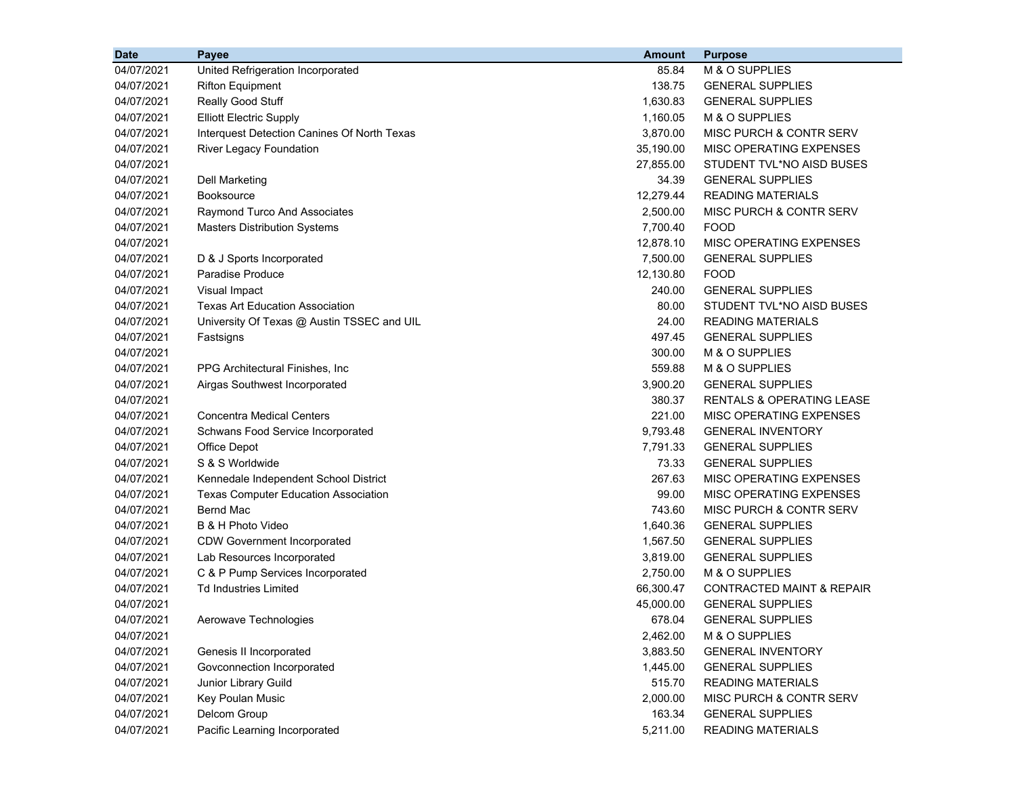| <b>Date</b> | Payee                                       | <b>Amount</b> | <b>Purpose</b>                       |
|-------------|---------------------------------------------|---------------|--------------------------------------|
| 04/07/2021  | United Refrigeration Incorporated           | 85.84         | M & O SUPPLIES                       |
| 04/07/2021  | <b>Rifton Equipment</b>                     | 138.75        | <b>GENERAL SUPPLIES</b>              |
| 04/07/2021  | Really Good Stuff                           | 1,630.83      | <b>GENERAL SUPPLIES</b>              |
| 04/07/2021  | <b>Elliott Electric Supply</b>              | 1,160.05      | M & O SUPPLIES                       |
| 04/07/2021  | Interquest Detection Canines Of North Texas | 3,870.00      | MISC PURCH & CONTR SERV              |
| 04/07/2021  | River Legacy Foundation                     | 35,190.00     | MISC OPERATING EXPENSES              |
| 04/07/2021  |                                             | 27,855.00     | STUDENT TVL*NO AISD BUSES            |
| 04/07/2021  | <b>Dell Marketing</b>                       | 34.39         | <b>GENERAL SUPPLIES</b>              |
| 04/07/2021  | Booksource                                  | 12,279.44     | <b>READING MATERIALS</b>             |
| 04/07/2021  | Raymond Turco And Associates                | 2,500.00      | MISC PURCH & CONTR SERV              |
| 04/07/2021  | <b>Masters Distribution Systems</b>         | 7,700.40      | <b>FOOD</b>                          |
| 04/07/2021  |                                             | 12,878.10     | MISC OPERATING EXPENSES              |
| 04/07/2021  | D & J Sports Incorporated                   | 7,500.00      | <b>GENERAL SUPPLIES</b>              |
| 04/07/2021  | <b>Paradise Produce</b>                     | 12,130.80     | <b>FOOD</b>                          |
| 04/07/2021  | Visual Impact                               | 240.00        | <b>GENERAL SUPPLIES</b>              |
| 04/07/2021  | Texas Art Education Association             | 80.00         | STUDENT TVL*NO AISD BUSES            |
| 04/07/2021  | University Of Texas @ Austin TSSEC and UIL  | 24.00         | <b>READING MATERIALS</b>             |
| 04/07/2021  | Fastsigns                                   | 497.45        | <b>GENERAL SUPPLIES</b>              |
| 04/07/2021  |                                             | 300.00        | M & O SUPPLIES                       |
| 04/07/2021  | PPG Architectural Finishes, Inc.            | 559.88        | M & O SUPPLIES                       |
| 04/07/2021  | Airgas Southwest Incorporated               | 3,900.20      | <b>GENERAL SUPPLIES</b>              |
| 04/07/2021  |                                             | 380.37        | <b>RENTALS &amp; OPERATING LEASE</b> |
| 04/07/2021  | <b>Concentra Medical Centers</b>            | 221.00        | MISC OPERATING EXPENSES              |
| 04/07/2021  | Schwans Food Service Incorporated           | 9,793.48      | <b>GENERAL INVENTORY</b>             |
| 04/07/2021  | Office Depot                                | 7,791.33      | <b>GENERAL SUPPLIES</b>              |
| 04/07/2021  | S & S Worldwide                             | 73.33         | <b>GENERAL SUPPLIES</b>              |
| 04/07/2021  | Kennedale Independent School District       | 267.63        | MISC OPERATING EXPENSES              |
| 04/07/2021  | <b>Texas Computer Education Association</b> | 99.00         | MISC OPERATING EXPENSES              |
| 04/07/2021  | Bernd Mac                                   | 743.60        | MISC PURCH & CONTR SERV              |
| 04/07/2021  | B & H Photo Video                           | 1,640.36      | <b>GENERAL SUPPLIES</b>              |
| 04/07/2021  | <b>CDW Government Incorporated</b>          | 1,567.50      | <b>GENERAL SUPPLIES</b>              |
| 04/07/2021  | Lab Resources Incorporated                  | 3,819.00      | <b>GENERAL SUPPLIES</b>              |
| 04/07/2021  | C & P Pump Services Incorporated            | 2,750.00      | M & O SUPPLIES                       |
| 04/07/2021  | <b>Td Industries Limited</b>                | 66,300.47     | <b>CONTRACTED MAINT &amp; REPAIR</b> |
| 04/07/2021  |                                             | 45,000.00     | <b>GENERAL SUPPLIES</b>              |
| 04/07/2021  | Aerowave Technologies                       | 678.04        | <b>GENERAL SUPPLIES</b>              |
| 04/07/2021  |                                             | 2,462.00      | M & O SUPPLIES                       |
| 04/07/2021  | Genesis II Incorporated                     | 3,883.50      | <b>GENERAL INVENTORY</b>             |
| 04/07/2021  | Govconnection Incorporated                  | 1,445.00      | <b>GENERAL SUPPLIES</b>              |
| 04/07/2021  | Junior Library Guild                        | 515.70        | <b>READING MATERIALS</b>             |
| 04/07/2021  | Key Poulan Music                            | 2,000.00      | MISC PURCH & CONTR SERV              |
| 04/07/2021  | Delcom Group                                | 163.34        | <b>GENERAL SUPPLIES</b>              |
| 04/07/2021  | Pacific Learning Incorporated               | 5,211.00      | <b>READING MATERIALS</b>             |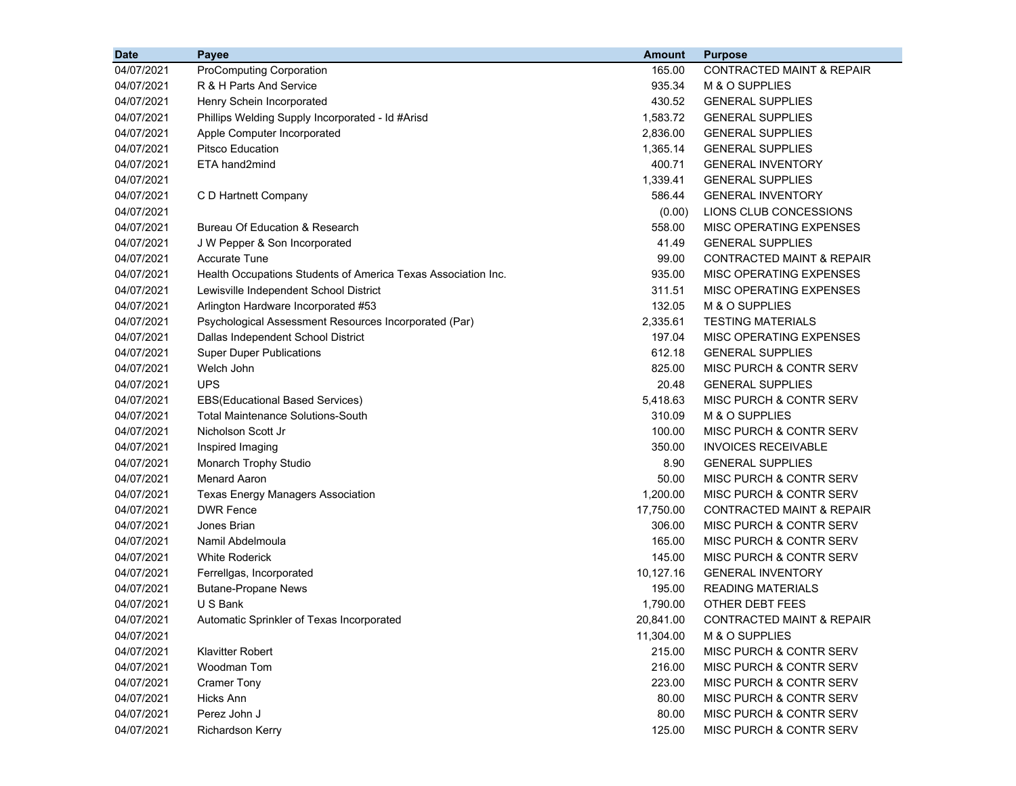| <b>Date</b> | Payee                                                         | <b>Amount</b> | <b>Purpose</b>                       |
|-------------|---------------------------------------------------------------|---------------|--------------------------------------|
| 04/07/2021  | <b>ProComputing Corporation</b>                               | 165.00        | <b>CONTRACTED MAINT &amp; REPAIR</b> |
| 04/07/2021  | R & H Parts And Service                                       | 935.34        | M & O SUPPLIES                       |
| 04/07/2021  | Henry Schein Incorporated                                     | 430.52        | <b>GENERAL SUPPLIES</b>              |
| 04/07/2021  | Phillips Welding Supply Incorporated - Id #Arisd              | 1,583.72      | <b>GENERAL SUPPLIES</b>              |
| 04/07/2021  | Apple Computer Incorporated                                   | 2,836.00      | <b>GENERAL SUPPLIES</b>              |
| 04/07/2021  | Pitsco Education                                              | 1,365.14      | <b>GENERAL SUPPLIES</b>              |
| 04/07/2021  | ETA hand2mind                                                 | 400.71        | <b>GENERAL INVENTORY</b>             |
| 04/07/2021  |                                                               | 1,339.41      | <b>GENERAL SUPPLIES</b>              |
| 04/07/2021  | C D Hartnett Company                                          | 586.44        | <b>GENERAL INVENTORY</b>             |
| 04/07/2021  |                                                               | (0.00)        | LIONS CLUB CONCESSIONS               |
| 04/07/2021  | Bureau Of Education & Research                                | 558.00        | MISC OPERATING EXPENSES              |
| 04/07/2021  | J W Pepper & Son Incorporated                                 | 41.49         | <b>GENERAL SUPPLIES</b>              |
| 04/07/2021  | <b>Accurate Tune</b>                                          | 99.00         | CONTRACTED MAINT & REPAIR            |
| 04/07/2021  | Health Occupations Students of America Texas Association Inc. | 935.00        | MISC OPERATING EXPENSES              |
| 04/07/2021  | Lewisville Independent School District                        | 311.51        | MISC OPERATING EXPENSES              |
| 04/07/2021  | Arlington Hardware Incorporated #53                           | 132.05        | M & O SUPPLIES                       |
| 04/07/2021  | Psychological Assessment Resources Incorporated (Par)         | 2,335.61      | <b>TESTING MATERIALS</b>             |
| 04/07/2021  | Dallas Independent School District                            | 197.04        | MISC OPERATING EXPENSES              |
| 04/07/2021  | <b>Super Duper Publications</b>                               | 612.18        | <b>GENERAL SUPPLIES</b>              |
| 04/07/2021  | Welch John                                                    | 825.00        | MISC PURCH & CONTR SERV              |
| 04/07/2021  | <b>UPS</b>                                                    | 20.48         | <b>GENERAL SUPPLIES</b>              |
| 04/07/2021  | <b>EBS(Educational Based Services)</b>                        | 5,418.63      | MISC PURCH & CONTR SERV              |
| 04/07/2021  | <b>Total Maintenance Solutions-South</b>                      | 310.09        | M & O SUPPLIES                       |
| 04/07/2021  | Nicholson Scott Jr                                            | 100.00        | MISC PURCH & CONTR SERV              |
| 04/07/2021  | Inspired Imaging                                              | 350.00        | <b>INVOICES RECEIVABLE</b>           |
| 04/07/2021  | Monarch Trophy Studio                                         | 8.90          | <b>GENERAL SUPPLIES</b>              |
| 04/07/2021  | <b>Menard Aaron</b>                                           | 50.00         | MISC PURCH & CONTR SERV              |
| 04/07/2021  | <b>Texas Energy Managers Association</b>                      | 1,200.00      | MISC PURCH & CONTR SERV              |
| 04/07/2021  | <b>DWR Fence</b>                                              | 17,750.00     | <b>CONTRACTED MAINT &amp; REPAIR</b> |
| 04/07/2021  | Jones Brian                                                   | 306.00        | MISC PURCH & CONTR SERV              |
| 04/07/2021  | Namil Abdelmoula                                              | 165.00        | MISC PURCH & CONTR SERV              |
| 04/07/2021  | <b>White Roderick</b>                                         | 145.00        | MISC PURCH & CONTR SERV              |
| 04/07/2021  | Ferrellgas, Incorporated                                      | 10,127.16     | <b>GENERAL INVENTORY</b>             |
| 04/07/2021  | <b>Butane-Propane News</b>                                    | 195.00        | <b>READING MATERIALS</b>             |
| 04/07/2021  | U S Bank                                                      | 1,790.00      | OTHER DEBT FEES                      |
| 04/07/2021  | Automatic Sprinkler of Texas Incorporated                     | 20,841.00     | CONTRACTED MAINT & REPAIR            |
| 04/07/2021  |                                                               | 11,304.00     | M & O SUPPLIES                       |
| 04/07/2021  | <b>Klavitter Robert</b>                                       | 215.00        | MISC PURCH & CONTR SERV              |
| 04/07/2021  | Woodman Tom                                                   | 216.00        | MISC PURCH & CONTR SERV              |
| 04/07/2021  | <b>Cramer Tony</b>                                            | 223.00        | MISC PURCH & CONTR SERV              |
| 04/07/2021  | Hicks Ann                                                     | 80.00         | MISC PURCH & CONTR SERV              |
| 04/07/2021  | Perez John J                                                  | 80.00         | MISC PURCH & CONTR SERV              |
| 04/07/2021  | Richardson Kerry                                              | 125.00        | MISC PURCH & CONTR SERV              |
|             |                                                               |               |                                      |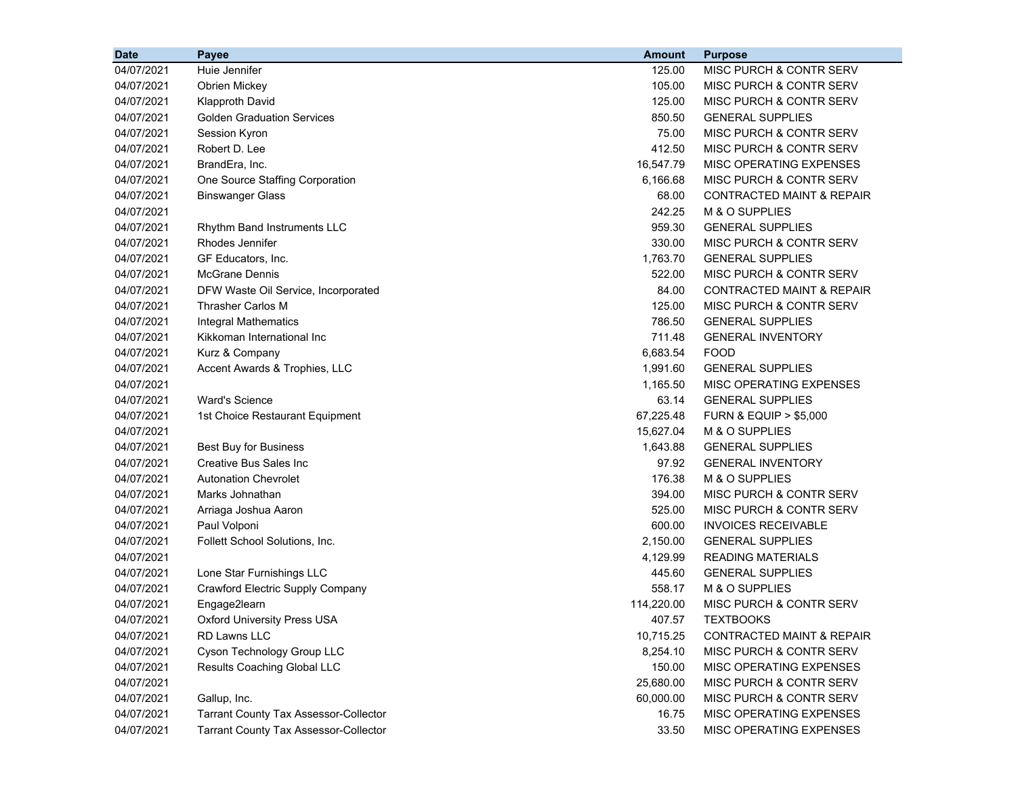| <b>Date</b> | <b>Payee</b>                                 | <b>Amount</b> | <b>Purpose</b>                       |
|-------------|----------------------------------------------|---------------|--------------------------------------|
| 04/07/2021  | Huie Jennifer                                | 125.00        | MISC PURCH & CONTR SERV              |
| 04/07/2021  | Obrien Mickey                                | 105.00        | MISC PURCH & CONTR SERV              |
| 04/07/2021  | <b>Klapproth David</b>                       | 125.00        | MISC PURCH & CONTR SERV              |
| 04/07/2021  | <b>Golden Graduation Services</b>            | 850.50        | <b>GENERAL SUPPLIES</b>              |
| 04/07/2021  | Session Kyron                                | 75.00         | MISC PURCH & CONTR SERV              |
| 04/07/2021  | Robert D. Lee                                | 412.50        | MISC PURCH & CONTR SERV              |
| 04/07/2021  | BrandEra, Inc.                               | 16,547.79     | MISC OPERATING EXPENSES              |
| 04/07/2021  | One Source Staffing Corporation              | 6,166.68      | <b>MISC PURCH &amp; CONTR SERV</b>   |
| 04/07/2021  | <b>Binswanger Glass</b>                      | 68.00         | CONTRACTED MAINT & REPAIR            |
| 04/07/2021  |                                              | 242.25        | M & O SUPPLIES                       |
| 04/07/2021  | Rhythm Band Instruments LLC                  | 959.30        | <b>GENERAL SUPPLIES</b>              |
| 04/07/2021  | Rhodes Jennifer                              | 330.00        | MISC PURCH & CONTR SERV              |
| 04/07/2021  | GF Educators, Inc.                           | 1,763.70      | <b>GENERAL SUPPLIES</b>              |
| 04/07/2021  | <b>McGrane Dennis</b>                        | 522.00        | <b>MISC PURCH &amp; CONTR SERV</b>   |
| 04/07/2021  | DFW Waste Oil Service, Incorporated          | 84.00         | CONTRACTED MAINT & REPAIR            |
| 04/07/2021  | <b>Thrasher Carlos M</b>                     | 125.00        | <b>MISC PURCH &amp; CONTR SERV</b>   |
| 04/07/2021  | <b>Integral Mathematics</b>                  | 786.50        | <b>GENERAL SUPPLIES</b>              |
| 04/07/2021  | Kikkoman International Inc                   | 711.48        | <b>GENERAL INVENTORY</b>             |
| 04/07/2021  | Kurz & Company                               | 6,683.54      | <b>FOOD</b>                          |
| 04/07/2021  | Accent Awards & Trophies, LLC                | 1,991.60      | <b>GENERAL SUPPLIES</b>              |
| 04/07/2021  |                                              | 1,165.50      | MISC OPERATING EXPENSES              |
| 04/07/2021  | <b>Ward's Science</b>                        | 63.14         | <b>GENERAL SUPPLIES</b>              |
| 04/07/2021  | 1st Choice Restaurant Equipment              | 67,225.48     | <b>FURN &amp; EQUIP &gt; \$5,000</b> |
| 04/07/2021  |                                              | 15,627.04     | M & O SUPPLIES                       |
| 04/07/2021  | Best Buy for Business                        | 1,643.88      | <b>GENERAL SUPPLIES</b>              |
| 04/07/2021  | Creative Bus Sales Inc                       | 97.92         | <b>GENERAL INVENTORY</b>             |
| 04/07/2021  | <b>Autonation Chevrolet</b>                  | 176.38        | M & O SUPPLIES                       |
| 04/07/2021  | Marks Johnathan                              | 394.00        | MISC PURCH & CONTR SERV              |
| 04/07/2021  | Arriaga Joshua Aaron                         | 525.00        | MISC PURCH & CONTR SERV              |
| 04/07/2021  | Paul Volponi                                 | 600.00        | <b>INVOICES RECEIVABLE</b>           |
| 04/07/2021  | Follett School Solutions, Inc.               | 2,150.00      | <b>GENERAL SUPPLIES</b>              |
| 04/07/2021  |                                              | 4,129.99      | <b>READING MATERIALS</b>             |
| 04/07/2021  | Lone Star Furnishings LLC                    | 445.60        | <b>GENERAL SUPPLIES</b>              |
| 04/07/2021  | Crawford Electric Supply Company             | 558.17        | M & O SUPPLIES                       |
| 04/07/2021  | Engage2learn                                 | 114,220.00    | <b>MISC PURCH &amp; CONTR SERV</b>   |
| 04/07/2021  | <b>Oxford University Press USA</b>           | 407.57        | <b>TEXTBOOKS</b>                     |
| 04/07/2021  | RD Lawns LLC                                 | 10,715.25     | CONTRACTED MAINT & REPAIR            |
| 04/07/2021  | Cyson Technology Group LLC                   | 8,254.10      | MISC PURCH & CONTR SERV              |
| 04/07/2021  | Results Coaching Global LLC                  | 150.00        | MISC OPERATING EXPENSES              |
| 04/07/2021  |                                              | 25,680.00     | MISC PURCH & CONTR SERV              |
| 04/07/2021  | Gallup, Inc.                                 | 60,000.00     | MISC PURCH & CONTR SERV              |
| 04/07/2021  | <b>Tarrant County Tax Assessor-Collector</b> | 16.75         | MISC OPERATING EXPENSES              |
| 04/07/2021  | <b>Tarrant County Tax Assessor-Collector</b> | 33.50         | MISC OPERATING EXPENSES              |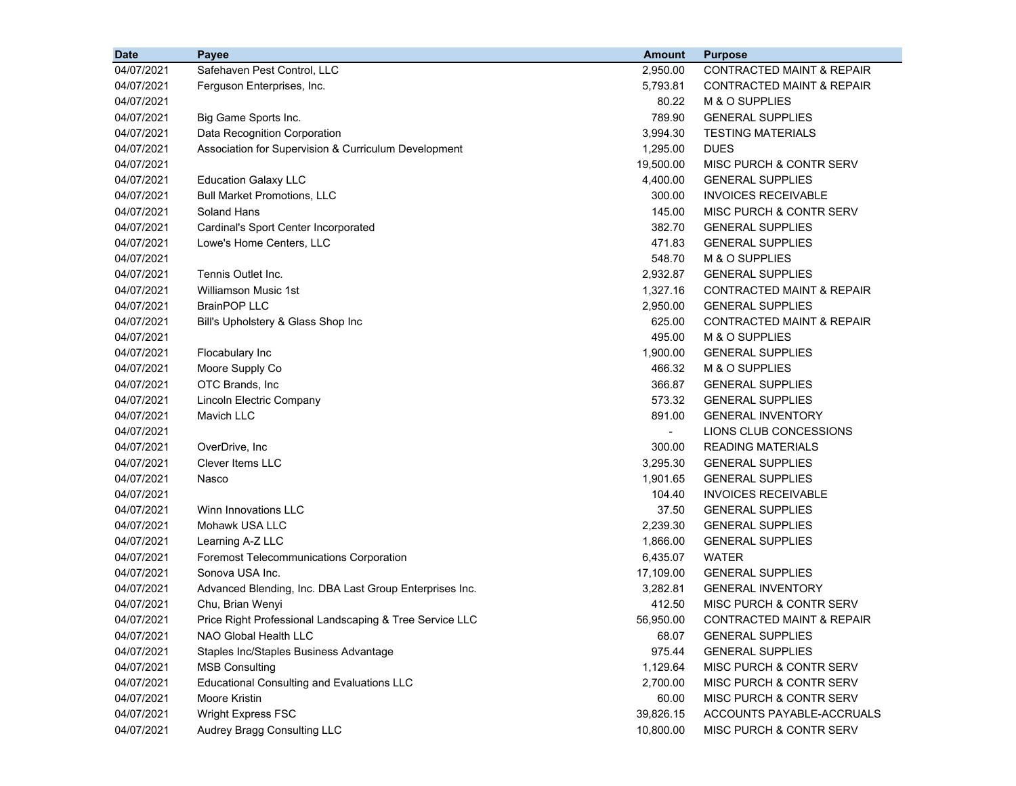| <b>Date</b> | <b>Payee</b>                                            | <b>Amount</b>  | <b>Purpose</b>                       |
|-------------|---------------------------------------------------------|----------------|--------------------------------------|
| 04/07/2021  | Safehaven Pest Control, LLC                             | 2,950.00       | <b>CONTRACTED MAINT &amp; REPAIR</b> |
| 04/07/2021  | Ferguson Enterprises, Inc.                              | 5,793.81       | <b>CONTRACTED MAINT &amp; REPAIR</b> |
| 04/07/2021  |                                                         | 80.22          | M & O SUPPLIES                       |
| 04/07/2021  | Big Game Sports Inc.                                    | 789.90         | <b>GENERAL SUPPLIES</b>              |
| 04/07/2021  | Data Recognition Corporation                            | 3,994.30       | <b>TESTING MATERIALS</b>             |
| 04/07/2021  | Association for Supervision & Curriculum Development    | 1,295.00       | <b>DUES</b>                          |
| 04/07/2021  |                                                         | 19,500.00      | MISC PURCH & CONTR SERV              |
| 04/07/2021  | <b>Education Galaxy LLC</b>                             | 4,400.00       | <b>GENERAL SUPPLIES</b>              |
| 04/07/2021  | <b>Bull Market Promotions, LLC</b>                      | 300.00         | <b>INVOICES RECEIVABLE</b>           |
| 04/07/2021  | Soland Hans                                             | 145.00         | MISC PURCH & CONTR SERV              |
| 04/07/2021  | Cardinal's Sport Center Incorporated                    | 382.70         | <b>GENERAL SUPPLIES</b>              |
| 04/07/2021  | Lowe's Home Centers, LLC                                | 471.83         | <b>GENERAL SUPPLIES</b>              |
| 04/07/2021  |                                                         | 548.70         | M & O SUPPLIES                       |
| 04/07/2021  | Tennis Outlet Inc.                                      | 2,932.87       | <b>GENERAL SUPPLIES</b>              |
| 04/07/2021  | <b>Williamson Music 1st</b>                             | 1,327.16       | <b>CONTRACTED MAINT &amp; REPAIR</b> |
| 04/07/2021  | <b>BrainPOP LLC</b>                                     | 2,950.00       | <b>GENERAL SUPPLIES</b>              |
| 04/07/2021  | Bill's Upholstery & Glass Shop Inc                      | 625.00         | <b>CONTRACTED MAINT &amp; REPAIR</b> |
| 04/07/2021  |                                                         | 495.00         | M & O SUPPLIES                       |
| 04/07/2021  | Flocabulary Inc                                         | 1,900.00       | <b>GENERAL SUPPLIES</b>              |
| 04/07/2021  | Moore Supply Co                                         | 466.32         | M & O SUPPLIES                       |
| 04/07/2021  | OTC Brands, Inc                                         | 366.87         | <b>GENERAL SUPPLIES</b>              |
| 04/07/2021  | Lincoln Electric Company                                | 573.32         | <b>GENERAL SUPPLIES</b>              |
| 04/07/2021  | Mavich LLC                                              | 891.00         | <b>GENERAL INVENTORY</b>             |
| 04/07/2021  |                                                         | $\blacksquare$ | LIONS CLUB CONCESSIONS               |
| 04/07/2021  | OverDrive, Inc                                          | 300.00         | <b>READING MATERIALS</b>             |
| 04/07/2021  | <b>Clever Items LLC</b>                                 | 3,295.30       | <b>GENERAL SUPPLIES</b>              |
| 04/07/2021  | Nasco                                                   | 1,901.65       | <b>GENERAL SUPPLIES</b>              |
| 04/07/2021  |                                                         | 104.40         | <b>INVOICES RECEIVABLE</b>           |
| 04/07/2021  | Winn Innovations LLC                                    | 37.50          | <b>GENERAL SUPPLIES</b>              |
| 04/07/2021  | Mohawk USA LLC                                          | 2,239.30       | <b>GENERAL SUPPLIES</b>              |
| 04/07/2021  | Learning A-Z LLC                                        | 1,866.00       | <b>GENERAL SUPPLIES</b>              |
| 04/07/2021  | <b>Foremost Telecommunications Corporation</b>          | 6,435.07       | <b>WATER</b>                         |
| 04/07/2021  | Sonova USA Inc.                                         | 17,109.00      | <b>GENERAL SUPPLIES</b>              |
| 04/07/2021  | Advanced Blending, Inc. DBA Last Group Enterprises Inc. | 3,282.81       | <b>GENERAL INVENTORY</b>             |
| 04/07/2021  | Chu, Brian Wenyi                                        | 412.50         | MISC PURCH & CONTR SERV              |
| 04/07/2021  | Price Right Professional Landscaping & Tree Service LLC | 56,950.00      | CONTRACTED MAINT & REPAIR            |
| 04/07/2021  | NAO Global Health LLC                                   | 68.07          | <b>GENERAL SUPPLIES</b>              |
| 04/07/2021  | Staples Inc/Staples Business Advantage                  | 975.44         | <b>GENERAL SUPPLIES</b>              |
| 04/07/2021  | <b>MSB Consulting</b>                                   | 1,129.64       | MISC PURCH & CONTR SERV              |
| 04/07/2021  | <b>Educational Consulting and Evaluations LLC</b>       | 2,700.00       | MISC PURCH & CONTR SERV              |
| 04/07/2021  | Moore Kristin                                           | 60.00          | MISC PURCH & CONTR SERV              |
| 04/07/2021  | Wright Express FSC                                      | 39,826.15      | ACCOUNTS PAYABLE-ACCRUALS            |
| 04/07/2021  | Audrey Bragg Consulting LLC                             | 10,800.00      | MISC PURCH & CONTR SERV              |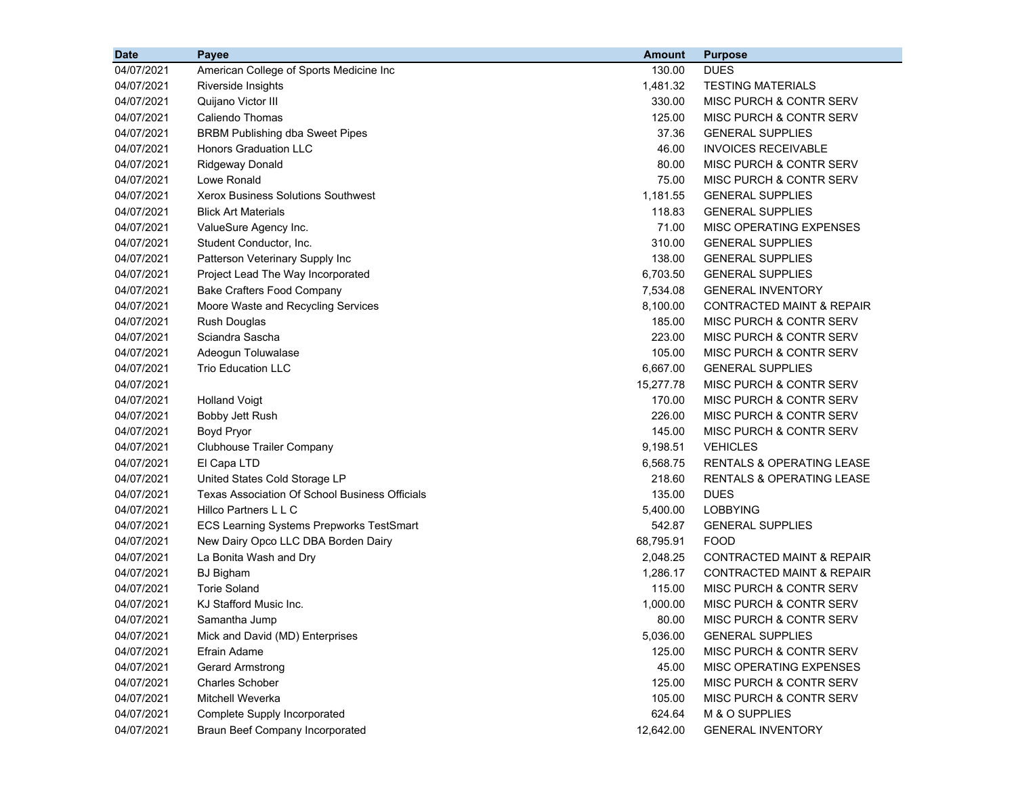| <b>Date</b> | Payee                                                 | <b>Amount</b> | <b>Purpose</b>                       |
|-------------|-------------------------------------------------------|---------------|--------------------------------------|
| 04/07/2021  | American College of Sports Medicine Inc               | 130.00        | <b>DUES</b>                          |
| 04/07/2021  | Riverside Insights                                    | 1,481.32      | <b>TESTING MATERIALS</b>             |
| 04/07/2021  | Quijano Victor III                                    | 330.00        | MISC PURCH & CONTR SERV              |
| 04/07/2021  | Caliendo Thomas                                       | 125.00        | MISC PURCH & CONTR SERV              |
| 04/07/2021  | <b>BRBM Publishing dba Sweet Pipes</b>                | 37.36         | <b>GENERAL SUPPLIES</b>              |
| 04/07/2021  | Honors Graduation LLC                                 | 46.00         | <b>INVOICES RECEIVABLE</b>           |
| 04/07/2021  | Ridgeway Donald                                       | 80.00         | MISC PURCH & CONTR SERV              |
| 04/07/2021  | Lowe Ronald                                           | 75.00         | MISC PURCH & CONTR SERV              |
| 04/07/2021  | <b>Xerox Business Solutions Southwest</b>             | 1,181.55      | <b>GENERAL SUPPLIES</b>              |
| 04/07/2021  | <b>Blick Art Materials</b>                            | 118.83        | <b>GENERAL SUPPLIES</b>              |
| 04/07/2021  | ValueSure Agency Inc.                                 | 71.00         | MISC OPERATING EXPENSES              |
| 04/07/2021  | Student Conductor, Inc.                               | 310.00        | <b>GENERAL SUPPLIES</b>              |
| 04/07/2021  | Patterson Veterinary Supply Inc                       | 138.00        | <b>GENERAL SUPPLIES</b>              |
| 04/07/2021  | Project Lead The Way Incorporated                     | 6,703.50      | <b>GENERAL SUPPLIES</b>              |
| 04/07/2021  | <b>Bake Crafters Food Company</b>                     | 7,534.08      | <b>GENERAL INVENTORY</b>             |
| 04/07/2021  | Moore Waste and Recycling Services                    | 8,100.00      | <b>CONTRACTED MAINT &amp; REPAIR</b> |
| 04/07/2021  | Rush Douglas                                          | 185.00        | MISC PURCH & CONTR SERV              |
| 04/07/2021  | Sciandra Sascha                                       | 223.00        | MISC PURCH & CONTR SERV              |
| 04/07/2021  | Adeogun Toluwalase                                    | 105.00        | MISC PURCH & CONTR SERV              |
| 04/07/2021  | <b>Trio Education LLC</b>                             | 6,667.00      | <b>GENERAL SUPPLIES</b>              |
| 04/07/2021  |                                                       | 15,277.78     | MISC PURCH & CONTR SERV              |
| 04/07/2021  | <b>Holland Voigt</b>                                  | 170.00        | MISC PURCH & CONTR SERV              |
| 04/07/2021  | Bobby Jett Rush                                       | 226.00        | MISC PURCH & CONTR SERV              |
| 04/07/2021  | Boyd Pryor                                            | 145.00        | MISC PURCH & CONTR SERV              |
| 04/07/2021  | <b>Clubhouse Trailer Company</b>                      | 9,198.51      | <b>VEHICLES</b>                      |
| 04/07/2021  | El Capa LTD                                           | 6,568.75      | <b>RENTALS &amp; OPERATING LEASE</b> |
| 04/07/2021  | United States Cold Storage LP                         | 218.60        | <b>RENTALS &amp; OPERATING LEASE</b> |
| 04/07/2021  | <b>Texas Association Of School Business Officials</b> | 135.00        | <b>DUES</b>                          |
| 04/07/2021  | Hillco Partners L L C                                 | 5,400.00      | <b>LOBBYING</b>                      |
| 04/07/2021  | ECS Learning Systems Prepworks TestSmart              | 542.87        | <b>GENERAL SUPPLIES</b>              |
| 04/07/2021  | New Dairy Opco LLC DBA Borden Dairy                   | 68,795.91     | <b>FOOD</b>                          |
| 04/07/2021  | La Bonita Wash and Dry                                | 2,048.25      | <b>CONTRACTED MAINT &amp; REPAIR</b> |
| 04/07/2021  | <b>BJ</b> Bigham                                      | 1,286.17      | <b>CONTRACTED MAINT &amp; REPAIR</b> |
| 04/07/2021  | <b>Torie Soland</b>                                   | 115.00        | MISC PURCH & CONTR SERV              |
| 04/07/2021  | KJ Stafford Music Inc.                                | 1,000.00      | MISC PURCH & CONTR SERV              |
| 04/07/2021  | Samantha Jump                                         | 80.00         | MISC PURCH & CONTR SERV              |
| 04/07/2021  | Mick and David (MD) Enterprises                       | 5,036.00      | <b>GENERAL SUPPLIES</b>              |
| 04/07/2021  | Efrain Adame                                          | 125.00        | MISC PURCH & CONTR SERV              |
| 04/07/2021  | <b>Gerard Armstrong</b>                               | 45.00         | MISC OPERATING EXPENSES              |
| 04/07/2021  | <b>Charles Schober</b>                                | 125.00        | MISC PURCH & CONTR SERV              |
| 04/07/2021  | Mitchell Weverka                                      | 105.00        | MISC PURCH & CONTR SERV              |
| 04/07/2021  | Complete Supply Incorporated                          | 624.64        | M & O SUPPLIES                       |
| 04/07/2021  | <b>Braun Beef Company Incorporated</b>                | 12,642.00     | <b>GENERAL INVENTORY</b>             |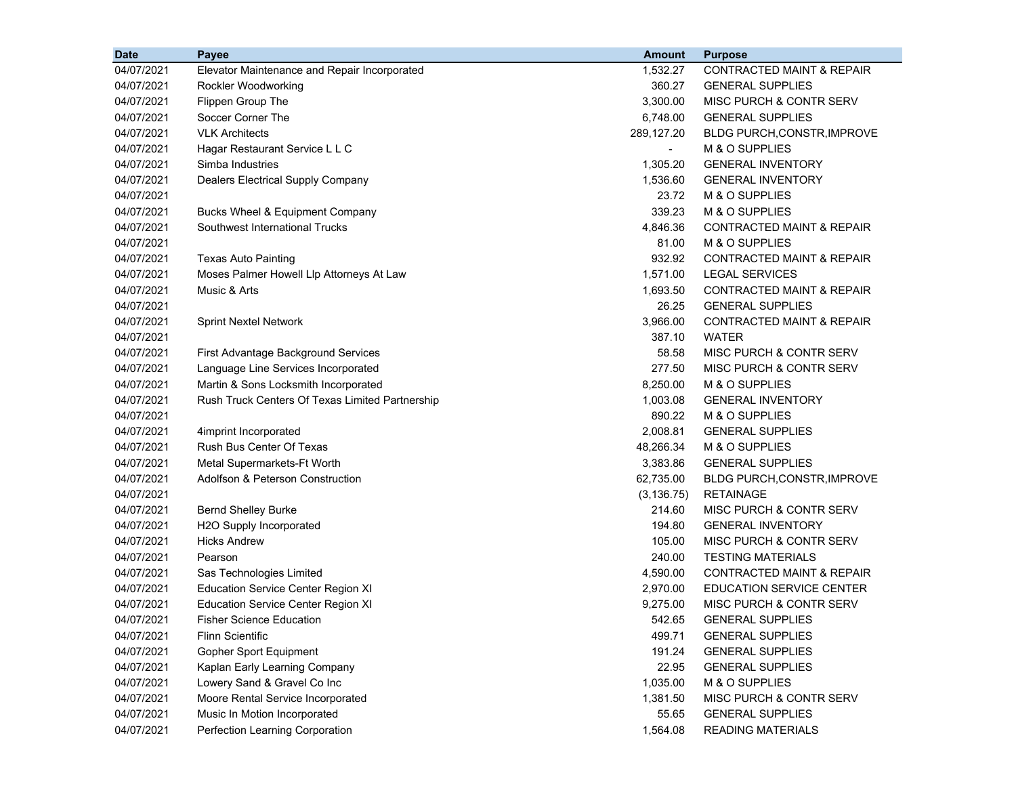| <b>Date</b> | Payee                                           | <b>Amount</b> | <b>Purpose</b>                       |
|-------------|-------------------------------------------------|---------------|--------------------------------------|
| 04/07/2021  | Elevator Maintenance and Repair Incorporated    | 1,532.27      | <b>CONTRACTED MAINT &amp; REPAIR</b> |
| 04/07/2021  | Rockler Woodworking                             | 360.27        | <b>GENERAL SUPPLIES</b>              |
| 04/07/2021  | Flippen Group The                               | 3,300.00      | MISC PURCH & CONTR SERV              |
| 04/07/2021  | Soccer Corner The                               | 6,748.00      | <b>GENERAL SUPPLIES</b>              |
| 04/07/2021  | <b>VLK Architects</b>                           | 289,127.20    | <b>BLDG PURCH, CONSTR, IMPROVE</b>   |
| 04/07/2021  | Hagar Restaurant Service L L C                  |               | M & O SUPPLIES                       |
| 04/07/2021  | Simba Industries                                | 1,305.20      | <b>GENERAL INVENTORY</b>             |
| 04/07/2021  | Dealers Electrical Supply Company               | 1,536.60      | <b>GENERAL INVENTORY</b>             |
| 04/07/2021  |                                                 | 23.72         | M & O SUPPLIES                       |
| 04/07/2021  | Bucks Wheel & Equipment Company                 | 339.23        | M & O SUPPLIES                       |
| 04/07/2021  | Southwest International Trucks                  | 4,846.36      | <b>CONTRACTED MAINT &amp; REPAIR</b> |
| 04/07/2021  |                                                 | 81.00         | M & O SUPPLIES                       |
| 04/07/2021  | <b>Texas Auto Painting</b>                      | 932.92        | <b>CONTRACTED MAINT &amp; REPAIR</b> |
| 04/07/2021  | Moses Palmer Howell Llp Attorneys At Law        | 1,571.00      | <b>LEGAL SERVICES</b>                |
| 04/07/2021  | Music & Arts                                    | 1,693.50      | <b>CONTRACTED MAINT &amp; REPAIR</b> |
| 04/07/2021  |                                                 | 26.25         | <b>GENERAL SUPPLIES</b>              |
| 04/07/2021  | <b>Sprint Nextel Network</b>                    | 3,966.00      | <b>CONTRACTED MAINT &amp; REPAIR</b> |
| 04/07/2021  |                                                 | 387.10        | <b>WATER</b>                         |
| 04/07/2021  | First Advantage Background Services             | 58.58         | MISC PURCH & CONTR SERV              |
| 04/07/2021  | Language Line Services Incorporated             | 277.50        | MISC PURCH & CONTR SERV              |
| 04/07/2021  | Martin & Sons Locksmith Incorporated            | 8,250.00      | M & O SUPPLIES                       |
| 04/07/2021  | Rush Truck Centers Of Texas Limited Partnership | 1,003.08      | <b>GENERAL INVENTORY</b>             |
| 04/07/2021  |                                                 | 890.22        | M & O SUPPLIES                       |
| 04/07/2021  | 4imprint Incorporated                           | 2,008.81      | <b>GENERAL SUPPLIES</b>              |
| 04/07/2021  | Rush Bus Center Of Texas                        | 48,266.34     | M & O SUPPLIES                       |
| 04/07/2021  | Metal Supermarkets-Ft Worth                     | 3,383.86      | <b>GENERAL SUPPLIES</b>              |
| 04/07/2021  | Adolfson & Peterson Construction                | 62,735.00     | BLDG PURCH, CONSTR, IMPROVE          |
| 04/07/2021  |                                                 | (3, 136.75)   | <b>RETAINAGE</b>                     |
| 04/07/2021  | <b>Bernd Shelley Burke</b>                      | 214.60        | MISC PURCH & CONTR SERV              |
| 04/07/2021  | H2O Supply Incorporated                         | 194.80        | <b>GENERAL INVENTORY</b>             |
| 04/07/2021  | <b>Hicks Andrew</b>                             | 105.00        | MISC PURCH & CONTR SERV              |
| 04/07/2021  | Pearson                                         | 240.00        | <b>TESTING MATERIALS</b>             |
| 04/07/2021  | Sas Technologies Limited                        | 4,590.00      | <b>CONTRACTED MAINT &amp; REPAIR</b> |
| 04/07/2021  | <b>Education Service Center Region XI</b>       | 2,970.00      | <b>EDUCATION SERVICE CENTER</b>      |
| 04/07/2021  | <b>Education Service Center Region XI</b>       | 9,275.00      | MISC PURCH & CONTR SERV              |
| 04/07/2021  | <b>Fisher Science Education</b>                 | 542.65        | <b>GENERAL SUPPLIES</b>              |
| 04/07/2021  | <b>Flinn Scientific</b>                         | 499.71        | <b>GENERAL SUPPLIES</b>              |
| 04/07/2021  | <b>Gopher Sport Equipment</b>                   | 191.24        | <b>GENERAL SUPPLIES</b>              |
| 04/07/2021  | Kaplan Early Learning Company                   | 22.95         | <b>GENERAL SUPPLIES</b>              |
| 04/07/2021  | Lowery Sand & Gravel Co Inc                     | 1,035.00      | M & O SUPPLIES                       |
| 04/07/2021  | Moore Rental Service Incorporated               | 1,381.50      | MISC PURCH & CONTR SERV              |
| 04/07/2021  | Music In Motion Incorporated                    | 55.65         | <b>GENERAL SUPPLIES</b>              |
| 04/07/2021  | Perfection Learning Corporation                 | 1,564.08      | <b>READING MATERIALS</b>             |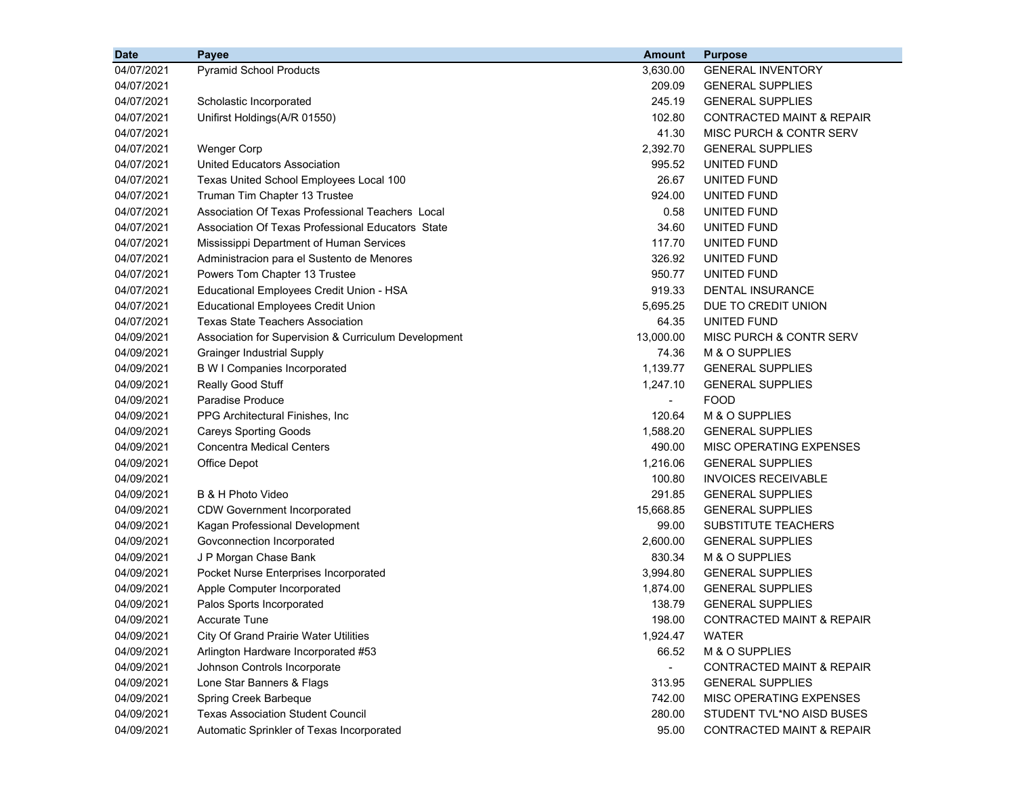| <b>Date</b> | Payee                                                | <b>Amount</b>            | <b>Purpose</b>                       |
|-------------|------------------------------------------------------|--------------------------|--------------------------------------|
| 04/07/2021  | <b>Pyramid School Products</b>                       | 3,630.00                 | <b>GENERAL INVENTORY</b>             |
| 04/07/2021  |                                                      | 209.09                   | <b>GENERAL SUPPLIES</b>              |
| 04/07/2021  | Scholastic Incorporated                              | 245.19                   | <b>GENERAL SUPPLIES</b>              |
| 04/07/2021  | Unifirst Holdings(A/R 01550)                         | 102.80                   | CONTRACTED MAINT & REPAIR            |
| 04/07/2021  |                                                      | 41.30                    | MISC PURCH & CONTR SERV              |
| 04/07/2021  | <b>Wenger Corp</b>                                   | 2,392.70                 | <b>GENERAL SUPPLIES</b>              |
| 04/07/2021  | United Educators Association                         | 995.52                   | UNITED FUND                          |
| 04/07/2021  | Texas United School Employees Local 100              | 26.67                    | UNITED FUND                          |
| 04/07/2021  | Truman Tim Chapter 13 Trustee                        | 924.00                   | UNITED FUND                          |
| 04/07/2021  | Association Of Texas Professional Teachers Local     | 0.58                     | UNITED FUND                          |
| 04/07/2021  | Association Of Texas Professional Educators State    | 34.60                    | UNITED FUND                          |
| 04/07/2021  | Mississippi Department of Human Services             | 117.70                   | UNITED FUND                          |
| 04/07/2021  | Administracion para el Sustento de Menores           | 326.92                   | UNITED FUND                          |
| 04/07/2021  | Powers Tom Chapter 13 Trustee                        | 950.77                   | UNITED FUND                          |
| 04/07/2021  | Educational Employees Credit Union - HSA             | 919.33                   | DENTAL INSURANCE                     |
| 04/07/2021  | <b>Educational Employees Credit Union</b>            | 5,695.25                 | DUE TO CREDIT UNION                  |
| 04/07/2021  | <b>Texas State Teachers Association</b>              | 64.35                    | UNITED FUND                          |
| 04/09/2021  | Association for Supervision & Curriculum Development | 13,000.00                | MISC PURCH & CONTR SERV              |
| 04/09/2021  | <b>Grainger Industrial Supply</b>                    | 74.36                    | M & O SUPPLIES                       |
| 04/09/2021  | <b>B W I Companies Incorporated</b>                  | 1,139.77                 | <b>GENERAL SUPPLIES</b>              |
| 04/09/2021  | Really Good Stuff                                    | 1,247.10                 | <b>GENERAL SUPPLIES</b>              |
| 04/09/2021  | Paradise Produce                                     |                          | <b>FOOD</b>                          |
| 04/09/2021  | PPG Architectural Finishes, Inc.                     | 120.64                   | M & O SUPPLIES                       |
| 04/09/2021  | <b>Careys Sporting Goods</b>                         | 1,588.20                 | <b>GENERAL SUPPLIES</b>              |
| 04/09/2021  | <b>Concentra Medical Centers</b>                     | 490.00                   | MISC OPERATING EXPENSES              |
| 04/09/2021  | Office Depot                                         | 1,216.06                 | <b>GENERAL SUPPLIES</b>              |
| 04/09/2021  |                                                      | 100.80                   | <b>INVOICES RECEIVABLE</b>           |
| 04/09/2021  | B & H Photo Video                                    | 291.85                   | <b>GENERAL SUPPLIES</b>              |
| 04/09/2021  | <b>CDW Government Incorporated</b>                   | 15,668.85                | <b>GENERAL SUPPLIES</b>              |
| 04/09/2021  | Kagan Professional Development                       | 99.00                    | SUBSTITUTE TEACHERS                  |
| 04/09/2021  | Govconnection Incorporated                           | 2,600.00                 | <b>GENERAL SUPPLIES</b>              |
| 04/09/2021  | J P Morgan Chase Bank                                | 830.34                   | M & O SUPPLIES                       |
| 04/09/2021  | Pocket Nurse Enterprises Incorporated                | 3,994.80                 | <b>GENERAL SUPPLIES</b>              |
| 04/09/2021  | Apple Computer Incorporated                          | 1,874.00                 | <b>GENERAL SUPPLIES</b>              |
| 04/09/2021  | Palos Sports Incorporated                            | 138.79                   | <b>GENERAL SUPPLIES</b>              |
| 04/09/2021  | Accurate Tune                                        | 198.00                   | CONTRACTED MAINT & REPAIR            |
| 04/09/2021  | <b>City Of Grand Prairie Water Utilities</b>         | 1,924.47                 | <b>WATER</b>                         |
| 04/09/2021  | Arlington Hardware Incorporated #53                  | 66.52                    | M & O SUPPLIES                       |
| 04/09/2021  | Johnson Controls Incorporate                         | $\overline{\phantom{a}}$ | <b>CONTRACTED MAINT &amp; REPAIR</b> |
| 04/09/2021  | Lone Star Banners & Flags                            | 313.95                   | <b>GENERAL SUPPLIES</b>              |
| 04/09/2021  | Spring Creek Barbeque                                | 742.00                   | MISC OPERATING EXPENSES              |
| 04/09/2021  | <b>Texas Association Student Council</b>             | 280.00                   | STUDENT TVL*NO AISD BUSES            |
| 04/09/2021  | Automatic Sprinkler of Texas Incorporated            | 95.00                    | <b>CONTRACTED MAINT &amp; REPAIR</b> |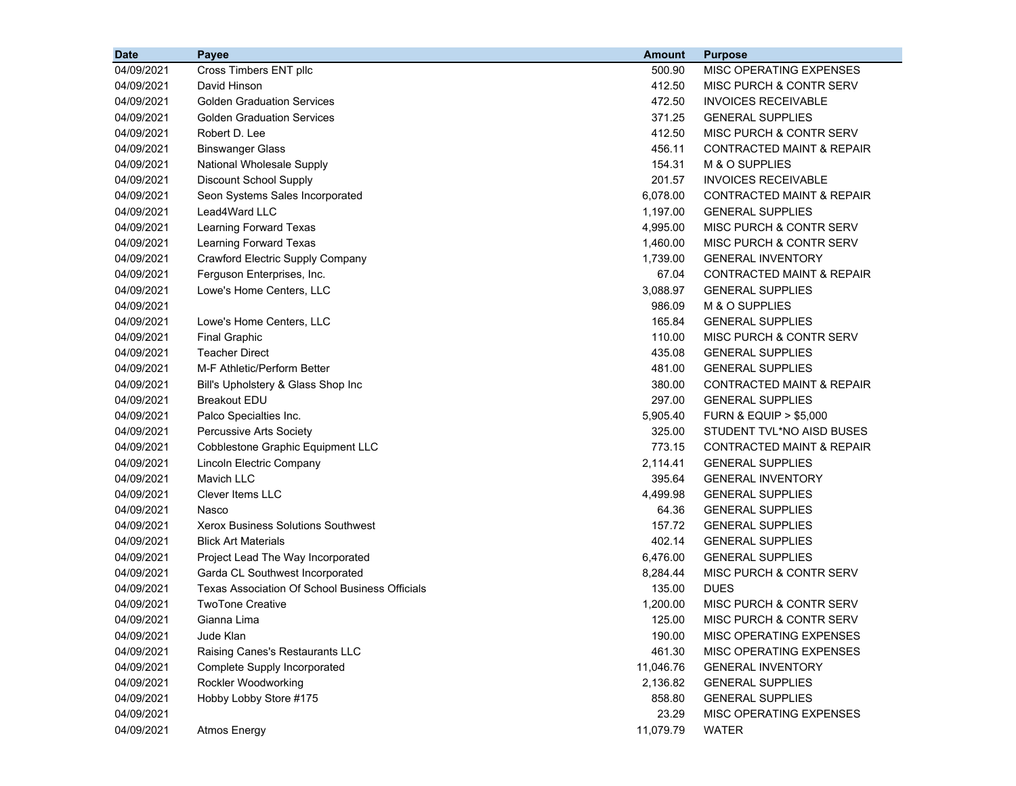| <b>Date</b> | Payee                                          | <b>Amount</b> | <b>Purpose</b>                       |
|-------------|------------------------------------------------|---------------|--------------------------------------|
| 04/09/2021  | Cross Timbers ENT pllc                         | 500.90        | MISC OPERATING EXPENSES              |
| 04/09/2021  | David Hinson                                   | 412.50        | MISC PURCH & CONTR SERV              |
| 04/09/2021  | <b>Golden Graduation Services</b>              | 472.50        | <b>INVOICES RECEIVABLE</b>           |
| 04/09/2021  | <b>Golden Graduation Services</b>              | 371.25        | <b>GENERAL SUPPLIES</b>              |
| 04/09/2021  | Robert D. Lee                                  | 412.50        | MISC PURCH & CONTR SERV              |
| 04/09/2021  | <b>Binswanger Glass</b>                        | 456.11        | <b>CONTRACTED MAINT &amp; REPAIR</b> |
| 04/09/2021  | National Wholesale Supply                      | 154.31        | M & O SUPPLIES                       |
| 04/09/2021  | Discount School Supply                         | 201.57        | <b>INVOICES RECEIVABLE</b>           |
| 04/09/2021  | Seon Systems Sales Incorporated                | 6,078.00      | <b>CONTRACTED MAINT &amp; REPAIR</b> |
| 04/09/2021  | Lead4Ward LLC                                  | 1,197.00      | <b>GENERAL SUPPLIES</b>              |
| 04/09/2021  | Learning Forward Texas                         | 4,995.00      | MISC PURCH & CONTR SERV              |
| 04/09/2021  | Learning Forward Texas                         | 1,460.00      | MISC PURCH & CONTR SERV              |
| 04/09/2021  | <b>Crawford Electric Supply Company</b>        | 1,739.00      | <b>GENERAL INVENTORY</b>             |
| 04/09/2021  | Ferguson Enterprises, Inc.                     | 67.04         | <b>CONTRACTED MAINT &amp; REPAIR</b> |
| 04/09/2021  | Lowe's Home Centers, LLC                       | 3,088.97      | <b>GENERAL SUPPLIES</b>              |
| 04/09/2021  |                                                | 986.09        | M & O SUPPLIES                       |
| 04/09/2021  | Lowe's Home Centers, LLC                       | 165.84        | <b>GENERAL SUPPLIES</b>              |
| 04/09/2021  | <b>Final Graphic</b>                           | 110.00        | MISC PURCH & CONTR SERV              |
| 04/09/2021  | <b>Teacher Direct</b>                          | 435.08        | <b>GENERAL SUPPLIES</b>              |
| 04/09/2021  | M-F Athletic/Perform Better                    | 481.00        | <b>GENERAL SUPPLIES</b>              |
| 04/09/2021  | Bill's Upholstery & Glass Shop Inc             | 380.00        | <b>CONTRACTED MAINT &amp; REPAIR</b> |
| 04/09/2021  | <b>Breakout EDU</b>                            | 297.00        | <b>GENERAL SUPPLIES</b>              |
| 04/09/2021  | Palco Specialties Inc.                         | 5,905.40      | <b>FURN &amp; EQUIP &gt; \$5,000</b> |
| 04/09/2021  | Percussive Arts Society                        | 325.00        | STUDENT TVL*NO AISD BUSES            |
| 04/09/2021  | <b>Cobblestone Graphic Equipment LLC</b>       | 773.15        | <b>CONTRACTED MAINT &amp; REPAIR</b> |
| 04/09/2021  | Lincoln Electric Company                       | 2,114.41      | <b>GENERAL SUPPLIES</b>              |
| 04/09/2021  | <b>Mavich LLC</b>                              | 395.64        | <b>GENERAL INVENTORY</b>             |
| 04/09/2021  | <b>Clever Items LLC</b>                        | 4,499.98      | <b>GENERAL SUPPLIES</b>              |
| 04/09/2021  | Nasco                                          | 64.36         | <b>GENERAL SUPPLIES</b>              |
| 04/09/2021  | <b>Xerox Business Solutions Southwest</b>      | 157.72        | <b>GENERAL SUPPLIES</b>              |
| 04/09/2021  | <b>Blick Art Materials</b>                     | 402.14        | <b>GENERAL SUPPLIES</b>              |
| 04/09/2021  | Project Lead The Way Incorporated              | 6,476.00      | <b>GENERAL SUPPLIES</b>              |
| 04/09/2021  | Garda CL Southwest Incorporated                | 8,284.44      | <b>MISC PURCH &amp; CONTR SERV</b>   |
| 04/09/2021  | Texas Association Of School Business Officials | 135.00        | <b>DUES</b>                          |
| 04/09/2021  | <b>TwoTone Creative</b>                        | 1,200.00      | MISC PURCH & CONTR SERV              |
| 04/09/2021  | Gianna Lima                                    | 125.00        | MISC PURCH & CONTR SERV              |
| 04/09/2021  | Jude Klan                                      | 190.00        | MISC OPERATING EXPENSES              |
| 04/09/2021  | Raising Canes's Restaurants LLC                | 461.30        | MISC OPERATING EXPENSES              |
| 04/09/2021  | Complete Supply Incorporated                   | 11,046.76     | <b>GENERAL INVENTORY</b>             |
| 04/09/2021  | Rockler Woodworking                            | 2,136.82      | <b>GENERAL SUPPLIES</b>              |
| 04/09/2021  | Hobby Lobby Store #175                         | 858.80        | <b>GENERAL SUPPLIES</b>              |
| 04/09/2021  |                                                | 23.29         | MISC OPERATING EXPENSES              |
| 04/09/2021  | Atmos Energy                                   | 11,079.79     | <b>WATER</b>                         |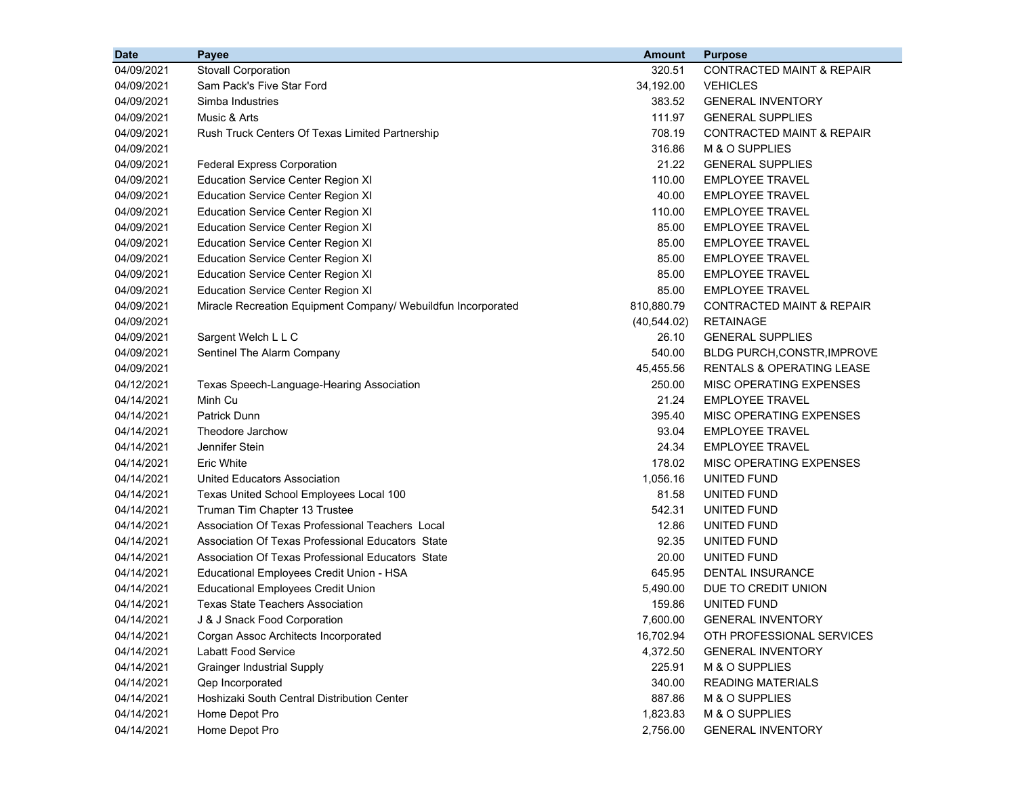| <b>Date</b> | Payee                                                         | <b>Amount</b> | <b>Purpose</b>                       |
|-------------|---------------------------------------------------------------|---------------|--------------------------------------|
| 04/09/2021  | <b>Stovall Corporation</b>                                    | 320.51        | <b>CONTRACTED MAINT &amp; REPAIR</b> |
| 04/09/2021  | Sam Pack's Five Star Ford                                     | 34,192.00     | <b>VEHICLES</b>                      |
| 04/09/2021  | Simba Industries                                              | 383.52        | <b>GENERAL INVENTORY</b>             |
| 04/09/2021  | Music & Arts                                                  | 111.97        | <b>GENERAL SUPPLIES</b>              |
| 04/09/2021  | Rush Truck Centers Of Texas Limited Partnership               | 708.19        | <b>CONTRACTED MAINT &amp; REPAIR</b> |
| 04/09/2021  |                                                               | 316.86        | M & O SUPPLIES                       |
| 04/09/2021  | <b>Federal Express Corporation</b>                            | 21.22         | <b>GENERAL SUPPLIES</b>              |
| 04/09/2021  | <b>Education Service Center Region XI</b>                     | 110.00        | <b>EMPLOYEE TRAVEL</b>               |
| 04/09/2021  | <b>Education Service Center Region XI</b>                     | 40.00         | <b>EMPLOYEE TRAVEL</b>               |
| 04/09/2021  | <b>Education Service Center Region XI</b>                     | 110.00        | <b>EMPLOYEE TRAVEL</b>               |
| 04/09/2021  | <b>Education Service Center Region XI</b>                     | 85.00         | <b>EMPLOYEE TRAVEL</b>               |
| 04/09/2021  | <b>Education Service Center Region XI</b>                     | 85.00         | <b>EMPLOYEE TRAVEL</b>               |
| 04/09/2021  | <b>Education Service Center Region XI</b>                     | 85.00         | <b>EMPLOYEE TRAVEL</b>               |
| 04/09/2021  | <b>Education Service Center Region XI</b>                     | 85.00         | <b>EMPLOYEE TRAVEL</b>               |
| 04/09/2021  | <b>Education Service Center Region XI</b>                     | 85.00         | <b>EMPLOYEE TRAVEL</b>               |
| 04/09/2021  | Miracle Recreation Equipment Company/ Webuildfun Incorporated | 810,880.79    | <b>CONTRACTED MAINT &amp; REPAIR</b> |
| 04/09/2021  |                                                               | (40, 544.02)  | <b>RETAINAGE</b>                     |
| 04/09/2021  | Sargent Welch L L C                                           | 26.10         | <b>GENERAL SUPPLIES</b>              |
| 04/09/2021  | Sentinel The Alarm Company                                    | 540.00        | <b>BLDG PURCH, CONSTR, IMPROVE</b>   |
| 04/09/2021  |                                                               | 45,455.56     | RENTALS & OPERATING LEASE            |
| 04/12/2021  | Texas Speech-Language-Hearing Association                     | 250.00        | MISC OPERATING EXPENSES              |
| 04/14/2021  | Minh Cu                                                       | 21.24         | <b>EMPLOYEE TRAVEL</b>               |
| 04/14/2021  | <b>Patrick Dunn</b>                                           | 395.40        | MISC OPERATING EXPENSES              |
| 04/14/2021  | Theodore Jarchow                                              | 93.04         | <b>EMPLOYEE TRAVEL</b>               |
| 04/14/2021  | Jennifer Stein                                                | 24.34         | <b>EMPLOYEE TRAVEL</b>               |
| 04/14/2021  | Eric White                                                    | 178.02        | MISC OPERATING EXPENSES              |
| 04/14/2021  | United Educators Association                                  | 1,056.16      | UNITED FUND                          |
| 04/14/2021  | Texas United School Employees Local 100                       | 81.58         | UNITED FUND                          |
| 04/14/2021  | Truman Tim Chapter 13 Trustee                                 | 542.31        | UNITED FUND                          |
| 04/14/2021  | Association Of Texas Professional Teachers Local              | 12.86         | UNITED FUND                          |
| 04/14/2021  | Association Of Texas Professional Educators State             | 92.35         | UNITED FUND                          |
| 04/14/2021  | Association Of Texas Professional Educators State             | 20.00         | UNITED FUND                          |
| 04/14/2021  | Educational Employees Credit Union - HSA                      | 645.95        | DENTAL INSURANCE                     |
| 04/14/2021  | <b>Educational Employees Credit Union</b>                     | 5,490.00      | DUE TO CREDIT UNION                  |
| 04/14/2021  | <b>Texas State Teachers Association</b>                       | 159.86        | UNITED FUND                          |
| 04/14/2021  | J & J Snack Food Corporation                                  | 7,600.00      | <b>GENERAL INVENTORY</b>             |
| 04/14/2021  | Corgan Assoc Architects Incorporated                          | 16,702.94     | OTH PROFESSIONAL SERVICES            |
| 04/14/2021  | Labatt Food Service                                           | 4,372.50      | <b>GENERAL INVENTORY</b>             |
| 04/14/2021  | <b>Grainger Industrial Supply</b>                             | 225.91        | M & O SUPPLIES                       |
| 04/14/2021  | Qep Incorporated                                              | 340.00        | <b>READING MATERIALS</b>             |
| 04/14/2021  | Hoshizaki South Central Distribution Center                   | 887.86        | M & O SUPPLIES                       |
| 04/14/2021  | Home Depot Pro                                                | 1,823.83      | M & O SUPPLIES                       |
| 04/14/2021  | Home Depot Pro                                                | 2,756.00      | <b>GENERAL INVENTORY</b>             |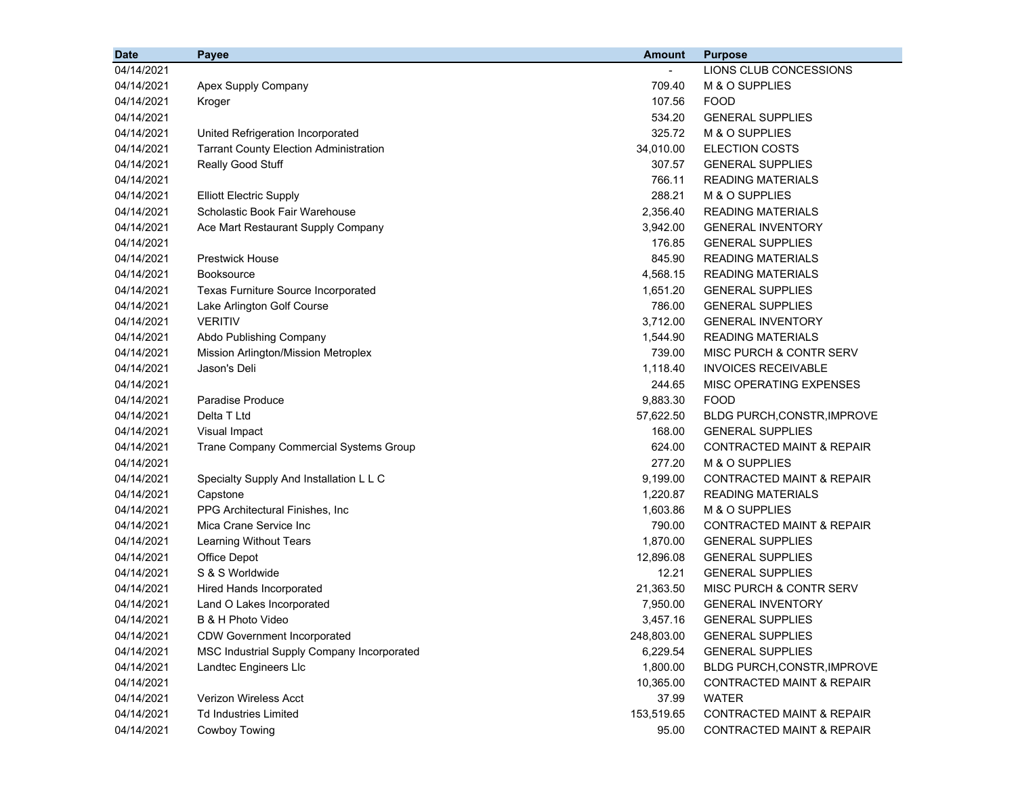| 04/14/2021<br>LIONS CLUB CONCESSIONS<br>709.40<br>M & O SUPPLIES<br>04/14/2021<br>Apex Supply Company<br>107.56<br><b>FOOD</b><br>04/14/2021<br>Kroger<br>534.20<br><b>GENERAL SUPPLIES</b><br>04/14/2021<br>325.72<br>M & O SUPPLIES<br>04/14/2021<br>United Refrigeration Incorporated<br>34,010.00<br>ELECTION COSTS<br>04/14/2021<br><b>Tarrant County Election Administration</b><br>307.57<br>Really Good Stuff<br>04/14/2021<br><b>GENERAL SUPPLIES</b><br>766.11<br><b>READING MATERIALS</b><br>04/14/2021<br>288.21<br>M & O SUPPLIES<br>04/14/2021<br><b>Elliott Electric Supply</b><br>Scholastic Book Fair Warehouse<br>2,356.40<br>04/14/2021<br>READING MATERIALS<br>04/14/2021<br>3,942.00<br><b>GENERAL INVENTORY</b><br>Ace Mart Restaurant Supply Company<br>04/14/2021<br>176.85<br><b>GENERAL SUPPLIES</b><br>04/14/2021<br><b>Prestwick House</b><br>845.90<br><b>READING MATERIALS</b><br>4,568.15<br>04/14/2021<br><b>Booksource</b><br><b>READING MATERIALS</b><br>04/14/2021<br>Texas Furniture Source Incorporated<br>1,651.20<br><b>GENERAL SUPPLIES</b><br>786.00<br>04/14/2021<br>Lake Arlington Golf Course<br><b>GENERAL SUPPLIES</b><br><b>VERITIV</b><br>3,712.00<br>04/14/2021<br><b>GENERAL INVENTORY</b><br>04/14/2021<br>Abdo Publishing Company<br>1,544.90<br><b>READING MATERIALS</b><br>04/14/2021<br>739.00<br><b>MISC PURCH &amp; CONTR SERV</b><br>Mission Arlington/Mission Metroplex<br>04/14/2021<br>1,118.40<br><b>INVOICES RECEIVABLE</b><br>Jason's Deli<br>244.65<br><b>MISC OPERATING EXPENSES</b><br>04/14/2021<br>04/14/2021<br>Paradise Produce<br>9,883.30<br><b>FOOD</b><br>04/14/2021<br>Delta T Ltd<br>57,622.50<br>BLDG PURCH, CONSTR, IMPROVE<br>04/14/2021<br>Visual Impact<br>168.00<br><b>GENERAL SUPPLIES</b><br>04/14/2021<br>624.00<br><b>CONTRACTED MAINT &amp; REPAIR</b><br>Trane Company Commercial Systems Group<br>04/14/2021<br>277.20<br>M & O SUPPLIES<br>9,199.00<br><b>CONTRACTED MAINT &amp; REPAIR</b><br>04/14/2021<br>Specialty Supply And Installation L L C<br>1,220.87<br>04/14/2021<br>Capstone<br><b>READING MATERIALS</b><br>PPG Architectural Finishes, Inc<br>1,603.86<br>M & O SUPPLIES<br>04/14/2021<br>Mica Crane Service Inc<br>790.00<br><b>CONTRACTED MAINT &amp; REPAIR</b><br>04/14/2021<br>1,870.00<br>04/14/2021<br>Learning Without Tears<br><b>GENERAL SUPPLIES</b><br>12,896.08<br>04/14/2021<br>Office Depot<br><b>GENERAL SUPPLIES</b><br>S & S Worldwide<br>12.21<br>04/14/2021<br><b>GENERAL SUPPLIES</b><br>04/14/2021<br>Hired Hands Incorporated<br>21,363.50<br>MISC PURCH & CONTR SERV<br>04/14/2021<br>7,950.00<br><b>GENERAL INVENTORY</b><br>Land O Lakes Incorporated<br>04/14/2021<br>3,457.16<br>B & H Photo Video<br><b>GENERAL SUPPLIES</b><br>04/14/2021<br><b>CDW Government Incorporated</b><br>248,803.00<br><b>GENERAL SUPPLIES</b><br>04/14/2021<br>MSC Industrial Supply Company Incorporated<br>6,229.54<br><b>GENERAL SUPPLIES</b><br>04/14/2021<br>Landtec Engineers Llc<br>1,800.00<br>BLDG PURCH, CONSTR, IMPROVE<br>10,365.00<br>04/14/2021<br><b>CONTRACTED MAINT &amp; REPAIR</b><br>04/14/2021<br><b>Verizon Wireless Acct</b><br><b>WATER</b><br>37.99<br>04/14/2021<br><b>Td Industries Limited</b><br>153,519.65<br>CONTRACTED MAINT & REPAIR<br><b>Cowboy Towing</b><br>04/14/2021<br>95.00<br><b>CONTRACTED MAINT &amp; REPAIR</b> | <b>Date</b> | Payee | <b>Amount</b> | <b>Purpose</b> |
|---------------------------------------------------------------------------------------------------------------------------------------------------------------------------------------------------------------------------------------------------------------------------------------------------------------------------------------------------------------------------------------------------------------------------------------------------------------------------------------------------------------------------------------------------------------------------------------------------------------------------------------------------------------------------------------------------------------------------------------------------------------------------------------------------------------------------------------------------------------------------------------------------------------------------------------------------------------------------------------------------------------------------------------------------------------------------------------------------------------------------------------------------------------------------------------------------------------------------------------------------------------------------------------------------------------------------------------------------------------------------------------------------------------------------------------------------------------------------------------------------------------------------------------------------------------------------------------------------------------------------------------------------------------------------------------------------------------------------------------------------------------------------------------------------------------------------------------------------------------------------------------------------------------------------------------------------------------------------------------------------------------------------------------------------------------------------------------------------------------------------------------------------------------------------------------------------------------------------------------------------------------------------------------------------------------------------------------------------------------------------------------------------------------------------------------------------------------------------------------------------------------------------------------------------------------------------------------------------------------------------------------------------------------------------------------------------------------------------------------------------------------------------------------------------------------------------------------------------------------------------------------------------------------------------------------------------------------------------------------------------------------------------------------------------------------------------------------------------------------------------------------------------------------------------------------------------------------------------------------------------------------------------------------------------------------------------------------------------------------------------------|-------------|-------|---------------|----------------|
|                                                                                                                                                                                                                                                                                                                                                                                                                                                                                                                                                                                                                                                                                                                                                                                                                                                                                                                                                                                                                                                                                                                                                                                                                                                                                                                                                                                                                                                                                                                                                                                                                                                                                                                                                                                                                                                                                                                                                                                                                                                                                                                                                                                                                                                                                                                                                                                                                                                                                                                                                                                                                                                                                                                                                                                                                                                                                                                                                                                                                                                                                                                                                                                                                                                                                                                                                                                 |             |       |               |                |
|                                                                                                                                                                                                                                                                                                                                                                                                                                                                                                                                                                                                                                                                                                                                                                                                                                                                                                                                                                                                                                                                                                                                                                                                                                                                                                                                                                                                                                                                                                                                                                                                                                                                                                                                                                                                                                                                                                                                                                                                                                                                                                                                                                                                                                                                                                                                                                                                                                                                                                                                                                                                                                                                                                                                                                                                                                                                                                                                                                                                                                                                                                                                                                                                                                                                                                                                                                                 |             |       |               |                |
|                                                                                                                                                                                                                                                                                                                                                                                                                                                                                                                                                                                                                                                                                                                                                                                                                                                                                                                                                                                                                                                                                                                                                                                                                                                                                                                                                                                                                                                                                                                                                                                                                                                                                                                                                                                                                                                                                                                                                                                                                                                                                                                                                                                                                                                                                                                                                                                                                                                                                                                                                                                                                                                                                                                                                                                                                                                                                                                                                                                                                                                                                                                                                                                                                                                                                                                                                                                 |             |       |               |                |
|                                                                                                                                                                                                                                                                                                                                                                                                                                                                                                                                                                                                                                                                                                                                                                                                                                                                                                                                                                                                                                                                                                                                                                                                                                                                                                                                                                                                                                                                                                                                                                                                                                                                                                                                                                                                                                                                                                                                                                                                                                                                                                                                                                                                                                                                                                                                                                                                                                                                                                                                                                                                                                                                                                                                                                                                                                                                                                                                                                                                                                                                                                                                                                                                                                                                                                                                                                                 |             |       |               |                |
|                                                                                                                                                                                                                                                                                                                                                                                                                                                                                                                                                                                                                                                                                                                                                                                                                                                                                                                                                                                                                                                                                                                                                                                                                                                                                                                                                                                                                                                                                                                                                                                                                                                                                                                                                                                                                                                                                                                                                                                                                                                                                                                                                                                                                                                                                                                                                                                                                                                                                                                                                                                                                                                                                                                                                                                                                                                                                                                                                                                                                                                                                                                                                                                                                                                                                                                                                                                 |             |       |               |                |
|                                                                                                                                                                                                                                                                                                                                                                                                                                                                                                                                                                                                                                                                                                                                                                                                                                                                                                                                                                                                                                                                                                                                                                                                                                                                                                                                                                                                                                                                                                                                                                                                                                                                                                                                                                                                                                                                                                                                                                                                                                                                                                                                                                                                                                                                                                                                                                                                                                                                                                                                                                                                                                                                                                                                                                                                                                                                                                                                                                                                                                                                                                                                                                                                                                                                                                                                                                                 |             |       |               |                |
|                                                                                                                                                                                                                                                                                                                                                                                                                                                                                                                                                                                                                                                                                                                                                                                                                                                                                                                                                                                                                                                                                                                                                                                                                                                                                                                                                                                                                                                                                                                                                                                                                                                                                                                                                                                                                                                                                                                                                                                                                                                                                                                                                                                                                                                                                                                                                                                                                                                                                                                                                                                                                                                                                                                                                                                                                                                                                                                                                                                                                                                                                                                                                                                                                                                                                                                                                                                 |             |       |               |                |
|                                                                                                                                                                                                                                                                                                                                                                                                                                                                                                                                                                                                                                                                                                                                                                                                                                                                                                                                                                                                                                                                                                                                                                                                                                                                                                                                                                                                                                                                                                                                                                                                                                                                                                                                                                                                                                                                                                                                                                                                                                                                                                                                                                                                                                                                                                                                                                                                                                                                                                                                                                                                                                                                                                                                                                                                                                                                                                                                                                                                                                                                                                                                                                                                                                                                                                                                                                                 |             |       |               |                |
|                                                                                                                                                                                                                                                                                                                                                                                                                                                                                                                                                                                                                                                                                                                                                                                                                                                                                                                                                                                                                                                                                                                                                                                                                                                                                                                                                                                                                                                                                                                                                                                                                                                                                                                                                                                                                                                                                                                                                                                                                                                                                                                                                                                                                                                                                                                                                                                                                                                                                                                                                                                                                                                                                                                                                                                                                                                                                                                                                                                                                                                                                                                                                                                                                                                                                                                                                                                 |             |       |               |                |
|                                                                                                                                                                                                                                                                                                                                                                                                                                                                                                                                                                                                                                                                                                                                                                                                                                                                                                                                                                                                                                                                                                                                                                                                                                                                                                                                                                                                                                                                                                                                                                                                                                                                                                                                                                                                                                                                                                                                                                                                                                                                                                                                                                                                                                                                                                                                                                                                                                                                                                                                                                                                                                                                                                                                                                                                                                                                                                                                                                                                                                                                                                                                                                                                                                                                                                                                                                                 |             |       |               |                |
|                                                                                                                                                                                                                                                                                                                                                                                                                                                                                                                                                                                                                                                                                                                                                                                                                                                                                                                                                                                                                                                                                                                                                                                                                                                                                                                                                                                                                                                                                                                                                                                                                                                                                                                                                                                                                                                                                                                                                                                                                                                                                                                                                                                                                                                                                                                                                                                                                                                                                                                                                                                                                                                                                                                                                                                                                                                                                                                                                                                                                                                                                                                                                                                                                                                                                                                                                                                 |             |       |               |                |
|                                                                                                                                                                                                                                                                                                                                                                                                                                                                                                                                                                                                                                                                                                                                                                                                                                                                                                                                                                                                                                                                                                                                                                                                                                                                                                                                                                                                                                                                                                                                                                                                                                                                                                                                                                                                                                                                                                                                                                                                                                                                                                                                                                                                                                                                                                                                                                                                                                                                                                                                                                                                                                                                                                                                                                                                                                                                                                                                                                                                                                                                                                                                                                                                                                                                                                                                                                                 |             |       |               |                |
|                                                                                                                                                                                                                                                                                                                                                                                                                                                                                                                                                                                                                                                                                                                                                                                                                                                                                                                                                                                                                                                                                                                                                                                                                                                                                                                                                                                                                                                                                                                                                                                                                                                                                                                                                                                                                                                                                                                                                                                                                                                                                                                                                                                                                                                                                                                                                                                                                                                                                                                                                                                                                                                                                                                                                                                                                                                                                                                                                                                                                                                                                                                                                                                                                                                                                                                                                                                 |             |       |               |                |
|                                                                                                                                                                                                                                                                                                                                                                                                                                                                                                                                                                                                                                                                                                                                                                                                                                                                                                                                                                                                                                                                                                                                                                                                                                                                                                                                                                                                                                                                                                                                                                                                                                                                                                                                                                                                                                                                                                                                                                                                                                                                                                                                                                                                                                                                                                                                                                                                                                                                                                                                                                                                                                                                                                                                                                                                                                                                                                                                                                                                                                                                                                                                                                                                                                                                                                                                                                                 |             |       |               |                |
|                                                                                                                                                                                                                                                                                                                                                                                                                                                                                                                                                                                                                                                                                                                                                                                                                                                                                                                                                                                                                                                                                                                                                                                                                                                                                                                                                                                                                                                                                                                                                                                                                                                                                                                                                                                                                                                                                                                                                                                                                                                                                                                                                                                                                                                                                                                                                                                                                                                                                                                                                                                                                                                                                                                                                                                                                                                                                                                                                                                                                                                                                                                                                                                                                                                                                                                                                                                 |             |       |               |                |
|                                                                                                                                                                                                                                                                                                                                                                                                                                                                                                                                                                                                                                                                                                                                                                                                                                                                                                                                                                                                                                                                                                                                                                                                                                                                                                                                                                                                                                                                                                                                                                                                                                                                                                                                                                                                                                                                                                                                                                                                                                                                                                                                                                                                                                                                                                                                                                                                                                                                                                                                                                                                                                                                                                                                                                                                                                                                                                                                                                                                                                                                                                                                                                                                                                                                                                                                                                                 |             |       |               |                |
|                                                                                                                                                                                                                                                                                                                                                                                                                                                                                                                                                                                                                                                                                                                                                                                                                                                                                                                                                                                                                                                                                                                                                                                                                                                                                                                                                                                                                                                                                                                                                                                                                                                                                                                                                                                                                                                                                                                                                                                                                                                                                                                                                                                                                                                                                                                                                                                                                                                                                                                                                                                                                                                                                                                                                                                                                                                                                                                                                                                                                                                                                                                                                                                                                                                                                                                                                                                 |             |       |               |                |
|                                                                                                                                                                                                                                                                                                                                                                                                                                                                                                                                                                                                                                                                                                                                                                                                                                                                                                                                                                                                                                                                                                                                                                                                                                                                                                                                                                                                                                                                                                                                                                                                                                                                                                                                                                                                                                                                                                                                                                                                                                                                                                                                                                                                                                                                                                                                                                                                                                                                                                                                                                                                                                                                                                                                                                                                                                                                                                                                                                                                                                                                                                                                                                                                                                                                                                                                                                                 |             |       |               |                |
|                                                                                                                                                                                                                                                                                                                                                                                                                                                                                                                                                                                                                                                                                                                                                                                                                                                                                                                                                                                                                                                                                                                                                                                                                                                                                                                                                                                                                                                                                                                                                                                                                                                                                                                                                                                                                                                                                                                                                                                                                                                                                                                                                                                                                                                                                                                                                                                                                                                                                                                                                                                                                                                                                                                                                                                                                                                                                                                                                                                                                                                                                                                                                                                                                                                                                                                                                                                 |             |       |               |                |
|                                                                                                                                                                                                                                                                                                                                                                                                                                                                                                                                                                                                                                                                                                                                                                                                                                                                                                                                                                                                                                                                                                                                                                                                                                                                                                                                                                                                                                                                                                                                                                                                                                                                                                                                                                                                                                                                                                                                                                                                                                                                                                                                                                                                                                                                                                                                                                                                                                                                                                                                                                                                                                                                                                                                                                                                                                                                                                                                                                                                                                                                                                                                                                                                                                                                                                                                                                                 |             |       |               |                |
|                                                                                                                                                                                                                                                                                                                                                                                                                                                                                                                                                                                                                                                                                                                                                                                                                                                                                                                                                                                                                                                                                                                                                                                                                                                                                                                                                                                                                                                                                                                                                                                                                                                                                                                                                                                                                                                                                                                                                                                                                                                                                                                                                                                                                                                                                                                                                                                                                                                                                                                                                                                                                                                                                                                                                                                                                                                                                                                                                                                                                                                                                                                                                                                                                                                                                                                                                                                 |             |       |               |                |
|                                                                                                                                                                                                                                                                                                                                                                                                                                                                                                                                                                                                                                                                                                                                                                                                                                                                                                                                                                                                                                                                                                                                                                                                                                                                                                                                                                                                                                                                                                                                                                                                                                                                                                                                                                                                                                                                                                                                                                                                                                                                                                                                                                                                                                                                                                                                                                                                                                                                                                                                                                                                                                                                                                                                                                                                                                                                                                                                                                                                                                                                                                                                                                                                                                                                                                                                                                                 |             |       |               |                |
|                                                                                                                                                                                                                                                                                                                                                                                                                                                                                                                                                                                                                                                                                                                                                                                                                                                                                                                                                                                                                                                                                                                                                                                                                                                                                                                                                                                                                                                                                                                                                                                                                                                                                                                                                                                                                                                                                                                                                                                                                                                                                                                                                                                                                                                                                                                                                                                                                                                                                                                                                                                                                                                                                                                                                                                                                                                                                                                                                                                                                                                                                                                                                                                                                                                                                                                                                                                 |             |       |               |                |
|                                                                                                                                                                                                                                                                                                                                                                                                                                                                                                                                                                                                                                                                                                                                                                                                                                                                                                                                                                                                                                                                                                                                                                                                                                                                                                                                                                                                                                                                                                                                                                                                                                                                                                                                                                                                                                                                                                                                                                                                                                                                                                                                                                                                                                                                                                                                                                                                                                                                                                                                                                                                                                                                                                                                                                                                                                                                                                                                                                                                                                                                                                                                                                                                                                                                                                                                                                                 |             |       |               |                |
|                                                                                                                                                                                                                                                                                                                                                                                                                                                                                                                                                                                                                                                                                                                                                                                                                                                                                                                                                                                                                                                                                                                                                                                                                                                                                                                                                                                                                                                                                                                                                                                                                                                                                                                                                                                                                                                                                                                                                                                                                                                                                                                                                                                                                                                                                                                                                                                                                                                                                                                                                                                                                                                                                                                                                                                                                                                                                                                                                                                                                                                                                                                                                                                                                                                                                                                                                                                 |             |       |               |                |
|                                                                                                                                                                                                                                                                                                                                                                                                                                                                                                                                                                                                                                                                                                                                                                                                                                                                                                                                                                                                                                                                                                                                                                                                                                                                                                                                                                                                                                                                                                                                                                                                                                                                                                                                                                                                                                                                                                                                                                                                                                                                                                                                                                                                                                                                                                                                                                                                                                                                                                                                                                                                                                                                                                                                                                                                                                                                                                                                                                                                                                                                                                                                                                                                                                                                                                                                                                                 |             |       |               |                |
|                                                                                                                                                                                                                                                                                                                                                                                                                                                                                                                                                                                                                                                                                                                                                                                                                                                                                                                                                                                                                                                                                                                                                                                                                                                                                                                                                                                                                                                                                                                                                                                                                                                                                                                                                                                                                                                                                                                                                                                                                                                                                                                                                                                                                                                                                                                                                                                                                                                                                                                                                                                                                                                                                                                                                                                                                                                                                                                                                                                                                                                                                                                                                                                                                                                                                                                                                                                 |             |       |               |                |
|                                                                                                                                                                                                                                                                                                                                                                                                                                                                                                                                                                                                                                                                                                                                                                                                                                                                                                                                                                                                                                                                                                                                                                                                                                                                                                                                                                                                                                                                                                                                                                                                                                                                                                                                                                                                                                                                                                                                                                                                                                                                                                                                                                                                                                                                                                                                                                                                                                                                                                                                                                                                                                                                                                                                                                                                                                                                                                                                                                                                                                                                                                                                                                                                                                                                                                                                                                                 |             |       |               |                |
|                                                                                                                                                                                                                                                                                                                                                                                                                                                                                                                                                                                                                                                                                                                                                                                                                                                                                                                                                                                                                                                                                                                                                                                                                                                                                                                                                                                                                                                                                                                                                                                                                                                                                                                                                                                                                                                                                                                                                                                                                                                                                                                                                                                                                                                                                                                                                                                                                                                                                                                                                                                                                                                                                                                                                                                                                                                                                                                                                                                                                                                                                                                                                                                                                                                                                                                                                                                 |             |       |               |                |
|                                                                                                                                                                                                                                                                                                                                                                                                                                                                                                                                                                                                                                                                                                                                                                                                                                                                                                                                                                                                                                                                                                                                                                                                                                                                                                                                                                                                                                                                                                                                                                                                                                                                                                                                                                                                                                                                                                                                                                                                                                                                                                                                                                                                                                                                                                                                                                                                                                                                                                                                                                                                                                                                                                                                                                                                                                                                                                                                                                                                                                                                                                                                                                                                                                                                                                                                                                                 |             |       |               |                |
|                                                                                                                                                                                                                                                                                                                                                                                                                                                                                                                                                                                                                                                                                                                                                                                                                                                                                                                                                                                                                                                                                                                                                                                                                                                                                                                                                                                                                                                                                                                                                                                                                                                                                                                                                                                                                                                                                                                                                                                                                                                                                                                                                                                                                                                                                                                                                                                                                                                                                                                                                                                                                                                                                                                                                                                                                                                                                                                                                                                                                                                                                                                                                                                                                                                                                                                                                                                 |             |       |               |                |
|                                                                                                                                                                                                                                                                                                                                                                                                                                                                                                                                                                                                                                                                                                                                                                                                                                                                                                                                                                                                                                                                                                                                                                                                                                                                                                                                                                                                                                                                                                                                                                                                                                                                                                                                                                                                                                                                                                                                                                                                                                                                                                                                                                                                                                                                                                                                                                                                                                                                                                                                                                                                                                                                                                                                                                                                                                                                                                                                                                                                                                                                                                                                                                                                                                                                                                                                                                                 |             |       |               |                |
|                                                                                                                                                                                                                                                                                                                                                                                                                                                                                                                                                                                                                                                                                                                                                                                                                                                                                                                                                                                                                                                                                                                                                                                                                                                                                                                                                                                                                                                                                                                                                                                                                                                                                                                                                                                                                                                                                                                                                                                                                                                                                                                                                                                                                                                                                                                                                                                                                                                                                                                                                                                                                                                                                                                                                                                                                                                                                                                                                                                                                                                                                                                                                                                                                                                                                                                                                                                 |             |       |               |                |
|                                                                                                                                                                                                                                                                                                                                                                                                                                                                                                                                                                                                                                                                                                                                                                                                                                                                                                                                                                                                                                                                                                                                                                                                                                                                                                                                                                                                                                                                                                                                                                                                                                                                                                                                                                                                                                                                                                                                                                                                                                                                                                                                                                                                                                                                                                                                                                                                                                                                                                                                                                                                                                                                                                                                                                                                                                                                                                                                                                                                                                                                                                                                                                                                                                                                                                                                                                                 |             |       |               |                |
|                                                                                                                                                                                                                                                                                                                                                                                                                                                                                                                                                                                                                                                                                                                                                                                                                                                                                                                                                                                                                                                                                                                                                                                                                                                                                                                                                                                                                                                                                                                                                                                                                                                                                                                                                                                                                                                                                                                                                                                                                                                                                                                                                                                                                                                                                                                                                                                                                                                                                                                                                                                                                                                                                                                                                                                                                                                                                                                                                                                                                                                                                                                                                                                                                                                                                                                                                                                 |             |       |               |                |
|                                                                                                                                                                                                                                                                                                                                                                                                                                                                                                                                                                                                                                                                                                                                                                                                                                                                                                                                                                                                                                                                                                                                                                                                                                                                                                                                                                                                                                                                                                                                                                                                                                                                                                                                                                                                                                                                                                                                                                                                                                                                                                                                                                                                                                                                                                                                                                                                                                                                                                                                                                                                                                                                                                                                                                                                                                                                                                                                                                                                                                                                                                                                                                                                                                                                                                                                                                                 |             |       |               |                |
|                                                                                                                                                                                                                                                                                                                                                                                                                                                                                                                                                                                                                                                                                                                                                                                                                                                                                                                                                                                                                                                                                                                                                                                                                                                                                                                                                                                                                                                                                                                                                                                                                                                                                                                                                                                                                                                                                                                                                                                                                                                                                                                                                                                                                                                                                                                                                                                                                                                                                                                                                                                                                                                                                                                                                                                                                                                                                                                                                                                                                                                                                                                                                                                                                                                                                                                                                                                 |             |       |               |                |
|                                                                                                                                                                                                                                                                                                                                                                                                                                                                                                                                                                                                                                                                                                                                                                                                                                                                                                                                                                                                                                                                                                                                                                                                                                                                                                                                                                                                                                                                                                                                                                                                                                                                                                                                                                                                                                                                                                                                                                                                                                                                                                                                                                                                                                                                                                                                                                                                                                                                                                                                                                                                                                                                                                                                                                                                                                                                                                                                                                                                                                                                                                                                                                                                                                                                                                                                                                                 |             |       |               |                |
|                                                                                                                                                                                                                                                                                                                                                                                                                                                                                                                                                                                                                                                                                                                                                                                                                                                                                                                                                                                                                                                                                                                                                                                                                                                                                                                                                                                                                                                                                                                                                                                                                                                                                                                                                                                                                                                                                                                                                                                                                                                                                                                                                                                                                                                                                                                                                                                                                                                                                                                                                                                                                                                                                                                                                                                                                                                                                                                                                                                                                                                                                                                                                                                                                                                                                                                                                                                 |             |       |               |                |
|                                                                                                                                                                                                                                                                                                                                                                                                                                                                                                                                                                                                                                                                                                                                                                                                                                                                                                                                                                                                                                                                                                                                                                                                                                                                                                                                                                                                                                                                                                                                                                                                                                                                                                                                                                                                                                                                                                                                                                                                                                                                                                                                                                                                                                                                                                                                                                                                                                                                                                                                                                                                                                                                                                                                                                                                                                                                                                                                                                                                                                                                                                                                                                                                                                                                                                                                                                                 |             |       |               |                |
|                                                                                                                                                                                                                                                                                                                                                                                                                                                                                                                                                                                                                                                                                                                                                                                                                                                                                                                                                                                                                                                                                                                                                                                                                                                                                                                                                                                                                                                                                                                                                                                                                                                                                                                                                                                                                                                                                                                                                                                                                                                                                                                                                                                                                                                                                                                                                                                                                                                                                                                                                                                                                                                                                                                                                                                                                                                                                                                                                                                                                                                                                                                                                                                                                                                                                                                                                                                 |             |       |               |                |
|                                                                                                                                                                                                                                                                                                                                                                                                                                                                                                                                                                                                                                                                                                                                                                                                                                                                                                                                                                                                                                                                                                                                                                                                                                                                                                                                                                                                                                                                                                                                                                                                                                                                                                                                                                                                                                                                                                                                                                                                                                                                                                                                                                                                                                                                                                                                                                                                                                                                                                                                                                                                                                                                                                                                                                                                                                                                                                                                                                                                                                                                                                                                                                                                                                                                                                                                                                                 |             |       |               |                |
|                                                                                                                                                                                                                                                                                                                                                                                                                                                                                                                                                                                                                                                                                                                                                                                                                                                                                                                                                                                                                                                                                                                                                                                                                                                                                                                                                                                                                                                                                                                                                                                                                                                                                                                                                                                                                                                                                                                                                                                                                                                                                                                                                                                                                                                                                                                                                                                                                                                                                                                                                                                                                                                                                                                                                                                                                                                                                                                                                                                                                                                                                                                                                                                                                                                                                                                                                                                 |             |       |               |                |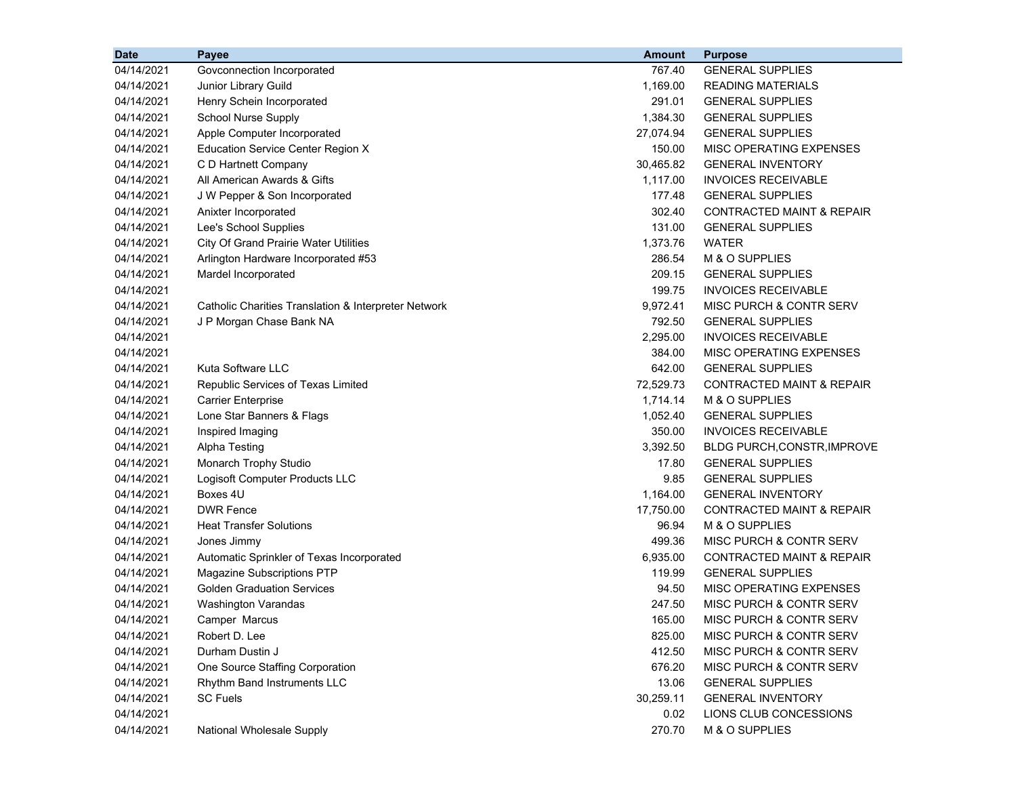| <b>Date</b> | Payee                                                | <b>Amount</b> | <b>Purpose</b>                       |
|-------------|------------------------------------------------------|---------------|--------------------------------------|
| 04/14/2021  | Govconnection Incorporated                           | 767.40        | <b>GENERAL SUPPLIES</b>              |
| 04/14/2021  | Junior Library Guild                                 | 1,169.00      | <b>READING MATERIALS</b>             |
| 04/14/2021  | Henry Schein Incorporated                            | 291.01        | <b>GENERAL SUPPLIES</b>              |
| 04/14/2021  | School Nurse Supply                                  | 1,384.30      | <b>GENERAL SUPPLIES</b>              |
| 04/14/2021  | Apple Computer Incorporated                          | 27,074.94     | <b>GENERAL SUPPLIES</b>              |
| 04/14/2021  | <b>Education Service Center Region X</b>             | 150.00        | MISC OPERATING EXPENSES              |
| 04/14/2021  | C D Hartnett Company                                 | 30,465.82     | <b>GENERAL INVENTORY</b>             |
| 04/14/2021  | All American Awards & Gifts                          | 1,117.00      | <b>INVOICES RECEIVABLE</b>           |
| 04/14/2021  | J W Pepper & Son Incorporated                        | 177.48        | <b>GENERAL SUPPLIES</b>              |
| 04/14/2021  | Anixter Incorporated                                 | 302.40        | <b>CONTRACTED MAINT &amp; REPAIR</b> |
| 04/14/2021  | Lee's School Supplies                                | 131.00        | <b>GENERAL SUPPLIES</b>              |
| 04/14/2021  | City Of Grand Prairie Water Utilities                | 1,373.76      | <b>WATER</b>                         |
| 04/14/2021  | Arlington Hardware Incorporated #53                  | 286.54        | M & O SUPPLIES                       |
| 04/14/2021  | Mardel Incorporated                                  | 209.15        | <b>GENERAL SUPPLIES</b>              |
| 04/14/2021  |                                                      | 199.75        | <b>INVOICES RECEIVABLE</b>           |
| 04/14/2021  | Catholic Charities Translation & Interpreter Network | 9,972.41      | MISC PURCH & CONTR SERV              |
| 04/14/2021  | J P Morgan Chase Bank NA                             | 792.50        | <b>GENERAL SUPPLIES</b>              |
| 04/14/2021  |                                                      | 2,295.00      | <b>INVOICES RECEIVABLE</b>           |
| 04/14/2021  |                                                      | 384.00        | MISC OPERATING EXPENSES              |
| 04/14/2021  | Kuta Software LLC                                    | 642.00        | <b>GENERAL SUPPLIES</b>              |
| 04/14/2021  | Republic Services of Texas Limited                   | 72,529.73     | CONTRACTED MAINT & REPAIR            |
| 04/14/2021  | <b>Carrier Enterprise</b>                            | 1,714.14      | M & O SUPPLIES                       |
| 04/14/2021  | Lone Star Banners & Flags                            | 1,052.40      | <b>GENERAL SUPPLIES</b>              |
| 04/14/2021  | Inspired Imaging                                     | 350.00        | <b>INVOICES RECEIVABLE</b>           |
| 04/14/2021  | Alpha Testing                                        | 3,392.50      | <b>BLDG PURCH, CONSTR, IMPROVE</b>   |
| 04/14/2021  | Monarch Trophy Studio                                | 17.80         | <b>GENERAL SUPPLIES</b>              |
| 04/14/2021  | Logisoft Computer Products LLC                       | 9.85          | <b>GENERAL SUPPLIES</b>              |
| 04/14/2021  | Boxes 4U                                             | 1,164.00      | <b>GENERAL INVENTORY</b>             |
| 04/14/2021  | <b>DWR Fence</b>                                     | 17,750.00     | CONTRACTED MAINT & REPAIR            |
| 04/14/2021  | <b>Heat Transfer Solutions</b>                       | 96.94         | M & O SUPPLIES                       |
| 04/14/2021  | Jones Jimmy                                          | 499.36        | MISC PURCH & CONTR SERV              |
| 04/14/2021  | Automatic Sprinkler of Texas Incorporated            | 6,935.00      | <b>CONTRACTED MAINT &amp; REPAIR</b> |
| 04/14/2021  | Magazine Subscriptions PTP                           | 119.99        | <b>GENERAL SUPPLIES</b>              |
| 04/14/2021  | <b>Golden Graduation Services</b>                    | 94.50         | MISC OPERATING EXPENSES              |
| 04/14/2021  | Washington Varandas                                  | 247.50        | MISC PURCH & CONTR SERV              |
| 04/14/2021  | Camper Marcus                                        | 165.00        | MISC PURCH & CONTR SERV              |
| 04/14/2021  | Robert D. Lee                                        | 825.00        | MISC PURCH & CONTR SERV              |
| 04/14/2021  | Durham Dustin J                                      | 412.50        | <b>MISC PURCH &amp; CONTR SERV</b>   |
| 04/14/2021  | One Source Staffing Corporation                      | 676.20        | MISC PURCH & CONTR SERV              |
| 04/14/2021  | Rhythm Band Instruments LLC                          | 13.06         | <b>GENERAL SUPPLIES</b>              |
| 04/14/2021  | <b>SC Fuels</b>                                      | 30,259.11     | <b>GENERAL INVENTORY</b>             |
| 04/14/2021  |                                                      | 0.02          | LIONS CLUB CONCESSIONS               |
| 04/14/2021  | National Wholesale Supply                            | 270.70        | M & O SUPPLIES                       |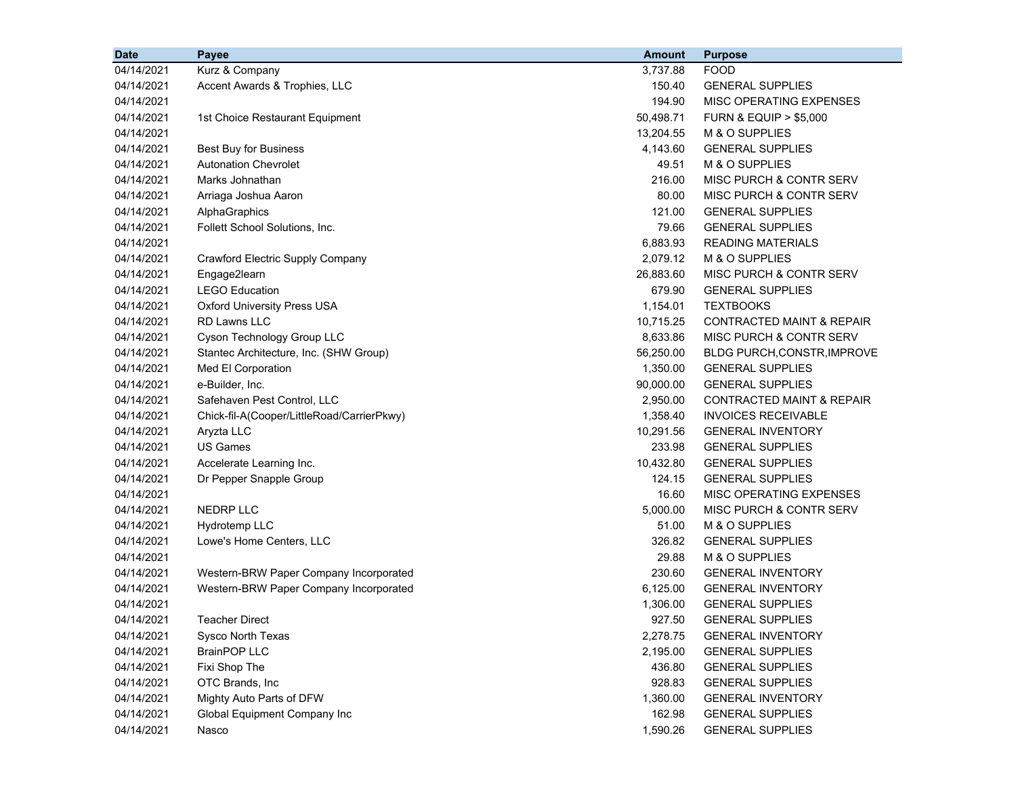| <b>Date</b> | Payee                                      | <b>Amount</b> | <b>Purpose</b>                       |
|-------------|--------------------------------------------|---------------|--------------------------------------|
| 04/14/2021  | Kurz & Company                             | 3,737.88      | <b>FOOD</b>                          |
| 04/14/2021  | Accent Awards & Trophies, LLC              | 150.40        | <b>GENERAL SUPPLIES</b>              |
| 04/14/2021  |                                            | 194.90        | MISC OPERATING EXPENSES              |
| 04/14/2021  | 1st Choice Restaurant Equipment            | 50,498.71     | <b>FURN &amp; EQUIP &gt; \$5,000</b> |
| 04/14/2021  |                                            | 13,204.55     | M & O SUPPLIES                       |
| 04/14/2021  | Best Buy for Business                      | 4,143.60      | <b>GENERAL SUPPLIES</b>              |
| 04/14/2021  | <b>Autonation Chevrolet</b>                | 49.51         | M & O SUPPLIES                       |
| 04/14/2021  | Marks Johnathan                            | 216.00        | MISC PURCH & CONTR SERV              |
| 04/14/2021  | Arriaga Joshua Aaron                       | 80.00         | MISC PURCH & CONTR SERV              |
| 04/14/2021  | AlphaGraphics                              | 121.00        | <b>GENERAL SUPPLIES</b>              |
| 04/14/2021  | Follett School Solutions, Inc.             | 79.66         | <b>GENERAL SUPPLIES</b>              |
| 04/14/2021  |                                            | 6,883.93      | <b>READING MATERIALS</b>             |
| 04/14/2021  | Crawford Electric Supply Company           | 2,079.12      | M & O SUPPLIES                       |
| 04/14/2021  | Engage2learn                               | 26,883.60     | <b>MISC PURCH &amp; CONTR SERV</b>   |
| 04/14/2021  | <b>LEGO Education</b>                      | 679.90        | <b>GENERAL SUPPLIES</b>              |
| 04/14/2021  | <b>Oxford University Press USA</b>         | 1,154.01      | <b>TEXTBOOKS</b>                     |
| 04/14/2021  | <b>RD Lawns LLC</b>                        | 10,715.25     | <b>CONTRACTED MAINT &amp; REPAIR</b> |
| 04/14/2021  | Cyson Technology Group LLC                 | 8,633.86      | MISC PURCH & CONTR SERV              |
| 04/14/2021  | Stantec Architecture, Inc. (SHW Group)     | 56,250.00     | BLDG PURCH, CONSTR, IMPROVE          |
| 04/14/2021  | Med El Corporation                         | 1,350.00      | <b>GENERAL SUPPLIES</b>              |
| 04/14/2021  | e-Builder, Inc.                            | 90,000.00     | <b>GENERAL SUPPLIES</b>              |
| 04/14/2021  | Safehaven Pest Control, LLC                | 2,950.00      | <b>CONTRACTED MAINT &amp; REPAIR</b> |
| 04/14/2021  | Chick-fil-A(Cooper/LittleRoad/CarrierPkwy) | 1,358.40      | <b>INVOICES RECEIVABLE</b>           |
| 04/14/2021  | Aryzta LLC                                 | 10,291.56     | <b>GENERAL INVENTORY</b>             |
| 04/14/2021  | <b>US Games</b>                            | 233.98        | <b>GENERAL SUPPLIES</b>              |
| 04/14/2021  | Accelerate Learning Inc.                   | 10,432.80     | <b>GENERAL SUPPLIES</b>              |
| 04/14/2021  | Dr Pepper Snapple Group                    | 124.15        | <b>GENERAL SUPPLIES</b>              |
| 04/14/2021  |                                            | 16.60         | MISC OPERATING EXPENSES              |
| 04/14/2021  | <b>NEDRP LLC</b>                           | 5,000.00      | <b>MISC PURCH &amp; CONTR SERV</b>   |
| 04/14/2021  | Hydrotemp LLC                              | 51.00         | M & O SUPPLIES                       |
| 04/14/2021  | Lowe's Home Centers, LLC                   | 326.82        | <b>GENERAL SUPPLIES</b>              |
| 04/14/2021  |                                            | 29.88         | M & O SUPPLIES                       |
| 04/14/2021  | Western-BRW Paper Company Incorporated     | 230.60        | <b>GENERAL INVENTORY</b>             |
| 04/14/2021  | Western-BRW Paper Company Incorporated     | 6,125.00      | <b>GENERAL INVENTORY</b>             |
| 04/14/2021  |                                            | 1,306.00      | <b>GENERAL SUPPLIES</b>              |
| 04/14/2021  | <b>Teacher Direct</b>                      | 927.50        | <b>GENERAL SUPPLIES</b>              |
| 04/14/2021  | Sysco North Texas                          | 2,278.75      | <b>GENERAL INVENTORY</b>             |
| 04/14/2021  | <b>BrainPOP LLC</b>                        | 2,195.00      | <b>GENERAL SUPPLIES</b>              |
| 04/14/2021  | Fixi Shop The                              | 436.80        | <b>GENERAL SUPPLIES</b>              |
| 04/14/2021  | OTC Brands, Inc                            | 928.83        | <b>GENERAL SUPPLIES</b>              |
| 04/14/2021  | Mighty Auto Parts of DFW                   | 1,360.00      | <b>GENERAL INVENTORY</b>             |
| 04/14/2021  | Global Equipment Company Inc               | 162.98        | <b>GENERAL SUPPLIES</b>              |
| 04/14/2021  | Nasco                                      | 1,590.26      | <b>GENERAL SUPPLIES</b>              |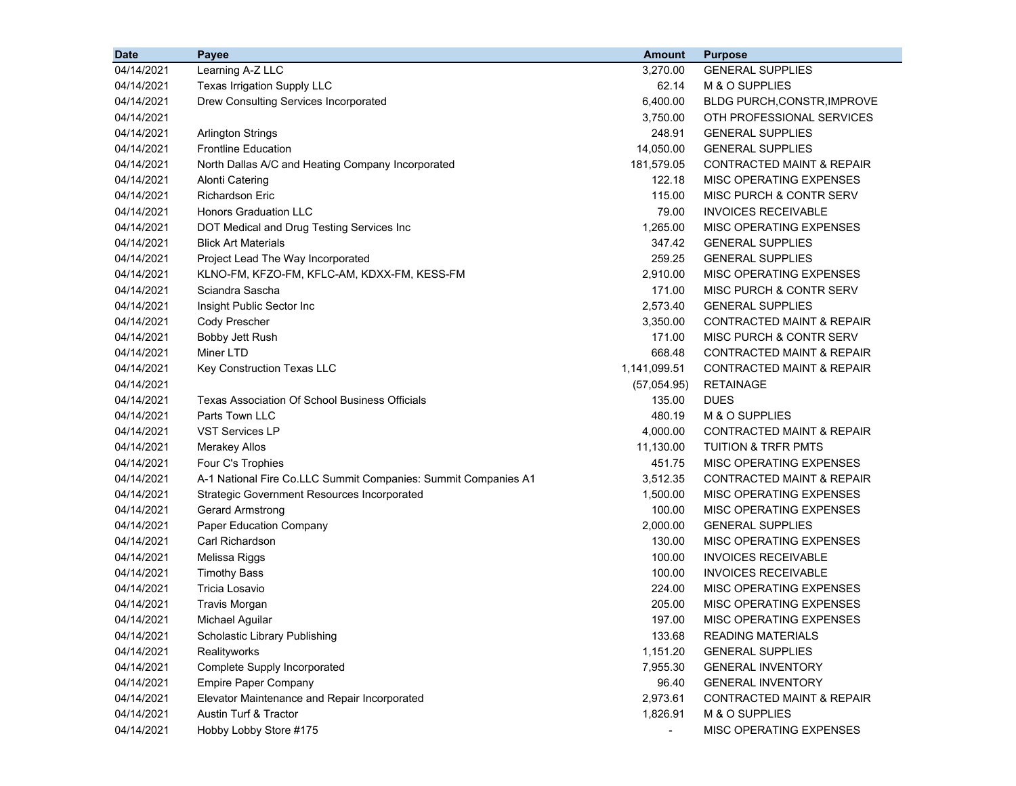| <b>Date</b> | Payee                                                          | <b>Amount</b>  | <b>Purpose</b>                       |
|-------------|----------------------------------------------------------------|----------------|--------------------------------------|
| 04/14/2021  | Learning A-Z LLC                                               | 3,270.00       | <b>GENERAL SUPPLIES</b>              |
| 04/14/2021  | Texas Irrigation Supply LLC                                    | 62.14          | M & O SUPPLIES                       |
| 04/14/2021  | Drew Consulting Services Incorporated                          | 6,400.00       | <b>BLDG PURCH, CONSTR, IMPROVE</b>   |
| 04/14/2021  |                                                                | 3,750.00       | OTH PROFESSIONAL SERVICES            |
| 04/14/2021  | <b>Arlington Strings</b>                                       | 248.91         | <b>GENERAL SUPPLIES</b>              |
| 04/14/2021  | <b>Frontline Education</b>                                     | 14,050.00      | <b>GENERAL SUPPLIES</b>              |
| 04/14/2021  | North Dallas A/C and Heating Company Incorporated              | 181,579.05     | CONTRACTED MAINT & REPAIR            |
| 04/14/2021  | <b>Alonti Catering</b>                                         | 122.18         | <b>MISC OPERATING EXPENSES</b>       |
| 04/14/2021  | <b>Richardson Eric</b>                                         | 115.00         | MISC PURCH & CONTR SERV              |
| 04/14/2021  | <b>Honors Graduation LLC</b>                                   | 79.00          | <b>INVOICES RECEIVABLE</b>           |
| 04/14/2021  | DOT Medical and Drug Testing Services Inc                      | 1,265.00       | MISC OPERATING EXPENSES              |
| 04/14/2021  | <b>Blick Art Materials</b>                                     | 347.42         | <b>GENERAL SUPPLIES</b>              |
| 04/14/2021  | Project Lead The Way Incorporated                              | 259.25         | <b>GENERAL SUPPLIES</b>              |
| 04/14/2021  | KLNO-FM, KFZO-FM, KFLC-AM, KDXX-FM, KESS-FM                    | 2,910.00       | MISC OPERATING EXPENSES              |
| 04/14/2021  | Sciandra Sascha                                                | 171.00         | MISC PURCH & CONTR SERV              |
| 04/14/2021  | Insight Public Sector Inc                                      | 2,573.40       | <b>GENERAL SUPPLIES</b>              |
| 04/14/2021  | Cody Prescher                                                  | 3,350.00       | CONTRACTED MAINT & REPAIR            |
| 04/14/2021  | Bobby Jett Rush                                                | 171.00         | MISC PURCH & CONTR SERV              |
| 04/14/2021  | Miner LTD                                                      | 668.48         | <b>CONTRACTED MAINT &amp; REPAIR</b> |
| 04/14/2021  | Key Construction Texas LLC                                     | 1,141,099.51   | <b>CONTRACTED MAINT &amp; REPAIR</b> |
| 04/14/2021  |                                                                | (57,054.95)    | <b>RETAINAGE</b>                     |
| 04/14/2021  | Texas Association Of School Business Officials                 | 135.00         | <b>DUES</b>                          |
| 04/14/2021  | Parts Town LLC                                                 | 480.19         | M & O SUPPLIES                       |
| 04/14/2021  | <b>VST Services LP</b>                                         | 4,000.00       | <b>CONTRACTED MAINT &amp; REPAIR</b> |
| 04/14/2021  | <b>Merakey Allos</b>                                           | 11,130.00      | <b>TUITION &amp; TRFR PMTS</b>       |
| 04/14/2021  | Four C's Trophies                                              | 451.75         | MISC OPERATING EXPENSES              |
| 04/14/2021  | A-1 National Fire Co.LLC Summit Companies: Summit Companies A1 | 3,512.35       | CONTRACTED MAINT & REPAIR            |
| 04/14/2021  | <b>Strategic Government Resources Incorporated</b>             | 1,500.00       | MISC OPERATING EXPENSES              |
| 04/14/2021  | <b>Gerard Armstrong</b>                                        | 100.00         | MISC OPERATING EXPENSES              |
| 04/14/2021  | Paper Education Company                                        | 2,000.00       | <b>GENERAL SUPPLIES</b>              |
| 04/14/2021  | Carl Richardson                                                | 130.00         | MISC OPERATING EXPENSES              |
| 04/14/2021  | Melissa Riggs                                                  | 100.00         | <b>INVOICES RECEIVABLE</b>           |
| 04/14/2021  | <b>Timothy Bass</b>                                            | 100.00         | <b>INVOICES RECEIVABLE</b>           |
| 04/14/2021  | Tricia Losavio                                                 | 224.00         | MISC OPERATING EXPENSES              |
| 04/14/2021  | <b>Travis Morgan</b>                                           | 205.00         | MISC OPERATING EXPENSES              |
| 04/14/2021  | Michael Aguilar                                                | 197.00         | MISC OPERATING EXPENSES              |
| 04/14/2021  | Scholastic Library Publishing                                  | 133.68         | <b>READING MATERIALS</b>             |
| 04/14/2021  | Realityworks                                                   | 1,151.20       | <b>GENERAL SUPPLIES</b>              |
| 04/14/2021  | Complete Supply Incorporated                                   | 7,955.30       | <b>GENERAL INVENTORY</b>             |
| 04/14/2021  | <b>Empire Paper Company</b>                                    | 96.40          | <b>GENERAL INVENTORY</b>             |
| 04/14/2021  | Elevator Maintenance and Repair Incorporated                   | 2,973.61       | <b>CONTRACTED MAINT &amp; REPAIR</b> |
| 04/14/2021  | <b>Austin Turf &amp; Tractor</b>                               | 1,826.91       | M & O SUPPLIES                       |
| 04/14/2021  | Hobby Lobby Store #175                                         | $\blacksquare$ | MISC OPERATING EXPENSES              |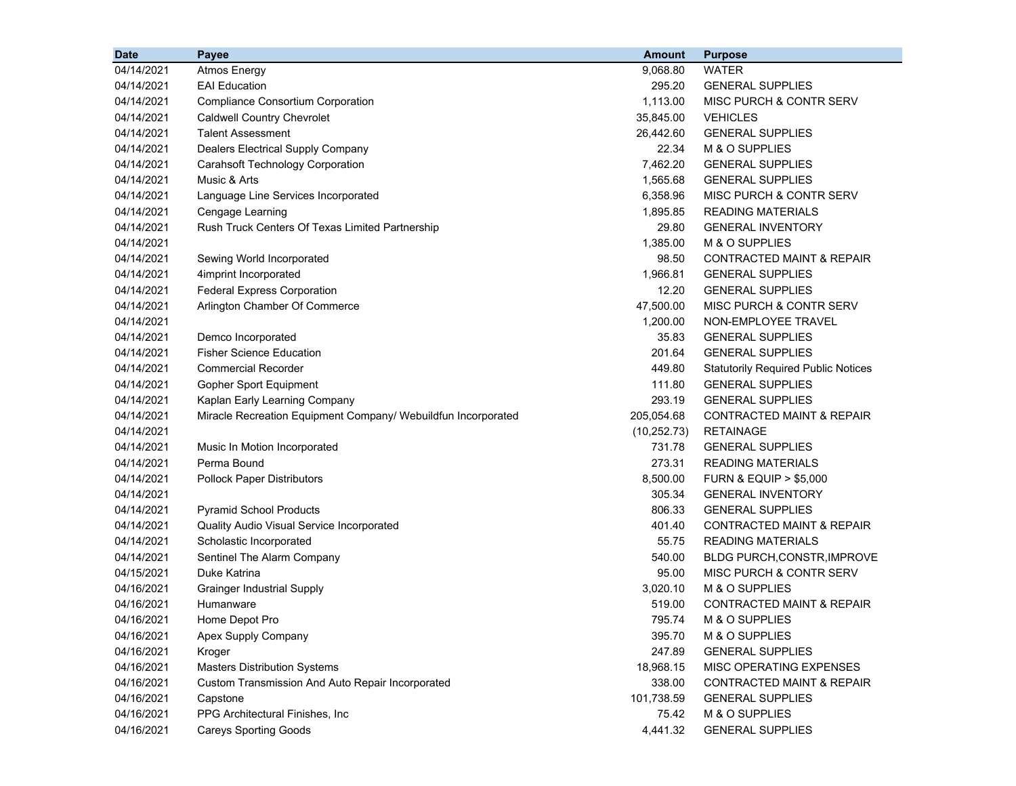| <b>Date</b> | Payee                                                         | <b>Amount</b> | <b>Purpose</b>                             |
|-------------|---------------------------------------------------------------|---------------|--------------------------------------------|
| 04/14/2021  | <b>Atmos Energy</b>                                           | 9,068.80      | <b>WATER</b>                               |
| 04/14/2021  | <b>EAI</b> Education                                          | 295.20        | <b>GENERAL SUPPLIES</b>                    |
| 04/14/2021  | <b>Compliance Consortium Corporation</b>                      | 1,113.00      | MISC PURCH & CONTR SERV                    |
| 04/14/2021  | <b>Caldwell Country Chevrolet</b>                             | 35,845.00     | <b>VEHICLES</b>                            |
| 04/14/2021  | <b>Talent Assessment</b>                                      | 26,442.60     | <b>GENERAL SUPPLIES</b>                    |
| 04/14/2021  | Dealers Electrical Supply Company                             | 22.34         | M & O SUPPLIES                             |
| 04/14/2021  | Carahsoft Technology Corporation                              | 7,462.20      | <b>GENERAL SUPPLIES</b>                    |
| 04/14/2021  | Music & Arts                                                  | 1,565.68      | <b>GENERAL SUPPLIES</b>                    |
| 04/14/2021  | Language Line Services Incorporated                           | 6,358.96      | MISC PURCH & CONTR SERV                    |
| 04/14/2021  | Cengage Learning                                              | 1,895.85      | <b>READING MATERIALS</b>                   |
| 04/14/2021  | Rush Truck Centers Of Texas Limited Partnership               | 29.80         | <b>GENERAL INVENTORY</b>                   |
| 04/14/2021  |                                                               | 1,385.00      | M & O SUPPLIES                             |
| 04/14/2021  | Sewing World Incorporated                                     | 98.50         | <b>CONTRACTED MAINT &amp; REPAIR</b>       |
| 04/14/2021  | 4imprint Incorporated                                         | 1,966.81      | <b>GENERAL SUPPLIES</b>                    |
| 04/14/2021  | <b>Federal Express Corporation</b>                            | 12.20         | <b>GENERAL SUPPLIES</b>                    |
| 04/14/2021  | Arlington Chamber Of Commerce                                 | 47,500.00     | MISC PURCH & CONTR SERV                    |
| 04/14/2021  |                                                               | 1,200.00      | NON-EMPLOYEE TRAVEL                        |
| 04/14/2021  | Demco Incorporated                                            | 35.83         | <b>GENERAL SUPPLIES</b>                    |
| 04/14/2021  | <b>Fisher Science Education</b>                               | 201.64        | <b>GENERAL SUPPLIES</b>                    |
| 04/14/2021  | <b>Commercial Recorder</b>                                    | 449.80        | <b>Statutorily Required Public Notices</b> |
| 04/14/2021  | <b>Gopher Sport Equipment</b>                                 | 111.80        | <b>GENERAL SUPPLIES</b>                    |
| 04/14/2021  | Kaplan Early Learning Company                                 | 293.19        | <b>GENERAL SUPPLIES</b>                    |
| 04/14/2021  | Miracle Recreation Equipment Company/ Webuildfun Incorporated | 205,054.68    | <b>CONTRACTED MAINT &amp; REPAIR</b>       |
| 04/14/2021  |                                                               | (10, 252.73)  | <b>RETAINAGE</b>                           |
| 04/14/2021  | Music In Motion Incorporated                                  | 731.78        | <b>GENERAL SUPPLIES</b>                    |
| 04/14/2021  | Perma Bound                                                   | 273.31        | <b>READING MATERIALS</b>                   |
| 04/14/2021  | <b>Pollock Paper Distributors</b>                             | 8,500.00      | <b>FURN &amp; EQUIP &gt; \$5,000</b>       |
| 04/14/2021  |                                                               | 305.34        | <b>GENERAL INVENTORY</b>                   |
| 04/14/2021  | <b>Pyramid School Products</b>                                | 806.33        | <b>GENERAL SUPPLIES</b>                    |
| 04/14/2021  | Quality Audio Visual Service Incorporated                     | 401.40        | <b>CONTRACTED MAINT &amp; REPAIR</b>       |
| 04/14/2021  | Scholastic Incorporated                                       | 55.75         | <b>READING MATERIALS</b>                   |
| 04/14/2021  | Sentinel The Alarm Company                                    | 540.00        | <b>BLDG PURCH, CONSTR, IMPROVE</b>         |
| 04/15/2021  | Duke Katrina                                                  | 95.00         | MISC PURCH & CONTR SERV                    |
| 04/16/2021  | <b>Grainger Industrial Supply</b>                             | 3,020.10      | M & O SUPPLIES                             |
| 04/16/2021  | Humanware                                                     | 519.00        | <b>CONTRACTED MAINT &amp; REPAIR</b>       |
| 04/16/2021  | Home Depot Pro                                                | 795.74        | M & O SUPPLIES                             |
| 04/16/2021  | Apex Supply Company                                           | 395.70        | M & O SUPPLIES                             |
| 04/16/2021  | Kroger                                                        | 247.89        | <b>GENERAL SUPPLIES</b>                    |
| 04/16/2021  | <b>Masters Distribution Systems</b>                           | 18,968.15     | MISC OPERATING EXPENSES                    |
| 04/16/2021  | Custom Transmission And Auto Repair Incorporated              | 338.00        | <b>CONTRACTED MAINT &amp; REPAIR</b>       |
| 04/16/2021  | Capstone                                                      | 101,738.59    | <b>GENERAL SUPPLIES</b>                    |
| 04/16/2021  | PPG Architectural Finishes, Inc                               | 75.42         | M & O SUPPLIES                             |
| 04/16/2021  | <b>Careys Sporting Goods</b>                                  | 4,441.32      | <b>GENERAL SUPPLIES</b>                    |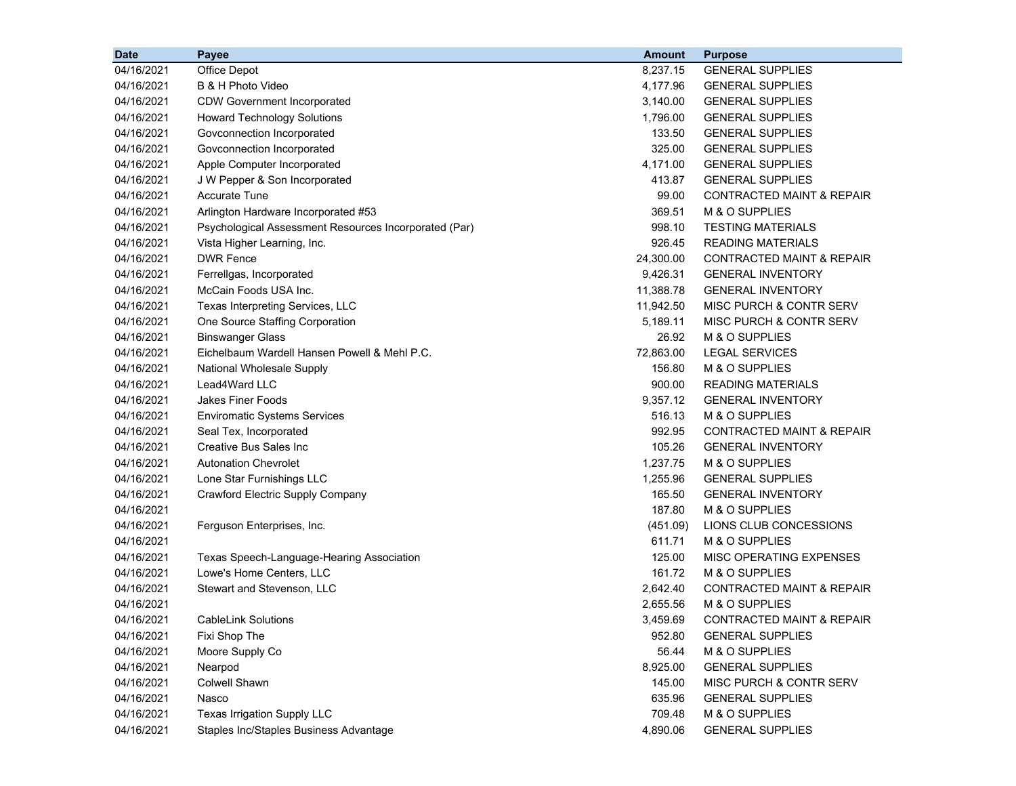| <b>Date</b> | Payee                                                 | <b>Amount</b> | <b>Purpose</b>                       |
|-------------|-------------------------------------------------------|---------------|--------------------------------------|
| 04/16/2021  | Office Depot                                          | 8,237.15      | <b>GENERAL SUPPLIES</b>              |
| 04/16/2021  | B & H Photo Video                                     | 4,177.96      | <b>GENERAL SUPPLIES</b>              |
| 04/16/2021  | <b>CDW Government Incorporated</b>                    | 3,140.00      | <b>GENERAL SUPPLIES</b>              |
| 04/16/2021  | <b>Howard Technology Solutions</b>                    | 1,796.00      | <b>GENERAL SUPPLIES</b>              |
| 04/16/2021  | Govconnection Incorporated                            | 133.50        | <b>GENERAL SUPPLIES</b>              |
| 04/16/2021  | Govconnection Incorporated                            | 325.00        | <b>GENERAL SUPPLIES</b>              |
| 04/16/2021  | Apple Computer Incorporated                           | 4,171.00      | <b>GENERAL SUPPLIES</b>              |
| 04/16/2021  | J W Pepper & Son Incorporated                         | 413.87        | <b>GENERAL SUPPLIES</b>              |
| 04/16/2021  | <b>Accurate Tune</b>                                  | 99.00         | <b>CONTRACTED MAINT &amp; REPAIR</b> |
| 04/16/2021  | Arlington Hardware Incorporated #53                   | 369.51        | M & O SUPPLIES                       |
| 04/16/2021  | Psychological Assessment Resources Incorporated (Par) | 998.10        | <b>TESTING MATERIALS</b>             |
| 04/16/2021  | Vista Higher Learning, Inc.                           | 926.45        | <b>READING MATERIALS</b>             |
| 04/16/2021  | <b>DWR Fence</b>                                      | 24,300.00     | <b>CONTRACTED MAINT &amp; REPAIR</b> |
| 04/16/2021  | Ferrellgas, Incorporated                              | 9,426.31      | <b>GENERAL INVENTORY</b>             |
| 04/16/2021  | McCain Foods USA Inc.                                 | 11,388.78     | <b>GENERAL INVENTORY</b>             |
| 04/16/2021  | Texas Interpreting Services, LLC                      | 11,942.50     | MISC PURCH & CONTR SERV              |
| 04/16/2021  | One Source Staffing Corporation                       | 5,189.11      | MISC PURCH & CONTR SERV              |
| 04/16/2021  | <b>Binswanger Glass</b>                               | 26.92         | M & O SUPPLIES                       |
| 04/16/2021  | Eichelbaum Wardell Hansen Powell & Mehl P.C.          | 72,863.00     | <b>LEGAL SERVICES</b>                |
| 04/16/2021  | <b>National Wholesale Supply</b>                      | 156.80        | M & O SUPPLIES                       |
| 04/16/2021  | Lead4Ward LLC                                         | 900.00        | <b>READING MATERIALS</b>             |
| 04/16/2021  | <b>Jakes Finer Foods</b>                              | 9,357.12      | <b>GENERAL INVENTORY</b>             |
| 04/16/2021  | <b>Enviromatic Systems Services</b>                   | 516.13        | M & O SUPPLIES                       |
| 04/16/2021  | Seal Tex, Incorporated                                | 992.95        | <b>CONTRACTED MAINT &amp; REPAIR</b> |
| 04/16/2021  | Creative Bus Sales Inc                                | 105.26        | <b>GENERAL INVENTORY</b>             |
| 04/16/2021  | <b>Autonation Chevrolet</b>                           | 1,237.75      | M & O SUPPLIES                       |
| 04/16/2021  | Lone Star Furnishings LLC                             | 1,255.96      | <b>GENERAL SUPPLIES</b>              |
| 04/16/2021  | Crawford Electric Supply Company                      | 165.50        | <b>GENERAL INVENTORY</b>             |
| 04/16/2021  |                                                       | 187.80        | M & O SUPPLIES                       |
| 04/16/2021  | Ferguson Enterprises, Inc.                            | (451.09)      | LIONS CLUB CONCESSIONS               |
| 04/16/2021  |                                                       | 611.71        | M & O SUPPLIES                       |
| 04/16/2021  | Texas Speech-Language-Hearing Association             | 125.00        | MISC OPERATING EXPENSES              |
| 04/16/2021  | Lowe's Home Centers, LLC                              | 161.72        | M & O SUPPLIES                       |
| 04/16/2021  | Stewart and Stevenson, LLC                            | 2,642.40      | <b>CONTRACTED MAINT &amp; REPAIR</b> |
| 04/16/2021  |                                                       | 2,655.56      | M & O SUPPLIES                       |
| 04/16/2021  | <b>CableLink Solutions</b>                            | 3,459.69      | CONTRACTED MAINT & REPAIR            |
| 04/16/2021  | Fixi Shop The                                         | 952.80        | <b>GENERAL SUPPLIES</b>              |
| 04/16/2021  | Moore Supply Co                                       | 56.44         | M & O SUPPLIES                       |
| 04/16/2021  | Nearpod                                               | 8,925.00      | <b>GENERAL SUPPLIES</b>              |
| 04/16/2021  | <b>Colwell Shawn</b>                                  | 145.00        | MISC PURCH & CONTR SERV              |
| 04/16/2021  | Nasco                                                 | 635.96        | <b>GENERAL SUPPLIES</b>              |
| 04/16/2021  | Texas Irrigation Supply LLC                           | 709.48        | M & O SUPPLIES                       |
| 04/16/2021  | Staples Inc/Staples Business Advantage                | 4,890.06      | <b>GENERAL SUPPLIES</b>              |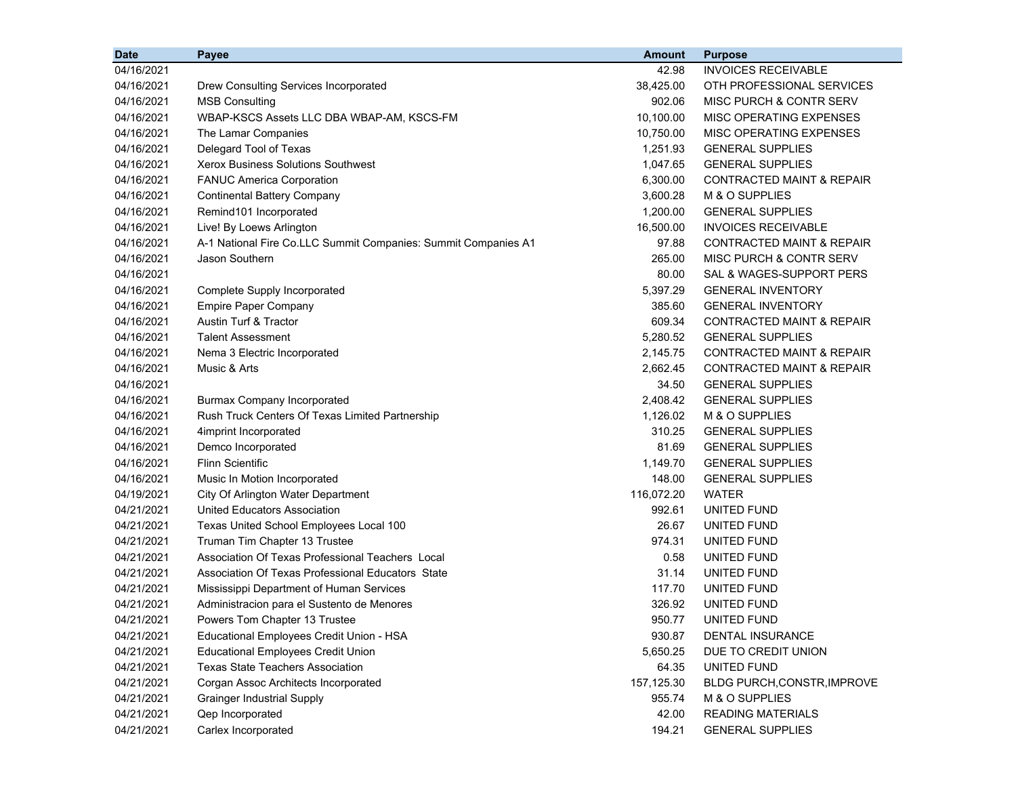| <b>Date</b> | Payee                                                          | <b>Amount</b> | <b>Purpose</b>                       |
|-------------|----------------------------------------------------------------|---------------|--------------------------------------|
| 04/16/2021  |                                                                | 42.98         | <b>INVOICES RECEIVABLE</b>           |
| 04/16/2021  | Drew Consulting Services Incorporated                          | 38,425.00     | OTH PROFESSIONAL SERVICES            |
| 04/16/2021  | <b>MSB Consulting</b>                                          | 902.06        | MISC PURCH & CONTR SERV              |
| 04/16/2021  | WBAP-KSCS Assets LLC DBA WBAP-AM, KSCS-FM                      | 10,100.00     | MISC OPERATING EXPENSES              |
| 04/16/2021  | The Lamar Companies                                            | 10,750.00     | MISC OPERATING EXPENSES              |
| 04/16/2021  | Delegard Tool of Texas                                         | 1,251.93      | <b>GENERAL SUPPLIES</b>              |
| 04/16/2021  | <b>Xerox Business Solutions Southwest</b>                      | 1,047.65      | <b>GENERAL SUPPLIES</b>              |
| 04/16/2021  | <b>FANUC America Corporation</b>                               | 6,300.00      | <b>CONTRACTED MAINT &amp; REPAIR</b> |
| 04/16/2021  | <b>Continental Battery Company</b>                             | 3,600.28      | M & O SUPPLIES                       |
| 04/16/2021  | Remind101 Incorporated                                         | 1,200.00      | <b>GENERAL SUPPLIES</b>              |
| 04/16/2021  | Live! By Loews Arlington                                       | 16,500.00     | <b>INVOICES RECEIVABLE</b>           |
| 04/16/2021  | A-1 National Fire Co.LLC Summit Companies: Summit Companies A1 | 97.88         | CONTRACTED MAINT & REPAIR            |
| 04/16/2021  | Jason Southern                                                 | 265.00        | MISC PURCH & CONTR SERV              |
| 04/16/2021  |                                                                | 80.00         | SAL & WAGES-SUPPORT PERS             |
| 04/16/2021  | Complete Supply Incorporated                                   | 5,397.29      | <b>GENERAL INVENTORY</b>             |
| 04/16/2021  | <b>Empire Paper Company</b>                                    | 385.60        | <b>GENERAL INVENTORY</b>             |
| 04/16/2021  | <b>Austin Turf &amp; Tractor</b>                               | 609.34        | <b>CONTRACTED MAINT &amp; REPAIR</b> |
| 04/16/2021  | <b>Talent Assessment</b>                                       | 5,280.52      | <b>GENERAL SUPPLIES</b>              |
| 04/16/2021  | Nema 3 Electric Incorporated                                   | 2,145.75      | <b>CONTRACTED MAINT &amp; REPAIR</b> |
| 04/16/2021  | Music & Arts                                                   | 2,662.45      | <b>CONTRACTED MAINT &amp; REPAIR</b> |
| 04/16/2021  |                                                                | 34.50         | <b>GENERAL SUPPLIES</b>              |
| 04/16/2021  | <b>Burmax Company Incorporated</b>                             | 2,408.42      | <b>GENERAL SUPPLIES</b>              |
| 04/16/2021  | Rush Truck Centers Of Texas Limited Partnership                | 1,126.02      | M & O SUPPLIES                       |
| 04/16/2021  | 4imprint Incorporated                                          | 310.25        | <b>GENERAL SUPPLIES</b>              |
| 04/16/2021  | Demco Incorporated                                             | 81.69         | <b>GENERAL SUPPLIES</b>              |
| 04/16/2021  | <b>Flinn Scientific</b>                                        | 1,149.70      | <b>GENERAL SUPPLIES</b>              |
| 04/16/2021  | Music In Motion Incorporated                                   | 148.00        | <b>GENERAL SUPPLIES</b>              |
| 04/19/2021  | City Of Arlington Water Department                             | 116,072.20    | WATER                                |
| 04/21/2021  | United Educators Association                                   | 992.61        | UNITED FUND                          |
| 04/21/2021  | Texas United School Employees Local 100                        | 26.67         | UNITED FUND                          |
| 04/21/2021  | Truman Tim Chapter 13 Trustee                                  | 974.31        | UNITED FUND                          |
| 04/21/2021  | Association Of Texas Professional Teachers Local               | 0.58          | UNITED FUND                          |
| 04/21/2021  | Association Of Texas Professional Educators State              | 31.14         | <b>UNITED FUND</b>                   |
| 04/21/2021  | Mississippi Department of Human Services                       | 117.70        | UNITED FUND                          |
| 04/21/2021  | Administracion para el Sustento de Menores                     | 326.92        | UNITED FUND                          |
| 04/21/2021  | Powers Tom Chapter 13 Trustee                                  | 950.77        | UNITED FUND                          |
| 04/21/2021  | Educational Employees Credit Union - HSA                       | 930.87        | <b>DENTAL INSURANCE</b>              |
| 04/21/2021  | <b>Educational Employees Credit Union</b>                      | 5,650.25      | DUE TO CREDIT UNION                  |
| 04/21/2021  | <b>Texas State Teachers Association</b>                        | 64.35         | UNITED FUND                          |
| 04/21/2021  | Corgan Assoc Architects Incorporated                           | 157,125.30    | BLDG PURCH, CONSTR, IMPROVE          |
| 04/21/2021  | <b>Grainger Industrial Supply</b>                              | 955.74        | M & O SUPPLIES                       |
| 04/21/2021  | Qep Incorporated                                               | 42.00         | <b>READING MATERIALS</b>             |
| 04/21/2021  | Carlex Incorporated                                            | 194.21        | <b>GENERAL SUPPLIES</b>              |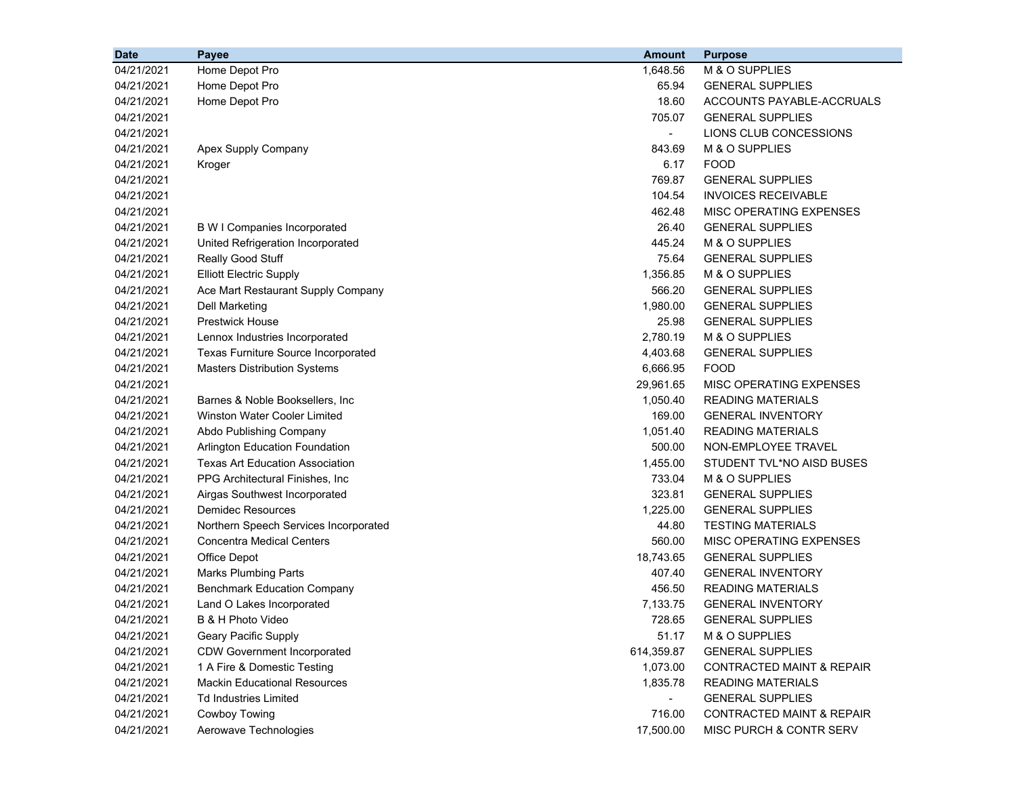| <b>Date</b> | Payee                                  | <b>Amount</b>            | <b>Purpose</b>                       |
|-------------|----------------------------------------|--------------------------|--------------------------------------|
| 04/21/2021  | Home Depot Pro                         | 1,648.56                 | M & O SUPPLIES                       |
| 04/21/2021  | Home Depot Pro                         | 65.94                    | <b>GENERAL SUPPLIES</b>              |
| 04/21/2021  | Home Depot Pro                         | 18.60                    | ACCOUNTS PAYABLE-ACCRUALS            |
| 04/21/2021  |                                        | 705.07                   | <b>GENERAL SUPPLIES</b>              |
| 04/21/2021  |                                        | $\overline{\phantom{a}}$ | LIONS CLUB CONCESSIONS               |
| 04/21/2021  | Apex Supply Company                    | 843.69                   | M & O SUPPLIES                       |
| 04/21/2021  | Kroger                                 | 6.17                     | <b>FOOD</b>                          |
| 04/21/2021  |                                        | 769.87                   | <b>GENERAL SUPPLIES</b>              |
| 04/21/2021  |                                        | 104.54                   | <b>INVOICES RECEIVABLE</b>           |
| 04/21/2021  |                                        | 462.48                   | MISC OPERATING EXPENSES              |
| 04/21/2021  | <b>B W I Companies Incorporated</b>    | 26.40                    | <b>GENERAL SUPPLIES</b>              |
| 04/21/2021  | United Refrigeration Incorporated      | 445.24                   | M & O SUPPLIES                       |
| 04/21/2021  | Really Good Stuff                      | 75.64                    | <b>GENERAL SUPPLIES</b>              |
| 04/21/2021  | <b>Elliott Electric Supply</b>         | 1,356.85                 | M & O SUPPLIES                       |
| 04/21/2021  | Ace Mart Restaurant Supply Company     | 566.20                   | <b>GENERAL SUPPLIES</b>              |
| 04/21/2021  | Dell Marketing                         | 1,980.00                 | <b>GENERAL SUPPLIES</b>              |
| 04/21/2021  | <b>Prestwick House</b>                 | 25.98                    | <b>GENERAL SUPPLIES</b>              |
| 04/21/2021  | Lennox Industries Incorporated         | 2,780.19                 | M & O SUPPLIES                       |
| 04/21/2021  | Texas Furniture Source Incorporated    | 4,403.68                 | <b>GENERAL SUPPLIES</b>              |
| 04/21/2021  | <b>Masters Distribution Systems</b>    | 6,666.95                 | <b>FOOD</b>                          |
| 04/21/2021  |                                        | 29,961.65                | MISC OPERATING EXPENSES              |
| 04/21/2021  | Barnes & Noble Booksellers, Inc.       | 1,050.40                 | <b>READING MATERIALS</b>             |
| 04/21/2021  | <b>Winston Water Cooler Limited</b>    | 169.00                   | <b>GENERAL INVENTORY</b>             |
| 04/21/2021  | Abdo Publishing Company                | 1,051.40                 | <b>READING MATERIALS</b>             |
| 04/21/2021  | <b>Arlington Education Foundation</b>  | 500.00                   | NON-EMPLOYEE TRAVEL                  |
| 04/21/2021  | <b>Texas Art Education Association</b> | 1,455.00                 | STUDENT TVL*NO AISD BUSES            |
| 04/21/2021  | PPG Architectural Finishes, Inc.       | 733.04                   | M & O SUPPLIES                       |
| 04/21/2021  | Airgas Southwest Incorporated          | 323.81                   | <b>GENERAL SUPPLIES</b>              |
| 04/21/2021  | <b>Demidec Resources</b>               | 1,225.00                 | <b>GENERAL SUPPLIES</b>              |
| 04/21/2021  | Northern Speech Services Incorporated  | 44.80                    | <b>TESTING MATERIALS</b>             |
| 04/21/2021  | <b>Concentra Medical Centers</b>       | 560.00                   | MISC OPERATING EXPENSES              |
| 04/21/2021  | <b>Office Depot</b>                    | 18,743.65                | <b>GENERAL SUPPLIES</b>              |
| 04/21/2021  | <b>Marks Plumbing Parts</b>            | 407.40                   | <b>GENERAL INVENTORY</b>             |
| 04/21/2021  | <b>Benchmark Education Company</b>     | 456.50                   | <b>READING MATERIALS</b>             |
| 04/21/2021  | Land O Lakes Incorporated              | 7,133.75                 | <b>GENERAL INVENTORY</b>             |
| 04/21/2021  | B & H Photo Video                      | 728.65                   | <b>GENERAL SUPPLIES</b>              |
| 04/21/2021  | <b>Geary Pacific Supply</b>            | 51.17                    | M & O SUPPLIES                       |
| 04/21/2021  | <b>CDW Government Incorporated</b>     | 614,359.87               | <b>GENERAL SUPPLIES</b>              |
| 04/21/2021  | 1 A Fire & Domestic Testing            | 1,073.00                 | <b>CONTRACTED MAINT &amp; REPAIR</b> |
| 04/21/2021  | <b>Mackin Educational Resources</b>    | 1,835.78                 | <b>READING MATERIALS</b>             |
| 04/21/2021  | <b>Td Industries Limited</b>           |                          | <b>GENERAL SUPPLIES</b>              |
| 04/21/2021  | <b>Cowboy Towing</b>                   | 716.00                   | CONTRACTED MAINT & REPAIR            |
| 04/21/2021  | Aerowave Technologies                  | 17,500.00                | MISC PURCH & CONTR SERV              |
|             |                                        |                          |                                      |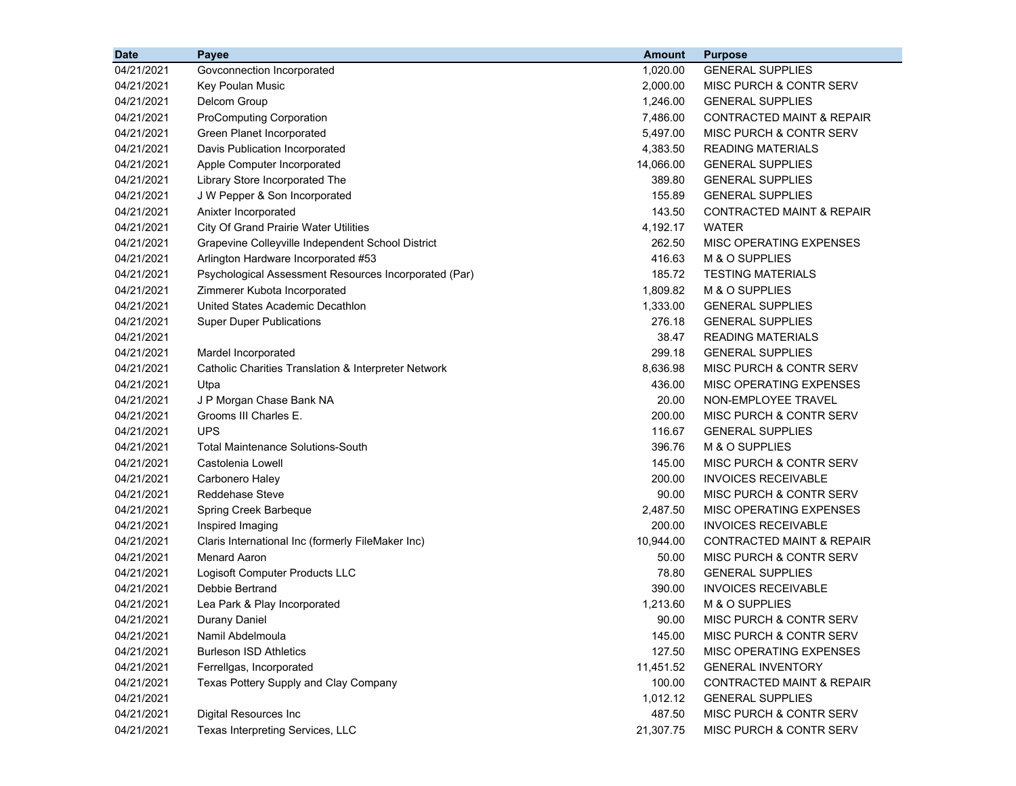| <b>Date</b> | Payee                                                 | <b>Amount</b> | <b>Purpose</b>                     |
|-------------|-------------------------------------------------------|---------------|------------------------------------|
| 04/21/2021  | Govconnection Incorporated                            | 1,020.00      | <b>GENERAL SUPPLIES</b>            |
| 04/21/2021  | Key Poulan Music                                      | 2,000.00      | MISC PURCH & CONTR SERV            |
| 04/21/2021  | Delcom Group                                          | 1,246.00      | <b>GENERAL SUPPLIES</b>            |
| 04/21/2021  | ProComputing Corporation                              | 7,486.00      | CONTRACTED MAINT & REPAIR          |
| 04/21/2021  | Green Planet Incorporated                             | 5,497.00      | <b>MISC PURCH &amp; CONTR SERV</b> |
| 04/21/2021  | Davis Publication Incorporated                        | 4,383.50      | <b>READING MATERIALS</b>           |
| 04/21/2021  | Apple Computer Incorporated                           | 14,066.00     | <b>GENERAL SUPPLIES</b>            |
| 04/21/2021  | Library Store Incorporated The                        | 389.80        | <b>GENERAL SUPPLIES</b>            |
| 04/21/2021  | J W Pepper & Son Incorporated                         | 155.89        | <b>GENERAL SUPPLIES</b>            |
| 04/21/2021  | Anixter Incorporated                                  | 143.50        | CONTRACTED MAINT & REPAIR          |
| 04/21/2021  | City Of Grand Prairie Water Utilities                 | 4,192.17      | <b>WATER</b>                       |
| 04/21/2021  | Grapevine Colleyville Independent School District     | 262.50        | <b>MISC OPERATING EXPENSES</b>     |
| 04/21/2021  | Arlington Hardware Incorporated #53                   | 416.63        | M & O SUPPLIES                     |
| 04/21/2021  | Psychological Assessment Resources Incorporated (Par) | 185.72        | <b>TESTING MATERIALS</b>           |
| 04/21/2021  | Zimmerer Kubota Incorporated                          | 1,809.82      | M & O SUPPLIES                     |
| 04/21/2021  | United States Academic Decathlon                      | 1,333.00      | <b>GENERAL SUPPLIES</b>            |
| 04/21/2021  | <b>Super Duper Publications</b>                       | 276.18        | <b>GENERAL SUPPLIES</b>            |
| 04/21/2021  |                                                       | 38.47         | <b>READING MATERIALS</b>           |
| 04/21/2021  | Mardel Incorporated                                   | 299.18        | <b>GENERAL SUPPLIES</b>            |
| 04/21/2021  | Catholic Charities Translation & Interpreter Network  | 8,636.98      | MISC PURCH & CONTR SERV            |
| 04/21/2021  | Utpa                                                  | 436.00        | MISC OPERATING EXPENSES            |
| 04/21/2021  | J P Morgan Chase Bank NA                              | 20.00         | NON-EMPLOYEE TRAVEL                |
| 04/21/2021  | Grooms III Charles E.                                 | 200.00        | MISC PURCH & CONTR SERV            |
| 04/21/2021  | <b>UPS</b>                                            | 116.67        | <b>GENERAL SUPPLIES</b>            |
| 04/21/2021  | <b>Total Maintenance Solutions-South</b>              | 396.76        | M & O SUPPLIES                     |
| 04/21/2021  | Castolenia Lowell                                     | 145.00        | MISC PURCH & CONTR SERV            |
| 04/21/2021  | Carbonero Haley                                       | 200.00        | <b>INVOICES RECEIVABLE</b>         |
| 04/21/2021  | <b>Reddehase Steve</b>                                | 90.00         | MISC PURCH & CONTR SERV            |
| 04/21/2021  | Spring Creek Barbeque                                 | 2,487.50      | MISC OPERATING EXPENSES            |
| 04/21/2021  | Inspired Imaging                                      | 200.00        | <b>INVOICES RECEIVABLE</b>         |
| 04/21/2021  | Claris International Inc (formerly FileMaker Inc)     | 10,944.00     | CONTRACTED MAINT & REPAIR          |
| 04/21/2021  | <b>Menard Aaron</b>                                   | 50.00         | <b>MISC PURCH &amp; CONTR SERV</b> |
| 04/21/2021  | Logisoft Computer Products LLC                        | 78.80         | <b>GENERAL SUPPLIES</b>            |
| 04/21/2021  | Debbie Bertrand                                       | 390.00        | <b>INVOICES RECEIVABLE</b>         |
| 04/21/2021  | Lea Park & Play Incorporated                          | 1,213.60      | M & O SUPPLIES                     |
| 04/21/2021  | Durany Daniel                                         | 90.00         | <b>MISC PURCH &amp; CONTR SERV</b> |
| 04/21/2021  | Namil Abdelmoula                                      | 145.00        | MISC PURCH & CONTR SERV            |
| 04/21/2021  | <b>Burleson ISD Athletics</b>                         | 127.50        | <b>MISC OPERATING EXPENSES</b>     |
| 04/21/2021  | Ferrellgas, Incorporated                              | 11,451.52     | <b>GENERAL INVENTORY</b>           |
| 04/21/2021  | Texas Pottery Supply and Clay Company                 | 100.00        | CONTRACTED MAINT & REPAIR          |
| 04/21/2021  |                                                       | 1,012.12      | <b>GENERAL SUPPLIES</b>            |
| 04/21/2021  | Digital Resources Inc                                 | 487.50        | MISC PURCH & CONTR SERV            |
| 04/21/2021  | Texas Interpreting Services, LLC                      | 21,307.75     | MISC PURCH & CONTR SERV            |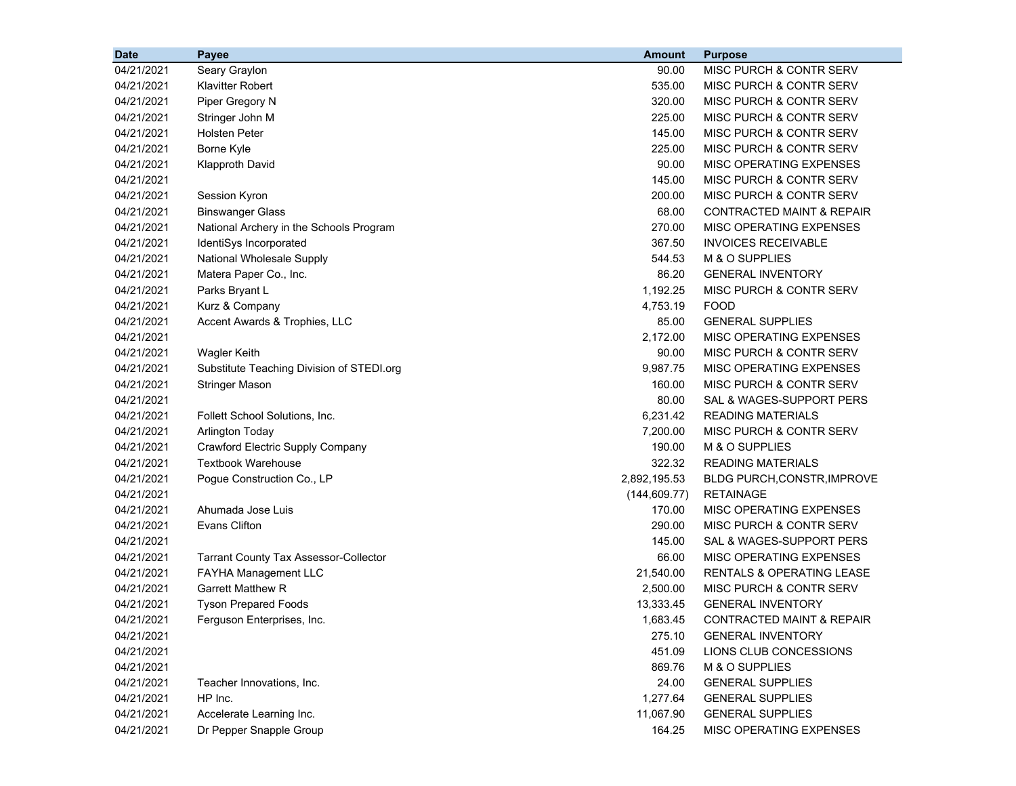| <b>Date</b> | Payee                                        | <b>Amount</b> | <b>Purpose</b>                       |
|-------------|----------------------------------------------|---------------|--------------------------------------|
| 04/21/2021  | Seary Graylon                                | 90.00         | MISC PURCH & CONTR SERV              |
| 04/21/2021  | <b>Klavitter Robert</b>                      | 535.00        | <b>MISC PURCH &amp; CONTR SERV</b>   |
| 04/21/2021  | Piper Gregory N                              | 320.00        | MISC PURCH & CONTR SERV              |
| 04/21/2021  | Stringer John M                              | 225.00        | MISC PURCH & CONTR SERV              |
| 04/21/2021  | <b>Holsten Peter</b>                         | 145.00        | MISC PURCH & CONTR SERV              |
| 04/21/2021  | Borne Kyle                                   | 225.00        | MISC PURCH & CONTR SERV              |
| 04/21/2021  | <b>Klapproth David</b>                       | 90.00         | MISC OPERATING EXPENSES              |
| 04/21/2021  |                                              | 145.00        | MISC PURCH & CONTR SERV              |
| 04/21/2021  | Session Kyron                                | 200.00        | MISC PURCH & CONTR SERV              |
| 04/21/2021  | <b>Binswanger Glass</b>                      | 68.00         | <b>CONTRACTED MAINT &amp; REPAIR</b> |
| 04/21/2021  | National Archery in the Schools Program      | 270.00        | MISC OPERATING EXPENSES              |
| 04/21/2021  | IdentiSys Incorporated                       | 367.50        | <b>INVOICES RECEIVABLE</b>           |
| 04/21/2021  | National Wholesale Supply                    | 544.53        | M & O SUPPLIES                       |
| 04/21/2021  | Matera Paper Co., Inc.                       | 86.20         | <b>GENERAL INVENTORY</b>             |
| 04/21/2021  | Parks Bryant L                               | 1,192.25      | MISC PURCH & CONTR SERV              |
| 04/21/2021  | Kurz & Company                               | 4,753.19      | <b>FOOD</b>                          |
| 04/21/2021  | Accent Awards & Trophies, LLC                | 85.00         | <b>GENERAL SUPPLIES</b>              |
| 04/21/2021  |                                              | 2,172.00      | MISC OPERATING EXPENSES              |
| 04/21/2021  | <b>Wagler Keith</b>                          | 90.00         | MISC PURCH & CONTR SERV              |
| 04/21/2021  | Substitute Teaching Division of STEDI.org    | 9,987.75      | MISC OPERATING EXPENSES              |
| 04/21/2021  | <b>Stringer Mason</b>                        | 160.00        | MISC PURCH & CONTR SERV              |
| 04/21/2021  |                                              | 80.00         | SAL & WAGES-SUPPORT PERS             |
| 04/21/2021  | Follett School Solutions, Inc.               | 6,231.42      | <b>READING MATERIALS</b>             |
| 04/21/2021  | <b>Arlington Today</b>                       | 7,200.00      | MISC PURCH & CONTR SERV              |
| 04/21/2021  | Crawford Electric Supply Company             | 190.00        | M & O SUPPLIES                       |
| 04/21/2021  | <b>Textbook Warehouse</b>                    | 322.32        | <b>READING MATERIALS</b>             |
| 04/21/2021  | Pogue Construction Co., LP                   | 2,892,195.53  | BLDG PURCH, CONSTR, IMPROVE          |
| 04/21/2021  |                                              | (144, 609.77) | <b>RETAINAGE</b>                     |
| 04/21/2021  | Ahumada Jose Luis                            | 170.00        | MISC OPERATING EXPENSES              |
| 04/21/2021  | Evans Clifton                                | 290.00        | MISC PURCH & CONTR SERV              |
| 04/21/2021  |                                              | 145.00        | SAL & WAGES-SUPPORT PERS             |
| 04/21/2021  | <b>Tarrant County Tax Assessor-Collector</b> | 66.00         | MISC OPERATING EXPENSES              |
| 04/21/2021  | FAYHA Management LLC                         | 21,540.00     | <b>RENTALS &amp; OPERATING LEASE</b> |
| 04/21/2021  | <b>Garrett Matthew R</b>                     | 2,500.00      | MISC PURCH & CONTR SERV              |
| 04/21/2021  | <b>Tyson Prepared Foods</b>                  | 13,333.45     | <b>GENERAL INVENTORY</b>             |
| 04/21/2021  | Ferguson Enterprises, Inc.                   | 1,683.45      | <b>CONTRACTED MAINT &amp; REPAIR</b> |
| 04/21/2021  |                                              | 275.10        | <b>GENERAL INVENTORY</b>             |
| 04/21/2021  |                                              | 451.09        | LIONS CLUB CONCESSIONS               |
| 04/21/2021  |                                              | 869.76        | M & O SUPPLIES                       |
| 04/21/2021  | Teacher Innovations, Inc.                    | 24.00         | <b>GENERAL SUPPLIES</b>              |
| 04/21/2021  | HP Inc.                                      | 1,277.64      | <b>GENERAL SUPPLIES</b>              |
| 04/21/2021  | Accelerate Learning Inc.                     | 11,067.90     | <b>GENERAL SUPPLIES</b>              |
| 04/21/2021  | Dr Pepper Snapple Group                      | 164.25        | MISC OPERATING EXPENSES              |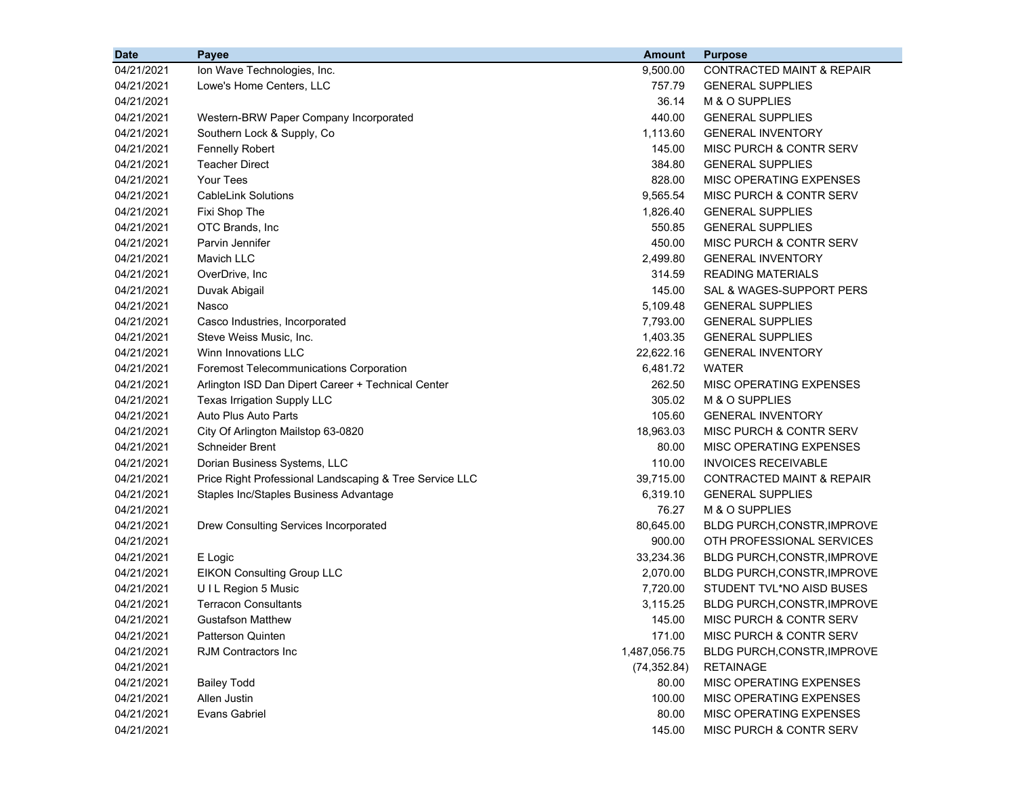| <b>Date</b> | Payee                                                   | <b>Amount</b> | <b>Purpose</b>                       |
|-------------|---------------------------------------------------------|---------------|--------------------------------------|
| 04/21/2021  | Ion Wave Technologies, Inc.                             | 9,500.00      | <b>CONTRACTED MAINT &amp; REPAIR</b> |
| 04/21/2021  | Lowe's Home Centers, LLC                                | 757.79        | <b>GENERAL SUPPLIES</b>              |
| 04/21/2021  |                                                         | 36.14         | M & O SUPPLIES                       |
| 04/21/2021  | Western-BRW Paper Company Incorporated                  | 440.00        | <b>GENERAL SUPPLIES</b>              |
| 04/21/2021  | Southern Lock & Supply, Co                              | 1,113.60      | <b>GENERAL INVENTORY</b>             |
| 04/21/2021  | <b>Fennelly Robert</b>                                  | 145.00        | MISC PURCH & CONTR SERV              |
| 04/21/2021  | <b>Teacher Direct</b>                                   | 384.80        | <b>GENERAL SUPPLIES</b>              |
| 04/21/2021  | <b>Your Tees</b>                                        | 828.00        | <b>MISC OPERATING EXPENSES</b>       |
| 04/21/2021  | <b>CableLink Solutions</b>                              | 9,565.54      | <b>MISC PURCH &amp; CONTR SERV</b>   |
| 04/21/2021  | Fixi Shop The                                           | 1,826.40      | <b>GENERAL SUPPLIES</b>              |
| 04/21/2021  | OTC Brands, Inc.                                        | 550.85        | <b>GENERAL SUPPLIES</b>              |
| 04/21/2021  | Parvin Jennifer                                         | 450.00        | MISC PURCH & CONTR SERV              |
| 04/21/2021  | <b>Mavich LLC</b>                                       | 2,499.80      | <b>GENERAL INVENTORY</b>             |
| 04/21/2021  | OverDrive, Inc                                          | 314.59        | <b>READING MATERIALS</b>             |
| 04/21/2021  | Duvak Abigail                                           | 145.00        | SAL & WAGES-SUPPORT PERS             |
| 04/21/2021  | Nasco                                                   | 5,109.48      | <b>GENERAL SUPPLIES</b>              |
| 04/21/2021  | Casco Industries, Incorporated                          | 7,793.00      | <b>GENERAL SUPPLIES</b>              |
| 04/21/2021  | Steve Weiss Music, Inc.                                 | 1,403.35      | <b>GENERAL SUPPLIES</b>              |
| 04/21/2021  | Winn Innovations LLC                                    | 22,622.16     | <b>GENERAL INVENTORY</b>             |
| 04/21/2021  | <b>Foremost Telecommunications Corporation</b>          | 6,481.72      | <b>WATER</b>                         |
| 04/21/2021  | Arlington ISD Dan Dipert Career + Technical Center      | 262.50        | MISC OPERATING EXPENSES              |
| 04/21/2021  | Texas Irrigation Supply LLC                             | 305.02        | M & O SUPPLIES                       |
| 04/21/2021  | Auto Plus Auto Parts                                    | 105.60        | <b>GENERAL INVENTORY</b>             |
| 04/21/2021  | City Of Arlington Mailstop 63-0820                      | 18,963.03     | MISC PURCH & CONTR SERV              |
| 04/21/2021  | Schneider Brent                                         | 80.00         | MISC OPERATING EXPENSES              |
| 04/21/2021  | Dorian Business Systems, LLC                            | 110.00        | <b>INVOICES RECEIVABLE</b>           |
| 04/21/2021  | Price Right Professional Landscaping & Tree Service LLC | 39,715.00     | <b>CONTRACTED MAINT &amp; REPAIR</b> |
| 04/21/2021  | Staples Inc/Staples Business Advantage                  | 6,319.10      | <b>GENERAL SUPPLIES</b>              |
| 04/21/2021  |                                                         | 76.27         | M & O SUPPLIES                       |
| 04/21/2021  | Drew Consulting Services Incorporated                   | 80,645.00     | <b>BLDG PURCH, CONSTR, IMPROVE</b>   |
| 04/21/2021  |                                                         | 900.00        | OTH PROFESSIONAL SERVICES            |
| 04/21/2021  | E Logic                                                 | 33,234.36     | <b>BLDG PURCH, CONSTR, IMPROVE</b>   |
| 04/21/2021  | <b>EIKON Consulting Group LLC</b>                       | 2,070.00      | <b>BLDG PURCH, CONSTR, IMPROVE</b>   |
| 04/21/2021  | UIL Region 5 Music                                      | 7,720.00      | STUDENT TVL*NO AISD BUSES            |
| 04/21/2021  | <b>Terracon Consultants</b>                             | 3,115.25      | <b>BLDG PURCH, CONSTR, IMPROVE</b>   |
| 04/21/2021  | <b>Gustafson Matthew</b>                                | 145.00        | MISC PURCH & CONTR SERV              |
| 04/21/2021  | Patterson Quinten                                       | 171.00        | MISC PURCH & CONTR SERV              |
| 04/21/2021  | <b>RJM Contractors Inc</b>                              | 1,487,056.75  | <b>BLDG PURCH, CONSTR, IMPROVE</b>   |
| 04/21/2021  |                                                         | (74, 352.84)  | <b>RETAINAGE</b>                     |
| 04/21/2021  | <b>Bailey Todd</b>                                      | 80.00         | <b>MISC OPERATING EXPENSES</b>       |
| 04/21/2021  | Allen Justin                                            | 100.00        | MISC OPERATING EXPENSES              |
| 04/21/2021  | <b>Evans Gabriel</b>                                    | 80.00         | MISC OPERATING EXPENSES              |
| 04/21/2021  |                                                         | 145.00        | MISC PURCH & CONTR SERV              |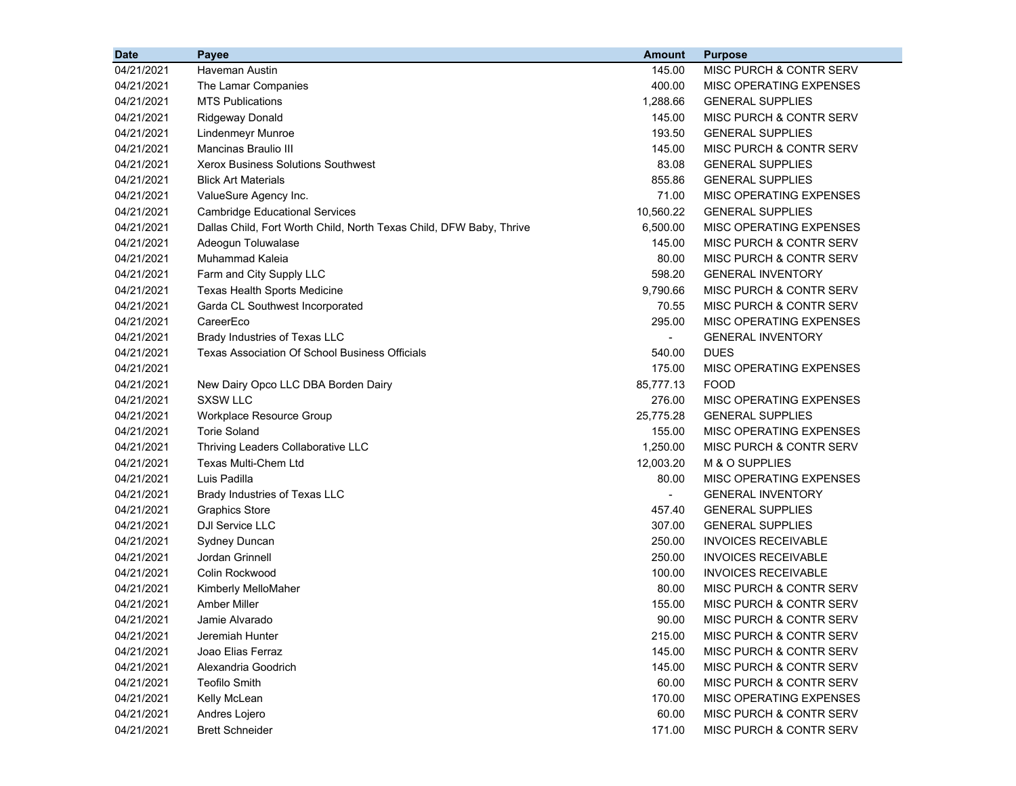| <b>Date</b> | Payee                                                               | <b>Amount</b>  | <b>Purpose</b>                     |
|-------------|---------------------------------------------------------------------|----------------|------------------------------------|
| 04/21/2021  | Haveman Austin                                                      | 145.00         | MISC PURCH & CONTR SERV            |
| 04/21/2021  | The Lamar Companies                                                 | 400.00         | MISC OPERATING EXPENSES            |
| 04/21/2021  | <b>MTS Publications</b>                                             | 1,288.66       | <b>GENERAL SUPPLIES</b>            |
| 04/21/2021  | <b>Ridgeway Donald</b>                                              | 145.00         | <b>MISC PURCH &amp; CONTR SERV</b> |
| 04/21/2021  | Lindenmeyr Munroe                                                   | 193.50         | <b>GENERAL SUPPLIES</b>            |
| 04/21/2021  | Mancinas Braulio III                                                | 145.00         | MISC PURCH & CONTR SERV            |
| 04/21/2021  | <b>Xerox Business Solutions Southwest</b>                           | 83.08          | <b>GENERAL SUPPLIES</b>            |
| 04/21/2021  | <b>Blick Art Materials</b>                                          | 855.86         | <b>GENERAL SUPPLIES</b>            |
| 04/21/2021  | ValueSure Agency Inc.                                               | 71.00          | MISC OPERATING EXPENSES            |
| 04/21/2021  | <b>Cambridge Educational Services</b>                               | 10,560.22      | <b>GENERAL SUPPLIES</b>            |
| 04/21/2021  | Dallas Child, Fort Worth Child, North Texas Child, DFW Baby, Thrive | 6,500.00       | MISC OPERATING EXPENSES            |
| 04/21/2021  | Adeogun Toluwalase                                                  | 145.00         | MISC PURCH & CONTR SERV            |
| 04/21/2021  | Muhammad Kaleia                                                     | 80.00          | MISC PURCH & CONTR SERV            |
| 04/21/2021  | Farm and City Supply LLC                                            | 598.20         | <b>GENERAL INVENTORY</b>           |
| 04/21/2021  | <b>Texas Health Sports Medicine</b>                                 | 9,790.66       | MISC PURCH & CONTR SERV            |
| 04/21/2021  | Garda CL Southwest Incorporated                                     | 70.55          | MISC PURCH & CONTR SERV            |
| 04/21/2021  | CareerEco                                                           | 295.00         | MISC OPERATING EXPENSES            |
| 04/21/2021  | Brady Industries of Texas LLC                                       | $\blacksquare$ | <b>GENERAL INVENTORY</b>           |
| 04/21/2021  | Texas Association Of School Business Officials                      | 540.00         | <b>DUES</b>                        |
| 04/21/2021  |                                                                     | 175.00         | MISC OPERATING EXPENSES            |
| 04/21/2021  | New Dairy Opco LLC DBA Borden Dairy                                 | 85,777.13      | <b>FOOD</b>                        |
| 04/21/2021  | <b>SXSW LLC</b>                                                     | 276.00         | MISC OPERATING EXPENSES            |
| 04/21/2021  | Workplace Resource Group                                            | 25,775.28      | <b>GENERAL SUPPLIES</b>            |
| 04/21/2021  | <b>Torie Soland</b>                                                 | 155.00         | MISC OPERATING EXPENSES            |
| 04/21/2021  | Thriving Leaders Collaborative LLC                                  | 1,250.00       | MISC PURCH & CONTR SERV            |
| 04/21/2021  | <b>Texas Multi-Chem Ltd</b>                                         | 12,003.20      | M & O SUPPLIES                     |
| 04/21/2021  | Luis Padilla                                                        | 80.00          | MISC OPERATING EXPENSES            |
| 04/21/2021  | Brady Industries of Texas LLC                                       | $\blacksquare$ | <b>GENERAL INVENTORY</b>           |
| 04/21/2021  | <b>Graphics Store</b>                                               | 457.40         | <b>GENERAL SUPPLIES</b>            |
| 04/21/2021  | DJI Service LLC                                                     | 307.00         | <b>GENERAL SUPPLIES</b>            |
| 04/21/2021  | Sydney Duncan                                                       | 250.00         | <b>INVOICES RECEIVABLE</b>         |
| 04/21/2021  | Jordan Grinnell                                                     | 250.00         | <b>INVOICES RECEIVABLE</b>         |
| 04/21/2021  | Colin Rockwood                                                      | 100.00         | <b>INVOICES RECEIVABLE</b>         |
| 04/21/2021  | Kimberly MelloMaher                                                 | 80.00          | MISC PURCH & CONTR SERV            |
| 04/21/2021  | <b>Amber Miller</b>                                                 | 155.00         | MISC PURCH & CONTR SERV            |
| 04/21/2021  | Jamie Alvarado                                                      | 90.00          | MISC PURCH & CONTR SERV            |
| 04/21/2021  | Jeremiah Hunter                                                     | 215.00         | MISC PURCH & CONTR SERV            |
| 04/21/2021  | Joao Elias Ferraz                                                   | 145.00         | MISC PURCH & CONTR SERV            |
| 04/21/2021  | Alexandria Goodrich                                                 | 145.00         | MISC PURCH & CONTR SERV            |
| 04/21/2021  | <b>Teofilo Smith</b>                                                | 60.00          | MISC PURCH & CONTR SERV            |
| 04/21/2021  | Kelly McLean                                                        | 170.00         | MISC OPERATING EXPENSES            |
| 04/21/2021  | Andres Lojero                                                       | 60.00          | MISC PURCH & CONTR SERV            |
| 04/21/2021  | <b>Brett Schneider</b>                                              | 171.00         | MISC PURCH & CONTR SERV            |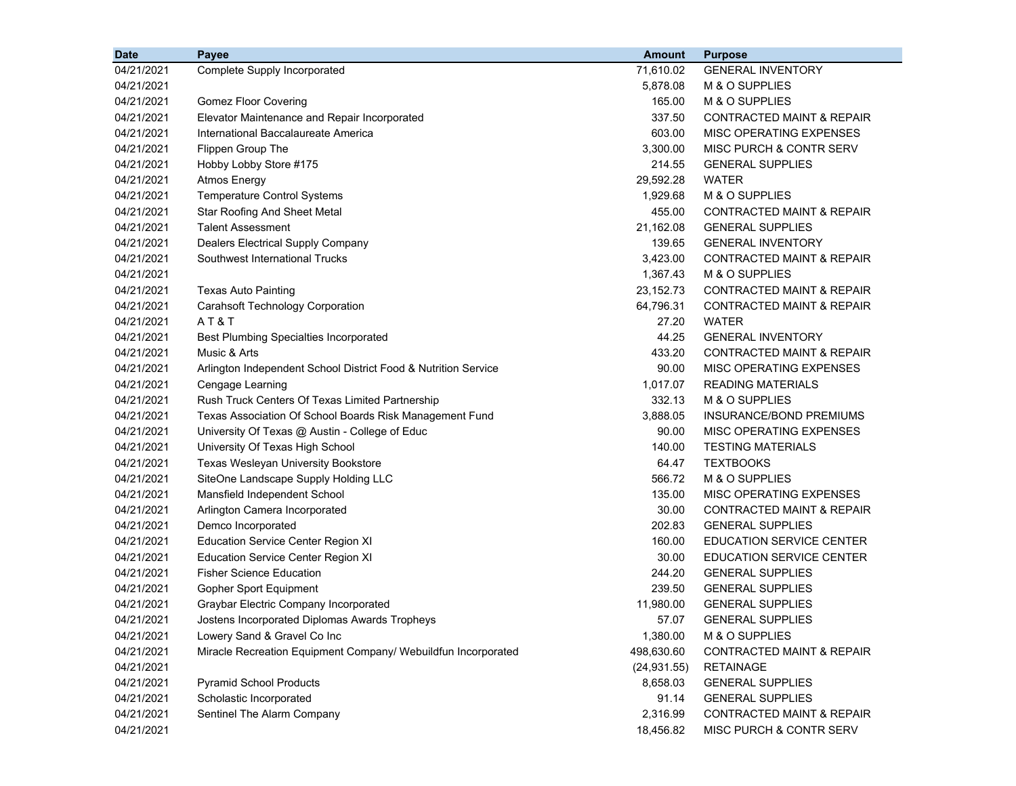| <b>Date</b> | Payee                                                          | <b>Amount</b> | <b>Purpose</b>                       |
|-------------|----------------------------------------------------------------|---------------|--------------------------------------|
| 04/21/2021  | Complete Supply Incorporated                                   | 71,610.02     | <b>GENERAL INVENTORY</b>             |
| 04/21/2021  |                                                                | 5,878.08      | M & O SUPPLIES                       |
| 04/21/2021  | <b>Gomez Floor Covering</b>                                    | 165.00        | M & O SUPPLIES                       |
| 04/21/2021  | Elevator Maintenance and Repair Incorporated                   | 337.50        | <b>CONTRACTED MAINT &amp; REPAIR</b> |
| 04/21/2021  | International Baccalaureate America                            | 603.00        | MISC OPERATING EXPENSES              |
| 04/21/2021  | Flippen Group The                                              | 3,300.00      | MISC PURCH & CONTR SERV              |
| 04/21/2021  | Hobby Lobby Store #175                                         | 214.55        | <b>GENERAL SUPPLIES</b>              |
| 04/21/2021  | <b>Atmos Energy</b>                                            | 29,592.28     | <b>WATER</b>                         |
| 04/21/2021  | Temperature Control Systems                                    | 1,929.68      | M & O SUPPLIES                       |
| 04/21/2021  | <b>Star Roofing And Sheet Metal</b>                            | 455.00        | CONTRACTED MAINT & REPAIR            |
| 04/21/2021  | <b>Talent Assessment</b>                                       | 21,162.08     | <b>GENERAL SUPPLIES</b>              |
| 04/21/2021  | Dealers Electrical Supply Company                              | 139.65        | <b>GENERAL INVENTORY</b>             |
| 04/21/2021  | Southwest International Trucks                                 | 3,423.00      | CONTRACTED MAINT & REPAIR            |
| 04/21/2021  |                                                                | 1,367.43      | M & O SUPPLIES                       |
| 04/21/2021  | <b>Texas Auto Painting</b>                                     | 23, 152. 73   | <b>CONTRACTED MAINT &amp; REPAIR</b> |
| 04/21/2021  | <b>Carahsoft Technology Corporation</b>                        | 64,796.31     | <b>CONTRACTED MAINT &amp; REPAIR</b> |
| 04/21/2021  | AT&T                                                           | 27.20         | <b>WATER</b>                         |
| 04/21/2021  | <b>Best Plumbing Specialties Incorporated</b>                  | 44.25         | <b>GENERAL INVENTORY</b>             |
| 04/21/2021  | Music & Arts                                                   | 433.20        | <b>CONTRACTED MAINT &amp; REPAIR</b> |
| 04/21/2021  | Arlington Independent School District Food & Nutrition Service | 90.00         | MISC OPERATING EXPENSES              |
| 04/21/2021  | Cengage Learning                                               | 1,017.07      | <b>READING MATERIALS</b>             |
| 04/21/2021  | Rush Truck Centers Of Texas Limited Partnership                | 332.13        | M & O SUPPLIES                       |
| 04/21/2021  | Texas Association Of School Boards Risk Management Fund        | 3,888.05      | INSURANCE/BOND PREMIUMS              |
| 04/21/2021  | University Of Texas @ Austin - College of Educ                 | 90.00         | MISC OPERATING EXPENSES              |
| 04/21/2021  | University Of Texas High School                                | 140.00        | <b>TESTING MATERIALS</b>             |
| 04/21/2021  | <b>Texas Wesleyan University Bookstore</b>                     | 64.47         | <b>TEXTBOOKS</b>                     |
| 04/21/2021  | SiteOne Landscape Supply Holding LLC                           | 566.72        | M & O SUPPLIES                       |
| 04/21/2021  | Mansfield Independent School                                   | 135.00        | MISC OPERATING EXPENSES              |
| 04/21/2021  | Arlington Camera Incorporated                                  | 30.00         | <b>CONTRACTED MAINT &amp; REPAIR</b> |
| 04/21/2021  | Demco Incorporated                                             | 202.83        | <b>GENERAL SUPPLIES</b>              |
| 04/21/2021  | Education Service Center Region XI                             | 160.00        | <b>EDUCATION SERVICE CENTER</b>      |
| 04/21/2021  | <b>Education Service Center Region XI</b>                      | 30.00         | <b>EDUCATION SERVICE CENTER</b>      |
| 04/21/2021  | <b>Fisher Science Education</b>                                | 244.20        | <b>GENERAL SUPPLIES</b>              |
| 04/21/2021  | Gopher Sport Equipment                                         | 239.50        | <b>GENERAL SUPPLIES</b>              |
| 04/21/2021  | Graybar Electric Company Incorporated                          | 11,980.00     | <b>GENERAL SUPPLIES</b>              |
| 04/21/2021  | Jostens Incorporated Diplomas Awards Tropheys                  | 57.07         | <b>GENERAL SUPPLIES</b>              |
| 04/21/2021  | Lowery Sand & Gravel Co Inc                                    | 1,380.00      | M & O SUPPLIES                       |
| 04/21/2021  | Miracle Recreation Equipment Company/ Webuildfun Incorporated  | 498,630.60    | <b>CONTRACTED MAINT &amp; REPAIR</b> |
| 04/21/2021  |                                                                | (24, 931.55)  | <b>RETAINAGE</b>                     |
| 04/21/2021  | <b>Pyramid School Products</b>                                 | 8,658.03      | <b>GENERAL SUPPLIES</b>              |
| 04/21/2021  | Scholastic Incorporated                                        | 91.14         | <b>GENERAL SUPPLIES</b>              |
| 04/21/2021  | Sentinel The Alarm Company                                     | 2,316.99      | <b>CONTRACTED MAINT &amp; REPAIR</b> |
| 04/21/2021  |                                                                | 18,456.82     | MISC PURCH & CONTR SERV              |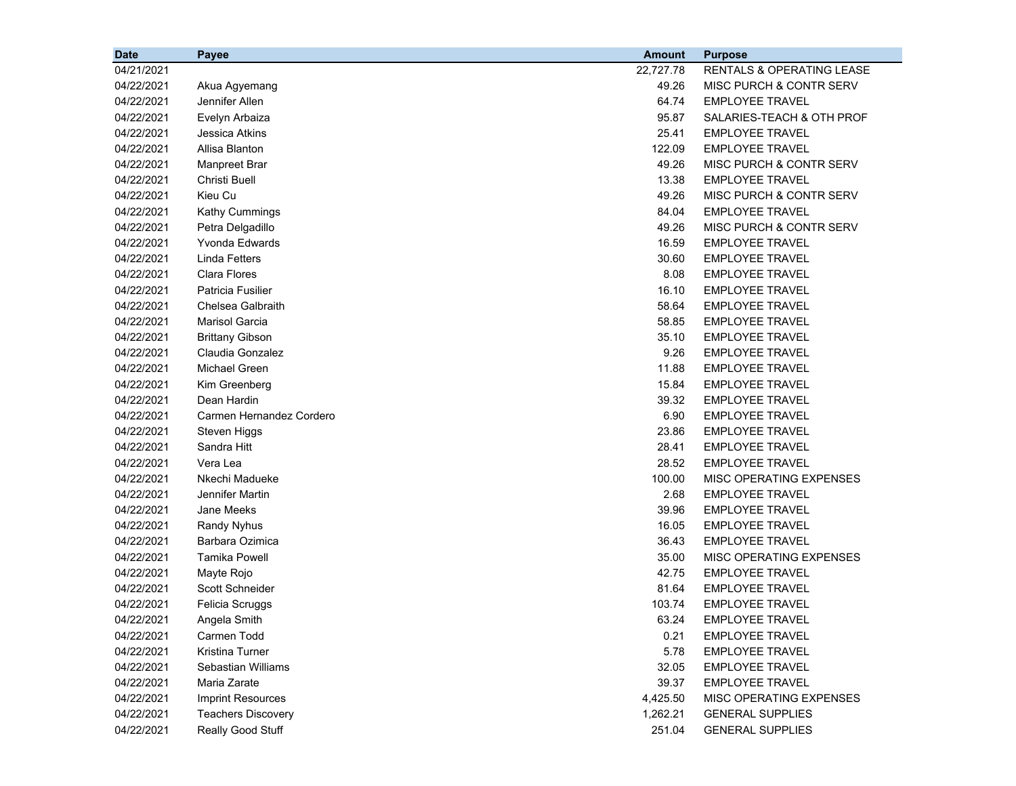| <b>Date</b> | <b>Payee</b>              | <b>Amount</b> | <b>Purpose</b>                       |
|-------------|---------------------------|---------------|--------------------------------------|
| 04/21/2021  |                           | 22,727.78     | <b>RENTALS &amp; OPERATING LEASE</b> |
| 04/22/2021  | Akua Agyemang             | 49.26         | MISC PURCH & CONTR SERV              |
| 04/22/2021  | Jennifer Allen            | 64.74         | <b>EMPLOYEE TRAVEL</b>               |
| 04/22/2021  | Evelyn Arbaiza            | 95.87         | SALARIES-TEACH & OTH PROF            |
| 04/22/2021  | Jessica Atkins            | 25.41         | <b>EMPLOYEE TRAVEL</b>               |
| 04/22/2021  | Allisa Blanton            | 122.09        | <b>EMPLOYEE TRAVEL</b>               |
| 04/22/2021  | <b>Manpreet Brar</b>      | 49.26         | MISC PURCH & CONTR SERV              |
| 04/22/2021  | <b>Christi Buell</b>      | 13.38         | <b>EMPLOYEE TRAVEL</b>               |
| 04/22/2021  | Kieu Cu                   | 49.26         | MISC PURCH & CONTR SERV              |
| 04/22/2021  | Kathy Cummings            | 84.04         | <b>EMPLOYEE TRAVEL</b>               |
| 04/22/2021  | Petra Delgadillo          | 49.26         | MISC PURCH & CONTR SERV              |
| 04/22/2021  | Yvonda Edwards            | 16.59         | <b>EMPLOYEE TRAVEL</b>               |
| 04/22/2021  | <b>Linda Fetters</b>      | 30.60         | <b>EMPLOYEE TRAVEL</b>               |
| 04/22/2021  | <b>Clara Flores</b>       | 8.08          | <b>EMPLOYEE TRAVEL</b>               |
| 04/22/2021  | <b>Patricia Fusilier</b>  | 16.10         | <b>EMPLOYEE TRAVEL</b>               |
| 04/22/2021  | Chelsea Galbraith         | 58.64         | <b>EMPLOYEE TRAVEL</b>               |
| 04/22/2021  | <b>Marisol Garcia</b>     | 58.85         | <b>EMPLOYEE TRAVEL</b>               |
| 04/22/2021  | <b>Brittany Gibson</b>    | 35.10         | <b>EMPLOYEE TRAVEL</b>               |
| 04/22/2021  | Claudia Gonzalez          | 9.26          | <b>EMPLOYEE TRAVEL</b>               |
| 04/22/2021  | Michael Green             | 11.88         | <b>EMPLOYEE TRAVEL</b>               |
| 04/22/2021  | Kim Greenberg             | 15.84         | <b>EMPLOYEE TRAVEL</b>               |
| 04/22/2021  | Dean Hardin               | 39.32         | <b>EMPLOYEE TRAVEL</b>               |
| 04/22/2021  | Carmen Hernandez Cordero  | 6.90          | <b>EMPLOYEE TRAVEL</b>               |
| 04/22/2021  | Steven Higgs              | 23.86         | <b>EMPLOYEE TRAVEL</b>               |
| 04/22/2021  | Sandra Hitt               | 28.41         | <b>EMPLOYEE TRAVEL</b>               |
| 04/22/2021  | Vera Lea                  | 28.52         | <b>EMPLOYEE TRAVEL</b>               |
| 04/22/2021  | Nkechi Madueke            | 100.00        | MISC OPERATING EXPENSES              |
| 04/22/2021  | Jennifer Martin           | 2.68          | <b>EMPLOYEE TRAVEL</b>               |
| 04/22/2021  | Jane Meeks                | 39.96         | <b>EMPLOYEE TRAVEL</b>               |
| 04/22/2021  | Randy Nyhus               | 16.05         | <b>EMPLOYEE TRAVEL</b>               |
| 04/22/2021  | Barbara Ozimica           | 36.43         | <b>EMPLOYEE TRAVEL</b>               |
| 04/22/2021  | <b>Tamika Powell</b>      | 35.00         | MISC OPERATING EXPENSES              |
| 04/22/2021  | Mayte Rojo                | 42.75         | <b>EMPLOYEE TRAVEL</b>               |
| 04/22/2021  | Scott Schneider           | 81.64         | <b>EMPLOYEE TRAVEL</b>               |
| 04/22/2021  | Felicia Scruggs           | 103.74        | <b>EMPLOYEE TRAVEL</b>               |
| 04/22/2021  | Angela Smith              | 63.24         | <b>EMPLOYEE TRAVEL</b>               |
| 04/22/2021  | Carmen Todd               | 0.21          | <b>EMPLOYEE TRAVEL</b>               |
| 04/22/2021  | Kristina Turner           | 5.78          | <b>EMPLOYEE TRAVEL</b>               |
| 04/22/2021  | Sebastian Williams        | 32.05         | <b>EMPLOYEE TRAVEL</b>               |
| 04/22/2021  | Maria Zarate              | 39.37         | <b>EMPLOYEE TRAVEL</b>               |
| 04/22/2021  | <b>Imprint Resources</b>  | 4,425.50      | MISC OPERATING EXPENSES              |
| 04/22/2021  | <b>Teachers Discovery</b> | 1,262.21      | <b>GENERAL SUPPLIES</b>              |
| 04/22/2021  | Really Good Stuff         | 251.04        | <b>GENERAL SUPPLIES</b>              |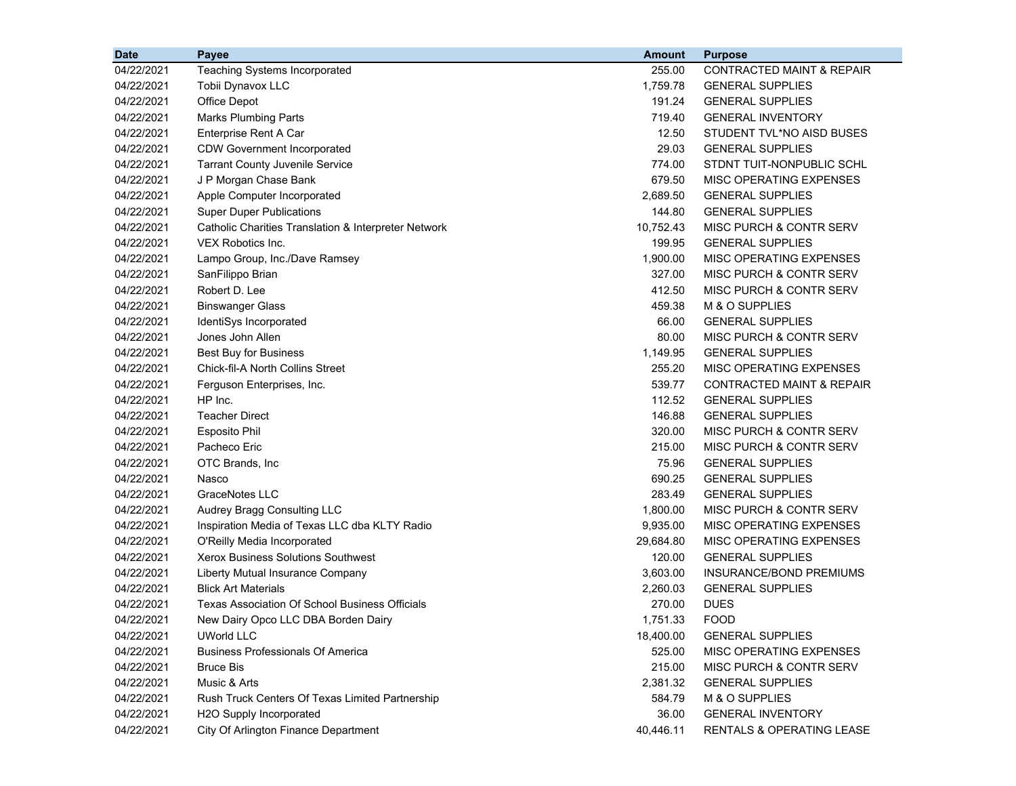| 04/22/2021<br><b>Teaching Systems Incorporated</b><br>255.00<br><b>CONTRACTED MAINT &amp; REPAIR</b><br>04/22/2021<br>1,759.78<br><b>GENERAL SUPPLIES</b><br><b>Tobii Dynavox LLC</b><br>04/22/2021<br>Office Depot<br>191.24<br><b>GENERAL SUPPLIES</b><br>04/22/2021<br><b>Marks Plumbing Parts</b><br>719.40<br><b>GENERAL INVENTORY</b><br>04/22/2021<br>Enterprise Rent A Car<br>12.50<br>STUDENT TVL*NO AISD BUSES<br>29.03<br><b>GENERAL SUPPLIES</b><br>04/22/2021<br><b>CDW Government Incorporated</b><br>774.00<br>STDNT TUIT-NONPUBLIC SCHL<br>04/22/2021<br><b>Tarrant County Juvenile Service</b><br>J P Morgan Chase Bank<br>04/22/2021<br>679.50<br>MISC OPERATING EXPENSES<br>04/22/2021<br>Apple Computer Incorporated<br>2,689.50<br><b>GENERAL SUPPLIES</b><br>04/22/2021<br><b>Super Duper Publications</b><br>144.80<br><b>GENERAL SUPPLIES</b><br>04/22/2021<br>10,752.43<br>MISC PURCH & CONTR SERV<br>Catholic Charities Translation & Interpreter Network<br>04/22/2021<br>VEX Robotics Inc.<br>199.95<br><b>GENERAL SUPPLIES</b><br>1,900.00<br>MISC OPERATING EXPENSES<br>04/22/2021<br>Lampo Group, Inc./Dave Ramsey<br>04/22/2021<br>327.00<br>MISC PURCH & CONTR SERV<br>SanFilippo Brian<br>Robert D. Lee<br>412.50<br>MISC PURCH & CONTR SERV<br>04/22/2021<br>04/22/2021<br><b>Binswanger Glass</b><br>459.38<br>M & O SUPPLIES<br>04/22/2021<br>66.00<br><b>GENERAL SUPPLIES</b><br>IdentiSys Incorporated<br>04/22/2021<br>Jones John Allen<br>80.00<br>MISC PURCH & CONTR SERV<br>04/22/2021<br><b>Best Buy for Business</b><br>1,149.95<br><b>GENERAL SUPPLIES</b><br>04/22/2021<br><b>Chick-fil-A North Collins Street</b><br>255.20<br>MISC OPERATING EXPENSES<br>04/22/2021<br>Ferguson Enterprises, Inc.<br>539.77<br><b>CONTRACTED MAINT &amp; REPAIR</b><br>04/22/2021<br>HP Inc.<br>112.52<br><b>GENERAL SUPPLIES</b><br>04/22/2021<br><b>Teacher Direct</b><br>146.88<br><b>GENERAL SUPPLIES</b><br>04/22/2021<br><b>Esposito Phil</b><br>320.00<br>MISC PURCH & CONTR SERV<br>04/22/2021<br>Pacheco Eric<br>215.00<br>MISC PURCH & CONTR SERV<br>04/22/2021<br>OTC Brands, Inc<br>75.96<br><b>GENERAL SUPPLIES</b> |
|-------------------------------------------------------------------------------------------------------------------------------------------------------------------------------------------------------------------------------------------------------------------------------------------------------------------------------------------------------------------------------------------------------------------------------------------------------------------------------------------------------------------------------------------------------------------------------------------------------------------------------------------------------------------------------------------------------------------------------------------------------------------------------------------------------------------------------------------------------------------------------------------------------------------------------------------------------------------------------------------------------------------------------------------------------------------------------------------------------------------------------------------------------------------------------------------------------------------------------------------------------------------------------------------------------------------------------------------------------------------------------------------------------------------------------------------------------------------------------------------------------------------------------------------------------------------------------------------------------------------------------------------------------------------------------------------------------------------------------------------------------------------------------------------------------------------------------------------------------------------------------------------------------------------------------------------------------------------------------------------------------------------------------------------------------------------------------------------------------------------------------------------------------------------|
|                                                                                                                                                                                                                                                                                                                                                                                                                                                                                                                                                                                                                                                                                                                                                                                                                                                                                                                                                                                                                                                                                                                                                                                                                                                                                                                                                                                                                                                                                                                                                                                                                                                                                                                                                                                                                                                                                                                                                                                                                                                                                                                                                                   |
|                                                                                                                                                                                                                                                                                                                                                                                                                                                                                                                                                                                                                                                                                                                                                                                                                                                                                                                                                                                                                                                                                                                                                                                                                                                                                                                                                                                                                                                                                                                                                                                                                                                                                                                                                                                                                                                                                                                                                                                                                                                                                                                                                                   |
|                                                                                                                                                                                                                                                                                                                                                                                                                                                                                                                                                                                                                                                                                                                                                                                                                                                                                                                                                                                                                                                                                                                                                                                                                                                                                                                                                                                                                                                                                                                                                                                                                                                                                                                                                                                                                                                                                                                                                                                                                                                                                                                                                                   |
|                                                                                                                                                                                                                                                                                                                                                                                                                                                                                                                                                                                                                                                                                                                                                                                                                                                                                                                                                                                                                                                                                                                                                                                                                                                                                                                                                                                                                                                                                                                                                                                                                                                                                                                                                                                                                                                                                                                                                                                                                                                                                                                                                                   |
|                                                                                                                                                                                                                                                                                                                                                                                                                                                                                                                                                                                                                                                                                                                                                                                                                                                                                                                                                                                                                                                                                                                                                                                                                                                                                                                                                                                                                                                                                                                                                                                                                                                                                                                                                                                                                                                                                                                                                                                                                                                                                                                                                                   |
|                                                                                                                                                                                                                                                                                                                                                                                                                                                                                                                                                                                                                                                                                                                                                                                                                                                                                                                                                                                                                                                                                                                                                                                                                                                                                                                                                                                                                                                                                                                                                                                                                                                                                                                                                                                                                                                                                                                                                                                                                                                                                                                                                                   |
|                                                                                                                                                                                                                                                                                                                                                                                                                                                                                                                                                                                                                                                                                                                                                                                                                                                                                                                                                                                                                                                                                                                                                                                                                                                                                                                                                                                                                                                                                                                                                                                                                                                                                                                                                                                                                                                                                                                                                                                                                                                                                                                                                                   |
|                                                                                                                                                                                                                                                                                                                                                                                                                                                                                                                                                                                                                                                                                                                                                                                                                                                                                                                                                                                                                                                                                                                                                                                                                                                                                                                                                                                                                                                                                                                                                                                                                                                                                                                                                                                                                                                                                                                                                                                                                                                                                                                                                                   |
|                                                                                                                                                                                                                                                                                                                                                                                                                                                                                                                                                                                                                                                                                                                                                                                                                                                                                                                                                                                                                                                                                                                                                                                                                                                                                                                                                                                                                                                                                                                                                                                                                                                                                                                                                                                                                                                                                                                                                                                                                                                                                                                                                                   |
|                                                                                                                                                                                                                                                                                                                                                                                                                                                                                                                                                                                                                                                                                                                                                                                                                                                                                                                                                                                                                                                                                                                                                                                                                                                                                                                                                                                                                                                                                                                                                                                                                                                                                                                                                                                                                                                                                                                                                                                                                                                                                                                                                                   |
|                                                                                                                                                                                                                                                                                                                                                                                                                                                                                                                                                                                                                                                                                                                                                                                                                                                                                                                                                                                                                                                                                                                                                                                                                                                                                                                                                                                                                                                                                                                                                                                                                                                                                                                                                                                                                                                                                                                                                                                                                                                                                                                                                                   |
|                                                                                                                                                                                                                                                                                                                                                                                                                                                                                                                                                                                                                                                                                                                                                                                                                                                                                                                                                                                                                                                                                                                                                                                                                                                                                                                                                                                                                                                                                                                                                                                                                                                                                                                                                                                                                                                                                                                                                                                                                                                                                                                                                                   |
|                                                                                                                                                                                                                                                                                                                                                                                                                                                                                                                                                                                                                                                                                                                                                                                                                                                                                                                                                                                                                                                                                                                                                                                                                                                                                                                                                                                                                                                                                                                                                                                                                                                                                                                                                                                                                                                                                                                                                                                                                                                                                                                                                                   |
|                                                                                                                                                                                                                                                                                                                                                                                                                                                                                                                                                                                                                                                                                                                                                                                                                                                                                                                                                                                                                                                                                                                                                                                                                                                                                                                                                                                                                                                                                                                                                                                                                                                                                                                                                                                                                                                                                                                                                                                                                                                                                                                                                                   |
|                                                                                                                                                                                                                                                                                                                                                                                                                                                                                                                                                                                                                                                                                                                                                                                                                                                                                                                                                                                                                                                                                                                                                                                                                                                                                                                                                                                                                                                                                                                                                                                                                                                                                                                                                                                                                                                                                                                                                                                                                                                                                                                                                                   |
|                                                                                                                                                                                                                                                                                                                                                                                                                                                                                                                                                                                                                                                                                                                                                                                                                                                                                                                                                                                                                                                                                                                                                                                                                                                                                                                                                                                                                                                                                                                                                                                                                                                                                                                                                                                                                                                                                                                                                                                                                                                                                                                                                                   |
|                                                                                                                                                                                                                                                                                                                                                                                                                                                                                                                                                                                                                                                                                                                                                                                                                                                                                                                                                                                                                                                                                                                                                                                                                                                                                                                                                                                                                                                                                                                                                                                                                                                                                                                                                                                                                                                                                                                                                                                                                                                                                                                                                                   |
|                                                                                                                                                                                                                                                                                                                                                                                                                                                                                                                                                                                                                                                                                                                                                                                                                                                                                                                                                                                                                                                                                                                                                                                                                                                                                                                                                                                                                                                                                                                                                                                                                                                                                                                                                                                                                                                                                                                                                                                                                                                                                                                                                                   |
|                                                                                                                                                                                                                                                                                                                                                                                                                                                                                                                                                                                                                                                                                                                                                                                                                                                                                                                                                                                                                                                                                                                                                                                                                                                                                                                                                                                                                                                                                                                                                                                                                                                                                                                                                                                                                                                                                                                                                                                                                                                                                                                                                                   |
|                                                                                                                                                                                                                                                                                                                                                                                                                                                                                                                                                                                                                                                                                                                                                                                                                                                                                                                                                                                                                                                                                                                                                                                                                                                                                                                                                                                                                                                                                                                                                                                                                                                                                                                                                                                                                                                                                                                                                                                                                                                                                                                                                                   |
|                                                                                                                                                                                                                                                                                                                                                                                                                                                                                                                                                                                                                                                                                                                                                                                                                                                                                                                                                                                                                                                                                                                                                                                                                                                                                                                                                                                                                                                                                                                                                                                                                                                                                                                                                                                                                                                                                                                                                                                                                                                                                                                                                                   |
|                                                                                                                                                                                                                                                                                                                                                                                                                                                                                                                                                                                                                                                                                                                                                                                                                                                                                                                                                                                                                                                                                                                                                                                                                                                                                                                                                                                                                                                                                                                                                                                                                                                                                                                                                                                                                                                                                                                                                                                                                                                                                                                                                                   |
|                                                                                                                                                                                                                                                                                                                                                                                                                                                                                                                                                                                                                                                                                                                                                                                                                                                                                                                                                                                                                                                                                                                                                                                                                                                                                                                                                                                                                                                                                                                                                                                                                                                                                                                                                                                                                                                                                                                                                                                                                                                                                                                                                                   |
|                                                                                                                                                                                                                                                                                                                                                                                                                                                                                                                                                                                                                                                                                                                                                                                                                                                                                                                                                                                                                                                                                                                                                                                                                                                                                                                                                                                                                                                                                                                                                                                                                                                                                                                                                                                                                                                                                                                                                                                                                                                                                                                                                                   |
|                                                                                                                                                                                                                                                                                                                                                                                                                                                                                                                                                                                                                                                                                                                                                                                                                                                                                                                                                                                                                                                                                                                                                                                                                                                                                                                                                                                                                                                                                                                                                                                                                                                                                                                                                                                                                                                                                                                                                                                                                                                                                                                                                                   |
|                                                                                                                                                                                                                                                                                                                                                                                                                                                                                                                                                                                                                                                                                                                                                                                                                                                                                                                                                                                                                                                                                                                                                                                                                                                                                                                                                                                                                                                                                                                                                                                                                                                                                                                                                                                                                                                                                                                                                                                                                                                                                                                                                                   |
| 690.25<br><b>GENERAL SUPPLIES</b><br>04/22/2021<br>Nasco                                                                                                                                                                                                                                                                                                                                                                                                                                                                                                                                                                                                                                                                                                                                                                                                                                                                                                                                                                                                                                                                                                                                                                                                                                                                                                                                                                                                                                                                                                                                                                                                                                                                                                                                                                                                                                                                                                                                                                                                                                                                                                          |
| 04/22/2021<br>GraceNotes LLC<br>283.49<br><b>GENERAL SUPPLIES</b>                                                                                                                                                                                                                                                                                                                                                                                                                                                                                                                                                                                                                                                                                                                                                                                                                                                                                                                                                                                                                                                                                                                                                                                                                                                                                                                                                                                                                                                                                                                                                                                                                                                                                                                                                                                                                                                                                                                                                                                                                                                                                                 |
| 04/22/2021<br>1,800.00<br>MISC PURCH & CONTR SERV<br>Audrey Bragg Consulting LLC                                                                                                                                                                                                                                                                                                                                                                                                                                                                                                                                                                                                                                                                                                                                                                                                                                                                                                                                                                                                                                                                                                                                                                                                                                                                                                                                                                                                                                                                                                                                                                                                                                                                                                                                                                                                                                                                                                                                                                                                                                                                                  |
| Inspiration Media of Texas LLC dba KLTY Radio<br>9,935.00<br>MISC OPERATING EXPENSES<br>04/22/2021                                                                                                                                                                                                                                                                                                                                                                                                                                                                                                                                                                                                                                                                                                                                                                                                                                                                                                                                                                                                                                                                                                                                                                                                                                                                                                                                                                                                                                                                                                                                                                                                                                                                                                                                                                                                                                                                                                                                                                                                                                                                |
| 29,684.80<br>04/22/2021<br>O'Reilly Media Incorporated<br>MISC OPERATING EXPENSES                                                                                                                                                                                                                                                                                                                                                                                                                                                                                                                                                                                                                                                                                                                                                                                                                                                                                                                                                                                                                                                                                                                                                                                                                                                                                                                                                                                                                                                                                                                                                                                                                                                                                                                                                                                                                                                                                                                                                                                                                                                                                 |
| <b>Xerox Business Solutions Southwest</b><br>120.00<br><b>GENERAL SUPPLIES</b><br>04/22/2021                                                                                                                                                                                                                                                                                                                                                                                                                                                                                                                                                                                                                                                                                                                                                                                                                                                                                                                                                                                                                                                                                                                                                                                                                                                                                                                                                                                                                                                                                                                                                                                                                                                                                                                                                                                                                                                                                                                                                                                                                                                                      |
| 04/22/2021<br>3,603.00<br><b>INSURANCE/BOND PREMIUMS</b><br>Liberty Mutual Insurance Company                                                                                                                                                                                                                                                                                                                                                                                                                                                                                                                                                                                                                                                                                                                                                                                                                                                                                                                                                                                                                                                                                                                                                                                                                                                                                                                                                                                                                                                                                                                                                                                                                                                                                                                                                                                                                                                                                                                                                                                                                                                                      |
| <b>Blick Art Materials</b><br><b>GENERAL SUPPLIES</b><br>04/22/2021<br>2,260.03                                                                                                                                                                                                                                                                                                                                                                                                                                                                                                                                                                                                                                                                                                                                                                                                                                                                                                                                                                                                                                                                                                                                                                                                                                                                                                                                                                                                                                                                                                                                                                                                                                                                                                                                                                                                                                                                                                                                                                                                                                                                                   |
| 04/22/2021<br><b>Texas Association Of School Business Officials</b><br>270.00<br><b>DUES</b>                                                                                                                                                                                                                                                                                                                                                                                                                                                                                                                                                                                                                                                                                                                                                                                                                                                                                                                                                                                                                                                                                                                                                                                                                                                                                                                                                                                                                                                                                                                                                                                                                                                                                                                                                                                                                                                                                                                                                                                                                                                                      |
| 04/22/2021<br>1,751.33<br><b>FOOD</b><br>New Dairy Opco LLC DBA Borden Dairy                                                                                                                                                                                                                                                                                                                                                                                                                                                                                                                                                                                                                                                                                                                                                                                                                                                                                                                                                                                                                                                                                                                                                                                                                                                                                                                                                                                                                                                                                                                                                                                                                                                                                                                                                                                                                                                                                                                                                                                                                                                                                      |
| 04/22/2021<br><b>UWorld LLC</b><br><b>GENERAL SUPPLIES</b><br>18,400.00                                                                                                                                                                                                                                                                                                                                                                                                                                                                                                                                                                                                                                                                                                                                                                                                                                                                                                                                                                                                                                                                                                                                                                                                                                                                                                                                                                                                                                                                                                                                                                                                                                                                                                                                                                                                                                                                                                                                                                                                                                                                                           |
| 04/22/2021<br><b>Business Professionals Of America</b><br>525.00<br>MISC OPERATING EXPENSES                                                                                                                                                                                                                                                                                                                                                                                                                                                                                                                                                                                                                                                                                                                                                                                                                                                                                                                                                                                                                                                                                                                                                                                                                                                                                                                                                                                                                                                                                                                                                                                                                                                                                                                                                                                                                                                                                                                                                                                                                                                                       |
| 04/22/2021<br><b>Bruce Bis</b><br>215.00<br>MISC PURCH & CONTR SERV                                                                                                                                                                                                                                                                                                                                                                                                                                                                                                                                                                                                                                                                                                                                                                                                                                                                                                                                                                                                                                                                                                                                                                                                                                                                                                                                                                                                                                                                                                                                                                                                                                                                                                                                                                                                                                                                                                                                                                                                                                                                                               |
| Music & Arts<br><b>GENERAL SUPPLIES</b><br>04/22/2021<br>2,381.32                                                                                                                                                                                                                                                                                                                                                                                                                                                                                                                                                                                                                                                                                                                                                                                                                                                                                                                                                                                                                                                                                                                                                                                                                                                                                                                                                                                                                                                                                                                                                                                                                                                                                                                                                                                                                                                                                                                                                                                                                                                                                                 |
| 04/22/2021<br>M & O SUPPLIES<br>Rush Truck Centers Of Texas Limited Partnership<br>584.79                                                                                                                                                                                                                                                                                                                                                                                                                                                                                                                                                                                                                                                                                                                                                                                                                                                                                                                                                                                                                                                                                                                                                                                                                                                                                                                                                                                                                                                                                                                                                                                                                                                                                                                                                                                                                                                                                                                                                                                                                                                                         |
| 04/22/2021<br>36.00<br><b>GENERAL INVENTORY</b><br>H2O Supply Incorporated                                                                                                                                                                                                                                                                                                                                                                                                                                                                                                                                                                                                                                                                                                                                                                                                                                                                                                                                                                                                                                                                                                                                                                                                                                                                                                                                                                                                                                                                                                                                                                                                                                                                                                                                                                                                                                                                                                                                                                                                                                                                                        |
| 04/22/2021<br>City Of Arlington Finance Department<br>40,446.11<br>RENTALS & OPERATING LEASE                                                                                                                                                                                                                                                                                                                                                                                                                                                                                                                                                                                                                                                                                                                                                                                                                                                                                                                                                                                                                                                                                                                                                                                                                                                                                                                                                                                                                                                                                                                                                                                                                                                                                                                                                                                                                                                                                                                                                                                                                                                                      |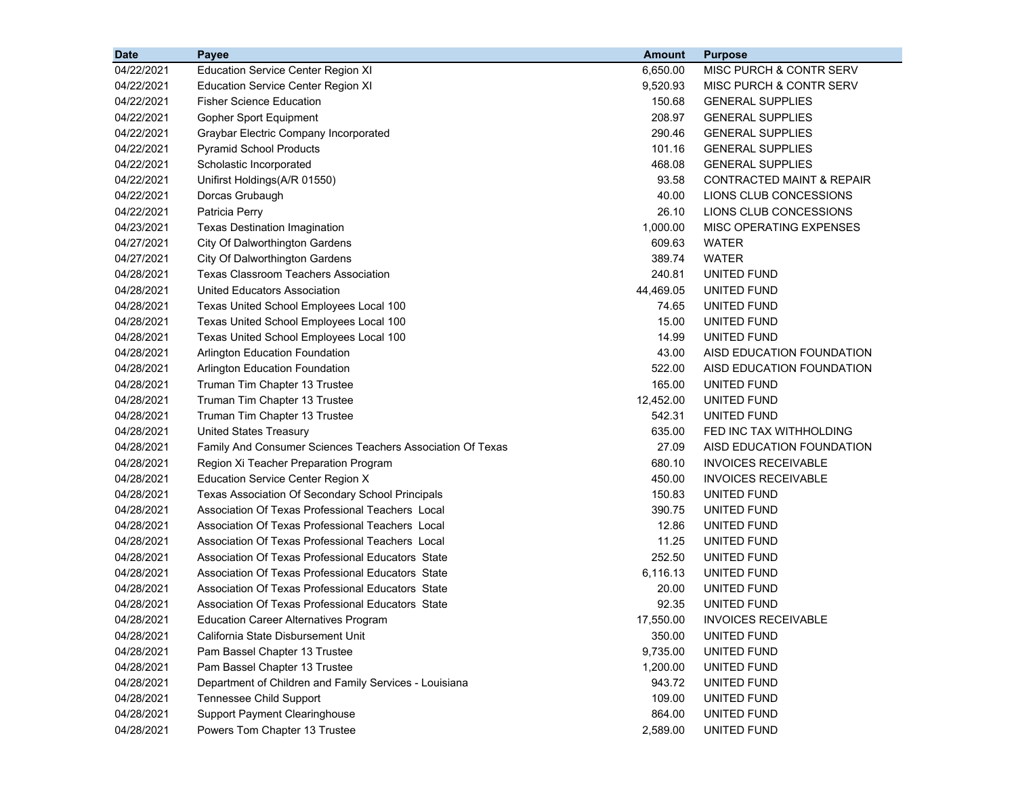| <b>Date</b> | Payee                                                      | <b>Amount</b> | <b>Purpose</b>             |
|-------------|------------------------------------------------------------|---------------|----------------------------|
| 04/22/2021  | <b>Education Service Center Region XI</b>                  | 6.650.00      | MISC PURCH & CONTR SERV    |
| 04/22/2021  | <b>Education Service Center Region XI</b>                  | 9,520.93      | MISC PURCH & CONTR SERV    |
| 04/22/2021  | <b>Fisher Science Education</b>                            | 150.68        | <b>GENERAL SUPPLIES</b>    |
| 04/22/2021  | Gopher Sport Equipment                                     | 208.97        | <b>GENERAL SUPPLIES</b>    |
| 04/22/2021  | Graybar Electric Company Incorporated                      | 290.46        | <b>GENERAL SUPPLIES</b>    |
| 04/22/2021  | <b>Pyramid School Products</b>                             | 101.16        | <b>GENERAL SUPPLIES</b>    |
| 04/22/2021  | Scholastic Incorporated                                    | 468.08        | <b>GENERAL SUPPLIES</b>    |
| 04/22/2021  | Unifirst Holdings(A/R 01550)                               | 93.58         | CONTRACTED MAINT & REPAIR  |
| 04/22/2021  | Dorcas Grubaugh                                            | 40.00         | LIONS CLUB CONCESSIONS     |
| 04/22/2021  | Patricia Perry                                             | 26.10         | LIONS CLUB CONCESSIONS     |
| 04/23/2021  | <b>Texas Destination Imagination</b>                       | 1,000.00      | MISC OPERATING EXPENSES    |
| 04/27/2021  | City Of Dalworthington Gardens                             | 609.63        | <b>WATER</b>               |
| 04/27/2021  | City Of Dalworthington Gardens                             | 389.74        | <b>WATER</b>               |
| 04/28/2021  | <b>Texas Classroom Teachers Association</b>                | 240.81        | UNITED FUND                |
| 04/28/2021  | United Educators Association                               | 44,469.05     | UNITED FUND                |
| 04/28/2021  | Texas United School Employees Local 100                    | 74.65         | UNITED FUND                |
| 04/28/2021  | Texas United School Employees Local 100                    | 15.00         | UNITED FUND                |
| 04/28/2021  | Texas United School Employees Local 100                    | 14.99         | UNITED FUND                |
| 04/28/2021  | <b>Arlington Education Foundation</b>                      | 43.00         | AISD EDUCATION FOUNDATION  |
| 04/28/2021  | <b>Arlington Education Foundation</b>                      | 522.00        | AISD EDUCATION FOUNDATION  |
| 04/28/2021  | Truman Tim Chapter 13 Trustee                              | 165.00        | UNITED FUND                |
| 04/28/2021  | Truman Tim Chapter 13 Trustee                              | 12,452.00     | UNITED FUND                |
| 04/28/2021  | Truman Tim Chapter 13 Trustee                              | 542.31        | UNITED FUND                |
| 04/28/2021  | United States Treasury                                     | 635.00        | FED INC TAX WITHHOLDING    |
| 04/28/2021  | Family And Consumer Sciences Teachers Association Of Texas | 27.09         | AISD EDUCATION FOUNDATION  |
| 04/28/2021  | Region Xi Teacher Preparation Program                      | 680.10        | <b>INVOICES RECEIVABLE</b> |
| 04/28/2021  | <b>Education Service Center Region X</b>                   | 450.00        | <b>INVOICES RECEIVABLE</b> |
| 04/28/2021  | Texas Association Of Secondary School Principals           | 150.83        | UNITED FUND                |
| 04/28/2021  | Association Of Texas Professional Teachers Local           | 390.75        | UNITED FUND                |
| 04/28/2021  | Association Of Texas Professional Teachers Local           | 12.86         | UNITED FUND                |
| 04/28/2021  | Association Of Texas Professional Teachers Local           | 11.25         | UNITED FUND                |
| 04/28/2021  | Association Of Texas Professional Educators State          | 252.50        | UNITED FUND                |
| 04/28/2021  | Association Of Texas Professional Educators State          | 6,116.13      | UNITED FUND                |
| 04/28/2021  | Association Of Texas Professional Educators State          | 20.00         | UNITED FUND                |
| 04/28/2021  | Association Of Texas Professional Educators State          | 92.35         | UNITED FUND                |
| 04/28/2021  | <b>Education Career Alternatives Program</b>               | 17,550.00     | <b>INVOICES RECEIVABLE</b> |
| 04/28/2021  | California State Disbursement Unit                         | 350.00        | UNITED FUND                |
| 04/28/2021  | Pam Bassel Chapter 13 Trustee                              | 9,735.00      | UNITED FUND                |
| 04/28/2021  | Pam Bassel Chapter 13 Trustee                              | 1,200.00      | UNITED FUND                |
| 04/28/2021  | Department of Children and Family Services - Louisiana     | 943.72        | UNITED FUND                |
| 04/28/2021  | Tennessee Child Support                                    | 109.00        | UNITED FUND                |
| 04/28/2021  | <b>Support Payment Clearinghouse</b>                       | 864.00        | UNITED FUND                |
| 04/28/2021  | Powers Tom Chapter 13 Trustee                              | 2,589.00      | UNITED FUND                |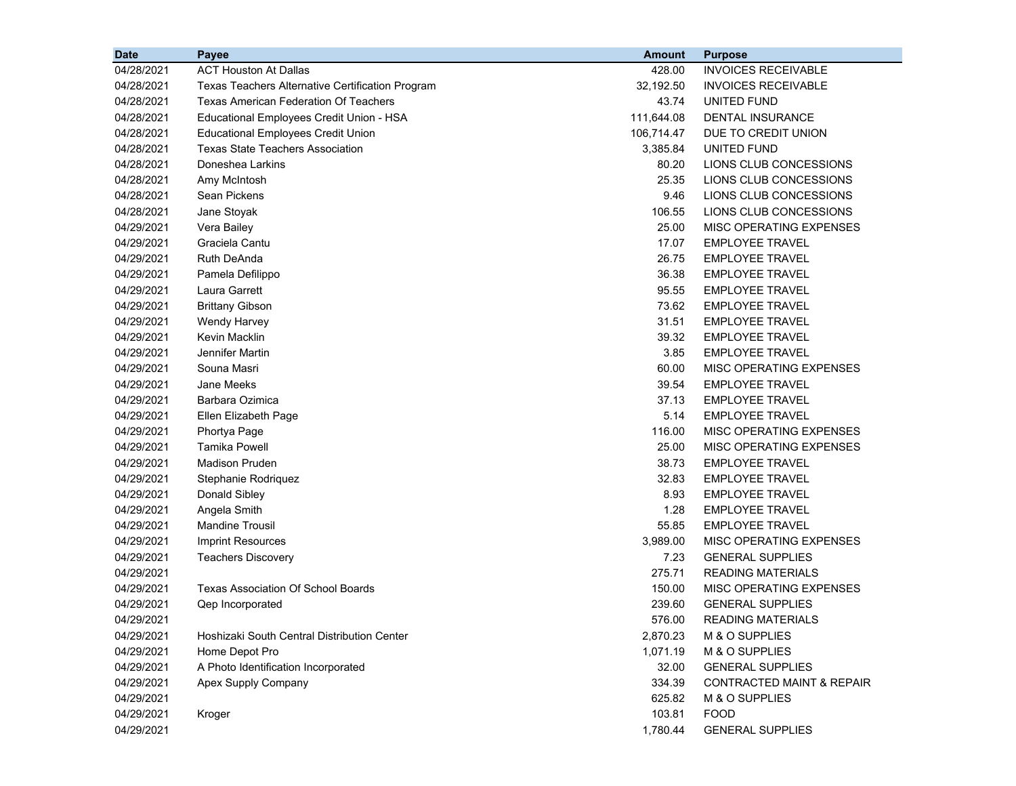| <b>Date</b> | <b>Payee</b>                                     | <b>Amount</b> | <b>Purpose</b>                       |  |
|-------------|--------------------------------------------------|---------------|--------------------------------------|--|
| 04/28/2021  | <b>ACT Houston At Dallas</b>                     | 428.00        | <b>INVOICES RECEIVABLE</b>           |  |
| 04/28/2021  | Texas Teachers Alternative Certification Program | 32,192.50     | <b>INVOICES RECEIVABLE</b>           |  |
| 04/28/2021  | <b>Texas American Federation Of Teachers</b>     | 43.74         | UNITED FUND                          |  |
| 04/28/2021  | Educational Employees Credit Union - HSA         | 111,644.08    | DENTAL INSURANCE                     |  |
| 04/28/2021  | <b>Educational Employees Credit Union</b>        | 106,714.47    | DUE TO CREDIT UNION                  |  |
| 04/28/2021  | Texas State Teachers Association                 | 3,385.84      | UNITED FUND                          |  |
| 04/28/2021  | Doneshea Larkins                                 | 80.20         | LIONS CLUB CONCESSIONS               |  |
| 04/28/2021  | Amy McIntosh                                     | 25.35         | LIONS CLUB CONCESSIONS               |  |
| 04/28/2021  | Sean Pickens                                     | 9.46          | LIONS CLUB CONCESSIONS               |  |
| 04/28/2021  | Jane Stoyak                                      | 106.55        | LIONS CLUB CONCESSIONS               |  |
| 04/29/2021  | Vera Bailey                                      | 25.00         | MISC OPERATING EXPENSES              |  |
| 04/29/2021  | Graciela Cantu                                   | 17.07         | <b>EMPLOYEE TRAVEL</b>               |  |
| 04/29/2021  | <b>Ruth DeAnda</b>                               | 26.75         | <b>EMPLOYEE TRAVEL</b>               |  |
| 04/29/2021  | Pamela Defilippo                                 | 36.38         | <b>EMPLOYEE TRAVEL</b>               |  |
| 04/29/2021  | Laura Garrett                                    | 95.55         | <b>EMPLOYEE TRAVEL</b>               |  |
| 04/29/2021  | <b>Brittany Gibson</b>                           | 73.62         | <b>EMPLOYEE TRAVEL</b>               |  |
| 04/29/2021  | <b>Wendy Harvey</b>                              | 31.51         | <b>EMPLOYEE TRAVEL</b>               |  |
| 04/29/2021  | Kevin Macklin                                    | 39.32         | <b>EMPLOYEE TRAVEL</b>               |  |
| 04/29/2021  | Jennifer Martin                                  | 3.85          | <b>EMPLOYEE TRAVEL</b>               |  |
| 04/29/2021  | Souna Masri                                      | 60.00         | MISC OPERATING EXPENSES              |  |
| 04/29/2021  | Jane Meeks                                       | 39.54         | <b>EMPLOYEE TRAVEL</b>               |  |
| 04/29/2021  | Barbara Ozimica                                  | 37.13         | <b>EMPLOYEE TRAVEL</b>               |  |
| 04/29/2021  | Ellen Elizabeth Page                             | 5.14          | <b>EMPLOYEE TRAVEL</b>               |  |
| 04/29/2021  | Phortya Page                                     | 116.00        | MISC OPERATING EXPENSES              |  |
| 04/29/2021  | <b>Tamika Powell</b>                             | 25.00         | MISC OPERATING EXPENSES              |  |
| 04/29/2021  | <b>Madison Pruden</b>                            | 38.73         | <b>EMPLOYEE TRAVEL</b>               |  |
| 04/29/2021  | Stephanie Rodriquez                              | 32.83         | <b>EMPLOYEE TRAVEL</b>               |  |
| 04/29/2021  | Donald Sibley                                    | 8.93          | <b>EMPLOYEE TRAVEL</b>               |  |
| 04/29/2021  | Angela Smith                                     | 1.28          | <b>EMPLOYEE TRAVEL</b>               |  |
| 04/29/2021  | <b>Mandine Trousil</b>                           | 55.85         | <b>EMPLOYEE TRAVEL</b>               |  |
| 04/29/2021  | <b>Imprint Resources</b>                         | 3,989.00      | MISC OPERATING EXPENSES              |  |
| 04/29/2021  | <b>Teachers Discovery</b>                        | 7.23          | <b>GENERAL SUPPLIES</b>              |  |
| 04/29/2021  |                                                  | 275.71        | <b>READING MATERIALS</b>             |  |
| 04/29/2021  | <b>Texas Association Of School Boards</b>        | 150.00        | MISC OPERATING EXPENSES              |  |
| 04/29/2021  | Qep Incorporated                                 | 239.60        | <b>GENERAL SUPPLIES</b>              |  |
| 04/29/2021  |                                                  | 576.00        | <b>READING MATERIALS</b>             |  |
| 04/29/2021  | Hoshizaki South Central Distribution Center      | 2,870.23      | M & O SUPPLIES                       |  |
| 04/29/2021  | Home Depot Pro                                   | 1,071.19      | M & O SUPPLIES                       |  |
| 04/29/2021  | A Photo Identification Incorporated              | 32.00         | <b>GENERAL SUPPLIES</b>              |  |
| 04/29/2021  | Apex Supply Company                              | 334.39        | <b>CONTRACTED MAINT &amp; REPAIR</b> |  |
| 04/29/2021  |                                                  | 625.82        | M & O SUPPLIES                       |  |
| 04/29/2021  | Kroger                                           | 103.81        | <b>FOOD</b>                          |  |
| 04/29/2021  |                                                  | 1,780.44      | <b>GENERAL SUPPLIES</b>              |  |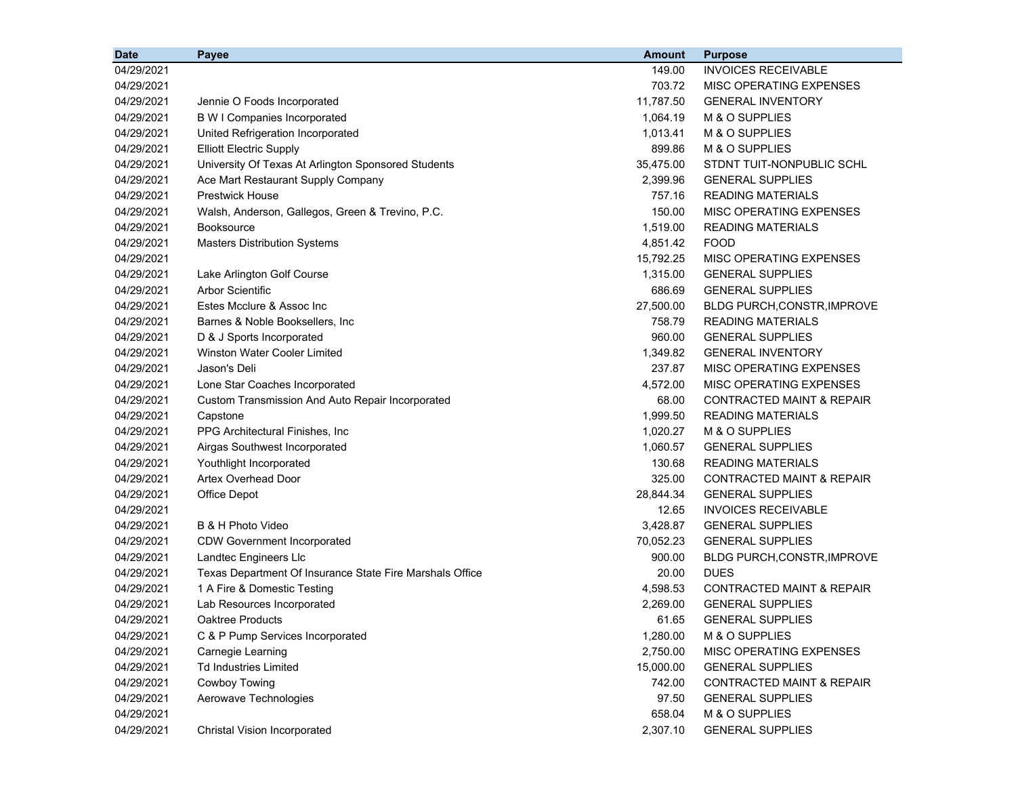| <b>Date</b> | Payee                                                    | <b>Amount</b> | <b>Purpose</b>                       |
|-------------|----------------------------------------------------------|---------------|--------------------------------------|
| 04/29/2021  |                                                          | 149.00        | <b>INVOICES RECEIVABLE</b>           |
| 04/29/2021  |                                                          | 703.72        | MISC OPERATING EXPENSES              |
| 04/29/2021  | Jennie O Foods Incorporated                              | 11,787.50     | <b>GENERAL INVENTORY</b>             |
| 04/29/2021  | <b>B W I Companies Incorporated</b>                      | 1,064.19      | M & O SUPPLIES                       |
| 04/29/2021  | United Refrigeration Incorporated                        | 1,013.41      | M & O SUPPLIES                       |
| 04/29/2021  | <b>Elliott Electric Supply</b>                           | 899.86        | M & O SUPPLIES                       |
| 04/29/2021  | University Of Texas At Arlington Sponsored Students      | 35,475.00     | STDNT TUIT-NONPUBLIC SCHL            |
| 04/29/2021  | Ace Mart Restaurant Supply Company                       | 2,399.96      | <b>GENERAL SUPPLIES</b>              |
| 04/29/2021  | <b>Prestwick House</b>                                   | 757.16        | <b>READING MATERIALS</b>             |
| 04/29/2021  | Walsh, Anderson, Gallegos, Green & Trevino, P.C.         | 150.00        | MISC OPERATING EXPENSES              |
| 04/29/2021  | <b>Booksource</b>                                        | 1,519.00      | <b>READING MATERIALS</b>             |
| 04/29/2021  | <b>Masters Distribution Systems</b>                      | 4,851.42      | <b>FOOD</b>                          |
| 04/29/2021  |                                                          | 15,792.25     | MISC OPERATING EXPENSES              |
| 04/29/2021  | Lake Arlington Golf Course                               | 1,315.00      | <b>GENERAL SUPPLIES</b>              |
| 04/29/2021  | <b>Arbor Scientific</b>                                  | 686.69        | <b>GENERAL SUPPLIES</b>              |
| 04/29/2021  | Estes Mcclure & Assoc Inc                                | 27,500.00     | <b>BLDG PURCH, CONSTR, IMPROVE</b>   |
| 04/29/2021  | Barnes & Noble Booksellers, Inc                          | 758.79        | <b>READING MATERIALS</b>             |
| 04/29/2021  | D & J Sports Incorporated                                | 960.00        | <b>GENERAL SUPPLIES</b>              |
| 04/29/2021  | <b>Winston Water Cooler Limited</b>                      | 1,349.82      | <b>GENERAL INVENTORY</b>             |
| 04/29/2021  | Jason's Deli                                             | 237.87        | MISC OPERATING EXPENSES              |
| 04/29/2021  | Lone Star Coaches Incorporated                           | 4,572.00      | MISC OPERATING EXPENSES              |
| 04/29/2021  | Custom Transmission And Auto Repair Incorporated         | 68.00         | <b>CONTRACTED MAINT &amp; REPAIR</b> |
| 04/29/2021  | Capstone                                                 | 1,999.50      | <b>READING MATERIALS</b>             |
| 04/29/2021  | PPG Architectural Finishes, Inc                          | 1,020.27      | M & O SUPPLIES                       |
| 04/29/2021  | Airgas Southwest Incorporated                            | 1,060.57      | <b>GENERAL SUPPLIES</b>              |
| 04/29/2021  | Youthlight Incorporated                                  | 130.68        | <b>READING MATERIALS</b>             |
| 04/29/2021  | <b>Artex Overhead Door</b>                               | 325.00        | <b>CONTRACTED MAINT &amp; REPAIR</b> |
| 04/29/2021  | Office Depot                                             | 28,844.34     | <b>GENERAL SUPPLIES</b>              |
| 04/29/2021  |                                                          | 12.65         | <b>INVOICES RECEIVABLE</b>           |
| 04/29/2021  | B & H Photo Video                                        | 3,428.87      | <b>GENERAL SUPPLIES</b>              |
| 04/29/2021  | <b>CDW Government Incorporated</b>                       | 70,052.23     | <b>GENERAL SUPPLIES</b>              |
| 04/29/2021  | Landtec Engineers Llc                                    | 900.00        | BLDG PURCH, CONSTR, IMPROVE          |
| 04/29/2021  | Texas Department Of Insurance State Fire Marshals Office | 20.00         | <b>DUES</b>                          |
| 04/29/2021  | 1 A Fire & Domestic Testing                              | 4,598.53      | <b>CONTRACTED MAINT &amp; REPAIR</b> |
| 04/29/2021  | Lab Resources Incorporated                               | 2,269.00      | <b>GENERAL SUPPLIES</b>              |
| 04/29/2021  | <b>Oaktree Products</b>                                  | 61.65         | <b>GENERAL SUPPLIES</b>              |
| 04/29/2021  | C & P Pump Services Incorporated                         | 1,280.00      | M & O SUPPLIES                       |
| 04/29/2021  | Carnegie Learning                                        | 2,750.00      | MISC OPERATING EXPENSES              |
| 04/29/2021  | <b>Td Industries Limited</b>                             | 15,000.00     | <b>GENERAL SUPPLIES</b>              |
| 04/29/2021  | Cowboy Towing                                            | 742.00        | CONTRACTED MAINT & REPAIR            |
| 04/29/2021  | Aerowave Technologies                                    | 97.50         | <b>GENERAL SUPPLIES</b>              |
| 04/29/2021  |                                                          | 658.04        | M & O SUPPLIES                       |
| 04/29/2021  | Christal Vision Incorporated                             | 2,307.10      | <b>GENERAL SUPPLIES</b>              |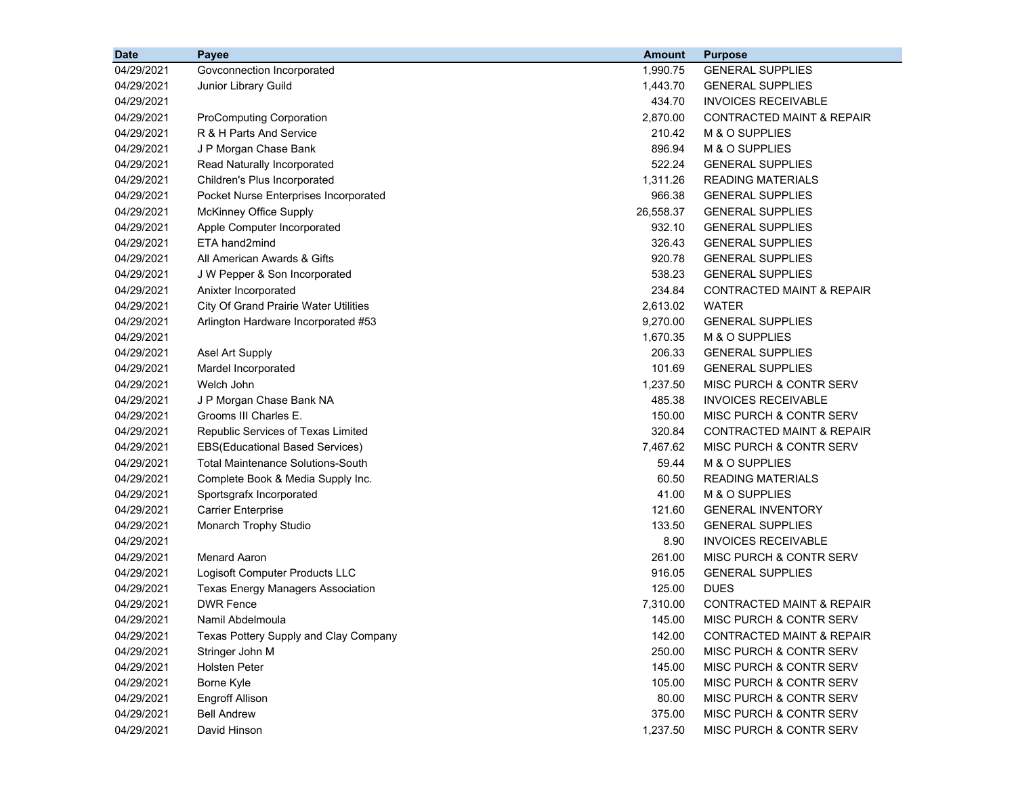| <b>Date</b> | <b>Payee</b>                                 | <b>Amount</b> | <b>Purpose</b>                       |
|-------------|----------------------------------------------|---------------|--------------------------------------|
| 04/29/2021  | Govconnection Incorporated                   | 1,990.75      | <b>GENERAL SUPPLIES</b>              |
| 04/29/2021  | Junior Library Guild                         | 1,443.70      | <b>GENERAL SUPPLIES</b>              |
| 04/29/2021  |                                              | 434.70        | <b>INVOICES RECEIVABLE</b>           |
| 04/29/2021  | <b>ProComputing Corporation</b>              | 2,870.00      | <b>CONTRACTED MAINT &amp; REPAIR</b> |
| 04/29/2021  | R & H Parts And Service                      | 210.42        | M & O SUPPLIES                       |
| 04/29/2021  | J P Morgan Chase Bank                        | 896.94        | M & O SUPPLIES                       |
| 04/29/2021  | Read Naturally Incorporated                  | 522.24        | <b>GENERAL SUPPLIES</b>              |
| 04/29/2021  | Children's Plus Incorporated                 | 1,311.26      | <b>READING MATERIALS</b>             |
| 04/29/2021  | Pocket Nurse Enterprises Incorporated        | 966.38        | <b>GENERAL SUPPLIES</b>              |
| 04/29/2021  | McKinney Office Supply                       | 26,558.37     | <b>GENERAL SUPPLIES</b>              |
| 04/29/2021  | Apple Computer Incorporated                  | 932.10        | <b>GENERAL SUPPLIES</b>              |
| 04/29/2021  | ETA hand2mind                                | 326.43        | <b>GENERAL SUPPLIES</b>              |
| 04/29/2021  | All American Awards & Gifts                  | 920.78        | <b>GENERAL SUPPLIES</b>              |
| 04/29/2021  | J W Pepper & Son Incorporated                | 538.23        | <b>GENERAL SUPPLIES</b>              |
| 04/29/2021  | Anixter Incorporated                         | 234.84        | <b>CONTRACTED MAINT &amp; REPAIR</b> |
| 04/29/2021  | <b>City Of Grand Prairie Water Utilities</b> | 2,613.02      | WATER                                |
| 04/29/2021  | Arlington Hardware Incorporated #53          | 9,270.00      | <b>GENERAL SUPPLIES</b>              |
| 04/29/2021  |                                              | 1,670.35      | M & O SUPPLIES                       |
| 04/29/2021  | Asel Art Supply                              | 206.33        | <b>GENERAL SUPPLIES</b>              |
| 04/29/2021  | Mardel Incorporated                          | 101.69        | <b>GENERAL SUPPLIES</b>              |
| 04/29/2021  | Welch John                                   | 1,237.50      | MISC PURCH & CONTR SERV              |
| 04/29/2021  | J P Morgan Chase Bank NA                     | 485.38        | <b>INVOICES RECEIVABLE</b>           |
| 04/29/2021  | Grooms III Charles E.                        | 150.00        | MISC PURCH & CONTR SERV              |
| 04/29/2021  | Republic Services of Texas Limited           | 320.84        | CONTRACTED MAINT & REPAIR            |
| 04/29/2021  | EBS(Educational Based Services)              | 7,467.62      | MISC PURCH & CONTR SERV              |
| 04/29/2021  | <b>Total Maintenance Solutions-South</b>     | 59.44         | M & O SUPPLIES                       |
| 04/29/2021  | Complete Book & Media Supply Inc.            | 60.50         | <b>READING MATERIALS</b>             |
| 04/29/2021  | Sportsgrafx Incorporated                     | 41.00         | M & O SUPPLIES                       |
| 04/29/2021  | <b>Carrier Enterprise</b>                    | 121.60        | <b>GENERAL INVENTORY</b>             |
| 04/29/2021  | Monarch Trophy Studio                        | 133.50        | <b>GENERAL SUPPLIES</b>              |
| 04/29/2021  |                                              | 8.90          | <b>INVOICES RECEIVABLE</b>           |
| 04/29/2021  | <b>Menard Aaron</b>                          | 261.00        | MISC PURCH & CONTR SERV              |
| 04/29/2021  | Logisoft Computer Products LLC               | 916.05        | <b>GENERAL SUPPLIES</b>              |
| 04/29/2021  | <b>Texas Energy Managers Association</b>     | 125.00        | <b>DUES</b>                          |
| 04/29/2021  | <b>DWR Fence</b>                             | 7,310.00      | <b>CONTRACTED MAINT &amp; REPAIR</b> |
| 04/29/2021  | Namil Abdelmoula                             | 145.00        | MISC PURCH & CONTR SERV              |
| 04/29/2021  | Texas Pottery Supply and Clay Company        | 142.00        | CONTRACTED MAINT & REPAIR            |
| 04/29/2021  | Stringer John M                              | 250.00        | MISC PURCH & CONTR SERV              |
| 04/29/2021  | <b>Holsten Peter</b>                         | 145.00        | MISC PURCH & CONTR SERV              |
| 04/29/2021  | Borne Kyle                                   | 105.00        | MISC PURCH & CONTR SERV              |
| 04/29/2021  | <b>Engroff Allison</b>                       | 80.00         | MISC PURCH & CONTR SERV              |
| 04/29/2021  | <b>Bell Andrew</b>                           | 375.00        | MISC PURCH & CONTR SERV              |
| 04/29/2021  | David Hinson                                 | 1,237.50      | MISC PURCH & CONTR SERV              |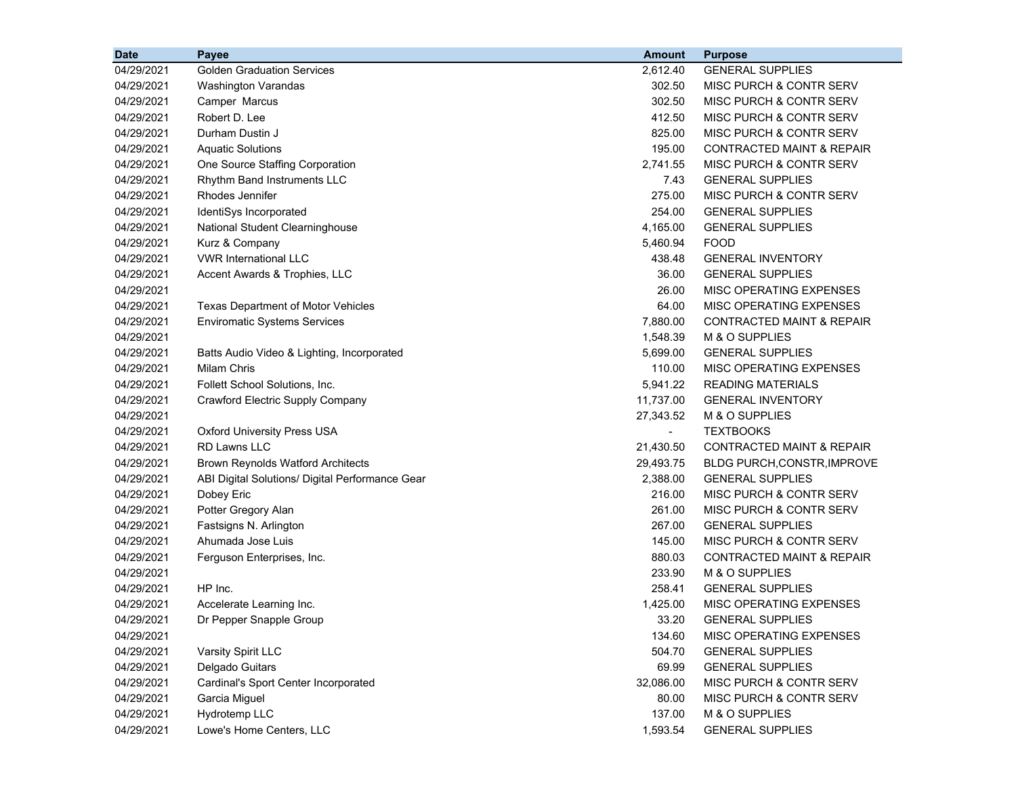| <b>Date</b> | Payee                                           | <b>Amount</b>  | <b>Purpose</b>                       |
|-------------|-------------------------------------------------|----------------|--------------------------------------|
| 04/29/2021  | <b>Golden Graduation Services</b>               | 2,612.40       | <b>GENERAL SUPPLIES</b>              |
| 04/29/2021  | <b>Washington Varandas</b>                      | 302.50         | MISC PURCH & CONTR SERV              |
| 04/29/2021  | Camper Marcus                                   | 302.50         | <b>MISC PURCH &amp; CONTR SERV</b>   |
| 04/29/2021  | Robert D. Lee                                   | 412.50         | MISC PURCH & CONTR SERV              |
| 04/29/2021  | Durham Dustin J                                 | 825.00         | <b>MISC PURCH &amp; CONTR SERV</b>   |
| 04/29/2021  | <b>Aquatic Solutions</b>                        | 195.00         | <b>CONTRACTED MAINT &amp; REPAIR</b> |
| 04/29/2021  | One Source Staffing Corporation                 | 2,741.55       | <b>MISC PURCH &amp; CONTR SERV</b>   |
| 04/29/2021  | Rhythm Band Instruments LLC                     | 7.43           | <b>GENERAL SUPPLIES</b>              |
| 04/29/2021  | Rhodes Jennifer                                 | 275.00         | MISC PURCH & CONTR SERV              |
| 04/29/2021  | IdentiSys Incorporated                          | 254.00         | <b>GENERAL SUPPLIES</b>              |
| 04/29/2021  | National Student Clearninghouse                 | 4,165.00       | <b>GENERAL SUPPLIES</b>              |
| 04/29/2021  | Kurz & Company                                  | 5,460.94       | <b>FOOD</b>                          |
| 04/29/2021  | <b>VWR International LLC</b>                    | 438.48         | <b>GENERAL INVENTORY</b>             |
| 04/29/2021  | Accent Awards & Trophies, LLC                   | 36.00          | <b>GENERAL SUPPLIES</b>              |
| 04/29/2021  |                                                 | 26.00          | MISC OPERATING EXPENSES              |
| 04/29/2021  | Texas Department of Motor Vehicles              | 64.00          | <b>MISC OPERATING EXPENSES</b>       |
| 04/29/2021  | <b>Enviromatic Systems Services</b>             | 7,880.00       | CONTRACTED MAINT & REPAIR            |
| 04/29/2021  |                                                 | 1,548.39       | M & O SUPPLIES                       |
| 04/29/2021  | Batts Audio Video & Lighting, Incorporated      | 5,699.00       | <b>GENERAL SUPPLIES</b>              |
| 04/29/2021  | Milam Chris                                     | 110.00         | MISC OPERATING EXPENSES              |
| 04/29/2021  | Follett School Solutions, Inc.                  | 5,941.22       | <b>READING MATERIALS</b>             |
| 04/29/2021  | Crawford Electric Supply Company                | 11,737.00      | <b>GENERAL INVENTORY</b>             |
| 04/29/2021  |                                                 | 27,343.52      | M & O SUPPLIES                       |
| 04/29/2021  | <b>Oxford University Press USA</b>              | $\blacksquare$ | <b>TEXTBOOKS</b>                     |
| 04/29/2021  | <b>RD Lawns LLC</b>                             | 21,430.50      | <b>CONTRACTED MAINT &amp; REPAIR</b> |
| 04/29/2021  | <b>Brown Reynolds Watford Architects</b>        | 29,493.75      | BLDG PURCH, CONSTR, IMPROVE          |
| 04/29/2021  | ABI Digital Solutions/ Digital Performance Gear | 2,388.00       | <b>GENERAL SUPPLIES</b>              |
| 04/29/2021  | Dobey Eric                                      | 216.00         | <b>MISC PURCH &amp; CONTR SERV</b>   |
| 04/29/2021  | Potter Gregory Alan                             | 261.00         | MISC PURCH & CONTR SERV              |
| 04/29/2021  | Fastsigns N. Arlington                          | 267.00         | <b>GENERAL SUPPLIES</b>              |
| 04/29/2021  | Ahumada Jose Luis                               | 145.00         | MISC PURCH & CONTR SERV              |
| 04/29/2021  | Ferguson Enterprises, Inc.                      | 880.03         | <b>CONTRACTED MAINT &amp; REPAIR</b> |
| 04/29/2021  |                                                 | 233.90         | M & O SUPPLIES                       |
| 04/29/2021  | HP Inc.                                         | 258.41         | <b>GENERAL SUPPLIES</b>              |
| 04/29/2021  | Accelerate Learning Inc.                        | 1,425.00       | MISC OPERATING EXPENSES              |
| 04/29/2021  | Dr Pepper Snapple Group                         | 33.20          | <b>GENERAL SUPPLIES</b>              |
| 04/29/2021  |                                                 | 134.60         | MISC OPERATING EXPENSES              |
| 04/29/2021  | Varsity Spirit LLC                              | 504.70         | <b>GENERAL SUPPLIES</b>              |
| 04/29/2021  | Delgado Guitars                                 | 69.99          | <b>GENERAL SUPPLIES</b>              |
| 04/29/2021  | Cardinal's Sport Center Incorporated            | 32,086.00      | MISC PURCH & CONTR SERV              |
| 04/29/2021  | Garcia Miguel                                   | 80.00          | MISC PURCH & CONTR SERV              |
| 04/29/2021  | Hydrotemp LLC                                   | 137.00         | M & O SUPPLIES                       |
| 04/29/2021  | Lowe's Home Centers, LLC                        | 1,593.54       | <b>GENERAL SUPPLIES</b>              |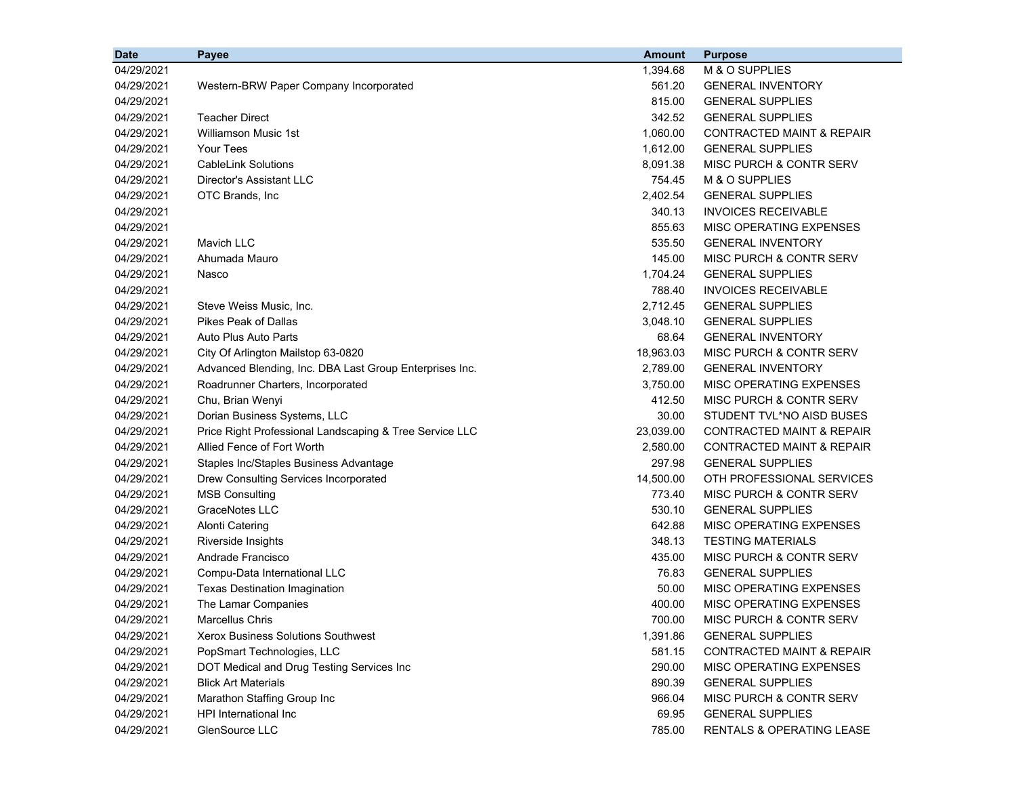| <b>Date</b> | Payee                                                   | <b>Amount</b> | <b>Purpose</b>                       |
|-------------|---------------------------------------------------------|---------------|--------------------------------------|
| 04/29/2021  |                                                         | 1,394.68      | M & O SUPPLIES                       |
| 04/29/2021  | Western-BRW Paper Company Incorporated                  | 561.20        | <b>GENERAL INVENTORY</b>             |
| 04/29/2021  |                                                         | 815.00        | <b>GENERAL SUPPLIES</b>              |
| 04/29/2021  | <b>Teacher Direct</b>                                   | 342.52        | <b>GENERAL SUPPLIES</b>              |
| 04/29/2021  | <b>Williamson Music 1st</b>                             | 1,060.00      | <b>CONTRACTED MAINT &amp; REPAIR</b> |
| 04/29/2021  | <b>Your Tees</b>                                        | 1,612.00      | <b>GENERAL SUPPLIES</b>              |
| 04/29/2021  | <b>CableLink Solutions</b>                              | 8,091.38      | MISC PURCH & CONTR SERV              |
| 04/29/2021  | Director's Assistant LLC                                | 754.45        | M & O SUPPLIES                       |
| 04/29/2021  | OTC Brands, Inc                                         | 2,402.54      | <b>GENERAL SUPPLIES</b>              |
| 04/29/2021  |                                                         | 340.13        | <b>INVOICES RECEIVABLE</b>           |
| 04/29/2021  |                                                         | 855.63        | MISC OPERATING EXPENSES              |
| 04/29/2021  | <b>Mavich LLC</b>                                       | 535.50        | <b>GENERAL INVENTORY</b>             |
| 04/29/2021  | Ahumada Mauro                                           | 145.00        | MISC PURCH & CONTR SERV              |
| 04/29/2021  | Nasco                                                   | 1,704.24      | <b>GENERAL SUPPLIES</b>              |
| 04/29/2021  |                                                         | 788.40        | <b>INVOICES RECEIVABLE</b>           |
| 04/29/2021  | Steve Weiss Music, Inc.                                 | 2,712.45      | <b>GENERAL SUPPLIES</b>              |
| 04/29/2021  | <b>Pikes Peak of Dallas</b>                             | 3,048.10      | <b>GENERAL SUPPLIES</b>              |
| 04/29/2021  | Auto Plus Auto Parts                                    | 68.64         | <b>GENERAL INVENTORY</b>             |
| 04/29/2021  | City Of Arlington Mailstop 63-0820                      | 18,963.03     | MISC PURCH & CONTR SERV              |
| 04/29/2021  | Advanced Blending, Inc. DBA Last Group Enterprises Inc. | 2,789.00      | <b>GENERAL INVENTORY</b>             |
| 04/29/2021  | Roadrunner Charters, Incorporated                       | 3.750.00      | MISC OPERATING EXPENSES              |
| 04/29/2021  | Chu, Brian Wenyi                                        | 412.50        | <b>MISC PURCH &amp; CONTR SERV</b>   |
| 04/29/2021  | Dorian Business Systems, LLC                            | 30.00         | STUDENT TVL*NO AISD BUSES            |
| 04/29/2021  | Price Right Professional Landscaping & Tree Service LLC | 23,039.00     | <b>CONTRACTED MAINT &amp; REPAIR</b> |
| 04/29/2021  | Allied Fence of Fort Worth                              | 2,580.00      | <b>CONTRACTED MAINT &amp; REPAIR</b> |
| 04/29/2021  | Staples Inc/Staples Business Advantage                  | 297.98        | <b>GENERAL SUPPLIES</b>              |
| 04/29/2021  | Drew Consulting Services Incorporated                   | 14,500.00     | OTH PROFESSIONAL SERVICES            |
| 04/29/2021  | <b>MSB Consulting</b>                                   | 773.40        | MISC PURCH & CONTR SERV              |
| 04/29/2021  | <b>GraceNotes LLC</b>                                   | 530.10        | <b>GENERAL SUPPLIES</b>              |
| 04/29/2021  | <b>Alonti Catering</b>                                  | 642.88        | MISC OPERATING EXPENSES              |
| 04/29/2021  | Riverside Insights                                      | 348.13        | <b>TESTING MATERIALS</b>             |
| 04/29/2021  | Andrade Francisco                                       | 435.00        | MISC PURCH & CONTR SERV              |
| 04/29/2021  | Compu-Data International LLC                            | 76.83         | <b>GENERAL SUPPLIES</b>              |
| 04/29/2021  | <b>Texas Destination Imagination</b>                    | 50.00         | MISC OPERATING EXPENSES              |
| 04/29/2021  | The Lamar Companies                                     | 400.00        | MISC OPERATING EXPENSES              |
| 04/29/2021  | Marcellus Chris                                         | 700.00        | MISC PURCH & CONTR SERV              |
| 04/29/2021  | Xerox Business Solutions Southwest                      | 1,391.86      | <b>GENERAL SUPPLIES</b>              |
| 04/29/2021  | PopSmart Technologies, LLC                              | 581.15        | <b>CONTRACTED MAINT &amp; REPAIR</b> |
| 04/29/2021  | DOT Medical and Drug Testing Services Inc               | 290.00        | MISC OPERATING EXPENSES              |
| 04/29/2021  | <b>Blick Art Materials</b>                              | 890.39        | <b>GENERAL SUPPLIES</b>              |
| 04/29/2021  | Marathon Staffing Group Inc                             | 966.04        | MISC PURCH & CONTR SERV              |
| 04/29/2021  | HPI International Inc                                   | 69.95         | <b>GENERAL SUPPLIES</b>              |
| 04/29/2021  | GlenSource LLC                                          | 785.00        | RENTALS & OPERATING LEASE            |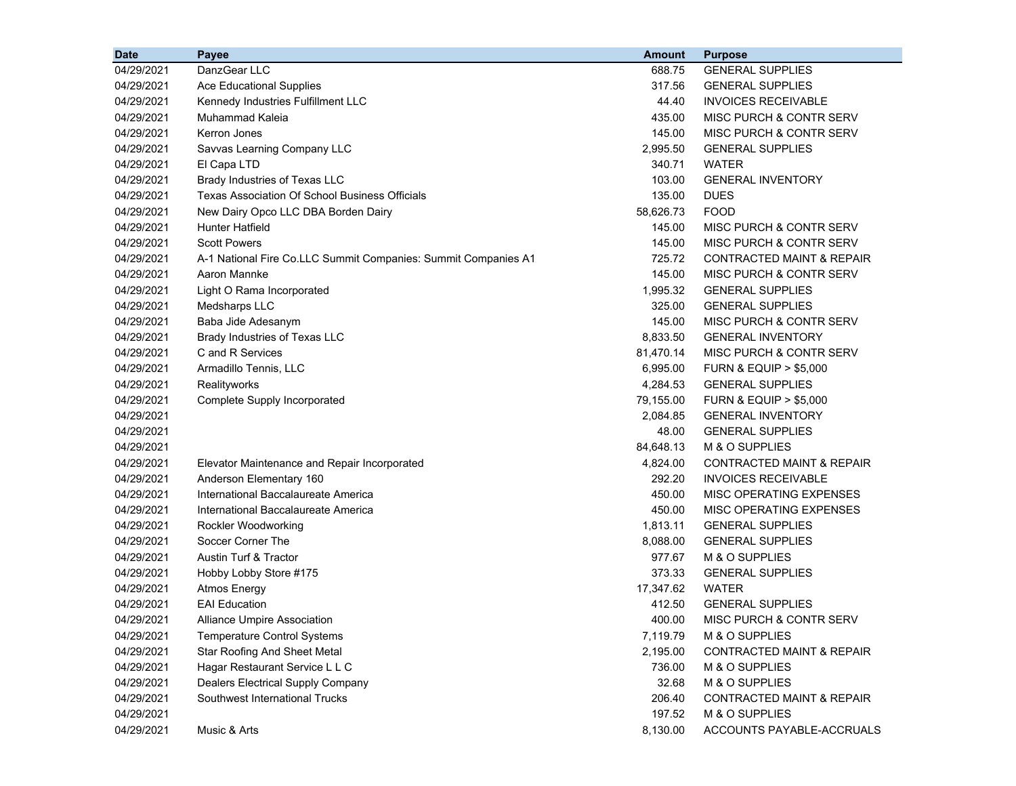| <b>Date</b> | Payee                                                          | <b>Amount</b> | <b>Purpose</b>                       |
|-------------|----------------------------------------------------------------|---------------|--------------------------------------|
| 04/29/2021  | DanzGear LLC                                                   | 688.75        | <b>GENERAL SUPPLIES</b>              |
| 04/29/2021  | <b>Ace Educational Supplies</b>                                | 317.56        | <b>GENERAL SUPPLIES</b>              |
| 04/29/2021  | Kennedy Industries Fulfillment LLC                             | 44.40         | <b>INVOICES RECEIVABLE</b>           |
| 04/29/2021  | Muhammad Kaleia                                                | 435.00        | MISC PURCH & CONTR SERV              |
| 04/29/2021  | Kerron Jones                                                   | 145.00        | MISC PURCH & CONTR SERV              |
| 04/29/2021  | Savvas Learning Company LLC                                    | 2,995.50      | <b>GENERAL SUPPLIES</b>              |
| 04/29/2021  | El Capa LTD                                                    | 340.71        | <b>WATER</b>                         |
| 04/29/2021  | Brady Industries of Texas LLC                                  | 103.00        | <b>GENERAL INVENTORY</b>             |
| 04/29/2021  | Texas Association Of School Business Officials                 | 135.00        | <b>DUES</b>                          |
| 04/29/2021  | New Dairy Opco LLC DBA Borden Dairy                            | 58,626.73     | <b>FOOD</b>                          |
| 04/29/2021  | <b>Hunter Hatfield</b>                                         | 145.00        | <b>MISC PURCH &amp; CONTR SERV</b>   |
| 04/29/2021  | <b>Scott Powers</b>                                            | 145.00        | MISC PURCH & CONTR SERV              |
| 04/29/2021  | A-1 National Fire Co.LLC Summit Companies: Summit Companies A1 | 725.72        | CONTRACTED MAINT & REPAIR            |
| 04/29/2021  | Aaron Mannke                                                   | 145.00        | <b>MISC PURCH &amp; CONTR SERV</b>   |
| 04/29/2021  | Light O Rama Incorporated                                      | 1,995.32      | <b>GENERAL SUPPLIES</b>              |
| 04/29/2021  | Medsharps LLC                                                  | 325.00        | <b>GENERAL SUPPLIES</b>              |
| 04/29/2021  | Baba Jide Adesanym                                             | 145.00        | MISC PURCH & CONTR SERV              |
| 04/29/2021  | Brady Industries of Texas LLC                                  | 8,833.50      | <b>GENERAL INVENTORY</b>             |
| 04/29/2021  | C and R Services                                               | 81,470.14     | MISC PURCH & CONTR SERV              |
| 04/29/2021  | Armadillo Tennis, LLC                                          | 6,995.00      | <b>FURN &amp; EQUIP &gt; \$5,000</b> |
| 04/29/2021  | Realityworks                                                   | 4,284.53      | <b>GENERAL SUPPLIES</b>              |
| 04/29/2021  | Complete Supply Incorporated                                   | 79,155.00     | <b>FURN &amp; EQUIP &gt; \$5,000</b> |
| 04/29/2021  |                                                                | 2,084.85      | <b>GENERAL INVENTORY</b>             |
| 04/29/2021  |                                                                | 48.00         | <b>GENERAL SUPPLIES</b>              |
| 04/29/2021  |                                                                | 84,648.13     | M & O SUPPLIES                       |
| 04/29/2021  | Elevator Maintenance and Repair Incorporated                   | 4,824.00      | <b>CONTRACTED MAINT &amp; REPAIR</b> |
| 04/29/2021  | Anderson Elementary 160                                        | 292.20        | <b>INVOICES RECEIVABLE</b>           |
| 04/29/2021  | International Baccalaureate America                            | 450.00        | MISC OPERATING EXPENSES              |
| 04/29/2021  | International Baccalaureate America                            | 450.00        | MISC OPERATING EXPENSES              |
| 04/29/2021  | Rockler Woodworking                                            | 1,813.11      | <b>GENERAL SUPPLIES</b>              |
| 04/29/2021  | Soccer Corner The                                              | 8,088.00      | <b>GENERAL SUPPLIES</b>              |
| 04/29/2021  | <b>Austin Turf &amp; Tractor</b>                               | 977.67        | M & O SUPPLIES                       |
| 04/29/2021  | Hobby Lobby Store #175                                         | 373.33        | <b>GENERAL SUPPLIES</b>              |
| 04/29/2021  | <b>Atmos Energy</b>                                            | 17,347.62     | <b>WATER</b>                         |
| 04/29/2021  | <b>EAI</b> Education                                           | 412.50        | <b>GENERAL SUPPLIES</b>              |
| 04/29/2021  | Alliance Umpire Association                                    | 400.00        | MISC PURCH & CONTR SERV              |
| 04/29/2021  | <b>Temperature Control Systems</b>                             | 7,119.79      | M & O SUPPLIES                       |
| 04/29/2021  | <b>Star Roofing And Sheet Metal</b>                            | 2,195.00      | CONTRACTED MAINT & REPAIR            |
| 04/29/2021  | Hagar Restaurant Service L L C                                 | 736.00        | M & O SUPPLIES                       |
| 04/29/2021  | <b>Dealers Electrical Supply Company</b>                       | 32.68         | M & O SUPPLIES                       |
| 04/29/2021  | Southwest International Trucks                                 | 206.40        | CONTRACTED MAINT & REPAIR            |
| 04/29/2021  |                                                                | 197.52        | M & O SUPPLIES                       |
| 04/29/2021  | Music & Arts                                                   | 8,130.00      | ACCOUNTS PAYABLE-ACCRUALS            |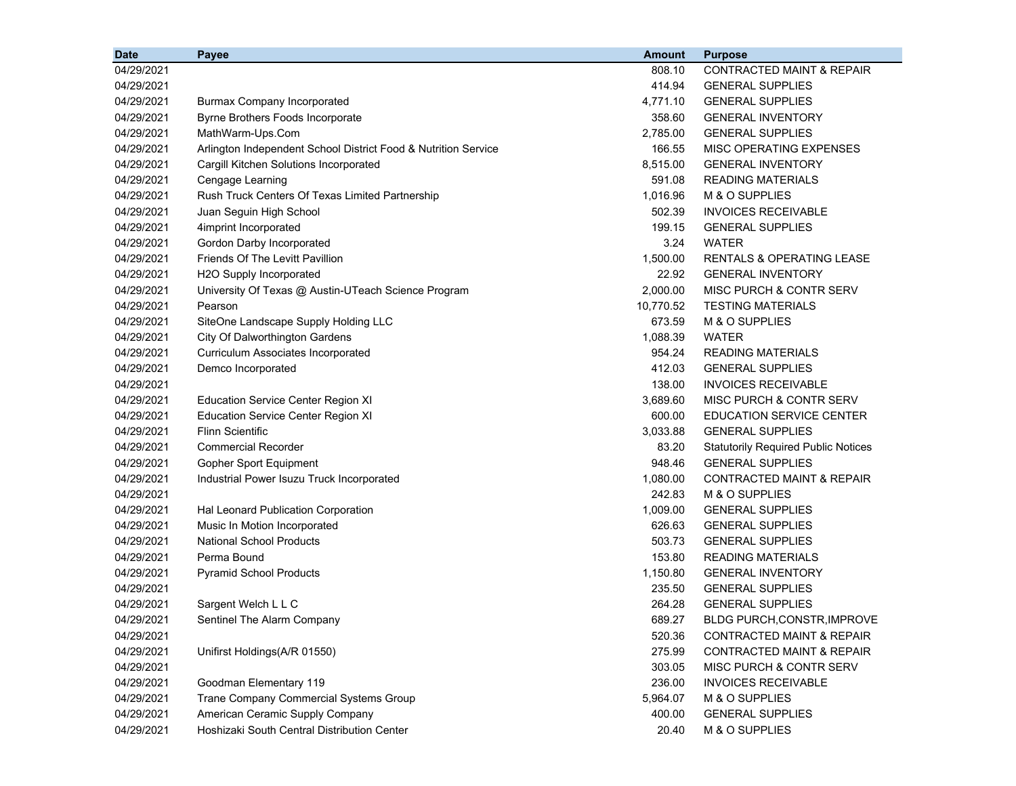| <b>Date</b> | Payee                                                          | <b>Amount</b> | <b>Purpose</b>                             |
|-------------|----------------------------------------------------------------|---------------|--------------------------------------------|
| 04/29/2021  |                                                                | 808.10        | <b>CONTRACTED MAINT &amp; REPAIR</b>       |
| 04/29/2021  |                                                                | 414.94        | <b>GENERAL SUPPLIES</b>                    |
| 04/29/2021  | <b>Burmax Company Incorporated</b>                             | 4,771.10      | <b>GENERAL SUPPLIES</b>                    |
| 04/29/2021  | Byrne Brothers Foods Incorporate                               | 358.60        | <b>GENERAL INVENTORY</b>                   |
| 04/29/2021  | MathWarm-Ups.Com                                               | 2,785.00      | <b>GENERAL SUPPLIES</b>                    |
| 04/29/2021  | Arlington Independent School District Food & Nutrition Service | 166.55        | MISC OPERATING EXPENSES                    |
| 04/29/2021  | Cargill Kitchen Solutions Incorporated                         | 8,515.00      | <b>GENERAL INVENTORY</b>                   |
| 04/29/2021  | Cengage Learning                                               | 591.08        | <b>READING MATERIALS</b>                   |
| 04/29/2021  | Rush Truck Centers Of Texas Limited Partnership                | 1,016.96      | M & O SUPPLIES                             |
| 04/29/2021  | Juan Seguin High School                                        | 502.39        | <b>INVOICES RECEIVABLE</b>                 |
| 04/29/2021  | 4imprint Incorporated                                          | 199.15        | <b>GENERAL SUPPLIES</b>                    |
| 04/29/2021  | Gordon Darby Incorporated                                      | 3.24          | <b>WATER</b>                               |
| 04/29/2021  | Friends Of The Levitt Pavillion                                | 1,500.00      | <b>RENTALS &amp; OPERATING LEASE</b>       |
| 04/29/2021  | H2O Supply Incorporated                                        | 22.92         | <b>GENERAL INVENTORY</b>                   |
| 04/29/2021  | University Of Texas @ Austin-UTeach Science Program            | 2,000.00      | MISC PURCH & CONTR SERV                    |
| 04/29/2021  | Pearson                                                        | 10,770.52     | <b>TESTING MATERIALS</b>                   |
| 04/29/2021  | SiteOne Landscape Supply Holding LLC                           | 673.59        | M & O SUPPLIES                             |
| 04/29/2021  | City Of Dalworthington Gardens                                 | 1,088.39      | <b>WATER</b>                               |
| 04/29/2021  | Curriculum Associates Incorporated                             | 954.24        | <b>READING MATERIALS</b>                   |
| 04/29/2021  | Demco Incorporated                                             | 412.03        | <b>GENERAL SUPPLIES</b>                    |
| 04/29/2021  |                                                                | 138.00        | <b>INVOICES RECEIVABLE</b>                 |
| 04/29/2021  | <b>Education Service Center Region XI</b>                      | 3,689.60      | MISC PURCH & CONTR SERV                    |
| 04/29/2021  | <b>Education Service Center Region XI</b>                      | 600.00        | <b>EDUCATION SERVICE CENTER</b>            |
| 04/29/2021  | <b>Flinn Scientific</b>                                        | 3,033.88      | <b>GENERAL SUPPLIES</b>                    |
| 04/29/2021  | <b>Commercial Recorder</b>                                     | 83.20         | <b>Statutorily Required Public Notices</b> |
| 04/29/2021  | Gopher Sport Equipment                                         | 948.46        | <b>GENERAL SUPPLIES</b>                    |
| 04/29/2021  | Industrial Power Isuzu Truck Incorporated                      | 1,080.00      | <b>CONTRACTED MAINT &amp; REPAIR</b>       |
| 04/29/2021  |                                                                | 242.83        | M & O SUPPLIES                             |
| 04/29/2021  | Hal Leonard Publication Corporation                            | 1,009.00      | <b>GENERAL SUPPLIES</b>                    |
| 04/29/2021  | Music In Motion Incorporated                                   | 626.63        | <b>GENERAL SUPPLIES</b>                    |
| 04/29/2021  | <b>National School Products</b>                                | 503.73        | <b>GENERAL SUPPLIES</b>                    |
| 04/29/2021  | Perma Bound                                                    | 153.80        | <b>READING MATERIALS</b>                   |
| 04/29/2021  | <b>Pyramid School Products</b>                                 | 1,150.80      | <b>GENERAL INVENTORY</b>                   |
| 04/29/2021  |                                                                | 235.50        | <b>GENERAL SUPPLIES</b>                    |
| 04/29/2021  | Sargent Welch L L C                                            | 264.28        | <b>GENERAL SUPPLIES</b>                    |
| 04/29/2021  | Sentinel The Alarm Company                                     | 689.27        | <b>BLDG PURCH, CONSTR, IMPROVE</b>         |
| 04/29/2021  |                                                                | 520.36        | <b>CONTRACTED MAINT &amp; REPAIR</b>       |
| 04/29/2021  | Unifirst Holdings(A/R 01550)                                   | 275.99        | CONTRACTED MAINT & REPAIR                  |
| 04/29/2021  |                                                                | 303.05        | <b>MISC PURCH &amp; CONTR SERV</b>         |
| 04/29/2021  | Goodman Elementary 119                                         | 236.00        | <b>INVOICES RECEIVABLE</b>                 |
| 04/29/2021  | Trane Company Commercial Systems Group                         | 5,964.07      | M & O SUPPLIES                             |
| 04/29/2021  | American Ceramic Supply Company                                | 400.00        | <b>GENERAL SUPPLIES</b>                    |
| 04/29/2021  | Hoshizaki South Central Distribution Center                    | 20.40         | M & O SUPPLIES                             |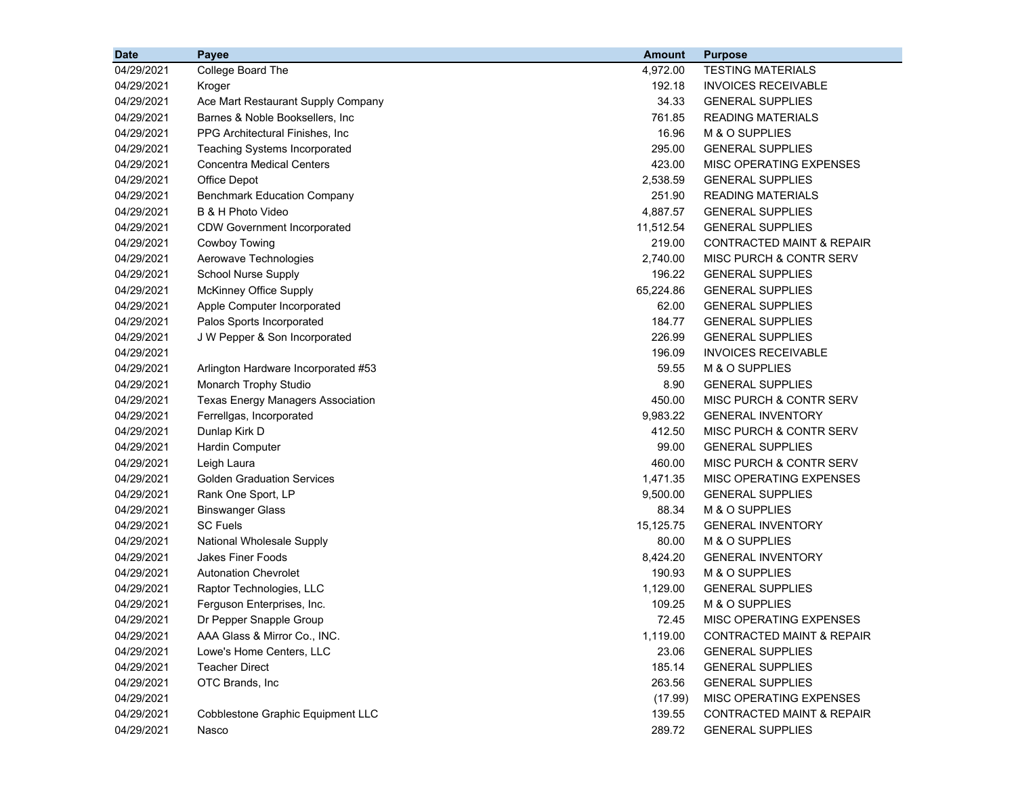| <b>Date</b> | Payee                                    | <b>Amount</b> | <b>Purpose</b>                       |
|-------------|------------------------------------------|---------------|--------------------------------------|
| 04/29/2021  | College Board The                        | 4,972.00      | <b>TESTING MATERIALS</b>             |
| 04/29/2021  | Kroger                                   | 192.18        | <b>INVOICES RECEIVABLE</b>           |
| 04/29/2021  | Ace Mart Restaurant Supply Company       | 34.33         | <b>GENERAL SUPPLIES</b>              |
| 04/29/2021  | Barnes & Noble Booksellers, Inc.         | 761.85        | <b>READING MATERIALS</b>             |
| 04/29/2021  | PPG Architectural Finishes, Inc.         | 16.96         | M & O SUPPLIES                       |
| 04/29/2021  | <b>Teaching Systems Incorporated</b>     | 295.00        | <b>GENERAL SUPPLIES</b>              |
| 04/29/2021  | <b>Concentra Medical Centers</b>         | 423.00        | MISC OPERATING EXPENSES              |
| 04/29/2021  | Office Depot                             | 2,538.59      | <b>GENERAL SUPPLIES</b>              |
| 04/29/2021  | <b>Benchmark Education Company</b>       | 251.90        | <b>READING MATERIALS</b>             |
| 04/29/2021  | B & H Photo Video                        | 4,887.57      | <b>GENERAL SUPPLIES</b>              |
| 04/29/2021  | <b>CDW Government Incorporated</b>       | 11,512.54     | <b>GENERAL SUPPLIES</b>              |
| 04/29/2021  | Cowboy Towing                            | 219.00        | <b>CONTRACTED MAINT &amp; REPAIR</b> |
| 04/29/2021  | Aerowave Technologies                    | 2,740.00      | MISC PURCH & CONTR SERV              |
| 04/29/2021  | <b>School Nurse Supply</b>               | 196.22        | <b>GENERAL SUPPLIES</b>              |
| 04/29/2021  | McKinney Office Supply                   | 65,224.86     | <b>GENERAL SUPPLIES</b>              |
| 04/29/2021  | Apple Computer Incorporated              | 62.00         | <b>GENERAL SUPPLIES</b>              |
| 04/29/2021  | Palos Sports Incorporated                | 184.77        | <b>GENERAL SUPPLIES</b>              |
| 04/29/2021  | J W Pepper & Son Incorporated            | 226.99        | <b>GENERAL SUPPLIES</b>              |
| 04/29/2021  |                                          | 196.09        | <b>INVOICES RECEIVABLE</b>           |
| 04/29/2021  | Arlington Hardware Incorporated #53      | 59.55         | M & O SUPPLIES                       |
| 04/29/2021  | Monarch Trophy Studio                    | 8.90          | <b>GENERAL SUPPLIES</b>              |
| 04/29/2021  | <b>Texas Energy Managers Association</b> | 450.00        | MISC PURCH & CONTR SERV              |
| 04/29/2021  | Ferrellgas, Incorporated                 | 9,983.22      | <b>GENERAL INVENTORY</b>             |
| 04/29/2021  | Dunlap Kirk D                            | 412.50        | MISC PURCH & CONTR SERV              |
| 04/29/2021  | <b>Hardin Computer</b>                   | 99.00         | <b>GENERAL SUPPLIES</b>              |
| 04/29/2021  | Leigh Laura                              | 460.00        | MISC PURCH & CONTR SERV              |
| 04/29/2021  | <b>Golden Graduation Services</b>        | 1,471.35      | MISC OPERATING EXPENSES              |
| 04/29/2021  | Rank One Sport, LP                       | 9,500.00      | <b>GENERAL SUPPLIES</b>              |
| 04/29/2021  | <b>Binswanger Glass</b>                  | 88.34         | M & O SUPPLIES                       |
| 04/29/2021  | <b>SC Fuels</b>                          | 15,125.75     | <b>GENERAL INVENTORY</b>             |
| 04/29/2021  | <b>National Wholesale Supply</b>         | 80.00         | M & O SUPPLIES                       |
| 04/29/2021  | <b>Jakes Finer Foods</b>                 | 8,424.20      | <b>GENERAL INVENTORY</b>             |
| 04/29/2021  | <b>Autonation Chevrolet</b>              | 190.93        | M & O SUPPLIES                       |
| 04/29/2021  | Raptor Technologies, LLC                 | 1,129.00      | <b>GENERAL SUPPLIES</b>              |
| 04/29/2021  | Ferguson Enterprises, Inc.               | 109.25        | M & O SUPPLIES                       |
| 04/29/2021  | Dr Pepper Snapple Group                  | 72.45         | MISC OPERATING EXPENSES              |
| 04/29/2021  | AAA Glass & Mirror Co., INC.             | 1,119.00      | <b>CONTRACTED MAINT &amp; REPAIR</b> |
| 04/29/2021  | Lowe's Home Centers, LLC                 | 23.06         | <b>GENERAL SUPPLIES</b>              |
| 04/29/2021  | <b>Teacher Direct</b>                    | 185.14        | <b>GENERAL SUPPLIES</b>              |
| 04/29/2021  | OTC Brands, Inc                          | 263.56        | <b>GENERAL SUPPLIES</b>              |
| 04/29/2021  |                                          | (17.99)       | <b>MISC OPERATING EXPENSES</b>       |
| 04/29/2021  | Cobblestone Graphic Equipment LLC        | 139.55        | CONTRACTED MAINT & REPAIR            |
| 04/29/2021  | Nasco                                    | 289.72        | <b>GENERAL SUPPLIES</b>              |
|             |                                          |               |                                      |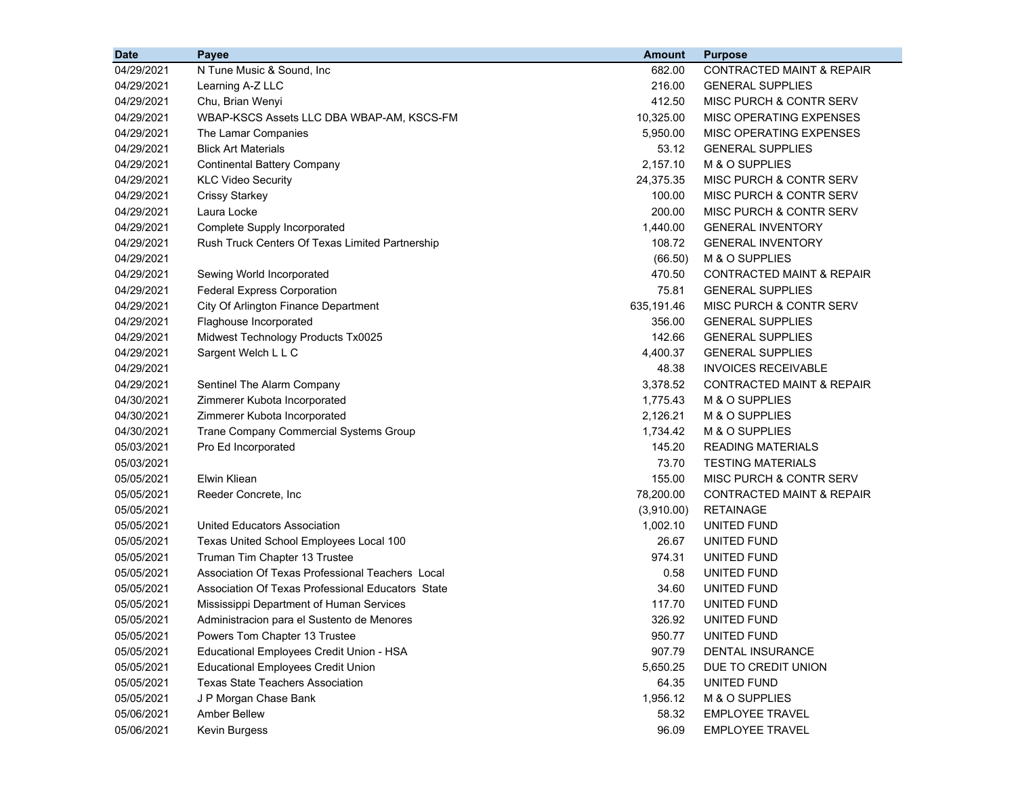| <b>Date</b> | <b>Payee</b>                                      | <b>Amount</b> | <b>Purpose</b>                       |
|-------------|---------------------------------------------------|---------------|--------------------------------------|
| 04/29/2021  | N Tune Music & Sound, Inc.                        | 682.00        | <b>CONTRACTED MAINT &amp; REPAIR</b> |
| 04/29/2021  | Learning A-Z LLC                                  | 216.00        | <b>GENERAL SUPPLIES</b>              |
| 04/29/2021  | Chu, Brian Wenyi                                  | 412.50        | MISC PURCH & CONTR SERV              |
| 04/29/2021  | WBAP-KSCS Assets LLC DBA WBAP-AM, KSCS-FM         | 10,325.00     | MISC OPERATING EXPENSES              |
| 04/29/2021  | The Lamar Companies                               | 5,950.00      | MISC OPERATING EXPENSES              |
| 04/29/2021  | <b>Blick Art Materials</b>                        | 53.12         | <b>GENERAL SUPPLIES</b>              |
| 04/29/2021  | <b>Continental Battery Company</b>                | 2,157.10      | M & O SUPPLIES                       |
| 04/29/2021  | <b>KLC Video Security</b>                         | 24,375.35     | <b>MISC PURCH &amp; CONTR SERV</b>   |
| 04/29/2021  | <b>Crissy Starkey</b>                             | 100.00        | MISC PURCH & CONTR SERV              |
| 04/29/2021  | Laura Locke                                       | 200.00        | MISC PURCH & CONTR SERV              |
| 04/29/2021  | Complete Supply Incorporated                      | 1,440.00      | <b>GENERAL INVENTORY</b>             |
| 04/29/2021  | Rush Truck Centers Of Texas Limited Partnership   | 108.72        | <b>GENERAL INVENTORY</b>             |
| 04/29/2021  |                                                   | (66.50)       | M & O SUPPLIES                       |
| 04/29/2021  | Sewing World Incorporated                         | 470.50        | <b>CONTRACTED MAINT &amp; REPAIR</b> |
| 04/29/2021  | <b>Federal Express Corporation</b>                | 75.81         | <b>GENERAL SUPPLIES</b>              |
| 04/29/2021  | City Of Arlington Finance Department              | 635,191.46    | MISC PURCH & CONTR SERV              |
| 04/29/2021  | Flaghouse Incorporated                            | 356.00        | <b>GENERAL SUPPLIES</b>              |
| 04/29/2021  | Midwest Technology Products Tx0025                | 142.66        | <b>GENERAL SUPPLIES</b>              |
| 04/29/2021  | Sargent Welch L L C                               | 4,400.37      | <b>GENERAL SUPPLIES</b>              |
| 04/29/2021  |                                                   | 48.38         | <b>INVOICES RECEIVABLE</b>           |
| 04/29/2021  | Sentinel The Alarm Company                        | 3,378.52      | <b>CONTRACTED MAINT &amp; REPAIR</b> |
| 04/30/2021  | Zimmerer Kubota Incorporated                      | 1,775.43      | M & O SUPPLIES                       |
| 04/30/2021  | Zimmerer Kubota Incorporated                      | 2,126.21      | M & O SUPPLIES                       |
| 04/30/2021  | Trane Company Commercial Systems Group            | 1,734.42      | M & O SUPPLIES                       |
| 05/03/2021  | Pro Ed Incorporated                               | 145.20        | <b>READING MATERIALS</b>             |
| 05/03/2021  |                                                   | 73.70         | <b>TESTING MATERIALS</b>             |
| 05/05/2021  | Elwin Kliean                                      | 155.00        | MISC PURCH & CONTR SERV              |
| 05/05/2021  | Reeder Concrete, Inc.                             | 78,200.00     | <b>CONTRACTED MAINT &amp; REPAIR</b> |
| 05/05/2021  |                                                   | (3,910.00)    | <b>RETAINAGE</b>                     |
| 05/05/2021  | United Educators Association                      | 1,002.10      | UNITED FUND                          |
| 05/05/2021  | Texas United School Employees Local 100           | 26.67         | UNITED FUND                          |
| 05/05/2021  | Truman Tim Chapter 13 Trustee                     | 974.31        | UNITED FUND                          |
| 05/05/2021  | Association Of Texas Professional Teachers Local  | 0.58          | UNITED FUND                          |
| 05/05/2021  | Association Of Texas Professional Educators State | 34.60         | UNITED FUND                          |
| 05/05/2021  | Mississippi Department of Human Services          | 117.70        | UNITED FUND                          |
| 05/05/2021  | Administracion para el Sustento de Menores        | 326.92        | UNITED FUND                          |
| 05/05/2021  | Powers Tom Chapter 13 Trustee                     | 950.77        | UNITED FUND                          |
| 05/05/2021  | Educational Employees Credit Union - HSA          | 907.79        | DENTAL INSURANCE                     |
| 05/05/2021  | <b>Educational Employees Credit Union</b>         | 5,650.25      | DUE TO CREDIT UNION                  |
| 05/05/2021  | <b>Texas State Teachers Association</b>           | 64.35         | UNITED FUND                          |
| 05/05/2021  | J P Morgan Chase Bank                             | 1,956.12      | M & O SUPPLIES                       |
| 05/06/2021  | Amber Bellew                                      | 58.32         | <b>EMPLOYEE TRAVEL</b>               |
| 05/06/2021  | Kevin Burgess                                     | 96.09         | <b>EMPLOYEE TRAVEL</b>               |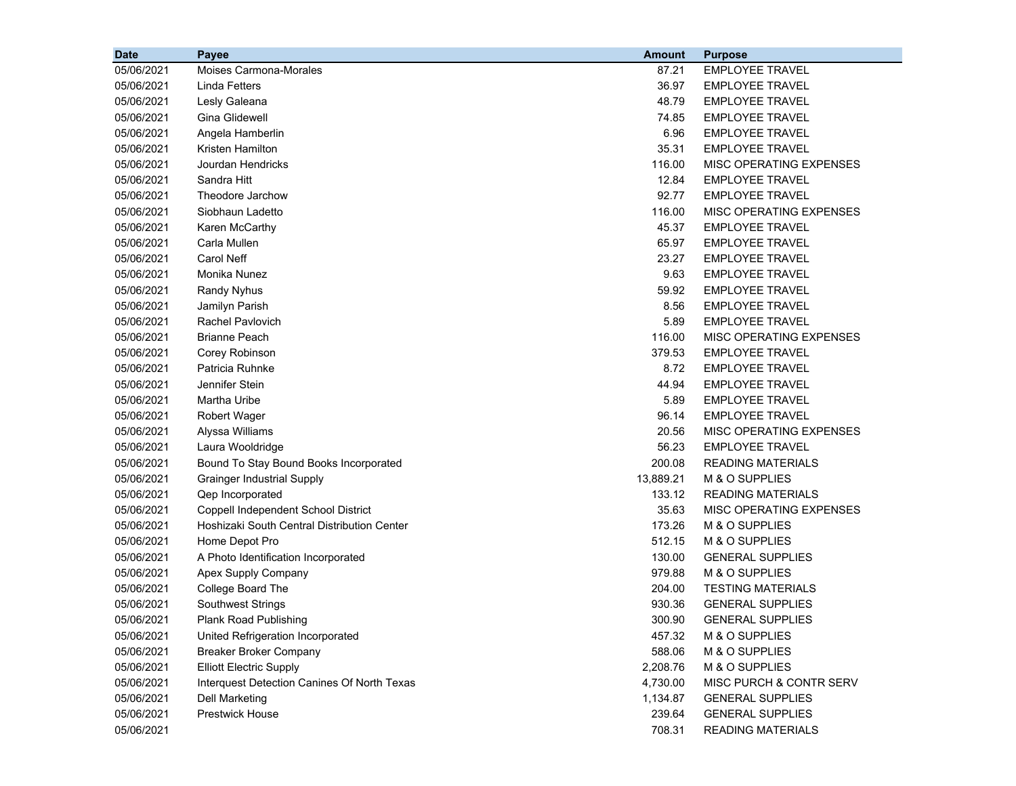| <b>Date</b> | Payee                                       | <b>Amount</b> | <b>Purpose</b>           |
|-------------|---------------------------------------------|---------------|--------------------------|
| 05/06/2021  | Moises Carmona-Morales                      | 87.21         | <b>EMPLOYEE TRAVEL</b>   |
| 05/06/2021  | Linda Fetters                               | 36.97         | <b>EMPLOYEE TRAVEL</b>   |
| 05/06/2021  | Lesly Galeana                               | 48.79         | <b>EMPLOYEE TRAVEL</b>   |
| 05/06/2021  | Gina Glidewell                              | 74.85         | <b>EMPLOYEE TRAVEL</b>   |
| 05/06/2021  | Angela Hamberlin                            | 6.96          | <b>EMPLOYEE TRAVEL</b>   |
| 05/06/2021  | Kristen Hamilton                            | 35.31         | <b>EMPLOYEE TRAVEL</b>   |
| 05/06/2021  | Jourdan Hendricks                           | 116.00        | MISC OPERATING EXPENSES  |
| 05/06/2021  | Sandra Hitt                                 | 12.84         | <b>EMPLOYEE TRAVEL</b>   |
| 05/06/2021  | Theodore Jarchow                            | 92.77         | <b>EMPLOYEE TRAVEL</b>   |
| 05/06/2021  | Siobhaun Ladetto                            | 116.00        | MISC OPERATING EXPENSES  |
| 05/06/2021  | Karen McCarthy                              | 45.37         | <b>EMPLOYEE TRAVEL</b>   |
| 05/06/2021  | Carla Mullen                                | 65.97         | <b>EMPLOYEE TRAVEL</b>   |
| 05/06/2021  | Carol Neff                                  | 23.27         | <b>EMPLOYEE TRAVEL</b>   |
| 05/06/2021  | Monika Nunez                                | 9.63          | <b>EMPLOYEE TRAVEL</b>   |
| 05/06/2021  | <b>Randy Nyhus</b>                          | 59.92         | <b>EMPLOYEE TRAVEL</b>   |
| 05/06/2021  | Jamilyn Parish                              | 8.56          | <b>EMPLOYEE TRAVEL</b>   |
| 05/06/2021  | Rachel Pavlovich                            | 5.89          | <b>EMPLOYEE TRAVEL</b>   |
| 05/06/2021  | <b>Brianne Peach</b>                        | 116.00        | MISC OPERATING EXPENSES  |
| 05/06/2021  | Corey Robinson                              | 379.53        | <b>EMPLOYEE TRAVEL</b>   |
| 05/06/2021  | Patricia Ruhnke                             | 8.72          | <b>EMPLOYEE TRAVEL</b>   |
| 05/06/2021  | Jennifer Stein                              | 44.94         | <b>EMPLOYEE TRAVEL</b>   |
| 05/06/2021  | Martha Uribe                                | 5.89          | <b>EMPLOYEE TRAVEL</b>   |
| 05/06/2021  | Robert Wager                                | 96.14         | <b>EMPLOYEE TRAVEL</b>   |
| 05/06/2021  | Alyssa Williams                             | 20.56         | MISC OPERATING EXPENSES  |
| 05/06/2021  | Laura Wooldridge                            | 56.23         | <b>EMPLOYEE TRAVEL</b>   |
| 05/06/2021  | Bound To Stay Bound Books Incorporated      | 200.08        | <b>READING MATERIALS</b> |
| 05/06/2021  | <b>Grainger Industrial Supply</b>           | 13,889.21     | M & O SUPPLIES           |
| 05/06/2021  | Qep Incorporated                            | 133.12        | <b>READING MATERIALS</b> |
| 05/06/2021  | Coppell Independent School District         | 35.63         | MISC OPERATING EXPENSES  |
| 05/06/2021  | Hoshizaki South Central Distribution Center | 173.26        | M & O SUPPLIES           |
| 05/06/2021  | Home Depot Pro                              | 512.15        | M & O SUPPLIES           |
| 05/06/2021  | A Photo Identification Incorporated         | 130.00        | <b>GENERAL SUPPLIES</b>  |
| 05/06/2021  | Apex Supply Company                         | 979.88        | M & O SUPPLIES           |
| 05/06/2021  | College Board The                           | 204.00        | <b>TESTING MATERIALS</b> |
| 05/06/2021  | <b>Southwest Strings</b>                    | 930.36        | <b>GENERAL SUPPLIES</b>  |
| 05/06/2021  | Plank Road Publishing                       | 300.90        | <b>GENERAL SUPPLIES</b>  |
| 05/06/2021  | United Refrigeration Incorporated           | 457.32        | M & O SUPPLIES           |
| 05/06/2021  | <b>Breaker Broker Company</b>               | 588.06        | M & O SUPPLIES           |
| 05/06/2021  | <b>Elliott Electric Supply</b>              | 2,208.76      | M & O SUPPLIES           |
| 05/06/2021  | Interquest Detection Canines Of North Texas | 4,730.00      | MISC PURCH & CONTR SERV  |
| 05/06/2021  | Dell Marketing                              | 1,134.87      | <b>GENERAL SUPPLIES</b>  |
| 05/06/2021  | Prestwick House                             | 239.64        | <b>GENERAL SUPPLIES</b>  |
| 05/06/2021  |                                             | 708.31        | <b>READING MATERIALS</b> |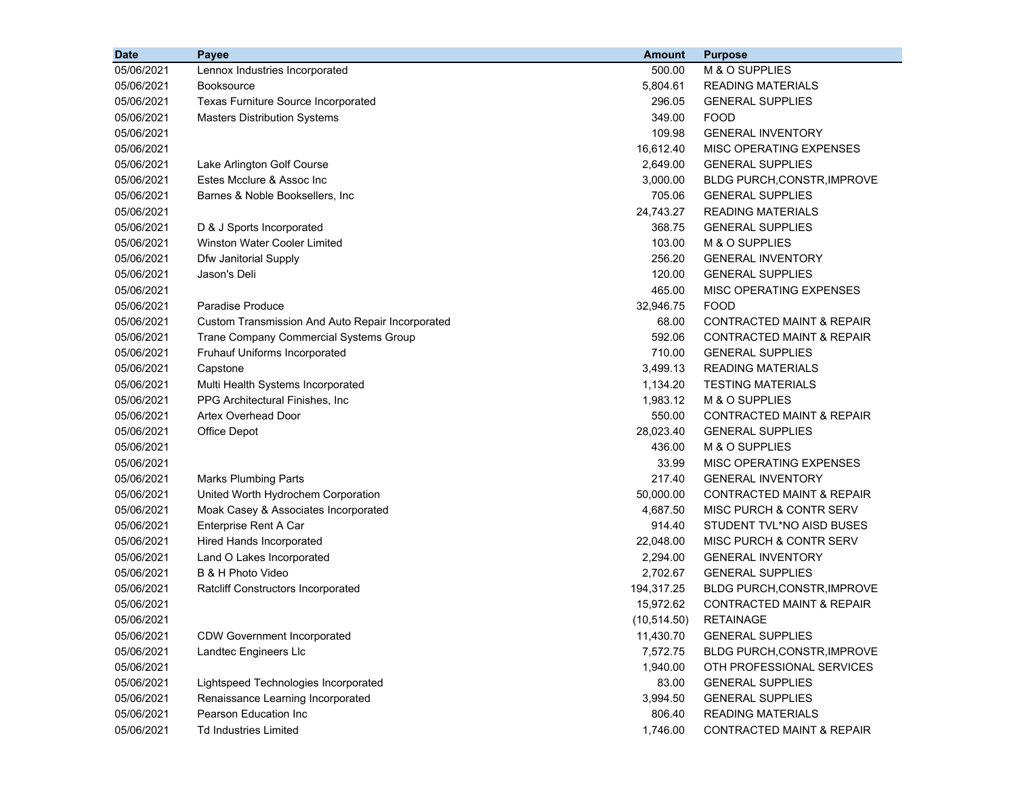| <b>Date</b> | <b>Payee</b>                                     | <b>Amount</b> | <b>Purpose</b>                       |
|-------------|--------------------------------------------------|---------------|--------------------------------------|
| 05/06/2021  | Lennox Industries Incorporated                   | 500.00        | M & O SUPPLIES                       |
| 05/06/2021  | <b>Booksource</b>                                | 5,804.61      | <b>READING MATERIALS</b>             |
| 05/06/2021  | <b>Texas Furniture Source Incorporated</b>       | 296.05        | <b>GENERAL SUPPLIES</b>              |
| 05/06/2021  | <b>Masters Distribution Systems</b>              | 349.00        | <b>FOOD</b>                          |
| 05/06/2021  |                                                  | 109.98        | <b>GENERAL INVENTORY</b>             |
| 05/06/2021  |                                                  | 16,612.40     | MISC OPERATING EXPENSES              |
| 05/06/2021  | Lake Arlington Golf Course                       | 2,649.00      | <b>GENERAL SUPPLIES</b>              |
| 05/06/2021  | Estes Mcclure & Assoc Inc                        | 3,000.00      | <b>BLDG PURCH, CONSTR, IMPROVE</b>   |
| 05/06/2021  | Barnes & Noble Booksellers, Inc.                 | 705.06        | <b>GENERAL SUPPLIES</b>              |
| 05/06/2021  |                                                  | 24,743.27     | <b>READING MATERIALS</b>             |
| 05/06/2021  | D & J Sports Incorporated                        | 368.75        | <b>GENERAL SUPPLIES</b>              |
| 05/06/2021  | Winston Water Cooler Limited                     | 103.00        | M & O SUPPLIES                       |
| 05/06/2021  | Dfw Janitorial Supply                            | 256.20        | <b>GENERAL INVENTORY</b>             |
| 05/06/2021  | Jason's Deli                                     | 120.00        | <b>GENERAL SUPPLIES</b>              |
| 05/06/2021  |                                                  | 465.00        | MISC OPERATING EXPENSES              |
| 05/06/2021  | Paradise Produce                                 | 32,946.75     | <b>FOOD</b>                          |
| 05/06/2021  | Custom Transmission And Auto Repair Incorporated | 68.00         | <b>CONTRACTED MAINT &amp; REPAIR</b> |
| 05/06/2021  | Trane Company Commercial Systems Group           | 592.06        | <b>CONTRACTED MAINT &amp; REPAIR</b> |
| 05/06/2021  | Fruhauf Uniforms Incorporated                    | 710.00        | <b>GENERAL SUPPLIES</b>              |
| 05/06/2021  | Capstone                                         | 3,499.13      | <b>READING MATERIALS</b>             |
| 05/06/2021  | Multi Health Systems Incorporated                | 1,134.20      | <b>TESTING MATERIALS</b>             |
| 05/06/2021  | PPG Architectural Finishes, Inc.                 | 1,983.12      | M & O SUPPLIES                       |
| 05/06/2021  | Artex Overhead Door                              | 550.00        | <b>CONTRACTED MAINT &amp; REPAIR</b> |
| 05/06/2021  | Office Depot                                     | 28,023.40     | <b>GENERAL SUPPLIES</b>              |
| 05/06/2021  |                                                  | 436.00        | M & O SUPPLIES                       |
| 05/06/2021  |                                                  | 33.99         | MISC OPERATING EXPENSES              |
| 05/06/2021  | <b>Marks Plumbing Parts</b>                      | 217.40        | <b>GENERAL INVENTORY</b>             |
| 05/06/2021  | United Worth Hydrochem Corporation               | 50,000.00     | <b>CONTRACTED MAINT &amp; REPAIR</b> |
| 05/06/2021  | Moak Casey & Associates Incorporated             | 4,687.50      | MISC PURCH & CONTR SERV              |
| 05/06/2021  | Enterprise Rent A Car                            | 914.40        | STUDENT TVL*NO AISD BUSES            |
| 05/06/2021  | Hired Hands Incorporated                         | 22,048.00     | MISC PURCH & CONTR SERV              |
| 05/06/2021  | Land O Lakes Incorporated                        | 2,294.00      | <b>GENERAL INVENTORY</b>             |
| 05/06/2021  | B & H Photo Video                                | 2,702.67      | <b>GENERAL SUPPLIES</b>              |
| 05/06/2021  | <b>Ratcliff Constructors Incorporated</b>        | 194,317.25    | BLDG PURCH, CONSTR, IMPROVE          |
| 05/06/2021  |                                                  | 15,972.62     | <b>CONTRACTED MAINT &amp; REPAIR</b> |
| 05/06/2021  |                                                  | (10, 514.50)  | <b>RETAINAGE</b>                     |
| 05/06/2021  | <b>CDW Government Incorporated</b>               | 11,430.70     | <b>GENERAL SUPPLIES</b>              |
| 05/06/2021  | Landtec Engineers Llc                            | 7,572.75      | BLDG PURCH, CONSTR, IMPROVE          |
| 05/06/2021  |                                                  | 1,940.00      | OTH PROFESSIONAL SERVICES            |
| 05/06/2021  | Lightspeed Technologies Incorporated             | 83.00         | <b>GENERAL SUPPLIES</b>              |
| 05/06/2021  | Renaissance Learning Incorporated                | 3,994.50      | <b>GENERAL SUPPLIES</b>              |
| 05/06/2021  | Pearson Education Inc                            | 806.40        | <b>READING MATERIALS</b>             |
| 05/06/2021  | <b>Td Industries Limited</b>                     | 1,746.00      | CONTRACTED MAINT & REPAIR            |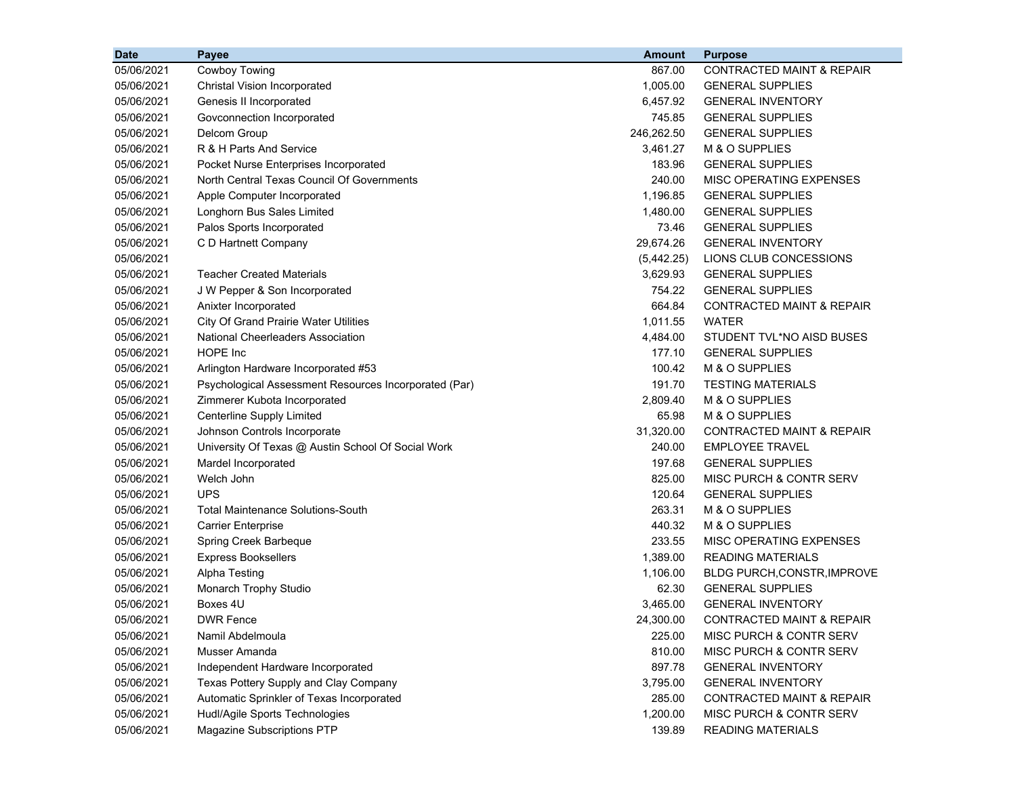| <b>Date</b> | Payee                                                 | Amount     | <b>Purpose</b>                       |
|-------------|-------------------------------------------------------|------------|--------------------------------------|
| 05/06/2021  | Cowboy Towing                                         | 867.00     | <b>CONTRACTED MAINT &amp; REPAIR</b> |
| 05/06/2021  | Christal Vision Incorporated                          | 1,005.00   | <b>GENERAL SUPPLIES</b>              |
| 05/06/2021  | Genesis II Incorporated                               | 6,457.92   | <b>GENERAL INVENTORY</b>             |
| 05/06/2021  | Govconnection Incorporated                            | 745.85     | <b>GENERAL SUPPLIES</b>              |
| 05/06/2021  | Delcom Group                                          | 246,262.50 | <b>GENERAL SUPPLIES</b>              |
| 05/06/2021  | R & H Parts And Service                               | 3,461.27   | M & O SUPPLIES                       |
| 05/06/2021  | Pocket Nurse Enterprises Incorporated                 | 183.96     | <b>GENERAL SUPPLIES</b>              |
| 05/06/2021  | North Central Texas Council Of Governments            | 240.00     | MISC OPERATING EXPENSES              |
| 05/06/2021  | Apple Computer Incorporated                           | 1,196.85   | <b>GENERAL SUPPLIES</b>              |
| 05/06/2021  | Longhorn Bus Sales Limited                            | 1,480.00   | <b>GENERAL SUPPLIES</b>              |
| 05/06/2021  | Palos Sports Incorporated                             | 73.46      | <b>GENERAL SUPPLIES</b>              |
| 05/06/2021  | C D Hartnett Company                                  | 29,674.26  | <b>GENERAL INVENTORY</b>             |
| 05/06/2021  |                                                       | (5,442.25) | LIONS CLUB CONCESSIONS               |
| 05/06/2021  | <b>Teacher Created Materials</b>                      | 3,629.93   | <b>GENERAL SUPPLIES</b>              |
| 05/06/2021  | J W Pepper & Son Incorporated                         | 754.22     | <b>GENERAL SUPPLIES</b>              |
| 05/06/2021  | Anixter Incorporated                                  | 664.84     | <b>CONTRACTED MAINT &amp; REPAIR</b> |
| 05/06/2021  | City Of Grand Prairie Water Utilities                 | 1,011.55   | <b>WATER</b>                         |
| 05/06/2021  | National Cheerleaders Association                     | 4,484.00   | STUDENT TVL*NO AISD BUSES            |
| 05/06/2021  | <b>HOPE</b> Inc                                       | 177.10     | <b>GENERAL SUPPLIES</b>              |
| 05/06/2021  | Arlington Hardware Incorporated #53                   | 100.42     | M & O SUPPLIES                       |
| 05/06/2021  | Psychological Assessment Resources Incorporated (Par) | 191.70     | <b>TESTING MATERIALS</b>             |
| 05/06/2021  | Zimmerer Kubota Incorporated                          | 2,809.40   | M & O SUPPLIES                       |
| 05/06/2021  | Centerline Supply Limited                             | 65.98      | M & O SUPPLIES                       |
| 05/06/2021  | Johnson Controls Incorporate                          | 31,320.00  | <b>CONTRACTED MAINT &amp; REPAIR</b> |
| 05/06/2021  | University Of Texas @ Austin School Of Social Work    | 240.00     | <b>EMPLOYEE TRAVEL</b>               |
| 05/06/2021  | Mardel Incorporated                                   | 197.68     | <b>GENERAL SUPPLIES</b>              |
| 05/06/2021  | Welch John                                            | 825.00     | MISC PURCH & CONTR SERV              |
| 05/06/2021  | <b>UPS</b>                                            | 120.64     | <b>GENERAL SUPPLIES</b>              |
| 05/06/2021  | <b>Total Maintenance Solutions-South</b>              | 263.31     | M & O SUPPLIES                       |
| 05/06/2021  | <b>Carrier Enterprise</b>                             | 440.32     | M & O SUPPLIES                       |
| 05/06/2021  | Spring Creek Barbeque                                 | 233.55     | MISC OPERATING EXPENSES              |
| 05/06/2021  | <b>Express Booksellers</b>                            | 1,389.00   | <b>READING MATERIALS</b>             |
| 05/06/2021  | <b>Alpha Testing</b>                                  | 1,106.00   | BLDG PURCH, CONSTR, IMPROVE          |
| 05/06/2021  | Monarch Trophy Studio                                 | 62.30      | <b>GENERAL SUPPLIES</b>              |
| 05/06/2021  | Boxes 4U                                              | 3,465.00   | <b>GENERAL INVENTORY</b>             |
| 05/06/2021  | <b>DWR Fence</b>                                      | 24,300.00  | CONTRACTED MAINT & REPAIR            |
| 05/06/2021  | Namil Abdelmoula                                      | 225.00     | MISC PURCH & CONTR SERV              |
| 05/06/2021  | Musser Amanda                                         | 810.00     | MISC PURCH & CONTR SERV              |
| 05/06/2021  | Independent Hardware Incorporated                     | 897.78     | <b>GENERAL INVENTORY</b>             |
| 05/06/2021  | Texas Pottery Supply and Clay Company                 | 3,795.00   | <b>GENERAL INVENTORY</b>             |
| 05/06/2021  | Automatic Sprinkler of Texas Incorporated             | 285.00     | <b>CONTRACTED MAINT &amp; REPAIR</b> |
| 05/06/2021  | Hudl/Agile Sports Technologies                        | 1,200.00   | MISC PURCH & CONTR SERV              |
| 05/06/2021  | Magazine Subscriptions PTP                            | 139.89     | <b>READING MATERIALS</b>             |
|             |                                                       |            |                                      |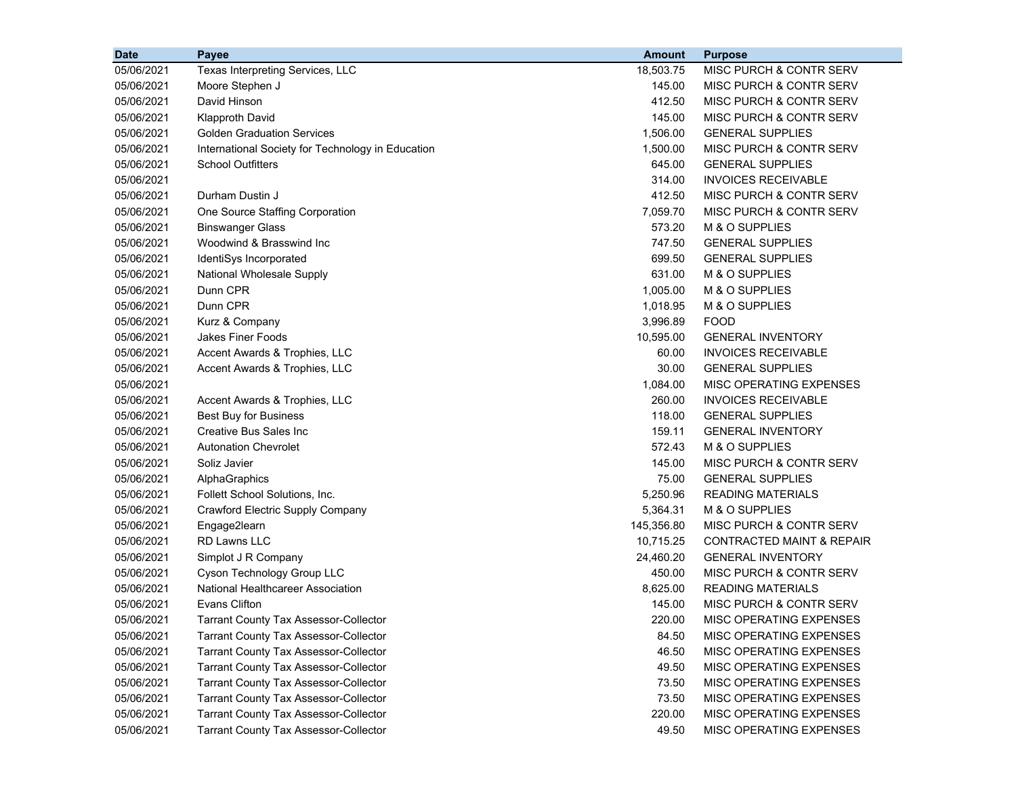| <b>Date</b> | Payee                                             | <b>Amount</b> | <b>Purpose</b>                     |
|-------------|---------------------------------------------------|---------------|------------------------------------|
| 05/06/2021  | Texas Interpreting Services, LLC                  | 18,503.75     | MISC PURCH & CONTR SERV            |
| 05/06/2021  | Moore Stephen J                                   | 145.00        | <b>MISC PURCH &amp; CONTR SERV</b> |
| 05/06/2021  | David Hinson                                      | 412.50        | <b>MISC PURCH &amp; CONTR SERV</b> |
| 05/06/2021  | <b>Klapproth David</b>                            | 145.00        | <b>MISC PURCH &amp; CONTR SERV</b> |
| 05/06/2021  | <b>Golden Graduation Services</b>                 | 1,506.00      | <b>GENERAL SUPPLIES</b>            |
| 05/06/2021  | International Society for Technology in Education | 1,500.00      | MISC PURCH & CONTR SERV            |
| 05/06/2021  | <b>School Outfitters</b>                          | 645.00        | <b>GENERAL SUPPLIES</b>            |
| 05/06/2021  |                                                   | 314.00        | <b>INVOICES RECEIVABLE</b>         |
| 05/06/2021  | Durham Dustin J                                   | 412.50        | <b>MISC PURCH &amp; CONTR SERV</b> |
| 05/06/2021  | One Source Staffing Corporation                   | 7,059.70      | <b>MISC PURCH &amp; CONTR SERV</b> |
| 05/06/2021  | <b>Binswanger Glass</b>                           | 573.20        | M & O SUPPLIES                     |
| 05/06/2021  | Woodwind & Brasswind Inc                          | 747.50        | <b>GENERAL SUPPLIES</b>            |
| 05/06/2021  | IdentiSys Incorporated                            | 699.50        | <b>GENERAL SUPPLIES</b>            |
| 05/06/2021  | National Wholesale Supply                         | 631.00        | M & O SUPPLIES                     |
| 05/06/2021  | Dunn CPR                                          | 1,005.00      | M & O SUPPLIES                     |
| 05/06/2021  | Dunn CPR                                          | 1,018.95      | M & O SUPPLIES                     |
| 05/06/2021  | Kurz & Company                                    | 3,996.89      | <b>FOOD</b>                        |
| 05/06/2021  | <b>Jakes Finer Foods</b>                          | 10,595.00     | <b>GENERAL INVENTORY</b>           |
| 05/06/2021  | Accent Awards & Trophies, LLC                     | 60.00         | <b>INVOICES RECEIVABLE</b>         |
| 05/06/2021  | Accent Awards & Trophies, LLC                     | 30.00         | <b>GENERAL SUPPLIES</b>            |
| 05/06/2021  |                                                   | 1,084.00      | MISC OPERATING EXPENSES            |
| 05/06/2021  | Accent Awards & Trophies, LLC                     | 260.00        | <b>INVOICES RECEIVABLE</b>         |
| 05/06/2021  | <b>Best Buy for Business</b>                      | 118.00        | <b>GENERAL SUPPLIES</b>            |
| 05/06/2021  | Creative Bus Sales Inc                            | 159.11        | <b>GENERAL INVENTORY</b>           |
| 05/06/2021  | <b>Autonation Chevrolet</b>                       | 572.43        | M & O SUPPLIES                     |
| 05/06/2021  | Soliz Javier                                      | 145.00        | MISC PURCH & CONTR SERV            |
| 05/06/2021  | AlphaGraphics                                     | 75.00         | <b>GENERAL SUPPLIES</b>            |
| 05/06/2021  | Follett School Solutions, Inc.                    | 5,250.96      | <b>READING MATERIALS</b>           |
| 05/06/2021  | Crawford Electric Supply Company                  | 5,364.31      | M & O SUPPLIES                     |
| 05/06/2021  | Engage2learn                                      | 145,356.80    | MISC PURCH & CONTR SERV            |
| 05/06/2021  | <b>RD Lawns LLC</b>                               | 10,715.25     | CONTRACTED MAINT & REPAIR          |
| 05/06/2021  | Simplot J R Company                               | 24,460.20     | <b>GENERAL INVENTORY</b>           |
| 05/06/2021  | Cyson Technology Group LLC                        | 450.00        | MISC PURCH & CONTR SERV            |
| 05/06/2021  | National Healthcareer Association                 | 8,625.00      | <b>READING MATERIALS</b>           |
| 05/06/2021  | Evans Clifton                                     | 145.00        | <b>MISC PURCH &amp; CONTR SERV</b> |
| 05/06/2021  | Tarrant County Tax Assessor-Collector             | 220.00        | <b>MISC OPERATING EXPENSES</b>     |
| 05/06/2021  | <b>Tarrant County Tax Assessor-Collector</b>      | 84.50         | MISC OPERATING EXPENSES            |
| 05/06/2021  | <b>Tarrant County Tax Assessor-Collector</b>      | 46.50         | MISC OPERATING EXPENSES            |
| 05/06/2021  | <b>Tarrant County Tax Assessor-Collector</b>      | 49.50         | MISC OPERATING EXPENSES            |
| 05/06/2021  | <b>Tarrant County Tax Assessor-Collector</b>      | 73.50         | MISC OPERATING EXPENSES            |
| 05/06/2021  | <b>Tarrant County Tax Assessor-Collector</b>      | 73.50         | MISC OPERATING EXPENSES            |
| 05/06/2021  | <b>Tarrant County Tax Assessor-Collector</b>      | 220.00        | MISC OPERATING EXPENSES            |
| 05/06/2021  | <b>Tarrant County Tax Assessor-Collector</b>      | 49.50         | MISC OPERATING EXPENSES            |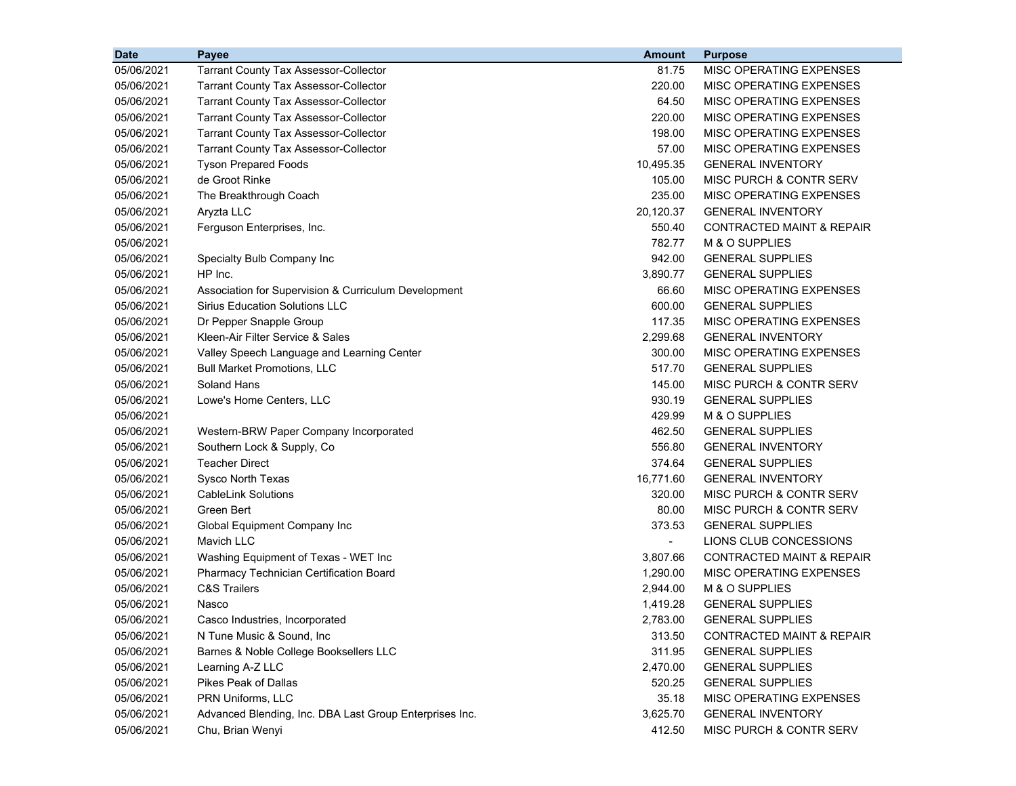| <b>Date</b> | <b>Payee</b>                                            | <b>Amount</b>            | <b>Purpose</b>                       |
|-------------|---------------------------------------------------------|--------------------------|--------------------------------------|
| 05/06/2021  | <b>Tarrant County Tax Assessor-Collector</b>            | 81.75                    | MISC OPERATING EXPENSES              |
| 05/06/2021  | <b>Tarrant County Tax Assessor-Collector</b>            | 220.00                   | MISC OPERATING EXPENSES              |
| 05/06/2021  | <b>Tarrant County Tax Assessor-Collector</b>            | 64.50                    | MISC OPERATING EXPENSES              |
| 05/06/2021  | <b>Tarrant County Tax Assessor-Collector</b>            | 220.00                   | MISC OPERATING EXPENSES              |
| 05/06/2021  | <b>Tarrant County Tax Assessor-Collector</b>            | 198.00                   | MISC OPERATING EXPENSES              |
| 05/06/2021  | <b>Tarrant County Tax Assessor-Collector</b>            | 57.00                    | MISC OPERATING EXPENSES              |
| 05/06/2021  | <b>Tyson Prepared Foods</b>                             | 10,495.35                | <b>GENERAL INVENTORY</b>             |
| 05/06/2021  | de Groot Rinke                                          | 105.00                   | MISC PURCH & CONTR SERV              |
| 05/06/2021  | The Breakthrough Coach                                  | 235.00                   | MISC OPERATING EXPENSES              |
| 05/06/2021  | Aryzta LLC                                              | 20,120.37                | <b>GENERAL INVENTORY</b>             |
| 05/06/2021  | Ferguson Enterprises, Inc.                              | 550.40                   | <b>CONTRACTED MAINT &amp; REPAIR</b> |
| 05/06/2021  |                                                         | 782.77                   | M & O SUPPLIES                       |
| 05/06/2021  | Specialty Bulb Company Inc                              | 942.00                   | <b>GENERAL SUPPLIES</b>              |
| 05/06/2021  | HP Inc.                                                 | 3,890.77                 | <b>GENERAL SUPPLIES</b>              |
| 05/06/2021  | Association for Supervision & Curriculum Development    | 66.60                    | MISC OPERATING EXPENSES              |
| 05/06/2021  | <b>Sirius Education Solutions LLC</b>                   | 600.00                   | <b>GENERAL SUPPLIES</b>              |
| 05/06/2021  | Dr Pepper Snapple Group                                 | 117.35                   | MISC OPERATING EXPENSES              |
| 05/06/2021  | Kleen-Air Filter Service & Sales                        | 2,299.68                 | <b>GENERAL INVENTORY</b>             |
| 05/06/2021  | Valley Speech Language and Learning Center              | 300.00                   | MISC OPERATING EXPENSES              |
| 05/06/2021  | <b>Bull Market Promotions, LLC</b>                      | 517.70                   | <b>GENERAL SUPPLIES</b>              |
| 05/06/2021  | Soland Hans                                             | 145.00                   | <b>MISC PURCH &amp; CONTR SERV</b>   |
| 05/06/2021  | Lowe's Home Centers, LLC                                | 930.19                   | <b>GENERAL SUPPLIES</b>              |
| 05/06/2021  |                                                         | 429.99                   | M & O SUPPLIES                       |
| 05/06/2021  | Western-BRW Paper Company Incorporated                  | 462.50                   | <b>GENERAL SUPPLIES</b>              |
| 05/06/2021  | Southern Lock & Supply, Co                              | 556.80                   | <b>GENERAL INVENTORY</b>             |
| 05/06/2021  | <b>Teacher Direct</b>                                   | 374.64                   | <b>GENERAL SUPPLIES</b>              |
| 05/06/2021  | Sysco North Texas                                       | 16,771.60                | <b>GENERAL INVENTORY</b>             |
| 05/06/2021  | <b>CableLink Solutions</b>                              | 320.00                   | <b>MISC PURCH &amp; CONTR SERV</b>   |
| 05/06/2021  | Green Bert                                              | 80.00                    | MISC PURCH & CONTR SERV              |
| 05/06/2021  | Global Equipment Company Inc                            | 373.53                   | <b>GENERAL SUPPLIES</b>              |
| 05/06/2021  | <b>Mavich LLC</b>                                       | $\overline{\phantom{a}}$ | LIONS CLUB CONCESSIONS               |
| 05/06/2021  | Washing Equipment of Texas - WET Inc                    | 3,807.66                 | <b>CONTRACTED MAINT &amp; REPAIR</b> |
| 05/06/2021  | Pharmacy Technician Certification Board                 | 1,290.00                 | MISC OPERATING EXPENSES              |
| 05/06/2021  | <b>C&amp;S Trailers</b>                                 | 2,944.00                 | M & O SUPPLIES                       |
| 05/06/2021  | Nasco                                                   | 1,419.28                 | <b>GENERAL SUPPLIES</b>              |
| 05/06/2021  | Casco Industries, Incorporated                          | 2,783.00                 | <b>GENERAL SUPPLIES</b>              |
| 05/06/2021  | N Tune Music & Sound, Inc.                              | 313.50                   | <b>CONTRACTED MAINT &amp; REPAIR</b> |
| 05/06/2021  | Barnes & Noble College Booksellers LLC                  | 311.95                   | <b>GENERAL SUPPLIES</b>              |
| 05/06/2021  | Learning A-Z LLC                                        | 2,470.00                 | <b>GENERAL SUPPLIES</b>              |
| 05/06/2021  | Pikes Peak of Dallas                                    | 520.25                   | <b>GENERAL SUPPLIES</b>              |
| 05/06/2021  | PRN Uniforms, LLC                                       | 35.18                    | MISC OPERATING EXPENSES              |
| 05/06/2021  | Advanced Blending, Inc. DBA Last Group Enterprises Inc. | 3,625.70                 | <b>GENERAL INVENTORY</b>             |
| 05/06/2021  | Chu, Brian Wenyi                                        | 412.50                   | MISC PURCH & CONTR SERV              |
|             |                                                         |                          |                                      |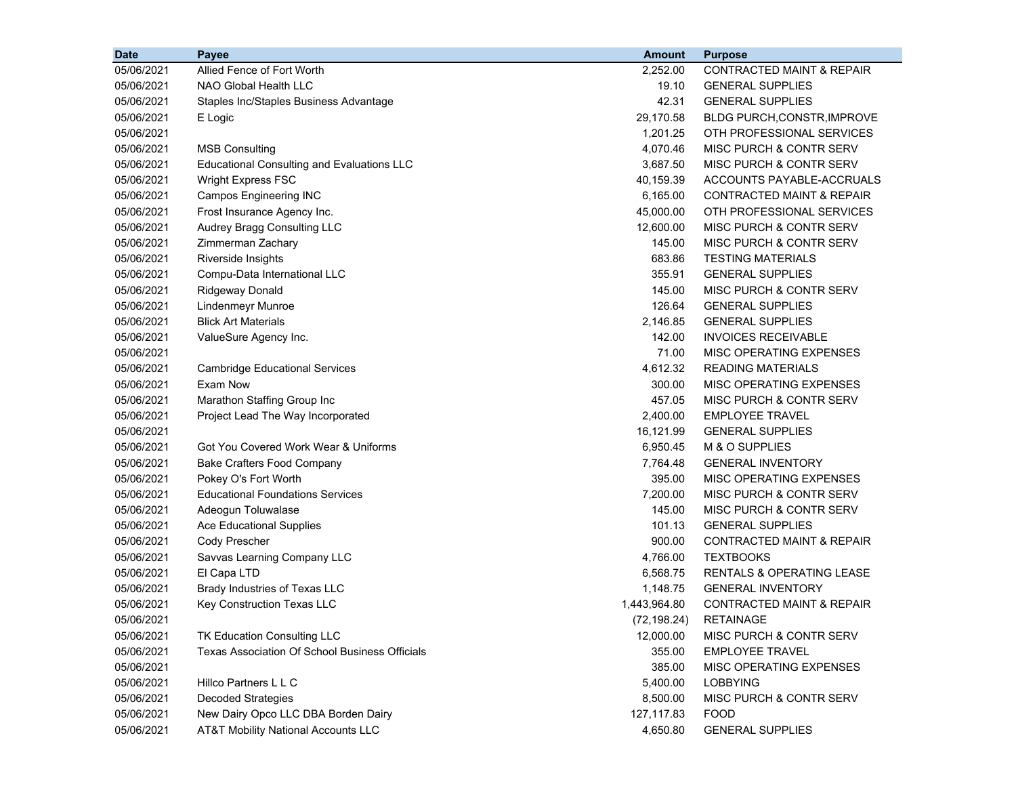| <b>Date</b> | Payee                                                 | <b>Amount</b> | <b>Purpose</b>                       |
|-------------|-------------------------------------------------------|---------------|--------------------------------------|
| 05/06/2021  | Allied Fence of Fort Worth                            | 2,252.00      | <b>CONTRACTED MAINT &amp; REPAIR</b> |
| 05/06/2021  | NAO Global Health LLC                                 | 19.10         | <b>GENERAL SUPPLIES</b>              |
| 05/06/2021  | Staples Inc/Staples Business Advantage                | 42.31         | <b>GENERAL SUPPLIES</b>              |
| 05/06/2021  | E Logic                                               | 29,170.58     | <b>BLDG PURCH, CONSTR, IMPROVE</b>   |
| 05/06/2021  |                                                       | 1,201.25      | OTH PROFESSIONAL SERVICES            |
| 05/06/2021  | <b>MSB Consulting</b>                                 | 4,070.46      | <b>MISC PURCH &amp; CONTR SERV</b>   |
| 05/06/2021  | <b>Educational Consulting and Evaluations LLC</b>     | 3,687.50      | MISC PURCH & CONTR SERV              |
| 05/06/2021  | Wright Express FSC                                    | 40,159.39     | ACCOUNTS PAYABLE-ACCRUALS            |
| 05/06/2021  | <b>Campos Engineering INC</b>                         | 6,165.00      | CONTRACTED MAINT & REPAIR            |
| 05/06/2021  | Frost Insurance Agency Inc.                           | 45,000.00     | OTH PROFESSIONAL SERVICES            |
| 05/06/2021  | Audrey Bragg Consulting LLC                           | 12,600.00     | <b>MISC PURCH &amp; CONTR SERV</b>   |
| 05/06/2021  | Zimmerman Zachary                                     | 145.00        | <b>MISC PURCH &amp; CONTR SERV</b>   |
| 05/06/2021  | Riverside Insights                                    | 683.86        | <b>TESTING MATERIALS</b>             |
| 05/06/2021  | Compu-Data International LLC                          | 355.91        | <b>GENERAL SUPPLIES</b>              |
| 05/06/2021  | Ridgeway Donald                                       | 145.00        | MISC PURCH & CONTR SERV              |
| 05/06/2021  | <b>Lindenmeyr Munroe</b>                              | 126.64        | <b>GENERAL SUPPLIES</b>              |
| 05/06/2021  | <b>Blick Art Materials</b>                            | 2,146.85      | <b>GENERAL SUPPLIES</b>              |
| 05/06/2021  | ValueSure Agency Inc.                                 | 142.00        | <b>INVOICES RECEIVABLE</b>           |
| 05/06/2021  |                                                       | 71.00         | MISC OPERATING EXPENSES              |
| 05/06/2021  | <b>Cambridge Educational Services</b>                 | 4,612.32      | <b>READING MATERIALS</b>             |
| 05/06/2021  | Exam Now                                              | 300.00        | MISC OPERATING EXPENSES              |
| 05/06/2021  | Marathon Staffing Group Inc                           | 457.05        | MISC PURCH & CONTR SERV              |
| 05/06/2021  | Project Lead The Way Incorporated                     | 2,400.00      | <b>EMPLOYEE TRAVEL</b>               |
| 05/06/2021  |                                                       | 16,121.99     | <b>GENERAL SUPPLIES</b>              |
| 05/06/2021  | Got You Covered Work Wear & Uniforms                  | 6,950.45      | M & O SUPPLIES                       |
| 05/06/2021  | <b>Bake Crafters Food Company</b>                     | 7,764.48      | <b>GENERAL INVENTORY</b>             |
| 05/06/2021  | Pokey O's Fort Worth                                  | 395.00        | MISC OPERATING EXPENSES              |
| 05/06/2021  | <b>Educational Foundations Services</b>               | 7,200.00      | <b>MISC PURCH &amp; CONTR SERV</b>   |
| 05/06/2021  | Adeogun Toluwalase                                    | 145.00        | <b>MISC PURCH &amp; CONTR SERV</b>   |
| 05/06/2021  | <b>Ace Educational Supplies</b>                       | 101.13        | <b>GENERAL SUPPLIES</b>              |
| 05/06/2021  | Cody Prescher                                         | 900.00        | <b>CONTRACTED MAINT &amp; REPAIR</b> |
| 05/06/2021  | Savvas Learning Company LLC                           | 4,766.00      | <b>TEXTBOOKS</b>                     |
| 05/06/2021  | El Capa LTD                                           | 6,568.75      | RENTALS & OPERATING LEASE            |
| 05/06/2021  | Brady Industries of Texas LLC                         | 1,148.75      | <b>GENERAL INVENTORY</b>             |
| 05/06/2021  | Key Construction Texas LLC                            | 1,443,964.80  | <b>CONTRACTED MAINT &amp; REPAIR</b> |
| 05/06/2021  |                                                       | (72, 198.24)  | <b>RETAINAGE</b>                     |
| 05/06/2021  | TK Education Consulting LLC                           | 12,000.00     | MISC PURCH & CONTR SERV              |
| 05/06/2021  | <b>Texas Association Of School Business Officials</b> | 355.00        | <b>EMPLOYEE TRAVEL</b>               |
| 05/06/2021  |                                                       | 385.00        | MISC OPERATING EXPENSES              |
| 05/06/2021  | Hillco Partners L L C                                 | 5,400.00      | <b>LOBBYING</b>                      |
| 05/06/2021  | <b>Decoded Strategies</b>                             | 8,500.00      | MISC PURCH & CONTR SERV              |
| 05/06/2021  | New Dairy Opco LLC DBA Borden Dairy                   | 127,117.83    | <b>FOOD</b>                          |
| 05/06/2021  | <b>AT&amp;T Mobility National Accounts LLC</b>        | 4,650.80      | <b>GENERAL SUPPLIES</b>              |
|             |                                                       |               |                                      |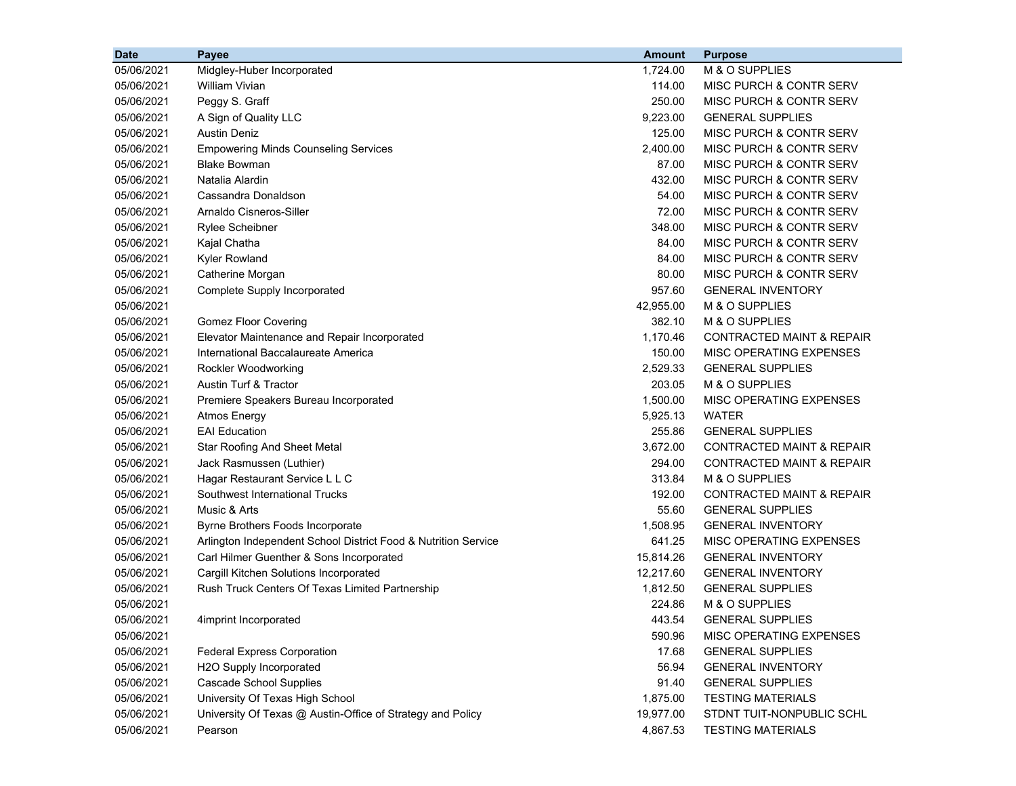| 05/06/2021<br>Midgley-Huber Incorporated<br>M & O SUPPLIES<br>1,724.00<br>05/06/2021<br><b>William Vivian</b><br>114.00<br><b>MISC PURCH &amp; CONTR SERV</b><br>Peggy S. Graff<br>05/06/2021<br>250.00<br>MISC PURCH & CONTR SERV<br>A Sign of Quality LLC<br>9,223.00<br><b>GENERAL SUPPLIES</b><br>05/06/2021<br><b>Austin Deniz</b><br>125.00<br>MISC PURCH & CONTR SERV<br>05/06/2021<br>2,400.00<br>MISC PURCH & CONTR SERV<br>05/06/2021<br><b>Empowering Minds Counseling Services</b><br>87.00<br>MISC PURCH & CONTR SERV<br>05/06/2021<br><b>Blake Bowman</b><br>Natalia Alardin<br>432.00<br>MISC PURCH & CONTR SERV<br>05/06/2021<br>Cassandra Donaldson<br>54.00<br>MISC PURCH & CONTR SERV<br>05/06/2021<br>Arnaldo Cisneros-Siller<br>72.00<br>MISC PURCH & CONTR SERV<br>05/06/2021<br>MISC PURCH & CONTR SERV<br>05/06/2021<br><b>Rylee Scheibner</b><br>348.00<br>84.00<br>MISC PURCH & CONTR SERV<br>05/06/2021<br>Kajal Chatha<br>84.00<br>MISC PURCH & CONTR SERV<br>05/06/2021<br><b>Kyler Rowland</b><br>05/06/2021<br>Catherine Morgan<br>80.00<br>MISC PURCH & CONTR SERV<br>Complete Supply Incorporated<br>957.60<br><b>GENERAL INVENTORY</b><br>05/06/2021<br>05/06/2021<br>42,955.00<br>M & O SUPPLIES<br>05/06/2021<br>382.10<br>M & O SUPPLIES<br><b>Gomez Floor Covering</b><br>05/06/2021<br>Elevator Maintenance and Repair Incorporated<br>1,170.46<br><b>CONTRACTED MAINT &amp; REPAIR</b><br>05/06/2021<br>International Baccalaureate America<br>150.00<br>MISC OPERATING EXPENSES<br>Rockler Woodworking<br>2,529.33<br>05/06/2021<br><b>GENERAL SUPPLIES</b><br>Austin Turf & Tractor<br>203.05<br>M & O SUPPLIES<br>05/06/2021<br>05/06/2021<br>1,500.00<br>MISC OPERATING EXPENSES<br>Premiere Speakers Bureau Incorporated<br>05/06/2021<br>5,925.13<br><b>WATER</b><br><b>Atmos Energy</b><br><b>EAI</b> Education<br>05/06/2021<br>255.86<br><b>GENERAL SUPPLIES</b> |
|-------------------------------------------------------------------------------------------------------------------------------------------------------------------------------------------------------------------------------------------------------------------------------------------------------------------------------------------------------------------------------------------------------------------------------------------------------------------------------------------------------------------------------------------------------------------------------------------------------------------------------------------------------------------------------------------------------------------------------------------------------------------------------------------------------------------------------------------------------------------------------------------------------------------------------------------------------------------------------------------------------------------------------------------------------------------------------------------------------------------------------------------------------------------------------------------------------------------------------------------------------------------------------------------------------------------------------------------------------------------------------------------------------------------------------------------------------------------------------------------------------------------------------------------------------------------------------------------------------------------------------------------------------------------------------------------------------------------------------------------------------------------------------------------------------------------------------------------------------------------------------------------------------------------|
|                                                                                                                                                                                                                                                                                                                                                                                                                                                                                                                                                                                                                                                                                                                                                                                                                                                                                                                                                                                                                                                                                                                                                                                                                                                                                                                                                                                                                                                                                                                                                                                                                                                                                                                                                                                                                                                                                                                   |
|                                                                                                                                                                                                                                                                                                                                                                                                                                                                                                                                                                                                                                                                                                                                                                                                                                                                                                                                                                                                                                                                                                                                                                                                                                                                                                                                                                                                                                                                                                                                                                                                                                                                                                                                                                                                                                                                                                                   |
|                                                                                                                                                                                                                                                                                                                                                                                                                                                                                                                                                                                                                                                                                                                                                                                                                                                                                                                                                                                                                                                                                                                                                                                                                                                                                                                                                                                                                                                                                                                                                                                                                                                                                                                                                                                                                                                                                                                   |
|                                                                                                                                                                                                                                                                                                                                                                                                                                                                                                                                                                                                                                                                                                                                                                                                                                                                                                                                                                                                                                                                                                                                                                                                                                                                                                                                                                                                                                                                                                                                                                                                                                                                                                                                                                                                                                                                                                                   |
|                                                                                                                                                                                                                                                                                                                                                                                                                                                                                                                                                                                                                                                                                                                                                                                                                                                                                                                                                                                                                                                                                                                                                                                                                                                                                                                                                                                                                                                                                                                                                                                                                                                                                                                                                                                                                                                                                                                   |
|                                                                                                                                                                                                                                                                                                                                                                                                                                                                                                                                                                                                                                                                                                                                                                                                                                                                                                                                                                                                                                                                                                                                                                                                                                                                                                                                                                                                                                                                                                                                                                                                                                                                                                                                                                                                                                                                                                                   |
|                                                                                                                                                                                                                                                                                                                                                                                                                                                                                                                                                                                                                                                                                                                                                                                                                                                                                                                                                                                                                                                                                                                                                                                                                                                                                                                                                                                                                                                                                                                                                                                                                                                                                                                                                                                                                                                                                                                   |
|                                                                                                                                                                                                                                                                                                                                                                                                                                                                                                                                                                                                                                                                                                                                                                                                                                                                                                                                                                                                                                                                                                                                                                                                                                                                                                                                                                                                                                                                                                                                                                                                                                                                                                                                                                                                                                                                                                                   |
|                                                                                                                                                                                                                                                                                                                                                                                                                                                                                                                                                                                                                                                                                                                                                                                                                                                                                                                                                                                                                                                                                                                                                                                                                                                                                                                                                                                                                                                                                                                                                                                                                                                                                                                                                                                                                                                                                                                   |
|                                                                                                                                                                                                                                                                                                                                                                                                                                                                                                                                                                                                                                                                                                                                                                                                                                                                                                                                                                                                                                                                                                                                                                                                                                                                                                                                                                                                                                                                                                                                                                                                                                                                                                                                                                                                                                                                                                                   |
|                                                                                                                                                                                                                                                                                                                                                                                                                                                                                                                                                                                                                                                                                                                                                                                                                                                                                                                                                                                                                                                                                                                                                                                                                                                                                                                                                                                                                                                                                                                                                                                                                                                                                                                                                                                                                                                                                                                   |
|                                                                                                                                                                                                                                                                                                                                                                                                                                                                                                                                                                                                                                                                                                                                                                                                                                                                                                                                                                                                                                                                                                                                                                                                                                                                                                                                                                                                                                                                                                                                                                                                                                                                                                                                                                                                                                                                                                                   |
|                                                                                                                                                                                                                                                                                                                                                                                                                                                                                                                                                                                                                                                                                                                                                                                                                                                                                                                                                                                                                                                                                                                                                                                                                                                                                                                                                                                                                                                                                                                                                                                                                                                                                                                                                                                                                                                                                                                   |
|                                                                                                                                                                                                                                                                                                                                                                                                                                                                                                                                                                                                                                                                                                                                                                                                                                                                                                                                                                                                                                                                                                                                                                                                                                                                                                                                                                                                                                                                                                                                                                                                                                                                                                                                                                                                                                                                                                                   |
|                                                                                                                                                                                                                                                                                                                                                                                                                                                                                                                                                                                                                                                                                                                                                                                                                                                                                                                                                                                                                                                                                                                                                                                                                                                                                                                                                                                                                                                                                                                                                                                                                                                                                                                                                                                                                                                                                                                   |
|                                                                                                                                                                                                                                                                                                                                                                                                                                                                                                                                                                                                                                                                                                                                                                                                                                                                                                                                                                                                                                                                                                                                                                                                                                                                                                                                                                                                                                                                                                                                                                                                                                                                                                                                                                                                                                                                                                                   |
|                                                                                                                                                                                                                                                                                                                                                                                                                                                                                                                                                                                                                                                                                                                                                                                                                                                                                                                                                                                                                                                                                                                                                                                                                                                                                                                                                                                                                                                                                                                                                                                                                                                                                                                                                                                                                                                                                                                   |
|                                                                                                                                                                                                                                                                                                                                                                                                                                                                                                                                                                                                                                                                                                                                                                                                                                                                                                                                                                                                                                                                                                                                                                                                                                                                                                                                                                                                                                                                                                                                                                                                                                                                                                                                                                                                                                                                                                                   |
|                                                                                                                                                                                                                                                                                                                                                                                                                                                                                                                                                                                                                                                                                                                                                                                                                                                                                                                                                                                                                                                                                                                                                                                                                                                                                                                                                                                                                                                                                                                                                                                                                                                                                                                                                                                                                                                                                                                   |
|                                                                                                                                                                                                                                                                                                                                                                                                                                                                                                                                                                                                                                                                                                                                                                                                                                                                                                                                                                                                                                                                                                                                                                                                                                                                                                                                                                                                                                                                                                                                                                                                                                                                                                                                                                                                                                                                                                                   |
|                                                                                                                                                                                                                                                                                                                                                                                                                                                                                                                                                                                                                                                                                                                                                                                                                                                                                                                                                                                                                                                                                                                                                                                                                                                                                                                                                                                                                                                                                                                                                                                                                                                                                                                                                                                                                                                                                                                   |
|                                                                                                                                                                                                                                                                                                                                                                                                                                                                                                                                                                                                                                                                                                                                                                                                                                                                                                                                                                                                                                                                                                                                                                                                                                                                                                                                                                                                                                                                                                                                                                                                                                                                                                                                                                                                                                                                                                                   |
|                                                                                                                                                                                                                                                                                                                                                                                                                                                                                                                                                                                                                                                                                                                                                                                                                                                                                                                                                                                                                                                                                                                                                                                                                                                                                                                                                                                                                                                                                                                                                                                                                                                                                                                                                                                                                                                                                                                   |
|                                                                                                                                                                                                                                                                                                                                                                                                                                                                                                                                                                                                                                                                                                                                                                                                                                                                                                                                                                                                                                                                                                                                                                                                                                                                                                                                                                                                                                                                                                                                                                                                                                                                                                                                                                                                                                                                                                                   |
| 3,672.00<br><b>CONTRACTED MAINT &amp; REPAIR</b><br>05/06/2021<br><b>Star Roofing And Sheet Metal</b>                                                                                                                                                                                                                                                                                                                                                                                                                                                                                                                                                                                                                                                                                                                                                                                                                                                                                                                                                                                                                                                                                                                                                                                                                                                                                                                                                                                                                                                                                                                                                                                                                                                                                                                                                                                                             |
| 294.00<br><b>CONTRACTED MAINT &amp; REPAIR</b><br>05/06/2021<br>Jack Rasmussen (Luthier)                                                                                                                                                                                                                                                                                                                                                                                                                                                                                                                                                                                                                                                                                                                                                                                                                                                                                                                                                                                                                                                                                                                                                                                                                                                                                                                                                                                                                                                                                                                                                                                                                                                                                                                                                                                                                          |
| Hagar Restaurant Service L L C<br>313.84<br>M & O SUPPLIES<br>05/06/2021                                                                                                                                                                                                                                                                                                                                                                                                                                                                                                                                                                                                                                                                                                                                                                                                                                                                                                                                                                                                                                                                                                                                                                                                                                                                                                                                                                                                                                                                                                                                                                                                                                                                                                                                                                                                                                          |
| Southwest International Trucks<br>192.00<br><b>CONTRACTED MAINT &amp; REPAIR</b><br>05/06/2021                                                                                                                                                                                                                                                                                                                                                                                                                                                                                                                                                                                                                                                                                                                                                                                                                                                                                                                                                                                                                                                                                                                                                                                                                                                                                                                                                                                                                                                                                                                                                                                                                                                                                                                                                                                                                    |
| Music & Arts<br>55.60<br><b>GENERAL SUPPLIES</b><br>05/06/2021                                                                                                                                                                                                                                                                                                                                                                                                                                                                                                                                                                                                                                                                                                                                                                                                                                                                                                                                                                                                                                                                                                                                                                                                                                                                                                                                                                                                                                                                                                                                                                                                                                                                                                                                                                                                                                                    |
| 1,508.95<br>05/06/2021<br>Byrne Brothers Foods Incorporate<br><b>GENERAL INVENTORY</b>                                                                                                                                                                                                                                                                                                                                                                                                                                                                                                                                                                                                                                                                                                                                                                                                                                                                                                                                                                                                                                                                                                                                                                                                                                                                                                                                                                                                                                                                                                                                                                                                                                                                                                                                                                                                                            |
| 641.25<br>05/06/2021<br>Arlington Independent School District Food & Nutrition Service<br>MISC OPERATING EXPENSES                                                                                                                                                                                                                                                                                                                                                                                                                                                                                                                                                                                                                                                                                                                                                                                                                                                                                                                                                                                                                                                                                                                                                                                                                                                                                                                                                                                                                                                                                                                                                                                                                                                                                                                                                                                                 |
| 15,814.26<br><b>GENERAL INVENTORY</b><br>05/06/2021<br>Carl Hilmer Guenther & Sons Incorporated                                                                                                                                                                                                                                                                                                                                                                                                                                                                                                                                                                                                                                                                                                                                                                                                                                                                                                                                                                                                                                                                                                                                                                                                                                                                                                                                                                                                                                                                                                                                                                                                                                                                                                                                                                                                                   |
| Cargill Kitchen Solutions Incorporated<br>12,217.60<br><b>GENERAL INVENTORY</b><br>05/06/2021                                                                                                                                                                                                                                                                                                                                                                                                                                                                                                                                                                                                                                                                                                                                                                                                                                                                                                                                                                                                                                                                                                                                                                                                                                                                                                                                                                                                                                                                                                                                                                                                                                                                                                                                                                                                                     |
| Rush Truck Centers Of Texas Limited Partnership<br>1,812.50<br><b>GENERAL SUPPLIES</b><br>05/06/2021                                                                                                                                                                                                                                                                                                                                                                                                                                                                                                                                                                                                                                                                                                                                                                                                                                                                                                                                                                                                                                                                                                                                                                                                                                                                                                                                                                                                                                                                                                                                                                                                                                                                                                                                                                                                              |
| 05/06/2021<br>224.86<br>M & O SUPPLIES                                                                                                                                                                                                                                                                                                                                                                                                                                                                                                                                                                                                                                                                                                                                                                                                                                                                                                                                                                                                                                                                                                                                                                                                                                                                                                                                                                                                                                                                                                                                                                                                                                                                                                                                                                                                                                                                            |
| 443.54<br>05/06/2021<br><b>GENERAL SUPPLIES</b><br>4imprint Incorporated                                                                                                                                                                                                                                                                                                                                                                                                                                                                                                                                                                                                                                                                                                                                                                                                                                                                                                                                                                                                                                                                                                                                                                                                                                                                                                                                                                                                                                                                                                                                                                                                                                                                                                                                                                                                                                          |
| 05/06/2021<br>590.96<br>MISC OPERATING EXPENSES                                                                                                                                                                                                                                                                                                                                                                                                                                                                                                                                                                                                                                                                                                                                                                                                                                                                                                                                                                                                                                                                                                                                                                                                                                                                                                                                                                                                                                                                                                                                                                                                                                                                                                                                                                                                                                                                   |
| 05/06/2021<br>17.68<br><b>GENERAL SUPPLIES</b><br><b>Federal Express Corporation</b>                                                                                                                                                                                                                                                                                                                                                                                                                                                                                                                                                                                                                                                                                                                                                                                                                                                                                                                                                                                                                                                                                                                                                                                                                                                                                                                                                                                                                                                                                                                                                                                                                                                                                                                                                                                                                              |
| 05/06/2021<br>H2O Supply Incorporated<br>56.94<br><b>GENERAL INVENTORY</b>                                                                                                                                                                                                                                                                                                                                                                                                                                                                                                                                                                                                                                                                                                                                                                                                                                                                                                                                                                                                                                                                                                                                                                                                                                                                                                                                                                                                                                                                                                                                                                                                                                                                                                                                                                                                                                        |
| <b>Cascade School Supplies</b><br><b>GENERAL SUPPLIES</b><br>05/06/2021<br>91.40                                                                                                                                                                                                                                                                                                                                                                                                                                                                                                                                                                                                                                                                                                                                                                                                                                                                                                                                                                                                                                                                                                                                                                                                                                                                                                                                                                                                                                                                                                                                                                                                                                                                                                                                                                                                                                  |
| University Of Texas High School<br>05/06/2021<br>1,875.00<br><b>TESTING MATERIALS</b>                                                                                                                                                                                                                                                                                                                                                                                                                                                                                                                                                                                                                                                                                                                                                                                                                                                                                                                                                                                                                                                                                                                                                                                                                                                                                                                                                                                                                                                                                                                                                                                                                                                                                                                                                                                                                             |
| 05/06/2021<br>University Of Texas @ Austin-Office of Strategy and Policy<br>STDNT TUIT-NONPUBLIC SCHL<br>19,977.00                                                                                                                                                                                                                                                                                                                                                                                                                                                                                                                                                                                                                                                                                                                                                                                                                                                                                                                                                                                                                                                                                                                                                                                                                                                                                                                                                                                                                                                                                                                                                                                                                                                                                                                                                                                                |
| 05/06/2021<br>4,867.53<br><b>TESTING MATERIALS</b><br>Pearson                                                                                                                                                                                                                                                                                                                                                                                                                                                                                                                                                                                                                                                                                                                                                                                                                                                                                                                                                                                                                                                                                                                                                                                                                                                                                                                                                                                                                                                                                                                                                                                                                                                                                                                                                                                                                                                     |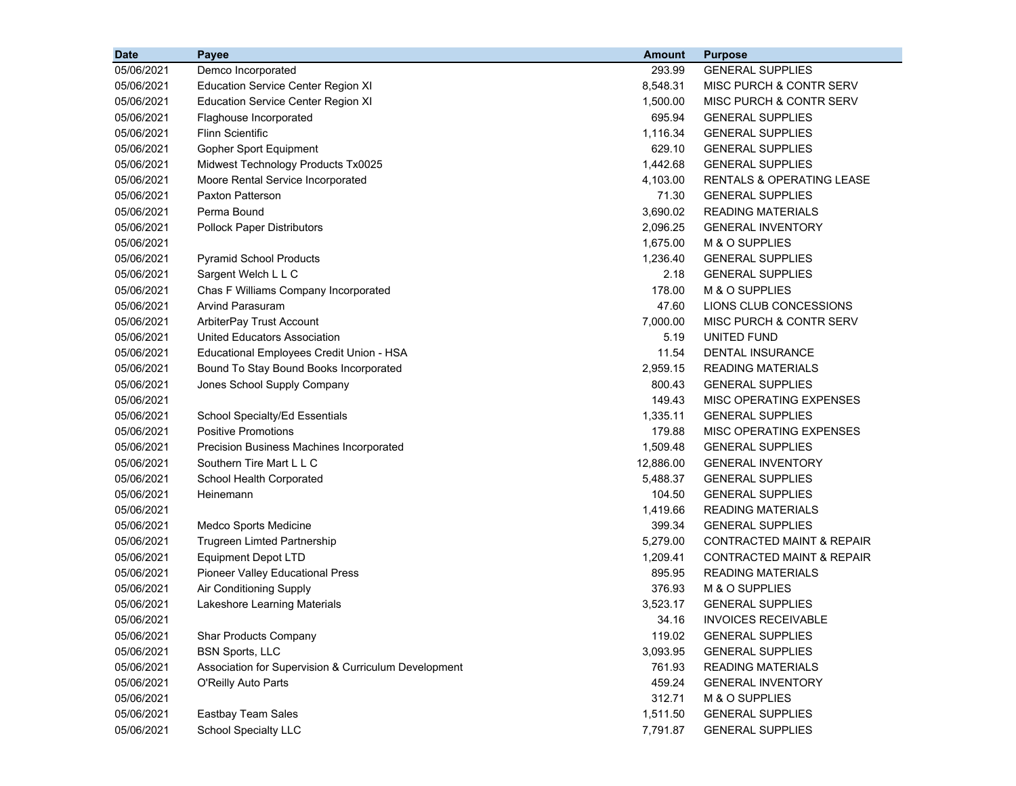| <b>Date</b> | Payee                                                | <b>Amount</b> | <b>Purpose</b>                       |
|-------------|------------------------------------------------------|---------------|--------------------------------------|
| 05/06/2021  | Demco Incorporated                                   | 293.99        | <b>GENERAL SUPPLIES</b>              |
| 05/06/2021  | <b>Education Service Center Region XI</b>            | 8,548.31      | <b>MISC PURCH &amp; CONTR SERV</b>   |
| 05/06/2021  | <b>Education Service Center Region XI</b>            | 1,500.00      | <b>MISC PURCH &amp; CONTR SERV</b>   |
| 05/06/2021  | Flaghouse Incorporated                               | 695.94        | <b>GENERAL SUPPLIES</b>              |
| 05/06/2021  | <b>Flinn Scientific</b>                              | 1,116.34      | <b>GENERAL SUPPLIES</b>              |
| 05/06/2021  | Gopher Sport Equipment                               | 629.10        | <b>GENERAL SUPPLIES</b>              |
| 05/06/2021  | Midwest Technology Products Tx0025                   | 1,442.68      | <b>GENERAL SUPPLIES</b>              |
| 05/06/2021  | Moore Rental Service Incorporated                    | 4,103.00      | RENTALS & OPERATING LEASE            |
| 05/06/2021  | Paxton Patterson                                     | 71.30         | <b>GENERAL SUPPLIES</b>              |
| 05/06/2021  | Perma Bound                                          | 3,690.02      | <b>READING MATERIALS</b>             |
| 05/06/2021  | <b>Pollock Paper Distributors</b>                    | 2,096.25      | <b>GENERAL INVENTORY</b>             |
| 05/06/2021  |                                                      | 1,675.00      | M & O SUPPLIES                       |
| 05/06/2021  | <b>Pyramid School Products</b>                       | 1,236.40      | <b>GENERAL SUPPLIES</b>              |
| 05/06/2021  | Sargent Welch L L C                                  | 2.18          | <b>GENERAL SUPPLIES</b>              |
| 05/06/2021  | Chas F Williams Company Incorporated                 | 178.00        | M & O SUPPLIES                       |
| 05/06/2021  | <b>Arvind Parasuram</b>                              | 47.60         | LIONS CLUB CONCESSIONS               |
| 05/06/2021  | ArbiterPay Trust Account                             | 7,000.00      | MISC PURCH & CONTR SERV              |
| 05/06/2021  | United Educators Association                         | 5.19          | <b>UNITED FUND</b>                   |
| 05/06/2021  | Educational Employees Credit Union - HSA             | 11.54         | <b>DENTAL INSURANCE</b>              |
| 05/06/2021  | Bound To Stay Bound Books Incorporated               | 2,959.15      | <b>READING MATERIALS</b>             |
| 05/06/2021  | Jones School Supply Company                          | 800.43        | <b>GENERAL SUPPLIES</b>              |
| 05/06/2021  |                                                      | 149.43        | MISC OPERATING EXPENSES              |
| 05/06/2021  | School Specialty/Ed Essentials                       | 1,335.11      | <b>GENERAL SUPPLIES</b>              |
| 05/06/2021  | <b>Positive Promotions</b>                           | 179.88        | MISC OPERATING EXPENSES              |
| 05/06/2021  | Precision Business Machines Incorporated             | 1,509.48      | <b>GENERAL SUPPLIES</b>              |
| 05/06/2021  | Southern Tire Mart L L C                             | 12,886.00     | <b>GENERAL INVENTORY</b>             |
| 05/06/2021  | School Health Corporated                             | 5,488.37      | <b>GENERAL SUPPLIES</b>              |
| 05/06/2021  | Heinemann                                            | 104.50        | <b>GENERAL SUPPLIES</b>              |
| 05/06/2021  |                                                      | 1,419.66      | <b>READING MATERIALS</b>             |
| 05/06/2021  | Medco Sports Medicine                                | 399.34        | <b>GENERAL SUPPLIES</b>              |
| 05/06/2021  | Trugreen Limted Partnership                          | 5,279.00      | <b>CONTRACTED MAINT &amp; REPAIR</b> |
| 05/06/2021  | <b>Equipment Depot LTD</b>                           | 1,209.41      | <b>CONTRACTED MAINT &amp; REPAIR</b> |
| 05/06/2021  | <b>Pioneer Valley Educational Press</b>              | 895.95        | <b>READING MATERIALS</b>             |
| 05/06/2021  | Air Conditioning Supply                              | 376.93        | M & O SUPPLIES                       |
| 05/06/2021  | Lakeshore Learning Materials                         | 3,523.17      | <b>GENERAL SUPPLIES</b>              |
| 05/06/2021  |                                                      | 34.16         | <b>INVOICES RECEIVABLE</b>           |
| 05/06/2021  | Shar Products Company                                | 119.02        | <b>GENERAL SUPPLIES</b>              |
| 05/06/2021  | <b>BSN Sports, LLC</b>                               | 3,093.95      | <b>GENERAL SUPPLIES</b>              |
| 05/06/2021  | Association for Supervision & Curriculum Development | 761.93        | <b>READING MATERIALS</b>             |
| 05/06/2021  | O'Reilly Auto Parts                                  | 459.24        | <b>GENERAL INVENTORY</b>             |
| 05/06/2021  |                                                      | 312.71        | M & O SUPPLIES                       |
| 05/06/2021  | Eastbay Team Sales                                   | 1,511.50      | <b>GENERAL SUPPLIES</b>              |
| 05/06/2021  | <b>School Specialty LLC</b>                          | 7,791.87      | <b>GENERAL SUPPLIES</b>              |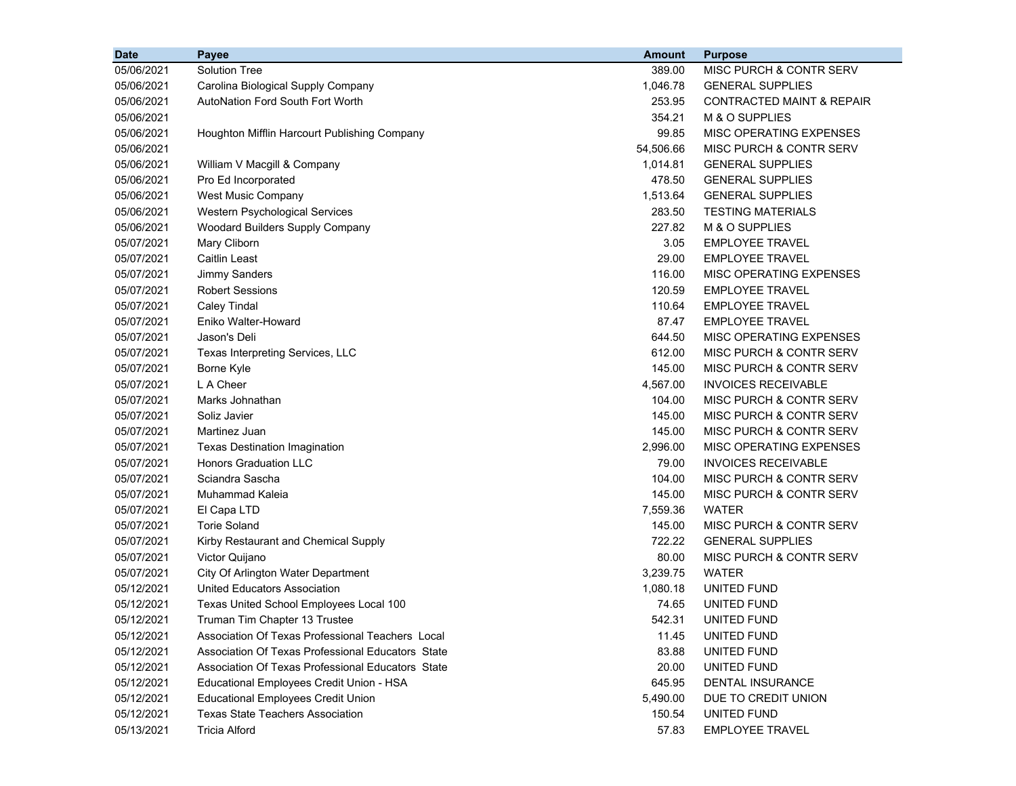| <b>Date</b> | <b>Payee</b>                                      | <b>Amount</b> | <b>Purpose</b>                       |
|-------------|---------------------------------------------------|---------------|--------------------------------------|
| 05/06/2021  | <b>Solution Tree</b>                              | 389.00        | MISC PURCH & CONTR SERV              |
| 05/06/2021  | Carolina Biological Supply Company                | 1,046.78      | <b>GENERAL SUPPLIES</b>              |
| 05/06/2021  | <b>AutoNation Ford South Fort Worth</b>           | 253.95        | <b>CONTRACTED MAINT &amp; REPAIR</b> |
| 05/06/2021  |                                                   | 354.21        | M & O SUPPLIES                       |
| 05/06/2021  | Houghton Mifflin Harcourt Publishing Company      | 99.85         | MISC OPERATING EXPENSES              |
| 05/06/2021  |                                                   | 54,506.66     | MISC PURCH & CONTR SERV              |
| 05/06/2021  | William V Macgill & Company                       | 1,014.81      | <b>GENERAL SUPPLIES</b>              |
| 05/06/2021  | Pro Ed Incorporated                               | 478.50        | <b>GENERAL SUPPLIES</b>              |
| 05/06/2021  | <b>West Music Company</b>                         | 1,513.64      | <b>GENERAL SUPPLIES</b>              |
| 05/06/2021  | Western Psychological Services                    | 283.50        | <b>TESTING MATERIALS</b>             |
| 05/06/2021  | Woodard Builders Supply Company                   | 227.82        | M & O SUPPLIES                       |
| 05/07/2021  | Mary Cliborn                                      | 3.05          | <b>EMPLOYEE TRAVEL</b>               |
| 05/07/2021  | <b>Caitlin Least</b>                              | 29.00         | <b>EMPLOYEE TRAVEL</b>               |
| 05/07/2021  | <b>Jimmy Sanders</b>                              | 116.00        | MISC OPERATING EXPENSES              |
| 05/07/2021  | <b>Robert Sessions</b>                            | 120.59        | <b>EMPLOYEE TRAVEL</b>               |
| 05/07/2021  | <b>Caley Tindal</b>                               | 110.64        | <b>EMPLOYEE TRAVEL</b>               |
| 05/07/2021  | Eniko Walter-Howard                               | 87.47         | EMPLOYEE TRAVEL                      |
| 05/07/2021  | Jason's Deli                                      | 644.50        | MISC OPERATING EXPENSES              |
| 05/07/2021  | Texas Interpreting Services, LLC                  | 612.00        | MISC PURCH & CONTR SERV              |
| 05/07/2021  | Borne Kyle                                        | 145.00        | MISC PURCH & CONTR SERV              |
| 05/07/2021  | L A Cheer                                         | 4,567.00      | <b>INVOICES RECEIVABLE</b>           |
| 05/07/2021  | Marks Johnathan                                   | 104.00        | MISC PURCH & CONTR SERV              |
| 05/07/2021  | Soliz Javier                                      | 145.00        | MISC PURCH & CONTR SERV              |
| 05/07/2021  | Martinez Juan                                     | 145.00        | MISC PURCH & CONTR SERV              |
| 05/07/2021  | <b>Texas Destination Imagination</b>              | 2,996.00      | MISC OPERATING EXPENSES              |
| 05/07/2021  | <b>Honors Graduation LLC</b>                      | 79.00         | <b>INVOICES RECEIVABLE</b>           |
| 05/07/2021  | Sciandra Sascha                                   | 104.00        | MISC PURCH & CONTR SERV              |
| 05/07/2021  | Muhammad Kaleia                                   | 145.00        | MISC PURCH & CONTR SERV              |
| 05/07/2021  | El Capa LTD                                       | 7,559.36      | WATER                                |
| 05/07/2021  | <b>Torie Soland</b>                               | 145.00        | MISC PURCH & CONTR SERV              |
| 05/07/2021  | Kirby Restaurant and Chemical Supply              | 722.22        | <b>GENERAL SUPPLIES</b>              |
| 05/07/2021  | Victor Quijano                                    | 80.00         | <b>MISC PURCH &amp; CONTR SERV</b>   |
| 05/07/2021  | City Of Arlington Water Department                | 3,239.75      | <b>WATER</b>                         |
| 05/12/2021  | <b>United Educators Association</b>               | 1,080.18      | UNITED FUND                          |
| 05/12/2021  | Texas United School Employees Local 100           | 74.65         | UNITED FUND                          |
| 05/12/2021  | Truman Tim Chapter 13 Trustee                     | 542.31        | UNITED FUND                          |
| 05/12/2021  | Association Of Texas Professional Teachers Local  | 11.45         | UNITED FUND                          |
| 05/12/2021  | Association Of Texas Professional Educators State | 83.88         | UNITED FUND                          |
| 05/12/2021  | Association Of Texas Professional Educators State | 20.00         | UNITED FUND                          |
| 05/12/2021  | Educational Employees Credit Union - HSA          | 645.95        | DENTAL INSURANCE                     |
| 05/12/2021  | <b>Educational Employees Credit Union</b>         | 5,490.00      | DUE TO CREDIT UNION                  |
| 05/12/2021  | <b>Texas State Teachers Association</b>           | 150.54        | UNITED FUND                          |
| 05/13/2021  | <b>Tricia Alford</b>                              | 57.83         | <b>EMPLOYEE TRAVEL</b>               |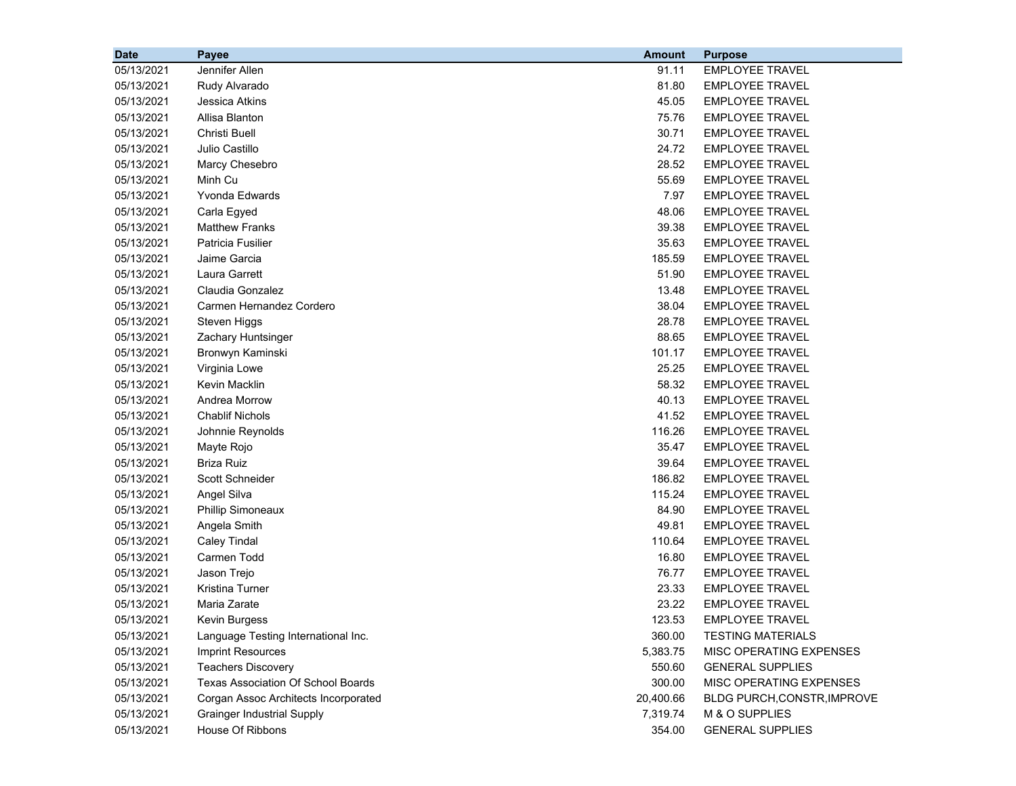| <b>Date</b> | Payee                                     | <b>Amount</b> | <b>Purpose</b>              |
|-------------|-------------------------------------------|---------------|-----------------------------|
| 05/13/2021  | Jennifer Allen                            | 91.11         | <b>EMPLOYEE TRAVEL</b>      |
| 05/13/2021  | Rudy Alvarado                             | 81.80         | <b>EMPLOYEE TRAVEL</b>      |
| 05/13/2021  | Jessica Atkins                            | 45.05         | <b>EMPLOYEE TRAVEL</b>      |
| 05/13/2021  | Allisa Blanton                            | 75.76         | <b>EMPLOYEE TRAVEL</b>      |
| 05/13/2021  | <b>Christi Buell</b>                      | 30.71         | <b>EMPLOYEE TRAVEL</b>      |
| 05/13/2021  | Julio Castillo                            | 24.72         | <b>EMPLOYEE TRAVEL</b>      |
| 05/13/2021  | Marcy Chesebro                            | 28.52         | <b>EMPLOYEE TRAVEL</b>      |
| 05/13/2021  | Minh Cu                                   | 55.69         | <b>EMPLOYEE TRAVEL</b>      |
| 05/13/2021  | Yvonda Edwards                            | 7.97          | <b>EMPLOYEE TRAVEL</b>      |
| 05/13/2021  | Carla Egyed                               | 48.06         | <b>EMPLOYEE TRAVEL</b>      |
| 05/13/2021  | <b>Matthew Franks</b>                     | 39.38         | <b>EMPLOYEE TRAVEL</b>      |
| 05/13/2021  | Patricia Fusilier                         | 35.63         | <b>EMPLOYEE TRAVEL</b>      |
| 05/13/2021  | Jaime Garcia                              | 185.59        | <b>EMPLOYEE TRAVEL</b>      |
| 05/13/2021  | Laura Garrett                             | 51.90         | <b>EMPLOYEE TRAVEL</b>      |
| 05/13/2021  | Claudia Gonzalez                          | 13.48         | <b>EMPLOYEE TRAVEL</b>      |
| 05/13/2021  | Carmen Hernandez Cordero                  | 38.04         | <b>EMPLOYEE TRAVEL</b>      |
| 05/13/2021  | Steven Higgs                              | 28.78         | <b>EMPLOYEE TRAVEL</b>      |
| 05/13/2021  | Zachary Huntsinger                        | 88.65         | <b>EMPLOYEE TRAVEL</b>      |
| 05/13/2021  | Bronwyn Kaminski                          | 101.17        | <b>EMPLOYEE TRAVEL</b>      |
| 05/13/2021  | Virginia Lowe                             | 25.25         | <b>EMPLOYEE TRAVEL</b>      |
| 05/13/2021  | Kevin Macklin                             | 58.32         | <b>EMPLOYEE TRAVEL</b>      |
| 05/13/2021  | Andrea Morrow                             | 40.13         | <b>EMPLOYEE TRAVEL</b>      |
| 05/13/2021  | <b>Chablif Nichols</b>                    | 41.52         | <b>EMPLOYEE TRAVEL</b>      |
| 05/13/2021  | Johnnie Reynolds                          | 116.26        | <b>EMPLOYEE TRAVEL</b>      |
| 05/13/2021  | Mayte Rojo                                | 35.47         | <b>EMPLOYEE TRAVEL</b>      |
| 05/13/2021  | <b>Briza Ruiz</b>                         | 39.64         | <b>EMPLOYEE TRAVEL</b>      |
| 05/13/2021  | Scott Schneider                           | 186.82        | <b>EMPLOYEE TRAVEL</b>      |
| 05/13/2021  | Angel Silva                               | 115.24        | EMPLOYEE TRAVEL             |
| 05/13/2021  | <b>Phillip Simoneaux</b>                  | 84.90         | <b>EMPLOYEE TRAVEL</b>      |
| 05/13/2021  | Angela Smith                              | 49.81         | <b>EMPLOYEE TRAVEL</b>      |
| 05/13/2021  | <b>Caley Tindal</b>                       | 110.64        | <b>EMPLOYEE TRAVEL</b>      |
| 05/13/2021  | Carmen Todd                               | 16.80         | <b>EMPLOYEE TRAVEL</b>      |
| 05/13/2021  | Jason Trejo                               | 76.77         | <b>EMPLOYEE TRAVEL</b>      |
| 05/13/2021  | Kristina Turner                           | 23.33         | <b>EMPLOYEE TRAVEL</b>      |
| 05/13/2021  | Maria Zarate                              | 23.22         | <b>EMPLOYEE TRAVEL</b>      |
| 05/13/2021  | Kevin Burgess                             | 123.53        | <b>EMPLOYEE TRAVEL</b>      |
| 05/13/2021  | Language Testing International Inc.       | 360.00        | <b>TESTING MATERIALS</b>    |
| 05/13/2021  | Imprint Resources                         | 5,383.75      | MISC OPERATING EXPENSES     |
| 05/13/2021  | <b>Teachers Discovery</b>                 | 550.60        | <b>GENERAL SUPPLIES</b>     |
| 05/13/2021  | <b>Texas Association Of School Boards</b> | 300.00        | MISC OPERATING EXPENSES     |
| 05/13/2021  | Corgan Assoc Architects Incorporated      | 20,400.66     | BLDG PURCH, CONSTR, IMPROVE |
| 05/13/2021  | <b>Grainger Industrial Supply</b>         | 7,319.74      | M & O SUPPLIES              |
| 05/13/2021  | House Of Ribbons                          | 354.00        | <b>GENERAL SUPPLIES</b>     |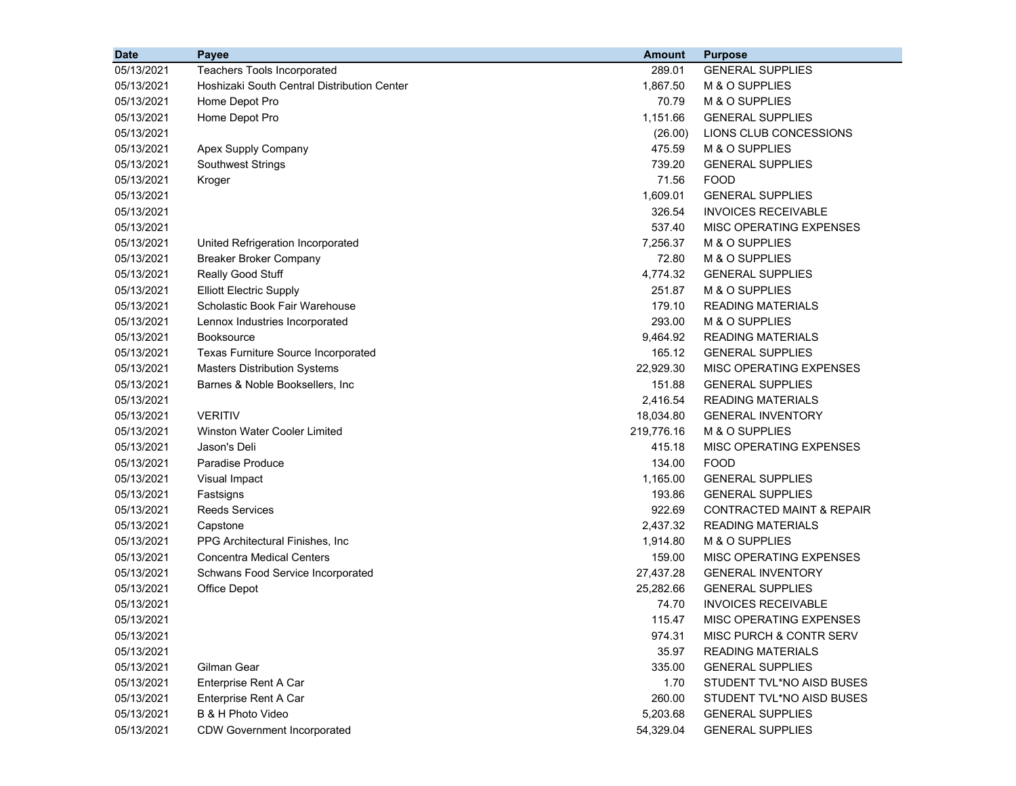| <b>Date</b> | Payee                                       | <b>Amount</b> | <b>Purpose</b>                       |
|-------------|---------------------------------------------|---------------|--------------------------------------|
| 05/13/2021  | Teachers Tools Incorporated                 | 289.01        | <b>GENERAL SUPPLIES</b>              |
| 05/13/2021  | Hoshizaki South Central Distribution Center | 1,867.50      | M & O SUPPLIES                       |
| 05/13/2021  | Home Depot Pro                              | 70.79         | M & O SUPPLIES                       |
| 05/13/2021  | Home Depot Pro                              | 1,151.66      | <b>GENERAL SUPPLIES</b>              |
| 05/13/2021  |                                             | (26.00)       | LIONS CLUB CONCESSIONS               |
| 05/13/2021  | Apex Supply Company                         | 475.59        | M & O SUPPLIES                       |
| 05/13/2021  | <b>Southwest Strings</b>                    | 739.20        | <b>GENERAL SUPPLIES</b>              |
| 05/13/2021  | Kroger                                      | 71.56         | <b>FOOD</b>                          |
| 05/13/2021  |                                             | 1,609.01      | <b>GENERAL SUPPLIES</b>              |
| 05/13/2021  |                                             | 326.54        | <b>INVOICES RECEIVABLE</b>           |
| 05/13/2021  |                                             | 537.40        | MISC OPERATING EXPENSES              |
| 05/13/2021  | United Refrigeration Incorporated           | 7,256.37      | M & O SUPPLIES                       |
| 05/13/2021  | <b>Breaker Broker Company</b>               | 72.80         | M & O SUPPLIES                       |
| 05/13/2021  | Really Good Stuff                           | 4,774.32      | <b>GENERAL SUPPLIES</b>              |
| 05/13/2021  | <b>Elliott Electric Supply</b>              | 251.87        | M & O SUPPLIES                       |
| 05/13/2021  | Scholastic Book Fair Warehouse              | 179.10        | <b>READING MATERIALS</b>             |
| 05/13/2021  | Lennox Industries Incorporated              | 293.00        | M & O SUPPLIES                       |
| 05/13/2021  | <b>Booksource</b>                           | 9,464.92      | <b>READING MATERIALS</b>             |
| 05/13/2021  | Texas Furniture Source Incorporated         | 165.12        | <b>GENERAL SUPPLIES</b>              |
| 05/13/2021  | <b>Masters Distribution Systems</b>         | 22,929.30     | MISC OPERATING EXPENSES              |
| 05/13/2021  | Barnes & Noble Booksellers, Inc.            | 151.88        | <b>GENERAL SUPPLIES</b>              |
| 05/13/2021  |                                             | 2,416.54      | <b>READING MATERIALS</b>             |
| 05/13/2021  | <b>VERITIV</b>                              | 18,034.80     | <b>GENERAL INVENTORY</b>             |
| 05/13/2021  | <b>Winston Water Cooler Limited</b>         | 219,776.16    | M & O SUPPLIES                       |
| 05/13/2021  | Jason's Deli                                | 415.18        | MISC OPERATING EXPENSES              |
| 05/13/2021  | <b>Paradise Produce</b>                     | 134.00        | <b>FOOD</b>                          |
| 05/13/2021  | Visual Impact                               | 1,165.00      | <b>GENERAL SUPPLIES</b>              |
| 05/13/2021  | Fastsigns                                   | 193.86        | <b>GENERAL SUPPLIES</b>              |
| 05/13/2021  | <b>Reeds Services</b>                       | 922.69        | <b>CONTRACTED MAINT &amp; REPAIR</b> |
| 05/13/2021  | Capstone                                    | 2,437.32      | <b>READING MATERIALS</b>             |
| 05/13/2021  | PPG Architectural Finishes, Inc.            | 1,914.80      | M & O SUPPLIES                       |
| 05/13/2021  | <b>Concentra Medical Centers</b>            | 159.00        | MISC OPERATING EXPENSES              |
| 05/13/2021  | Schwans Food Service Incorporated           | 27,437.28     | <b>GENERAL INVENTORY</b>             |
| 05/13/2021  | Office Depot                                | 25,282.66     | <b>GENERAL SUPPLIES</b>              |
| 05/13/2021  |                                             | 74.70         | <b>INVOICES RECEIVABLE</b>           |
| 05/13/2021  |                                             | 115.47        | MISC OPERATING EXPENSES              |
| 05/13/2021  |                                             | 974.31        | MISC PURCH & CONTR SERV              |
| 05/13/2021  |                                             | 35.97         | <b>READING MATERIALS</b>             |
| 05/13/2021  | Gilman Gear                                 | 335.00        | <b>GENERAL SUPPLIES</b>              |
| 05/13/2021  | Enterprise Rent A Car                       | 1.70          | STUDENT TVL*NO AISD BUSES            |
| 05/13/2021  | Enterprise Rent A Car                       | 260.00        | STUDENT TVL*NO AISD BUSES            |
| 05/13/2021  | B & H Photo Video                           | 5,203.68      | <b>GENERAL SUPPLIES</b>              |
| 05/13/2021  | <b>CDW Government Incorporated</b>          | 54,329.04     | <b>GENERAL SUPPLIES</b>              |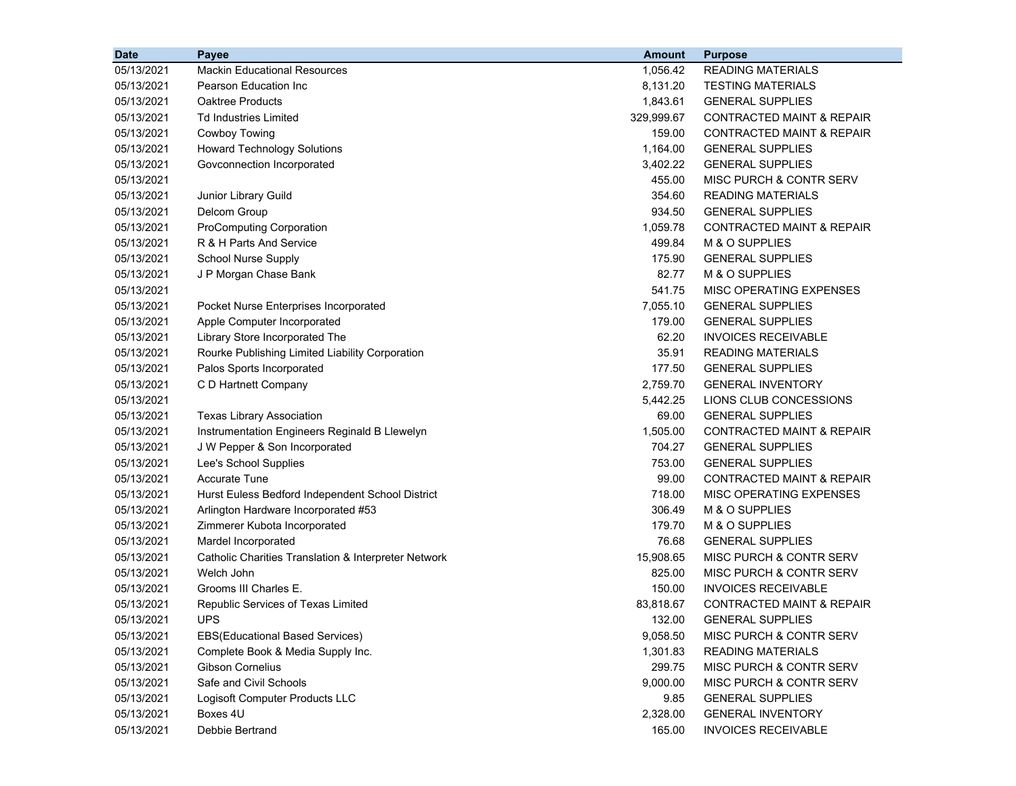| <b>READING MATERIALS</b><br>05/13/2021<br><b>Mackin Educational Resources</b><br>1,056.42<br>05/13/2021<br>Pearson Education Inc.<br>8,131.20<br><b>TESTING MATERIALS</b><br>1,843.61<br>05/13/2021<br><b>Oaktree Products</b><br><b>GENERAL SUPPLIES</b><br>05/13/2021<br><b>Td Industries Limited</b><br>329,999.67<br>CONTRACTED MAINT & REPAIR<br><b>Cowboy Towing</b><br>159.00<br><b>CONTRACTED MAINT &amp; REPAIR</b><br>05/13/2021<br><b>Howard Technology Solutions</b><br>1,164.00<br><b>GENERAL SUPPLIES</b><br>05/13/2021<br>3,402.22<br><b>GENERAL SUPPLIES</b><br>05/13/2021<br>Govconnection Incorporated<br>455.00<br>MISC PURCH & CONTR SERV<br>05/13/2021<br>354.60<br><b>READING MATERIALS</b><br>05/13/2021<br>Junior Library Guild<br>Delcom Group<br>934.50<br><b>GENERAL SUPPLIES</b><br>05/13/2021<br><b>ProComputing Corporation</b><br>1,059.78<br><b>CONTRACTED MAINT &amp; REPAIR</b><br>05/13/2021<br>R & H Parts And Service<br>499.84<br>M & O SUPPLIES<br>05/13/2021<br><b>School Nurse Supply</b><br>175.90<br>05/13/2021<br><b>GENERAL SUPPLIES</b><br>82.77<br>M & O SUPPLIES<br>05/13/2021<br>J P Morgan Chase Bank<br>541.75<br>MISC OPERATING EXPENSES<br>05/13/2021<br>7,055.10<br><b>GENERAL SUPPLIES</b><br>05/13/2021<br>Pocket Nurse Enterprises Incorporated<br>179.00<br><b>GENERAL SUPPLIES</b><br>05/13/2021<br>Apple Computer Incorporated<br>62.20<br><b>INVOICES RECEIVABLE</b><br>05/13/2021<br>Library Store Incorporated The<br>Rourke Publishing Limited Liability Corporation<br>35.91<br><b>READING MATERIALS</b><br>05/13/2021<br>177.50<br>05/13/2021<br>Palos Sports Incorporated<br><b>GENERAL SUPPLIES</b><br>C D Hartnett Company<br>2,759.70<br>05/13/2021<br><b>GENERAL INVENTORY</b> |
|-------------------------------------------------------------------------------------------------------------------------------------------------------------------------------------------------------------------------------------------------------------------------------------------------------------------------------------------------------------------------------------------------------------------------------------------------------------------------------------------------------------------------------------------------------------------------------------------------------------------------------------------------------------------------------------------------------------------------------------------------------------------------------------------------------------------------------------------------------------------------------------------------------------------------------------------------------------------------------------------------------------------------------------------------------------------------------------------------------------------------------------------------------------------------------------------------------------------------------------------------------------------------------------------------------------------------------------------------------------------------------------------------------------------------------------------------------------------------------------------------------------------------------------------------------------------------------------------------------------------------------------------------------------------------------------------------------------------------------------------------------|
|                                                                                                                                                                                                                                                                                                                                                                                                                                                                                                                                                                                                                                                                                                                                                                                                                                                                                                                                                                                                                                                                                                                                                                                                                                                                                                                                                                                                                                                                                                                                                                                                                                                                                                                                                       |
|                                                                                                                                                                                                                                                                                                                                                                                                                                                                                                                                                                                                                                                                                                                                                                                                                                                                                                                                                                                                                                                                                                                                                                                                                                                                                                                                                                                                                                                                                                                                                                                                                                                                                                                                                       |
|                                                                                                                                                                                                                                                                                                                                                                                                                                                                                                                                                                                                                                                                                                                                                                                                                                                                                                                                                                                                                                                                                                                                                                                                                                                                                                                                                                                                                                                                                                                                                                                                                                                                                                                                                       |
|                                                                                                                                                                                                                                                                                                                                                                                                                                                                                                                                                                                                                                                                                                                                                                                                                                                                                                                                                                                                                                                                                                                                                                                                                                                                                                                                                                                                                                                                                                                                                                                                                                                                                                                                                       |
|                                                                                                                                                                                                                                                                                                                                                                                                                                                                                                                                                                                                                                                                                                                                                                                                                                                                                                                                                                                                                                                                                                                                                                                                                                                                                                                                                                                                                                                                                                                                                                                                                                                                                                                                                       |
|                                                                                                                                                                                                                                                                                                                                                                                                                                                                                                                                                                                                                                                                                                                                                                                                                                                                                                                                                                                                                                                                                                                                                                                                                                                                                                                                                                                                                                                                                                                                                                                                                                                                                                                                                       |
|                                                                                                                                                                                                                                                                                                                                                                                                                                                                                                                                                                                                                                                                                                                                                                                                                                                                                                                                                                                                                                                                                                                                                                                                                                                                                                                                                                                                                                                                                                                                                                                                                                                                                                                                                       |
|                                                                                                                                                                                                                                                                                                                                                                                                                                                                                                                                                                                                                                                                                                                                                                                                                                                                                                                                                                                                                                                                                                                                                                                                                                                                                                                                                                                                                                                                                                                                                                                                                                                                                                                                                       |
|                                                                                                                                                                                                                                                                                                                                                                                                                                                                                                                                                                                                                                                                                                                                                                                                                                                                                                                                                                                                                                                                                                                                                                                                                                                                                                                                                                                                                                                                                                                                                                                                                                                                                                                                                       |
|                                                                                                                                                                                                                                                                                                                                                                                                                                                                                                                                                                                                                                                                                                                                                                                                                                                                                                                                                                                                                                                                                                                                                                                                                                                                                                                                                                                                                                                                                                                                                                                                                                                                                                                                                       |
|                                                                                                                                                                                                                                                                                                                                                                                                                                                                                                                                                                                                                                                                                                                                                                                                                                                                                                                                                                                                                                                                                                                                                                                                                                                                                                                                                                                                                                                                                                                                                                                                                                                                                                                                                       |
|                                                                                                                                                                                                                                                                                                                                                                                                                                                                                                                                                                                                                                                                                                                                                                                                                                                                                                                                                                                                                                                                                                                                                                                                                                                                                                                                                                                                                                                                                                                                                                                                                                                                                                                                                       |
|                                                                                                                                                                                                                                                                                                                                                                                                                                                                                                                                                                                                                                                                                                                                                                                                                                                                                                                                                                                                                                                                                                                                                                                                                                                                                                                                                                                                                                                                                                                                                                                                                                                                                                                                                       |
|                                                                                                                                                                                                                                                                                                                                                                                                                                                                                                                                                                                                                                                                                                                                                                                                                                                                                                                                                                                                                                                                                                                                                                                                                                                                                                                                                                                                                                                                                                                                                                                                                                                                                                                                                       |
|                                                                                                                                                                                                                                                                                                                                                                                                                                                                                                                                                                                                                                                                                                                                                                                                                                                                                                                                                                                                                                                                                                                                                                                                                                                                                                                                                                                                                                                                                                                                                                                                                                                                                                                                                       |
|                                                                                                                                                                                                                                                                                                                                                                                                                                                                                                                                                                                                                                                                                                                                                                                                                                                                                                                                                                                                                                                                                                                                                                                                                                                                                                                                                                                                                                                                                                                                                                                                                                                                                                                                                       |
|                                                                                                                                                                                                                                                                                                                                                                                                                                                                                                                                                                                                                                                                                                                                                                                                                                                                                                                                                                                                                                                                                                                                                                                                                                                                                                                                                                                                                                                                                                                                                                                                                                                                                                                                                       |
|                                                                                                                                                                                                                                                                                                                                                                                                                                                                                                                                                                                                                                                                                                                                                                                                                                                                                                                                                                                                                                                                                                                                                                                                                                                                                                                                                                                                                                                                                                                                                                                                                                                                                                                                                       |
|                                                                                                                                                                                                                                                                                                                                                                                                                                                                                                                                                                                                                                                                                                                                                                                                                                                                                                                                                                                                                                                                                                                                                                                                                                                                                                                                                                                                                                                                                                                                                                                                                                                                                                                                                       |
|                                                                                                                                                                                                                                                                                                                                                                                                                                                                                                                                                                                                                                                                                                                                                                                                                                                                                                                                                                                                                                                                                                                                                                                                                                                                                                                                                                                                                                                                                                                                                                                                                                                                                                                                                       |
|                                                                                                                                                                                                                                                                                                                                                                                                                                                                                                                                                                                                                                                                                                                                                                                                                                                                                                                                                                                                                                                                                                                                                                                                                                                                                                                                                                                                                                                                                                                                                                                                                                                                                                                                                       |
| 5,442.25<br>LIONS CLUB CONCESSIONS<br>05/13/2021                                                                                                                                                                                                                                                                                                                                                                                                                                                                                                                                                                                                                                                                                                                                                                                                                                                                                                                                                                                                                                                                                                                                                                                                                                                                                                                                                                                                                                                                                                                                                                                                                                                                                                      |
| 05/13/2021<br>69.00<br><b>GENERAL SUPPLIES</b><br><b>Texas Library Association</b>                                                                                                                                                                                                                                                                                                                                                                                                                                                                                                                                                                                                                                                                                                                                                                                                                                                                                                                                                                                                                                                                                                                                                                                                                                                                                                                                                                                                                                                                                                                                                                                                                                                                    |
| 1,505.00<br><b>CONTRACTED MAINT &amp; REPAIR</b><br>05/13/2021<br>Instrumentation Engineers Reginald B Llewelyn                                                                                                                                                                                                                                                                                                                                                                                                                                                                                                                                                                                                                                                                                                                                                                                                                                                                                                                                                                                                                                                                                                                                                                                                                                                                                                                                                                                                                                                                                                                                                                                                                                       |
| 704.27<br>05/13/2021<br>J W Pepper & Son Incorporated<br><b>GENERAL SUPPLIES</b>                                                                                                                                                                                                                                                                                                                                                                                                                                                                                                                                                                                                                                                                                                                                                                                                                                                                                                                                                                                                                                                                                                                                                                                                                                                                                                                                                                                                                                                                                                                                                                                                                                                                      |
| 753.00<br>05/13/2021<br>Lee's School Supplies<br><b>GENERAL SUPPLIES</b>                                                                                                                                                                                                                                                                                                                                                                                                                                                                                                                                                                                                                                                                                                                                                                                                                                                                                                                                                                                                                                                                                                                                                                                                                                                                                                                                                                                                                                                                                                                                                                                                                                                                              |
| <b>Accurate Tune</b><br>99.00<br>05/13/2021<br>CONTRACTED MAINT & REPAIR                                                                                                                                                                                                                                                                                                                                                                                                                                                                                                                                                                                                                                                                                                                                                                                                                                                                                                                                                                                                                                                                                                                                                                                                                                                                                                                                                                                                                                                                                                                                                                                                                                                                              |
| 718.00<br>05/13/2021<br>MISC OPERATING EXPENSES<br>Hurst Euless Bedford Independent School District                                                                                                                                                                                                                                                                                                                                                                                                                                                                                                                                                                                                                                                                                                                                                                                                                                                                                                                                                                                                                                                                                                                                                                                                                                                                                                                                                                                                                                                                                                                                                                                                                                                   |
| 05/13/2021<br>306.49<br>Arlington Hardware Incorporated #53<br>M & O SUPPLIES                                                                                                                                                                                                                                                                                                                                                                                                                                                                                                                                                                                                                                                                                                                                                                                                                                                                                                                                                                                                                                                                                                                                                                                                                                                                                                                                                                                                                                                                                                                                                                                                                                                                         |
| 179.70<br>05/13/2021<br>Zimmerer Kubota Incorporated<br>M & O SUPPLIES                                                                                                                                                                                                                                                                                                                                                                                                                                                                                                                                                                                                                                                                                                                                                                                                                                                                                                                                                                                                                                                                                                                                                                                                                                                                                                                                                                                                                                                                                                                                                                                                                                                                                |
| 76.68<br>05/13/2021<br>Mardel Incorporated<br><b>GENERAL SUPPLIES</b>                                                                                                                                                                                                                                                                                                                                                                                                                                                                                                                                                                                                                                                                                                                                                                                                                                                                                                                                                                                                                                                                                                                                                                                                                                                                                                                                                                                                                                                                                                                                                                                                                                                                                 |
| 15,908.65<br>05/13/2021<br>Catholic Charities Translation & Interpreter Network<br>MISC PURCH & CONTR SERV                                                                                                                                                                                                                                                                                                                                                                                                                                                                                                                                                                                                                                                                                                                                                                                                                                                                                                                                                                                                                                                                                                                                                                                                                                                                                                                                                                                                                                                                                                                                                                                                                                            |
| Welch John<br>825.00<br>MISC PURCH & CONTR SERV<br>05/13/2021                                                                                                                                                                                                                                                                                                                                                                                                                                                                                                                                                                                                                                                                                                                                                                                                                                                                                                                                                                                                                                                                                                                                                                                                                                                                                                                                                                                                                                                                                                                                                                                                                                                                                         |
| Grooms III Charles E.<br>150.00<br><b>INVOICES RECEIVABLE</b><br>05/13/2021                                                                                                                                                                                                                                                                                                                                                                                                                                                                                                                                                                                                                                                                                                                                                                                                                                                                                                                                                                                                                                                                                                                                                                                                                                                                                                                                                                                                                                                                                                                                                                                                                                                                           |
| 05/13/2021<br>83,818.67<br><b>CONTRACTED MAINT &amp; REPAIR</b><br>Republic Services of Texas Limited                                                                                                                                                                                                                                                                                                                                                                                                                                                                                                                                                                                                                                                                                                                                                                                                                                                                                                                                                                                                                                                                                                                                                                                                                                                                                                                                                                                                                                                                                                                                                                                                                                                 |
| <b>UPS</b><br>132.00<br><b>GENERAL SUPPLIES</b><br>05/13/2021                                                                                                                                                                                                                                                                                                                                                                                                                                                                                                                                                                                                                                                                                                                                                                                                                                                                                                                                                                                                                                                                                                                                                                                                                                                                                                                                                                                                                                                                                                                                                                                                                                                                                         |
| 05/13/2021<br>EBS(Educational Based Services)<br>9,058.50<br>MISC PURCH & CONTR SERV                                                                                                                                                                                                                                                                                                                                                                                                                                                                                                                                                                                                                                                                                                                                                                                                                                                                                                                                                                                                                                                                                                                                                                                                                                                                                                                                                                                                                                                                                                                                                                                                                                                                  |
| 05/13/2021<br>Complete Book & Media Supply Inc.<br>1,301.83<br><b>READING MATERIALS</b>                                                                                                                                                                                                                                                                                                                                                                                                                                                                                                                                                                                                                                                                                                                                                                                                                                                                                                                                                                                                                                                                                                                                                                                                                                                                                                                                                                                                                                                                                                                                                                                                                                                               |
| Gibson Cornelius<br>05/13/2021<br>299.75<br>MISC PURCH & CONTR SERV                                                                                                                                                                                                                                                                                                                                                                                                                                                                                                                                                                                                                                                                                                                                                                                                                                                                                                                                                                                                                                                                                                                                                                                                                                                                                                                                                                                                                                                                                                                                                                                                                                                                                   |
| Safe and Civil Schools<br>9,000.00<br>05/13/2021<br>MISC PURCH & CONTR SERV                                                                                                                                                                                                                                                                                                                                                                                                                                                                                                                                                                                                                                                                                                                                                                                                                                                                                                                                                                                                                                                                                                                                                                                                                                                                                                                                                                                                                                                                                                                                                                                                                                                                           |
| 05/13/2021<br>Logisoft Computer Products LLC<br><b>GENERAL SUPPLIES</b><br>9.85                                                                                                                                                                                                                                                                                                                                                                                                                                                                                                                                                                                                                                                                                                                                                                                                                                                                                                                                                                                                                                                                                                                                                                                                                                                                                                                                                                                                                                                                                                                                                                                                                                                                       |
| 05/13/2021<br>Boxes 4U<br>2,328.00<br><b>GENERAL INVENTORY</b>                                                                                                                                                                                                                                                                                                                                                                                                                                                                                                                                                                                                                                                                                                                                                                                                                                                                                                                                                                                                                                                                                                                                                                                                                                                                                                                                                                                                                                                                                                                                                                                                                                                                                        |
| 05/13/2021<br>Debbie Bertrand<br>165.00<br><b>INVOICES RECEIVABLE</b>                                                                                                                                                                                                                                                                                                                                                                                                                                                                                                                                                                                                                                                                                                                                                                                                                                                                                                                                                                                                                                                                                                                                                                                                                                                                                                                                                                                                                                                                                                                                                                                                                                                                                 |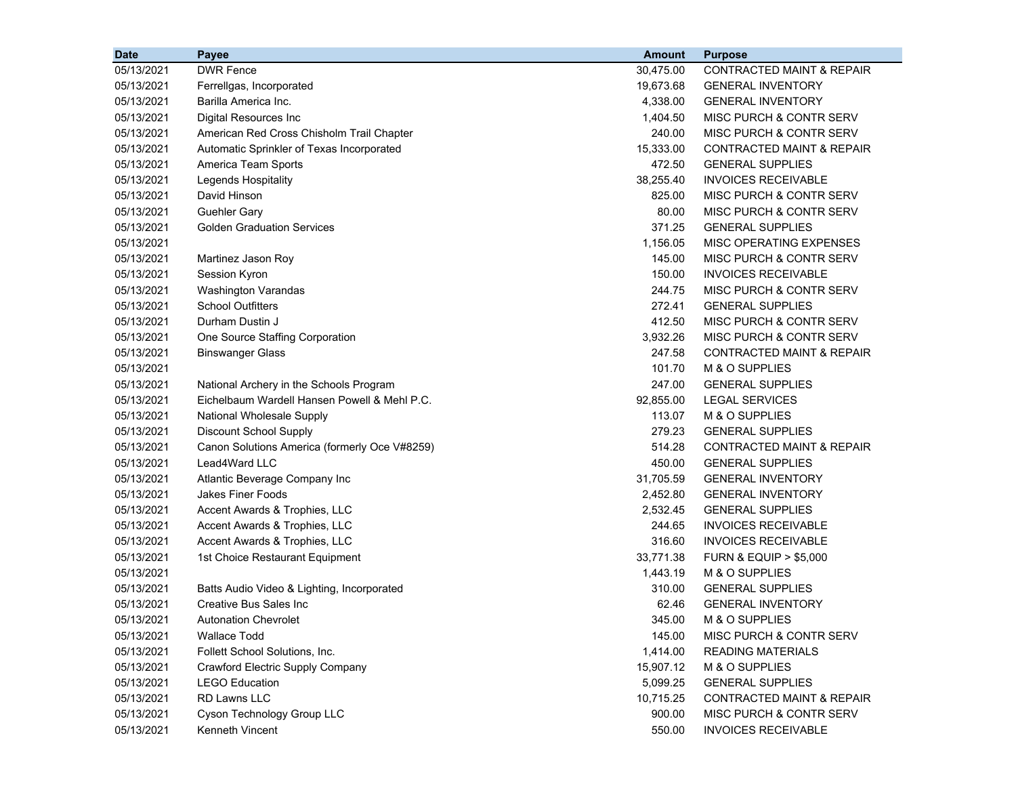| <b>Date</b> | Payee                                         | <b>Amount</b> | <b>Purpose</b>                       |
|-------------|-----------------------------------------------|---------------|--------------------------------------|
| 05/13/2021  | <b>DWR Fence</b>                              | 30,475.00     | <b>CONTRACTED MAINT &amp; REPAIR</b> |
| 05/13/2021  | Ferrellgas, Incorporated                      | 19,673.68     | <b>GENERAL INVENTORY</b>             |
| 05/13/2021  | Barilla America Inc.                          | 4,338.00      | <b>GENERAL INVENTORY</b>             |
| 05/13/2021  | Digital Resources Inc                         | 1,404.50      | MISC PURCH & CONTR SERV              |
| 05/13/2021  | American Red Cross Chisholm Trail Chapter     | 240.00        | MISC PURCH & CONTR SERV              |
| 05/13/2021  | Automatic Sprinkler of Texas Incorporated     | 15,333.00     | <b>CONTRACTED MAINT &amp; REPAIR</b> |
| 05/13/2021  | America Team Sports                           | 472.50        | <b>GENERAL SUPPLIES</b>              |
| 05/13/2021  | Legends Hospitality                           | 38,255.40     | <b>INVOICES RECEIVABLE</b>           |
| 05/13/2021  | David Hinson                                  | 825.00        | MISC PURCH & CONTR SERV              |
| 05/13/2021  | <b>Guehler Gary</b>                           | 80.00         | MISC PURCH & CONTR SERV              |
| 05/13/2021  | <b>Golden Graduation Services</b>             | 371.25        | <b>GENERAL SUPPLIES</b>              |
| 05/13/2021  |                                               | 1,156.05      | MISC OPERATING EXPENSES              |
| 05/13/2021  | Martinez Jason Roy                            | 145.00        | MISC PURCH & CONTR SERV              |
| 05/13/2021  | Session Kyron                                 | 150.00        | <b>INVOICES RECEIVABLE</b>           |
| 05/13/2021  | <b>Washington Varandas</b>                    | 244.75        | MISC PURCH & CONTR SERV              |
| 05/13/2021  | <b>School Outfitters</b>                      | 272.41        | <b>GENERAL SUPPLIES</b>              |
| 05/13/2021  | Durham Dustin J                               | 412.50        | MISC PURCH & CONTR SERV              |
| 05/13/2021  | One Source Staffing Corporation               | 3,932.26      | MISC PURCH & CONTR SERV              |
| 05/13/2021  | <b>Binswanger Glass</b>                       | 247.58        | <b>CONTRACTED MAINT &amp; REPAIR</b> |
| 05/13/2021  |                                               | 101.70        | M & O SUPPLIES                       |
| 05/13/2021  | National Archery in the Schools Program       | 247.00        | <b>GENERAL SUPPLIES</b>              |
| 05/13/2021  | Eichelbaum Wardell Hansen Powell & Mehl P.C.  | 92,855.00     | <b>LEGAL SERVICES</b>                |
| 05/13/2021  | National Wholesale Supply                     | 113.07        | M & O SUPPLIES                       |
| 05/13/2021  | <b>Discount School Supply</b>                 | 279.23        | <b>GENERAL SUPPLIES</b>              |
| 05/13/2021  | Canon Solutions America (formerly Oce V#8259) | 514.28        | <b>CONTRACTED MAINT &amp; REPAIR</b> |
| 05/13/2021  | Lead4Ward LLC                                 | 450.00        | <b>GENERAL SUPPLIES</b>              |
| 05/13/2021  | Atlantic Beverage Company Inc                 | 31,705.59     | <b>GENERAL INVENTORY</b>             |
| 05/13/2021  | <b>Jakes Finer Foods</b>                      | 2,452.80      | <b>GENERAL INVENTORY</b>             |
| 05/13/2021  | Accent Awards & Trophies, LLC                 | 2,532.45      | <b>GENERAL SUPPLIES</b>              |
| 05/13/2021  | Accent Awards & Trophies, LLC                 | 244.65        | <b>INVOICES RECEIVABLE</b>           |
| 05/13/2021  | Accent Awards & Trophies, LLC                 | 316.60        | <b>INVOICES RECEIVABLE</b>           |
| 05/13/2021  | 1st Choice Restaurant Equipment               | 33,771.38     | <b>FURN &amp; EQUIP &gt; \$5,000</b> |
| 05/13/2021  |                                               | 1,443.19      | M & O SUPPLIES                       |
| 05/13/2021  | Batts Audio Video & Lighting, Incorporated    | 310.00        | <b>GENERAL SUPPLIES</b>              |
| 05/13/2021  | Creative Bus Sales Inc                        | 62.46         | <b>GENERAL INVENTORY</b>             |
| 05/13/2021  | <b>Autonation Chevrolet</b>                   | 345.00        | M & O SUPPLIES                       |
| 05/13/2021  | <b>Wallace Todd</b>                           | 145.00        | MISC PURCH & CONTR SERV              |
| 05/13/2021  | Follett School Solutions, Inc.                | 1,414.00      | <b>READING MATERIALS</b>             |
| 05/13/2021  | Crawford Electric Supply Company              | 15,907.12     | M & O SUPPLIES                       |
| 05/13/2021  | <b>LEGO Education</b>                         | 5,099.25      | <b>GENERAL SUPPLIES</b>              |
| 05/13/2021  | RD Lawns LLC                                  | 10,715.25     | CONTRACTED MAINT & REPAIR            |
| 05/13/2021  | Cyson Technology Group LLC                    | 900.00        | MISC PURCH & CONTR SERV              |
| 05/13/2021  | Kenneth Vincent                               | 550.00        | <b>INVOICES RECEIVABLE</b>           |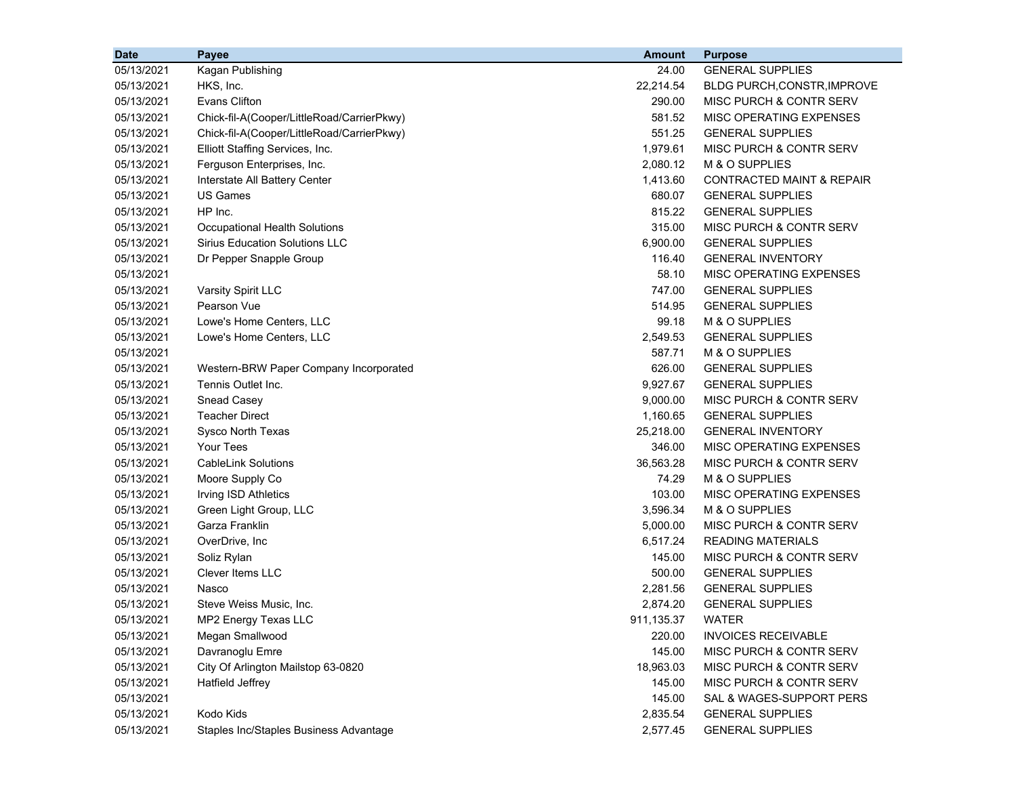| <b>Date</b> | Payee                                      | Amount     | <b>Purpose</b>                       |
|-------------|--------------------------------------------|------------|--------------------------------------|
| 05/13/2021  | Kagan Publishing                           | 24.00      | <b>GENERAL SUPPLIES</b>              |
| 05/13/2021  | HKS, Inc.                                  | 22,214.54  | BLDG PURCH, CONSTR, IMPROVE          |
| 05/13/2021  | <b>Evans Clifton</b>                       | 290.00     | MISC PURCH & CONTR SERV              |
| 05/13/2021  | Chick-fil-A(Cooper/LittleRoad/CarrierPkwy) | 581.52     | MISC OPERATING EXPENSES              |
| 05/13/2021  | Chick-fil-A(Cooper/LittleRoad/CarrierPkwy) | 551.25     | <b>GENERAL SUPPLIES</b>              |
| 05/13/2021  | Elliott Staffing Services, Inc.            | 1,979.61   | MISC PURCH & CONTR SERV              |
| 05/13/2021  | Ferguson Enterprises, Inc.                 | 2,080.12   | M & O SUPPLIES                       |
| 05/13/2021  | Interstate All Battery Center              | 1,413.60   | <b>CONTRACTED MAINT &amp; REPAIR</b> |
| 05/13/2021  | <b>US Games</b>                            | 680.07     | <b>GENERAL SUPPLIES</b>              |
| 05/13/2021  | HP Inc.                                    | 815.22     | <b>GENERAL SUPPLIES</b>              |
| 05/13/2021  | Occupational Health Solutions              | 315.00     | MISC PURCH & CONTR SERV              |
| 05/13/2021  | <b>Sirius Education Solutions LLC</b>      | 6,900.00   | <b>GENERAL SUPPLIES</b>              |
| 05/13/2021  | Dr Pepper Snapple Group                    | 116.40     | <b>GENERAL INVENTORY</b>             |
| 05/13/2021  |                                            | 58.10      | MISC OPERATING EXPENSES              |
| 05/13/2021  | Varsity Spirit LLC                         | 747.00     | <b>GENERAL SUPPLIES</b>              |
| 05/13/2021  | Pearson Vue                                | 514.95     | <b>GENERAL SUPPLIES</b>              |
| 05/13/2021  | Lowe's Home Centers, LLC                   | 99.18      | M & O SUPPLIES                       |
| 05/13/2021  | Lowe's Home Centers, LLC                   | 2,549.53   | <b>GENERAL SUPPLIES</b>              |
| 05/13/2021  |                                            | 587.71     | M & O SUPPLIES                       |
| 05/13/2021  | Western-BRW Paper Company Incorporated     | 626.00     | <b>GENERAL SUPPLIES</b>              |
| 05/13/2021  | Tennis Outlet Inc.                         | 9,927.67   | <b>GENERAL SUPPLIES</b>              |
| 05/13/2021  | Snead Casey                                | 9,000.00   | MISC PURCH & CONTR SERV              |
| 05/13/2021  | <b>Teacher Direct</b>                      | 1,160.65   | <b>GENERAL SUPPLIES</b>              |
| 05/13/2021  | Sysco North Texas                          | 25,218.00  | <b>GENERAL INVENTORY</b>             |
| 05/13/2021  | <b>Your Tees</b>                           | 346.00     | MISC OPERATING EXPENSES              |
| 05/13/2021  | <b>CableLink Solutions</b>                 | 36,563.28  | MISC PURCH & CONTR SERV              |
| 05/13/2021  | Moore Supply Co                            | 74.29      | M & O SUPPLIES                       |
| 05/13/2021  | Irving ISD Athletics                       | 103.00     | MISC OPERATING EXPENSES              |
| 05/13/2021  | Green Light Group, LLC                     | 3,596.34   | M & O SUPPLIES                       |
| 05/13/2021  | Garza Franklin                             | 5,000.00   | MISC PURCH & CONTR SERV              |
| 05/13/2021  | OverDrive, Inc                             | 6,517.24   | <b>READING MATERIALS</b>             |
| 05/13/2021  | Soliz Rylan                                | 145.00     | MISC PURCH & CONTR SERV              |
| 05/13/2021  | Clever Items LLC                           | 500.00     | <b>GENERAL SUPPLIES</b>              |
| 05/13/2021  | Nasco                                      | 2,281.56   | <b>GENERAL SUPPLIES</b>              |
| 05/13/2021  | Steve Weiss Music, Inc.                    | 2,874.20   | <b>GENERAL SUPPLIES</b>              |
| 05/13/2021  | MP2 Energy Texas LLC                       | 911,135.37 | <b>WATER</b>                         |
| 05/13/2021  | Megan Smallwood                            | 220.00     | <b>INVOICES RECEIVABLE</b>           |
| 05/13/2021  | Davranoglu Emre                            | 145.00     | MISC PURCH & CONTR SERV              |
| 05/13/2021  | City Of Arlington Mailstop 63-0820         | 18,963.03  | MISC PURCH & CONTR SERV              |
| 05/13/2021  | <b>Hatfield Jeffrey</b>                    | 145.00     | MISC PURCH & CONTR SERV              |
| 05/13/2021  |                                            | 145.00     | SAL & WAGES-SUPPORT PERS             |
| 05/13/2021  | Kodo Kids                                  | 2,835.54   | <b>GENERAL SUPPLIES</b>              |
| 05/13/2021  | Staples Inc/Staples Business Advantage     | 2,577.45   | <b>GENERAL SUPPLIES</b>              |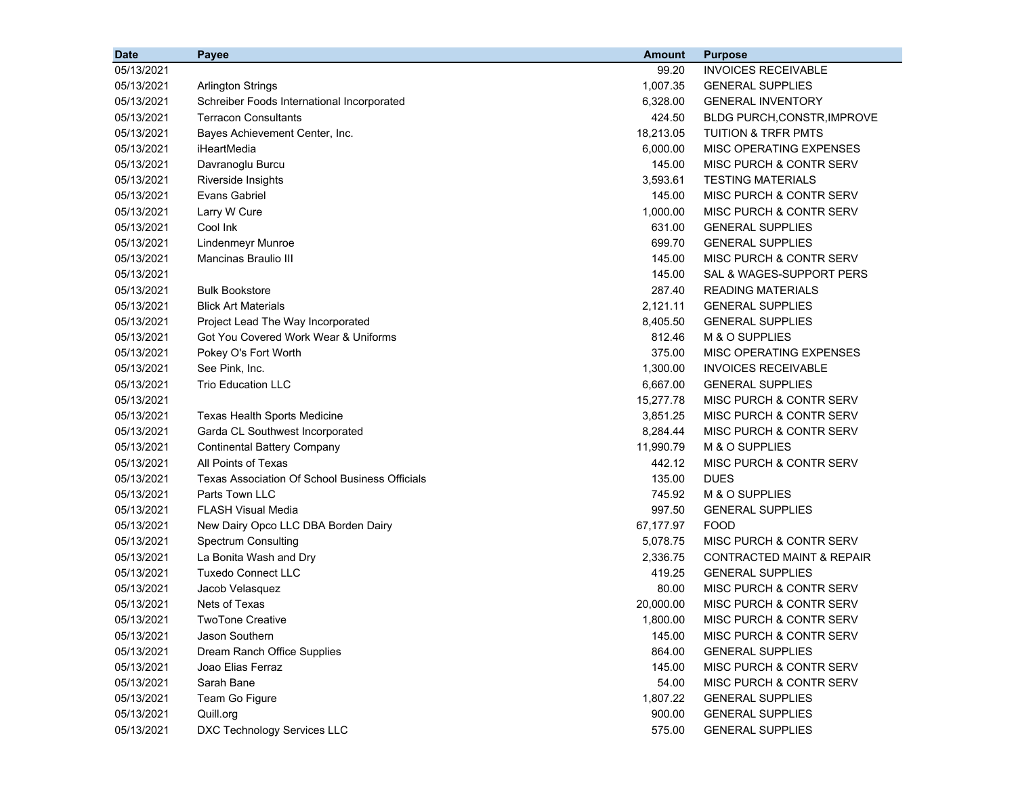| <b>Date</b> | Payee                                          | <b>Amount</b> | <b>Purpose</b>                       |
|-------------|------------------------------------------------|---------------|--------------------------------------|
| 05/13/2021  |                                                | 99.20         | <b>INVOICES RECEIVABLE</b>           |
| 05/13/2021  | <b>Arlington Strings</b>                       | 1,007.35      | <b>GENERAL SUPPLIES</b>              |
| 05/13/2021  | Schreiber Foods International Incorporated     | 6,328.00      | <b>GENERAL INVENTORY</b>             |
| 05/13/2021  | <b>Terracon Consultants</b>                    | 424.50        | BLDG PURCH, CONSTR, IMPROVE          |
| 05/13/2021  | Bayes Achievement Center, Inc.                 | 18,213.05     | <b>TUITION &amp; TRFR PMTS</b>       |
| 05/13/2021  | iHeartMedia                                    | 6,000.00      | MISC OPERATING EXPENSES              |
| 05/13/2021  | Davranoglu Burcu                               | 145.00        | MISC PURCH & CONTR SERV              |
| 05/13/2021  | Riverside Insights                             | 3,593.61      | <b>TESTING MATERIALS</b>             |
| 05/13/2021  | <b>Evans Gabriel</b>                           | 145.00        | MISC PURCH & CONTR SERV              |
| 05/13/2021  | Larry W Cure                                   | 1,000.00      | MISC PURCH & CONTR SERV              |
| 05/13/2021  | Cool Ink                                       | 631.00        | <b>GENERAL SUPPLIES</b>              |
| 05/13/2021  | Lindenmeyr Munroe                              | 699.70        | <b>GENERAL SUPPLIES</b>              |
| 05/13/2021  | <b>Mancinas Braulio III</b>                    | 145.00        | MISC PURCH & CONTR SERV              |
| 05/13/2021  |                                                | 145.00        | SAL & WAGES-SUPPORT PERS             |
| 05/13/2021  | <b>Bulk Bookstore</b>                          | 287.40        | <b>READING MATERIALS</b>             |
| 05/13/2021  | <b>Blick Art Materials</b>                     | 2,121.11      | <b>GENERAL SUPPLIES</b>              |
| 05/13/2021  | Project Lead The Way Incorporated              | 8,405.50      | <b>GENERAL SUPPLIES</b>              |
| 05/13/2021  | Got You Covered Work Wear & Uniforms           | 812.46        | M & O SUPPLIES                       |
| 05/13/2021  | Pokey O's Fort Worth                           | 375.00        | MISC OPERATING EXPENSES              |
| 05/13/2021  | See Pink, Inc.                                 | 1,300.00      | <b>INVOICES RECEIVABLE</b>           |
| 05/13/2021  | <b>Trio Education LLC</b>                      | 6,667.00      | <b>GENERAL SUPPLIES</b>              |
| 05/13/2021  |                                                | 15,277.78     | MISC PURCH & CONTR SERV              |
| 05/13/2021  | <b>Texas Health Sports Medicine</b>            | 3,851.25      | MISC PURCH & CONTR SERV              |
| 05/13/2021  | Garda CL Southwest Incorporated                | 8,284.44      | MISC PURCH & CONTR SERV              |
| 05/13/2021  | <b>Continental Battery Company</b>             | 11,990.79     | M & O SUPPLIES                       |
| 05/13/2021  | All Points of Texas                            | 442.12        | MISC PURCH & CONTR SERV              |
| 05/13/2021  | Texas Association Of School Business Officials | 135.00        | <b>DUES</b>                          |
| 05/13/2021  | Parts Town LLC                                 | 745.92        | M & O SUPPLIES                       |
| 05/13/2021  | <b>FLASH Visual Media</b>                      | 997.50        | <b>GENERAL SUPPLIES</b>              |
| 05/13/2021  | New Dairy Opco LLC DBA Borden Dairy            | 67,177.97     | <b>FOOD</b>                          |
| 05/13/2021  | <b>Spectrum Consulting</b>                     | 5,078.75      | MISC PURCH & CONTR SERV              |
| 05/13/2021  | La Bonita Wash and Dry                         | 2,336.75      | <b>CONTRACTED MAINT &amp; REPAIR</b> |
| 05/13/2021  | <b>Tuxedo Connect LLC</b>                      | 419.25        | <b>GENERAL SUPPLIES</b>              |
| 05/13/2021  | Jacob Velasquez                                | 80.00         | MISC PURCH & CONTR SERV              |
| 05/13/2021  | Nets of Texas                                  | 20,000.00     | MISC PURCH & CONTR SERV              |
| 05/13/2021  | <b>TwoTone Creative</b>                        | 1,800.00      | MISC PURCH & CONTR SERV              |
| 05/13/2021  | Jason Southern                                 | 145.00        | MISC PURCH & CONTR SERV              |
| 05/13/2021  | Dream Ranch Office Supplies                    | 864.00        | <b>GENERAL SUPPLIES</b>              |
| 05/13/2021  | Joao Elias Ferraz                              | 145.00        | MISC PURCH & CONTR SERV              |
| 05/13/2021  | Sarah Bane                                     | 54.00         | MISC PURCH & CONTR SERV              |
| 05/13/2021  | Team Go Figure                                 | 1,807.22      | <b>GENERAL SUPPLIES</b>              |
| 05/13/2021  | Quill.org                                      | 900.00        | <b>GENERAL SUPPLIES</b>              |
| 05/13/2021  | DXC Technology Services LLC                    | 575.00        | <b>GENERAL SUPPLIES</b>              |
|             |                                                |               |                                      |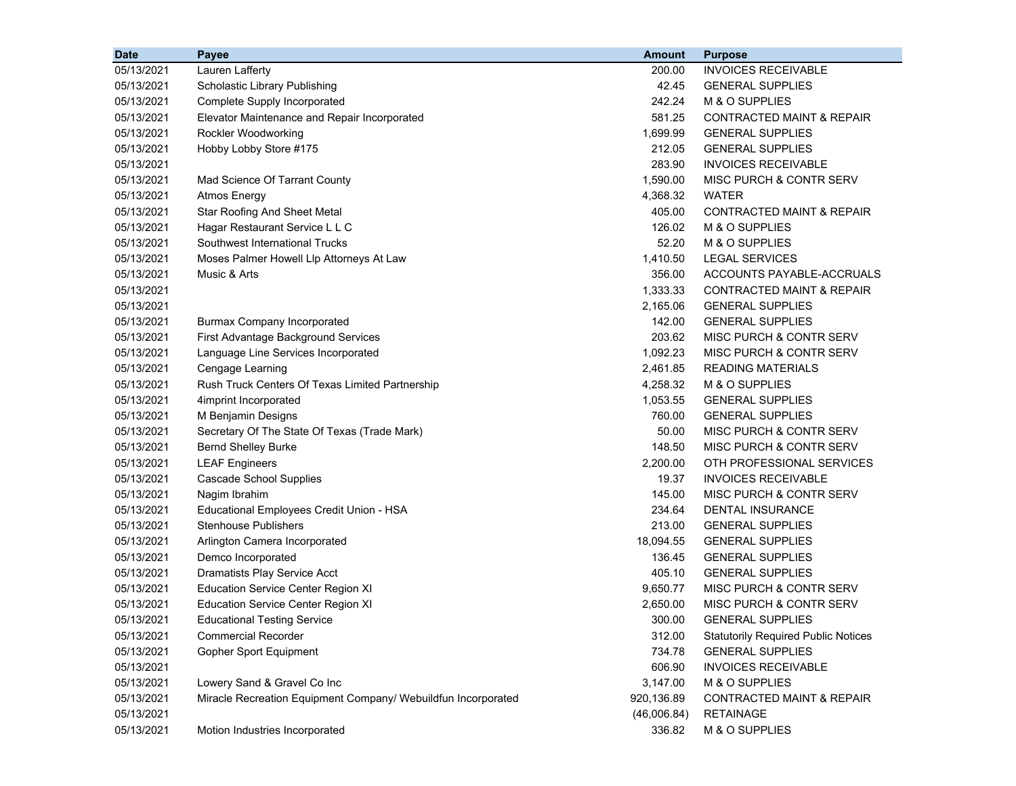| <b>Date</b> | Payee                                                         | <b>Amount</b> | <b>Purpose</b>                             |
|-------------|---------------------------------------------------------------|---------------|--------------------------------------------|
| 05/13/2021  | Lauren Lafferty                                               | 200.00        | <b>INVOICES RECEIVABLE</b>                 |
| 05/13/2021  | Scholastic Library Publishing                                 | 42.45         | <b>GENERAL SUPPLIES</b>                    |
| 05/13/2021  | Complete Supply Incorporated                                  | 242.24        | M & O SUPPLIES                             |
| 05/13/2021  | Elevator Maintenance and Repair Incorporated                  | 581.25        | CONTRACTED MAINT & REPAIR                  |
| 05/13/2021  | Rockler Woodworking                                           | 1,699.99      | <b>GENERAL SUPPLIES</b>                    |
| 05/13/2021  | Hobby Lobby Store #175                                        | 212.05        | <b>GENERAL SUPPLIES</b>                    |
| 05/13/2021  |                                                               | 283.90        | <b>INVOICES RECEIVABLE</b>                 |
| 05/13/2021  | Mad Science Of Tarrant County                                 | 1,590.00      | MISC PURCH & CONTR SERV                    |
| 05/13/2021  | <b>Atmos Energy</b>                                           | 4,368.32      | <b>WATER</b>                               |
| 05/13/2021  | Star Roofing And Sheet Metal                                  | 405.00        | <b>CONTRACTED MAINT &amp; REPAIR</b>       |
| 05/13/2021  | Hagar Restaurant Service L L C                                | 126.02        | M & O SUPPLIES                             |
| 05/13/2021  | Southwest International Trucks                                | 52.20         | M & O SUPPLIES                             |
| 05/13/2021  | Moses Palmer Howell Llp Attorneys At Law                      | 1,410.50      | <b>LEGAL SERVICES</b>                      |
| 05/13/2021  | Music & Arts                                                  | 356.00        | ACCOUNTS PAYABLE-ACCRUALS                  |
| 05/13/2021  |                                                               | 1,333.33      | CONTRACTED MAINT & REPAIR                  |
| 05/13/2021  |                                                               | 2,165.06      | <b>GENERAL SUPPLIES</b>                    |
| 05/13/2021  | <b>Burmax Company Incorporated</b>                            | 142.00        | <b>GENERAL SUPPLIES</b>                    |
| 05/13/2021  | First Advantage Background Services                           | 203.62        | MISC PURCH & CONTR SERV                    |
| 05/13/2021  | Language Line Services Incorporated                           | 1,092.23      | MISC PURCH & CONTR SERV                    |
| 05/13/2021  | Cengage Learning                                              | 2,461.85      | <b>READING MATERIALS</b>                   |
| 05/13/2021  | Rush Truck Centers Of Texas Limited Partnership               | 4,258.32      | M & O SUPPLIES                             |
| 05/13/2021  | 4imprint Incorporated                                         | 1,053.55      | <b>GENERAL SUPPLIES</b>                    |
| 05/13/2021  | M Benjamin Designs                                            | 760.00        | <b>GENERAL SUPPLIES</b>                    |
| 05/13/2021  | Secretary Of The State Of Texas (Trade Mark)                  | 50.00         | MISC PURCH & CONTR SERV                    |
| 05/13/2021  | <b>Bernd Shelley Burke</b>                                    | 148.50        | MISC PURCH & CONTR SERV                    |
| 05/13/2021  | <b>LEAF Engineers</b>                                         | 2,200.00      | OTH PROFESSIONAL SERVICES                  |
| 05/13/2021  | Cascade School Supplies                                       | 19.37         | <b>INVOICES RECEIVABLE</b>                 |
| 05/13/2021  | Nagim Ibrahim                                                 | 145.00        | <b>MISC PURCH &amp; CONTR SERV</b>         |
| 05/13/2021  | Educational Employees Credit Union - HSA                      | 234.64        | DENTAL INSURANCE                           |
| 05/13/2021  | <b>Stenhouse Publishers</b>                                   | 213.00        | <b>GENERAL SUPPLIES</b>                    |
| 05/13/2021  | Arlington Camera Incorporated                                 | 18,094.55     | <b>GENERAL SUPPLIES</b>                    |
| 05/13/2021  | Demco Incorporated                                            | 136.45        | <b>GENERAL SUPPLIES</b>                    |
| 05/13/2021  | Dramatists Play Service Acct                                  | 405.10        | <b>GENERAL SUPPLIES</b>                    |
| 05/13/2021  | <b>Education Service Center Region XI</b>                     | 9,650.77      | MISC PURCH & CONTR SERV                    |
| 05/13/2021  | <b>Education Service Center Region XI</b>                     | 2,650.00      | MISC PURCH & CONTR SERV                    |
| 05/13/2021  | <b>Educational Testing Service</b>                            | 300.00        | <b>GENERAL SUPPLIES</b>                    |
| 05/13/2021  | <b>Commercial Recorder</b>                                    | 312.00        | <b>Statutorily Required Public Notices</b> |
| 05/13/2021  | Gopher Sport Equipment                                        | 734.78        | <b>GENERAL SUPPLIES</b>                    |
| 05/13/2021  |                                                               | 606.90        | <b>INVOICES RECEIVABLE</b>                 |
| 05/13/2021  | Lowery Sand & Gravel Co Inc                                   | 3,147.00      | M & O SUPPLIES                             |
| 05/13/2021  | Miracle Recreation Equipment Company/ Webuildfun Incorporated | 920,136.89    | CONTRACTED MAINT & REPAIR                  |
| 05/13/2021  |                                                               | (46,006.84)   | <b>RETAINAGE</b>                           |
| 05/13/2021  | Motion Industries Incorporated                                | 336.82        | M & O SUPPLIES                             |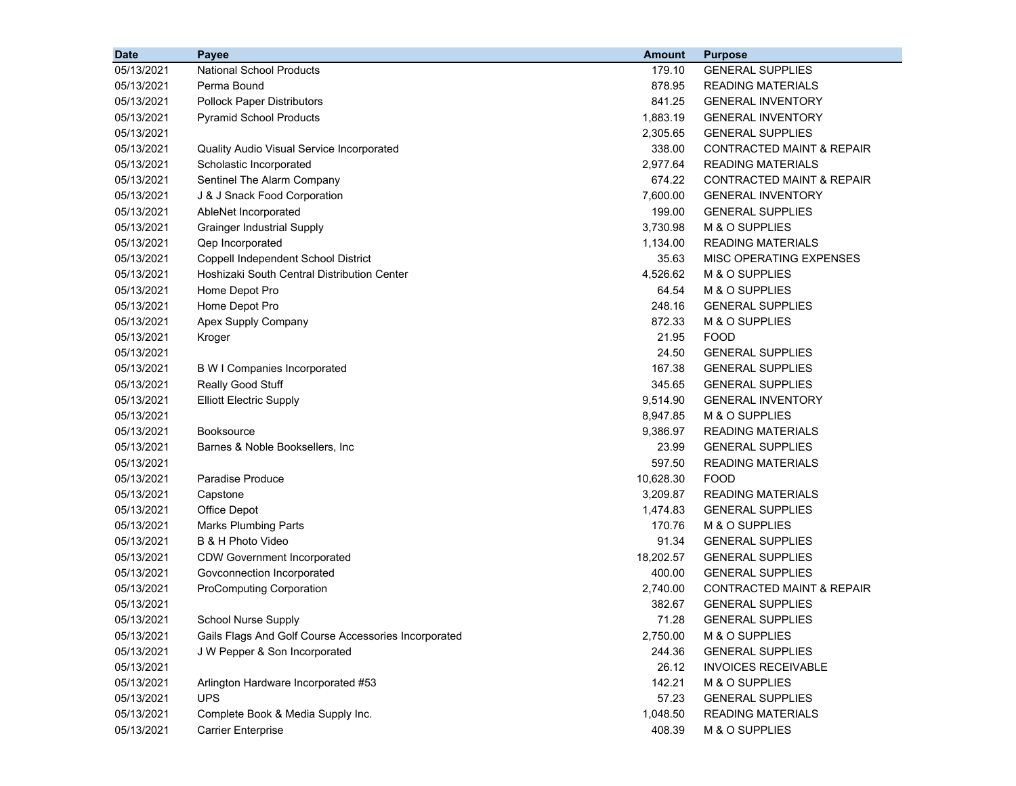| <b>Date</b> | Payee                                                | Amount    | <b>Purpose</b>                       |
|-------------|------------------------------------------------------|-----------|--------------------------------------|
| 05/13/2021  | <b>National School Products</b>                      | 179.10    | <b>GENERAL SUPPLIES</b>              |
| 05/13/2021  | Perma Bound                                          | 878.95    | <b>READING MATERIALS</b>             |
| 05/13/2021  | <b>Pollock Paper Distributors</b>                    | 841.25    | <b>GENERAL INVENTORY</b>             |
| 05/13/2021  | <b>Pyramid School Products</b>                       | 1,883.19  | <b>GENERAL INVENTORY</b>             |
| 05/13/2021  |                                                      | 2,305.65  | <b>GENERAL SUPPLIES</b>              |
| 05/13/2021  | Quality Audio Visual Service Incorporated            | 338.00    | CONTRACTED MAINT & REPAIR            |
| 05/13/2021  | Scholastic Incorporated                              | 2,977.64  | <b>READING MATERIALS</b>             |
| 05/13/2021  | Sentinel The Alarm Company                           | 674.22    | <b>CONTRACTED MAINT &amp; REPAIR</b> |
| 05/13/2021  | J & J Snack Food Corporation                         | 7,600.00  | <b>GENERAL INVENTORY</b>             |
| 05/13/2021  | AbleNet Incorporated                                 | 199.00    | <b>GENERAL SUPPLIES</b>              |
| 05/13/2021  | <b>Grainger Industrial Supply</b>                    | 3,730.98  | M & O SUPPLIES                       |
| 05/13/2021  | Qep Incorporated                                     | 1,134.00  | <b>READING MATERIALS</b>             |
| 05/13/2021  | Coppell Independent School District                  | 35.63     | MISC OPERATING EXPENSES              |
| 05/13/2021  | Hoshizaki South Central Distribution Center          | 4,526.62  | M & O SUPPLIES                       |
| 05/13/2021  | Home Depot Pro                                       | 64.54     | M & O SUPPLIES                       |
| 05/13/2021  | Home Depot Pro                                       | 248.16    | <b>GENERAL SUPPLIES</b>              |
| 05/13/2021  | Apex Supply Company                                  | 872.33    | M & O SUPPLIES                       |
| 05/13/2021  | Kroger                                               | 21.95     | <b>FOOD</b>                          |
| 05/13/2021  |                                                      | 24.50     | <b>GENERAL SUPPLIES</b>              |
| 05/13/2021  | <b>B W I Companies Incorporated</b>                  | 167.38    | <b>GENERAL SUPPLIES</b>              |
| 05/13/2021  | Really Good Stuff                                    | 345.65    | <b>GENERAL SUPPLIES</b>              |
| 05/13/2021  | <b>Elliott Electric Supply</b>                       | 9,514.90  | <b>GENERAL INVENTORY</b>             |
| 05/13/2021  |                                                      | 8,947.85  | M & O SUPPLIES                       |
| 05/13/2021  | <b>Booksource</b>                                    | 9,386.97  | <b>READING MATERIALS</b>             |
| 05/13/2021  | Barnes & Noble Booksellers, Inc.                     | 23.99     | <b>GENERAL SUPPLIES</b>              |
| 05/13/2021  |                                                      | 597.50    | <b>READING MATERIALS</b>             |
| 05/13/2021  | <b>Paradise Produce</b>                              | 10,628.30 | <b>FOOD</b>                          |
| 05/13/2021  | Capstone                                             | 3,209.87  | <b>READING MATERIALS</b>             |
| 05/13/2021  | Office Depot                                         | 1,474.83  | <b>GENERAL SUPPLIES</b>              |
| 05/13/2021  | <b>Marks Plumbing Parts</b>                          | 170.76    | M & O SUPPLIES                       |
| 05/13/2021  | B & H Photo Video                                    | 91.34     | <b>GENERAL SUPPLIES</b>              |
| 05/13/2021  | <b>CDW Government Incorporated</b>                   | 18,202.57 | <b>GENERAL SUPPLIES</b>              |
| 05/13/2021  | Govconnection Incorporated                           | 400.00    | <b>GENERAL SUPPLIES</b>              |
| 05/13/2021  | <b>ProComputing Corporation</b>                      | 2,740.00  | <b>CONTRACTED MAINT &amp; REPAIR</b> |
| 05/13/2021  |                                                      | 382.67    | <b>GENERAL SUPPLIES</b>              |
| 05/13/2021  | School Nurse Supply                                  | 71.28     | <b>GENERAL SUPPLIES</b>              |
| 05/13/2021  | Gails Flags And Golf Course Accessories Incorporated | 2,750.00  | M & O SUPPLIES                       |
| 05/13/2021  | J W Pepper & Son Incorporated                        | 244.36    | <b>GENERAL SUPPLIES</b>              |
| 05/13/2021  |                                                      | 26.12     | <b>INVOICES RECEIVABLE</b>           |
| 05/13/2021  | Arlington Hardware Incorporated #53                  | 142.21    | M & O SUPPLIES                       |
| 05/13/2021  | <b>UPS</b>                                           | 57.23     | <b>GENERAL SUPPLIES</b>              |
| 05/13/2021  | Complete Book & Media Supply Inc.                    | 1,048.50  | <b>READING MATERIALS</b>             |
| 05/13/2021  | <b>Carrier Enterprise</b>                            | 408.39    | M & O SUPPLIES                       |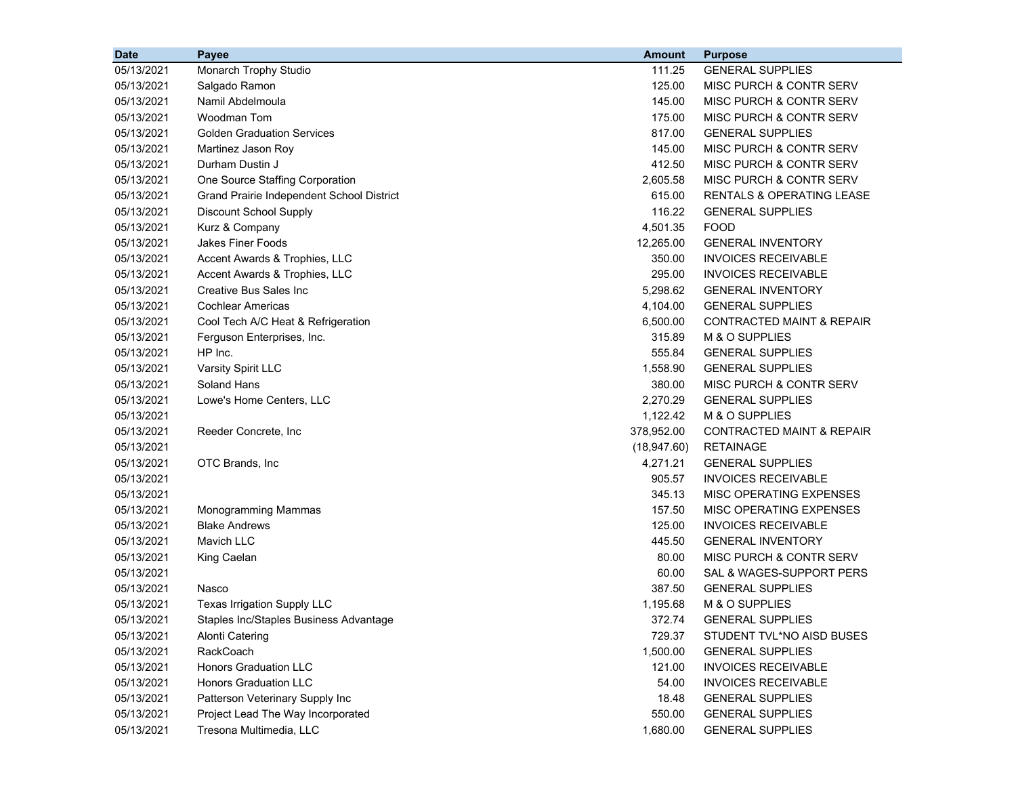| <b>Date</b> | Payee                                     | <b>Amount</b> | <b>Purpose</b>                       |
|-------------|-------------------------------------------|---------------|--------------------------------------|
| 05/13/2021  | Monarch Trophy Studio                     | 111.25        | <b>GENERAL SUPPLIES</b>              |
| 05/13/2021  | Salgado Ramon                             | 125.00        | MISC PURCH & CONTR SERV              |
| 05/13/2021  | Namil Abdelmoula                          | 145.00        | MISC PURCH & CONTR SERV              |
| 05/13/2021  | Woodman Tom                               | 175.00        | MISC PURCH & CONTR SERV              |
| 05/13/2021  | <b>Golden Graduation Services</b>         | 817.00        | <b>GENERAL SUPPLIES</b>              |
| 05/13/2021  | Martinez Jason Roy                        | 145.00        | MISC PURCH & CONTR SERV              |
| 05/13/2021  | Durham Dustin J                           | 412.50        | MISC PURCH & CONTR SERV              |
| 05/13/2021  | One Source Staffing Corporation           | 2,605.58      | MISC PURCH & CONTR SERV              |
| 05/13/2021  | Grand Prairie Independent School District | 615.00        | <b>RENTALS &amp; OPERATING LEASE</b> |
| 05/13/2021  | Discount School Supply                    | 116.22        | <b>GENERAL SUPPLIES</b>              |
| 05/13/2021  | Kurz & Company                            | 4,501.35      | <b>FOOD</b>                          |
| 05/13/2021  | <b>Jakes Finer Foods</b>                  | 12,265.00     | <b>GENERAL INVENTORY</b>             |
| 05/13/2021  | Accent Awards & Trophies, LLC             | 350.00        | <b>INVOICES RECEIVABLE</b>           |
| 05/13/2021  | Accent Awards & Trophies, LLC             | 295.00        | <b>INVOICES RECEIVABLE</b>           |
| 05/13/2021  | Creative Bus Sales Inc                    | 5,298.62      | <b>GENERAL INVENTORY</b>             |
| 05/13/2021  | <b>Cochlear Americas</b>                  | 4,104.00      | <b>GENERAL SUPPLIES</b>              |
| 05/13/2021  | Cool Tech A/C Heat & Refrigeration        | 6,500.00      | <b>CONTRACTED MAINT &amp; REPAIR</b> |
| 05/13/2021  | Ferguson Enterprises, Inc.                | 315.89        | M & O SUPPLIES                       |
| 05/13/2021  | HP Inc.                                   | 555.84        | <b>GENERAL SUPPLIES</b>              |
| 05/13/2021  | Varsity Spirit LLC                        | 1,558.90      | <b>GENERAL SUPPLIES</b>              |
| 05/13/2021  | Soland Hans                               | 380.00        | MISC PURCH & CONTR SERV              |
| 05/13/2021  | Lowe's Home Centers, LLC                  | 2,270.29      | <b>GENERAL SUPPLIES</b>              |
| 05/13/2021  |                                           | 1,122.42      | M & O SUPPLIES                       |
| 05/13/2021  | Reeder Concrete, Inc.                     | 378,952.00    | <b>CONTRACTED MAINT &amp; REPAIR</b> |
| 05/13/2021  |                                           | (18, 947.60)  | <b>RETAINAGE</b>                     |
| 05/13/2021  | OTC Brands, Inc.                          | 4,271.21      | <b>GENERAL SUPPLIES</b>              |
| 05/13/2021  |                                           | 905.57        | <b>INVOICES RECEIVABLE</b>           |
| 05/13/2021  |                                           | 345.13        | MISC OPERATING EXPENSES              |
| 05/13/2021  | Monogramming Mammas                       | 157.50        | MISC OPERATING EXPENSES              |
| 05/13/2021  | <b>Blake Andrews</b>                      | 125.00        | <b>INVOICES RECEIVABLE</b>           |
| 05/13/2021  | Mavich LLC                                | 445.50        | <b>GENERAL INVENTORY</b>             |
| 05/13/2021  | King Caelan                               | 80.00         | MISC PURCH & CONTR SERV              |
| 05/13/2021  |                                           | 60.00         | SAL & WAGES-SUPPORT PERS             |
| 05/13/2021  | Nasco                                     | 387.50        | <b>GENERAL SUPPLIES</b>              |
| 05/13/2021  | Texas Irrigation Supply LLC               | 1,195.68      | M & O SUPPLIES                       |
| 05/13/2021  | Staples Inc/Staples Business Advantage    | 372.74        | <b>GENERAL SUPPLIES</b>              |
| 05/13/2021  | <b>Alonti Catering</b>                    | 729.37        | STUDENT TVL*NO AISD BUSES            |
| 05/13/2021  | RackCoach                                 | 1,500.00      | <b>GENERAL SUPPLIES</b>              |
| 05/13/2021  | <b>Honors Graduation LLC</b>              | 121.00        | <b>INVOICES RECEIVABLE</b>           |
| 05/13/2021  | <b>Honors Graduation LLC</b>              | 54.00         | <b>INVOICES RECEIVABLE</b>           |
| 05/13/2021  | Patterson Veterinary Supply Inc           | 18.48         | <b>GENERAL SUPPLIES</b>              |
| 05/13/2021  | Project Lead The Way Incorporated         | 550.00        | <b>GENERAL SUPPLIES</b>              |
| 05/13/2021  | Tresona Multimedia, LLC                   | 1,680.00      | <b>GENERAL SUPPLIES</b>              |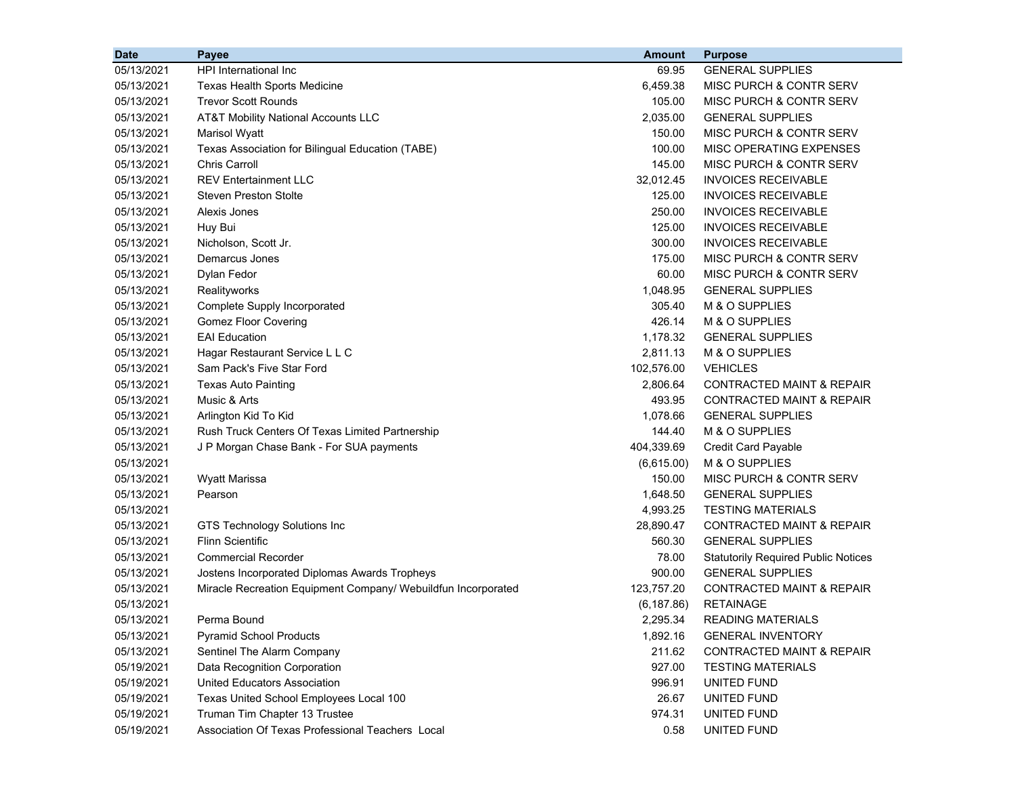| <b>Date</b> | Payee                                                         | <b>Amount</b> | <b>Purpose</b>                             |
|-------------|---------------------------------------------------------------|---------------|--------------------------------------------|
| 05/13/2021  | <b>HPI International Inc.</b>                                 | 69.95         | <b>GENERAL SUPPLIES</b>                    |
| 05/13/2021  | <b>Texas Health Sports Medicine</b>                           | 6,459.38      | MISC PURCH & CONTR SERV                    |
| 05/13/2021  | <b>Trevor Scott Rounds</b>                                    | 105.00        | MISC PURCH & CONTR SERV                    |
| 05/13/2021  | AT&T Mobility National Accounts LLC                           | 2,035.00      | <b>GENERAL SUPPLIES</b>                    |
| 05/13/2021  | Marisol Wyatt                                                 | 150.00        | MISC PURCH & CONTR SERV                    |
| 05/13/2021  | Texas Association for Bilingual Education (TABE)              | 100.00        | MISC OPERATING EXPENSES                    |
| 05/13/2021  | <b>Chris Carroll</b>                                          | 145.00        | MISC PURCH & CONTR SERV                    |
| 05/13/2021  | <b>REV Entertainment LLC</b>                                  | 32,012.45     | <b>INVOICES RECEIVABLE</b>                 |
| 05/13/2021  | <b>Steven Preston Stolte</b>                                  | 125.00        | <b>INVOICES RECEIVABLE</b>                 |
| 05/13/2021  | Alexis Jones                                                  | 250.00        | <b>INVOICES RECEIVABLE</b>                 |
| 05/13/2021  | Huy Bui                                                       | 125.00        | <b>INVOICES RECEIVABLE</b>                 |
| 05/13/2021  | Nicholson, Scott Jr.                                          | 300.00        | <b>INVOICES RECEIVABLE</b>                 |
| 05/13/2021  | Demarcus Jones                                                | 175.00        | MISC PURCH & CONTR SERV                    |
| 05/13/2021  | Dylan Fedor                                                   | 60.00         | <b>MISC PURCH &amp; CONTR SERV</b>         |
| 05/13/2021  | Realityworks                                                  | 1,048.95      | <b>GENERAL SUPPLIES</b>                    |
| 05/13/2021  | Complete Supply Incorporated                                  | 305.40        | M & O SUPPLIES                             |
| 05/13/2021  | <b>Gomez Floor Covering</b>                                   | 426.14        | M & O SUPPLIES                             |
| 05/13/2021  | <b>EAI Education</b>                                          | 1,178.32      | <b>GENERAL SUPPLIES</b>                    |
| 05/13/2021  | Hagar Restaurant Service L L C                                | 2,811.13      | M & O SUPPLIES                             |
| 05/13/2021  | Sam Pack's Five Star Ford                                     | 102,576.00    | <b>VEHICLES</b>                            |
| 05/13/2021  | <b>Texas Auto Painting</b>                                    | 2,806.64      | <b>CONTRACTED MAINT &amp; REPAIR</b>       |
| 05/13/2021  | Music & Arts                                                  | 493.95        | <b>CONTRACTED MAINT &amp; REPAIR</b>       |
| 05/13/2021  | Arlington Kid To Kid                                          | 1,078.66      | <b>GENERAL SUPPLIES</b>                    |
| 05/13/2021  | Rush Truck Centers Of Texas Limited Partnership               | 144.40        | M & O SUPPLIES                             |
| 05/13/2021  | J P Morgan Chase Bank - For SUA payments                      | 404,339.69    | <b>Credit Card Payable</b>                 |
| 05/13/2021  |                                                               | (6,615.00)    | M & O SUPPLIES                             |
| 05/13/2021  | <b>Wyatt Marissa</b>                                          | 150.00        | MISC PURCH & CONTR SERV                    |
| 05/13/2021  | Pearson                                                       | 1,648.50      | <b>GENERAL SUPPLIES</b>                    |
| 05/13/2021  |                                                               | 4,993.25      | <b>TESTING MATERIALS</b>                   |
| 05/13/2021  | GTS Technology Solutions Inc                                  | 28,890.47     | CONTRACTED MAINT & REPAIR                  |
| 05/13/2021  | <b>Flinn Scientific</b>                                       | 560.30        | <b>GENERAL SUPPLIES</b>                    |
| 05/13/2021  | <b>Commercial Recorder</b>                                    | 78.00         | <b>Statutorily Required Public Notices</b> |
| 05/13/2021  | Jostens Incorporated Diplomas Awards Tropheys                 | 900.00        | <b>GENERAL SUPPLIES</b>                    |
| 05/13/2021  | Miracle Recreation Equipment Company/ Webuildfun Incorporated | 123,757.20    | CONTRACTED MAINT & REPAIR                  |
| 05/13/2021  |                                                               | (6, 187.86)   | <b>RETAINAGE</b>                           |
| 05/13/2021  | Perma Bound                                                   | 2,295.34      | READING MATERIALS                          |
| 05/13/2021  | <b>Pyramid School Products</b>                                | 1,892.16      | <b>GENERAL INVENTORY</b>                   |
| 05/13/2021  | Sentinel The Alarm Company                                    | 211.62        | <b>CONTRACTED MAINT &amp; REPAIR</b>       |
| 05/19/2021  | Data Recognition Corporation                                  | 927.00        | <b>TESTING MATERIALS</b>                   |
| 05/19/2021  | <b>United Educators Association</b>                           | 996.91        | UNITED FUND                                |
| 05/19/2021  | Texas United School Employees Local 100                       | 26.67         | UNITED FUND                                |
| 05/19/2021  | Truman Tim Chapter 13 Trustee                                 | 974.31        | UNITED FUND                                |
| 05/19/2021  | Association Of Texas Professional Teachers Local              | 0.58          | UNITED FUND                                |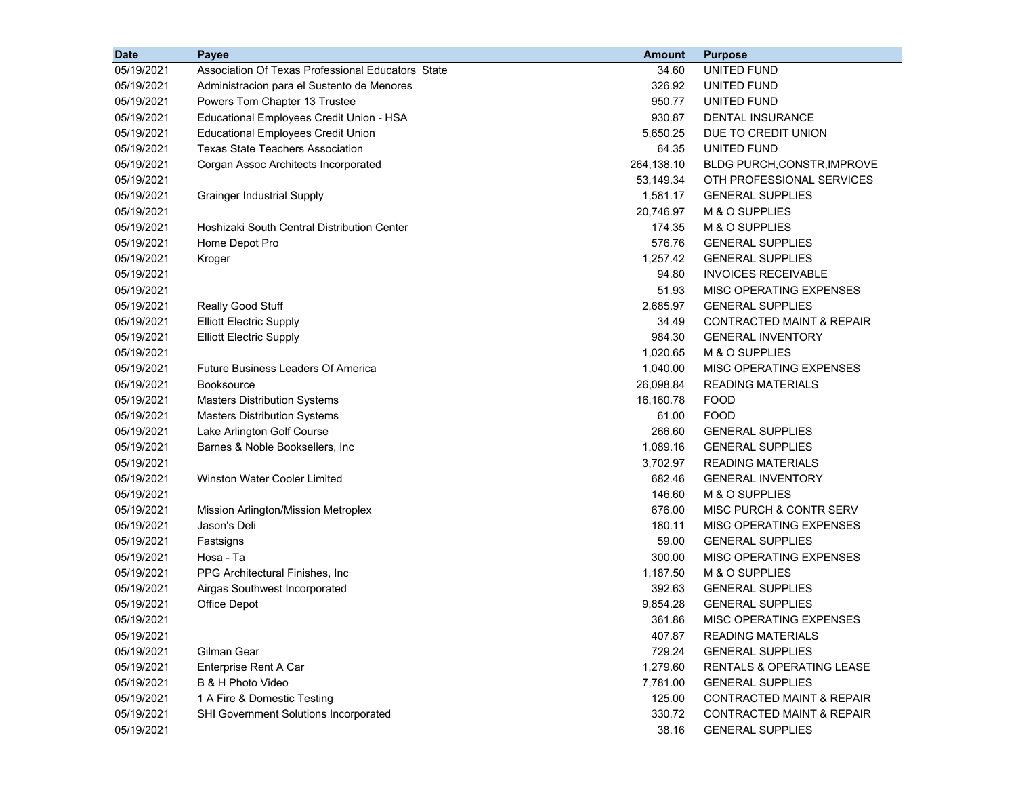| <b>Date</b> | Payee                                             | <b>Amount</b> | <b>Purpose</b>                       |
|-------------|---------------------------------------------------|---------------|--------------------------------------|
| 05/19/2021  | Association Of Texas Professional Educators State | 34.60         | <b>UNITED FUND</b>                   |
| 05/19/2021  | Administracion para el Sustento de Menores        | 326.92        | UNITED FUND                          |
| 05/19/2021  | Powers Tom Chapter 13 Trustee                     | 950.77        | UNITED FUND                          |
| 05/19/2021  | Educational Employees Credit Union - HSA          | 930.87        | DENTAL INSURANCE                     |
| 05/19/2021  | <b>Educational Employees Credit Union</b>         | 5,650.25      | DUE TO CREDIT UNION                  |
| 05/19/2021  | <b>Texas State Teachers Association</b>           | 64.35         | UNITED FUND                          |
| 05/19/2021  | Corgan Assoc Architects Incorporated              | 264,138.10    | BLDG PURCH, CONSTR, IMPROVE          |
| 05/19/2021  |                                                   | 53,149.34     | OTH PROFESSIONAL SERVICES            |
| 05/19/2021  | <b>Grainger Industrial Supply</b>                 | 1,581.17      | <b>GENERAL SUPPLIES</b>              |
| 05/19/2021  |                                                   | 20,746.97     | M & O SUPPLIES                       |
| 05/19/2021  | Hoshizaki South Central Distribution Center       | 174.35        | M & O SUPPLIES                       |
| 05/19/2021  | Home Depot Pro                                    | 576.76        | <b>GENERAL SUPPLIES</b>              |
| 05/19/2021  | Kroger                                            | 1,257.42      | <b>GENERAL SUPPLIES</b>              |
| 05/19/2021  |                                                   | 94.80         | <b>INVOICES RECEIVABLE</b>           |
| 05/19/2021  |                                                   | 51.93         | MISC OPERATING EXPENSES              |
| 05/19/2021  | Really Good Stuff                                 | 2,685.97      | <b>GENERAL SUPPLIES</b>              |
| 05/19/2021  | <b>Elliott Electric Supply</b>                    | 34.49         | CONTRACTED MAINT & REPAIR            |
| 05/19/2021  | <b>Elliott Electric Supply</b>                    | 984.30        | <b>GENERAL INVENTORY</b>             |
| 05/19/2021  |                                                   | 1,020.65      | M & O SUPPLIES                       |
| 05/19/2021  | <b>Future Business Leaders Of America</b>         | 1,040.00      | MISC OPERATING EXPENSES              |
| 05/19/2021  | <b>Booksource</b>                                 | 26,098.84     | <b>READING MATERIALS</b>             |
| 05/19/2021  | <b>Masters Distribution Systems</b>               | 16,160.78     | <b>FOOD</b>                          |
| 05/19/2021  | <b>Masters Distribution Systems</b>               | 61.00         | <b>FOOD</b>                          |
| 05/19/2021  | Lake Arlington Golf Course                        | 266.60        | <b>GENERAL SUPPLIES</b>              |
| 05/19/2021  | Barnes & Noble Booksellers, Inc.                  | 1,089.16      | <b>GENERAL SUPPLIES</b>              |
| 05/19/2021  |                                                   | 3,702.97      | <b>READING MATERIALS</b>             |
| 05/19/2021  | Winston Water Cooler Limited                      | 682.46        | <b>GENERAL INVENTORY</b>             |
| 05/19/2021  |                                                   | 146.60        | M & O SUPPLIES                       |
| 05/19/2021  | Mission Arlington/Mission Metroplex               | 676.00        | MISC PURCH & CONTR SERV              |
| 05/19/2021  | Jason's Deli                                      | 180.11        | MISC OPERATING EXPENSES              |
| 05/19/2021  | Fastsigns                                         | 59.00         | <b>GENERAL SUPPLIES</b>              |
| 05/19/2021  | Hosa - Ta                                         | 300.00        | MISC OPERATING EXPENSES              |
| 05/19/2021  | PPG Architectural Finishes, Inc.                  | 1,187.50      | M & O SUPPLIES                       |
| 05/19/2021  | Airgas Southwest Incorporated                     | 392.63        | <b>GENERAL SUPPLIES</b>              |
| 05/19/2021  | Office Depot                                      | 9,854.28      | <b>GENERAL SUPPLIES</b>              |
| 05/19/2021  |                                                   | 361.86        | MISC OPERATING EXPENSES              |
| 05/19/2021  |                                                   | 407.87        | <b>READING MATERIALS</b>             |
| 05/19/2021  | Gilman Gear                                       | 729.24        | <b>GENERAL SUPPLIES</b>              |
| 05/19/2021  | Enterprise Rent A Car                             | 1,279.60      | <b>RENTALS &amp; OPERATING LEASE</b> |
| 05/19/2021  | B & H Photo Video                                 | 7,781.00      | <b>GENERAL SUPPLIES</b>              |
| 05/19/2021  | 1 A Fire & Domestic Testing                       | 125.00        | CONTRACTED MAINT & REPAIR            |
| 05/19/2021  | SHI Government Solutions Incorporated             | 330.72        | CONTRACTED MAINT & REPAIR            |
| 05/19/2021  |                                                   | 38.16         | <b>GENERAL SUPPLIES</b>              |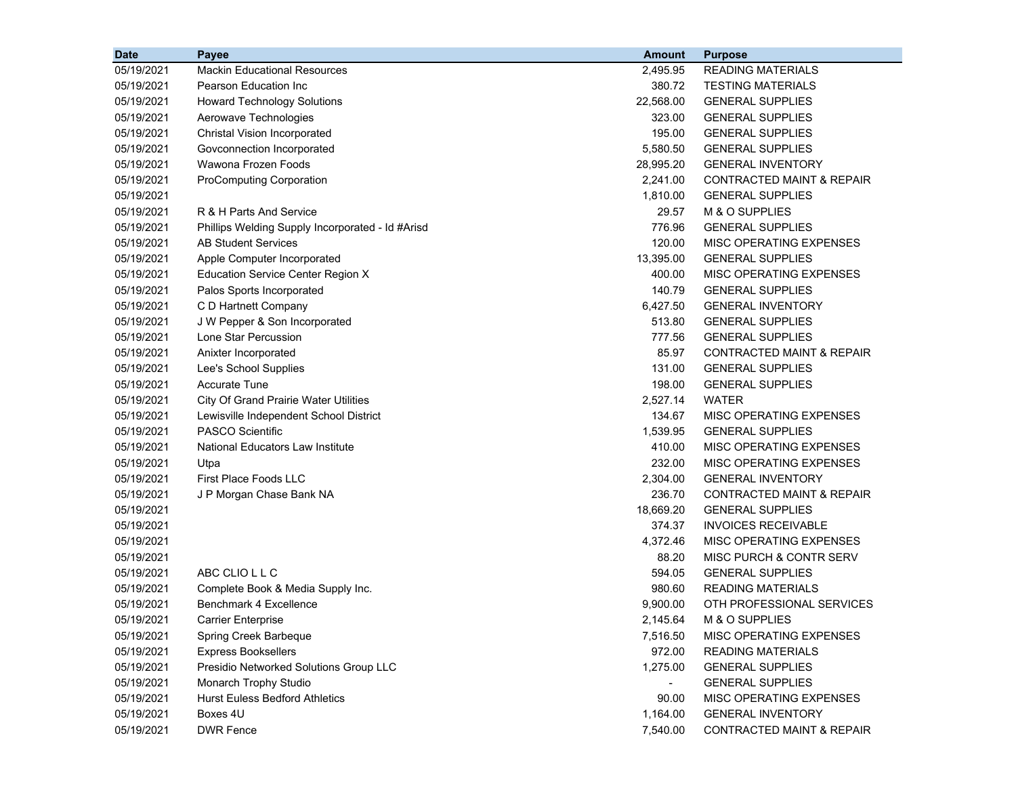| <b>Date</b> | <b>Payee</b>                                     | <b>Amount</b> | <b>Purpose</b>                       |
|-------------|--------------------------------------------------|---------------|--------------------------------------|
| 05/19/2021  | <b>Mackin Educational Resources</b>              | 2,495.95      | <b>READING MATERIALS</b>             |
| 05/19/2021  | Pearson Education Inc                            | 380.72        | <b>TESTING MATERIALS</b>             |
| 05/19/2021  | <b>Howard Technology Solutions</b>               | 22,568.00     | <b>GENERAL SUPPLIES</b>              |
| 05/19/2021  | Aerowave Technologies                            | 323.00        | <b>GENERAL SUPPLIES</b>              |
| 05/19/2021  | Christal Vision Incorporated                     | 195.00        | <b>GENERAL SUPPLIES</b>              |
| 05/19/2021  | Govconnection Incorporated                       | 5,580.50      | <b>GENERAL SUPPLIES</b>              |
| 05/19/2021  | Wawona Frozen Foods                              | 28,995.20     | <b>GENERAL INVENTORY</b>             |
| 05/19/2021  | <b>ProComputing Corporation</b>                  | 2,241.00      | <b>CONTRACTED MAINT &amp; REPAIR</b> |
| 05/19/2021  |                                                  | 1,810.00      | <b>GENERAL SUPPLIES</b>              |
| 05/19/2021  | R & H Parts And Service                          | 29.57         | M & O SUPPLIES                       |
| 05/19/2021  | Phillips Welding Supply Incorporated - Id #Arisd | 776.96        | <b>GENERAL SUPPLIES</b>              |
| 05/19/2021  | <b>AB Student Services</b>                       | 120.00        | MISC OPERATING EXPENSES              |
| 05/19/2021  | Apple Computer Incorporated                      | 13,395.00     | <b>GENERAL SUPPLIES</b>              |
| 05/19/2021  | <b>Education Service Center Region X</b>         | 400.00        | MISC OPERATING EXPENSES              |
| 05/19/2021  | Palos Sports Incorporated                        | 140.79        | <b>GENERAL SUPPLIES</b>              |
| 05/19/2021  | C D Hartnett Company                             | 6,427.50      | <b>GENERAL INVENTORY</b>             |
| 05/19/2021  | J W Pepper & Son Incorporated                    | 513.80        | <b>GENERAL SUPPLIES</b>              |
| 05/19/2021  | Lone Star Percussion                             | 777.56        | <b>GENERAL SUPPLIES</b>              |
| 05/19/2021  | Anixter Incorporated                             | 85.97         | <b>CONTRACTED MAINT &amp; REPAIR</b> |
| 05/19/2021  | Lee's School Supplies                            | 131.00        | <b>GENERAL SUPPLIES</b>              |
| 05/19/2021  | <b>Accurate Tune</b>                             | 198.00        | <b>GENERAL SUPPLIES</b>              |
| 05/19/2021  | <b>City Of Grand Prairie Water Utilities</b>     | 2,527.14      | <b>WATER</b>                         |
| 05/19/2021  | Lewisville Independent School District           | 134.67        | MISC OPERATING EXPENSES              |
| 05/19/2021  | <b>PASCO Scientific</b>                          | 1,539.95      | <b>GENERAL SUPPLIES</b>              |
| 05/19/2021  | National Educators Law Institute                 | 410.00        | MISC OPERATING EXPENSES              |
| 05/19/2021  | Utpa                                             | 232.00        | MISC OPERATING EXPENSES              |
| 05/19/2021  | <b>First Place Foods LLC</b>                     | 2,304.00      | <b>GENERAL INVENTORY</b>             |
| 05/19/2021  | J P Morgan Chase Bank NA                         | 236.70        | <b>CONTRACTED MAINT &amp; REPAIR</b> |
| 05/19/2021  |                                                  | 18,669.20     | <b>GENERAL SUPPLIES</b>              |
| 05/19/2021  |                                                  | 374.37        | <b>INVOICES RECEIVABLE</b>           |
| 05/19/2021  |                                                  | 4,372.46      | MISC OPERATING EXPENSES              |
| 05/19/2021  |                                                  | 88.20         | MISC PURCH & CONTR SERV              |
| 05/19/2021  | ABC CLIO L L C                                   | 594.05        | <b>GENERAL SUPPLIES</b>              |
| 05/19/2021  | Complete Book & Media Supply Inc.                | 980.60        | <b>READING MATERIALS</b>             |
| 05/19/2021  | Benchmark 4 Excellence                           | 9,900.00      | OTH PROFESSIONAL SERVICES            |
| 05/19/2021  | <b>Carrier Enterprise</b>                        | 2,145.64      | M & O SUPPLIES                       |
| 05/19/2021  | Spring Creek Barbeque                            | 7,516.50      | MISC OPERATING EXPENSES              |
| 05/19/2021  | <b>Express Booksellers</b>                       | 972.00        | <b>READING MATERIALS</b>             |
| 05/19/2021  | Presidio Networked Solutions Group LLC           | 1,275.00      | <b>GENERAL SUPPLIES</b>              |
| 05/19/2021  | Monarch Trophy Studio                            |               | <b>GENERAL SUPPLIES</b>              |
| 05/19/2021  | <b>Hurst Euless Bedford Athletics</b>            | 90.00         | MISC OPERATING EXPENSES              |
| 05/19/2021  | Boxes 4U                                         | 1,164.00      | <b>GENERAL INVENTORY</b>             |
| 05/19/2021  | <b>DWR Fence</b>                                 | 7,540.00      | CONTRACTED MAINT & REPAIR            |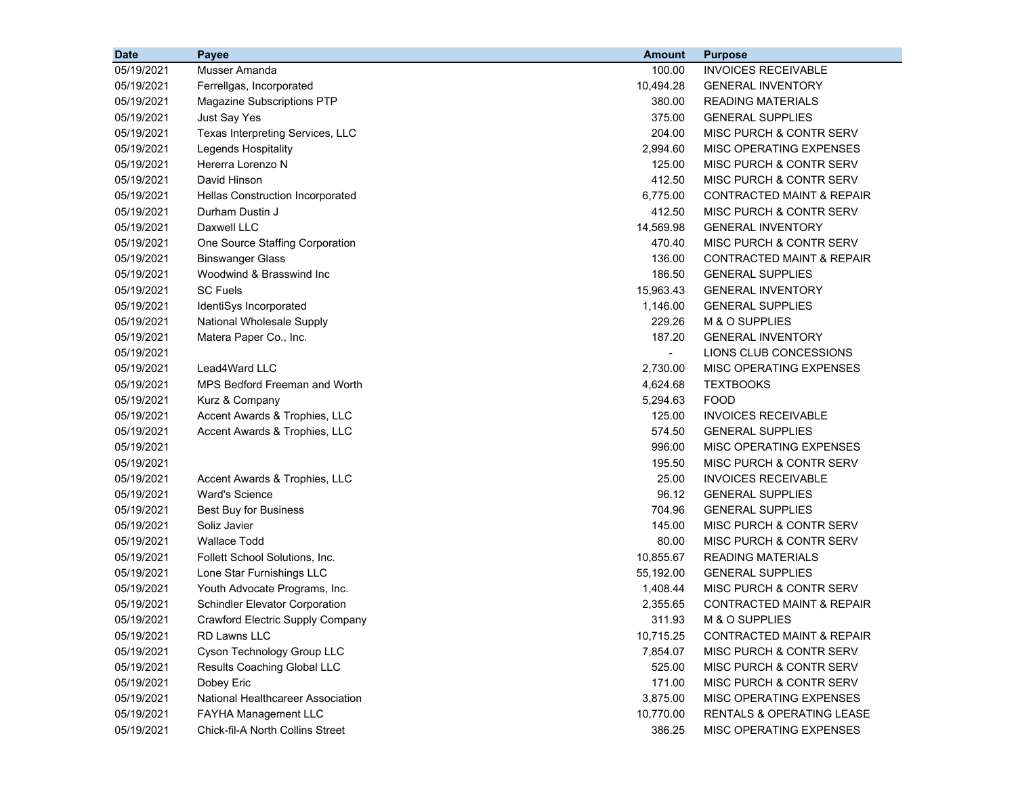| <b>Date</b> | Payee                                 | <b>Amount</b>  | <b>Purpose</b>                       |
|-------------|---------------------------------------|----------------|--------------------------------------|
| 05/19/2021  | Musser Amanda                         | 100.00         | <b>INVOICES RECEIVABLE</b>           |
| 05/19/2021  | Ferrellgas, Incorporated              | 10,494.28      | <b>GENERAL INVENTORY</b>             |
| 05/19/2021  | <b>Magazine Subscriptions PTP</b>     | 380.00         | <b>READING MATERIALS</b>             |
| 05/19/2021  | Just Say Yes                          | 375.00         | <b>GENERAL SUPPLIES</b>              |
| 05/19/2021  | Texas Interpreting Services, LLC      | 204.00         | MISC PURCH & CONTR SERV              |
| 05/19/2021  | Legends Hospitality                   | 2,994.60       | MISC OPERATING EXPENSES              |
| 05/19/2021  | Hererra Lorenzo N                     | 125.00         | MISC PURCH & CONTR SERV              |
| 05/19/2021  | David Hinson                          | 412.50         | <b>MISC PURCH &amp; CONTR SERV</b>   |
| 05/19/2021  | Hellas Construction Incorporated      | 6,775.00       | <b>CONTRACTED MAINT &amp; REPAIR</b> |
| 05/19/2021  | Durham Dustin J                       | 412.50         | <b>MISC PURCH &amp; CONTR SERV</b>   |
| 05/19/2021  | Daxwell LLC                           | 14,569.98      | <b>GENERAL INVENTORY</b>             |
| 05/19/2021  | One Source Staffing Corporation       | 470.40         | MISC PURCH & CONTR SERV              |
| 05/19/2021  | <b>Binswanger Glass</b>               | 136.00         | CONTRACTED MAINT & REPAIR            |
| 05/19/2021  | Woodwind & Brasswind Inc              | 186.50         | <b>GENERAL SUPPLIES</b>              |
| 05/19/2021  | <b>SC Fuels</b>                       | 15,963.43      | <b>GENERAL INVENTORY</b>             |
| 05/19/2021  | IdentiSys Incorporated                | 1,146.00       | <b>GENERAL SUPPLIES</b>              |
| 05/19/2021  | National Wholesale Supply             | 229.26         | M & O SUPPLIES                       |
| 05/19/2021  | Matera Paper Co., Inc.                | 187.20         | <b>GENERAL INVENTORY</b>             |
| 05/19/2021  |                                       | $\blacksquare$ | LIONS CLUB CONCESSIONS               |
| 05/19/2021  | Lead4Ward LLC                         | 2,730.00       | MISC OPERATING EXPENSES              |
| 05/19/2021  | MPS Bedford Freeman and Worth         | 4,624.68       | <b>TEXTBOOKS</b>                     |
| 05/19/2021  | Kurz & Company                        | 5,294.63       | <b>FOOD</b>                          |
| 05/19/2021  | Accent Awards & Trophies, LLC         | 125.00         | <b>INVOICES RECEIVABLE</b>           |
| 05/19/2021  | Accent Awards & Trophies, LLC         | 574.50         | <b>GENERAL SUPPLIES</b>              |
| 05/19/2021  |                                       | 996.00         | MISC OPERATING EXPENSES              |
| 05/19/2021  |                                       | 195.50         | MISC PURCH & CONTR SERV              |
| 05/19/2021  | Accent Awards & Trophies, LLC         | 25.00          | <b>INVOICES RECEIVABLE</b>           |
| 05/19/2021  | <b>Ward's Science</b>                 | 96.12          | <b>GENERAL SUPPLIES</b>              |
| 05/19/2021  | Best Buy for Business                 | 704.96         | <b>GENERAL SUPPLIES</b>              |
| 05/19/2021  | Soliz Javier                          | 145.00         | MISC PURCH & CONTR SERV              |
| 05/19/2021  | <b>Wallace Todd</b>                   | 80.00          | MISC PURCH & CONTR SERV              |
| 05/19/2021  | Follett School Solutions, Inc.        | 10,855.67      | <b>READING MATERIALS</b>             |
| 05/19/2021  | Lone Star Furnishings LLC             | 55,192.00      | <b>GENERAL SUPPLIES</b>              |
| 05/19/2021  | Youth Advocate Programs, Inc.         | 1,408.44       | MISC PURCH & CONTR SERV              |
| 05/19/2021  | <b>Schindler Elevator Corporation</b> | 2,355.65       | <b>CONTRACTED MAINT &amp; REPAIR</b> |
| 05/19/2021  | Crawford Electric Supply Company      | 311.93         | M & O SUPPLIES                       |
| 05/19/2021  | RD Lawns LLC                          | 10,715.25      | CONTRACTED MAINT & REPAIR            |
| 05/19/2021  | Cyson Technology Group LLC            | 7,854.07       | MISC PURCH & CONTR SERV              |
| 05/19/2021  | Results Coaching Global LLC           | 525.00         | MISC PURCH & CONTR SERV              |
| 05/19/2021  | Dobey Eric                            | 171.00         | MISC PURCH & CONTR SERV              |
| 05/19/2021  | National Healthcareer Association     | 3,875.00       | MISC OPERATING EXPENSES              |
| 05/19/2021  | FAYHA Management LLC                  | 10,770.00      | RENTALS & OPERATING LEASE            |
| 05/19/2021  | Chick-fil-A North Collins Street      | 386.25         | MISC OPERATING EXPENSES              |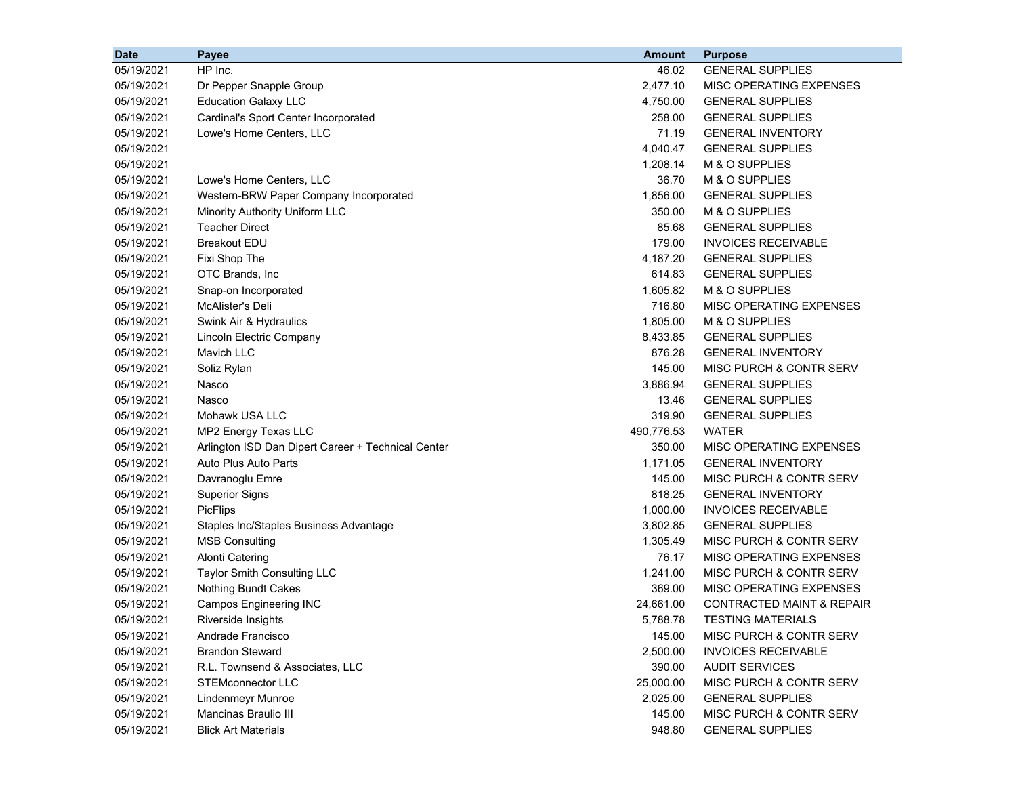| <b>Date</b> | <b>Payee</b>                                       | <b>Amount</b> | <b>Purpose</b>                       |
|-------------|----------------------------------------------------|---------------|--------------------------------------|
| 05/19/2021  | HP Inc.                                            | 46.02         | <b>GENERAL SUPPLIES</b>              |
| 05/19/2021  | Dr Pepper Snapple Group                            | 2,477.10      | MISC OPERATING EXPENSES              |
| 05/19/2021  | <b>Education Galaxy LLC</b>                        | 4,750.00      | <b>GENERAL SUPPLIES</b>              |
| 05/19/2021  | Cardinal's Sport Center Incorporated               | 258.00        | <b>GENERAL SUPPLIES</b>              |
| 05/19/2021  | Lowe's Home Centers, LLC                           | 71.19         | <b>GENERAL INVENTORY</b>             |
| 05/19/2021  |                                                    | 4,040.47      | <b>GENERAL SUPPLIES</b>              |
| 05/19/2021  |                                                    | 1,208.14      | M & O SUPPLIES                       |
| 05/19/2021  | Lowe's Home Centers, LLC                           | 36.70         | M & O SUPPLIES                       |
| 05/19/2021  | Western-BRW Paper Company Incorporated             | 1,856.00      | <b>GENERAL SUPPLIES</b>              |
| 05/19/2021  | Minority Authority Uniform LLC                     | 350.00        | M & O SUPPLIES                       |
| 05/19/2021  | <b>Teacher Direct</b>                              | 85.68         | <b>GENERAL SUPPLIES</b>              |
| 05/19/2021  | <b>Breakout EDU</b>                                | 179.00        | INVOICES RECEIVABLE                  |
| 05/19/2021  | Fixi Shop The                                      | 4,187.20      | <b>GENERAL SUPPLIES</b>              |
| 05/19/2021  | OTC Brands, Inc                                    | 614.83        | <b>GENERAL SUPPLIES</b>              |
| 05/19/2021  | Snap-on Incorporated                               | 1,605.82      | M & O SUPPLIES                       |
| 05/19/2021  | McAlister's Deli                                   | 716.80        | MISC OPERATING EXPENSES              |
| 05/19/2021  | Swink Air & Hydraulics                             | 1,805.00      | M & O SUPPLIES                       |
| 05/19/2021  | Lincoln Electric Company                           | 8,433.85      | <b>GENERAL SUPPLIES</b>              |
| 05/19/2021  | <b>Mavich LLC</b>                                  | 876.28        | <b>GENERAL INVENTORY</b>             |
| 05/19/2021  | Soliz Rylan                                        | 145.00        | MISC PURCH & CONTR SERV              |
| 05/19/2021  | Nasco                                              | 3,886.94      | <b>GENERAL SUPPLIES</b>              |
| 05/19/2021  | Nasco                                              | 13.46         | <b>GENERAL SUPPLIES</b>              |
| 05/19/2021  | Mohawk USA LLC                                     | 319.90        | <b>GENERAL SUPPLIES</b>              |
| 05/19/2021  | MP2 Energy Texas LLC                               | 490,776.53    | <b>WATER</b>                         |
| 05/19/2021  | Arlington ISD Dan Dipert Career + Technical Center | 350.00        | MISC OPERATING EXPENSES              |
| 05/19/2021  | Auto Plus Auto Parts                               | 1,171.05      | <b>GENERAL INVENTORY</b>             |
| 05/19/2021  | Davranoglu Emre                                    | 145.00        | MISC PURCH & CONTR SERV              |
| 05/19/2021  | <b>Superior Signs</b>                              | 818.25        | <b>GENERAL INVENTORY</b>             |
| 05/19/2021  | <b>PicFlips</b>                                    | 1,000.00      | <b>INVOICES RECEIVABLE</b>           |
| 05/19/2021  | Staples Inc/Staples Business Advantage             | 3,802.85      | <b>GENERAL SUPPLIES</b>              |
| 05/19/2021  | <b>MSB Consulting</b>                              | 1,305.49      | MISC PURCH & CONTR SERV              |
| 05/19/2021  | <b>Alonti Catering</b>                             | 76.17         | MISC OPERATING EXPENSES              |
| 05/19/2021  | <b>Taylor Smith Consulting LLC</b>                 | 1,241.00      | MISC PURCH & CONTR SERV              |
| 05/19/2021  | <b>Nothing Bundt Cakes</b>                         | 369.00        | MISC OPERATING EXPENSES              |
| 05/19/2021  | <b>Campos Engineering INC</b>                      | 24,661.00     | <b>CONTRACTED MAINT &amp; REPAIR</b> |
| 05/19/2021  | Riverside Insights                                 | 5,788.78      | <b>TESTING MATERIALS</b>             |
| 05/19/2021  | Andrade Francisco                                  | 145.00        | MISC PURCH & CONTR SERV              |
| 05/19/2021  | <b>Brandon Steward</b>                             | 2,500.00      | <b>INVOICES RECEIVABLE</b>           |
| 05/19/2021  | R.L. Townsend & Associates, LLC                    | 390.00        | <b>AUDIT SERVICES</b>                |
| 05/19/2021  | <b>STEMconnector LLC</b>                           | 25,000.00     | MISC PURCH & CONTR SERV              |
| 05/19/2021  | Lindenmeyr Munroe                                  | 2,025.00      | <b>GENERAL SUPPLIES</b>              |
| 05/19/2021  | Mancinas Braulio III                               | 145.00        | MISC PURCH & CONTR SERV              |
| 05/19/2021  | <b>Blick Art Materials</b>                         | 948.80        | <b>GENERAL SUPPLIES</b>              |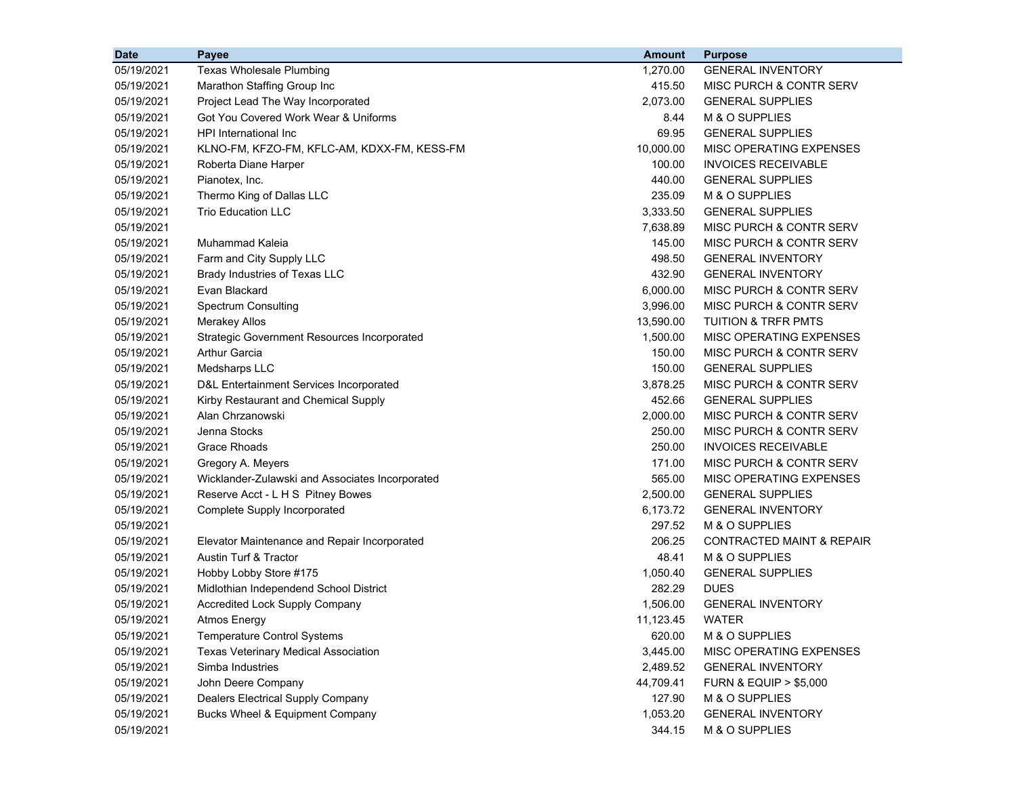| <b>Date</b> | Payee                                              | <b>Amount</b> | <b>Purpose</b>                       |
|-------------|----------------------------------------------------|---------------|--------------------------------------|
| 05/19/2021  | <b>Texas Wholesale Plumbing</b>                    | 1,270.00      | <b>GENERAL INVENTORY</b>             |
| 05/19/2021  | Marathon Staffing Group Inc                        | 415.50        | MISC PURCH & CONTR SERV              |
| 05/19/2021  | Project Lead The Way Incorporated                  | 2,073.00      | <b>GENERAL SUPPLIES</b>              |
| 05/19/2021  | Got You Covered Work Wear & Uniforms               | 8.44          | M & O SUPPLIES                       |
| 05/19/2021  | HPI International Inc                              | 69.95         | <b>GENERAL SUPPLIES</b>              |
| 05/19/2021  | KLNO-FM, KFZO-FM, KFLC-AM, KDXX-FM, KESS-FM        | 10,000.00     | MISC OPERATING EXPENSES              |
| 05/19/2021  | Roberta Diane Harper                               | 100.00        | <b>INVOICES RECEIVABLE</b>           |
| 05/19/2021  | Pianotex, Inc.                                     | 440.00        | <b>GENERAL SUPPLIES</b>              |
| 05/19/2021  | Thermo King of Dallas LLC                          | 235.09        | M & O SUPPLIES                       |
| 05/19/2021  | <b>Trio Education LLC</b>                          | 3,333.50      | <b>GENERAL SUPPLIES</b>              |
| 05/19/2021  |                                                    | 7,638.89      | <b>MISC PURCH &amp; CONTR SERV</b>   |
| 05/19/2021  | Muhammad Kaleia                                    | 145.00        | MISC PURCH & CONTR SERV              |
| 05/19/2021  | Farm and City Supply LLC                           | 498.50        | <b>GENERAL INVENTORY</b>             |
| 05/19/2021  | Brady Industries of Texas LLC                      | 432.90        | <b>GENERAL INVENTORY</b>             |
| 05/19/2021  | Evan Blackard                                      | 6,000.00      | MISC PURCH & CONTR SERV              |
| 05/19/2021  | <b>Spectrum Consulting</b>                         | 3,996.00      | <b>MISC PURCH &amp; CONTR SERV</b>   |
| 05/19/2021  | <b>Merakey Allos</b>                               | 13,590.00     | <b>TUITION &amp; TRFR PMTS</b>       |
| 05/19/2021  | <b>Strategic Government Resources Incorporated</b> | 1,500.00      | <b>MISC OPERATING EXPENSES</b>       |
| 05/19/2021  | Arthur Garcia                                      | 150.00        | <b>MISC PURCH &amp; CONTR SERV</b>   |
| 05/19/2021  | Medsharps LLC                                      | 150.00        | <b>GENERAL SUPPLIES</b>              |
| 05/19/2021  | D&L Entertainment Services Incorporated            | 3,878.25      | MISC PURCH & CONTR SERV              |
| 05/19/2021  | Kirby Restaurant and Chemical Supply               | 452.66        | <b>GENERAL SUPPLIES</b>              |
| 05/19/2021  | Alan Chrzanowski                                   | 2,000.00      | MISC PURCH & CONTR SERV              |
| 05/19/2021  | Jenna Stocks                                       | 250.00        | MISC PURCH & CONTR SERV              |
| 05/19/2021  | <b>Grace Rhoads</b>                                | 250.00        | <b>INVOICES RECEIVABLE</b>           |
| 05/19/2021  | Gregory A. Meyers                                  | 171.00        | MISC PURCH & CONTR SERV              |
| 05/19/2021  | Wicklander-Zulawski and Associates Incorporated    | 565.00        | MISC OPERATING EXPENSES              |
| 05/19/2021  | Reserve Acct - L H S Pitney Bowes                  | 2,500.00      | <b>GENERAL SUPPLIES</b>              |
| 05/19/2021  | Complete Supply Incorporated                       | 6,173.72      | <b>GENERAL INVENTORY</b>             |
| 05/19/2021  |                                                    | 297.52        | M & O SUPPLIES                       |
| 05/19/2021  | Elevator Maintenance and Repair Incorporated       | 206.25        | <b>CONTRACTED MAINT &amp; REPAIR</b> |
| 05/19/2021  | Austin Turf & Tractor                              | 48.41         | M & O SUPPLIES                       |
| 05/19/2021  | Hobby Lobby Store #175                             | 1,050.40      | <b>GENERAL SUPPLIES</b>              |
| 05/19/2021  | Midlothian Independend School District             | 282.29        | <b>DUES</b>                          |
| 05/19/2021  | <b>Accredited Lock Supply Company</b>              | 1,506.00      | <b>GENERAL INVENTORY</b>             |
| 05/19/2021  | Atmos Energy                                       | 11,123.45     | <b>WATER</b>                         |
| 05/19/2021  | <b>Temperature Control Systems</b>                 | 620.00        | M & O SUPPLIES                       |
| 05/19/2021  | <b>Texas Veterinary Medical Association</b>        | 3,445.00      | MISC OPERATING EXPENSES              |
| 05/19/2021  | Simba Industries                                   | 2,489.52      | <b>GENERAL INVENTORY</b>             |
| 05/19/2021  | John Deere Company                                 | 44,709.41     | <b>FURN &amp; EQUIP &gt; \$5,000</b> |
| 05/19/2021  | <b>Dealers Electrical Supply Company</b>           | 127.90        | M & O SUPPLIES                       |
| 05/19/2021  | Bucks Wheel & Equipment Company                    | 1,053.20      | <b>GENERAL INVENTORY</b>             |
| 05/19/2021  |                                                    | 344.15        | M & O SUPPLIES                       |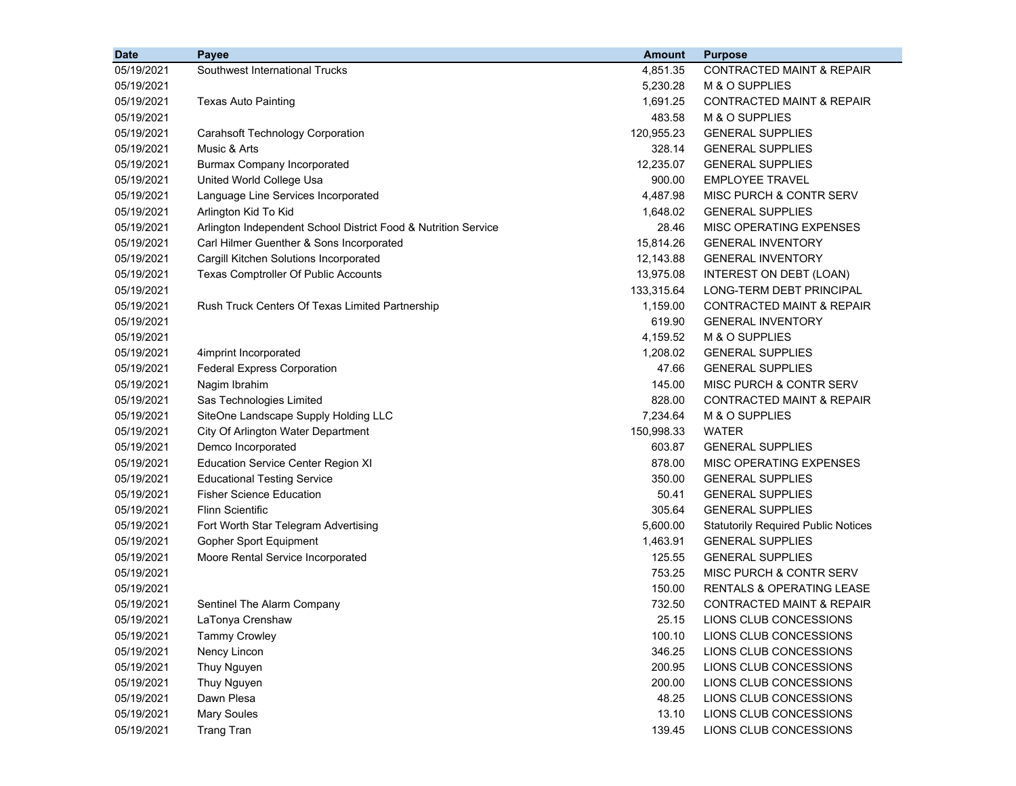| <b>Date</b> | Payee                                                          | <b>Amount</b> | <b>Purpose</b>                             |
|-------------|----------------------------------------------------------------|---------------|--------------------------------------------|
| 05/19/2021  | Southwest International Trucks                                 | 4,851.35      | <b>CONTRACTED MAINT &amp; REPAIR</b>       |
| 05/19/2021  |                                                                | 5,230.28      | M & O SUPPLIES                             |
| 05/19/2021  | Texas Auto Painting                                            | 1,691.25      | <b>CONTRACTED MAINT &amp; REPAIR</b>       |
| 05/19/2021  |                                                                | 483.58        | M & O SUPPLIES                             |
| 05/19/2021  | Carahsoft Technology Corporation                               | 120,955.23    | <b>GENERAL SUPPLIES</b>                    |
| 05/19/2021  | Music & Arts                                                   | 328.14        | <b>GENERAL SUPPLIES</b>                    |
| 05/19/2021  | <b>Burmax Company Incorporated</b>                             | 12,235.07     | <b>GENERAL SUPPLIES</b>                    |
| 05/19/2021  | United World College Usa                                       | 900.00        | <b>EMPLOYEE TRAVEL</b>                     |
| 05/19/2021  | Language Line Services Incorporated                            | 4,487.98      | MISC PURCH & CONTR SERV                    |
| 05/19/2021  | Arlington Kid To Kid                                           | 1,648.02      | <b>GENERAL SUPPLIES</b>                    |
| 05/19/2021  | Arlington Independent School District Food & Nutrition Service | 28.46         | <b>MISC OPERATING EXPENSES</b>             |
| 05/19/2021  | Carl Hilmer Guenther & Sons Incorporated                       | 15,814.26     | <b>GENERAL INVENTORY</b>                   |
| 05/19/2021  | Cargill Kitchen Solutions Incorporated                         | 12,143.88     | <b>GENERAL INVENTORY</b>                   |
| 05/19/2021  | Texas Comptroller Of Public Accounts                           | 13,975.08     | INTEREST ON DEBT (LOAN)                    |
| 05/19/2021  |                                                                | 133,315.64    | LONG-TERM DEBT PRINCIPAL                   |
| 05/19/2021  | Rush Truck Centers Of Texas Limited Partnership                | 1,159.00      | <b>CONTRACTED MAINT &amp; REPAIR</b>       |
| 05/19/2021  |                                                                | 619.90        | <b>GENERAL INVENTORY</b>                   |
| 05/19/2021  |                                                                | 4,159.52      | M & O SUPPLIES                             |
| 05/19/2021  | 4imprint Incorporated                                          | 1,208.02      | <b>GENERAL SUPPLIES</b>                    |
| 05/19/2021  | <b>Federal Express Corporation</b>                             | 47.66         | <b>GENERAL SUPPLIES</b>                    |
| 05/19/2021  | Nagim Ibrahim                                                  | 145.00        | MISC PURCH & CONTR SERV                    |
| 05/19/2021  | Sas Technologies Limited                                       | 828.00        | <b>CONTRACTED MAINT &amp; REPAIR</b>       |
| 05/19/2021  | SiteOne Landscape Supply Holding LLC                           | 7,234.64      | M & O SUPPLIES                             |
| 05/19/2021  | City Of Arlington Water Department                             | 150,998.33    | <b>WATER</b>                               |
| 05/19/2021  | Demco Incorporated                                             | 603.87        | <b>GENERAL SUPPLIES</b>                    |
| 05/19/2021  | <b>Education Service Center Region XI</b>                      | 878.00        | MISC OPERATING EXPENSES                    |
| 05/19/2021  | <b>Educational Testing Service</b>                             | 350.00        | <b>GENERAL SUPPLIES</b>                    |
| 05/19/2021  | <b>Fisher Science Education</b>                                | 50.41         | <b>GENERAL SUPPLIES</b>                    |
| 05/19/2021  | <b>Flinn Scientific</b>                                        | 305.64        | <b>GENERAL SUPPLIES</b>                    |
| 05/19/2021  | Fort Worth Star Telegram Advertising                           | 5,600.00      | <b>Statutorily Required Public Notices</b> |
| 05/19/2021  | Gopher Sport Equipment                                         | 1,463.91      | <b>GENERAL SUPPLIES</b>                    |
| 05/19/2021  | Moore Rental Service Incorporated                              | 125.55        | <b>GENERAL SUPPLIES</b>                    |
| 05/19/2021  |                                                                | 753.25        | MISC PURCH & CONTR SERV                    |
| 05/19/2021  |                                                                | 150.00        | <b>RENTALS &amp; OPERATING LEASE</b>       |
| 05/19/2021  | Sentinel The Alarm Company                                     | 732.50        | <b>CONTRACTED MAINT &amp; REPAIR</b>       |
| 05/19/2021  | LaTonya Crenshaw                                               | 25.15         | LIONS CLUB CONCESSIONS                     |
| 05/19/2021  | <b>Tammy Crowley</b>                                           | 100.10        | LIONS CLUB CONCESSIONS                     |
| 05/19/2021  | Nency Lincon                                                   | 346.25        | LIONS CLUB CONCESSIONS                     |
| 05/19/2021  | Thuy Nguyen                                                    | 200.95        | LIONS CLUB CONCESSIONS                     |
| 05/19/2021  | Thuy Nguyen                                                    | 200.00        | LIONS CLUB CONCESSIONS                     |
| 05/19/2021  | Dawn Plesa                                                     | 48.25         | LIONS CLUB CONCESSIONS                     |
| 05/19/2021  | <b>Mary Soules</b>                                             | 13.10         | LIONS CLUB CONCESSIONS                     |
| 05/19/2021  | <b>Trang Tran</b>                                              | 139.45        | LIONS CLUB CONCESSIONS                     |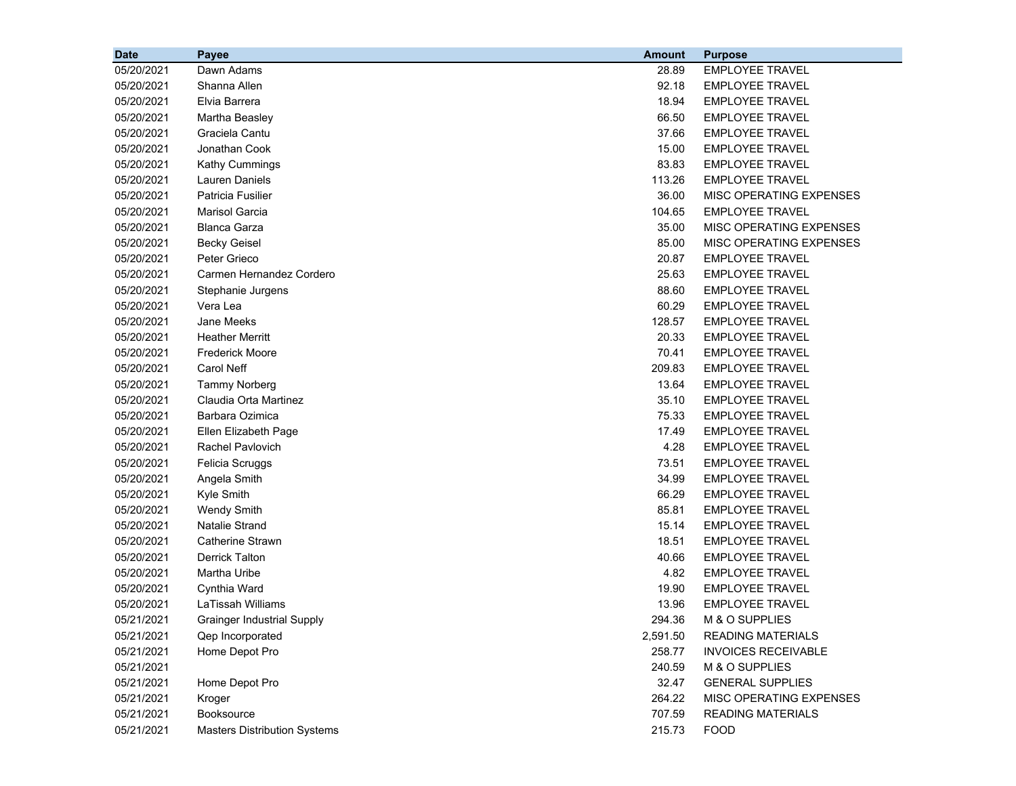| <b>Date</b> | Payee                               | <b>Amount</b> | <b>Purpose</b>             |
|-------------|-------------------------------------|---------------|----------------------------|
| 05/20/2021  | Dawn Adams                          | 28.89         | <b>EMPLOYEE TRAVEL</b>     |
| 05/20/2021  | Shanna Allen                        | 92.18         | <b>EMPLOYEE TRAVEL</b>     |
| 05/20/2021  | Elvia Barrera                       | 18.94         | <b>EMPLOYEE TRAVEL</b>     |
| 05/20/2021  | Martha Beasley                      | 66.50         | <b>EMPLOYEE TRAVEL</b>     |
| 05/20/2021  | Graciela Cantu                      | 37.66         | <b>EMPLOYEE TRAVEL</b>     |
| 05/20/2021  | Jonathan Cook                       | 15.00         | <b>EMPLOYEE TRAVEL</b>     |
| 05/20/2021  | Kathy Cummings                      | 83.83         | <b>EMPLOYEE TRAVEL</b>     |
| 05/20/2021  | Lauren Daniels                      | 113.26        | <b>EMPLOYEE TRAVEL</b>     |
| 05/20/2021  | Patricia Fusilier                   | 36.00         | MISC OPERATING EXPENSES    |
| 05/20/2021  | Marisol Garcia                      | 104.65        | <b>EMPLOYEE TRAVEL</b>     |
| 05/20/2021  | <b>Blanca Garza</b>                 | 35.00         | MISC OPERATING EXPENSES    |
| 05/20/2021  | <b>Becky Geisel</b>                 | 85.00         | MISC OPERATING EXPENSES    |
| 05/20/2021  | Peter Grieco                        | 20.87         | <b>EMPLOYEE TRAVEL</b>     |
| 05/20/2021  | Carmen Hernandez Cordero            | 25.63         | <b>EMPLOYEE TRAVEL</b>     |
| 05/20/2021  | Stephanie Jurgens                   | 88.60         | <b>EMPLOYEE TRAVEL</b>     |
| 05/20/2021  | Vera Lea                            | 60.29         | <b>EMPLOYEE TRAVEL</b>     |
| 05/20/2021  | Jane Meeks                          | 128.57        | <b>EMPLOYEE TRAVEL</b>     |
| 05/20/2021  | <b>Heather Merritt</b>              | 20.33         | <b>EMPLOYEE TRAVEL</b>     |
| 05/20/2021  | <b>Frederick Moore</b>              | 70.41         | <b>EMPLOYEE TRAVEL</b>     |
| 05/20/2021  | Carol Neff                          | 209.83        | <b>EMPLOYEE TRAVEL</b>     |
| 05/20/2021  | <b>Tammy Norberg</b>                | 13.64         | <b>EMPLOYEE TRAVEL</b>     |
| 05/20/2021  | Claudia Orta Martinez               | 35.10         | <b>EMPLOYEE TRAVEL</b>     |
| 05/20/2021  | Barbara Ozimica                     | 75.33         | <b>EMPLOYEE TRAVEL</b>     |
| 05/20/2021  | Ellen Elizabeth Page                | 17.49         | <b>EMPLOYEE TRAVEL</b>     |
| 05/20/2021  | <b>Rachel Pavlovich</b>             | 4.28          | <b>EMPLOYEE TRAVEL</b>     |
| 05/20/2021  | Felicia Scruggs                     | 73.51         | <b>EMPLOYEE TRAVEL</b>     |
| 05/20/2021  | Angela Smith                        | 34.99         | <b>EMPLOYEE TRAVEL</b>     |
| 05/20/2021  | Kyle Smith                          | 66.29         | <b>EMPLOYEE TRAVEL</b>     |
| 05/20/2021  | <b>Wendy Smith</b>                  | 85.81         | <b>EMPLOYEE TRAVEL</b>     |
| 05/20/2021  | <b>Natalie Strand</b>               | 15.14         | <b>EMPLOYEE TRAVEL</b>     |
| 05/20/2021  | <b>Catherine Strawn</b>             | 18.51         | <b>EMPLOYEE TRAVEL</b>     |
| 05/20/2021  | <b>Derrick Talton</b>               | 40.66         | <b>EMPLOYEE TRAVEL</b>     |
| 05/20/2021  | Martha Uribe                        | 4.82          | <b>EMPLOYEE TRAVEL</b>     |
| 05/20/2021  | Cynthia Ward                        | 19.90         | <b>EMPLOYEE TRAVEL</b>     |
| 05/20/2021  | LaTissah Williams                   | 13.96         | <b>EMPLOYEE TRAVEL</b>     |
| 05/21/2021  | <b>Grainger Industrial Supply</b>   | 294.36        | M & O SUPPLIES             |
| 05/21/2021  | Qep Incorporated                    | 2,591.50      | <b>READING MATERIALS</b>   |
| 05/21/2021  | Home Depot Pro                      | 258.77        | <b>INVOICES RECEIVABLE</b> |
| 05/21/2021  |                                     | 240.59        | M & O SUPPLIES             |
| 05/21/2021  | Home Depot Pro                      | 32.47         | <b>GENERAL SUPPLIES</b>    |
| 05/21/2021  | Kroger                              | 264.22        | MISC OPERATING EXPENSES    |
| 05/21/2021  | Booksource                          | 707.59        | <b>READING MATERIALS</b>   |
| 05/21/2021  | <b>Masters Distribution Systems</b> | 215.73        | <b>FOOD</b>                |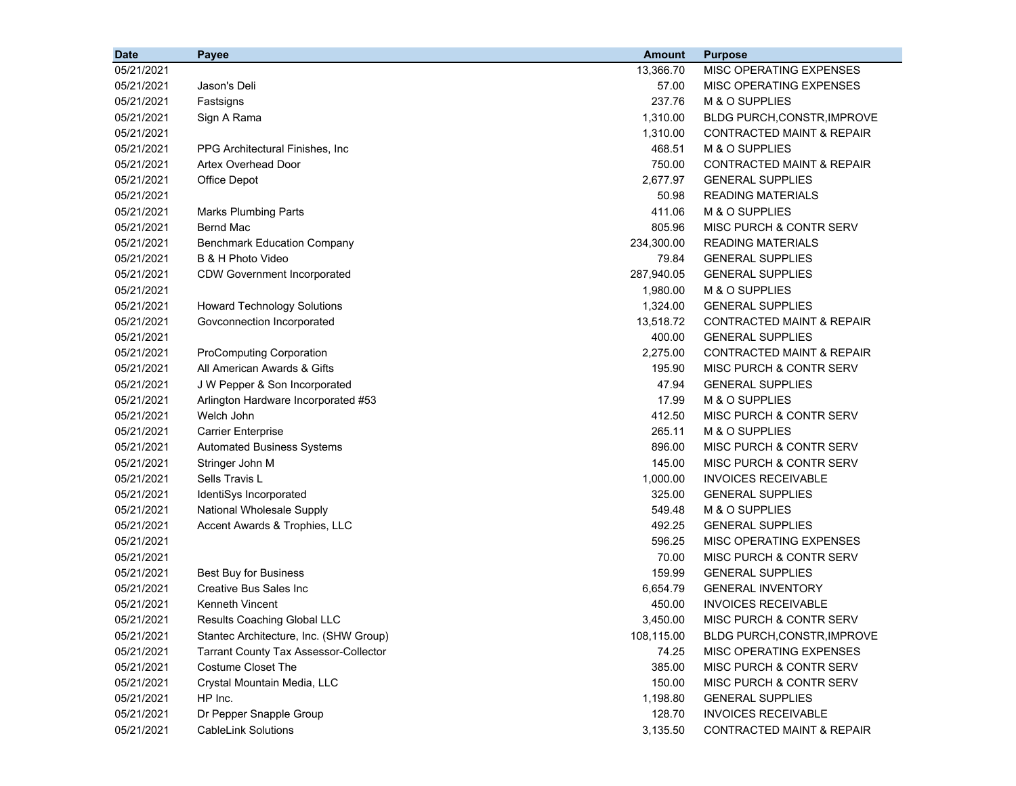| 05/21/2021<br>13,366.70<br>MISC OPERATING EXPENSES<br>57.00<br>05/21/2021<br>Jason's Deli<br>MISC OPERATING EXPENSES<br>237.76<br>M & O SUPPLIES<br>05/21/2021<br>Fastsigns<br>1,310.00<br>05/21/2021<br>Sign A Rama<br>BLDG PURCH, CONSTR, IMPROVE<br>1,310.00<br>05/21/2021<br><b>CONTRACTED MAINT &amp; REPAIR</b><br>468.51<br>M & O SUPPLIES<br>05/21/2021<br>PPG Architectural Finishes, Inc.<br>750.00<br>CONTRACTED MAINT & REPAIR<br>05/21/2021<br>Artex Overhead Door<br>2,677.97<br><b>GENERAL SUPPLIES</b><br>05/21/2021<br>Office Depot<br>50.98<br><b>READING MATERIALS</b><br>05/21/2021<br>411.06<br>M & O SUPPLIES<br>05/21/2021<br><b>Marks Plumbing Parts</b><br><b>Bernd Mac</b><br>805.96<br>MISC PURCH & CONTR SERV<br>05/21/2021<br>234,300.00<br>05/21/2021<br><b>Benchmark Education Company</b><br><b>READING MATERIALS</b><br><b>GENERAL SUPPLIES</b><br>05/21/2021<br>B & H Photo Video<br>79.84<br>287,940.05<br>05/21/2021<br><b>CDW Government Incorporated</b><br><b>GENERAL SUPPLIES</b><br>1,980.00<br>M & O SUPPLIES<br>05/21/2021<br>1,324.00<br>05/21/2021<br><b>Howard Technology Solutions</b><br><b>GENERAL SUPPLIES</b><br>13,518.72<br>05/21/2021<br>Govconnection Incorporated<br>CONTRACTED MAINT & REPAIR<br>400.00<br><b>GENERAL SUPPLIES</b><br>05/21/2021<br>05/21/2021<br>ProComputing Corporation<br>2,275.00<br><b>CONTRACTED MAINT &amp; REPAIR</b><br>All American Awards & Gifts<br>195.90<br>05/21/2021<br>MISC PURCH & CONTR SERV<br>05/21/2021<br>J W Pepper & Son Incorporated<br>47.94<br><b>GENERAL SUPPLIES</b><br>17.99<br>M & O SUPPLIES<br>05/21/2021<br>Arlington Hardware Incorporated #53<br>Welch John<br>412.50<br>MISC PURCH & CONTR SERV<br>05/21/2021<br>265.11<br>M & O SUPPLIES<br>05/21/2021<br><b>Carrier Enterprise</b><br>896.00<br><b>MISC PURCH &amp; CONTR SERV</b><br>05/21/2021<br><b>Automated Business Systems</b><br>Stringer John M<br>145.00<br>MISC PURCH & CONTR SERV<br>05/21/2021<br>Sells Travis L<br>1,000.00<br><b>INVOICES RECEIVABLE</b><br>05/21/2021<br>325.00<br><b>GENERAL SUPPLIES</b><br>05/21/2021<br>IdentiSys Incorporated<br>549.48<br>M & O SUPPLIES<br>05/21/2021<br>National Wholesale Supply<br>492.25<br><b>GENERAL SUPPLIES</b><br>05/21/2021<br>Accent Awards & Trophies, LLC<br>596.25<br>MISC OPERATING EXPENSES<br>05/21/2021<br>70.00<br>MISC PURCH & CONTR SERV<br>05/21/2021<br>159.99<br><b>GENERAL SUPPLIES</b><br>05/21/2021<br>Best Buy for Business<br>Creative Bus Sales Inc<br>05/21/2021<br>6,654.79<br><b>GENERAL INVENTORY</b><br>05/21/2021<br>Kenneth Vincent<br>450.00<br><b>INVOICES RECEIVABLE</b><br>3,450.00<br>05/21/2021<br>MISC PURCH & CONTR SERV<br>Results Coaching Global LLC<br>Stantec Architecture, Inc. (SHW Group)<br>BLDG PURCH, CONSTR, IMPROVE<br>05/21/2021<br>108,115.00<br>05/21/2021<br><b>Tarrant County Tax Assessor-Collector</b><br>74.25<br>MISC OPERATING EXPENSES<br><b>Costume Closet The</b><br>05/21/2021<br>385.00<br>MISC PURCH & CONTR SERV<br>05/21/2021<br>Crystal Mountain Media, LLC<br>150.00<br>MISC PURCH & CONTR SERV<br>HP Inc.<br><b>GENERAL SUPPLIES</b><br>05/21/2021<br>1,198.80 | <b>Date</b> | Payee | <b>Amount</b> | <b>Purpose</b> |
|------------------------------------------------------------------------------------------------------------------------------------------------------------------------------------------------------------------------------------------------------------------------------------------------------------------------------------------------------------------------------------------------------------------------------------------------------------------------------------------------------------------------------------------------------------------------------------------------------------------------------------------------------------------------------------------------------------------------------------------------------------------------------------------------------------------------------------------------------------------------------------------------------------------------------------------------------------------------------------------------------------------------------------------------------------------------------------------------------------------------------------------------------------------------------------------------------------------------------------------------------------------------------------------------------------------------------------------------------------------------------------------------------------------------------------------------------------------------------------------------------------------------------------------------------------------------------------------------------------------------------------------------------------------------------------------------------------------------------------------------------------------------------------------------------------------------------------------------------------------------------------------------------------------------------------------------------------------------------------------------------------------------------------------------------------------------------------------------------------------------------------------------------------------------------------------------------------------------------------------------------------------------------------------------------------------------------------------------------------------------------------------------------------------------------------------------------------------------------------------------------------------------------------------------------------------------------------------------------------------------------------------------------------------------------------------------------------------------------------------------------------------------------------------------------------------------------------------------------------------------------------------------------------------------------------------------------------------------------------------------------------------------------------------------------------------------------------------------------------------------------------------------------------------------|-------------|-------|---------------|----------------|
|                                                                                                                                                                                                                                                                                                                                                                                                                                                                                                                                                                                                                                                                                                                                                                                                                                                                                                                                                                                                                                                                                                                                                                                                                                                                                                                                                                                                                                                                                                                                                                                                                                                                                                                                                                                                                                                                                                                                                                                                                                                                                                                                                                                                                                                                                                                                                                                                                                                                                                                                                                                                                                                                                                                                                                                                                                                                                                                                                                                                                                                                                                                                                                        |             |       |               |                |
|                                                                                                                                                                                                                                                                                                                                                                                                                                                                                                                                                                                                                                                                                                                                                                                                                                                                                                                                                                                                                                                                                                                                                                                                                                                                                                                                                                                                                                                                                                                                                                                                                                                                                                                                                                                                                                                                                                                                                                                                                                                                                                                                                                                                                                                                                                                                                                                                                                                                                                                                                                                                                                                                                                                                                                                                                                                                                                                                                                                                                                                                                                                                                                        |             |       |               |                |
|                                                                                                                                                                                                                                                                                                                                                                                                                                                                                                                                                                                                                                                                                                                                                                                                                                                                                                                                                                                                                                                                                                                                                                                                                                                                                                                                                                                                                                                                                                                                                                                                                                                                                                                                                                                                                                                                                                                                                                                                                                                                                                                                                                                                                                                                                                                                                                                                                                                                                                                                                                                                                                                                                                                                                                                                                                                                                                                                                                                                                                                                                                                                                                        |             |       |               |                |
|                                                                                                                                                                                                                                                                                                                                                                                                                                                                                                                                                                                                                                                                                                                                                                                                                                                                                                                                                                                                                                                                                                                                                                                                                                                                                                                                                                                                                                                                                                                                                                                                                                                                                                                                                                                                                                                                                                                                                                                                                                                                                                                                                                                                                                                                                                                                                                                                                                                                                                                                                                                                                                                                                                                                                                                                                                                                                                                                                                                                                                                                                                                                                                        |             |       |               |                |
|                                                                                                                                                                                                                                                                                                                                                                                                                                                                                                                                                                                                                                                                                                                                                                                                                                                                                                                                                                                                                                                                                                                                                                                                                                                                                                                                                                                                                                                                                                                                                                                                                                                                                                                                                                                                                                                                                                                                                                                                                                                                                                                                                                                                                                                                                                                                                                                                                                                                                                                                                                                                                                                                                                                                                                                                                                                                                                                                                                                                                                                                                                                                                                        |             |       |               |                |
|                                                                                                                                                                                                                                                                                                                                                                                                                                                                                                                                                                                                                                                                                                                                                                                                                                                                                                                                                                                                                                                                                                                                                                                                                                                                                                                                                                                                                                                                                                                                                                                                                                                                                                                                                                                                                                                                                                                                                                                                                                                                                                                                                                                                                                                                                                                                                                                                                                                                                                                                                                                                                                                                                                                                                                                                                                                                                                                                                                                                                                                                                                                                                                        |             |       |               |                |
|                                                                                                                                                                                                                                                                                                                                                                                                                                                                                                                                                                                                                                                                                                                                                                                                                                                                                                                                                                                                                                                                                                                                                                                                                                                                                                                                                                                                                                                                                                                                                                                                                                                                                                                                                                                                                                                                                                                                                                                                                                                                                                                                                                                                                                                                                                                                                                                                                                                                                                                                                                                                                                                                                                                                                                                                                                                                                                                                                                                                                                                                                                                                                                        |             |       |               |                |
|                                                                                                                                                                                                                                                                                                                                                                                                                                                                                                                                                                                                                                                                                                                                                                                                                                                                                                                                                                                                                                                                                                                                                                                                                                                                                                                                                                                                                                                                                                                                                                                                                                                                                                                                                                                                                                                                                                                                                                                                                                                                                                                                                                                                                                                                                                                                                                                                                                                                                                                                                                                                                                                                                                                                                                                                                                                                                                                                                                                                                                                                                                                                                                        |             |       |               |                |
|                                                                                                                                                                                                                                                                                                                                                                                                                                                                                                                                                                                                                                                                                                                                                                                                                                                                                                                                                                                                                                                                                                                                                                                                                                                                                                                                                                                                                                                                                                                                                                                                                                                                                                                                                                                                                                                                                                                                                                                                                                                                                                                                                                                                                                                                                                                                                                                                                                                                                                                                                                                                                                                                                                                                                                                                                                                                                                                                                                                                                                                                                                                                                                        |             |       |               |                |
|                                                                                                                                                                                                                                                                                                                                                                                                                                                                                                                                                                                                                                                                                                                                                                                                                                                                                                                                                                                                                                                                                                                                                                                                                                                                                                                                                                                                                                                                                                                                                                                                                                                                                                                                                                                                                                                                                                                                                                                                                                                                                                                                                                                                                                                                                                                                                                                                                                                                                                                                                                                                                                                                                                                                                                                                                                                                                                                                                                                                                                                                                                                                                                        |             |       |               |                |
|                                                                                                                                                                                                                                                                                                                                                                                                                                                                                                                                                                                                                                                                                                                                                                                                                                                                                                                                                                                                                                                                                                                                                                                                                                                                                                                                                                                                                                                                                                                                                                                                                                                                                                                                                                                                                                                                                                                                                                                                                                                                                                                                                                                                                                                                                                                                                                                                                                                                                                                                                                                                                                                                                                                                                                                                                                                                                                                                                                                                                                                                                                                                                                        |             |       |               |                |
|                                                                                                                                                                                                                                                                                                                                                                                                                                                                                                                                                                                                                                                                                                                                                                                                                                                                                                                                                                                                                                                                                                                                                                                                                                                                                                                                                                                                                                                                                                                                                                                                                                                                                                                                                                                                                                                                                                                                                                                                                                                                                                                                                                                                                                                                                                                                                                                                                                                                                                                                                                                                                                                                                                                                                                                                                                                                                                                                                                                                                                                                                                                                                                        |             |       |               |                |
|                                                                                                                                                                                                                                                                                                                                                                                                                                                                                                                                                                                                                                                                                                                                                                                                                                                                                                                                                                                                                                                                                                                                                                                                                                                                                                                                                                                                                                                                                                                                                                                                                                                                                                                                                                                                                                                                                                                                                                                                                                                                                                                                                                                                                                                                                                                                                                                                                                                                                                                                                                                                                                                                                                                                                                                                                                                                                                                                                                                                                                                                                                                                                                        |             |       |               |                |
|                                                                                                                                                                                                                                                                                                                                                                                                                                                                                                                                                                                                                                                                                                                                                                                                                                                                                                                                                                                                                                                                                                                                                                                                                                                                                                                                                                                                                                                                                                                                                                                                                                                                                                                                                                                                                                                                                                                                                                                                                                                                                                                                                                                                                                                                                                                                                                                                                                                                                                                                                                                                                                                                                                                                                                                                                                                                                                                                                                                                                                                                                                                                                                        |             |       |               |                |
|                                                                                                                                                                                                                                                                                                                                                                                                                                                                                                                                                                                                                                                                                                                                                                                                                                                                                                                                                                                                                                                                                                                                                                                                                                                                                                                                                                                                                                                                                                                                                                                                                                                                                                                                                                                                                                                                                                                                                                                                                                                                                                                                                                                                                                                                                                                                                                                                                                                                                                                                                                                                                                                                                                                                                                                                                                                                                                                                                                                                                                                                                                                                                                        |             |       |               |                |
|                                                                                                                                                                                                                                                                                                                                                                                                                                                                                                                                                                                                                                                                                                                                                                                                                                                                                                                                                                                                                                                                                                                                                                                                                                                                                                                                                                                                                                                                                                                                                                                                                                                                                                                                                                                                                                                                                                                                                                                                                                                                                                                                                                                                                                                                                                                                                                                                                                                                                                                                                                                                                                                                                                                                                                                                                                                                                                                                                                                                                                                                                                                                                                        |             |       |               |                |
|                                                                                                                                                                                                                                                                                                                                                                                                                                                                                                                                                                                                                                                                                                                                                                                                                                                                                                                                                                                                                                                                                                                                                                                                                                                                                                                                                                                                                                                                                                                                                                                                                                                                                                                                                                                                                                                                                                                                                                                                                                                                                                                                                                                                                                                                                                                                                                                                                                                                                                                                                                                                                                                                                                                                                                                                                                                                                                                                                                                                                                                                                                                                                                        |             |       |               |                |
|                                                                                                                                                                                                                                                                                                                                                                                                                                                                                                                                                                                                                                                                                                                                                                                                                                                                                                                                                                                                                                                                                                                                                                                                                                                                                                                                                                                                                                                                                                                                                                                                                                                                                                                                                                                                                                                                                                                                                                                                                                                                                                                                                                                                                                                                                                                                                                                                                                                                                                                                                                                                                                                                                                                                                                                                                                                                                                                                                                                                                                                                                                                                                                        |             |       |               |                |
|                                                                                                                                                                                                                                                                                                                                                                                                                                                                                                                                                                                                                                                                                                                                                                                                                                                                                                                                                                                                                                                                                                                                                                                                                                                                                                                                                                                                                                                                                                                                                                                                                                                                                                                                                                                                                                                                                                                                                                                                                                                                                                                                                                                                                                                                                                                                                                                                                                                                                                                                                                                                                                                                                                                                                                                                                                                                                                                                                                                                                                                                                                                                                                        |             |       |               |                |
|                                                                                                                                                                                                                                                                                                                                                                                                                                                                                                                                                                                                                                                                                                                                                                                                                                                                                                                                                                                                                                                                                                                                                                                                                                                                                                                                                                                                                                                                                                                                                                                                                                                                                                                                                                                                                                                                                                                                                                                                                                                                                                                                                                                                                                                                                                                                                                                                                                                                                                                                                                                                                                                                                                                                                                                                                                                                                                                                                                                                                                                                                                                                                                        |             |       |               |                |
|                                                                                                                                                                                                                                                                                                                                                                                                                                                                                                                                                                                                                                                                                                                                                                                                                                                                                                                                                                                                                                                                                                                                                                                                                                                                                                                                                                                                                                                                                                                                                                                                                                                                                                                                                                                                                                                                                                                                                                                                                                                                                                                                                                                                                                                                                                                                                                                                                                                                                                                                                                                                                                                                                                                                                                                                                                                                                                                                                                                                                                                                                                                                                                        |             |       |               |                |
|                                                                                                                                                                                                                                                                                                                                                                                                                                                                                                                                                                                                                                                                                                                                                                                                                                                                                                                                                                                                                                                                                                                                                                                                                                                                                                                                                                                                                                                                                                                                                                                                                                                                                                                                                                                                                                                                                                                                                                                                                                                                                                                                                                                                                                                                                                                                                                                                                                                                                                                                                                                                                                                                                                                                                                                                                                                                                                                                                                                                                                                                                                                                                                        |             |       |               |                |
|                                                                                                                                                                                                                                                                                                                                                                                                                                                                                                                                                                                                                                                                                                                                                                                                                                                                                                                                                                                                                                                                                                                                                                                                                                                                                                                                                                                                                                                                                                                                                                                                                                                                                                                                                                                                                                                                                                                                                                                                                                                                                                                                                                                                                                                                                                                                                                                                                                                                                                                                                                                                                                                                                                                                                                                                                                                                                                                                                                                                                                                                                                                                                                        |             |       |               |                |
|                                                                                                                                                                                                                                                                                                                                                                                                                                                                                                                                                                                                                                                                                                                                                                                                                                                                                                                                                                                                                                                                                                                                                                                                                                                                                                                                                                                                                                                                                                                                                                                                                                                                                                                                                                                                                                                                                                                                                                                                                                                                                                                                                                                                                                                                                                                                                                                                                                                                                                                                                                                                                                                                                                                                                                                                                                                                                                                                                                                                                                                                                                                                                                        |             |       |               |                |
|                                                                                                                                                                                                                                                                                                                                                                                                                                                                                                                                                                                                                                                                                                                                                                                                                                                                                                                                                                                                                                                                                                                                                                                                                                                                                                                                                                                                                                                                                                                                                                                                                                                                                                                                                                                                                                                                                                                                                                                                                                                                                                                                                                                                                                                                                                                                                                                                                                                                                                                                                                                                                                                                                                                                                                                                                                                                                                                                                                                                                                                                                                                                                                        |             |       |               |                |
|                                                                                                                                                                                                                                                                                                                                                                                                                                                                                                                                                                                                                                                                                                                                                                                                                                                                                                                                                                                                                                                                                                                                                                                                                                                                                                                                                                                                                                                                                                                                                                                                                                                                                                                                                                                                                                                                                                                                                                                                                                                                                                                                                                                                                                                                                                                                                                                                                                                                                                                                                                                                                                                                                                                                                                                                                                                                                                                                                                                                                                                                                                                                                                        |             |       |               |                |
|                                                                                                                                                                                                                                                                                                                                                                                                                                                                                                                                                                                                                                                                                                                                                                                                                                                                                                                                                                                                                                                                                                                                                                                                                                                                                                                                                                                                                                                                                                                                                                                                                                                                                                                                                                                                                                                                                                                                                                                                                                                                                                                                                                                                                                                                                                                                                                                                                                                                                                                                                                                                                                                                                                                                                                                                                                                                                                                                                                                                                                                                                                                                                                        |             |       |               |                |
|                                                                                                                                                                                                                                                                                                                                                                                                                                                                                                                                                                                                                                                                                                                                                                                                                                                                                                                                                                                                                                                                                                                                                                                                                                                                                                                                                                                                                                                                                                                                                                                                                                                                                                                                                                                                                                                                                                                                                                                                                                                                                                                                                                                                                                                                                                                                                                                                                                                                                                                                                                                                                                                                                                                                                                                                                                                                                                                                                                                                                                                                                                                                                                        |             |       |               |                |
|                                                                                                                                                                                                                                                                                                                                                                                                                                                                                                                                                                                                                                                                                                                                                                                                                                                                                                                                                                                                                                                                                                                                                                                                                                                                                                                                                                                                                                                                                                                                                                                                                                                                                                                                                                                                                                                                                                                                                                                                                                                                                                                                                                                                                                                                                                                                                                                                                                                                                                                                                                                                                                                                                                                                                                                                                                                                                                                                                                                                                                                                                                                                                                        |             |       |               |                |
|                                                                                                                                                                                                                                                                                                                                                                                                                                                                                                                                                                                                                                                                                                                                                                                                                                                                                                                                                                                                                                                                                                                                                                                                                                                                                                                                                                                                                                                                                                                                                                                                                                                                                                                                                                                                                                                                                                                                                                                                                                                                                                                                                                                                                                                                                                                                                                                                                                                                                                                                                                                                                                                                                                                                                                                                                                                                                                                                                                                                                                                                                                                                                                        |             |       |               |                |
|                                                                                                                                                                                                                                                                                                                                                                                                                                                                                                                                                                                                                                                                                                                                                                                                                                                                                                                                                                                                                                                                                                                                                                                                                                                                                                                                                                                                                                                                                                                                                                                                                                                                                                                                                                                                                                                                                                                                                                                                                                                                                                                                                                                                                                                                                                                                                                                                                                                                                                                                                                                                                                                                                                                                                                                                                                                                                                                                                                                                                                                                                                                                                                        |             |       |               |                |
|                                                                                                                                                                                                                                                                                                                                                                                                                                                                                                                                                                                                                                                                                                                                                                                                                                                                                                                                                                                                                                                                                                                                                                                                                                                                                                                                                                                                                                                                                                                                                                                                                                                                                                                                                                                                                                                                                                                                                                                                                                                                                                                                                                                                                                                                                                                                                                                                                                                                                                                                                                                                                                                                                                                                                                                                                                                                                                                                                                                                                                                                                                                                                                        |             |       |               |                |
|                                                                                                                                                                                                                                                                                                                                                                                                                                                                                                                                                                                                                                                                                                                                                                                                                                                                                                                                                                                                                                                                                                                                                                                                                                                                                                                                                                                                                                                                                                                                                                                                                                                                                                                                                                                                                                                                                                                                                                                                                                                                                                                                                                                                                                                                                                                                                                                                                                                                                                                                                                                                                                                                                                                                                                                                                                                                                                                                                                                                                                                                                                                                                                        |             |       |               |                |
|                                                                                                                                                                                                                                                                                                                                                                                                                                                                                                                                                                                                                                                                                                                                                                                                                                                                                                                                                                                                                                                                                                                                                                                                                                                                                                                                                                                                                                                                                                                                                                                                                                                                                                                                                                                                                                                                                                                                                                                                                                                                                                                                                                                                                                                                                                                                                                                                                                                                                                                                                                                                                                                                                                                                                                                                                                                                                                                                                                                                                                                                                                                                                                        |             |       |               |                |
|                                                                                                                                                                                                                                                                                                                                                                                                                                                                                                                                                                                                                                                                                                                                                                                                                                                                                                                                                                                                                                                                                                                                                                                                                                                                                                                                                                                                                                                                                                                                                                                                                                                                                                                                                                                                                                                                                                                                                                                                                                                                                                                                                                                                                                                                                                                                                                                                                                                                                                                                                                                                                                                                                                                                                                                                                                                                                                                                                                                                                                                                                                                                                                        |             |       |               |                |
|                                                                                                                                                                                                                                                                                                                                                                                                                                                                                                                                                                                                                                                                                                                                                                                                                                                                                                                                                                                                                                                                                                                                                                                                                                                                                                                                                                                                                                                                                                                                                                                                                                                                                                                                                                                                                                                                                                                                                                                                                                                                                                                                                                                                                                                                                                                                                                                                                                                                                                                                                                                                                                                                                                                                                                                                                                                                                                                                                                                                                                                                                                                                                                        |             |       |               |                |
|                                                                                                                                                                                                                                                                                                                                                                                                                                                                                                                                                                                                                                                                                                                                                                                                                                                                                                                                                                                                                                                                                                                                                                                                                                                                                                                                                                                                                                                                                                                                                                                                                                                                                                                                                                                                                                                                                                                                                                                                                                                                                                                                                                                                                                                                                                                                                                                                                                                                                                                                                                                                                                                                                                                                                                                                                                                                                                                                                                                                                                                                                                                                                                        |             |       |               |                |
|                                                                                                                                                                                                                                                                                                                                                                                                                                                                                                                                                                                                                                                                                                                                                                                                                                                                                                                                                                                                                                                                                                                                                                                                                                                                                                                                                                                                                                                                                                                                                                                                                                                                                                                                                                                                                                                                                                                                                                                                                                                                                                                                                                                                                                                                                                                                                                                                                                                                                                                                                                                                                                                                                                                                                                                                                                                                                                                                                                                                                                                                                                                                                                        |             |       |               |                |
|                                                                                                                                                                                                                                                                                                                                                                                                                                                                                                                                                                                                                                                                                                                                                                                                                                                                                                                                                                                                                                                                                                                                                                                                                                                                                                                                                                                                                                                                                                                                                                                                                                                                                                                                                                                                                                                                                                                                                                                                                                                                                                                                                                                                                                                                                                                                                                                                                                                                                                                                                                                                                                                                                                                                                                                                                                                                                                                                                                                                                                                                                                                                                                        |             |       |               |                |
|                                                                                                                                                                                                                                                                                                                                                                                                                                                                                                                                                                                                                                                                                                                                                                                                                                                                                                                                                                                                                                                                                                                                                                                                                                                                                                                                                                                                                                                                                                                                                                                                                                                                                                                                                                                                                                                                                                                                                                                                                                                                                                                                                                                                                                                                                                                                                                                                                                                                                                                                                                                                                                                                                                                                                                                                                                                                                                                                                                                                                                                                                                                                                                        |             |       |               |                |
|                                                                                                                                                                                                                                                                                                                                                                                                                                                                                                                                                                                                                                                                                                                                                                                                                                                                                                                                                                                                                                                                                                                                                                                                                                                                                                                                                                                                                                                                                                                                                                                                                                                                                                                                                                                                                                                                                                                                                                                                                                                                                                                                                                                                                                                                                                                                                                                                                                                                                                                                                                                                                                                                                                                                                                                                                                                                                                                                                                                                                                                                                                                                                                        |             |       |               |                |
| Dr Pepper Snapple Group<br>128.70<br><b>INVOICES RECEIVABLE</b><br>05/21/2021                                                                                                                                                                                                                                                                                                                                                                                                                                                                                                                                                                                                                                                                                                                                                                                                                                                                                                                                                                                                                                                                                                                                                                                                                                                                                                                                                                                                                                                                                                                                                                                                                                                                                                                                                                                                                                                                                                                                                                                                                                                                                                                                                                                                                                                                                                                                                                                                                                                                                                                                                                                                                                                                                                                                                                                                                                                                                                                                                                                                                                                                                          |             |       |               |                |
| 05/21/2021<br><b>CableLink Solutions</b><br>3,135.50<br><b>CONTRACTED MAINT &amp; REPAIR</b>                                                                                                                                                                                                                                                                                                                                                                                                                                                                                                                                                                                                                                                                                                                                                                                                                                                                                                                                                                                                                                                                                                                                                                                                                                                                                                                                                                                                                                                                                                                                                                                                                                                                                                                                                                                                                                                                                                                                                                                                                                                                                                                                                                                                                                                                                                                                                                                                                                                                                                                                                                                                                                                                                                                                                                                                                                                                                                                                                                                                                                                                           |             |       |               |                |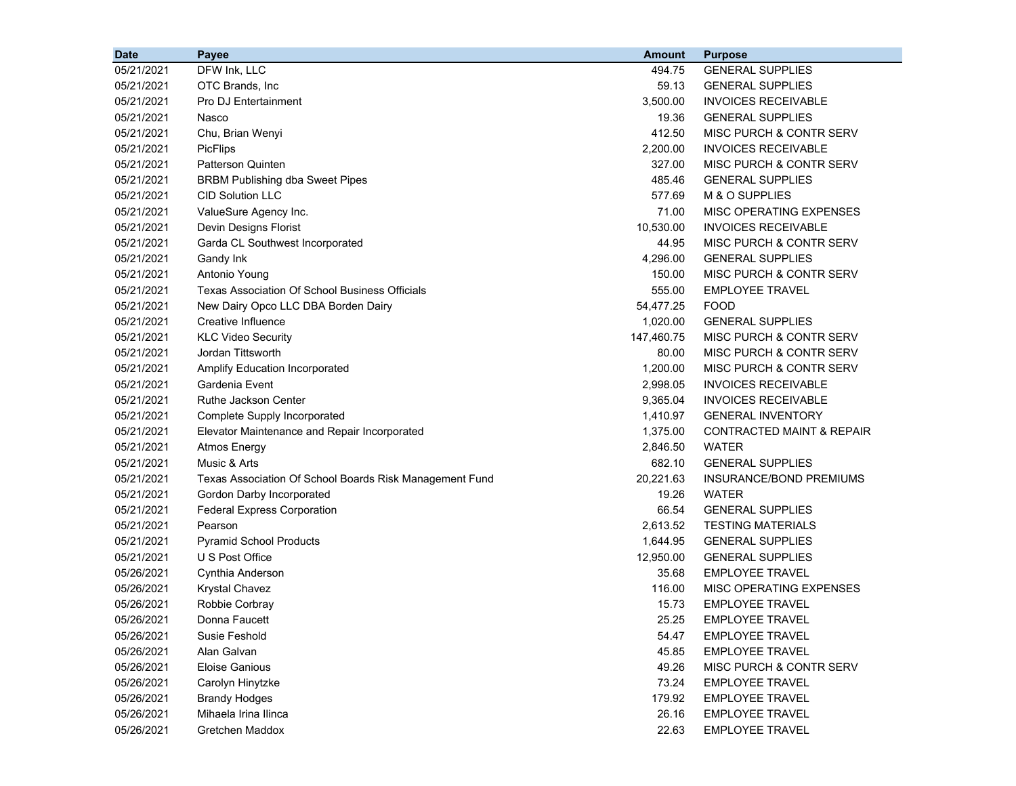| <b>Date</b> | Payee                                                   | <b>Amount</b> | <b>Purpose</b>                       |
|-------------|---------------------------------------------------------|---------------|--------------------------------------|
| 05/21/2021  | DFW Ink, LLC                                            | 494.75        | <b>GENERAL SUPPLIES</b>              |
| 05/21/2021  | OTC Brands, Inc                                         | 59.13         | <b>GENERAL SUPPLIES</b>              |
| 05/21/2021  | Pro DJ Entertainment                                    | 3,500.00      | <b>INVOICES RECEIVABLE</b>           |
| 05/21/2021  | Nasco                                                   | 19.36         | <b>GENERAL SUPPLIES</b>              |
| 05/21/2021  | Chu, Brian Wenyi                                        | 412.50        | MISC PURCH & CONTR SERV              |
| 05/21/2021  | PicFlips                                                | 2,200.00      | <b>INVOICES RECEIVABLE</b>           |
| 05/21/2021  | Patterson Quinten                                       | 327.00        | MISC PURCH & CONTR SERV              |
| 05/21/2021  | <b>BRBM Publishing dba Sweet Pipes</b>                  | 485.46        | <b>GENERAL SUPPLIES</b>              |
| 05/21/2021  | <b>CID Solution LLC</b>                                 | 577.69        | M & O SUPPLIES                       |
| 05/21/2021  | ValueSure Agency Inc.                                   | 71.00         | MISC OPERATING EXPENSES              |
| 05/21/2021  | Devin Designs Florist                                   | 10,530.00     | <b>INVOICES RECEIVABLE</b>           |
| 05/21/2021  | Garda CL Southwest Incorporated                         | 44.95         | MISC PURCH & CONTR SERV              |
| 05/21/2021  | Gandy Ink                                               | 4,296.00      | <b>GENERAL SUPPLIES</b>              |
| 05/21/2021  | Antonio Young                                           | 150.00        | MISC PURCH & CONTR SERV              |
| 05/21/2021  | <b>Texas Association Of School Business Officials</b>   | 555.00        | <b>EMPLOYEE TRAVEL</b>               |
| 05/21/2021  | New Dairy Opco LLC DBA Borden Dairy                     | 54,477.25     | <b>FOOD</b>                          |
| 05/21/2021  | Creative Influence                                      | 1,020.00      | <b>GENERAL SUPPLIES</b>              |
| 05/21/2021  | <b>KLC Video Security</b>                               | 147,460.75    | MISC PURCH & CONTR SERV              |
| 05/21/2021  | Jordan Tittsworth                                       | 80.00         | MISC PURCH & CONTR SERV              |
| 05/21/2021  | Amplify Education Incorporated                          | 1,200.00      | MISC PURCH & CONTR SERV              |
| 05/21/2021  | Gardenia Event                                          | 2,998.05      | <b>INVOICES RECEIVABLE</b>           |
| 05/21/2021  | <b>Ruthe Jackson Center</b>                             | 9,365.04      | <b>INVOICES RECEIVABLE</b>           |
| 05/21/2021  | Complete Supply Incorporated                            | 1,410.97      | <b>GENERAL INVENTORY</b>             |
| 05/21/2021  | Elevator Maintenance and Repair Incorporated            | 1,375.00      | <b>CONTRACTED MAINT &amp; REPAIR</b> |
| 05/21/2021  | <b>Atmos Energy</b>                                     | 2,846.50      | <b>WATER</b>                         |
| 05/21/2021  | Music & Arts                                            | 682.10        | <b>GENERAL SUPPLIES</b>              |
| 05/21/2021  | Texas Association Of School Boards Risk Management Fund | 20,221.63     | INSURANCE/BOND PREMIUMS              |
| 05/21/2021  | Gordon Darby Incorporated                               | 19.26         | <b>WATER</b>                         |
| 05/21/2021  | <b>Federal Express Corporation</b>                      | 66.54         | <b>GENERAL SUPPLIES</b>              |
| 05/21/2021  | Pearson                                                 | 2,613.52      | <b>TESTING MATERIALS</b>             |
| 05/21/2021  | <b>Pyramid School Products</b>                          | 1,644.95      | <b>GENERAL SUPPLIES</b>              |
| 05/21/2021  | U S Post Office                                         | 12,950.00     | <b>GENERAL SUPPLIES</b>              |
| 05/26/2021  | Cynthia Anderson                                        | 35.68         | <b>EMPLOYEE TRAVEL</b>               |
| 05/26/2021  | <b>Krystal Chavez</b>                                   | 116.00        | MISC OPERATING EXPENSES              |
| 05/26/2021  | Robbie Corbray                                          | 15.73         | <b>EMPLOYEE TRAVEL</b>               |
| 05/26/2021  | Donna Faucett                                           | 25.25         | <b>EMPLOYEE TRAVEL</b>               |
| 05/26/2021  | Susie Feshold                                           | 54.47         | <b>EMPLOYEE TRAVEL</b>               |
| 05/26/2021  | Alan Galvan                                             | 45.85         | <b>EMPLOYEE TRAVEL</b>               |
| 05/26/2021  | <b>Eloise Ganious</b>                                   | 49.26         | MISC PURCH & CONTR SERV              |
| 05/26/2021  | Carolyn Hinytzke                                        | 73.24         | <b>EMPLOYEE TRAVEL</b>               |
| 05/26/2021  | <b>Brandy Hodges</b>                                    | 179.92        | <b>EMPLOYEE TRAVEL</b>               |
| 05/26/2021  | Mihaela Irina Ilinca                                    | 26.16         | <b>EMPLOYEE TRAVEL</b>               |
| 05/26/2021  | Gretchen Maddox                                         | 22.63         | <b>EMPLOYEE TRAVEL</b>               |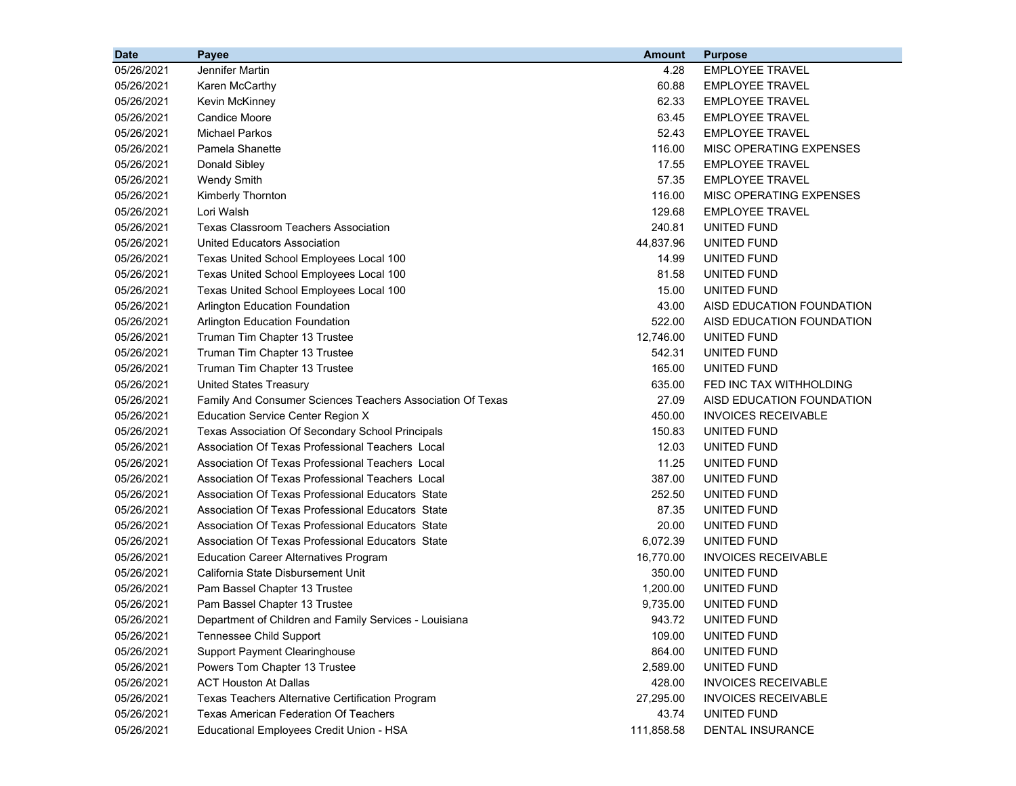| <b>Date</b> | Payee                                                      | <b>Amount</b> | <b>Purpose</b>             |
|-------------|------------------------------------------------------------|---------------|----------------------------|
| 05/26/2021  | Jennifer Martin                                            | 4.28          | <b>EMPLOYEE TRAVEL</b>     |
| 05/26/2021  | Karen McCarthy                                             | 60.88         | <b>EMPLOYEE TRAVEL</b>     |
| 05/26/2021  | <b>Kevin McKinney</b>                                      | 62.33         | <b>EMPLOYEE TRAVEL</b>     |
| 05/26/2021  | <b>Candice Moore</b>                                       | 63.45         | <b>EMPLOYEE TRAVEL</b>     |
| 05/26/2021  | <b>Michael Parkos</b>                                      | 52.43         | <b>EMPLOYEE TRAVEL</b>     |
| 05/26/2021  | Pamela Shanette                                            | 116.00        | MISC OPERATING EXPENSES    |
| 05/26/2021  | Donald Sibley                                              | 17.55         | <b>EMPLOYEE TRAVEL</b>     |
| 05/26/2021  | <b>Wendy Smith</b>                                         | 57.35         | <b>EMPLOYEE TRAVEL</b>     |
| 05/26/2021  | Kimberly Thornton                                          | 116.00        | MISC OPERATING EXPENSES    |
| 05/26/2021  | Lori Walsh                                                 | 129.68        | <b>EMPLOYEE TRAVEL</b>     |
| 05/26/2021  | <b>Texas Classroom Teachers Association</b>                | 240.81        | <b>UNITED FUND</b>         |
| 05/26/2021  | United Educators Association                               | 44,837.96     | UNITED FUND                |
| 05/26/2021  | Texas United School Employees Local 100                    | 14.99         | UNITED FUND                |
| 05/26/2021  | Texas United School Employees Local 100                    | 81.58         | UNITED FUND                |
| 05/26/2021  | Texas United School Employees Local 100                    | 15.00         | UNITED FUND                |
| 05/26/2021  | Arlington Education Foundation                             | 43.00         | AISD EDUCATION FOUNDATION  |
| 05/26/2021  | <b>Arlington Education Foundation</b>                      | 522.00        | AISD EDUCATION FOUNDATION  |
| 05/26/2021  | Truman Tim Chapter 13 Trustee                              | 12,746.00     | UNITED FUND                |
| 05/26/2021  | Truman Tim Chapter 13 Trustee                              | 542.31        | UNITED FUND                |
| 05/26/2021  | Truman Tim Chapter 13 Trustee                              | 165.00        | UNITED FUND                |
| 05/26/2021  | <b>United States Treasury</b>                              | 635.00        | FED INC TAX WITHHOLDING    |
| 05/26/2021  | Family And Consumer Sciences Teachers Association Of Texas | 27.09         | AISD EDUCATION FOUNDATION  |
| 05/26/2021  | <b>Education Service Center Region X</b>                   | 450.00        | <b>INVOICES RECEIVABLE</b> |
| 05/26/2021  | Texas Association Of Secondary School Principals           | 150.83        | UNITED FUND                |
| 05/26/2021  | Association Of Texas Professional Teachers Local           | 12.03         | UNITED FUND                |
| 05/26/2021  | Association Of Texas Professional Teachers Local           | 11.25         | UNITED FUND                |
| 05/26/2021  | Association Of Texas Professional Teachers Local           | 387.00        | UNITED FUND                |
| 05/26/2021  | Association Of Texas Professional Educators State          | 252.50        | UNITED FUND                |
| 05/26/2021  | Association Of Texas Professional Educators State          | 87.35         | UNITED FUND                |
| 05/26/2021  | Association Of Texas Professional Educators State          | 20.00         | UNITED FUND                |
| 05/26/2021  | Association Of Texas Professional Educators State          | 6,072.39      | UNITED FUND                |
| 05/26/2021  | <b>Education Career Alternatives Program</b>               | 16,770.00     | <b>INVOICES RECEIVABLE</b> |
| 05/26/2021  | California State Disbursement Unit                         | 350.00        | UNITED FUND                |
| 05/26/2021  | Pam Bassel Chapter 13 Trustee                              | 1,200.00      | UNITED FUND                |
| 05/26/2021  | Pam Bassel Chapter 13 Trustee                              | 9,735.00      | UNITED FUND                |
| 05/26/2021  | Department of Children and Family Services - Louisiana     | 943.72        | UNITED FUND                |
| 05/26/2021  | <b>Tennessee Child Support</b>                             | 109.00        | UNITED FUND                |
| 05/26/2021  | <b>Support Payment Clearinghouse</b>                       | 864.00        | UNITED FUND                |
| 05/26/2021  | Powers Tom Chapter 13 Trustee                              | 2,589.00      | UNITED FUND                |
| 05/26/2021  | <b>ACT Houston At Dallas</b>                               | 428.00        | <b>INVOICES RECEIVABLE</b> |
| 05/26/2021  | Texas Teachers Alternative Certification Program           | 27,295.00     | <b>INVOICES RECEIVABLE</b> |
| 05/26/2021  | <b>Texas American Federation Of Teachers</b>               | 43.74         | UNITED FUND                |
| 05/26/2021  | Educational Employees Credit Union - HSA                   | 111,858.58    | DENTAL INSURANCE           |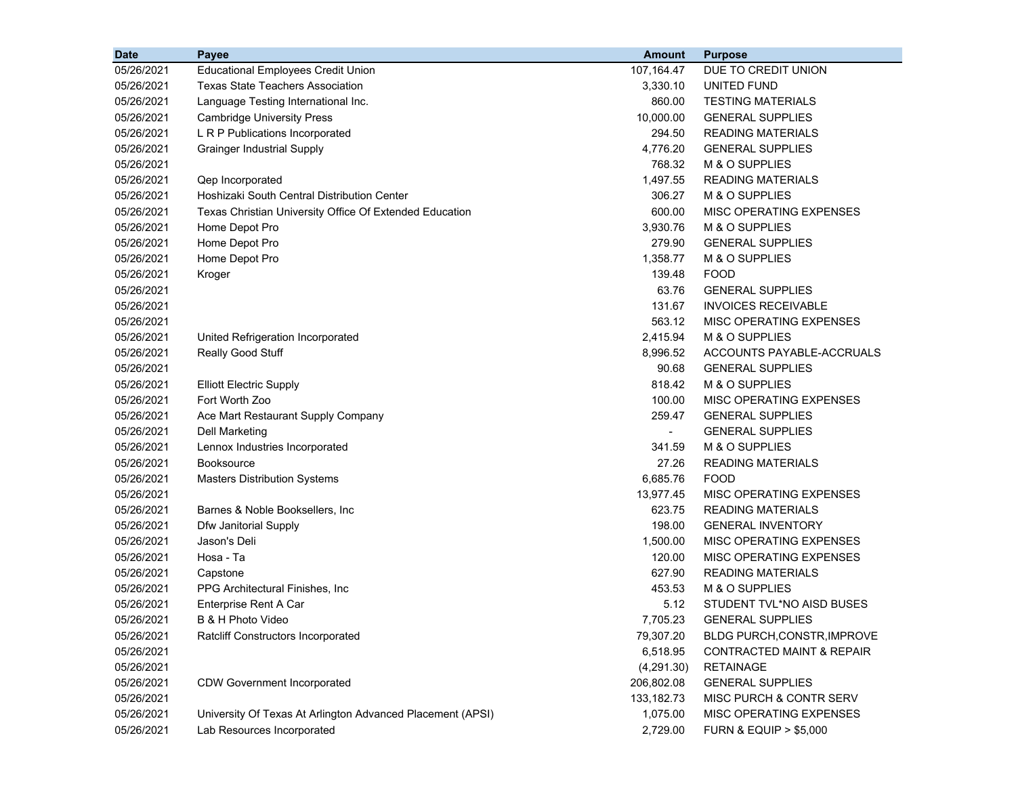| <b>Date</b> | Payee                                                      | <b>Amount</b>  | <b>Purpose</b>                       |
|-------------|------------------------------------------------------------|----------------|--------------------------------------|
| 05/26/2021  | <b>Educational Employees Credit Union</b>                  | 107,164.47     | DUE TO CREDIT UNION                  |
| 05/26/2021  | <b>Texas State Teachers Association</b>                    | 3,330.10       | <b>UNITED FUND</b>                   |
| 05/26/2021  | Language Testing International Inc.                        | 860.00         | <b>TESTING MATERIALS</b>             |
| 05/26/2021  | <b>Cambridge University Press</b>                          | 10,000.00      | <b>GENERAL SUPPLIES</b>              |
| 05/26/2021  | L R P Publications Incorporated                            | 294.50         | <b>READING MATERIALS</b>             |
| 05/26/2021  | <b>Grainger Industrial Supply</b>                          | 4,776.20       | <b>GENERAL SUPPLIES</b>              |
| 05/26/2021  |                                                            | 768.32         | M & O SUPPLIES                       |
| 05/26/2021  | Qep Incorporated                                           | 1,497.55       | <b>READING MATERIALS</b>             |
| 05/26/2021  | Hoshizaki South Central Distribution Center                | 306.27         | M & O SUPPLIES                       |
| 05/26/2021  | Texas Christian University Office Of Extended Education    | 600.00         | MISC OPERATING EXPENSES              |
| 05/26/2021  | Home Depot Pro                                             | 3,930.76       | M & O SUPPLIES                       |
| 05/26/2021  | Home Depot Pro                                             | 279.90         | <b>GENERAL SUPPLIES</b>              |
| 05/26/2021  | Home Depot Pro                                             | 1,358.77       | M & O SUPPLIES                       |
| 05/26/2021  | Kroger                                                     | 139.48         | <b>FOOD</b>                          |
| 05/26/2021  |                                                            | 63.76          | <b>GENERAL SUPPLIES</b>              |
| 05/26/2021  |                                                            | 131.67         | <b>INVOICES RECEIVABLE</b>           |
| 05/26/2021  |                                                            | 563.12         | MISC OPERATING EXPENSES              |
| 05/26/2021  | United Refrigeration Incorporated                          | 2,415.94       | M & O SUPPLIES                       |
| 05/26/2021  | Really Good Stuff                                          | 8,996.52       | ACCOUNTS PAYABLE-ACCRUALS            |
| 05/26/2021  |                                                            | 90.68          | <b>GENERAL SUPPLIES</b>              |
| 05/26/2021  | <b>Elliott Electric Supply</b>                             | 818.42         | M & O SUPPLIES                       |
| 05/26/2021  | Fort Worth Zoo                                             | 100.00         | MISC OPERATING EXPENSES              |
| 05/26/2021  | Ace Mart Restaurant Supply Company                         | 259.47         | <b>GENERAL SUPPLIES</b>              |
| 05/26/2021  | <b>Dell Marketing</b>                                      | $\blacksquare$ | <b>GENERAL SUPPLIES</b>              |
| 05/26/2021  | Lennox Industries Incorporated                             | 341.59         | M & O SUPPLIES                       |
| 05/26/2021  | <b>Booksource</b>                                          | 27.26          | <b>READING MATERIALS</b>             |
| 05/26/2021  | <b>Masters Distribution Systems</b>                        | 6,685.76       | <b>FOOD</b>                          |
| 05/26/2021  |                                                            | 13,977.45      | MISC OPERATING EXPENSES              |
| 05/26/2021  | Barnes & Noble Booksellers, Inc.                           | 623.75         | <b>READING MATERIALS</b>             |
| 05/26/2021  | Dfw Janitorial Supply                                      | 198.00         | <b>GENERAL INVENTORY</b>             |
| 05/26/2021  | Jason's Deli                                               | 1,500.00       | MISC OPERATING EXPENSES              |
| 05/26/2021  | Hosa - Ta                                                  | 120.00         | MISC OPERATING EXPENSES              |
| 05/26/2021  | Capstone                                                   | 627.90         | <b>READING MATERIALS</b>             |
| 05/26/2021  | PPG Architectural Finishes, Inc                            | 453.53         | M & O SUPPLIES                       |
| 05/26/2021  | Enterprise Rent A Car                                      | 5.12           | STUDENT TVL*NO AISD BUSES            |
| 05/26/2021  | B & H Photo Video                                          | 7,705.23       | <b>GENERAL SUPPLIES</b>              |
| 05/26/2021  | Ratcliff Constructors Incorporated                         | 79,307.20      | BLDG PURCH, CONSTR, IMPROVE          |
| 05/26/2021  |                                                            | 6,518.95       | CONTRACTED MAINT & REPAIR            |
| 05/26/2021  |                                                            | (4,291.30)     | <b>RETAINAGE</b>                     |
| 05/26/2021  | <b>CDW Government Incorporated</b>                         | 206,802.08     | <b>GENERAL SUPPLIES</b>              |
| 05/26/2021  |                                                            | 133, 182. 73   | MISC PURCH & CONTR SERV              |
| 05/26/2021  | University Of Texas At Arlington Advanced Placement (APSI) | 1,075.00       | MISC OPERATING EXPENSES              |
| 05/26/2021  | Lab Resources Incorporated                                 | 2,729.00       | <b>FURN &amp; EQUIP &gt; \$5,000</b> |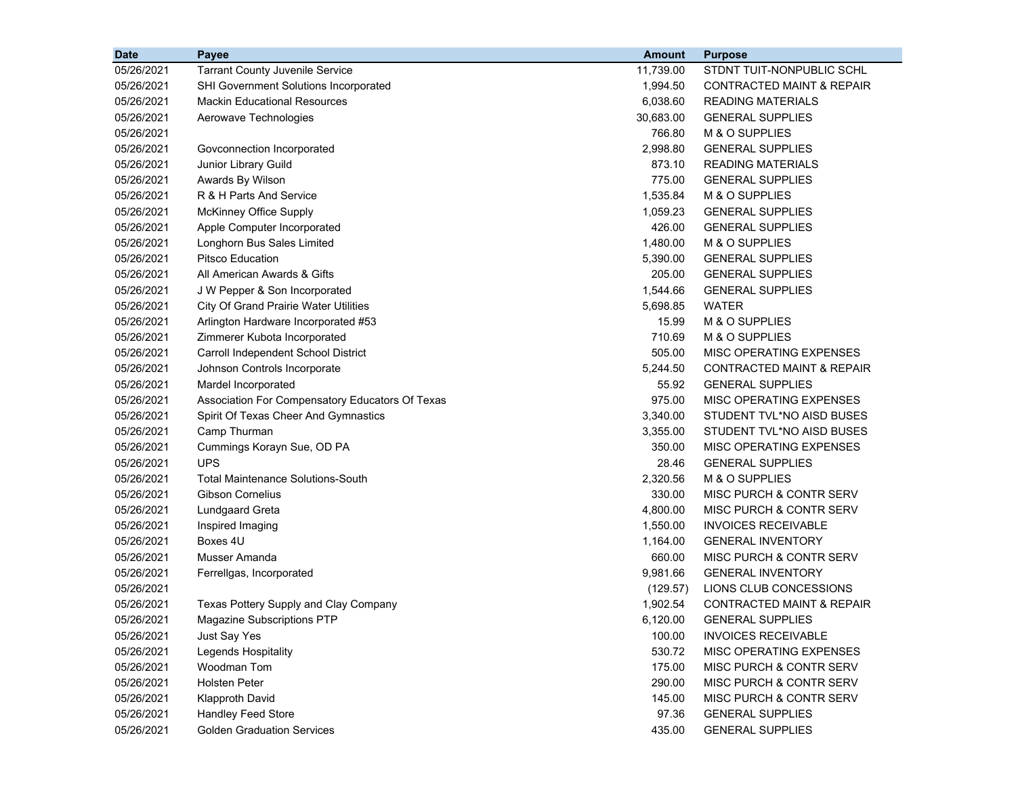| <b>Date</b> | <b>Payee</b>                                    | <b>Amount</b> | <b>Purpose</b>                       |
|-------------|-------------------------------------------------|---------------|--------------------------------------|
| 05/26/2021  | <b>Tarrant County Juvenile Service</b>          | 11,739.00     | STDNT TUIT-NONPUBLIC SCHL            |
| 05/26/2021  | <b>SHI Government Solutions Incorporated</b>    | 1,994.50      | <b>CONTRACTED MAINT &amp; REPAIR</b> |
| 05/26/2021  | <b>Mackin Educational Resources</b>             | 6,038.60      | <b>READING MATERIALS</b>             |
| 05/26/2021  | Aerowave Technologies                           | 30,683.00     | <b>GENERAL SUPPLIES</b>              |
| 05/26/2021  |                                                 | 766.80        | M & O SUPPLIES                       |
| 05/26/2021  | Govconnection Incorporated                      | 2,998.80      | <b>GENERAL SUPPLIES</b>              |
| 05/26/2021  | Junior Library Guild                            | 873.10        | <b>READING MATERIALS</b>             |
| 05/26/2021  | Awards By Wilson                                | 775.00        | <b>GENERAL SUPPLIES</b>              |
| 05/26/2021  | R & H Parts And Service                         | 1,535.84      | M & O SUPPLIES                       |
| 05/26/2021  | McKinney Office Supply                          | 1,059.23      | <b>GENERAL SUPPLIES</b>              |
| 05/26/2021  | Apple Computer Incorporated                     | 426.00        | <b>GENERAL SUPPLIES</b>              |
| 05/26/2021  | Longhorn Bus Sales Limited                      | 1,480.00      | M & O SUPPLIES                       |
| 05/26/2021  | <b>Pitsco Education</b>                         | 5,390.00      | <b>GENERAL SUPPLIES</b>              |
| 05/26/2021  | All American Awards & Gifts                     | 205.00        | <b>GENERAL SUPPLIES</b>              |
| 05/26/2021  | J W Pepper & Son Incorporated                   | 1,544.66      | <b>GENERAL SUPPLIES</b>              |
| 05/26/2021  | <b>City Of Grand Prairie Water Utilities</b>    | 5,698.85      | <b>WATER</b>                         |
| 05/26/2021  | Arlington Hardware Incorporated #53             | 15.99         | M & O SUPPLIES                       |
| 05/26/2021  | Zimmerer Kubota Incorporated                    | 710.69        | M & O SUPPLIES                       |
| 05/26/2021  | Carroll Independent School District             | 505.00        | <b>MISC OPERATING EXPENSES</b>       |
| 05/26/2021  | Johnson Controls Incorporate                    | 5,244.50      | CONTRACTED MAINT & REPAIR            |
| 05/26/2021  | Mardel Incorporated                             | 55.92         | <b>GENERAL SUPPLIES</b>              |
| 05/26/2021  | Association For Compensatory Educators Of Texas | 975.00        | MISC OPERATING EXPENSES              |
| 05/26/2021  | Spirit Of Texas Cheer And Gymnastics            | 3,340.00      | STUDENT TVL*NO AISD BUSES            |
| 05/26/2021  | Camp Thurman                                    | 3,355.00      | STUDENT TVL*NO AISD BUSES            |
| 05/26/2021  | Cummings Korayn Sue, OD PA                      | 350.00        | MISC OPERATING EXPENSES              |
| 05/26/2021  | <b>UPS</b>                                      | 28.46         | <b>GENERAL SUPPLIES</b>              |
| 05/26/2021  | <b>Total Maintenance Solutions-South</b>        | 2,320.56      | M & O SUPPLIES                       |
| 05/26/2021  | <b>Gibson Cornelius</b>                         | 330.00        | MISC PURCH & CONTR SERV              |
| 05/26/2021  | <b>Lundgaard Greta</b>                          | 4,800.00      | MISC PURCH & CONTR SERV              |
| 05/26/2021  | Inspired Imaging                                | 1,550.00      | <b>INVOICES RECEIVABLE</b>           |
| 05/26/2021  | Boxes 4U                                        | 1,164.00      | <b>GENERAL INVENTORY</b>             |
| 05/26/2021  | Musser Amanda                                   | 660.00        | <b>MISC PURCH &amp; CONTR SERV</b>   |
| 05/26/2021  | Ferrellgas, Incorporated                        | 9,981.66      | <b>GENERAL INVENTORY</b>             |
| 05/26/2021  |                                                 | (129.57)      | LIONS CLUB CONCESSIONS               |
| 05/26/2021  | Texas Pottery Supply and Clay Company           | 1,902.54      | <b>CONTRACTED MAINT &amp; REPAIR</b> |
| 05/26/2021  | Magazine Subscriptions PTP                      | 6,120.00      | <b>GENERAL SUPPLIES</b>              |
| 05/26/2021  | Just Say Yes                                    | 100.00        | <b>INVOICES RECEIVABLE</b>           |
| 05/26/2021  | Legends Hospitality                             | 530.72        | <b>MISC OPERATING EXPENSES</b>       |
| 05/26/2021  | Woodman Tom                                     | 175.00        | MISC PURCH & CONTR SERV              |
| 05/26/2021  | <b>Holsten Peter</b>                            | 290.00        | MISC PURCH & CONTR SERV              |
| 05/26/2021  | <b>Klapproth David</b>                          | 145.00        | MISC PURCH & CONTR SERV              |
| 05/26/2021  | Handley Feed Store                              | 97.36         | <b>GENERAL SUPPLIES</b>              |
| 05/26/2021  | <b>Golden Graduation Services</b>               | 435.00        | <b>GENERAL SUPPLIES</b>              |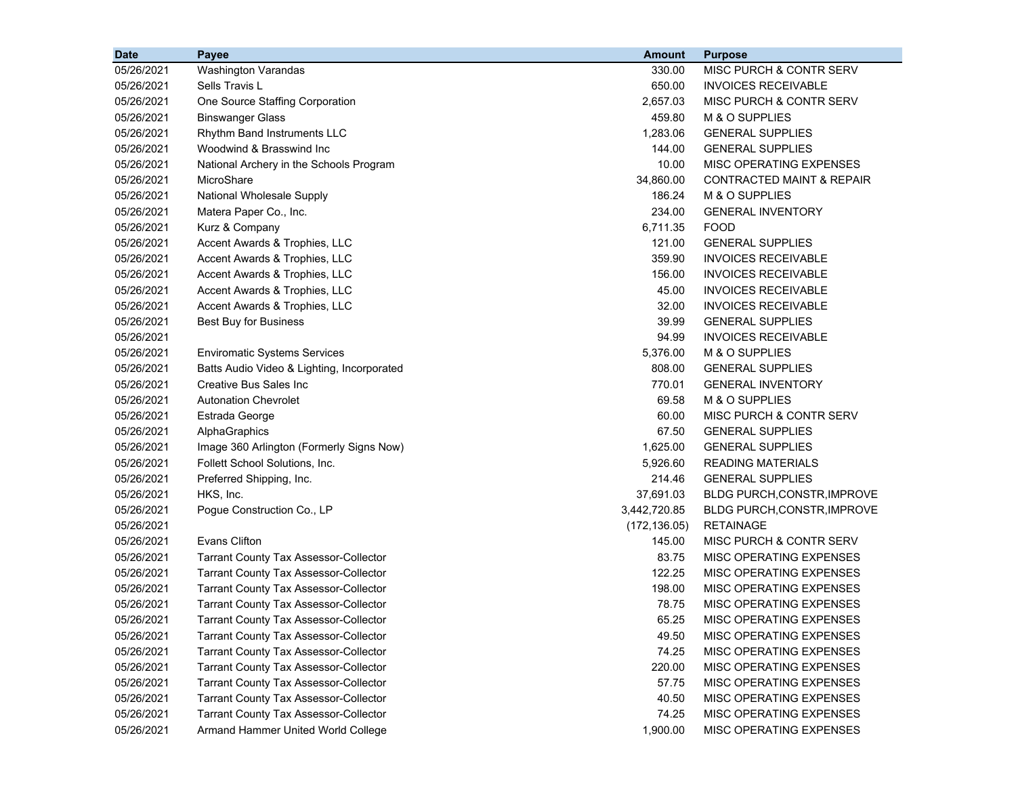| <b>Date</b> | Payee                                        | <b>Amount</b> | <b>Purpose</b>                       |
|-------------|----------------------------------------------|---------------|--------------------------------------|
| 05/26/2021  | <b>Washington Varandas</b>                   | 330.00        | MISC PURCH & CONTR SERV              |
| 05/26/2021  | Sells Travis L                               | 650.00        | <b>INVOICES RECEIVABLE</b>           |
| 05/26/2021  | One Source Staffing Corporation              | 2,657.03      | MISC PURCH & CONTR SERV              |
| 05/26/2021  | <b>Binswanger Glass</b>                      | 459.80        | M & O SUPPLIES                       |
| 05/26/2021  | Rhythm Band Instruments LLC                  | 1,283.06      | <b>GENERAL SUPPLIES</b>              |
| 05/26/2021  | Woodwind & Brasswind Inc                     | 144.00        | <b>GENERAL SUPPLIES</b>              |
| 05/26/2021  | National Archery in the Schools Program      | 10.00         | MISC OPERATING EXPENSES              |
| 05/26/2021  | MicroShare                                   | 34,860.00     | <b>CONTRACTED MAINT &amp; REPAIR</b> |
| 05/26/2021  | National Wholesale Supply                    | 186.24        | M & O SUPPLIES                       |
| 05/26/2021  | Matera Paper Co., Inc.                       | 234.00        | <b>GENERAL INVENTORY</b>             |
| 05/26/2021  | Kurz & Company                               | 6,711.35      | <b>FOOD</b>                          |
| 05/26/2021  | Accent Awards & Trophies, LLC                | 121.00        | <b>GENERAL SUPPLIES</b>              |
| 05/26/2021  | Accent Awards & Trophies, LLC                | 359.90        | <b>INVOICES RECEIVABLE</b>           |
| 05/26/2021  | Accent Awards & Trophies, LLC                | 156.00        | <b>INVOICES RECEIVABLE</b>           |
| 05/26/2021  | Accent Awards & Trophies, LLC                | 45.00         | <b>INVOICES RECEIVABLE</b>           |
| 05/26/2021  | Accent Awards & Trophies, LLC                | 32.00         | <b>INVOICES RECEIVABLE</b>           |
| 05/26/2021  | Best Buy for Business                        | 39.99         | <b>GENERAL SUPPLIES</b>              |
| 05/26/2021  |                                              | 94.99         | <b>INVOICES RECEIVABLE</b>           |
| 05/26/2021  | <b>Enviromatic Systems Services</b>          | 5,376.00      | M & O SUPPLIES                       |
| 05/26/2021  | Batts Audio Video & Lighting, Incorporated   | 808.00        | <b>GENERAL SUPPLIES</b>              |
| 05/26/2021  | Creative Bus Sales Inc                       | 770.01        | <b>GENERAL INVENTORY</b>             |
| 05/26/2021  | <b>Autonation Chevrolet</b>                  | 69.58         | M & O SUPPLIES                       |
| 05/26/2021  | Estrada George                               | 60.00         | MISC PURCH & CONTR SERV              |
| 05/26/2021  | AlphaGraphics                                | 67.50         | <b>GENERAL SUPPLIES</b>              |
| 05/26/2021  | Image 360 Arlington (Formerly Signs Now)     | 1,625.00      | <b>GENERAL SUPPLIES</b>              |
| 05/26/2021  | Follett School Solutions, Inc.               | 5,926.60      | <b>READING MATERIALS</b>             |
| 05/26/2021  | Preferred Shipping, Inc.                     | 214.46        | <b>GENERAL SUPPLIES</b>              |
| 05/26/2021  | HKS, Inc.                                    | 37,691.03     | <b>BLDG PURCH, CONSTR, IMPROVE</b>   |
| 05/26/2021  | Pogue Construction Co., LP                   | 3,442,720.85  | BLDG PURCH, CONSTR, IMPROVE          |
| 05/26/2021  |                                              | (172, 136.05) | <b>RETAINAGE</b>                     |
| 05/26/2021  | <b>Evans Clifton</b>                         | 145.00        | MISC PURCH & CONTR SERV              |
| 05/26/2021  | <b>Tarrant County Tax Assessor-Collector</b> | 83.75         | MISC OPERATING EXPENSES              |
| 05/26/2021  | <b>Tarrant County Tax Assessor-Collector</b> | 122.25        | MISC OPERATING EXPENSES              |
| 05/26/2021  | <b>Tarrant County Tax Assessor-Collector</b> | 198.00        | MISC OPERATING EXPENSES              |
| 05/26/2021  | <b>Tarrant County Tax Assessor-Collector</b> | 78.75         | MISC OPERATING EXPENSES              |
| 05/26/2021  | <b>Tarrant County Tax Assessor-Collector</b> | 65.25         | MISC OPERATING EXPENSES              |
| 05/26/2021  | <b>Tarrant County Tax Assessor-Collector</b> | 49.50         | MISC OPERATING EXPENSES              |
| 05/26/2021  | <b>Tarrant County Tax Assessor-Collector</b> | 74.25         | MISC OPERATING EXPENSES              |
| 05/26/2021  | <b>Tarrant County Tax Assessor-Collector</b> | 220.00        | MISC OPERATING EXPENSES              |
| 05/26/2021  | <b>Tarrant County Tax Assessor-Collector</b> | 57.75         | MISC OPERATING EXPENSES              |
| 05/26/2021  | <b>Tarrant County Tax Assessor-Collector</b> | 40.50         | MISC OPERATING EXPENSES              |
| 05/26/2021  | <b>Tarrant County Tax Assessor-Collector</b> | 74.25         | MISC OPERATING EXPENSES              |
| 05/26/2021  | Armand Hammer United World College           | 1,900.00      | MISC OPERATING EXPENSES              |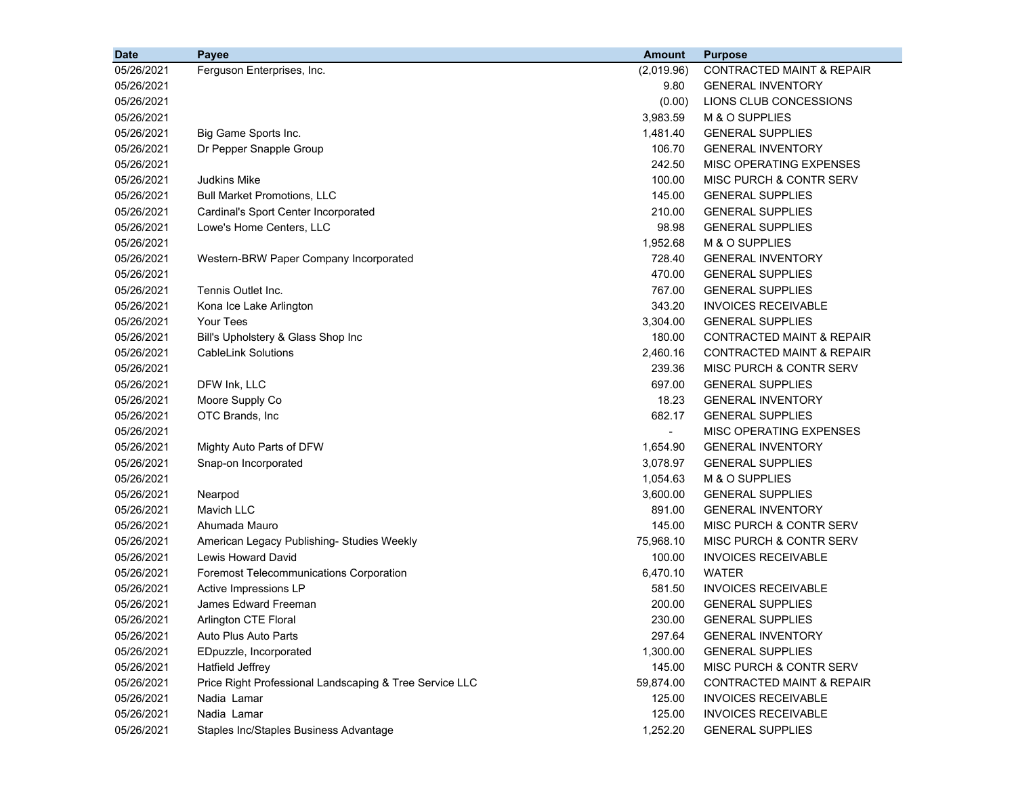| 05/26/2021<br>Ferguson Enterprises, Inc.<br>(2,019.96)                             | <b>CONTRACTED MAINT &amp; REPAIR</b> |
|------------------------------------------------------------------------------------|--------------------------------------|
| 9.80<br>05/26/2021                                                                 | <b>GENERAL INVENTORY</b>             |
| 05/26/2021<br>(0.00)                                                               | LIONS CLUB CONCESSIONS               |
| 05/26/2021<br>3,983.59                                                             | M & O SUPPLIES                       |
| 1,481.40<br>05/26/2021<br>Big Game Sports Inc.                                     | <b>GENERAL SUPPLIES</b>              |
| 106.70<br>Dr Pepper Snapple Group<br>05/26/2021                                    | <b>GENERAL INVENTORY</b>             |
| 242.50<br>05/26/2021                                                               | MISC OPERATING EXPENSES              |
| 100.00<br>05/26/2021<br>Judkins Mike                                               | <b>MISC PURCH &amp; CONTR SERV</b>   |
| <b>Bull Market Promotions, LLC</b><br>145.00<br>05/26/2021                         | <b>GENERAL SUPPLIES</b>              |
| Cardinal's Sport Center Incorporated<br>210.00<br>05/26/2021                       | <b>GENERAL SUPPLIES</b>              |
| 05/26/2021<br>Lowe's Home Centers, LLC<br>98.98                                    | <b>GENERAL SUPPLIES</b>              |
| 1,952.68<br>05/26/2021                                                             | M & O SUPPLIES                       |
| 728.40<br>05/26/2021<br>Western-BRW Paper Company Incorporated                     | <b>GENERAL INVENTORY</b>             |
| 470.00<br>05/26/2021                                                               | <b>GENERAL SUPPLIES</b>              |
| Tennis Outlet Inc.<br>767.00<br>05/26/2021                                         | <b>GENERAL SUPPLIES</b>              |
| 05/26/2021<br>343.20<br>Kona Ice Lake Arlington                                    | <b>INVOICES RECEIVABLE</b>           |
| 05/26/2021<br>3,304.00<br>Your Tees                                                | <b>GENERAL SUPPLIES</b>              |
| 05/26/2021<br>180.00<br>Bill's Upholstery & Glass Shop Inc                         | <b>CONTRACTED MAINT &amp; REPAIR</b> |
| 05/26/2021<br><b>CableLink Solutions</b><br>2,460.16                               | <b>CONTRACTED MAINT &amp; REPAIR</b> |
| 239.36<br>05/26/2021                                                               | <b>MISC PURCH &amp; CONTR SERV</b>   |
| DFW Ink, LLC<br>697.00<br>05/26/2021                                               | <b>GENERAL SUPPLIES</b>              |
| Moore Supply Co<br>05/26/2021<br>18.23                                             | <b>GENERAL INVENTORY</b>             |
| 05/26/2021<br>OTC Brands, Inc<br>682.17                                            | <b>GENERAL SUPPLIES</b>              |
| 05/26/2021<br>$\overline{\phantom{a}}$                                             | MISC OPERATING EXPENSES              |
| Mighty Auto Parts of DFW<br>1,654.90<br>05/26/2021                                 | <b>GENERAL INVENTORY</b>             |
| 3,078.97<br>05/26/2021<br>Snap-on Incorporated                                     | <b>GENERAL SUPPLIES</b>              |
| 1,054.63<br>05/26/2021                                                             | M & O SUPPLIES                       |
| 05/26/2021<br>3,600.00<br>Nearpod                                                  | <b>GENERAL SUPPLIES</b>              |
| <b>Mavich LLC</b><br>891.00<br>05/26/2021                                          | <b>GENERAL INVENTORY</b>             |
| 145.00<br>05/26/2021<br>Ahumada Mauro                                              | MISC PURCH & CONTR SERV              |
| 75,968.10<br>05/26/2021<br>American Legacy Publishing- Studies Weekly              | MISC PURCH & CONTR SERV              |
| Lewis Howard David<br>100.00<br>05/26/2021                                         | <b>INVOICES RECEIVABLE</b>           |
| 6,470.10<br><b>WATER</b><br>05/26/2021<br>Foremost Telecommunications Corporation  |                                      |
| 581.50<br>05/26/2021<br>Active Impressions LP                                      | <b>INVOICES RECEIVABLE</b>           |
| 05/26/2021<br><b>James Edward Freeman</b><br>200.00                                | <b>GENERAL SUPPLIES</b>              |
| 230.00<br>05/26/2021<br>Arlington CTE Floral                                       | <b>GENERAL SUPPLIES</b>              |
| 297.64<br>05/26/2021<br>Auto Plus Auto Parts                                       | <b>GENERAL INVENTORY</b>             |
| 1,300.00<br>05/26/2021<br>EDpuzzle, Incorporated                                   | <b>GENERAL SUPPLIES</b>              |
| <b>Hatfield Jeffrey</b><br>145.00<br>05/26/2021                                    | MISC PURCH & CONTR SERV              |
| Price Right Professional Landscaping & Tree Service LLC<br>05/26/2021<br>59,874.00 | <b>CONTRACTED MAINT &amp; REPAIR</b> |
| 05/26/2021<br>Nadia Lamar<br>125.00                                                | <b>INVOICES RECEIVABLE</b>           |
| Nadia Lamar<br>125.00<br>05/26/2021                                                | <b>INVOICES RECEIVABLE</b>           |
| 05/26/2021<br>Staples Inc/Staples Business Advantage<br>1,252.20                   | <b>GENERAL SUPPLIES</b>              |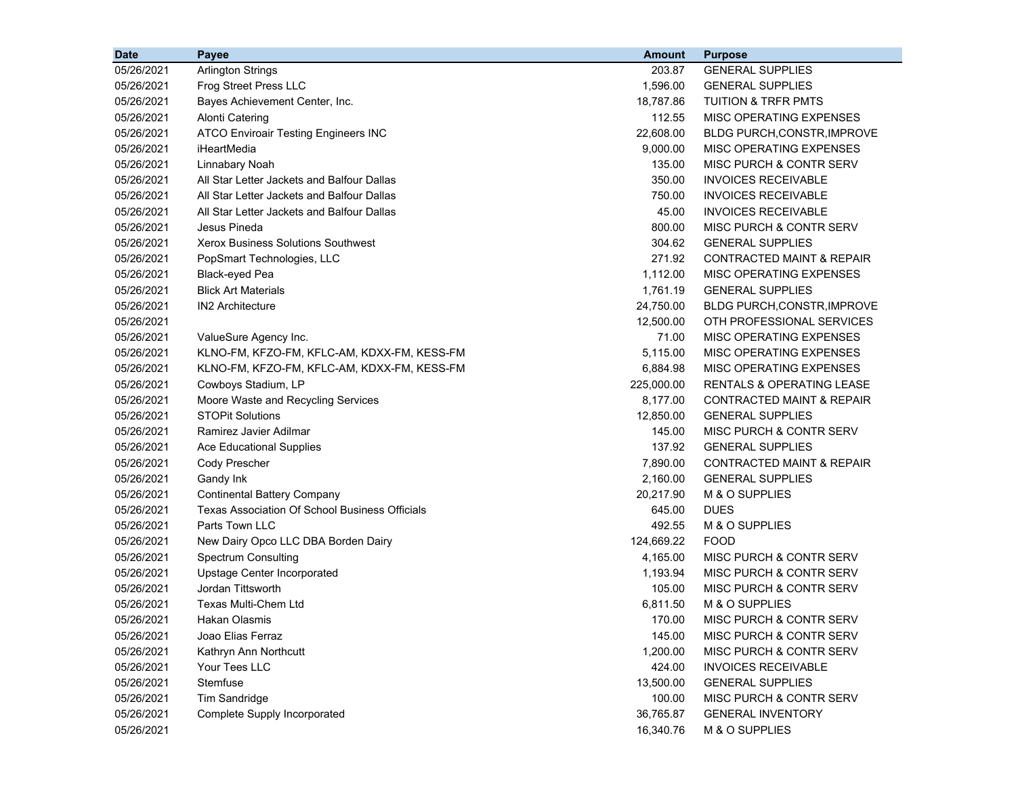| <b>Date</b> | Payee                                                 | <b>Amount</b> | <b>Purpose</b>                       |
|-------------|-------------------------------------------------------|---------------|--------------------------------------|
| 05/26/2021  | <b>Arlington Strings</b>                              | 203.87        | <b>GENERAL SUPPLIES</b>              |
| 05/26/2021  | Frog Street Press LLC                                 | 1,596.00      | <b>GENERAL SUPPLIES</b>              |
| 05/26/2021  | Bayes Achievement Center, Inc.                        | 18,787.86     | <b>TUITION &amp; TRFR PMTS</b>       |
| 05/26/2021  | Alonti Catering                                       | 112.55        | MISC OPERATING EXPENSES              |
| 05/26/2021  | <b>ATCO Enviroair Testing Engineers INC</b>           | 22,608.00     | BLDG PURCH, CONSTR, IMPROVE          |
| 05/26/2021  | iHeartMedia                                           | 9,000.00      | MISC OPERATING EXPENSES              |
| 05/26/2021  | Linnabary Noah                                        | 135.00        | MISC PURCH & CONTR SERV              |
| 05/26/2021  | All Star Letter Jackets and Balfour Dallas            | 350.00        | <b>INVOICES RECEIVABLE</b>           |
| 05/26/2021  | All Star Letter Jackets and Balfour Dallas            | 750.00        | <b>INVOICES RECEIVABLE</b>           |
| 05/26/2021  | All Star Letter Jackets and Balfour Dallas            | 45.00         | <b>INVOICES RECEIVABLE</b>           |
| 05/26/2021  | Jesus Pineda                                          | 800.00        | <b>MISC PURCH &amp; CONTR SERV</b>   |
| 05/26/2021  | <b>Xerox Business Solutions Southwest</b>             | 304.62        | <b>GENERAL SUPPLIES</b>              |
| 05/26/2021  | PopSmart Technologies, LLC                            | 271.92        | <b>CONTRACTED MAINT &amp; REPAIR</b> |
| 05/26/2021  | Black-eyed Pea                                        | 1,112.00      | MISC OPERATING EXPENSES              |
| 05/26/2021  | <b>Blick Art Materials</b>                            | 1,761.19      | <b>GENERAL SUPPLIES</b>              |
| 05/26/2021  | <b>IN2 Architecture</b>                               | 24,750.00     | <b>BLDG PURCH, CONSTR, IMPROVE</b>   |
| 05/26/2021  |                                                       | 12,500.00     | OTH PROFESSIONAL SERVICES            |
| 05/26/2021  | ValueSure Agency Inc.                                 | 71.00         | <b>MISC OPERATING EXPENSES</b>       |
| 05/26/2021  | KLNO-FM, KFZO-FM, KFLC-AM, KDXX-FM, KESS-FM           | 5,115.00      | MISC OPERATING EXPENSES              |
| 05/26/2021  | KLNO-FM, KFZO-FM, KFLC-AM, KDXX-FM, KESS-FM           | 6,884.98      | MISC OPERATING EXPENSES              |
| 05/26/2021  | Cowboys Stadium, LP                                   | 225,000.00    | <b>RENTALS &amp; OPERATING LEASE</b> |
| 05/26/2021  | Moore Waste and Recycling Services                    | 8,177.00      | <b>CONTRACTED MAINT &amp; REPAIR</b> |
| 05/26/2021  | <b>STOPit Solutions</b>                               | 12,850.00     | <b>GENERAL SUPPLIES</b>              |
| 05/26/2021  | Ramirez Javier Adilmar                                | 145.00        | MISC PURCH & CONTR SERV              |
| 05/26/2021  | <b>Ace Educational Supplies</b>                       | 137.92        | <b>GENERAL SUPPLIES</b>              |
| 05/26/2021  | <b>Cody Prescher</b>                                  | 7,890.00      | CONTRACTED MAINT & REPAIR            |
| 05/26/2021  | Gandy Ink                                             | 2,160.00      | <b>GENERAL SUPPLIES</b>              |
| 05/26/2021  | <b>Continental Battery Company</b>                    | 20,217.90     | M & O SUPPLIES                       |
| 05/26/2021  | <b>Texas Association Of School Business Officials</b> | 645.00        | <b>DUES</b>                          |
| 05/26/2021  | Parts Town LLC                                        | 492.55        | M & O SUPPLIES                       |
| 05/26/2021  | New Dairy Opco LLC DBA Borden Dairy                   | 124,669.22    | <b>FOOD</b>                          |
| 05/26/2021  | <b>Spectrum Consulting</b>                            | 4,165.00      | MISC PURCH & CONTR SERV              |
| 05/26/2021  | Upstage Center Incorporated                           | 1,193.94      | MISC PURCH & CONTR SERV              |
| 05/26/2021  | Jordan Tittsworth                                     | 105.00        | MISC PURCH & CONTR SERV              |
| 05/26/2021  | Texas Multi-Chem Ltd                                  | 6,811.50      | M & O SUPPLIES                       |
| 05/26/2021  | Hakan Olasmis                                         | 170.00        | MISC PURCH & CONTR SERV              |
| 05/26/2021  | Joao Elias Ferraz                                     | 145.00        | MISC PURCH & CONTR SERV              |
| 05/26/2021  | Kathryn Ann Northcutt                                 | 1,200.00      | <b>MISC PURCH &amp; CONTR SERV</b>   |
| 05/26/2021  | Your Tees LLC                                         | 424.00        | <b>INVOICES RECEIVABLE</b>           |
| 05/26/2021  | Stemfuse                                              | 13,500.00     | <b>GENERAL SUPPLIES</b>              |
| 05/26/2021  | <b>Tim Sandridge</b>                                  | 100.00        | MISC PURCH & CONTR SERV              |
| 05/26/2021  | Complete Supply Incorporated                          | 36,765.87     | <b>GENERAL INVENTORY</b>             |
| 05/26/2021  |                                                       | 16,340.76     | M & O SUPPLIES                       |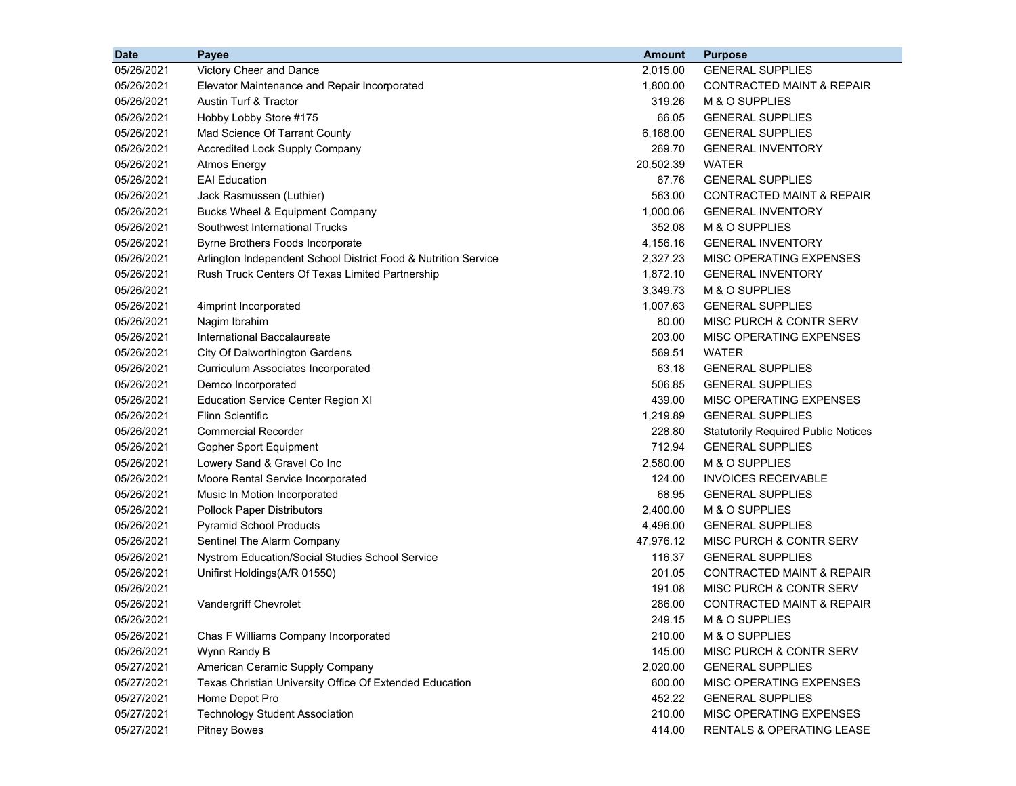| <b>Date</b> | Payee                                                          | <b>Amount</b> | <b>Purpose</b>                             |
|-------------|----------------------------------------------------------------|---------------|--------------------------------------------|
| 05/26/2021  | Victory Cheer and Dance                                        | 2,015.00      | <b>GENERAL SUPPLIES</b>                    |
| 05/26/2021  | Elevator Maintenance and Repair Incorporated                   | 1,800.00      | <b>CONTRACTED MAINT &amp; REPAIR</b>       |
| 05/26/2021  | Austin Turf & Tractor                                          | 319.26        | M & O SUPPLIES                             |
| 05/26/2021  | Hobby Lobby Store #175                                         | 66.05         | <b>GENERAL SUPPLIES</b>                    |
| 05/26/2021  | Mad Science Of Tarrant County                                  | 6,168.00      | <b>GENERAL SUPPLIES</b>                    |
| 05/26/2021  | <b>Accredited Lock Supply Company</b>                          | 269.70        | <b>GENERAL INVENTORY</b>                   |
| 05/26/2021  | Atmos Energy                                                   | 20,502.39     | <b>WATER</b>                               |
| 05/26/2021  | <b>EAI</b> Education                                           | 67.76         | <b>GENERAL SUPPLIES</b>                    |
| 05/26/2021  | Jack Rasmussen (Luthier)                                       | 563.00        | CONTRACTED MAINT & REPAIR                  |
| 05/26/2021  | Bucks Wheel & Equipment Company                                | 1,000.06      | <b>GENERAL INVENTORY</b>                   |
| 05/26/2021  | Southwest International Trucks                                 | 352.08        | M & O SUPPLIES                             |
| 05/26/2021  | Byrne Brothers Foods Incorporate                               | 4,156.16      | <b>GENERAL INVENTORY</b>                   |
| 05/26/2021  | Arlington Independent School District Food & Nutrition Service | 2,327.23      | MISC OPERATING EXPENSES                    |
| 05/26/2021  | Rush Truck Centers Of Texas Limited Partnership                | 1,872.10      | <b>GENERAL INVENTORY</b>                   |
| 05/26/2021  |                                                                | 3,349.73      | M & O SUPPLIES                             |
| 05/26/2021  | 4imprint Incorporated                                          | 1,007.63      | <b>GENERAL SUPPLIES</b>                    |
| 05/26/2021  | Nagim Ibrahim                                                  | 80.00         | <b>MISC PURCH &amp; CONTR SERV</b>         |
| 05/26/2021  | International Baccalaureate                                    | 203.00        | <b>MISC OPERATING EXPENSES</b>             |
| 05/26/2021  | City Of Dalworthington Gardens                                 | 569.51        | <b>WATER</b>                               |
| 05/26/2021  | Curriculum Associates Incorporated                             | 63.18         | <b>GENERAL SUPPLIES</b>                    |
| 05/26/2021  | Demco Incorporated                                             | 506.85        | <b>GENERAL SUPPLIES</b>                    |
| 05/26/2021  | <b>Education Service Center Region XI</b>                      | 439.00        | MISC OPERATING EXPENSES                    |
| 05/26/2021  | <b>Flinn Scientific</b>                                        | 1,219.89      | <b>GENERAL SUPPLIES</b>                    |
| 05/26/2021  | <b>Commercial Recorder</b>                                     | 228.80        | <b>Statutorily Required Public Notices</b> |
| 05/26/2021  | Gopher Sport Equipment                                         | 712.94        | <b>GENERAL SUPPLIES</b>                    |
| 05/26/2021  | Lowery Sand & Gravel Co Inc                                    | 2,580.00      | M & O SUPPLIES                             |
| 05/26/2021  | Moore Rental Service Incorporated                              | 124.00        | <b>INVOICES RECEIVABLE</b>                 |
| 05/26/2021  | Music In Motion Incorporated                                   | 68.95         | <b>GENERAL SUPPLIES</b>                    |
| 05/26/2021  | <b>Pollock Paper Distributors</b>                              | 2,400.00      | M & O SUPPLIES                             |
| 05/26/2021  | <b>Pyramid School Products</b>                                 | 4,496.00      | <b>GENERAL SUPPLIES</b>                    |
| 05/26/2021  | Sentinel The Alarm Company                                     | 47,976.12     | MISC PURCH & CONTR SERV                    |
| 05/26/2021  | Nystrom Education/Social Studies School Service                | 116.37        | <b>GENERAL SUPPLIES</b>                    |
| 05/26/2021  | Unifirst Holdings(A/R 01550)                                   | 201.05        | <b>CONTRACTED MAINT &amp; REPAIR</b>       |
| 05/26/2021  |                                                                | 191.08        | MISC PURCH & CONTR SERV                    |
| 05/26/2021  | Vandergriff Chevrolet                                          | 286.00        | <b>CONTRACTED MAINT &amp; REPAIR</b>       |
| 05/26/2021  |                                                                | 249.15        | M & O SUPPLIES                             |
| 05/26/2021  | Chas F Williams Company Incorporated                           | 210.00        | M & O SUPPLIES                             |
| 05/26/2021  | Wynn Randy B                                                   | 145.00        | MISC PURCH & CONTR SERV                    |
| 05/27/2021  | American Ceramic Supply Company                                | 2,020.00      | <b>GENERAL SUPPLIES</b>                    |
| 05/27/2021  | Texas Christian University Office Of Extended Education        | 600.00        | MISC OPERATING EXPENSES                    |
| 05/27/2021  | Home Depot Pro                                                 | 452.22        | <b>GENERAL SUPPLIES</b>                    |
| 05/27/2021  | <b>Technology Student Association</b>                          | 210.00        | <b>MISC OPERATING EXPENSES</b>             |
| 05/27/2021  | <b>Pitney Bowes</b>                                            | 414.00        | RENTALS & OPERATING LEASE                  |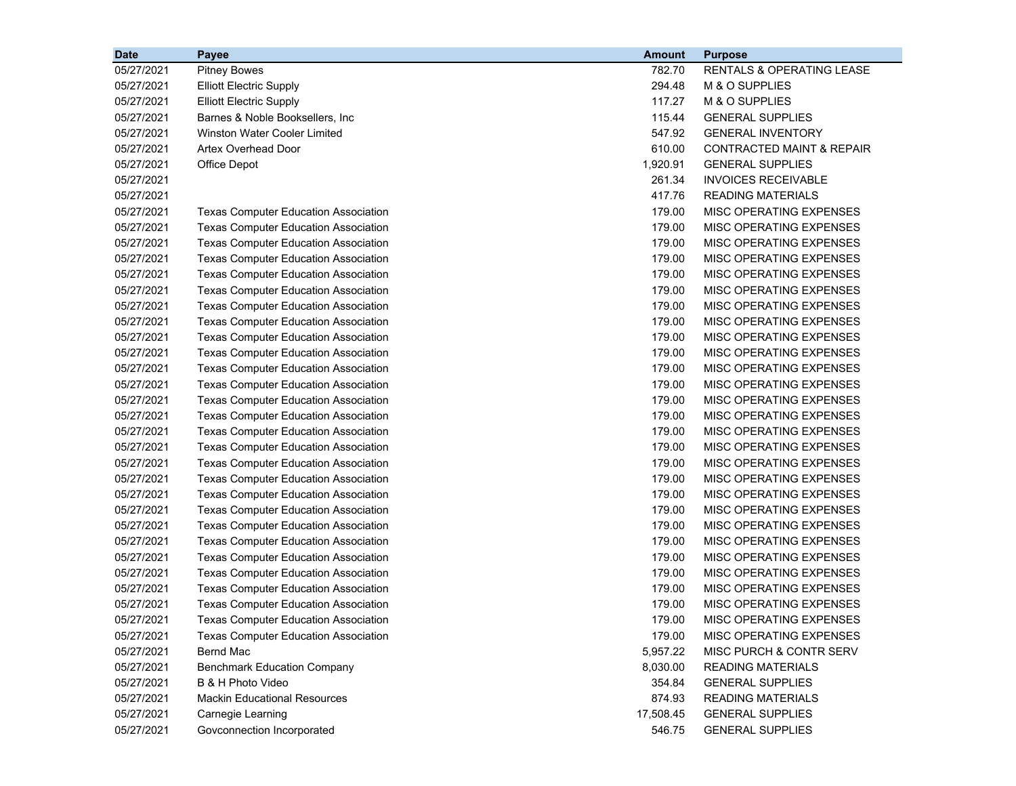| <b>Date</b> | Payee                                       | <b>Amount</b> | <b>Purpose</b>                       |
|-------------|---------------------------------------------|---------------|--------------------------------------|
| 05/27/2021  | <b>Pitney Bowes</b>                         | 782.70        | RENTALS & OPERATING LEASE            |
| 05/27/2021  | <b>Elliott Electric Supply</b>              | 294.48        | M & O SUPPLIES                       |
| 05/27/2021  | <b>Elliott Electric Supply</b>              | 117.27        | M & O SUPPLIES                       |
| 05/27/2021  | Barnes & Noble Booksellers, Inc.            | 115.44        | <b>GENERAL SUPPLIES</b>              |
| 05/27/2021  | Winston Water Cooler Limited                | 547.92        | <b>GENERAL INVENTORY</b>             |
| 05/27/2021  | Artex Overhead Door                         | 610.00        | <b>CONTRACTED MAINT &amp; REPAIR</b> |
| 05/27/2021  | Office Depot                                | 1,920.91      | <b>GENERAL SUPPLIES</b>              |
| 05/27/2021  |                                             | 261.34        | <b>INVOICES RECEIVABLE</b>           |
| 05/27/2021  |                                             | 417.76        | <b>READING MATERIALS</b>             |
| 05/27/2021  | <b>Texas Computer Education Association</b> | 179.00        | MISC OPERATING EXPENSES              |
| 05/27/2021  | <b>Texas Computer Education Association</b> | 179.00        | MISC OPERATING EXPENSES              |
| 05/27/2021  | <b>Texas Computer Education Association</b> | 179.00        | MISC OPERATING EXPENSES              |
| 05/27/2021  | <b>Texas Computer Education Association</b> | 179.00        | MISC OPERATING EXPENSES              |
| 05/27/2021  | <b>Texas Computer Education Association</b> | 179.00        | MISC OPERATING EXPENSES              |
| 05/27/2021  | <b>Texas Computer Education Association</b> | 179.00        | MISC OPERATING EXPENSES              |
| 05/27/2021  | <b>Texas Computer Education Association</b> | 179.00        | MISC OPERATING EXPENSES              |
| 05/27/2021  | <b>Texas Computer Education Association</b> | 179.00        | MISC OPERATING EXPENSES              |
| 05/27/2021  | <b>Texas Computer Education Association</b> | 179.00        | MISC OPERATING EXPENSES              |
| 05/27/2021  | <b>Texas Computer Education Association</b> | 179.00        | MISC OPERATING EXPENSES              |
| 05/27/2021  | <b>Texas Computer Education Association</b> | 179.00        | MISC OPERATING EXPENSES              |
| 05/27/2021  | <b>Texas Computer Education Association</b> | 179.00        | MISC OPERATING EXPENSES              |
| 05/27/2021  | <b>Texas Computer Education Association</b> | 179.00        | MISC OPERATING EXPENSES              |
| 05/27/2021  | <b>Texas Computer Education Association</b> | 179.00        | MISC OPERATING EXPENSES              |
| 05/27/2021  | <b>Texas Computer Education Association</b> | 179.00        | MISC OPERATING EXPENSES              |
| 05/27/2021  | <b>Texas Computer Education Association</b> | 179.00        | MISC OPERATING EXPENSES              |
| 05/27/2021  | <b>Texas Computer Education Association</b> | 179.00        | MISC OPERATING EXPENSES              |
| 05/27/2021  | <b>Texas Computer Education Association</b> | 179.00        | MISC OPERATING EXPENSES              |
| 05/27/2021  | <b>Texas Computer Education Association</b> | 179.00        | MISC OPERATING EXPENSES              |
| 05/27/2021  | <b>Texas Computer Education Association</b> | 179.00        | MISC OPERATING EXPENSES              |
| 05/27/2021  | <b>Texas Computer Education Association</b> | 179.00        | MISC OPERATING EXPENSES              |
| 05/27/2021  | <b>Texas Computer Education Association</b> | 179.00        | MISC OPERATING EXPENSES              |
| 05/27/2021  | <b>Texas Computer Education Association</b> | 179.00        | MISC OPERATING EXPENSES              |
| 05/27/2021  | <b>Texas Computer Education Association</b> | 179.00        | MISC OPERATING EXPENSES              |
| 05/27/2021  | <b>Texas Computer Education Association</b> | 179.00        | MISC OPERATING EXPENSES              |
| 05/27/2021  | <b>Texas Computer Education Association</b> | 179.00        | MISC OPERATING EXPENSES              |
| 05/27/2021  | <b>Texas Computer Education Association</b> | 179.00        | MISC OPERATING EXPENSES              |
| 05/27/2021  | <b>Texas Computer Education Association</b> | 179.00        | MISC OPERATING EXPENSES              |
| 05/27/2021  | <b>Bernd Mac</b>                            | 5,957.22      | <b>MISC PURCH &amp; CONTR SERV</b>   |
| 05/27/2021  | <b>Benchmark Education Company</b>          | 8,030.00      | <b>READING MATERIALS</b>             |
| 05/27/2021  | B & H Photo Video                           | 354.84        | <b>GENERAL SUPPLIES</b>              |
| 05/27/2021  | <b>Mackin Educational Resources</b>         | 874.93        | <b>READING MATERIALS</b>             |
| 05/27/2021  | Carnegie Learning                           | 17,508.45     | <b>GENERAL SUPPLIES</b>              |
| 05/27/2021  | Govconnection Incorporated                  | 546.75        | <b>GENERAL SUPPLIES</b>              |
|             |                                             |               |                                      |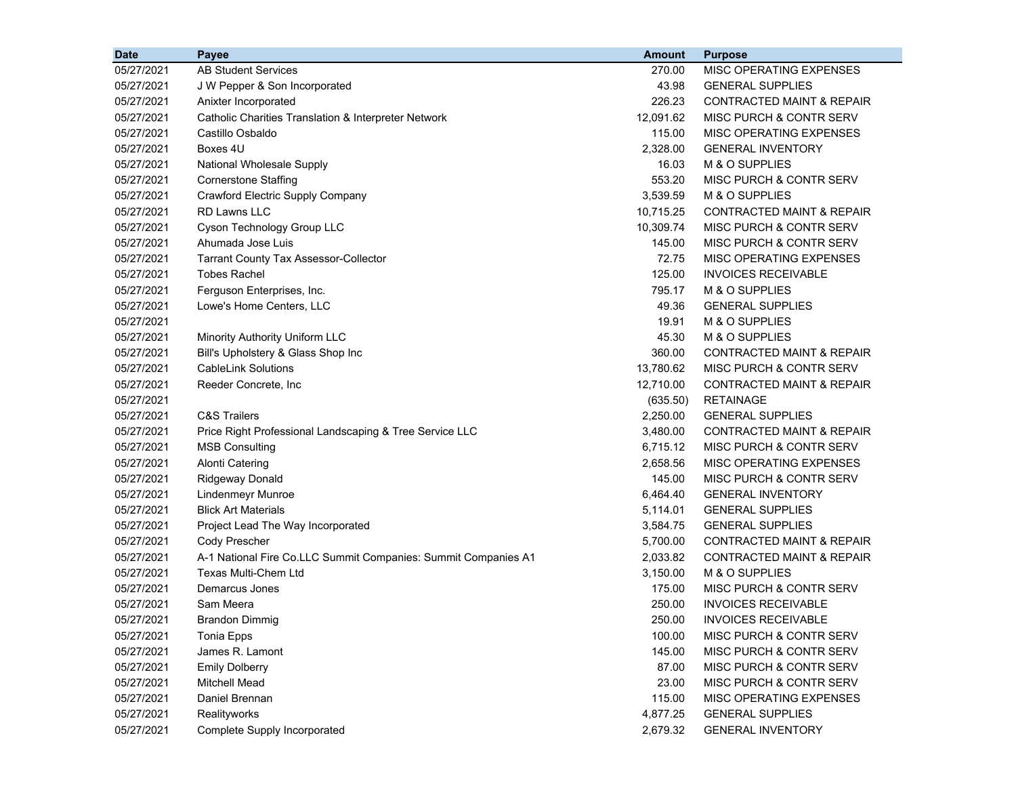| <b>Date</b> | <b>Payee</b>                                                   | <b>Amount</b> | <b>Purpose</b>                       |
|-------------|----------------------------------------------------------------|---------------|--------------------------------------|
| 05/27/2021  | <b>AB Student Services</b>                                     | 270.00        | MISC OPERATING EXPENSES              |
| 05/27/2021  | J W Pepper & Son Incorporated                                  | 43.98         | <b>GENERAL SUPPLIES</b>              |
| 05/27/2021  | Anixter Incorporated                                           | 226.23        | <b>CONTRACTED MAINT &amp; REPAIR</b> |
| 05/27/2021  | Catholic Charities Translation & Interpreter Network           | 12,091.62     | MISC PURCH & CONTR SERV              |
| 05/27/2021  | Castillo Osbaldo                                               | 115.00        | MISC OPERATING EXPENSES              |
| 05/27/2021  | Boxes 4U                                                       | 2,328.00      | <b>GENERAL INVENTORY</b>             |
| 05/27/2021  | <b>National Wholesale Supply</b>                               | 16.03         | M & O SUPPLIES                       |
| 05/27/2021  | <b>Cornerstone Staffing</b>                                    | 553.20        | MISC PURCH & CONTR SERV              |
| 05/27/2021  | Crawford Electric Supply Company                               | 3,539.59      | M & O SUPPLIES                       |
| 05/27/2021  | <b>RD Lawns LLC</b>                                            | 10,715.25     | <b>CONTRACTED MAINT &amp; REPAIR</b> |
| 05/27/2021  | Cyson Technology Group LLC                                     | 10,309.74     | <b>MISC PURCH &amp; CONTR SERV</b>   |
| 05/27/2021  | Ahumada Jose Luis                                              | 145.00        | MISC PURCH & CONTR SERV              |
| 05/27/2021  | <b>Tarrant County Tax Assessor-Collector</b>                   | 72.75         | MISC OPERATING EXPENSES              |
| 05/27/2021  | <b>Tobes Rachel</b>                                            | 125.00        | <b>INVOICES RECEIVABLE</b>           |
| 05/27/2021  | Ferguson Enterprises, Inc.                                     | 795.17        | M & O SUPPLIES                       |
| 05/27/2021  | Lowe's Home Centers, LLC                                       | 49.36         | <b>GENERAL SUPPLIES</b>              |
| 05/27/2021  |                                                                | 19.91         | M & O SUPPLIES                       |
| 05/27/2021  | Minority Authority Uniform LLC                                 | 45.30         | M & O SUPPLIES                       |
| 05/27/2021  | Bill's Upholstery & Glass Shop Inc                             | 360.00        | <b>CONTRACTED MAINT &amp; REPAIR</b> |
| 05/27/2021  | <b>CableLink Solutions</b>                                     | 13,780.62     | MISC PURCH & CONTR SERV              |
| 05/27/2021  | Reeder Concrete, Inc                                           | 12,710.00     | <b>CONTRACTED MAINT &amp; REPAIR</b> |
| 05/27/2021  |                                                                | (635.50)      | <b>RETAINAGE</b>                     |
| 05/27/2021  | <b>C&amp;S Trailers</b>                                        | 2,250.00      | <b>GENERAL SUPPLIES</b>              |
| 05/27/2021  | Price Right Professional Landscaping & Tree Service LLC        | 3,480.00      | <b>CONTRACTED MAINT &amp; REPAIR</b> |
| 05/27/2021  | <b>MSB Consulting</b>                                          | 6,715.12      | MISC PURCH & CONTR SERV              |
| 05/27/2021  | Alonti Catering                                                | 2,658.56      | MISC OPERATING EXPENSES              |
| 05/27/2021  | <b>Ridgeway Donald</b>                                         | 145.00        | MISC PURCH & CONTR SERV              |
| 05/27/2021  | <b>Lindenmeyr Munroe</b>                                       | 6,464.40      | <b>GENERAL INVENTORY</b>             |
| 05/27/2021  | <b>Blick Art Materials</b>                                     | 5,114.01      | <b>GENERAL SUPPLIES</b>              |
| 05/27/2021  | Project Lead The Way Incorporated                              | 3,584.75      | <b>GENERAL SUPPLIES</b>              |
| 05/27/2021  | Cody Prescher                                                  | 5,700.00      | <b>CONTRACTED MAINT &amp; REPAIR</b> |
| 05/27/2021  | A-1 National Fire Co.LLC Summit Companies: Summit Companies A1 | 2,033.82      | <b>CONTRACTED MAINT &amp; REPAIR</b> |
| 05/27/2021  | <b>Texas Multi-Chem Ltd</b>                                    | 3,150.00      | M & O SUPPLIES                       |
| 05/27/2021  | Demarcus Jones                                                 | 175.00        | MISC PURCH & CONTR SERV              |
| 05/27/2021  | Sam Meera                                                      | 250.00        | <b>INVOICES RECEIVABLE</b>           |
| 05/27/2021  | <b>Brandon Dimmig</b>                                          | 250.00        | <b>INVOICES RECEIVABLE</b>           |
| 05/27/2021  | Tonia Epps                                                     | 100.00        | MISC PURCH & CONTR SERV              |
| 05/27/2021  | James R. Lamont                                                | 145.00        | <b>MISC PURCH &amp; CONTR SERV</b>   |
| 05/27/2021  | <b>Emily Dolberry</b>                                          | 87.00         | <b>MISC PURCH &amp; CONTR SERV</b>   |
| 05/27/2021  | <b>Mitchell Mead</b>                                           | 23.00         | MISC PURCH & CONTR SERV              |
| 05/27/2021  | Daniel Brennan                                                 | 115.00        | MISC OPERATING EXPENSES              |
| 05/27/2021  | Realityworks                                                   | 4,877.25      | <b>GENERAL SUPPLIES</b>              |
| 05/27/2021  | Complete Supply Incorporated                                   | 2,679.32      | <b>GENERAL INVENTORY</b>             |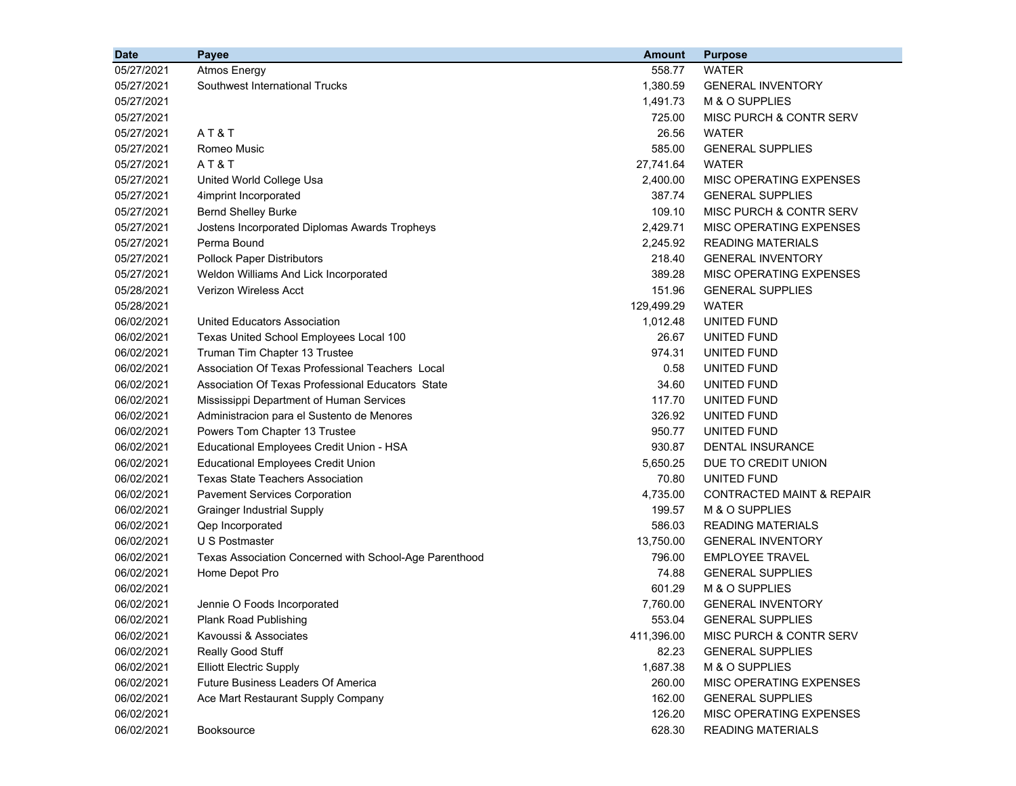| <b>Date</b> | Payee                                                  | <b>Amount</b> | <b>Purpose</b>                       |  |
|-------------|--------------------------------------------------------|---------------|--------------------------------------|--|
| 05/27/2021  | <b>Atmos Energy</b>                                    | 558.77        | <b>WATER</b>                         |  |
| 05/27/2021  | Southwest International Trucks                         | 1,380.59      | <b>GENERAL INVENTORY</b>             |  |
| 05/27/2021  |                                                        | 1,491.73      | M & O SUPPLIES                       |  |
| 05/27/2021  |                                                        | 725.00        | MISC PURCH & CONTR SERV              |  |
| 05/27/2021  | AT&T                                                   | 26.56         | <b>WATER</b>                         |  |
| 05/27/2021  | Romeo Music                                            | 585.00        | <b>GENERAL SUPPLIES</b>              |  |
| 05/27/2021  | AT&T                                                   | 27,741.64     | <b>WATER</b>                         |  |
| 05/27/2021  | United World College Usa                               | 2,400.00      | MISC OPERATING EXPENSES              |  |
| 05/27/2021  | 4imprint Incorporated                                  | 387.74        | <b>GENERAL SUPPLIES</b>              |  |
| 05/27/2021  | <b>Bernd Shelley Burke</b>                             | 109.10        | MISC PURCH & CONTR SERV              |  |
| 05/27/2021  | Jostens Incorporated Diplomas Awards Tropheys          | 2,429.71      | MISC OPERATING EXPENSES              |  |
| 05/27/2021  | Perma Bound                                            | 2,245.92      | <b>READING MATERIALS</b>             |  |
| 05/27/2021  | <b>Pollock Paper Distributors</b>                      | 218.40        | <b>GENERAL INVENTORY</b>             |  |
| 05/27/2021  | Weldon Williams And Lick Incorporated                  | 389.28        | MISC OPERATING EXPENSES              |  |
| 05/28/2021  | <b>Verizon Wireless Acct</b>                           | 151.96        | <b>GENERAL SUPPLIES</b>              |  |
| 05/28/2021  |                                                        | 129,499.29    | WATER                                |  |
| 06/02/2021  | United Educators Association                           | 1,012.48      | UNITED FUND                          |  |
| 06/02/2021  | Texas United School Employees Local 100                | 26.67         | UNITED FUND                          |  |
| 06/02/2021  | Truman Tim Chapter 13 Trustee                          | 974.31        | UNITED FUND                          |  |
| 06/02/2021  | Association Of Texas Professional Teachers Local       | 0.58          | UNITED FUND                          |  |
| 06/02/2021  | Association Of Texas Professional Educators State      | 34.60         | UNITED FUND                          |  |
| 06/02/2021  | Mississippi Department of Human Services               | 117.70        | UNITED FUND                          |  |
| 06/02/2021  | Administracion para el Sustento de Menores             | 326.92        | UNITED FUND                          |  |
| 06/02/2021  | Powers Tom Chapter 13 Trustee                          | 950.77        | UNITED FUND                          |  |
| 06/02/2021  | Educational Employees Credit Union - HSA               | 930.87        | <b>DENTAL INSURANCE</b>              |  |
| 06/02/2021  | <b>Educational Employees Credit Union</b>              | 5,650.25      | DUE TO CREDIT UNION                  |  |
| 06/02/2021  | Texas State Teachers Association                       | 70.80         | UNITED FUND                          |  |
| 06/02/2021  | <b>Pavement Services Corporation</b>                   | 4,735.00      | <b>CONTRACTED MAINT &amp; REPAIR</b> |  |
| 06/02/2021  | <b>Grainger Industrial Supply</b>                      | 199.57        | M & O SUPPLIES                       |  |
| 06/02/2021  | Qep Incorporated                                       | 586.03        | <b>READING MATERIALS</b>             |  |
| 06/02/2021  | U S Postmaster                                         | 13,750.00     | <b>GENERAL INVENTORY</b>             |  |
| 06/02/2021  | Texas Association Concerned with School-Age Parenthood | 796.00        | <b>EMPLOYEE TRAVEL</b>               |  |
| 06/02/2021  | Home Depot Pro                                         | 74.88         | <b>GENERAL SUPPLIES</b>              |  |
| 06/02/2021  |                                                        | 601.29        | M & O SUPPLIES                       |  |
| 06/02/2021  | Jennie O Foods Incorporated                            | 7,760.00      | <b>GENERAL INVENTORY</b>             |  |
| 06/02/2021  | Plank Road Publishing                                  | 553.04        | <b>GENERAL SUPPLIES</b>              |  |
| 06/02/2021  | Kavoussi & Associates                                  | 411,396.00    | MISC PURCH & CONTR SERV              |  |
| 06/02/2021  | Really Good Stuff                                      | 82.23         | <b>GENERAL SUPPLIES</b>              |  |
| 06/02/2021  | <b>Elliott Electric Supply</b>                         | 1,687.38      | M & O SUPPLIES                       |  |
| 06/02/2021  | Future Business Leaders Of America                     | 260.00        | MISC OPERATING EXPENSES              |  |
| 06/02/2021  | Ace Mart Restaurant Supply Company                     | 162.00        | <b>GENERAL SUPPLIES</b>              |  |
| 06/02/2021  |                                                        | 126.20        | MISC OPERATING EXPENSES              |  |
| 06/02/2021  | Booksource                                             | 628.30        | <b>READING MATERIALS</b>             |  |
|             |                                                        |               |                                      |  |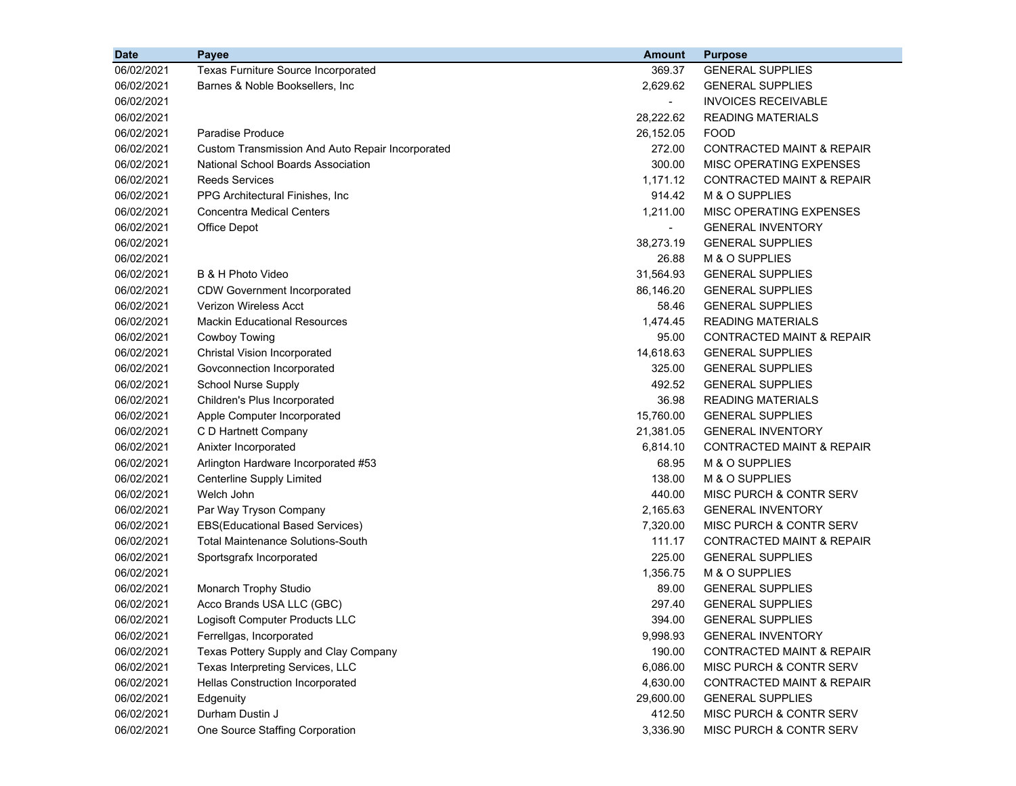| <b>Date</b> | Payee                                            | <b>Amount</b>  | <b>Purpose</b>                       |
|-------------|--------------------------------------------------|----------------|--------------------------------------|
| 06/02/2021  | Texas Furniture Source Incorporated              | 369.37         | <b>GENERAL SUPPLIES</b>              |
| 06/02/2021  | Barnes & Noble Booksellers, Inc.                 | 2,629.62       | <b>GENERAL SUPPLIES</b>              |
| 06/02/2021  |                                                  | $\blacksquare$ | <b>INVOICES RECEIVABLE</b>           |
| 06/02/2021  |                                                  | 28,222.62      | <b>READING MATERIALS</b>             |
| 06/02/2021  | Paradise Produce                                 | 26,152.05      | <b>FOOD</b>                          |
| 06/02/2021  | Custom Transmission And Auto Repair Incorporated | 272.00         | CONTRACTED MAINT & REPAIR            |
| 06/02/2021  | National School Boards Association               | 300.00         | MISC OPERATING EXPENSES              |
| 06/02/2021  | <b>Reeds Services</b>                            | 1,171.12       | CONTRACTED MAINT & REPAIR            |
| 06/02/2021  | PPG Architectural Finishes, Inc.                 | 914.42         | M & O SUPPLIES                       |
| 06/02/2021  | <b>Concentra Medical Centers</b>                 | 1,211.00       | MISC OPERATING EXPENSES              |
| 06/02/2021  | Office Depot                                     |                | <b>GENERAL INVENTORY</b>             |
| 06/02/2021  |                                                  | 38,273.19      | <b>GENERAL SUPPLIES</b>              |
| 06/02/2021  |                                                  | 26.88          | M & O SUPPLIES                       |
| 06/02/2021  | B & H Photo Video                                | 31,564.93      | <b>GENERAL SUPPLIES</b>              |
| 06/02/2021  | <b>CDW Government Incorporated</b>               | 86,146.20      | <b>GENERAL SUPPLIES</b>              |
| 06/02/2021  | <b>Verizon Wireless Acct</b>                     | 58.46          | <b>GENERAL SUPPLIES</b>              |
| 06/02/2021  | <b>Mackin Educational Resources</b>              | 1,474.45       | <b>READING MATERIALS</b>             |
| 06/02/2021  | Cowboy Towing                                    | 95.00          | CONTRACTED MAINT & REPAIR            |
| 06/02/2021  | Christal Vision Incorporated                     | 14,618.63      | <b>GENERAL SUPPLIES</b>              |
| 06/02/2021  | Govconnection Incorporated                       | 325.00         | <b>GENERAL SUPPLIES</b>              |
| 06/02/2021  | School Nurse Supply                              | 492.52         | <b>GENERAL SUPPLIES</b>              |
| 06/02/2021  | Children's Plus Incorporated                     | 36.98          | <b>READING MATERIALS</b>             |
| 06/02/2021  | Apple Computer Incorporated                      | 15,760.00      | <b>GENERAL SUPPLIES</b>              |
| 06/02/2021  | C D Hartnett Company                             | 21,381.05      | <b>GENERAL INVENTORY</b>             |
| 06/02/2021  | Anixter Incorporated                             | 6,814.10       | CONTRACTED MAINT & REPAIR            |
| 06/02/2021  | Arlington Hardware Incorporated #53              | 68.95          | M & O SUPPLIES                       |
| 06/02/2021  | Centerline Supply Limited                        | 138.00         | M & O SUPPLIES                       |
| 06/02/2021  | Welch John                                       | 440.00         | MISC PURCH & CONTR SERV              |
| 06/02/2021  | Par Way Tryson Company                           | 2,165.63       | <b>GENERAL INVENTORY</b>             |
| 06/02/2021  | EBS(Educational Based Services)                  | 7,320.00       | MISC PURCH & CONTR SERV              |
| 06/02/2021  | <b>Total Maintenance Solutions-South</b>         | 111.17         | CONTRACTED MAINT & REPAIR            |
| 06/02/2021  | Sportsgrafx Incorporated                         | 225.00         | <b>GENERAL SUPPLIES</b>              |
| 06/02/2021  |                                                  | 1,356.75       | M & O SUPPLIES                       |
| 06/02/2021  | Monarch Trophy Studio                            | 89.00          | <b>GENERAL SUPPLIES</b>              |
| 06/02/2021  | Acco Brands USA LLC (GBC)                        | 297.40         | <b>GENERAL SUPPLIES</b>              |
| 06/02/2021  | Logisoft Computer Products LLC                   | 394.00         | <b>GENERAL SUPPLIES</b>              |
| 06/02/2021  | Ferrellgas, Incorporated                         | 9,998.93       | <b>GENERAL INVENTORY</b>             |
| 06/02/2021  | Texas Pottery Supply and Clay Company            | 190.00         | <b>CONTRACTED MAINT &amp; REPAIR</b> |
| 06/02/2021  | Texas Interpreting Services, LLC                 | 6,086.00       | MISC PURCH & CONTR SERV              |
| 06/02/2021  | Hellas Construction Incorporated                 | 4,630.00       | <b>CONTRACTED MAINT &amp; REPAIR</b> |
| 06/02/2021  | Edgenuity                                        | 29,600.00      | <b>GENERAL SUPPLIES</b>              |
| 06/02/2021  | Durham Dustin J                                  | 412.50         | MISC PURCH & CONTR SERV              |
| 06/02/2021  | One Source Staffing Corporation                  | 3,336.90       | MISC PURCH & CONTR SERV              |
|             |                                                  |                |                                      |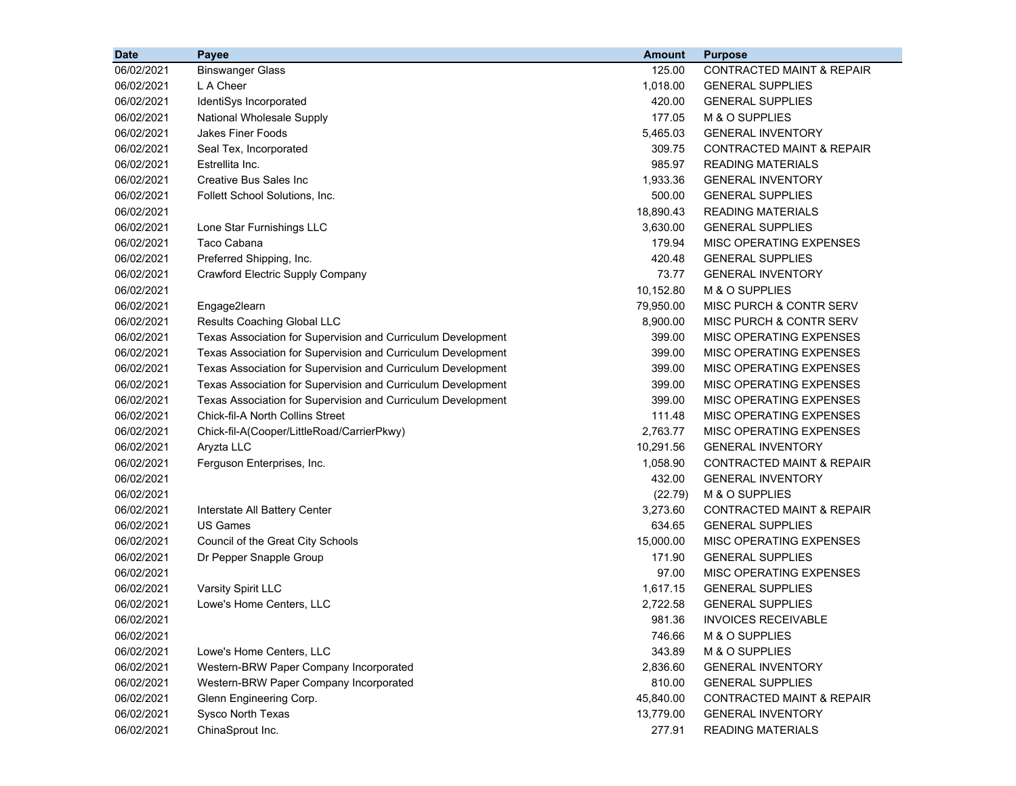| <b>Date</b> | Payee                                                        | <b>Amount</b> | <b>Purpose</b>                       |
|-------------|--------------------------------------------------------------|---------------|--------------------------------------|
| 06/02/2021  | <b>Binswanger Glass</b>                                      | 125.00        | <b>CONTRACTED MAINT &amp; REPAIR</b> |
| 06/02/2021  | L A Cheer                                                    | 1,018.00      | <b>GENERAL SUPPLIES</b>              |
| 06/02/2021  | IdentiSys Incorporated                                       | 420.00        | <b>GENERAL SUPPLIES</b>              |
| 06/02/2021  | <b>National Wholesale Supply</b>                             | 177.05        | M & O SUPPLIES                       |
| 06/02/2021  | <b>Jakes Finer Foods</b>                                     | 5,465.03      | <b>GENERAL INVENTORY</b>             |
| 06/02/2021  | Seal Tex, Incorporated                                       | 309.75        | <b>CONTRACTED MAINT &amp; REPAIR</b> |
| 06/02/2021  | Estrellita Inc.                                              | 985.97        | <b>READING MATERIALS</b>             |
| 06/02/2021  | <b>Creative Bus Sales Inc</b>                                | 1,933.36      | <b>GENERAL INVENTORY</b>             |
| 06/02/2021  | Follett School Solutions, Inc.                               | 500.00        | <b>GENERAL SUPPLIES</b>              |
| 06/02/2021  |                                                              | 18,890.43     | <b>READING MATERIALS</b>             |
| 06/02/2021  | Lone Star Furnishings LLC                                    | 3,630.00      | <b>GENERAL SUPPLIES</b>              |
| 06/02/2021  | Taco Cabana                                                  | 179.94        | MISC OPERATING EXPENSES              |
| 06/02/2021  | Preferred Shipping, Inc.                                     | 420.48        | <b>GENERAL SUPPLIES</b>              |
| 06/02/2021  | <b>Crawford Electric Supply Company</b>                      | 73.77         | <b>GENERAL INVENTORY</b>             |
| 06/02/2021  |                                                              | 10,152.80     | M & O SUPPLIES                       |
| 06/02/2021  | Engage2learn                                                 | 79,950.00     | MISC PURCH & CONTR SERV              |
| 06/02/2021  | Results Coaching Global LLC                                  | 8,900.00      | MISC PURCH & CONTR SERV              |
| 06/02/2021  | Texas Association for Supervision and Curriculum Development | 399.00        | MISC OPERATING EXPENSES              |
| 06/02/2021  | Texas Association for Supervision and Curriculum Development | 399.00        | MISC OPERATING EXPENSES              |
| 06/02/2021  | Texas Association for Supervision and Curriculum Development | 399.00        | MISC OPERATING EXPENSES              |
| 06/02/2021  | Texas Association for Supervision and Curriculum Development | 399.00        | MISC OPERATING EXPENSES              |
| 06/02/2021  | Texas Association for Supervision and Curriculum Development | 399.00        | MISC OPERATING EXPENSES              |
| 06/02/2021  | <b>Chick-fil-A North Collins Street</b>                      | 111.48        | MISC OPERATING EXPENSES              |
| 06/02/2021  | Chick-fil-A(Cooper/LittleRoad/CarrierPkwy)                   | 2,763.77      | MISC OPERATING EXPENSES              |
| 06/02/2021  | Aryzta LLC                                                   | 10,291.56     | <b>GENERAL INVENTORY</b>             |
| 06/02/2021  | Ferguson Enterprises, Inc.                                   | 1,058.90      | <b>CONTRACTED MAINT &amp; REPAIR</b> |
| 06/02/2021  |                                                              | 432.00        | <b>GENERAL INVENTORY</b>             |
| 06/02/2021  |                                                              | (22.79)       | M & O SUPPLIES                       |
| 06/02/2021  | Interstate All Battery Center                                | 3,273.60      | <b>CONTRACTED MAINT &amp; REPAIR</b> |
| 06/02/2021  | <b>US Games</b>                                              | 634.65        | <b>GENERAL SUPPLIES</b>              |
| 06/02/2021  | Council of the Great City Schools                            | 15,000.00     | MISC OPERATING EXPENSES              |
| 06/02/2021  | Dr Pepper Snapple Group                                      | 171.90        | <b>GENERAL SUPPLIES</b>              |
| 06/02/2021  |                                                              | 97.00         | MISC OPERATING EXPENSES              |
| 06/02/2021  | Varsity Spirit LLC                                           | 1,617.15      | <b>GENERAL SUPPLIES</b>              |
| 06/02/2021  | Lowe's Home Centers, LLC                                     | 2,722.58      | <b>GENERAL SUPPLIES</b>              |
| 06/02/2021  |                                                              | 981.36        | <b>INVOICES RECEIVABLE</b>           |
| 06/02/2021  |                                                              | 746.66        | M & O SUPPLIES                       |
| 06/02/2021  | Lowe's Home Centers, LLC                                     | 343.89        | M & O SUPPLIES                       |
| 06/02/2021  | Western-BRW Paper Company Incorporated                       | 2,836.60      | <b>GENERAL INVENTORY</b>             |
| 06/02/2021  | Western-BRW Paper Company Incorporated                       | 810.00        | <b>GENERAL SUPPLIES</b>              |
| 06/02/2021  | Glenn Engineering Corp.                                      | 45,840.00     | <b>CONTRACTED MAINT &amp; REPAIR</b> |
| 06/02/2021  | Sysco North Texas                                            | 13,779.00     | <b>GENERAL INVENTORY</b>             |
| 06/02/2021  | ChinaSprout Inc.                                             | 277.91        | <b>READING MATERIALS</b>             |
|             |                                                              |               |                                      |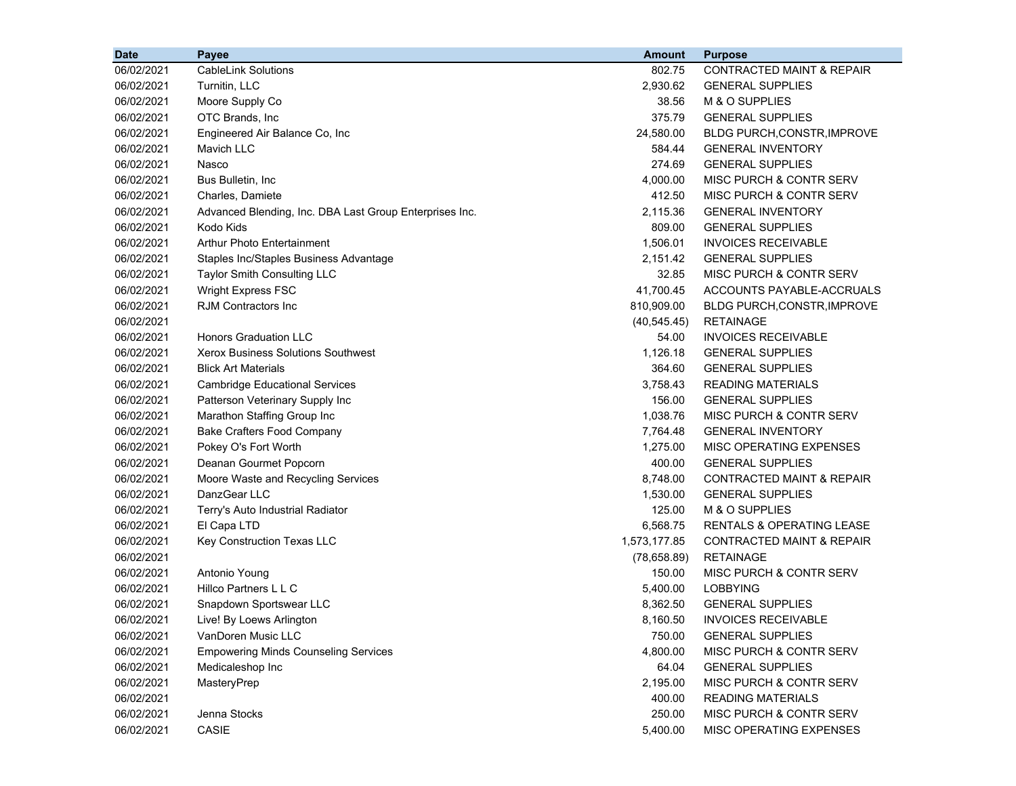| <b>Date</b> | Payee                                                   | <b>Amount</b> | <b>Purpose</b>                       |
|-------------|---------------------------------------------------------|---------------|--------------------------------------|
| 06/02/2021  | <b>CableLink Solutions</b>                              | 802.75        | <b>CONTRACTED MAINT &amp; REPAIR</b> |
| 06/02/2021  | Turnitin, LLC                                           | 2,930.62      | <b>GENERAL SUPPLIES</b>              |
| 06/02/2021  | Moore Supply Co                                         | 38.56         | M & O SUPPLIES                       |
| 06/02/2021  | OTC Brands, Inc                                         | 375.79        | <b>GENERAL SUPPLIES</b>              |
| 06/02/2021  | Engineered Air Balance Co, Inc                          | 24,580.00     | <b>BLDG PURCH, CONSTR, IMPROVE</b>   |
| 06/02/2021  | Mavich LLC                                              | 584.44        | <b>GENERAL INVENTORY</b>             |
| 06/02/2021  | Nasco                                                   | 274.69        | <b>GENERAL SUPPLIES</b>              |
| 06/02/2021  | Bus Bulletin, Inc.                                      | 4,000.00      | MISC PURCH & CONTR SERV              |
| 06/02/2021  | Charles, Damiete                                        | 412.50        | MISC PURCH & CONTR SERV              |
| 06/02/2021  | Advanced Blending, Inc. DBA Last Group Enterprises Inc. | 2,115.36      | <b>GENERAL INVENTORY</b>             |
| 06/02/2021  | Kodo Kids                                               | 809.00        | <b>GENERAL SUPPLIES</b>              |
| 06/02/2021  | <b>Arthur Photo Entertainment</b>                       | 1,506.01      | <b>INVOICES RECEIVABLE</b>           |
| 06/02/2021  | Staples Inc/Staples Business Advantage                  | 2,151.42      | <b>GENERAL SUPPLIES</b>              |
| 06/02/2021  | Taylor Smith Consulting LLC                             | 32.85         | <b>MISC PURCH &amp; CONTR SERV</b>   |
| 06/02/2021  | <b>Wright Express FSC</b>                               | 41,700.45     | ACCOUNTS PAYABLE-ACCRUALS            |
| 06/02/2021  | <b>RJM Contractors Inc.</b>                             | 810,909.00    | <b>BLDG PURCH, CONSTR, IMPROVE</b>   |
| 06/02/2021  |                                                         | (40, 545.45)  | <b>RETAINAGE</b>                     |
| 06/02/2021  | <b>Honors Graduation LLC</b>                            | 54.00         | <b>INVOICES RECEIVABLE</b>           |
| 06/02/2021  | <b>Xerox Business Solutions Southwest</b>               | 1,126.18      | <b>GENERAL SUPPLIES</b>              |
| 06/02/2021  | <b>Blick Art Materials</b>                              | 364.60        | <b>GENERAL SUPPLIES</b>              |
| 06/02/2021  | <b>Cambridge Educational Services</b>                   | 3,758.43      | <b>READING MATERIALS</b>             |
| 06/02/2021  | Patterson Veterinary Supply Inc                         | 156.00        | <b>GENERAL SUPPLIES</b>              |
| 06/02/2021  | Marathon Staffing Group Inc                             | 1,038.76      | MISC PURCH & CONTR SERV              |
| 06/02/2021  | <b>Bake Crafters Food Company</b>                       | 7,764.48      | <b>GENERAL INVENTORY</b>             |
| 06/02/2021  | Pokey O's Fort Worth                                    | 1,275.00      | MISC OPERATING EXPENSES              |
| 06/02/2021  | Deanan Gourmet Popcorn                                  | 400.00        | <b>GENERAL SUPPLIES</b>              |
| 06/02/2021  | Moore Waste and Recycling Services                      | 8,748.00      | <b>CONTRACTED MAINT &amp; REPAIR</b> |
| 06/02/2021  | DanzGear LLC                                            | 1,530.00      | <b>GENERAL SUPPLIES</b>              |
| 06/02/2021  | Terry's Auto Industrial Radiator                        | 125.00        | M & O SUPPLIES                       |
| 06/02/2021  | El Capa LTD                                             | 6,568.75      | <b>RENTALS &amp; OPERATING LEASE</b> |
| 06/02/2021  | Key Construction Texas LLC                              | 1,573,177.85  | <b>CONTRACTED MAINT &amp; REPAIR</b> |
| 06/02/2021  |                                                         | (78,658.89)   | <b>RETAINAGE</b>                     |
| 06/02/2021  | Antonio Young                                           | 150.00        | MISC PURCH & CONTR SERV              |
| 06/02/2021  | Hillco Partners L L C                                   | 5,400.00      | <b>LOBBYING</b>                      |
| 06/02/2021  | Snapdown Sportswear LLC                                 | 8,362.50      | <b>GENERAL SUPPLIES</b>              |
| 06/02/2021  | Live! By Loews Arlington                                | 8,160.50      | <b>INVOICES RECEIVABLE</b>           |
| 06/02/2021  | VanDoren Music LLC                                      | 750.00        | <b>GENERAL SUPPLIES</b>              |
| 06/02/2021  | <b>Empowering Minds Counseling Services</b>             | 4,800.00      | MISC PURCH & CONTR SERV              |
| 06/02/2021  | Medicaleshop Inc                                        | 64.04         | <b>GENERAL SUPPLIES</b>              |
| 06/02/2021  | MasteryPrep                                             | 2,195.00      | MISC PURCH & CONTR SERV              |
| 06/02/2021  |                                                         | 400.00        | <b>READING MATERIALS</b>             |
| 06/02/2021  | Jenna Stocks                                            | 250.00        | MISC PURCH & CONTR SERV              |
| 06/02/2021  | CASIE                                                   | 5,400.00      | MISC OPERATING EXPENSES              |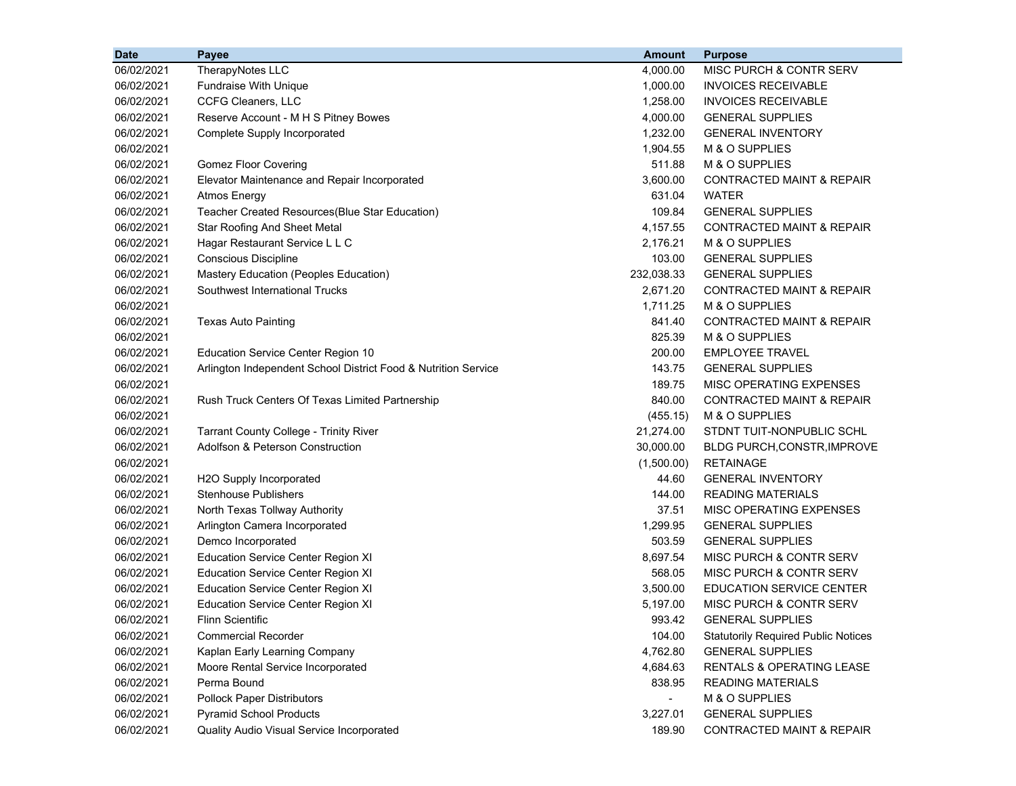| <b>Date</b> | Payee                                                          | <b>Amount</b> | <b>Purpose</b>                             |
|-------------|----------------------------------------------------------------|---------------|--------------------------------------------|
| 06/02/2021  | TherapyNotes LLC                                               | 4,000.00      | MISC PURCH & CONTR SERV                    |
| 06/02/2021  | <b>Fundraise With Unique</b>                                   | 1,000.00      | <b>INVOICES RECEIVABLE</b>                 |
| 06/02/2021  | CCFG Cleaners, LLC                                             | 1,258.00      | <b>INVOICES RECEIVABLE</b>                 |
| 06/02/2021  | Reserve Account - M H S Pitney Bowes                           | 4,000.00      | <b>GENERAL SUPPLIES</b>                    |
| 06/02/2021  | Complete Supply Incorporated                                   | 1,232.00      | <b>GENERAL INVENTORY</b>                   |
| 06/02/2021  |                                                                | 1,904.55      | M & O SUPPLIES                             |
| 06/02/2021  | <b>Gomez Floor Covering</b>                                    | 511.88        | M & O SUPPLIES                             |
| 06/02/2021  | Elevator Maintenance and Repair Incorporated                   | 3,600.00      | <b>CONTRACTED MAINT &amp; REPAIR</b>       |
| 06/02/2021  | <b>Atmos Energy</b>                                            | 631.04        | <b>WATER</b>                               |
| 06/02/2021  | Teacher Created Resources(Blue Star Education)                 | 109.84        | <b>GENERAL SUPPLIES</b>                    |
| 06/02/2021  | <b>Star Roofing And Sheet Metal</b>                            | 4,157.55      | <b>CONTRACTED MAINT &amp; REPAIR</b>       |
| 06/02/2021  | Hagar Restaurant Service L L C                                 | 2,176.21      | M & O SUPPLIES                             |
| 06/02/2021  | Conscious Discipline                                           | 103.00        | <b>GENERAL SUPPLIES</b>                    |
| 06/02/2021  | Mastery Education (Peoples Education)                          | 232,038.33    | <b>GENERAL SUPPLIES</b>                    |
| 06/02/2021  | Southwest International Trucks                                 | 2,671.20      | <b>CONTRACTED MAINT &amp; REPAIR</b>       |
| 06/02/2021  |                                                                | 1,711.25      | M & O SUPPLIES                             |
| 06/02/2021  | <b>Texas Auto Painting</b>                                     | 841.40        | CONTRACTED MAINT & REPAIR                  |
| 06/02/2021  |                                                                | 825.39        | M & O SUPPLIES                             |
| 06/02/2021  | Education Service Center Region 10                             | 200.00        | <b>EMPLOYEE TRAVEL</b>                     |
| 06/02/2021  | Arlington Independent School District Food & Nutrition Service | 143.75        | <b>GENERAL SUPPLIES</b>                    |
| 06/02/2021  |                                                                | 189.75        | MISC OPERATING EXPENSES                    |
| 06/02/2021  | Rush Truck Centers Of Texas Limited Partnership                | 840.00        | <b>CONTRACTED MAINT &amp; REPAIR</b>       |
| 06/02/2021  |                                                                | (455.15)      | M & O SUPPLIES                             |
| 06/02/2021  | Tarrant County College - Trinity River                         | 21,274.00     | STDNT TUIT-NONPUBLIC SCHL                  |
| 06/02/2021  | Adolfson & Peterson Construction                               | 30,000.00     | BLDG PURCH, CONSTR, IMPROVE                |
| 06/02/2021  |                                                                | (1,500.00)    | <b>RETAINAGE</b>                           |
| 06/02/2021  | H2O Supply Incorporated                                        | 44.60         | <b>GENERAL INVENTORY</b>                   |
| 06/02/2021  | <b>Stenhouse Publishers</b>                                    | 144.00        | READING MATERIALS                          |
| 06/02/2021  | North Texas Tollway Authority                                  | 37.51         | MISC OPERATING EXPENSES                    |
| 06/02/2021  | Arlington Camera Incorporated                                  | 1,299.95      | <b>GENERAL SUPPLIES</b>                    |
| 06/02/2021  | Demco Incorporated                                             | 503.59        | <b>GENERAL SUPPLIES</b>                    |
| 06/02/2021  | <b>Education Service Center Region XI</b>                      | 8,697.54      | MISC PURCH & CONTR SERV                    |
| 06/02/2021  | <b>Education Service Center Region XI</b>                      | 568.05        | MISC PURCH & CONTR SERV                    |
| 06/02/2021  | <b>Education Service Center Region XI</b>                      | 3,500.00      | EDUCATION SERVICE CENTER                   |
| 06/02/2021  | <b>Education Service Center Region XI</b>                      | 5,197.00      | MISC PURCH & CONTR SERV                    |
| 06/02/2021  | <b>Flinn Scientific</b>                                        | 993.42        | <b>GENERAL SUPPLIES</b>                    |
| 06/02/2021  | <b>Commercial Recorder</b>                                     | 104.00        | <b>Statutorily Required Public Notices</b> |
| 06/02/2021  | Kaplan Early Learning Company                                  | 4,762.80      | <b>GENERAL SUPPLIES</b>                    |
| 06/02/2021  | Moore Rental Service Incorporated                              | 4,684.63      | <b>RENTALS &amp; OPERATING LEASE</b>       |
| 06/02/2021  | Perma Bound                                                    | 838.95        | READING MATERIALS                          |
| 06/02/2021  | <b>Pollock Paper Distributors</b>                              | $\sim$        | M & O SUPPLIES                             |
| 06/02/2021  | <b>Pyramid School Products</b>                                 | 3,227.01      | <b>GENERAL SUPPLIES</b>                    |
| 06/02/2021  | Quality Audio Visual Service Incorporated                      | 189.90        | <b>CONTRACTED MAINT &amp; REPAIR</b>       |
|             |                                                                |               |                                            |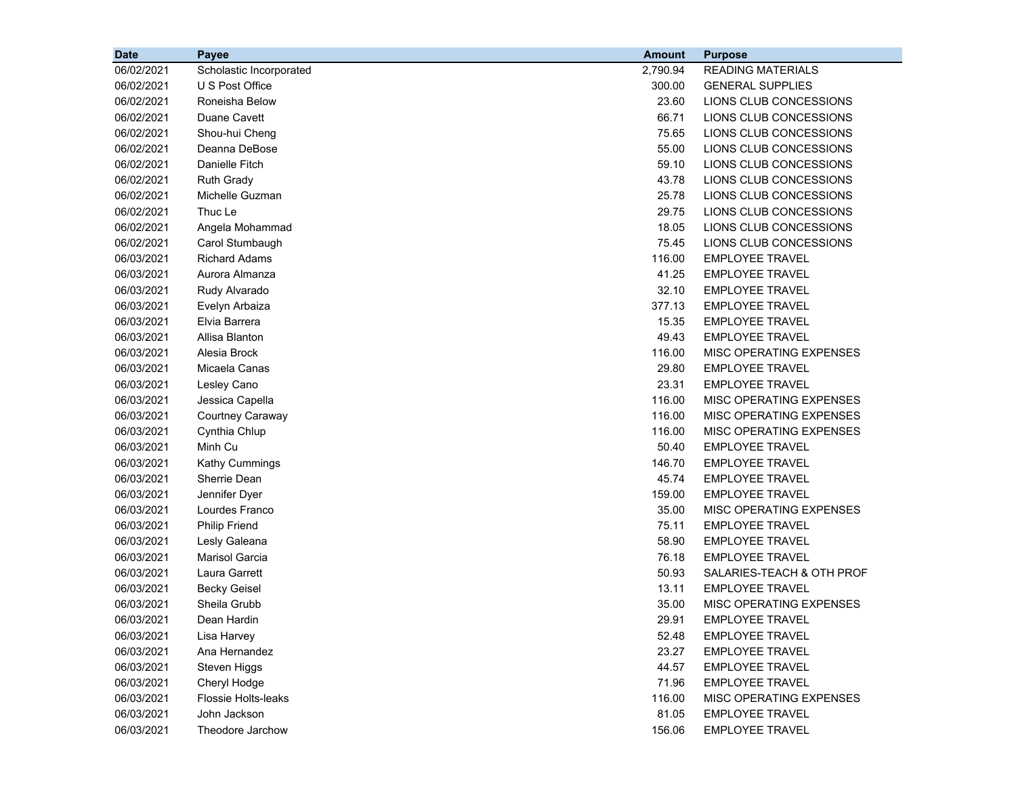| <b>Date</b> | Payee                   | <b>Amount</b> | <b>Purpose</b>            |
|-------------|-------------------------|---------------|---------------------------|
| 06/02/2021  | Scholastic Incorporated | 2,790.94      | <b>READING MATERIALS</b>  |
| 06/02/2021  | U S Post Office         | 300.00        | <b>GENERAL SUPPLIES</b>   |
| 06/02/2021  | Roneisha Below          | 23.60         | LIONS CLUB CONCESSIONS    |
| 06/02/2021  | Duane Cavett            | 66.71         | LIONS CLUB CONCESSIONS    |
| 06/02/2021  | Shou-hui Cheng          | 75.65         | LIONS CLUB CONCESSIONS    |
| 06/02/2021  | Deanna DeBose           | 55.00         | LIONS CLUB CONCESSIONS    |
| 06/02/2021  | Danielle Fitch          | 59.10         | LIONS CLUB CONCESSIONS    |
| 06/02/2021  | <b>Ruth Grady</b>       | 43.78         | LIONS CLUB CONCESSIONS    |
| 06/02/2021  | Michelle Guzman         | 25.78         | LIONS CLUB CONCESSIONS    |
| 06/02/2021  | Thuc Le                 | 29.75         | LIONS CLUB CONCESSIONS    |
| 06/02/2021  | Angela Mohammad         | 18.05         | LIONS CLUB CONCESSIONS    |
| 06/02/2021  | Carol Stumbaugh         | 75.45         | LIONS CLUB CONCESSIONS    |
| 06/03/2021  | <b>Richard Adams</b>    | 116.00        | <b>EMPLOYEE TRAVEL</b>    |
| 06/03/2021  | Aurora Almanza          | 41.25         | <b>EMPLOYEE TRAVEL</b>    |
| 06/03/2021  | Rudy Alvarado           | 32.10         | <b>EMPLOYEE TRAVEL</b>    |
| 06/03/2021  | Evelyn Arbaiza          | 377.13        | <b>EMPLOYEE TRAVEL</b>    |
| 06/03/2021  | Elvia Barrera           | 15.35         | <b>EMPLOYEE TRAVEL</b>    |
| 06/03/2021  | Allisa Blanton          | 49.43         | <b>EMPLOYEE TRAVEL</b>    |
| 06/03/2021  | Alesia Brock            | 116.00        | MISC OPERATING EXPENSES   |
| 06/03/2021  | Micaela Canas           | 29.80         | <b>EMPLOYEE TRAVEL</b>    |
| 06/03/2021  | Lesley Cano             | 23.31         | <b>EMPLOYEE TRAVEL</b>    |
| 06/03/2021  | Jessica Capella         | 116.00        | MISC OPERATING EXPENSES   |
| 06/03/2021  | Courtney Caraway        | 116.00        | MISC OPERATING EXPENSES   |
| 06/03/2021  | Cynthia Chlup           | 116.00        | MISC OPERATING EXPENSES   |
| 06/03/2021  | Minh Cu                 | 50.40         | <b>EMPLOYEE TRAVEL</b>    |
| 06/03/2021  | Kathy Cummings          | 146.70        | <b>EMPLOYEE TRAVEL</b>    |
| 06/03/2021  | Sherrie Dean            | 45.74         | <b>EMPLOYEE TRAVEL</b>    |
| 06/03/2021  | Jennifer Dyer           | 159.00        | <b>EMPLOYEE TRAVEL</b>    |
| 06/03/2021  | Lourdes Franco          | 35.00         | MISC OPERATING EXPENSES   |
| 06/03/2021  | <b>Philip Friend</b>    | 75.11         | <b>EMPLOYEE TRAVEL</b>    |
| 06/03/2021  | Lesly Galeana           | 58.90         | <b>EMPLOYEE TRAVEL</b>    |
| 06/03/2021  | <b>Marisol Garcia</b>   | 76.18         | <b>EMPLOYEE TRAVEL</b>    |
| 06/03/2021  | Laura Garrett           | 50.93         | SALARIES-TEACH & OTH PROF |
| 06/03/2021  | <b>Becky Geisel</b>     | 13.11         | EMPLOYEE TRAVEL           |
| 06/03/2021  | Sheila Grubb            | 35.00         | MISC OPERATING EXPENSES   |
| 06/03/2021  | Dean Hardin             | 29.91         | <b>EMPLOYEE TRAVEL</b>    |
| 06/03/2021  | Lisa Harvey             | 52.48         | <b>EMPLOYEE TRAVEL</b>    |
| 06/03/2021  | Ana Hernandez           | 23.27         | <b>EMPLOYEE TRAVEL</b>    |
| 06/03/2021  | Steven Higgs            | 44.57         | <b>EMPLOYEE TRAVEL</b>    |
| 06/03/2021  | Cheryl Hodge            | 71.96         | <b>EMPLOYEE TRAVEL</b>    |
| 06/03/2021  | Flossie Holts-leaks     | 116.00        | MISC OPERATING EXPENSES   |
| 06/03/2021  | John Jackson            | 81.05         | <b>EMPLOYEE TRAVEL</b>    |
| 06/03/2021  | Theodore Jarchow        | 156.06        | EMPLOYEE TRAVEL           |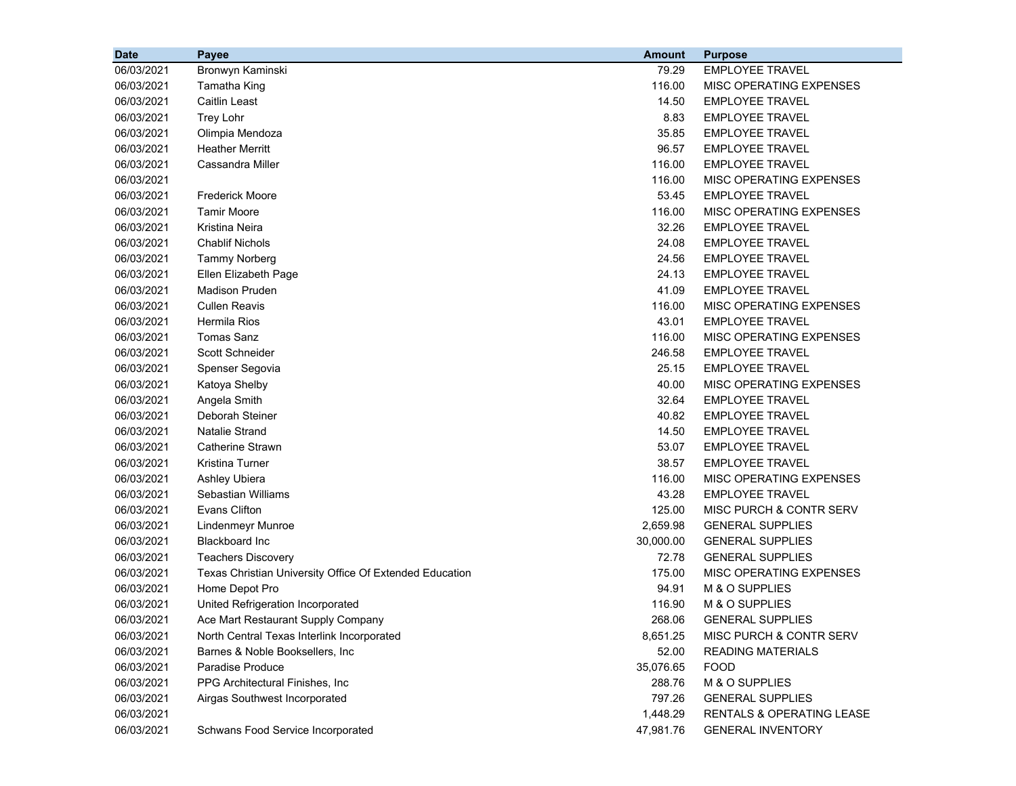| <b>Date</b> | Payee                                                   | <b>Amount</b> | <b>Purpose</b>            |
|-------------|---------------------------------------------------------|---------------|---------------------------|
| 06/03/2021  | Bronwyn Kaminski                                        | 79.29         | <b>EMPLOYEE TRAVEL</b>    |
| 06/03/2021  | Tamatha King                                            | 116.00        | MISC OPERATING EXPENSES   |
| 06/03/2021  | <b>Caitlin Least</b>                                    | 14.50         | <b>EMPLOYEE TRAVEL</b>    |
| 06/03/2021  | Trey Lohr                                               | 8.83          | <b>EMPLOYEE TRAVEL</b>    |
| 06/03/2021  | Olimpia Mendoza                                         | 35.85         | <b>EMPLOYEE TRAVEL</b>    |
| 06/03/2021  | <b>Heather Merritt</b>                                  | 96.57         | <b>EMPLOYEE TRAVEL</b>    |
| 06/03/2021  | Cassandra Miller                                        | 116.00        | <b>EMPLOYEE TRAVEL</b>    |
| 06/03/2021  |                                                         | 116.00        | MISC OPERATING EXPENSES   |
| 06/03/2021  | <b>Frederick Moore</b>                                  | 53.45         | <b>EMPLOYEE TRAVEL</b>    |
| 06/03/2021  | <b>Tamir Moore</b>                                      | 116.00        | MISC OPERATING EXPENSES   |
| 06/03/2021  | Kristina Neira                                          | 32.26         | <b>EMPLOYEE TRAVEL</b>    |
| 06/03/2021  | <b>Chablif Nichols</b>                                  | 24.08         | <b>EMPLOYEE TRAVEL</b>    |
| 06/03/2021  | <b>Tammy Norberg</b>                                    | 24.56         | <b>EMPLOYEE TRAVEL</b>    |
| 06/03/2021  | Ellen Elizabeth Page                                    | 24.13         | <b>EMPLOYEE TRAVEL</b>    |
| 06/03/2021  | <b>Madison Pruden</b>                                   | 41.09         | <b>EMPLOYEE TRAVEL</b>    |
| 06/03/2021  | <b>Cullen Reavis</b>                                    | 116.00        | MISC OPERATING EXPENSES   |
| 06/03/2021  | <b>Hermila Rios</b>                                     | 43.01         | <b>EMPLOYEE TRAVEL</b>    |
| 06/03/2021  | <b>Tomas Sanz</b>                                       | 116.00        | MISC OPERATING EXPENSES   |
| 06/03/2021  | Scott Schneider                                         | 246.58        | <b>EMPLOYEE TRAVEL</b>    |
| 06/03/2021  | Spenser Segovia                                         | 25.15         | <b>EMPLOYEE TRAVEL</b>    |
| 06/03/2021  | Katoya Shelby                                           | 40.00         | MISC OPERATING EXPENSES   |
| 06/03/2021  | Angela Smith                                            | 32.64         | <b>EMPLOYEE TRAVEL</b>    |
| 06/03/2021  | Deborah Steiner                                         | 40.82         | <b>EMPLOYEE TRAVEL</b>    |
| 06/03/2021  | <b>Natalie Strand</b>                                   | 14.50         | <b>EMPLOYEE TRAVEL</b>    |
| 06/03/2021  | Catherine Strawn                                        | 53.07         | <b>EMPLOYEE TRAVEL</b>    |
| 06/03/2021  | Kristina Turner                                         | 38.57         | EMPLOYEE TRAVEL           |
| 06/03/2021  | Ashley Ubiera                                           | 116.00        | MISC OPERATING EXPENSES   |
| 06/03/2021  | Sebastian Williams                                      | 43.28         | <b>EMPLOYEE TRAVEL</b>    |
| 06/03/2021  | <b>Evans Clifton</b>                                    | 125.00        | MISC PURCH & CONTR SERV   |
| 06/03/2021  | Lindenmeyr Munroe                                       | 2,659.98      | <b>GENERAL SUPPLIES</b>   |
| 06/03/2021  | <b>Blackboard Inc</b>                                   | 30,000.00     | <b>GENERAL SUPPLIES</b>   |
| 06/03/2021  | <b>Teachers Discovery</b>                               | 72.78         | <b>GENERAL SUPPLIES</b>   |
| 06/03/2021  | Texas Christian University Office Of Extended Education | 175.00        | MISC OPERATING EXPENSES   |
| 06/03/2021  | Home Depot Pro                                          | 94.91         | M & O SUPPLIES            |
| 06/03/2021  | United Refrigeration Incorporated                       | 116.90        | M & O SUPPLIES            |
| 06/03/2021  | Ace Mart Restaurant Supply Company                      | 268.06        | <b>GENERAL SUPPLIES</b>   |
| 06/03/2021  | North Central Texas Interlink Incorporated              | 8,651.25      | MISC PURCH & CONTR SERV   |
| 06/03/2021  | Barnes & Noble Booksellers, Inc.                        | 52.00         | <b>READING MATERIALS</b>  |
| 06/03/2021  | Paradise Produce                                        | 35,076.65     | <b>FOOD</b>               |
| 06/03/2021  | PPG Architectural Finishes, Inc.                        | 288.76        | M & O SUPPLIES            |
| 06/03/2021  | Airgas Southwest Incorporated                           | 797.26        | <b>GENERAL SUPPLIES</b>   |
| 06/03/2021  |                                                         | 1,448.29      | RENTALS & OPERATING LEASE |
| 06/03/2021  | Schwans Food Service Incorporated                       | 47,981.76     | <b>GENERAL INVENTORY</b>  |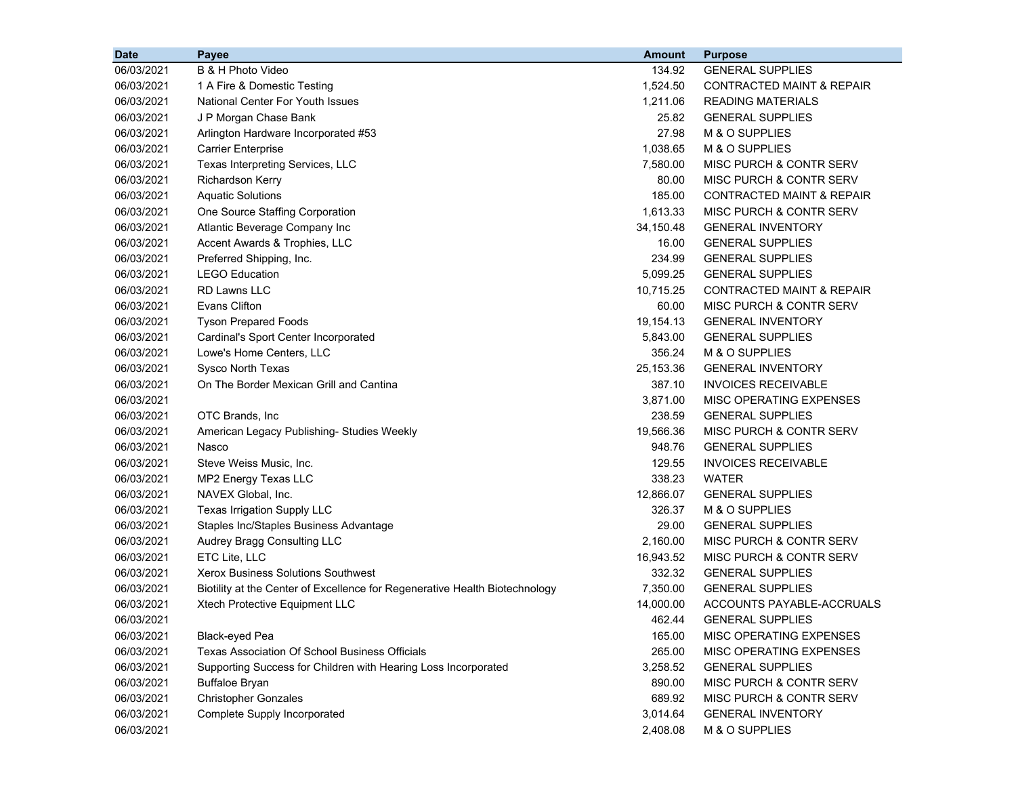| <b>Date</b> | Payee                                                                       | <b>Amount</b> | <b>Purpose</b>                       |
|-------------|-----------------------------------------------------------------------------|---------------|--------------------------------------|
| 06/03/2021  | B & H Photo Video                                                           | 134.92        | <b>GENERAL SUPPLIES</b>              |
| 06/03/2021  | 1 A Fire & Domestic Testing                                                 | 1,524.50      | <b>CONTRACTED MAINT &amp; REPAIR</b> |
| 06/03/2021  | National Center For Youth Issues                                            | 1,211.06      | <b>READING MATERIALS</b>             |
| 06/03/2021  | J P Morgan Chase Bank                                                       | 25.82         | <b>GENERAL SUPPLIES</b>              |
| 06/03/2021  | Arlington Hardware Incorporated #53                                         | 27.98         | M & O SUPPLIES                       |
| 06/03/2021  | <b>Carrier Enterprise</b>                                                   | 1,038.65      | M & O SUPPLIES                       |
| 06/03/2021  | Texas Interpreting Services, LLC                                            | 7,580.00      | MISC PURCH & CONTR SERV              |
| 06/03/2021  | Richardson Kerry                                                            | 80.00         | MISC PURCH & CONTR SERV              |
| 06/03/2021  | <b>Aquatic Solutions</b>                                                    | 185.00        | CONTRACTED MAINT & REPAIR            |
| 06/03/2021  | One Source Staffing Corporation                                             | 1,613.33      | MISC PURCH & CONTR SERV              |
| 06/03/2021  | Atlantic Beverage Company Inc                                               | 34,150.48     | <b>GENERAL INVENTORY</b>             |
| 06/03/2021  | Accent Awards & Trophies, LLC                                               | 16.00         | <b>GENERAL SUPPLIES</b>              |
| 06/03/2021  | Preferred Shipping, Inc.                                                    | 234.99        | <b>GENERAL SUPPLIES</b>              |
| 06/03/2021  | <b>LEGO Education</b>                                                       | 5,099.25      | <b>GENERAL SUPPLIES</b>              |
| 06/03/2021  | <b>RD Lawns LLC</b>                                                         | 10,715.25     | <b>CONTRACTED MAINT &amp; REPAIR</b> |
| 06/03/2021  | <b>Evans Clifton</b>                                                        | 60.00         | MISC PURCH & CONTR SERV              |
| 06/03/2021  | <b>Tyson Prepared Foods</b>                                                 | 19,154.13     | <b>GENERAL INVENTORY</b>             |
| 06/03/2021  | Cardinal's Sport Center Incorporated                                        | 5,843.00      | <b>GENERAL SUPPLIES</b>              |
| 06/03/2021  | Lowe's Home Centers, LLC                                                    | 356.24        | M & O SUPPLIES                       |
| 06/03/2021  | Sysco North Texas                                                           | 25,153.36     | <b>GENERAL INVENTORY</b>             |
| 06/03/2021  | On The Border Mexican Grill and Cantina                                     | 387.10        | <b>INVOICES RECEIVABLE</b>           |
| 06/03/2021  |                                                                             | 3,871.00      | MISC OPERATING EXPENSES              |
| 06/03/2021  | OTC Brands, Inc                                                             | 238.59        | <b>GENERAL SUPPLIES</b>              |
| 06/03/2021  | American Legacy Publishing- Studies Weekly                                  | 19,566.36     | MISC PURCH & CONTR SERV              |
| 06/03/2021  | Nasco                                                                       | 948.76        | <b>GENERAL SUPPLIES</b>              |
| 06/03/2021  | Steve Weiss Music, Inc.                                                     | 129.55        | <b>INVOICES RECEIVABLE</b>           |
| 06/03/2021  | MP2 Energy Texas LLC                                                        | 338.23        | <b>WATER</b>                         |
| 06/03/2021  | NAVEX Global, Inc.                                                          | 12,866.07     | <b>GENERAL SUPPLIES</b>              |
| 06/03/2021  | Texas Irrigation Supply LLC                                                 | 326.37        | M & O SUPPLIES                       |
| 06/03/2021  | Staples Inc/Staples Business Advantage                                      | 29.00         | <b>GENERAL SUPPLIES</b>              |
| 06/03/2021  | Audrey Bragg Consulting LLC                                                 | 2,160.00      | MISC PURCH & CONTR SERV              |
| 06/03/2021  | ETC Lite, LLC                                                               | 16,943.52     | MISC PURCH & CONTR SERV              |
| 06/03/2021  | <b>Xerox Business Solutions Southwest</b>                                   | 332.32        | <b>GENERAL SUPPLIES</b>              |
| 06/03/2021  | Biotility at the Center of Excellence for Regenerative Health Biotechnology | 7,350.00      | <b>GENERAL SUPPLIES</b>              |
| 06/03/2021  | Xtech Protective Equipment LLC                                              | 14,000.00     | ACCOUNTS PAYABLE-ACCRUALS            |
| 06/03/2021  |                                                                             | 462.44        | <b>GENERAL SUPPLIES</b>              |
| 06/03/2021  | Black-eyed Pea                                                              | 165.00        | MISC OPERATING EXPENSES              |
| 06/03/2021  | Texas Association Of School Business Officials                              | 265.00        | <b>MISC OPERATING EXPENSES</b>       |
| 06/03/2021  | Supporting Success for Children with Hearing Loss Incorporated              | 3,258.52      | <b>GENERAL SUPPLIES</b>              |
| 06/03/2021  | <b>Buffaloe Bryan</b>                                                       | 890.00        | MISC PURCH & CONTR SERV              |
| 06/03/2021  | <b>Christopher Gonzales</b>                                                 | 689.92        | MISC PURCH & CONTR SERV              |
| 06/03/2021  | Complete Supply Incorporated                                                | 3,014.64      | <b>GENERAL INVENTORY</b>             |
| 06/03/2021  |                                                                             | 2,408.08      | M & O SUPPLIES                       |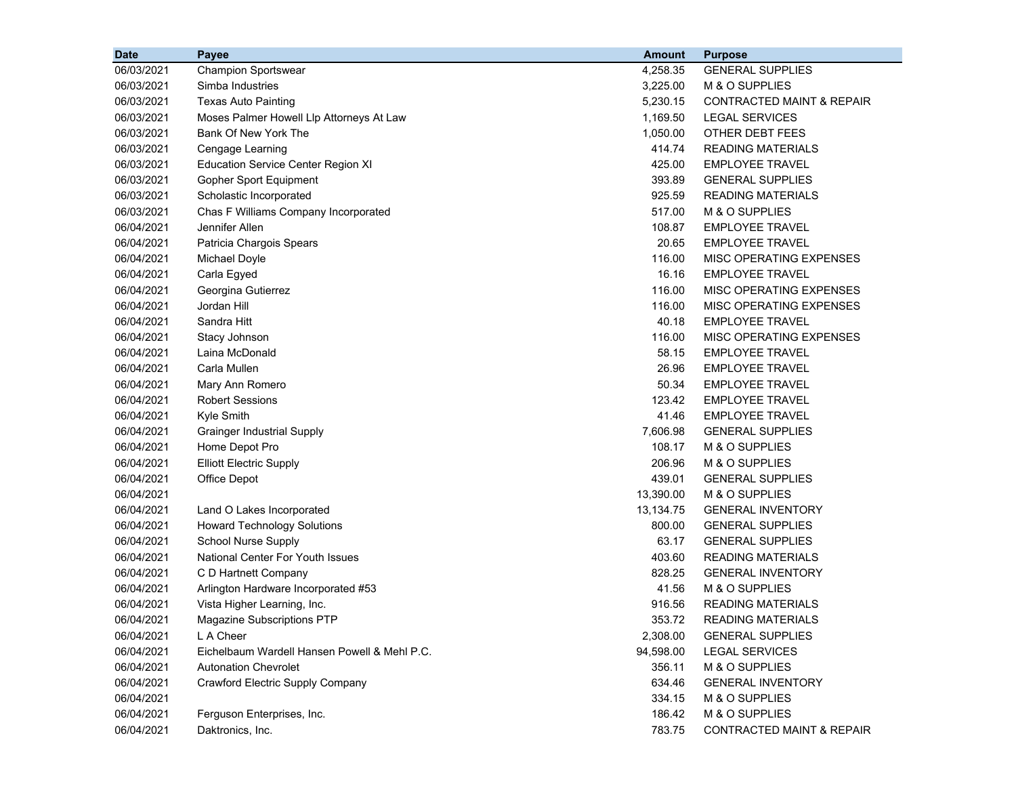| <b>Date</b> | <b>Payee</b>                                 | <b>Amount</b> | <b>Purpose</b>                       |
|-------------|----------------------------------------------|---------------|--------------------------------------|
| 06/03/2021  | <b>Champion Sportswear</b>                   | 4,258.35      | <b>GENERAL SUPPLIES</b>              |
| 06/03/2021  | Simba Industries                             | 3,225.00      | M & O SUPPLIES                       |
| 06/03/2021  | <b>Texas Auto Painting</b>                   | 5,230.15      | <b>CONTRACTED MAINT &amp; REPAIR</b> |
| 06/03/2021  | Moses Palmer Howell Llp Attorneys At Law     | 1,169.50      | <b>LEGAL SERVICES</b>                |
| 06/03/2021  | Bank Of New York The                         | 1,050.00      | OTHER DEBT FEES                      |
| 06/03/2021  | Cengage Learning                             | 414.74        | <b>READING MATERIALS</b>             |
| 06/03/2021  | <b>Education Service Center Region XI</b>    | 425.00        | <b>EMPLOYEE TRAVEL</b>               |
| 06/03/2021  | Gopher Sport Equipment                       | 393.89        | <b>GENERAL SUPPLIES</b>              |
| 06/03/2021  | Scholastic Incorporated                      | 925.59        | <b>READING MATERIALS</b>             |
| 06/03/2021  | Chas F Williams Company Incorporated         | 517.00        | M & O SUPPLIES                       |
| 06/04/2021  | Jennifer Allen                               | 108.87        | <b>EMPLOYEE TRAVEL</b>               |
| 06/04/2021  | Patricia Chargois Spears                     | 20.65         | <b>EMPLOYEE TRAVEL</b>               |
| 06/04/2021  | Michael Doyle                                | 116.00        | MISC OPERATING EXPENSES              |
| 06/04/2021  | Carla Egyed                                  | 16.16         | <b>EMPLOYEE TRAVEL</b>               |
| 06/04/2021  | Georgina Gutierrez                           | 116.00        | MISC OPERATING EXPENSES              |
| 06/04/2021  | Jordan Hill                                  | 116.00        | MISC OPERATING EXPENSES              |
| 06/04/2021  | Sandra Hitt                                  | 40.18         | <b>EMPLOYEE TRAVEL</b>               |
| 06/04/2021  | Stacy Johnson                                | 116.00        | MISC OPERATING EXPENSES              |
| 06/04/2021  | Laina McDonald                               | 58.15         | <b>EMPLOYEE TRAVEL</b>               |
| 06/04/2021  | Carla Mullen                                 | 26.96         | <b>EMPLOYEE TRAVEL</b>               |
| 06/04/2021  | Mary Ann Romero                              | 50.34         | <b>EMPLOYEE TRAVEL</b>               |
| 06/04/2021  | <b>Robert Sessions</b>                       | 123.42        | <b>EMPLOYEE TRAVEL</b>               |
| 06/04/2021  | Kyle Smith                                   | 41.46         | <b>EMPLOYEE TRAVEL</b>               |
| 06/04/2021  | <b>Grainger Industrial Supply</b>            | 7,606.98      | <b>GENERAL SUPPLIES</b>              |
| 06/04/2021  | Home Depot Pro                               | 108.17        | M & O SUPPLIES                       |
| 06/04/2021  | <b>Elliott Electric Supply</b>               | 206.96        | M & O SUPPLIES                       |
| 06/04/2021  | Office Depot                                 | 439.01        | <b>GENERAL SUPPLIES</b>              |
| 06/04/2021  |                                              | 13,390.00     | M & O SUPPLIES                       |
| 06/04/2021  | Land O Lakes Incorporated                    | 13,134.75     | <b>GENERAL INVENTORY</b>             |
| 06/04/2021  | <b>Howard Technology Solutions</b>           | 800.00        | <b>GENERAL SUPPLIES</b>              |
| 06/04/2021  | School Nurse Supply                          | 63.17         | <b>GENERAL SUPPLIES</b>              |
| 06/04/2021  | National Center For Youth Issues             | 403.60        | <b>READING MATERIALS</b>             |
| 06/04/2021  | C D Hartnett Company                         | 828.25        | <b>GENERAL INVENTORY</b>             |
| 06/04/2021  | Arlington Hardware Incorporated #53          | 41.56         | M & O SUPPLIES                       |
| 06/04/2021  | Vista Higher Learning, Inc.                  | 916.56        | <b>READING MATERIALS</b>             |
| 06/04/2021  | Magazine Subscriptions PTP                   | 353.72        | READING MATERIALS                    |
| 06/04/2021  | L A Cheer                                    | 2,308.00      | <b>GENERAL SUPPLIES</b>              |
| 06/04/2021  | Eichelbaum Wardell Hansen Powell & Mehl P.C. | 94,598.00     | <b>LEGAL SERVICES</b>                |
| 06/04/2021  | <b>Autonation Chevrolet</b>                  | 356.11        | M & O SUPPLIES                       |
| 06/04/2021  | <b>Crawford Electric Supply Company</b>      | 634.46        | <b>GENERAL INVENTORY</b>             |
| 06/04/2021  |                                              | 334.15        | M & O SUPPLIES                       |
| 06/04/2021  | Ferguson Enterprises, Inc.                   | 186.42        | M & O SUPPLIES                       |
| 06/04/2021  | Daktronics, Inc.                             | 783.75        | CONTRACTED MAINT & REPAIR            |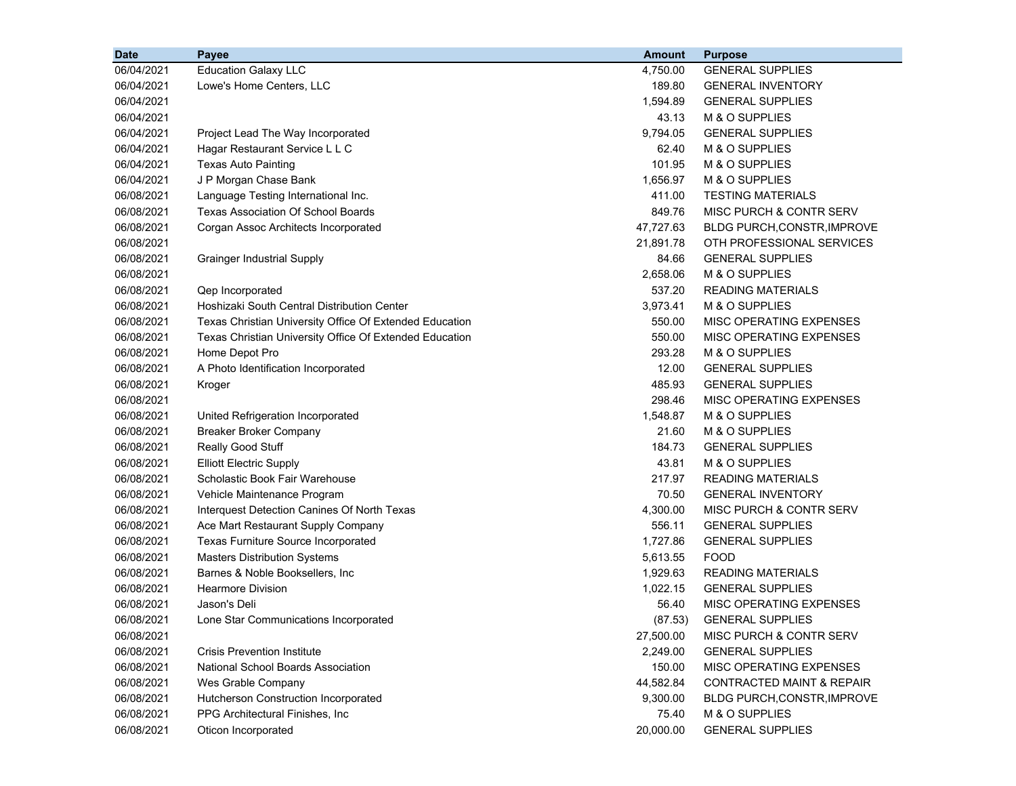| <b>Date</b> | Payee                                                   | <b>Amount</b> | <b>Purpose</b>                       |
|-------------|---------------------------------------------------------|---------------|--------------------------------------|
| 06/04/2021  | <b>Education Galaxy LLC</b>                             | 4,750.00      | <b>GENERAL SUPPLIES</b>              |
| 06/04/2021  | Lowe's Home Centers, LLC                                | 189.80        | <b>GENERAL INVENTORY</b>             |
| 06/04/2021  |                                                         | 1,594.89      | <b>GENERAL SUPPLIES</b>              |
| 06/04/2021  |                                                         | 43.13         | M & O SUPPLIES                       |
| 06/04/2021  | Project Lead The Way Incorporated                       | 9,794.05      | <b>GENERAL SUPPLIES</b>              |
| 06/04/2021  | Hagar Restaurant Service L L C                          | 62.40         | M & O SUPPLIES                       |
| 06/04/2021  | <b>Texas Auto Painting</b>                              | 101.95        | M & O SUPPLIES                       |
| 06/04/2021  | J P Morgan Chase Bank                                   | 1,656.97      | M & O SUPPLIES                       |
| 06/08/2021  | Language Testing International Inc.                     | 411.00        | <b>TESTING MATERIALS</b>             |
| 06/08/2021  | <b>Texas Association Of School Boards</b>               | 849.76        | MISC PURCH & CONTR SERV              |
| 06/08/2021  | Corgan Assoc Architects Incorporated                    | 47,727.63     | <b>BLDG PURCH, CONSTR, IMPROVE</b>   |
| 06/08/2021  |                                                         | 21,891.78     | OTH PROFESSIONAL SERVICES            |
| 06/08/2021  | <b>Grainger Industrial Supply</b>                       | 84.66         | <b>GENERAL SUPPLIES</b>              |
| 06/08/2021  |                                                         | 2,658.06      | M & O SUPPLIES                       |
| 06/08/2021  | Qep Incorporated                                        | 537.20        | <b>READING MATERIALS</b>             |
| 06/08/2021  | Hoshizaki South Central Distribution Center             | 3,973.41      | M & O SUPPLIES                       |
| 06/08/2021  | Texas Christian University Office Of Extended Education | 550.00        | MISC OPERATING EXPENSES              |
| 06/08/2021  | Texas Christian University Office Of Extended Education | 550.00        | MISC OPERATING EXPENSES              |
| 06/08/2021  | Home Depot Pro                                          | 293.28        | M & O SUPPLIES                       |
| 06/08/2021  | A Photo Identification Incorporated                     | 12.00         | <b>GENERAL SUPPLIES</b>              |
| 06/08/2021  | Kroger                                                  | 485.93        | <b>GENERAL SUPPLIES</b>              |
| 06/08/2021  |                                                         | 298.46        | MISC OPERATING EXPENSES              |
| 06/08/2021  | United Refrigeration Incorporated                       | 1,548.87      | M & O SUPPLIES                       |
| 06/08/2021  | <b>Breaker Broker Company</b>                           | 21.60         | M & O SUPPLIES                       |
| 06/08/2021  | Really Good Stuff                                       | 184.73        | <b>GENERAL SUPPLIES</b>              |
| 06/08/2021  | <b>Elliott Electric Supply</b>                          | 43.81         | M & O SUPPLIES                       |
| 06/08/2021  | Scholastic Book Fair Warehouse                          | 217.97        | <b>READING MATERIALS</b>             |
| 06/08/2021  | Vehicle Maintenance Program                             | 70.50         | <b>GENERAL INVENTORY</b>             |
| 06/08/2021  | Interquest Detection Canines Of North Texas             | 4,300.00      | MISC PURCH & CONTR SERV              |
| 06/08/2021  | Ace Mart Restaurant Supply Company                      | 556.11        | <b>GENERAL SUPPLIES</b>              |
| 06/08/2021  | <b>Texas Furniture Source Incorporated</b>              | 1,727.86      | <b>GENERAL SUPPLIES</b>              |
| 06/08/2021  | <b>Masters Distribution Systems</b>                     | 5,613.55      | <b>FOOD</b>                          |
| 06/08/2021  | Barnes & Noble Booksellers, Inc                         | 1,929.63      | <b>READING MATERIALS</b>             |
| 06/08/2021  | <b>Hearmore Division</b>                                | 1,022.15      | <b>GENERAL SUPPLIES</b>              |
| 06/08/2021  | Jason's Deli                                            | 56.40         | MISC OPERATING EXPENSES              |
| 06/08/2021  | Lone Star Communications Incorporated                   | (87.53)       | <b>GENERAL SUPPLIES</b>              |
| 06/08/2021  |                                                         | 27,500.00     | <b>MISC PURCH &amp; CONTR SERV</b>   |
| 06/08/2021  | <b>Crisis Prevention Institute</b>                      | 2,249.00      | <b>GENERAL SUPPLIES</b>              |
| 06/08/2021  | National School Boards Association                      | 150.00        | MISC OPERATING EXPENSES              |
| 06/08/2021  | Wes Grable Company                                      | 44,582.84     | <b>CONTRACTED MAINT &amp; REPAIR</b> |
| 06/08/2021  | Hutcherson Construction Incorporated                    | 9,300.00      | <b>BLDG PURCH, CONSTR, IMPROVE</b>   |
| 06/08/2021  | PPG Architectural Finishes, Inc                         | 75.40         | M & O SUPPLIES                       |
| 06/08/2021  | Oticon Incorporated                                     | 20,000.00     | <b>GENERAL SUPPLIES</b>              |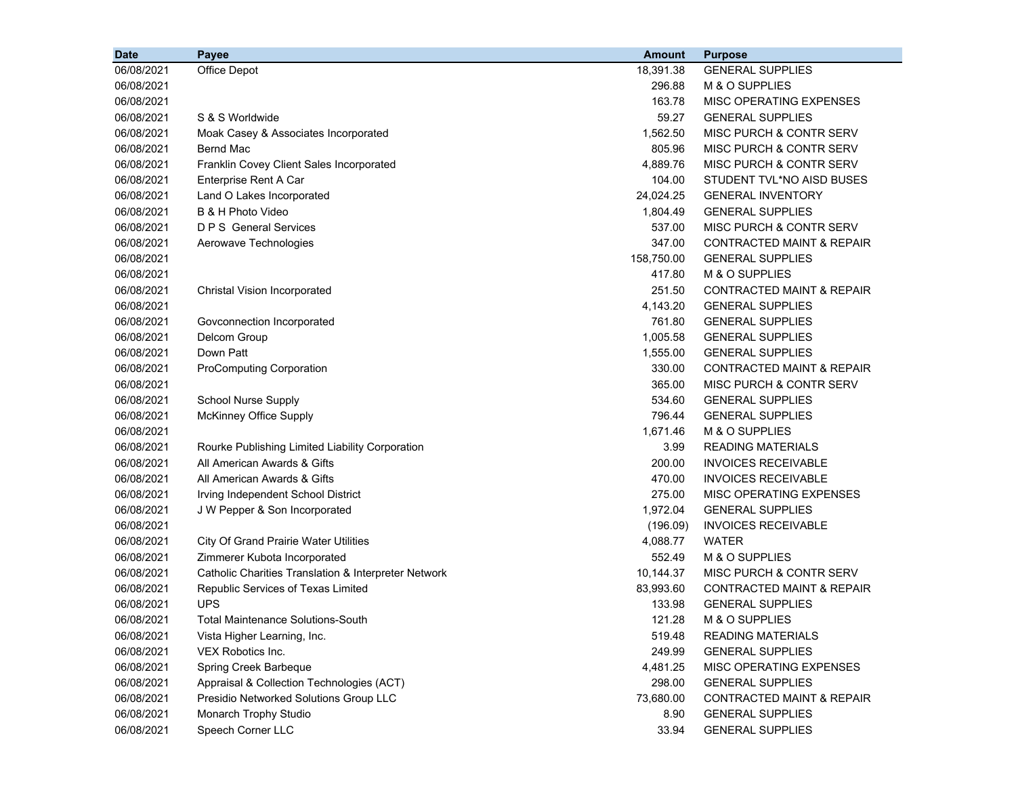| <b>Date</b> | Payee                                                | <b>Amount</b> | <b>Purpose</b>                       |
|-------------|------------------------------------------------------|---------------|--------------------------------------|
| 06/08/2021  | Office Depot                                         | 18,391.38     | <b>GENERAL SUPPLIES</b>              |
| 06/08/2021  |                                                      | 296.88        | M & O SUPPLIES                       |
| 06/08/2021  |                                                      | 163.78        | MISC OPERATING EXPENSES              |
| 06/08/2021  | S & S Worldwide                                      | 59.27         | <b>GENERAL SUPPLIES</b>              |
| 06/08/2021  | Moak Casey & Associates Incorporated                 | 1,562.50      | <b>MISC PURCH &amp; CONTR SERV</b>   |
| 06/08/2021  | Bernd Mac                                            | 805.96        | MISC PURCH & CONTR SERV              |
| 06/08/2021  | Franklin Covey Client Sales Incorporated             | 4,889.76      | <b>MISC PURCH &amp; CONTR SERV</b>   |
| 06/08/2021  | Enterprise Rent A Car                                | 104.00        | STUDENT TVL*NO AISD BUSES            |
| 06/08/2021  | Land O Lakes Incorporated                            | 24,024.25     | <b>GENERAL INVENTORY</b>             |
| 06/08/2021  | B & H Photo Video                                    | 1,804.49      | <b>GENERAL SUPPLIES</b>              |
| 06/08/2021  | <b>D P S</b> General Services                        | 537.00        | MISC PURCH & CONTR SERV              |
| 06/08/2021  | Aerowave Technologies                                | 347.00        | CONTRACTED MAINT & REPAIR            |
| 06/08/2021  |                                                      | 158,750.00    | <b>GENERAL SUPPLIES</b>              |
| 06/08/2021  |                                                      | 417.80        | M & O SUPPLIES                       |
| 06/08/2021  | Christal Vision Incorporated                         | 251.50        | CONTRACTED MAINT & REPAIR            |
| 06/08/2021  |                                                      | 4,143.20      | <b>GENERAL SUPPLIES</b>              |
| 06/08/2021  | Govconnection Incorporated                           | 761.80        | <b>GENERAL SUPPLIES</b>              |
| 06/08/2021  | Delcom Group                                         | 1,005.58      | <b>GENERAL SUPPLIES</b>              |
| 06/08/2021  | Down Patt                                            | 1,555.00      | <b>GENERAL SUPPLIES</b>              |
| 06/08/2021  | <b>ProComputing Corporation</b>                      | 330.00        | <b>CONTRACTED MAINT &amp; REPAIR</b> |
| 06/08/2021  |                                                      | 365.00        | MISC PURCH & CONTR SERV              |
| 06/08/2021  | <b>School Nurse Supply</b>                           | 534.60        | <b>GENERAL SUPPLIES</b>              |
| 06/08/2021  | McKinney Office Supply                               | 796.44        | <b>GENERAL SUPPLIES</b>              |
| 06/08/2021  |                                                      | 1,671.46      | M & O SUPPLIES                       |
| 06/08/2021  | Rourke Publishing Limited Liability Corporation      | 3.99          | <b>READING MATERIALS</b>             |
| 06/08/2021  | All American Awards & Gifts                          | 200.00        | <b>INVOICES RECEIVABLE</b>           |
| 06/08/2021  | All American Awards & Gifts                          | 470.00        | <b>INVOICES RECEIVABLE</b>           |
| 06/08/2021  | Irving Independent School District                   | 275.00        | MISC OPERATING EXPENSES              |
| 06/08/2021  | J W Pepper & Son Incorporated                        | 1,972.04      | <b>GENERAL SUPPLIES</b>              |
| 06/08/2021  |                                                      | (196.09)      | <b>INVOICES RECEIVABLE</b>           |
| 06/08/2021  | <b>City Of Grand Prairie Water Utilities</b>         | 4,088.77      | <b>WATER</b>                         |
| 06/08/2021  | Zimmerer Kubota Incorporated                         | 552.49        | M & O SUPPLIES                       |
| 06/08/2021  | Catholic Charities Translation & Interpreter Network | 10,144.37     | MISC PURCH & CONTR SERV              |
| 06/08/2021  | Republic Services of Texas Limited                   | 83,993.60     | <b>CONTRACTED MAINT &amp; REPAIR</b> |
| 06/08/2021  | <b>UPS</b>                                           | 133.98        | <b>GENERAL SUPPLIES</b>              |
| 06/08/2021  | <b>Total Maintenance Solutions-South</b>             | 121.28        | M & O SUPPLIES                       |
| 06/08/2021  | Vista Higher Learning, Inc.                          | 519.48        | <b>READING MATERIALS</b>             |
| 06/08/2021  | VEX Robotics Inc.                                    | 249.99        | <b>GENERAL SUPPLIES</b>              |
| 06/08/2021  | Spring Creek Barbeque                                | 4,481.25      | MISC OPERATING EXPENSES              |
| 06/08/2021  | Appraisal & Collection Technologies (ACT)            | 298.00        | <b>GENERAL SUPPLIES</b>              |
| 06/08/2021  | Presidio Networked Solutions Group LLC               | 73,680.00     | CONTRACTED MAINT & REPAIR            |
| 06/08/2021  | Monarch Trophy Studio                                | 8.90          | <b>GENERAL SUPPLIES</b>              |
| 06/08/2021  | Speech Corner LLC                                    | 33.94         | <b>GENERAL SUPPLIES</b>              |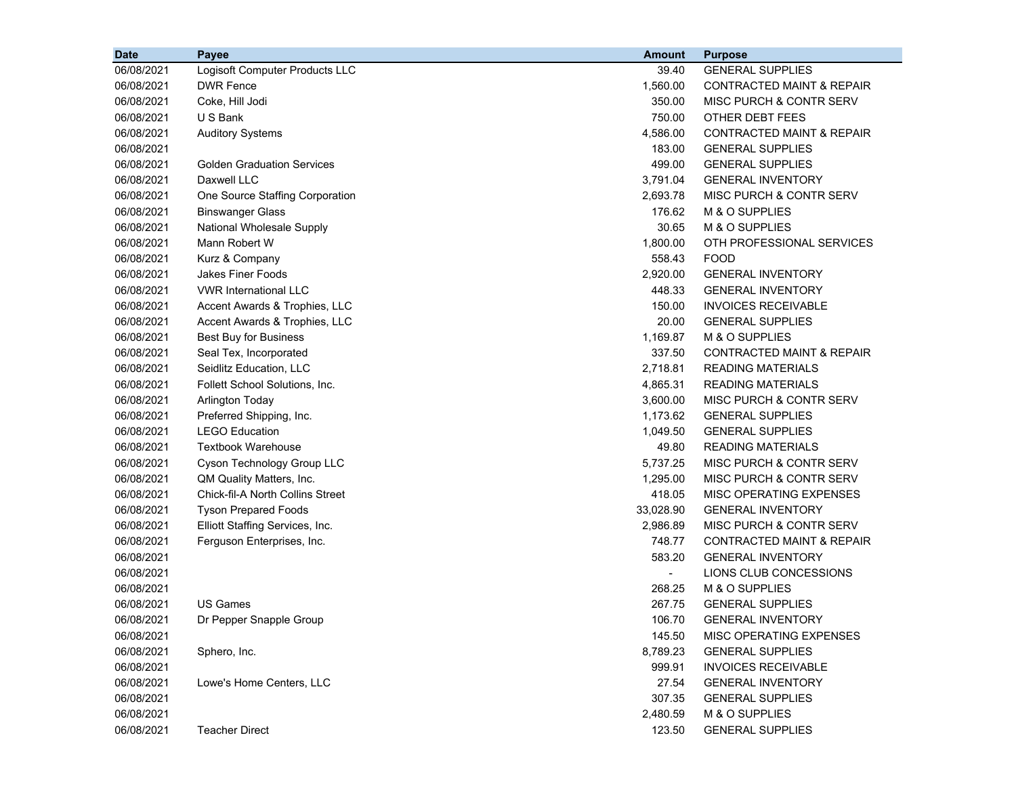| <b>Date</b> | Payee                                   | <b>Amount</b> | <b>Purpose</b>                       |
|-------------|-----------------------------------------|---------------|--------------------------------------|
| 06/08/2021  | Logisoft Computer Products LLC          | 39.40         | <b>GENERAL SUPPLIES</b>              |
| 06/08/2021  | <b>DWR Fence</b>                        | 1,560.00      | CONTRACTED MAINT & REPAIR            |
| 06/08/2021  | Coke, Hill Jodi                         | 350.00        | MISC PURCH & CONTR SERV              |
| 06/08/2021  | U S Bank                                | 750.00        | OTHER DEBT FEES                      |
| 06/08/2021  | <b>Auditory Systems</b>                 | 4,586.00      | <b>CONTRACTED MAINT &amp; REPAIR</b> |
| 06/08/2021  |                                         | 183.00        | <b>GENERAL SUPPLIES</b>              |
| 06/08/2021  | <b>Golden Graduation Services</b>       | 499.00        | <b>GENERAL SUPPLIES</b>              |
| 06/08/2021  | Daxwell LLC                             | 3,791.04      | <b>GENERAL INVENTORY</b>             |
| 06/08/2021  | One Source Staffing Corporation         | 2,693.78      | MISC PURCH & CONTR SERV              |
| 06/08/2021  | <b>Binswanger Glass</b>                 | 176.62        | M & O SUPPLIES                       |
| 06/08/2021  | National Wholesale Supply               | 30.65         | M & O SUPPLIES                       |
| 06/08/2021  | Mann Robert W                           | 1,800.00      | OTH PROFESSIONAL SERVICES            |
| 06/08/2021  | Kurz & Company                          | 558.43        | <b>FOOD</b>                          |
| 06/08/2021  | <b>Jakes Finer Foods</b>                | 2,920.00      | <b>GENERAL INVENTORY</b>             |
| 06/08/2021  | <b>VWR International LLC</b>            | 448.33        | <b>GENERAL INVENTORY</b>             |
| 06/08/2021  | Accent Awards & Trophies, LLC           | 150.00        | <b>INVOICES RECEIVABLE</b>           |
| 06/08/2021  | Accent Awards & Trophies, LLC           | 20.00         | <b>GENERAL SUPPLIES</b>              |
| 06/08/2021  | Best Buy for Business                   | 1,169.87      | M & O SUPPLIES                       |
| 06/08/2021  | Seal Tex, Incorporated                  | 337.50        | <b>CONTRACTED MAINT &amp; REPAIR</b> |
| 06/08/2021  | Seidlitz Education, LLC                 | 2,718.81      | <b>READING MATERIALS</b>             |
| 06/08/2021  | Follett School Solutions, Inc.          | 4,865.31      | <b>READING MATERIALS</b>             |
| 06/08/2021  | <b>Arlington Today</b>                  | 3,600.00      | MISC PURCH & CONTR SERV              |
| 06/08/2021  | Preferred Shipping, Inc.                | 1,173.62      | <b>GENERAL SUPPLIES</b>              |
| 06/08/2021  | <b>LEGO Education</b>                   | 1,049.50      | <b>GENERAL SUPPLIES</b>              |
| 06/08/2021  | <b>Textbook Warehouse</b>               | 49.80         | <b>READING MATERIALS</b>             |
| 06/08/2021  | Cyson Technology Group LLC              | 5,737.25      | MISC PURCH & CONTR SERV              |
| 06/08/2021  | QM Quality Matters, Inc.                | 1,295.00      | MISC PURCH & CONTR SERV              |
| 06/08/2021  | <b>Chick-fil-A North Collins Street</b> | 418.05        | MISC OPERATING EXPENSES              |
| 06/08/2021  | <b>Tyson Prepared Foods</b>             | 33,028.90     | <b>GENERAL INVENTORY</b>             |
| 06/08/2021  | Elliott Staffing Services, Inc.         | 2,986.89      | MISC PURCH & CONTR SERV              |
| 06/08/2021  | Ferguson Enterprises, Inc.              | 748.77        | <b>CONTRACTED MAINT &amp; REPAIR</b> |
| 06/08/2021  |                                         | 583.20        | <b>GENERAL INVENTORY</b>             |
| 06/08/2021  |                                         |               | LIONS CLUB CONCESSIONS               |
| 06/08/2021  |                                         | 268.25        | M & O SUPPLIES                       |
| 06/08/2021  | <b>US Games</b>                         | 267.75        | <b>GENERAL SUPPLIES</b>              |
| 06/08/2021  | Dr Pepper Snapple Group                 | 106.70        | <b>GENERAL INVENTORY</b>             |
| 06/08/2021  |                                         | 145.50        | MISC OPERATING EXPENSES              |
| 06/08/2021  | Sphero, Inc.                            | 8,789.23      | <b>GENERAL SUPPLIES</b>              |
| 06/08/2021  |                                         | 999.91        | <b>INVOICES RECEIVABLE</b>           |
| 06/08/2021  | Lowe's Home Centers, LLC                | 27.54         | <b>GENERAL INVENTORY</b>             |
| 06/08/2021  |                                         | 307.35        | <b>GENERAL SUPPLIES</b>              |
| 06/08/2021  |                                         | 2,480.59      | M & O SUPPLIES                       |
| 06/08/2021  | <b>Teacher Direct</b>                   | 123.50        | <b>GENERAL SUPPLIES</b>              |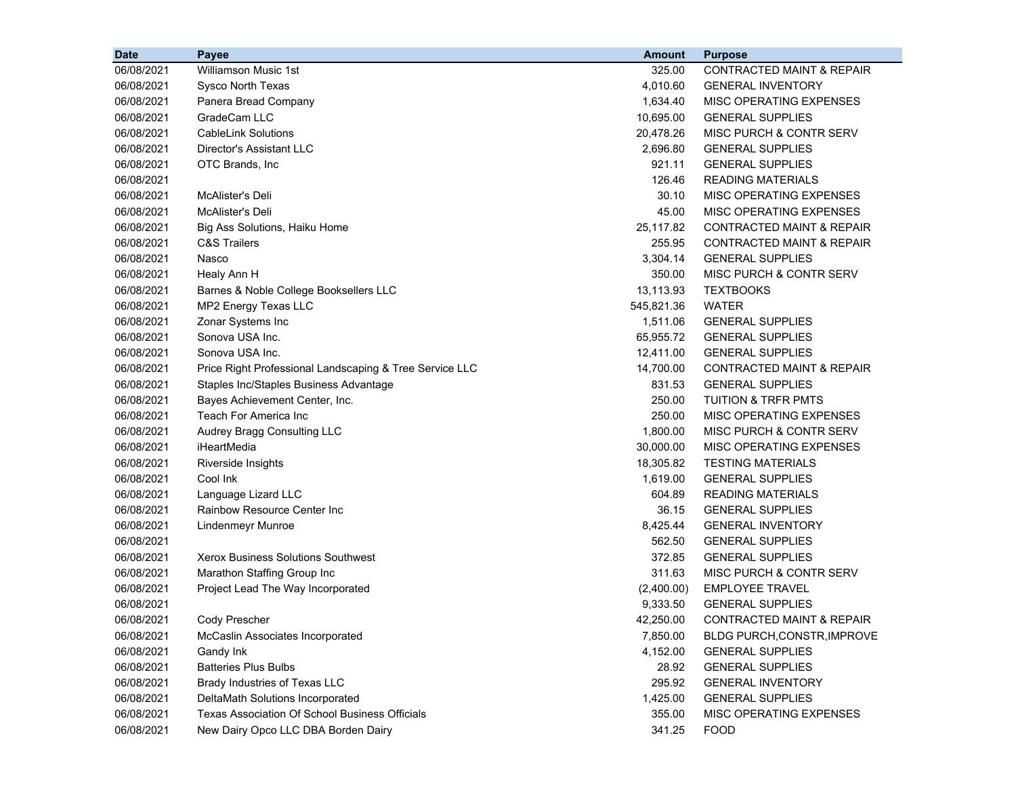| <b>Date</b> | Payee                                                   | <b>Amount</b> | <b>Purpose</b>                       |
|-------------|---------------------------------------------------------|---------------|--------------------------------------|
| 06/08/2021  | <b>Williamson Music 1st</b>                             | 325.00        | <b>CONTRACTED MAINT &amp; REPAIR</b> |
| 06/08/2021  | Sysco North Texas                                       | 4.010.60      | <b>GENERAL INVENTORY</b>             |
| 06/08/2021  | Panera Bread Company                                    | 1,634.40      | MISC OPERATING EXPENSES              |
| 06/08/2021  | GradeCam LLC                                            | 10,695.00     | <b>GENERAL SUPPLIES</b>              |
| 06/08/2021  | <b>CableLink Solutions</b>                              | 20,478.26     | MISC PURCH & CONTR SERV              |
| 06/08/2021  | Director's Assistant LLC                                | 2,696.80      | <b>GENERAL SUPPLIES</b>              |
| 06/08/2021  | OTC Brands, Inc                                         | 921.11        | <b>GENERAL SUPPLIES</b>              |
| 06/08/2021  |                                                         | 126.46        | <b>READING MATERIALS</b>             |
| 06/08/2021  | McAlister's Deli                                        | 30.10         | MISC OPERATING EXPENSES              |
| 06/08/2021  | McAlister's Deli                                        | 45.00         | MISC OPERATING EXPENSES              |
| 06/08/2021  | Big Ass Solutions, Haiku Home                           | 25,117.82     | <b>CONTRACTED MAINT &amp; REPAIR</b> |
| 06/08/2021  | <b>C&amp;S Trailers</b>                                 | 255.95        | <b>CONTRACTED MAINT &amp; REPAIR</b> |
| 06/08/2021  | Nasco                                                   | 3,304.14      | <b>GENERAL SUPPLIES</b>              |
| 06/08/2021  | Healy Ann H                                             | 350.00        | MISC PURCH & CONTR SERV              |
| 06/08/2021  | Barnes & Noble College Booksellers LLC                  | 13,113.93     | <b>TEXTBOOKS</b>                     |
| 06/08/2021  | MP2 Energy Texas LLC                                    | 545,821.36    | <b>WATER</b>                         |
| 06/08/2021  | Zonar Systems Inc                                       | 1,511.06      | <b>GENERAL SUPPLIES</b>              |
| 06/08/2021  | Sonova USA Inc.                                         | 65,955.72     | <b>GENERAL SUPPLIES</b>              |
| 06/08/2021  | Sonova USA Inc.                                         | 12,411.00     | <b>GENERAL SUPPLIES</b>              |
| 06/08/2021  | Price Right Professional Landscaping & Tree Service LLC | 14,700.00     | <b>CONTRACTED MAINT &amp; REPAIR</b> |
| 06/08/2021  | Staples Inc/Staples Business Advantage                  | 831.53        | <b>GENERAL SUPPLIES</b>              |
| 06/08/2021  | Bayes Achievement Center, Inc.                          | 250.00        | <b>TUITION &amp; TRFR PMTS</b>       |
| 06/08/2021  | Teach For America Inc                                   | 250.00        | MISC OPERATING EXPENSES              |
| 06/08/2021  | Audrey Bragg Consulting LLC                             | 1,800.00      | MISC PURCH & CONTR SERV              |
| 06/08/2021  | iHeartMedia                                             | 30,000.00     | MISC OPERATING EXPENSES              |
| 06/08/2021  | Riverside Insights                                      | 18,305.82     | <b>TESTING MATERIALS</b>             |
| 06/08/2021  | Cool Ink                                                | 1,619.00      | <b>GENERAL SUPPLIES</b>              |
| 06/08/2021  | Language Lizard LLC                                     | 604.89        | <b>READING MATERIALS</b>             |
| 06/08/2021  | Rainbow Resource Center Inc                             | 36.15         | <b>GENERAL SUPPLIES</b>              |
| 06/08/2021  | Lindenmeyr Munroe                                       | 8,425.44      | <b>GENERAL INVENTORY</b>             |
| 06/08/2021  |                                                         | 562.50        | <b>GENERAL SUPPLIES</b>              |
| 06/08/2021  | <b>Xerox Business Solutions Southwest</b>               | 372.85        | <b>GENERAL SUPPLIES</b>              |
| 06/08/2021  | Marathon Staffing Group Inc                             | 311.63        | MISC PURCH & CONTR SERV              |
| 06/08/2021  | Project Lead The Way Incorporated                       | (2,400.00)    | <b>EMPLOYEE TRAVEL</b>               |
| 06/08/2021  |                                                         | 9,333.50      | <b>GENERAL SUPPLIES</b>              |
| 06/08/2021  | Cody Prescher                                           | 42,250.00     | CONTRACTED MAINT & REPAIR            |
| 06/08/2021  | McCaslin Associates Incorporated                        | 7,850.00      | BLDG PURCH, CONSTR, IMPROVE          |
| 06/08/2021  | Gandy Ink                                               | 4,152.00      | <b>GENERAL SUPPLIES</b>              |
| 06/08/2021  | <b>Batteries Plus Bulbs</b>                             | 28.92         | <b>GENERAL SUPPLIES</b>              |
| 06/08/2021  | Brady Industries of Texas LLC                           | 295.92        | <b>GENERAL INVENTORY</b>             |
| 06/08/2021  | DeltaMath Solutions Incorporated                        | 1,425.00      | <b>GENERAL SUPPLIES</b>              |
| 06/08/2021  | Texas Association Of School Business Officials          | 355.00        | MISC OPERATING EXPENSES              |
| 06/08/2021  | New Dairy Opco LLC DBA Borden Dairy                     | 341.25        | <b>FOOD</b>                          |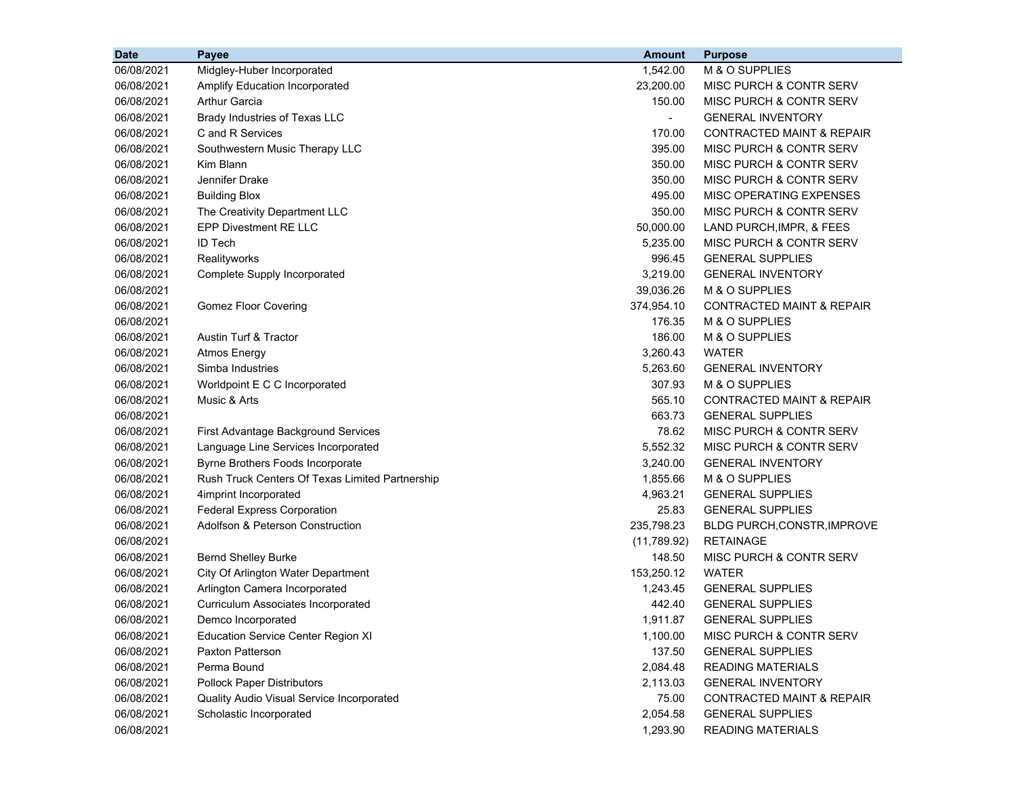| <b>Date</b> | Payee                                           | <b>Amount</b>  | <b>Purpose</b>                       |
|-------------|-------------------------------------------------|----------------|--------------------------------------|
| 06/08/2021  | Midgley-Huber Incorporated                      | 1,542.00       | M & O SUPPLIES                       |
| 06/08/2021  | Amplify Education Incorporated                  | 23,200.00      | MISC PURCH & CONTR SERV              |
| 06/08/2021  | <b>Arthur Garcia</b>                            | 150.00         | MISC PURCH & CONTR SERV              |
| 06/08/2021  | Brady Industries of Texas LLC                   | $\blacksquare$ | <b>GENERAL INVENTORY</b>             |
| 06/08/2021  | C and R Services                                | 170.00         | <b>CONTRACTED MAINT &amp; REPAIR</b> |
| 06/08/2021  | Southwestern Music Therapy LLC                  | 395.00         | MISC PURCH & CONTR SERV              |
| 06/08/2021  | Kim Blann                                       | 350.00         | MISC PURCH & CONTR SERV              |
| 06/08/2021  | Jennifer Drake                                  | 350.00         | MISC PURCH & CONTR SERV              |
| 06/08/2021  | <b>Building Blox</b>                            | 495.00         | MISC OPERATING EXPENSES              |
| 06/08/2021  | The Creativity Department LLC                   | 350.00         | MISC PURCH & CONTR SERV              |
| 06/08/2021  | <b>EPP Divestment RE LLC</b>                    | 50,000.00      | LAND PURCH, IMPR, & FEES             |
| 06/08/2021  | ID Tech                                         | 5,235.00       | MISC PURCH & CONTR SERV              |
| 06/08/2021  | Realityworks                                    | 996.45         | <b>GENERAL SUPPLIES</b>              |
| 06/08/2021  | Complete Supply Incorporated                    | 3,219.00       | <b>GENERAL INVENTORY</b>             |
| 06/08/2021  |                                                 | 39,036.26      | M & O SUPPLIES                       |
| 06/08/2021  | <b>Gomez Floor Covering</b>                     | 374,954.10     | <b>CONTRACTED MAINT &amp; REPAIR</b> |
| 06/08/2021  |                                                 | 176.35         | M & O SUPPLIES                       |
| 06/08/2021  | Austin Turf & Tractor                           | 186.00         | M & O SUPPLIES                       |
| 06/08/2021  | <b>Atmos Energy</b>                             | 3,260.43       | <b>WATER</b>                         |
| 06/08/2021  | Simba Industries                                | 5,263.60       | <b>GENERAL INVENTORY</b>             |
| 06/08/2021  | Worldpoint E C C Incorporated                   | 307.93         | M & O SUPPLIES                       |
| 06/08/2021  | Music & Arts                                    | 565.10         | <b>CONTRACTED MAINT &amp; REPAIR</b> |
| 06/08/2021  |                                                 | 663.73         | <b>GENERAL SUPPLIES</b>              |
| 06/08/2021  | First Advantage Background Services             | 78.62          | MISC PURCH & CONTR SERV              |
| 06/08/2021  | Language Line Services Incorporated             | 5,552.32       | MISC PURCH & CONTR SERV              |
| 06/08/2021  | Byrne Brothers Foods Incorporate                | 3,240.00       | <b>GENERAL INVENTORY</b>             |
| 06/08/2021  | Rush Truck Centers Of Texas Limited Partnership | 1,855.66       | M & O SUPPLIES                       |
| 06/08/2021  | 4imprint Incorporated                           | 4,963.21       | <b>GENERAL SUPPLIES</b>              |
| 06/08/2021  | <b>Federal Express Corporation</b>              | 25.83          | <b>GENERAL SUPPLIES</b>              |
| 06/08/2021  | Adolfson & Peterson Construction                | 235,798.23     | BLDG PURCH, CONSTR, IMPROVE          |
| 06/08/2021  |                                                 | (11,789.92)    | <b>RETAINAGE</b>                     |
| 06/08/2021  | <b>Bernd Shelley Burke</b>                      | 148.50         | MISC PURCH & CONTR SERV              |
| 06/08/2021  | City Of Arlington Water Department              | 153,250.12     | <b>WATER</b>                         |
| 06/08/2021  | Arlington Camera Incorporated                   | 1,243.45       | <b>GENERAL SUPPLIES</b>              |
| 06/08/2021  | Curriculum Associates Incorporated              | 442.40         | <b>GENERAL SUPPLIES</b>              |
| 06/08/2021  | Demco Incorporated                              | 1,911.87       | <b>GENERAL SUPPLIES</b>              |
| 06/08/2021  | <b>Education Service Center Region XI</b>       | 1,100.00       | MISC PURCH & CONTR SERV              |
| 06/08/2021  | Paxton Patterson                                | 137.50         | <b>GENERAL SUPPLIES</b>              |
| 06/08/2021  | Perma Bound                                     | 2,084.48       | <b>READING MATERIALS</b>             |
| 06/08/2021  | <b>Pollock Paper Distributors</b>               | 2,113.03       | <b>GENERAL INVENTORY</b>             |
| 06/08/2021  | Quality Audio Visual Service Incorporated       | 75.00          | CONTRACTED MAINT & REPAIR            |
| 06/08/2021  | Scholastic Incorporated                         | 2,054.58       | <b>GENERAL SUPPLIES</b>              |
| 06/08/2021  |                                                 | 1,293.90       | <b>READING MATERIALS</b>             |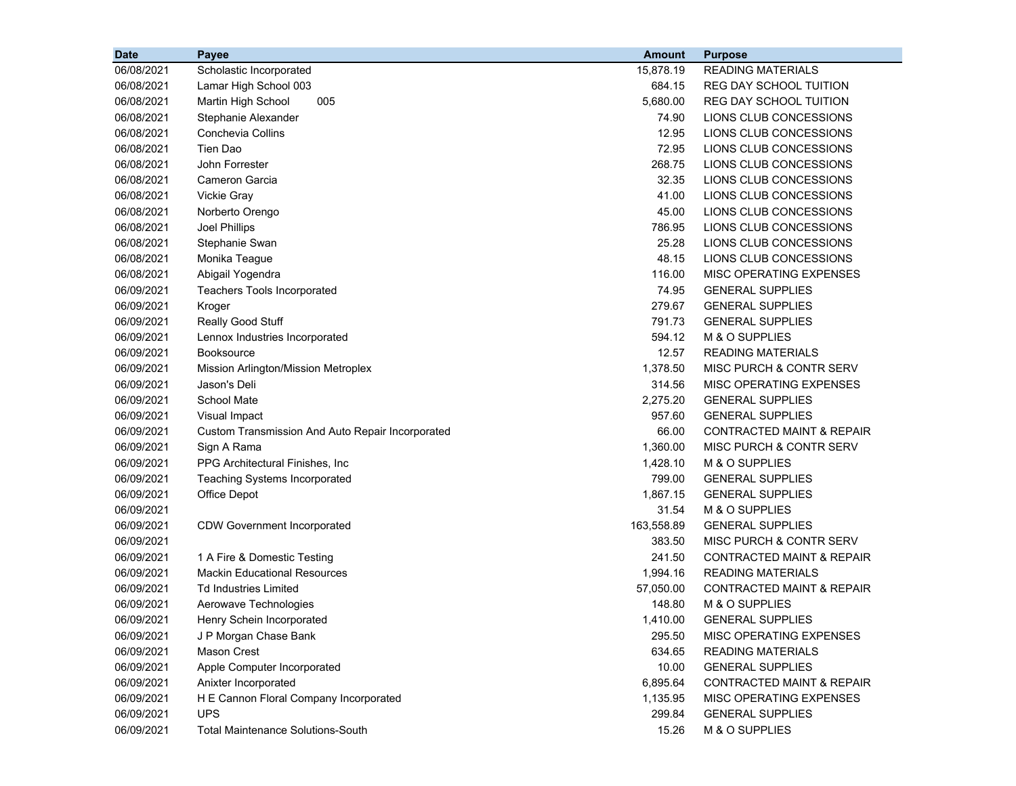| <b>Date</b> | Payee                                            | <b>Amount</b> | <b>Purpose</b>                       |
|-------------|--------------------------------------------------|---------------|--------------------------------------|
| 06/08/2021  | Scholastic Incorporated                          | 15,878.19     | <b>READING MATERIALS</b>             |
| 06/08/2021  | Lamar High School 003                            | 684.15        | <b>REG DAY SCHOOL TUITION</b>        |
| 06/08/2021  | Martin High School<br>005                        | 5,680.00      | <b>REG DAY SCHOOL TUITION</b>        |
| 06/08/2021  | Stephanie Alexander                              | 74.90         | LIONS CLUB CONCESSIONS               |
| 06/08/2021  | <b>Conchevia Collins</b>                         | 12.95         | LIONS CLUB CONCESSIONS               |
| 06/08/2021  | Tien Dao                                         | 72.95         | LIONS CLUB CONCESSIONS               |
| 06/08/2021  | John Forrester                                   | 268.75        | LIONS CLUB CONCESSIONS               |
| 06/08/2021  | Cameron Garcia                                   | 32.35         | LIONS CLUB CONCESSIONS               |
| 06/08/2021  | <b>Vickie Gray</b>                               | 41.00         | LIONS CLUB CONCESSIONS               |
| 06/08/2021  | Norberto Orengo                                  | 45.00         | LIONS CLUB CONCESSIONS               |
| 06/08/2021  | Joel Phillips                                    | 786.95        | LIONS CLUB CONCESSIONS               |
| 06/08/2021  | Stephanie Swan                                   | 25.28         | LIONS CLUB CONCESSIONS               |
| 06/08/2021  | Monika Teague                                    | 48.15         | LIONS CLUB CONCESSIONS               |
| 06/08/2021  | Abigail Yogendra                                 | 116.00        | MISC OPERATING EXPENSES              |
| 06/09/2021  | <b>Teachers Tools Incorporated</b>               | 74.95         | <b>GENERAL SUPPLIES</b>              |
| 06/09/2021  | Kroger                                           | 279.67        | <b>GENERAL SUPPLIES</b>              |
| 06/09/2021  | Really Good Stuff                                | 791.73        | <b>GENERAL SUPPLIES</b>              |
| 06/09/2021  | Lennox Industries Incorporated                   | 594.12        | M & O SUPPLIES                       |
| 06/09/2021  | <b>Booksource</b>                                | 12.57         | <b>READING MATERIALS</b>             |
| 06/09/2021  | Mission Arlington/Mission Metroplex              | 1,378.50      | MISC PURCH & CONTR SERV              |
| 06/09/2021  | Jason's Deli                                     | 314.56        | MISC OPERATING EXPENSES              |
| 06/09/2021  | School Mate                                      | 2,275.20      | <b>GENERAL SUPPLIES</b>              |
| 06/09/2021  | Visual Impact                                    | 957.60        | <b>GENERAL SUPPLIES</b>              |
| 06/09/2021  | Custom Transmission And Auto Repair Incorporated | 66.00         | <b>CONTRACTED MAINT &amp; REPAIR</b> |
| 06/09/2021  | Sign A Rama                                      | 1,360.00      | MISC PURCH & CONTR SERV              |
| 06/09/2021  | PPG Architectural Finishes, Inc.                 | 1,428.10      | M & O SUPPLIES                       |
| 06/09/2021  | <b>Teaching Systems Incorporated</b>             | 799.00        | <b>GENERAL SUPPLIES</b>              |
| 06/09/2021  | Office Depot                                     | 1,867.15      | <b>GENERAL SUPPLIES</b>              |
| 06/09/2021  |                                                  | 31.54         | M & O SUPPLIES                       |
| 06/09/2021  | <b>CDW Government Incorporated</b>               | 163,558.89    | <b>GENERAL SUPPLIES</b>              |
| 06/09/2021  |                                                  | 383.50        | MISC PURCH & CONTR SERV              |
| 06/09/2021  | 1 A Fire & Domestic Testing                      | 241.50        | <b>CONTRACTED MAINT &amp; REPAIR</b> |
| 06/09/2021  | <b>Mackin Educational Resources</b>              | 1,994.16      | <b>READING MATERIALS</b>             |
| 06/09/2021  | Td Industries Limited                            | 57,050.00     | <b>CONTRACTED MAINT &amp; REPAIR</b> |
| 06/09/2021  | Aerowave Technologies                            | 148.80        | M & O SUPPLIES                       |
| 06/09/2021  | Henry Schein Incorporated                        | 1,410.00      | <b>GENERAL SUPPLIES</b>              |
| 06/09/2021  | J P Morgan Chase Bank                            | 295.50        | MISC OPERATING EXPENSES              |
| 06/09/2021  | <b>Mason Crest</b>                               | 634.65        | <b>READING MATERIALS</b>             |
| 06/09/2021  | Apple Computer Incorporated                      | 10.00         | <b>GENERAL SUPPLIES</b>              |
| 06/09/2021  | Anixter Incorporated                             | 6,895.64      | <b>CONTRACTED MAINT &amp; REPAIR</b> |
| 06/09/2021  | H E Cannon Floral Company Incorporated           | 1,135.95      | MISC OPERATING EXPENSES              |
| 06/09/2021  | <b>UPS</b>                                       | 299.84        | <b>GENERAL SUPPLIES</b>              |
| 06/09/2021  | <b>Total Maintenance Solutions-South</b>         | 15.26         | M & O SUPPLIES                       |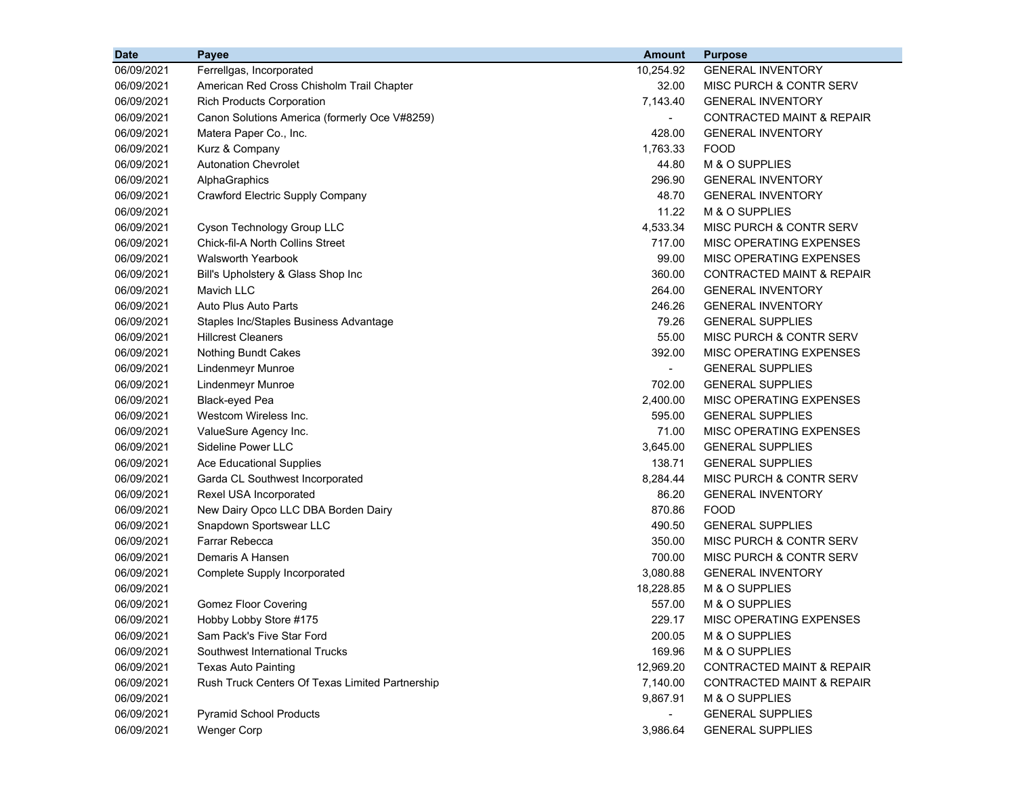| <b>Date</b> | Payee                                           | <b>Amount</b>  | <b>Purpose</b>                       |
|-------------|-------------------------------------------------|----------------|--------------------------------------|
| 06/09/2021  | Ferrellgas, Incorporated                        | 10,254.92      | <b>GENERAL INVENTORY</b>             |
| 06/09/2021  | American Red Cross Chisholm Trail Chapter       | 32.00          | MISC PURCH & CONTR SERV              |
| 06/09/2021  | <b>Rich Products Corporation</b>                | 7,143.40       | <b>GENERAL INVENTORY</b>             |
| 06/09/2021  | Canon Solutions America (formerly Oce V#8259)   | $\blacksquare$ | <b>CONTRACTED MAINT &amp; REPAIR</b> |
| 06/09/2021  | Matera Paper Co., Inc.                          | 428.00         | <b>GENERAL INVENTORY</b>             |
| 06/09/2021  | Kurz & Company                                  | 1,763.33       | <b>FOOD</b>                          |
| 06/09/2021  | <b>Autonation Chevrolet</b>                     | 44.80          | M & O SUPPLIES                       |
| 06/09/2021  | AlphaGraphics                                   | 296.90         | <b>GENERAL INVENTORY</b>             |
| 06/09/2021  | Crawford Electric Supply Company                | 48.70          | <b>GENERAL INVENTORY</b>             |
| 06/09/2021  |                                                 | 11.22          | M & O SUPPLIES                       |
| 06/09/2021  | Cyson Technology Group LLC                      | 4,533.34       | MISC PURCH & CONTR SERV              |
| 06/09/2021  | Chick-fil-A North Collins Street                | 717.00         | MISC OPERATING EXPENSES              |
| 06/09/2021  | <b>Walsworth Yearbook</b>                       | 99.00          | MISC OPERATING EXPENSES              |
| 06/09/2021  | Bill's Upholstery & Glass Shop Inc              | 360.00         | <b>CONTRACTED MAINT &amp; REPAIR</b> |
| 06/09/2021  | <b>Mavich LLC</b>                               | 264.00         | <b>GENERAL INVENTORY</b>             |
| 06/09/2021  | Auto Plus Auto Parts                            | 246.26         | <b>GENERAL INVENTORY</b>             |
| 06/09/2021  | Staples Inc/Staples Business Advantage          | 79.26          | <b>GENERAL SUPPLIES</b>              |
| 06/09/2021  | <b>Hillcrest Cleaners</b>                       | 55.00          | MISC PURCH & CONTR SERV              |
| 06/09/2021  | Nothing Bundt Cakes                             | 392.00         | MISC OPERATING EXPENSES              |
| 06/09/2021  | <b>Lindenmeyr Munroe</b>                        |                | <b>GENERAL SUPPLIES</b>              |
| 06/09/2021  | <b>Lindenmeyr Munroe</b>                        | 702.00         | <b>GENERAL SUPPLIES</b>              |
| 06/09/2021  | Black-eyed Pea                                  | 2,400.00       | MISC OPERATING EXPENSES              |
| 06/09/2021  | Westcom Wireless Inc.                           | 595.00         | <b>GENERAL SUPPLIES</b>              |
| 06/09/2021  | ValueSure Agency Inc.                           | 71.00          | MISC OPERATING EXPENSES              |
| 06/09/2021  | Sideline Power LLC                              | 3,645.00       | <b>GENERAL SUPPLIES</b>              |
| 06/09/2021  | <b>Ace Educational Supplies</b>                 | 138.71         | <b>GENERAL SUPPLIES</b>              |
| 06/09/2021  | Garda CL Southwest Incorporated                 | 8,284.44       | MISC PURCH & CONTR SERV              |
| 06/09/2021  | Rexel USA Incorporated                          | 86.20          | <b>GENERAL INVENTORY</b>             |
| 06/09/2021  | New Dairy Opco LLC DBA Borden Dairy             | 870.86         | <b>FOOD</b>                          |
| 06/09/2021  | Snapdown Sportswear LLC                         | 490.50         | <b>GENERAL SUPPLIES</b>              |
| 06/09/2021  | <b>Farrar Rebecca</b>                           | 350.00         | MISC PURCH & CONTR SERV              |
| 06/09/2021  | Demaris A Hansen                                | 700.00         | MISC PURCH & CONTR SERV              |
| 06/09/2021  | Complete Supply Incorporated                    | 3,080.88       | <b>GENERAL INVENTORY</b>             |
| 06/09/2021  |                                                 | 18,228.85      | M & O SUPPLIES                       |
| 06/09/2021  | <b>Gomez Floor Covering</b>                     | 557.00         | M & O SUPPLIES                       |
| 06/09/2021  | Hobby Lobby Store #175                          | 229.17         | MISC OPERATING EXPENSES              |
| 06/09/2021  | Sam Pack's Five Star Ford                       | 200.05         | M & O SUPPLIES                       |
| 06/09/2021  | Southwest International Trucks                  | 169.96         | M & O SUPPLIES                       |
| 06/09/2021  | <b>Texas Auto Painting</b>                      | 12,969.20      | <b>CONTRACTED MAINT &amp; REPAIR</b> |
| 06/09/2021  | Rush Truck Centers Of Texas Limited Partnership | 7,140.00       | <b>CONTRACTED MAINT &amp; REPAIR</b> |
| 06/09/2021  |                                                 | 9,867.91       | M & O SUPPLIES                       |
| 06/09/2021  | <b>Pyramid School Products</b>                  |                | <b>GENERAL SUPPLIES</b>              |
| 06/09/2021  | <b>Wenger Corp</b>                              | 3,986.64       | <b>GENERAL SUPPLIES</b>              |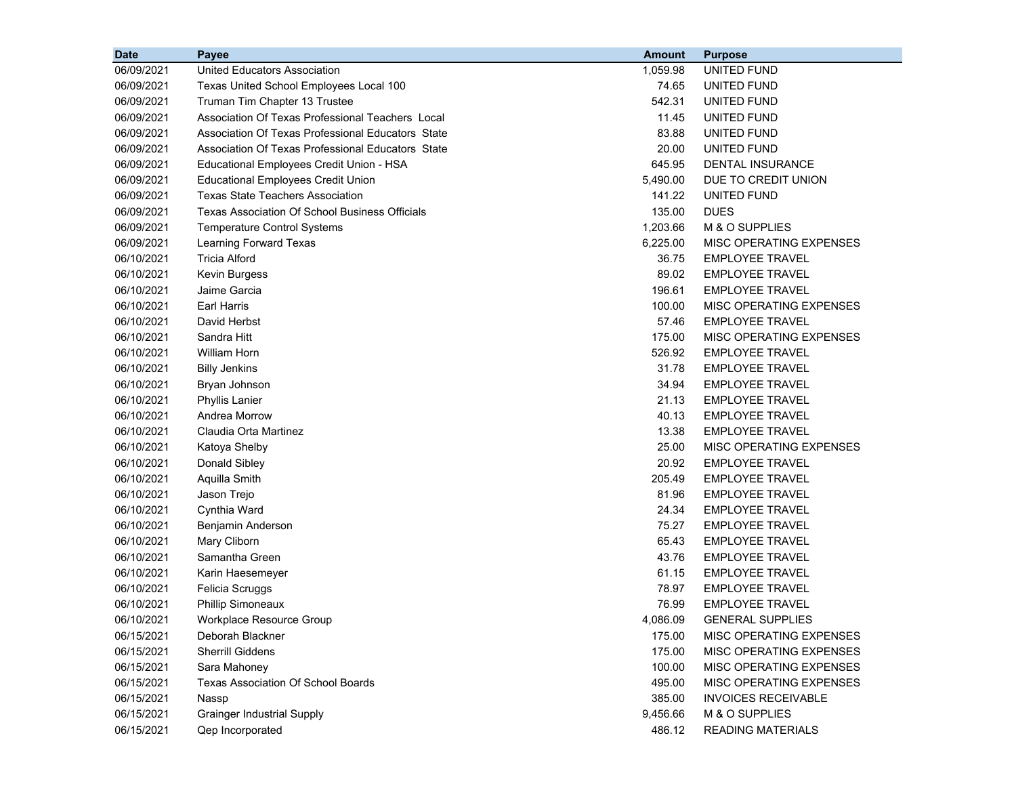| <b>Date</b> | Payee                                                 | <b>Amount</b> | <b>Purpose</b>             |
|-------------|-------------------------------------------------------|---------------|----------------------------|
| 06/09/2021  | United Educators Association                          | 1,059.98      | UNITED FUND                |
| 06/09/2021  | Texas United School Employees Local 100               | 74.65         | UNITED FUND                |
| 06/09/2021  | Truman Tim Chapter 13 Trustee                         | 542.31        | UNITED FUND                |
| 06/09/2021  | Association Of Texas Professional Teachers Local      | 11.45         | UNITED FUND                |
| 06/09/2021  | Association Of Texas Professional Educators State     | 83.88         | UNITED FUND                |
| 06/09/2021  | Association Of Texas Professional Educators State     | 20.00         | UNITED FUND                |
| 06/09/2021  | Educational Employees Credit Union - HSA              | 645.95        | DENTAL INSURANCE           |
| 06/09/2021  | <b>Educational Employees Credit Union</b>             | 5,490.00      | DUE TO CREDIT UNION        |
| 06/09/2021  | <b>Texas State Teachers Association</b>               | 141.22        | UNITED FUND                |
| 06/09/2021  | <b>Texas Association Of School Business Officials</b> | 135.00        | <b>DUES</b>                |
| 06/09/2021  | <b>Temperature Control Systems</b>                    | 1,203.66      | M & O SUPPLIES             |
| 06/09/2021  | Learning Forward Texas                                | 6,225.00      | MISC OPERATING EXPENSES    |
| 06/10/2021  | <b>Tricia Alford</b>                                  | 36.75         | <b>EMPLOYEE TRAVEL</b>     |
| 06/10/2021  | Kevin Burgess                                         | 89.02         | <b>EMPLOYEE TRAVEL</b>     |
| 06/10/2021  | Jaime Garcia                                          | 196.61        | <b>EMPLOYEE TRAVEL</b>     |
| 06/10/2021  | Earl Harris                                           | 100.00        | MISC OPERATING EXPENSES    |
| 06/10/2021  | David Herbst                                          | 57.46         | <b>EMPLOYEE TRAVEL</b>     |
| 06/10/2021  | Sandra Hitt                                           | 175.00        | MISC OPERATING EXPENSES    |
| 06/10/2021  | William Horn                                          | 526.92        | <b>EMPLOYEE TRAVEL</b>     |
| 06/10/2021  | <b>Billy Jenkins</b>                                  | 31.78         | <b>EMPLOYEE TRAVEL</b>     |
| 06/10/2021  | Bryan Johnson                                         | 34.94         | <b>EMPLOYEE TRAVEL</b>     |
| 06/10/2021  | <b>Phyllis Lanier</b>                                 | 21.13         | <b>EMPLOYEE TRAVEL</b>     |
| 06/10/2021  | Andrea Morrow                                         | 40.13         | <b>EMPLOYEE TRAVEL</b>     |
| 06/10/2021  | Claudia Orta Martinez                                 | 13.38         | <b>EMPLOYEE TRAVEL</b>     |
| 06/10/2021  | Katoya Shelby                                         | 25.00         | MISC OPERATING EXPENSES    |
| 06/10/2021  | Donald Sibley                                         | 20.92         | <b>EMPLOYEE TRAVEL</b>     |
| 06/10/2021  | Aquilla Smith                                         | 205.49        | <b>EMPLOYEE TRAVEL</b>     |
| 06/10/2021  | Jason Trejo                                           | 81.96         | <b>EMPLOYEE TRAVEL</b>     |
| 06/10/2021  | Cynthia Ward                                          | 24.34         | <b>EMPLOYEE TRAVEL</b>     |
| 06/10/2021  | Benjamin Anderson                                     | 75.27         | <b>EMPLOYEE TRAVEL</b>     |
| 06/10/2021  | Mary Cliborn                                          | 65.43         | <b>EMPLOYEE TRAVEL</b>     |
| 06/10/2021  | Samantha Green                                        | 43.76         | <b>EMPLOYEE TRAVEL</b>     |
| 06/10/2021  | Karin Haesemeyer                                      | 61.15         | <b>EMPLOYEE TRAVEL</b>     |
| 06/10/2021  | Felicia Scruggs                                       | 78.97         | <b>EMPLOYEE TRAVEL</b>     |
| 06/10/2021  | <b>Phillip Simoneaux</b>                              | 76.99         | <b>EMPLOYEE TRAVEL</b>     |
| 06/10/2021  | Workplace Resource Group                              | 4,086.09      | <b>GENERAL SUPPLIES</b>    |
| 06/15/2021  | Deborah Blackner                                      | 175.00        | MISC OPERATING EXPENSES    |
| 06/15/2021  | <b>Sherrill Giddens</b>                               | 175.00        | MISC OPERATING EXPENSES    |
| 06/15/2021  | Sara Mahoney                                          | 100.00        | MISC OPERATING EXPENSES    |
| 06/15/2021  | <b>Texas Association Of School Boards</b>             | 495.00        | MISC OPERATING EXPENSES    |
| 06/15/2021  | Nassp                                                 | 385.00        | <b>INVOICES RECEIVABLE</b> |
| 06/15/2021  | <b>Grainger Industrial Supply</b>                     | 9,456.66      | M & O SUPPLIES             |
| 06/15/2021  | Qep Incorporated                                      | 486.12        | <b>READING MATERIALS</b>   |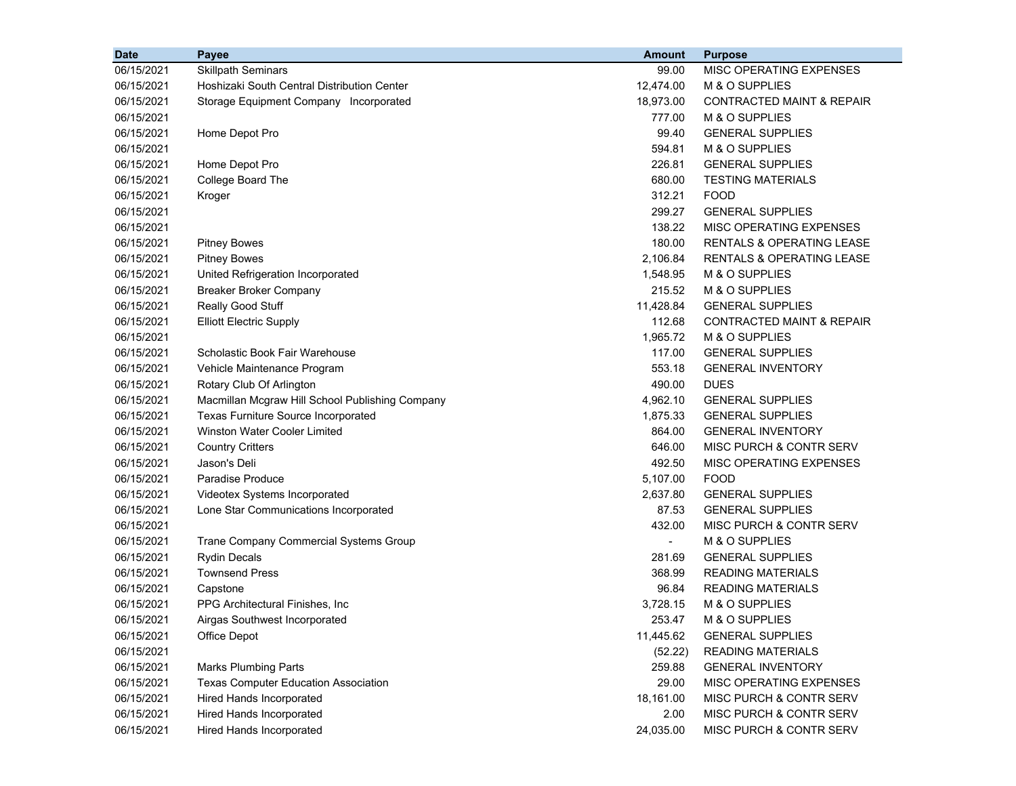| <b>Date</b> | <b>Payee</b>                                    | <b>Amount</b>  | <b>Purpose</b>                       |
|-------------|-------------------------------------------------|----------------|--------------------------------------|
| 06/15/2021  | <b>Skillpath Seminars</b>                       | 99.00          | MISC OPERATING EXPENSES              |
| 06/15/2021  | Hoshizaki South Central Distribution Center     | 12,474.00      | M & O SUPPLIES                       |
| 06/15/2021  | Storage Equipment Company Incorporated          | 18,973.00      | <b>CONTRACTED MAINT &amp; REPAIR</b> |
| 06/15/2021  |                                                 | 777.00         | M & O SUPPLIES                       |
| 06/15/2021  | Home Depot Pro                                  | 99.40          | <b>GENERAL SUPPLIES</b>              |
| 06/15/2021  |                                                 | 594.81         | M & O SUPPLIES                       |
| 06/15/2021  | Home Depot Pro                                  | 226.81         | <b>GENERAL SUPPLIES</b>              |
| 06/15/2021  | College Board The                               | 680.00         | <b>TESTING MATERIALS</b>             |
| 06/15/2021  | Kroger                                          | 312.21         | <b>FOOD</b>                          |
| 06/15/2021  |                                                 | 299.27         | <b>GENERAL SUPPLIES</b>              |
| 06/15/2021  |                                                 | 138.22         | MISC OPERATING EXPENSES              |
| 06/15/2021  | <b>Pitney Bowes</b>                             | 180.00         | <b>RENTALS &amp; OPERATING LEASE</b> |
| 06/15/2021  | <b>Pitney Bowes</b>                             | 2,106.84       | <b>RENTALS &amp; OPERATING LEASE</b> |
| 06/15/2021  | United Refrigeration Incorporated               | 1,548.95       | M & O SUPPLIES                       |
| 06/15/2021  | <b>Breaker Broker Company</b>                   | 215.52         | M & O SUPPLIES                       |
| 06/15/2021  | Really Good Stuff                               | 11,428.84      | <b>GENERAL SUPPLIES</b>              |
| 06/15/2021  | <b>Elliott Electric Supply</b>                  | 112.68         | <b>CONTRACTED MAINT &amp; REPAIR</b> |
| 06/15/2021  |                                                 | 1,965.72       | M & O SUPPLIES                       |
| 06/15/2021  | Scholastic Book Fair Warehouse                  | 117.00         | <b>GENERAL SUPPLIES</b>              |
| 06/15/2021  | Vehicle Maintenance Program                     | 553.18         | <b>GENERAL INVENTORY</b>             |
| 06/15/2021  | Rotary Club Of Arlington                        | 490.00         | <b>DUES</b>                          |
| 06/15/2021  | Macmillan Mcgraw Hill School Publishing Company | 4,962.10       | <b>GENERAL SUPPLIES</b>              |
| 06/15/2021  | Texas Furniture Source Incorporated             | 1,875.33       | <b>GENERAL SUPPLIES</b>              |
| 06/15/2021  | <b>Winston Water Cooler Limited</b>             | 864.00         | <b>GENERAL INVENTORY</b>             |
| 06/15/2021  | <b>Country Critters</b>                         | 646.00         | MISC PURCH & CONTR SERV              |
| 06/15/2021  | Jason's Deli                                    | 492.50         | MISC OPERATING EXPENSES              |
| 06/15/2021  | <b>Paradise Produce</b>                         | 5,107.00       | <b>FOOD</b>                          |
| 06/15/2021  | Videotex Systems Incorporated                   | 2,637.80       | <b>GENERAL SUPPLIES</b>              |
| 06/15/2021  | Lone Star Communications Incorporated           | 87.53          | <b>GENERAL SUPPLIES</b>              |
| 06/15/2021  |                                                 | 432.00         | MISC PURCH & CONTR SERV              |
| 06/15/2021  | Trane Company Commercial Systems Group          | $\blacksquare$ | M & O SUPPLIES                       |
| 06/15/2021  | <b>Rydin Decals</b>                             | 281.69         | <b>GENERAL SUPPLIES</b>              |
| 06/15/2021  | <b>Townsend Press</b>                           | 368.99         | <b>READING MATERIALS</b>             |
| 06/15/2021  | Capstone                                        | 96.84          | <b>READING MATERIALS</b>             |
| 06/15/2021  | PPG Architectural Finishes, Inc.                | 3,728.15       | M & O SUPPLIES                       |
| 06/15/2021  | Airgas Southwest Incorporated                   | 253.47         | M & O SUPPLIES                       |
| 06/15/2021  | Office Depot                                    | 11,445.62      | <b>GENERAL SUPPLIES</b>              |
| 06/15/2021  |                                                 | (52.22)        | <b>READING MATERIALS</b>             |
| 06/15/2021  | <b>Marks Plumbing Parts</b>                     | 259.88         | <b>GENERAL INVENTORY</b>             |
| 06/15/2021  | <b>Texas Computer Education Association</b>     | 29.00          | MISC OPERATING EXPENSES              |
| 06/15/2021  | <b>Hired Hands Incorporated</b>                 | 18,161.00      | MISC PURCH & CONTR SERV              |
| 06/15/2021  | <b>Hired Hands Incorporated</b>                 | 2.00           | MISC PURCH & CONTR SERV              |
| 06/15/2021  | <b>Hired Hands Incorporated</b>                 | 24,035.00      | MISC PURCH & CONTR SERV              |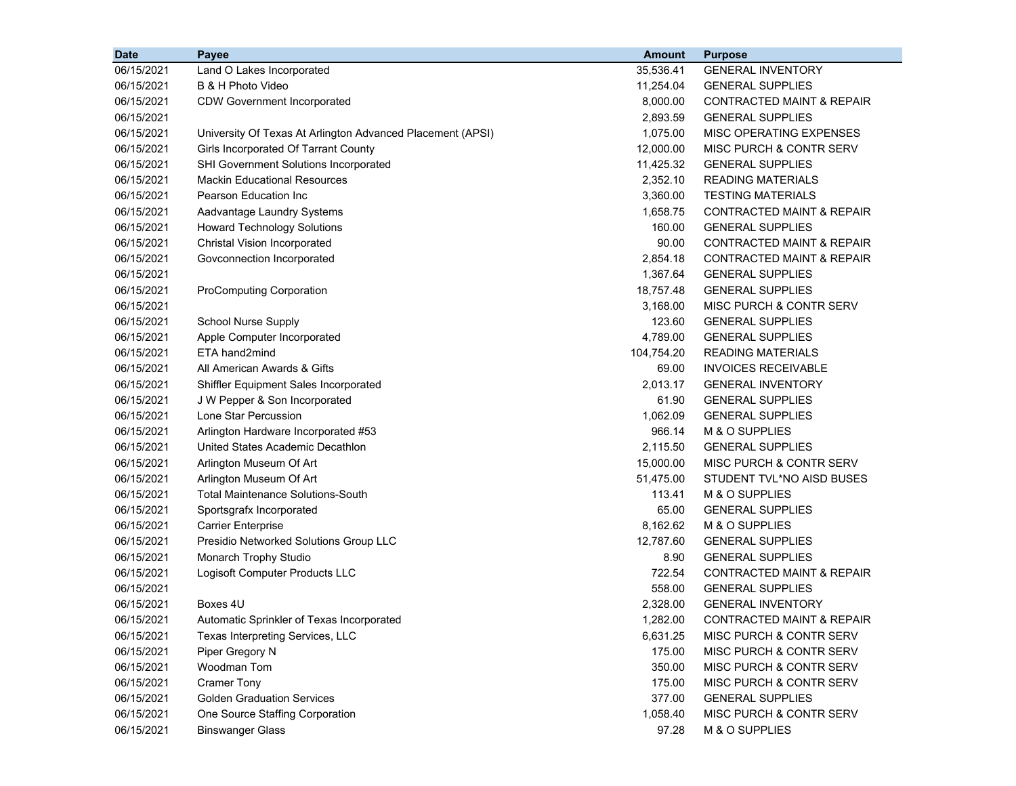| <b>Date</b> | Payee                                                      | <b>Amount</b> | <b>Purpose</b>                       |
|-------------|------------------------------------------------------------|---------------|--------------------------------------|
| 06/15/2021  | Land O Lakes Incorporated                                  | 35,536.41     | <b>GENERAL INVENTORY</b>             |
| 06/15/2021  | B & H Photo Video                                          | 11,254.04     | <b>GENERAL SUPPLIES</b>              |
| 06/15/2021  | <b>CDW Government Incorporated</b>                         | 8,000.00      | CONTRACTED MAINT & REPAIR            |
| 06/15/2021  |                                                            | 2,893.59      | <b>GENERAL SUPPLIES</b>              |
| 06/15/2021  | University Of Texas At Arlington Advanced Placement (APSI) | 1,075.00      | MISC OPERATING EXPENSES              |
| 06/15/2021  | Girls Incorporated Of Tarrant County                       | 12,000.00     | MISC PURCH & CONTR SERV              |
| 06/15/2021  | SHI Government Solutions Incorporated                      | 11,425.32     | <b>GENERAL SUPPLIES</b>              |
| 06/15/2021  | <b>Mackin Educational Resources</b>                        | 2,352.10      | <b>READING MATERIALS</b>             |
| 06/15/2021  | Pearson Education Inc                                      | 3,360.00      | <b>TESTING MATERIALS</b>             |
| 06/15/2021  | Aadvantage Laundry Systems                                 | 1,658.75      | CONTRACTED MAINT & REPAIR            |
| 06/15/2021  | <b>Howard Technology Solutions</b>                         | 160.00        | <b>GENERAL SUPPLIES</b>              |
| 06/15/2021  | Christal Vision Incorporated                               | 90.00         | CONTRACTED MAINT & REPAIR            |
| 06/15/2021  | Govconnection Incorporated                                 | 2,854.18      | CONTRACTED MAINT & REPAIR            |
| 06/15/2021  |                                                            | 1,367.64      | <b>GENERAL SUPPLIES</b>              |
| 06/15/2021  | <b>ProComputing Corporation</b>                            | 18,757.48     | <b>GENERAL SUPPLIES</b>              |
| 06/15/2021  |                                                            | 3,168.00      | MISC PURCH & CONTR SERV              |
| 06/15/2021  | <b>School Nurse Supply</b>                                 | 123.60        | <b>GENERAL SUPPLIES</b>              |
| 06/15/2021  | Apple Computer Incorporated                                | 4,789.00      | <b>GENERAL SUPPLIES</b>              |
| 06/15/2021  | ETA hand2mind                                              | 104,754.20    | <b>READING MATERIALS</b>             |
| 06/15/2021  | All American Awards & Gifts                                | 69.00         | <b>INVOICES RECEIVABLE</b>           |
| 06/15/2021  | Shiffler Equipment Sales Incorporated                      | 2,013.17      | <b>GENERAL INVENTORY</b>             |
| 06/15/2021  | J W Pepper & Son Incorporated                              | 61.90         | <b>GENERAL SUPPLIES</b>              |
| 06/15/2021  | Lone Star Percussion                                       | 1,062.09      | <b>GENERAL SUPPLIES</b>              |
| 06/15/2021  | Arlington Hardware Incorporated #53                        | 966.14        | M & O SUPPLIES                       |
| 06/15/2021  | United States Academic Decathlon                           | 2,115.50      | <b>GENERAL SUPPLIES</b>              |
| 06/15/2021  | Arlington Museum Of Art                                    | 15,000.00     | MISC PURCH & CONTR SERV              |
| 06/15/2021  | Arlington Museum Of Art                                    | 51,475.00     | STUDENT TVL*NO AISD BUSES            |
| 06/15/2021  | <b>Total Maintenance Solutions-South</b>                   | 113.41        | M & O SUPPLIES                       |
| 06/15/2021  | Sportsgrafx Incorporated                                   | 65.00         | <b>GENERAL SUPPLIES</b>              |
| 06/15/2021  | <b>Carrier Enterprise</b>                                  | 8,162.62      | M & O SUPPLIES                       |
| 06/15/2021  | Presidio Networked Solutions Group LLC                     | 12,787.60     | <b>GENERAL SUPPLIES</b>              |
| 06/15/2021  | Monarch Trophy Studio                                      | 8.90          | <b>GENERAL SUPPLIES</b>              |
| 06/15/2021  | Logisoft Computer Products LLC                             | 722.54        | <b>CONTRACTED MAINT &amp; REPAIR</b> |
| 06/15/2021  |                                                            | 558.00        | <b>GENERAL SUPPLIES</b>              |
| 06/15/2021  | Boxes 4U                                                   | 2,328.00      | <b>GENERAL INVENTORY</b>             |
| 06/15/2021  | Automatic Sprinkler of Texas Incorporated                  | 1,282.00      | CONTRACTED MAINT & REPAIR            |
| 06/15/2021  | Texas Interpreting Services, LLC                           | 6,631.25      | MISC PURCH & CONTR SERV              |
| 06/15/2021  | Piper Gregory N                                            | 175.00        | MISC PURCH & CONTR SERV              |
| 06/15/2021  | Woodman Tom                                                | 350.00        | MISC PURCH & CONTR SERV              |
| 06/15/2021  | <b>Cramer Tony</b>                                         | 175.00        | MISC PURCH & CONTR SERV              |
| 06/15/2021  | <b>Golden Graduation Services</b>                          | 377.00        | <b>GENERAL SUPPLIES</b>              |
| 06/15/2021  | One Source Staffing Corporation                            | 1,058.40      | MISC PURCH & CONTR SERV              |
| 06/15/2021  | <b>Binswanger Glass</b>                                    | 97.28         | M & O SUPPLIES                       |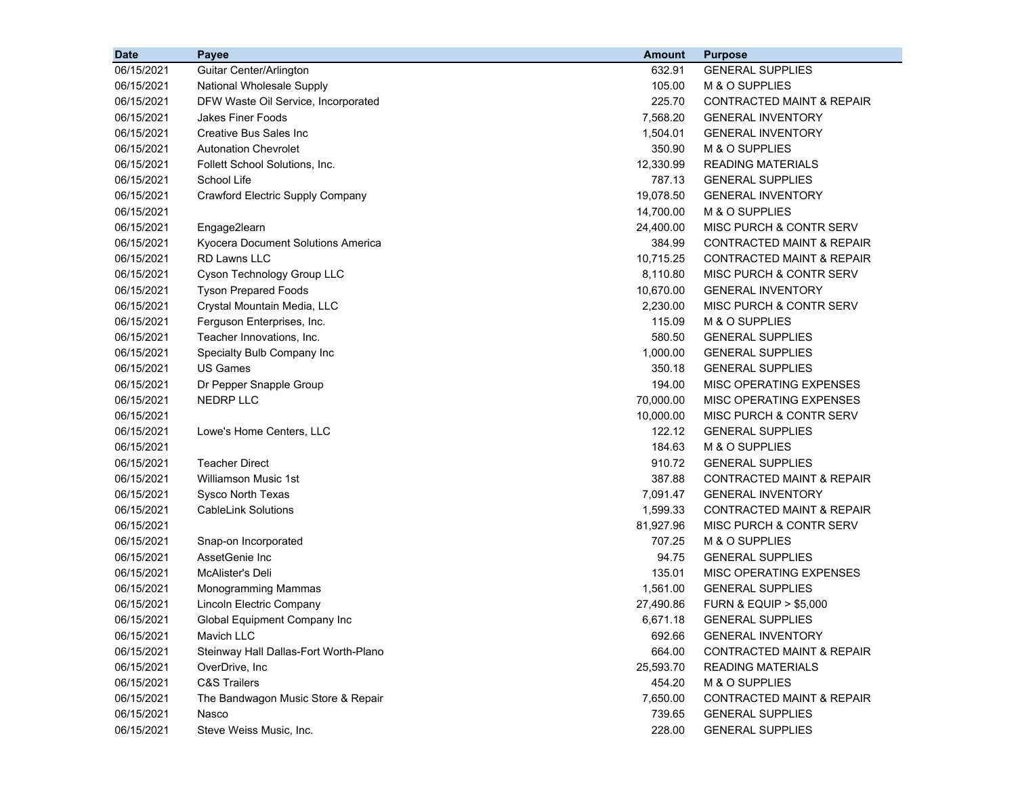| <b>Date</b> | Payee                                 | <b>Amount</b> | <b>Purpose</b>                       |
|-------------|---------------------------------------|---------------|--------------------------------------|
| 06/15/2021  | Guitar Center/Arlington               | 632.91        | <b>GENERAL SUPPLIES</b>              |
| 06/15/2021  | National Wholesale Supply             | 105.00        | M & O SUPPLIES                       |
| 06/15/2021  | DFW Waste Oil Service, Incorporated   | 225.70        | <b>CONTRACTED MAINT &amp; REPAIR</b> |
| 06/15/2021  | <b>Jakes Finer Foods</b>              | 7,568.20      | <b>GENERAL INVENTORY</b>             |
| 06/15/2021  | Creative Bus Sales Inc                | 1,504.01      | <b>GENERAL INVENTORY</b>             |
| 06/15/2021  | <b>Autonation Chevrolet</b>           | 350.90        | M & O SUPPLIES                       |
| 06/15/2021  | Follett School Solutions, Inc.        | 12,330.99     | <b>READING MATERIALS</b>             |
| 06/15/2021  | School Life                           | 787.13        | <b>GENERAL SUPPLIES</b>              |
| 06/15/2021  | Crawford Electric Supply Company      | 19,078.50     | <b>GENERAL INVENTORY</b>             |
| 06/15/2021  |                                       | 14,700.00     | M & O SUPPLIES                       |
| 06/15/2021  | Engage2learn                          | 24,400.00     | MISC PURCH & CONTR SERV              |
| 06/15/2021  | Kyocera Document Solutions America    | 384.99        | <b>CONTRACTED MAINT &amp; REPAIR</b> |
| 06/15/2021  | RD Lawns LLC                          | 10,715.25     | <b>CONTRACTED MAINT &amp; REPAIR</b> |
| 06/15/2021  | Cyson Technology Group LLC            | 8,110.80      | MISC PURCH & CONTR SERV              |
| 06/15/2021  | <b>Tyson Prepared Foods</b>           | 10,670.00     | <b>GENERAL INVENTORY</b>             |
| 06/15/2021  | Crystal Mountain Media, LLC           | 2,230.00      | MISC PURCH & CONTR SERV              |
| 06/15/2021  | Ferguson Enterprises, Inc.            | 115.09        | M & O SUPPLIES                       |
| 06/15/2021  | Teacher Innovations, Inc.             | 580.50        | <b>GENERAL SUPPLIES</b>              |
| 06/15/2021  | Specialty Bulb Company Inc            | 1,000.00      | <b>GENERAL SUPPLIES</b>              |
| 06/15/2021  | <b>US Games</b>                       | 350.18        | <b>GENERAL SUPPLIES</b>              |
| 06/15/2021  | Dr Pepper Snapple Group               | 194.00        | MISC OPERATING EXPENSES              |
| 06/15/2021  | <b>NEDRP LLC</b>                      | 70,000.00     | MISC OPERATING EXPENSES              |
| 06/15/2021  |                                       | 10,000.00     | MISC PURCH & CONTR SERV              |
| 06/15/2021  | Lowe's Home Centers, LLC              | 122.12        | <b>GENERAL SUPPLIES</b>              |
| 06/15/2021  |                                       | 184.63        | M & O SUPPLIES                       |
| 06/15/2021  | <b>Teacher Direct</b>                 | 910.72        | <b>GENERAL SUPPLIES</b>              |
| 06/15/2021  | <b>Williamson Music 1st</b>           | 387.88        | <b>CONTRACTED MAINT &amp; REPAIR</b> |
| 06/15/2021  | Sysco North Texas                     | 7,091.47      | <b>GENERAL INVENTORY</b>             |
| 06/15/2021  | <b>CableLink Solutions</b>            | 1,599.33      | CONTRACTED MAINT & REPAIR            |
| 06/15/2021  |                                       | 81,927.96     | MISC PURCH & CONTR SERV              |
| 06/15/2021  | Snap-on Incorporated                  | 707.25        | M & O SUPPLIES                       |
| 06/15/2021  | AssetGenie Inc                        | 94.75         | <b>GENERAL SUPPLIES</b>              |
| 06/15/2021  | McAlister's Deli                      | 135.01        | MISC OPERATING EXPENSES              |
| 06/15/2021  | Monogramming Mammas                   | 1,561.00      | <b>GENERAL SUPPLIES</b>              |
| 06/15/2021  | Lincoln Electric Company              | 27,490.86     | <b>FURN &amp; EQUIP &gt; \$5,000</b> |
| 06/15/2021  | Global Equipment Company Inc          | 6,671.18      | <b>GENERAL SUPPLIES</b>              |
| 06/15/2021  | Mavich LLC                            | 692.66        | <b>GENERAL INVENTORY</b>             |
| 06/15/2021  | Steinway Hall Dallas-Fort Worth-Plano | 664.00        | <b>CONTRACTED MAINT &amp; REPAIR</b> |
| 06/15/2021  | OverDrive, Inc                        | 25,593.70     | <b>READING MATERIALS</b>             |
| 06/15/2021  | <b>C&amp;S Trailers</b>               | 454.20        | M & O SUPPLIES                       |
| 06/15/2021  | The Bandwagon Music Store & Repair    | 7,650.00      | <b>CONTRACTED MAINT &amp; REPAIR</b> |
| 06/15/2021  | Nasco                                 | 739.65        | <b>GENERAL SUPPLIES</b>              |
| 06/15/2021  | Steve Weiss Music, Inc.               | 228.00        | <b>GENERAL SUPPLIES</b>              |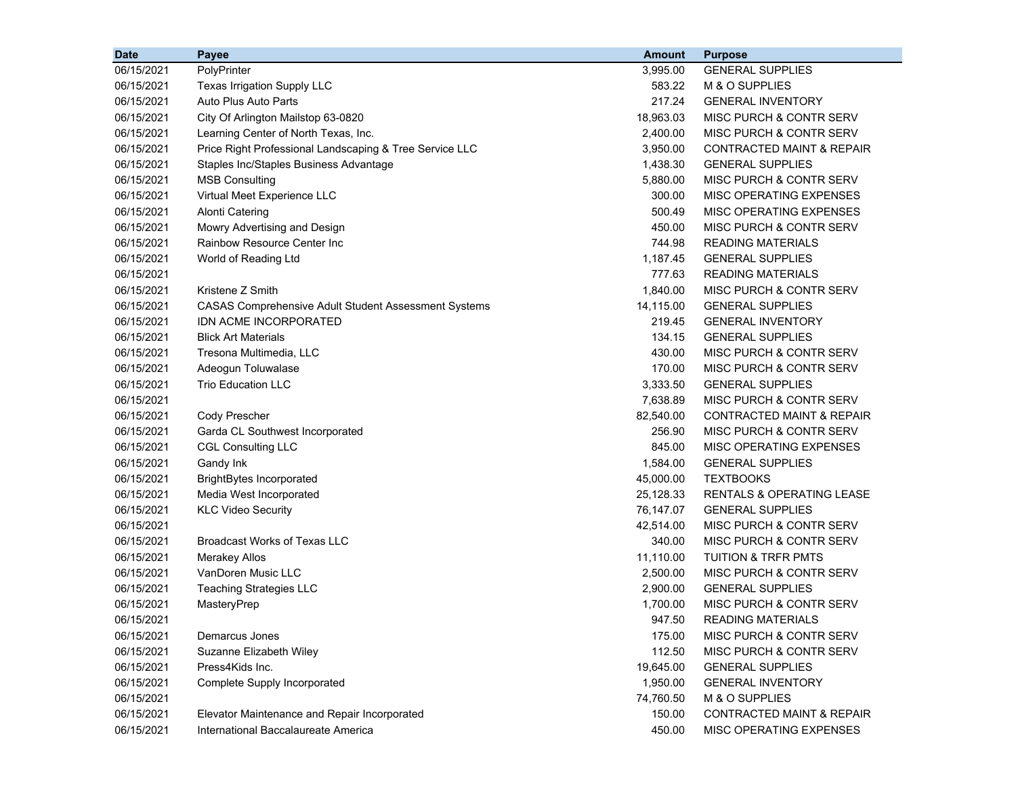| <b>Date</b> | Payee                                                       | <b>Amount</b> | <b>Purpose</b>                       |
|-------------|-------------------------------------------------------------|---------------|--------------------------------------|
| 06/15/2021  | PolyPrinter                                                 | 3,995.00      | <b>GENERAL SUPPLIES</b>              |
| 06/15/2021  | Texas Irrigation Supply LLC                                 | 583.22        | M & O SUPPLIES                       |
| 06/15/2021  | Auto Plus Auto Parts                                        | 217.24        | <b>GENERAL INVENTORY</b>             |
| 06/15/2021  | City Of Arlington Mailstop 63-0820                          | 18,963.03     | MISC PURCH & CONTR SERV              |
| 06/15/2021  | Learning Center of North Texas, Inc.                        | 2,400.00      | MISC PURCH & CONTR SERV              |
| 06/15/2021  | Price Right Professional Landscaping & Tree Service LLC     | 3,950.00      | CONTRACTED MAINT & REPAIR            |
| 06/15/2021  | Staples Inc/Staples Business Advantage                      | 1,438.30      | <b>GENERAL SUPPLIES</b>              |
| 06/15/2021  | <b>MSB Consulting</b>                                       | 5,880.00      | MISC PURCH & CONTR SERV              |
| 06/15/2021  | Virtual Meet Experience LLC                                 | 300.00        | MISC OPERATING EXPENSES              |
| 06/15/2021  | <b>Alonti Catering</b>                                      | 500.49        | MISC OPERATING EXPENSES              |
| 06/15/2021  | Mowry Advertising and Design                                | 450.00        | MISC PURCH & CONTR SERV              |
| 06/15/2021  | Rainbow Resource Center Inc                                 | 744.98        | READING MATERIALS                    |
| 06/15/2021  | World of Reading Ltd                                        | 1,187.45      | <b>GENERAL SUPPLIES</b>              |
| 06/15/2021  |                                                             | 777.63        | <b>READING MATERIALS</b>             |
| 06/15/2021  | Kristene Z Smith                                            | 1,840.00      | MISC PURCH & CONTR SERV              |
| 06/15/2021  | <b>CASAS Comprehensive Adult Student Assessment Systems</b> | 14,115.00     | <b>GENERAL SUPPLIES</b>              |
| 06/15/2021  | IDN ACME INCORPORATED                                       | 219.45        | <b>GENERAL INVENTORY</b>             |
| 06/15/2021  | <b>Blick Art Materials</b>                                  | 134.15        | <b>GENERAL SUPPLIES</b>              |
| 06/15/2021  | Tresona Multimedia, LLC                                     | 430.00        | MISC PURCH & CONTR SERV              |
| 06/15/2021  | Adeogun Toluwalase                                          | 170.00        | MISC PURCH & CONTR SERV              |
| 06/15/2021  | <b>Trio Education LLC</b>                                   | 3,333.50      | <b>GENERAL SUPPLIES</b>              |
| 06/15/2021  |                                                             | 7,638.89      | MISC PURCH & CONTR SERV              |
| 06/15/2021  | Cody Prescher                                               | 82,540.00     | CONTRACTED MAINT & REPAIR            |
| 06/15/2021  | Garda CL Southwest Incorporated                             | 256.90        | MISC PURCH & CONTR SERV              |
| 06/15/2021  | <b>CGL Consulting LLC</b>                                   | 845.00        | MISC OPERATING EXPENSES              |
| 06/15/2021  | Gandy Ink                                                   | 1,584.00      | <b>GENERAL SUPPLIES</b>              |
| 06/15/2021  | <b>BrightBytes Incorporated</b>                             | 45,000.00     | <b>TEXTBOOKS</b>                     |
| 06/15/2021  | Media West Incorporated                                     | 25,128.33     | <b>RENTALS &amp; OPERATING LEASE</b> |
| 06/15/2021  | <b>KLC Video Security</b>                                   | 76,147.07     | <b>GENERAL SUPPLIES</b>              |
| 06/15/2021  |                                                             | 42,514.00     | MISC PURCH & CONTR SERV              |
| 06/15/2021  | <b>Broadcast Works of Texas LLC</b>                         | 340.00        | MISC PURCH & CONTR SERV              |
| 06/15/2021  | <b>Merakey Allos</b>                                        | 11,110.00     | <b>TUITION &amp; TRFR PMTS</b>       |
| 06/15/2021  | VanDoren Music LLC                                          | 2,500.00      | MISC PURCH & CONTR SERV              |
| 06/15/2021  | <b>Teaching Strategies LLC</b>                              | 2,900.00      | <b>GENERAL SUPPLIES</b>              |
| 06/15/2021  | MasteryPrep                                                 | 1,700.00      | MISC PURCH & CONTR SERV              |
| 06/15/2021  |                                                             | 947.50        | <b>READING MATERIALS</b>             |
| 06/15/2021  | Demarcus Jones                                              | 175.00        | <b>MISC PURCH &amp; CONTR SERV</b>   |
| 06/15/2021  | Suzanne Elizabeth Wiley                                     | 112.50        | MISC PURCH & CONTR SERV              |
| 06/15/2021  | Press4Kids Inc.                                             | 19,645.00     | <b>GENERAL SUPPLIES</b>              |
| 06/15/2021  | Complete Supply Incorporated                                | 1,950.00      | <b>GENERAL INVENTORY</b>             |
| 06/15/2021  |                                                             | 74,760.50     | M & O SUPPLIES                       |
| 06/15/2021  | Elevator Maintenance and Repair Incorporated                | 150.00        | <b>CONTRACTED MAINT &amp; REPAIR</b> |
| 06/15/2021  | International Baccalaureate America                         | 450.00        | MISC OPERATING EXPENSES              |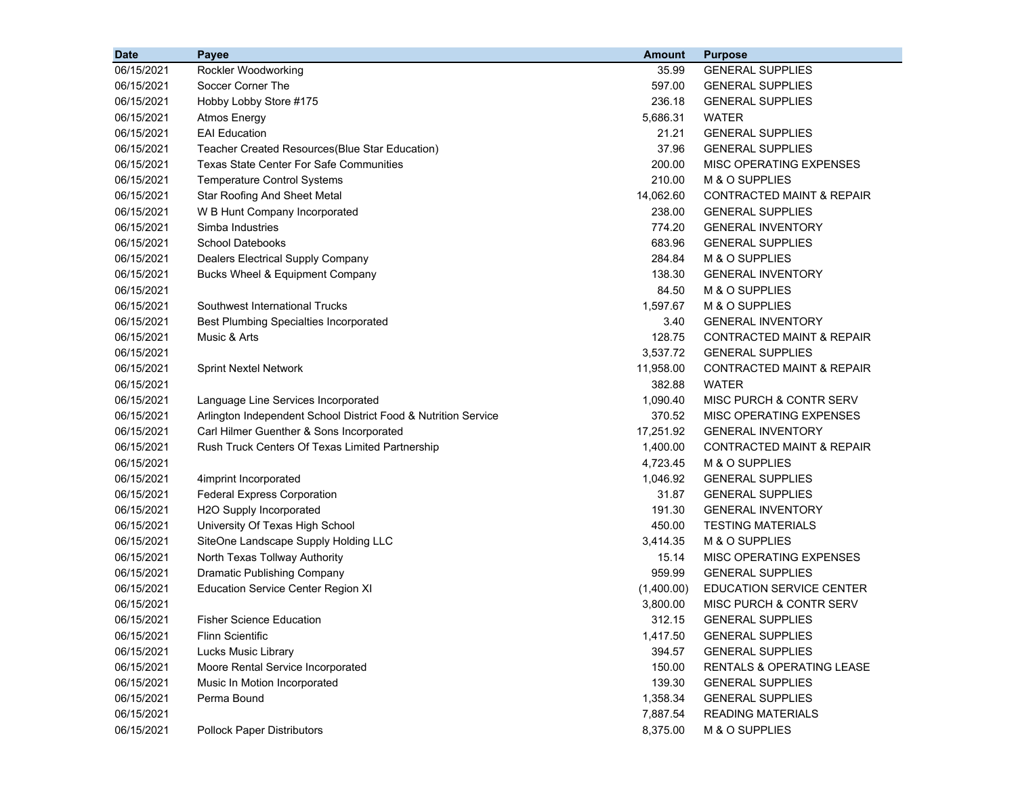| <b>Date</b> | Payee                                                          | <b>Amount</b> | <b>Purpose</b>                       |
|-------------|----------------------------------------------------------------|---------------|--------------------------------------|
| 06/15/2021  | Rockler Woodworking                                            | 35.99         | <b>GENERAL SUPPLIES</b>              |
| 06/15/2021  | Soccer Corner The                                              | 597.00        | <b>GENERAL SUPPLIES</b>              |
| 06/15/2021  | Hobby Lobby Store #175                                         | 236.18        | <b>GENERAL SUPPLIES</b>              |
| 06/15/2021  | <b>Atmos Energy</b>                                            | 5,686.31      | <b>WATER</b>                         |
| 06/15/2021  | <b>EAI</b> Education                                           | 21.21         | <b>GENERAL SUPPLIES</b>              |
| 06/15/2021  | Teacher Created Resources(Blue Star Education)                 | 37.96         | <b>GENERAL SUPPLIES</b>              |
| 06/15/2021  | <b>Texas State Center For Safe Communities</b>                 | 200.00        | MISC OPERATING EXPENSES              |
| 06/15/2021  | <b>Temperature Control Systems</b>                             | 210.00        | M & O SUPPLIES                       |
| 06/15/2021  | <b>Star Roofing And Sheet Metal</b>                            | 14,062.60     | <b>CONTRACTED MAINT &amp; REPAIR</b> |
| 06/15/2021  | W B Hunt Company Incorporated                                  | 238.00        | <b>GENERAL SUPPLIES</b>              |
| 06/15/2021  | Simba Industries                                               | 774.20        | <b>GENERAL INVENTORY</b>             |
| 06/15/2021  | School Datebooks                                               | 683.96        | <b>GENERAL SUPPLIES</b>              |
| 06/15/2021  | Dealers Electrical Supply Company                              | 284.84        | M & O SUPPLIES                       |
| 06/15/2021  | Bucks Wheel & Equipment Company                                | 138.30        | <b>GENERAL INVENTORY</b>             |
| 06/15/2021  |                                                                | 84.50         | M & O SUPPLIES                       |
| 06/15/2021  | Southwest International Trucks                                 | 1,597.67      | M & O SUPPLIES                       |
| 06/15/2021  | <b>Best Plumbing Specialties Incorporated</b>                  | 3.40          | <b>GENERAL INVENTORY</b>             |
| 06/15/2021  | Music & Arts                                                   | 128.75        | <b>CONTRACTED MAINT &amp; REPAIR</b> |
| 06/15/2021  |                                                                | 3,537.72      | <b>GENERAL SUPPLIES</b>              |
| 06/15/2021  | <b>Sprint Nextel Network</b>                                   | 11,958.00     | <b>CONTRACTED MAINT &amp; REPAIR</b> |
| 06/15/2021  |                                                                | 382.88        | <b>WATER</b>                         |
| 06/15/2021  | Language Line Services Incorporated                            | 1,090.40      | MISC PURCH & CONTR SERV              |
| 06/15/2021  | Arlington Independent School District Food & Nutrition Service | 370.52        | MISC OPERATING EXPENSES              |
| 06/15/2021  | Carl Hilmer Guenther & Sons Incorporated                       | 17,251.92     | <b>GENERAL INVENTORY</b>             |
| 06/15/2021  | Rush Truck Centers Of Texas Limited Partnership                | 1,400.00      | <b>CONTRACTED MAINT &amp; REPAIR</b> |
| 06/15/2021  |                                                                | 4,723.45      | M & O SUPPLIES                       |
| 06/15/2021  | 4imprint Incorporated                                          | 1,046.92      | <b>GENERAL SUPPLIES</b>              |
| 06/15/2021  | <b>Federal Express Corporation</b>                             | 31.87         | <b>GENERAL SUPPLIES</b>              |
| 06/15/2021  | H2O Supply Incorporated                                        | 191.30        | <b>GENERAL INVENTORY</b>             |
| 06/15/2021  | University Of Texas High School                                | 450.00        | <b>TESTING MATERIALS</b>             |
| 06/15/2021  | SiteOne Landscape Supply Holding LLC                           | 3,414.35      | M & O SUPPLIES                       |
| 06/15/2021  | North Texas Tollway Authority                                  | 15.14         | MISC OPERATING EXPENSES              |
| 06/15/2021  | <b>Dramatic Publishing Company</b>                             | 959.99        | <b>GENERAL SUPPLIES</b>              |
| 06/15/2021  | <b>Education Service Center Region XI</b>                      | (1,400.00)    | <b>EDUCATION SERVICE CENTER</b>      |
| 06/15/2021  |                                                                | 3,800.00      | MISC PURCH & CONTR SERV              |
| 06/15/2021  | <b>Fisher Science Education</b>                                | 312.15        | <b>GENERAL SUPPLIES</b>              |
| 06/15/2021  | <b>Flinn Scientific</b>                                        | 1,417.50      | <b>GENERAL SUPPLIES</b>              |
| 06/15/2021  | Lucks Music Library                                            | 394.57        | <b>GENERAL SUPPLIES</b>              |
| 06/15/2021  | Moore Rental Service Incorporated                              | 150.00        | RENTALS & OPERATING LEASE            |
| 06/15/2021  | Music In Motion Incorporated                                   | 139.30        | <b>GENERAL SUPPLIES</b>              |
| 06/15/2021  | Perma Bound                                                    | 1,358.34      | <b>GENERAL SUPPLIES</b>              |
| 06/15/2021  |                                                                | 7,887.54      | <b>READING MATERIALS</b>             |
| 06/15/2021  | <b>Pollock Paper Distributors</b>                              | 8,375.00      | M & O SUPPLIES                       |
|             |                                                                |               |                                      |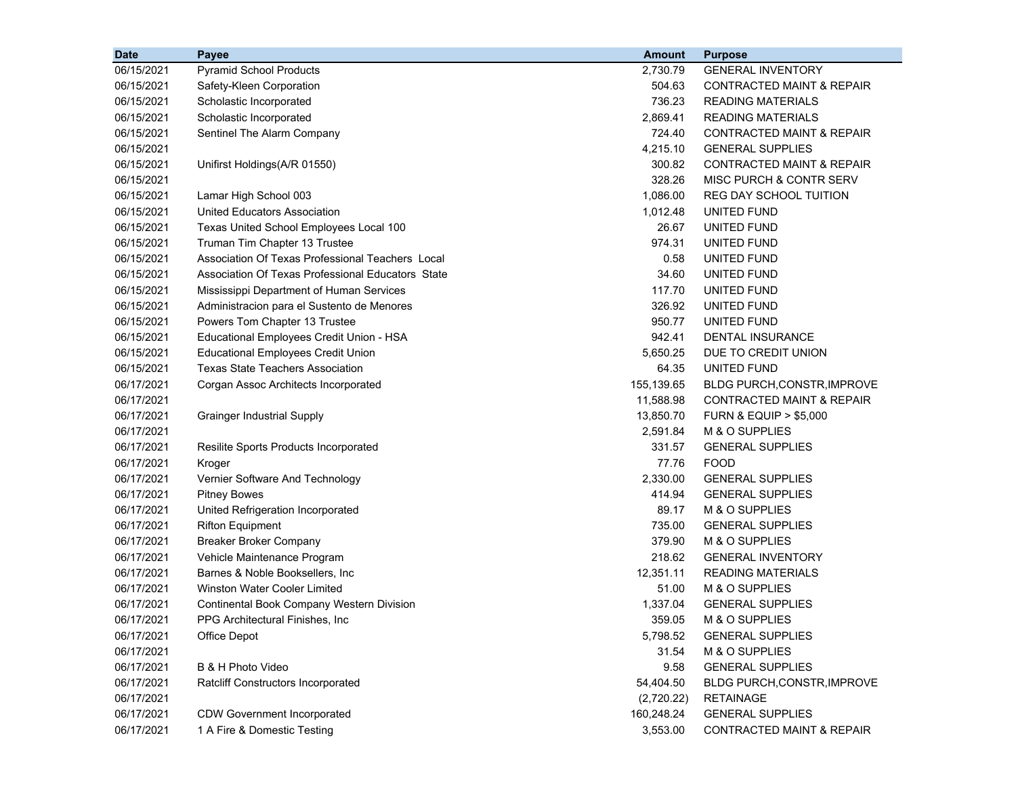| 2,730.79<br>06/15/2021<br><b>Pyramid School Products</b><br><b>GENERAL INVENTORY</b>                   |  |
|--------------------------------------------------------------------------------------------------------|--|
|                                                                                                        |  |
| 06/15/2021<br>504.63<br>Safety-Kleen Corporation<br>CONTRACTED MAINT & REPAIR                          |  |
| 736.23<br><b>READING MATERIALS</b><br>06/15/2021<br>Scholastic Incorporated                            |  |
| 2,869.41<br><b>READING MATERIALS</b><br>06/15/2021<br>Scholastic Incorporated                          |  |
| 724.40<br><b>CONTRACTED MAINT &amp; REPAIR</b><br>06/15/2021<br>Sentinel The Alarm Company             |  |
| 4,215.10<br><b>GENERAL SUPPLIES</b><br>06/15/2021                                                      |  |
| 300.82<br>CONTRACTED MAINT & REPAIR<br>06/15/2021<br>Unifirst Holdings(A/R 01550)                      |  |
| 06/15/2021<br>328.26<br>MISC PURCH & CONTR SERV                                                        |  |
| 1,086.00<br>06/15/2021<br>Lamar High School 003<br><b>REG DAY SCHOOL TUITION</b>                       |  |
| 1,012.48<br>06/15/2021<br>United Educators Association<br>UNITED FUND                                  |  |
| 06/15/2021<br>Texas United School Employees Local 100<br>26.67<br>UNITED FUND                          |  |
| 974.31<br>06/15/2021<br>Truman Tim Chapter 13 Trustee<br>UNITED FUND                                   |  |
| 06/15/2021<br>Association Of Texas Professional Teachers Local<br>0.58<br>UNITED FUND                  |  |
| 06/15/2021<br>Association Of Texas Professional Educators State<br>34.60<br>UNITED FUND                |  |
| 06/15/2021<br>117.70<br>Mississippi Department of Human Services<br>UNITED FUND                        |  |
| 06/15/2021<br>326.92<br>UNITED FUND<br>Administracion para el Sustento de Menores                      |  |
| 950.77<br>06/15/2021<br>Powers Tom Chapter 13 Trustee<br>UNITED FUND                                   |  |
| 06/15/2021<br>942.41<br>Educational Employees Credit Union - HSA<br>DENTAL INSURANCE                   |  |
| 06/15/2021<br><b>Educational Employees Credit Union</b><br>5,650.25<br>DUE TO CREDIT UNION             |  |
| 06/15/2021<br><b>Texas State Teachers Association</b><br>64.35<br>UNITED FUND                          |  |
| 06/17/2021<br>155,139.65<br>Corgan Assoc Architects Incorporated<br><b>BLDG PURCH, CONSTR, IMPROVE</b> |  |
| 11,588.98<br>06/17/2021<br>CONTRACTED MAINT & REPAIR                                                   |  |
| 13,850.70<br>06/17/2021<br><b>Grainger Industrial Supply</b><br><b>FURN &amp; EQUIP &gt; \$5,000</b>   |  |
| 2,591.84<br>06/17/2021<br>M & O SUPPLIES                                                               |  |
| 331.57<br><b>GENERAL SUPPLIES</b><br>06/17/2021<br>Resilite Sports Products Incorporated               |  |
| 77.76<br><b>FOOD</b><br>06/17/2021<br>Kroger                                                           |  |
| 2,330.00<br>06/17/2021<br>Vernier Software And Technology<br><b>GENERAL SUPPLIES</b>                   |  |
| 414.94<br>06/17/2021<br><b>Pitney Bowes</b><br><b>GENERAL SUPPLIES</b>                                 |  |
| 89.17<br>06/17/2021<br>United Refrigeration Incorporated<br>M & O SUPPLIES                             |  |
| 735.00<br><b>GENERAL SUPPLIES</b><br>06/17/2021<br><b>Rifton Equipment</b>                             |  |
| 379.90<br>M & O SUPPLIES<br>06/17/2021<br><b>Breaker Broker Company</b>                                |  |
| 06/17/2021<br>218.62<br><b>GENERAL INVENTORY</b><br>Vehicle Maintenance Program                        |  |
| 06/17/2021<br>Barnes & Noble Booksellers, Inc<br>12,351.11<br><b>READING MATERIALS</b>                 |  |
| 06/17/2021<br>Winston Water Cooler Limited<br>51.00<br>M & O SUPPLIES                                  |  |
| 06/17/2021<br>1,337.04<br><b>GENERAL SUPPLIES</b><br>Continental Book Company Western Division         |  |
| 06/17/2021<br>PPG Architectural Finishes, Inc.<br>359.05<br>M & O SUPPLIES                             |  |
| Office Depot<br><b>GENERAL SUPPLIES</b><br>06/17/2021<br>5,798.52                                      |  |
| 06/17/2021<br>31.54<br>M & O SUPPLIES                                                                  |  |
| 06/17/2021<br>B & H Photo Video<br>9.58<br><b>GENERAL SUPPLIES</b>                                     |  |
| 06/17/2021<br>54,404.50<br><b>Ratcliff Constructors Incorporated</b><br>BLDG PURCH, CONSTR, IMPROVE    |  |
| 06/17/2021<br>(2,720.22)<br><b>RETAINAGE</b>                                                           |  |
| 06/17/2021<br><b>CDW Government Incorporated</b><br>160,248.24<br><b>GENERAL SUPPLIES</b>              |  |
| 1 A Fire & Domestic Testing<br>3,553.00<br>06/17/2021<br>CONTRACTED MAINT & REPAIR                     |  |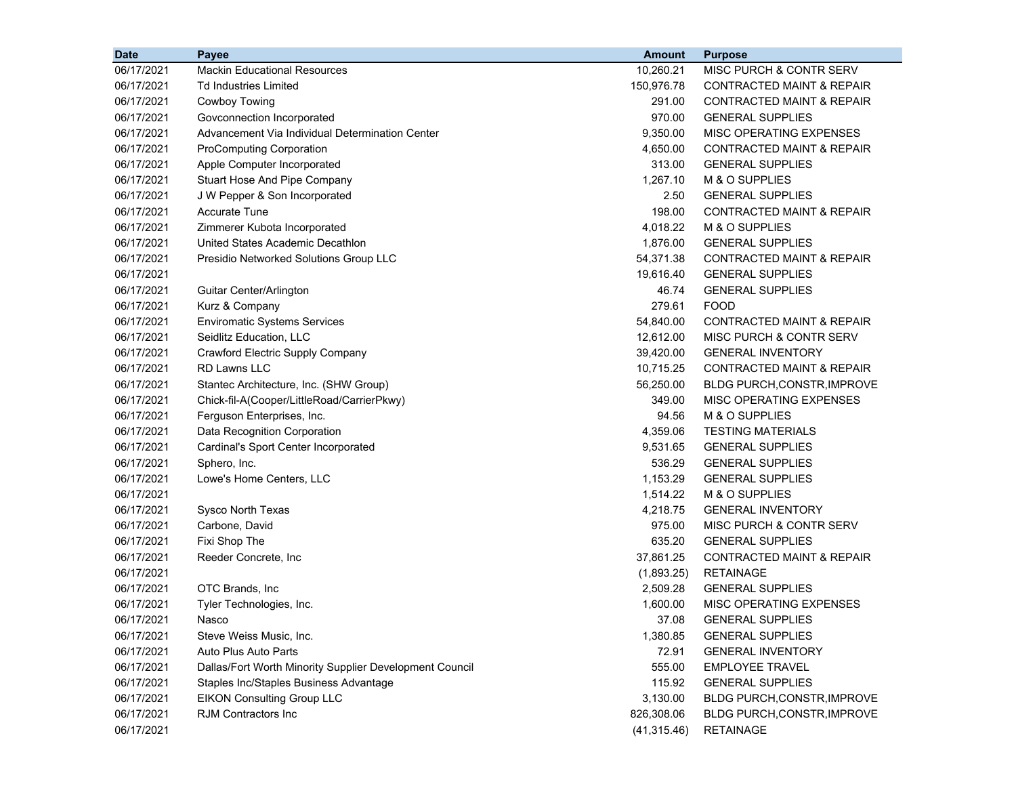| 06/17/2021<br><b>Mackin Educational Resources</b><br>10,260.21<br>MISC PURCH & CONTR SERV<br>06/17/2021<br>150,976.78<br><b>CONTRACTED MAINT &amp; REPAIR</b><br>Td Industries Limited<br>291.00<br>06/17/2021<br>Cowboy Towing<br><b>CONTRACTED MAINT &amp; REPAIR</b><br>970.00<br><b>GENERAL SUPPLIES</b><br>06/17/2021<br>Govconnection Incorporated<br>Advancement Via Individual Determination Center<br>9,350.00<br>MISC OPERATING EXPENSES<br>06/17/2021<br>4,650.00<br>06/17/2021<br><b>ProComputing Corporation</b><br><b>CONTRACTED MAINT &amp; REPAIR</b><br>06/17/2021<br>313.00<br><b>GENERAL SUPPLIES</b><br>Apple Computer Incorporated<br>06/17/2021<br>Stuart Hose And Pipe Company<br>1,267.10<br>M & O SUPPLIES<br>06/17/2021<br>2.50<br>J W Pepper & Son Incorporated<br><b>GENERAL SUPPLIES</b><br><b>Accurate Tune</b><br>198.00<br><b>CONTRACTED MAINT &amp; REPAIR</b><br>06/17/2021<br>06/17/2021<br>Zimmerer Kubota Incorporated<br>4,018.22<br>M & O SUPPLIES<br>United States Academic Decathlon<br>06/17/2021<br>1,876.00<br><b>GENERAL SUPPLIES</b><br>Presidio Networked Solutions Group LLC<br>54,371.38<br><b>CONTRACTED MAINT &amp; REPAIR</b><br>06/17/2021<br>06/17/2021<br>19,616.40<br><b>GENERAL SUPPLIES</b><br>06/17/2021<br>46.74<br><b>GENERAL SUPPLIES</b><br>Guitar Center/Arlington<br>Kurz & Company<br>279.61<br><b>FOOD</b><br>06/17/2021<br><b>Enviromatic Systems Services</b><br><b>CONTRACTED MAINT &amp; REPAIR</b><br>06/17/2021<br>54,840.00<br>06/17/2021<br>12,612.00<br>Seidlitz Education, LLC<br>MISC PURCH & CONTR SERV<br>06/17/2021<br>Crawford Electric Supply Company<br>39,420.00<br><b>GENERAL INVENTORY</b><br>06/17/2021<br><b>RD Lawns LLC</b><br>10,715.25<br>CONTRACTED MAINT & REPAIR<br>06/17/2021<br>56,250.00<br>Stantec Architecture, Inc. (SHW Group)<br><b>BLDG PURCH, CONSTR, IMPROVE</b><br>Chick-fil-A(Cooper/LittleRoad/CarrierPkwy)<br>349.00<br>MISC OPERATING EXPENSES<br>06/17/2021<br>M & O SUPPLIES<br>06/17/2021<br>Ferguson Enterprises, Inc.<br>94.56<br>4,359.06<br><b>TESTING MATERIALS</b><br>06/17/2021<br>Data Recognition Corporation<br>9,531.65<br><b>GENERAL SUPPLIES</b><br>06/17/2021<br>Cardinal's Sport Center Incorporated<br>536.29<br><b>GENERAL SUPPLIES</b><br>06/17/2021<br>Sphero, Inc.<br>1,153.29<br>06/17/2021<br>Lowe's Home Centers, LLC<br><b>GENERAL SUPPLIES</b><br>1,514.22<br>M & O SUPPLIES<br>06/17/2021<br>4,218.75<br><b>GENERAL INVENTORY</b><br>06/17/2021<br>Sysco North Texas<br>Carbone, David<br>975.00<br>MISC PURCH & CONTR SERV<br>06/17/2021<br>Fixi Shop The<br>635.20<br><b>GENERAL SUPPLIES</b><br>06/17/2021<br>06/17/2021<br>37,861.25<br><b>CONTRACTED MAINT &amp; REPAIR</b><br>Reeder Concrete, Inc<br>06/17/2021<br><b>RETAINAGE</b><br>(1,893.25)<br>06/17/2021<br>OTC Brands, Inc<br>2,509.28<br><b>GENERAL SUPPLIES</b><br>06/17/2021<br>1,600.00<br>MISC OPERATING EXPENSES<br>Tyler Technologies, Inc.<br>06/17/2021<br>37.08<br><b>GENERAL SUPPLIES</b><br>Nasco<br><b>GENERAL SUPPLIES</b><br>06/17/2021<br>Steve Weiss Music, Inc.<br>1,380.85<br>06/17/2021<br>Auto Plus Auto Parts<br>72.91<br><b>GENERAL INVENTORY</b><br>06/17/2021<br>Dallas/Fort Worth Minority Supplier Development Council<br>555.00<br><b>EMPLOYEE TRAVEL</b><br>06/17/2021<br>115.92<br><b>GENERAL SUPPLIES</b><br>Staples Inc/Staples Business Advantage<br>06/17/2021<br><b>EIKON Consulting Group LLC</b><br>3,130.00<br>BLDG PURCH, CONSTR, IMPROVE | <b>Date</b> | Payee | <b>Amount</b> | <b>Purpose</b> |
|----------------------------------------------------------------------------------------------------------------------------------------------------------------------------------------------------------------------------------------------------------------------------------------------------------------------------------------------------------------------------------------------------------------------------------------------------------------------------------------------------------------------------------------------------------------------------------------------------------------------------------------------------------------------------------------------------------------------------------------------------------------------------------------------------------------------------------------------------------------------------------------------------------------------------------------------------------------------------------------------------------------------------------------------------------------------------------------------------------------------------------------------------------------------------------------------------------------------------------------------------------------------------------------------------------------------------------------------------------------------------------------------------------------------------------------------------------------------------------------------------------------------------------------------------------------------------------------------------------------------------------------------------------------------------------------------------------------------------------------------------------------------------------------------------------------------------------------------------------------------------------------------------------------------------------------------------------------------------------------------------------------------------------------------------------------------------------------------------------------------------------------------------------------------------------------------------------------------------------------------------------------------------------------------------------------------------------------------------------------------------------------------------------------------------------------------------------------------------------------------------------------------------------------------------------------------------------------------------------------------------------------------------------------------------------------------------------------------------------------------------------------------------------------------------------------------------------------------------------------------------------------------------------------------------------------------------------------------------------------------------------------------------------------------------------------------------------------------------------------------------------------------------------------------------------------------------------------------------------------------------------------------------------------------------------------------------------------------------------------------------------------------------------------------------------------------------------------------------------------------|-------------|-------|---------------|----------------|
|                                                                                                                                                                                                                                                                                                                                                                                                                                                                                                                                                                                                                                                                                                                                                                                                                                                                                                                                                                                                                                                                                                                                                                                                                                                                                                                                                                                                                                                                                                                                                                                                                                                                                                                                                                                                                                                                                                                                                                                                                                                                                                                                                                                                                                                                                                                                                                                                                                                                                                                                                                                                                                                                                                                                                                                                                                                                                                                                                                                                                                                                                                                                                                                                                                                                                                                                                                                                                                                                                              |             |       |               |                |
|                                                                                                                                                                                                                                                                                                                                                                                                                                                                                                                                                                                                                                                                                                                                                                                                                                                                                                                                                                                                                                                                                                                                                                                                                                                                                                                                                                                                                                                                                                                                                                                                                                                                                                                                                                                                                                                                                                                                                                                                                                                                                                                                                                                                                                                                                                                                                                                                                                                                                                                                                                                                                                                                                                                                                                                                                                                                                                                                                                                                                                                                                                                                                                                                                                                                                                                                                                                                                                                                                              |             |       |               |                |
|                                                                                                                                                                                                                                                                                                                                                                                                                                                                                                                                                                                                                                                                                                                                                                                                                                                                                                                                                                                                                                                                                                                                                                                                                                                                                                                                                                                                                                                                                                                                                                                                                                                                                                                                                                                                                                                                                                                                                                                                                                                                                                                                                                                                                                                                                                                                                                                                                                                                                                                                                                                                                                                                                                                                                                                                                                                                                                                                                                                                                                                                                                                                                                                                                                                                                                                                                                                                                                                                                              |             |       |               |                |
|                                                                                                                                                                                                                                                                                                                                                                                                                                                                                                                                                                                                                                                                                                                                                                                                                                                                                                                                                                                                                                                                                                                                                                                                                                                                                                                                                                                                                                                                                                                                                                                                                                                                                                                                                                                                                                                                                                                                                                                                                                                                                                                                                                                                                                                                                                                                                                                                                                                                                                                                                                                                                                                                                                                                                                                                                                                                                                                                                                                                                                                                                                                                                                                                                                                                                                                                                                                                                                                                                              |             |       |               |                |
|                                                                                                                                                                                                                                                                                                                                                                                                                                                                                                                                                                                                                                                                                                                                                                                                                                                                                                                                                                                                                                                                                                                                                                                                                                                                                                                                                                                                                                                                                                                                                                                                                                                                                                                                                                                                                                                                                                                                                                                                                                                                                                                                                                                                                                                                                                                                                                                                                                                                                                                                                                                                                                                                                                                                                                                                                                                                                                                                                                                                                                                                                                                                                                                                                                                                                                                                                                                                                                                                                              |             |       |               |                |
|                                                                                                                                                                                                                                                                                                                                                                                                                                                                                                                                                                                                                                                                                                                                                                                                                                                                                                                                                                                                                                                                                                                                                                                                                                                                                                                                                                                                                                                                                                                                                                                                                                                                                                                                                                                                                                                                                                                                                                                                                                                                                                                                                                                                                                                                                                                                                                                                                                                                                                                                                                                                                                                                                                                                                                                                                                                                                                                                                                                                                                                                                                                                                                                                                                                                                                                                                                                                                                                                                              |             |       |               |                |
|                                                                                                                                                                                                                                                                                                                                                                                                                                                                                                                                                                                                                                                                                                                                                                                                                                                                                                                                                                                                                                                                                                                                                                                                                                                                                                                                                                                                                                                                                                                                                                                                                                                                                                                                                                                                                                                                                                                                                                                                                                                                                                                                                                                                                                                                                                                                                                                                                                                                                                                                                                                                                                                                                                                                                                                                                                                                                                                                                                                                                                                                                                                                                                                                                                                                                                                                                                                                                                                                                              |             |       |               |                |
|                                                                                                                                                                                                                                                                                                                                                                                                                                                                                                                                                                                                                                                                                                                                                                                                                                                                                                                                                                                                                                                                                                                                                                                                                                                                                                                                                                                                                                                                                                                                                                                                                                                                                                                                                                                                                                                                                                                                                                                                                                                                                                                                                                                                                                                                                                                                                                                                                                                                                                                                                                                                                                                                                                                                                                                                                                                                                                                                                                                                                                                                                                                                                                                                                                                                                                                                                                                                                                                                                              |             |       |               |                |
|                                                                                                                                                                                                                                                                                                                                                                                                                                                                                                                                                                                                                                                                                                                                                                                                                                                                                                                                                                                                                                                                                                                                                                                                                                                                                                                                                                                                                                                                                                                                                                                                                                                                                                                                                                                                                                                                                                                                                                                                                                                                                                                                                                                                                                                                                                                                                                                                                                                                                                                                                                                                                                                                                                                                                                                                                                                                                                                                                                                                                                                                                                                                                                                                                                                                                                                                                                                                                                                                                              |             |       |               |                |
|                                                                                                                                                                                                                                                                                                                                                                                                                                                                                                                                                                                                                                                                                                                                                                                                                                                                                                                                                                                                                                                                                                                                                                                                                                                                                                                                                                                                                                                                                                                                                                                                                                                                                                                                                                                                                                                                                                                                                                                                                                                                                                                                                                                                                                                                                                                                                                                                                                                                                                                                                                                                                                                                                                                                                                                                                                                                                                                                                                                                                                                                                                                                                                                                                                                                                                                                                                                                                                                                                              |             |       |               |                |
|                                                                                                                                                                                                                                                                                                                                                                                                                                                                                                                                                                                                                                                                                                                                                                                                                                                                                                                                                                                                                                                                                                                                                                                                                                                                                                                                                                                                                                                                                                                                                                                                                                                                                                                                                                                                                                                                                                                                                                                                                                                                                                                                                                                                                                                                                                                                                                                                                                                                                                                                                                                                                                                                                                                                                                                                                                                                                                                                                                                                                                                                                                                                                                                                                                                                                                                                                                                                                                                                                              |             |       |               |                |
|                                                                                                                                                                                                                                                                                                                                                                                                                                                                                                                                                                                                                                                                                                                                                                                                                                                                                                                                                                                                                                                                                                                                                                                                                                                                                                                                                                                                                                                                                                                                                                                                                                                                                                                                                                                                                                                                                                                                                                                                                                                                                                                                                                                                                                                                                                                                                                                                                                                                                                                                                                                                                                                                                                                                                                                                                                                                                                                                                                                                                                                                                                                                                                                                                                                                                                                                                                                                                                                                                              |             |       |               |                |
|                                                                                                                                                                                                                                                                                                                                                                                                                                                                                                                                                                                                                                                                                                                                                                                                                                                                                                                                                                                                                                                                                                                                                                                                                                                                                                                                                                                                                                                                                                                                                                                                                                                                                                                                                                                                                                                                                                                                                                                                                                                                                                                                                                                                                                                                                                                                                                                                                                                                                                                                                                                                                                                                                                                                                                                                                                                                                                                                                                                                                                                                                                                                                                                                                                                                                                                                                                                                                                                                                              |             |       |               |                |
|                                                                                                                                                                                                                                                                                                                                                                                                                                                                                                                                                                                                                                                                                                                                                                                                                                                                                                                                                                                                                                                                                                                                                                                                                                                                                                                                                                                                                                                                                                                                                                                                                                                                                                                                                                                                                                                                                                                                                                                                                                                                                                                                                                                                                                                                                                                                                                                                                                                                                                                                                                                                                                                                                                                                                                                                                                                                                                                                                                                                                                                                                                                                                                                                                                                                                                                                                                                                                                                                                              |             |       |               |                |
|                                                                                                                                                                                                                                                                                                                                                                                                                                                                                                                                                                                                                                                                                                                                                                                                                                                                                                                                                                                                                                                                                                                                                                                                                                                                                                                                                                                                                                                                                                                                                                                                                                                                                                                                                                                                                                                                                                                                                                                                                                                                                                                                                                                                                                                                                                                                                                                                                                                                                                                                                                                                                                                                                                                                                                                                                                                                                                                                                                                                                                                                                                                                                                                                                                                                                                                                                                                                                                                                                              |             |       |               |                |
|                                                                                                                                                                                                                                                                                                                                                                                                                                                                                                                                                                                                                                                                                                                                                                                                                                                                                                                                                                                                                                                                                                                                                                                                                                                                                                                                                                                                                                                                                                                                                                                                                                                                                                                                                                                                                                                                                                                                                                                                                                                                                                                                                                                                                                                                                                                                                                                                                                                                                                                                                                                                                                                                                                                                                                                                                                                                                                                                                                                                                                                                                                                                                                                                                                                                                                                                                                                                                                                                                              |             |       |               |                |
|                                                                                                                                                                                                                                                                                                                                                                                                                                                                                                                                                                                                                                                                                                                                                                                                                                                                                                                                                                                                                                                                                                                                                                                                                                                                                                                                                                                                                                                                                                                                                                                                                                                                                                                                                                                                                                                                                                                                                                                                                                                                                                                                                                                                                                                                                                                                                                                                                                                                                                                                                                                                                                                                                                                                                                                                                                                                                                                                                                                                                                                                                                                                                                                                                                                                                                                                                                                                                                                                                              |             |       |               |                |
|                                                                                                                                                                                                                                                                                                                                                                                                                                                                                                                                                                                                                                                                                                                                                                                                                                                                                                                                                                                                                                                                                                                                                                                                                                                                                                                                                                                                                                                                                                                                                                                                                                                                                                                                                                                                                                                                                                                                                                                                                                                                                                                                                                                                                                                                                                                                                                                                                                                                                                                                                                                                                                                                                                                                                                                                                                                                                                                                                                                                                                                                                                                                                                                                                                                                                                                                                                                                                                                                                              |             |       |               |                |
|                                                                                                                                                                                                                                                                                                                                                                                                                                                                                                                                                                                                                                                                                                                                                                                                                                                                                                                                                                                                                                                                                                                                                                                                                                                                                                                                                                                                                                                                                                                                                                                                                                                                                                                                                                                                                                                                                                                                                                                                                                                                                                                                                                                                                                                                                                                                                                                                                                                                                                                                                                                                                                                                                                                                                                                                                                                                                                                                                                                                                                                                                                                                                                                                                                                                                                                                                                                                                                                                                              |             |       |               |                |
|                                                                                                                                                                                                                                                                                                                                                                                                                                                                                                                                                                                                                                                                                                                                                                                                                                                                                                                                                                                                                                                                                                                                                                                                                                                                                                                                                                                                                                                                                                                                                                                                                                                                                                                                                                                                                                                                                                                                                                                                                                                                                                                                                                                                                                                                                                                                                                                                                                                                                                                                                                                                                                                                                                                                                                                                                                                                                                                                                                                                                                                                                                                                                                                                                                                                                                                                                                                                                                                                                              |             |       |               |                |
|                                                                                                                                                                                                                                                                                                                                                                                                                                                                                                                                                                                                                                                                                                                                                                                                                                                                                                                                                                                                                                                                                                                                                                                                                                                                                                                                                                                                                                                                                                                                                                                                                                                                                                                                                                                                                                                                                                                                                                                                                                                                                                                                                                                                                                                                                                                                                                                                                                                                                                                                                                                                                                                                                                                                                                                                                                                                                                                                                                                                                                                                                                                                                                                                                                                                                                                                                                                                                                                                                              |             |       |               |                |
|                                                                                                                                                                                                                                                                                                                                                                                                                                                                                                                                                                                                                                                                                                                                                                                                                                                                                                                                                                                                                                                                                                                                                                                                                                                                                                                                                                                                                                                                                                                                                                                                                                                                                                                                                                                                                                                                                                                                                                                                                                                                                                                                                                                                                                                                                                                                                                                                                                                                                                                                                                                                                                                                                                                                                                                                                                                                                                                                                                                                                                                                                                                                                                                                                                                                                                                                                                                                                                                                                              |             |       |               |                |
|                                                                                                                                                                                                                                                                                                                                                                                                                                                                                                                                                                                                                                                                                                                                                                                                                                                                                                                                                                                                                                                                                                                                                                                                                                                                                                                                                                                                                                                                                                                                                                                                                                                                                                                                                                                                                                                                                                                                                                                                                                                                                                                                                                                                                                                                                                                                                                                                                                                                                                                                                                                                                                                                                                                                                                                                                                                                                                                                                                                                                                                                                                                                                                                                                                                                                                                                                                                                                                                                                              |             |       |               |                |
|                                                                                                                                                                                                                                                                                                                                                                                                                                                                                                                                                                                                                                                                                                                                                                                                                                                                                                                                                                                                                                                                                                                                                                                                                                                                                                                                                                                                                                                                                                                                                                                                                                                                                                                                                                                                                                                                                                                                                                                                                                                                                                                                                                                                                                                                                                                                                                                                                                                                                                                                                                                                                                                                                                                                                                                                                                                                                                                                                                                                                                                                                                                                                                                                                                                                                                                                                                                                                                                                                              |             |       |               |                |
|                                                                                                                                                                                                                                                                                                                                                                                                                                                                                                                                                                                                                                                                                                                                                                                                                                                                                                                                                                                                                                                                                                                                                                                                                                                                                                                                                                                                                                                                                                                                                                                                                                                                                                                                                                                                                                                                                                                                                                                                                                                                                                                                                                                                                                                                                                                                                                                                                                                                                                                                                                                                                                                                                                                                                                                                                                                                                                                                                                                                                                                                                                                                                                                                                                                                                                                                                                                                                                                                                              |             |       |               |                |
|                                                                                                                                                                                                                                                                                                                                                                                                                                                                                                                                                                                                                                                                                                                                                                                                                                                                                                                                                                                                                                                                                                                                                                                                                                                                                                                                                                                                                                                                                                                                                                                                                                                                                                                                                                                                                                                                                                                                                                                                                                                                                                                                                                                                                                                                                                                                                                                                                                                                                                                                                                                                                                                                                                                                                                                                                                                                                                                                                                                                                                                                                                                                                                                                                                                                                                                                                                                                                                                                                              |             |       |               |                |
|                                                                                                                                                                                                                                                                                                                                                                                                                                                                                                                                                                                                                                                                                                                                                                                                                                                                                                                                                                                                                                                                                                                                                                                                                                                                                                                                                                                                                                                                                                                                                                                                                                                                                                                                                                                                                                                                                                                                                                                                                                                                                                                                                                                                                                                                                                                                                                                                                                                                                                                                                                                                                                                                                                                                                                                                                                                                                                                                                                                                                                                                                                                                                                                                                                                                                                                                                                                                                                                                                              |             |       |               |                |
|                                                                                                                                                                                                                                                                                                                                                                                                                                                                                                                                                                                                                                                                                                                                                                                                                                                                                                                                                                                                                                                                                                                                                                                                                                                                                                                                                                                                                                                                                                                                                                                                                                                                                                                                                                                                                                                                                                                                                                                                                                                                                                                                                                                                                                                                                                                                                                                                                                                                                                                                                                                                                                                                                                                                                                                                                                                                                                                                                                                                                                                                                                                                                                                                                                                                                                                                                                                                                                                                                              |             |       |               |                |
|                                                                                                                                                                                                                                                                                                                                                                                                                                                                                                                                                                                                                                                                                                                                                                                                                                                                                                                                                                                                                                                                                                                                                                                                                                                                                                                                                                                                                                                                                                                                                                                                                                                                                                                                                                                                                                                                                                                                                                                                                                                                                                                                                                                                                                                                                                                                                                                                                                                                                                                                                                                                                                                                                                                                                                                                                                                                                                                                                                                                                                                                                                                                                                                                                                                                                                                                                                                                                                                                                              |             |       |               |                |
|                                                                                                                                                                                                                                                                                                                                                                                                                                                                                                                                                                                                                                                                                                                                                                                                                                                                                                                                                                                                                                                                                                                                                                                                                                                                                                                                                                                                                                                                                                                                                                                                                                                                                                                                                                                                                                                                                                                                                                                                                                                                                                                                                                                                                                                                                                                                                                                                                                                                                                                                                                                                                                                                                                                                                                                                                                                                                                                                                                                                                                                                                                                                                                                                                                                                                                                                                                                                                                                                                              |             |       |               |                |
|                                                                                                                                                                                                                                                                                                                                                                                                                                                                                                                                                                                                                                                                                                                                                                                                                                                                                                                                                                                                                                                                                                                                                                                                                                                                                                                                                                                                                                                                                                                                                                                                                                                                                                                                                                                                                                                                                                                                                                                                                                                                                                                                                                                                                                                                                                                                                                                                                                                                                                                                                                                                                                                                                                                                                                                                                                                                                                                                                                                                                                                                                                                                                                                                                                                                                                                                                                                                                                                                                              |             |       |               |                |
|                                                                                                                                                                                                                                                                                                                                                                                                                                                                                                                                                                                                                                                                                                                                                                                                                                                                                                                                                                                                                                                                                                                                                                                                                                                                                                                                                                                                                                                                                                                                                                                                                                                                                                                                                                                                                                                                                                                                                                                                                                                                                                                                                                                                                                                                                                                                                                                                                                                                                                                                                                                                                                                                                                                                                                                                                                                                                                                                                                                                                                                                                                                                                                                                                                                                                                                                                                                                                                                                                              |             |       |               |                |
|                                                                                                                                                                                                                                                                                                                                                                                                                                                                                                                                                                                                                                                                                                                                                                                                                                                                                                                                                                                                                                                                                                                                                                                                                                                                                                                                                                                                                                                                                                                                                                                                                                                                                                                                                                                                                                                                                                                                                                                                                                                                                                                                                                                                                                                                                                                                                                                                                                                                                                                                                                                                                                                                                                                                                                                                                                                                                                                                                                                                                                                                                                                                                                                                                                                                                                                                                                                                                                                                                              |             |       |               |                |
|                                                                                                                                                                                                                                                                                                                                                                                                                                                                                                                                                                                                                                                                                                                                                                                                                                                                                                                                                                                                                                                                                                                                                                                                                                                                                                                                                                                                                                                                                                                                                                                                                                                                                                                                                                                                                                                                                                                                                                                                                                                                                                                                                                                                                                                                                                                                                                                                                                                                                                                                                                                                                                                                                                                                                                                                                                                                                                                                                                                                                                                                                                                                                                                                                                                                                                                                                                                                                                                                                              |             |       |               |                |
|                                                                                                                                                                                                                                                                                                                                                                                                                                                                                                                                                                                                                                                                                                                                                                                                                                                                                                                                                                                                                                                                                                                                                                                                                                                                                                                                                                                                                                                                                                                                                                                                                                                                                                                                                                                                                                                                                                                                                                                                                                                                                                                                                                                                                                                                                                                                                                                                                                                                                                                                                                                                                                                                                                                                                                                                                                                                                                                                                                                                                                                                                                                                                                                                                                                                                                                                                                                                                                                                                              |             |       |               |                |
|                                                                                                                                                                                                                                                                                                                                                                                                                                                                                                                                                                                                                                                                                                                                                                                                                                                                                                                                                                                                                                                                                                                                                                                                                                                                                                                                                                                                                                                                                                                                                                                                                                                                                                                                                                                                                                                                                                                                                                                                                                                                                                                                                                                                                                                                                                                                                                                                                                                                                                                                                                                                                                                                                                                                                                                                                                                                                                                                                                                                                                                                                                                                                                                                                                                                                                                                                                                                                                                                                              |             |       |               |                |
|                                                                                                                                                                                                                                                                                                                                                                                                                                                                                                                                                                                                                                                                                                                                                                                                                                                                                                                                                                                                                                                                                                                                                                                                                                                                                                                                                                                                                                                                                                                                                                                                                                                                                                                                                                                                                                                                                                                                                                                                                                                                                                                                                                                                                                                                                                                                                                                                                                                                                                                                                                                                                                                                                                                                                                                                                                                                                                                                                                                                                                                                                                                                                                                                                                                                                                                                                                                                                                                                                              |             |       |               |                |
|                                                                                                                                                                                                                                                                                                                                                                                                                                                                                                                                                                                                                                                                                                                                                                                                                                                                                                                                                                                                                                                                                                                                                                                                                                                                                                                                                                                                                                                                                                                                                                                                                                                                                                                                                                                                                                                                                                                                                                                                                                                                                                                                                                                                                                                                                                                                                                                                                                                                                                                                                                                                                                                                                                                                                                                                                                                                                                                                                                                                                                                                                                                                                                                                                                                                                                                                                                                                                                                                                              |             |       |               |                |
|                                                                                                                                                                                                                                                                                                                                                                                                                                                                                                                                                                                                                                                                                                                                                                                                                                                                                                                                                                                                                                                                                                                                                                                                                                                                                                                                                                                                                                                                                                                                                                                                                                                                                                                                                                                                                                                                                                                                                                                                                                                                                                                                                                                                                                                                                                                                                                                                                                                                                                                                                                                                                                                                                                                                                                                                                                                                                                                                                                                                                                                                                                                                                                                                                                                                                                                                                                                                                                                                                              |             |       |               |                |
|                                                                                                                                                                                                                                                                                                                                                                                                                                                                                                                                                                                                                                                                                                                                                                                                                                                                                                                                                                                                                                                                                                                                                                                                                                                                                                                                                                                                                                                                                                                                                                                                                                                                                                                                                                                                                                                                                                                                                                                                                                                                                                                                                                                                                                                                                                                                                                                                                                                                                                                                                                                                                                                                                                                                                                                                                                                                                                                                                                                                                                                                                                                                                                                                                                                                                                                                                                                                                                                                                              |             |       |               |                |
|                                                                                                                                                                                                                                                                                                                                                                                                                                                                                                                                                                                                                                                                                                                                                                                                                                                                                                                                                                                                                                                                                                                                                                                                                                                                                                                                                                                                                                                                                                                                                                                                                                                                                                                                                                                                                                                                                                                                                                                                                                                                                                                                                                                                                                                                                                                                                                                                                                                                                                                                                                                                                                                                                                                                                                                                                                                                                                                                                                                                                                                                                                                                                                                                                                                                                                                                                                                                                                                                                              |             |       |               |                |
| 06/17/2021<br><b>RJM Contractors Inc</b><br>826,308.06<br>BLDG PURCH, CONSTR, IMPROVE                                                                                                                                                                                                                                                                                                                                                                                                                                                                                                                                                                                                                                                                                                                                                                                                                                                                                                                                                                                                                                                                                                                                                                                                                                                                                                                                                                                                                                                                                                                                                                                                                                                                                                                                                                                                                                                                                                                                                                                                                                                                                                                                                                                                                                                                                                                                                                                                                                                                                                                                                                                                                                                                                                                                                                                                                                                                                                                                                                                                                                                                                                                                                                                                                                                                                                                                                                                                        |             |       |               |                |
| 06/17/2021<br><b>RETAINAGE</b><br>(41, 315.46)                                                                                                                                                                                                                                                                                                                                                                                                                                                                                                                                                                                                                                                                                                                                                                                                                                                                                                                                                                                                                                                                                                                                                                                                                                                                                                                                                                                                                                                                                                                                                                                                                                                                                                                                                                                                                                                                                                                                                                                                                                                                                                                                                                                                                                                                                                                                                                                                                                                                                                                                                                                                                                                                                                                                                                                                                                                                                                                                                                                                                                                                                                                                                                                                                                                                                                                                                                                                                                               |             |       |               |                |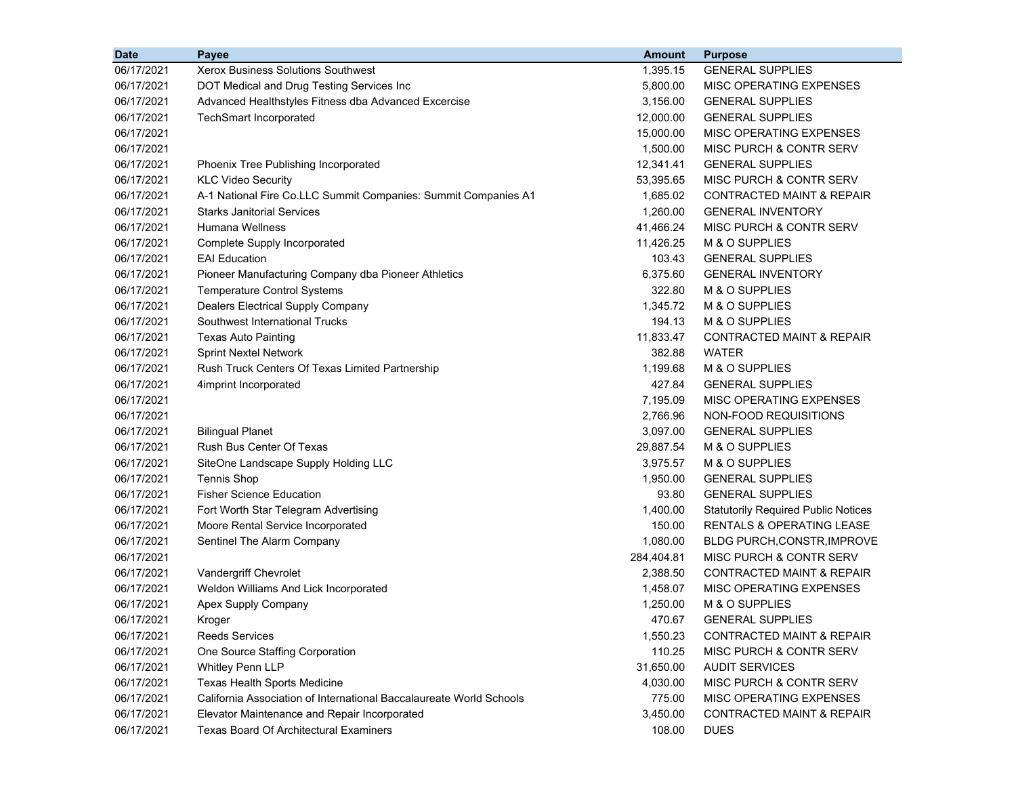| <b>Date</b> | <b>Payee</b>                                                        | <b>Amount</b> | <b>Purpose</b>                             |
|-------------|---------------------------------------------------------------------|---------------|--------------------------------------------|
| 06/17/2021  | <b>Xerox Business Solutions Southwest</b>                           | 1,395.15      | <b>GENERAL SUPPLIES</b>                    |
| 06/17/2021  | DOT Medical and Drug Testing Services Inc                           | 5,800.00      | MISC OPERATING EXPENSES                    |
| 06/17/2021  | Advanced Healthstyles Fitness dba Advanced Excercise                | 3,156.00      | <b>GENERAL SUPPLIES</b>                    |
| 06/17/2021  | <b>TechSmart Incorporated</b>                                       | 12,000.00     | <b>GENERAL SUPPLIES</b>                    |
| 06/17/2021  |                                                                     | 15,000.00     | <b>MISC OPERATING EXPENSES</b>             |
| 06/17/2021  |                                                                     | 1,500.00      | MISC PURCH & CONTR SERV                    |
| 06/17/2021  | Phoenix Tree Publishing Incorporated                                | 12,341.41     | <b>GENERAL SUPPLIES</b>                    |
| 06/17/2021  | <b>KLC Video Security</b>                                           | 53,395.65     | MISC PURCH & CONTR SERV                    |
| 06/17/2021  | A-1 National Fire Co.LLC Summit Companies: Summit Companies A1      | 1,685.02      | <b>CONTRACTED MAINT &amp; REPAIR</b>       |
| 06/17/2021  | <b>Starks Janitorial Services</b>                                   | 1,260.00      | <b>GENERAL INVENTORY</b>                   |
| 06/17/2021  | Humana Wellness                                                     | 41,466.24     | <b>MISC PURCH &amp; CONTR SERV</b>         |
| 06/17/2021  | Complete Supply Incorporated                                        | 11,426.25     | M & O SUPPLIES                             |
| 06/17/2021  | <b>EAI Education</b>                                                | 103.43        | <b>GENERAL SUPPLIES</b>                    |
| 06/17/2021  | Pioneer Manufacturing Company dba Pioneer Athletics                 | 6,375.60      | <b>GENERAL INVENTORY</b>                   |
| 06/17/2021  | <b>Temperature Control Systems</b>                                  | 322.80        | M & O SUPPLIES                             |
| 06/17/2021  | <b>Dealers Electrical Supply Company</b>                            | 1,345.72      | M & O SUPPLIES                             |
| 06/17/2021  | Southwest International Trucks                                      | 194.13        | M & O SUPPLIES                             |
| 06/17/2021  | <b>Texas Auto Painting</b>                                          | 11,833.47     | <b>CONTRACTED MAINT &amp; REPAIR</b>       |
| 06/17/2021  | <b>Sprint Nextel Network</b>                                        | 382.88        | <b>WATER</b>                               |
| 06/17/2021  | Rush Truck Centers Of Texas Limited Partnership                     | 1,199.68      | M & O SUPPLIES                             |
| 06/17/2021  | 4imprint Incorporated                                               | 427.84        | <b>GENERAL SUPPLIES</b>                    |
| 06/17/2021  |                                                                     | 7,195.09      | MISC OPERATING EXPENSES                    |
| 06/17/2021  |                                                                     | 2,766.96      | NON-FOOD REQUISITIONS                      |
| 06/17/2021  | <b>Bilingual Planet</b>                                             | 3,097.00      | <b>GENERAL SUPPLIES</b>                    |
| 06/17/2021  | <b>Rush Bus Center Of Texas</b>                                     | 29,887.54     | M & O SUPPLIES                             |
| 06/17/2021  | SiteOne Landscape Supply Holding LLC                                | 3,975.57      | M & O SUPPLIES                             |
| 06/17/2021  | <b>Tennis Shop</b>                                                  | 1,950.00      | <b>GENERAL SUPPLIES</b>                    |
| 06/17/2021  | <b>Fisher Science Education</b>                                     | 93.80         | <b>GENERAL SUPPLIES</b>                    |
| 06/17/2021  | Fort Worth Star Telegram Advertising                                | 1,400.00      | <b>Statutorily Required Public Notices</b> |
| 06/17/2021  | Moore Rental Service Incorporated                                   | 150.00        | RENTALS & OPERATING LEASE                  |
| 06/17/2021  | Sentinel The Alarm Company                                          | 1,080.00      | BLDG PURCH, CONSTR, IMPROVE                |
| 06/17/2021  |                                                                     | 284,404.81    | MISC PURCH & CONTR SERV                    |
| 06/17/2021  | Vandergriff Chevrolet                                               | 2,388.50      | CONTRACTED MAINT & REPAIR                  |
| 06/17/2021  | Weldon Williams And Lick Incorporated                               | 1,458.07      | MISC OPERATING EXPENSES                    |
| 06/17/2021  | Apex Supply Company                                                 | 1,250.00      | M & O SUPPLIES                             |
| 06/17/2021  | Kroger                                                              | 470.67        | <b>GENERAL SUPPLIES</b>                    |
| 06/17/2021  | Reeds Services                                                      | 1,550.23      | <b>CONTRACTED MAINT &amp; REPAIR</b>       |
| 06/17/2021  | One Source Staffing Corporation                                     | 110.25        | MISC PURCH & CONTR SERV                    |
| 06/17/2021  | <b>Whitley Penn LLP</b>                                             | 31,650.00     | <b>AUDIT SERVICES</b>                      |
| 06/17/2021  | Texas Health Sports Medicine                                        | 4,030.00      | MISC PURCH & CONTR SERV                    |
| 06/17/2021  | California Association of International Baccalaureate World Schools | 775.00        | MISC OPERATING EXPENSES                    |
| 06/17/2021  | Elevator Maintenance and Repair Incorporated                        | 3,450.00      | <b>CONTRACTED MAINT &amp; REPAIR</b>       |
| 06/17/2021  | <b>Texas Board Of Architectural Examiners</b>                       | 108.00        | <b>DUES</b>                                |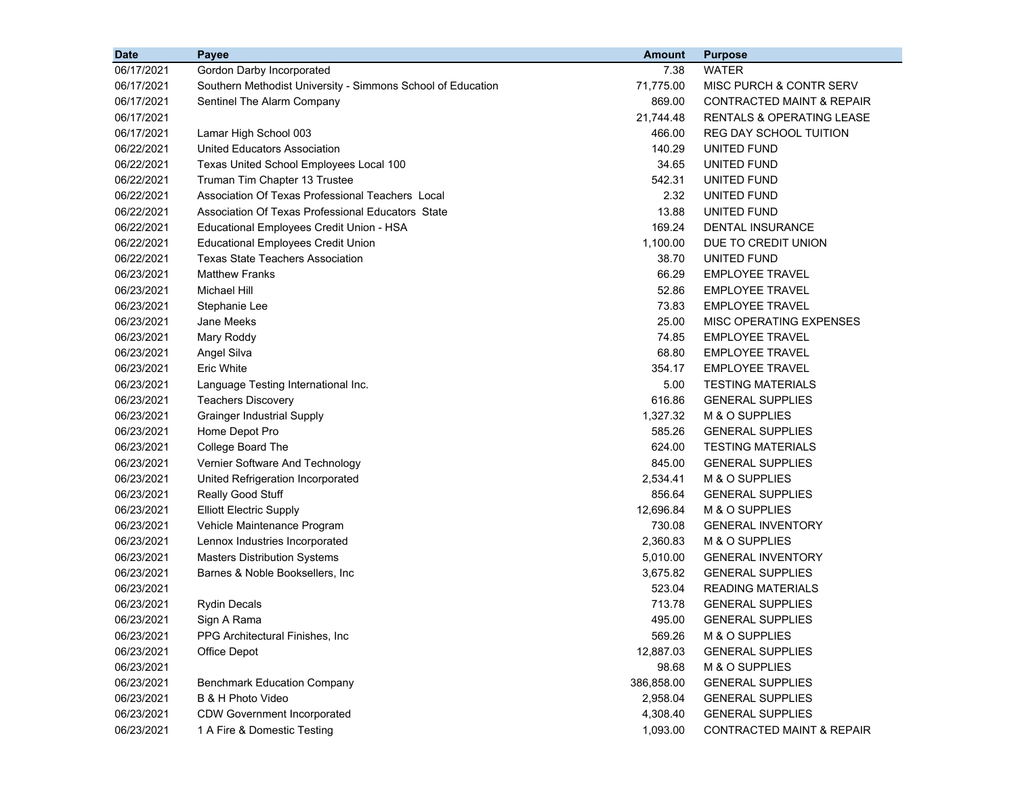| <b>Date</b> | Payee                                                       | <b>Amount</b> | <b>Purpose</b>                       |
|-------------|-------------------------------------------------------------|---------------|--------------------------------------|
| 06/17/2021  | Gordon Darby Incorporated                                   | 7.38          | <b>WATER</b>                         |
| 06/17/2021  | Southern Methodist University - Simmons School of Education | 71,775.00     | MISC PURCH & CONTR SERV              |
| 06/17/2021  | Sentinel The Alarm Company                                  | 869.00        | CONTRACTED MAINT & REPAIR            |
| 06/17/2021  |                                                             | 21,744.48     | <b>RENTALS &amp; OPERATING LEASE</b> |
| 06/17/2021  | Lamar High School 003                                       | 466.00        | <b>REG DAY SCHOOL TUITION</b>        |
| 06/22/2021  | United Educators Association                                | 140.29        | UNITED FUND                          |
| 06/22/2021  | Texas United School Employees Local 100                     | 34.65         | UNITED FUND                          |
| 06/22/2021  | Truman Tim Chapter 13 Trustee                               | 542.31        | UNITED FUND                          |
| 06/22/2021  | Association Of Texas Professional Teachers Local            | 2.32          | UNITED FUND                          |
| 06/22/2021  | Association Of Texas Professional Educators State           | 13.88         | UNITED FUND                          |
| 06/22/2021  | Educational Employees Credit Union - HSA                    | 169.24        | <b>DENTAL INSURANCE</b>              |
| 06/22/2021  | <b>Educational Employees Credit Union</b>                   | 1,100.00      | DUE TO CREDIT UNION                  |
| 06/22/2021  | <b>Texas State Teachers Association</b>                     | 38.70         | UNITED FUND                          |
| 06/23/2021  | <b>Matthew Franks</b>                                       | 66.29         | <b>EMPLOYEE TRAVEL</b>               |
| 06/23/2021  | Michael Hill                                                | 52.86         | <b>EMPLOYEE TRAVEL</b>               |
| 06/23/2021  | Stephanie Lee                                               | 73.83         | <b>EMPLOYEE TRAVEL</b>               |
| 06/23/2021  | Jane Meeks                                                  | 25.00         | MISC OPERATING EXPENSES              |
| 06/23/2021  | Mary Roddy                                                  | 74.85         | <b>EMPLOYEE TRAVEL</b>               |
| 06/23/2021  | Angel Silva                                                 | 68.80         | <b>EMPLOYEE TRAVEL</b>               |
| 06/23/2021  | <b>Eric White</b>                                           | 354.17        | <b>EMPLOYEE TRAVEL</b>               |
| 06/23/2021  | Language Testing International Inc.                         | 5.00          | <b>TESTING MATERIALS</b>             |
| 06/23/2021  | <b>Teachers Discovery</b>                                   | 616.86        | <b>GENERAL SUPPLIES</b>              |
| 06/23/2021  | <b>Grainger Industrial Supply</b>                           | 1,327.32      | M & O SUPPLIES                       |
| 06/23/2021  | Home Depot Pro                                              | 585.26        | <b>GENERAL SUPPLIES</b>              |
| 06/23/2021  | College Board The                                           | 624.00        | <b>TESTING MATERIALS</b>             |
| 06/23/2021  | Vernier Software And Technology                             | 845.00        | <b>GENERAL SUPPLIES</b>              |
| 06/23/2021  | United Refrigeration Incorporated                           | 2,534.41      | M & O SUPPLIES                       |
| 06/23/2021  | Really Good Stuff                                           | 856.64        | <b>GENERAL SUPPLIES</b>              |
| 06/23/2021  | <b>Elliott Electric Supply</b>                              | 12,696.84     | M & O SUPPLIES                       |
| 06/23/2021  | Vehicle Maintenance Program                                 | 730.08        | <b>GENERAL INVENTORY</b>             |
| 06/23/2021  | Lennox Industries Incorporated                              | 2,360.83      | M & O SUPPLIES                       |
| 06/23/2021  | <b>Masters Distribution Systems</b>                         | 5,010.00      | <b>GENERAL INVENTORY</b>             |
| 06/23/2021  | Barnes & Noble Booksellers, Inc.                            | 3,675.82      | <b>GENERAL SUPPLIES</b>              |
| 06/23/2021  |                                                             | 523.04        | <b>READING MATERIALS</b>             |
| 06/23/2021  | <b>Rydin Decals</b>                                         | 713.78        | <b>GENERAL SUPPLIES</b>              |
| 06/23/2021  | Sign A Rama                                                 | 495.00        | <b>GENERAL SUPPLIES</b>              |
| 06/23/2021  | PPG Architectural Finishes, Inc.                            | 569.26        | M & O SUPPLIES                       |
| 06/23/2021  | Office Depot                                                | 12,887.03     | <b>GENERAL SUPPLIES</b>              |
| 06/23/2021  |                                                             | 98.68         | M & O SUPPLIES                       |
| 06/23/2021  | <b>Benchmark Education Company</b>                          | 386,858.00    | <b>GENERAL SUPPLIES</b>              |
| 06/23/2021  | B & H Photo Video                                           | 2,958.04      | <b>GENERAL SUPPLIES</b>              |
| 06/23/2021  | <b>CDW Government Incorporated</b>                          | 4,308.40      | <b>GENERAL SUPPLIES</b>              |
| 06/23/2021  | 1 A Fire & Domestic Testing                                 | 1,093.00      | <b>CONTRACTED MAINT &amp; REPAIR</b> |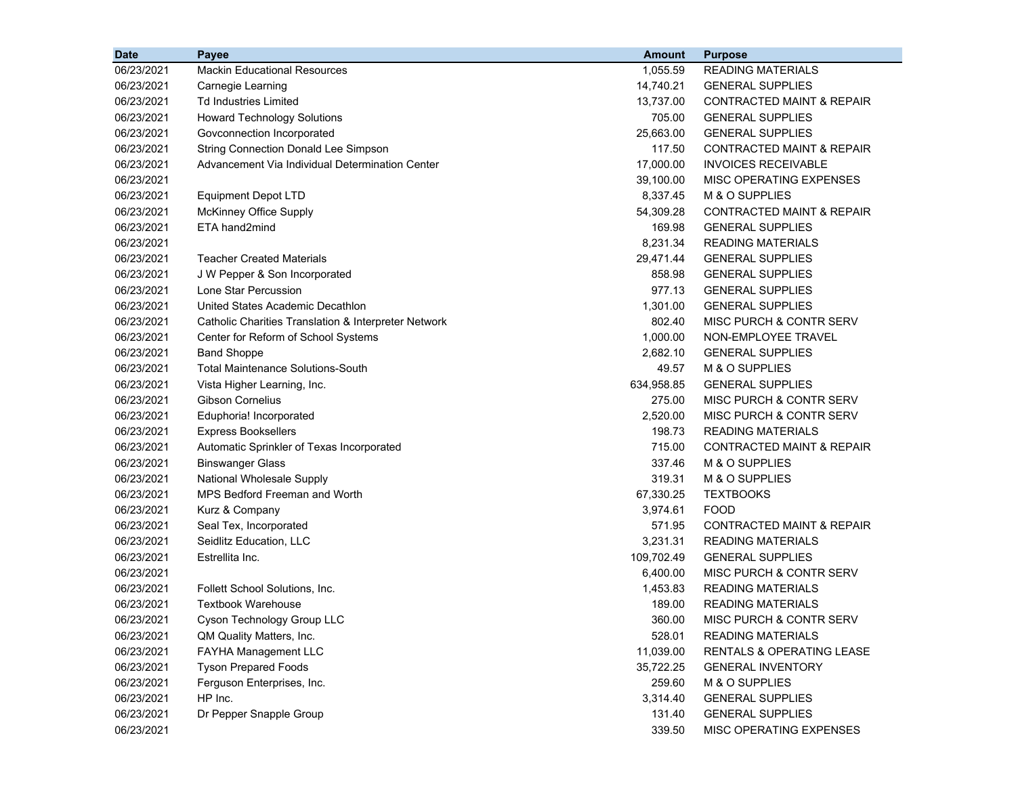| <b>Date</b> | Payee                                                | <b>Amount</b> | <b>Purpose</b>                       |
|-------------|------------------------------------------------------|---------------|--------------------------------------|
| 06/23/2021  | <b>Mackin Educational Resources</b>                  | 1,055.59      | <b>READING MATERIALS</b>             |
| 06/23/2021  | Carnegie Learning                                    | 14,740.21     | <b>GENERAL SUPPLIES</b>              |
| 06/23/2021  | <b>Td Industries Limited</b>                         | 13,737.00     | <b>CONTRACTED MAINT &amp; REPAIR</b> |
| 06/23/2021  | <b>Howard Technology Solutions</b>                   | 705.00        | <b>GENERAL SUPPLIES</b>              |
| 06/23/2021  | Govconnection Incorporated                           | 25,663.00     | <b>GENERAL SUPPLIES</b>              |
| 06/23/2021  | <b>String Connection Donald Lee Simpson</b>          | 117.50        | CONTRACTED MAINT & REPAIR            |
| 06/23/2021  | Advancement Via Individual Determination Center      | 17,000.00     | <b>INVOICES RECEIVABLE</b>           |
| 06/23/2021  |                                                      | 39,100.00     | MISC OPERATING EXPENSES              |
| 06/23/2021  | <b>Equipment Depot LTD</b>                           | 8,337.45      | M & O SUPPLIES                       |
| 06/23/2021  | <b>McKinney Office Supply</b>                        | 54,309.28     | CONTRACTED MAINT & REPAIR            |
| 06/23/2021  | ETA hand2mind                                        | 169.98        | <b>GENERAL SUPPLIES</b>              |
| 06/23/2021  |                                                      | 8,231.34      | <b>READING MATERIALS</b>             |
| 06/23/2021  | <b>Teacher Created Materials</b>                     | 29,471.44     | <b>GENERAL SUPPLIES</b>              |
| 06/23/2021  | J W Pepper & Son Incorporated                        | 858.98        | <b>GENERAL SUPPLIES</b>              |
| 06/23/2021  | Lone Star Percussion                                 | 977.13        | <b>GENERAL SUPPLIES</b>              |
| 06/23/2021  | United States Academic Decathlon                     | 1,301.00      | <b>GENERAL SUPPLIES</b>              |
| 06/23/2021  | Catholic Charities Translation & Interpreter Network | 802.40        | MISC PURCH & CONTR SERV              |
| 06/23/2021  | Center for Reform of School Systems                  | 1,000.00      | NON-EMPLOYEE TRAVEL                  |
| 06/23/2021  | <b>Band Shoppe</b>                                   | 2,682.10      | <b>GENERAL SUPPLIES</b>              |
| 06/23/2021  | <b>Total Maintenance Solutions-South</b>             | 49.57         | M & O SUPPLIES                       |
| 06/23/2021  | Vista Higher Learning, Inc.                          | 634,958.85    | <b>GENERAL SUPPLIES</b>              |
| 06/23/2021  | <b>Gibson Cornelius</b>                              | 275.00        | MISC PURCH & CONTR SERV              |
| 06/23/2021  | Eduphoria! Incorporated                              | 2,520.00      | MISC PURCH & CONTR SERV              |
| 06/23/2021  | <b>Express Booksellers</b>                           | 198.73        | <b>READING MATERIALS</b>             |
| 06/23/2021  | Automatic Sprinkler of Texas Incorporated            | 715.00        | <b>CONTRACTED MAINT &amp; REPAIR</b> |
| 06/23/2021  | <b>Binswanger Glass</b>                              | 337.46        | M & O SUPPLIES                       |
| 06/23/2021  | National Wholesale Supply                            | 319.31        | M & O SUPPLIES                       |
| 06/23/2021  | MPS Bedford Freeman and Worth                        | 67,330.25     | <b>TEXTBOOKS</b>                     |
| 06/23/2021  | Kurz & Company                                       | 3,974.61      | <b>FOOD</b>                          |
| 06/23/2021  | Seal Tex, Incorporated                               | 571.95        | <b>CONTRACTED MAINT &amp; REPAIR</b> |
| 06/23/2021  | Seidlitz Education, LLC                              | 3,231.31      | <b>READING MATERIALS</b>             |
| 06/23/2021  | Estrellita Inc.                                      | 109,702.49    | <b>GENERAL SUPPLIES</b>              |
| 06/23/2021  |                                                      | 6,400.00      | MISC PURCH & CONTR SERV              |
| 06/23/2021  | Follett School Solutions, Inc.                       | 1,453.83      | <b>READING MATERIALS</b>             |
| 06/23/2021  | <b>Textbook Warehouse</b>                            | 189.00        | <b>READING MATERIALS</b>             |
| 06/23/2021  | Cyson Technology Group LLC                           | 360.00        | MISC PURCH & CONTR SERV              |
| 06/23/2021  | QM Quality Matters, Inc.                             | 528.01        | <b>READING MATERIALS</b>             |
| 06/23/2021  | FAYHA Management LLC                                 | 11,039.00     | RENTALS & OPERATING LEASE            |
| 06/23/2021  | <b>Tyson Prepared Foods</b>                          | 35,722.25     | <b>GENERAL INVENTORY</b>             |
| 06/23/2021  | Ferguson Enterprises, Inc.                           | 259.60        | M & O SUPPLIES                       |
| 06/23/2021  | HP Inc.                                              | 3,314.40      | <b>GENERAL SUPPLIES</b>              |
| 06/23/2021  | Dr Pepper Snapple Group                              | 131.40        | <b>GENERAL SUPPLIES</b>              |
| 06/23/2021  |                                                      | 339.50        | MISC OPERATING EXPENSES              |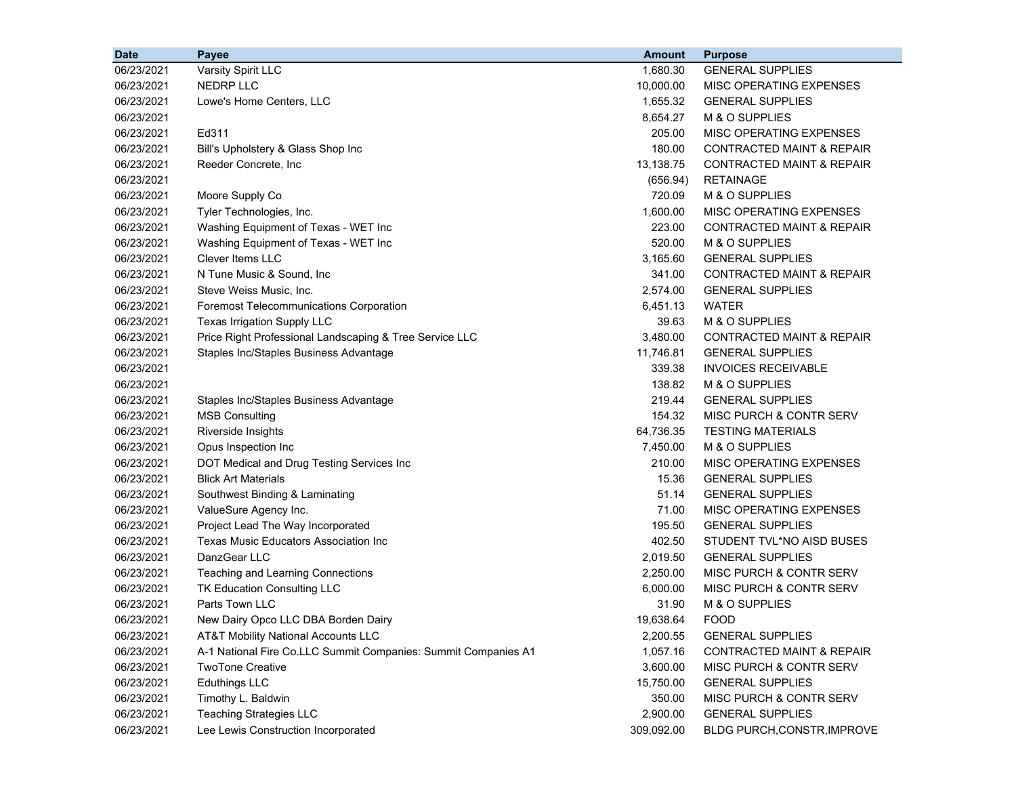| <b>Date</b> | Payee                                                          | <b>Amount</b> | <b>Purpose</b>                       |
|-------------|----------------------------------------------------------------|---------------|--------------------------------------|
| 06/23/2021  | Varsity Spirit LLC                                             | 1,680.30      | <b>GENERAL SUPPLIES</b>              |
| 06/23/2021  | <b>NEDRP LLC</b>                                               | 10,000.00     | MISC OPERATING EXPENSES              |
| 06/23/2021  | Lowe's Home Centers, LLC                                       | 1,655.32      | <b>GENERAL SUPPLIES</b>              |
| 06/23/2021  |                                                                | 8,654.27      | M & O SUPPLIES                       |
| 06/23/2021  | Ed311                                                          | 205.00        | MISC OPERATING EXPENSES              |
| 06/23/2021  | Bill's Upholstery & Glass Shop Inc                             | 180.00        | <b>CONTRACTED MAINT &amp; REPAIR</b> |
| 06/23/2021  | Reeder Concrete, Inc                                           | 13,138.75     | <b>CONTRACTED MAINT &amp; REPAIR</b> |
| 06/23/2021  |                                                                | (656.94)      | <b>RETAINAGE</b>                     |
| 06/23/2021  | Moore Supply Co                                                | 720.09        | M & O SUPPLIES                       |
| 06/23/2021  | Tyler Technologies, Inc.                                       | 1,600.00      | MISC OPERATING EXPENSES              |
| 06/23/2021  | Washing Equipment of Texas - WET Inc                           | 223.00        | <b>CONTRACTED MAINT &amp; REPAIR</b> |
| 06/23/2021  | Washing Equipment of Texas - WET Inc                           | 520.00        | M & O SUPPLIES                       |
| 06/23/2021  | <b>Clever Items LLC</b>                                        | 3,165.60      | <b>GENERAL SUPPLIES</b>              |
| 06/23/2021  | N Tune Music & Sound, Inc.                                     | 341.00        | <b>CONTRACTED MAINT &amp; REPAIR</b> |
| 06/23/2021  | Steve Weiss Music, Inc.                                        | 2,574.00      | <b>GENERAL SUPPLIES</b>              |
| 06/23/2021  | <b>Foremost Telecommunications Corporation</b>                 | 6,451.13      | <b>WATER</b>                         |
| 06/23/2021  | Texas Irrigation Supply LLC                                    | 39.63         | M & O SUPPLIES                       |
| 06/23/2021  | Price Right Professional Landscaping & Tree Service LLC        | 3,480.00      | <b>CONTRACTED MAINT &amp; REPAIR</b> |
| 06/23/2021  | Staples Inc/Staples Business Advantage                         | 11,746.81     | <b>GENERAL SUPPLIES</b>              |
| 06/23/2021  |                                                                | 339.38        | <b>INVOICES RECEIVABLE</b>           |
| 06/23/2021  |                                                                | 138.82        | M & O SUPPLIES                       |
| 06/23/2021  | Staples Inc/Staples Business Advantage                         | 219.44        | <b>GENERAL SUPPLIES</b>              |
| 06/23/2021  | <b>MSB Consulting</b>                                          | 154.32        | MISC PURCH & CONTR SERV              |
| 06/23/2021  | Riverside Insights                                             | 64,736.35     | <b>TESTING MATERIALS</b>             |
| 06/23/2021  | Opus Inspection Inc                                            | 7,450.00      | M & O SUPPLIES                       |
| 06/23/2021  | DOT Medical and Drug Testing Services Inc                      | 210.00        | MISC OPERATING EXPENSES              |
| 06/23/2021  | <b>Blick Art Materials</b>                                     | 15.36         | <b>GENERAL SUPPLIES</b>              |
| 06/23/2021  | Southwest Binding & Laminating                                 | 51.14         | <b>GENERAL SUPPLIES</b>              |
| 06/23/2021  | ValueSure Agency Inc.                                          | 71.00         | MISC OPERATING EXPENSES              |
| 06/23/2021  | Project Lead The Way Incorporated                              | 195.50        | <b>GENERAL SUPPLIES</b>              |
| 06/23/2021  | <b>Texas Music Educators Association Inc</b>                   | 402.50        | STUDENT TVL*NO AISD BUSES            |
| 06/23/2021  | DanzGear LLC                                                   | 2,019.50      | <b>GENERAL SUPPLIES</b>              |
| 06/23/2021  | Teaching and Learning Connections                              | 2,250.00      | MISC PURCH & CONTR SERV              |
| 06/23/2021  | TK Education Consulting LLC                                    | 6,000.00      | MISC PURCH & CONTR SERV              |
| 06/23/2021  | Parts Town LLC                                                 | 31.90         | M & O SUPPLIES                       |
| 06/23/2021  | New Dairy Opco LLC DBA Borden Dairy                            | 19,638.64     | <b>FOOD</b>                          |
| 06/23/2021  | AT&T Mobility National Accounts LLC                            | 2,200.55      | <b>GENERAL SUPPLIES</b>              |
| 06/23/2021  | A-1 National Fire Co.LLC Summit Companies: Summit Companies A1 | 1,057.16      | CONTRACTED MAINT & REPAIR            |
| 06/23/2021  | <b>TwoTone Creative</b>                                        | 3,600.00      | MISC PURCH & CONTR SERV              |
| 06/23/2021  | <b>Eduthings LLC</b>                                           | 15,750.00     | <b>GENERAL SUPPLIES</b>              |
| 06/23/2021  | Timothy L. Baldwin                                             | 350.00        | MISC PURCH & CONTR SERV              |
| 06/23/2021  | <b>Teaching Strategies LLC</b>                                 | 2,900.00      | <b>GENERAL SUPPLIES</b>              |
| 06/23/2021  | Lee Lewis Construction Incorporated                            | 309,092.00    | BLDG PURCH, CONSTR, IMPROVE          |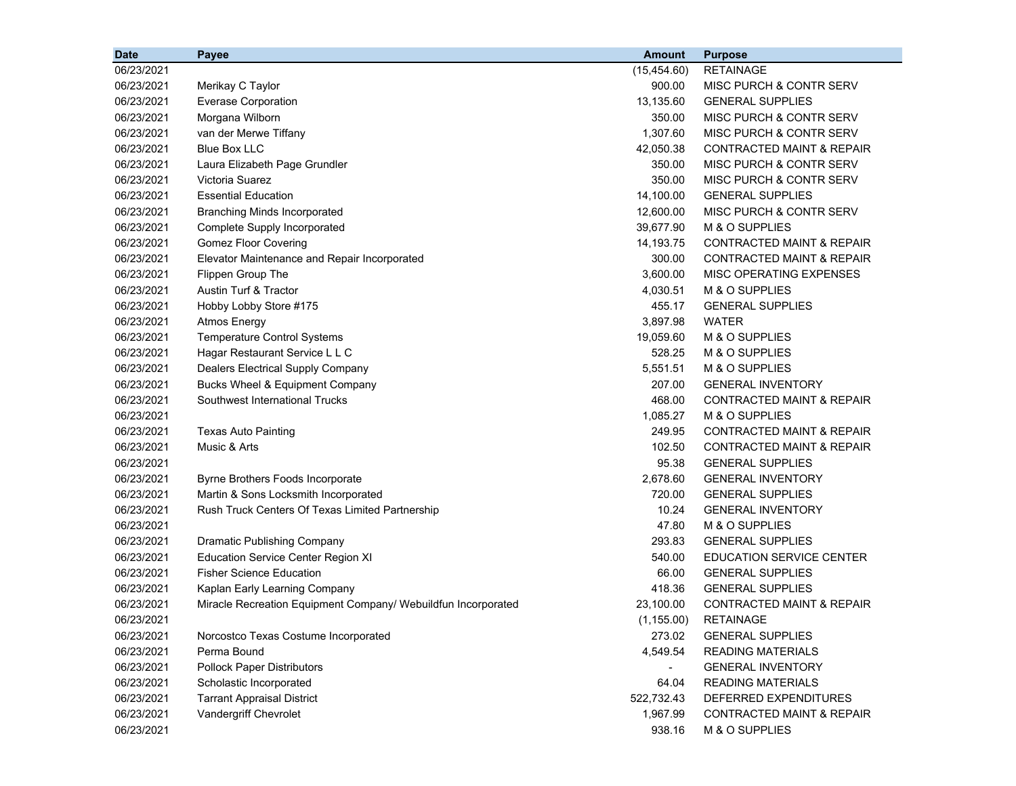| <b>Date</b> | Payee                                                         | <b>Amount</b> | <b>Purpose</b>                       |
|-------------|---------------------------------------------------------------|---------------|--------------------------------------|
| 06/23/2021  |                                                               | (15, 454.60)  | <b>RETAINAGE</b>                     |
| 06/23/2021  | Merikay C Taylor                                              | 900.00        | MISC PURCH & CONTR SERV              |
| 06/23/2021  | <b>Everase Corporation</b>                                    | 13,135.60     | <b>GENERAL SUPPLIES</b>              |
| 06/23/2021  | Morgana Wilborn                                               | 350.00        | MISC PURCH & CONTR SERV              |
| 06/23/2021  | van der Merwe Tiffany                                         | 1,307.60      | MISC PURCH & CONTR SERV              |
| 06/23/2021  | <b>Blue Box LLC</b>                                           | 42,050.38     | CONTRACTED MAINT & REPAIR            |
| 06/23/2021  | Laura Elizabeth Page Grundler                                 | 350.00        | MISC PURCH & CONTR SERV              |
| 06/23/2021  | Victoria Suarez                                               | 350.00        | <b>MISC PURCH &amp; CONTR SERV</b>   |
| 06/23/2021  | <b>Essential Education</b>                                    | 14,100.00     | <b>GENERAL SUPPLIES</b>              |
| 06/23/2021  | <b>Branching Minds Incorporated</b>                           | 12,600.00     | MISC PURCH & CONTR SERV              |
| 06/23/2021  | Complete Supply Incorporated                                  | 39,677.90     | M & O SUPPLIES                       |
| 06/23/2021  | <b>Gomez Floor Covering</b>                                   | 14,193.75     | <b>CONTRACTED MAINT &amp; REPAIR</b> |
| 06/23/2021  | Elevator Maintenance and Repair Incorporated                  | 300.00        | <b>CONTRACTED MAINT &amp; REPAIR</b> |
| 06/23/2021  | Flippen Group The                                             | 3,600.00      | MISC OPERATING EXPENSES              |
| 06/23/2021  | Austin Turf & Tractor                                         | 4,030.51      | M & O SUPPLIES                       |
| 06/23/2021  | Hobby Lobby Store #175                                        | 455.17        | <b>GENERAL SUPPLIES</b>              |
| 06/23/2021  | <b>Atmos Energy</b>                                           | 3,897.98      | <b>WATER</b>                         |
| 06/23/2021  | <b>Temperature Control Systems</b>                            | 19,059.60     | M & O SUPPLIES                       |
| 06/23/2021  | Hagar Restaurant Service L L C                                | 528.25        | M & O SUPPLIES                       |
| 06/23/2021  | Dealers Electrical Supply Company                             | 5,551.51      | M & O SUPPLIES                       |
| 06/23/2021  | Bucks Wheel & Equipment Company                               | 207.00        | <b>GENERAL INVENTORY</b>             |
| 06/23/2021  | Southwest International Trucks                                | 468.00        | <b>CONTRACTED MAINT &amp; REPAIR</b> |
| 06/23/2021  |                                                               | 1,085.27      | M & O SUPPLIES                       |
| 06/23/2021  | <b>Texas Auto Painting</b>                                    | 249.95        | <b>CONTRACTED MAINT &amp; REPAIR</b> |
| 06/23/2021  | Music & Arts                                                  | 102.50        | <b>CONTRACTED MAINT &amp; REPAIR</b> |
| 06/23/2021  |                                                               | 95.38         | <b>GENERAL SUPPLIES</b>              |
| 06/23/2021  | Byrne Brothers Foods Incorporate                              | 2,678.60      | <b>GENERAL INVENTORY</b>             |
| 06/23/2021  | Martin & Sons Locksmith Incorporated                          | 720.00        | <b>GENERAL SUPPLIES</b>              |
| 06/23/2021  | Rush Truck Centers Of Texas Limited Partnership               | 10.24         | <b>GENERAL INVENTORY</b>             |
| 06/23/2021  |                                                               | 47.80         | M & O SUPPLIES                       |
| 06/23/2021  | Dramatic Publishing Company                                   | 293.83        | <b>GENERAL SUPPLIES</b>              |
| 06/23/2021  | <b>Education Service Center Region XI</b>                     | 540.00        | <b>EDUCATION SERVICE CENTER</b>      |
| 06/23/2021  | <b>Fisher Science Education</b>                               | 66.00         | <b>GENERAL SUPPLIES</b>              |
| 06/23/2021  | Kaplan Early Learning Company                                 | 418.36        | <b>GENERAL SUPPLIES</b>              |
| 06/23/2021  | Miracle Recreation Equipment Company/ Webuildfun Incorporated | 23,100.00     | <b>CONTRACTED MAINT &amp; REPAIR</b> |
| 06/23/2021  |                                                               | (1, 155.00)   | <b>RETAINAGE</b>                     |
| 06/23/2021  | Norcostco Texas Costume Incorporated                          | 273.02        | <b>GENERAL SUPPLIES</b>              |
| 06/23/2021  | Perma Bound                                                   | 4,549.54      | <b>READING MATERIALS</b>             |
| 06/23/2021  | <b>Pollock Paper Distributors</b>                             |               | <b>GENERAL INVENTORY</b>             |
| 06/23/2021  | Scholastic Incorporated                                       | 64.04         | <b>READING MATERIALS</b>             |
| 06/23/2021  | <b>Tarrant Appraisal District</b>                             | 522,732.43    | DEFERRED EXPENDITURES                |
| 06/23/2021  | Vandergriff Chevrolet                                         | 1,967.99      | <b>CONTRACTED MAINT &amp; REPAIR</b> |
| 06/23/2021  |                                                               | 938.16        | M & O SUPPLIES                       |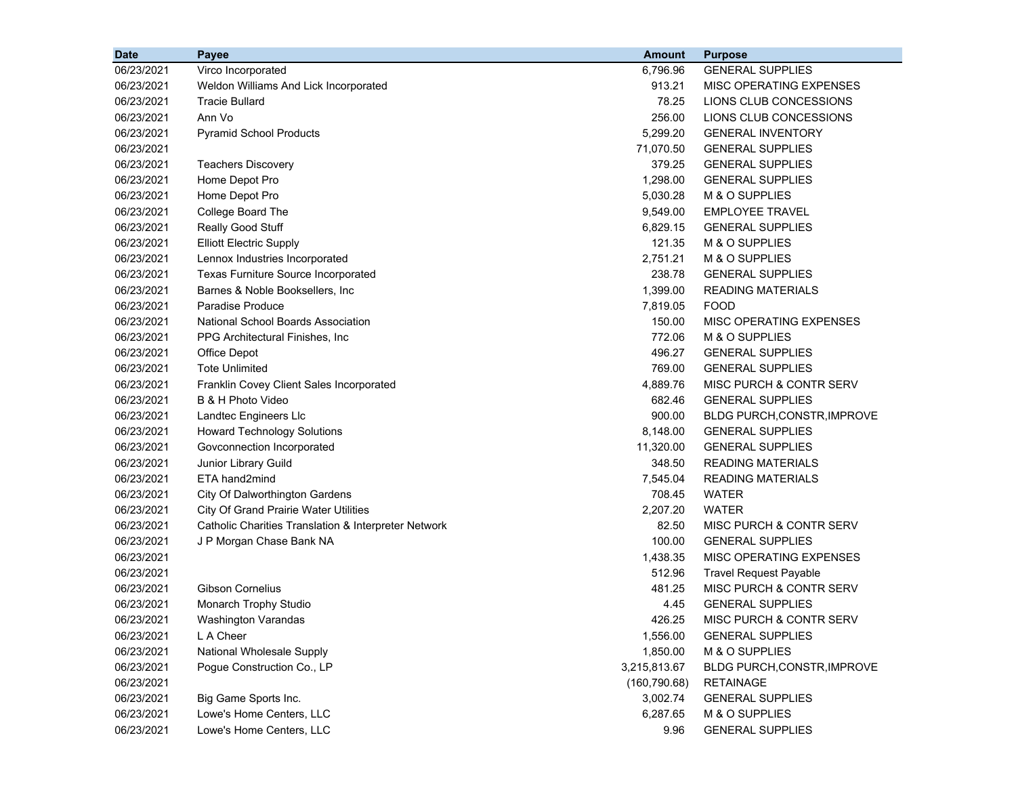| <b>Date</b> | Payee                                                | <b>Amount</b> | <b>Purpose</b>                |
|-------------|------------------------------------------------------|---------------|-------------------------------|
| 06/23/2021  | Virco Incorporated                                   | 6.796.96      | <b>GENERAL SUPPLIES</b>       |
| 06/23/2021  | Weldon Williams And Lick Incorporated                | 913.21        | MISC OPERATING EXPENSES       |
| 06/23/2021  | <b>Tracie Bullard</b>                                | 78.25         | LIONS CLUB CONCESSIONS        |
| 06/23/2021  | Ann Vo                                               | 256.00        | LIONS CLUB CONCESSIONS        |
| 06/23/2021  | <b>Pyramid School Products</b>                       | 5,299.20      | <b>GENERAL INVENTORY</b>      |
| 06/23/2021  |                                                      | 71,070.50     | <b>GENERAL SUPPLIES</b>       |
| 06/23/2021  | <b>Teachers Discovery</b>                            | 379.25        | <b>GENERAL SUPPLIES</b>       |
| 06/23/2021  | Home Depot Pro                                       | 1,298.00      | <b>GENERAL SUPPLIES</b>       |
| 06/23/2021  | Home Depot Pro                                       | 5,030.28      | M & O SUPPLIES                |
| 06/23/2021  | College Board The                                    | 9,549.00      | <b>EMPLOYEE TRAVEL</b>        |
| 06/23/2021  | Really Good Stuff                                    | 6,829.15      | <b>GENERAL SUPPLIES</b>       |
| 06/23/2021  | <b>Elliott Electric Supply</b>                       | 121.35        | M & O SUPPLIES                |
| 06/23/2021  | Lennox Industries Incorporated                       | 2,751.21      | M & O SUPPLIES                |
| 06/23/2021  | Texas Furniture Source Incorporated                  | 238.78        | <b>GENERAL SUPPLIES</b>       |
| 06/23/2021  | Barnes & Noble Booksellers, Inc.                     | 1,399.00      | <b>READING MATERIALS</b>      |
| 06/23/2021  | <b>Paradise Produce</b>                              | 7,819.05      | <b>FOOD</b>                   |
| 06/23/2021  | <b>National School Boards Association</b>            | 150.00        | MISC OPERATING EXPENSES       |
| 06/23/2021  | PPG Architectural Finishes, Inc.                     | 772.06        | M & O SUPPLIES                |
| 06/23/2021  | Office Depot                                         | 496.27        | <b>GENERAL SUPPLIES</b>       |
| 06/23/2021  | <b>Tote Unlimited</b>                                | 769.00        | <b>GENERAL SUPPLIES</b>       |
| 06/23/2021  | Franklin Covey Client Sales Incorporated             | 4,889.76      | MISC PURCH & CONTR SERV       |
| 06/23/2021  | B & H Photo Video                                    | 682.46        | <b>GENERAL SUPPLIES</b>       |
| 06/23/2021  | Landtec Engineers Llc                                | 900.00        | BLDG PURCH, CONSTR, IMPROVE   |
| 06/23/2021  | <b>Howard Technology Solutions</b>                   | 8,148.00      | <b>GENERAL SUPPLIES</b>       |
| 06/23/2021  | Govconnection Incorporated                           | 11,320.00     | <b>GENERAL SUPPLIES</b>       |
| 06/23/2021  | Junior Library Guild                                 | 348.50        | <b>READING MATERIALS</b>      |
| 06/23/2021  | ETA hand2mind                                        | 7,545.04      | <b>READING MATERIALS</b>      |
| 06/23/2021  | City Of Dalworthington Gardens                       | 708.45        | WATER                         |
| 06/23/2021  | <b>City Of Grand Prairie Water Utilities</b>         | 2,207.20      | <b>WATER</b>                  |
| 06/23/2021  | Catholic Charities Translation & Interpreter Network | 82.50         | MISC PURCH & CONTR SERV       |
| 06/23/2021  | J P Morgan Chase Bank NA                             | 100.00        | <b>GENERAL SUPPLIES</b>       |
| 06/23/2021  |                                                      | 1,438.35      | MISC OPERATING EXPENSES       |
| 06/23/2021  |                                                      | 512.96        | <b>Travel Request Payable</b> |
| 06/23/2021  | <b>Gibson Cornelius</b>                              | 481.25        | MISC PURCH & CONTR SERV       |
| 06/23/2021  | Monarch Trophy Studio                                | 4.45          | <b>GENERAL SUPPLIES</b>       |
| 06/23/2021  | Washington Varandas                                  | 426.25        | MISC PURCH & CONTR SERV       |
| 06/23/2021  | L A Cheer                                            | 1,556.00      | <b>GENERAL SUPPLIES</b>       |
| 06/23/2021  | National Wholesale Supply                            | 1,850.00      | M & O SUPPLIES                |
| 06/23/2021  | Pogue Construction Co., LP                           | 3,215,813.67  | BLDG PURCH, CONSTR, IMPROVE   |
| 06/23/2021  |                                                      | (160, 790.68) | <b>RETAINAGE</b>              |
| 06/23/2021  | Big Game Sports Inc.                                 | 3,002.74      | <b>GENERAL SUPPLIES</b>       |
| 06/23/2021  | Lowe's Home Centers, LLC                             | 6,287.65      | M & O SUPPLIES                |
| 06/23/2021  | Lowe's Home Centers, LLC                             | 9.96          | <b>GENERAL SUPPLIES</b>       |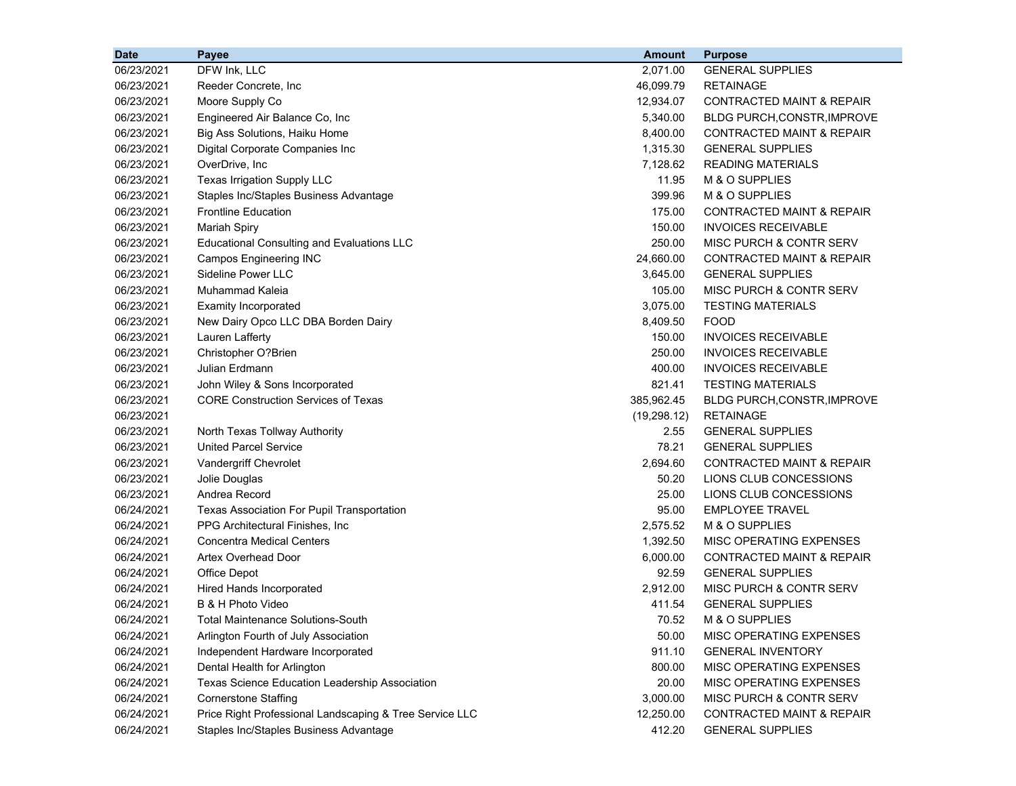| <b>Date</b> | Payee                                                   | <b>Amount</b> | <b>Purpose</b>                       |
|-------------|---------------------------------------------------------|---------------|--------------------------------------|
| 06/23/2021  | DFW Ink, LLC                                            | 2,071.00      | <b>GENERAL SUPPLIES</b>              |
| 06/23/2021  | Reeder Concrete, Inc.                                   | 46,099.79     | <b>RETAINAGE</b>                     |
| 06/23/2021  | Moore Supply Co                                         | 12,934.07     | <b>CONTRACTED MAINT &amp; REPAIR</b> |
| 06/23/2021  | Engineered Air Balance Co, Inc                          | 5,340.00      | <b>BLDG PURCH, CONSTR, IMPROVE</b>   |
| 06/23/2021  | Big Ass Solutions, Haiku Home                           | 8,400.00      | <b>CONTRACTED MAINT &amp; REPAIR</b> |
| 06/23/2021  | Digital Corporate Companies Inc                         | 1,315.30      | <b>GENERAL SUPPLIES</b>              |
| 06/23/2021  | OverDrive, Inc                                          | 7,128.62      | <b>READING MATERIALS</b>             |
| 06/23/2021  | Texas Irrigation Supply LLC                             | 11.95         | M & O SUPPLIES                       |
| 06/23/2021  | Staples Inc/Staples Business Advantage                  | 399.96        | M & O SUPPLIES                       |
| 06/23/2021  | <b>Frontline Education</b>                              | 175.00        | CONTRACTED MAINT & REPAIR            |
| 06/23/2021  | <b>Mariah Spiry</b>                                     | 150.00        | <b>INVOICES RECEIVABLE</b>           |
| 06/23/2021  | <b>Educational Consulting and Evaluations LLC</b>       | 250.00        | MISC PURCH & CONTR SERV              |
| 06/23/2021  | <b>Campos Engineering INC</b>                           | 24,660.00     | CONTRACTED MAINT & REPAIR            |
| 06/23/2021  | Sideline Power LLC                                      | 3,645.00      | <b>GENERAL SUPPLIES</b>              |
| 06/23/2021  | Muhammad Kaleia                                         | 105.00        | MISC PURCH & CONTR SERV              |
| 06/23/2021  | <b>Examity Incorporated</b>                             | 3,075.00      | <b>TESTING MATERIALS</b>             |
| 06/23/2021  | New Dairy Opco LLC DBA Borden Dairy                     | 8,409.50      | <b>FOOD</b>                          |
| 06/23/2021  | Lauren Lafferty                                         | 150.00        | <b>INVOICES RECEIVABLE</b>           |
| 06/23/2021  | Christopher O?Brien                                     | 250.00        | <b>INVOICES RECEIVABLE</b>           |
| 06/23/2021  | Julian Erdmann                                          | 400.00        | <b>INVOICES RECEIVABLE</b>           |
| 06/23/2021  | John Wiley & Sons Incorporated                          | 821.41        | <b>TESTING MATERIALS</b>             |
| 06/23/2021  | <b>CORE Construction Services of Texas</b>              | 385,962.45    | BLDG PURCH, CONSTR, IMPROVE          |
| 06/23/2021  |                                                         | (19, 298.12)  | <b>RETAINAGE</b>                     |
| 06/23/2021  | North Texas Tollway Authority                           | 2.55          | <b>GENERAL SUPPLIES</b>              |
| 06/23/2021  | <b>United Parcel Service</b>                            | 78.21         | <b>GENERAL SUPPLIES</b>              |
| 06/23/2021  | Vandergriff Chevrolet                                   | 2,694.60      | CONTRACTED MAINT & REPAIR            |
| 06/23/2021  | Jolie Douglas                                           | 50.20         | LIONS CLUB CONCESSIONS               |
| 06/23/2021  | Andrea Record                                           | 25.00         | LIONS CLUB CONCESSIONS               |
| 06/24/2021  | Texas Association For Pupil Transportation              | 95.00         | <b>EMPLOYEE TRAVEL</b>               |
| 06/24/2021  | PPG Architectural Finishes, Inc.                        | 2,575.52      | M & O SUPPLIES                       |
| 06/24/2021  | <b>Concentra Medical Centers</b>                        | 1,392.50      | MISC OPERATING EXPENSES              |
| 06/24/2021  | Artex Overhead Door                                     | 6,000.00      | CONTRACTED MAINT & REPAIR            |
| 06/24/2021  | Office Depot                                            | 92.59         | <b>GENERAL SUPPLIES</b>              |
| 06/24/2021  | Hired Hands Incorporated                                | 2,912.00      | MISC PURCH & CONTR SERV              |
| 06/24/2021  | B & H Photo Video                                       | 411.54        | <b>GENERAL SUPPLIES</b>              |
| 06/24/2021  | Total Maintenance Solutions-South                       | 70.52         | M & O SUPPLIES                       |
| 06/24/2021  | Arlington Fourth of July Association                    | 50.00         | MISC OPERATING EXPENSES              |
| 06/24/2021  | Independent Hardware Incorporated                       | 911.10        | <b>GENERAL INVENTORY</b>             |
| 06/24/2021  | Dental Health for Arlington                             | 800.00        | MISC OPERATING EXPENSES              |
| 06/24/2021  | Texas Science Education Leadership Association          | 20.00         | MISC OPERATING EXPENSES              |
| 06/24/2021  | <b>Cornerstone Staffing</b>                             | 3,000.00      | MISC PURCH & CONTR SERV              |
| 06/24/2021  | Price Right Professional Landscaping & Tree Service LLC | 12,250.00     | <b>CONTRACTED MAINT &amp; REPAIR</b> |
| 06/24/2021  | Staples Inc/Staples Business Advantage                  | 412.20        | <b>GENERAL SUPPLIES</b>              |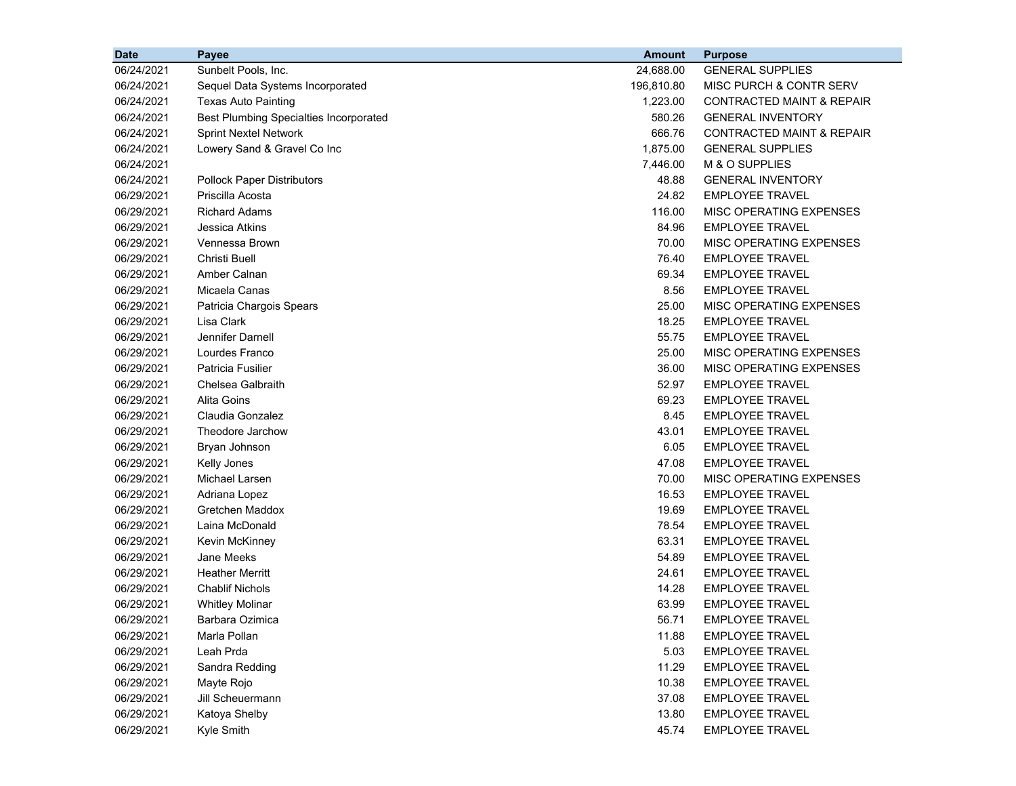| <b>Date</b> | Payee                                         | Amount     | <b>Purpose</b>                       |
|-------------|-----------------------------------------------|------------|--------------------------------------|
| 06/24/2021  | Sunbelt Pools, Inc.                           | 24,688.00  | <b>GENERAL SUPPLIES</b>              |
| 06/24/2021  | Sequel Data Systems Incorporated              | 196,810.80 | MISC PURCH & CONTR SERV              |
| 06/24/2021  | <b>Texas Auto Painting</b>                    | 1,223.00   | CONTRACTED MAINT & REPAIR            |
| 06/24/2021  | <b>Best Plumbing Specialties Incorporated</b> | 580.26     | <b>GENERAL INVENTORY</b>             |
| 06/24/2021  | <b>Sprint Nextel Network</b>                  | 666.76     | <b>CONTRACTED MAINT &amp; REPAIR</b> |
| 06/24/2021  | Lowery Sand & Gravel Co Inc                   | 1,875.00   | <b>GENERAL SUPPLIES</b>              |
| 06/24/2021  |                                               | 7,446.00   | M & O SUPPLIES                       |
| 06/24/2021  | <b>Pollock Paper Distributors</b>             | 48.88      | <b>GENERAL INVENTORY</b>             |
| 06/29/2021  | Priscilla Acosta                              | 24.82      | <b>EMPLOYEE TRAVEL</b>               |
| 06/29/2021  | <b>Richard Adams</b>                          | 116.00     | MISC OPERATING EXPENSES              |
| 06/29/2021  | Jessica Atkins                                | 84.96      | <b>EMPLOYEE TRAVEL</b>               |
| 06/29/2021  | Vennessa Brown                                | 70.00      | MISC OPERATING EXPENSES              |
| 06/29/2021  | <b>Christi Buell</b>                          | 76.40      | EMPLOYEE TRAVEL                      |
| 06/29/2021  | Amber Calnan                                  | 69.34      | <b>EMPLOYEE TRAVEL</b>               |
| 06/29/2021  | Micaela Canas                                 | 8.56       | <b>EMPLOYEE TRAVEL</b>               |
| 06/29/2021  | Patricia Chargois Spears                      | 25.00      | MISC OPERATING EXPENSES              |
| 06/29/2021  | Lisa Clark                                    | 18.25      | EMPLOYEE TRAVEL                      |
| 06/29/2021  | Jennifer Darnell                              | 55.75      | <b>EMPLOYEE TRAVEL</b>               |
| 06/29/2021  | Lourdes Franco                                | 25.00      | MISC OPERATING EXPENSES              |
| 06/29/2021  | Patricia Fusilier                             | 36.00      | MISC OPERATING EXPENSES              |
| 06/29/2021  | Chelsea Galbraith                             | 52.97      | <b>EMPLOYEE TRAVEL</b>               |
| 06/29/2021  | Alita Goins                                   | 69.23      | <b>EMPLOYEE TRAVEL</b>               |
| 06/29/2021  | Claudia Gonzalez                              | 8.45       | <b>EMPLOYEE TRAVEL</b>               |
| 06/29/2021  | Theodore Jarchow                              | 43.01      | <b>EMPLOYEE TRAVEL</b>               |
| 06/29/2021  | Bryan Johnson                                 | 6.05       | <b>EMPLOYEE TRAVEL</b>               |
| 06/29/2021  | Kelly Jones                                   | 47.08      | <b>EMPLOYEE TRAVEL</b>               |
| 06/29/2021  | Michael Larsen                                | 70.00      | MISC OPERATING EXPENSES              |
| 06/29/2021  | Adriana Lopez                                 | 16.53      | <b>EMPLOYEE TRAVEL</b>               |
| 06/29/2021  | Gretchen Maddox                               | 19.69      | <b>EMPLOYEE TRAVEL</b>               |
| 06/29/2021  | Laina McDonald                                | 78.54      | <b>EMPLOYEE TRAVEL</b>               |
| 06/29/2021  | Kevin McKinney                                | 63.31      | <b>EMPLOYEE TRAVEL</b>               |
| 06/29/2021  | Jane Meeks                                    | 54.89      | <b>EMPLOYEE TRAVEL</b>               |
| 06/29/2021  | <b>Heather Merritt</b>                        | 24.61      | <b>EMPLOYEE TRAVEL</b>               |
| 06/29/2021  | <b>Chablif Nichols</b>                        | 14.28      | <b>EMPLOYEE TRAVEL</b>               |
| 06/29/2021  | <b>Whitley Molinar</b>                        | 63.99      | <b>EMPLOYEE TRAVEL</b>               |
| 06/29/2021  | Barbara Ozimica                               | 56.71      | <b>EMPLOYEE TRAVEL</b>               |
| 06/29/2021  | Marla Pollan                                  | 11.88      | <b>EMPLOYEE TRAVEL</b>               |
| 06/29/2021  | Leah Prda                                     | 5.03       | <b>EMPLOYEE TRAVEL</b>               |
| 06/29/2021  | Sandra Redding                                | 11.29      | <b>EMPLOYEE TRAVEL</b>               |
| 06/29/2021  | Mayte Rojo                                    | 10.38      | <b>EMPLOYEE TRAVEL</b>               |
| 06/29/2021  | Jill Scheuermann                              | 37.08      | <b>EMPLOYEE TRAVEL</b>               |
| 06/29/2021  | Katoya Shelby                                 | 13.80      | <b>EMPLOYEE TRAVEL</b>               |
| 06/29/2021  | Kyle Smith                                    | 45.74      | <b>EMPLOYEE TRAVEL</b>               |
|             |                                               |            |                                      |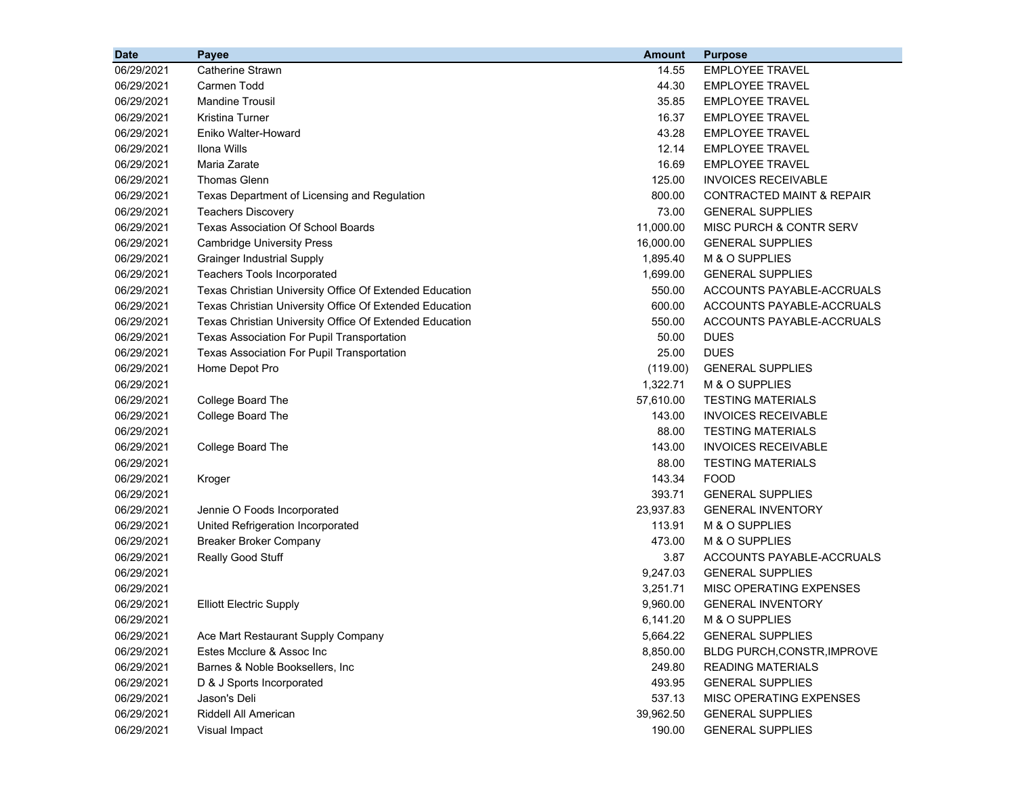| <b>Date</b> | Payee                                                   | <b>Amount</b> | <b>Purpose</b>                       |
|-------------|---------------------------------------------------------|---------------|--------------------------------------|
| 06/29/2021  | <b>Catherine Strawn</b>                                 | 14.55         | EMPLOYEE TRAVEL                      |
| 06/29/2021  | Carmen Todd                                             | 44.30         | <b>EMPLOYEE TRAVEL</b>               |
| 06/29/2021  | <b>Mandine Trousil</b>                                  | 35.85         | <b>EMPLOYEE TRAVEL</b>               |
| 06/29/2021  | Kristina Turner                                         | 16.37         | <b>EMPLOYEE TRAVEL</b>               |
| 06/29/2021  | Eniko Walter-Howard                                     | 43.28         | <b>EMPLOYEE TRAVEL</b>               |
| 06/29/2021  | Ilona Wills                                             | 12.14         | <b>EMPLOYEE TRAVEL</b>               |
| 06/29/2021  | Maria Zarate                                            | 16.69         | <b>EMPLOYEE TRAVEL</b>               |
| 06/29/2021  | <b>Thomas Glenn</b>                                     | 125.00        | <b>INVOICES RECEIVABLE</b>           |
| 06/29/2021  | Texas Department of Licensing and Regulation            | 800.00        | <b>CONTRACTED MAINT &amp; REPAIR</b> |
| 06/29/2021  | <b>Teachers Discovery</b>                               | 73.00         | <b>GENERAL SUPPLIES</b>              |
| 06/29/2021  | <b>Texas Association Of School Boards</b>               | 11,000.00     | <b>MISC PURCH &amp; CONTR SERV</b>   |
| 06/29/2021  | <b>Cambridge University Press</b>                       | 16,000.00     | <b>GENERAL SUPPLIES</b>              |
| 06/29/2021  | <b>Grainger Industrial Supply</b>                       | 1,895.40      | M & O SUPPLIES                       |
| 06/29/2021  | <b>Teachers Tools Incorporated</b>                      | 1,699.00      | <b>GENERAL SUPPLIES</b>              |
| 06/29/2021  | Texas Christian University Office Of Extended Education | 550.00        | ACCOUNTS PAYABLE-ACCRUALS            |
| 06/29/2021  | Texas Christian University Office Of Extended Education | 600.00        | ACCOUNTS PAYABLE-ACCRUALS            |
| 06/29/2021  | Texas Christian University Office Of Extended Education | 550.00        | ACCOUNTS PAYABLE-ACCRUALS            |
| 06/29/2021  | Texas Association For Pupil Transportation              | 50.00         | <b>DUES</b>                          |
| 06/29/2021  | Texas Association For Pupil Transportation              | 25.00         | <b>DUES</b>                          |
| 06/29/2021  | Home Depot Pro                                          | (119.00)      | <b>GENERAL SUPPLIES</b>              |
| 06/29/2021  |                                                         | 1,322.71      | M & O SUPPLIES                       |
| 06/29/2021  | College Board The                                       | 57,610.00     | <b>TESTING MATERIALS</b>             |
| 06/29/2021  | College Board The                                       | 143.00        | <b>INVOICES RECEIVABLE</b>           |
| 06/29/2021  |                                                         | 88.00         | <b>TESTING MATERIALS</b>             |
| 06/29/2021  | College Board The                                       | 143.00        | <b>INVOICES RECEIVABLE</b>           |
| 06/29/2021  |                                                         | 88.00         | <b>TESTING MATERIALS</b>             |
| 06/29/2021  | Kroger                                                  | 143.34        | <b>FOOD</b>                          |
| 06/29/2021  |                                                         | 393.71        | <b>GENERAL SUPPLIES</b>              |
| 06/29/2021  | Jennie O Foods Incorporated                             | 23,937.83     | <b>GENERAL INVENTORY</b>             |
| 06/29/2021  | United Refrigeration Incorporated                       | 113.91        | M & O SUPPLIES                       |
| 06/29/2021  | <b>Breaker Broker Company</b>                           | 473.00        | M & O SUPPLIES                       |
| 06/29/2021  | Really Good Stuff                                       | 3.87          | ACCOUNTS PAYABLE-ACCRUALS            |
| 06/29/2021  |                                                         | 9,247.03      | <b>GENERAL SUPPLIES</b>              |
| 06/29/2021  |                                                         | 3,251.71      | MISC OPERATING EXPENSES              |
| 06/29/2021  | <b>Elliott Electric Supply</b>                          | 9,960.00      | <b>GENERAL INVENTORY</b>             |
| 06/29/2021  |                                                         | 6,141.20      | M & O SUPPLIES                       |
| 06/29/2021  | Ace Mart Restaurant Supply Company                      | 5,664.22      | <b>GENERAL SUPPLIES</b>              |
| 06/29/2021  | Estes Mcclure & Assoc Inc                               | 8,850.00      | BLDG PURCH, CONSTR, IMPROVE          |
| 06/29/2021  | Barnes & Noble Booksellers, Inc.                        | 249.80        | <b>READING MATERIALS</b>             |
| 06/29/2021  | D & J Sports Incorporated                               | 493.95        | <b>GENERAL SUPPLIES</b>              |
| 06/29/2021  | Jason's Deli                                            | 537.13        | MISC OPERATING EXPENSES              |
| 06/29/2021  | Riddell All American                                    | 39,962.50     | <b>GENERAL SUPPLIES</b>              |
| 06/29/2021  | Visual Impact                                           | 190.00        | <b>GENERAL SUPPLIES</b>              |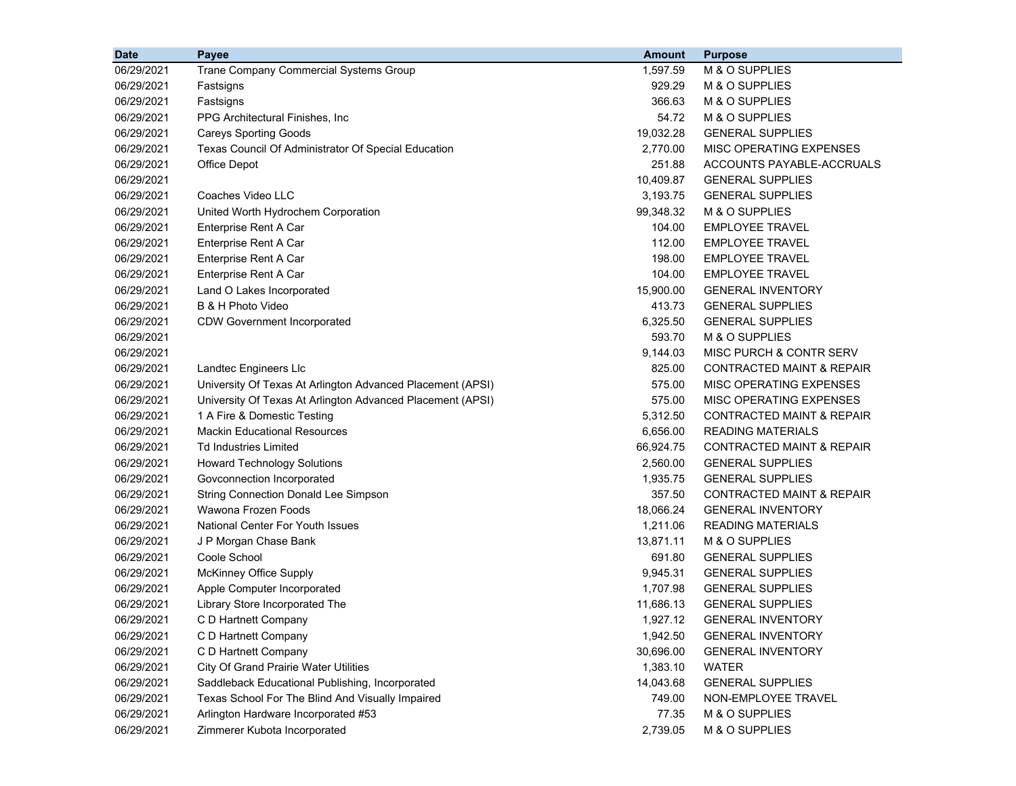| <b>Date</b> | Payee                                                      | <b>Amount</b> | <b>Purpose</b>                       |
|-------------|------------------------------------------------------------|---------------|--------------------------------------|
| 06/29/2021  | Trane Company Commercial Systems Group                     | 1,597.59      | M & O SUPPLIES                       |
| 06/29/2021  | Fastsigns                                                  | 929.29        | M & O SUPPLIES                       |
| 06/29/2021  | Fastsigns                                                  | 366.63        | M & O SUPPLIES                       |
| 06/29/2021  | PPG Architectural Finishes, Inc.                           | 54.72         | M & O SUPPLIES                       |
| 06/29/2021  | <b>Careys Sporting Goods</b>                               | 19,032.28     | <b>GENERAL SUPPLIES</b>              |
| 06/29/2021  | Texas Council Of Administrator Of Special Education        | 2,770.00      | MISC OPERATING EXPENSES              |
| 06/29/2021  | <b>Office Depot</b>                                        | 251.88        | ACCOUNTS PAYABLE-ACCRUALS            |
| 06/29/2021  |                                                            | 10,409.87     | <b>GENERAL SUPPLIES</b>              |
| 06/29/2021  | Coaches Video LLC                                          | 3,193.75      | <b>GENERAL SUPPLIES</b>              |
| 06/29/2021  | United Worth Hydrochem Corporation                         | 99,348.32     | M & O SUPPLIES                       |
| 06/29/2021  | Enterprise Rent A Car                                      | 104.00        | EMPLOYEE TRAVEL                      |
| 06/29/2021  | Enterprise Rent A Car                                      | 112.00        | <b>EMPLOYEE TRAVEL</b>               |
| 06/29/2021  | Enterprise Rent A Car                                      | 198.00        | <b>EMPLOYEE TRAVEL</b>               |
| 06/29/2021  | Enterprise Rent A Car                                      | 104.00        | <b>EMPLOYEE TRAVEL</b>               |
| 06/29/2021  | Land O Lakes Incorporated                                  | 15,900.00     | <b>GENERAL INVENTORY</b>             |
| 06/29/2021  | B & H Photo Video                                          | 413.73        | <b>GENERAL SUPPLIES</b>              |
| 06/29/2021  | <b>CDW Government Incorporated</b>                         | 6,325.50      | <b>GENERAL SUPPLIES</b>              |
| 06/29/2021  |                                                            | 593.70        | M & O SUPPLIES                       |
| 06/29/2021  |                                                            | 9,144.03      | MISC PURCH & CONTR SERV              |
| 06/29/2021  | Landtec Engineers Llc                                      | 825.00        | CONTRACTED MAINT & REPAIR            |
| 06/29/2021  | University Of Texas At Arlington Advanced Placement (APSI) | 575.00        | MISC OPERATING EXPENSES              |
| 06/29/2021  | University Of Texas At Arlington Advanced Placement (APSI) | 575.00        | MISC OPERATING EXPENSES              |
| 06/29/2021  | 1 A Fire & Domestic Testing                                | 5,312.50      | <b>CONTRACTED MAINT &amp; REPAIR</b> |
| 06/29/2021  | <b>Mackin Educational Resources</b>                        | 6,656.00      | <b>READING MATERIALS</b>             |
| 06/29/2021  | <b>Td Industries Limited</b>                               | 66,924.75     | <b>CONTRACTED MAINT &amp; REPAIR</b> |
| 06/29/2021  | <b>Howard Technology Solutions</b>                         | 2,560.00      | <b>GENERAL SUPPLIES</b>              |
| 06/29/2021  | Govconnection Incorporated                                 | 1,935.75      | <b>GENERAL SUPPLIES</b>              |
| 06/29/2021  | <b>String Connection Donald Lee Simpson</b>                | 357.50        | <b>CONTRACTED MAINT &amp; REPAIR</b> |
| 06/29/2021  | Wawona Frozen Foods                                        | 18,066.24     | <b>GENERAL INVENTORY</b>             |
| 06/29/2021  | National Center For Youth Issues                           | 1,211.06      | <b>READING MATERIALS</b>             |
| 06/29/2021  | J P Morgan Chase Bank                                      | 13,871.11     | M & O SUPPLIES                       |
| 06/29/2021  | Coole School                                               | 691.80        | <b>GENERAL SUPPLIES</b>              |
| 06/29/2021  | McKinney Office Supply                                     | 9,945.31      | <b>GENERAL SUPPLIES</b>              |
| 06/29/2021  | Apple Computer Incorporated                                | 1,707.98      | <b>GENERAL SUPPLIES</b>              |
| 06/29/2021  | Library Store Incorporated The                             | 11,686.13     | <b>GENERAL SUPPLIES</b>              |
| 06/29/2021  | C D Hartnett Company                                       | 1,927.12      | <b>GENERAL INVENTORY</b>             |
| 06/29/2021  | C D Hartnett Company                                       | 1,942.50      | <b>GENERAL INVENTORY</b>             |
| 06/29/2021  | C D Hartnett Company                                       | 30,696.00     | <b>GENERAL INVENTORY</b>             |
| 06/29/2021  | <b>City Of Grand Prairie Water Utilities</b>               | 1,383.10      | WATER                                |
| 06/29/2021  | Saddleback Educational Publishing, Incorporated            | 14,043.68     | <b>GENERAL SUPPLIES</b>              |
| 06/29/2021  | Texas School For The Blind And Visually Impaired           | 749.00        | NON-EMPLOYEE TRAVEL                  |
| 06/29/2021  | Arlington Hardware Incorporated #53                        | 77.35         | M & O SUPPLIES                       |
| 06/29/2021  | Zimmerer Kubota Incorporated                               | 2,739.05      | M & O SUPPLIES                       |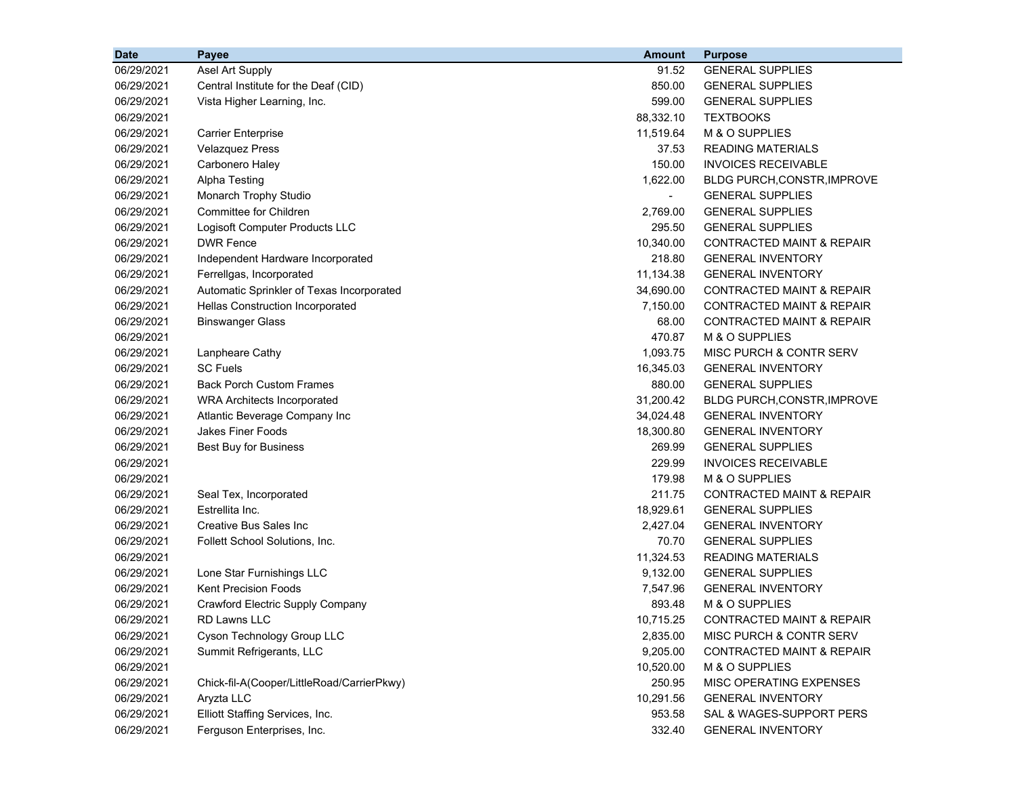| <b>Date</b> | Payee                                      | <b>Amount</b> | <b>Purpose</b>                       |
|-------------|--------------------------------------------|---------------|--------------------------------------|
| 06/29/2021  | Asel Art Supply                            | 91.52         | <b>GENERAL SUPPLIES</b>              |
| 06/29/2021  | Central Institute for the Deaf (CID)       | 850.00        | <b>GENERAL SUPPLIES</b>              |
| 06/29/2021  | Vista Higher Learning, Inc.                | 599.00        | <b>GENERAL SUPPLIES</b>              |
| 06/29/2021  |                                            | 88,332.10     | <b>TEXTBOOKS</b>                     |
| 06/29/2021  | <b>Carrier Enterprise</b>                  | 11,519.64     | M & O SUPPLIES                       |
| 06/29/2021  | <b>Velazquez Press</b>                     | 37.53         | <b>READING MATERIALS</b>             |
| 06/29/2021  | Carbonero Haley                            | 150.00        | <b>INVOICES RECEIVABLE</b>           |
| 06/29/2021  | Alpha Testing                              | 1,622.00      | <b>BLDG PURCH, CONSTR, IMPROVE</b>   |
| 06/29/2021  | Monarch Trophy Studio                      |               | <b>GENERAL SUPPLIES</b>              |
| 06/29/2021  | <b>Committee for Children</b>              | 2,769.00      | <b>GENERAL SUPPLIES</b>              |
| 06/29/2021  | Logisoft Computer Products LLC             | 295.50        | <b>GENERAL SUPPLIES</b>              |
| 06/29/2021  | <b>DWR Fence</b>                           | 10,340.00     | CONTRACTED MAINT & REPAIR            |
| 06/29/2021  | Independent Hardware Incorporated          | 218.80        | <b>GENERAL INVENTORY</b>             |
| 06/29/2021  | Ferrellgas, Incorporated                   | 11,134.38     | <b>GENERAL INVENTORY</b>             |
| 06/29/2021  | Automatic Sprinkler of Texas Incorporated  | 34,690.00     | <b>CONTRACTED MAINT &amp; REPAIR</b> |
| 06/29/2021  | Hellas Construction Incorporated           | 7,150.00      | <b>CONTRACTED MAINT &amp; REPAIR</b> |
| 06/29/2021  | <b>Binswanger Glass</b>                    | 68.00         | <b>CONTRACTED MAINT &amp; REPAIR</b> |
| 06/29/2021  |                                            | 470.87        | M & O SUPPLIES                       |
| 06/29/2021  | Lanpheare Cathy                            | 1,093.75      | MISC PURCH & CONTR SERV              |
| 06/29/2021  | <b>SC Fuels</b>                            | 16,345.03     | <b>GENERAL INVENTORY</b>             |
| 06/29/2021  | <b>Back Porch Custom Frames</b>            | 880.00        | <b>GENERAL SUPPLIES</b>              |
| 06/29/2021  | <b>WRA Architects Incorporated</b>         | 31,200.42     | <b>BLDG PURCH, CONSTR, IMPROVE</b>   |
| 06/29/2021  | Atlantic Beverage Company Inc              | 34,024.48     | <b>GENERAL INVENTORY</b>             |
| 06/29/2021  | <b>Jakes Finer Foods</b>                   | 18,300.80     | <b>GENERAL INVENTORY</b>             |
| 06/29/2021  | Best Buy for Business                      | 269.99        | <b>GENERAL SUPPLIES</b>              |
| 06/29/2021  |                                            | 229.99        | <b>INVOICES RECEIVABLE</b>           |
| 06/29/2021  |                                            | 179.98        | M & O SUPPLIES                       |
| 06/29/2021  | Seal Tex, Incorporated                     | 211.75        | <b>CONTRACTED MAINT &amp; REPAIR</b> |
| 06/29/2021  | Estrellita Inc.                            | 18,929.61     | <b>GENERAL SUPPLIES</b>              |
| 06/29/2021  | <b>Creative Bus Sales Inc</b>              | 2,427.04      | <b>GENERAL INVENTORY</b>             |
| 06/29/2021  | Follett School Solutions, Inc.             | 70.70         | <b>GENERAL SUPPLIES</b>              |
| 06/29/2021  |                                            | 11,324.53     | <b>READING MATERIALS</b>             |
| 06/29/2021  | Lone Star Furnishings LLC                  | 9,132.00      | <b>GENERAL SUPPLIES</b>              |
| 06/29/2021  | <b>Kent Precision Foods</b>                | 7,547.96      | <b>GENERAL INVENTORY</b>             |
| 06/29/2021  | Crawford Electric Supply Company           | 893.48        | M & O SUPPLIES                       |
| 06/29/2021  | RD Lawns LLC                               | 10,715.25     | CONTRACTED MAINT & REPAIR            |
| 06/29/2021  | Cyson Technology Group LLC                 | 2,835.00      | MISC PURCH & CONTR SERV              |
| 06/29/2021  | Summit Refrigerants, LLC                   | 9,205.00      | CONTRACTED MAINT & REPAIR            |
| 06/29/2021  |                                            | 10,520.00     | M & O SUPPLIES                       |
| 06/29/2021  | Chick-fil-A(Cooper/LittleRoad/CarrierPkwy) | 250.95        | MISC OPERATING EXPENSES              |
| 06/29/2021  | Aryzta LLC                                 | 10,291.56     | <b>GENERAL INVENTORY</b>             |
| 06/29/2021  | Elliott Staffing Services, Inc.            | 953.58        | SAL & WAGES-SUPPORT PERS             |
| 06/29/2021  | Ferguson Enterprises, Inc.                 | 332.40        | <b>GENERAL INVENTORY</b>             |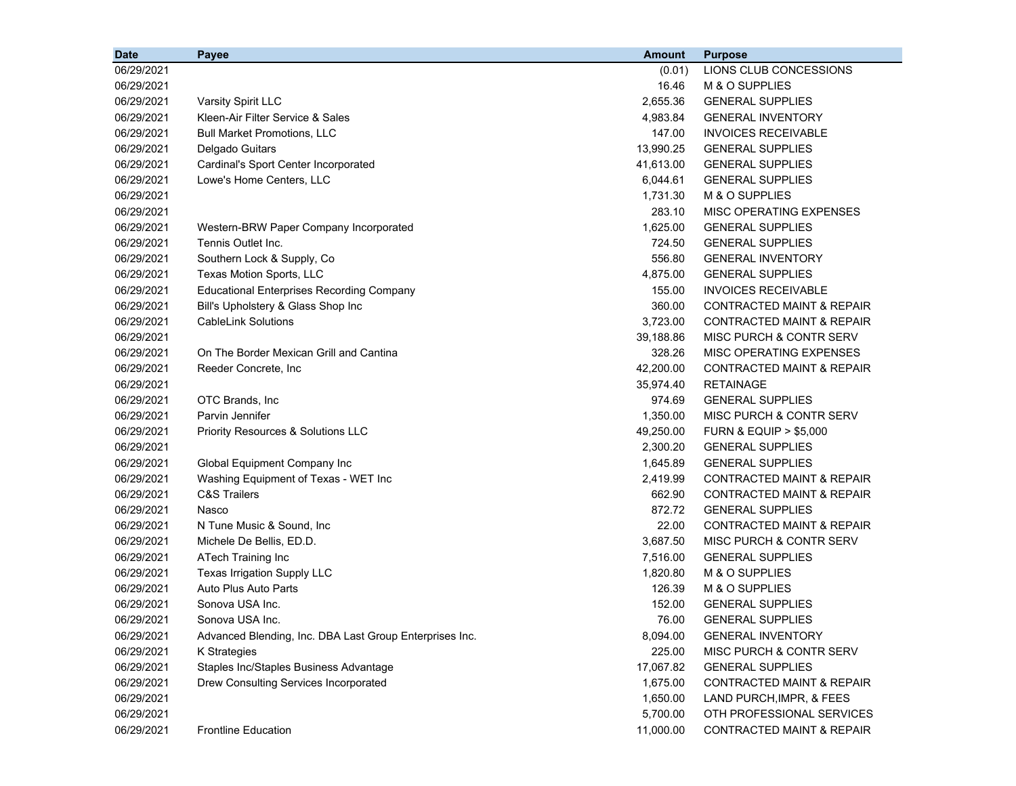| <b>Date</b> | Payee                                                   | <b>Amount</b> | <b>Purpose</b>                       |
|-------------|---------------------------------------------------------|---------------|--------------------------------------|
| 06/29/2021  |                                                         | (0.01)        | LIONS CLUB CONCESSIONS               |
| 06/29/2021  |                                                         | 16.46         | M & O SUPPLIES                       |
| 06/29/2021  | Varsity Spirit LLC                                      | 2,655.36      | <b>GENERAL SUPPLIES</b>              |
| 06/29/2021  | Kleen-Air Filter Service & Sales                        | 4,983.84      | <b>GENERAL INVENTORY</b>             |
| 06/29/2021  | <b>Bull Market Promotions, LLC</b>                      | 147.00        | <b>INVOICES RECEIVABLE</b>           |
| 06/29/2021  | Delgado Guitars                                         | 13,990.25     | <b>GENERAL SUPPLIES</b>              |
| 06/29/2021  | Cardinal's Sport Center Incorporated                    | 41,613.00     | <b>GENERAL SUPPLIES</b>              |
| 06/29/2021  | Lowe's Home Centers, LLC                                | 6,044.61      | <b>GENERAL SUPPLIES</b>              |
| 06/29/2021  |                                                         | 1,731.30      | M & O SUPPLIES                       |
| 06/29/2021  |                                                         | 283.10        | MISC OPERATING EXPENSES              |
| 06/29/2021  | Western-BRW Paper Company Incorporated                  | 1,625.00      | <b>GENERAL SUPPLIES</b>              |
| 06/29/2021  | Tennis Outlet Inc.                                      | 724.50        | <b>GENERAL SUPPLIES</b>              |
| 06/29/2021  | Southern Lock & Supply, Co                              | 556.80        | <b>GENERAL INVENTORY</b>             |
| 06/29/2021  | Texas Motion Sports, LLC                                | 4,875.00      | <b>GENERAL SUPPLIES</b>              |
| 06/29/2021  | <b>Educational Enterprises Recording Company</b>        | 155.00        | <b>INVOICES RECEIVABLE</b>           |
| 06/29/2021  | Bill's Upholstery & Glass Shop Inc                      | 360.00        | <b>CONTRACTED MAINT &amp; REPAIR</b> |
| 06/29/2021  | <b>CableLink Solutions</b>                              | 3,723.00      | <b>CONTRACTED MAINT &amp; REPAIR</b> |
| 06/29/2021  |                                                         | 39,188.86     | <b>MISC PURCH &amp; CONTR SERV</b>   |
| 06/29/2021  | On The Border Mexican Grill and Cantina                 | 328.26        | MISC OPERATING EXPENSES              |
| 06/29/2021  | Reeder Concrete, Inc                                    | 42,200.00     | <b>CONTRACTED MAINT &amp; REPAIR</b> |
| 06/29/2021  |                                                         | 35,974.40     | <b>RETAINAGE</b>                     |
| 06/29/2021  | OTC Brands, Inc.                                        | 974.69        | <b>GENERAL SUPPLIES</b>              |
| 06/29/2021  | Parvin Jennifer                                         | 1,350.00      | MISC PURCH & CONTR SERV              |
| 06/29/2021  | Priority Resources & Solutions LLC                      | 49,250.00     | <b>FURN &amp; EQUIP &gt; \$5,000</b> |
| 06/29/2021  |                                                         | 2,300.20      | <b>GENERAL SUPPLIES</b>              |
| 06/29/2021  | Global Equipment Company Inc                            | 1,645.89      | <b>GENERAL SUPPLIES</b>              |
| 06/29/2021  | Washing Equipment of Texas - WET Inc                    | 2,419.99      | CONTRACTED MAINT & REPAIR            |
| 06/29/2021  | <b>C&amp;S Trailers</b>                                 | 662.90        | <b>CONTRACTED MAINT &amp; REPAIR</b> |
| 06/29/2021  | Nasco                                                   | 872.72        | <b>GENERAL SUPPLIES</b>              |
| 06/29/2021  | N Tune Music & Sound, Inc.                              | 22.00         | CONTRACTED MAINT & REPAIR            |
| 06/29/2021  | Michele De Bellis, ED.D.                                | 3,687.50      | MISC PURCH & CONTR SERV              |
| 06/29/2021  | ATech Training Inc                                      | 7,516.00      | <b>GENERAL SUPPLIES</b>              |
| 06/29/2021  | Texas Irrigation Supply LLC                             | 1,820.80      | M & O SUPPLIES                       |
| 06/29/2021  | Auto Plus Auto Parts                                    | 126.39        | M & O SUPPLIES                       |
| 06/29/2021  | Sonova USA Inc.                                         | 152.00        | <b>GENERAL SUPPLIES</b>              |
| 06/29/2021  | Sonova USA Inc.                                         | 76.00         | <b>GENERAL SUPPLIES</b>              |
| 06/29/2021  | Advanced Blending, Inc. DBA Last Group Enterprises Inc. | 8,094.00      | <b>GENERAL INVENTORY</b>             |
| 06/29/2021  | K Strategies                                            | 225.00        | MISC PURCH & CONTR SERV              |
| 06/29/2021  | Staples Inc/Staples Business Advantage                  | 17,067.82     | <b>GENERAL SUPPLIES</b>              |
| 06/29/2021  | Drew Consulting Services Incorporated                   | 1,675.00      | <b>CONTRACTED MAINT &amp; REPAIR</b> |
| 06/29/2021  |                                                         | 1,650.00      | LAND PURCH, IMPR, & FEES             |
| 06/29/2021  |                                                         | 5,700.00      | OTH PROFESSIONAL SERVICES            |
| 06/29/2021  | <b>Frontline Education</b>                              | 11,000.00     | CONTRACTED MAINT & REPAIR            |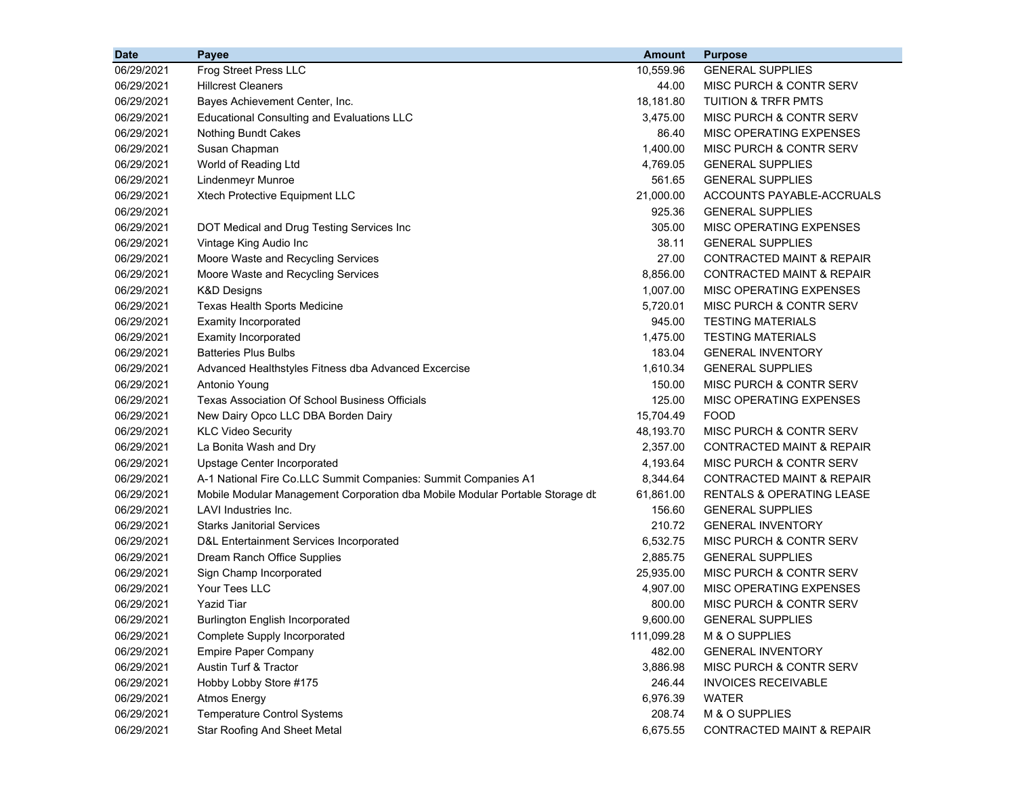| <b>Date</b> | Payee                                                                        | <b>Amount</b> | <b>Purpose</b>                       |
|-------------|------------------------------------------------------------------------------|---------------|--------------------------------------|
| 06/29/2021  | Frog Street Press LLC                                                        | 10,559.96     | <b>GENERAL SUPPLIES</b>              |
| 06/29/2021  | <b>Hillcrest Cleaners</b>                                                    | 44.00         | MISC PURCH & CONTR SERV              |
| 06/29/2021  | Bayes Achievement Center, Inc.                                               | 18,181.80     | <b>TUITION &amp; TRFR PMTS</b>       |
| 06/29/2021  | <b>Educational Consulting and Evaluations LLC</b>                            | 3,475.00      | MISC PURCH & CONTR SERV              |
| 06/29/2021  | <b>Nothing Bundt Cakes</b>                                                   | 86.40         | MISC OPERATING EXPENSES              |
| 06/29/2021  | Susan Chapman                                                                | 1,400.00      | MISC PURCH & CONTR SERV              |
| 06/29/2021  | World of Reading Ltd                                                         | 4,769.05      | <b>GENERAL SUPPLIES</b>              |
| 06/29/2021  | Lindenmeyr Munroe                                                            | 561.65        | <b>GENERAL SUPPLIES</b>              |
| 06/29/2021  | Xtech Protective Equipment LLC                                               | 21,000.00     | ACCOUNTS PAYABLE-ACCRUALS            |
| 06/29/2021  |                                                                              | 925.36        | <b>GENERAL SUPPLIES</b>              |
| 06/29/2021  | DOT Medical and Drug Testing Services Inc                                    | 305.00        | MISC OPERATING EXPENSES              |
| 06/29/2021  | Vintage King Audio Inc                                                       | 38.11         | <b>GENERAL SUPPLIES</b>              |
| 06/29/2021  | Moore Waste and Recycling Services                                           | 27.00         | CONTRACTED MAINT & REPAIR            |
| 06/29/2021  | Moore Waste and Recycling Services                                           | 8,856.00      | <b>CONTRACTED MAINT &amp; REPAIR</b> |
| 06/29/2021  | K&D Designs                                                                  | 1,007.00      | MISC OPERATING EXPENSES              |
| 06/29/2021  | <b>Texas Health Sports Medicine</b>                                          | 5,720.01      | MISC PURCH & CONTR SERV              |
| 06/29/2021  | <b>Examity Incorporated</b>                                                  | 945.00        | TESTING MATERIALS                    |
| 06/29/2021  | <b>Examity Incorporated</b>                                                  | 1,475.00      | <b>TESTING MATERIALS</b>             |
| 06/29/2021  | <b>Batteries Plus Bulbs</b>                                                  | 183.04        | <b>GENERAL INVENTORY</b>             |
| 06/29/2021  | Advanced Healthstyles Fitness dba Advanced Excercise                         | 1,610.34      | <b>GENERAL SUPPLIES</b>              |
| 06/29/2021  | Antonio Young                                                                | 150.00        | MISC PURCH & CONTR SERV              |
| 06/29/2021  | Texas Association Of School Business Officials                               | 125.00        | MISC OPERATING EXPENSES              |
| 06/29/2021  | New Dairy Opco LLC DBA Borden Dairy                                          | 15,704.49     | <b>FOOD</b>                          |
| 06/29/2021  | <b>KLC Video Security</b>                                                    | 48,193.70     | MISC PURCH & CONTR SERV              |
| 06/29/2021  | La Bonita Wash and Dry                                                       | 2,357.00      | <b>CONTRACTED MAINT &amp; REPAIR</b> |
| 06/29/2021  | Upstage Center Incorporated                                                  | 4,193.64      | MISC PURCH & CONTR SERV              |
| 06/29/2021  | A-1 National Fire Co.LLC Summit Companies: Summit Companies A1               | 8,344.64      | <b>CONTRACTED MAINT &amp; REPAIR</b> |
| 06/29/2021  | Mobile Modular Management Corporation dba Mobile Modular Portable Storage dt | 61,861.00     | RENTALS & OPERATING LEASE            |
| 06/29/2021  | LAVI Industries Inc.                                                         | 156.60        | <b>GENERAL SUPPLIES</b>              |
| 06/29/2021  | <b>Starks Janitorial Services</b>                                            | 210.72        | <b>GENERAL INVENTORY</b>             |
| 06/29/2021  | D&L Entertainment Services Incorporated                                      | 6,532.75      | MISC PURCH & CONTR SERV              |
| 06/29/2021  | Dream Ranch Office Supplies                                                  | 2,885.75      | <b>GENERAL SUPPLIES</b>              |
| 06/29/2021  | Sign Champ Incorporated                                                      | 25,935.00     | MISC PURCH & CONTR SERV              |
| 06/29/2021  | Your Tees LLC                                                                | 4,907.00      | MISC OPERATING EXPENSES              |
| 06/29/2021  | <b>Yazid Tiar</b>                                                            | 800.00        | <b>MISC PURCH &amp; CONTR SERV</b>   |
| 06/29/2021  | <b>Burlington English Incorporated</b>                                       | 9,600.00      | <b>GENERAL SUPPLIES</b>              |
| 06/29/2021  | Complete Supply Incorporated                                                 | 111,099.28    | M & O SUPPLIES                       |
| 06/29/2021  | <b>Empire Paper Company</b>                                                  | 482.00        | <b>GENERAL INVENTORY</b>             |
| 06/29/2021  | Austin Turf & Tractor                                                        | 3,886.98      | MISC PURCH & CONTR SERV              |
| 06/29/2021  | Hobby Lobby Store #175                                                       | 246.44        | <b>INVOICES RECEIVABLE</b>           |
| 06/29/2021  | <b>Atmos Energy</b>                                                          | 6,976.39      | <b>WATER</b>                         |
| 06/29/2021  | <b>Temperature Control Systems</b>                                           | 208.74        | M & O SUPPLIES                       |
| 06/29/2021  | <b>Star Roofing And Sheet Metal</b>                                          | 6,675.55      | CONTRACTED MAINT & REPAIR            |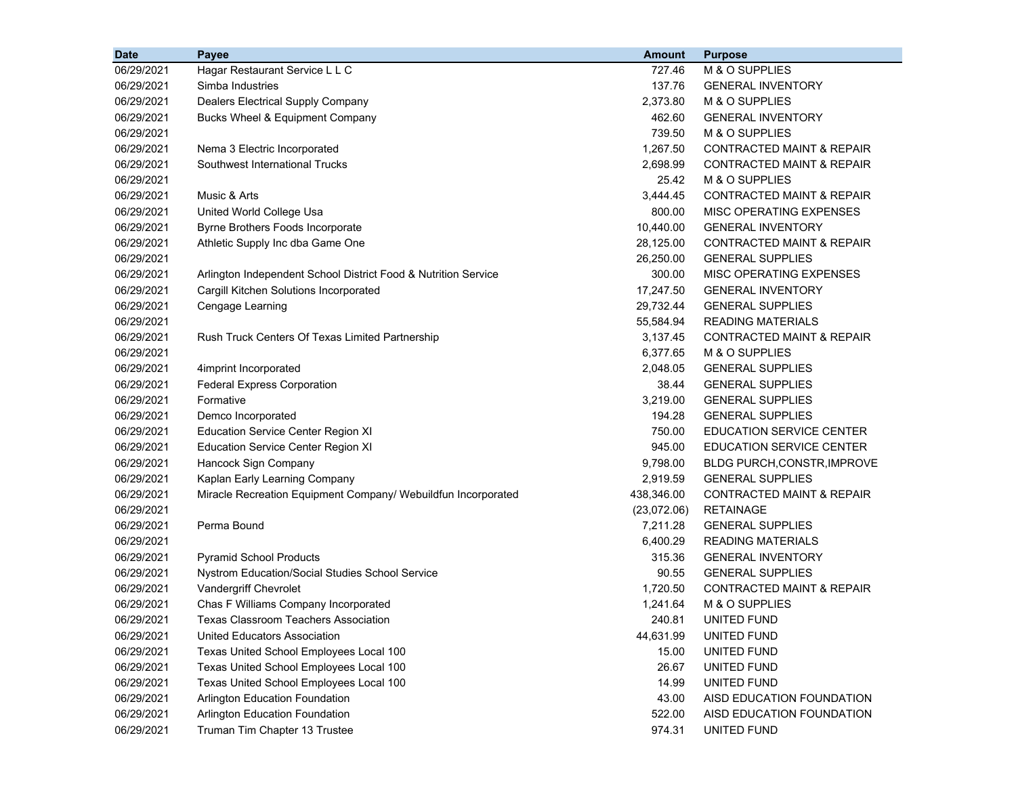| <b>Date</b> | Payee                                                          | <b>Amount</b> | <b>Purpose</b>                       |
|-------------|----------------------------------------------------------------|---------------|--------------------------------------|
| 06/29/2021  | Hagar Restaurant Service L L C                                 | 727.46        | M & O SUPPLIES                       |
| 06/29/2021  | Simba Industries                                               | 137.76        | <b>GENERAL INVENTORY</b>             |
| 06/29/2021  | <b>Dealers Electrical Supply Company</b>                       | 2,373.80      | M & O SUPPLIES                       |
| 06/29/2021  | Bucks Wheel & Equipment Company                                | 462.60        | <b>GENERAL INVENTORY</b>             |
| 06/29/2021  |                                                                | 739.50        | M & O SUPPLIES                       |
| 06/29/2021  | Nema 3 Electric Incorporated                                   | 1,267.50      | <b>CONTRACTED MAINT &amp; REPAIR</b> |
| 06/29/2021  | Southwest International Trucks                                 | 2,698.99      | <b>CONTRACTED MAINT &amp; REPAIR</b> |
| 06/29/2021  |                                                                | 25.42         | M & O SUPPLIES                       |
| 06/29/2021  | Music & Arts                                                   | 3,444.45      | CONTRACTED MAINT & REPAIR            |
| 06/29/2021  | United World College Usa                                       | 800.00        | <b>MISC OPERATING EXPENSES</b>       |
| 06/29/2021  | Byrne Brothers Foods Incorporate                               | 10,440.00     | <b>GENERAL INVENTORY</b>             |
| 06/29/2021  | Athletic Supply Inc dba Game One                               | 28,125.00     | CONTRACTED MAINT & REPAIR            |
| 06/29/2021  |                                                                | 26,250.00     | <b>GENERAL SUPPLIES</b>              |
| 06/29/2021  | Arlington Independent School District Food & Nutrition Service | 300.00        | MISC OPERATING EXPENSES              |
| 06/29/2021  | Cargill Kitchen Solutions Incorporated                         | 17,247.50     | <b>GENERAL INVENTORY</b>             |
| 06/29/2021  | Cengage Learning                                               | 29,732.44     | <b>GENERAL SUPPLIES</b>              |
| 06/29/2021  |                                                                | 55,584.94     | <b>READING MATERIALS</b>             |
| 06/29/2021  | Rush Truck Centers Of Texas Limited Partnership                | 3,137.45      | <b>CONTRACTED MAINT &amp; REPAIR</b> |
| 06/29/2021  |                                                                | 6,377.65      | M & O SUPPLIES                       |
| 06/29/2021  | 4imprint Incorporated                                          | 2,048.05      | <b>GENERAL SUPPLIES</b>              |
| 06/29/2021  | <b>Federal Express Corporation</b>                             | 38.44         | <b>GENERAL SUPPLIES</b>              |
| 06/29/2021  | Formative                                                      | 3,219.00      | <b>GENERAL SUPPLIES</b>              |
| 06/29/2021  | Demco Incorporated                                             | 194.28        | <b>GENERAL SUPPLIES</b>              |
| 06/29/2021  | <b>Education Service Center Region XI</b>                      | 750.00        | <b>EDUCATION SERVICE CENTER</b>      |
| 06/29/2021  | <b>Education Service Center Region XI</b>                      | 945.00        | <b>EDUCATION SERVICE CENTER</b>      |
| 06/29/2021  | Hancock Sign Company                                           | 9,798.00      | <b>BLDG PURCH, CONSTR, IMPROVE</b>   |
| 06/29/2021  | Kaplan Early Learning Company                                  | 2,919.59      | <b>GENERAL SUPPLIES</b>              |
| 06/29/2021  | Miracle Recreation Equipment Company/ Webuildfun Incorporated  | 438,346.00    | <b>CONTRACTED MAINT &amp; REPAIR</b> |
| 06/29/2021  |                                                                | (23,072.06)   | <b>RETAINAGE</b>                     |
| 06/29/2021  | Perma Bound                                                    | 7,211.28      | <b>GENERAL SUPPLIES</b>              |
| 06/29/2021  |                                                                | 6,400.29      | <b>READING MATERIALS</b>             |
| 06/29/2021  | <b>Pyramid School Products</b>                                 | 315.36        | <b>GENERAL INVENTORY</b>             |
| 06/29/2021  | Nystrom Education/Social Studies School Service                | 90.55         | <b>GENERAL SUPPLIES</b>              |
| 06/29/2021  | Vandergriff Chevrolet                                          | 1,720.50      | CONTRACTED MAINT & REPAIR            |
| 06/29/2021  | Chas F Williams Company Incorporated                           | 1,241.64      | M & O SUPPLIES                       |
| 06/29/2021  | Texas Classroom Teachers Association                           | 240.81        | UNITED FUND                          |
| 06/29/2021  | United Educators Association                                   | 44,631.99     | UNITED FUND                          |
| 06/29/2021  | Texas United School Employees Local 100                        | 15.00         | UNITED FUND                          |
| 06/29/2021  | Texas United School Employees Local 100                        | 26.67         | UNITED FUND                          |
| 06/29/2021  | Texas United School Employees Local 100                        | 14.99         | UNITED FUND                          |
| 06/29/2021  | <b>Arlington Education Foundation</b>                          | 43.00         | AISD EDUCATION FOUNDATION            |
| 06/29/2021  | Arlington Education Foundation                                 | 522.00        | AISD EDUCATION FOUNDATION            |
| 06/29/2021  | Truman Tim Chapter 13 Trustee                                  | 974.31        | UNITED FUND                          |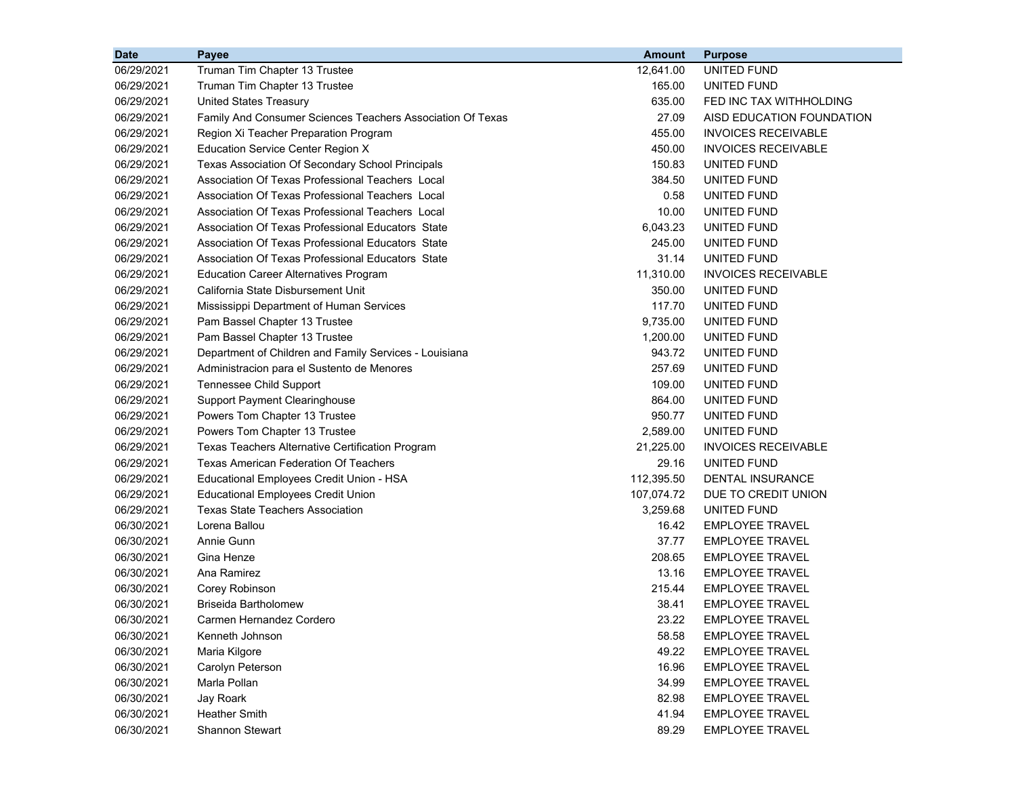| <b>Date</b> | Payee                                                      | <b>Amount</b> | <b>Purpose</b>             |
|-------------|------------------------------------------------------------|---------------|----------------------------|
| 06/29/2021  | Truman Tim Chapter 13 Trustee                              | 12,641.00     | UNITED FUND                |
| 06/29/2021  | Truman Tim Chapter 13 Trustee                              | 165.00        | UNITED FUND                |
| 06/29/2021  | <b>United States Treasury</b>                              | 635.00        | FED INC TAX WITHHOLDING    |
| 06/29/2021  | Family And Consumer Sciences Teachers Association Of Texas | 27.09         | AISD EDUCATION FOUNDATION  |
| 06/29/2021  | Region Xi Teacher Preparation Program                      | 455.00        | <b>INVOICES RECEIVABLE</b> |
| 06/29/2021  | <b>Education Service Center Region X</b>                   | 450.00        | <b>INVOICES RECEIVABLE</b> |
| 06/29/2021  | Texas Association Of Secondary School Principals           | 150.83        | UNITED FUND                |
| 06/29/2021  | Association Of Texas Professional Teachers Local           | 384.50        | UNITED FUND                |
| 06/29/2021  | Association Of Texas Professional Teachers Local           | 0.58          | UNITED FUND                |
| 06/29/2021  | Association Of Texas Professional Teachers Local           | 10.00         | UNITED FUND                |
| 06/29/2021  | Association Of Texas Professional Educators State          | 6,043.23      | UNITED FUND                |
| 06/29/2021  | Association Of Texas Professional Educators State          | 245.00        | UNITED FUND                |
| 06/29/2021  | Association Of Texas Professional Educators State          | 31.14         | UNITED FUND                |
| 06/29/2021  | <b>Education Career Alternatives Program</b>               | 11,310.00     | <b>INVOICES RECEIVABLE</b> |
| 06/29/2021  | California State Disbursement Unit                         | 350.00        | UNITED FUND                |
| 06/29/2021  | Mississippi Department of Human Services                   | 117.70        | UNITED FUND                |
| 06/29/2021  | Pam Bassel Chapter 13 Trustee                              | 9,735.00      | UNITED FUND                |
| 06/29/2021  | Pam Bassel Chapter 13 Trustee                              | 1,200.00      | UNITED FUND                |
| 06/29/2021  | Department of Children and Family Services - Louisiana     | 943.72        | UNITED FUND                |
| 06/29/2021  | Administracion para el Sustento de Menores                 | 257.69        | UNITED FUND                |
| 06/29/2021  | Tennessee Child Support                                    | 109.00        | UNITED FUND                |
| 06/29/2021  | <b>Support Payment Clearinghouse</b>                       | 864.00        | UNITED FUND                |
| 06/29/2021  | Powers Tom Chapter 13 Trustee                              | 950.77        | UNITED FUND                |
| 06/29/2021  | Powers Tom Chapter 13 Trustee                              | 2,589.00      | UNITED FUND                |
| 06/29/2021  | <b>Texas Teachers Alternative Certification Program</b>    | 21,225.00     | <b>INVOICES RECEIVABLE</b> |
| 06/29/2021  | Texas American Federation Of Teachers                      | 29.16         | UNITED FUND                |
| 06/29/2021  | Educational Employees Credit Union - HSA                   | 112,395.50    | DENTAL INSURANCE           |
| 06/29/2021  | <b>Educational Employees Credit Union</b>                  | 107,074.72    | DUE TO CREDIT UNION        |
| 06/29/2021  | <b>Texas State Teachers Association</b>                    | 3,259.68      | UNITED FUND                |
| 06/30/2021  | Lorena Ballou                                              | 16.42         | <b>EMPLOYEE TRAVEL</b>     |
| 06/30/2021  | Annie Gunn                                                 | 37.77         | <b>EMPLOYEE TRAVEL</b>     |
| 06/30/2021  | Gina Henze                                                 | 208.65        | <b>EMPLOYEE TRAVEL</b>     |
| 06/30/2021  | Ana Ramirez                                                | 13.16         | <b>EMPLOYEE TRAVEL</b>     |
| 06/30/2021  | Corey Robinson                                             | 215.44        | <b>EMPLOYEE TRAVEL</b>     |
| 06/30/2021  | <b>Briseida Bartholomew</b>                                | 38.41         | <b>EMPLOYEE TRAVEL</b>     |
| 06/30/2021  | Carmen Hernandez Cordero                                   | 23.22         | <b>EMPLOYEE TRAVEL</b>     |
| 06/30/2021  | Kenneth Johnson                                            | 58.58         | <b>EMPLOYEE TRAVEL</b>     |
| 06/30/2021  | Maria Kilgore                                              | 49.22         | <b>EMPLOYEE TRAVEL</b>     |
| 06/30/2021  | Carolyn Peterson                                           | 16.96         | <b>EMPLOYEE TRAVEL</b>     |
| 06/30/2021  | Marla Pollan                                               | 34.99         | <b>EMPLOYEE TRAVEL</b>     |
| 06/30/2021  | Jay Roark                                                  | 82.98         | <b>EMPLOYEE TRAVEL</b>     |
| 06/30/2021  | <b>Heather Smith</b>                                       | 41.94         | <b>EMPLOYEE TRAVEL</b>     |
| 06/30/2021  | Shannon Stewart                                            | 89.29         | <b>EMPLOYEE TRAVEL</b>     |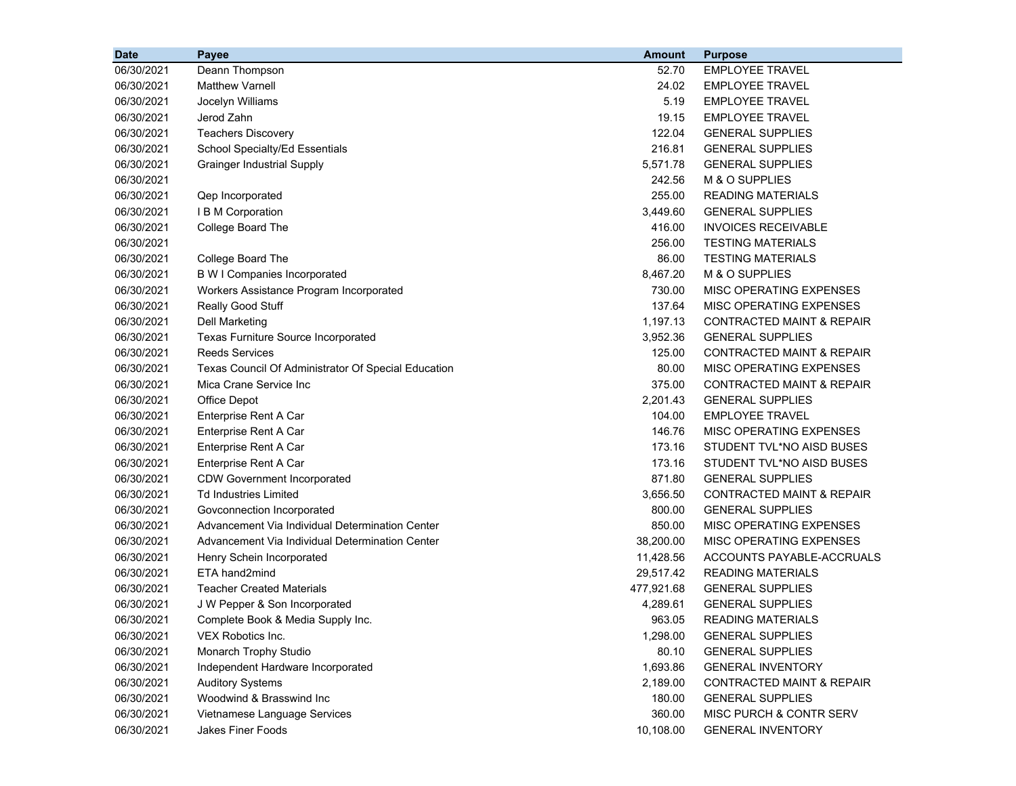| <b>Date</b> | Payee                                               | <b>Amount</b> | <b>Purpose</b>                       |
|-------------|-----------------------------------------------------|---------------|--------------------------------------|
| 06/30/2021  | Deann Thompson                                      | 52.70         | <b>EMPLOYEE TRAVEL</b>               |
| 06/30/2021  | <b>Matthew Varnell</b>                              | 24.02         | <b>EMPLOYEE TRAVEL</b>               |
| 06/30/2021  | Jocelyn Williams                                    | 5.19          | EMPLOYEE TRAVEL                      |
| 06/30/2021  | Jerod Zahn                                          | 19.15         | <b>EMPLOYEE TRAVEL</b>               |
| 06/30/2021  | <b>Teachers Discovery</b>                           | 122.04        | <b>GENERAL SUPPLIES</b>              |
| 06/30/2021  | School Specialty/Ed Essentials                      | 216.81        | <b>GENERAL SUPPLIES</b>              |
| 06/30/2021  | <b>Grainger Industrial Supply</b>                   | 5,571.78      | <b>GENERAL SUPPLIES</b>              |
| 06/30/2021  |                                                     | 242.56        | M & O SUPPLIES                       |
| 06/30/2021  | Qep Incorporated                                    | 255.00        | <b>READING MATERIALS</b>             |
| 06/30/2021  | I B M Corporation                                   | 3,449.60      | <b>GENERAL SUPPLIES</b>              |
| 06/30/2021  | College Board The                                   | 416.00        | <b>INVOICES RECEIVABLE</b>           |
| 06/30/2021  |                                                     | 256.00        | <b>TESTING MATERIALS</b>             |
| 06/30/2021  | College Board The                                   | 86.00         | <b>TESTING MATERIALS</b>             |
| 06/30/2021  | <b>B W I Companies Incorporated</b>                 | 8,467.20      | M & O SUPPLIES                       |
| 06/30/2021  | Workers Assistance Program Incorporated             | 730.00        | MISC OPERATING EXPENSES              |
| 06/30/2021  | Really Good Stuff                                   | 137.64        | MISC OPERATING EXPENSES              |
| 06/30/2021  | <b>Dell Marketing</b>                               | 1,197.13      | <b>CONTRACTED MAINT &amp; REPAIR</b> |
| 06/30/2021  | Texas Furniture Source Incorporated                 | 3,952.36      | <b>GENERAL SUPPLIES</b>              |
| 06/30/2021  | <b>Reeds Services</b>                               | 125.00        | <b>CONTRACTED MAINT &amp; REPAIR</b> |
| 06/30/2021  | Texas Council Of Administrator Of Special Education | 80.00         | MISC OPERATING EXPENSES              |
| 06/30/2021  | Mica Crane Service Inc                              | 375.00        | CONTRACTED MAINT & REPAIR            |
| 06/30/2021  | Office Depot                                        | 2,201.43      | <b>GENERAL SUPPLIES</b>              |
| 06/30/2021  | Enterprise Rent A Car                               | 104.00        | <b>EMPLOYEE TRAVEL</b>               |
| 06/30/2021  | Enterprise Rent A Car                               | 146.76        | MISC OPERATING EXPENSES              |
| 06/30/2021  | Enterprise Rent A Car                               | 173.16        | STUDENT TVL*NO AISD BUSES            |
| 06/30/2021  | Enterprise Rent A Car                               | 173.16        | STUDENT TVL*NO AISD BUSES            |
| 06/30/2021  | <b>CDW Government Incorporated</b>                  | 871.80        | <b>GENERAL SUPPLIES</b>              |
| 06/30/2021  | <b>Td Industries Limited</b>                        | 3,656.50      | <b>CONTRACTED MAINT &amp; REPAIR</b> |
| 06/30/2021  | Govconnection Incorporated                          | 800.00        | <b>GENERAL SUPPLIES</b>              |
| 06/30/2021  | Advancement Via Individual Determination Center     | 850.00        | MISC OPERATING EXPENSES              |
| 06/30/2021  | Advancement Via Individual Determination Center     | 38,200.00     | MISC OPERATING EXPENSES              |
| 06/30/2021  | Henry Schein Incorporated                           | 11,428.56     | ACCOUNTS PAYABLE-ACCRUALS            |
| 06/30/2021  | ETA hand2mind                                       | 29,517.42     | <b>READING MATERIALS</b>             |
| 06/30/2021  | <b>Teacher Created Materials</b>                    | 477,921.68    | <b>GENERAL SUPPLIES</b>              |
| 06/30/2021  | J W Pepper & Son Incorporated                       | 4,289.61      | <b>GENERAL SUPPLIES</b>              |
| 06/30/2021  | Complete Book & Media Supply Inc.                   | 963.05        | READING MATERIALS                    |
| 06/30/2021  | VEX Robotics Inc.                                   | 1,298.00      | <b>GENERAL SUPPLIES</b>              |
| 06/30/2021  | Monarch Trophy Studio                               | 80.10         | <b>GENERAL SUPPLIES</b>              |
| 06/30/2021  | Independent Hardware Incorporated                   | 1,693.86      | <b>GENERAL INVENTORY</b>             |
| 06/30/2021  | <b>Auditory Systems</b>                             | 2,189.00      | CONTRACTED MAINT & REPAIR            |
| 06/30/2021  | Woodwind & Brasswind Inc                            | 180.00        | <b>GENERAL SUPPLIES</b>              |
| 06/30/2021  | Vietnamese Language Services                        | 360.00        | MISC PURCH & CONTR SERV              |
| 06/30/2021  | Jakes Finer Foods                                   | 10,108.00     | <b>GENERAL INVENTORY</b>             |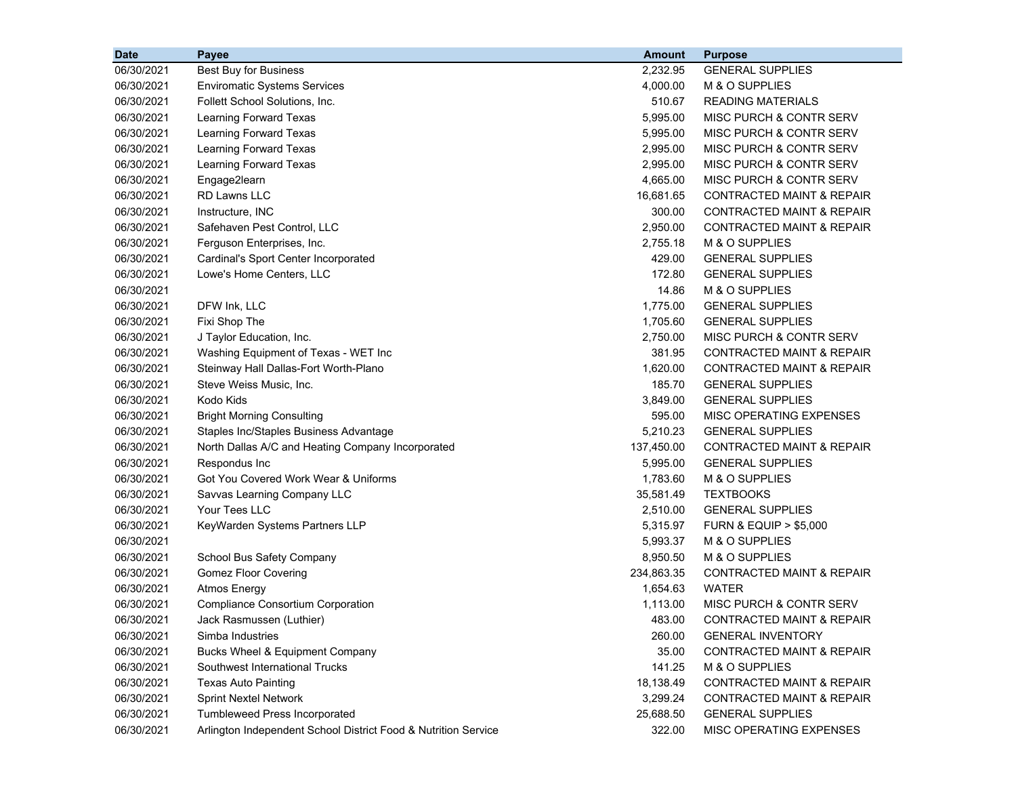| <b>Date</b> | <b>Payee</b>                                                   | Amount     | <b>Purpose</b>                       |
|-------------|----------------------------------------------------------------|------------|--------------------------------------|
| 06/30/2021  | <b>Best Buy for Business</b>                                   | 2,232.95   | <b>GENERAL SUPPLIES</b>              |
| 06/30/2021  | <b>Enviromatic Systems Services</b>                            | 4,000.00   | M & O SUPPLIES                       |
| 06/30/2021  | Follett School Solutions, Inc.                                 | 510.67     | <b>READING MATERIALS</b>             |
| 06/30/2021  | Learning Forward Texas                                         | 5,995.00   | MISC PURCH & CONTR SERV              |
| 06/30/2021  | Learning Forward Texas                                         | 5,995.00   | MISC PURCH & CONTR SERV              |
| 06/30/2021  | Learning Forward Texas                                         | 2,995.00   | MISC PURCH & CONTR SERV              |
| 06/30/2021  | Learning Forward Texas                                         | 2,995.00   | MISC PURCH & CONTR SERV              |
| 06/30/2021  | Engage2learn                                                   | 4,665.00   | MISC PURCH & CONTR SERV              |
| 06/30/2021  | RD Lawns LLC                                                   | 16,681.65  | <b>CONTRACTED MAINT &amp; REPAIR</b> |
| 06/30/2021  | Instructure, INC                                               | 300.00     | <b>CONTRACTED MAINT &amp; REPAIR</b> |
| 06/30/2021  | Safehaven Pest Control, LLC                                    | 2,950.00   | <b>CONTRACTED MAINT &amp; REPAIR</b> |
| 06/30/2021  | Ferguson Enterprises, Inc.                                     | 2,755.18   | M & O SUPPLIES                       |
| 06/30/2021  | Cardinal's Sport Center Incorporated                           | 429.00     | <b>GENERAL SUPPLIES</b>              |
| 06/30/2021  | Lowe's Home Centers, LLC                                       | 172.80     | <b>GENERAL SUPPLIES</b>              |
| 06/30/2021  |                                                                | 14.86      | M & O SUPPLIES                       |
| 06/30/2021  | DFW Ink, LLC                                                   | 1,775.00   | <b>GENERAL SUPPLIES</b>              |
| 06/30/2021  | Fixi Shop The                                                  | 1,705.60   | <b>GENERAL SUPPLIES</b>              |
| 06/30/2021  | J Taylor Education, Inc.                                       | 2,750.00   | <b>MISC PURCH &amp; CONTR SERV</b>   |
| 06/30/2021  | Washing Equipment of Texas - WET Inc                           | 381.95     | <b>CONTRACTED MAINT &amp; REPAIR</b> |
| 06/30/2021  | Steinway Hall Dallas-Fort Worth-Plano                          | 1,620.00   | <b>CONTRACTED MAINT &amp; REPAIR</b> |
| 06/30/2021  | Steve Weiss Music, Inc.                                        | 185.70     | <b>GENERAL SUPPLIES</b>              |
| 06/30/2021  | Kodo Kids                                                      | 3,849.00   | <b>GENERAL SUPPLIES</b>              |
| 06/30/2021  | <b>Bright Morning Consulting</b>                               | 595.00     | MISC OPERATING EXPENSES              |
| 06/30/2021  | Staples Inc/Staples Business Advantage                         | 5,210.23   | <b>GENERAL SUPPLIES</b>              |
| 06/30/2021  | North Dallas A/C and Heating Company Incorporated              | 137,450.00 | <b>CONTRACTED MAINT &amp; REPAIR</b> |
| 06/30/2021  | Respondus Inc                                                  | 5,995.00   | <b>GENERAL SUPPLIES</b>              |
| 06/30/2021  | Got You Covered Work Wear & Uniforms                           | 1,783.60   | M & O SUPPLIES                       |
| 06/30/2021  | Savvas Learning Company LLC                                    | 35,581.49  | <b>TEXTBOOKS</b>                     |
| 06/30/2021  | Your Tees LLC                                                  | 2,510.00   | <b>GENERAL SUPPLIES</b>              |
| 06/30/2021  | KeyWarden Systems Partners LLP                                 | 5,315.97   | <b>FURN &amp; EQUIP &gt; \$5,000</b> |
| 06/30/2021  |                                                                | 5,993.37   | M & O SUPPLIES                       |
| 06/30/2021  | School Bus Safety Company                                      | 8,950.50   | M & O SUPPLIES                       |
| 06/30/2021  | <b>Gomez Floor Covering</b>                                    | 234,863.35 | <b>CONTRACTED MAINT &amp; REPAIR</b> |
| 06/30/2021  | <b>Atmos Energy</b>                                            | 1,654.63   | WATER                                |
| 06/30/2021  | <b>Compliance Consortium Corporation</b>                       | 1,113.00   | MISC PURCH & CONTR SERV              |
| 06/30/2021  | Jack Rasmussen (Luthier)                                       | 483.00     | CONTRACTED MAINT & REPAIR            |
| 06/30/2021  | Simba Industries                                               | 260.00     | <b>GENERAL INVENTORY</b>             |
| 06/30/2021  | Bucks Wheel & Equipment Company                                | 35.00      | <b>CONTRACTED MAINT &amp; REPAIR</b> |
| 06/30/2021  | Southwest International Trucks                                 | 141.25     | M & O SUPPLIES                       |
| 06/30/2021  | <b>Texas Auto Painting</b>                                     | 18,138.49  | <b>CONTRACTED MAINT &amp; REPAIR</b> |
| 06/30/2021  | <b>Sprint Nextel Network</b>                                   | 3,299.24   | CONTRACTED MAINT & REPAIR            |
| 06/30/2021  | Tumbleweed Press Incorporated                                  | 25,688.50  | <b>GENERAL SUPPLIES</b>              |
| 06/30/2021  | Arlington Independent School District Food & Nutrition Service | 322.00     | MISC OPERATING EXPENSES              |